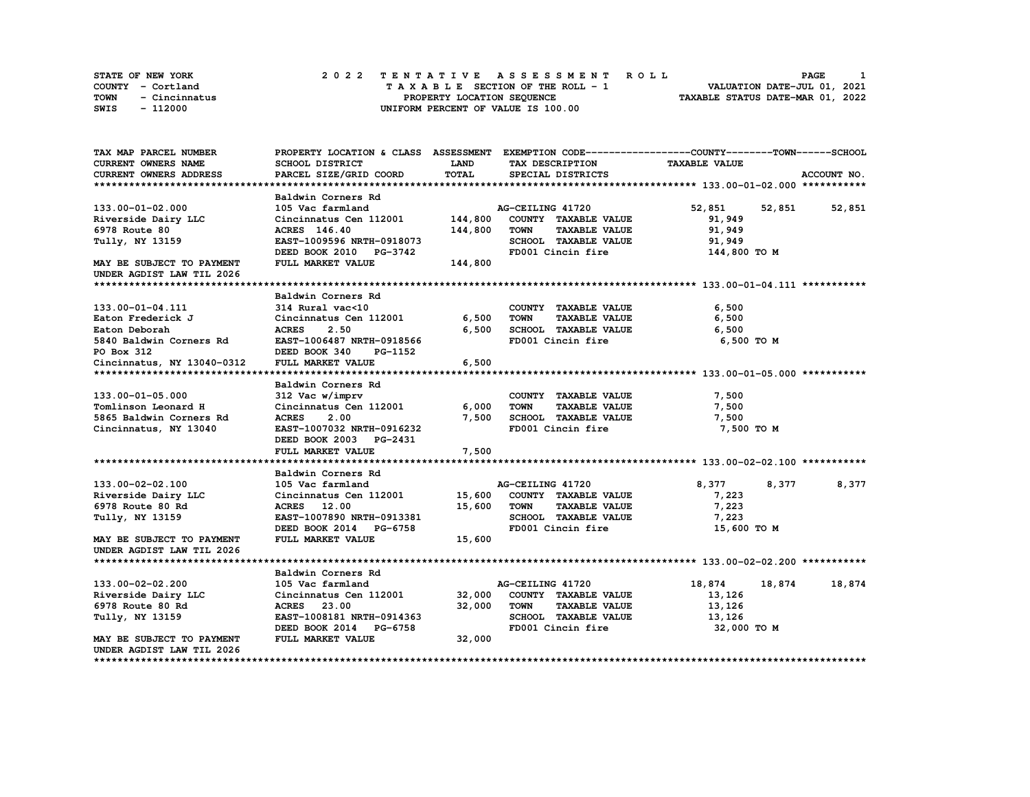| STATE OF NEW YORK     | 2022 TENTATIVE ASSESSMENT ROLL     | PAGE                             |
|-----------------------|------------------------------------|----------------------------------|
| COUNTY - Cortland     | TAXABLE SECTION OF THE ROLL - 1    | VALUATION DATE-JUL 01, 2021      |
| TOWN<br>- Cincinnatus | PROPERTY LOCATION SEQUENCE         | TAXABLE STATUS DATE-MAR 01, 2022 |
| - 112000<br>SWIS      | UNIFORM PERCENT OF VALUE IS 100.00 |                                  |

| TAX MAP PARCEL NUMBER      |                           |             |                                     | PROPERTY LOCATION & CLASS ASSESSMENT EXEMPTION CODE----------------COUNTY-------TOWN-----SCHOOL |             |
|----------------------------|---------------------------|-------------|-------------------------------------|-------------------------------------------------------------------------------------------------|-------------|
| <b>CURRENT OWNERS NAME</b> | <b>SCHOOL DISTRICT</b>    | <b>LAND</b> | TAX DESCRIPTION                     | <b>TAXABLE VALUE</b>                                                                            |             |
| CURRENT OWNERS ADDRESS     | PARCEL SIZE/GRID COORD    | TOTAL       | SPECIAL DISTRICTS                   |                                                                                                 | ACCOUNT NO. |
|                            |                           |             |                                     |                                                                                                 |             |
|                            | Baldwin Corners Rd        |             |                                     |                                                                                                 |             |
| 133.00-01-02.000           | 105 Vac farmland          |             | AG-CEILING 41720                    | 52,851<br>52,851                                                                                | 52,851      |
| Riverside Dairy LLC        | Cincinnatus Cen 112001    | 144,800     | COUNTY TAXABLE VALUE                | 91,949                                                                                          |             |
| 6978 Route 80              | ACRES 146.40              | 144,800     | <b>TOWN</b><br><b>TAXABLE VALUE</b> | 91,949                                                                                          |             |
| Tully, NY 13159            | EAST-1009596 NRTH-0918073 |             | SCHOOL TAXABLE VALUE                | 91,949                                                                                          |             |
|                            | DEED BOOK 2010 PG-3742    |             | FD001 Cincin fire                   | 144,800 TO M                                                                                    |             |
| MAY BE SUBJECT TO PAYMENT  | FULL MARKET VALUE         | 144,800     |                                     |                                                                                                 |             |
| UNDER AGDIST LAW TIL 2026  |                           |             |                                     |                                                                                                 |             |
|                            |                           |             |                                     |                                                                                                 |             |
|                            | Baldwin Corners Rd        |             |                                     |                                                                                                 |             |
| 133.00-01-04.111           | 314 Rural vac<10          |             | COUNTY TAXABLE VALUE                | 6,500                                                                                           |             |
| Eaton Frederick J          | Cincinnatus Cen 112001    | 6,500       | <b>TAXABLE VALUE</b><br><b>TOWN</b> | 6,500                                                                                           |             |
| Eaton Deborah              | 2.50<br><b>ACRES</b>      | 6.500       | SCHOOL TAXABLE VALUE                | 6,500                                                                                           |             |
| 5840 Baldwin Corners Rd    | EAST-1006487 NRTH-0918566 |             | FD001 Cincin fire                   | 6,500 TO M                                                                                      |             |
| PO Box 312                 | DEED BOOK 340<br>PG-1152  |             |                                     |                                                                                                 |             |
|                            |                           |             |                                     |                                                                                                 |             |
| Cincinnatus, NY 13040-0312 | FULL MARKET VALUE         | 6,500       |                                     |                                                                                                 |             |
|                            |                           |             |                                     |                                                                                                 |             |
|                            | Baldwin Corners Rd        |             |                                     |                                                                                                 |             |
| 133.00-01-05.000           | 312 Vac w/imprv           |             | COUNTY TAXABLE VALUE                | 7,500                                                                                           |             |
| Tomlinson Leonard H        | Cincinnatus Cen 112001    | 6,000       | <b>TOWN</b><br><b>TAXABLE VALUE</b> | 7,500                                                                                           |             |
| 5865 Baldwin Corners Rd    | 2.00<br><b>ACRES</b>      | 7,500       | SCHOOL TAXABLE VALUE                | 7,500                                                                                           |             |
| Cincinnatus, NY 13040      | EAST-1007032 NRTH-0916232 |             | FD001 Cincin fire                   | 7,500 TO M                                                                                      |             |
|                            | DEED BOOK 2003 PG-2431    |             |                                     |                                                                                                 |             |
|                            | FULL MARKET VALUE         | 7,500       |                                     |                                                                                                 |             |
|                            |                           |             |                                     |                                                                                                 |             |
|                            | Baldwin Corners Rd        |             |                                     |                                                                                                 |             |
| 133.00-02-02.100           | 105 Vac farmland          |             | AG-CEILING 41720                    | 8,377<br>8,377                                                                                  | 8,377       |
| Riverside Dairy LLC        | Cincinnatus Cen 112001    | 15,600      | COUNTY TAXABLE VALUE                | 7,223                                                                                           |             |
| 6978 Route 80 Rd           | ACRES 12.00               | 15,600      | <b>TOWN</b><br><b>TAXABLE VALUE</b> | 7,223                                                                                           |             |
| Tully, NY 13159            | EAST-1007890 NRTH-0913381 |             | SCHOOL TAXABLE VALUE                | 7,223                                                                                           |             |
|                            | DEED BOOK 2014 PG-6758    |             | FD001 Cincin fire                   | 15,600 TO M                                                                                     |             |
| MAY BE SUBJECT TO PAYMENT  | FULL MARKET VALUE         | 15,600      |                                     |                                                                                                 |             |
| UNDER AGDIST LAW TIL 2026  |                           |             |                                     |                                                                                                 |             |
|                            |                           |             |                                     |                                                                                                 |             |
|                            | Baldwin Corners Rd        |             |                                     |                                                                                                 |             |
| 133.00-02-02.200           | 105 Vac farmland          |             | AG-CEILING 41720                    | 18,874<br>18,874                                                                                | 18,874      |
| Riverside Dairy LLC        | Cincinnatus Cen 112001    | 32,000      | COUNTY TAXABLE VALUE                | 13,126                                                                                          |             |
| 6978 Route 80 Rd           | <b>ACRES</b> 23.00        | 32,000      | <b>TOWN</b><br><b>TAXABLE VALUE</b> | 13,126                                                                                          |             |
| Tully, NY 13159            | EAST-1008181 NRTH-0914363 |             | SCHOOL TAXABLE VALUE                | 13,126                                                                                          |             |
|                            | DEED BOOK 2014 PG-6758    |             | FD001 Cincin fire                   | 32,000 TO M                                                                                     |             |
| MAY BE SUBJECT TO PAYMENT  | FULL MARKET VALUE         | 32,000      |                                     |                                                                                                 |             |
| UNDER AGDIST LAW TIL 2026  |                           |             |                                     |                                                                                                 |             |
|                            |                           |             |                                     |                                                                                                 |             |

**\*\*\*\*\*\*\*\*\*\*\*\*\*\*\*\*\*\*\*\*\*\*\*\*\*\*\*\*\*\*\*\*\*\*\*\*\*\*\*\*\*\*\*\*\*\*\*\*\*\*\*\*\*\*\*\*\*\*\*\*\*\*\*\*\*\*\*\*\*\*\*\*\*\*\*\*\*\*\*\*\*\*\*\*\*\*\*\*\*\*\*\*\*\*\*\*\*\*\*\*\*\*\*\*\*\*\*\*\*\*\*\*\*\*\*\*\*\*\*\*\*\*\*\*\*\*\*\*\*\*\*\***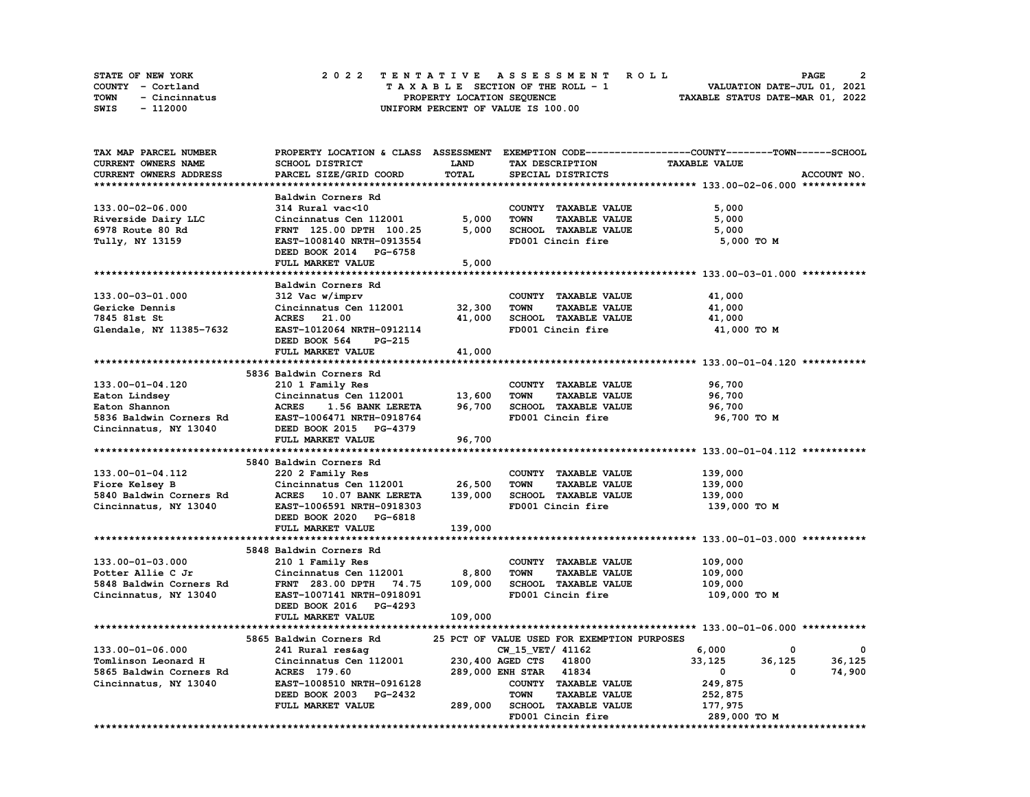| STATE OF NEW YORK     | 2022 TENTATIVE ASSESSMENT ROLL     | 2<br><b>PAGE</b>                 |
|-----------------------|------------------------------------|----------------------------------|
| COUNTY - Cortland     | TAXABLE SECTION OF THE ROLL - 1    | VALUATION DATE-JUL 01, 2021      |
| TOWN<br>- Cincinnatus | PROPERTY LOCATION SEOUENCE         | TAXABLE STATUS DATE-MAR 01, 2022 |
| SWIS<br>- 112000      | UNIFORM PERCENT OF VALUE IS 100.00 |                                  |

| TAX MAP PARCEL NUMBER   |                                  |             |                                             | PROPERTY LOCATION & CLASS ASSESSMENT EXEMPTION CODE-----------------COUNTY-------TOWN------SCHOOL |             |
|-------------------------|----------------------------------|-------------|---------------------------------------------|---------------------------------------------------------------------------------------------------|-------------|
| CURRENT OWNERS NAME     | SCHOOL DISTRICT                  | <b>LAND</b> | TAX DESCRIPTION                             | <b>TAXABLE VALUE</b>                                                                              |             |
| CURRENT OWNERS ADDRESS  | PARCEL SIZE/GRID COORD           | TOTAL       | SPECIAL DISTRICTS                           |                                                                                                   | ACCOUNT NO. |
|                         |                                  |             |                                             |                                                                                                   |             |
|                         | Baldwin Corners Rd               |             |                                             |                                                                                                   |             |
| 133.00-02-06.000        | 314 Rural vac<10                 |             | COUNTY TAXABLE VALUE                        | 5,000                                                                                             |             |
| Riverside Dairy LLC     | Cincinnatus Cen 112001           | 5,000       | <b>TOWN</b><br><b>TAXABLE VALUE</b>         | 5,000                                                                                             |             |
| 6978 Route 80 Rd        | FRNT 125.00 DPTH 100.25          | 5,000       | SCHOOL TAXABLE VALUE                        | 5,000                                                                                             |             |
| Tully, NY 13159         | EAST-1008140 NRTH-0913554        |             | FD001 Cincin fire                           | 5,000 TO M                                                                                        |             |
|                         | DEED BOOK 2014 PG-6758           |             |                                             |                                                                                                   |             |
|                         | FULL MARKET VALUE                | 5,000       |                                             |                                                                                                   |             |
|                         |                                  |             |                                             |                                                                                                   |             |
|                         |                                  |             |                                             |                                                                                                   |             |
|                         | Baldwin Corners Rd               |             |                                             |                                                                                                   |             |
| 133.00-03-01.000        | 312 Vac w/imprv                  |             | COUNTY TAXABLE VALUE                        | 41,000                                                                                            |             |
| Gericke Dennis          | Cincinnatus Cen 112001           | 32,300      | <b>TAXABLE VALUE</b><br><b>TOWN</b>         | 41,000                                                                                            |             |
| 7845 81st St            | <b>ACRES</b> 21.00               | 41,000      | SCHOOL TAXABLE VALUE                        | 41,000                                                                                            |             |
| Glendale, NY 11385-7632 | EAST-1012064 NRTH-0912114        |             | FD001 Cincin fire                           | 41,000 TO M                                                                                       |             |
|                         | DEED BOOK 564<br>PG-215          |             |                                             |                                                                                                   |             |
|                         | FULL MARKET VALUE                | 41,000      |                                             |                                                                                                   |             |
|                         |                                  |             |                                             |                                                                                                   |             |
|                         | 5836 Baldwin Corners Rd          |             |                                             |                                                                                                   |             |
| 133.00-01-04.120        | 210 1 Family Res                 |             | COUNTY TAXABLE VALUE                        | 96,700                                                                                            |             |
| Eaton Lindsey           | Cincinnatus Cen 112001           | 13,600      | <b>TOWN</b><br><b>TAXABLE VALUE</b>         | 96,700                                                                                            |             |
| Eaton Shannon           | <b>ACRES</b><br>1.56 BANK LERETA | 96,700      | SCHOOL TAXABLE VALUE                        | 96,700                                                                                            |             |
| 5836 Baldwin Corners Rd | EAST-1006471 NRTH-0918764        |             | FD001 Cincin fire                           | 96,700 TO M                                                                                       |             |
| Cincinnatus, NY 13040   | DEED BOOK 2015 PG-4379           |             |                                             |                                                                                                   |             |
|                         | FULL MARKET VALUE                | 96,700      |                                             |                                                                                                   |             |
|                         |                                  |             |                                             |                                                                                                   |             |
|                         | 5840 Baldwin Corners Rd          |             |                                             |                                                                                                   |             |
| 133.00-01-04.112        | 220 2 Family Res                 |             | COUNTY TAXABLE VALUE                        | 139,000                                                                                           |             |
| Fiore Kelsey B          | Cincinnatus Cen 112001           | 26,500      | <b>TAXABLE VALUE</b><br><b>TOWN</b>         | 139,000                                                                                           |             |
| 5840 Baldwin Corners Rd | ACRES 10.07 BANK LERETA          | 139,000     | SCHOOL TAXABLE VALUE                        | 139,000                                                                                           |             |
| Cincinnatus, NY 13040   | EAST-1006591 NRTH-0918303        |             | FD001 Cincin fire                           | 139,000 то м                                                                                      |             |
|                         | DEED BOOK 2020 PG-6818           |             |                                             |                                                                                                   |             |
|                         | FULL MARKET VALUE                | 139,000     |                                             |                                                                                                   |             |
|                         |                                  |             |                                             |                                                                                                   |             |
|                         | 5848 Baldwin Corners Rd          |             |                                             |                                                                                                   |             |
| 133.00-01-03.000        | 210 1 Family Res                 |             | COUNTY TAXABLE VALUE                        | 109,000                                                                                           |             |
| Potter Allie C Jr       | Cincinnatus Cen 112001           | 8,800       | <b>TOWN</b><br><b>TAXABLE VALUE</b>         | 109,000                                                                                           |             |
| 5848 Baldwin Corners Rd | FRNT 283.00 DPTH 74.75           | 109,000     | SCHOOL TAXABLE VALUE                        | 109,000                                                                                           |             |
| Cincinnatus, NY 13040   | EAST-1007141 NRTH-0918091        |             | FD001 Cincin fire                           | 109,000 то м                                                                                      |             |
|                         | DEED BOOK 2016 PG-4293           |             |                                             |                                                                                                   |             |
|                         | FULL MARKET VALUE                | 109,000     |                                             |                                                                                                   |             |
|                         |                                  |             |                                             |                                                                                                   |             |
|                         | 5865 Baldwin Corners Rd          |             | 25 PCT OF VALUE USED FOR EXEMPTION PURPOSES |                                                                                                   |             |
| 133.00-01-06.000        | 241 Rural res&ag                 |             | CW 15 VET/ 41162                            | 6,000<br>0                                                                                        | 0           |
| Tomlinson Leonard H     | Cincinnatus Cen 112001           |             | 230,400 AGED CTS 41800                      | 33,125<br>36,125                                                                                  | 36,125      |
| 5865 Baldwin Corners Rd | ACRES 179.60                     |             | 289,000 ENH STAR 41834                      | $\mathbf{0}$<br>0                                                                                 | 74,900      |
|                         | EAST-1008510 NRTH-0916128        |             | COUNTY TAXABLE VALUE                        |                                                                                                   |             |
| Cincinnatus, NY 13040   |                                  |             |                                             | 249,875                                                                                           |             |
|                         | DEED BOOK 2003 PG-2432           |             | <b>TOWN</b><br><b>TAXABLE VALUE</b>         | 252,875                                                                                           |             |
|                         | FULL MARKET VALUE                | 289,000     | <b>SCHOOL TAXABLE VALUE</b>                 | 177,975                                                                                           |             |
|                         |                                  |             | FD001 Cincin fire                           | 289,000 TO M                                                                                      |             |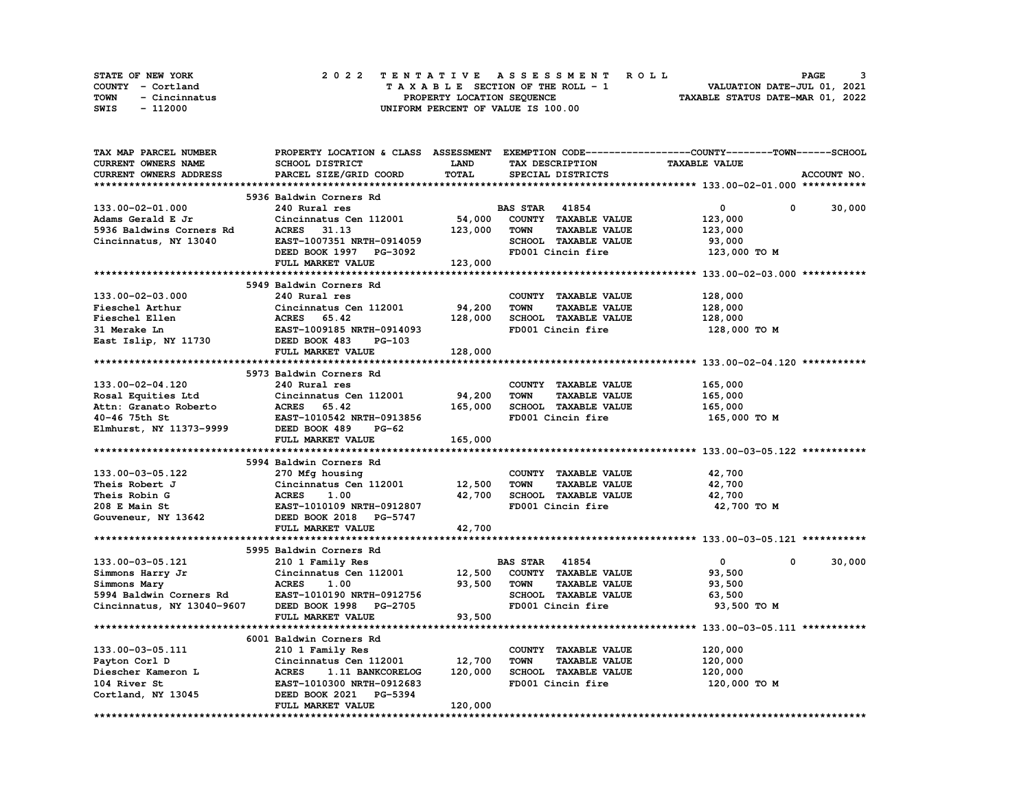| <b>STATE OF NEW YORK</b> | 2022 TENTATIVE ASSESSMENT ROLL     | PAGE                             |
|--------------------------|------------------------------------|----------------------------------|
| COUNTY - Cortland        | TAXABLE SECTION OF THE ROLL - 1    | VALUATION DATE-JUL 01, 2021      |
| TOWN<br>- Cincinnatus    | PROPERTY LOCATION SEOUENCE         | TAXABLE STATUS DATE-MAR 01, 2022 |
| - 112000<br>SWIS         | UNIFORM PERCENT OF VALUE IS 100.00 |                                  |

| TAX MAP PARCEL NUMBER      | PROPERTY LOCATION & CLASS ASSESSMENT EXEMPTION CODE----------------COUNTY-------TOWN------SCHOOL |             |                       |                      |                      |   |             |
|----------------------------|--------------------------------------------------------------------------------------------------|-------------|-----------------------|----------------------|----------------------|---|-------------|
| CURRENT OWNERS NAME        | SCHOOL DISTRICT                                                                                  | <b>LAND</b> | TAX DESCRIPTION       |                      | <b>TAXABLE VALUE</b> |   |             |
| CURRENT OWNERS ADDRESS     | PARCEL SIZE/GRID COORD                                                                           | TOTAL       | SPECIAL DISTRICTS     |                      |                      |   | ACCOUNT NO. |
|                            |                                                                                                  |             |                       |                      |                      |   |             |
|                            | 5936 Baldwin Corners Rd                                                                          |             |                       |                      |                      |   |             |
| 133.00-02-01.000           | 240 Rural res                                                                                    |             | <b>BAS STAR</b> 41854 |                      | $\mathbf{0}$         | 0 | 30,000      |
| Adams Gerald E Jr          | Cincinnatus Cen 112001                                                                           | 54,000      |                       | COUNTY TAXABLE VALUE | 123,000              |   |             |
| 5936 Baldwins Corners Rd   | <b>ACRES</b><br>31.13                                                                            | 123,000     | <b>TOWN</b>           | <b>TAXABLE VALUE</b> | 123,000              |   |             |
| Cincinnatus, NY 13040      | EAST-1007351 NRTH-0914059                                                                        |             |                       | SCHOOL TAXABLE VALUE | 93,000               |   |             |
|                            | DEED BOOK 1997 PG-3092                                                                           |             | FD001 Cincin fire     |                      | 123,000 TO M         |   |             |
|                            | FULL MARKET VALUE                                                                                | 123,000     |                       |                      |                      |   |             |
|                            |                                                                                                  |             |                       |                      |                      |   |             |
|                            | 5949 Baldwin Corners Rd                                                                          |             |                       |                      |                      |   |             |
|                            |                                                                                                  |             |                       |                      |                      |   |             |
| 133.00-02-03.000           | 240 Rural res                                                                                    |             |                       | COUNTY TAXABLE VALUE | 128,000              |   |             |
| Fieschel Arthur            | Cincinnatus Cen 112001                                                                           | 94,200      | <b>TOWN</b>           | <b>TAXABLE VALUE</b> | 128,000              |   |             |
| Fieschel Ellen             | ACRES 65.42                                                                                      | 128,000     |                       | SCHOOL TAXABLE VALUE | 128,000              |   |             |
| 31 Merake Ln               | EAST-1009185 NRTH-0914093                                                                        |             | FD001 Cincin fire     |                      | 128,000 TO M         |   |             |
| East Islip, NY 11730       | DEED BOOK 483<br>PG-103                                                                          |             |                       |                      |                      |   |             |
|                            | FULL MARKET VALUE                                                                                | 128,000     |                       |                      |                      |   |             |
|                            |                                                                                                  |             |                       |                      |                      |   |             |
|                            | 5973 Baldwin Corners Rd                                                                          |             |                       |                      |                      |   |             |
| 133.00-02-04.120           | 240 Rural res                                                                                    |             |                       | COUNTY TAXABLE VALUE | 165,000              |   |             |
| Rosal Equities Ltd         | Cincinnatus Cen 112001                                                                           | 94,200      | <b>TOWN</b>           | <b>TAXABLE VALUE</b> | 165,000              |   |             |
| Attn: Granato Roberto      | ACRES 65.42                                                                                      | 165,000     |                       | SCHOOL TAXABLE VALUE | 165,000              |   |             |
| 40-46 75th St              | EAST-1010542 NRTH-0913856                                                                        |             | FD001 Cincin fire     |                      | 165,000 TO M         |   |             |
| Elmhurst, NY 11373-9999    | DEED BOOK 489<br>PG-62                                                                           |             |                       |                      |                      |   |             |
|                            | FULL MARKET VALUE                                                                                | 165,000     |                       |                      |                      |   |             |
|                            |                                                                                                  |             |                       |                      |                      |   |             |
|                            | 5994 Baldwin Corners Rd                                                                          |             |                       |                      |                      |   |             |
| 133.00-03-05.122           | 270 Mfg housing                                                                                  |             |                       | COUNTY TAXABLE VALUE | 42,700               |   |             |
| Theis Robert J             | Cincinnatus Cen 112001                                                                           | 12,500      | <b>TOWN</b>           | <b>TAXABLE VALUE</b> | 42,700               |   |             |
| Theis Robin G              | <b>ACRES</b><br>1.00                                                                             | 42,700      |                       | SCHOOL TAXABLE VALUE | 42,700               |   |             |
| 208 E Main St              | EAST-1010109 NRTH-0912807                                                                        |             | FD001 Cincin fire     |                      | 42,700 TO M          |   |             |
| Gouveneur, NY 13642        | DEED BOOK 2018 PG-5747                                                                           |             |                       |                      |                      |   |             |
|                            | FULL MARKET VALUE                                                                                | 42,700      |                       |                      |                      |   |             |
|                            |                                                                                                  |             |                       |                      |                      |   |             |
|                            |                                                                                                  |             |                       |                      |                      |   |             |
|                            | 5995 Baldwin Corners Rd                                                                          |             | <b>BAS STAR 41854</b> |                      |                      | 0 | 30,000      |
| 133.00-03-05.121           | 210 1 Family Res                                                                                 |             |                       |                      | $\mathbf{0}$         |   |             |
| Simmons Harry Jr           | Cincinnatus Cen 112001                                                                           | 12,500      |                       | COUNTY TAXABLE VALUE | 93,500               |   |             |
| Simmons Mary               | <b>ACRES</b><br>1.00                                                                             | 93,500      | <b>TOWN</b>           | <b>TAXABLE VALUE</b> | 93,500               |   |             |
| 5994 Baldwin Corners Rd    | EAST-1010190 NRTH-0912756                                                                        |             |                       | SCHOOL TAXABLE VALUE | 63,500               |   |             |
| Cincinnatus, NY 13040-9607 | DEED BOOK 1998 PG-2705                                                                           |             | FD001 Cincin fire     |                      | 93,500 TO M          |   |             |
|                            | FULL MARKET VALUE                                                                                | 93,500      |                       |                      |                      |   |             |
|                            |                                                                                                  |             |                       |                      |                      |   |             |
|                            | 6001 Baldwin Corners Rd                                                                          |             |                       |                      |                      |   |             |
| 133.00-03-05.111           | 210 1 Family Res                                                                                 |             |                       | COUNTY TAXABLE VALUE | 120,000              |   |             |
| Payton Corl D              | Cincinnatus Cen 112001                                                                           | 12,700      | <b>TOWN</b>           | <b>TAXABLE VALUE</b> | 120,000              |   |             |
| Diescher Kameron L         | <b>ACRES</b><br>1.11 BANKCORELOG                                                                 | 120,000     |                       | SCHOOL TAXABLE VALUE | 120,000              |   |             |
| 104 River St               | EAST-1010300 NRTH-0912683                                                                        |             | FD001 Cincin fire     |                      | 120,000 TO M         |   |             |
| Cortland, NY 13045         | DEED BOOK 2021 PG-5394                                                                           |             |                       |                      |                      |   |             |
|                            | FULL MARKET VALUE                                                                                | 120,000     |                       |                      |                      |   |             |
|                            |                                                                                                  |             |                       |                      |                      |   |             |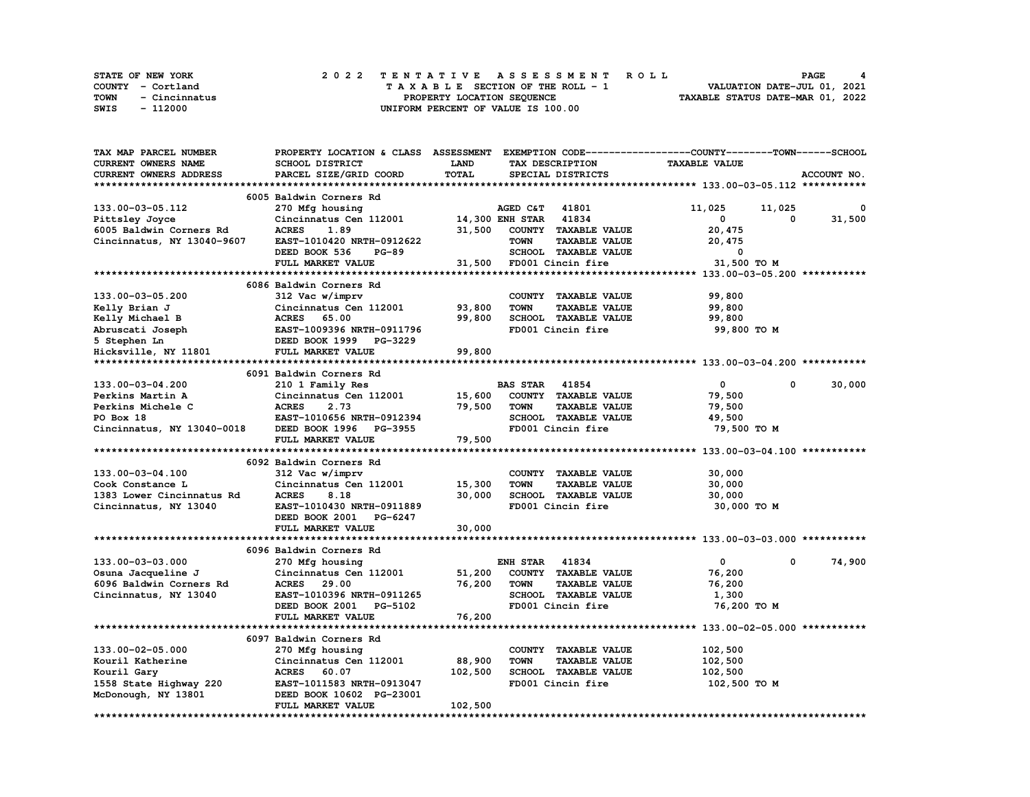|      | STATE OF NEW YORK |  | 2022 TENTATIVE ASSESSMENT ROLL |  |  |  |                                    |  |  |  |  |  |  |                                  |                             |  | PAGE |  |  |
|------|-------------------|--|--------------------------------|--|--|--|------------------------------------|--|--|--|--|--|--|----------------------------------|-----------------------------|--|------|--|--|
|      | COUNTY - Cortland |  |                                |  |  |  | TAXABLE SECTION OF THE ROLL - 1    |  |  |  |  |  |  |                                  | VALUATION DATE-JUL 01, 2021 |  |      |  |  |
| TOWN | - Cincinnatus     |  |                                |  |  |  | PROPERTY LOCATION SEQUENCE         |  |  |  |  |  |  | TAXABLE STATUS DATE-MAR 01, 2022 |                             |  |      |  |  |
| SWIS | - 112000          |  |                                |  |  |  | UNIFORM PERCENT OF VALUE IS 100.00 |  |  |  |  |  |  |                                  |                             |  |      |  |  |

| TAX MAP PARCEL NUMBER      | PROPERTY LOCATION & CLASS ASSESSMENT |         |                       |                             | EXEMPTION CODE-----------------COUNTY-------TOWN------SCHOOL |              |        |
|----------------------------|--------------------------------------|---------|-----------------------|-----------------------------|--------------------------------------------------------------|--------------|--------|
| CURRENT OWNERS NAME        | SCHOOL DISTRICT                      | LAND    |                       | TAX DESCRIPTION             | <b>TAXABLE VALUE</b>                                         |              |        |
| CURRENT OWNERS ADDRESS     | PARCEL SIZE/GRID COORD               | TOTAL   |                       | SPECIAL DISTRICTS           |                                                              | ACCOUNT NO.  |        |
|                            |                                      |         |                       |                             |                                                              |              |        |
|                            | 6005 Baldwin Corners Rd              |         |                       |                             |                                                              |              |        |
| 133.00-03-05.112           | 270 Mfg housing                      |         | <b>AGED C&amp;T</b>   | 41801                       | 11,025                                                       | 11,025       | 0      |
| Pittsley Joyce             | Cincinnatus Cen 112001               |         | 14,300 ENH STAR 41834 |                             | 0                                                            | 0            | 31,500 |
| 6005 Baldwin Corners Rd    | <b>ACRES</b><br>1.89                 | 31,500  |                       | COUNTY TAXABLE VALUE        | 20,475                                                       |              |        |
| Cincinnatus, NY 13040-9607 | EAST-1010420 NRTH-0912622            |         | <b>TOWN</b>           | <b>TAXABLE VALUE</b>        | 20,475                                                       |              |        |
|                            | DEED BOOK 536<br><b>PG-89</b>        |         |                       | SCHOOL TAXABLE VALUE        | 0                                                            |              |        |
|                            |                                      |         |                       |                             |                                                              |              |        |
|                            | FULL MARKET VALUE                    | 31,500  |                       | FD001 Cincin fire           | 31,500 TO M                                                  |              |        |
|                            |                                      |         |                       |                             |                                                              |              |        |
|                            | 6086 Baldwin Corners Rd              |         |                       |                             |                                                              |              |        |
| 133.00-03-05.200           | 312 Vac w/imprv                      |         |                       | COUNTY TAXABLE VALUE        | 99,800                                                       |              |        |
| Kelly Brian J              | Cincinnatus Cen 112001               | 93,800  | <b>TOWN</b>           | <b>TAXABLE VALUE</b>        | 99,800                                                       |              |        |
| Kelly Michael B            | <b>ACRES</b> 65.00                   | 99,800  |                       | SCHOOL TAXABLE VALUE        | 99,800                                                       |              |        |
| Abruscati Joseph           | EAST-1009396 NRTH-0911796            |         |                       | FD001 Cincin fire           | 99,800 TO M                                                  |              |        |
| 5 Stephen Ln               | DEED BOOK 1999 PG-3229               |         |                       |                             |                                                              |              |        |
| Hicksville, NY 11801       | FULL MARKET VALUE                    | 99,800  |                       |                             |                                                              |              |        |
|                            |                                      |         |                       |                             |                                                              |              |        |
|                            | 6091 Baldwin Corners Rd              |         |                       |                             |                                                              |              |        |
| 133.00-03-04.200           | 210 1 Family Res                     |         | <b>BAS STAR 41854</b> |                             | $\mathbf{0}$                                                 | $\mathbf{0}$ | 30,000 |
| Perkins Martin A           | Cincinnatus Cen 112001               | 15,600  |                       | COUNTY TAXABLE VALUE        | 79,500                                                       |              |        |
| Perkins Michele C          | <b>ACRES</b><br>2.73                 | 79,500  | <b>TOWN</b>           | <b>TAXABLE VALUE</b>        | 79,500                                                       |              |        |
| PO Box 18                  | EAST-1010656 NRTH-0912394            |         |                       | SCHOOL TAXABLE VALUE        | 49,500                                                       |              |        |
| Cincinnatus, NY 13040-0018 | DEED BOOK 1996 PG-3955               |         |                       | FD001 Cincin fire           | 79,500 TO M                                                  |              |        |
|                            | FULL MARKET VALUE                    | 79,500  |                       |                             |                                                              |              |        |
|                            |                                      |         |                       |                             |                                                              |              |        |
|                            | 6092 Baldwin Corners Rd              |         |                       |                             |                                                              |              |        |
| 133.00-03-04.100           | 312 Vac w/imprv                      |         |                       | COUNTY TAXABLE VALUE        | 30,000                                                       |              |        |
| Cook Constance L           | Cincinnatus Cen 112001               | 15,300  | <b>TOWN</b>           | <b>TAXABLE VALUE</b>        | 30,000                                                       |              |        |
| 1383 Lower Cincinnatus Rd  | 8.18<br><b>ACRES</b>                 | 30,000  |                       | SCHOOL TAXABLE VALUE        | 30,000                                                       |              |        |
| Cincinnatus, NY 13040      | EAST-1010430 NRTH-0911889            |         |                       | FD001 Cincin fire           | 30,000 TO M                                                  |              |        |
|                            | DEED BOOK 2001 PG-6247               |         |                       |                             |                                                              |              |        |
|                            | FULL MARKET VALUE                    | 30,000  |                       |                             |                                                              |              |        |
|                            |                                      |         |                       |                             |                                                              |              |        |
|                            | 6096 Baldwin Corners Rd              |         |                       |                             |                                                              |              |        |
| 133.00-03-03.000           | 270 Mfg housing                      |         | <b>ENH STAR</b>       | 41834                       | 0                                                            | 0            | 74,900 |
| Osuna Jacqueline J         | Cincinnatus Cen 112001               | 51,200  |                       | COUNTY TAXABLE VALUE        | 76,200                                                       |              |        |
| 6096 Baldwin Corners Rd    | <b>ACRES</b> 29.00                   | 76,200  | <b>TOWN</b>           | <b>TAXABLE VALUE</b>        | 76,200                                                       |              |        |
| Cincinnatus, NY 13040      | EAST-1010396 NRTH-0911265            |         |                       | <b>SCHOOL TAXABLE VALUE</b> | 1,300                                                        |              |        |
|                            | DEED BOOK 2001 PG-5102               |         |                       | FD001 Cincin fire           | 76,200 TO M                                                  |              |        |
|                            | FULL MARKET VALUE                    | 76,200  |                       |                             |                                                              |              |        |
|                            |                                      |         |                       |                             |                                                              |              |        |
|                            | 6097 Baldwin Corners Rd              |         |                       |                             |                                                              |              |        |
|                            |                                      |         |                       |                             |                                                              |              |        |
| 133.00-02-05.000           | 270 Mfg housing                      |         | <b>TOWN</b>           | COUNTY TAXABLE VALUE        | 102,500                                                      |              |        |
| Kouril Katherine           | Cincinnatus Cen 112001               | 88,900  |                       | <b>TAXABLE VALUE</b>        | 102,500                                                      |              |        |
| Kouril Gary                | ACRES 60.07                          | 102,500 |                       | <b>SCHOOL TAXABLE VALUE</b> | 102,500                                                      |              |        |
| 1558 State Highway 220     | EAST-1011583 NRTH-0913047            |         |                       | FD001 Cincin fire           | 102,500 TO M                                                 |              |        |
| McDonough, NY 13801        | DEED BOOK 10602 PG-23001             |         |                       |                             |                                                              |              |        |
|                            | FULL MARKET VALUE                    | 102,500 |                       |                             |                                                              |              |        |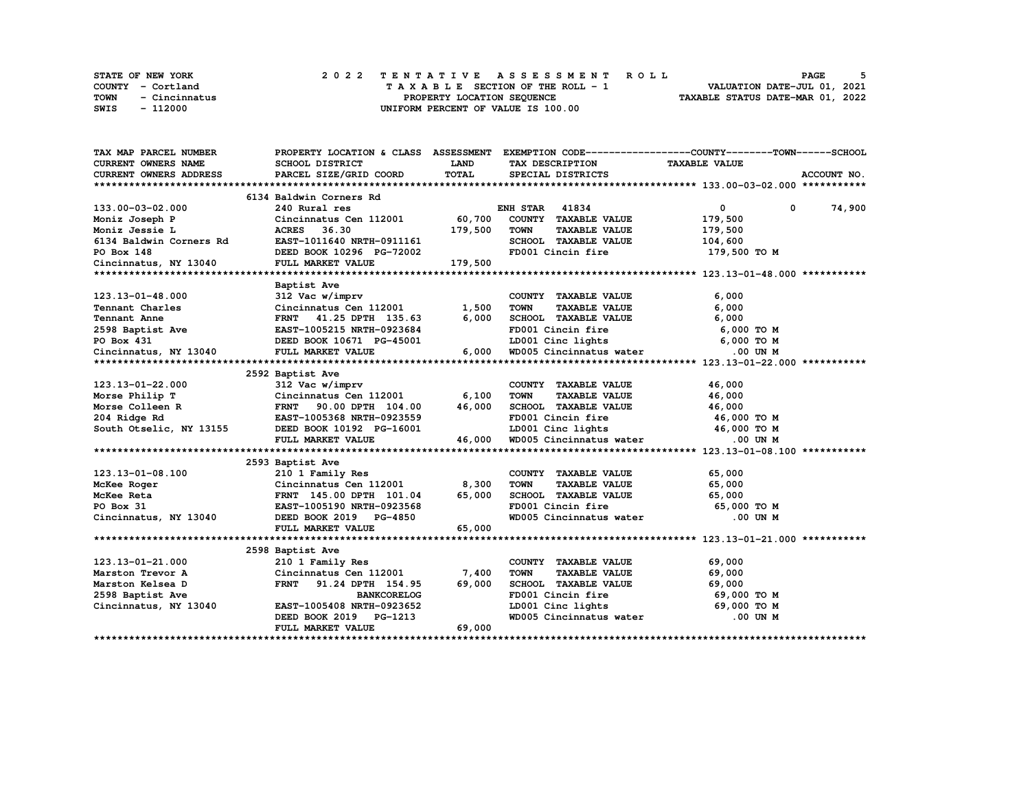|      | STATE OF NEW YORK |  | 2022 TENTATIVE ASSESSMENT ROLL                                 | PAGE |  |
|------|-------------------|--|----------------------------------------------------------------|------|--|
|      | COUNTY - Cortland |  | VALUATION DATE-JUL 01, 2021<br>TAXABLE SECTION OF THE ROLL - 1 |      |  |
| TOWN | - Cincinnatus     |  | TAXABLE STATUS DATE-MAR 01, 2022<br>PROPERTY LOCATION SEQUENCE |      |  |
| SWIS | - 112000          |  | UNIFORM PERCENT OF VALUE IS 100.00                             |      |  |

| <b>CURRENT OWNERS NAME</b><br>LAND<br><b>TAXABLE VALUE</b><br>SCHOOL DISTRICT<br>TAX DESCRIPTION<br>TOTAL<br>CURRENT OWNERS ADDRESS<br>PARCEL SIZE/GRID COORD<br>SPECIAL DISTRICTS<br>ACCOUNT NO.<br>6134 Baldwin Corners Rd<br>$\overline{0}$<br>74,900<br>133.00-03-02.000<br>240 Rural res<br><b>ENH STAR 41834</b><br>0<br>Cincinnatus Cen 112001 60,700<br>COUNTY TAXABLE VALUE<br>179,500<br>Moniz Joseph P<br>179,500<br>Moniz Jessie L<br><b>ACRES</b><br>36.30<br><b>TOWN</b><br><b>TAXABLE VALUE</b><br>179,500<br>EAST-1011640 NRTH-0911161<br>6134 Baldwin Corners Rd<br>SCHOOL TAXABLE VALUE<br>104,600<br>DEED BOOK 10296 PG-72002<br>FD001 Cincin fire<br>179,500 TO M<br>FULL MARKET VALUE<br>179,500<br>Baptist Ave<br>312 Vac w/imprv<br>123.13-01-48.000<br>COUNTY TAXABLE VALUE<br>6,000<br>Cincinnatus Cen 112001<br>1,500<br><b>TOWN</b><br>TAXABLE VALUE<br>6,000<br>6,000<br>SCHOOL TAXABLE VALUE<br>FD001 Cincin fire<br>FRNT 41.25 DPTH 135.63<br>6,000<br>6,000 TO M<br>LD001 Cinc lights 6,000 TO M<br>Cincinnatus, NY 13040 FULL MARKET VALUE<br>6,000 WD005 Cincinnatus water .00 UN M<br>2592 Baptist Ave<br>312 Vac w/imprv<br>46,000<br>COUNTY TAXABLE VALUE<br>6,100<br><b>TOWN</b><br><b>TAXABLE VALUE</b><br>46,000<br>SCHOOL TAXABLE VALUE 46,000<br>FRNT 90.00 DPTH 104.00<br>46,000<br>FD001 Cincin fire 46,000 TO M<br>LD001 Cinc lights 46,000 TO M<br>WD005 Cincinnatus water 0.00 UN M<br>EAST-1005368 NRTH-0923559<br>46,000 то м<br>46,000 то м<br>46,000<br>FULL MARKET VALUE |
|-----------------------------------------------------------------------------------------------------------------------------------------------------------------------------------------------------------------------------------------------------------------------------------------------------------------------------------------------------------------------------------------------------------------------------------------------------------------------------------------------------------------------------------------------------------------------------------------------------------------------------------------------------------------------------------------------------------------------------------------------------------------------------------------------------------------------------------------------------------------------------------------------------------------------------------------------------------------------------------------------------------------------------------------------------------------------------------------------------------------------------------------------------------------------------------------------------------------------------------------------------------------------------------------------------------------------------------------------------------------------------------------------------------------------------------------------------------------------------------------------------------------------------|
|                                                                                                                                                                                                                                                                                                                                                                                                                                                                                                                                                                                                                                                                                                                                                                                                                                                                                                                                                                                                                                                                                                                                                                                                                                                                                                                                                                                                                                                                                                                             |
| PO Box 148<br>Cincinnatus, NY 13040                                                                                                                                                                                                                                                                                                                                                                                                                                                                                                                                                                                                                                                                                                                                                                                                                                                                                                                                                                                                                                                                                                                                                                                                                                                                                                                                                                                                                                                                                         |
|                                                                                                                                                                                                                                                                                                                                                                                                                                                                                                                                                                                                                                                                                                                                                                                                                                                                                                                                                                                                                                                                                                                                                                                                                                                                                                                                                                                                                                                                                                                             |
|                                                                                                                                                                                                                                                                                                                                                                                                                                                                                                                                                                                                                                                                                                                                                                                                                                                                                                                                                                                                                                                                                                                                                                                                                                                                                                                                                                                                                                                                                                                             |
|                                                                                                                                                                                                                                                                                                                                                                                                                                                                                                                                                                                                                                                                                                                                                                                                                                                                                                                                                                                                                                                                                                                                                                                                                                                                                                                                                                                                                                                                                                                             |
|                                                                                                                                                                                                                                                                                                                                                                                                                                                                                                                                                                                                                                                                                                                                                                                                                                                                                                                                                                                                                                                                                                                                                                                                                                                                                                                                                                                                                                                                                                                             |
|                                                                                                                                                                                                                                                                                                                                                                                                                                                                                                                                                                                                                                                                                                                                                                                                                                                                                                                                                                                                                                                                                                                                                                                                                                                                                                                                                                                                                                                                                                                             |
|                                                                                                                                                                                                                                                                                                                                                                                                                                                                                                                                                                                                                                                                                                                                                                                                                                                                                                                                                                                                                                                                                                                                                                                                                                                                                                                                                                                                                                                                                                                             |
|                                                                                                                                                                                                                                                                                                                                                                                                                                                                                                                                                                                                                                                                                                                                                                                                                                                                                                                                                                                                                                                                                                                                                                                                                                                                                                                                                                                                                                                                                                                             |
|                                                                                                                                                                                                                                                                                                                                                                                                                                                                                                                                                                                                                                                                                                                                                                                                                                                                                                                                                                                                                                                                                                                                                                                                                                                                                                                                                                                                                                                                                                                             |
|                                                                                                                                                                                                                                                                                                                                                                                                                                                                                                                                                                                                                                                                                                                                                                                                                                                                                                                                                                                                                                                                                                                                                                                                                                                                                                                                                                                                                                                                                                                             |
|                                                                                                                                                                                                                                                                                                                                                                                                                                                                                                                                                                                                                                                                                                                                                                                                                                                                                                                                                                                                                                                                                                                                                                                                                                                                                                                                                                                                                                                                                                                             |
|                                                                                                                                                                                                                                                                                                                                                                                                                                                                                                                                                                                                                                                                                                                                                                                                                                                                                                                                                                                                                                                                                                                                                                                                                                                                                                                                                                                                                                                                                                                             |
|                                                                                                                                                                                                                                                                                                                                                                                                                                                                                                                                                                                                                                                                                                                                                                                                                                                                                                                                                                                                                                                                                                                                                                                                                                                                                                                                                                                                                                                                                                                             |
|                                                                                                                                                                                                                                                                                                                                                                                                                                                                                                                                                                                                                                                                                                                                                                                                                                                                                                                                                                                                                                                                                                                                                                                                                                                                                                                                                                                                                                                                                                                             |
|                                                                                                                                                                                                                                                                                                                                                                                                                                                                                                                                                                                                                                                                                                                                                                                                                                                                                                                                                                                                                                                                                                                                                                                                                                                                                                                                                                                                                                                                                                                             |
|                                                                                                                                                                                                                                                                                                                                                                                                                                                                                                                                                                                                                                                                                                                                                                                                                                                                                                                                                                                                                                                                                                                                                                                                                                                                                                                                                                                                                                                                                                                             |
|                                                                                                                                                                                                                                                                                                                                                                                                                                                                                                                                                                                                                                                                                                                                                                                                                                                                                                                                                                                                                                                                                                                                                                                                                                                                                                                                                                                                                                                                                                                             |
|                                                                                                                                                                                                                                                                                                                                                                                                                                                                                                                                                                                                                                                                                                                                                                                                                                                                                                                                                                                                                                                                                                                                                                                                                                                                                                                                                                                                                                                                                                                             |
|                                                                                                                                                                                                                                                                                                                                                                                                                                                                                                                                                                                                                                                                                                                                                                                                                                                                                                                                                                                                                                                                                                                                                                                                                                                                                                                                                                                                                                                                                                                             |
|                                                                                                                                                                                                                                                                                                                                                                                                                                                                                                                                                                                                                                                                                                                                                                                                                                                                                                                                                                                                                                                                                                                                                                                                                                                                                                                                                                                                                                                                                                                             |
|                                                                                                                                                                                                                                                                                                                                                                                                                                                                                                                                                                                                                                                                                                                                                                                                                                                                                                                                                                                                                                                                                                                                                                                                                                                                                                                                                                                                                                                                                                                             |
|                                                                                                                                                                                                                                                                                                                                                                                                                                                                                                                                                                                                                                                                                                                                                                                                                                                                                                                                                                                                                                                                                                                                                                                                                                                                                                                                                                                                                                                                                                                             |
|                                                                                                                                                                                                                                                                                                                                                                                                                                                                                                                                                                                                                                                                                                                                                                                                                                                                                                                                                                                                                                                                                                                                                                                                                                                                                                                                                                                                                                                                                                                             |
|                                                                                                                                                                                                                                                                                                                                                                                                                                                                                                                                                                                                                                                                                                                                                                                                                                                                                                                                                                                                                                                                                                                                                                                                                                                                                                                                                                                                                                                                                                                             |
|                                                                                                                                                                                                                                                                                                                                                                                                                                                                                                                                                                                                                                                                                                                                                                                                                                                                                                                                                                                                                                                                                                                                                                                                                                                                                                                                                                                                                                                                                                                             |
|                                                                                                                                                                                                                                                                                                                                                                                                                                                                                                                                                                                                                                                                                                                                                                                                                                                                                                                                                                                                                                                                                                                                                                                                                                                                                                                                                                                                                                                                                                                             |
| 2593 Baptist Ave                                                                                                                                                                                                                                                                                                                                                                                                                                                                                                                                                                                                                                                                                                                                                                                                                                                                                                                                                                                                                                                                                                                                                                                                                                                                                                                                                                                                                                                                                                            |
| 123.13-01-08.100<br>210 1 Family Res<br>COUNTY TAXABLE VALUE<br>65,000                                                                                                                                                                                                                                                                                                                                                                                                                                                                                                                                                                                                                                                                                                                                                                                                                                                                                                                                                                                                                                                                                                                                                                                                                                                                                                                                                                                                                                                      |
| Cincinnatus Cen 112001 8,300<br><b>TOWN</b><br><b>TAXABLE VALUE</b><br>65,000<br>McKee Roger                                                                                                                                                                                                                                                                                                                                                                                                                                                                                                                                                                                                                                                                                                                                                                                                                                                                                                                                                                                                                                                                                                                                                                                                                                                                                                                                                                                                                                |
| FRNT 145.00 DPTH 101.04<br>65,000<br>SCHOOL TAXABLE VALUE<br>65,000<br>McKee Reta                                                                                                                                                                                                                                                                                                                                                                                                                                                                                                                                                                                                                                                                                                                                                                                                                                                                                                                                                                                                                                                                                                                                                                                                                                                                                                                                                                                                                                           |
| PO Box 31<br>FD001 Cincin fire<br>65,000 TO M<br>EAST-1005190 NRTH-0923568                                                                                                                                                                                                                                                                                                                                                                                                                                                                                                                                                                                                                                                                                                                                                                                                                                                                                                                                                                                                                                                                                                                                                                                                                                                                                                                                                                                                                                                  |
| Cincinnatus, NY 13040<br>WD005 Cincinnatus water<br>DEED BOOK 2019 PG-4850<br>.00 UN M                                                                                                                                                                                                                                                                                                                                                                                                                                                                                                                                                                                                                                                                                                                                                                                                                                                                                                                                                                                                                                                                                                                                                                                                                                                                                                                                                                                                                                      |
| FULL MARKET VALUE<br>65,000                                                                                                                                                                                                                                                                                                                                                                                                                                                                                                                                                                                                                                                                                                                                                                                                                                                                                                                                                                                                                                                                                                                                                                                                                                                                                                                                                                                                                                                                                                 |
|                                                                                                                                                                                                                                                                                                                                                                                                                                                                                                                                                                                                                                                                                                                                                                                                                                                                                                                                                                                                                                                                                                                                                                                                                                                                                                                                                                                                                                                                                                                             |
| 2598 Baptist Ave                                                                                                                                                                                                                                                                                                                                                                                                                                                                                                                                                                                                                                                                                                                                                                                                                                                                                                                                                                                                                                                                                                                                                                                                                                                                                                                                                                                                                                                                                                            |
| 123.13-01-21.000<br>COUNTY TAXABLE VALUE<br>69,000<br>210 1 Family Res                                                                                                                                                                                                                                                                                                                                                                                                                                                                                                                                                                                                                                                                                                                                                                                                                                                                                                                                                                                                                                                                                                                                                                                                                                                                                                                                                                                                                                                      |
| Cincinnatus Cen 112001<br>7,400<br><b>TOWN</b><br><b>TAXABLE VALUE</b><br>69,000<br>Marston Trevor A                                                                                                                                                                                                                                                                                                                                                                                                                                                                                                                                                                                                                                                                                                                                                                                                                                                                                                                                                                                                                                                                                                                                                                                                                                                                                                                                                                                                                        |
| <b>FRNT</b><br>69,000<br>SCHOOL TAXABLE VALUE<br>Marston Kelsea D<br>91.24 DPTH 154.95<br>69,000                                                                                                                                                                                                                                                                                                                                                                                                                                                                                                                                                                                                                                                                                                                                                                                                                                                                                                                                                                                                                                                                                                                                                                                                                                                                                                                                                                                                                            |
| FD001 Cincin fire<br>2598 Baptist Ave<br><b>BANKCORELOG</b><br>69,000 TO M                                                                                                                                                                                                                                                                                                                                                                                                                                                                                                                                                                                                                                                                                                                                                                                                                                                                                                                                                                                                                                                                                                                                                                                                                                                                                                                                                                                                                                                  |
| LD001 Cinc lights<br>69,000 TO M<br>Cincinnatus, NY 13040<br>EAST-1005408 NRTH-0923652                                                                                                                                                                                                                                                                                                                                                                                                                                                                                                                                                                                                                                                                                                                                                                                                                                                                                                                                                                                                                                                                                                                                                                                                                                                                                                                                                                                                                                      |
| WD005 Cincinnatus water<br>DEED BOOK 2019 PG-1213<br>.00 UN M                                                                                                                                                                                                                                                                                                                                                                                                                                                                                                                                                                                                                                                                                                                                                                                                                                                                                                                                                                                                                                                                                                                                                                                                                                                                                                                                                                                                                                                               |
| FULL MARKET VALUE<br>69,000                                                                                                                                                                                                                                                                                                                                                                                                                                                                                                                                                                                                                                                                                                                                                                                                                                                                                                                                                                                                                                                                                                                                                                                                                                                                                                                                                                                                                                                                                                 |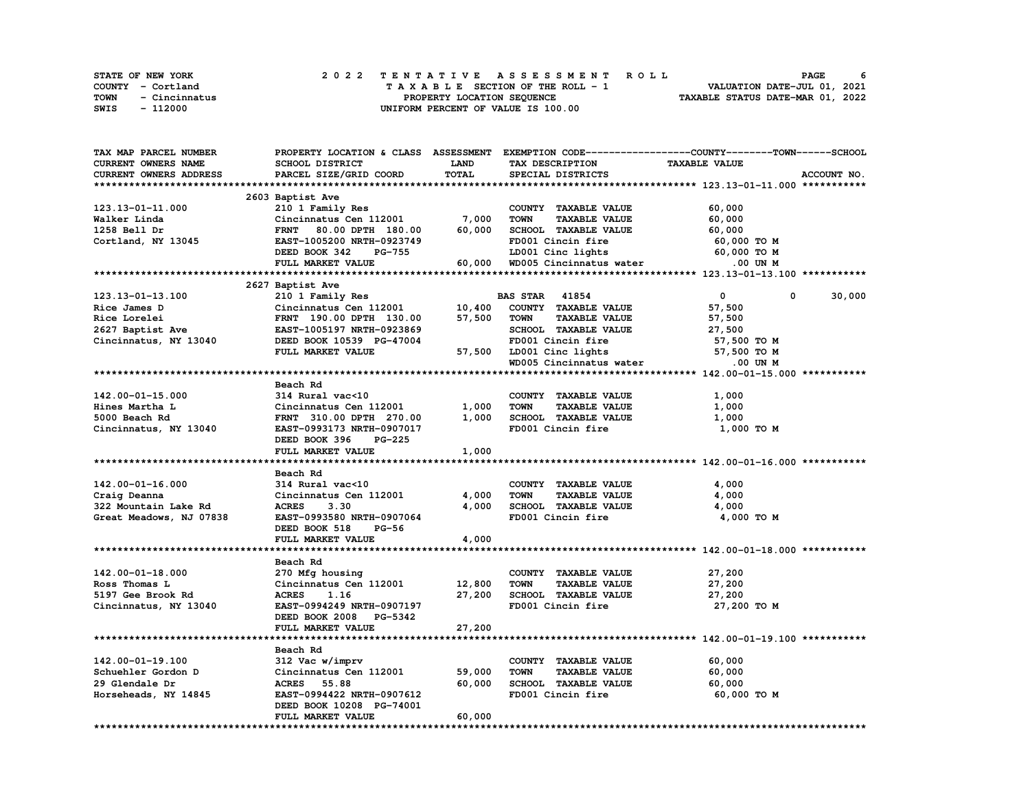| STATE OF NEW YORK     | 2022 TENTATIVE ASSESSMENT ROLL     | -6<br>PAGE                       |
|-----------------------|------------------------------------|----------------------------------|
| COUNTY - Cortland     | TAXABLE SECTION OF THE ROLL - 1    | VALUATION DATE-JUL 01, 2021      |
| TOWN<br>- Cincinnatus | PROPERTY LOCATION SEOUENCE         | TAXABLE STATUS DATE-MAR 01, 2022 |
| SWIS<br>- 112000      | UNIFORM PERCENT OF VALUE IS 100.00 |                                  |

| TAX MAP PARCEL NUMBER   |                                |             |                                                     | PROPERTY LOCATION & CLASS ASSESSMENT EXEMPTION CODE----------------COUNTY-------TOWN------SCHOOL |
|-------------------------|--------------------------------|-------------|-----------------------------------------------------|--------------------------------------------------------------------------------------------------|
| CURRENT OWNERS NAME     | <b>SCHOOL DISTRICT</b>         | <b>LAND</b> | TAX DESCRIPTION                                     | <b>TAXABLE VALUE</b>                                                                             |
| CURRENT OWNERS ADDRESS  | PARCEL SIZE/GRID COORD         | TOTAL       | SPECIAL DISTRICTS                                   | ACCOUNT NO.                                                                                      |
|                         |                                |             |                                                     |                                                                                                  |
|                         | 2603 Baptist Ave               |             |                                                     |                                                                                                  |
| 123.13-01-11.000        | 210 1 Family Res               |             | COUNTY TAXABLE VALUE                                | 60,000                                                                                           |
| Walker Linda            | Cincinnatus Cen 112001         | 7,000       | <b>TOWN</b><br><b>TAXABLE VALUE</b>                 | 60,000                                                                                           |
| 1258 Bell Dr            | FRNT 80.00 DPTH 180.00         | 60,000      | SCHOOL TAXABLE VALUE                                | 60,000                                                                                           |
| Cortland, NY 13045      | EAST-1005200 NRTH-0923749      |             | FD001 Cincin fire                                   | 60,000 TO M                                                                                      |
|                         | <b>PG-755</b><br>DEED BOOK 342 |             |                                                     | 60,000 TO M                                                                                      |
|                         | FULL MARKET VALUE              |             | LD001 Cinc lights<br>60,000 WD005 Cincinnatus water | .00 UN M                                                                                         |
|                         |                                |             |                                                     |                                                                                                  |
|                         | 2627 Baptist Ave               |             |                                                     |                                                                                                  |
| 123.13-01-13.100        | 210 1 Family Res               |             | <b>BAS STAR</b> 41854                               | $\mathbf{0}$<br>30,000<br>0                                                                      |
| Rice James D            |                                | 10,400      | COUNTY TAXABLE VALUE                                |                                                                                                  |
|                         | Cincinnatus Cen 112001         |             |                                                     | 57,500                                                                                           |
| Rice Lorelei            | FRNT 190.00 DPTH 130.00        | 57,500      | <b>TOWN</b><br><b>TAXABLE VALUE</b>                 | 57,500                                                                                           |
| 2627 Baptist Ave        | EAST-1005197 NRTH-0923869      |             | SCHOOL TAXABLE VALUE                                | 27,500                                                                                           |
| Cincinnatus, NY 13040   | DEED BOOK 10539 PG-47004       |             | FD001 Cincin fire                                   | 57,500 TO M                                                                                      |
|                         | FULL MARKET VALUE              |             | 57,500 LD001 Cinc lights                            | 57,500 TO M                                                                                      |
|                         |                                |             | WD005 Cincinnatus water                             | .00 UN M                                                                                         |
|                         |                                |             |                                                     |                                                                                                  |
|                         | Beach Rd                       |             |                                                     |                                                                                                  |
| 142.00-01-15.000        | 314 Rural vac<10               |             | COUNTY TAXABLE VALUE                                | 1,000                                                                                            |
| Hines Martha L          | Cincinnatus Cen 112001         | 1,000       | <b>TOWN</b><br><b>TAXABLE VALUE</b>                 | 1,000                                                                                            |
| 5000 Beach Rd           | FRNT 310.00 DPTH 270.00        | 1,000       | SCHOOL TAXABLE VALUE                                | 1,000                                                                                            |
| Cincinnatus, NY 13040   | EAST-0993173 NRTH-0907017      |             | FD001 Cincin fire                                   | 1,000 TO M                                                                                       |
|                         | DEED BOOK 396<br><b>PG-225</b> |             |                                                     |                                                                                                  |
|                         | FULL MARKET VALUE              | 1,000       |                                                     |                                                                                                  |
|                         |                                |             |                                                     |                                                                                                  |
|                         | Beach Rd                       |             |                                                     |                                                                                                  |
| 142.00-01-16.000        | 314 Rural vac<10               |             | COUNTY TAXABLE VALUE                                | 4,000                                                                                            |
| Craig Deanna            | Cincinnatus Cen 112001         | 4,000       | <b>TOWN</b><br><b>TAXABLE VALUE</b>                 | 4,000                                                                                            |
| 322 Mountain Lake Rd    | <b>ACRES</b><br>3.30           | 4,000       | SCHOOL TAXABLE VALUE                                | 4,000                                                                                            |
| Great Meadows, NJ 07838 | EAST-0993580 NRTH-0907064      |             | FD001 Cincin fire                                   | 4,000 TO M                                                                                       |
|                         | DEED BOOK 518<br><b>PG-56</b>  |             |                                                     |                                                                                                  |
|                         | FULL MARKET VALUE              | 4,000       |                                                     |                                                                                                  |
|                         |                                |             |                                                     |                                                                                                  |
|                         | Beach Rd                       |             |                                                     |                                                                                                  |
| 142.00-01-18.000        | 270 Mfg housing                |             | COUNTY TAXABLE VALUE                                | 27,200                                                                                           |
| Ross Thomas L           | Cincinnatus Cen 112001         | 12,800      | <b>TOWN</b><br><b>TAXABLE VALUE</b>                 | 27,200                                                                                           |
| 5197 Gee Brook Rd       | <b>ACRES</b><br>1.16           | 27,200      | SCHOOL TAXABLE VALUE                                | 27,200                                                                                           |
| Cincinnatus, NY 13040   | EAST-0994249 NRTH-0907197      |             | FD001 Cincin fire                                   | 27,200 TO M                                                                                      |
|                         | DEED BOOK 2008 PG-5342         |             |                                                     |                                                                                                  |
|                         | FULL MARKET VALUE              | 27,200      |                                                     |                                                                                                  |
|                         |                                |             |                                                     |                                                                                                  |
|                         | Beach Rd                       |             |                                                     |                                                                                                  |
| 142.00-01-19.100        | 312 Vac w/imprv                |             | COUNTY TAXABLE VALUE                                | 60,000                                                                                           |
| Schuehler Gordon D      | Cincinnatus Cen 112001         | 59,000      | <b>TOWN</b><br><b>TAXABLE VALUE</b>                 | 60,000                                                                                           |
| 29 Glendale Dr          | <b>ACRES</b> 55.88             | 60,000      | SCHOOL TAXABLE VALUE                                | 60,000                                                                                           |
| Horseheads, NY 14845    | EAST-0994422 NRTH-0907612      |             | FD001 Cincin fire                                   | 60,000 TO M                                                                                      |
|                         | DEED BOOK 10208 PG-74001       |             |                                                     |                                                                                                  |
|                         | FULL MARKET VALUE              | 60,000      |                                                     |                                                                                                  |
|                         |                                |             |                                                     |                                                                                                  |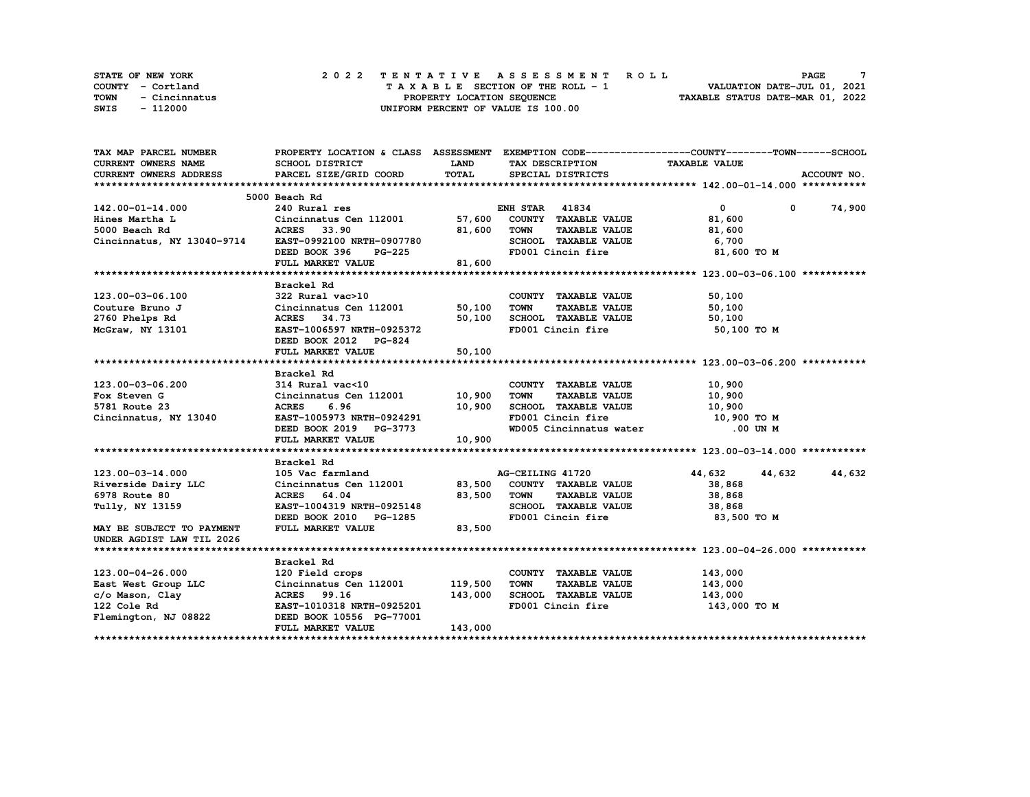| <b>STATE OF NEW YORK</b> | 2022 TENTATIVE ASSESSMENT ROLL     | PAGE                             |
|--------------------------|------------------------------------|----------------------------------|
| COUNTY - Cortland        | TAXABLE SECTION OF THE ROLL - 1    | VALUATION DATE-JUL 01, 2021      |
| TOWN<br>- Cincinnatus    | PROPERTY LOCATION SEOUENCE         | TAXABLE STATUS DATE-MAR 01, 2022 |
| - 112000<br>SWIS         | UNIFORM PERCENT OF VALUE IS 100.00 |                                  |

| TAX MAP PARCEL NUMBER                                |                                                     |             | PROPERTY LOCATION & CLASS ASSESSMENT EXEMPTION CODE----------------COUNTY-------TOWN------SCHOOL |                                   |               |
|------------------------------------------------------|-----------------------------------------------------|-------------|--------------------------------------------------------------------------------------------------|-----------------------------------|---------------|
| <b>CURRENT OWNERS NAME</b>                           | <b>SCHOOL DISTRICT</b>                              | <b>LAND</b> | TAX DESCRIPTION TAXABLE VALUE                                                                    |                                   |               |
| <b>CURRENT OWNERS ADDRESS</b>                        | PARCEL SIZE/GRID COORD                              | TOTAL       | SPECIAL DISTRICTS                                                                                |                                   | ACCOUNT NO.   |
|                                                      |                                                     |             |                                                                                                  |                                   |               |
|                                                      | 5000 Beach Rd                                       |             |                                                                                                  |                                   |               |
| 142.00-01-14.000                                     | 240 Rural res                                       |             | <b>ENH STAR 41834</b>                                                                            | $\overline{0}$ and $\overline{0}$ | $0 \t 74,900$ |
| Hines Martha L                                       |                                                     |             |                                                                                                  | 81,600                            |               |
| 5000 Beach Rd                                        |                                                     |             | <b>TAXABLE VALUE</b>                                                                             | 81,600                            |               |
| Cincinnatus, NY 13040-9714 EAST-0992100 NRTH-0907780 |                                                     |             | SCHOOL TAXABLE VALUE                                                                             | 6,700                             |               |
|                                                      | DEED BOOK 396 PG-225                                |             | FD001 Cincin fire                                                                                | 81,600 TO M                       |               |
|                                                      | FULL MARKET VALUE                                   | 81,600      |                                                                                                  |                                   |               |
|                                                      |                                                     |             |                                                                                                  |                                   |               |
|                                                      | Brackel Rd                                          |             |                                                                                                  |                                   |               |
| 123.00-03-06.100                                     | 322 Rural vac>10                                    |             | COUNTY TAXABLE VALUE                                                                             | 50,100                            |               |
| Couture Bruno J                                      |                                                     |             | <b>TOWN</b><br>TAXABLE VALUE 50,100                                                              |                                   |               |
|                                                      | Cincinnatus Cen 112001 50,100<br>ACRES 34.73 50.100 |             |                                                                                                  | 50,100                            |               |
|                                                      |                                                     |             |                                                                                                  | 50,100 TO M                       |               |
|                                                      | DEED BOOK 2012 PG-824                               |             |                                                                                                  |                                   |               |
|                                                      | FULL MARKET VALUE                                   | 50,100      |                                                                                                  |                                   |               |
|                                                      |                                                     |             |                                                                                                  |                                   |               |
|                                                      | Brackel Rd                                          |             |                                                                                                  |                                   |               |
| 123.00-03-06.200                                     |                                                     |             | COUNTY TAXABLE VALUE                                                                             | 10,900                            |               |
| Fox Steven G                                         | 314 Rural vac<10<br>Cincinnatus Cen 112001 10,900   |             | <b>TAXABLE VALUE</b><br>TOWN                                                                     | 10,900                            |               |
| 5781 Route 23                                        | <b>ACRES</b><br>6.96                                |             | SCHOOL TAXABLE VALUE 10,900                                                                      |                                   |               |
| Cincinnatus, NY 13040                                |                                                     | 10,900      |                                                                                                  |                                   |               |
|                                                      | EAST-1005973 NRTH-0924291<br>DEED BOOK 2019 PG-3773 |             | FD001 Cincin fire 10,900 TO M<br>WD005 Cincinnatus water .00 UN M                                |                                   |               |
|                                                      | FULL MARKET VALUE                                   | 10,900      |                                                                                                  |                                   |               |
|                                                      |                                                     |             |                                                                                                  |                                   |               |
|                                                      |                                                     |             |                                                                                                  |                                   |               |
| 123.00-03-14.000                                     | Brackel Rd<br>105 Vac farmland                      |             | AG-CEILING 41720                                                                                 | 44,632<br>44,632                  | 44,632        |
|                                                      |                                                     |             |                                                                                                  | 38,868                            |               |
| Riverside Dairy LLC<br>6978 Route 80                 | Cincinnatus Cen 112001 83,500 COUNTY TAXABLE VALUE  | 83,500 TOWN |                                                                                                  |                                   |               |
| 6978 Route 80<br>Tully, NY 13159                     | ACRES 64.04<br>EAST-1004319 NRTH-0925148            |             | <b>TAXABLE VALUE</b><br>SCHOOL TAXABLE VALUE 38,868                                              | 38,868                            |               |
|                                                      |                                                     |             | FD001 Cincin fire                                                                                | 83,500 TO M                       |               |
|                                                      | DEED BOOK 2010 PG-1285<br>FULL MARKET VALUE 83,500  |             |                                                                                                  |                                   |               |
| MAY BE SUBJECT TO PAYMENT                            |                                                     |             |                                                                                                  |                                   |               |
| UNDER AGDIST LAW TIL 2026                            |                                                     |             |                                                                                                  |                                   |               |
|                                                      |                                                     |             |                                                                                                  |                                   |               |
|                                                      | Brackel Rd                                          |             |                                                                                                  |                                   |               |
| 123.00-04-26.000                                     | 120 Field crops                                     |             | COUNTY TAXABLE VALUE                                                                             | 143,000                           |               |
| East West Group LLC                                  | Cincinnatus Cen 112001 119,500                      |             | <b>TOWN</b><br>TAXABLE VALUE                                                                     | 143,000                           |               |
| c/o Mason, Clay<br>122 Cole Rd                       | ACRES 99.16                                         | 143,000     | SCHOOL TAXABLE VALUE<br>FD001 Cincin fire                                                        | 143,000                           |               |
| 122 Cole Rd                                          | EAST-1010318 NRTH-0925201                           |             |                                                                                                  | 143,000 TO M                      |               |
| Flemington, NJ 08822                                 | DEED BOOK 10556 PG-77001                            |             |                                                                                                  |                                   |               |
|                                                      | FULL MARKET VALUE                                   | 143,000     |                                                                                                  |                                   |               |
|                                                      |                                                     |             |                                                                                                  |                                   |               |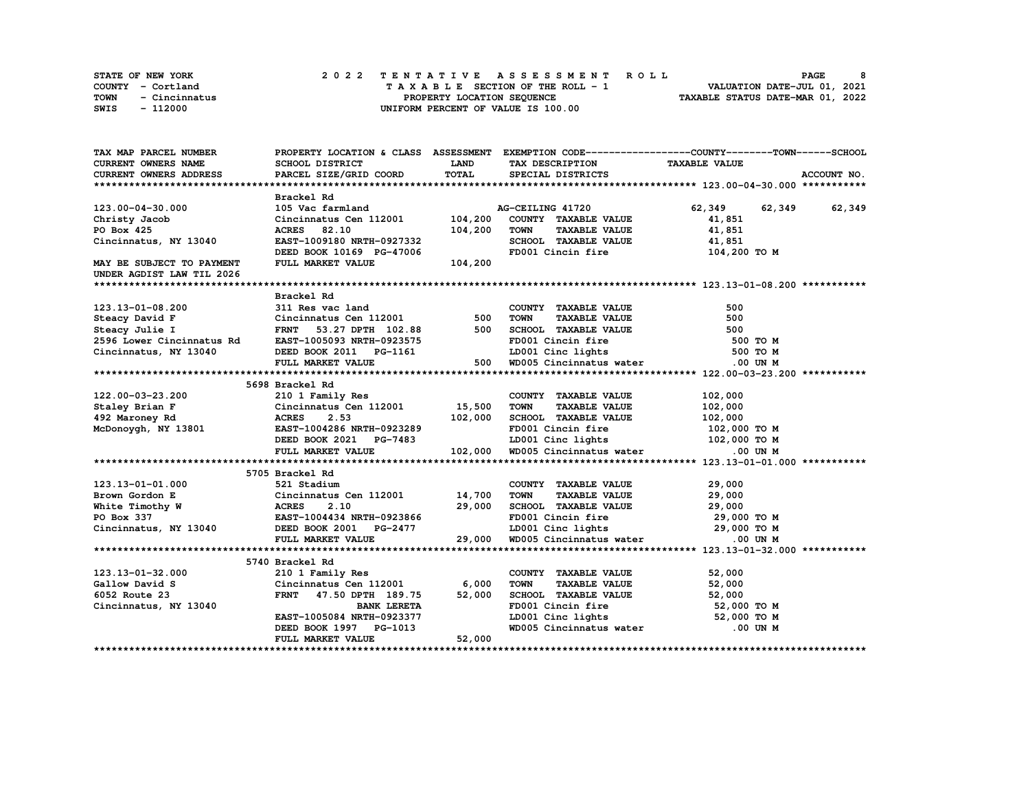|             | <b>STATE OF NEW YORK</b> | 2022 TENTATIVE ASSESSMENT ROLL     | 8<br><b>PAGE</b>                 |  |
|-------------|--------------------------|------------------------------------|----------------------------------|--|
|             | COUNTY - Cortland        | TAXABLE SECTION OF THE ROLL - 1    | VALUATION DATE-JUL 01, 2021      |  |
| <b>TOWN</b> | - Cincinnatus            | PROPERTY LOCATION SEOUENCE         | TAXABLE STATUS DATE-MAR 01, 2022 |  |
| SWIS        | - 112000                 | UNIFORM PERCENT OF VALUE IS 100.00 |                                  |  |

| TAX MAP PARCEL NUMBER                                                                                                                                                                                     |                                                                                                                                                                                 |              | PROPERTY LOCATION & CLASS ASSESSMENT EXEMPTION CODE----------------COUNTY-------TOWN-----SCHOOL     |                      |             |
|-----------------------------------------------------------------------------------------------------------------------------------------------------------------------------------------------------------|---------------------------------------------------------------------------------------------------------------------------------------------------------------------------------|--------------|-----------------------------------------------------------------------------------------------------|----------------------|-------------|
| CURRENT OWNERS NAME                                                                                                                                                                                       | SCHOOL DISTRICT                                                                                                                                                                 | <b>LAND</b>  | TAX DESCRIPTION TAXABLE VALUE                                                                       |                      |             |
| CURRENT OWNERS ADDRESS                                                                                                                                                                                    | PARCEL SIZE/GRID COORD                                                                                                                                                          | <b>TOTAL</b> | SPECIAL DISTRICTS                                                                                   |                      | ACCOUNT NO. |
|                                                                                                                                                                                                           |                                                                                                                                                                                 |              |                                                                                                     |                      |             |
|                                                                                                                                                                                                           | Brackel Rd                                                                                                                                                                      |              |                                                                                                     |                      |             |
| 123.00-04-30.000                                                                                                                                                                                          | 105 Vac farmland a AC Cincinnatus Cen 112001 104,200                                                                                                                            |              | AG-CEILING 41720                                                                                    | 62,349 62,349 62,349 |             |
| Christy Jacob                                                                                                                                                                                             |                                                                                                                                                                                 |              | COUNTY TAXABLE VALUE                                                                                | 41,851               |             |
| PO Box 425                                                                                                                                                                                                |                                                                                                                                                                                 | 104,200      | <b>TOWN</b><br><b>TAXABLE VALUE</b>                                                                 | 41,851               |             |
| Cincinnatus, NY 13040                                                                                                                                                                                     | ACRES 82.10<br>EAST-1009180 NRTH-0927332<br>DEED DOOT 2011                                                                                                                      |              | SCHOOL TAXABLE VALUE 41,851<br>FD001 Cincin fire 104,200 TO M                                       |                      |             |
|                                                                                                                                                                                                           | DEED BOOK 10169 PG-47006                                                                                                                                                        |              |                                                                                                     |                      |             |
| MAY BE SUBJECT TO PAYMENT                                                                                                                                                                                 | FULL MARKET VALUE                                                                                                                                                               | 104,200      |                                                                                                     |                      |             |
| UNDER AGDIST LAW TIL 2026                                                                                                                                                                                 |                                                                                                                                                                                 |              |                                                                                                     |                      |             |
|                                                                                                                                                                                                           |                                                                                                                                                                                 |              |                                                                                                     |                      |             |
|                                                                                                                                                                                                           | Brackel Rd                                                                                                                                                                      |              |                                                                                                     |                      |             |
| 123.13-01-08.200                                                                                                                                                                                          | 311 Res vac land                                                                                                                                                                |              | COUNTY TAXABLE VALUE                                                                                | 500                  |             |
|                                                                                                                                                                                                           |                                                                                                                                                                                 |              | TAXABLE VALUE<br>TOWN                                                                               | 500                  |             |
| Exacy David F<br>Cincinnatus Cen 112001 500<br>Steacy Julie I FRNT 53.27 DPTH 102.88 500<br>2596 Lower Cincinnatus Rd EAST-1005093 NRTH-0923575                                                           |                                                                                                                                                                                 |              |                                                                                                     | 500                  |             |
|                                                                                                                                                                                                           |                                                                                                                                                                                 |              | SCHOOL TAXABLE VALUE<br>FD001 Cincin fire                                                           | 500 TO M             |             |
| Cincinnatus, NY 13040                                                                                                                                                                                     | DEED BOOK 2011 PG-1161                                                                                                                                                          |              | LD001 Cinc lights                                                                                   | 500 TO M             |             |
|                                                                                                                                                                                                           | FULL MARKET VALUE                                                                                                                                                               |              | 500 WD005 Cincinnatus water                                                                         | .00 UN M             |             |
|                                                                                                                                                                                                           |                                                                                                                                                                                 |              |                                                                                                     |                      |             |
|                                                                                                                                                                                                           | 5698 Brackel Rd                                                                                                                                                                 |              |                                                                                                     |                      |             |
|                                                                                                                                                                                                           |                                                                                                                                                                                 |              | COUNTY TAXABLE VALUE                                                                                | 102,000              |             |
|                                                                                                                                                                                                           |                                                                                                                                                                                 |              | <b>TAXABLE VALUE</b><br>TOWN                                                                        | 102,000              |             |
| 122.00-03-23.200 210 1 Family Res<br>Staley Brian F Cincinnatus Cen 112001 15,500<br>492 Maroney Rd ACRES 2.53 102,000<br>McDonoygh, NY 13801 EAST-1004286 NRTH-0923289                                   |                                                                                                                                                                                 |              | SCHOOL TAXABLE VALUE $102,000$                                                                      |                      |             |
|                                                                                                                                                                                                           |                                                                                                                                                                                 |              | FD001 Cincin fire                                                                                   | 102,000 TO M         |             |
|                                                                                                                                                                                                           |                                                                                                                                                                                 |              |                                                                                                     |                      |             |
|                                                                                                                                                                                                           | EAST-1004286 NRTH-0923289 FD001 Cincin fire 102,000 TO M<br>DEED BOOK 2021 PG-7483 LD001 Cinc lights 102,000 TO M<br>FULL MARKET VALUE 102,000 WD005 Cincinnatus water .00 UN M |              |                                                                                                     |                      |             |
|                                                                                                                                                                                                           |                                                                                                                                                                                 |              |                                                                                                     |                      |             |
|                                                                                                                                                                                                           | 5705 Brackel Rd                                                                                                                                                                 |              |                                                                                                     |                      |             |
| 123.13-01-01.000 521 Stadium<br>Brown Gordon E Cincinnatus Cen 112001 14,700<br>White Timothy W ACRES 2.10 29,000<br>PO Box 337 EAST-1004434 NRTH-0923866<br>Cincinnatus, NY 13040 DEED BOOK 2001 PG-2477 |                                                                                                                                                                                 |              |                                                                                                     | 29,000               |             |
|                                                                                                                                                                                                           |                                                                                                                                                                                 |              | COUNTY TAXABLE VALUE<br>TOWN      TAXABLE VALUE                                                     | 29,000               |             |
|                                                                                                                                                                                                           |                                                                                                                                                                                 |              | SCHOOL TAXABLE VALUE 29,000                                                                         |                      |             |
|                                                                                                                                                                                                           |                                                                                                                                                                                 |              | FD001 Cincin fire 29,000 TO M<br>LD001 Cinc lights 29,000 TO M<br>WD005 Cincinnatus water 0.00 UN M |                      |             |
|                                                                                                                                                                                                           |                                                                                                                                                                                 |              |                                                                                                     |                      |             |
|                                                                                                                                                                                                           | FULL MARKET VALUE                                                                                                                                                               | 29,000       |                                                                                                     |                      |             |
|                                                                                                                                                                                                           |                                                                                                                                                                                 |              |                                                                                                     |                      |             |
|                                                                                                                                                                                                           | 5740 Brackel Rd                                                                                                                                                                 |              |                                                                                                     |                      |             |
| 123.13-01-32.000                                                                                                                                                                                          | 210 1 Family Res                                                                                                                                                                |              | COUNTY TAXABLE VALUE                                                                                | 52,000               |             |
| Gallow David S                                                                                                                                                                                            | $Cincinnatus Cen$ 112001 6,000                                                                                                                                                  |              | <b>TOWN</b><br><b>TAXABLE VALUE</b>                                                                 | 52,000               |             |
| 6052 Route 23                                                                                                                                                                                             | FRNT 47.50 DPTH 189.75                                                                                                                                                          | 52,000       | SCHOOL TAXABLE VALUE 52,000                                                                         |                      |             |
| Cincinnatus, NY 13040                                                                                                                                                                                     | <b>BANK LERETA</b>                                                                                                                                                              |              |                                                                                                     |                      |             |
|                                                                                                                                                                                                           | EAST-1005084 NRTH-0923377                                                                                                                                                       |              |                                                                                                     |                      |             |
|                                                                                                                                                                                                           | DEED BOOK 1997 PG-1013                                                                                                                                                          |              | Example 11 The 52,000 TO M<br>LD001 Cinc lights 52,000 TO M<br>WD005 Cincinnatus water .00 UN M     |                      |             |
|                                                                                                                                                                                                           | FULL MARKET VALUE                                                                                                                                                               | 52,000       |                                                                                                     |                      |             |
|                                                                                                                                                                                                           |                                                                                                                                                                                 |              |                                                                                                     |                      |             |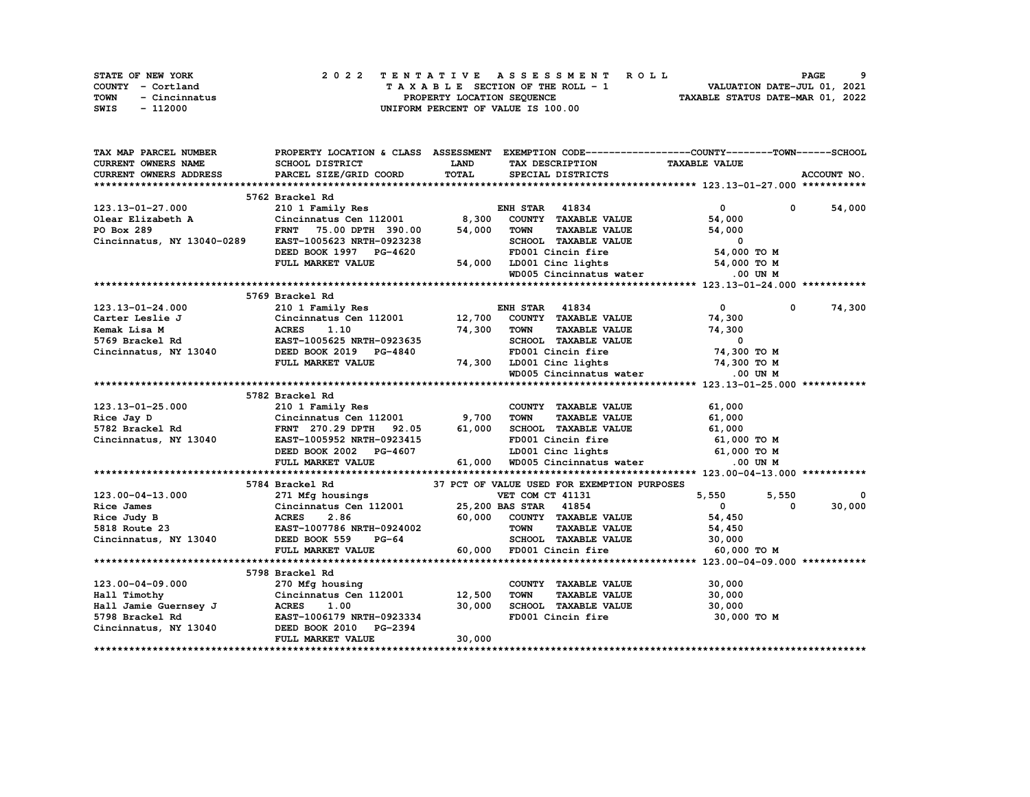| <b>STATE OF NEW YORK</b> | 2022 TENTATIVE ASSESSMENT ROLL     | PAGE                             |
|--------------------------|------------------------------------|----------------------------------|
| COUNTY - Cortland        | TAXABLE SECTION OF THE ROLL - 1    | VALUATION DATE-JUL 01, 2021      |
| TOWN<br>- Cincinnatus    | PROPERTY LOCATION SEOUENCE         | TAXABLE STATUS DATE-MAR 01, 2022 |
| - 112000<br>SWIS         | UNIFORM PERCENT OF VALUE IS 100.00 |                                  |

| TAX MAP PARCEL NUMBER           |                                                                                                                            |             | PROPERTY LOCATION & CLASS ASSESSMENT EXEMPTION CODE-----------------COUNTY-------TOWN------SCHOOL |                             |             |
|---------------------------------|----------------------------------------------------------------------------------------------------------------------------|-------------|---------------------------------------------------------------------------------------------------|-----------------------------|-------------|
| CURRENT OWNERS NAME             | SCHOOL DISTRICT                                                                                                            | <b>LAND</b> | TAX DESCRIPTION                                                                                   | <b>TAXABLE VALUE</b>        |             |
| <b>CURRENT OWNERS ADDRESS</b>   | PARCEL SIZE/GRID COORD                                                                                                     | TOTAL       | SPECIAL DISTRICTS                                                                                 |                             | ACCOUNT NO. |
|                                 |                                                                                                                            |             |                                                                                                   |                             |             |
|                                 | 5762 Brackel Rd                                                                                                            |             |                                                                                                   |                             |             |
| 123.13-01-27.000                | 210 1 Family Res                                                                                                           |             | <b>ENH STAR 41834</b>                                                                             | $\mathbf{0}$                | 0 54,000    |
|                                 | Cincinnatus Cen 112001 8,300                                                                                               |             | COUNTY TAXABLE VALUE                                                                              | 54,000                      |             |
| Olear Elizabeth A<br>PO Box 289 | <b>FRNT</b><br>75.00 DPTH 390.00                                                                                           | 54,000      | <b>TOWN</b><br>TAXABLE VALUE                                                                      | 54,000                      |             |
| Cincinnatus, NY 13040-0289      | EAST-1005623 NRTH-0923238                                                                                                  |             | SCHOOL TAXABLE VALUE                                                                              | $\Omega$                    |             |
|                                 | DEED BOOK 1997 PG-4620                                                                                                     |             | FD001 Cincin fire                                                                                 | 54,000 TO M                 |             |
|                                 | FULL MARKET VALUE                                                                                                          |             |                                                                                                   |                             |             |
|                                 |                                                                                                                            |             | 54,000 LD001 Cinc lights 54,000 TO M<br>WD005 Cincinnatus water .00 UN M                          |                             |             |
|                                 |                                                                                                                            |             |                                                                                                   |                             |             |
|                                 | 5769 Brackel Rd                                                                                                            |             |                                                                                                   |                             |             |
| 123.13-01-24.000                | 210 1 Family Res                                                                                                           |             | <b>ENH STAR 41834</b>                                                                             | $\mathbf{0}$<br>$\mathbf 0$ | 74,300      |
| Carter Leslie J                 | Cincinnatus Cen 112001 12,700                                                                                              |             | COUNTY TAXABLE VALUE                                                                              | 74,300                      |             |
| Kemak Lisa M                    | <b>ACRES</b><br>1.10                                                                                                       | 74,300      | <b>TAXABLE VALUE</b><br><b>TOWN</b>                                                               | 74,300                      |             |
| 5769 Brackel Rd                 | EAST-1005625 NRTH-0923635                                                                                                  |             | SCHOOL TAXABLE VALUE                                                                              | $\overline{\phantom{a}}$    |             |
| Cincinnatus, NY 13040           | DEED BOOK 2019 PG-4840                                                                                                     |             | FD001 Cincin fire                                                                                 | 74,300 TO M                 |             |
|                                 | FULL MARKET VALUE                                                                                                          |             |                                                                                                   | 74,300 TO M                 |             |
|                                 |                                                                                                                            |             | 74,300 LD001 Cinc lights<br>WD005 Cincinnatus water                                               | $.00$ UN M                  |             |
|                                 |                                                                                                                            |             |                                                                                                   |                             |             |
|                                 | 5782 Brackel Rd                                                                                                            |             |                                                                                                   |                             |             |
| 123.13-01-25.000                | 210 1 Family Res                                                                                                           |             | COUNTY TAXABLE VALUE                                                                              | 61,000                      |             |
| Rice Jay D                      |                                                                                                                            |             | <b>TOWN</b><br><b>TAXABLE VALUE</b>                                                               | 61,000                      |             |
| 5782 Brackel Rd                 | Cincinnatus Cen 112001 9,700<br>FRNT 270.29 DPTH 92.05 61,000                                                              |             | SCHOOL TAXABLE VALUE                                                                              | 61,000                      |             |
| Cincinnatus, NY 13040           | EAST-1005952 NRTH-0923415                                                                                                  |             | FD001 Cincin fire 61,000 TO M                                                                     |                             |             |
|                                 | DEED BOOK 2002 PG-4607                                                                                                     |             |                                                                                                   |                             |             |
|                                 | FULL MARKET VALUE                                                                                                          |             | LD001 Cinc lights 61,000 TO M<br>61,000 WD005 Cincinnatus water 0.00 UN M                         |                             |             |
|                                 |                                                                                                                            |             |                                                                                                   |                             |             |
|                                 | 5784 Brackel Rd                                                                                                            |             | 37 PCT OF VALUE USED FOR EXEMPTION PURPOSES                                                       |                             |             |
| 123.00-04-13.000                | 271 Mfg housings                                                                                                           |             | VET COM CT 41131                                                                                  | 5,550<br>5,550              | 0           |
| Rice James                      | Cincinnatus Cen 112001 25,200 BAS STAR 11254<br>ACRES 2.86 60,000 COUNTY TAXABLE<br>EAST-1007786 NRTH-0924002 TOWN TAXABLE |             |                                                                                                   | $\mathbf{0}$<br>$\Omega$    | 30,000      |
| Rice Judy B                     |                                                                                                                            |             | 60,000 COUNTY TAXABLE VALUE                                                                       | 54,450                      |             |
| 5818 Route 23                   |                                                                                                                            |             | <b>TAXABLE VALUE</b>                                                                              | 54,450                      |             |
| Cincinnatus, NY 13040           | DEED BOOK 559<br><b>PG-64</b>                                                                                              |             | SCHOOL TAXABLE VALUE                                                                              | 30,000                      |             |
|                                 | FULL MARKET VALUE                                                                                                          |             | 60,000 FD001 Cincin fire                                                                          | 60,000 TO M                 |             |
|                                 |                                                                                                                            |             |                                                                                                   |                             |             |
|                                 | 5798 Brackel Rd                                                                                                            |             |                                                                                                   |                             |             |
| 123.00-04-09.000                | 270 Mfg housing                                                                                                            |             | COUNTY TAXABLE VALUE                                                                              | 30,000                      |             |
| Hall Timothy                    | Cincinnatus Cen 112001 12,500                                                                                              |             | <b>TOWN</b><br><b>TAXABLE VALUE</b>                                                               | 30,000                      |             |
|                                 |                                                                                                                            | 30,000      | SCHOOL TAXABLE VALUE<br>Theol Cincin fire                                                         | 30,000                      |             |
|                                 |                                                                                                                            |             |                                                                                                   | 30,000 TO M                 |             |
| Cincinnatus, NY 13040           | DEED BOOK 2010 PG-2394                                                                                                     |             |                                                                                                   |                             |             |
|                                 | FULL MARKET VALUE                                                                                                          | 30,000      |                                                                                                   |                             |             |
|                                 |                                                                                                                            |             |                                                                                                   |                             |             |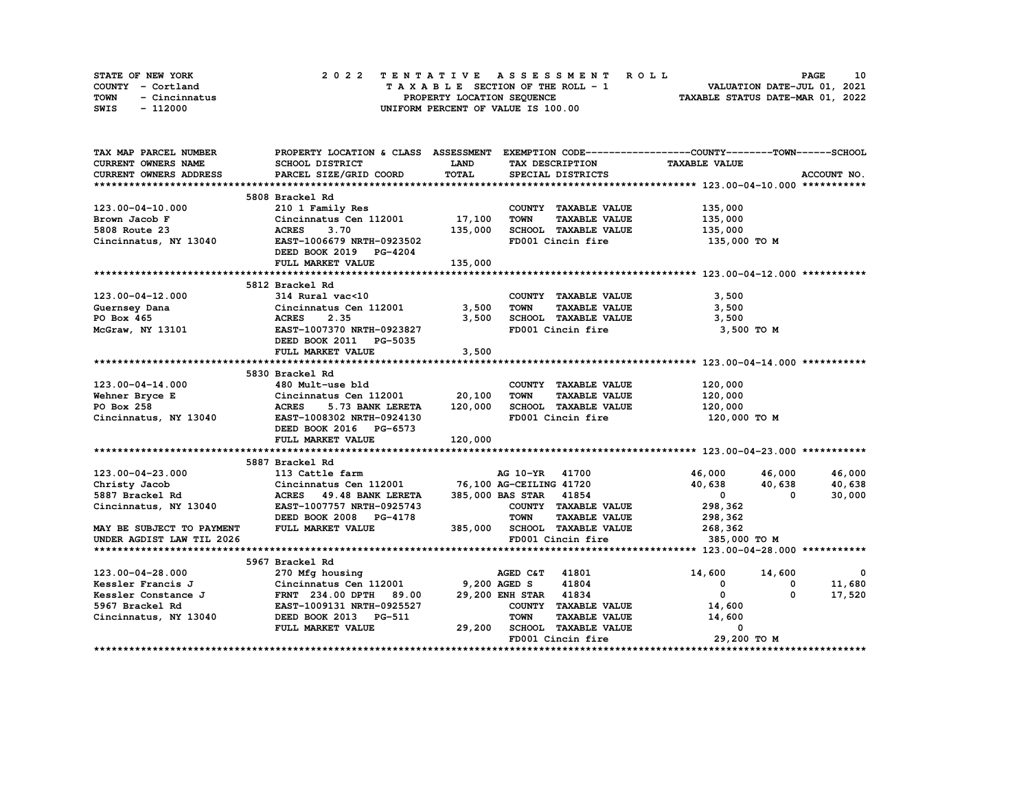| STATE OF NEW YORK     | 2022 TENTATIVE ASSESSMENT ROLL     | 10<br><b>PAGE</b>                |
|-----------------------|------------------------------------|----------------------------------|
| COUNTY - Cortland     | TAXABLE SECTION OF THE ROLL - 1    | VALUATION DATE-JUL 01, 2021      |
| TOWN<br>- Cincinnatus | PROPERTY LOCATION SEQUENCE         | TAXABLE STATUS DATE-MAR 01, 2022 |
| SWIS<br>- 112000      | UNIFORM PERCENT OF VALUE IS 100.00 |                                  |

| TAX MAP PARCEL NUMBER         | PROPERTY LOCATION & CLASS ASSESSMENT |              |                                     | EXEMPTION CODE-----------------COUNTY-------TOWN-----SCHOOL |             |
|-------------------------------|--------------------------------------|--------------|-------------------------------------|-------------------------------------------------------------|-------------|
| CURRENT OWNERS NAME           | SCHOOL DISTRICT                      | <b>LAND</b>  | TAX DESCRIPTION                     | <b>TAXABLE VALUE</b>                                        |             |
| <b>CURRENT OWNERS ADDRESS</b> | PARCEL SIZE/GRID COORD               | TOTAL        | SPECIAL DISTRICTS                   |                                                             | ACCOUNT NO. |
|                               |                                      |              |                                     |                                                             |             |
|                               | 5808 Brackel Rd                      |              |                                     |                                                             |             |
| 123.00-04-10.000              | 210 1 Family Res                     |              | COUNTY TAXABLE VALUE                | 135,000                                                     |             |
| Brown Jacob F                 | Cincinnatus Cen 112001 17,100        |              | <b>TOWN</b><br><b>TAXABLE VALUE</b> | 135,000                                                     |             |
| 5808 Route 23                 | <b>ACRES</b><br>3.70                 | 135,000      | SCHOOL TAXABLE VALUE                | 135,000                                                     |             |
| Cincinnatus, NY 13040         | EAST-1006679 NRTH-0923502            |              | FD001 Cincin fire                   | 135,000 TO M                                                |             |
|                               | DEED BOOK 2019 PG-4204               |              |                                     |                                                             |             |
|                               | FULL MARKET VALUE                    | 135,000      |                                     |                                                             |             |
|                               |                                      |              |                                     |                                                             |             |
|                               | 5812 Brackel Rd                      |              |                                     |                                                             |             |
| 123.00-04-12.000              | 314 Rural vac<10                     |              | COUNTY TAXABLE VALUE                | 3,500                                                       |             |
| Guernsey Dana                 | Cincinnatus Cen 112001               | 3,500        | <b>TOWN</b><br><b>TAXABLE VALUE</b> | 3,500                                                       |             |
| PO Box 465                    | 2.35<br><b>ACRES</b>                 | 3,500        | SCHOOL TAXABLE VALUE                | 3,500                                                       |             |
| McGraw, NY 13101              | EAST-1007370 NRTH-0923827            |              | FD001 Cincin fire                   | 3,500 TO M                                                  |             |
|                               | DEED BOOK 2011 PG-5035               |              |                                     |                                                             |             |
|                               | FULL MARKET VALUE                    | 3,500        |                                     |                                                             |             |
|                               |                                      |              |                                     |                                                             |             |
|                               | 5830 Brackel Rd                      |              |                                     |                                                             |             |
| 123.00-04-14.000              | 480 Mult-use bld                     |              | COUNTY TAXABLE VALUE                | 120,000                                                     |             |
| Wehner Bryce E                | Cincinnatus Cen 112001               | 20,100       | <b>TOWN</b><br><b>TAXABLE VALUE</b> | 120,000                                                     |             |
| PO Box 258                    | <b>ACRES</b><br>5.73 BANK LERETA     | 120,000      | SCHOOL TAXABLE VALUE                | 120,000                                                     |             |
| Cincinnatus, NY 13040         | EAST-1008302 NRTH-0924130            |              | FD001 Cincin fire                   | 120,000 то м                                                |             |
|                               | DEED BOOK 2016 PG-6573               |              |                                     |                                                             |             |
|                               | FULL MARKET VALUE                    | 120,000      |                                     |                                                             |             |
|                               |                                      |              |                                     |                                                             |             |
|                               | 5887 Brackel Rd                      |              |                                     |                                                             |             |
| 123.00-04-23.000              | 113 Cattle farm                      |              | AG 10-YR 41700                      | 46,000 46,000                                               | 46,000      |
| Christy Jacob                 | Cincinnatus Cen 112001               |              | 76,100 AG-CEILING 41720             | 40,638<br>40,638                                            | 40,638      |
| 5887 Brackel Rd               | ACRES 49.48 BANK LERETA              |              | 385,000 BAS STAR 41854              | $\mathbf{0}$<br>$\Omega$                                    | 30,000      |
| Cincinnatus, NY 13040         | EAST-1007757 NRTH-0925743            |              | COUNTY TAXABLE VALUE                | 298,362                                                     |             |
|                               | DEED BOOK 2008 PG-4178               |              | <b>TOWN</b><br><b>TAXABLE VALUE</b> | 298,362                                                     |             |
| MAY BE SUBJECT TO PAYMENT     | FULL MARKET VALUE                    |              | 385,000 SCHOOL TAXABLE VALUE        | 268,362                                                     |             |
| UNDER AGDIST LAW TIL 2026     |                                      |              | FD001 Cincin fire                   | 385,000 TO M                                                |             |
|                               |                                      |              |                                     |                                                             |             |
|                               | 5967 Brackel Rd                      |              |                                     |                                                             |             |
| 123.00-04-28.000              | 270 Mfg housing                      |              | 41801<br>AGED C&T                   | 14,600<br>14,600                                            | 0           |
| Kessler Francis J             | Cincinnatus Cen 112001               | 9,200 AGED S | 41804                               | $\mathbf{o}$<br>0                                           | 11,680      |
| Kessler Constance J           | 89.00<br><b>FRNT</b> 234.00 DPTH     |              | 29,200 ENH STAR 41834               | $\mathbf{0}$<br>$\Omega$                                    | 17,520      |
| 5967 Brackel Rd               | EAST-1009131 NRTH-0925527            |              | COUNTY TAXABLE VALUE                | 14,600                                                      |             |
| Cincinnatus, NY 13040         | DEED BOOK 2013 PG-511                |              | <b>TOWN</b><br><b>TAXABLE VALUE</b> | 14,600                                                      |             |
|                               | FULL MARKET VALUE                    | 29,200       | SCHOOL TAXABLE VALUE                | 0                                                           |             |
|                               |                                      |              | FD001 Cincin fire                   | 29,200 TO M                                                 |             |
|                               |                                      |              |                                     |                                                             |             |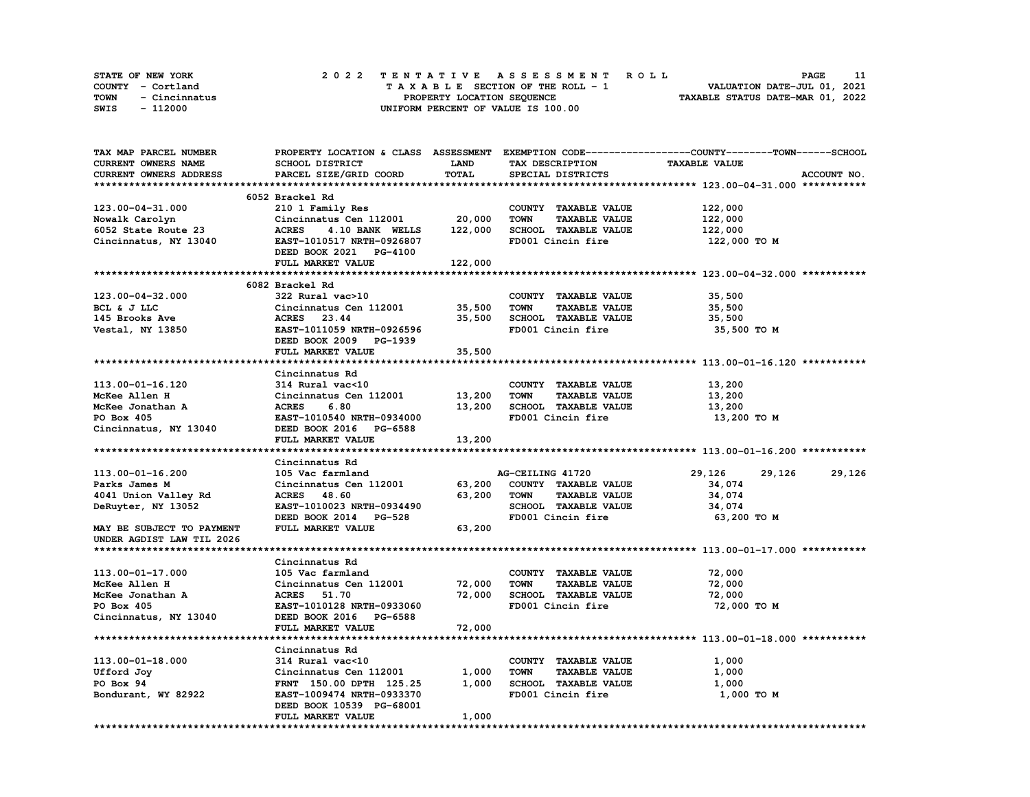| STATE OF NEW YORK     |  |                            | 2022 TENTATIVE ASSESSMENT ROLL     | <b>PAGE</b>                      |  |
|-----------------------|--|----------------------------|------------------------------------|----------------------------------|--|
| COUNTY - Cortland     |  |                            | TAXABLE SECTION OF THE ROLL - 1    | VALUATION DATE-JUL 01, 2021      |  |
| TOWN<br>- Cincinnatus |  | PROPERTY LOCATION SEQUENCE |                                    | TAXABLE STATUS DATE-MAR 01, 2022 |  |
| SWIS<br>- 112000      |  |                            | UNIFORM PERCENT OF VALUE IS 100.00 |                                  |  |

| TAX MAP PARCEL NUMBER         |                                              |             |                                     | PROPERTY LOCATION & CLASS ASSESSMENT EXEMPTION CODE----------------COUNTY-------TOWN-----SCHOOL |
|-------------------------------|----------------------------------------------|-------------|-------------------------------------|-------------------------------------------------------------------------------------------------|
| CURRENT OWNERS NAME           | SCHOOL DISTRICT                              | <b>LAND</b> | TAX DESCRIPTION                     | <b>TAXABLE VALUE</b>                                                                            |
| <b>CURRENT OWNERS ADDRESS</b> | PARCEL SIZE/GRID COORD                       | TOTAL       | SPECIAL DISTRICTS                   | ACCOUNT NO.                                                                                     |
|                               |                                              |             |                                     |                                                                                                 |
|                               | 6052 Brackel Rd                              |             |                                     |                                                                                                 |
| 123.00-04-31.000              | 210 1 Family Res                             |             | COUNTY TAXABLE VALUE                | 122,000                                                                                         |
| Nowalk Carolyn                | Cincinnatus Cen 112001                       | 20,000      | <b>TAXABLE VALUE</b><br><b>TOWN</b> | 122,000                                                                                         |
| 6052 State Route 23           | <b>ACRES</b><br>4.10 BANK WELLS              | 122,000     | SCHOOL TAXABLE VALUE                | 122,000                                                                                         |
| Cincinnatus, NY 13040         | EAST-1010517 NRTH-0926807                    |             | FD001 Cincin fire                   | 122,000 TO M                                                                                    |
|                               | DEED BOOK 2021 PG-4100                       |             |                                     |                                                                                                 |
|                               | FULL MARKET VALUE                            | 122,000     |                                     |                                                                                                 |
|                               |                                              |             |                                     |                                                                                                 |
|                               | 6082 Brackel Rd                              |             |                                     |                                                                                                 |
| 123.00-04-32.000              | 322 Rural vac>10                             |             | COUNTY TAXABLE VALUE                | 35,500                                                                                          |
| BCL & J LLC                   | Cincinnatus Cen 112001                       | 35,500      | TOWN<br><b>TAXABLE VALUE</b>        | 35,500                                                                                          |
| 145 Brooks Ave                | ACRES 23.44                                  | 35,500      | SCHOOL TAXABLE VALUE                | 35,500                                                                                          |
| Vestal, NY 13850              | EAST-1011059 NRTH-0926596                    |             | FD001 Cincin fire                   | 35,500 TO M                                                                                     |
|                               | DEED BOOK 2009 PG-1939                       |             |                                     |                                                                                                 |
|                               | FULL MARKET VALUE                            | 35,500      |                                     |                                                                                                 |
|                               |                                              |             |                                     |                                                                                                 |
|                               | Cincinnatus Rd                               |             |                                     |                                                                                                 |
| 113.00-01-16.120              | 314 Rural vac<10                             |             | COUNTY TAXABLE VALUE                | 13,200                                                                                          |
|                               | Cincinnatus Cen 112001                       |             | <b>TOWN</b><br><b>TAXABLE VALUE</b> |                                                                                                 |
| McKee Allen H                 |                                              | 13,200      |                                     | 13,200                                                                                          |
| McKee Jonathan A              | <b>ACRES</b><br>6.80                         | 13,200      | SCHOOL TAXABLE VALUE                | 13,200                                                                                          |
| PO Box 405                    | EAST-1010540 NRTH-0934000                    |             | FD001 Cincin fire                   | 13,200 TO M                                                                                     |
| Cincinnatus, NY 13040         | DEED BOOK 2016 PG-6588                       |             |                                     |                                                                                                 |
|                               | FULL MARKET VALUE                            | 13,200      |                                     |                                                                                                 |
|                               | Cincinnatus Rd                               |             |                                     |                                                                                                 |
| 113.00-01-16.200              | 105 Vac farmland                             |             | AG-CEILING 41720                    | 29,126<br>29,126<br>29,126                                                                      |
| Parks James M                 |                                              |             | COUNTY TAXABLE VALUE                | 34,074                                                                                          |
|                               | Cincinnatus Cen 112001 63,200<br>ACRES 48.60 | 63,200      | <b>TOWN</b><br><b>TAXABLE VALUE</b> | 34,074                                                                                          |
| 4041 Union Valley Rd          |                                              |             |                                     |                                                                                                 |
| DeRuyter, NY 13052            | EAST-1010023 NRTH-0934490                    |             | SCHOOL TAXABLE VALUE                | 34,074                                                                                          |
|                               | DEED BOOK 2014 PG-528                        |             | FD001 Cincin fire                   | 63,200 то м                                                                                     |
| MAY BE SUBJECT TO PAYMENT     | FULL MARKET VALUE                            | 63,200      |                                     |                                                                                                 |
| UNDER AGDIST LAW TIL 2026     |                                              |             |                                     |                                                                                                 |
|                               |                                              |             |                                     |                                                                                                 |
|                               | Cincinnatus Rd                               |             |                                     |                                                                                                 |
| 113.00-01-17.000              | 105 Vac farmland                             |             | COUNTY TAXABLE VALUE                | 72,000                                                                                          |
| McKee Allen H                 | Cincinnatus Cen 112001                       | 72,000      | TOWN<br><b>TAXABLE VALUE</b>        | 72,000                                                                                          |
| McKee Jonathan A              | ACRES 51.70                                  | 72,000      | SCHOOL TAXABLE VALUE                | 72,000                                                                                          |
| PO Box 405                    | EAST-1010128 NRTH-0933060                    |             | FD001 Cincin fire                   | 72,000 TO M                                                                                     |
| Cincinnatus, NY 13040         | DEED BOOK 2016 PG-6588                       |             |                                     |                                                                                                 |
|                               | FULL MARKET VALUE                            | 72,000      |                                     |                                                                                                 |
|                               |                                              |             |                                     |                                                                                                 |
|                               | Cincinnatus Rd                               |             |                                     |                                                                                                 |
| 113.00-01-18.000              | 314 Rural vac<10                             |             | COUNTY TAXABLE VALUE                | 1,000                                                                                           |
| Ufford Joy                    | Cincinnatus Cen 112001                       | 1,000       | <b>TOWN</b><br><b>TAXABLE VALUE</b> | 1,000                                                                                           |
| PO Box 94                     | FRNT 150.00 DPTH 125.25                      | 1,000       | SCHOOL TAXABLE VALUE                | 1,000                                                                                           |
| Bondurant, WY 82922           | EAST-1009474 NRTH-0933370                    |             | FD001 Cincin fire                   | 1,000 TO M                                                                                      |
|                               | DEED BOOK 10539 PG-68001                     |             |                                     |                                                                                                 |
|                               | FULL MARKET VALUE                            | 1,000       |                                     |                                                                                                 |
|                               |                                              |             |                                     |                                                                                                 |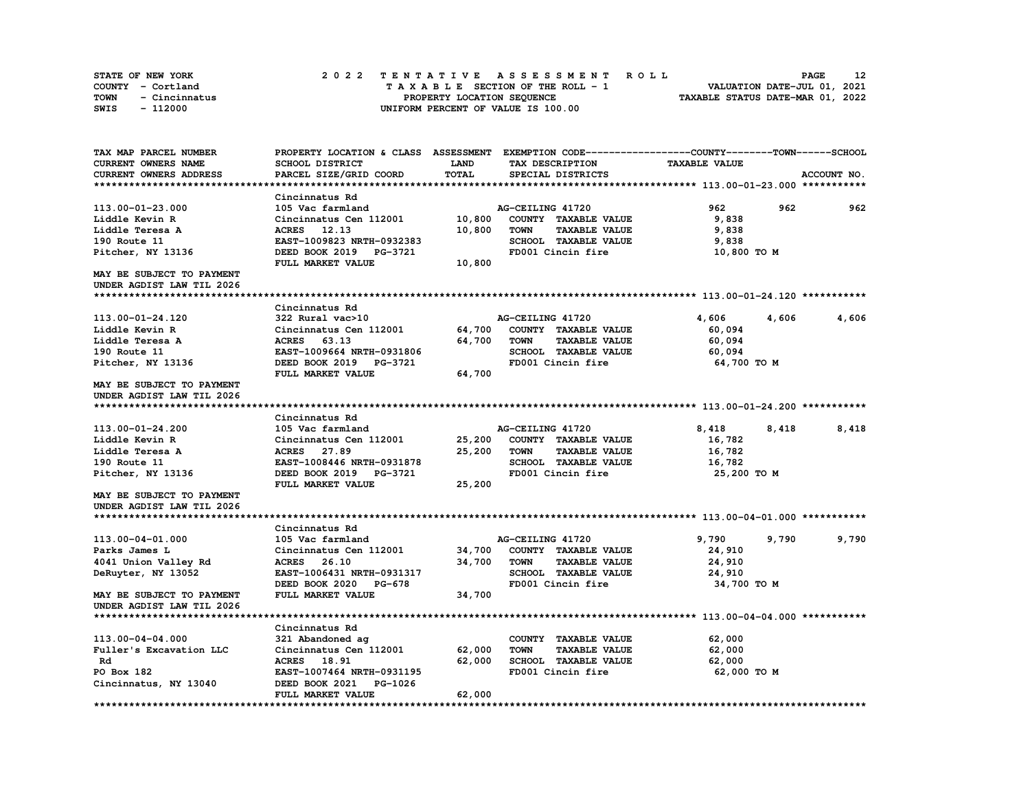| <b>STATE OF NEW YORK</b> | 2022 TENTATIVE ASSESSMENT ROLL     | 12<br><b>PAGE</b>                |
|--------------------------|------------------------------------|----------------------------------|
| COUNTY - Cortland        | TAXABLE SECTION OF THE ROLL - 1    | VALUATION DATE-JUL 01, 2021      |
| TOWN<br>- Cincinnatus    | PROPERTY LOCATION SEQUENCE         | TAXABLE STATUS DATE-MAR 01, 2022 |
| - 112000<br>SWIS         | UNIFORM PERCENT OF VALUE IS 100.00 |                                  |

| TAX MAP PARCEL NUMBER       |                                  |              | PROPERTY LOCATION & CLASS ASSESSMENT EXEMPTION CODE-----------------COUNTY-------TOWN------SCHOOL |                      |             |
|-----------------------------|----------------------------------|--------------|---------------------------------------------------------------------------------------------------|----------------------|-------------|
| CURRENT OWNERS NAME         | SCHOOL DISTRICT                  | LAND         | TAX DESCRIPTION                                                                                   | <b>TAXABLE VALUE</b> |             |
| CURRENT OWNERS ADDRESS      | PARCEL SIZE/GRID COORD           | <b>TOTAL</b> | SPECIAL DISTRICTS                                                                                 |                      | ACCOUNT NO. |
|                             |                                  |              |                                                                                                   |                      |             |
|                             | Cincinnatus Rd                   |              |                                                                                                   |                      |             |
| 113.00-01-23.000            | 105 Vac farmland                 |              | AG-CEILING 41720                                                                                  | 962<br>962           | 962         |
| Liddle Kevin R              | Cincinnatus Cen 112001           | 10,800       | COUNTY TAXABLE VALUE                                                                              | 9,838                |             |
| Liddle Teresa A             | <b>ACRES</b> 12.13               | 10,800       | <b>TOWN</b><br><b>TAXABLE VALUE</b>                                                               | 9,838                |             |
| 190 Route 11                | EAST-1009823 NRTH-0932383        |              | SCHOOL TAXABLE VALUE                                                                              | 9,838                |             |
| Pitcher, NY 13136           | DEED BOOK 2019<br><b>PG-3721</b> |              | FD001 Cincin fire                                                                                 | 10,800 TO M          |             |
|                             | FULL MARKET VALUE                | 10,800       |                                                                                                   |                      |             |
| MAY BE SUBJECT TO PAYMENT   |                                  |              |                                                                                                   |                      |             |
| UNDER AGDIST LAW TIL 2026   |                                  |              |                                                                                                   |                      |             |
|                             |                                  |              |                                                                                                   |                      |             |
|                             | Cincinnatus Rd                   |              |                                                                                                   |                      |             |
| 113.00-01-24.120            | 322 Rural vac>10                 |              | AG-CEILING 41720                                                                                  | 4,606<br>4,606       | 4,606       |
| Liddle Kevin R              | Cincinnatus Cen 112001           | 64,700       | COUNTY TAXABLE VALUE                                                                              | 60,094               |             |
| Liddle Teresa A             | ACRES 63.13                      | 64,700       | TOWN<br><b>TAXABLE VALUE</b>                                                                      | 60,094               |             |
| 190 Route 11                | EAST-1009664 NRTH-0931806        |              | <b>SCHOOL TAXABLE VALUE</b>                                                                       | 60,094               |             |
| Pitcher, NY 13136           | DEED BOOK 2019 PG-3721           |              | FD001 Cincin fire                                                                                 | 64,700 TO M          |             |
|                             | FULL MARKET VALUE                | 64,700       |                                                                                                   |                      |             |
| MAY BE SUBJECT TO PAYMENT   |                                  |              |                                                                                                   |                      |             |
| UNDER AGDIST LAW TIL 2026   |                                  |              |                                                                                                   |                      |             |
|                             |                                  |              |                                                                                                   |                      |             |
|                             | Cincinnatus Rd                   |              |                                                                                                   |                      |             |
| 113.00-01-24.200            | 105 Vac farmland                 |              | AG-CEILING 41720                                                                                  | 8,418<br>8,418       | 8,418       |
| Liddle Kevin R              | Cincinnatus Cen 112001           | 25,200       | COUNTY TAXABLE VALUE                                                                              | 16,782               |             |
| Liddle Teresa A             | ACRES 27.89                      | 25,200       | <b>TOWN</b><br><b>TAXABLE VALUE</b>                                                               | 16,782               |             |
| 190 Route 11                | EAST-1008446 NRTH-0931878        |              | SCHOOL TAXABLE VALUE                                                                              | 16,782               |             |
| Pitcher, NY 13136           | DEED BOOK 2019 PG-3721           |              | FD001 Cincin fire                                                                                 | 25,200 TO M          |             |
|                             | FULL MARKET VALUE                | 25,200       |                                                                                                   |                      |             |
| MAY BE SUBJECT TO PAYMENT   |                                  |              |                                                                                                   |                      |             |
| UNDER AGDIST LAW TIL 2026   |                                  |              |                                                                                                   |                      |             |
|                             |                                  |              |                                                                                                   |                      |             |
|                             | Cincinnatus Rd                   |              |                                                                                                   |                      |             |
| 113.00-04-01.000            | 105 Vac farmland                 |              | AG-CEILING 41720                                                                                  | 9,790<br>9,790       | 9,790       |
| Parks James L               | Cincinnatus Cen 112001           | 34,700       | COUNTY TAXABLE VALUE                                                                              | 24,910               |             |
| 4041 Union Valley Rd        | ACRES 26.10                      | 34,700       | <b>TOWN</b><br><b>TAXABLE VALUE</b>                                                               | 24,910               |             |
| DeRuyter, NY 13052          | EAST-1006431 NRTH-0931317        |              | <b>SCHOOL TAXABLE VALUE</b>                                                                       | 24,910               |             |
|                             | DEED BOOK 2020<br><b>PG-678</b>  |              | FD001 Cincin fire                                                                                 | 34,700 TO M          |             |
| MAY BE SUBJECT TO PAYMENT   | FULL MARKET VALUE                | 34,700       |                                                                                                   |                      |             |
| UNDER AGDIST LAW TIL 2026   |                                  |              |                                                                                                   |                      |             |
|                             |                                  |              |                                                                                                   |                      |             |
|                             | Cincinnatus Rd                   |              |                                                                                                   |                      |             |
| 113.00-04-04.000            | 321 Abandoned ag                 |              | COUNTY TAXABLE VALUE                                                                              | 62,000               |             |
| Fuller's Excavation LLC     | Cincinnatus Cen 112001           | 62,000       | <b>TAXABLE VALUE</b><br><b>TOWN</b>                                                               | 62,000               |             |
| Rd                          | ACRES 18.91                      | 62,000       | SCHOOL TAXABLE VALUE                                                                              | 62,000               |             |
| PO Box 182                  | EAST-1007464 NRTH-0931195        |              | FD001 Cincin fire                                                                                 | 62,000 TO M          |             |
| Cincinnatus, NY 13040       | DEED BOOK 2021<br>PG-1026        |              |                                                                                                   |                      |             |
|                             | FULL MARKET VALUE                | 62,000       |                                                                                                   |                      |             |
| *************************** |                                  |              |                                                                                                   |                      |             |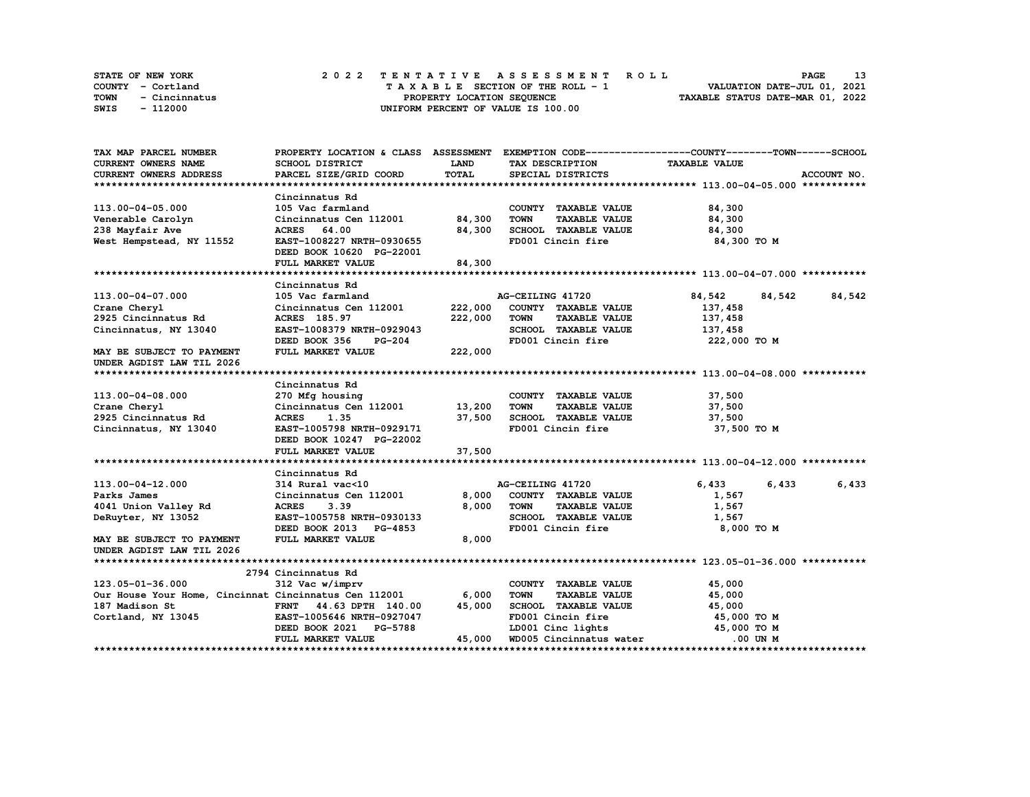| <b>STATE OF NEW YORK</b> | 2022 TENTATIVE ASSESSMENT ROLL     | <b>PAGE</b>                      |
|--------------------------|------------------------------------|----------------------------------|
| COUNTY - Cortland        | TAXABLE SECTION OF THE ROLL - 1    | VALUATION DATE-JUL 01, 2021      |
| TOWN<br>- Cincinnatus    | PROPERTY LOCATION SEQUENCE         | TAXABLE STATUS DATE-MAR 01, 2022 |
| - 112000<br>SWIS         | UNIFORM PERCENT OF VALUE IS 100.00 |                                  |

| TAX MAP PARCEL NUMBER                                       |                                                                                                     |             |                                     | PROPERTY LOCATION & CLASS ASSESSMENT EXEMPTION CODE----------------COUNTY-------TOWN------SCHOOL |             |
|-------------------------------------------------------------|-----------------------------------------------------------------------------------------------------|-------------|-------------------------------------|--------------------------------------------------------------------------------------------------|-------------|
| CURRENT OWNERS NAME                                         | SCHOOL DISTRICT                                                                                     | <b>LAND</b> | TAX DESCRIPTION                     | <b>TAXABLE VALUE</b>                                                                             |             |
| <b>CURRENT OWNERS ADDRESS</b>                               | PARCEL SIZE/GRID COORD                                                                              | TOTAL       | SPECIAL DISTRICTS                   |                                                                                                  | ACCOUNT NO. |
|                                                             |                                                                                                     |             |                                     |                                                                                                  |             |
|                                                             | Cincinnatus Rd                                                                                      |             |                                     |                                                                                                  |             |
| 113.00-04-05.000                                            | 105 Vac farmland                                                                                    |             | COUNTY TAXABLE VALUE                | 84,300                                                                                           |             |
| Venerable Carolyn                                           | Cincinnatus Cen 112001 84,300                                                                       |             | <b>TOWN</b><br><b>TAXABLE VALUE</b> | 84,300                                                                                           |             |
| 238 Mayfair Ave                                             | ACRES 64.00                                                                                         | 84,300      | SCHOOL TAXABLE VALUE                | 84,300                                                                                           |             |
| West Hempstead, NY 11552                                    | EAST-1008227 NRTH-0930655                                                                           |             | FD001 Cincin fire                   | 84,300 TO M                                                                                      |             |
|                                                             | DEED BOOK 10620 PG-22001                                                                            |             |                                     |                                                                                                  |             |
|                                                             | FULL MARKET VALUE                                                                                   | 84,300      |                                     |                                                                                                  |             |
|                                                             |                                                                                                     |             |                                     |                                                                                                  |             |
|                                                             | Cincinnatus Rd                                                                                      |             |                                     |                                                                                                  |             |
| 113.00-04-07.000                                            | 105 Vac farmland                                                                                    |             | AG-CEILING 41720                    | 84,542<br>84,542                                                                                 | 84,542      |
| Crane Cheryl                                                | Cincinnatus Cen 112001                                                                              |             | 222,000 COUNTY TAXABLE VALUE        | 137,458                                                                                          |             |
| 2925 Cincinnatus Rd                                         | ACRES 185.97                                                                                        | 222,000     | <b>TOWN</b><br><b>TAXABLE VALUE</b> | 137,458                                                                                          |             |
| Cincinnatus, NY 13040                                       | EAST-1008379 NRTH-0929043                                                                           |             | SCHOOL TAXABLE VALUE                | 137,458                                                                                          |             |
|                                                             | DEED BOOK 356<br><b>PG-204</b>                                                                      |             | FD001 Cincin fire                   | 222,000 TO M                                                                                     |             |
| MAY BE SUBJECT TO PAYMENT                                   | FULL MARKET VALUE                                                                                   | 222,000     |                                     |                                                                                                  |             |
| UNDER AGDIST LAW TIL 2026                                   |                                                                                                     |             |                                     |                                                                                                  |             |
|                                                             |                                                                                                     |             |                                     |                                                                                                  |             |
|                                                             | Cincinnatus Rd                                                                                      |             |                                     |                                                                                                  |             |
| 113.00-04-08.000                                            | 270 Mfg housing                                                                                     |             | COUNTY TAXABLE VALUE                | 37,500                                                                                           |             |
| Crane Cheryl                                                | Cincinnatus Cen 112001 13,200                                                                       |             | TOWN<br><b>TAXABLE VALUE</b>        | 37,500                                                                                           |             |
| 2925 Cincinnatus Rd                                         |                                                                                                     |             | 37,500 SCHOOL TAXABLE VALUE 37,500  |                                                                                                  |             |
| Cincinnatus, NY 13040                                       | ACRES 1.35<br>EAST-1005798 NRTH-0929171                                                             |             | FD001 Cincin fire                   | 37,500 TO M                                                                                      |             |
|                                                             | DEED BOOK 10247 PG-22002                                                                            |             |                                     |                                                                                                  |             |
|                                                             | FULL MARKET VALUE                                                                                   | 37,500      |                                     |                                                                                                  |             |
|                                                             |                                                                                                     |             |                                     |                                                                                                  |             |
|                                                             | Cincinnatus Rd                                                                                      |             |                                     |                                                                                                  |             |
| 113.00-04-12.000                                            |                                                                                                     |             |                                     | 6,433<br>6,433                                                                                   | 6,433       |
| Parks James                                                 | 314 Rural vac<10 $\overline{A}G-CELLING$ 41720<br>Cincinnatus Cen 112001 8,000 COUNTY TAXABLE VALUE |             |                                     | 1,567                                                                                            |             |
| 4041 Union Valley Rd                                        | <b>ACRES</b><br>3.39                                                                                | 8,000       | <b>TOWN</b><br><b>TAXABLE VALUE</b> | 1,567                                                                                            |             |
| DeRuyter, NY 13052                                          | EAST-1005758 NRTH-0930133                                                                           |             | SCHOOL TAXABLE VALUE                |                                                                                                  |             |
|                                                             | DEED BOOK 2013 PG-4853                                                                              |             | FD001 Cincin fire                   | 1,567<br>8,000 TO M                                                                              |             |
| MAY BE SUBJECT TO PAYMENT                                   | FULL MARKET VALUE                                                                                   | 8,000       |                                     |                                                                                                  |             |
| UNDER AGDIST LAW TIL 2026                                   |                                                                                                     |             |                                     |                                                                                                  |             |
|                                                             |                                                                                                     |             |                                     |                                                                                                  |             |
|                                                             | 2794 Cincinnatus Rd                                                                                 |             |                                     |                                                                                                  |             |
| 123.05-01-36.000                                            | 312 Vac w/imprv                                                                                     |             | COUNTY TAXABLE VALUE                | 45,000                                                                                           |             |
| Our House Your Home, Cincinnat Cincinnatus Cen 112001 6,000 |                                                                                                     |             | <b>TOWN</b><br><b>TAXABLE VALUE</b> | 45,000                                                                                           |             |
| 187 Madison St                                              |                                                                                                     | 45,000      | SCHOOL TAXABLE VALUE                | 45,000                                                                                           |             |
|                                                             |                                                                                                     |             | FD001 Cincin fire                   |                                                                                                  |             |
| Cortland, NY 13045                                          | EAST-1005646 NRTH-0927047                                                                           |             | LD001 Cinc lights 45,000 TO M       | 45,000 TO M                                                                                      |             |
|                                                             | DEED BOOK 2021 PG-5788                                                                              |             |                                     |                                                                                                  |             |
|                                                             | FULL MARKET VALUE                                                                                   |             | 45,000 WD005 Cincinnatus water      | .00 UN M                                                                                         |             |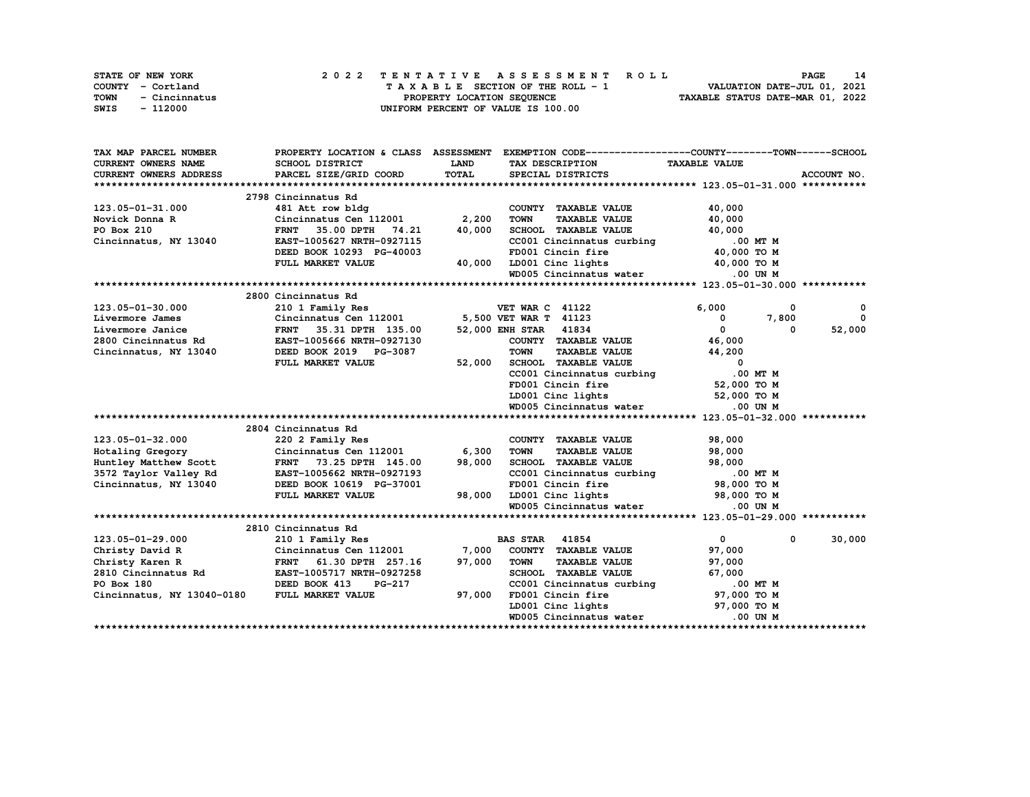|      | STATE OF NEW YORK |  | 2022 TENTATIVE ASSESSMENT ROLL |  |  |  |                                    |  |  |  |  |  |  |                                  |                             |  | <b>PAGE</b> | 14 |
|------|-------------------|--|--------------------------------|--|--|--|------------------------------------|--|--|--|--|--|--|----------------------------------|-----------------------------|--|-------------|----|
|      | COUNTY - Cortland |  |                                |  |  |  | TAXABLE SECTION OF THE ROLL - 1    |  |  |  |  |  |  |                                  | VALUATION DATE-JUL 01, 2021 |  |             |    |
| TOWN | - Cincinnatus     |  |                                |  |  |  | PROPERTY LOCATION SEOUENCE         |  |  |  |  |  |  | TAXABLE STATUS DATE-MAR 01, 2022 |                             |  |             |    |
| SWIS | - 112000          |  |                                |  |  |  | UNIFORM PERCENT OF VALUE IS 100.00 |  |  |  |  |  |  |                                  |                             |  |             |    |

| TAX MAP PARCEL NUMBER                        |                                                                                                |             | PROPERTY LOCATION & CLASS ASSESSMENT EXEMPTION CODE----------------COUNTY-------TOWN-----SCHOOL |                            |              |
|----------------------------------------------|------------------------------------------------------------------------------------------------|-------------|-------------------------------------------------------------------------------------------------|----------------------------|--------------|
| <b>CURRENT OWNERS NAME</b>                   | SCHOOL DISTRICT                                                                                | <b>LAND</b> | TAX DESCRIPTION TAXABLE VALUE                                                                   |                            |              |
| CURRENT OWNERS ADDRESS                       | PARCEL SIZE/GRID COORD                                                                         | TOTAL       | SPECIAL DISTRICTS                                                                               |                            | ACCOUNT NO.  |
|                                              |                                                                                                |             |                                                                                                 |                            |              |
|                                              | 2798 Cincinnatus Rd                                                                            |             |                                                                                                 |                            |              |
| 123.05-01-31.000                             | 481 Att row bldg                                                                               |             | COUNTY TAXABLE VALUE                                                                            | 40,000                     |              |
| Novick Donna R                               | Cincinnatus Cen 112001 2,200                                                                   |             | <b>TOWN</b><br><b>TAXABLE VALUE</b>                                                             | 40,000                     |              |
| PO Box 210                                   | FRNT 35.00 DPTH<br>74.21                                                                       | 40,000      | SCHOOL TAXABLE VALUE                                                                            | 40,000                     |              |
| Cincinnatus, NY 13040                        | EAST-1005627 NRTH-0927115                                                                      |             | CC001 Cincinnatus curbing 0.00 MT M<br>FD001 Cincin fire 40,000 TO M                            |                            |              |
|                                              | DEED BOOK 10293 PG-40003                                                                       |             | FD001 Cincin fire                                                                               |                            |              |
|                                              | FULL MARKET VALUE                                                                              |             | 40,000 LD001 Cinc lights                                                                        | 40,000 TO M                |              |
|                                              |                                                                                                |             | WD005 Cincinnatus water                                                                         | $.00$ UN M                 |              |
|                                              |                                                                                                |             |                                                                                                 |                            |              |
|                                              | 2800 Cincinnatus Rd                                                                            |             |                                                                                                 |                            |              |
| 123.05-01-30.000                             | 210 1 Family Res                                                                               |             | <b>VET WAR C 41122</b>                                                                          | 6,000<br>$^{\circ}$        | $\mathbf{o}$ |
| Livermore James                              | Cincinnatus Cen 112001 5,500 VET WAR T 41123                                                   |             |                                                                                                 | 7,800<br>$^{\circ}$        | $\Omega$     |
|                                              | Livermore Janice<br>2800 Cincinnatus Rd<br>EAST-1005666 NRTH-0927130<br>FRNT 35.31 DPTH 135.00 |             | 52,000 ENH STAR 41834                                                                           | $\mathbf{0}$<br>0          | 52,000       |
|                                              |                                                                                                |             | COUNTY TAXABLE VALUE                                                                            | 46,000                     |              |
| Cincinnatus, NY 13040                        | DEED BOOK 2019 PG-3087                                                                         |             | <b>TOWN</b><br><b>TAXABLE VALUE</b>                                                             | 44,200                     |              |
|                                              | FULL MARKET VALUE                                                                              | 52,000      | SCHOOL TAXABLE VALUE                                                                            | $\overline{\mathbf{0}}$    |              |
|                                              |                                                                                                |             | CC001 Cincinnatus curbing                                                                       | .00 MT M                   |              |
|                                              |                                                                                                |             | FD001 Cincin fire                                                                               | 52,000 TO M                |              |
|                                              |                                                                                                |             | LD001 Cinc lights                                                                               | 52,000 TO M                |              |
|                                              |                                                                                                |             | WD005 Cincinnatus water                                                                         | .00 UN M                   |              |
|                                              |                                                                                                |             |                                                                                                 |                            |              |
|                                              | 2804 Cincinnatus Rd                                                                            |             |                                                                                                 |                            |              |
| 123.05-01-32.000                             |                                                                                                |             | COUNTY TAXABLE VALUE                                                                            | 98,000                     |              |
| Hotaling Gregory                             | 220 2 Family Res<br>Cincinnatus Cen 112001<br>115 April 115 00                                 | 6,300       | <b>TAXABLE VALUE</b><br><b>TOWN</b>                                                             | 98,000                     |              |
| Huntley Matthew Scott                        | FRNT 73.25 DPTH 145.00                                                                         | 98,000      | SCHOOL TAXABLE VALUE                                                                            | 98,000                     |              |
| 3572 Taylor Valley Rd                        | EAST-1005662 NRTH-0927193                                                                      |             | CCOO1 Cincinnatus curbing 0.00 MT M<br>FD001 Cincin fire 98,000 TO M                            |                            |              |
| Cincinnatus, NY 13040                        | DEED BOOK 10619 PG-37001                                                                       |             | FD001 Cincin fire<br>LD001 Cinc lights                                                          |                            |              |
|                                              | FULL MARKET VALUE                                                                              | 98,000      |                                                                                                 | 98,000 TO M                |              |
|                                              |                                                                                                |             | WD005 Cincinnatus water                                                                         | $.00$ UN M                 |              |
|                                              |                                                                                                |             |                                                                                                 |                            |              |
|                                              | 2810 Cincinnatus Rd                                                                            |             |                                                                                                 |                            |              |
| 123.05-01-29.000                             | 210 1 Family Res                                                                               |             | <b>BAS STAR</b> 41854                                                                           | $\mathbf{0}$<br>$^{\circ}$ | 30,000       |
| Christy David R                              | Cincinnatus Cen 112001 7,000                                                                   |             | COUNTY TAXABLE VALUE                                                                            | 97,000                     |              |
|                                              | FRNT 61.30 DPTH 257.16                                                                         | 97,000      | <b>TOWN</b><br><b>TAXABLE VALUE</b>                                                             | 97,000                     |              |
|                                              |                                                                                                |             | SCHOOL TAXABLE VALUE                                                                            | 67,000                     |              |
| PO Box 180                                   | DEED BOOK 413<br>PG-217                                                                        |             | CC001 Cincinnatus curbing 100 MT M<br>FD001 Cincin fire 97,000 TO M                             |                            |              |
| Cincinnatus, NY 13040-0180 FULL MARKET VALUE |                                                                                                | 97,000      | FD001 Cincin fire<br>LD001 Cinc lights                                                          |                            |              |
|                                              |                                                                                                |             |                                                                                                 | 97,000 TO M                |              |
|                                              |                                                                                                |             | WD005 Cincinnatus water                                                                         | .00 UN M                   |              |
|                                              |                                                                                                |             |                                                                                                 |                            |              |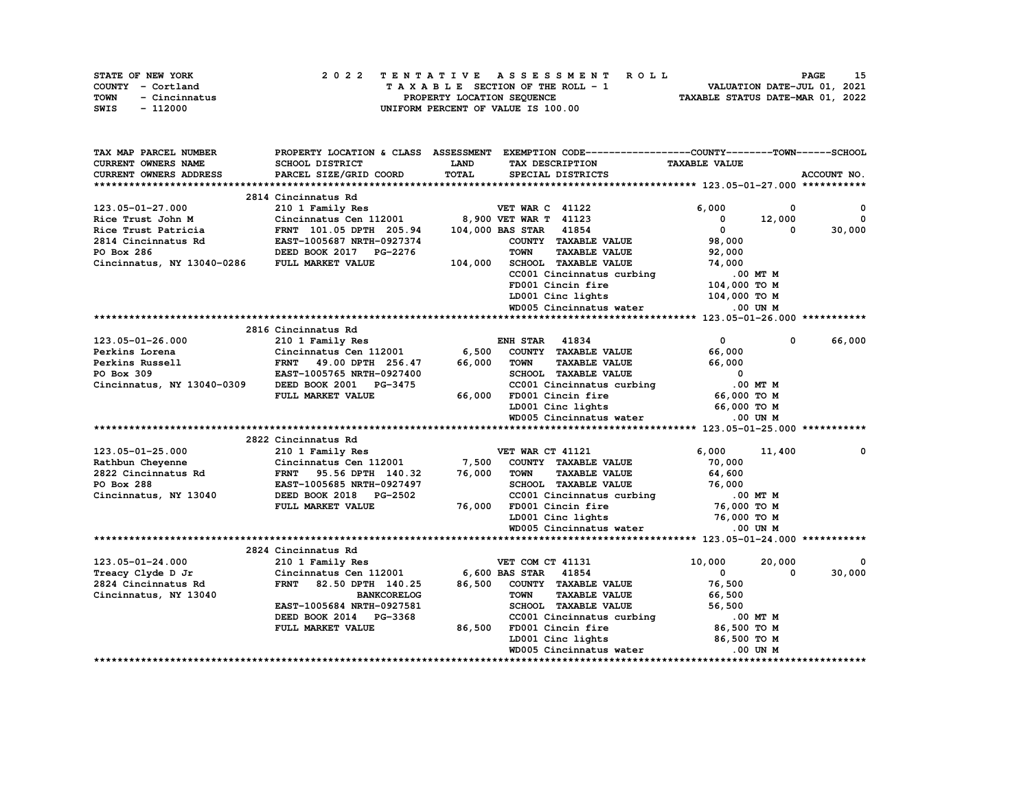| STATE OF NEW YORK     | 2022 TENTATIVE ASSESSMENT ROLL     | 15<br><b>PAGE</b>                |
|-----------------------|------------------------------------|----------------------------------|
| COUNTY - Cortland     | TAXABLE SECTION OF THE ROLL - 1    | VALUATION DATE-JUL 01, 2021      |
| TOWN<br>- Cincinnatus | PROPERTY LOCATION SEOUENCE         | TAXABLE STATUS DATE-MAR 01, 2022 |
| - 112000<br>SWIS      | UNIFORM PERCENT OF VALUE IS 100.00 |                                  |

| TAX MAP PARCEL NUMBER      | PROPERTY LOCATION & CLASS ASSESSMENT |         | EXEMPTION CODE------------------COUNTY-------TOWN------SCHOOL |                         |              |
|----------------------------|--------------------------------------|---------|---------------------------------------------------------------|-------------------------|--------------|
| <b>CURRENT OWNERS NAME</b> | SCHOOL DISTRICT                      | LAND    | TAX DESCRIPTION                                               | <b>TAXABLE VALUE</b>    |              |
| CURRENT OWNERS ADDRESS     | PARCEL SIZE/GRID COORD               | TOTAL   | SPECIAL DISTRICTS                                             |                         | ACCOUNT NO.  |
|                            |                                      |         |                                                               |                         |              |
|                            | 2814 Cincinnatus Rd                  |         |                                                               |                         |              |
| 123.05-01-27.000           | 210 1 Family Res                     |         | <b>VET WAR C 41122</b>                                        | 6,000<br>0              | $^{\circ}$   |
| Rice Trust John M          | Cincinnatus Cen 112001               |         | 8,900 VET WAR T 41123                                         | 12,000<br>$\mathbf 0$   | $\mathbf{0}$ |
| Rice Trust Patricia        | FRNT 101.05 DPTH 205.94              |         | 104,000 BAS STAR 41854                                        | $^{\circ}$<br>$\Omega$  | 30,000       |
| 2814 Cincinnatus Rd        | EAST-1005687 NRTH-0927374            |         | COUNTY TAXABLE VALUE                                          | 98,000                  |              |
| PO Box 286                 | DEED BOOK 2017 PG-2276               |         | <b>TAXABLE VALUE</b><br><b>TOWN</b>                           | 92,000                  |              |
| Cincinnatus, NY 13040-0286 | FULL MARKET VALUE                    | 104,000 | SCHOOL TAXABLE VALUE                                          | 74,000                  |              |
|                            |                                      |         | CC001 Cincinnatus curbing                                     | .00 MT M                |              |
|                            |                                      |         | FD001 Cincin fire                                             | 104,000 TO M            |              |
|                            |                                      |         | LD001 Cinc lights                                             | 104,000 TO M            |              |
|                            |                                      |         | WD005 Cincinnatus water                                       | .00 UN M                |              |
|                            |                                      |         |                                                               |                         |              |
|                            | 2816 Cincinnatus Rd                  |         |                                                               |                         |              |
| 123.05-01-26.000           | 210 1 Family Res                     |         | <b>ENH STAR 41834</b>                                         | $^{\circ}$<br>0         | 66,000       |
| Perkins Lorena             | Cincinnatus Cen 112001               | 6,500   | COUNTY TAXABLE VALUE                                          | 66,000                  |              |
| Perkins Russell            | FRNT 49.00 DPTH 256.47               | 66,000  | <b>TOWN</b><br><b>TAXABLE VALUE</b>                           | 66,000                  |              |
| PO Box 309                 | EAST-1005765 NRTH-0927400            |         | SCHOOL TAXABLE VALUE                                          | $\overline{\mathbf{0}}$ |              |
| Cincinnatus, NY 13040-0309 | DEED BOOK 2001 PG-3475               |         | CC001 Cincinnatus curbing                                     | .00 MT M                |              |
|                            | FULL MARKET VALUE                    | 66,000  | FD001 Cincin fire                                             | 66,000 TO M             |              |
|                            |                                      |         | LD001 Cinc lights                                             | 66,000 TO M             |              |
|                            |                                      |         | WD005 Cincinnatus water                                       | $.00$ UN M              |              |
|                            |                                      |         |                                                               |                         |              |
|                            | 2822 Cincinnatus Rd                  |         |                                                               |                         |              |
| 123.05-01-25.000           | 210 1 Family Res                     |         | VET WAR CT 41121                                              | 6,000<br>11,400         | 0            |
| Rathbun Cheyenne           | Cincinnatus Cen 112001               | 7,500   | COUNTY TAXABLE VALUE                                          | 70,000                  |              |
| 2822 Cincinnatus Rd        | <b>FRNT</b><br>95.56 DPTH 140.32     | 76,000  | <b>TOWN</b><br><b>TAXABLE VALUE</b>                           | 64,600                  |              |
| PO Box 288                 | EAST-1005685 NRTH-0927497            |         | SCHOOL TAXABLE VALUE                                          | 76,000                  |              |
| Cincinnatus, NY 13040      | DEED BOOK 2018 PG-2502               |         | CC001 Cincinnatus curbing                                     | .00 MT M                |              |
|                            | FULL MARKET VALUE                    | 76,000  | FD001 Cincin fire                                             | 76,000 TO M             |              |
|                            |                                      |         | LD001 Cinc lights                                             | 76,000 TO M             |              |
|                            |                                      |         | WD005 Cincinnatus water                                       | .00 UN M                |              |
|                            |                                      |         |                                                               |                         |              |
|                            | 2824 Cincinnatus Rd                  |         |                                                               |                         |              |
| 123.05-01-24.000           | 210 1 Family Res                     |         | VET COM CT 41131                                              | 10,000<br>20,000        | 0            |
| Treacy Clyde D Jr          | Cincinnatus Cen 112001               |         | 6,600 BAS STAR 41854                                          | $\Omega$<br>0           | 30,000       |
| 2824 Cincinnatus Rd        | <b>FRNT</b><br>82.50 DPTH 140.25     | 86,500  | COUNTY TAXABLE VALUE                                          | 76,500                  |              |
| Cincinnatus, NY 13040      | <b>BANKCORELOG</b>                   |         | <b>TOWN</b><br><b>TAXABLE VALUE</b>                           | 66,500                  |              |
|                            | EAST-1005684 NRTH-0927581            |         | SCHOOL TAXABLE VALUE                                          | 56,500                  |              |
|                            | DEED BOOK 2014 PG-3368               |         | CC001 Cincinnatus curbing                                     | .00 MT M                |              |
|                            | FULL MARKET VALUE                    | 86,500  | FD001 Cincin fire                                             | 86,500 то м             |              |
|                            |                                      |         | LD001 Cinc lights                                             | 86,500 TO M             |              |
|                            |                                      |         | WD005 Cincinnatus water                                       | .00 UN M                |              |
|                            |                                      |         |                                                               |                         |              |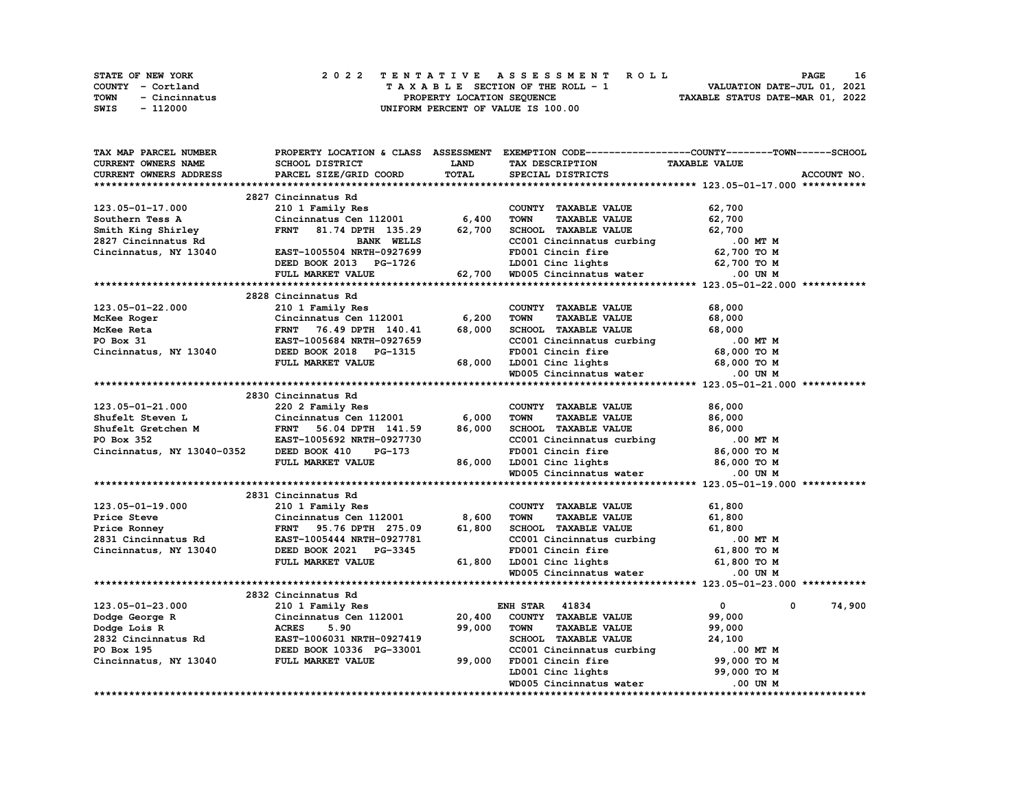| <b>STATE OF NEW YORK</b> | 2022 TENTATIVE ASSESSMENT ROLL     | 16<br>PAGE                       |
|--------------------------|------------------------------------|----------------------------------|
| COUNTY - Cortland        | TAXABLE SECTION OF THE ROLL - 1    | VALUATION DATE-JUL 01, 2021      |
| TOWN<br>- Cincinnatus    | PROPERTY LOCATION SEOUENCE         | TAXABLE STATUS DATE-MAR 01, 2022 |
| SWIS<br>- 112000         | UNIFORM PERCENT OF VALUE IS 100.00 |                                  |

| TAX MAP PARCEL NUMBER         | PROPERTY LOCATION & CLASS ASSESSMENT |             | EXEMPTION CODE------------------COUNTY-------TOWN------SCHOOL      |                      |             |
|-------------------------------|--------------------------------------|-------------|--------------------------------------------------------------------|----------------------|-------------|
| <b>CURRENT OWNERS NAME</b>    | <b>SCHOOL DISTRICT</b>               | <b>LAND</b> | TAX DESCRIPTION                                                    | <b>TAXABLE VALUE</b> |             |
| <b>CURRENT OWNERS ADDRESS</b> | PARCEL SIZE/GRID COORD               | TOTAL       | SPECIAL DISTRICTS                                                  |                      | ACCOUNT NO. |
|                               |                                      |             |                                                                    |                      |             |
|                               | 2827 Cincinnatus Rd                  |             |                                                                    |                      |             |
| 123.05-01-17.000              | 210 1 Family Res                     |             | COUNTY TAXABLE VALUE                                               | 62,700               |             |
| Southern Tess A               | Cincinnatus Cen 112001               | 6,400       | <b>TAXABLE VALUE</b><br><b>TOWN</b>                                | 62,700               |             |
| Smith King Shirley            | <b>FRNT</b><br>81.74 DPTH 135.29     | 62,700      | SCHOOL TAXABLE VALUE                                               | 62,700               |             |
| 2827 Cincinnatus Rd           | <b>BANK WELLS</b>                    |             | CC001 Cincinnatus curbing                                          | .00 MT M             |             |
| Cincinnatus, NY 13040         | EAST-1005504 NRTH-0927699            |             | FD001 Cincin fire                                                  | 62,700 то м          |             |
|                               | DEED BOOK 2013 PG-1726               |             | LD001 Cinc lights                                                  | 62,700 TO M          |             |
|                               | FULL MARKET VALUE                    |             | 62,700 WD005 Cincinnatus water                                     | .00 UN M             |             |
|                               |                                      |             |                                                                    |                      |             |
|                               | 2828 Cincinnatus Rd                  |             |                                                                    |                      |             |
| 123.05-01-22.000              | 210 1 Family Res                     |             | COUNTY TAXABLE VALUE                                               | 68,000               |             |
| McKee Roger                   | Cincinnatus Cen 112001               | 6,200       | <b>TOWN</b><br><b>TAXABLE VALUE</b>                                | 68,000               |             |
| McKee Reta                    | <b>FRNT</b><br>76.49 DPTH 140.41     | 68,000      | SCHOOL TAXABLE VALUE                                               | 68,000               |             |
| PO Box 31                     | EAST-1005684 NRTH-0927659            |             | CC001 Cincinnatus curbing                                          | .00 MT M             |             |
| Cincinnatus, NY 13040         | DEED BOOK 2018 PG-1315               |             | FD001 Cincin fire                                                  | 68,000 TO M          |             |
|                               | FULL MARKET VALUE                    | 68,000      |                                                                    |                      |             |
|                               |                                      |             | LD001 Cinc lights 68,000 TO M<br>WD005 Cincinnatus water 0.00 UN M |                      |             |
|                               |                                      |             |                                                                    |                      |             |
|                               | 2830 Cincinnatus Rd                  |             |                                                                    |                      |             |
| 123.05-01-21.000              |                                      |             | COUNTY TAXABLE VALUE                                               |                      |             |
| Shufelt Steven L              | 220 2 Family Res                     |             | <b>TOWN</b>                                                        | 86,000               |             |
|                               | Cincinnatus Cen 112001               | 6,000       | <b>TAXABLE VALUE</b>                                               | 86,000               |             |
| Shufelt Gretchen M            | <b>FRNT</b><br>56.04 DPTH 141.59     | 86,000      | SCHOOL TAXABLE VALUE                                               | 86,000               |             |
| PO Box 352                    | EAST-1005692 NRTH-0927730            |             | CC001 Cincinnatus curbing                                          | .00 MT M             |             |
| Cincinnatus, NY 13040-0352    | DEED BOOK 410<br>PG-173              |             | FD001 Cincin fire                                                  | 86,000 то м          |             |
|                               | FULL MARKET VALUE                    | 86,000      | LD001 Cinc lights                                                  | 86,000 TO M          |             |
|                               |                                      |             | WD005 Cincinnatus water                                            | .00 UN M             |             |
|                               |                                      |             |                                                                    |                      |             |
|                               | 2831 Cincinnatus Rd                  |             |                                                                    |                      |             |
| 123.05-01-19.000              | 210 1 Family Res                     |             | COUNTY TAXABLE VALUE                                               | 61,800               |             |
| Price Steve                   | Cincinnatus Cen 112001               | 8,600       | <b>TOWN</b><br><b>TAXABLE VALUE</b>                                | 61,800               |             |
| Price Ronney                  | <b>FRNT</b><br>95.76 DPTH 275.09     | 61,800      | <b>SCHOOL TAXABLE VALUE</b>                                        | 61,800               |             |
| 2831 Cincinnatus Rd           | EAST-1005444 NRTH-0927781            |             | CC001 Cincinnatus curbing                                          | .00 MT M             |             |
| Cincinnatus, NY 13040         | DEED BOOK 2021 PG-3345               |             | FD001 Cincin fire                                                  | 61,800 TO M          |             |
|                               | FULL MARKET VALUE                    |             | 61,800 LD001 Cinc lights                                           | 61,800 TO M          |             |
|                               |                                      |             | WD005 Cincinnatus water                                            | .00 UN M             |             |
|                               |                                      |             |                                                                    |                      |             |
|                               | 2832 Cincinnatus Rd                  |             |                                                                    |                      |             |
| 123.05-01-23.000              | 210 1 Family Res                     |             | <b>ENH STAR 41834</b>                                              | $\mathbf{0}$<br>0    | 74,900      |
| Dodge George R                | Cincinnatus Cen 112001               | 20,400      | COUNTY TAXABLE VALUE                                               | 99,000               |             |
| Dodge Lois R                  | <b>ACRES</b><br>5.90                 | 99,000      | <b>TOWN</b><br><b>TAXABLE VALUE</b>                                | 99,000               |             |
| 2832 Cincinnatus Rd           | EAST-1006031 NRTH-0927419            |             | SCHOOL TAXABLE VALUE                                               | 24,100               |             |
| PO Box 195                    | DEED BOOK 10336 PG-33001             |             | CC001 Cincinnatus curbing                                          | .00 MT M             |             |
| Cincinnatus, NY 13040         | <b>FULL MARKET VALUE</b>             | 99,000      | FD001 Cincin fire                                                  | 99,000 TO M          |             |
|                               |                                      |             | LD001 Cinc lights                                                  | 99,000 TO M          |             |
|                               |                                      |             | WD005 Cincinnatus water                                            | .00 UN M             |             |
|                               |                                      |             |                                                                    |                      |             |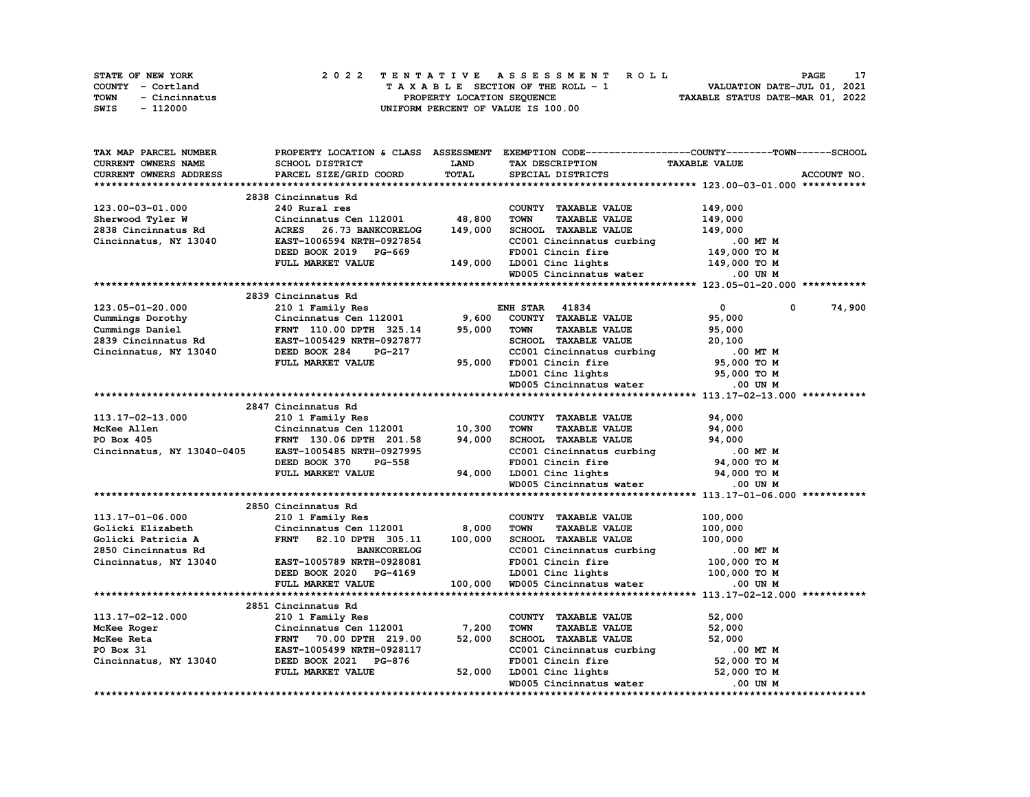| <b>STATE OF NEW YORK</b> | 2022 TENTATIVE ASSESSMENT ROLL     | PAGE                             |
|--------------------------|------------------------------------|----------------------------------|
| COUNTY - Cortland        | TAXABLE SECTION OF THE ROLL - 1    | VALUATION DATE-JUL 01, 2021      |
| TOWN<br>- Cincinnatus    | PROPERTY LOCATION SEOUENCE         | TAXABLE STATUS DATE-MAR 01, 2022 |
| SWIS<br>- 112000         | UNIFORM PERCENT OF VALUE IS 100.00 |                                  |

| TAX MAP PARCEL NUMBER         |                                                                                    |             | PROPERTY LOCATION & CLASS ASSESSMENT EXEMPTION CODE-----------------COUNTY-------TOWN-----SCHOOL             |                            |             |
|-------------------------------|------------------------------------------------------------------------------------|-------------|--------------------------------------------------------------------------------------------------------------|----------------------------|-------------|
| CURRENT OWNERS NAME           | SCHOOL DISTRICT                                                                    | <b>LAND</b> | TAX DESCRIPTION                                                                                              | <b>TAXABLE VALUE</b>       |             |
| <b>CURRENT OWNERS ADDRESS</b> | PARCEL SIZE/GRID COORD                                                             | TOTAL       | SPECIAL DISTRICTS                                                                                            |                            | ACCOUNT NO. |
|                               |                                                                                    |             |                                                                                                              |                            |             |
|                               | 2838 Cincinnatus Rd                                                                |             |                                                                                                              |                            |             |
| 123.00-03-01.000              | 240 Rural res                                                                      |             | COUNTY TAXABLE VALUE                                                                                         | 149,000                    |             |
| Sherwood Tyler W              | Cincinnatus Cen 112001 48,800                                                      |             | <b>TAXABLE VALUE</b><br><b>TOWN</b>                                                                          | 149,000                    |             |
| 2838 Cincinnatus Rd           | ACRES 26.73 BANKCORELOG                                                            | 149,000     | SCHOOL TAXABLE VALUE                                                                                         | 149,000                    |             |
| Cincinnatus, NY 13040         | EAST-1006594 NRTH-0927854                                                          |             | CC001 Cincinnatus curbing                                                                                    |                            |             |
|                               | DEED BOOK 2019 PG-669                                                              |             |                                                                                                              | 00 MT M.<br>149,000 TO M   |             |
|                               | FULL MARKET VALUE                                                                  | 149,000     | FD001 Cincin fire<br>LD001 Cinc lights                                                                       | 149,000 TO M               |             |
|                               |                                                                                    |             | WD005 Cincinnatus water                                                                                      | .00 UN M                   |             |
|                               |                                                                                    |             |                                                                                                              |                            |             |
|                               | 2839 Cincinnatus Rd                                                                |             |                                                                                                              |                            |             |
| 123.05-01-20.000              | 210 1 Family Res                                                                   |             | <b>ENH STAR 41834</b>                                                                                        | $\mathbf{0}$<br>0          | 74,900      |
|                               | Cincinnatus Cen $112001$ 9,600                                                     |             | COUNTY TAXABLE VALUE                                                                                         |                            |             |
| Cummings Dorothy              |                                                                                    |             |                                                                                                              | 95,000                     |             |
| Cummings Daniel               | FRNT 110.00 DPTH 325.14                                                            | 95,000      | <b>TOWN</b><br><b>TAXABLE VALUE</b>                                                                          | 95,000                     |             |
| 2839 Cincinnatus Rd           | EAST-1005429 NRTH-0927877                                                          |             | SCHOOL TAXABLE VALUE                                                                                         | 20,100                     |             |
| Cincinnatus, NY 13040         | DEED BOOK 284<br>PG-217                                                            |             | CC001 Cincinnatus curbing                                                                                    | .00 MT M                   |             |
|                               | FULL MARKET VALUE                                                                  | 95,000      | FD001 Cincin fire<br>LD001 Cinc lights                                                                       | 95,000 то м<br>95,000 то м |             |
|                               |                                                                                    |             |                                                                                                              |                            |             |
|                               |                                                                                    |             | WD005 Cincinnatus water                                                                                      | .00 UN M                   |             |
|                               |                                                                                    |             |                                                                                                              |                            |             |
|                               | 2847 Cincinnatus Rd                                                                |             |                                                                                                              |                            |             |
| 113.17-02-13.000              | 210 1 Family Res                                                                   |             | COUNTY TAXABLE VALUE                                                                                         | 94,000                     |             |
| McKee Allen                   | Cincinnatus Cen 112001 10,300<br>Cincinnatus Cen 112001<br>FRNT 130.06 DPTH 201.58 |             | <b>TAXABLE VALUE</b><br><b>TOWN</b>                                                                          | 94,000                     |             |
| PO Box 405                    |                                                                                    | 94,000      | SCHOOL TAXABLE VALUE                                                                                         | 94,000                     |             |
| Cincinnatus, NY 13040-0405    | EAST-1005485 NRTH-0927995                                                          |             | CC001 Cincinnatus curbing                                                                                    | .00 MT M                   |             |
|                               | DEED BOOK 370<br>PG-558                                                            |             |                                                                                                              | M TM 0.<br>94,000 TO M     |             |
|                               | FULL MARKET VALUE                                                                  |             |                                                                                                              |                            |             |
|                               |                                                                                    |             | FD001 Cincin fire 594,000 TO M<br>94,000 LD001 Cinc lights 594,000 TO M<br>WD005 Cincinnatus water 0.00 UN M |                            |             |
|                               |                                                                                    |             |                                                                                                              |                            |             |
|                               | 2850 Cincinnatus Rd                                                                |             |                                                                                                              |                            |             |
| 113.17-01-06.000              | 210 1 Family Res                                                                   |             | COUNTY TAXABLE VALUE                                                                                         | 100,000                    |             |
| Golicki Elizabeth             | Cincinnatus Cen 112001                                                             | 8,000       | <b>TOWN</b><br><b>TAXABLE VALUE</b>                                                                          | 100,000                    |             |
| Golicki Patricia A            | FRNT 82.10 DPTH 305.11                                                             | 100,000     | SCHOOL TAXABLE VALUE                                                                                         | 100,000                    |             |
| 2850 Cincinnatus Rd           | <b>BANKCORELOG</b>                                                                 |             | CC001 Cincinnatus curbing                                                                                    | .00 MT M                   |             |
| Cincinnatus, NY 13040         | EAST-1005789 NRTH-0928081                                                          |             | FD001 Cincin fire                                                                                            | 100,000 TO M               |             |
|                               | DEED BOOK 2020 PG-4169                                                             |             | LD001 Cinc lights                                                                                            | 100,000 TO M               |             |
|                               | FULL MARKET VALUE                                                                  |             | 100,000 WD005 Cincinnatus water                                                                              | $.00$ UN $M$               |             |
|                               |                                                                                    |             |                                                                                                              |                            |             |
|                               | 2851 Cincinnatus Rd                                                                |             |                                                                                                              |                            |             |
| 113.17-02-12.000              | 210 1 Family Res                                                                   |             | COUNTY TAXABLE VALUE                                                                                         | 52,000                     |             |
| McKee Roger                   | Cincinnatus Cen 112001 7,200                                                       |             | <b>TOWN</b><br><b>TAXABLE VALUE</b>                                                                          | 52,000                     |             |
| McKee Reta                    | FRNT 70.00 DPTH 219.00                                                             | 52,000      | SCHOOL TAXABLE VALUE                                                                                         | 52,000                     |             |
| PO Box 31                     | EAST-1005499 NRTH-0928117                                                          |             | CC001 Cincinnatus curbing .00 MT M                                                                           |                            |             |
| Cincinnatus, NY 13040         | DEED BOOK 2021 PG-876                                                              |             | FD001 Cincin fire                                                                                            | 52,000 TO M                |             |
|                               | FULL MARKET VALUE                                                                  | 52,000      | LD001 Cinc lights                                                                                            | 52,000 TO M                |             |
|                               |                                                                                    |             |                                                                                                              |                            |             |
|                               |                                                                                    |             | WD005 Cincinnatus water                                                                                      | .00 UN M                   |             |
|                               |                                                                                    |             |                                                                                                              |                            |             |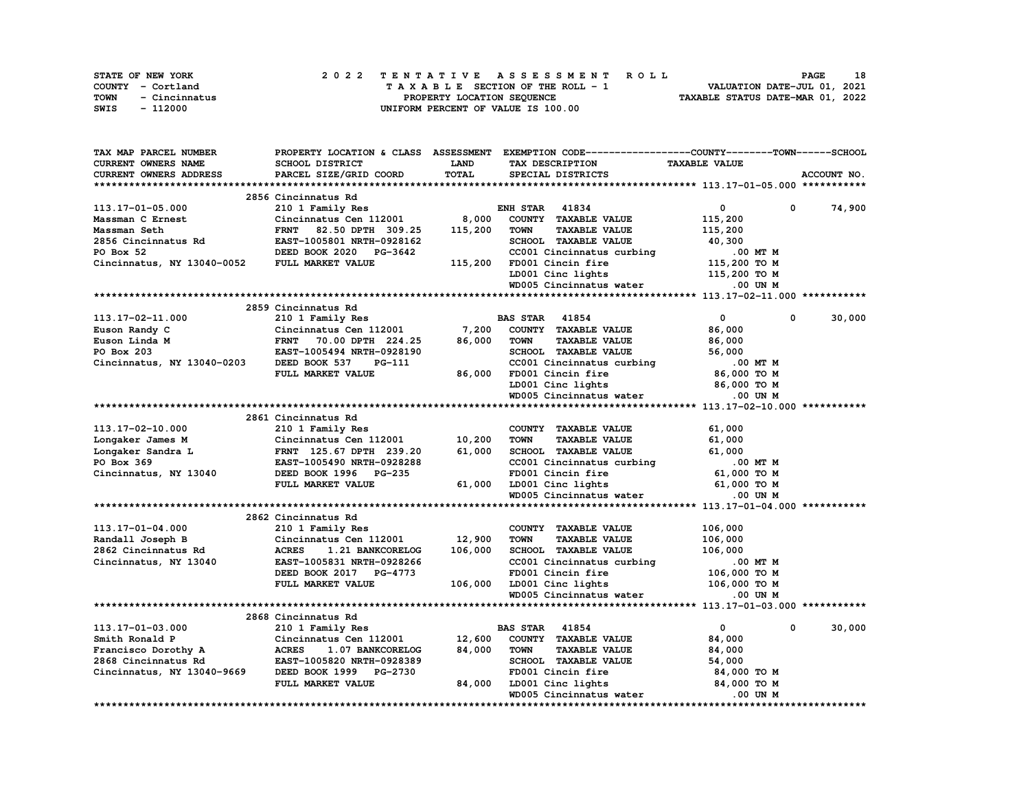| <b>STATE OF NEW YORK</b> | 2022 TENTATIVE ASSESSMENT ROLL     | 18<br><b>PAGE</b>                |
|--------------------------|------------------------------------|----------------------------------|
| COUNTY - Cortland        | TAXABLE SECTION OF THE ROLL - 1    | VALUATION DATE-JUL 01, 2021      |
| TOWN<br>- Cincinnatus    | PROPERTY LOCATION SEOUENCE         | TAXABLE STATUS DATE-MAR 01, 2022 |
| SWIS<br>- 112000         | UNIFORM PERCENT OF VALUE IS 100.00 |                                  |

| TAX MAP PARCEL NUMBER         |                                  |             | PROPERTY LOCATION & CLASS ASSESSMENT EXEMPTION CODE----------------COUNTY-------TOWN-----SCHOOL |                              |             |
|-------------------------------|----------------------------------|-------------|-------------------------------------------------------------------------------------------------|------------------------------|-------------|
| CURRENT OWNERS NAME           | SCHOOL DISTRICT                  | <b>LAND</b> | TAX DESCRIPTION                                                                                 | <b>TAXABLE VALUE</b>         |             |
| <b>CURRENT OWNERS ADDRESS</b> | PARCEL SIZE/GRID COORD           | TOTAL       | SPECIAL DISTRICTS                                                                               |                              | ACCOUNT NO. |
|                               |                                  |             |                                                                                                 |                              |             |
|                               | 2856 Cincinnatus Rd              |             |                                                                                                 |                              |             |
| 113.17-01-05.000              | 210 1 Family Res                 |             | <b>ENH STAR 41834</b>                                                                           | 0<br>$\Omega$                | 74,900      |
| Massman C Ernest              | Cincinnatus Cen 112001           | 8,000       | COUNTY TAXABLE VALUE                                                                            | 115,200                      |             |
| Massman Seth                  | 82.50 DPTH 309.25<br><b>FRNT</b> | 115,200     | <b>TOWN</b><br><b>TAXABLE VALUE</b>                                                             | 115,200                      |             |
| 2856 Cincinnatus Rd           |                                  |             | SCHOOL TAXABLE VALUE                                                                            |                              |             |
|                               | EAST-1005801 NRTH-0928162        |             |                                                                                                 | 40,300                       |             |
| PO Box 52                     | DEED BOOK 2020 PG-3642           |             | CC001 Cincinnatus curbing                                                                       | $.00$ MT $M$                 |             |
| Cincinnatus, NY 13040-0052    | FULL MARKET VALUE                | 115,200     | FD001 Cincin fire                                                                               | 115,200 TO M                 |             |
|                               |                                  |             | LD001 Cinc lights                                                                               | 115,200 TO M                 |             |
|                               |                                  |             | WD005 Cincinnatus water                                                                         | .00 UN M                     |             |
|                               |                                  |             |                                                                                                 |                              |             |
|                               | 2859 Cincinnatus Rd              |             |                                                                                                 |                              |             |
| 113.17-02-11.000              | 210 1 Family Res                 |             | <b>BAS STAR 41854</b>                                                                           | $\mathbf{0}$<br>$\mathbf{0}$ | 30,000      |
| Euson Randy C                 | Cincinnatus Cen 112001           | 7,200       | COUNTY TAXABLE VALUE                                                                            | 86,000                       |             |
| Euson Linda M                 | <b>FRNT</b><br>70.00 DPTH 224.25 | 86,000      | <b>TAXABLE VALUE</b><br><b>TOWN</b>                                                             | 86,000                       |             |
| PO Box 203                    | EAST-1005494 NRTH-0928190        |             | SCHOOL TAXABLE VALUE                                                                            | 56,000                       |             |
| Cincinnatus, NY 13040-0203    | DEED BOOK 537<br>PG-111          |             | CC001 Cincinnatus curbing                                                                       | .00 MT M                     |             |
|                               | FULL MARKET VALUE                | 86,000      | FD001 Cincin fire                                                                               | 86,000 TO M                  |             |
|                               |                                  |             | LD001 Cinc lights                                                                               | 86,000 TO M                  |             |
|                               |                                  |             |                                                                                                 |                              |             |
|                               |                                  |             | WD005 Cincinnatus water                                                                         | $.00$ UN $M$                 |             |
|                               |                                  |             |                                                                                                 |                              |             |
|                               | 2861 Cincinnatus Rd              |             |                                                                                                 |                              |             |
| 113.17-02-10.000              | 210 1 Family Res                 |             | COUNTY TAXABLE VALUE                                                                            | 61,000                       |             |
| Longaker James M              | Cincinnatus Cen 112001           | 10,200      | <b>TOWN</b><br><b>TAXABLE VALUE</b>                                                             | 61,000                       |             |
| Longaker Sandra L             | FRNT 125.67 DPTH 239.20          | 61,000      | SCHOOL TAXABLE VALUE                                                                            | 61,000                       |             |
| PO Box 369                    | EAST-1005490 NRTH-0928288        |             | CC001 Cincinnatus curbing                                                                       | .00 MT M                     |             |
| Cincinnatus, NY 13040         | DEED BOOK 1996 PG-235            |             | FD001 Cincin fire                                                                               | 61,000 TO M                  |             |
|                               | FULL MARKET VALUE                | 61,000      | LD001 Cinc lights                                                                               | 61,000 TO M                  |             |
|                               |                                  |             | WD005 Cincinnatus water                                                                         | .00 UN M                     |             |
|                               |                                  |             |                                                                                                 |                              |             |
|                               | 2862 Cincinnatus Rd              |             |                                                                                                 |                              |             |
| 113.17-01-04.000              | 210 1 Family Res                 |             | COUNTY TAXABLE VALUE                                                                            | 106,000                      |             |
| Randall Joseph B              | Cincinnatus Cen 112001           | 12,900      | <b>TOWN</b><br><b>TAXABLE VALUE</b>                                                             | 106,000                      |             |
| 2862 Cincinnatus Rd           | <b>ACRES</b><br>1.21 BANKCORELOG | 106,000     | SCHOOL TAXABLE VALUE                                                                            | 106,000                      |             |
| Cincinnatus, NY 13040         | EAST-1005831 NRTH-0928266        |             | CC001 Cincinnatus curbing                                                                       | .00 MT M                     |             |
|                               | DEED BOOK 2017 PG-4773           |             | FD001 Cincin fire                                                                               | 106,000 то м                 |             |
|                               | FULL MARKET VALUE                | 106,000     | LD001 Cinc lights                                                                               | 106,000 TO M                 |             |
|                               |                                  |             | WD005 Cincinnatus water                                                                         | $.00$ UN $M$                 |             |
|                               |                                  |             |                                                                                                 |                              |             |
|                               |                                  |             |                                                                                                 |                              |             |
|                               | 2868 Cincinnatus Rd              |             |                                                                                                 |                              |             |
| 113.17-01-03.000              | 210 1 Family Res                 |             | <b>BAS STAR 41854</b>                                                                           | $\mathbf{0}$<br>0            | 30,000      |
| Smith Ronald P                | Cincinnatus Cen 112001           | 12,600      | COUNTY TAXABLE VALUE                                                                            | 84,000                       |             |
| Francisco Dorothy A           | <b>ACRES</b><br>1.07 BANKCORELOG | 84,000      | <b>TOWN</b><br><b>TAXABLE VALUE</b>                                                             | 84,000                       |             |
| 2868 Cincinnatus Rd           | EAST-1005820 NRTH-0928389        |             | SCHOOL TAXABLE VALUE                                                                            | 54,000                       |             |
| Cincinnatus, NY 13040-9669    | DEED BOOK 1999 PG-2730           |             | FD001 Cincin fire                                                                               | 84,000 TO M                  |             |
|                               | FULL MARKET VALUE                | 84,000      | LD001 Cinc lights                                                                               | 84,000 TO M                  |             |
|                               |                                  |             | WD005 Cincinnatus water                                                                         | .00 UN M                     |             |
|                               |                                  |             |                                                                                                 |                              |             |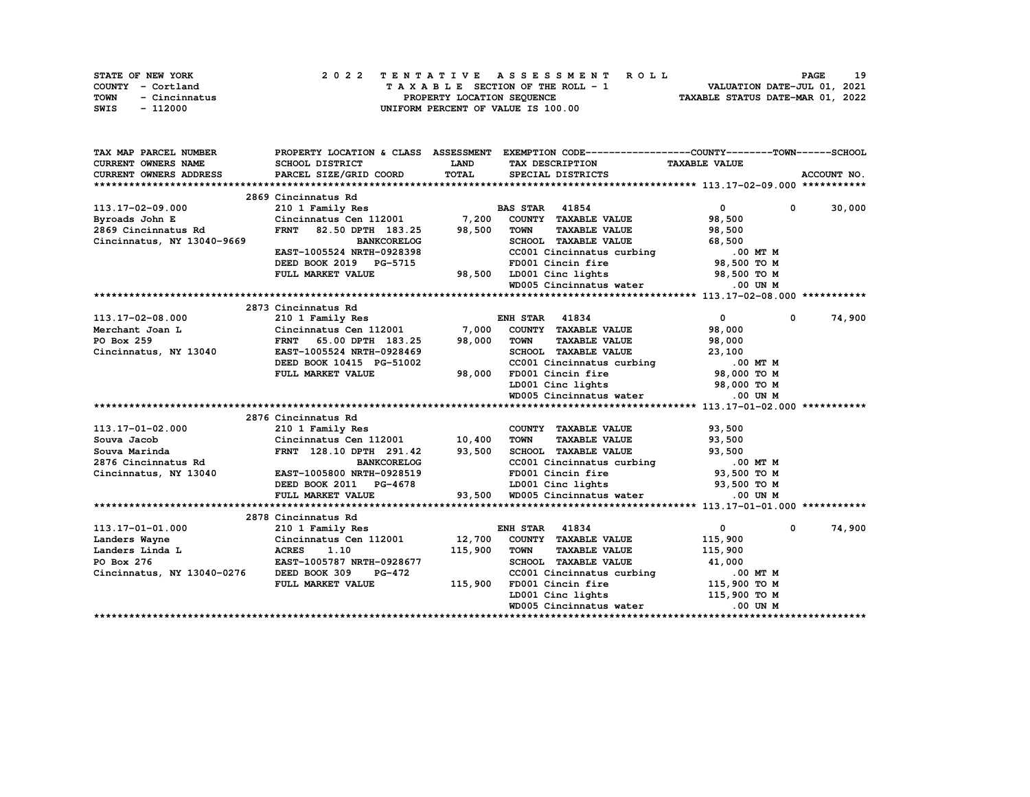|      | STATE OF NEW YORK |  | 2022 TENTATIVE ASSESSMENT ROLL |  |  |  |                                    |  |  |  |  |  |  |                                  | <b>PAGE</b> | 19 |
|------|-------------------|--|--------------------------------|--|--|--|------------------------------------|--|--|--|--|--|--|----------------------------------|-------------|----|
|      | COUNTY - Cortland |  |                                |  |  |  | TAXABLE SECTION OF THE ROLL - 1    |  |  |  |  |  |  | VALUATION DATE-JUL 01, 2021      |             |    |
| TOWN | - Cincinnatus     |  |                                |  |  |  | PROPERTY LOCATION SEQUENCE         |  |  |  |  |  |  | TAXABLE STATUS DATE-MAR 01, 2022 |             |    |
| SWIS | - 112000          |  |                                |  |  |  | UNIFORM PERCENT OF VALUE IS 100.00 |  |  |  |  |  |  |                                  |             |    |

| TAX MAP PARCEL NUMBER         |                                                   |             | PROPERTY LOCATION & CLASS ASSESSMENT EXEMPTION CODE----------------COUNTY-------TOWN-----SCHOOL |                            |                        |
|-------------------------------|---------------------------------------------------|-------------|-------------------------------------------------------------------------------------------------|----------------------------|------------------------|
| <b>CURRENT OWNERS NAME</b>    | SCHOOL DISTRICT                                   | <b>LAND</b> | TAX DESCRIPTION                                                                                 | <b>TAXABLE VALUE</b>       |                        |
| <b>CURRENT OWNERS ADDRESS</b> | PARCEL SIZE/GRID COORD                            | TOTAL       | SPECIAL DISTRICTS                                                                               |                            | ACCOUNT NO.            |
|                               |                                                   |             |                                                                                                 |                            |                        |
|                               | 2869 Cincinnatus Rd                               |             |                                                                                                 |                            |                        |
| 113.17-02-09.000              | 210 1 Family Res                                  |             | <b>BAS STAR 41854</b>                                                                           | $\mathbf{0}$<br>0          | 30,000                 |
| Byroads John E                | Cincinnatus Cen 112001 7,200                      |             | COUNTY TAXABLE VALUE                                                                            | 98,500                     |                        |
| 2869 Cincinnatus Rd           | <b>FRNT</b><br>82.50 DPTH 183.25                  | 98,500      | <b>TAXABLE VALUE</b><br><b>TOWN</b>                                                             | 98,500                     |                        |
| Cincinnatus, NY 13040-9669    | <b>BANKCORELOG</b>                                |             | SCHOOL TAXABLE VALUE                                                                            | 68,500                     |                        |
|                               | EAST-1005524 NRTH-0928398                         |             | CC001 Cincinnatus curbing .00 MT M                                                              |                            |                        |
|                               | DEED BOOK 2019 PG-5715                            |             | FD001 Cincin fire                                                                               | 98,500 TO M                |                        |
|                               | FULL MARKET VALUE                                 |             | 98,500 LD001 Cinc lights                                                                        | 98,500 TO M                |                        |
|                               |                                                   |             | WD005 Cincinnatus water                                                                         | $.00$ UN $M$               |                        |
|                               |                                                   |             |                                                                                                 |                            |                        |
|                               | 2873 Cincinnatus Rd                               |             |                                                                                                 |                            |                        |
| 113.17-02-08.000              | 210 1 Family Res                                  |             | <b>ENH STAR 41834</b>                                                                           | $\overline{0}$             | 74,900<br>$\mathbf{0}$ |
| Merchant Joan L               | Cincinnatus Cen 112001 7,000                      |             | COUNTY TAXABLE VALUE                                                                            | 98,000                     |                        |
| PO Box 259                    | FRNT 65.00 DPTH 183.25                            | 98,000      | <b>TOWN</b><br><b>TAXABLE VALUE</b>                                                             | 98,000                     |                        |
| Cincinnatus, NY 13040         | EAST-1005524 NRTH-0928469                         |             | SCHOOL TAXABLE VALUE                                                                            | 23,100                     |                        |
|                               | DEED BOOK 10415 PG-51002                          |             | CC001 Cincinnatus curbing $100$ MT M<br>FD001 Cincin fire 98,000 TO M                           |                            |                        |
|                               | FULL MARKET VALUE                                 | 98,000      |                                                                                                 |                            |                        |
|                               |                                                   |             | LD001 Cinc lights 98,000 TO M                                                                   |                            |                        |
|                               |                                                   |             | WD005 Cincinnatus water                                                                         | .00 UN M                   |                        |
|                               |                                                   |             |                                                                                                 |                            |                        |
|                               | 2876 Cincinnatus Rd                               |             |                                                                                                 |                            |                        |
| 113.17-01-02.000              | 210 1 Family Res                                  |             | COUNTY TAXABLE VALUE                                                                            | 93,500                     |                        |
| Souva Jacob                   | Cincinnatus Cen 112001 10,400                     |             | <b>TOWN</b><br><b>TAXABLE VALUE</b>                                                             | 93,500                     |                        |
| Souva Marinda                 | FRNT 128.10 DPTH 291.42 93,500                    |             | SCHOOL TAXABLE VALUE                                                                            | 93,500                     |                        |
| 2876 Cincinnatus Rd           | <b>BANKCORELOG</b>                                |             | CC001 Cincinnatus curbing 00 MT M<br>FD001 Cincin fire 93,500 TO M                              |                            |                        |
| Cincinnatus, NY 13040         | EAST-1005800 NRTH-0928519                         |             |                                                                                                 |                            |                        |
|                               | DEED BOOK 2011 PG-4678                            |             | LD001 Cinc lights 93,500 TO M<br>LD001 Cinc lights<br>93,500 WD005 Cincinnatus water            |                            |                        |
|                               | FULL MARKET VALUE                                 |             |                                                                                                 | .00 UN M                   |                        |
|                               |                                                   |             |                                                                                                 |                            |                        |
|                               | 2878 Cincinnatus Rd                               |             |                                                                                                 |                            |                        |
| 113.17-01-01.000              | 210 1 Family Res                                  |             | <b>ENH STAR 41834</b>                                                                           | $\mathbf{0}$<br>$^{\circ}$ | 74,900                 |
| Landers Wayne                 | Cincinnatus Cen 112001                            |             | 12,700 COUNTY TAXABLE VALUE                                                                     | 115,900                    |                        |
| Landers Linda L               | <b>ACRES</b><br>1.10<br>EAST-1005787 NRTH-0928677 | 115,900     | <b>TOWN</b><br><b>TAXABLE VALUE</b><br>SCHOOL TAXABLE VALUE                                     | 115,900<br>41,000          |                        |
| PO Box 276                    |                                                   |             |                                                                                                 |                            |                        |
| Cincinnatus, NY 13040-0276    | DEED BOOK 309<br><b>PG-472</b>                    |             |                                                                                                 |                            |                        |
|                               | FULL MARKET VALUE                                 | 115,900     | FD001 Cincin fire<br>LD001 Cinc lights                                                          | 115,900 TO M               |                        |
|                               |                                                   |             | WD005 Cincinnatus water                                                                         | $.00$ UN M                 |                        |
|                               |                                                   |             |                                                                                                 |                            |                        |
|                               |                                                   |             |                                                                                                 |                            |                        |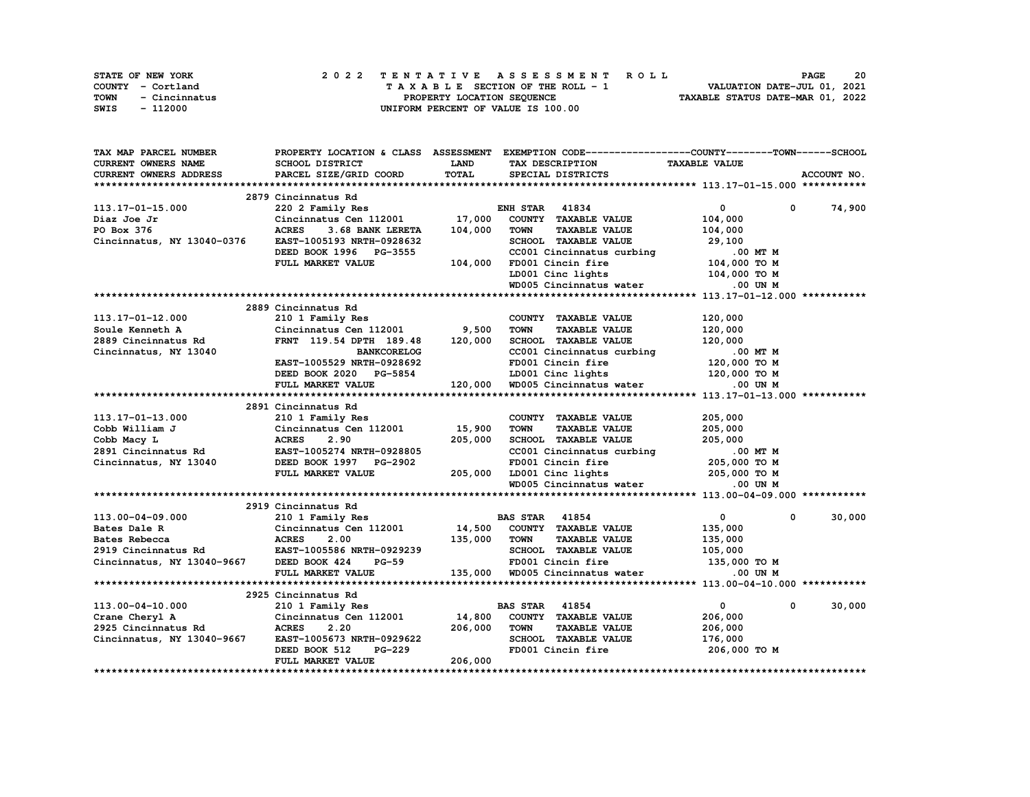| STATE OF NEW YORK     | 2022 TENTATIVE ASSESSMENT ROLL     | 20<br><b>PAGE</b>                |
|-----------------------|------------------------------------|----------------------------------|
| COUNTY - Cortland     | TAXABLE SECTION OF THE ROLL - 1    | VALUATION DATE-JUL 01, 2021      |
| TOWN<br>- Cincinnatus | PROPERTY LOCATION SEQUENCE         | TAXABLE STATUS DATE-MAR 01, 2022 |
| SWIS<br>- 112000      | UNIFORM PERCENT OF VALUE IS 100.00 |                                  |

| <b>CURRENT OWNERS NAME</b><br>SCHOOL DISTRICT<br><b>LAND</b><br>TAX DESCRIPTION<br><b>TAXABLE VALUE</b><br><b>TOTAL</b><br><b>CURRENT OWNERS ADDRESS</b><br>PARCEL SIZE/GRID COORD<br>ACCOUNT NO.<br>SPECIAL DISTRICTS<br>2879 Cincinnatus Rd<br>220 2 Family Res<br>74,900<br>113.17-01-15.000<br><b>ENH STAR 41834</b><br>$\mathbf{0}$<br>$\mathbf 0$<br>Cincinnatus Cen 112001 17,000 COUNTY TAXABLE VALUE<br>104,000<br>Diaz Joe Jr<br>104,000<br>PO Box 376<br><b>ACRES</b><br>3.68 BANK LERETA<br><b>TOWN</b><br><b>TAXABLE VALUE</b><br>104,000<br>Cincinnatus, NY 13040-0376<br>SCHOOL TAXABLE VALUE<br>EAST-1005193 NRTH-0928632<br>29,100<br>DEED BOOK 1996 PG-3555<br>CC001 Cincinnatus curbing<br>.00 MT M<br>104,000 TO M<br>104,000 FD001 Cincin fire<br>LD001 Cinc lights<br>FULL MARKET VALUE<br>104,000 TO M<br>WD005 Cincinnatus water<br>$.00$ UN M<br>2889 Cincinnatus Rd<br>113.17-01-12.000<br>210 1 Family Res<br>COUNTY TAXABLE VALUE<br>120,000<br>$Cincinnatus Cen$ 112001 9,500<br><b>TOWN</b><br><b>TAXABLE VALUE</b><br>120,000<br>Soule Kenneth A<br>2889 Cincinnatus Rd<br>FRNT 119.54 DPTH 189.48<br>120,000<br>SCHOOL TAXABLE VALUE<br>120,000<br>$ \sim$ 00 MT M<br><b>BANKCORELOG</b><br>CC001 Cincinnatus curbing<br>FD001 Cincin fire<br>Cincinnatus, NY 13040<br>120,000 TO M<br>EAST-1005529 NRTH-0928692<br>DEED BOOK 2020 PG-5854 LD001 Cinc lights 120,000 TO M<br>FULL MARKET VALUE 120,000 WD005 Cincinnatus water 0.00 UN M<br>2891 Cincinnatus Rd<br>113.17-01-13.000<br>210 1 Family Res<br>Cincinnatus Cen 112001     15,900<br>COUNTY TAXABLE VALUE<br>205,000<br>210 1<br>Cincin<br>ACRES<br>EAST-1<br>Cobb William J<br><b>TOWN</b><br><b>TAXABLE VALUE</b><br>205,000<br>205,000 SCHOOL TAXABLE VALUE 205,000 CC01 Cincinnatus curbing<br>FD001 Cincinnatus curbing<br>PD001 Cincinnatus curbing<br>PD001 Cincinnatus curbing<br>205,000 TO M<br>WD005 Cincinnatus water 0.00 UN M<br>205,000<br>Cobb Macy L<br>2.90<br>2891 Cincinnatus Rd<br>Cincinnatus, NY 13040 DEED BOOK 1997 PG-2902<br>2919 Cincinnatus Rd<br>210 1 Family Res<br>30,000<br>113.00-04-09.000<br><b>BAS STAR 41854</b><br>$\mathbf{0}$<br>$\mathbf{0}$<br>Cincinnatus Cen 112001 $14,500$ COUNTY TAXABLE VALUE<br>ACRES 2.00 135,000 TOWN TAXABLE VALUE<br>135,000<br>Bates Dale R Cincinnatus Cen 112001<br>Bates Rebecca ACRES 2.00<br>2919 Cincinnatus Rd EAST-1005586 NRTH-0929239<br>Cincinnatus, NY 13040-9667 DEED BOOK 424 PG-59<br>135,000<br>SCHOOL TAXABLE VALUE 105,000<br>FD001 Cincin fire 135,000 TO M<br>135,000 WD005 Cincinnatus water .00 UN M<br>FULL MARKET VALUE<br>2925 Cincinnatus Rd<br>Cincinnatus Rd<br>210 1 Family Res<br>$0 \t 30,000$<br><b>BAS STAR</b> 41854<br>$\mathbf{0}$<br>113.00-04-10.000<br>Crane Cheryl A Cincinnatus Cen 112001 14,800<br>2925 Cincinnatus Rd ACRES 2.20 206,000<br>COUNTY TAXABLE VALUE<br>206,000<br><b>TOWN</b><br><b>TAXABLE VALUE</b><br>206,000<br>Cincinnatus, NY 13040-9667<br>SCHOOL TAXABLE VALUE<br>176,000<br>PG-229<br>3<br>FD001 Cincin fire 206,000 TO M<br>FULL MARKET VALUE<br>206,000 | TAX MAP PARCEL NUMBER |  | PROPERTY LOCATION & CLASS ASSESSMENT EXEMPTION CODE-----------------COUNTY-------TOWN-----SCHOOL |  |
|-----------------------------------------------------------------------------------------------------------------------------------------------------------------------------------------------------------------------------------------------------------------------------------------------------------------------------------------------------------------------------------------------------------------------------------------------------------------------------------------------------------------------------------------------------------------------------------------------------------------------------------------------------------------------------------------------------------------------------------------------------------------------------------------------------------------------------------------------------------------------------------------------------------------------------------------------------------------------------------------------------------------------------------------------------------------------------------------------------------------------------------------------------------------------------------------------------------------------------------------------------------------------------------------------------------------------------------------------------------------------------------------------------------------------------------------------------------------------------------------------------------------------------------------------------------------------------------------------------------------------------------------------------------------------------------------------------------------------------------------------------------------------------------------------------------------------------------------------------------------------------------------------------------------------------------------------------------------------------------------------------------------------------------------------------------------------------------------------------------------------------------------------------------------------------------------------------------------------------------------------------------------------------------------------------------------------------------------------------------------------------------------------------------------------------------------------------------------------------------------------------------------------------------------------------------------------------------------------------------------------------------------------------------------------------------------------------------------------------------------------------------------------------------------------------------------------------------------------------------------------------------------------------------------------------------------------------------------------------------------------------------------------------------------------------------------------------------------------|-----------------------|--|--------------------------------------------------------------------------------------------------|--|
|                                                                                                                                                                                                                                                                                                                                                                                                                                                                                                                                                                                                                                                                                                                                                                                                                                                                                                                                                                                                                                                                                                                                                                                                                                                                                                                                                                                                                                                                                                                                                                                                                                                                                                                                                                                                                                                                                                                                                                                                                                                                                                                                                                                                                                                                                                                                                                                                                                                                                                                                                                                                                                                                                                                                                                                                                                                                                                                                                                                                                                                                                               |                       |  |                                                                                                  |  |
|                                                                                                                                                                                                                                                                                                                                                                                                                                                                                                                                                                                                                                                                                                                                                                                                                                                                                                                                                                                                                                                                                                                                                                                                                                                                                                                                                                                                                                                                                                                                                                                                                                                                                                                                                                                                                                                                                                                                                                                                                                                                                                                                                                                                                                                                                                                                                                                                                                                                                                                                                                                                                                                                                                                                                                                                                                                                                                                                                                                                                                                                                               |                       |  |                                                                                                  |  |
|                                                                                                                                                                                                                                                                                                                                                                                                                                                                                                                                                                                                                                                                                                                                                                                                                                                                                                                                                                                                                                                                                                                                                                                                                                                                                                                                                                                                                                                                                                                                                                                                                                                                                                                                                                                                                                                                                                                                                                                                                                                                                                                                                                                                                                                                                                                                                                                                                                                                                                                                                                                                                                                                                                                                                                                                                                                                                                                                                                                                                                                                                               |                       |  |                                                                                                  |  |
|                                                                                                                                                                                                                                                                                                                                                                                                                                                                                                                                                                                                                                                                                                                                                                                                                                                                                                                                                                                                                                                                                                                                                                                                                                                                                                                                                                                                                                                                                                                                                                                                                                                                                                                                                                                                                                                                                                                                                                                                                                                                                                                                                                                                                                                                                                                                                                                                                                                                                                                                                                                                                                                                                                                                                                                                                                                                                                                                                                                                                                                                                               |                       |  |                                                                                                  |  |
|                                                                                                                                                                                                                                                                                                                                                                                                                                                                                                                                                                                                                                                                                                                                                                                                                                                                                                                                                                                                                                                                                                                                                                                                                                                                                                                                                                                                                                                                                                                                                                                                                                                                                                                                                                                                                                                                                                                                                                                                                                                                                                                                                                                                                                                                                                                                                                                                                                                                                                                                                                                                                                                                                                                                                                                                                                                                                                                                                                                                                                                                                               |                       |  |                                                                                                  |  |
|                                                                                                                                                                                                                                                                                                                                                                                                                                                                                                                                                                                                                                                                                                                                                                                                                                                                                                                                                                                                                                                                                                                                                                                                                                                                                                                                                                                                                                                                                                                                                                                                                                                                                                                                                                                                                                                                                                                                                                                                                                                                                                                                                                                                                                                                                                                                                                                                                                                                                                                                                                                                                                                                                                                                                                                                                                                                                                                                                                                                                                                                                               |                       |  |                                                                                                  |  |
|                                                                                                                                                                                                                                                                                                                                                                                                                                                                                                                                                                                                                                                                                                                                                                                                                                                                                                                                                                                                                                                                                                                                                                                                                                                                                                                                                                                                                                                                                                                                                                                                                                                                                                                                                                                                                                                                                                                                                                                                                                                                                                                                                                                                                                                                                                                                                                                                                                                                                                                                                                                                                                                                                                                                                                                                                                                                                                                                                                                                                                                                                               |                       |  |                                                                                                  |  |
|                                                                                                                                                                                                                                                                                                                                                                                                                                                                                                                                                                                                                                                                                                                                                                                                                                                                                                                                                                                                                                                                                                                                                                                                                                                                                                                                                                                                                                                                                                                                                                                                                                                                                                                                                                                                                                                                                                                                                                                                                                                                                                                                                                                                                                                                                                                                                                                                                                                                                                                                                                                                                                                                                                                                                                                                                                                                                                                                                                                                                                                                                               |                       |  |                                                                                                  |  |
|                                                                                                                                                                                                                                                                                                                                                                                                                                                                                                                                                                                                                                                                                                                                                                                                                                                                                                                                                                                                                                                                                                                                                                                                                                                                                                                                                                                                                                                                                                                                                                                                                                                                                                                                                                                                                                                                                                                                                                                                                                                                                                                                                                                                                                                                                                                                                                                                                                                                                                                                                                                                                                                                                                                                                                                                                                                                                                                                                                                                                                                                                               |                       |  |                                                                                                  |  |
|                                                                                                                                                                                                                                                                                                                                                                                                                                                                                                                                                                                                                                                                                                                                                                                                                                                                                                                                                                                                                                                                                                                                                                                                                                                                                                                                                                                                                                                                                                                                                                                                                                                                                                                                                                                                                                                                                                                                                                                                                                                                                                                                                                                                                                                                                                                                                                                                                                                                                                                                                                                                                                                                                                                                                                                                                                                                                                                                                                                                                                                                                               |                       |  |                                                                                                  |  |
|                                                                                                                                                                                                                                                                                                                                                                                                                                                                                                                                                                                                                                                                                                                                                                                                                                                                                                                                                                                                                                                                                                                                                                                                                                                                                                                                                                                                                                                                                                                                                                                                                                                                                                                                                                                                                                                                                                                                                                                                                                                                                                                                                                                                                                                                                                                                                                                                                                                                                                                                                                                                                                                                                                                                                                                                                                                                                                                                                                                                                                                                                               |                       |  |                                                                                                  |  |
|                                                                                                                                                                                                                                                                                                                                                                                                                                                                                                                                                                                                                                                                                                                                                                                                                                                                                                                                                                                                                                                                                                                                                                                                                                                                                                                                                                                                                                                                                                                                                                                                                                                                                                                                                                                                                                                                                                                                                                                                                                                                                                                                                                                                                                                                                                                                                                                                                                                                                                                                                                                                                                                                                                                                                                                                                                                                                                                                                                                                                                                                                               |                       |  |                                                                                                  |  |
|                                                                                                                                                                                                                                                                                                                                                                                                                                                                                                                                                                                                                                                                                                                                                                                                                                                                                                                                                                                                                                                                                                                                                                                                                                                                                                                                                                                                                                                                                                                                                                                                                                                                                                                                                                                                                                                                                                                                                                                                                                                                                                                                                                                                                                                                                                                                                                                                                                                                                                                                                                                                                                                                                                                                                                                                                                                                                                                                                                                                                                                                                               |                       |  |                                                                                                  |  |
|                                                                                                                                                                                                                                                                                                                                                                                                                                                                                                                                                                                                                                                                                                                                                                                                                                                                                                                                                                                                                                                                                                                                                                                                                                                                                                                                                                                                                                                                                                                                                                                                                                                                                                                                                                                                                                                                                                                                                                                                                                                                                                                                                                                                                                                                                                                                                                                                                                                                                                                                                                                                                                                                                                                                                                                                                                                                                                                                                                                                                                                                                               |                       |  |                                                                                                  |  |
|                                                                                                                                                                                                                                                                                                                                                                                                                                                                                                                                                                                                                                                                                                                                                                                                                                                                                                                                                                                                                                                                                                                                                                                                                                                                                                                                                                                                                                                                                                                                                                                                                                                                                                                                                                                                                                                                                                                                                                                                                                                                                                                                                                                                                                                                                                                                                                                                                                                                                                                                                                                                                                                                                                                                                                                                                                                                                                                                                                                                                                                                                               |                       |  |                                                                                                  |  |
|                                                                                                                                                                                                                                                                                                                                                                                                                                                                                                                                                                                                                                                                                                                                                                                                                                                                                                                                                                                                                                                                                                                                                                                                                                                                                                                                                                                                                                                                                                                                                                                                                                                                                                                                                                                                                                                                                                                                                                                                                                                                                                                                                                                                                                                                                                                                                                                                                                                                                                                                                                                                                                                                                                                                                                                                                                                                                                                                                                                                                                                                                               |                       |  |                                                                                                  |  |
|                                                                                                                                                                                                                                                                                                                                                                                                                                                                                                                                                                                                                                                                                                                                                                                                                                                                                                                                                                                                                                                                                                                                                                                                                                                                                                                                                                                                                                                                                                                                                                                                                                                                                                                                                                                                                                                                                                                                                                                                                                                                                                                                                                                                                                                                                                                                                                                                                                                                                                                                                                                                                                                                                                                                                                                                                                                                                                                                                                                                                                                                                               |                       |  |                                                                                                  |  |
|                                                                                                                                                                                                                                                                                                                                                                                                                                                                                                                                                                                                                                                                                                                                                                                                                                                                                                                                                                                                                                                                                                                                                                                                                                                                                                                                                                                                                                                                                                                                                                                                                                                                                                                                                                                                                                                                                                                                                                                                                                                                                                                                                                                                                                                                                                                                                                                                                                                                                                                                                                                                                                                                                                                                                                                                                                                                                                                                                                                                                                                                                               |                       |  |                                                                                                  |  |
|                                                                                                                                                                                                                                                                                                                                                                                                                                                                                                                                                                                                                                                                                                                                                                                                                                                                                                                                                                                                                                                                                                                                                                                                                                                                                                                                                                                                                                                                                                                                                                                                                                                                                                                                                                                                                                                                                                                                                                                                                                                                                                                                                                                                                                                                                                                                                                                                                                                                                                                                                                                                                                                                                                                                                                                                                                                                                                                                                                                                                                                                                               |                       |  |                                                                                                  |  |
|                                                                                                                                                                                                                                                                                                                                                                                                                                                                                                                                                                                                                                                                                                                                                                                                                                                                                                                                                                                                                                                                                                                                                                                                                                                                                                                                                                                                                                                                                                                                                                                                                                                                                                                                                                                                                                                                                                                                                                                                                                                                                                                                                                                                                                                                                                                                                                                                                                                                                                                                                                                                                                                                                                                                                                                                                                                                                                                                                                                                                                                                                               |                       |  |                                                                                                  |  |
|                                                                                                                                                                                                                                                                                                                                                                                                                                                                                                                                                                                                                                                                                                                                                                                                                                                                                                                                                                                                                                                                                                                                                                                                                                                                                                                                                                                                                                                                                                                                                                                                                                                                                                                                                                                                                                                                                                                                                                                                                                                                                                                                                                                                                                                                                                                                                                                                                                                                                                                                                                                                                                                                                                                                                                                                                                                                                                                                                                                                                                                                                               |                       |  |                                                                                                  |  |
|                                                                                                                                                                                                                                                                                                                                                                                                                                                                                                                                                                                                                                                                                                                                                                                                                                                                                                                                                                                                                                                                                                                                                                                                                                                                                                                                                                                                                                                                                                                                                                                                                                                                                                                                                                                                                                                                                                                                                                                                                                                                                                                                                                                                                                                                                                                                                                                                                                                                                                                                                                                                                                                                                                                                                                                                                                                                                                                                                                                                                                                                                               |                       |  |                                                                                                  |  |
|                                                                                                                                                                                                                                                                                                                                                                                                                                                                                                                                                                                                                                                                                                                                                                                                                                                                                                                                                                                                                                                                                                                                                                                                                                                                                                                                                                                                                                                                                                                                                                                                                                                                                                                                                                                                                                                                                                                                                                                                                                                                                                                                                                                                                                                                                                                                                                                                                                                                                                                                                                                                                                                                                                                                                                                                                                                                                                                                                                                                                                                                                               |                       |  |                                                                                                  |  |
|                                                                                                                                                                                                                                                                                                                                                                                                                                                                                                                                                                                                                                                                                                                                                                                                                                                                                                                                                                                                                                                                                                                                                                                                                                                                                                                                                                                                                                                                                                                                                                                                                                                                                                                                                                                                                                                                                                                                                                                                                                                                                                                                                                                                                                                                                                                                                                                                                                                                                                                                                                                                                                                                                                                                                                                                                                                                                                                                                                                                                                                                                               |                       |  |                                                                                                  |  |
|                                                                                                                                                                                                                                                                                                                                                                                                                                                                                                                                                                                                                                                                                                                                                                                                                                                                                                                                                                                                                                                                                                                                                                                                                                                                                                                                                                                                                                                                                                                                                                                                                                                                                                                                                                                                                                                                                                                                                                                                                                                                                                                                                                                                                                                                                                                                                                                                                                                                                                                                                                                                                                                                                                                                                                                                                                                                                                                                                                                                                                                                                               |                       |  |                                                                                                  |  |
|                                                                                                                                                                                                                                                                                                                                                                                                                                                                                                                                                                                                                                                                                                                                                                                                                                                                                                                                                                                                                                                                                                                                                                                                                                                                                                                                                                                                                                                                                                                                                                                                                                                                                                                                                                                                                                                                                                                                                                                                                                                                                                                                                                                                                                                                                                                                                                                                                                                                                                                                                                                                                                                                                                                                                                                                                                                                                                                                                                                                                                                                                               |                       |  |                                                                                                  |  |
|                                                                                                                                                                                                                                                                                                                                                                                                                                                                                                                                                                                                                                                                                                                                                                                                                                                                                                                                                                                                                                                                                                                                                                                                                                                                                                                                                                                                                                                                                                                                                                                                                                                                                                                                                                                                                                                                                                                                                                                                                                                                                                                                                                                                                                                                                                                                                                                                                                                                                                                                                                                                                                                                                                                                                                                                                                                                                                                                                                                                                                                                                               |                       |  |                                                                                                  |  |
|                                                                                                                                                                                                                                                                                                                                                                                                                                                                                                                                                                                                                                                                                                                                                                                                                                                                                                                                                                                                                                                                                                                                                                                                                                                                                                                                                                                                                                                                                                                                                                                                                                                                                                                                                                                                                                                                                                                                                                                                                                                                                                                                                                                                                                                                                                                                                                                                                                                                                                                                                                                                                                                                                                                                                                                                                                                                                                                                                                                                                                                                                               |                       |  |                                                                                                  |  |
|                                                                                                                                                                                                                                                                                                                                                                                                                                                                                                                                                                                                                                                                                                                                                                                                                                                                                                                                                                                                                                                                                                                                                                                                                                                                                                                                                                                                                                                                                                                                                                                                                                                                                                                                                                                                                                                                                                                                                                                                                                                                                                                                                                                                                                                                                                                                                                                                                                                                                                                                                                                                                                                                                                                                                                                                                                                                                                                                                                                                                                                                                               |                       |  |                                                                                                  |  |
|                                                                                                                                                                                                                                                                                                                                                                                                                                                                                                                                                                                                                                                                                                                                                                                                                                                                                                                                                                                                                                                                                                                                                                                                                                                                                                                                                                                                                                                                                                                                                                                                                                                                                                                                                                                                                                                                                                                                                                                                                                                                                                                                                                                                                                                                                                                                                                                                                                                                                                                                                                                                                                                                                                                                                                                                                                                                                                                                                                                                                                                                                               |                       |  |                                                                                                  |  |
|                                                                                                                                                                                                                                                                                                                                                                                                                                                                                                                                                                                                                                                                                                                                                                                                                                                                                                                                                                                                                                                                                                                                                                                                                                                                                                                                                                                                                                                                                                                                                                                                                                                                                                                                                                                                                                                                                                                                                                                                                                                                                                                                                                                                                                                                                                                                                                                                                                                                                                                                                                                                                                                                                                                                                                                                                                                                                                                                                                                                                                                                                               |                       |  |                                                                                                  |  |
|                                                                                                                                                                                                                                                                                                                                                                                                                                                                                                                                                                                                                                                                                                                                                                                                                                                                                                                                                                                                                                                                                                                                                                                                                                                                                                                                                                                                                                                                                                                                                                                                                                                                                                                                                                                                                                                                                                                                                                                                                                                                                                                                                                                                                                                                                                                                                                                                                                                                                                                                                                                                                                                                                                                                                                                                                                                                                                                                                                                                                                                                                               |                       |  |                                                                                                  |  |
|                                                                                                                                                                                                                                                                                                                                                                                                                                                                                                                                                                                                                                                                                                                                                                                                                                                                                                                                                                                                                                                                                                                                                                                                                                                                                                                                                                                                                                                                                                                                                                                                                                                                                                                                                                                                                                                                                                                                                                                                                                                                                                                                                                                                                                                                                                                                                                                                                                                                                                                                                                                                                                                                                                                                                                                                                                                                                                                                                                                                                                                                                               |                       |  |                                                                                                  |  |
|                                                                                                                                                                                                                                                                                                                                                                                                                                                                                                                                                                                                                                                                                                                                                                                                                                                                                                                                                                                                                                                                                                                                                                                                                                                                                                                                                                                                                                                                                                                                                                                                                                                                                                                                                                                                                                                                                                                                                                                                                                                                                                                                                                                                                                                                                                                                                                                                                                                                                                                                                                                                                                                                                                                                                                                                                                                                                                                                                                                                                                                                                               |                       |  |                                                                                                  |  |
|                                                                                                                                                                                                                                                                                                                                                                                                                                                                                                                                                                                                                                                                                                                                                                                                                                                                                                                                                                                                                                                                                                                                                                                                                                                                                                                                                                                                                                                                                                                                                                                                                                                                                                                                                                                                                                                                                                                                                                                                                                                                                                                                                                                                                                                                                                                                                                                                                                                                                                                                                                                                                                                                                                                                                                                                                                                                                                                                                                                                                                                                                               |                       |  |                                                                                                  |  |
|                                                                                                                                                                                                                                                                                                                                                                                                                                                                                                                                                                                                                                                                                                                                                                                                                                                                                                                                                                                                                                                                                                                                                                                                                                                                                                                                                                                                                                                                                                                                                                                                                                                                                                                                                                                                                                                                                                                                                                                                                                                                                                                                                                                                                                                                                                                                                                                                                                                                                                                                                                                                                                                                                                                                                                                                                                                                                                                                                                                                                                                                                               |                       |  |                                                                                                  |  |
|                                                                                                                                                                                                                                                                                                                                                                                                                                                                                                                                                                                                                                                                                                                                                                                                                                                                                                                                                                                                                                                                                                                                                                                                                                                                                                                                                                                                                                                                                                                                                                                                                                                                                                                                                                                                                                                                                                                                                                                                                                                                                                                                                                                                                                                                                                                                                                                                                                                                                                                                                                                                                                                                                                                                                                                                                                                                                                                                                                                                                                                                                               |                       |  |                                                                                                  |  |
|                                                                                                                                                                                                                                                                                                                                                                                                                                                                                                                                                                                                                                                                                                                                                                                                                                                                                                                                                                                                                                                                                                                                                                                                                                                                                                                                                                                                                                                                                                                                                                                                                                                                                                                                                                                                                                                                                                                                                                                                                                                                                                                                                                                                                                                                                                                                                                                                                                                                                                                                                                                                                                                                                                                                                                                                                                                                                                                                                                                                                                                                                               |                       |  |                                                                                                  |  |
|                                                                                                                                                                                                                                                                                                                                                                                                                                                                                                                                                                                                                                                                                                                                                                                                                                                                                                                                                                                                                                                                                                                                                                                                                                                                                                                                                                                                                                                                                                                                                                                                                                                                                                                                                                                                                                                                                                                                                                                                                                                                                                                                                                                                                                                                                                                                                                                                                                                                                                                                                                                                                                                                                                                                                                                                                                                                                                                                                                                                                                                                                               |                       |  |                                                                                                  |  |
|                                                                                                                                                                                                                                                                                                                                                                                                                                                                                                                                                                                                                                                                                                                                                                                                                                                                                                                                                                                                                                                                                                                                                                                                                                                                                                                                                                                                                                                                                                                                                                                                                                                                                                                                                                                                                                                                                                                                                                                                                                                                                                                                                                                                                                                                                                                                                                                                                                                                                                                                                                                                                                                                                                                                                                                                                                                                                                                                                                                                                                                                                               |                       |  |                                                                                                  |  |
|                                                                                                                                                                                                                                                                                                                                                                                                                                                                                                                                                                                                                                                                                                                                                                                                                                                                                                                                                                                                                                                                                                                                                                                                                                                                                                                                                                                                                                                                                                                                                                                                                                                                                                                                                                                                                                                                                                                                                                                                                                                                                                                                                                                                                                                                                                                                                                                                                                                                                                                                                                                                                                                                                                                                                                                                                                                                                                                                                                                                                                                                                               |                       |  |                                                                                                  |  |
|                                                                                                                                                                                                                                                                                                                                                                                                                                                                                                                                                                                                                                                                                                                                                                                                                                                                                                                                                                                                                                                                                                                                                                                                                                                                                                                                                                                                                                                                                                                                                                                                                                                                                                                                                                                                                                                                                                                                                                                                                                                                                                                                                                                                                                                                                                                                                                                                                                                                                                                                                                                                                                                                                                                                                                                                                                                                                                                                                                                                                                                                                               |                       |  |                                                                                                  |  |
|                                                                                                                                                                                                                                                                                                                                                                                                                                                                                                                                                                                                                                                                                                                                                                                                                                                                                                                                                                                                                                                                                                                                                                                                                                                                                                                                                                                                                                                                                                                                                                                                                                                                                                                                                                                                                                                                                                                                                                                                                                                                                                                                                                                                                                                                                                                                                                                                                                                                                                                                                                                                                                                                                                                                                                                                                                                                                                                                                                                                                                                                                               |                       |  |                                                                                                  |  |
|                                                                                                                                                                                                                                                                                                                                                                                                                                                                                                                                                                                                                                                                                                                                                                                                                                                                                                                                                                                                                                                                                                                                                                                                                                                                                                                                                                                                                                                                                                                                                                                                                                                                                                                                                                                                                                                                                                                                                                                                                                                                                                                                                                                                                                                                                                                                                                                                                                                                                                                                                                                                                                                                                                                                                                                                                                                                                                                                                                                                                                                                                               |                       |  |                                                                                                  |  |
|                                                                                                                                                                                                                                                                                                                                                                                                                                                                                                                                                                                                                                                                                                                                                                                                                                                                                                                                                                                                                                                                                                                                                                                                                                                                                                                                                                                                                                                                                                                                                                                                                                                                                                                                                                                                                                                                                                                                                                                                                                                                                                                                                                                                                                                                                                                                                                                                                                                                                                                                                                                                                                                                                                                                                                                                                                                                                                                                                                                                                                                                                               |                       |  |                                                                                                  |  |
|                                                                                                                                                                                                                                                                                                                                                                                                                                                                                                                                                                                                                                                                                                                                                                                                                                                                                                                                                                                                                                                                                                                                                                                                                                                                                                                                                                                                                                                                                                                                                                                                                                                                                                                                                                                                                                                                                                                                                                                                                                                                                                                                                                                                                                                                                                                                                                                                                                                                                                                                                                                                                                                                                                                                                                                                                                                                                                                                                                                                                                                                                               |                       |  |                                                                                                  |  |
|                                                                                                                                                                                                                                                                                                                                                                                                                                                                                                                                                                                                                                                                                                                                                                                                                                                                                                                                                                                                                                                                                                                                                                                                                                                                                                                                                                                                                                                                                                                                                                                                                                                                                                                                                                                                                                                                                                                                                                                                                                                                                                                                                                                                                                                                                                                                                                                                                                                                                                                                                                                                                                                                                                                                                                                                                                                                                                                                                                                                                                                                                               |                       |  |                                                                                                  |  |
|                                                                                                                                                                                                                                                                                                                                                                                                                                                                                                                                                                                                                                                                                                                                                                                                                                                                                                                                                                                                                                                                                                                                                                                                                                                                                                                                                                                                                                                                                                                                                                                                                                                                                                                                                                                                                                                                                                                                                                                                                                                                                                                                                                                                                                                                                                                                                                                                                                                                                                                                                                                                                                                                                                                                                                                                                                                                                                                                                                                                                                                                                               |                       |  |                                                                                                  |  |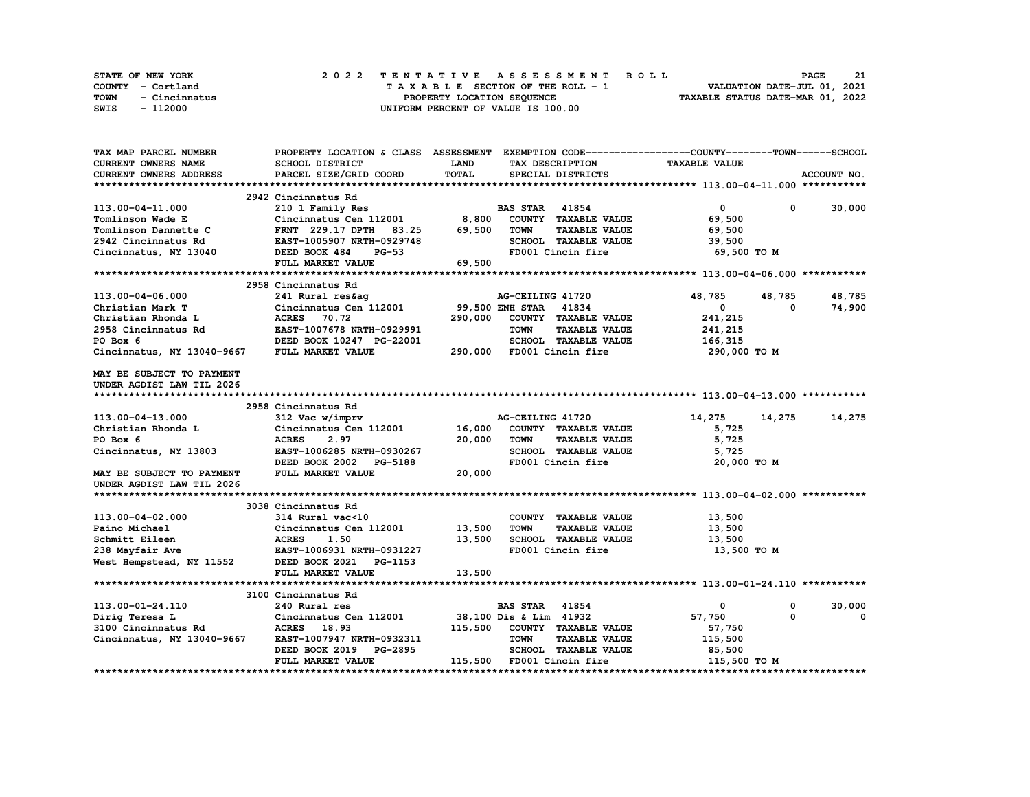| <b>STATE OF NEW YORK</b> | 2022 TENTATIVE ASSESSMENT ROLL     |  | 21<br><b>PAGE</b>                |
|--------------------------|------------------------------------|--|----------------------------------|
| COUNTY - Cortland        | TAXABLE SECTION OF THE ROLL - 1    |  | VALUATION DATE-JUL 01, 2021      |
| TOWN<br>- Cincinnatus    | PROPERTY LOCATION SEQUENCE         |  | TAXABLE STATUS DATE-MAR 01, 2022 |
| - 112000<br>SWIS         | UNIFORM PERCENT OF VALUE IS 100.00 |  |                                  |

| TAX MAP PARCEL NUMBER      | PROPERTY LOCATION & CLASS ASSESSMENT EXEMPTION CODE----------------COUNTY-------TOWN-----SCHOOL |             |                           |                              |                      |            |             |
|----------------------------|-------------------------------------------------------------------------------------------------|-------------|---------------------------|------------------------------|----------------------|------------|-------------|
| <b>CURRENT OWNERS NAME</b> | SCHOOL DISTRICT                                                                                 | <b>LAND</b> |                           | TAX DESCRIPTION              | <b>TAXABLE VALUE</b> |            |             |
| CURRENT OWNERS ADDRESS     | PARCEL SIZE/GRID COORD                                                                          | TOTAL       |                           | SPECIAL DISTRICTS            |                      |            | ACCOUNT NO. |
|                            |                                                                                                 |             |                           |                              |                      |            |             |
|                            | 2942 Cincinnatus Rd                                                                             |             |                           |                              |                      |            |             |
| 113.00-04-11.000           | 210 1 Family Res                                                                                |             | <b>BAS STAR</b> 41854     |                              | $\mathbf{0}$         | 0          | 30,000      |
| Tomlinson Wade E           | Cincinnatus Cen 112001 8,800 COUNTY TAXABLE VALUE                                               |             |                           |                              | 69,500               |            |             |
| Tomlinson Dannette C       | FRNT 229.17 DPTH 83.25 69,500                                                                   |             | <b>TOWN</b>               | <b>TAXABLE VALUE</b>         | 69,500               |            |             |
| 2942 Cincinnatus Rd        | EAST-1005907 NRTH-0929748                                                                       |             |                           | SCHOOL TAXABLE VALUE         | 39,500               |            |             |
| Cincinnatus, NY 13040      | DEED BOOK 484<br><b>PG-53</b>                                                                   |             |                           | FD001 Cincin fire            | 69,500 то м          |            |             |
|                            | FULL MARKET VALUE                                                                               | 69,500      |                           |                              |                      |            |             |
|                            |                                                                                                 |             |                           |                              |                      |            |             |
|                            | 2958 Cincinnatus Rd                                                                             |             |                           |                              |                      |            |             |
| 113.00-04-06.000           | 241 Rural res&aq                                                                                |             | AG-CEILING 41720          |                              | 48,785               | 48,785     | 48,785      |
| Christian Mark T           | Cincinnatus Cen 112001                                                                          |             | 99,500 ENH STAR 41834     |                              | $\mathbf{0}$         | $^{\circ}$ | 74,900      |
| Christian Rhonda L         | ACRES 70.72                                                                                     | 290,000     |                           | COUNTY TAXABLE VALUE         | 241,215              |            |             |
| 2958 Cincinnatus Rd        | EAST-1007678 NRTH-0929991                                                                       |             | <b>TOWN</b>               | <b>TAXABLE VALUE</b>         | 241,215              |            |             |
| PO Box 6                   | DEED BOOK 10247 PG-22001                                                                        |             |                           | SCHOOL TAXABLE VALUE         | 166,315              |            |             |
|                            | FULL MARKET VALUE                                                                               |             |                           | 290,000 FD001 Cincin fire    |                      |            |             |
| Cincinnatus, NY 13040-9667 |                                                                                                 |             |                           |                              | 290,000 то м         |            |             |
| MAY BE SUBJECT TO PAYMENT  |                                                                                                 |             |                           |                              |                      |            |             |
| UNDER AGDIST LAW TIL 2026  |                                                                                                 |             |                           |                              |                      |            |             |
|                            |                                                                                                 |             |                           |                              |                      |            |             |
|                            | 2958 Cincinnatus Rd                                                                             |             |                           |                              |                      |            |             |
| 113.00-04-13.000           | 312 Vac w/imprv                                                                                 |             | AG-CEILING 41720          |                              | 14,275               | 14,275     | 14,275      |
| Christian Rhonda L         | Cincinnatus Cen 112001 16,000                                                                   |             |                           | COUNTY TAXABLE VALUE         | 5,725                |            |             |
| PO Box 6                   | <b>ACRES</b><br>2.97                                                                            | 20,000      | <b>TOWN</b>               | <b>TAXABLE VALUE</b>         | 5,725                |            |             |
| Cincinnatus, NY 13803      | EAST-1006285 NRTH-0930267                                                                       |             |                           | SCHOOL TAXABLE VALUE         | 5,725                |            |             |
|                            | DEED BOOK 2002 PG-5188                                                                          |             |                           | FD001 Cincin fire            | 20,000 TO M          |            |             |
|                            | FULL MARKET VALUE                                                                               | 20,000      |                           |                              |                      |            |             |
| MAY BE SUBJECT TO PAYMENT  |                                                                                                 |             |                           |                              |                      |            |             |
| UNDER AGDIST LAW TIL 2026  |                                                                                                 |             |                           |                              |                      |            |             |
|                            |                                                                                                 |             |                           |                              |                      |            |             |
|                            | 3038 Cincinnatus Rd                                                                             |             |                           |                              |                      |            |             |
| 113.00-04-02.000           | 314 Rural vac<10                                                                                |             |                           | COUNTY TAXABLE VALUE         | 13,500               |            |             |
| Paino Michael              | Cincinnatus Cen 112001                                                                          | 13,500      | <b>TOWN</b>               | <b>TAXABLE VALUE</b>         | 13,500               |            |             |
| Schmitt Eileen             | <b>ACRES</b><br>1.50                                                                            | 13,500      |                           | SCHOOL TAXABLE VALUE         | 13,500               |            |             |
| 238 Mayfair Ave            | EAST-1006931 NRTH-0931227                                                                       |             |                           | FD001 Cincin fire            | 13,500 TO M          |            |             |
| West Hempstead, NY 11552   | DEED BOOK 2021 PG-1153                                                                          |             |                           |                              |                      |            |             |
|                            | FULL MARKET VALUE                                                                               | 13,500      |                           |                              |                      |            |             |
|                            |                                                                                                 |             |                           |                              |                      |            |             |
|                            | 3100 Cincinnatus Rd                                                                             |             |                           |                              |                      |            |             |
| 113.00-01-24.110           | 240 Rural res                                                                                   |             | <b>BAS STAR</b> 41854     |                              | $\mathbf 0$          | 0          | 30,000      |
| Dirig Teresa L             | Cincinnatus Cen 112001 38,100 Dis & Lim 41932                                                   |             |                           |                              | 57,750               | $\Omega$   | $^{\circ}$  |
| 3100 Cincinnatus Rd        | ACRES 18.93                                                                                     |             |                           | 115,500 COUNTY TAXABLE VALUE | 57,750               |            |             |
| Cincinnatus, NY 13040-9667 | EAST-1007947 NRTH-0932311                                                                       |             | <b>TOWN</b>               | <b>TAXABLE VALUE</b>         | 115,500              |            |             |
|                            | <b>PG-2895</b><br>DEED BOOK 2019                                                                |             |                           | SCHOOL TAXABLE VALUE         | 85,500               |            |             |
|                            | FULL MARKET VALUE                                                                               |             | 115,500 FD001 Cincin fire |                              | 115,500 TO M         |            |             |
|                            |                                                                                                 |             |                           |                              |                      |            |             |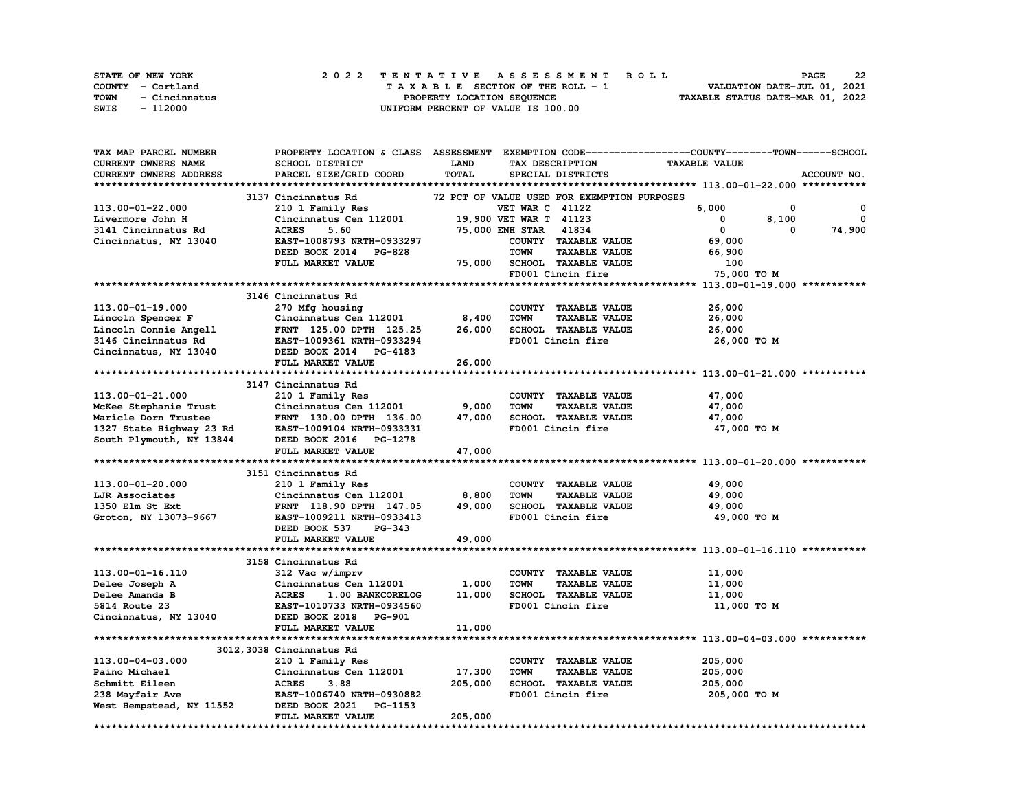| <b>STATE OF NEW YORK</b> | 2022 TENTATIVE ASSESSMENT ROLL     | 22<br><b>PAGE</b>                |
|--------------------------|------------------------------------|----------------------------------|
| COUNTY - Cortland        | TAXABLE SECTION OF THE ROLL - 1    | VALUATION DATE-JUL 01, 2021      |
| TOWN<br>- Cincinnatus    | PROPERTY LOCATION SEQUENCE         | TAXABLE STATUS DATE-MAR 01, 2022 |
| - 112000<br>SWIS         | UNIFORM PERCENT OF VALUE IS 100.00 |                                  |

| TAX MAP PARCEL NUMBER            |                                  |             |                                             | PROPERTY LOCATION & CLASS ASSESSMENT EXEMPTION CODE-----------------COUNTY-------TOWN------SCHOOL |              |
|----------------------------------|----------------------------------|-------------|---------------------------------------------|---------------------------------------------------------------------------------------------------|--------------|
| CURRENT OWNERS NAME              | SCHOOL DISTRICT                  | <b>LAND</b> | TAX DESCRIPTION                             | <b>TAXABLE VALUE</b>                                                                              |              |
| CURRENT OWNERS ADDRESS           | PARCEL SIZE/GRID COORD           | TOTAL       | SPECIAL DISTRICTS                           |                                                                                                   | ACCOUNT NO.  |
|                                  |                                  |             |                                             |                                                                                                   |              |
|                                  | 3137 Cincinnatus Rd              |             | 72 PCT OF VALUE USED FOR EXEMPTION PURPOSES |                                                                                                   |              |
| 113.00-01-22.000                 | 210 1 Family Res                 |             | <b>VET WAR C 41122</b>                      | 6.000<br>0                                                                                        | 0            |
| Livermore John H                 | Cincinnatus Cen 112001           |             | 19,900 VET WAR T 41123                      | 0<br>8,100                                                                                        | $\mathbf{o}$ |
| 3141 Cincinnatus Rd              | 5.60<br><b>ACRES</b>             |             | 41834<br><b>75,000 ENH STAR</b>             | $\mathbf 0$<br>0                                                                                  | 74,900       |
| Cincinnatus, NY 13040            | EAST-1008793 NRTH-0933297        |             | COUNTY TAXABLE VALUE                        | 69,000                                                                                            |              |
|                                  | DEED BOOK 2014 PG-828            |             | <b>TAXABLE VALUE</b><br>TOWN                | 66,900                                                                                            |              |
|                                  | FULL MARKET VALUE                | 75,000      | <b>SCHOOL TAXABLE VALUE</b>                 | 100                                                                                               |              |
|                                  |                                  |             | FD001 Cincin fire                           | 75,000 TO M                                                                                       |              |
|                                  |                                  |             |                                             |                                                                                                   |              |
|                                  | 3146 Cincinnatus Rd              |             |                                             |                                                                                                   |              |
| 113.00-01-19.000                 | 270 Mfg housing                  |             | COUNTY TAXABLE VALUE                        | 26,000                                                                                            |              |
| Lincoln Spencer F                | Cincinnatus Cen 112001           | 8,400       | <b>TOWN</b><br><b>TAXABLE VALUE</b>         | 26,000                                                                                            |              |
| Lincoln Connie Angell            | FRNT 125.00 DPTH 125.25          | 26,000      | SCHOOL TAXABLE VALUE                        | 26,000                                                                                            |              |
| 3146 Cincinnatus Rd              | EAST-1009361 NRTH-0933294        |             | FD001 Cincin fire                           | 26,000 TO M                                                                                       |              |
| Cincinnatus, NY 13040            | DEED BOOK 2014 PG-4183           |             |                                             |                                                                                                   |              |
|                                  | FULL MARKET VALUE                | 26,000      |                                             |                                                                                                   |              |
|                                  |                                  |             |                                             |                                                                                                   |              |
|                                  | 3147 Cincinnatus Rd              |             |                                             |                                                                                                   |              |
| 113.00-01-21.000                 | 210 1 Family Res                 |             | COUNTY TAXABLE VALUE                        | 47,000                                                                                            |              |
| McKee Stephanie Trust            | Cincinnatus Cen 112001           | 9,000       | TOWN<br><b>TAXABLE VALUE</b>                | 47,000                                                                                            |              |
| Maricle Dorn Trustee             | FRNT 130.00 DPTH 136.00          | 47,000      | SCHOOL TAXABLE VALUE                        | 47,000                                                                                            |              |
| 1327 State Highway 23 Rd         | EAST-1009104 NRTH-0933331        |             | FD001 Cincin fire                           | 47,000 TO M                                                                                       |              |
| South Plymouth, NY 13844         | DEED BOOK 2016 PG-1278           |             |                                             |                                                                                                   |              |
|                                  | FULL MARKET VALUE                | 47,000      |                                             |                                                                                                   |              |
|                                  |                                  |             |                                             |                                                                                                   |              |
|                                  | 3151 Cincinnatus Rd              |             |                                             |                                                                                                   |              |
| 113.00-01-20.000                 | 210 1 Family Res                 |             | COUNTY TAXABLE VALUE                        | 49,000                                                                                            |              |
| LJR Associates                   | Cincinnatus Cen 112001           | 8,800       | <b>TOWN</b><br><b>TAXABLE VALUE</b>         | 49,000                                                                                            |              |
| 1350 Elm St Ext                  | FRNT 118.90 DPTH 147.05          | 49,000      | SCHOOL TAXABLE VALUE                        | 49,000                                                                                            |              |
| Groton, NY 13073-9667            | EAST-1009211 NRTH-0933413        |             | FD001 Cincin fire                           | 49,000 TO M                                                                                       |              |
|                                  | DEED BOOK 537<br>$PG-343$        |             |                                             |                                                                                                   |              |
|                                  | FULL MARKET VALUE                | 49,000      |                                             |                                                                                                   |              |
|                                  |                                  |             |                                             |                                                                                                   |              |
|                                  | 3158 Cincinnatus Rd              |             |                                             |                                                                                                   |              |
| 113.00-01-16.110                 | 312 Vac w/imprv                  |             | COUNTY TAXABLE VALUE                        | 11,000                                                                                            |              |
|                                  | Cincinnatus Cen 112001           | 1,000       | <b>TOWN</b><br><b>TAXABLE VALUE</b>         | 11,000                                                                                            |              |
| Delee Joseph A<br>Delee Amanda B | <b>ACRES</b><br>1.00 BANKCORELOG | 11,000      | SCHOOL TAXABLE VALUE                        |                                                                                                   |              |
|                                  |                                  |             | FD001 Cincin fire                           | 11,000                                                                                            |              |
| 5814 Route 23                    | EAST-1010733 NRTH-0934560        |             |                                             | 11,000 TO M                                                                                       |              |
| Cincinnatus, NY 13040            | DEED BOOK 2018 PG-901            | 11,000      |                                             |                                                                                                   |              |
|                                  | FULL MARKET VALUE                |             |                                             |                                                                                                   |              |
|                                  |                                  |             |                                             |                                                                                                   |              |
|                                  | 3012,3038 Cincinnatus Rd         |             |                                             |                                                                                                   |              |
| 113.00-04-03.000                 | 210 1 Family Res                 |             | COUNTY TAXABLE VALUE                        | 205,000                                                                                           |              |
| Paino Michael                    | Cincinnatus Cen 112001           | 17,300      | TOWN<br><b>TAXABLE VALUE</b>                | 205,000                                                                                           |              |
| Schmitt Eileen                   | <b>ACRES</b><br>3.88             | 205,000     | SCHOOL TAXABLE VALUE                        | 205,000                                                                                           |              |
| 238 Mayfair Ave                  | EAST-1006740 NRTH-0930882        |             | FD001 Cincin fire                           | 205,000 TO M                                                                                      |              |
| West Hempstead, NY 11552         | DEED BOOK 2021 PG-1153           |             |                                             |                                                                                                   |              |
|                                  | FULL MARKET VALUE                | 205,000     |                                             |                                                                                                   |              |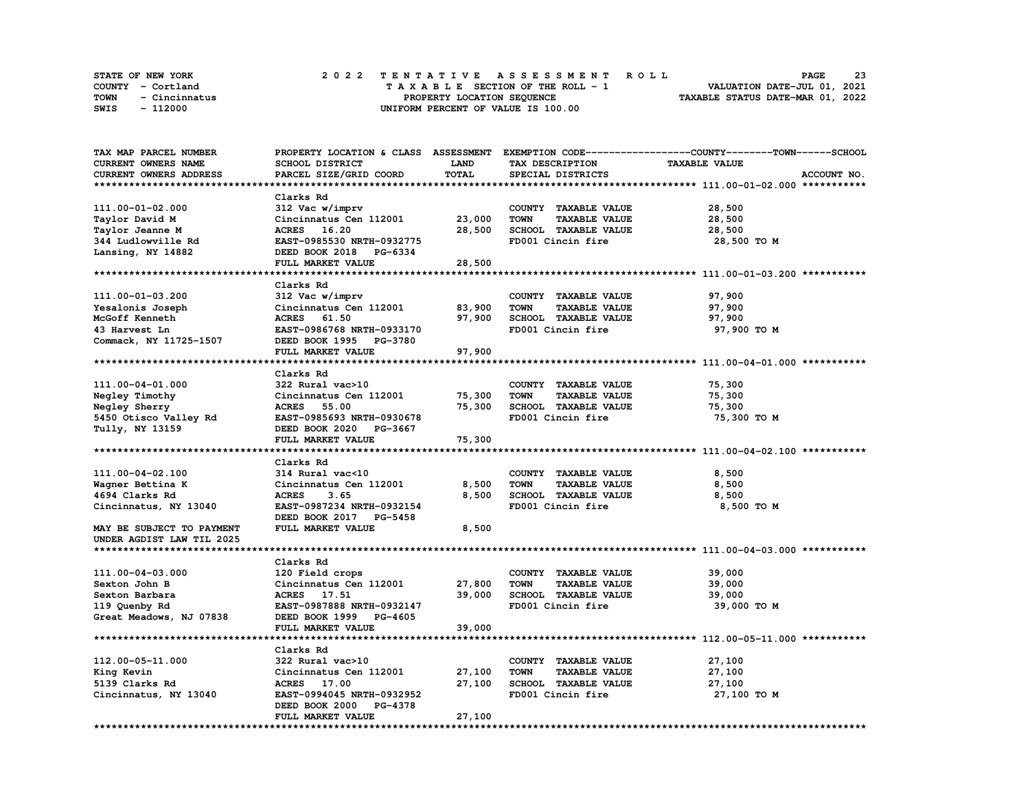| STATE OF NEW YORK     | 2022 TENTATIVE ASSESSMENT ROLL     | 23<br><b>PAGE</b>                |
|-----------------------|------------------------------------|----------------------------------|
| COUNTY - Cortland     | TAXABLE SECTION OF THE ROLL - 1    | VALUATION DATE-JUL 01, 2021      |
| TOWN<br>- Cincinnatus | PROPERTY LOCATION SEQUENCE         | TAXABLE STATUS DATE-MAR 01, 2022 |
| - 112000<br>SWIS      | UNIFORM PERCENT OF VALUE IS 100.00 |                                  |

| <b>TAX MAP PARCEL NUMBER</b> |                           |        |                                     | PROPERTY LOCATION & CLASS ASSESSMENT EXEMPTION CODE-----------------COUNTY-------TOWN-----SCHOOL |
|------------------------------|---------------------------|--------|-------------------------------------|--------------------------------------------------------------------------------------------------|
| CURRENT OWNERS NAME          | SCHOOL DISTRICT           | LAND   | TAX DESCRIPTION                     | <b>TAXABLE VALUE</b>                                                                             |
| CURRENT OWNERS ADDRESS       | PARCEL SIZE/GRID COORD    | TOTAL  | SPECIAL DISTRICTS                   | ACCOUNT NO.                                                                                      |
|                              |                           |        |                                     |                                                                                                  |
|                              | Clarks Rd                 |        |                                     |                                                                                                  |
| 111.00-01-02.000             | 312 Vac w/imprv           |        | COUNTY TAXABLE VALUE                | 28,500                                                                                           |
| Taylor David M               | Cincinnatus Cen 112001    | 23,000 | <b>TOWN</b><br><b>TAXABLE VALUE</b> | 28,500                                                                                           |
| Taylor Jeanne M              | 16.20<br><b>ACRES</b>     | 28,500 | SCHOOL TAXABLE VALUE                | 28,500                                                                                           |
| 344 Ludlowville Rd           | EAST-0985530 NRTH-0932775 |        | FD001 Cincin fire                   | 28,500 TO M                                                                                      |
| Lansing, NY 14882            | DEED BOOK 2018 PG-6334    |        |                                     |                                                                                                  |
|                              |                           |        |                                     |                                                                                                  |
|                              | FULL MARKET VALUE         | 28,500 |                                     |                                                                                                  |
|                              |                           |        |                                     |                                                                                                  |
|                              | Clarks Rd                 |        |                                     |                                                                                                  |
| 111.00-01-03.200             | 312 Vac w/imprv           |        | COUNTY TAXABLE VALUE                | 97,900                                                                                           |
| Yesalonis Joseph             | Cincinnatus Cen 112001    | 83,900 | <b>TOWN</b><br><b>TAXABLE VALUE</b> | 97,900                                                                                           |
| McGoff Kenneth               | <b>ACRES</b><br>61.50     | 97,900 | SCHOOL TAXABLE VALUE                | 97,900                                                                                           |
| 43 Harvest Ln                | EAST-0986768 NRTH-0933170 |        | FD001 Cincin fire                   | 97,900 TO M                                                                                      |
| Commack, NY 11725-1507       | DEED BOOK 1995 PG-3780    |        |                                     |                                                                                                  |
|                              | FULL MARKET VALUE         | 97,900 |                                     |                                                                                                  |
|                              |                           |        |                                     |                                                                                                  |
|                              | Clarks Rd                 |        |                                     |                                                                                                  |
| 111.00-04-01.000             | 322 Rural vac>10          |        | COUNTY TAXABLE VALUE                | 75,300                                                                                           |
| Negley Timothy               | Cincinnatus Cen 112001    | 75,300 | <b>TOWN</b><br><b>TAXABLE VALUE</b> | 75,300                                                                                           |
| Negley Sherry                | <b>ACRES</b> 55.00        | 75,300 | SCHOOL TAXABLE VALUE                | 75,300                                                                                           |
| 5450 Otisco Valley Rd        | EAST-0985693 NRTH-0930678 |        | FD001 Cincin fire                   | 75,300 TO M                                                                                      |
| Tully, NY 13159              | DEED BOOK 2020 PG-3667    |        |                                     |                                                                                                  |
|                              | FULL MARKET VALUE         | 75,300 |                                     |                                                                                                  |
|                              |                           |        |                                     |                                                                                                  |
|                              | Clarks Rd                 |        |                                     |                                                                                                  |
| 111.00-04-02.100             | 314 Rural vac<10          |        | COUNTY TAXABLE VALUE                | 8,500                                                                                            |
| Wagner Bettina K             | Cincinnatus Cen 112001    | 8,500  | <b>TOWN</b><br><b>TAXABLE VALUE</b> | 8,500                                                                                            |
| 4694 Clarks Rd               | <b>ACRES</b><br>3.65      | 8,500  | SCHOOL TAXABLE VALUE                | 8,500                                                                                            |
| Cincinnatus, NY 13040        | EAST-0987234 NRTH-0932154 |        | FD001 Cincin fire                   | 8,500 TO M                                                                                       |
|                              |                           |        |                                     |                                                                                                  |
|                              | DEED BOOK 2017 PG-5458    |        |                                     |                                                                                                  |
| MAY BE SUBJECT TO PAYMENT    | FULL MARKET VALUE         | 8,500  |                                     |                                                                                                  |
| UNDER AGDIST LAW TIL 2025    |                           |        |                                     |                                                                                                  |
|                              |                           |        |                                     |                                                                                                  |
|                              | Clarks Rd                 |        |                                     |                                                                                                  |
| 111.00-04-03.000             | 120 Field crops           |        | COUNTY TAXABLE VALUE                | 39,000                                                                                           |
| Sexton John B                | Cincinnatus Cen 112001    | 27,800 | <b>TOWN</b><br><b>TAXABLE VALUE</b> | 39,000                                                                                           |
| Sexton Barbara               | ACRES 17.51               | 39,000 | SCHOOL TAXABLE VALUE                | 39,000                                                                                           |
| 119 Quenby Rd                | EAST-0987888 NRTH-0932147 |        | FD001 Cincin fire                   | 39,000 TO M                                                                                      |
| Great Meadows, NJ 07838      | DEED BOOK 1999 PG-4605    |        |                                     |                                                                                                  |
|                              | <b>FULL MARKET VALUE</b>  | 39,000 |                                     |                                                                                                  |
|                              |                           |        |                                     | ******************************* 112.00-05-11.000 ***********                                     |
|                              | Clarks Rd                 |        |                                     |                                                                                                  |
| 112.00-05-11.000             | 322 Rural vac>10          |        | COUNTY TAXABLE VALUE                | 27,100                                                                                           |
| King Kevin                   | Cincinnatus Cen 112001    | 27,100 | <b>TAXABLE VALUE</b><br>TOWN        | 27,100                                                                                           |
| 5139 Clarks Rd               | ACRES 17.00               | 27,100 | SCHOOL TAXABLE VALUE                | 27,100                                                                                           |
| Cincinnatus, NY 13040        | EAST-0994045 NRTH-0932952 |        | FD001 Cincin fire                   | 27,100 TO M                                                                                      |
|                              | DEED BOOK 2000 PG-4378    |        |                                     |                                                                                                  |
|                              | FULL MARKET VALUE         | 27,100 |                                     |                                                                                                  |
|                              |                           |        |                                     |                                                                                                  |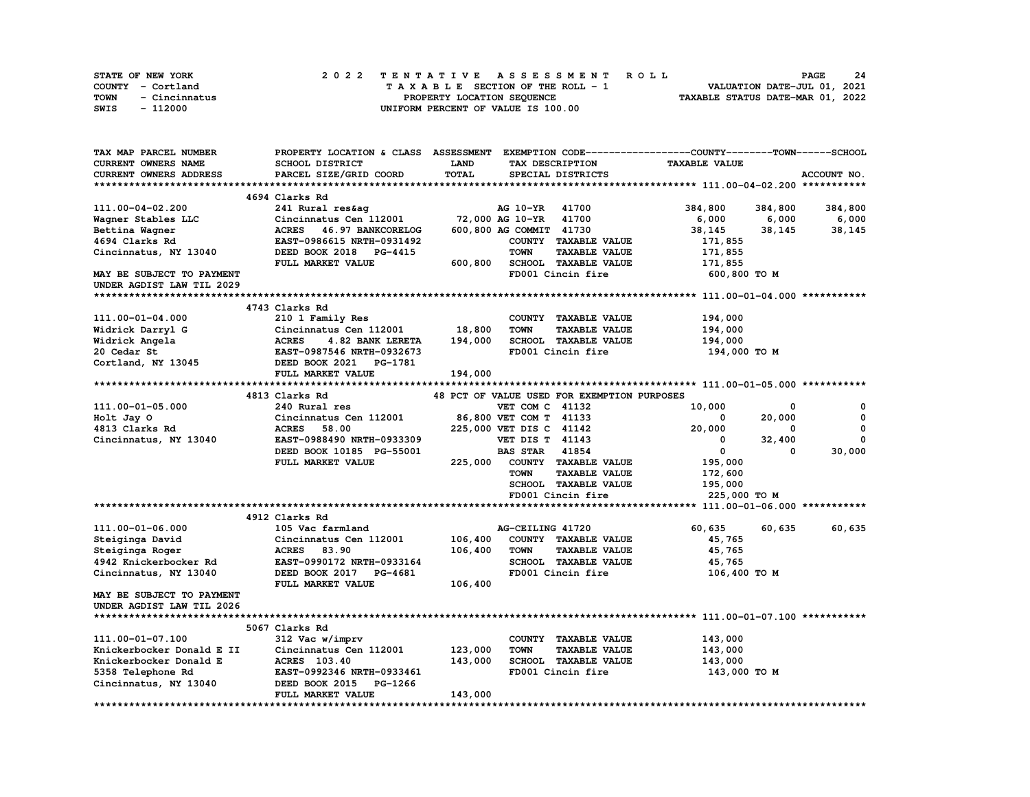|      | STATE OF NEW YORK |  | 2022 TENTATIVE ASSESSMENT ROLL |  |  |  |                                    |  |  |  |  |  |  |                                  |  | <b>PAGE</b> | 24 |
|------|-------------------|--|--------------------------------|--|--|--|------------------------------------|--|--|--|--|--|--|----------------------------------|--|-------------|----|
|      | COUNTY - Cortland |  |                                |  |  |  | TAXABLE SECTION OF THE ROLL - 1    |  |  |  |  |  |  | VALUATION DATE-JUL 01, 2021      |  |             |    |
| TOWN | - Cincinnatus     |  |                                |  |  |  | PROPERTY LOCATION SEQUENCE         |  |  |  |  |  |  | TAXABLE STATUS DATE-MAR 01, 2022 |  |             |    |
| SWIS | - 112000          |  |                                |  |  |  | UNIFORM PERCENT OF VALUE IS 100.00 |  |  |  |  |  |  |                                  |  |             |    |

| CURRENT OWNERS NAME<br>SCHOOL DISTRICT<br>LAND<br>TAX DESCRIPTION<br><b>TAXABLE VALUE</b><br>TOTAL<br>PARCEL SIZE/GRID COORD<br>ACCOUNT NO.<br>CURRENT OWNERS ADDRESS<br>SPECIAL DISTRICTS<br>4694 Clarks Rd<br>111.00-04-02.200<br>241 Rural res&ag<br>AG 10-YR 41700<br>384,800<br>384,800<br>384,800<br>72,000 AG 10-YR 41700<br>6,000<br>6,000<br>Wagner Stables LLC<br>Cincinnatus Cen 112001<br>6,000<br>ACRES 46.97 BANKCORELOG<br>600,800 AG COMMIT 41730<br>Bettina Wagner<br>38,145<br>38,145<br>38,145<br>4694 Clarks Rd<br>EAST-0986615 NRTH-0931492<br>COUNTY TAXABLE VALUE<br>171,855<br>Cincinnatus, NY 13040<br>DEED BOOK 2018 PG-4415<br><b>TOWN</b><br><b>TAXABLE VALUE</b><br>171,855<br>FULL MARKET VALUE<br>SCHOOL TAXABLE VALUE<br>600,800<br>171,855<br>MAY BE SUBJECT TO PAYMENT<br>FD001 Cincin fire<br>600,800 TO M<br>UNDER AGDIST LAW TIL 2029<br>4743 Clarks Rd<br>210 1 Family Res<br>111.00-01-04.000<br>COUNTY TAXABLE VALUE<br>194,000<br>18,800<br>Cincinnatus Cen 112001<br><b>TOWN</b><br><b>TAXABLE VALUE</b><br>194,000<br>Widrick Darryl G<br>194,000<br>SCHOOL TAXABLE VALUE<br>Widrick Angela<br><b>ACRES</b><br>4.82 BANK LERETA<br>194,000<br>FD001 Cincin fire<br>20 Cedar St<br>EAST-0987546 NRTH-0932673<br>194,000 TO M<br>DEED BOOK 2021 PG-1781<br>Cortland, NY 13045<br>194,000<br>FULL MARKET VALUE<br>48 PCT OF VALUE USED FOR EXEMPTION PURPOSES<br>4813 Clarks Rd<br>240 Rural res<br>10,000<br>111.00-01-05.000<br>VET COM C 41132<br>$\Omega$<br>0<br>$\mathbf 0$<br>Holt Jay O<br>Cincinnatus Cen 112001<br>86,800 VET COM T 41133<br>0<br>20,000<br>225,000 VET DIS C 41142<br>$\mathbf{0}$<br>4813 Clarks Rd<br><b>ACRES</b><br>58.00<br>20,000<br>0<br>$\mathbf 0$<br><b>VET DIS T 41143</b><br>Cincinnatus, NY 13040<br>EAST-0988490 NRTH-0933309<br>$^{\circ}$<br>32,400<br><b>BAS STAR 41854</b><br>$^{\circ}$<br>30,000<br>DEED BOOK 10185 PG-55001<br>$\Omega$<br>225,000 COUNTY TAXABLE VALUE<br>195,000<br>FULL MARKET VALUE<br><b>TAXABLE VALUE</b><br><b>TOWN</b><br>172,600<br>SCHOOL TAXABLE VALUE<br>195,000<br>FD001 Cincin fire<br>225,000 TO M<br>4912 Clarks Rd<br>111.00-01-06.000<br>105 Vac farmland<br>AG-CEILING 41720<br>60,635<br>60,635<br>60,635<br>106,400<br>Cincinnatus Cen 112001<br>Steiginga David<br>COUNTY TAXABLE VALUE<br>45,765<br>106,400<br>Steiginga Roger<br>ACRES 83.90<br><b>TOWN</b><br><b>TAXABLE VALUE</b><br>45,765<br>EAST-0990172 NRTH-0933164<br>SCHOOL TAXABLE VALUE<br>4942 Knickerbocker Rd<br>45,765<br>DEED BOOK 2017 PG-4681<br>FD001 Cincin fire<br>Cincinnatus, NY 13040<br>106,400 TO M<br>106,400<br>FULL MARKET VALUE<br>MAY BE SUBJECT TO PAYMENT<br>UNDER AGDIST LAW TIL 2026<br>5067 Clarks Rd<br>111.00-01-07.100<br>312 Vac w/imprv<br>143,000<br>COUNTY TAXABLE VALUE<br>Knickerbocker Donald E II<br>Cincinnatus Cen 112001<br>123,000<br><b>TOWN</b><br><b>TAXABLE VALUE</b><br>143,000<br>143,000<br>SCHOOL TAXABLE VALUE<br>Knickerbocker Donald E<br>ACRES 103.40<br>143,000<br>FD001 Cincin fire<br>5358 Telephone Rd<br>EAST-0992346 NRTH-0933461<br>143,000 TO M<br>Cincinnatus, NY 13040<br>DEED BOOK 2015 PG-1266<br>143,000<br>FULL MARKET VALUE | TAX MAP PARCEL NUMBER |  | PROPERTY LOCATION & CLASS ASSESSMENT EXEMPTION CODE-----------------COUNTY-------TOWN-----SCHOOL |  |
|-------------------------------------------------------------------------------------------------------------------------------------------------------------------------------------------------------------------------------------------------------------------------------------------------------------------------------------------------------------------------------------------------------------------------------------------------------------------------------------------------------------------------------------------------------------------------------------------------------------------------------------------------------------------------------------------------------------------------------------------------------------------------------------------------------------------------------------------------------------------------------------------------------------------------------------------------------------------------------------------------------------------------------------------------------------------------------------------------------------------------------------------------------------------------------------------------------------------------------------------------------------------------------------------------------------------------------------------------------------------------------------------------------------------------------------------------------------------------------------------------------------------------------------------------------------------------------------------------------------------------------------------------------------------------------------------------------------------------------------------------------------------------------------------------------------------------------------------------------------------------------------------------------------------------------------------------------------------------------------------------------------------------------------------------------------------------------------------------------------------------------------------------------------------------------------------------------------------------------------------------------------------------------------------------------------------------------------------------------------------------------------------------------------------------------------------------------------------------------------------------------------------------------------------------------------------------------------------------------------------------------------------------------------------------------------------------------------------------------------------------------------------------------------------------------------------------------------------------------------------------------------------------------------------------------------------------------------------------------------------------------------------------------------------------------------------------------------------------------------------------------------------------------------------------------------------|-----------------------|--|--------------------------------------------------------------------------------------------------|--|
|                                                                                                                                                                                                                                                                                                                                                                                                                                                                                                                                                                                                                                                                                                                                                                                                                                                                                                                                                                                                                                                                                                                                                                                                                                                                                                                                                                                                                                                                                                                                                                                                                                                                                                                                                                                                                                                                                                                                                                                                                                                                                                                                                                                                                                                                                                                                                                                                                                                                                                                                                                                                                                                                                                                                                                                                                                                                                                                                                                                                                                                                                                                                                                                           |                       |  |                                                                                                  |  |
|                                                                                                                                                                                                                                                                                                                                                                                                                                                                                                                                                                                                                                                                                                                                                                                                                                                                                                                                                                                                                                                                                                                                                                                                                                                                                                                                                                                                                                                                                                                                                                                                                                                                                                                                                                                                                                                                                                                                                                                                                                                                                                                                                                                                                                                                                                                                                                                                                                                                                                                                                                                                                                                                                                                                                                                                                                                                                                                                                                                                                                                                                                                                                                                           |                       |  |                                                                                                  |  |
|                                                                                                                                                                                                                                                                                                                                                                                                                                                                                                                                                                                                                                                                                                                                                                                                                                                                                                                                                                                                                                                                                                                                                                                                                                                                                                                                                                                                                                                                                                                                                                                                                                                                                                                                                                                                                                                                                                                                                                                                                                                                                                                                                                                                                                                                                                                                                                                                                                                                                                                                                                                                                                                                                                                                                                                                                                                                                                                                                                                                                                                                                                                                                                                           |                       |  |                                                                                                  |  |
|                                                                                                                                                                                                                                                                                                                                                                                                                                                                                                                                                                                                                                                                                                                                                                                                                                                                                                                                                                                                                                                                                                                                                                                                                                                                                                                                                                                                                                                                                                                                                                                                                                                                                                                                                                                                                                                                                                                                                                                                                                                                                                                                                                                                                                                                                                                                                                                                                                                                                                                                                                                                                                                                                                                                                                                                                                                                                                                                                                                                                                                                                                                                                                                           |                       |  |                                                                                                  |  |
|                                                                                                                                                                                                                                                                                                                                                                                                                                                                                                                                                                                                                                                                                                                                                                                                                                                                                                                                                                                                                                                                                                                                                                                                                                                                                                                                                                                                                                                                                                                                                                                                                                                                                                                                                                                                                                                                                                                                                                                                                                                                                                                                                                                                                                                                                                                                                                                                                                                                                                                                                                                                                                                                                                                                                                                                                                                                                                                                                                                                                                                                                                                                                                                           |                       |  |                                                                                                  |  |
|                                                                                                                                                                                                                                                                                                                                                                                                                                                                                                                                                                                                                                                                                                                                                                                                                                                                                                                                                                                                                                                                                                                                                                                                                                                                                                                                                                                                                                                                                                                                                                                                                                                                                                                                                                                                                                                                                                                                                                                                                                                                                                                                                                                                                                                                                                                                                                                                                                                                                                                                                                                                                                                                                                                                                                                                                                                                                                                                                                                                                                                                                                                                                                                           |                       |  |                                                                                                  |  |
|                                                                                                                                                                                                                                                                                                                                                                                                                                                                                                                                                                                                                                                                                                                                                                                                                                                                                                                                                                                                                                                                                                                                                                                                                                                                                                                                                                                                                                                                                                                                                                                                                                                                                                                                                                                                                                                                                                                                                                                                                                                                                                                                                                                                                                                                                                                                                                                                                                                                                                                                                                                                                                                                                                                                                                                                                                                                                                                                                                                                                                                                                                                                                                                           |                       |  |                                                                                                  |  |
|                                                                                                                                                                                                                                                                                                                                                                                                                                                                                                                                                                                                                                                                                                                                                                                                                                                                                                                                                                                                                                                                                                                                                                                                                                                                                                                                                                                                                                                                                                                                                                                                                                                                                                                                                                                                                                                                                                                                                                                                                                                                                                                                                                                                                                                                                                                                                                                                                                                                                                                                                                                                                                                                                                                                                                                                                                                                                                                                                                                                                                                                                                                                                                                           |                       |  |                                                                                                  |  |
|                                                                                                                                                                                                                                                                                                                                                                                                                                                                                                                                                                                                                                                                                                                                                                                                                                                                                                                                                                                                                                                                                                                                                                                                                                                                                                                                                                                                                                                                                                                                                                                                                                                                                                                                                                                                                                                                                                                                                                                                                                                                                                                                                                                                                                                                                                                                                                                                                                                                                                                                                                                                                                                                                                                                                                                                                                                                                                                                                                                                                                                                                                                                                                                           |                       |  |                                                                                                  |  |
|                                                                                                                                                                                                                                                                                                                                                                                                                                                                                                                                                                                                                                                                                                                                                                                                                                                                                                                                                                                                                                                                                                                                                                                                                                                                                                                                                                                                                                                                                                                                                                                                                                                                                                                                                                                                                                                                                                                                                                                                                                                                                                                                                                                                                                                                                                                                                                                                                                                                                                                                                                                                                                                                                                                                                                                                                                                                                                                                                                                                                                                                                                                                                                                           |                       |  |                                                                                                  |  |
|                                                                                                                                                                                                                                                                                                                                                                                                                                                                                                                                                                                                                                                                                                                                                                                                                                                                                                                                                                                                                                                                                                                                                                                                                                                                                                                                                                                                                                                                                                                                                                                                                                                                                                                                                                                                                                                                                                                                                                                                                                                                                                                                                                                                                                                                                                                                                                                                                                                                                                                                                                                                                                                                                                                                                                                                                                                                                                                                                                                                                                                                                                                                                                                           |                       |  |                                                                                                  |  |
|                                                                                                                                                                                                                                                                                                                                                                                                                                                                                                                                                                                                                                                                                                                                                                                                                                                                                                                                                                                                                                                                                                                                                                                                                                                                                                                                                                                                                                                                                                                                                                                                                                                                                                                                                                                                                                                                                                                                                                                                                                                                                                                                                                                                                                                                                                                                                                                                                                                                                                                                                                                                                                                                                                                                                                                                                                                                                                                                                                                                                                                                                                                                                                                           |                       |  |                                                                                                  |  |
|                                                                                                                                                                                                                                                                                                                                                                                                                                                                                                                                                                                                                                                                                                                                                                                                                                                                                                                                                                                                                                                                                                                                                                                                                                                                                                                                                                                                                                                                                                                                                                                                                                                                                                                                                                                                                                                                                                                                                                                                                                                                                                                                                                                                                                                                                                                                                                                                                                                                                                                                                                                                                                                                                                                                                                                                                                                                                                                                                                                                                                                                                                                                                                                           |                       |  |                                                                                                  |  |
|                                                                                                                                                                                                                                                                                                                                                                                                                                                                                                                                                                                                                                                                                                                                                                                                                                                                                                                                                                                                                                                                                                                                                                                                                                                                                                                                                                                                                                                                                                                                                                                                                                                                                                                                                                                                                                                                                                                                                                                                                                                                                                                                                                                                                                                                                                                                                                                                                                                                                                                                                                                                                                                                                                                                                                                                                                                                                                                                                                                                                                                                                                                                                                                           |                       |  |                                                                                                  |  |
|                                                                                                                                                                                                                                                                                                                                                                                                                                                                                                                                                                                                                                                                                                                                                                                                                                                                                                                                                                                                                                                                                                                                                                                                                                                                                                                                                                                                                                                                                                                                                                                                                                                                                                                                                                                                                                                                                                                                                                                                                                                                                                                                                                                                                                                                                                                                                                                                                                                                                                                                                                                                                                                                                                                                                                                                                                                                                                                                                                                                                                                                                                                                                                                           |                       |  |                                                                                                  |  |
|                                                                                                                                                                                                                                                                                                                                                                                                                                                                                                                                                                                                                                                                                                                                                                                                                                                                                                                                                                                                                                                                                                                                                                                                                                                                                                                                                                                                                                                                                                                                                                                                                                                                                                                                                                                                                                                                                                                                                                                                                                                                                                                                                                                                                                                                                                                                                                                                                                                                                                                                                                                                                                                                                                                                                                                                                                                                                                                                                                                                                                                                                                                                                                                           |                       |  |                                                                                                  |  |
|                                                                                                                                                                                                                                                                                                                                                                                                                                                                                                                                                                                                                                                                                                                                                                                                                                                                                                                                                                                                                                                                                                                                                                                                                                                                                                                                                                                                                                                                                                                                                                                                                                                                                                                                                                                                                                                                                                                                                                                                                                                                                                                                                                                                                                                                                                                                                                                                                                                                                                                                                                                                                                                                                                                                                                                                                                                                                                                                                                                                                                                                                                                                                                                           |                       |  |                                                                                                  |  |
|                                                                                                                                                                                                                                                                                                                                                                                                                                                                                                                                                                                                                                                                                                                                                                                                                                                                                                                                                                                                                                                                                                                                                                                                                                                                                                                                                                                                                                                                                                                                                                                                                                                                                                                                                                                                                                                                                                                                                                                                                                                                                                                                                                                                                                                                                                                                                                                                                                                                                                                                                                                                                                                                                                                                                                                                                                                                                                                                                                                                                                                                                                                                                                                           |                       |  |                                                                                                  |  |
|                                                                                                                                                                                                                                                                                                                                                                                                                                                                                                                                                                                                                                                                                                                                                                                                                                                                                                                                                                                                                                                                                                                                                                                                                                                                                                                                                                                                                                                                                                                                                                                                                                                                                                                                                                                                                                                                                                                                                                                                                                                                                                                                                                                                                                                                                                                                                                                                                                                                                                                                                                                                                                                                                                                                                                                                                                                                                                                                                                                                                                                                                                                                                                                           |                       |  |                                                                                                  |  |
|                                                                                                                                                                                                                                                                                                                                                                                                                                                                                                                                                                                                                                                                                                                                                                                                                                                                                                                                                                                                                                                                                                                                                                                                                                                                                                                                                                                                                                                                                                                                                                                                                                                                                                                                                                                                                                                                                                                                                                                                                                                                                                                                                                                                                                                                                                                                                                                                                                                                                                                                                                                                                                                                                                                                                                                                                                                                                                                                                                                                                                                                                                                                                                                           |                       |  |                                                                                                  |  |
|                                                                                                                                                                                                                                                                                                                                                                                                                                                                                                                                                                                                                                                                                                                                                                                                                                                                                                                                                                                                                                                                                                                                                                                                                                                                                                                                                                                                                                                                                                                                                                                                                                                                                                                                                                                                                                                                                                                                                                                                                                                                                                                                                                                                                                                                                                                                                                                                                                                                                                                                                                                                                                                                                                                                                                                                                                                                                                                                                                                                                                                                                                                                                                                           |                       |  |                                                                                                  |  |
|                                                                                                                                                                                                                                                                                                                                                                                                                                                                                                                                                                                                                                                                                                                                                                                                                                                                                                                                                                                                                                                                                                                                                                                                                                                                                                                                                                                                                                                                                                                                                                                                                                                                                                                                                                                                                                                                                                                                                                                                                                                                                                                                                                                                                                                                                                                                                                                                                                                                                                                                                                                                                                                                                                                                                                                                                                                                                                                                                                                                                                                                                                                                                                                           |                       |  |                                                                                                  |  |
|                                                                                                                                                                                                                                                                                                                                                                                                                                                                                                                                                                                                                                                                                                                                                                                                                                                                                                                                                                                                                                                                                                                                                                                                                                                                                                                                                                                                                                                                                                                                                                                                                                                                                                                                                                                                                                                                                                                                                                                                                                                                                                                                                                                                                                                                                                                                                                                                                                                                                                                                                                                                                                                                                                                                                                                                                                                                                                                                                                                                                                                                                                                                                                                           |                       |  |                                                                                                  |  |
|                                                                                                                                                                                                                                                                                                                                                                                                                                                                                                                                                                                                                                                                                                                                                                                                                                                                                                                                                                                                                                                                                                                                                                                                                                                                                                                                                                                                                                                                                                                                                                                                                                                                                                                                                                                                                                                                                                                                                                                                                                                                                                                                                                                                                                                                                                                                                                                                                                                                                                                                                                                                                                                                                                                                                                                                                                                                                                                                                                                                                                                                                                                                                                                           |                       |  |                                                                                                  |  |
|                                                                                                                                                                                                                                                                                                                                                                                                                                                                                                                                                                                                                                                                                                                                                                                                                                                                                                                                                                                                                                                                                                                                                                                                                                                                                                                                                                                                                                                                                                                                                                                                                                                                                                                                                                                                                                                                                                                                                                                                                                                                                                                                                                                                                                                                                                                                                                                                                                                                                                                                                                                                                                                                                                                                                                                                                                                                                                                                                                                                                                                                                                                                                                                           |                       |  |                                                                                                  |  |
|                                                                                                                                                                                                                                                                                                                                                                                                                                                                                                                                                                                                                                                                                                                                                                                                                                                                                                                                                                                                                                                                                                                                                                                                                                                                                                                                                                                                                                                                                                                                                                                                                                                                                                                                                                                                                                                                                                                                                                                                                                                                                                                                                                                                                                                                                                                                                                                                                                                                                                                                                                                                                                                                                                                                                                                                                                                                                                                                                                                                                                                                                                                                                                                           |                       |  |                                                                                                  |  |
|                                                                                                                                                                                                                                                                                                                                                                                                                                                                                                                                                                                                                                                                                                                                                                                                                                                                                                                                                                                                                                                                                                                                                                                                                                                                                                                                                                                                                                                                                                                                                                                                                                                                                                                                                                                                                                                                                                                                                                                                                                                                                                                                                                                                                                                                                                                                                                                                                                                                                                                                                                                                                                                                                                                                                                                                                                                                                                                                                                                                                                                                                                                                                                                           |                       |  |                                                                                                  |  |
|                                                                                                                                                                                                                                                                                                                                                                                                                                                                                                                                                                                                                                                                                                                                                                                                                                                                                                                                                                                                                                                                                                                                                                                                                                                                                                                                                                                                                                                                                                                                                                                                                                                                                                                                                                                                                                                                                                                                                                                                                                                                                                                                                                                                                                                                                                                                                                                                                                                                                                                                                                                                                                                                                                                                                                                                                                                                                                                                                                                                                                                                                                                                                                                           |                       |  |                                                                                                  |  |
|                                                                                                                                                                                                                                                                                                                                                                                                                                                                                                                                                                                                                                                                                                                                                                                                                                                                                                                                                                                                                                                                                                                                                                                                                                                                                                                                                                                                                                                                                                                                                                                                                                                                                                                                                                                                                                                                                                                                                                                                                                                                                                                                                                                                                                                                                                                                                                                                                                                                                                                                                                                                                                                                                                                                                                                                                                                                                                                                                                                                                                                                                                                                                                                           |                       |  |                                                                                                  |  |
|                                                                                                                                                                                                                                                                                                                                                                                                                                                                                                                                                                                                                                                                                                                                                                                                                                                                                                                                                                                                                                                                                                                                                                                                                                                                                                                                                                                                                                                                                                                                                                                                                                                                                                                                                                                                                                                                                                                                                                                                                                                                                                                                                                                                                                                                                                                                                                                                                                                                                                                                                                                                                                                                                                                                                                                                                                                                                                                                                                                                                                                                                                                                                                                           |                       |  |                                                                                                  |  |
|                                                                                                                                                                                                                                                                                                                                                                                                                                                                                                                                                                                                                                                                                                                                                                                                                                                                                                                                                                                                                                                                                                                                                                                                                                                                                                                                                                                                                                                                                                                                                                                                                                                                                                                                                                                                                                                                                                                                                                                                                                                                                                                                                                                                                                                                                                                                                                                                                                                                                                                                                                                                                                                                                                                                                                                                                                                                                                                                                                                                                                                                                                                                                                                           |                       |  |                                                                                                  |  |
|                                                                                                                                                                                                                                                                                                                                                                                                                                                                                                                                                                                                                                                                                                                                                                                                                                                                                                                                                                                                                                                                                                                                                                                                                                                                                                                                                                                                                                                                                                                                                                                                                                                                                                                                                                                                                                                                                                                                                                                                                                                                                                                                                                                                                                                                                                                                                                                                                                                                                                                                                                                                                                                                                                                                                                                                                                                                                                                                                                                                                                                                                                                                                                                           |                       |  |                                                                                                  |  |
|                                                                                                                                                                                                                                                                                                                                                                                                                                                                                                                                                                                                                                                                                                                                                                                                                                                                                                                                                                                                                                                                                                                                                                                                                                                                                                                                                                                                                                                                                                                                                                                                                                                                                                                                                                                                                                                                                                                                                                                                                                                                                                                                                                                                                                                                                                                                                                                                                                                                                                                                                                                                                                                                                                                                                                                                                                                                                                                                                                                                                                                                                                                                                                                           |                       |  |                                                                                                  |  |
|                                                                                                                                                                                                                                                                                                                                                                                                                                                                                                                                                                                                                                                                                                                                                                                                                                                                                                                                                                                                                                                                                                                                                                                                                                                                                                                                                                                                                                                                                                                                                                                                                                                                                                                                                                                                                                                                                                                                                                                                                                                                                                                                                                                                                                                                                                                                                                                                                                                                                                                                                                                                                                                                                                                                                                                                                                                                                                                                                                                                                                                                                                                                                                                           |                       |  |                                                                                                  |  |
|                                                                                                                                                                                                                                                                                                                                                                                                                                                                                                                                                                                                                                                                                                                                                                                                                                                                                                                                                                                                                                                                                                                                                                                                                                                                                                                                                                                                                                                                                                                                                                                                                                                                                                                                                                                                                                                                                                                                                                                                                                                                                                                                                                                                                                                                                                                                                                                                                                                                                                                                                                                                                                                                                                                                                                                                                                                                                                                                                                                                                                                                                                                                                                                           |                       |  |                                                                                                  |  |
|                                                                                                                                                                                                                                                                                                                                                                                                                                                                                                                                                                                                                                                                                                                                                                                                                                                                                                                                                                                                                                                                                                                                                                                                                                                                                                                                                                                                                                                                                                                                                                                                                                                                                                                                                                                                                                                                                                                                                                                                                                                                                                                                                                                                                                                                                                                                                                                                                                                                                                                                                                                                                                                                                                                                                                                                                                                                                                                                                                                                                                                                                                                                                                                           |                       |  |                                                                                                  |  |
|                                                                                                                                                                                                                                                                                                                                                                                                                                                                                                                                                                                                                                                                                                                                                                                                                                                                                                                                                                                                                                                                                                                                                                                                                                                                                                                                                                                                                                                                                                                                                                                                                                                                                                                                                                                                                                                                                                                                                                                                                                                                                                                                                                                                                                                                                                                                                                                                                                                                                                                                                                                                                                                                                                                                                                                                                                                                                                                                                                                                                                                                                                                                                                                           |                       |  |                                                                                                  |  |
|                                                                                                                                                                                                                                                                                                                                                                                                                                                                                                                                                                                                                                                                                                                                                                                                                                                                                                                                                                                                                                                                                                                                                                                                                                                                                                                                                                                                                                                                                                                                                                                                                                                                                                                                                                                                                                                                                                                                                                                                                                                                                                                                                                                                                                                                                                                                                                                                                                                                                                                                                                                                                                                                                                                                                                                                                                                                                                                                                                                                                                                                                                                                                                                           |                       |  |                                                                                                  |  |
|                                                                                                                                                                                                                                                                                                                                                                                                                                                                                                                                                                                                                                                                                                                                                                                                                                                                                                                                                                                                                                                                                                                                                                                                                                                                                                                                                                                                                                                                                                                                                                                                                                                                                                                                                                                                                                                                                                                                                                                                                                                                                                                                                                                                                                                                                                                                                                                                                                                                                                                                                                                                                                                                                                                                                                                                                                                                                                                                                                                                                                                                                                                                                                                           |                       |  |                                                                                                  |  |
|                                                                                                                                                                                                                                                                                                                                                                                                                                                                                                                                                                                                                                                                                                                                                                                                                                                                                                                                                                                                                                                                                                                                                                                                                                                                                                                                                                                                                                                                                                                                                                                                                                                                                                                                                                                                                                                                                                                                                                                                                                                                                                                                                                                                                                                                                                                                                                                                                                                                                                                                                                                                                                                                                                                                                                                                                                                                                                                                                                                                                                                                                                                                                                                           |                       |  |                                                                                                  |  |
|                                                                                                                                                                                                                                                                                                                                                                                                                                                                                                                                                                                                                                                                                                                                                                                                                                                                                                                                                                                                                                                                                                                                                                                                                                                                                                                                                                                                                                                                                                                                                                                                                                                                                                                                                                                                                                                                                                                                                                                                                                                                                                                                                                                                                                                                                                                                                                                                                                                                                                                                                                                                                                                                                                                                                                                                                                                                                                                                                                                                                                                                                                                                                                                           |                       |  |                                                                                                  |  |
|                                                                                                                                                                                                                                                                                                                                                                                                                                                                                                                                                                                                                                                                                                                                                                                                                                                                                                                                                                                                                                                                                                                                                                                                                                                                                                                                                                                                                                                                                                                                                                                                                                                                                                                                                                                                                                                                                                                                                                                                                                                                                                                                                                                                                                                                                                                                                                                                                                                                                                                                                                                                                                                                                                                                                                                                                                                                                                                                                                                                                                                                                                                                                                                           |                       |  |                                                                                                  |  |
|                                                                                                                                                                                                                                                                                                                                                                                                                                                                                                                                                                                                                                                                                                                                                                                                                                                                                                                                                                                                                                                                                                                                                                                                                                                                                                                                                                                                                                                                                                                                                                                                                                                                                                                                                                                                                                                                                                                                                                                                                                                                                                                                                                                                                                                                                                                                                                                                                                                                                                                                                                                                                                                                                                                                                                                                                                                                                                                                                                                                                                                                                                                                                                                           |                       |  |                                                                                                  |  |
|                                                                                                                                                                                                                                                                                                                                                                                                                                                                                                                                                                                                                                                                                                                                                                                                                                                                                                                                                                                                                                                                                                                                                                                                                                                                                                                                                                                                                                                                                                                                                                                                                                                                                                                                                                                                                                                                                                                                                                                                                                                                                                                                                                                                                                                                                                                                                                                                                                                                                                                                                                                                                                                                                                                                                                                                                                                                                                                                                                                                                                                                                                                                                                                           |                       |  |                                                                                                  |  |
|                                                                                                                                                                                                                                                                                                                                                                                                                                                                                                                                                                                                                                                                                                                                                                                                                                                                                                                                                                                                                                                                                                                                                                                                                                                                                                                                                                                                                                                                                                                                                                                                                                                                                                                                                                                                                                                                                                                                                                                                                                                                                                                                                                                                                                                                                                                                                                                                                                                                                                                                                                                                                                                                                                                                                                                                                                                                                                                                                                                                                                                                                                                                                                                           |                       |  |                                                                                                  |  |
|                                                                                                                                                                                                                                                                                                                                                                                                                                                                                                                                                                                                                                                                                                                                                                                                                                                                                                                                                                                                                                                                                                                                                                                                                                                                                                                                                                                                                                                                                                                                                                                                                                                                                                                                                                                                                                                                                                                                                                                                                                                                                                                                                                                                                                                                                                                                                                                                                                                                                                                                                                                                                                                                                                                                                                                                                                                                                                                                                                                                                                                                                                                                                                                           |                       |  |                                                                                                  |  |
|                                                                                                                                                                                                                                                                                                                                                                                                                                                                                                                                                                                                                                                                                                                                                                                                                                                                                                                                                                                                                                                                                                                                                                                                                                                                                                                                                                                                                                                                                                                                                                                                                                                                                                                                                                                                                                                                                                                                                                                                                                                                                                                                                                                                                                                                                                                                                                                                                                                                                                                                                                                                                                                                                                                                                                                                                                                                                                                                                                                                                                                                                                                                                                                           |                       |  |                                                                                                  |  |
|                                                                                                                                                                                                                                                                                                                                                                                                                                                                                                                                                                                                                                                                                                                                                                                                                                                                                                                                                                                                                                                                                                                                                                                                                                                                                                                                                                                                                                                                                                                                                                                                                                                                                                                                                                                                                                                                                                                                                                                                                                                                                                                                                                                                                                                                                                                                                                                                                                                                                                                                                                                                                                                                                                                                                                                                                                                                                                                                                                                                                                                                                                                                                                                           |                       |  |                                                                                                  |  |
|                                                                                                                                                                                                                                                                                                                                                                                                                                                                                                                                                                                                                                                                                                                                                                                                                                                                                                                                                                                                                                                                                                                                                                                                                                                                                                                                                                                                                                                                                                                                                                                                                                                                                                                                                                                                                                                                                                                                                                                                                                                                                                                                                                                                                                                                                                                                                                                                                                                                                                                                                                                                                                                                                                                                                                                                                                                                                                                                                                                                                                                                                                                                                                                           |                       |  |                                                                                                  |  |
|                                                                                                                                                                                                                                                                                                                                                                                                                                                                                                                                                                                                                                                                                                                                                                                                                                                                                                                                                                                                                                                                                                                                                                                                                                                                                                                                                                                                                                                                                                                                                                                                                                                                                                                                                                                                                                                                                                                                                                                                                                                                                                                                                                                                                                                                                                                                                                                                                                                                                                                                                                                                                                                                                                                                                                                                                                                                                                                                                                                                                                                                                                                                                                                           |                       |  |                                                                                                  |  |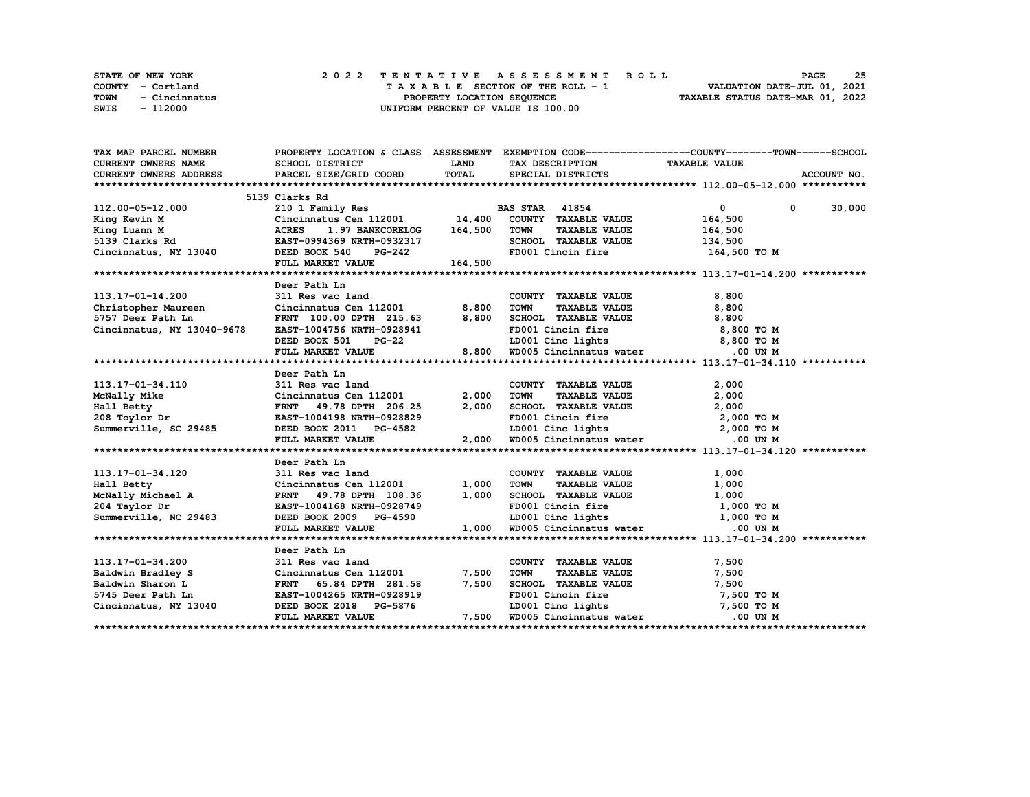| <b>STATE OF NEW YORK</b> | 2022 TENTATIVE ASSESSMENT ROLL     | 25<br><b>PAGE</b>                |
|--------------------------|------------------------------------|----------------------------------|
| COUNTY - Cortland        | TAXABLE SECTION OF THE ROLL - 1    | VALUATION DATE-JUL 01, 2021      |
| TOWN<br>- Cincinnatus    | PROPERTY LOCATION SEOUENCE         | TAXABLE STATUS DATE-MAR 01, 2022 |
| SWIS<br>- 112000         | UNIFORM PERCENT OF VALUE IS 100.00 |                                  |

| TAX MAP PARCEL NUMBER                                                                                                                                                                                                                                       |                                                                                                                                                                           |              |                                                                                                         | PROPERTY LOCATION & CLASS ASSESSMENT EXEMPTION CODE----------------COUNTY-------TOWN-----SCHOOL |
|-------------------------------------------------------------------------------------------------------------------------------------------------------------------------------------------------------------------------------------------------------------|---------------------------------------------------------------------------------------------------------------------------------------------------------------------------|--------------|---------------------------------------------------------------------------------------------------------|-------------------------------------------------------------------------------------------------|
| <b>CURRENT OWNERS NAME</b>                                                                                                                                                                                                                                  | SCHOOL DISTRICT                                                                                                                                                           | <b>LAND</b>  | TAX DESCRIPTION TAXABLE VALUE                                                                           |                                                                                                 |
| CURRENT OWNERS ADDRESS                                                                                                                                                                                                                                      | PARCEL SIZE/GRID COORD                                                                                                                                                    | <b>TOTAL</b> | SPECIAL DISTRICTS                                                                                       | ACCOUNT NO.                                                                                     |
|                                                                                                                                                                                                                                                             |                                                                                                                                                                           |              |                                                                                                         |                                                                                                 |
|                                                                                                                                                                                                                                                             |                                                                                                                                                                           |              |                                                                                                         |                                                                                                 |
| 112.00-05-12.000<br>Xing Kevin M<br>Xing Luann M<br>Sing Luann M<br>Sing Luann M<br>Sing Luann M<br>Sing Clarks Rd<br>NY 13040<br>Sing Luann M<br>Sing Luann M<br>ERST-0994369 NRTH-0932317<br>DEED BOOK 540<br>PG-242<br>NY 13040<br>NRTH-0932317<br>NGCRE |                                                                                                                                                                           |              |                                                                                                         | $\overline{0}$<br>$0 \t 30,000$                                                                 |
|                                                                                                                                                                                                                                                             |                                                                                                                                                                           |              |                                                                                                         | 164,500                                                                                         |
|                                                                                                                                                                                                                                                             |                                                                                                                                                                           |              | TOWN<br><b>TAXABLE VALUE</b>                                                                            | 164,500                                                                                         |
|                                                                                                                                                                                                                                                             |                                                                                                                                                                           |              | SCHOOL TAXABLE VALUE 134,500                                                                            |                                                                                                 |
|                                                                                                                                                                                                                                                             |                                                                                                                                                                           |              | FD001 Cincin fire 164,500 TO M                                                                          |                                                                                                 |
|                                                                                                                                                                                                                                                             |                                                                                                                                                                           |              |                                                                                                         |                                                                                                 |
|                                                                                                                                                                                                                                                             |                                                                                                                                                                           |              |                                                                                                         |                                                                                                 |
|                                                                                                                                                                                                                                                             | Deer Path Ln                                                                                                                                                              |              |                                                                                                         |                                                                                                 |
| 113.17-01-14.200                                                                                                                                                                                                                                            | 311 Res vac land                                                                                                                                                          |              | COUNTY TAXABLE VALUE                                                                                    | 8,800                                                                                           |
| Christopher Maureen Cincinnatus Cen 112001 8,800                                                                                                                                                                                                            |                                                                                                                                                                           |              | TAXABLE VALUE<br><b>TOWN</b>                                                                            | 8,800                                                                                           |
| 5757 Deer Path Ln                                                                                                                                                                                                                                           | FRNT 100.00 DPTH 215.63                                                                                                                                                   | 8,800        | SCHOOL TAXABLE VALUE                                                                                    | 8,800                                                                                           |
| Cincinnatus, NY 13040-9678                                                                                                                                                                                                                                  |                                                                                                                                                                           |              |                                                                                                         |                                                                                                 |
|                                                                                                                                                                                                                                                             | $\begin{tabular}{lllllllllll} \texttt{EAST-1004756 NRTH-0928941} \\ \texttt{DEED BOOK 501} & \texttt{PG-22} \\ \texttt{FULL MARKET VALUE} & \texttt{8,800} \end{tabular}$ |              | FD001 Cincin fire 8,800 TO M<br>LD001 Cinc lights 8,800 TO M<br>8,800 WD005 Cincinnatus water 0.00 UN M |                                                                                                 |
|                                                                                                                                                                                                                                                             |                                                                                                                                                                           |              |                                                                                                         |                                                                                                 |
|                                                                                                                                                                                                                                                             |                                                                                                                                                                           |              |                                                                                                         |                                                                                                 |
|                                                                                                                                                                                                                                                             | Deer Path Ln                                                                                                                                                              |              |                                                                                                         |                                                                                                 |
| 113.17-01-34.110                                                                                                                                                                                                                                            | 311 Res vac land                                                                                                                                                          |              | COUNTY TAXABLE VALUE                                                                                    | 2,000                                                                                           |
| McNally Mike                                                                                                                                                                                                                                                | Cincinnatus Cen 112001 2,000                                                                                                                                              |              | <b>TAXABLE VALUE</b><br><b>TOWN</b>                                                                     | 2,000                                                                                           |
| Hall Betty                                                                                                                                                                                                                                                  | FRNT 49.78 DPTH 206.25                                                                                                                                                    | 2,000        |                                                                                                         |                                                                                                 |
|                                                                                                                                                                                                                                                             |                                                                                                                                                                           |              | SCHOOL TAXABLE VALUE $2,000$<br>FD001 Cincin fire $2,000$ TO M<br>LD001 Cinc lights $2,000$ TO M        |                                                                                                 |
| 208 Toylor Dr<br>Summerville, SC 29485                                                                                                                                                                                                                      |                                                                                                                                                                           |              |                                                                                                         |                                                                                                 |
|                                                                                                                                                                                                                                                             | FULL MARKET VALUE                                                                                                                                                         |              | 2,000 WD005 Cincinnatus water .00 UN M                                                                  |                                                                                                 |
|                                                                                                                                                                                                                                                             |                                                                                                                                                                           |              |                                                                                                         |                                                                                                 |
|                                                                                                                                                                                                                                                             | Deer Path Ln                                                                                                                                                              |              |                                                                                                         |                                                                                                 |
| 113.17-01-34.120                                                                                                                                                                                                                                            | 311 Res vac land                                                                                                                                                          |              | COUNTY TAXABLE VALUE                                                                                    | 1,000                                                                                           |
|                                                                                                                                                                                                                                                             |                                                                                                                                                                           |              |                                                                                                         |                                                                                                 |
|                                                                                                                                                                                                                                                             |                                                                                                                                                                           |              |                                                                                                         |                                                                                                 |
| Hall Betty<br>McNally Michael A<br>204 Taylor Dr                                                                                                                                                                                                            | Cincinnatus Cen 112001 1,000<br>FRNT 49.78 DPTH 108.36 1,000<br>EAST-1004168 NRTH-0928749<br>DEED BOOK 2009 PG-4590                                                       |              | TOWN TAXABLE VALUE 1,000<br>SCHOOL TAXABLE VALUE 1,000<br>FD001 Cincin fire 1,000 TO M                  |                                                                                                 |
| Summerville, NC 29483                                                                                                                                                                                                                                       |                                                                                                                                                                           |              | LD001 Cinc lights 1,000 TO M                                                                            |                                                                                                 |
|                                                                                                                                                                                                                                                             | FULL MARKET VALUE                                                                                                                                                         |              | 1,000 WD005 Cincinnatus water                                                                           | .00 UN M                                                                                        |
|                                                                                                                                                                                                                                                             |                                                                                                                                                                           |              |                                                                                                         |                                                                                                 |
|                                                                                                                                                                                                                                                             | Deer Path Ln                                                                                                                                                              |              |                                                                                                         |                                                                                                 |
| 113.17-01-34.200                                                                                                                                                                                                                                            | 311 Res vac land                                                                                                                                                          |              | COUNTY TAXABLE VALUE                                                                                    | 7,500                                                                                           |
|                                                                                                                                                                                                                                                             |                                                                                                                                                                           | 7,500        |                                                                                                         | 7,500                                                                                           |
| Baldwin Bradley S<br>Baldwin Sharon L<br>FRNT 65.84 DPTH 281.58<br>5745 Deer Path Ln<br>EAST-1004265 NRTH-0928919                                                                                                                                           | Cincinnatus Cen 112001<br>FRNT 65.84 DPTH 281.58                                                                                                                          | 7,500        | TOWN TAXABLE VALUE<br>SCHOOL TAXABLE VALUE<br>FD001 Cincin fire                                         | 7,500                                                                                           |
|                                                                                                                                                                                                                                                             |                                                                                                                                                                           |              |                                                                                                         | 7,500 TO M                                                                                      |
| Cincinnatus, NY 13040                                                                                                                                                                                                                                       |                                                                                                                                                                           |              | LD001 Cinc lights 7,500 TO M                                                                            |                                                                                                 |
|                                                                                                                                                                                                                                                             | DEED BOOK 2018 PG-5876 LD001 Cinc lights<br>FULL MARKET VALUE 7,500 WD005 Cincinnatus water                                                                               |              |                                                                                                         | .00 UN M                                                                                        |
|                                                                                                                                                                                                                                                             |                                                                                                                                                                           |              |                                                                                                         |                                                                                                 |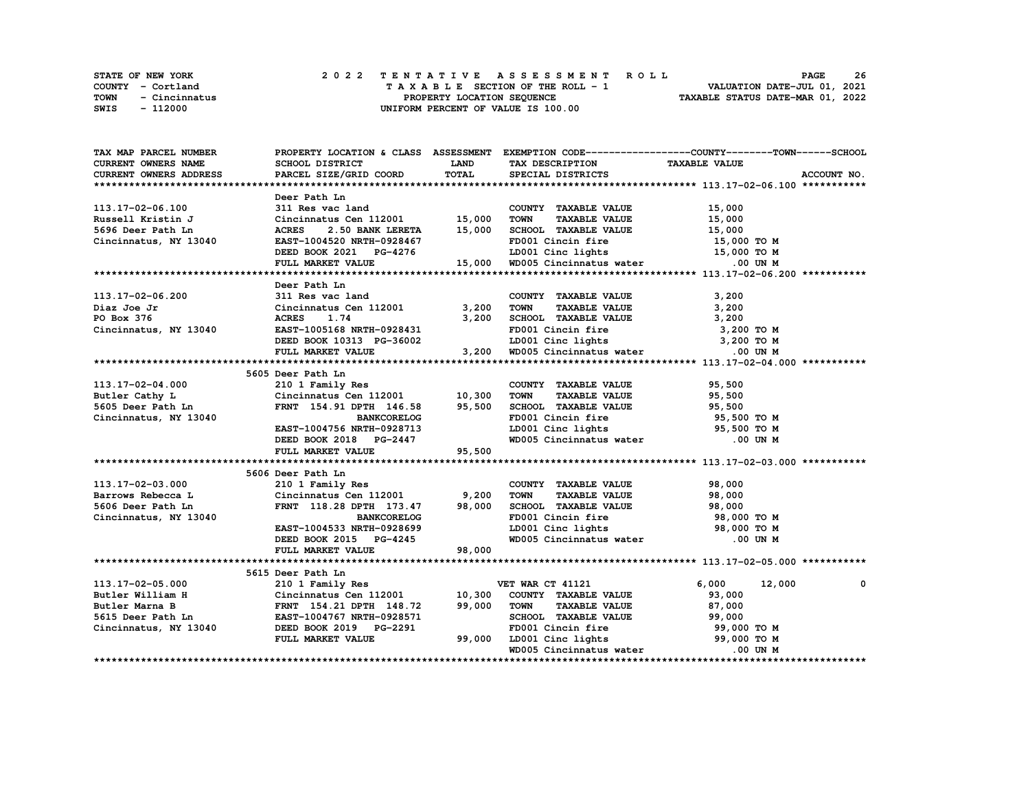|      | <b>STATE OF NEW YORK</b> |  | 2022 TENTATIVE ASSESSMENT ROLL     | <b>PAGE</b>                      | 26 |
|------|--------------------------|--|------------------------------------|----------------------------------|----|
|      | COUNTY - Cortland        |  | TAXABLE SECTION OF THE ROLL - 1    | VALUATION DATE-JUL 01, 2021      |    |
| TOWN | - Cincinnatus            |  | PROPERTY LOCATION SEOUENCE         | TAXABLE STATUS DATE-MAR 01, 2022 |    |
| SWIS | - 112000                 |  | UNIFORM PERCENT OF VALUE IS 100.00 |                                  |    |

| TAX MAP PARCEL NUMBER         | PROPERTY LOCATION & CLASS ASSESSMENT EXEMPTION CODE-----------------COUNTY-------TOWN------SCHOOL |             |                                                                |                      |             |
|-------------------------------|---------------------------------------------------------------------------------------------------|-------------|----------------------------------------------------------------|----------------------|-------------|
| CURRENT OWNERS NAME           | SCHOOL DISTRICT                                                                                   | <b>LAND</b> | TAX DESCRIPTION                                                | <b>TAXABLE VALUE</b> |             |
| <b>CURRENT OWNERS ADDRESS</b> | PARCEL SIZE/GRID COORD                                                                            | TOTAL       | SPECIAL DISTRICTS                                              |                      | ACCOUNT NO. |
|                               |                                                                                                   |             |                                                                |                      |             |
|                               | Deer Path Ln                                                                                      |             |                                                                |                      |             |
| 113.17-02-06.100              | 311 Res vac land                                                                                  |             | COUNTY TAXABLE VALUE                                           | 15,000               |             |
| Russell Kristin J             | Cincinnatus Cen 112001                                                                            | 15,000      | <b>TOWN</b><br><b>TAXABLE VALUE</b>                            | 15,000               |             |
| 5696 Deer Path Ln             | <b>ACRES</b><br>2.50 BANK LERETA                                                                  | 15,000      | SCHOOL TAXABLE VALUE                                           | 15,000               |             |
| Cincinnatus, NY 13040         | EAST-1004520 NRTH-0928467                                                                         |             | FD001 Cincin fire                                              | 15,000 TO M          |             |
|                               | DEED BOOK 2021 PG-4276                                                                            |             | LD001 Cinc lights 15,000 TO M                                  |                      |             |
|                               | FULL MARKET VALUE                                                                                 |             | 15,000 WD005 Cincinnatus water 500 UN M                        |                      |             |
|                               |                                                                                                   |             |                                                                |                      |             |
|                               | Deer Path Ln                                                                                      |             |                                                                |                      |             |
| 113.17-02-06.200              | 311 Res vac land                                                                                  |             | COUNTY TAXABLE VALUE                                           | 3,200                |             |
| Diaz Joe Jr                   | Cincinnatus Cen 112001 3,200                                                                      |             | <b>TOWN</b><br>TAXABLE VALUE                                   | 3,200                |             |
| PO Box 376                    | <b>ACRES</b><br>1.74                                                                              | 3,200       | SCHOOL TAXABLE VALUE                                           | 3,200                |             |
| Cincinnatus, NY 13040         | EAST-1005168 NRTH-0928431                                                                         |             | FD001 Cincin fire                                              | 3,200 TO M           |             |
|                               | DEED BOOK 10313 PG-36002<br>FULL MARKET VALUE                                                     |             | LD001 Cinc lights 3,200 TO M                                   |                      |             |
|                               | FULL MARKET VALUE                                                                                 | 3,200       | WD005 Cincinnatus water                                        | .00 UN M             |             |
|                               |                                                                                                   |             |                                                                |                      |             |
|                               | 5605 Deer Path Ln                                                                                 |             |                                                                |                      |             |
| 113.17-02-04.000              | 210 1 Family Res                                                                                  |             | COUNTY TAXABLE VALUE                                           | 95,500               |             |
| Butler Cathy L                | Cincinnatus Cen 112001 10,300                                                                     |             | <b>TOWN</b><br><b>TAXABLE VALUE</b>                            | 95,500               |             |
| 5605 Deer Path Ln             | FRNT 154.91 DPTH 146.58 95,500                                                                    |             | SCHOOL TAXABLE VALUE                                           | 95,500               |             |
| Cincinnatus, NY 13040         | <b>BANKCORELOG</b>                                                                                |             | FD001 Cincin fire                                              | 95,500 TO M          |             |
|                               | EAST-1004756 NRTH-0928713                                                                         |             |                                                                | 95,500 TO M          |             |
|                               | DEED BOOK 2018 PG-2447                                                                            |             | LD001 Cinc lights<br>WD005 Cincinnatus water                   | .00 UN M             |             |
|                               | FULL MARKET VALUE                                                                                 | 95,500      |                                                                |                      |             |
|                               |                                                                                                   |             |                                                                |                      |             |
|                               | 5606 Deer Path Ln                                                                                 |             |                                                                |                      |             |
| 113.17-02-03.000              | 210 1 Family Res                                                                                  |             | COUNTY TAXABLE VALUE                                           | 98,000               |             |
| Barrows Rebecca L             | Cincinnatus Cen $112001$ 9,200                                                                    |             | <b>TOWN</b><br><b>TAXABLE VALUE</b>                            | 98,000               |             |
| 5606 Deer Path Ln             | FRNT 118.28 DPTH 173.47                                                                           | 98,000      | SCHOOL TAXABLE VALUE                                           | 98,000               |             |
| Cincinnatus, NY 13040         | <b>BANKCORELOG</b>                                                                                |             | FD001 Cincin fire                                              | 98,000 TO M          |             |
|                               | EAST-1004533 NRTH-0928699                                                                         |             | LD001 Cinc lights                                              | 98,000 TO M          |             |
|                               | DEED BOOK 2015 PG-4245                                                                            |             | WD005 Cincinnatus water                                        | .00 UN M             |             |
|                               | FULL MARKET VALUE                                                                                 | 98,000      |                                                                |                      |             |
|                               |                                                                                                   |             |                                                                |                      |             |
|                               | 5615 Deer Path Ln                                                                                 |             |                                                                |                      |             |
| 113.17-02-05.000              | 210 1 Family Res                                                                                  |             | VET WAR CT 41121                                               | 6,000<br>12,000      | 0           |
| Butler William H              | Cincinnatus Cen 112001 10,300                                                                     |             | COUNTY TAXABLE VALUE                                           | 93,000               |             |
| Butler Marna B                | FRNT 154.21 DPTH 148.72                                                                           | 99,000      | <b>TOWN</b><br><b>TAXABLE VALUE</b>                            | 87,000               |             |
| 5615 Deer Path Ln             | EAST-1004767 NRTH-0928571                                                                         |             | SCHOOL TAXABLE VALUE                                           | 99,000               |             |
| Cincinnatus, NY 13040         | DEED BOOK 2019 PG-2291                                                                            |             | FD001 Cincin fire                                              | 99,000 TO M          |             |
|                               | FULL MARKET VALUE                                                                                 | 99,000      | FD001 Cincin fire 59,000 TO M<br>LD001 Cinc lights 59,000 TO M |                      |             |
|                               |                                                                                                   |             | WD005 Cincinnatus water                                        | .00 UN M             |             |
|                               |                                                                                                   |             |                                                                |                      |             |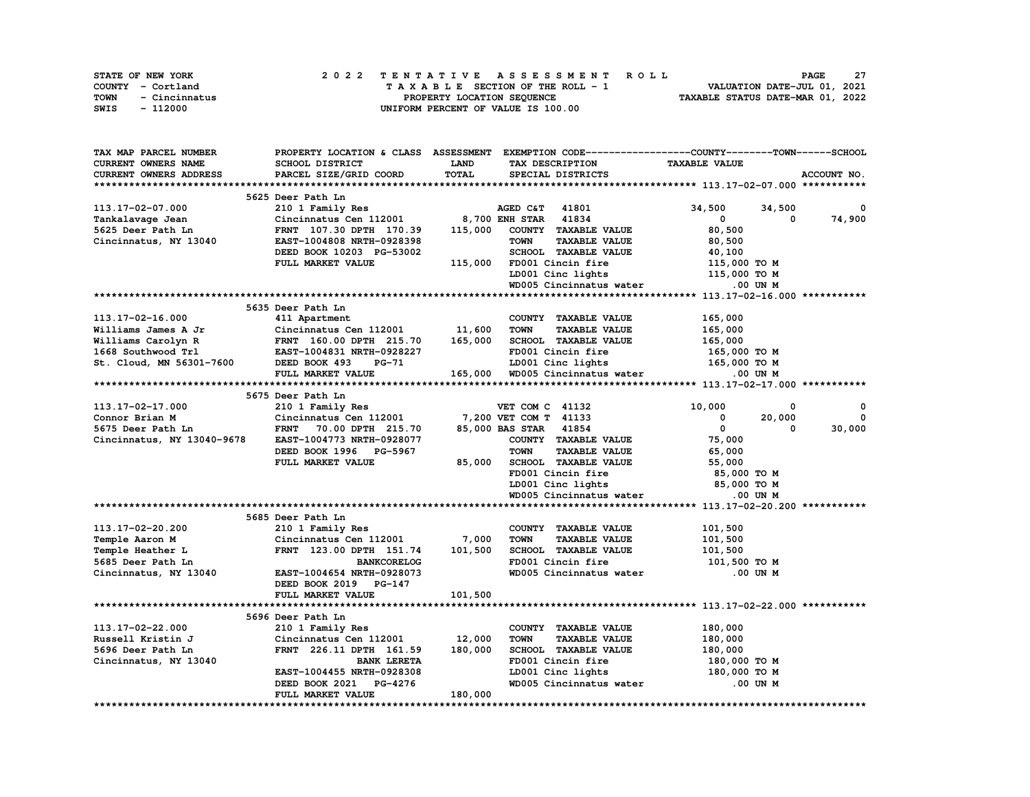| STATE OF NEW YORK     | 2022 TENTATIVE ASSESSMENT ROLL     | -27<br><b>PAGE</b>               |
|-----------------------|------------------------------------|----------------------------------|
| COUNTY - Cortland     | TAXABLE SECTION OF THE ROLL - 1    | VALUATION DATE-JUL 01, 2021      |
| TOWN<br>- Cincinnatus | PROPERTY LOCATION SEOUENCE         | TAXABLE STATUS DATE-MAR 01, 2022 |
| SWIS<br>- 112000      | UNIFORM PERCENT OF VALUE IS 100.00 |                                  |

| TAX MAP PARCEL NUMBER      | PROPERTY LOCATION & CLASS ASSESSMENT |         |                                     | EXEMPTION CODE-----------------COUNTY-------TOWN------SCHOOL |             |
|----------------------------|--------------------------------------|---------|-------------------------------------|--------------------------------------------------------------|-------------|
| CURRENT OWNERS NAME        | SCHOOL DISTRICT                      | LAND    | TAX DESCRIPTION                     | <b>TAXABLE VALUE</b>                                         |             |
| CURRENT OWNERS ADDRESS     | PARCEL SIZE/GRID COORD               | TOTAL   | SPECIAL DISTRICTS                   |                                                              | ACCOUNT NO. |
|                            |                                      |         |                                     |                                                              |             |
|                            | 5625 Deer Path Ln                    |         |                                     |                                                              |             |
| 113.17-02-07.000           | 210 1 Family Res                     |         | AGED C&T 41801                      | 34,500<br>34,500                                             | 0           |
| Tankalavage Jean           | Cincinnatus Cen 112001               |         | 8,700 ENH STAR 41834                | $\mathbf{0}$<br>$\Omega$                                     | 74,900      |
| 5625 Deer Path Ln          | FRNT 107.30 DPTH 170.39              | 115,000 | COUNTY TAXABLE VALUE                | 80,500                                                       |             |
| Cincinnatus, NY 13040      | EAST-1004808 NRTH-0928398            |         | <b>TOWN</b><br><b>TAXABLE VALUE</b> | 80,500                                                       |             |
|                            | DEED BOOK 10203 PG-53002             |         | SCHOOL TAXABLE VALUE                | 40,100                                                       |             |
|                            | FULL MARKET VALUE                    |         | FD001 Cincin fire                   |                                                              |             |
|                            |                                      | 115,000 | LD001 Cinc lights                   | 115,000 TO M                                                 |             |
|                            |                                      |         |                                     | 115,000 TO M                                                 |             |
|                            |                                      |         | WD005 Cincinnatus water             | .00 UN M                                                     |             |
|                            |                                      |         |                                     |                                                              |             |
|                            | 5635 Deer Path Ln                    |         |                                     |                                                              |             |
| 113.17-02-16.000           | 411 Apartment                        |         | COUNTY TAXABLE VALUE                | 165,000                                                      |             |
| Williams James A Jr        | Cincinnatus Cen 112001               | 11,600  | <b>TOWN</b><br><b>TAXABLE VALUE</b> | 165,000                                                      |             |
| Williams Carolyn R         | FRNT 160.00 DPTH 215.70              | 165,000 | SCHOOL TAXABLE VALUE                | 165,000                                                      |             |
| 1668 Southwood Trl         | EAST-1004831 NRTH-0928227            |         | FD001 Cincin fire                   | 165,000 TO M                                                 |             |
| St. Cloud, MN 56301-7600   | DEED BOOK 493<br>PG-71               |         | LD001 Cinc lights                   | 165,000 TO M                                                 |             |
|                            | FULL MARKET VALUE                    | 165,000 | WD005 Cincinnatus water             | .00 UN M                                                     |             |
|                            |                                      |         |                                     |                                                              |             |
|                            | 5675 Deer Path Ln                    |         |                                     |                                                              |             |
| 113.17-02-17.000           | 210 1 Family Res                     |         | VET COM C 41132                     | 10,000<br>0                                                  | $\Omega$    |
| Connor Brian M             | Cincinnatus Cen 112001               |         | 7,200 VET COM T 41133               | 0<br>20,000                                                  | $\mathbf 0$ |
| 5675 Deer Path Ln          | FRNT 70.00 DPTH 215.70               |         | 85,000 BAS STAR 41854               | 0<br>0                                                       | 30,000      |
| Cincinnatus, NY 13040-9678 | EAST-1004773 NRTH-0928077            |         | COUNTY TAXABLE VALUE                | 75,000                                                       |             |
|                            | DEED BOOK 1996 PG-5967               |         | <b>TOWN</b><br><b>TAXABLE VALUE</b> | 65,000                                                       |             |
|                            | FULL MARKET VALUE                    | 85,000  | SCHOOL TAXABLE VALUE                | 55,000                                                       |             |
|                            |                                      |         | FD001 Cincin fire                   | 85,000 TO M                                                  |             |
|                            |                                      |         | LD001 Cinc lights                   | 85,000 TO M                                                  |             |
|                            |                                      |         | WD005 Cincinnatus water             | .00 UN M                                                     |             |
|                            |                                      |         |                                     |                                                              |             |
|                            |                                      |         |                                     |                                                              |             |
|                            | 5685 Deer Path Ln                    |         |                                     |                                                              |             |
| 113.17-02-20.200           | 210 1 Family Res                     |         | COUNTY TAXABLE VALUE                | 101,500                                                      |             |
| Temple Aaron M             | Cincinnatus Cen 112001               | 7,000   | <b>TOWN</b><br><b>TAXABLE VALUE</b> | 101,500                                                      |             |
| Temple Heather L           | FRNT 123.00 DPTH 151.74              | 101,500 | SCHOOL TAXABLE VALUE                | 101,500                                                      |             |
| 5685 Deer Path Ln          | <b>BANKCORELOG</b>                   |         | FD001 Cincin fire                   | 101,500 то м                                                 |             |
| Cincinnatus, NY 13040      | EAST-1004654 NRTH-0928073            |         | WD005 Cincinnatus water             | .00 UN M                                                     |             |
|                            | DEED BOOK 2019 PG-147                |         |                                     |                                                              |             |
|                            | FULL MARKET VALUE                    | 101,500 |                                     |                                                              |             |
|                            |                                      |         |                                     |                                                              |             |
|                            | 5696 Deer Path Ln                    |         |                                     |                                                              |             |
| 113.17-02-22.000           | 210 1 Family Res                     |         | COUNTY TAXABLE VALUE                | 180,000                                                      |             |
| Russell Kristin J          | Cincinnatus Cen 112001               | 12,000  | <b>TOWN</b><br><b>TAXABLE VALUE</b> | 180,000                                                      |             |
| 5696 Deer Path Ln          | FRNT 226.11 DPTH 161.59              | 180,000 | SCHOOL TAXABLE VALUE                | 180,000                                                      |             |
| Cincinnatus, NY 13040      | <b>BANK LERETA</b>                   |         | FD001 Cincin fire                   | 180,000 то м                                                 |             |
|                            | EAST-1004455 NRTH-0928308            |         | LD001 Cinc lights                   | 180,000 TO M                                                 |             |
|                            | DEED BOOK 2021 PG-4276               |         | WD005 Cincinnatus water             | .00 UN M                                                     |             |
|                            | FULL MARKET VALUE                    | 180,000 |                                     |                                                              |             |
|                            |                                      |         |                                     |                                                              |             |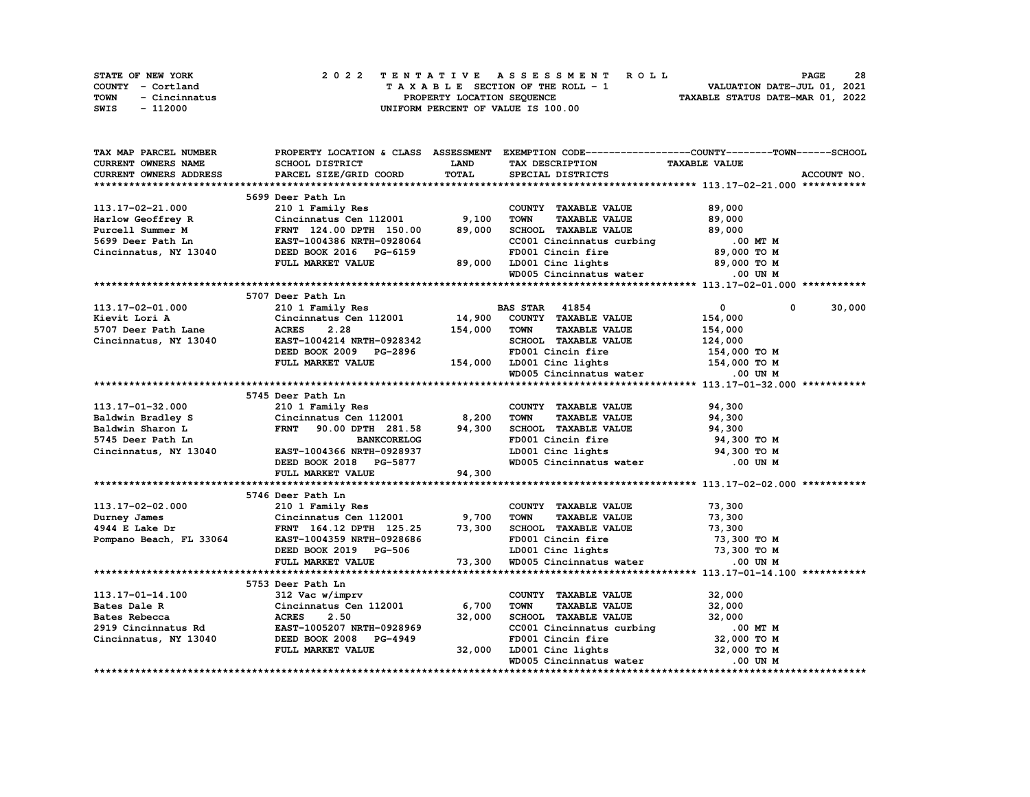| STATE OF NEW YORK     | 2022 TENTATIVE ASSESSMENT ROLL     | 28<br><b>PAGE</b>                |
|-----------------------|------------------------------------|----------------------------------|
| COUNTY - Cortland     | TAXABLE SECTION OF THE ROLL - 1    | VALUATION DATE-JUL 01, 2021      |
| TOWN<br>- Cincinnatus | PROPERTY LOCATION SEOUENCE         | TAXABLE STATUS DATE-MAR 01, 2022 |
| - 112000<br>SWIS      | UNIFORM PERCENT OF VALUE IS 100.00 |                                  |

| <b>TAX MAP PARCEL NUMBER</b>  | PROPERTY LOCATION & CLASS ASSESSMENT |         | EXEMPTION CODE-----------------COUNTY-------TOWN------SCHOOL |                             |             |
|-------------------------------|--------------------------------------|---------|--------------------------------------------------------------|-----------------------------|-------------|
| CURRENT OWNERS NAME           | SCHOOL DISTRICT                      | LAND    | TAX DESCRIPTION                                              | <b>TAXABLE VALUE</b>        |             |
| <b>CURRENT OWNERS ADDRESS</b> | PARCEL SIZE/GRID COORD               | TOTAL   | SPECIAL DISTRICTS                                            |                             | ACCOUNT NO. |
|                               |                                      |         |                                                              |                             |             |
|                               | 5699 Deer Path Ln                    |         |                                                              |                             |             |
| 113.17-02-21.000              | 210 1 Family Res                     |         | COUNTY TAXABLE VALUE                                         | 89,000                      |             |
| Harlow Geoffrey R             | Cincinnatus Cen 112001               | 9,100   | <b>TOWN</b><br><b>TAXABLE VALUE</b>                          | 89,000                      |             |
| Purcell Summer M              | FRNT 124.00 DPTH 150.00              | 89,000  | SCHOOL TAXABLE VALUE                                         | 89,000                      |             |
| 5699 Deer Path Ln             | EAST-1004386 NRTH-0928064            |         | CC001 Cincinnatus curbing                                    | .00 MT M                    |             |
| Cincinnatus, NY 13040         | DEED BOOK 2016 PG-6159               |         | FD001 Cincin fire                                            | 89,000 TO M                 |             |
|                               | FULL MARKET VALUE                    | 89,000  | LD001 Cinc lights                                            | 89,000 TO M                 |             |
|                               |                                      |         |                                                              | .00 UN M                    |             |
|                               |                                      |         | WD005 Cincinnatus water                                      |                             |             |
|                               |                                      |         |                                                              |                             |             |
|                               | 5707 Deer Path Ln                    |         |                                                              |                             |             |
| 113.17-02-01.000              | 210 1 Family Res                     |         | <b>BAS STAR 41854</b>                                        | $\mathbf{0}$<br>$\mathbf 0$ | 30,000      |
| Kievit Lori A                 | Cincinnatus Cen 112001               | 14,900  | COUNTY TAXABLE VALUE                                         | 154,000                     |             |
| 5707 Deer Path Lane           | <b>ACRES</b><br>2.28                 | 154,000 | <b>TOWN</b><br><b>TAXABLE VALUE</b>                          | 154,000                     |             |
| Cincinnatus, NY 13040         | EAST-1004214 NRTH-0928342            |         | SCHOOL TAXABLE VALUE                                         | 124,000                     |             |
|                               | DEED BOOK 2009 PG-2896               |         | FD001 Cincin fire                                            | 154,000 TO M                |             |
|                               | FULL MARKET VALUE                    |         | 154,000 LD001 Cinc lights                                    | 154,000 TO M                |             |
|                               |                                      |         | WD005 Cincinnatus water                                      | .00 UN M                    |             |
|                               |                                      |         |                                                              |                             |             |
|                               | 5745 Deer Path Ln                    |         |                                                              |                             |             |
| 113.17-01-32.000              | 210 1 Family Res                     |         | COUNTY TAXABLE VALUE                                         | 94,300                      |             |
| Baldwin Bradley S             | Cincinnatus Cen 112001               | 8,200   | <b>TOWN</b><br><b>TAXABLE VALUE</b>                          | 94,300                      |             |
| Baldwin Sharon L              | <b>FRNT</b><br>90.00 DPTH 281.58     | 94,300  | SCHOOL TAXABLE VALUE                                         | 94,300                      |             |
| 5745 Deer Path Ln             | <b>BANKCORELOG</b>                   |         | FD001 Cincin fire                                            | 94,300 TO M                 |             |
| Cincinnatus, NY 13040         | EAST-1004366 NRTH-0928937            |         | LD001 Cinc lights                                            | 94,300 TO M                 |             |
|                               |                                      |         | WD005 Cincinnatus water                                      |                             |             |
|                               | DEED BOOK 2018 PG-5877               |         |                                                              | .00 UN M                    |             |
|                               | FULL MARKET VALUE                    | 94,300  |                                                              |                             |             |
|                               |                                      |         |                                                              |                             |             |
|                               | 5746 Deer Path Ln                    |         |                                                              |                             |             |
| 113.17-02-02.000              | 210 1 Family Res                     |         | COUNTY TAXABLE VALUE                                         | 73,300                      |             |
| Durney James                  | Cincinnatus Cen 112001               | 9,700   | <b>TOWN</b><br><b>TAXABLE VALUE</b>                          | 73,300                      |             |
| $4944$ E Lake Dr              | FRNT 164.12 DPTH 125.25              | 73,300  | SCHOOL TAXABLE VALUE                                         | 73,300                      |             |
| Pompano Beach, FL 33064       | EAST-1004359 NRTH-0928686            |         | FD001 Cincin fire                                            | 73,300 TO M                 |             |
|                               | DEED BOOK 2019 PG-506                |         | LD001 Cinc lights 73,300 TO M                                |                             |             |
|                               | FULL MARKET VALUE                    | 73,300  | WD005 Cincinnatus water                                      | .00 UN M                    |             |
|                               |                                      |         |                                                              |                             |             |
|                               | 5753 Deer Path Ln                    |         |                                                              |                             |             |
| 113.17-01-14.100              | 312 Vac w/imprv                      |         | COUNTY TAXABLE VALUE                                         | 32,000                      |             |
| Bates Dale R                  | Cincinnatus Cen 112001               | 6,700   | <b>TOWN</b><br><b>TAXABLE VALUE</b>                          | 32,000                      |             |
| Bates Rebecca                 | <b>ACRES</b><br>2.50                 | 32,000  | <b>SCHOOL TAXABLE VALUE</b>                                  | 32,000                      |             |
| 2919 Cincinnatus Rd           | EAST-1005207 NRTH-0928969            |         | CC001 Cincinnatus curbing                                    | .00 MT M                    |             |
| Cincinnatus, NY 13040         | DEED BOOK 2008 PG-4949               |         | FD001 Cincin fire                                            | 32,000 TO M                 |             |
|                               | FULL MARKET VALUE                    | 32,000  | LD001 Cinc lights                                            | 32,000 TO M                 |             |
|                               |                                      |         | WD005 Cincinnatus water                                      | .00 UN M                    |             |
|                               |                                      |         |                                                              |                             |             |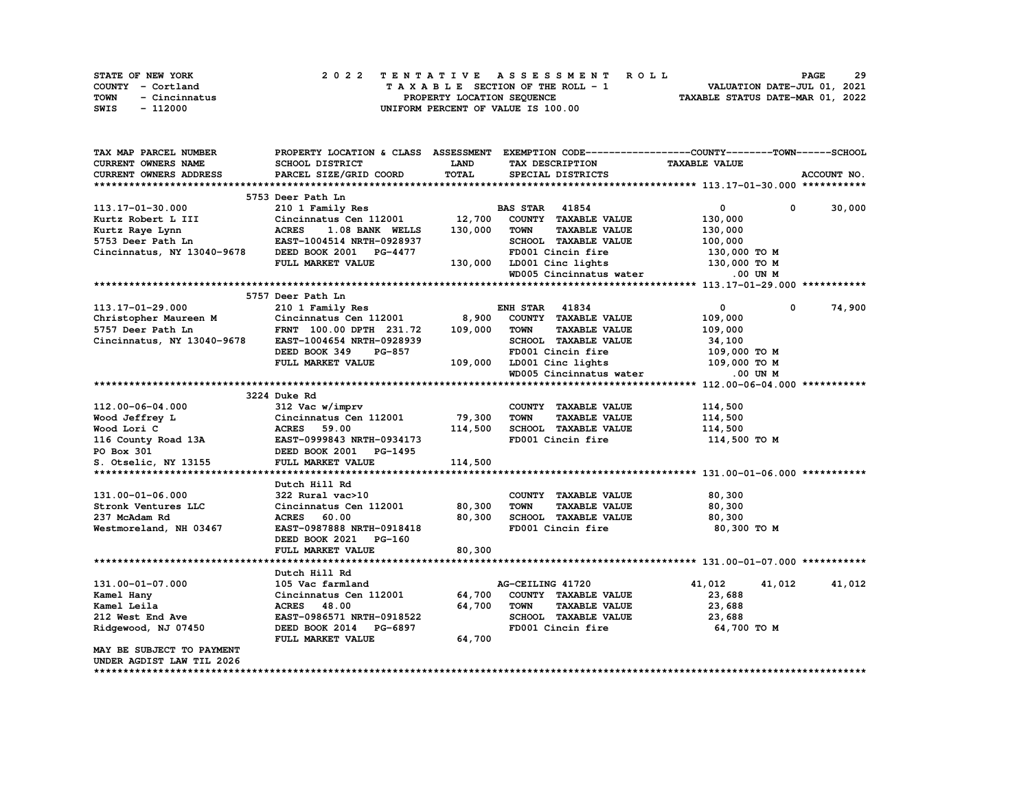| STATE OF NEW YORK     | 2022 TENTATIVE ASSESSMENT ROLL     | 29<br><b>PAGE</b>                |
|-----------------------|------------------------------------|----------------------------------|
| COUNTY - Cortland     | TAXABLE SECTION OF THE ROLL - 1    | VALUATION DATE-JUL 01, 2021      |
| TOWN<br>- Cincinnatus | PROPERTY LOCATION SEQUENCE         | TAXABLE STATUS DATE-MAR 01, 2022 |
| - 112000<br>SWIS      | UNIFORM PERCENT OF VALUE IS 100.00 |                                  |

| <b>LAND</b><br><b>TAXABLE VALUE</b><br>CURRENT OWNERS NAME<br>SCHOOL DISTRICT<br>TAX DESCRIPTION<br>TOTAL<br>ACCOUNT NO.<br>CURRENT OWNERS ADDRESS<br>PARCEL SIZE/GRID COORD<br>SPECIAL DISTRICTS<br>5753 Deer Path Ln<br><b>BAS STAR 41854</b><br>0<br>30,000<br>113.17-01-30.000<br>0<br>210 1 Family Res<br>12,700<br>Cincinnatus Cen 112001<br>COUNTY TAXABLE VALUE<br>130,000<br>Kurtz Robert L III<br><b>ACRES</b><br>1.08 BANK WELLS<br>130,000<br><b>TOWN</b><br><b>TAXABLE VALUE</b><br>Kurtz Raye Lynn<br>130,000<br>SCHOOL TAXABLE VALUE<br>5753 Deer Path Ln<br>EAST-1004514 NRTH-0928937<br>100,000<br>FD001 Cincin fire<br>Cincinnatus, NY 13040-9678<br>DEED BOOK 2001 PG-4477<br>130,000 то м<br>FULL MARKET VALUE<br>130,000 LD001 Cinc lights<br>130,000 TO M<br>WD005 Cincinnatus water<br>.00 UN M<br>5757 Deer Path Ln<br>74,900<br>113.17-01-29.000<br><b>ENH STAR 41834</b><br>$\mathbf{0}$<br>$\mathbf 0$<br>210 1 Family Res<br>8,900<br>COUNTY TAXABLE VALUE<br>Christopher Maureen M<br>Cincinnatus Cen 112001<br>109,000<br>5757 Deer Path Ln<br>FRNT 100.00 DPTH 231.72<br>109,000<br><b>TOWN</b><br><b>TAXABLE VALUE</b><br>109,000<br>SCHOOL TAXABLE VALUE<br>Cincinnatus, NY 13040-9678<br>EAST-1004654 NRTH-0928939<br>34,100<br>DEED BOOK 349<br><b>PG-857</b><br>FD001 Cincin fire<br>109,000 то м<br>FULL MARKET VALUE<br>109,000<br>LD001 Cinc lights 109,000 TO M<br>WD005 Cincinnatus water<br>.00 UN M<br>3224 Duke Rd<br>112.00-06-04.000<br>312 Vac w/imprv<br>COUNTY TAXABLE VALUE<br>114,500<br>Cincinnatus Cen 112001<br>79,300<br><b>TOWN</b><br>Wood Jeffrey L<br><b>TAXABLE VALUE</b><br>114,500<br>114,500<br><b>ACRES</b> 59.00<br>SCHOOL TAXABLE VALUE<br>114,500<br>Wood Lori C<br>EAST-0999843 NRTH-0934173<br>FD001 Cincin fire<br>114,500 TO M<br>116 County Road 13A<br>PO Box 301<br>DEED BOOK 2001 PG-1495<br>S. Otselic, NY 13155<br>FULL MARKET VALUE<br>114,500<br>Dutch Hill Rd<br>131.00-01-06.000<br>322 Rural vac>10<br>COUNTY TAXABLE VALUE<br>80,300<br>Stronk Ventures LLC<br>Cincinnatus Cen 112001<br>80,300<br><b>TOWN</b><br><b>TAXABLE VALUE</b><br>80,300<br>237 McAdam Rd<br><b>ACRES</b><br>80,300<br>SCHOOL TAXABLE VALUE<br>60.00<br>80,300<br>FD001 Cincin fire<br>Westmoreland, NH 03467<br>EAST-0987888 NRTH-0918418<br>80,300 TO M<br>DEED BOOK 2021 PG-160<br>80,300<br>FULL MARKET VALUE<br>Dutch Hill Rd<br>131.00-01-07.000<br>105 Vac farmland<br>AG-CEILING 41720<br>41,012<br>41,012<br>41,012<br>Cincinnatus Cen 112001<br>64,700<br>COUNTY TAXABLE VALUE<br>Kamel Hany<br>23,688<br>64,700<br><b>TOWN</b><br>Kamel Leila<br><b>ACRES</b> 48.00<br><b>TAXABLE VALUE</b><br>23,688<br>212 West End Ave<br>SCHOOL TAXABLE VALUE<br>EAST-0986571 NRTH-0918522<br>23,688<br>FD001 Cincin fire<br>Ridgewood, NJ 07450<br>DEED BOOK 2014 PG-6897<br>64,700 TO M<br>FULL MARKET VALUE<br>64,700<br>MAY BE SUBJECT TO PAYMENT<br>UNDER AGDIST LAW TIL 2026 | TAX MAP PARCEL NUMBER | PROPERTY LOCATION & CLASS ASSESSMENT |  | EXEMPTION CODE-----------------COUNTY-------TOWN-----SCHOOL |  |
|----------------------------------------------------------------------------------------------------------------------------------------------------------------------------------------------------------------------------------------------------------------------------------------------------------------------------------------------------------------------------------------------------------------------------------------------------------------------------------------------------------------------------------------------------------------------------------------------------------------------------------------------------------------------------------------------------------------------------------------------------------------------------------------------------------------------------------------------------------------------------------------------------------------------------------------------------------------------------------------------------------------------------------------------------------------------------------------------------------------------------------------------------------------------------------------------------------------------------------------------------------------------------------------------------------------------------------------------------------------------------------------------------------------------------------------------------------------------------------------------------------------------------------------------------------------------------------------------------------------------------------------------------------------------------------------------------------------------------------------------------------------------------------------------------------------------------------------------------------------------------------------------------------------------------------------------------------------------------------------------------------------------------------------------------------------------------------------------------------------------------------------------------------------------------------------------------------------------------------------------------------------------------------------------------------------------------------------------------------------------------------------------------------------------------------------------------------------------------------------------------------------------------------------------------------------------------------------------------------------------------------------------------------------------------------------------------------------------------------------------------------------------------------------------------------------------------------------------------------------------------------------------------------------------------------------------|-----------------------|--------------------------------------|--|-------------------------------------------------------------|--|
|                                                                                                                                                                                                                                                                                                                                                                                                                                                                                                                                                                                                                                                                                                                                                                                                                                                                                                                                                                                                                                                                                                                                                                                                                                                                                                                                                                                                                                                                                                                                                                                                                                                                                                                                                                                                                                                                                                                                                                                                                                                                                                                                                                                                                                                                                                                                                                                                                                                                                                                                                                                                                                                                                                                                                                                                                                                                                                                                              |                       |                                      |  |                                                             |  |
|                                                                                                                                                                                                                                                                                                                                                                                                                                                                                                                                                                                                                                                                                                                                                                                                                                                                                                                                                                                                                                                                                                                                                                                                                                                                                                                                                                                                                                                                                                                                                                                                                                                                                                                                                                                                                                                                                                                                                                                                                                                                                                                                                                                                                                                                                                                                                                                                                                                                                                                                                                                                                                                                                                                                                                                                                                                                                                                                              |                       |                                      |  |                                                             |  |
|                                                                                                                                                                                                                                                                                                                                                                                                                                                                                                                                                                                                                                                                                                                                                                                                                                                                                                                                                                                                                                                                                                                                                                                                                                                                                                                                                                                                                                                                                                                                                                                                                                                                                                                                                                                                                                                                                                                                                                                                                                                                                                                                                                                                                                                                                                                                                                                                                                                                                                                                                                                                                                                                                                                                                                                                                                                                                                                                              |                       |                                      |  |                                                             |  |
|                                                                                                                                                                                                                                                                                                                                                                                                                                                                                                                                                                                                                                                                                                                                                                                                                                                                                                                                                                                                                                                                                                                                                                                                                                                                                                                                                                                                                                                                                                                                                                                                                                                                                                                                                                                                                                                                                                                                                                                                                                                                                                                                                                                                                                                                                                                                                                                                                                                                                                                                                                                                                                                                                                                                                                                                                                                                                                                                              |                       |                                      |  |                                                             |  |
|                                                                                                                                                                                                                                                                                                                                                                                                                                                                                                                                                                                                                                                                                                                                                                                                                                                                                                                                                                                                                                                                                                                                                                                                                                                                                                                                                                                                                                                                                                                                                                                                                                                                                                                                                                                                                                                                                                                                                                                                                                                                                                                                                                                                                                                                                                                                                                                                                                                                                                                                                                                                                                                                                                                                                                                                                                                                                                                                              |                       |                                      |  |                                                             |  |
|                                                                                                                                                                                                                                                                                                                                                                                                                                                                                                                                                                                                                                                                                                                                                                                                                                                                                                                                                                                                                                                                                                                                                                                                                                                                                                                                                                                                                                                                                                                                                                                                                                                                                                                                                                                                                                                                                                                                                                                                                                                                                                                                                                                                                                                                                                                                                                                                                                                                                                                                                                                                                                                                                                                                                                                                                                                                                                                                              |                       |                                      |  |                                                             |  |
|                                                                                                                                                                                                                                                                                                                                                                                                                                                                                                                                                                                                                                                                                                                                                                                                                                                                                                                                                                                                                                                                                                                                                                                                                                                                                                                                                                                                                                                                                                                                                                                                                                                                                                                                                                                                                                                                                                                                                                                                                                                                                                                                                                                                                                                                                                                                                                                                                                                                                                                                                                                                                                                                                                                                                                                                                                                                                                                                              |                       |                                      |  |                                                             |  |
|                                                                                                                                                                                                                                                                                                                                                                                                                                                                                                                                                                                                                                                                                                                                                                                                                                                                                                                                                                                                                                                                                                                                                                                                                                                                                                                                                                                                                                                                                                                                                                                                                                                                                                                                                                                                                                                                                                                                                                                                                                                                                                                                                                                                                                                                                                                                                                                                                                                                                                                                                                                                                                                                                                                                                                                                                                                                                                                                              |                       |                                      |  |                                                             |  |
|                                                                                                                                                                                                                                                                                                                                                                                                                                                                                                                                                                                                                                                                                                                                                                                                                                                                                                                                                                                                                                                                                                                                                                                                                                                                                                                                                                                                                                                                                                                                                                                                                                                                                                                                                                                                                                                                                                                                                                                                                                                                                                                                                                                                                                                                                                                                                                                                                                                                                                                                                                                                                                                                                                                                                                                                                                                                                                                                              |                       |                                      |  |                                                             |  |
|                                                                                                                                                                                                                                                                                                                                                                                                                                                                                                                                                                                                                                                                                                                                                                                                                                                                                                                                                                                                                                                                                                                                                                                                                                                                                                                                                                                                                                                                                                                                                                                                                                                                                                                                                                                                                                                                                                                                                                                                                                                                                                                                                                                                                                                                                                                                                                                                                                                                                                                                                                                                                                                                                                                                                                                                                                                                                                                                              |                       |                                      |  |                                                             |  |
|                                                                                                                                                                                                                                                                                                                                                                                                                                                                                                                                                                                                                                                                                                                                                                                                                                                                                                                                                                                                                                                                                                                                                                                                                                                                                                                                                                                                                                                                                                                                                                                                                                                                                                                                                                                                                                                                                                                                                                                                                                                                                                                                                                                                                                                                                                                                                                                                                                                                                                                                                                                                                                                                                                                                                                                                                                                                                                                                              |                       |                                      |  |                                                             |  |
|                                                                                                                                                                                                                                                                                                                                                                                                                                                                                                                                                                                                                                                                                                                                                                                                                                                                                                                                                                                                                                                                                                                                                                                                                                                                                                                                                                                                                                                                                                                                                                                                                                                                                                                                                                                                                                                                                                                                                                                                                                                                                                                                                                                                                                                                                                                                                                                                                                                                                                                                                                                                                                                                                                                                                                                                                                                                                                                                              |                       |                                      |  |                                                             |  |
|                                                                                                                                                                                                                                                                                                                                                                                                                                                                                                                                                                                                                                                                                                                                                                                                                                                                                                                                                                                                                                                                                                                                                                                                                                                                                                                                                                                                                                                                                                                                                                                                                                                                                                                                                                                                                                                                                                                                                                                                                                                                                                                                                                                                                                                                                                                                                                                                                                                                                                                                                                                                                                                                                                                                                                                                                                                                                                                                              |                       |                                      |  |                                                             |  |
|                                                                                                                                                                                                                                                                                                                                                                                                                                                                                                                                                                                                                                                                                                                                                                                                                                                                                                                                                                                                                                                                                                                                                                                                                                                                                                                                                                                                                                                                                                                                                                                                                                                                                                                                                                                                                                                                                                                                                                                                                                                                                                                                                                                                                                                                                                                                                                                                                                                                                                                                                                                                                                                                                                                                                                                                                                                                                                                                              |                       |                                      |  |                                                             |  |
|                                                                                                                                                                                                                                                                                                                                                                                                                                                                                                                                                                                                                                                                                                                                                                                                                                                                                                                                                                                                                                                                                                                                                                                                                                                                                                                                                                                                                                                                                                                                                                                                                                                                                                                                                                                                                                                                                                                                                                                                                                                                                                                                                                                                                                                                                                                                                                                                                                                                                                                                                                                                                                                                                                                                                                                                                                                                                                                                              |                       |                                      |  |                                                             |  |
|                                                                                                                                                                                                                                                                                                                                                                                                                                                                                                                                                                                                                                                                                                                                                                                                                                                                                                                                                                                                                                                                                                                                                                                                                                                                                                                                                                                                                                                                                                                                                                                                                                                                                                                                                                                                                                                                                                                                                                                                                                                                                                                                                                                                                                                                                                                                                                                                                                                                                                                                                                                                                                                                                                                                                                                                                                                                                                                                              |                       |                                      |  |                                                             |  |
|                                                                                                                                                                                                                                                                                                                                                                                                                                                                                                                                                                                                                                                                                                                                                                                                                                                                                                                                                                                                                                                                                                                                                                                                                                                                                                                                                                                                                                                                                                                                                                                                                                                                                                                                                                                                                                                                                                                                                                                                                                                                                                                                                                                                                                                                                                                                                                                                                                                                                                                                                                                                                                                                                                                                                                                                                                                                                                                                              |                       |                                      |  |                                                             |  |
|                                                                                                                                                                                                                                                                                                                                                                                                                                                                                                                                                                                                                                                                                                                                                                                                                                                                                                                                                                                                                                                                                                                                                                                                                                                                                                                                                                                                                                                                                                                                                                                                                                                                                                                                                                                                                                                                                                                                                                                                                                                                                                                                                                                                                                                                                                                                                                                                                                                                                                                                                                                                                                                                                                                                                                                                                                                                                                                                              |                       |                                      |  |                                                             |  |
|                                                                                                                                                                                                                                                                                                                                                                                                                                                                                                                                                                                                                                                                                                                                                                                                                                                                                                                                                                                                                                                                                                                                                                                                                                                                                                                                                                                                                                                                                                                                                                                                                                                                                                                                                                                                                                                                                                                                                                                                                                                                                                                                                                                                                                                                                                                                                                                                                                                                                                                                                                                                                                                                                                                                                                                                                                                                                                                                              |                       |                                      |  |                                                             |  |
|                                                                                                                                                                                                                                                                                                                                                                                                                                                                                                                                                                                                                                                                                                                                                                                                                                                                                                                                                                                                                                                                                                                                                                                                                                                                                                                                                                                                                                                                                                                                                                                                                                                                                                                                                                                                                                                                                                                                                                                                                                                                                                                                                                                                                                                                                                                                                                                                                                                                                                                                                                                                                                                                                                                                                                                                                                                                                                                                              |                       |                                      |  |                                                             |  |
|                                                                                                                                                                                                                                                                                                                                                                                                                                                                                                                                                                                                                                                                                                                                                                                                                                                                                                                                                                                                                                                                                                                                                                                                                                                                                                                                                                                                                                                                                                                                                                                                                                                                                                                                                                                                                                                                                                                                                                                                                                                                                                                                                                                                                                                                                                                                                                                                                                                                                                                                                                                                                                                                                                                                                                                                                                                                                                                                              |                       |                                      |  |                                                             |  |
|                                                                                                                                                                                                                                                                                                                                                                                                                                                                                                                                                                                                                                                                                                                                                                                                                                                                                                                                                                                                                                                                                                                                                                                                                                                                                                                                                                                                                                                                                                                                                                                                                                                                                                                                                                                                                                                                                                                                                                                                                                                                                                                                                                                                                                                                                                                                                                                                                                                                                                                                                                                                                                                                                                                                                                                                                                                                                                                                              |                       |                                      |  |                                                             |  |
|                                                                                                                                                                                                                                                                                                                                                                                                                                                                                                                                                                                                                                                                                                                                                                                                                                                                                                                                                                                                                                                                                                                                                                                                                                                                                                                                                                                                                                                                                                                                                                                                                                                                                                                                                                                                                                                                                                                                                                                                                                                                                                                                                                                                                                                                                                                                                                                                                                                                                                                                                                                                                                                                                                                                                                                                                                                                                                                                              |                       |                                      |  |                                                             |  |
|                                                                                                                                                                                                                                                                                                                                                                                                                                                                                                                                                                                                                                                                                                                                                                                                                                                                                                                                                                                                                                                                                                                                                                                                                                                                                                                                                                                                                                                                                                                                                                                                                                                                                                                                                                                                                                                                                                                                                                                                                                                                                                                                                                                                                                                                                                                                                                                                                                                                                                                                                                                                                                                                                                                                                                                                                                                                                                                                              |                       |                                      |  |                                                             |  |
|                                                                                                                                                                                                                                                                                                                                                                                                                                                                                                                                                                                                                                                                                                                                                                                                                                                                                                                                                                                                                                                                                                                                                                                                                                                                                                                                                                                                                                                                                                                                                                                                                                                                                                                                                                                                                                                                                                                                                                                                                                                                                                                                                                                                                                                                                                                                                                                                                                                                                                                                                                                                                                                                                                                                                                                                                                                                                                                                              |                       |                                      |  |                                                             |  |
|                                                                                                                                                                                                                                                                                                                                                                                                                                                                                                                                                                                                                                                                                                                                                                                                                                                                                                                                                                                                                                                                                                                                                                                                                                                                                                                                                                                                                                                                                                                                                                                                                                                                                                                                                                                                                                                                                                                                                                                                                                                                                                                                                                                                                                                                                                                                                                                                                                                                                                                                                                                                                                                                                                                                                                                                                                                                                                                                              |                       |                                      |  |                                                             |  |
|                                                                                                                                                                                                                                                                                                                                                                                                                                                                                                                                                                                                                                                                                                                                                                                                                                                                                                                                                                                                                                                                                                                                                                                                                                                                                                                                                                                                                                                                                                                                                                                                                                                                                                                                                                                                                                                                                                                                                                                                                                                                                                                                                                                                                                                                                                                                                                                                                                                                                                                                                                                                                                                                                                                                                                                                                                                                                                                                              |                       |                                      |  |                                                             |  |
|                                                                                                                                                                                                                                                                                                                                                                                                                                                                                                                                                                                                                                                                                                                                                                                                                                                                                                                                                                                                                                                                                                                                                                                                                                                                                                                                                                                                                                                                                                                                                                                                                                                                                                                                                                                                                                                                                                                                                                                                                                                                                                                                                                                                                                                                                                                                                                                                                                                                                                                                                                                                                                                                                                                                                                                                                                                                                                                                              |                       |                                      |  |                                                             |  |
|                                                                                                                                                                                                                                                                                                                                                                                                                                                                                                                                                                                                                                                                                                                                                                                                                                                                                                                                                                                                                                                                                                                                                                                                                                                                                                                                                                                                                                                                                                                                                                                                                                                                                                                                                                                                                                                                                                                                                                                                                                                                                                                                                                                                                                                                                                                                                                                                                                                                                                                                                                                                                                                                                                                                                                                                                                                                                                                                              |                       |                                      |  |                                                             |  |
|                                                                                                                                                                                                                                                                                                                                                                                                                                                                                                                                                                                                                                                                                                                                                                                                                                                                                                                                                                                                                                                                                                                                                                                                                                                                                                                                                                                                                                                                                                                                                                                                                                                                                                                                                                                                                                                                                                                                                                                                                                                                                                                                                                                                                                                                                                                                                                                                                                                                                                                                                                                                                                                                                                                                                                                                                                                                                                                                              |                       |                                      |  |                                                             |  |
|                                                                                                                                                                                                                                                                                                                                                                                                                                                                                                                                                                                                                                                                                                                                                                                                                                                                                                                                                                                                                                                                                                                                                                                                                                                                                                                                                                                                                                                                                                                                                                                                                                                                                                                                                                                                                                                                                                                                                                                                                                                                                                                                                                                                                                                                                                                                                                                                                                                                                                                                                                                                                                                                                                                                                                                                                                                                                                                                              |                       |                                      |  |                                                             |  |
|                                                                                                                                                                                                                                                                                                                                                                                                                                                                                                                                                                                                                                                                                                                                                                                                                                                                                                                                                                                                                                                                                                                                                                                                                                                                                                                                                                                                                                                                                                                                                                                                                                                                                                                                                                                                                                                                                                                                                                                                                                                                                                                                                                                                                                                                                                                                                                                                                                                                                                                                                                                                                                                                                                                                                                                                                                                                                                                                              |                       |                                      |  |                                                             |  |
|                                                                                                                                                                                                                                                                                                                                                                                                                                                                                                                                                                                                                                                                                                                                                                                                                                                                                                                                                                                                                                                                                                                                                                                                                                                                                                                                                                                                                                                                                                                                                                                                                                                                                                                                                                                                                                                                                                                                                                                                                                                                                                                                                                                                                                                                                                                                                                                                                                                                                                                                                                                                                                                                                                                                                                                                                                                                                                                                              |                       |                                      |  |                                                             |  |
|                                                                                                                                                                                                                                                                                                                                                                                                                                                                                                                                                                                                                                                                                                                                                                                                                                                                                                                                                                                                                                                                                                                                                                                                                                                                                                                                                                                                                                                                                                                                                                                                                                                                                                                                                                                                                                                                                                                                                                                                                                                                                                                                                                                                                                                                                                                                                                                                                                                                                                                                                                                                                                                                                                                                                                                                                                                                                                                                              |                       |                                      |  |                                                             |  |
|                                                                                                                                                                                                                                                                                                                                                                                                                                                                                                                                                                                                                                                                                                                                                                                                                                                                                                                                                                                                                                                                                                                                                                                                                                                                                                                                                                                                                                                                                                                                                                                                                                                                                                                                                                                                                                                                                                                                                                                                                                                                                                                                                                                                                                                                                                                                                                                                                                                                                                                                                                                                                                                                                                                                                                                                                                                                                                                                              |                       |                                      |  |                                                             |  |
|                                                                                                                                                                                                                                                                                                                                                                                                                                                                                                                                                                                                                                                                                                                                                                                                                                                                                                                                                                                                                                                                                                                                                                                                                                                                                                                                                                                                                                                                                                                                                                                                                                                                                                                                                                                                                                                                                                                                                                                                                                                                                                                                                                                                                                                                                                                                                                                                                                                                                                                                                                                                                                                                                                                                                                                                                                                                                                                                              |                       |                                      |  |                                                             |  |
|                                                                                                                                                                                                                                                                                                                                                                                                                                                                                                                                                                                                                                                                                                                                                                                                                                                                                                                                                                                                                                                                                                                                                                                                                                                                                                                                                                                                                                                                                                                                                                                                                                                                                                                                                                                                                                                                                                                                                                                                                                                                                                                                                                                                                                                                                                                                                                                                                                                                                                                                                                                                                                                                                                                                                                                                                                                                                                                                              |                       |                                      |  |                                                             |  |
|                                                                                                                                                                                                                                                                                                                                                                                                                                                                                                                                                                                                                                                                                                                                                                                                                                                                                                                                                                                                                                                                                                                                                                                                                                                                                                                                                                                                                                                                                                                                                                                                                                                                                                                                                                                                                                                                                                                                                                                                                                                                                                                                                                                                                                                                                                                                                                                                                                                                                                                                                                                                                                                                                                                                                                                                                                                                                                                                              |                       |                                      |  |                                                             |  |
|                                                                                                                                                                                                                                                                                                                                                                                                                                                                                                                                                                                                                                                                                                                                                                                                                                                                                                                                                                                                                                                                                                                                                                                                                                                                                                                                                                                                                                                                                                                                                                                                                                                                                                                                                                                                                                                                                                                                                                                                                                                                                                                                                                                                                                                                                                                                                                                                                                                                                                                                                                                                                                                                                                                                                                                                                                                                                                                                              |                       |                                      |  |                                                             |  |
|                                                                                                                                                                                                                                                                                                                                                                                                                                                                                                                                                                                                                                                                                                                                                                                                                                                                                                                                                                                                                                                                                                                                                                                                                                                                                                                                                                                                                                                                                                                                                                                                                                                                                                                                                                                                                                                                                                                                                                                                                                                                                                                                                                                                                                                                                                                                                                                                                                                                                                                                                                                                                                                                                                                                                                                                                                                                                                                                              |                       |                                      |  |                                                             |  |
|                                                                                                                                                                                                                                                                                                                                                                                                                                                                                                                                                                                                                                                                                                                                                                                                                                                                                                                                                                                                                                                                                                                                                                                                                                                                                                                                                                                                                                                                                                                                                                                                                                                                                                                                                                                                                                                                                                                                                                                                                                                                                                                                                                                                                                                                                                                                                                                                                                                                                                                                                                                                                                                                                                                                                                                                                                                                                                                                              |                       |                                      |  |                                                             |  |
|                                                                                                                                                                                                                                                                                                                                                                                                                                                                                                                                                                                                                                                                                                                                                                                                                                                                                                                                                                                                                                                                                                                                                                                                                                                                                                                                                                                                                                                                                                                                                                                                                                                                                                                                                                                                                                                                                                                                                                                                                                                                                                                                                                                                                                                                                                                                                                                                                                                                                                                                                                                                                                                                                                                                                                                                                                                                                                                                              |                       |                                      |  |                                                             |  |
|                                                                                                                                                                                                                                                                                                                                                                                                                                                                                                                                                                                                                                                                                                                                                                                                                                                                                                                                                                                                                                                                                                                                                                                                                                                                                                                                                                                                                                                                                                                                                                                                                                                                                                                                                                                                                                                                                                                                                                                                                                                                                                                                                                                                                                                                                                                                                                                                                                                                                                                                                                                                                                                                                                                                                                                                                                                                                                                                              |                       |                                      |  |                                                             |  |
|                                                                                                                                                                                                                                                                                                                                                                                                                                                                                                                                                                                                                                                                                                                                                                                                                                                                                                                                                                                                                                                                                                                                                                                                                                                                                                                                                                                                                                                                                                                                                                                                                                                                                                                                                                                                                                                                                                                                                                                                                                                                                                                                                                                                                                                                                                                                                                                                                                                                                                                                                                                                                                                                                                                                                                                                                                                                                                                                              |                       |                                      |  |                                                             |  |
|                                                                                                                                                                                                                                                                                                                                                                                                                                                                                                                                                                                                                                                                                                                                                                                                                                                                                                                                                                                                                                                                                                                                                                                                                                                                                                                                                                                                                                                                                                                                                                                                                                                                                                                                                                                                                                                                                                                                                                                                                                                                                                                                                                                                                                                                                                                                                                                                                                                                                                                                                                                                                                                                                                                                                                                                                                                                                                                                              |                       |                                      |  |                                                             |  |
|                                                                                                                                                                                                                                                                                                                                                                                                                                                                                                                                                                                                                                                                                                                                                                                                                                                                                                                                                                                                                                                                                                                                                                                                                                                                                                                                                                                                                                                                                                                                                                                                                                                                                                                                                                                                                                                                                                                                                                                                                                                                                                                                                                                                                                                                                                                                                                                                                                                                                                                                                                                                                                                                                                                                                                                                                                                                                                                                              |                       |                                      |  |                                                             |  |
|                                                                                                                                                                                                                                                                                                                                                                                                                                                                                                                                                                                                                                                                                                                                                                                                                                                                                                                                                                                                                                                                                                                                                                                                                                                                                                                                                                                                                                                                                                                                                                                                                                                                                                                                                                                                                                                                                                                                                                                                                                                                                                                                                                                                                                                                                                                                                                                                                                                                                                                                                                                                                                                                                                                                                                                                                                                                                                                                              |                       |                                      |  |                                                             |  |
|                                                                                                                                                                                                                                                                                                                                                                                                                                                                                                                                                                                                                                                                                                                                                                                                                                                                                                                                                                                                                                                                                                                                                                                                                                                                                                                                                                                                                                                                                                                                                                                                                                                                                                                                                                                                                                                                                                                                                                                                                                                                                                                                                                                                                                                                                                                                                                                                                                                                                                                                                                                                                                                                                                                                                                                                                                                                                                                                              |                       |                                      |  |                                                             |  |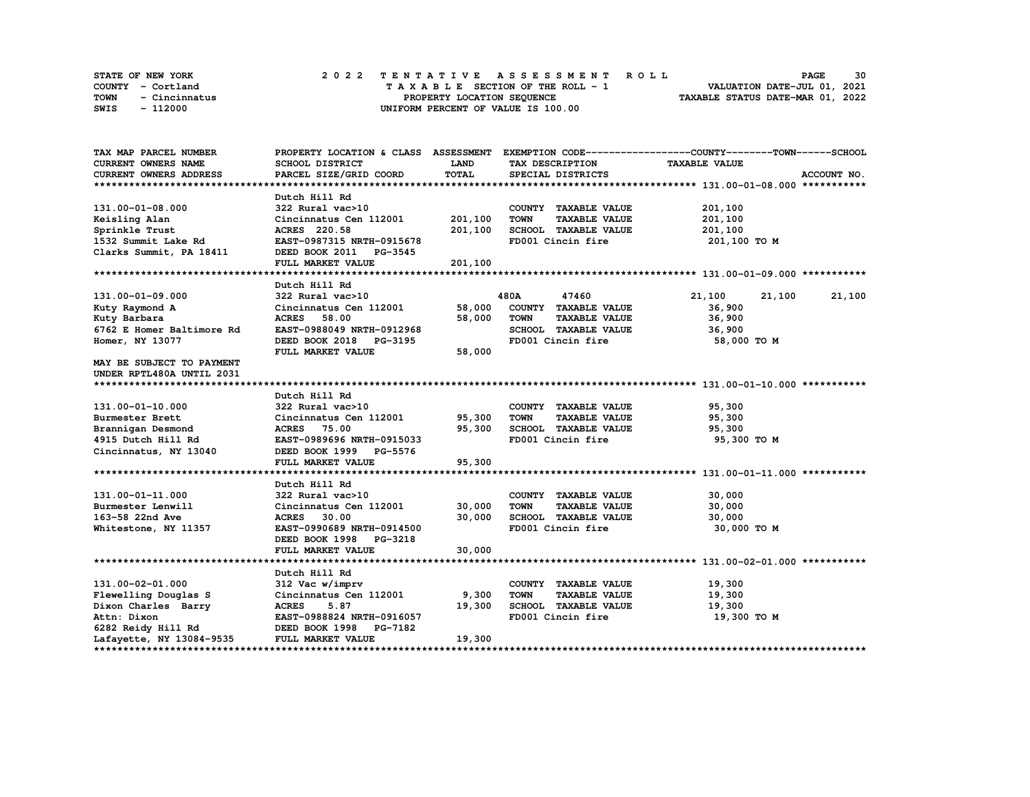|      | STATE OF NEW YORK | 2022 TENTATIVE ASSESSMENT ROLL          | 30<br><b>PAGE</b>                |
|------|-------------------|-----------------------------------------|----------------------------------|
|      | COUNTY - Cortland | $T A X A B L E$ SECTION OF THE ROLL - 1 | VALUATION DATE-JUL 01, 2021      |
| TOWN | - Cincinnatus     | PROPERTY LOCATION SEQUENCE              | TAXABLE STATUS DATE-MAR 01, 2022 |
| SWIS | - 112000          | UNIFORM PERCENT OF VALUE IS 100.00      |                                  |

| TAX MAP PARCEL NUMBER     | PROPERTY LOCATION & CLASS ASSESSMENT EXEMPTION CODE----------------COUNTY-------TOWN------SCHOOL |         |                   |                                              |                      |             |
|---------------------------|--------------------------------------------------------------------------------------------------|---------|-------------------|----------------------------------------------|----------------------|-------------|
| CURRENT OWNERS NAME       | <b>SCHOOL DISTRICT</b>                                                                           | LAND    | TAX DESCRIPTION   |                                              | <b>TAXABLE VALUE</b> |             |
| CURRENT OWNERS ADDRESS    | PARCEL SIZE/GRID COORD                                                                           | TOTAL   | SPECIAL DISTRICTS |                                              |                      | ACCOUNT NO. |
|                           |                                                                                                  |         |                   |                                              |                      |             |
|                           | Dutch Hill Rd                                                                                    |         |                   |                                              |                      |             |
| 131.00-01-08.000          | 322 Rural vac>10                                                                                 |         |                   | COUNTY TAXABLE VALUE                         | 201,100              |             |
| Keisling Alan             | Cincinnatus Cen 112001                                                                           | 201,100 | <b>TOWN</b>       | <b>TAXABLE VALUE</b>                         | 201,100              |             |
| Sprinkle Trust            | ACRES 220.58                                                                                     | 201,100 |                   | SCHOOL TAXABLE VALUE                         | 201,100              |             |
| 1532 Summit Lake Rd       | EAST-0987315 NRTH-0915678                                                                        |         | FD001 Cincin fire |                                              | 201,100 TO M         |             |
| Clarks Summit, PA 18411   | DEED BOOK 2011 PG-3545                                                                           |         |                   |                                              |                      |             |
|                           | FULL MARKET VALUE                                                                                | 201,100 |                   |                                              |                      |             |
|                           |                                                                                                  |         |                   |                                              |                      |             |
|                           | Dutch Hill Rd                                                                                    |         |                   |                                              |                      |             |
| 131.00-01-09.000          | 322 Rural vac>10                                                                                 |         | 480A              | 47460                                        | 21,100<br>21,100     | 21,100      |
| Kuty Raymond A            | Cincinnatus Cen 112001                                                                           | 58,000  |                   | COUNTY TAXABLE VALUE                         | 36,900               |             |
| Kuty Barbara              | <b>ACRES</b><br>58.00                                                                            | 58,000  | <b>TOWN</b>       | <b>TAXABLE VALUE</b>                         | 36,900               |             |
| 6762 E Homer Baltimore Rd | EAST-0988049 NRTH-0912968                                                                        |         |                   | SCHOOL TAXABLE VALUE                         | 36,900               |             |
| Homer, NY 13077           | DEED BOOK 2018 PG-3195                                                                           |         | FD001 Cincin fire |                                              | 58,000 TO M          |             |
|                           | FULL MARKET VALUE                                                                                | 58,000  |                   |                                              |                      |             |
| MAY BE SUBJECT TO PAYMENT |                                                                                                  |         |                   |                                              |                      |             |
| UNDER RPTL480A UNTIL 2031 |                                                                                                  |         |                   |                                              |                      |             |
|                           |                                                                                                  |         |                   |                                              |                      |             |
|                           | Dutch Hill Rd                                                                                    |         |                   |                                              |                      |             |
| 131.00-01-10.000          | 322 Rural vac>10                                                                                 |         |                   | COUNTY TAXABLE VALUE                         | 95,300               |             |
| Burmester Brett           | Cincinnatus Cen 112001                                                                           | 95,300  | <b>TOWN</b>       | <b>TAXABLE VALUE</b>                         | 95,300               |             |
| Brannigan Desmond         | ACRES 75.00                                                                                      | 95,300  |                   | SCHOOL TAXABLE VALUE                         | 95,300               |             |
| 4915 Dutch Hill Rd        | EAST-0989696 NRTH-0915033                                                                        |         |                   | FD001 Cincin fire                            | 95,300 TO M          |             |
| Cincinnatus, NY 13040     | DEED BOOK 1999 PG-5576                                                                           |         |                   |                                              |                      |             |
|                           | FULL MARKET VALUE                                                                                | 95,300  |                   |                                              |                      |             |
|                           |                                                                                                  |         |                   |                                              |                      |             |
|                           | Dutch Hill Rd                                                                                    |         |                   |                                              |                      |             |
| 131.00-01-11.000          | 322 Rural vac>10                                                                                 |         |                   | COUNTY TAXABLE VALUE                         | 30,000               |             |
| Burmester Lenwill         | Cincinnatus Cen 112001                                                                           | 30,000  | <b>TOWN</b>       | <b>TAXABLE VALUE</b>                         | 30,000               |             |
| 163-58 22nd Ave           | <b>ACRES</b> 30.00                                                                               | 30,000  |                   | SCHOOL TAXABLE VALUE                         |                      |             |
|                           |                                                                                                  |         |                   |                                              | 30,000               |             |
| Whitestone, NY 11357      | EAST-0990689 NRTH-0914500<br>DEED BOOK 1998 PG-3218                                              |         | FD001 Cincin fire |                                              | 30,000 TO M          |             |
|                           |                                                                                                  |         |                   |                                              |                      |             |
|                           | FULL MARKET VALUE                                                                                | 30,000  |                   |                                              |                      |             |
|                           |                                                                                                  |         |                   |                                              |                      |             |
|                           | Dutch Hill Rd                                                                                    |         |                   |                                              |                      |             |
| 131.00-02-01.000          | 312 Vac w/imprv                                                                                  | 9,300   | <b>TOWN</b>       | COUNTY TAXABLE VALUE<br><b>TAXABLE VALUE</b> | 19,300               |             |
| Flewelling Douglas S      | Cincinnatus Cen 112001                                                                           |         |                   |                                              | 19,300               |             |
| Dixon Charles Barry       | <b>ACRES</b><br>5.87                                                                             | 19,300  |                   | SCHOOL TAXABLE VALUE                         | 19,300               |             |
| Attn: Dixon               | EAST-0988824 NRTH-0916057                                                                        |         |                   | FD001 Cincin fire                            | 19,300 TO M          |             |
| 6282 Reidy Hill Rd        | DEED BOOK 1998 PG-7182                                                                           |         |                   |                                              |                      |             |
| Lafayette, NY 13084-9535  | FULL MARKET VALUE                                                                                | 19,300  |                   |                                              |                      |             |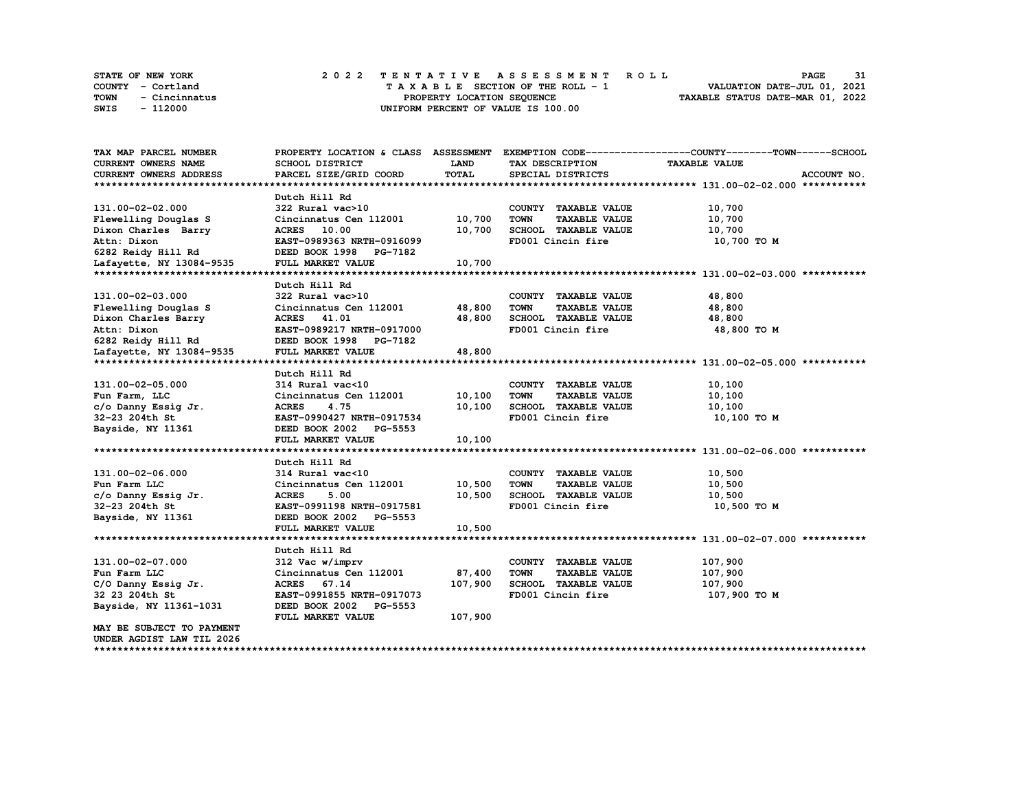|      | <b>STATE OF NEW YORK</b> | 2022 TENTATIVE ASSESSMENT ROLL     | 31<br><b>PAGE</b>                |
|------|--------------------------|------------------------------------|----------------------------------|
|      | COUNTY - Cortland        | TAXABLE SECTION OF THE ROLL - 1    | VALUATION DATE-JUL 01, 2021      |
| TOWN | - Cincinnatus            | PROPERTY LOCATION SEQUENCE         | TAXABLE STATUS DATE-MAR 01, 2022 |
| SWIS | - 112000                 | UNIFORM PERCENT OF VALUE IS 100.00 |                                  |

| TAX MAP PARCEL NUMBER         | PROPERTY LOCATION & CLASS ASSESSMENT |             |                                     | EXEMPTION CODE-----------------COUNTY-------TOWN------SCHOOL |
|-------------------------------|--------------------------------------|-------------|-------------------------------------|--------------------------------------------------------------|
| <b>CURRENT OWNERS NAME</b>    | SCHOOL DISTRICT                      | <b>LAND</b> | TAX DESCRIPTION                     | <b>TAXABLE VALUE</b>                                         |
| <b>CURRENT OWNERS ADDRESS</b> | PARCEL SIZE/GRID COORD               | TOTAL       | SPECIAL DISTRICTS                   | ACCOUNT NO.                                                  |
|                               |                                      |             |                                     |                                                              |
|                               | Dutch Hill Rd                        |             |                                     |                                                              |
| 131.00-02-02.000              | 322 Rural vac>10                     |             | COUNTY TAXABLE VALUE                | 10,700                                                       |
| Flewelling Douglas S          | Cincinnatus Cen 112001 10,700        |             | <b>TOWN</b><br><b>TAXABLE VALUE</b> | 10,700                                                       |
| Dixon Charles Barry           | ACRES 10.00                          | 10,700      | SCHOOL TAXABLE VALUE                | 10,700                                                       |
| Attn: Dixon                   | EAST-0989363 NRTH-0916099            |             | FD001 Cincin fire                   | 10,700 TO M                                                  |
| 6282 Reidy Hill Rd            | DEED BOOK 1998 PG-7182               |             |                                     |                                                              |
| Lafayette, NY 13084-9535      | FULL MARKET VALUE                    | 10,700      |                                     |                                                              |
|                               |                                      |             |                                     |                                                              |
|                               | Dutch Hill Rd                        |             |                                     |                                                              |
| 131.00-02-03.000              | 322 Rural vac>10                     |             | COUNTY TAXABLE VALUE                | 48,800                                                       |
| Flewelling Douglas S          | Cincinnatus Cen 112001               | 48,800      | <b>TOWN</b><br><b>TAXABLE VALUE</b> | 48,800                                                       |
| Dixon Charles Barry           | ACRES 41.01                          | 48,800      | SCHOOL TAXABLE VALUE                | 48,800                                                       |
| Attn: Dixon                   | EAST-0989217 NRTH-0917000            |             | FD001 Cincin fire                   | 48,800 TO M                                                  |
| 6282 Reidy Hill Rd            | DEED BOOK 1998 PG-7182               |             |                                     |                                                              |
| Lafayette, NY 13084-9535      | FULL MARKET VALUE                    | 48,800      |                                     |                                                              |
|                               |                                      |             |                                     |                                                              |
|                               | Dutch Hill Rd                        |             |                                     |                                                              |
| 131.00-02-05.000              | 314 Rural vac<10                     |             | COUNTY TAXABLE VALUE                | 10,100                                                       |
| Fun Farm, LLC                 | Cincinnatus Cen 112001               | 10,100      | <b>TAXABLE VALUE</b><br><b>TOWN</b> | 10,100                                                       |
| c/o Danny Essig Jr.           | <b>ACRES</b><br>4.75                 | 10,100      | SCHOOL TAXABLE VALUE                | 10,100                                                       |
| 32-23 204th St                | EAST-0990427 NRTH-0917534            |             | FD001 Cincin fire                   | 10,100 то м                                                  |
| Bayside, NY 11361             | DEED BOOK 2002 PG-5553               |             |                                     |                                                              |
|                               | FULL MARKET VALUE                    | 10,100      |                                     |                                                              |
|                               |                                      |             |                                     |                                                              |
|                               | Dutch Hill Rd                        |             |                                     |                                                              |
| 131.00-02-06.000              | 314 Rural vac<10                     |             | COUNTY TAXABLE VALUE                | 10,500                                                       |
| Fun Farm LLC                  | Cincinnatus Cen 112001               | 10,500      | <b>TOWN</b><br><b>TAXABLE VALUE</b> | 10,500                                                       |
| c/o Danny Essig Jr.           | <b>ACRES</b><br>5.00                 | 10,500      | SCHOOL TAXABLE VALUE                | 10,500                                                       |
| 32-23 204th St                | EAST-0991198 NRTH-0917581            |             | FD001 Cincin fire                   | 10,500 TO M                                                  |
| Bayside, NY 11361             | DEED BOOK 2002 PG-5553               |             |                                     |                                                              |
|                               | FULL MARKET VALUE                    | 10,500      |                                     |                                                              |
|                               |                                      |             |                                     |                                                              |
|                               | Dutch Hill Rd                        |             |                                     |                                                              |
| 131.00-02-07.000              | 312 Vac w/imprv                      |             | COUNTY TAXABLE VALUE                | 107,900                                                      |
| Fun Farm LLC                  | Cincinnatus Cen 112001               | 87,400      | <b>TOWN</b><br><b>TAXABLE VALUE</b> | 107,900                                                      |
| C/O Danny Essig Jr.           | ACRES 67.14                          | 107,900     | SCHOOL TAXABLE VALUE                | 107,900                                                      |
| 32 23 204th St                | EAST-0991855 NRTH-0917073            |             | FD001 Cincin fire                   | 107,900 то м                                                 |
| Bayside, NY 11361-1031        | DEED BOOK 2002 PG-5553               |             |                                     |                                                              |
|                               | FULL MARKET VALUE                    | 107,900     |                                     |                                                              |
| MAY BE SUBJECT TO PAYMENT     |                                      |             |                                     |                                                              |
| UNDER AGDIST LAW TIL 2026     |                                      |             |                                     |                                                              |
|                               |                                      |             |                                     |                                                              |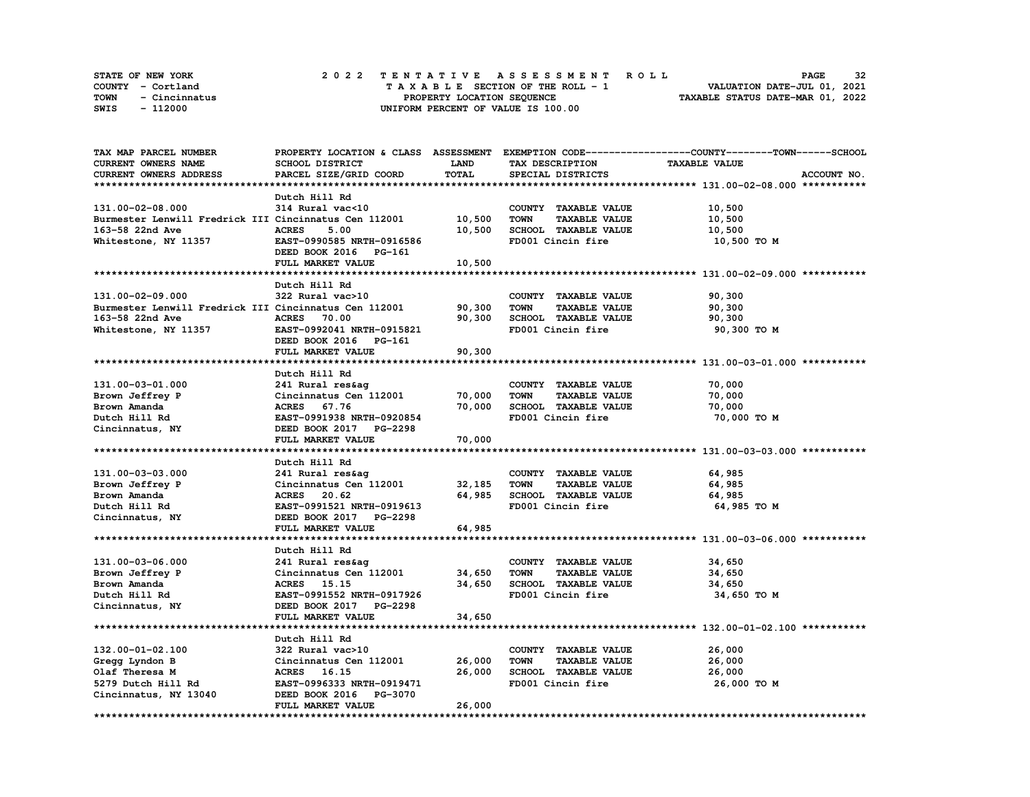| <b>STATE OF NEW YORK</b> |               |  | 2022 TENTATIVE ASSESSMENT ROLL |  |  |  |                                    |  |  |  |  |  |  |                                  | <b>PAGE</b> | 32 |
|--------------------------|---------------|--|--------------------------------|--|--|--|------------------------------------|--|--|--|--|--|--|----------------------------------|-------------|----|
| COUNTY - Cortland        |               |  |                                |  |  |  | TAXABLE SECTION OF THE ROLL - 1    |  |  |  |  |  |  | VALUATION DATE-JUL 01, 2021      |             |    |
| TOWN                     | - Cincinnatus |  |                                |  |  |  | PROPERTY LOCATION SEQUENCE         |  |  |  |  |  |  | TAXABLE STATUS DATE-MAR 01, 2022 |             |    |
| SWIS                     | - 112000      |  |                                |  |  |  | UNIFORM PERCENT OF VALUE IS 100.00 |  |  |  |  |  |  |                                  |             |    |

| TAX MAP PARCEL NUMBER                                 |                           |        |                                     | PROPERTY LOCATION & CLASS ASSESSMENT EXEMPTION CODE----------------COUNTY-------TOWN------SCHOOL |
|-------------------------------------------------------|---------------------------|--------|-------------------------------------|--------------------------------------------------------------------------------------------------|
| CURRENT OWNERS NAME                                   | SCHOOL DISTRICT           | LAND   | TAX DESCRIPTION                     | <b>TAXABLE VALUE</b>                                                                             |
| CURRENT OWNERS ADDRESS                                | PARCEL SIZE/GRID COORD    | TOTAL  | SPECIAL DISTRICTS                   | ACCOUNT NO.                                                                                      |
|                                                       |                           |        |                                     |                                                                                                  |
|                                                       | Dutch Hill Rd             |        |                                     |                                                                                                  |
| 131.00-02-08.000                                      | 314 Rural vac<10          |        | COUNTY TAXABLE VALUE                | 10,500                                                                                           |
| Burmester Lenwill Fredrick III Cincinnatus Cen 112001 |                           | 10,500 | <b>TOWN</b><br><b>TAXABLE VALUE</b> | 10,500                                                                                           |
| 163-58 22nd Ave                                       | <b>ACRES</b><br>5.00      | 10,500 | SCHOOL TAXABLE VALUE                | 10,500                                                                                           |
| Whitestone, NY 11357                                  | EAST-0990585 NRTH-0916586 |        | FD001 Cincin fire                   | 10,500 то м                                                                                      |
|                                                       | DEED BOOK 2016 PG-161     |        |                                     |                                                                                                  |
|                                                       | FULL MARKET VALUE         | 10,500 |                                     |                                                                                                  |
|                                                       |                           |        |                                     |                                                                                                  |
|                                                       |                           |        |                                     |                                                                                                  |
|                                                       | Dutch Hill Rd             |        |                                     |                                                                                                  |
| 131.00-02-09.000                                      | 322 Rural vac>10          |        | COUNTY TAXABLE VALUE                | 90,300                                                                                           |
| Burmester Lenwill Fredrick III Cincinnatus Cen 112001 |                           | 90,300 | <b>TOWN</b><br><b>TAXABLE VALUE</b> | 90,300                                                                                           |
| 163-58 22nd Ave                                       | <b>ACRES</b> 70.00        | 90,300 | SCHOOL TAXABLE VALUE                | 90,300                                                                                           |
| Whitestone, NY 11357                                  | EAST-0992041 NRTH-0915821 |        | FD001 Cincin fire                   | 90,300 TO M                                                                                      |
|                                                       | DEED BOOK 2016 PG-161     |        |                                     |                                                                                                  |
|                                                       | FULL MARKET VALUE         | 90,300 |                                     |                                                                                                  |
|                                                       |                           |        |                                     |                                                                                                  |
|                                                       | Dutch Hill Rd             |        |                                     |                                                                                                  |
| 131.00-03-01.000                                      | 241 Rural res&ag          |        | COUNTY TAXABLE VALUE                | 70,000                                                                                           |
| Brown Jeffrey P                                       | Cincinnatus Cen 112001    | 70,000 | TOWN<br><b>TAXABLE VALUE</b>        | 70,000                                                                                           |
| Brown Amanda                                          | ACRES 67.76               | 70,000 | SCHOOL TAXABLE VALUE                | 70,000                                                                                           |
| Dutch Hill Rd                                         | EAST-0991938 NRTH-0920854 |        | FD001 Cincin fire                   | 70,000 TO M                                                                                      |
| Cincinnatus, NY                                       | DEED BOOK 2017 PG-2298    |        |                                     |                                                                                                  |
|                                                       | FULL MARKET VALUE         | 70,000 |                                     |                                                                                                  |
|                                                       |                           |        |                                     |                                                                                                  |
|                                                       | Dutch Hill Rd             |        |                                     |                                                                                                  |
| 131.00-03-03.000                                      | 241 Rural res&aq          |        | COUNTY TAXABLE VALUE                | 64,985                                                                                           |
| Brown Jeffrey P                                       | Cincinnatus Cen 112001    | 32,185 | <b>TOWN</b><br><b>TAXABLE VALUE</b> | 64,985                                                                                           |
| Brown Amanda                                          | ACRES 20.62               | 64,985 | SCHOOL TAXABLE VALUE                | 64,985                                                                                           |
| Dutch Hill Rd                                         | EAST-0991521 NRTH-0919613 |        | FD001 Cincin fire                   | 64,985 TO M                                                                                      |
| Cincinnatus, NY                                       | DEED BOOK 2017 PG-2298    |        |                                     |                                                                                                  |
|                                                       | FULL MARKET VALUE         | 64,985 |                                     |                                                                                                  |
|                                                       |                           |        |                                     |                                                                                                  |
|                                                       |                           |        |                                     |                                                                                                  |
|                                                       | Dutch Hill Rd             |        |                                     |                                                                                                  |
| 131.00-03-06.000                                      | 241 Rural res&ag          |        | COUNTY TAXABLE VALUE                | 34,650                                                                                           |
| Brown Jeffrey P                                       | Cincinnatus Cen 112001    | 34,650 | TOWN<br><b>TAXABLE VALUE</b>        | 34,650                                                                                           |
| Brown Amanda                                          | ACRES 15.15               | 34,650 | SCHOOL TAXABLE VALUE                | 34,650                                                                                           |
| Dutch Hill Rd                                         | EAST-0991552 NRTH-0917926 |        | FD001 Cincin fire                   | 34,650 TO M                                                                                      |
| Cincinnatus, NY                                       | DEED BOOK 2017 PG-2298    |        |                                     |                                                                                                  |
|                                                       | FULL MARKET VALUE         | 34,650 |                                     |                                                                                                  |
|                                                       |                           |        |                                     |                                                                                                  |
|                                                       | Dutch Hill Rd             |        |                                     |                                                                                                  |
| 132.00-01-02.100                                      | 322 Rural vac>10          |        | COUNTY TAXABLE VALUE                | 26,000                                                                                           |
| Gregg Lyndon B                                        | Cincinnatus Cen 112001    | 26,000 | <b>TOWN</b><br><b>TAXABLE VALUE</b> | 26,000                                                                                           |
| Olaf Theresa M                                        | ACRES 16.15               | 26,000 | SCHOOL TAXABLE VALUE                | 26,000                                                                                           |
| 5279 Dutch Hill Rd                                    | EAST-0996333 NRTH-0919471 |        | FD001 Cincin fire                   | 26,000 TO M                                                                                      |
| Cincinnatus, NY 13040                                 | DEED BOOK 2016 PG-3070    |        |                                     |                                                                                                  |
|                                                       | FULL MARKET VALUE         | 26,000 |                                     |                                                                                                  |
|                                                       |                           |        |                                     |                                                                                                  |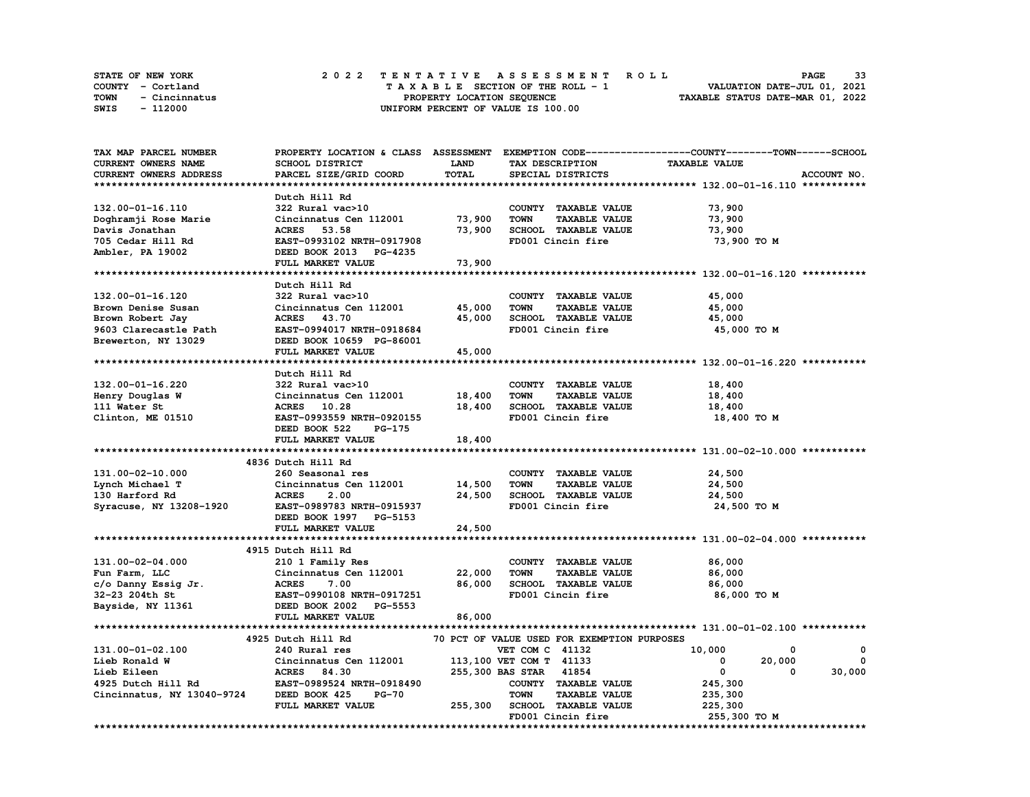|      | <b>STATE OF NEW YORK</b> |  | 2022 TENTATIVE ASSESSMENT ROLL |  |  |  |                                    |  |  |  |  |  |  |                                  | <b>PAGE</b> | 33 |
|------|--------------------------|--|--------------------------------|--|--|--|------------------------------------|--|--|--|--|--|--|----------------------------------|-------------|----|
|      | COUNTY - Cortland        |  |                                |  |  |  | TAXABLE SECTION OF THE ROLL - 1    |  |  |  |  |  |  | VALUATION DATE-JUL 01, 2021      |             |    |
| TOWN | - Cincinnatus            |  |                                |  |  |  | PROPERTY LOCATION SEQUENCE         |  |  |  |  |  |  | TAXABLE STATUS DATE-MAR 01, 2022 |             |    |
| SWIS | - 112000                 |  |                                |  |  |  | UNIFORM PERCENT OF VALUE IS 100.00 |  |  |  |  |  |  |                                  |             |    |

| TAX MAP PARCEL NUMBER      |                                      |         |                                             | PROPERTY LOCATION & CLASS ASSESSMENT EXEMPTION CODE----------------COUNTY-------TOWN-----SCHOOL |
|----------------------------|--------------------------------------|---------|---------------------------------------------|-------------------------------------------------------------------------------------------------|
| CURRENT OWNERS NAME        | SCHOOL DISTRICT                      | LAND    | TAX DESCRIPTION                             | <b>TAXABLE VALUE</b>                                                                            |
| CURRENT OWNERS ADDRESS     | PARCEL SIZE/GRID COORD               | TOTAL   | SPECIAL DISTRICTS                           | ACCOUNT NO.                                                                                     |
|                            |                                      |         |                                             |                                                                                                 |
|                            | Dutch Hill Rd                        |         |                                             |                                                                                                 |
| 132.00-01-16.110           | 322 Rural vac>10                     |         | COUNTY TAXABLE VALUE                        | 73,900                                                                                          |
| Doghramji Rose Marie       | Cincinnatus Cen 112001               | 73,900  | <b>TAXABLE VALUE</b><br><b>TOWN</b>         | 73,900                                                                                          |
| Davis Jonathan             | ACRES 53.58                          | 73,900  | SCHOOL TAXABLE VALUE                        | 73,900                                                                                          |
| 705 Cedar Hill Rd          | EAST-0993102 NRTH-0917908            |         | FD001 Cincin fire                           | 73,900 TO M                                                                                     |
|                            | DEED BOOK 2013 PG-4235               |         |                                             |                                                                                                 |
| Ambler, PA 19002           |                                      |         |                                             |                                                                                                 |
|                            | FULL MARKET VALUE                    | 73,900  |                                             |                                                                                                 |
|                            |                                      |         |                                             |                                                                                                 |
|                            | Dutch Hill Rd                        |         |                                             |                                                                                                 |
| 132.00-01-16.120           | 322 Rural vac>10                     |         | COUNTY TAXABLE VALUE                        | 45,000                                                                                          |
| Brown Denise Susan         | Cincinnatus Cen 112001               | 45,000  | TOWN<br><b>TAXABLE VALUE</b>                | 45,000                                                                                          |
| Brown Robert Jay           | ACRES 43.70                          | 45,000  | SCHOOL TAXABLE VALUE                        | 45,000                                                                                          |
| 9603 Clarecastle Path      | EAST-0994017 NRTH-0918684            |         | FD001 Cincin fire                           | 45,000 TO M                                                                                     |
| Brewerton, NY 13029        | DEED BOOK 10659 PG-86001             |         |                                             |                                                                                                 |
|                            | FULL MARKET VALUE                    | 45,000  |                                             |                                                                                                 |
|                            |                                      |         |                                             |                                                                                                 |
|                            | Dutch Hill Rd                        |         |                                             |                                                                                                 |
| 132.00-01-16.220           | 322 Rural vac>10                     |         | COUNTY TAXABLE VALUE                        | 18,400                                                                                          |
| Henry Douglas W            | Cincinnatus Cen 112001               | 18,400  | <b>TOWN</b><br><b>TAXABLE VALUE</b>         | 18,400                                                                                          |
| 111 Water St               | ACRES 10.28                          | 18,400  | SCHOOL TAXABLE VALUE                        | 18,400                                                                                          |
| Clinton, ME 01510          | EAST-0993559 NRTH-0920155            |         | FD001 Cincin fire                           | 18,400 TO M                                                                                     |
|                            | DEED BOOK 522<br>PG-175              |         |                                             |                                                                                                 |
|                            | FULL MARKET VALUE                    | 18,400  |                                             |                                                                                                 |
|                            |                                      |         |                                             |                                                                                                 |
|                            | 4836 Dutch Hill Rd                   |         |                                             |                                                                                                 |
|                            |                                      |         |                                             |                                                                                                 |
| 131.00-02-10.000           | 260 Seasonal res                     |         | COUNTY TAXABLE VALUE                        | 24,500                                                                                          |
| Lynch Michael T            | Cincinnatus Cen 112001               | 14,500  | <b>TOWN</b><br><b>TAXABLE VALUE</b>         | 24,500                                                                                          |
| 130 Harford Rd             | <b>ACRES</b><br>2.00                 | 24,500  | SCHOOL TAXABLE VALUE                        | 24,500                                                                                          |
| Syracuse, NY 13208-1920    | EAST-0989783 NRTH-0915937            |         | FD001 Cincin fire                           | 24,500 TO M                                                                                     |
|                            | DEED BOOK 1997 PG-5153               |         |                                             |                                                                                                 |
|                            | FULL MARKET VALUE                    | 24,500  |                                             |                                                                                                 |
|                            |                                      |         |                                             |                                                                                                 |
|                            | 4915 Dutch Hill Rd                   |         |                                             |                                                                                                 |
| 131.00-02-04.000           | 210 1 Family Res                     |         | COUNTY TAXABLE VALUE                        | 86,000                                                                                          |
| Fun Farm, LLC              | Cincinnatus Cen 112001               | 22,000  | <b>TOWN</b><br><b>TAXABLE VALUE</b>         | 86,000                                                                                          |
| c/o Danny Essig Jr.        | <b>ACRES</b><br>7.00                 | 86,000  | SCHOOL TAXABLE VALUE                        | 86,000                                                                                          |
| 32-23 204th St             | EAST-0990108 NRTH-0917251            |         | FD001 Cincin fire                           | 86,000 TO M                                                                                     |
| Bayside, NY 11361          | DEED BOOK 2002 PG-5553               |         |                                             |                                                                                                 |
|                            | FULL MARKET VALUE                    | 86,000  |                                             |                                                                                                 |
|                            |                                      |         |                                             |                                                                                                 |
|                            | 4925 Dutch Hill Rd                   |         | 70 PCT OF VALUE USED FOR EXEMPTION PURPOSES |                                                                                                 |
| 131.00-01-02.100           | 240 Rural res                        |         | VET COM C 41132                             | 10,000<br>0<br>0                                                                                |
| Lieb Ronald W              | Cincinnatus Cen 112001               |         | 113,100 VET COM T 41133                     | 20,000<br>$^{\circ}$<br>$^{\circ}$                                                              |
| Lieb Eileen                | <b>ACRES</b><br>84.30                |         | 255,300 BAS STAR 41854                      | $\overline{\mathbf{0}}$<br>30,000<br>0                                                          |
|                            |                                      |         |                                             |                                                                                                 |
| 4925 Dutch Hill Rd         | EAST-0989524 NRTH-0918490<br>$PG-70$ |         | COUNTY TAXABLE VALUE                        | 245,300                                                                                         |
| Cincinnatus, NY 13040-9724 | DEED BOOK 425                        |         | <b>TOWN</b><br><b>TAXABLE VALUE</b>         | 235,300                                                                                         |
|                            | FULL MARKET VALUE                    | 255,300 | SCHOOL TAXABLE VALUE                        | 225,300                                                                                         |
|                            |                                      |         | FD001 Cincin fire                           | 255,300 TO M                                                                                    |
|                            |                                      |         |                                             |                                                                                                 |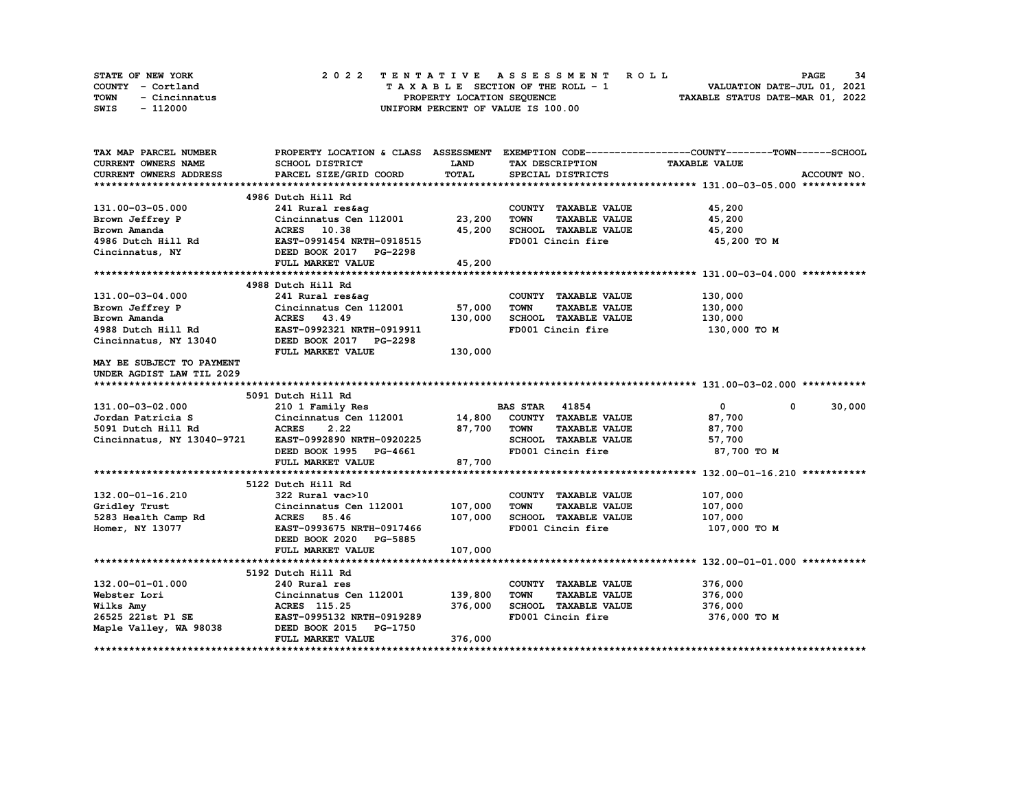|      | STATE OF NEW YORK | 2022 TENTATIVE ASSESSMENT ROLL     | 34<br><b>PAGE</b>                |
|------|-------------------|------------------------------------|----------------------------------|
|      | COUNTY - Cortland | TAXABLE SECTION OF THE ROLL - 1    | VALUATION DATE-JUL 01, 2021      |
| TOWN | - Cincinnatus     | PROPERTY LOCATION SEQUENCE         | TAXABLE STATUS DATE-MAR 01, 2022 |
| SWIS | - 112000          | UNIFORM PERCENT OF VALUE IS 100.00 |                                  |

| TAX MAP PARCEL NUMBER                                       |                                                              |             |                                     | PROPERTY LOCATION & CLASS ASSESSMENT EXEMPTION CODE----------------COUNTY-------TOWN-----SCHOOL |
|-------------------------------------------------------------|--------------------------------------------------------------|-------------|-------------------------------------|-------------------------------------------------------------------------------------------------|
| <b>CURRENT OWNERS NAME</b>                                  | <b>SCHOOL DISTRICT</b>                                       | <b>LAND</b> | TAX DESCRIPTION                     | <b>TAXABLE VALUE</b>                                                                            |
| <b>CURRENT OWNERS ADDRESS</b>                               | PARCEL SIZE/GRID COORD                                       | TOTAL       | SPECIAL DISTRICTS                   | ACCOUNT NO.                                                                                     |
|                                                             |                                                              |             |                                     |                                                                                                 |
|                                                             | 4986 Dutch Hill Rd                                           |             |                                     |                                                                                                 |
| 131.00-03-05.000                                            | 241 Rural res&aq                                             |             | COUNTY TAXABLE VALUE                | 45,200                                                                                          |
| Brown Jeffrey P                                             | Cincinnatus Cen $112001$ 23,200                              |             | <b>TOWN</b><br><b>TAXABLE VALUE</b> | 45,200                                                                                          |
| Brown Amanda                                                | ACRES 10.38                                                  | 45,200      | SCHOOL TAXABLE VALUE                | 45,200                                                                                          |
| 4986 Dutch Hill Rd                                          | EAST-0991454 NRTH-0918515                                    |             | FD001 Cincin fire                   | 45,200 TO M                                                                                     |
| Cincinnatus, NY                                             | DEED BOOK 2017 PG-2298                                       |             |                                     |                                                                                                 |
|                                                             | FULL MARKET VALUE                                            | 45,200      |                                     |                                                                                                 |
|                                                             |                                                              |             |                                     |                                                                                                 |
|                                                             | 4988 Dutch Hill Rd                                           |             |                                     |                                                                                                 |
| 131.00-03-04.000                                            | 241 Rural res&ag                                             |             | COUNTY TAXABLE VALUE                | 130,000                                                                                         |
| Brown Jeffrey P                                             | 241 Rural res&ag<br>Cincinnatus Cen 112001            57,000 |             | <b>TOWN</b><br><b>TAXABLE VALUE</b> | 130,000                                                                                         |
|                                                             | ACRES 43.49                                                  | 130,000     | SCHOOL TAXABLE VALUE                | 130,000                                                                                         |
|                                                             | EAST-0992321 NRTH-0919911                                    |             | FD001 Cincin fire                   | 130,000 TO M                                                                                    |
| Brown Amanda<br>4988 Dutch Hill Rd<br>Cincinnatus, NY 13040 | DEED BOOK 2017 PG-2298                                       |             |                                     |                                                                                                 |
|                                                             | FULL MARKET VALUE                                            | 130,000     |                                     |                                                                                                 |
| MAY BE SUBJECT TO PAYMENT                                   |                                                              |             |                                     |                                                                                                 |
| UNDER AGDIST LAW TIL 2029                                   |                                                              |             |                                     |                                                                                                 |
|                                                             |                                                              |             |                                     |                                                                                                 |
|                                                             | 5091 Dutch Hill Rd                                           |             |                                     |                                                                                                 |
| 131.00-03-02.000                                            | 210 1 Family Res                                             |             | <b>BAS STAR 41854</b>               | $\bullet$<br>$^{\circ}$<br>30,000                                                               |
| Jordan Patricia S                                           | Cincinnatus Cen 112001 14,800 COUNTY TAXABLE VALUE           |             |                                     | 87,700                                                                                          |
| 5091 Dutch Hill Rd                                          | <b>ACRES</b><br>2.22                                         | 87,700      | TOWN<br><b>TAXABLE VALUE</b>        | 87,700                                                                                          |
| Cincinnatus, NY 13040-9721                                  | EAST-0992890 NRTH-0920225                                    |             | SCHOOL TAXABLE VALUE                | 57,700                                                                                          |
|                                                             | DEED BOOK 1995 PG-4661                                       |             | FD001 Cincin fire                   | 87,700 TO M                                                                                     |
|                                                             | FULL MARKET VALUE                                            | 87,700      |                                     |                                                                                                 |
|                                                             |                                                              |             |                                     |                                                                                                 |
|                                                             | 5122 Dutch Hill Rd                                           |             |                                     |                                                                                                 |
| 132.00-01-16.210                                            | 322 Rural vac>10                                             |             | COUNTY TAXABLE VALUE                | 107,000                                                                                         |
| Gridley Trust                                               | Cincinnatus Cen 112001                                       | 107,000     | <b>TOWN</b><br><b>TAXABLE VALUE</b> | 107,000                                                                                         |
|                                                             | ACRES 85.46                                                  | 107,000     | SCHOOL TAXABLE VALUE                | 107,000                                                                                         |
| 5283 Health Camp Rd<br>Homer NY 13077<br>Homer, NY 13077    | EAST-0993675 NRTH-0917466                                    |             | FD001 Cincin fire                   | 107,000 TO M                                                                                    |
|                                                             | DEED BOOK 2020<br><b>PG-5885</b>                             |             |                                     |                                                                                                 |
|                                                             | FULL MARKET VALUE                                            | 107,000     |                                     |                                                                                                 |
|                                                             |                                                              |             |                                     |                                                                                                 |
|                                                             | 5192 Dutch Hill Rd                                           |             |                                     |                                                                                                 |
| 132.00-01-01.000                                            | 240 Rural res                                                |             | COUNTY TAXABLE VALUE                | 376,000                                                                                         |
| Webster Lori                                                | Cincinnatus Cen 112001                                       | 139,800     | <b>TOWN</b><br><b>TAXABLE VALUE</b> | 376,000                                                                                         |
| <b>Wilks Amy</b>                                            | ACRES 115.25                                                 | 376,000     | SCHOOL TAXABLE VALUE                | 376,000                                                                                         |
| 26525 221st Pl SE                                           | EAST-0995132 NRTH-0919289                                    |             | FD001 Cincin fire                   | 376,000 то м                                                                                    |
| Maple Valley, WA 98038                                      | DEED BOOK 2015 PG-1750                                       |             |                                     |                                                                                                 |
|                                                             | FULL MARKET VALUE                                            | 376,000     |                                     |                                                                                                 |
|                                                             |                                                              |             |                                     |                                                                                                 |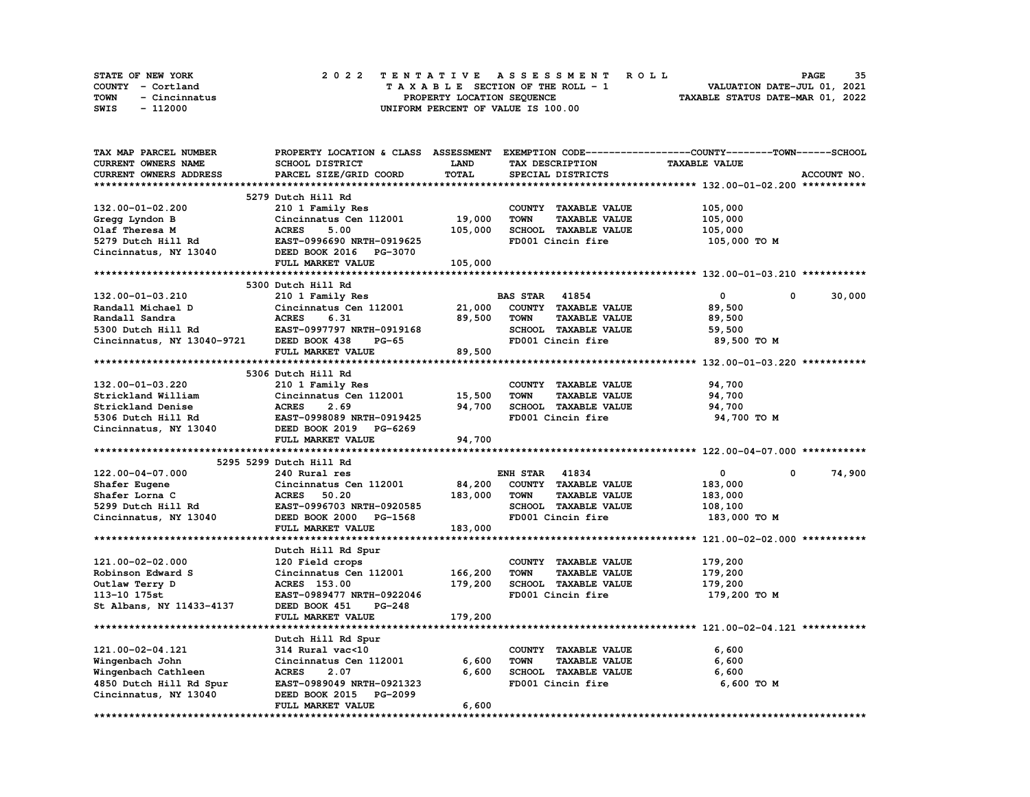| <b>STATE OF NEW YORK</b> | 2022 TENTATIVE ASSESSMENT ROLL     | 35<br><b>PAGE</b>                |
|--------------------------|------------------------------------|----------------------------------|
| COUNTY - Cortland        | TAXABLE SECTION OF THE ROLL - 1    | VALUATION DATE-JUL 01, 2021      |
| TOWN<br>- Cincinnatus    | PROPERTY LOCATION SEOUENCE         | TAXABLE STATUS DATE-MAR 01, 2022 |
| SWIS<br>- 112000         | UNIFORM PERCENT OF VALUE IS 100.00 |                                  |

| <b>CURRENT OWNERS NAME</b><br><b>TAXABLE VALUE</b><br>SCHOOL DISTRICT<br><b>LAND</b><br>TAX DESCRIPTION<br>TOTAL<br>CURRENT OWNERS ADDRESS<br>PARCEL SIZE/GRID COORD<br>SPECIAL DISTRICTS<br>ACCOUNT NO.<br>5279 Dutch Hill Rd<br>132.00-01-02.200<br>210 1 Family Res<br>COUNTY TAXABLE VALUE<br>105,000<br>Cincinnatus Cen 112001<br>19,000<br><b>TOWN</b><br><b>TAXABLE VALUE</b><br>105,000<br>Gregg Lyndon B<br>5.00<br>105,000<br>Olaf Theresa M<br><b>ACRES</b><br>SCHOOL TAXABLE VALUE<br>105,000<br>5279 Dutch Hill Rd<br>EAST-0996690 NRTH-0919625<br>FD001 Cincin fire<br>105,000 TO M<br>Cincinnatus, NY 13040<br>DEED BOOK 2016 PG-3070<br>FULL MARKET VALUE<br>105,000<br>5300 Dutch Hill Rd<br>210 1 Family Res<br><b>BAS STAR 41854</b><br>0<br>30,000<br>132.00-01-03.210<br>0<br>Randall Michael D<br>Cincinnatus Cen 112001<br>21,000<br>COUNTY TAXABLE VALUE<br>89,500<br>89,500<br>Randall Sandra<br><b>ACRES</b><br>6.31<br><b>TOWN</b><br><b>TAXABLE VALUE</b><br>89,500<br>5300 Dutch Hill Rd<br>EAST-0997797 NRTH-0919168<br>SCHOOL TAXABLE VALUE<br>59,500<br>Cincinnatus, NY 13040-9721<br>FD001 Cincin fire<br>89,500 TO M<br>DEED BOOK 438<br><b>PG-65</b><br>89,500<br>FULL MARKET VALUE<br>5306 Dutch Hill Rd<br>132.00-01-03.220<br>210 1 Family Res<br>COUNTY TAXABLE VALUE<br>94,700<br>Strickland William<br>Cincinnatus Cen 112001<br>15,500<br><b>TOWN</b><br><b>TAXABLE VALUE</b><br>94,700<br>94,700<br>SCHOOL TAXABLE VALUE<br>Strickland Denise<br><b>ACRES</b><br>2.69<br>94,700<br>5306 Dutch Hill Rd<br>EAST-0998089 NRTH-0919425<br>FD001 Cincin fire<br>94,700 TO M<br>Cincinnatus, NY 13040<br>DEED BOOK 2019 PG-6269<br>FULL MARKET VALUE<br>94,700<br>5295 5299 Dutch Hill Rd<br>74,900<br>122.00-04-07.000<br><b>ENH STAR 41834</b><br>$\mathbf{0}$<br>240 Rural res<br>$\mathbf 0$<br>84,200<br>Cincinnatus Cen 112001<br>COUNTY TAXABLE VALUE<br>183,000<br>Shafer Eugene<br>183,000<br>Shafer Lorna C<br><b>ACRES</b><br>50.20<br><b>TOWN</b><br><b>TAXABLE VALUE</b><br>183,000<br>SCHOOL TAXABLE VALUE<br>5299 Dutch Hill Rd<br>EAST-0996703 NRTH-0920585<br>108,100<br>FD001 Cincin fire<br>DEED BOOK 2000<br>183,000 TO M<br>Cincinnatus, NY 13040<br>PG-1568<br>183,000<br>FULL MARKET VALUE<br>Dutch Hill Rd Spur<br>179,200<br>121.00-02-02.000<br>COUNTY TAXABLE VALUE<br>120 Field crops<br>Cincinnatus Cen 112001<br>166,200<br><b>TOWN</b><br><b>TAXABLE VALUE</b><br>179,200<br>Robinson Edward S<br>179,200<br>Outlaw Terry D<br><b>ACRES</b> 153.00<br>SCHOOL TAXABLE VALUE<br>179,200<br>FD001 Cincin fire<br>113-10 175st<br>EAST-0989477 NRTH-0922046<br>179,200 TO M<br>St Albans, NY 11433-4137<br>DEED BOOK 451<br>PG-248<br>FULL MARKET VALUE<br>179,200<br>Dutch Hill Rd Spur<br>121.00-02-04.121<br>314 Rural vac<10<br>COUNTY TAXABLE VALUE<br>6,600<br>6,600<br>6,600<br>Wingenbach John<br>Cincinnatus Cen 112001<br><b>TOWN</b><br><b>TAXABLE VALUE</b><br>6,600<br>Wingenbach Cathleen<br><b>ACRES</b><br>2.07<br>SCHOOL TAXABLE VALUE<br>6,600<br>4850 Dutch Hill Rd Spur<br>6,600 TO M<br>EAST-0989049 NRTH-0921323<br>FD001 Cincin fire<br>Cincinnatus, NY 13040<br>DEED BOOK 2015 PG-2099<br>6,600<br>FULL MARKET VALUE | TAX MAP PARCEL NUMBER |  | PROPERTY LOCATION & CLASS ASSESSMENT EXEMPTION CODE-----------------COUNTY-------TOWN------SCHOOL |
|--------------------------------------------------------------------------------------------------------------------------------------------------------------------------------------------------------------------------------------------------------------------------------------------------------------------------------------------------------------------------------------------------------------------------------------------------------------------------------------------------------------------------------------------------------------------------------------------------------------------------------------------------------------------------------------------------------------------------------------------------------------------------------------------------------------------------------------------------------------------------------------------------------------------------------------------------------------------------------------------------------------------------------------------------------------------------------------------------------------------------------------------------------------------------------------------------------------------------------------------------------------------------------------------------------------------------------------------------------------------------------------------------------------------------------------------------------------------------------------------------------------------------------------------------------------------------------------------------------------------------------------------------------------------------------------------------------------------------------------------------------------------------------------------------------------------------------------------------------------------------------------------------------------------------------------------------------------------------------------------------------------------------------------------------------------------------------------------------------------------------------------------------------------------------------------------------------------------------------------------------------------------------------------------------------------------------------------------------------------------------------------------------------------------------------------------------------------------------------------------------------------------------------------------------------------------------------------------------------------------------------------------------------------------------------------------------------------------------------------------------------------------------------------------------------------------------------------------------------------------------------------------------------------------------------------------------------------------------------------------------------------------------------------------------------------------------------------------------------------------------------------------------------------------------------------------------------------|-----------------------|--|---------------------------------------------------------------------------------------------------|
|                                                                                                                                                                                                                                                                                                                                                                                                                                                                                                                                                                                                                                                                                                                                                                                                                                                                                                                                                                                                                                                                                                                                                                                                                                                                                                                                                                                                                                                                                                                                                                                                                                                                                                                                                                                                                                                                                                                                                                                                                                                                                                                                                                                                                                                                                                                                                                                                                                                                                                                                                                                                                                                                                                                                                                                                                                                                                                                                                                                                                                                                                                                                                                                                              |                       |  |                                                                                                   |
|                                                                                                                                                                                                                                                                                                                                                                                                                                                                                                                                                                                                                                                                                                                                                                                                                                                                                                                                                                                                                                                                                                                                                                                                                                                                                                                                                                                                                                                                                                                                                                                                                                                                                                                                                                                                                                                                                                                                                                                                                                                                                                                                                                                                                                                                                                                                                                                                                                                                                                                                                                                                                                                                                                                                                                                                                                                                                                                                                                                                                                                                                                                                                                                                              |                       |  |                                                                                                   |
|                                                                                                                                                                                                                                                                                                                                                                                                                                                                                                                                                                                                                                                                                                                                                                                                                                                                                                                                                                                                                                                                                                                                                                                                                                                                                                                                                                                                                                                                                                                                                                                                                                                                                                                                                                                                                                                                                                                                                                                                                                                                                                                                                                                                                                                                                                                                                                                                                                                                                                                                                                                                                                                                                                                                                                                                                                                                                                                                                                                                                                                                                                                                                                                                              |                       |  |                                                                                                   |
|                                                                                                                                                                                                                                                                                                                                                                                                                                                                                                                                                                                                                                                                                                                                                                                                                                                                                                                                                                                                                                                                                                                                                                                                                                                                                                                                                                                                                                                                                                                                                                                                                                                                                                                                                                                                                                                                                                                                                                                                                                                                                                                                                                                                                                                                                                                                                                                                                                                                                                                                                                                                                                                                                                                                                                                                                                                                                                                                                                                                                                                                                                                                                                                                              |                       |  |                                                                                                   |
|                                                                                                                                                                                                                                                                                                                                                                                                                                                                                                                                                                                                                                                                                                                                                                                                                                                                                                                                                                                                                                                                                                                                                                                                                                                                                                                                                                                                                                                                                                                                                                                                                                                                                                                                                                                                                                                                                                                                                                                                                                                                                                                                                                                                                                                                                                                                                                                                                                                                                                                                                                                                                                                                                                                                                                                                                                                                                                                                                                                                                                                                                                                                                                                                              |                       |  |                                                                                                   |
|                                                                                                                                                                                                                                                                                                                                                                                                                                                                                                                                                                                                                                                                                                                                                                                                                                                                                                                                                                                                                                                                                                                                                                                                                                                                                                                                                                                                                                                                                                                                                                                                                                                                                                                                                                                                                                                                                                                                                                                                                                                                                                                                                                                                                                                                                                                                                                                                                                                                                                                                                                                                                                                                                                                                                                                                                                                                                                                                                                                                                                                                                                                                                                                                              |                       |  |                                                                                                   |
|                                                                                                                                                                                                                                                                                                                                                                                                                                                                                                                                                                                                                                                                                                                                                                                                                                                                                                                                                                                                                                                                                                                                                                                                                                                                                                                                                                                                                                                                                                                                                                                                                                                                                                                                                                                                                                                                                                                                                                                                                                                                                                                                                                                                                                                                                                                                                                                                                                                                                                                                                                                                                                                                                                                                                                                                                                                                                                                                                                                                                                                                                                                                                                                                              |                       |  |                                                                                                   |
|                                                                                                                                                                                                                                                                                                                                                                                                                                                                                                                                                                                                                                                                                                                                                                                                                                                                                                                                                                                                                                                                                                                                                                                                                                                                                                                                                                                                                                                                                                                                                                                                                                                                                                                                                                                                                                                                                                                                                                                                                                                                                                                                                                                                                                                                                                                                                                                                                                                                                                                                                                                                                                                                                                                                                                                                                                                                                                                                                                                                                                                                                                                                                                                                              |                       |  |                                                                                                   |
|                                                                                                                                                                                                                                                                                                                                                                                                                                                                                                                                                                                                                                                                                                                                                                                                                                                                                                                                                                                                                                                                                                                                                                                                                                                                                                                                                                                                                                                                                                                                                                                                                                                                                                                                                                                                                                                                                                                                                                                                                                                                                                                                                                                                                                                                                                                                                                                                                                                                                                                                                                                                                                                                                                                                                                                                                                                                                                                                                                                                                                                                                                                                                                                                              |                       |  |                                                                                                   |
|                                                                                                                                                                                                                                                                                                                                                                                                                                                                                                                                                                                                                                                                                                                                                                                                                                                                                                                                                                                                                                                                                                                                                                                                                                                                                                                                                                                                                                                                                                                                                                                                                                                                                                                                                                                                                                                                                                                                                                                                                                                                                                                                                                                                                                                                                                                                                                                                                                                                                                                                                                                                                                                                                                                                                                                                                                                                                                                                                                                                                                                                                                                                                                                                              |                       |  |                                                                                                   |
|                                                                                                                                                                                                                                                                                                                                                                                                                                                                                                                                                                                                                                                                                                                                                                                                                                                                                                                                                                                                                                                                                                                                                                                                                                                                                                                                                                                                                                                                                                                                                                                                                                                                                                                                                                                                                                                                                                                                                                                                                                                                                                                                                                                                                                                                                                                                                                                                                                                                                                                                                                                                                                                                                                                                                                                                                                                                                                                                                                                                                                                                                                                                                                                                              |                       |  |                                                                                                   |
|                                                                                                                                                                                                                                                                                                                                                                                                                                                                                                                                                                                                                                                                                                                                                                                                                                                                                                                                                                                                                                                                                                                                                                                                                                                                                                                                                                                                                                                                                                                                                                                                                                                                                                                                                                                                                                                                                                                                                                                                                                                                                                                                                                                                                                                                                                                                                                                                                                                                                                                                                                                                                                                                                                                                                                                                                                                                                                                                                                                                                                                                                                                                                                                                              |                       |  |                                                                                                   |
|                                                                                                                                                                                                                                                                                                                                                                                                                                                                                                                                                                                                                                                                                                                                                                                                                                                                                                                                                                                                                                                                                                                                                                                                                                                                                                                                                                                                                                                                                                                                                                                                                                                                                                                                                                                                                                                                                                                                                                                                                                                                                                                                                                                                                                                                                                                                                                                                                                                                                                                                                                                                                                                                                                                                                                                                                                                                                                                                                                                                                                                                                                                                                                                                              |                       |  |                                                                                                   |
|                                                                                                                                                                                                                                                                                                                                                                                                                                                                                                                                                                                                                                                                                                                                                                                                                                                                                                                                                                                                                                                                                                                                                                                                                                                                                                                                                                                                                                                                                                                                                                                                                                                                                                                                                                                                                                                                                                                                                                                                                                                                                                                                                                                                                                                                                                                                                                                                                                                                                                                                                                                                                                                                                                                                                                                                                                                                                                                                                                                                                                                                                                                                                                                                              |                       |  |                                                                                                   |
|                                                                                                                                                                                                                                                                                                                                                                                                                                                                                                                                                                                                                                                                                                                                                                                                                                                                                                                                                                                                                                                                                                                                                                                                                                                                                                                                                                                                                                                                                                                                                                                                                                                                                                                                                                                                                                                                                                                                                                                                                                                                                                                                                                                                                                                                                                                                                                                                                                                                                                                                                                                                                                                                                                                                                                                                                                                                                                                                                                                                                                                                                                                                                                                                              |                       |  |                                                                                                   |
|                                                                                                                                                                                                                                                                                                                                                                                                                                                                                                                                                                                                                                                                                                                                                                                                                                                                                                                                                                                                                                                                                                                                                                                                                                                                                                                                                                                                                                                                                                                                                                                                                                                                                                                                                                                                                                                                                                                                                                                                                                                                                                                                                                                                                                                                                                                                                                                                                                                                                                                                                                                                                                                                                                                                                                                                                                                                                                                                                                                                                                                                                                                                                                                                              |                       |  |                                                                                                   |
|                                                                                                                                                                                                                                                                                                                                                                                                                                                                                                                                                                                                                                                                                                                                                                                                                                                                                                                                                                                                                                                                                                                                                                                                                                                                                                                                                                                                                                                                                                                                                                                                                                                                                                                                                                                                                                                                                                                                                                                                                                                                                                                                                                                                                                                                                                                                                                                                                                                                                                                                                                                                                                                                                                                                                                                                                                                                                                                                                                                                                                                                                                                                                                                                              |                       |  |                                                                                                   |
|                                                                                                                                                                                                                                                                                                                                                                                                                                                                                                                                                                                                                                                                                                                                                                                                                                                                                                                                                                                                                                                                                                                                                                                                                                                                                                                                                                                                                                                                                                                                                                                                                                                                                                                                                                                                                                                                                                                                                                                                                                                                                                                                                                                                                                                                                                                                                                                                                                                                                                                                                                                                                                                                                                                                                                                                                                                                                                                                                                                                                                                                                                                                                                                                              |                       |  |                                                                                                   |
|                                                                                                                                                                                                                                                                                                                                                                                                                                                                                                                                                                                                                                                                                                                                                                                                                                                                                                                                                                                                                                                                                                                                                                                                                                                                                                                                                                                                                                                                                                                                                                                                                                                                                                                                                                                                                                                                                                                                                                                                                                                                                                                                                                                                                                                                                                                                                                                                                                                                                                                                                                                                                                                                                                                                                                                                                                                                                                                                                                                                                                                                                                                                                                                                              |                       |  |                                                                                                   |
|                                                                                                                                                                                                                                                                                                                                                                                                                                                                                                                                                                                                                                                                                                                                                                                                                                                                                                                                                                                                                                                                                                                                                                                                                                                                                                                                                                                                                                                                                                                                                                                                                                                                                                                                                                                                                                                                                                                                                                                                                                                                                                                                                                                                                                                                                                                                                                                                                                                                                                                                                                                                                                                                                                                                                                                                                                                                                                                                                                                                                                                                                                                                                                                                              |                       |  |                                                                                                   |
|                                                                                                                                                                                                                                                                                                                                                                                                                                                                                                                                                                                                                                                                                                                                                                                                                                                                                                                                                                                                                                                                                                                                                                                                                                                                                                                                                                                                                                                                                                                                                                                                                                                                                                                                                                                                                                                                                                                                                                                                                                                                                                                                                                                                                                                                                                                                                                                                                                                                                                                                                                                                                                                                                                                                                                                                                                                                                                                                                                                                                                                                                                                                                                                                              |                       |  |                                                                                                   |
|                                                                                                                                                                                                                                                                                                                                                                                                                                                                                                                                                                                                                                                                                                                                                                                                                                                                                                                                                                                                                                                                                                                                                                                                                                                                                                                                                                                                                                                                                                                                                                                                                                                                                                                                                                                                                                                                                                                                                                                                                                                                                                                                                                                                                                                                                                                                                                                                                                                                                                                                                                                                                                                                                                                                                                                                                                                                                                                                                                                                                                                                                                                                                                                                              |                       |  |                                                                                                   |
|                                                                                                                                                                                                                                                                                                                                                                                                                                                                                                                                                                                                                                                                                                                                                                                                                                                                                                                                                                                                                                                                                                                                                                                                                                                                                                                                                                                                                                                                                                                                                                                                                                                                                                                                                                                                                                                                                                                                                                                                                                                                                                                                                                                                                                                                                                                                                                                                                                                                                                                                                                                                                                                                                                                                                                                                                                                                                                                                                                                                                                                                                                                                                                                                              |                       |  |                                                                                                   |
|                                                                                                                                                                                                                                                                                                                                                                                                                                                                                                                                                                                                                                                                                                                                                                                                                                                                                                                                                                                                                                                                                                                                                                                                                                                                                                                                                                                                                                                                                                                                                                                                                                                                                                                                                                                                                                                                                                                                                                                                                                                                                                                                                                                                                                                                                                                                                                                                                                                                                                                                                                                                                                                                                                                                                                                                                                                                                                                                                                                                                                                                                                                                                                                                              |                       |  |                                                                                                   |
|                                                                                                                                                                                                                                                                                                                                                                                                                                                                                                                                                                                                                                                                                                                                                                                                                                                                                                                                                                                                                                                                                                                                                                                                                                                                                                                                                                                                                                                                                                                                                                                                                                                                                                                                                                                                                                                                                                                                                                                                                                                                                                                                                                                                                                                                                                                                                                                                                                                                                                                                                                                                                                                                                                                                                                                                                                                                                                                                                                                                                                                                                                                                                                                                              |                       |  |                                                                                                   |
|                                                                                                                                                                                                                                                                                                                                                                                                                                                                                                                                                                                                                                                                                                                                                                                                                                                                                                                                                                                                                                                                                                                                                                                                                                                                                                                                                                                                                                                                                                                                                                                                                                                                                                                                                                                                                                                                                                                                                                                                                                                                                                                                                                                                                                                                                                                                                                                                                                                                                                                                                                                                                                                                                                                                                                                                                                                                                                                                                                                                                                                                                                                                                                                                              |                       |  |                                                                                                   |
|                                                                                                                                                                                                                                                                                                                                                                                                                                                                                                                                                                                                                                                                                                                                                                                                                                                                                                                                                                                                                                                                                                                                                                                                                                                                                                                                                                                                                                                                                                                                                                                                                                                                                                                                                                                                                                                                                                                                                                                                                                                                                                                                                                                                                                                                                                                                                                                                                                                                                                                                                                                                                                                                                                                                                                                                                                                                                                                                                                                                                                                                                                                                                                                                              |                       |  |                                                                                                   |
|                                                                                                                                                                                                                                                                                                                                                                                                                                                                                                                                                                                                                                                                                                                                                                                                                                                                                                                                                                                                                                                                                                                                                                                                                                                                                                                                                                                                                                                                                                                                                                                                                                                                                                                                                                                                                                                                                                                                                                                                                                                                                                                                                                                                                                                                                                                                                                                                                                                                                                                                                                                                                                                                                                                                                                                                                                                                                                                                                                                                                                                                                                                                                                                                              |                       |  |                                                                                                   |
|                                                                                                                                                                                                                                                                                                                                                                                                                                                                                                                                                                                                                                                                                                                                                                                                                                                                                                                                                                                                                                                                                                                                                                                                                                                                                                                                                                                                                                                                                                                                                                                                                                                                                                                                                                                                                                                                                                                                                                                                                                                                                                                                                                                                                                                                                                                                                                                                                                                                                                                                                                                                                                                                                                                                                                                                                                                                                                                                                                                                                                                                                                                                                                                                              |                       |  |                                                                                                   |
|                                                                                                                                                                                                                                                                                                                                                                                                                                                                                                                                                                                                                                                                                                                                                                                                                                                                                                                                                                                                                                                                                                                                                                                                                                                                                                                                                                                                                                                                                                                                                                                                                                                                                                                                                                                                                                                                                                                                                                                                                                                                                                                                                                                                                                                                                                                                                                                                                                                                                                                                                                                                                                                                                                                                                                                                                                                                                                                                                                                                                                                                                                                                                                                                              |                       |  |                                                                                                   |
|                                                                                                                                                                                                                                                                                                                                                                                                                                                                                                                                                                                                                                                                                                                                                                                                                                                                                                                                                                                                                                                                                                                                                                                                                                                                                                                                                                                                                                                                                                                                                                                                                                                                                                                                                                                                                                                                                                                                                                                                                                                                                                                                                                                                                                                                                                                                                                                                                                                                                                                                                                                                                                                                                                                                                                                                                                                                                                                                                                                                                                                                                                                                                                                                              |                       |  |                                                                                                   |
|                                                                                                                                                                                                                                                                                                                                                                                                                                                                                                                                                                                                                                                                                                                                                                                                                                                                                                                                                                                                                                                                                                                                                                                                                                                                                                                                                                                                                                                                                                                                                                                                                                                                                                                                                                                                                                                                                                                                                                                                                                                                                                                                                                                                                                                                                                                                                                                                                                                                                                                                                                                                                                                                                                                                                                                                                                                                                                                                                                                                                                                                                                                                                                                                              |                       |  |                                                                                                   |
|                                                                                                                                                                                                                                                                                                                                                                                                                                                                                                                                                                                                                                                                                                                                                                                                                                                                                                                                                                                                                                                                                                                                                                                                                                                                                                                                                                                                                                                                                                                                                                                                                                                                                                                                                                                                                                                                                                                                                                                                                                                                                                                                                                                                                                                                                                                                                                                                                                                                                                                                                                                                                                                                                                                                                                                                                                                                                                                                                                                                                                                                                                                                                                                                              |                       |  |                                                                                                   |
|                                                                                                                                                                                                                                                                                                                                                                                                                                                                                                                                                                                                                                                                                                                                                                                                                                                                                                                                                                                                                                                                                                                                                                                                                                                                                                                                                                                                                                                                                                                                                                                                                                                                                                                                                                                                                                                                                                                                                                                                                                                                                                                                                                                                                                                                                                                                                                                                                                                                                                                                                                                                                                                                                                                                                                                                                                                                                                                                                                                                                                                                                                                                                                                                              |                       |  |                                                                                                   |
|                                                                                                                                                                                                                                                                                                                                                                                                                                                                                                                                                                                                                                                                                                                                                                                                                                                                                                                                                                                                                                                                                                                                                                                                                                                                                                                                                                                                                                                                                                                                                                                                                                                                                                                                                                                                                                                                                                                                                                                                                                                                                                                                                                                                                                                                                                                                                                                                                                                                                                                                                                                                                                                                                                                                                                                                                                                                                                                                                                                                                                                                                                                                                                                                              |                       |  |                                                                                                   |
|                                                                                                                                                                                                                                                                                                                                                                                                                                                                                                                                                                                                                                                                                                                                                                                                                                                                                                                                                                                                                                                                                                                                                                                                                                                                                                                                                                                                                                                                                                                                                                                                                                                                                                                                                                                                                                                                                                                                                                                                                                                                                                                                                                                                                                                                                                                                                                                                                                                                                                                                                                                                                                                                                                                                                                                                                                                                                                                                                                                                                                                                                                                                                                                                              |                       |  |                                                                                                   |
|                                                                                                                                                                                                                                                                                                                                                                                                                                                                                                                                                                                                                                                                                                                                                                                                                                                                                                                                                                                                                                                                                                                                                                                                                                                                                                                                                                                                                                                                                                                                                                                                                                                                                                                                                                                                                                                                                                                                                                                                                                                                                                                                                                                                                                                                                                                                                                                                                                                                                                                                                                                                                                                                                                                                                                                                                                                                                                                                                                                                                                                                                                                                                                                                              |                       |  |                                                                                                   |
|                                                                                                                                                                                                                                                                                                                                                                                                                                                                                                                                                                                                                                                                                                                                                                                                                                                                                                                                                                                                                                                                                                                                                                                                                                                                                                                                                                                                                                                                                                                                                                                                                                                                                                                                                                                                                                                                                                                                                                                                                                                                                                                                                                                                                                                                                                                                                                                                                                                                                                                                                                                                                                                                                                                                                                                                                                                                                                                                                                                                                                                                                                                                                                                                              |                       |  |                                                                                                   |
|                                                                                                                                                                                                                                                                                                                                                                                                                                                                                                                                                                                                                                                                                                                                                                                                                                                                                                                                                                                                                                                                                                                                                                                                                                                                                                                                                                                                                                                                                                                                                                                                                                                                                                                                                                                                                                                                                                                                                                                                                                                                                                                                                                                                                                                                                                                                                                                                                                                                                                                                                                                                                                                                                                                                                                                                                                                                                                                                                                                                                                                                                                                                                                                                              |                       |  |                                                                                                   |
|                                                                                                                                                                                                                                                                                                                                                                                                                                                                                                                                                                                                                                                                                                                                                                                                                                                                                                                                                                                                                                                                                                                                                                                                                                                                                                                                                                                                                                                                                                                                                                                                                                                                                                                                                                                                                                                                                                                                                                                                                                                                                                                                                                                                                                                                                                                                                                                                                                                                                                                                                                                                                                                                                                                                                                                                                                                                                                                                                                                                                                                                                                                                                                                                              |                       |  |                                                                                                   |
|                                                                                                                                                                                                                                                                                                                                                                                                                                                                                                                                                                                                                                                                                                                                                                                                                                                                                                                                                                                                                                                                                                                                                                                                                                                                                                                                                                                                                                                                                                                                                                                                                                                                                                                                                                                                                                                                                                                                                                                                                                                                                                                                                                                                                                                                                                                                                                                                                                                                                                                                                                                                                                                                                                                                                                                                                                                                                                                                                                                                                                                                                                                                                                                                              |                       |  |                                                                                                   |
|                                                                                                                                                                                                                                                                                                                                                                                                                                                                                                                                                                                                                                                                                                                                                                                                                                                                                                                                                                                                                                                                                                                                                                                                                                                                                                                                                                                                                                                                                                                                                                                                                                                                                                                                                                                                                                                                                                                                                                                                                                                                                                                                                                                                                                                                                                                                                                                                                                                                                                                                                                                                                                                                                                                                                                                                                                                                                                                                                                                                                                                                                                                                                                                                              |                       |  |                                                                                                   |
|                                                                                                                                                                                                                                                                                                                                                                                                                                                                                                                                                                                                                                                                                                                                                                                                                                                                                                                                                                                                                                                                                                                                                                                                                                                                                                                                                                                                                                                                                                                                                                                                                                                                                                                                                                                                                                                                                                                                                                                                                                                                                                                                                                                                                                                                                                                                                                                                                                                                                                                                                                                                                                                                                                                                                                                                                                                                                                                                                                                                                                                                                                                                                                                                              |                       |  |                                                                                                   |
|                                                                                                                                                                                                                                                                                                                                                                                                                                                                                                                                                                                                                                                                                                                                                                                                                                                                                                                                                                                                                                                                                                                                                                                                                                                                                                                                                                                                                                                                                                                                                                                                                                                                                                                                                                                                                                                                                                                                                                                                                                                                                                                                                                                                                                                                                                                                                                                                                                                                                                                                                                                                                                                                                                                                                                                                                                                                                                                                                                                                                                                                                                                                                                                                              |                       |  |                                                                                                   |
|                                                                                                                                                                                                                                                                                                                                                                                                                                                                                                                                                                                                                                                                                                                                                                                                                                                                                                                                                                                                                                                                                                                                                                                                                                                                                                                                                                                                                                                                                                                                                                                                                                                                                                                                                                                                                                                                                                                                                                                                                                                                                                                                                                                                                                                                                                                                                                                                                                                                                                                                                                                                                                                                                                                                                                                                                                                                                                                                                                                                                                                                                                                                                                                                              |                       |  |                                                                                                   |
|                                                                                                                                                                                                                                                                                                                                                                                                                                                                                                                                                                                                                                                                                                                                                                                                                                                                                                                                                                                                                                                                                                                                                                                                                                                                                                                                                                                                                                                                                                                                                                                                                                                                                                                                                                                                                                                                                                                                                                                                                                                                                                                                                                                                                                                                                                                                                                                                                                                                                                                                                                                                                                                                                                                                                                                                                                                                                                                                                                                                                                                                                                                                                                                                              |                       |  |                                                                                                   |
|                                                                                                                                                                                                                                                                                                                                                                                                                                                                                                                                                                                                                                                                                                                                                                                                                                                                                                                                                                                                                                                                                                                                                                                                                                                                                                                                                                                                                                                                                                                                                                                                                                                                                                                                                                                                                                                                                                                                                                                                                                                                                                                                                                                                                                                                                                                                                                                                                                                                                                                                                                                                                                                                                                                                                                                                                                                                                                                                                                                                                                                                                                                                                                                                              |                       |  |                                                                                                   |
|                                                                                                                                                                                                                                                                                                                                                                                                                                                                                                                                                                                                                                                                                                                                                                                                                                                                                                                                                                                                                                                                                                                                                                                                                                                                                                                                                                                                                                                                                                                                                                                                                                                                                                                                                                                                                                                                                                                                                                                                                                                                                                                                                                                                                                                                                                                                                                                                                                                                                                                                                                                                                                                                                                                                                                                                                                                                                                                                                                                                                                                                                                                                                                                                              |                       |  |                                                                                                   |
|                                                                                                                                                                                                                                                                                                                                                                                                                                                                                                                                                                                                                                                                                                                                                                                                                                                                                                                                                                                                                                                                                                                                                                                                                                                                                                                                                                                                                                                                                                                                                                                                                                                                                                                                                                                                                                                                                                                                                                                                                                                                                                                                                                                                                                                                                                                                                                                                                                                                                                                                                                                                                                                                                                                                                                                                                                                                                                                                                                                                                                                                                                                                                                                                              |                       |  |                                                                                                   |
|                                                                                                                                                                                                                                                                                                                                                                                                                                                                                                                                                                                                                                                                                                                                                                                                                                                                                                                                                                                                                                                                                                                                                                                                                                                                                                                                                                                                                                                                                                                                                                                                                                                                                                                                                                                                                                                                                                                                                                                                                                                                                                                                                                                                                                                                                                                                                                                                                                                                                                                                                                                                                                                                                                                                                                                                                                                                                                                                                                                                                                                                                                                                                                                                              |                       |  |                                                                                                   |
|                                                                                                                                                                                                                                                                                                                                                                                                                                                                                                                                                                                                                                                                                                                                                                                                                                                                                                                                                                                                                                                                                                                                                                                                                                                                                                                                                                                                                                                                                                                                                                                                                                                                                                                                                                                                                                                                                                                                                                                                                                                                                                                                                                                                                                                                                                                                                                                                                                                                                                                                                                                                                                                                                                                                                                                                                                                                                                                                                                                                                                                                                                                                                                                                              |                       |  |                                                                                                   |
|                                                                                                                                                                                                                                                                                                                                                                                                                                                                                                                                                                                                                                                                                                                                                                                                                                                                                                                                                                                                                                                                                                                                                                                                                                                                                                                                                                                                                                                                                                                                                                                                                                                                                                                                                                                                                                                                                                                                                                                                                                                                                                                                                                                                                                                                                                                                                                                                                                                                                                                                                                                                                                                                                                                                                                                                                                                                                                                                                                                                                                                                                                                                                                                                              |                       |  |                                                                                                   |
|                                                                                                                                                                                                                                                                                                                                                                                                                                                                                                                                                                                                                                                                                                                                                                                                                                                                                                                                                                                                                                                                                                                                                                                                                                                                                                                                                                                                                                                                                                                                                                                                                                                                                                                                                                                                                                                                                                                                                                                                                                                                                                                                                                                                                                                                                                                                                                                                                                                                                                                                                                                                                                                                                                                                                                                                                                                                                                                                                                                                                                                                                                                                                                                                              |                       |  |                                                                                                   |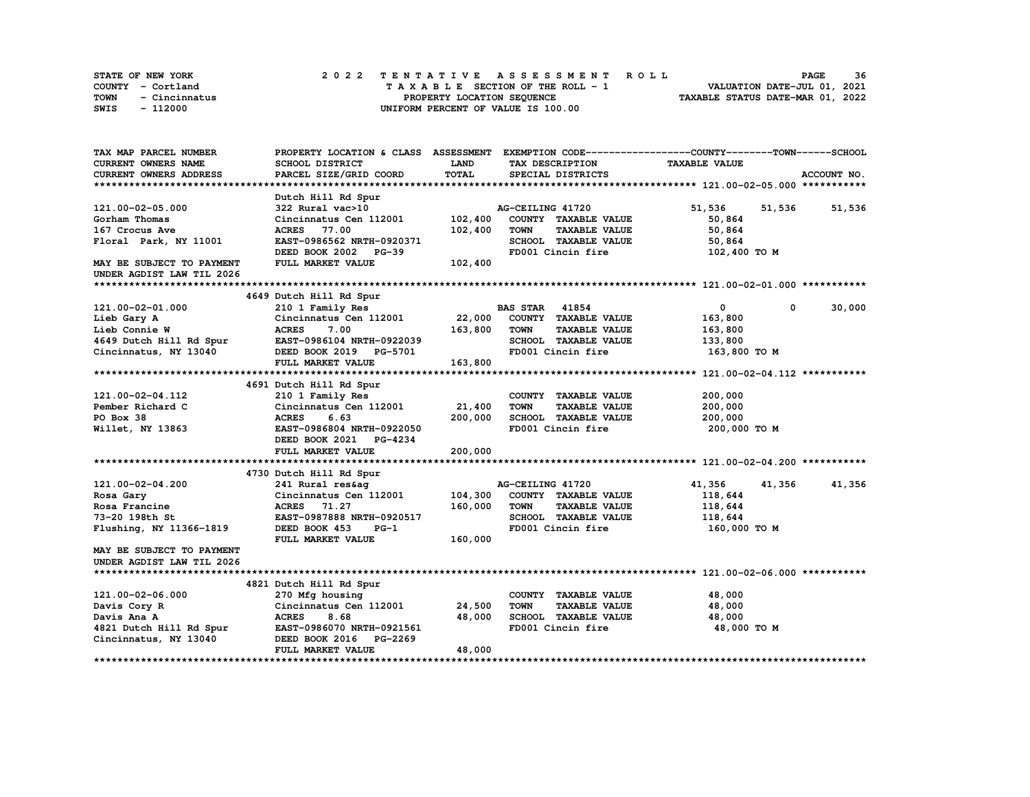| STATE OF NEW YORK     | 2022 TENTATIVE ASSESSMENT ROLL     | 36<br><b>PAGE</b>                |
|-----------------------|------------------------------------|----------------------------------|
| COUNTY - Cortland     | TAXABLE SECTION OF THE ROLL - 1    | VALUATION DATE-JUL 01, 2021      |
| TOWN<br>- Cincinnatus | PROPERTY LOCATION SEQUENCE         | TAXABLE STATUS DATE-MAR 01, 2022 |
| - 112000<br>SWIS      | UNIFORM PERCENT OF VALUE IS 100.00 |                                  |

| TAX MAP PARCEL NUMBER            | PROPERTY LOCATION & CLASS ASSESSMENT EXEMPTION CODE----------------COUNTY-------TOWN-----SCHOOL |              |                       |                             |                      |        |             |
|----------------------------------|-------------------------------------------------------------------------------------------------|--------------|-----------------------|-----------------------------|----------------------|--------|-------------|
| <b>CURRENT OWNERS NAME</b>       | SCHOOL DISTRICT                                                                                 | LAND         |                       | TAX DESCRIPTION             | <b>TAXABLE VALUE</b> |        |             |
| <b>CURRENT OWNERS ADDRESS</b>    | PARCEL SIZE/GRID COORD                                                                          | <b>TOTAL</b> |                       | SPECIAL DISTRICTS           |                      |        | ACCOUNT NO. |
|                                  |                                                                                                 |              |                       |                             |                      |        |             |
|                                  | Dutch Hill Rd Spur                                                                              |              |                       |                             |                      |        |             |
| 121.00-02-05.000                 | 322 Rural vac>10                                                                                |              | AG-CEILING 41720      |                             | 51,536               | 51,536 | 51,536      |
| Gorham Thomas                    | Cincinnatus Cen 112001                                                                          | 102,400      |                       | COUNTY TAXABLE VALUE        | 50,864               |        |             |
| 167 Crocus Ave                   | <b>ACRES</b> 77.00                                                                              | 102,400      | <b>TOWN</b>           | <b>TAXABLE VALUE</b>        | 50,864               |        |             |
| Floral Park, NY 11001            | EAST-0986562 NRTH-0920371                                                                       |              |                       | SCHOOL TAXABLE VALUE        | 50,864               |        |             |
|                                  | DEED BOOK 2002 PG-39                                                                            |              |                       | FD001 Cincin fire           | 102,400 TO M         |        |             |
| MAY BE SUBJECT TO PAYMENT        | FULL MARKET VALUE                                                                               | 102,400      |                       |                             |                      |        |             |
| UNDER AGDIST LAW TIL 2026        |                                                                                                 |              |                       |                             |                      |        |             |
|                                  |                                                                                                 |              |                       |                             |                      |        |             |
|                                  | 4649 Dutch Hill Rd Spur                                                                         |              |                       |                             |                      |        |             |
| 121.00-02-01.000                 | 210 1 Family Res                                                                                |              | <b>BAS STAR 41854</b> |                             | $\mathbf 0$          | 0      | 30,000      |
| Lieb Gary A                      | Cincinnatus Cen 112001                                                                          | 22,000       |                       | COUNTY TAXABLE VALUE        | 163,800              |        |             |
| Lieb Connie W                    | <b>ACRES</b><br>7.00                                                                            | 163,800      | <b>TOWN</b>           | <b>TAXABLE VALUE</b>        | 163,800              |        |             |
| 4649 Dutch Hill Rd Spur          | EAST-0986104 NRTH-0922039                                                                       |              |                       | SCHOOL TAXABLE VALUE        | 133,800              |        |             |
| Cincinnatus, NY 13040            | DEED BOOK 2019 PG-5701                                                                          |              |                       | FD001 Cincin fire           | 163,800 то м         |        |             |
|                                  | FULL MARKET VALUE                                                                               | 163,800      |                       |                             |                      |        |             |
|                                  |                                                                                                 |              |                       |                             |                      |        |             |
|                                  | 4691 Dutch Hill Rd Spur                                                                         |              |                       |                             |                      |        |             |
| 121.00-02-04.112                 | 210 1 Family Res                                                                                |              |                       | COUNTY TAXABLE VALUE        | 200,000              |        |             |
| Pember Richard C                 | Cincinnatus Cen 112001                                                                          | 21,400       | <b>TOWN</b>           | <b>TAXABLE VALUE</b>        | 200,000              |        |             |
| PO Box 38                        | 6.63<br><b>ACRES</b>                                                                            | 200,000      |                       | <b>SCHOOL TAXABLE VALUE</b> | 200,000              |        |             |
| Willet, NY 13863                 | EAST-0986804 NRTH-0922050                                                                       |              |                       | FD001 Cincin fire           | 200,000 TO M         |        |             |
|                                  | DEED BOOK 2021 PG-4234                                                                          |              |                       |                             |                      |        |             |
|                                  | FULL MARKET VALUE                                                                               | 200,000      |                       |                             |                      |        |             |
|                                  |                                                                                                 |              |                       |                             |                      |        |             |
|                                  | 4730 Dutch Hill Rd Spur                                                                         |              |                       |                             |                      |        |             |
| 121.00-02-04.200                 | 241 Rural res&ag                                                                                |              | AG-CEILING 41720      |                             | 41,356               | 41,356 | 41,356      |
| Rosa Gary                        | Cincinnatus Cen 112001                                                                          | 104,300      |                       | COUNTY TAXABLE VALUE        | 118,644              |        |             |
|                                  |                                                                                                 |              |                       |                             |                      |        |             |
| Rosa Francine                    | ACRES 71.27                                                                                     | 160,000      | <b>TOWN</b>           | <b>TAXABLE VALUE</b>        | 118,644              |        |             |
| 73-20 198th St                   | EAST-0987888 NRTH-0920517                                                                       |              |                       | SCHOOL TAXABLE VALUE        | 118,644              |        |             |
| Flushing, NY 11366-1819          | DEED BOOK 453<br>$PG-1$                                                                         |              |                       | FD001 Cincin fire           | 160,000 TO M         |        |             |
|                                  | FULL MARKET VALUE                                                                               | 160,000      |                       |                             |                      |        |             |
| <b>MAY BE SUBJECT TO PAYMENT</b> |                                                                                                 |              |                       |                             |                      |        |             |
| UNDER AGDIST LAW TIL 2026        |                                                                                                 |              |                       |                             |                      |        |             |
|                                  |                                                                                                 |              |                       |                             |                      |        |             |
|                                  | 4821 Dutch Hill Rd Spur                                                                         |              |                       |                             |                      |        |             |
| 121.00-02-06.000                 | 270 Mfg housing                                                                                 |              |                       | COUNTY TAXABLE VALUE        | 48,000               |        |             |
| Davis Cory R                     | Cincinnatus Cen 112001                                                                          | 24,500       | <b>TOWN</b>           | <b>TAXABLE VALUE</b>        | 48,000               |        |             |
| Davis Ana A                      | <b>ACRES</b><br>8.68                                                                            | 48,000       |                       | SCHOOL TAXABLE VALUE        | 48,000               |        |             |
| 4821 Dutch Hill Rd Spur          | EAST-0986070 NRTH-0921561                                                                       |              |                       | FD001 Cincin fire           | 48,000 TO M          |        |             |
| Cincinnatus, NY 13040            | DEED BOOK 2016 PG-2269                                                                          |              |                       |                             |                      |        |             |
|                                  | FULL MARKET VALUE                                                                               | 48,000       |                       |                             |                      |        |             |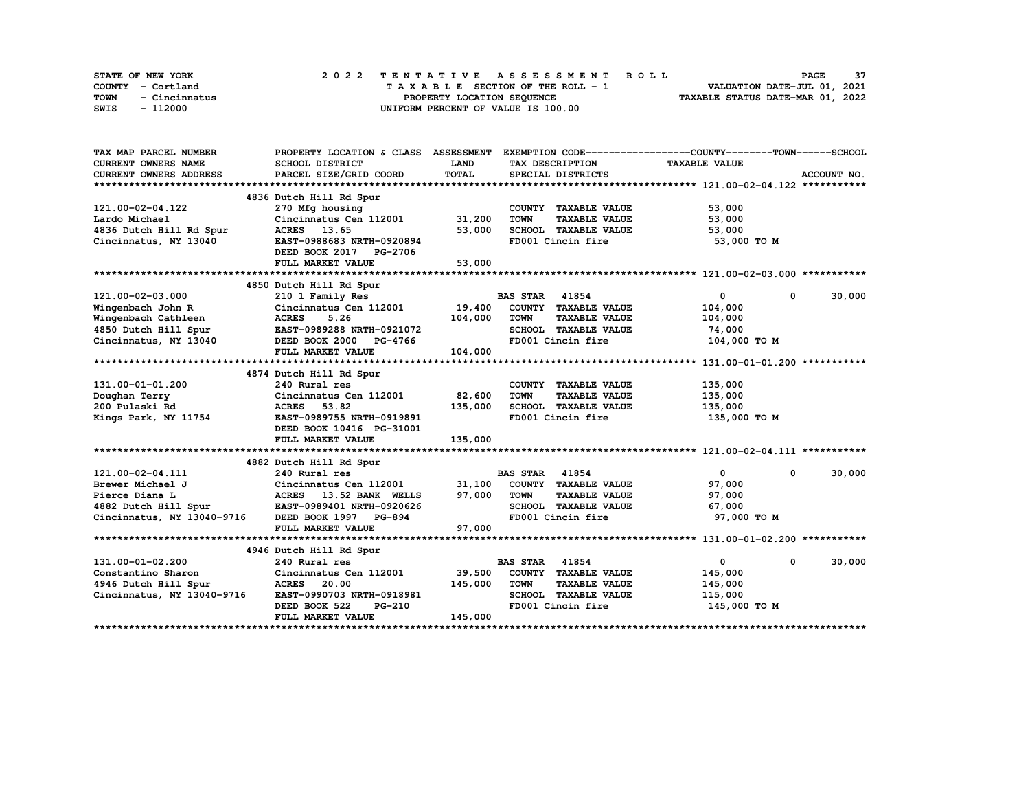|      | STATE OF NEW YORK |                            |  | 2022 TENTATIVE ASSESSMENT ROLL |  |  |  |  |  |  |                                    |  |  |  |  |  |  |  |  | <b>PAGE</b>                 | -37 |
|------|-------------------|----------------------------|--|--------------------------------|--|--|--|--|--|--|------------------------------------|--|--|--|--|--|--|--|--|-----------------------------|-----|
|      | COUNTY - Cortland |                            |  |                                |  |  |  |  |  |  | TAXABLE SECTION OF THE ROLL - 1    |  |  |  |  |  |  |  |  | VALUATION DATE-JUL 01, 2021 |     |
| TOWN | - Cincinnatus     | PROPERTY LOCATION SEQUENCE |  |                                |  |  |  |  |  |  | TAXABLE STATUS DATE-MAR 01, 2022   |  |  |  |  |  |  |  |  |                             |     |
| SWIS | - 112000          |                            |  |                                |  |  |  |  |  |  | UNIFORM PERCENT OF VALUE IS 100.00 |  |  |  |  |  |  |  |  |                             |     |

| TAX MAP PARCEL NUMBER                                            | PROPERTY LOCATION & CLASS ASSESSMENT                                                  |             |                                     | EXEMPTION CODE-----------------COUNTY-------TOWN------SCHOOL |             |
|------------------------------------------------------------------|---------------------------------------------------------------------------------------|-------------|-------------------------------------|--------------------------------------------------------------|-------------|
| <b>CURRENT OWNERS NAME</b>                                       | SCHOOL DISTRICT                                                                       | <b>LAND</b> | TAX DESCRIPTION                     | <b>TAXABLE VALUE</b>                                         |             |
| CURRENT OWNERS ADDRESS                                           | PARCEL SIZE/GRID COORD                                                                | TOTAL       | SPECIAL DISTRICTS                   |                                                              | ACCOUNT NO. |
|                                                                  |                                                                                       |             |                                     |                                                              |             |
|                                                                  | 4836 Dutch Hill Rd Spur                                                               |             |                                     |                                                              |             |
| 121.00-02-04.122                                                 | 270 Mfg housing                                                                       |             | COUNTY TAXABLE VALUE                | 53,000                                                       |             |
| Lardo Michael                                                    | Cincinnatus Cen 112001 31,200                                                         |             | <b>TOWN</b><br><b>TAXABLE VALUE</b> | 53,000                                                       |             |
| 4836 Dutch Hill Rd Spur                                          | ACRES 13.65                                                                           | 53,000      | SCHOOL TAXABLE VALUE                | 53,000                                                       |             |
| Cincinnatus, NY 13040                                            | EAST-0988683 NRTH-0920894                                                             |             | FD001 Cincin fire                   | 53,000 TO M                                                  |             |
|                                                                  | DEED BOOK 2017 PG-2706                                                                |             |                                     |                                                              |             |
|                                                                  | FULL MARKET VALUE                                                                     | 53,000      |                                     |                                                              |             |
|                                                                  |                                                                                       |             |                                     |                                                              |             |
|                                                                  | 4850 Dutch Hill Rd Spur                                                               |             |                                     |                                                              |             |
| 121.00-02-03.000                                                 |                                                                                       |             |                                     | $\mathbf{0}$<br>$\mathbf{0}$                                 | 30,000      |
| Wingenbach John R                                                | 210 1 Family Res BAS STAR 41854<br>Cincinnatus Cen 112001 19,400 COUNTY TAXABLE VALUE |             |                                     | 104,000                                                      |             |
| Wingenbach Cathleen                                              | 5.26<br><b>ACRES</b>                                                                  | 104,000     | <b>TOWN</b><br><b>TAXABLE VALUE</b> | 104,000                                                      |             |
|                                                                  |                                                                                       |             | SCHOOL TAXABLE VALUE                | 74,000                                                       |             |
| 4850 Dutch Hill Spur EAST-0989288 NRTH-0921072                   | DEED BOOK 2000 PG-4766                                                                |             | FD001 Cincin fire                   | 104,000 TO M                                                 |             |
| Cincinnatus, NY 13040                                            | FULL MARKET VALUE                                                                     | 104,000     |                                     |                                                              |             |
|                                                                  |                                                                                       |             |                                     |                                                              |             |
|                                                                  | 4874 Dutch Hill Rd Spur                                                               |             |                                     |                                                              |             |
| 131.00-01-01.200                                                 | 240 Rural res                                                                         |             | COUNTY TAXABLE VALUE                | 135,000                                                      |             |
|                                                                  | Cincinnatus Cen 112001 82,600                                                         |             | <b>TOWN</b><br><b>TAXABLE VALUE</b> | 135,000                                                      |             |
| Doughan Terry                                                    |                                                                                       |             | SCHOOL TAXABLE VALUE                |                                                              |             |
| 200 Pulaski Rd                                                   | ACRES 53.82                                                                           | 135,000     | FD001 Cincin fire                   | 135,000                                                      |             |
| Kings Park, NY 11754                                             | EAST-0989755 NRTH-0919891                                                             |             |                                     | 135,000 TO M                                                 |             |
|                                                                  | DEED BOOK 10416 PG-31001                                                              |             |                                     |                                                              |             |
|                                                                  | FULL MARKET VALUE                                                                     | 135,000     |                                     |                                                              |             |
|                                                                  |                                                                                       |             |                                     |                                                              |             |
|                                                                  | 4882 Dutch Hill Rd Spur                                                               |             | <b>BAS STAR 41854</b>               | $\overline{0}$<br>0                                          | 30,000      |
| 121.00-02-04.111                                                 | 240 Rural res                                                                         |             |                                     |                                                              |             |
| Brewer Michael J                                                 | Cincinnatus Cen 112001 $31,100$ COUNTY TAXABLE VALUE                                  |             |                                     | 97,000                                                       |             |
| Pierce Diana L<br>4882 Dutch Hill Spur EAST-0989401 NRTH-0920626 | ACRES 13.52 BANK WELLS 97,000                                                         |             | TOWN<br><b>TAXABLE VALUE</b>        | 97,000                                                       |             |
|                                                                  |                                                                                       |             | SCHOOL TAXABLE VALUE                | 67,000                                                       |             |
| Cincinnatus, NY 13040-9716 DEED BOOK 1997 PG-894                 |                                                                                       |             | FD001 Cincin fire                   | 97,000 TO M                                                  |             |
|                                                                  | FULL MARKET VALUE                                                                     | 97,000      |                                     |                                                              |             |
|                                                                  |                                                                                       |             |                                     |                                                              |             |
|                                                                  | 4946 Dutch Hill Rd Spur                                                               |             | <b>BAS STAR 41854</b>               | $\overline{0}$                                               |             |
| 131.00-01-02.200                                                 | 240 Rural res                                                                         |             |                                     | 0                                                            | 30,000      |
| Constantino Sharon                                               | Cincinnatus Cen 112001                                                                | 39,500      | COUNTY TAXABLE VALUE                | 145,000                                                      |             |
| 4946 Dutch Hill Spur                                             | <b>ACRES</b> 20.00                                                                    | 145,000     | <b>TOWN</b><br><b>TAXABLE VALUE</b> | 145,000                                                      |             |
| Cincinnatus, NY 13040-9716                                       | EAST-0990703 NRTH-0918981                                                             |             | SCHOOL TAXABLE VALUE                | 115,000                                                      |             |
|                                                                  | DEED BOOK 522<br>PG-210                                                               |             | FD001 Cincin fire                   | 145,000 TO M                                                 |             |
|                                                                  | FULL MARKET VALUE                                                                     | 145,000     |                                     |                                                              |             |
|                                                                  |                                                                                       |             |                                     |                                                              |             |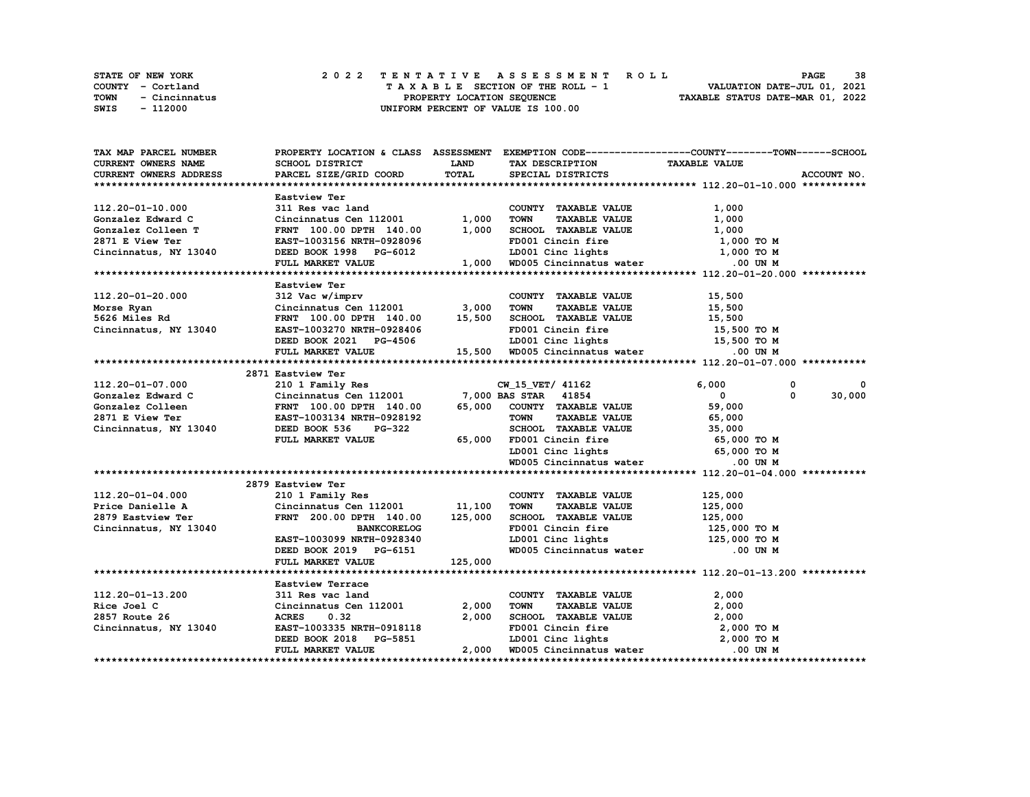|             | <b>STATE OF NEW YORK</b> | 2022 TENTATIVE ASSESSMENT ROLL          | 38<br><b>PAGE</b>                |
|-------------|--------------------------|-----------------------------------------|----------------------------------|
|             | COUNTY - Cortland        | $T A X A B L E$ SECTION OF THE ROLL - 1 | VALUATION DATE-JUL 01, 2021      |
| <b>TOWN</b> | - Cincinnatus            | PROPERTY LOCATION SEQUENCE              | TAXABLE STATUS DATE-MAR 01, 2022 |
| SWIS        | - 112000                 | UNIFORM PERCENT OF VALUE IS 100.00      |                                  |

| TAX MAP PARCEL NUMBER                                                                                                                                                                                                          |                                                                                                                  |              | PROPERTY LOCATION & CLASS ASSESSMENT EXEMPTION CODE----------------COUNTY-------TOWN------SCHOOL                   |                              |             |
|--------------------------------------------------------------------------------------------------------------------------------------------------------------------------------------------------------------------------------|------------------------------------------------------------------------------------------------------------------|--------------|--------------------------------------------------------------------------------------------------------------------|------------------------------|-------------|
| CURRENT OWNERS NAME                                                                                                                                                                                                            | SCHOOL DISTRICT                                                                                                  | <b>LAND</b>  | TAX DESCRIPTION TAXABLE VALUE                                                                                      |                              |             |
| <b>CURRENT OWNERS ADDRESS</b>                                                                                                                                                                                                  | PARCEL SIZE/GRID COORD                                                                                           | <b>TOTAL</b> | SPECIAL DISTRICTS                                                                                                  |                              | ACCOUNT NO. |
|                                                                                                                                                                                                                                |                                                                                                                  |              |                                                                                                                    |                              |             |
|                                                                                                                                                                                                                                | Eastview Ter                                                                                                     |              |                                                                                                                    |                              |             |
| 112.20-01-10.000                                                                                                                                                                                                               | 311 Res vac land                                                                                                 |              | COUNTY TAXABLE VALUE                                                                                               | 1,000                        |             |
|                                                                                                                                                                                                                                | Cincinnatus Cen $112001$ 1,000                                                                                   |              | TAXABLE VALUE<br><b>TOWN</b>                                                                                       | 1,000                        |             |
|                                                                                                                                                                                                                                | FRNT 100.00 DPTH 140.00                                                                                          | 1,000        |                                                                                                                    |                              |             |
| Contract Contract Contract Contract Contract Contract Contract Contract Contract Contract Contract Contract Contract Contract Contract Contract Contract Contract Contract Contract Contract Contract Contract Contract Contra |                                                                                                                  |              | SCHOOL TAXABLE VALUE<br>EDOOL TAXABLE VALUE                                                                        | $1,000$ TO M<br>$1,000$ TO M |             |
| Cincinnatus, NY 13040                                                                                                                                                                                                          |                                                                                                                  |              |                                                                                                                    |                              |             |
|                                                                                                                                                                                                                                | DEED BOOK 1998 PG-6012 LD001 Cinc lights 1,000 TO M<br>FULL MARKET VALUE 1,000 WD005 Cincinnatus water 0.00 UN M |              |                                                                                                                    |                              |             |
|                                                                                                                                                                                                                                |                                                                                                                  |              |                                                                                                                    |                              |             |
|                                                                                                                                                                                                                                | Eastview Ter                                                                                                     |              |                                                                                                                    |                              |             |
| 112.20-01-20.000                                                                                                                                                                                                               | 312 Vac w/imprv                                                                                                  |              | COUNTY TAXABLE VALUE                                                                                               | 15,500                       |             |
| Morse Ryan                                                                                                                                                                                                                     |                                                                                                                  |              | <b>TOWN</b><br>TAXABLE VALUE 15,500                                                                                |                              |             |
| 5626 Miles Rd                                                                                                                                                                                                                  | Cincinnatus Cen 112001 3,000<br>FRNT 100.00 DPTH 140.00 15,500<br>FRNT 100.00 DPTH 140.00 15,500                 |              | SCHOOL TAXABLE VALUE                                                                                               | 15,500                       |             |
| Cincinnatus, NY 13040                                                                                                                                                                                                          | EAST-1003270 NRTH-0928406                                                                                        |              | FD001 Cincin fire                                                                                                  | 15,500 TO M                  |             |
|                                                                                                                                                                                                                                |                                                                                                                  |              |                                                                                                                    |                              |             |
|                                                                                                                                                                                                                                |                                                                                                                  |              | DEED BOOK 2021 PG-4506 LD001 Cinc lights 15,500 TO M<br>FULL MARKET VALUE 15,500 WD005 Cincinnatus water 0.00 UN M |                              |             |
|                                                                                                                                                                                                                                |                                                                                                                  |              |                                                                                                                    |                              |             |
|                                                                                                                                                                                                                                | 2871 Eastview Ter                                                                                                |              |                                                                                                                    |                              |             |
| 112.20-01-07.000                                                                                                                                                                                                               |                                                                                                                  |              | 210 1 Family Res CW_15_VET/ 41162                                                                                  | 6,000<br>$\mathbf 0$         | 0           |
|                                                                                                                                                                                                                                |                                                                                                                  |              |                                                                                                                    | $\mathbf{0}$<br>$^{\circ}$   | 30,000      |
|                                                                                                                                                                                                                                |                                                                                                                  |              |                                                                                                                    | 59<br>59,000                 |             |
|                                                                                                                                                                                                                                |                                                                                                                  |              | <b>TAXABLE VALUE</b>                                                                                               | 65,000                       |             |
|                                                                                                                                                                                                                                |                                                                                                                  |              |                                                                                                                    |                              |             |
|                                                                                                                                                                                                                                | FULL MARKET VALUE                                                                                                |              | SCHOOL TAXABLE VALUE 35,000<br>65,000 FD001 Cincin fire 65,000 TO M                                                |                              |             |
|                                                                                                                                                                                                                                |                                                                                                                  |              | LD001 Cinc lights 65,000 TO M                                                                                      |                              |             |
|                                                                                                                                                                                                                                |                                                                                                                  |              | WD005 Cincinnatus water                                                                                            | $.00$ UN M                   |             |
|                                                                                                                                                                                                                                |                                                                                                                  |              |                                                                                                                    |                              |             |
|                                                                                                                                                                                                                                | 2879 Eastview Ter                                                                                                |              |                                                                                                                    |                              |             |
| 112.20-01-04.000                                                                                                                                                                                                               | 210 1 Family Res                                                                                                 |              | COUNTY TAXABLE VALUE                                                                                               | 125,000                      |             |
| Price Danielle A                                                                                                                                                                                                               | Cincinnatus Cen 112001 11,100                                                                                    |              | <b>TOWN</b><br><b>TAXABLE VALUE</b>                                                                                | 125,000                      |             |
| 2879 Eastview Ter                                                                                                                                                                                                              | FRNT 200.00 DPTH 140.00 125,000                                                                                  |              | SCHOOL TAXABLE VALUE                                                                                               | 125,000                      |             |
| Cincinnatus, NY 13040                                                                                                                                                                                                          | <b>BANKCORELOG</b>                                                                                               |              | FD001 Cincin fire                                                                                                  | 125,000 TO M                 |             |
|                                                                                                                                                                                                                                |                                                                                                                  |              |                                                                                                                    |                              |             |
|                                                                                                                                                                                                                                | DEED BOOK 2019 PG-6151<br>FULL MADES WATER THE THE STATE OF                                                      |              | LD001 Cinc lights 125,000 TO M<br>WD005 Cincinnatus water .00 UN M                                                 |                              |             |
|                                                                                                                                                                                                                                | FULL MARKET VALUE                                                                                                | 125,000      |                                                                                                                    |                              |             |
|                                                                                                                                                                                                                                |                                                                                                                  |              |                                                                                                                    |                              |             |
|                                                                                                                                                                                                                                | Eastview Terrace                                                                                                 |              |                                                                                                                    |                              |             |
| 112.20-01-13.200                                                                                                                                                                                                               | 311 Res vac land                                                                                                 |              | COUNTY TAXABLE VALUE                                                                                               | 2,000                        |             |
| Rice Joel C                                                                                                                                                                                                                    | Cincinnatus Cen 112001                                                                                           | 2,000        | <b>TAXABLE VALUE</b><br>TOWN                                                                                       | 2,000                        |             |
| 2857 Route 26                                                                                                                                                                                                                  | <b>ACRES</b><br>0.32                                                                                             | 2,000        | SCHOOL TAXABLE VALUE                                                                                               | 2,000                        |             |
| Cincinnatus, NY 13040                                                                                                                                                                                                          | EAST-1003335 NRTH-0918118                                                                                        |              |                                                                                                                    |                              |             |
|                                                                                                                                                                                                                                | DEED BOOK 2018 PG-5851                                                                                           |              | FD001 Cincin fire 2,000 TO M<br>LD001 Cinc lights 2,000 TO M                                                       |                              |             |
|                                                                                                                                                                                                                                | FULL MARKET VALUE                                                                                                |              | 2,000 WD005 Cincinnatus water .00 UN M                                                                             |                              |             |
|                                                                                                                                                                                                                                |                                                                                                                  |              |                                                                                                                    |                              |             |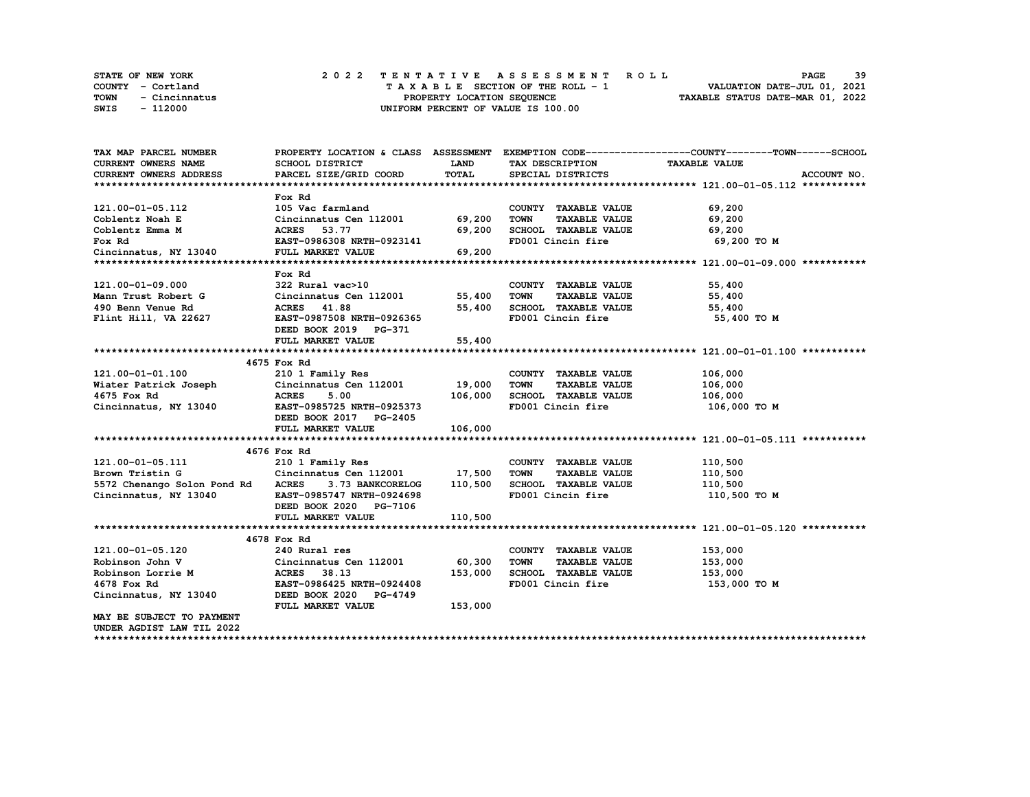|      | STATE OF NEW YORK |  |  |  |  |  | 2022 TENTATIVE ASSESSMENT ROLL     |  |  |  |  |  |  |                                  | PAGE | 39 |  |
|------|-------------------|--|--|--|--|--|------------------------------------|--|--|--|--|--|--|----------------------------------|------|----|--|
|      | COUNTY - Cortland |  |  |  |  |  | TAXABLE SECTION OF THE ROLL - 1    |  |  |  |  |  |  | VALUATION DATE-JUL 01, 2021      |      |    |  |
| TOWN | - Cincinnatus     |  |  |  |  |  | PROPERTY LOCATION SEQUENCE         |  |  |  |  |  |  | TAXABLE STATUS DATE-MAR 01, 2022 |      |    |  |
| SWIS | - 112000          |  |  |  |  |  | UNIFORM PERCENT OF VALUE IS 100.00 |  |  |  |  |  |  |                                  |      |    |  |

| TAX MAP PARCEL NUMBER                                                             |                                                   |             |                                     | PROPERTY LOCATION & CLASS ASSESSMENT EXEMPTION CODE----------------COUNTY-------TOWN-----SCHOOL |
|-----------------------------------------------------------------------------------|---------------------------------------------------|-------------|-------------------------------------|-------------------------------------------------------------------------------------------------|
| <b>CURRENT OWNERS NAME</b>                                                        | SCHOOL DISTRICT                                   | <b>LAND</b> | TAX DESCRIPTION                     | <b>TAXABLE VALUE</b>                                                                            |
| CURRENT OWNERS ADDRESS                                                            | PARCEL SIZE/GRID COORD                            | TOTAL       | SPECIAL DISTRICTS                   | ACCOUNT NO.                                                                                     |
|                                                                                   |                                                   |             |                                     |                                                                                                 |
|                                                                                   | Fox Rd                                            |             |                                     |                                                                                                 |
| 121.00-01-05.112                                                                  | 105 Vac farmland                                  |             | COUNTY TAXABLE VALUE                | 69,200                                                                                          |
| Coblentz Noah E                                                                   | Cincinnatus Cen 112001 69,200                     |             | TOWN<br><b>TAXABLE VALUE</b>        | 69,200                                                                                          |
| Coblentz Emma M                                                                   | <b>ACRES</b> 53.77                                | 69,200      | SCHOOL TAXABLE VALUE 69,200         |                                                                                                 |
| Fox Rd                                                                            | EAST-0986308 NRTH-0923141                         |             | FD001 Cincin fire                   | 69,200 то м                                                                                     |
| Fox Rd<br>Cincinnatus, NY 13040                                                   | FULL MARKET VALUE                                 | 69,200      |                                     |                                                                                                 |
|                                                                                   |                                                   |             |                                     |                                                                                                 |
|                                                                                   | Fox Rd                                            |             |                                     |                                                                                                 |
| 121.00-01-09.000                                                                  | 322 Rural vac>10                                  |             | COUNTY TAXABLE VALUE                | 55,400                                                                                          |
| Mann Trust Robert G                                                               | Cincinnatus Cen 112001 55,400                     |             | <b>TOWN</b><br><b>TAXABLE VALUE</b> | 55,400                                                                                          |
| 490 Benn Venue Rd                                                                 | ACRES 41.88                                       |             | 55,400 SCHOOL TAXABLE VALUE 55,400  |                                                                                                 |
| Flint Hill, VA 22627                                                              | EAST-0987508 NRTH-0926365                         |             | FD001 Cincin fire                   | 55,400 TO M                                                                                     |
|                                                                                   | DEED BOOK 2019 PG-371                             |             |                                     |                                                                                                 |
|                                                                                   | FULL MARKET VALUE                                 | 55,400      |                                     |                                                                                                 |
|                                                                                   | 4675 Fox Rd                                       |             |                                     |                                                                                                 |
| 121.00-01-01.100                                                                  | 210 1 Family Res                                  |             | COUNTY TAXABLE VALUE                | 106,000                                                                                         |
|                                                                                   | Cincinnatus Cen 112001 19,000                     |             | TOWN<br><b>TAXABLE VALUE</b>        | 106,000                                                                                         |
| Wiater Patrick Joseph<br>4675 Fox Rd                                              | <b>ACRES</b><br>5.00                              | 106,000     | SCHOOL TAXABLE VALUE                | 106,000                                                                                         |
| Cincinnatus, NY 13040 EAST-0985725 NRTH-0925373                                   |                                                   |             | FD001 Cincin fire                   | 106,000 то м                                                                                    |
|                                                                                   | DEED BOOK 2017 PG-2405                            |             |                                     |                                                                                                 |
|                                                                                   | FULL MARKET VALUE                                 | 106,000     |                                     |                                                                                                 |
|                                                                                   |                                                   |             |                                     |                                                                                                 |
|                                                                                   | 4676 Fox Rd                                       |             |                                     |                                                                                                 |
| 121.00-01-05.111                                                                  |                                                   |             | COUNTY TAXABLE VALUE                | 110,500                                                                                         |
| Brown Tristin G                                                                   | 210 1 Family Res<br>Cincinnatus Cen 112001 17,500 |             | <b>TOWN</b><br><b>TAXABLE VALUE</b> | 110,500                                                                                         |
|                                                                                   |                                                   |             | 110,500 SCHOOL TAXABLE VALUE        | 110,500                                                                                         |
| 5572 Chenango Solon Pond Rd<br>Cincinnatus, NY 13040<br>EAST-0985747 NRTH-0924698 |                                                   |             | FD001 Cincin fire                   | 110,500 TO M                                                                                    |
|                                                                                   | DEED BOOK 2020 PG-7106                            |             |                                     |                                                                                                 |
|                                                                                   | FULL MARKET VALUE                                 | 110,500     |                                     |                                                                                                 |
|                                                                                   |                                                   |             |                                     |                                                                                                 |
|                                                                                   | 4678 Fox Rd                                       |             |                                     |                                                                                                 |
| 121.00-01-05.120                                                                  |                                                   |             | COUNTY TAXABLE VALUE                | 153,000                                                                                         |
| Robinson John V                                                                   | Cincinnatus Cen 112001                            | 60,300      | <b>TOWN</b><br><b>TAXABLE VALUE</b> | 153,000                                                                                         |
| Robinson Lorrie M                                                                 | 240 Rural res<br>Cincinnatus Ce<br>ACRES 38.13    | 153,000     | SCHOOL TAXABLE VALUE                | 153,000                                                                                         |
| 4678 Fox Rd                                                                       | EAST-0986425 NRTH-0924408                         |             | FD001 Cincin fire                   | 153,000 то м                                                                                    |
| Cincinnatus, NY 13040                                                             | DEED BOOK 2020 PG-4749                            |             |                                     |                                                                                                 |
|                                                                                   | FULL MARKET VALUE                                 | 153,000     |                                     |                                                                                                 |
| MAY BE SUBJECT TO PAYMENT                                                         |                                                   |             |                                     |                                                                                                 |
| UNDER AGDIST LAW TIL 2022                                                         |                                                   |             |                                     |                                                                                                 |
|                                                                                   |                                                   |             |                                     |                                                                                                 |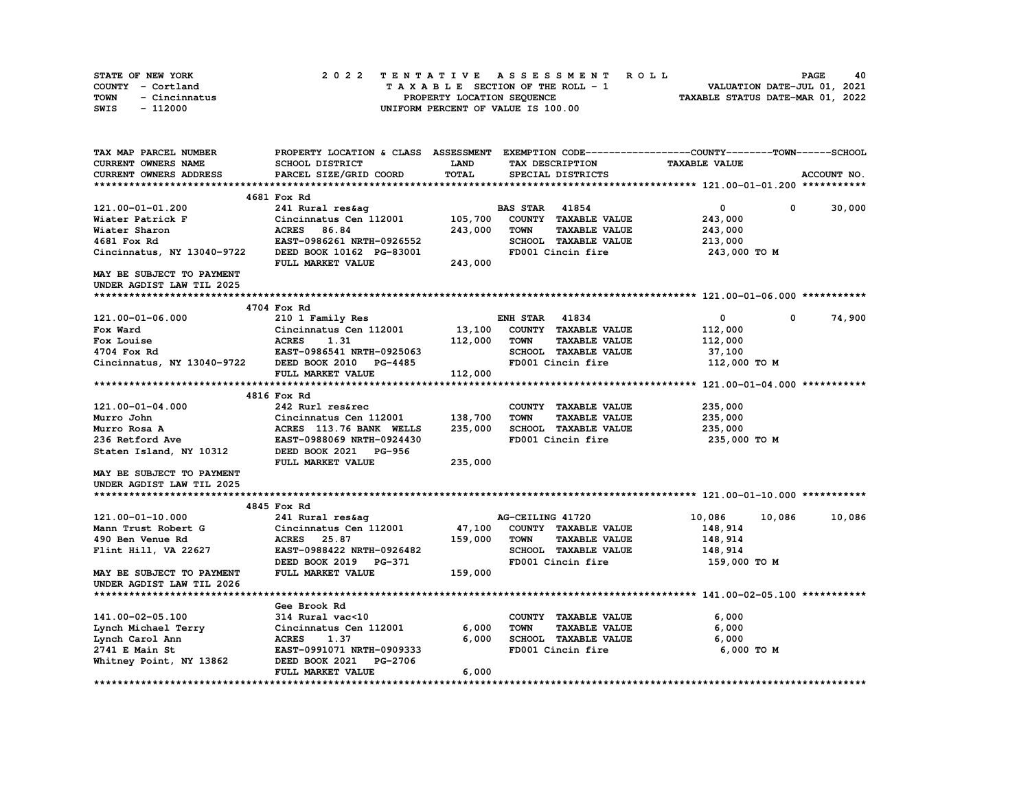| STATE OF NEW YORK     | 2022 TENTATIVE ASSESSMENT ROLL     | 40<br><b>PAGE</b>                |
|-----------------------|------------------------------------|----------------------------------|
| COUNTY - Cortland     | TAXABLE SECTION OF THE ROLL - 1    | VALUATION DATE-JUL 01, 2021      |
| TOWN<br>- Cincinnatus | PROPERTY LOCATION SEQUENCE         | TAXABLE STATUS DATE-MAR 01, 2022 |
| - 112000<br>SWIS      | UNIFORM PERCENT OF VALUE IS 100.00 |                                  |

| TAX MAP PARCEL NUMBER            | PROPERTY LOCATION & CLASS ASSESSMENT EXEMPTION CODE----------------COUNTY-------TOWN-----SCHOOL |         |                       |                             |                      |            |             |
|----------------------------------|-------------------------------------------------------------------------------------------------|---------|-----------------------|-----------------------------|----------------------|------------|-------------|
| CURRENT OWNERS NAME              | SCHOOL DISTRICT                                                                                 | LAND    |                       | TAX DESCRIPTION             | <b>TAXABLE VALUE</b> |            |             |
| CURRENT OWNERS ADDRESS           | PARCEL SIZE/GRID COORD                                                                          | TOTAL   |                       | SPECIAL DISTRICTS           |                      |            | ACCOUNT NO. |
|                                  |                                                                                                 |         |                       |                             |                      |            |             |
|                                  | 4681 Fox Rd                                                                                     |         |                       |                             |                      |            |             |
| 121.00-01-01.200                 | 241 Rural res&ag                                                                                |         | <b>BAS STAR</b>       | 41854                       | 0                    | 0          | 30,000      |
| Wiater Patrick F                 | Cincinnatus Cen 112001                                                                          | 105,700 |                       | COUNTY TAXABLE VALUE        | 243,000              |            |             |
| Wiater Sharon                    | <b>ACRES</b><br>86.84                                                                           | 243,000 | <b>TOWN</b>           | <b>TAXABLE VALUE</b>        | 243,000              |            |             |
| 4681 Fox Rd                      | EAST-0986261 NRTH-0926552                                                                       |         |                       | SCHOOL TAXABLE VALUE        | 213,000              |            |             |
| Cincinnatus, NY 13040-9722       | DEED BOOK 10162 PG-83001                                                                        |         |                       | FD001 Cincin fire           | 243,000 TO M         |            |             |
|                                  | FULL MARKET VALUE                                                                               | 243,000 |                       |                             |                      |            |             |
| <b>MAY BE SUBJECT TO PAYMENT</b> |                                                                                                 |         |                       |                             |                      |            |             |
| UNDER AGDIST LAW TIL 2025        |                                                                                                 |         |                       |                             |                      |            |             |
|                                  |                                                                                                 |         |                       |                             |                      |            |             |
|                                  | 4704 Fox Rd                                                                                     |         |                       |                             |                      |            |             |
|                                  |                                                                                                 |         |                       |                             |                      | $^{\circ}$ |             |
| 121.00-01-06.000                 | 210 1 Family Res                                                                                |         | <b>ENH STAR 41834</b> |                             | $\mathbf 0$          |            | 74,900      |
| Fox Ward                         | Cincinnatus Cen 112001                                                                          | 13,100  |                       | COUNTY TAXABLE VALUE        | 112,000              |            |             |
| Fox Louise                       | <b>ACRES</b><br>1.31                                                                            | 112,000 | TOWN                  | <b>TAXABLE VALUE</b>        | 112,000              |            |             |
| 4704 Fox Rd                      | EAST-0986541 NRTH-0925063                                                                       |         |                       | SCHOOL TAXABLE VALUE        | 37,100               |            |             |
| Cincinnatus, NY 13040-9722       | DEED BOOK 2010 PG-4485                                                                          |         |                       | FD001 Cincin fire           | 112,000 TO M         |            |             |
|                                  | FULL MARKET VALUE                                                                               | 112,000 |                       |                             |                      |            |             |
|                                  |                                                                                                 |         |                       |                             |                      |            |             |
|                                  | 4816 Fox Rd                                                                                     |         |                       |                             |                      |            |             |
| 121.00-01-04.000                 | 242 Rurl res&rec                                                                                |         |                       | COUNTY TAXABLE VALUE        | 235,000              |            |             |
| Murro John                       | Cincinnatus Cen 112001                                                                          | 138,700 | <b>TOWN</b>           | <b>TAXABLE VALUE</b>        | 235,000              |            |             |
| Murro Rosa A                     | ACRES 113.76 BANK WELLS                                                                         | 235,000 |                       | SCHOOL TAXABLE VALUE        | 235,000              |            |             |
| 236 Retford Ave                  | EAST-0988069 NRTH-0924430                                                                       |         |                       | FD001 Cincin fire           | 235,000 TO M         |            |             |
| Staten Island, NY 10312          | DEED BOOK 2021 PG-956                                                                           |         |                       |                             |                      |            |             |
|                                  | FULL MARKET VALUE                                                                               | 235,000 |                       |                             |                      |            |             |
| MAY BE SUBJECT TO PAYMENT        |                                                                                                 |         |                       |                             |                      |            |             |
| UNDER AGDIST LAW TIL 2025        |                                                                                                 |         |                       |                             |                      |            |             |
|                                  |                                                                                                 |         |                       |                             |                      |            |             |
|                                  | 4845 Fox Rd                                                                                     |         |                       |                             |                      |            |             |
| 121.00-01-10.000                 | 241 Rural res&ag                                                                                |         | AG-CEILING 41720      |                             | 10,086               | 10,086     | 10,086      |
| Mann Trust Robert G              | Cincinnatus Cen 112001                                                                          | 47,100  |                       | COUNTY TAXABLE VALUE        | 148,914              |            |             |
| 490 Ben Venue Rd                 | 25.87<br><b>ACRES</b>                                                                           | 159,000 | TOWN                  | <b>TAXABLE VALUE</b>        | 148,914              |            |             |
| Flint Hill, VA 22627             | EAST-0988422 NRTH-0926482                                                                       |         |                       | <b>SCHOOL TAXABLE VALUE</b> | 148,914              |            |             |
|                                  | DEED BOOK 2019 PG-371                                                                           |         |                       | FD001 Cincin fire           | 159,000 то м         |            |             |
| <b>MAY BE SUBJECT TO PAYMENT</b> | FULL MARKET VALUE                                                                               | 159,000 |                       |                             |                      |            |             |
| UNDER AGDIST LAW TIL 2026        |                                                                                                 |         |                       |                             |                      |            |             |
|                                  |                                                                                                 |         |                       |                             |                      |            |             |
|                                  |                                                                                                 |         |                       |                             |                      |            |             |
|                                  | Gee Brook Rd                                                                                    |         |                       |                             |                      |            |             |
| 141.00-02-05.100                 | 314 Rural vac<10                                                                                |         |                       | COUNTY TAXABLE VALUE        | 6,000                |            |             |
| Lynch Michael Terry              | Cincinnatus Cen 112001                                                                          | 6,000   | <b>TOWN</b>           | <b>TAXABLE VALUE</b>        | 6,000                |            |             |
| Lynch Carol Ann                  | 1.37<br><b>ACRES</b>                                                                            | 6,000   |                       | SCHOOL TAXABLE VALUE        | 6,000                |            |             |
| 2741 E Main St                   | EAST-0991071 NRTH-0909333                                                                       |         |                       | FD001 Cincin fire           | 6,000 TO M           |            |             |
| Whitney Point, NY 13862          | DEED BOOK 2021<br><b>PG-2706</b>                                                                |         |                       |                             |                      |            |             |
|                                  | FULL MARKET VALUE                                                                               | 6,000   |                       |                             |                      |            |             |
|                                  |                                                                                                 |         |                       |                             |                      |            |             |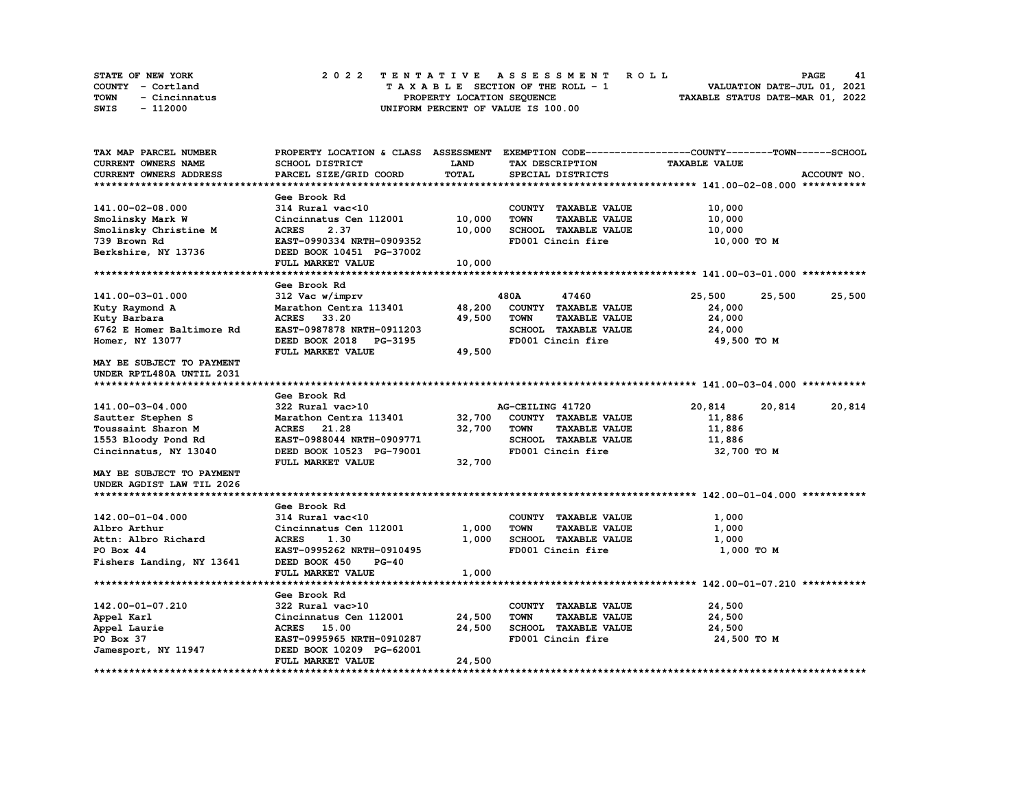| <b>STATE OF NEW YORK</b> | 2022 TENTATIVE ASSESSMENT ROLL     | PAGE<br>41                       |
|--------------------------|------------------------------------|----------------------------------|
| COUNTY - Cortland        | TAXABLE SECTION OF THE ROLL - 1    | VALUATION DATE-JUL 01, 2021      |
| TOWN<br>- Cincinnatus    | PROPERTY LOCATION SEOUENCE         | TAXABLE STATUS DATE-MAR 01, 2022 |
| SWIS<br>- 112000         | UNIFORM PERCENT OF VALUE IS 100.00 |                                  |

| TAX MAP PARCEL NUMBER      | PROPERTY LOCATION & CLASS ASSESSMENT EXEMPTION CODE----------------COUNTY-------TOWN-----SCHOOL |             |                  |                      |                      |        |             |
|----------------------------|-------------------------------------------------------------------------------------------------|-------------|------------------|----------------------|----------------------|--------|-------------|
| <b>CURRENT OWNERS NAME</b> | <b>SCHOOL DISTRICT</b>                                                                          | <b>LAND</b> |                  | TAX DESCRIPTION      | <b>TAXABLE VALUE</b> |        |             |
| CURRENT OWNERS ADDRESS     | PARCEL SIZE/GRID COORD                                                                          | TOTAL       |                  | SPECIAL DISTRICTS    |                      |        | ACCOUNT NO. |
|                            |                                                                                                 |             |                  |                      |                      |        |             |
|                            | Gee Brook Rd                                                                                    |             |                  |                      |                      |        |             |
| 141.00-02-08.000           | 314 Rural vac<10                                                                                |             |                  | COUNTY TAXABLE VALUE | 10,000               |        |             |
| Smolinsky Mark W           | Cincinnatus Cen 112001                                                                          | 10,000      | <b>TOWN</b>      | <b>TAXABLE VALUE</b> | 10,000               |        |             |
| Smolinsky Christine M      | 2.37<br><b>ACRES</b>                                                                            | 10,000      |                  | SCHOOL TAXABLE VALUE | 10,000               |        |             |
| 739 Brown Rd               | EAST-0990334 NRTH-0909352                                                                       |             |                  | FD001 Cincin fire    | 10,000 TO M          |        |             |
| Berkshire, NY 13736        | DEED BOOK 10451 PG-37002                                                                        |             |                  |                      |                      |        |             |
|                            | FULL MARKET VALUE                                                                               | 10,000      |                  |                      |                      |        |             |
|                            |                                                                                                 |             |                  |                      |                      |        |             |
|                            | Gee Brook Rd                                                                                    |             |                  |                      |                      |        |             |
| 141.00-03-01.000           | 312 Vac w/imprv                                                                                 |             | 480A             | 47460                | 25,500               | 25,500 | 25,500      |
| Kuty Raymond A             | Marathon Centra 113401                                                                          | 48,200      |                  | COUNTY TAXABLE VALUE | 24,000               |        |             |
|                            |                                                                                                 |             |                  |                      |                      |        |             |
| Kuty Barbara               | ACRES 33.20                                                                                     | 49,500      | TOWN             | <b>TAXABLE VALUE</b> | 24,000               |        |             |
| 6762 E Homer Baltimore Rd  | EAST-0987878 NRTH-0911203                                                                       |             |                  | SCHOOL TAXABLE VALUE | 24,000               |        |             |
| Homer, NY 13077            | DEED BOOK 2018 PG-3195                                                                          |             |                  | FD001 Cincin fire    | 49,500 TO M          |        |             |
|                            | FULL MARKET VALUE                                                                               | 49,500      |                  |                      |                      |        |             |
| MAY BE SUBJECT TO PAYMENT  |                                                                                                 |             |                  |                      |                      |        |             |
| UNDER RPTL480A UNTIL 2031  |                                                                                                 |             |                  |                      |                      |        |             |
|                            |                                                                                                 |             |                  |                      |                      |        |             |
|                            | Gee Brook Rd                                                                                    |             |                  |                      |                      |        |             |
| 141.00-03-04.000           | 322 Rural vac>10                                                                                |             | AG-CEILING 41720 |                      | 20,814               | 20,814 | 20,814      |
| Sautter Stephen S          | Marathon Centra 113401                                                                          | 32,700      |                  | COUNTY TAXABLE VALUE | 11,886               |        |             |
| Toussaint Sharon M         | ACRES 21.28                                                                                     | 32,700      | <b>TOWN</b>      | <b>TAXABLE VALUE</b> | 11,886               |        |             |
| 1553 Bloody Pond Rd        | EAST-0988044 NRTH-0909771                                                                       |             |                  | SCHOOL TAXABLE VALUE | 11,886               |        |             |
| Cincinnatus, NY 13040      | DEED BOOK 10523 PG-79001                                                                        |             |                  | FD001 Cincin fire    | 32,700 TO M          |        |             |
|                            | FULL MARKET VALUE                                                                               | 32,700      |                  |                      |                      |        |             |
| MAY BE SUBJECT TO PAYMENT  |                                                                                                 |             |                  |                      |                      |        |             |
| UNDER AGDIST LAW TIL 2026  |                                                                                                 |             |                  |                      |                      |        |             |
|                            |                                                                                                 |             |                  |                      |                      |        |             |
|                            | Gee Brook Rd                                                                                    |             |                  |                      |                      |        |             |
| 142.00-01-04.000           | 314 Rural vac<10                                                                                |             |                  | COUNTY TAXABLE VALUE | 1,000                |        |             |
| Albro Arthur               | Cincinnatus Cen 112001                                                                          | 1,000       | <b>TOWN</b>      | <b>TAXABLE VALUE</b> | 1,000                |        |             |
| Attn: Albro Richard        | <b>ACRES</b><br>1.30                                                                            | 1,000       |                  | SCHOOL TAXABLE VALUE | 1,000                |        |             |
| PO Box 44                  | EAST-0995262 NRTH-0910495                                                                       |             |                  | FD001 Cincin fire    | 1,000 TO M           |        |             |
| Fishers Landing, NY 13641  | DEED BOOK 450<br>$PG-40$                                                                        |             |                  |                      |                      |        |             |
|                            | FULL MARKET VALUE                                                                               | 1,000       |                  |                      |                      |        |             |
|                            |                                                                                                 |             |                  |                      |                      |        |             |
|                            | Gee Brook Rd                                                                                    |             |                  |                      |                      |        |             |
| 142.00-01-07.210           | 322 Rural vac>10                                                                                |             |                  | COUNTY TAXABLE VALUE | 24,500               |        |             |
| Appel Karl                 | Cincinnatus Cen 112001                                                                          | 24,500      | <b>TOWN</b>      | <b>TAXABLE VALUE</b> | 24,500               |        |             |
| Appel Laurie               | ACRES 15.00                                                                                     | 24,500      |                  | SCHOOL TAXABLE VALUE | 24,500               |        |             |
| PO Box 37                  | EAST-0995965 NRTH-0910287                                                                       |             |                  | FD001 Cincin fire    | 24,500 TO M          |        |             |
|                            |                                                                                                 |             |                  |                      |                      |        |             |
| Jamesport, NY 11947        | DEED BOOK 10209 PG-62001<br>FULL MARKET VALUE                                                   |             |                  |                      |                      |        |             |
|                            |                                                                                                 | 24,500      |                  |                      |                      |        |             |
|                            |                                                                                                 |             |                  |                      |                      |        |             |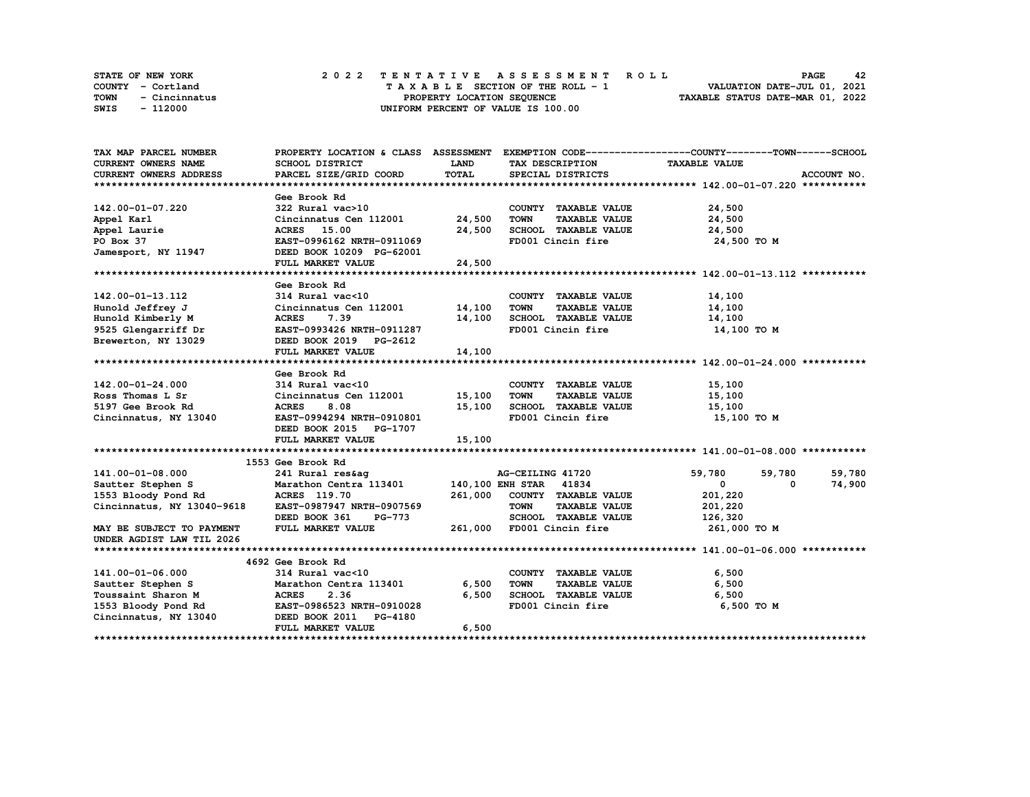| <b>STATE OF NEW YORK</b> | 2022 TENTATIVE ASSESSMENT ROLL     | 42<br><b>PAGE</b>                |
|--------------------------|------------------------------------|----------------------------------|
| COUNTY - Cortland        | TAXABLE SECTION OF THE ROLL - 1    | VALUATION DATE-JUL 01, 2021      |
| TOWN<br>- Cincinnatus    | PROPERTY LOCATION SEOUENCE         | TAXABLE STATUS DATE-MAR 01, 2022 |
| SWIS<br>- 112000         | UNIFORM PERCENT OF VALUE IS 100.00 |                                  |

| TAX MAP PARCEL NUMBER                                 |                                                   |        |                                           | PROPERTY LOCATION & CLASS ASSESSMENT EXEMPTION CODE----------------COUNTY-------TOWN-----SCHOOL |             |
|-------------------------------------------------------|---------------------------------------------------|--------|-------------------------------------------|-------------------------------------------------------------------------------------------------|-------------|
| CURRENT OWNERS NAME                                   | SCHOOL DISTRICT                                   | LAND   | TAX DESCRIPTION                           | <b>TAXABLE VALUE</b>                                                                            |             |
| CURRENT OWNERS ADDRESS                                | PARCEL SIZE/GRID COORD                            | TOTAL  | SPECIAL DISTRICTS                         |                                                                                                 | ACCOUNT NO. |
|                                                       |                                                   |        |                                           |                                                                                                 |             |
|                                                       | Gee Brook Rd                                      |        |                                           |                                                                                                 |             |
| 142.00-01-07.220                                      | 322 Rural vac>10                                  |        | COUNTY TAXABLE VALUE                      | 24,500                                                                                          |             |
| Appel Karl                                            | Cincinnatus Cen 112001 24,500                     |        | <b>TAXABLE VALUE</b><br>TOWN              | 24,500                                                                                          |             |
| Appel Laurie                                          | ACRES 15.00                                       | 24,500 | SCHOOL TAXABLE VALUE                      | 24,500                                                                                          |             |
| PO Box 37                                             | EAST-0996162 NRTH-0911069                         |        | FD001 Cincin fire                         | 24,500 TO M                                                                                     |             |
| Jamesport, NY 11947                                   | DEED BOOK 10209 PG-62001                          |        |                                           |                                                                                                 |             |
|                                                       | FULL MARKET VALUE                                 | 24,500 |                                           |                                                                                                 |             |
|                                                       |                                                   |        |                                           |                                                                                                 |             |
|                                                       | Gee Brook Rd                                      |        |                                           |                                                                                                 |             |
| 142.00-01-13.112                                      | 314 Rural vac<10                                  |        | COUNTY TAXABLE VALUE                      | 14,100                                                                                          |             |
| Hunold Jeffrey J                                      | Cincinnatus Cen 112001 14,100                     |        | <b>TOWN</b><br><b>TAXABLE VALUE</b>       | 14,100                                                                                          |             |
| Hunold Kimberly M                                     | <b>ACRES</b><br>7.39                              | 14,100 |                                           | 14,100                                                                                          |             |
| 9525 Glengarriff Dr                                   | EAST-0993426 NRTH-0911287                         |        | TOWN<br>SCHOOL TAXABLE VALUE<br>City fire | 14,100 TO M                                                                                     |             |
| Brewerton, NY 13029 DEED BOOK 2019 PG-2612            |                                                   |        |                                           |                                                                                                 |             |
|                                                       | FULL MARKET VALUE                                 | 14,100 |                                           |                                                                                                 |             |
|                                                       |                                                   |        |                                           |                                                                                                 |             |
|                                                       | Gee Brook Rd                                      |        |                                           |                                                                                                 |             |
| 142.00-01-24.000                                      |                                                   |        | COUNTY TAXABLE VALUE                      | 15,100                                                                                          |             |
| Ross Thomas L Sr                                      | 314 Rural vac<10<br>Cincinnatus Cen 112001 15,100 |        | TOWN<br><b>TAXABLE VALUE</b>              | 15,100                                                                                          |             |
| 5197 Gee Brook Rd                                     | <b>ACRES</b><br>8.08                              | 15,100 | SCHOOL TAXABLE VALUE 15,100               |                                                                                                 |             |
| Cincinnatus, NY 13040                                 | EAST-0994294 NRTH-0910801                         |        | FD001 Cincin fire                         | 15,100 TO M                                                                                     |             |
|                                                       | DEED BOOK 2015 PG-1707                            |        |                                           |                                                                                                 |             |
|                                                       | FULL MARKET VALUE                                 | 15,100 |                                           |                                                                                                 |             |
|                                                       |                                                   |        |                                           |                                                                                                 |             |
|                                                       | 1553 Gee Brook Rd                                 |        |                                           |                                                                                                 |             |
| 141.00-01-08.000                                      |                                                   |        |                                           | 59,780<br>59,780                                                                                | 59,780      |
| Sautter Stephen S                                     |                                                   |        |                                           | $\mathbf{0}$<br>$^{\circ}$                                                                      | 74,900      |
| 1553 Bloody Pond Rd                                   |                                                   |        | COUNTY TAXABLE VALUE                      | 201,220                                                                                         |             |
| Cincinnatus, NY 13040-9618                            | EAST-0987947 NRTH-0907569                         |        | <b>TOWN</b><br><b>TAXABLE VALUE</b>       | 201,220                                                                                         |             |
|                                                       | DEED BOOK 361<br><b>PG-773</b>                    |        | SCHOOL TAXABLE VALUE                      | 126,320                                                                                         |             |
| MAY BE SUBJECT TO PAYMENT                             | FULL MARKET VALUE                                 |        | 261,000 FD001 Cincin fire                 | 261,000 TO M                                                                                    |             |
| UNDER AGDIST LAW TIL 2026                             |                                                   |        |                                           |                                                                                                 |             |
|                                                       |                                                   |        |                                           |                                                                                                 |             |
|                                                       | 4692 Gee Brook Rd                                 |        |                                           |                                                                                                 |             |
| 141.00-01-06.000                                      | 314 Rural vac<10                                  |        | COUNTY TAXABLE VALUE                      | 6,500                                                                                           |             |
| Sautter Stephen S<br>Toussaint Sharon M<br>ACRES 2.36 |                                                   | 6,500  | <b>TOWN</b><br>TAXABLE VALUE              | 6,500                                                                                           |             |
|                                                       |                                                   | 6,500  | SCHOOL TAXABLE VALUE<br>FD001 Cincin fire | 6,500                                                                                           |             |
| 1553 Bloody Pond Rd EAST-0986523 NRTH-0910028         |                                                   |        |                                           | 6,500 TO M                                                                                      |             |
| Cincinnatus, NY 13040 DEED BOOK 2011 PG-4180          |                                                   |        |                                           |                                                                                                 |             |
|                                                       | FULL MARKET VALUE                                 | 6,500  |                                           |                                                                                                 |             |
|                                                       |                                                   |        |                                           |                                                                                                 |             |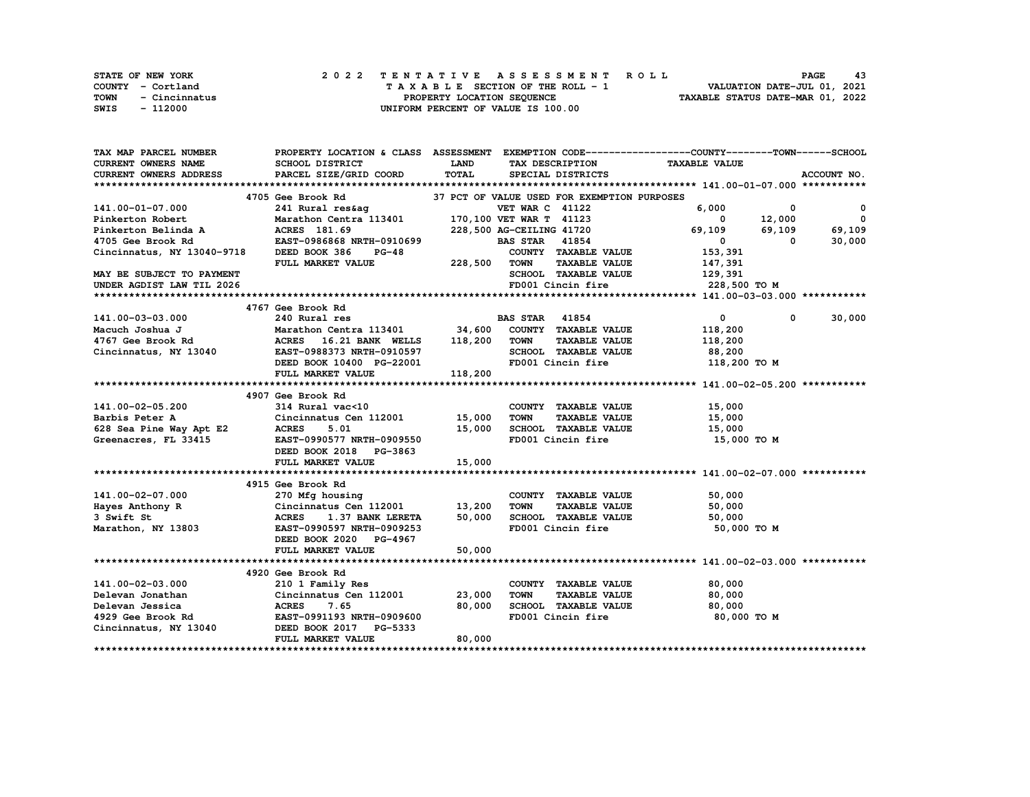|      | STATE OF NEW YORK |  | 2022 TENTATIVE ASSESSMENT ROLL |  |  |  |                                    |  |  |  |  |  |  |  |                                  |                             |  | <b>PAGE</b> |  | 43 |
|------|-------------------|--|--------------------------------|--|--|--|------------------------------------|--|--|--|--|--|--|--|----------------------------------|-----------------------------|--|-------------|--|----|
|      | COUNTY - Cortland |  |                                |  |  |  | TAXABLE SECTION OF THE ROLL - 1    |  |  |  |  |  |  |  |                                  | VALUATION DATE-JUL 01, 2021 |  |             |  |    |
| TOWN | - Cincinnatus     |  |                                |  |  |  | PROPERTY LOCATION SEQUENCE         |  |  |  |  |  |  |  | TAXABLE STATUS DATE-MAR 01, 2022 |                             |  |             |  |    |
| SWIS | - 112000          |  |                                |  |  |  | UNIFORM PERCENT OF VALUE IS 100.00 |  |  |  |  |  |  |  |                                  |                             |  |             |  |    |

| TAX MAP PARCEL NUMBER                                                                                                                                                                                            |                                                       |             |                                             | PROPERTY LOCATION & CLASS ASSESSMENT EXEMPTION CODE-----------------COUNTY-------TOWN------SCHOOL |             |
|------------------------------------------------------------------------------------------------------------------------------------------------------------------------------------------------------------------|-------------------------------------------------------|-------------|---------------------------------------------|---------------------------------------------------------------------------------------------------|-------------|
| <b>CURRENT OWNERS NAME</b>                                                                                                                                                                                       | <b>SCHOOL DISTRICT</b>                                | <b>LAND</b> | TAX DESCRIPTION TAXABLE VALUE               |                                                                                                   |             |
| CURRENT OWNERS ADDRESS                                                                                                                                                                                           | PARCEL SIZE/GRID COORD                                | TOTAL       | SPECIAL DISTRICTS                           |                                                                                                   | ACCOUNT NO. |
|                                                                                                                                                                                                                  |                                                       |             |                                             |                                                                                                   |             |
|                                                                                                                                                                                                                  | 4705 Gee Brook Rd                                     |             | 37 PCT OF VALUE USED FOR EXEMPTION PURPOSES |                                                                                                   |             |
| 141.00-01-07.000                                                                                                                                                                                                 |                                                       |             |                                             | 6,000<br>$\mathbf{0}$                                                                             | $\mathbf 0$ |
| Pinkerton Robert                                                                                                                                                                                                 |                                                       |             |                                             | $0 \t 12,000 \t 0$                                                                                |             |
|                                                                                                                                                                                                                  |                                                       |             |                                             | 69,109 69,109 69,109                                                                              |             |
|                                                                                                                                                                                                                  |                                                       |             |                                             | $\overline{\mathbf{0}}$<br>$\overline{\mathbf{0}}$                                                | 30,000      |
| Cincinnatus, NY 13040-9718                                                                                                                                                                                       | DEED BOOK 386 PG-48<br>FULL MARKET VALUE 228,500 TOWN |             | COUNTY TAXABLE VALUE 153,391                |                                                                                                   |             |
|                                                                                                                                                                                                                  |                                                       |             | TAXABLE VALUE                               |                                                                                                   |             |
| MAY BE SUBJECT TO PAYMENT                                                                                                                                                                                        |                                                       |             | SCHOOL TAXABLE VALUE                        | 147,391<br>129,391                                                                                |             |
| UNDER AGDIST LAW TIL 2026                                                                                                                                                                                        |                                                       |             | FD001 Cincin fire                           | 228,500 TO M                                                                                      |             |
|                                                                                                                                                                                                                  |                                                       |             |                                             |                                                                                                   |             |
|                                                                                                                                                                                                                  | 4767 Gee Brook Rd                                     |             |                                             |                                                                                                   |             |
| 141.00-03-03.000                                                                                                                                                                                                 | 240 Rural res                                         |             | <b>BAS STAR 41854</b>                       | $\mathbf{0}$<br>0                                                                                 | 30,000      |
|                                                                                                                                                                                                                  |                                                       |             |                                             | 118,200                                                                                           |             |
| Macuch Joshua J                          Marathon Centra 113401            34,600   COUNTY  TAXABLE VALUE<br>4767 Gee Brook Rd                   ACRES    16.21 BANK  WELLS     118,200   TOWN     TAXABLE VALUE |                                                       |             |                                             |                                                                                                   |             |
|                                                                                                                                                                                                                  |                                                       |             |                                             | 118,200                                                                                           |             |
| Cincinnatus, NY 13040 EAST-0988373 NRTH-0910597                                                                                                                                                                  |                                                       |             | SCHOOL TAXABLE VALUE 88,200                 |                                                                                                   |             |
|                                                                                                                                                                                                                  | DEED BOOK 10400 PG-22001                              |             | FD001 Cincin fire                           | 118,200 TO M                                                                                      |             |
|                                                                                                                                                                                                                  | FULL MARKET VALUE                                     | 118,200     |                                             |                                                                                                   |             |
|                                                                                                                                                                                                                  |                                                       |             |                                             |                                                                                                   |             |
|                                                                                                                                                                                                                  | 4907 Gee Brook Rd<br>$314$ Rural vac<10               |             |                                             |                                                                                                   |             |
| 141.00-02-05.200                                                                                                                                                                                                 |                                                       |             | COUNTY TAXABLE VALUE                        | 15,000                                                                                            |             |
|                                                                                                                                                                                                                  |                                                       |             | <b>TOWN</b>                                 | TAXABLE VALUE 15,000                                                                              |             |
| 628 Sea Pine Way Apt E2 ACRES 5.01 15,000 SCHOOL TAXABLE VALUE<br>Greenacres, FL 33415 EAST-0990577 NRTH-0909550 FD001 Cincin fire                                                                               |                                                       |             |                                             | 15,000<br>FD001 Cincin fire 15,000 TO M                                                           |             |
|                                                                                                                                                                                                                  |                                                       |             |                                             |                                                                                                   |             |
|                                                                                                                                                                                                                  | DEED BOOK 2018 PG-3863                                |             |                                             |                                                                                                   |             |
|                                                                                                                                                                                                                  | FULL MARKET VALUE                                     | 15,000      |                                             |                                                                                                   |             |
|                                                                                                                                                                                                                  |                                                       |             |                                             |                                                                                                   |             |
|                                                                                                                                                                                                                  | 4915 Gee Brook Rd                                     |             |                                             |                                                                                                   |             |
| 141.00-02-07.000                                                                                                                                                                                                 | 270 Mfg housing                                       |             | COUNTY TAXABLE VALUE                        | 50,000                                                                                            |             |
|                                                                                                                                                                                                                  |                                                       |             | <b>TOWN</b><br>TAXABLE VALUE                | 50,000                                                                                            |             |
| Marathon, NY 13803 EAST-0990597 NRTH-0909253                                                                                                                                                                     |                                                       |             | SCHOOL TAXABLE VALUE                        | 50,000                                                                                            |             |
|                                                                                                                                                                                                                  |                                                       |             | FD001 Cincin fire                           | 50,000 TO M                                                                                       |             |
|                                                                                                                                                                                                                  | DEED BOOK 2020 PG-4967                                |             |                                             |                                                                                                   |             |
|                                                                                                                                                                                                                  | FULL MARKET VALUE                                     | 50,000      |                                             |                                                                                                   |             |
|                                                                                                                                                                                                                  |                                                       |             |                                             |                                                                                                   |             |
|                                                                                                                                                                                                                  | 4920 Gee Brook Rd                                     |             |                                             |                                                                                                   |             |
| 141.00-02-03.000                                                                                                                                                                                                 | $210$ 1 Family Res                                    |             | COUNTY TAXABLE VALUE                        | 80,000                                                                                            |             |
| Delevan Jonathan                                                                                                                                                                                                 | Cincinnatus Cen 112001 23,000                         |             | <b>TOWN</b><br>TAXABLE VALUE                | 80,000                                                                                            |             |
| Delevan Jessica                                                                                                                                                                                                  | ACRES 7.65<br>EAST-0991193 NRTH-0909600               | 80,000      | SCHOOL TAXABLE VALUE 80,000                 |                                                                                                   |             |
| 4929 Gee Brook Rd                                                                                                                                                                                                |                                                       |             | FD001 Cincin fire                           | 80,000 TO M                                                                                       |             |
| Cincinnatus, NY 13040 DEED BOOK 2017 PG-5333                                                                                                                                                                     |                                                       |             |                                             |                                                                                                   |             |
|                                                                                                                                                                                                                  | FULL MARKET VALUE                                     | 80,000      |                                             |                                                                                                   |             |
|                                                                                                                                                                                                                  |                                                       |             |                                             |                                                                                                   |             |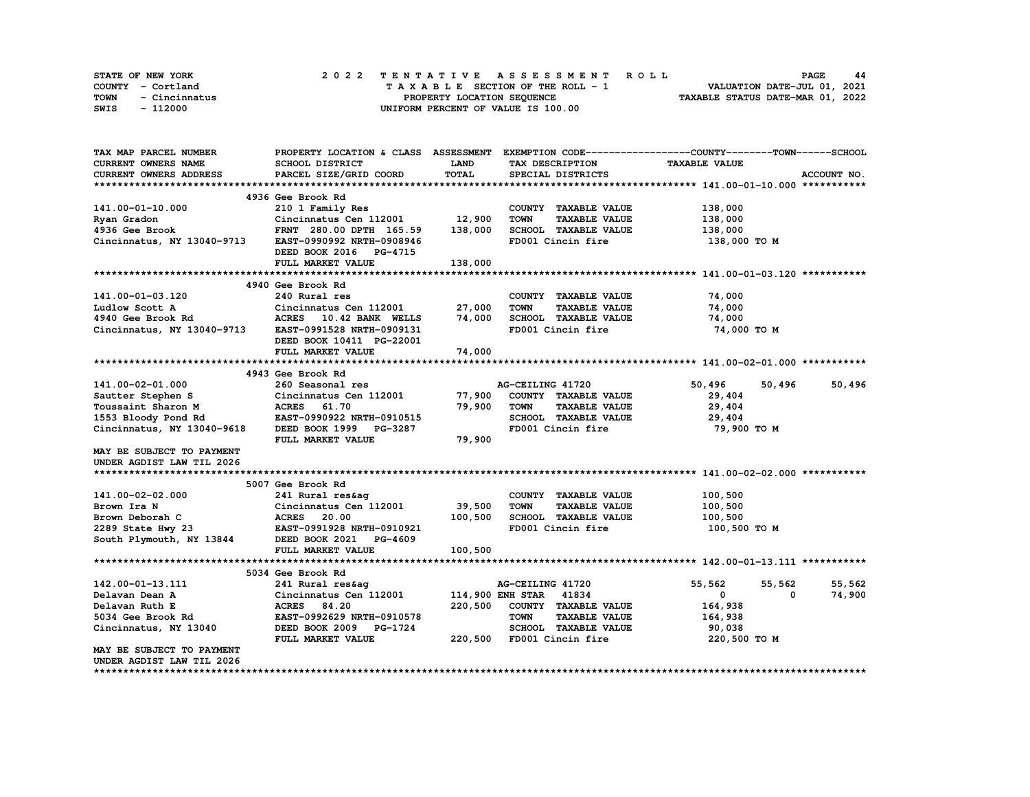|      | STATE OF NEW YORK | 2022 TENTATIVE ASSESSMENT ROLL     | <b>PAGE</b><br>44                |
|------|-------------------|------------------------------------|----------------------------------|
|      | COUNTY - Cortland | TAXABLE SECTION OF THE ROLL - 1    | VALUATION DATE-JUL 01, 2021      |
| TOWN | - Cincinnatus     | PROPERTY LOCATION SEQUENCE         | TAXABLE STATUS DATE-MAR 01, 2022 |
| SWIS | - 112000          | UNIFORM PERCENT OF VALUE IS 100.00 |                                  |

| TAX MAP PARCEL NUMBER                                            | PROPERTY LOCATION & CLASS ASSESSMENT |             |                                     | EXEMPTION CODE-----------------COUNTY-------TOWN------SCHOOL |             |
|------------------------------------------------------------------|--------------------------------------|-------------|-------------------------------------|--------------------------------------------------------------|-------------|
| <b>CURRENT OWNERS NAME</b>                                       | SCHOOL DISTRICT                      | <b>LAND</b> | TAX DESCRIPTION                     | <b>TAXABLE VALUE</b>                                         |             |
| CURRENT OWNERS ADDRESS                                           | PARCEL SIZE/GRID COORD               | TOTAL       | SPECIAL DISTRICTS                   |                                                              | ACCOUNT NO. |
|                                                                  |                                      |             |                                     |                                                              |             |
|                                                                  | 4936 Gee Brook Rd                    |             |                                     |                                                              |             |
| 141.00-01-10.000                                                 | 210 1 Family Res                     |             | COUNTY TAXABLE VALUE                | 138,000                                                      |             |
| Ryan Gradon                                                      | Cincinnatus Cen 112001               | 12,900      | <b>TOWN</b><br><b>TAXABLE VALUE</b> | 138,000                                                      |             |
| 4936 Gee Brook                                                   | FRNT 280.00 DPTH 165.59              | 138,000     | SCHOOL TAXABLE VALUE                | 138,000                                                      |             |
| Cincinnatus, NY 13040-9713                                       | EAST-0990992 NRTH-0908946            |             | FD001 Cincin fire                   | 138,000 то м                                                 |             |
|                                                                  | DEED BOOK 2016 PG-4715               |             |                                     |                                                              |             |
|                                                                  | FULL MARKET VALUE                    | 138,000     |                                     |                                                              |             |
|                                                                  |                                      |             |                                     |                                                              |             |
|                                                                  | 4940 Gee Brook Rd                    |             |                                     |                                                              |             |
| 141.00-01-03.120                                                 | 240 Rural res                        |             | COUNTY TAXABLE VALUE                | 74,000                                                       |             |
| Ludlow Scott A                                                   | Cincinnatus Cen 112001               | 27,000      | <b>TOWN</b><br><b>TAXABLE VALUE</b> | 74,000                                                       |             |
| 4940 Gee Brook Rd                                                |                                      | 74,000      | SCHOOL TAXABLE VALUE                |                                                              |             |
|                                                                  | ACRES 10.42 BANK WELLS               |             |                                     | 74,000                                                       |             |
| Cincinnatus, NY 13040-9713                                       | EAST-0991528 NRTH-0909131            |             | FD001 Cincin fire                   | 74,000 TO M                                                  |             |
|                                                                  | DEED BOOK 10411 PG-22001             |             |                                     |                                                              |             |
|                                                                  | FULL MARKET VALUE                    | 74,000      |                                     |                                                              |             |
|                                                                  |                                      |             |                                     |                                                              |             |
|                                                                  | 4943 Gee Brook Rd                    |             |                                     |                                                              |             |
| 141.00-02-01.000                                                 | 260 Seasonal res                     |             | AG-CEILING 41720                    | 50,496<br>50,496                                             | 50,496      |
| Sautter Stephen S                                                | Cincinnatus Cen 112001               | 77,900      | COUNTY TAXABLE VALUE                | 29,404                                                       |             |
| Toussaint Sharon M                                               | ACRES 61.70                          | 79,900      | <b>TOWN</b><br><b>TAXABLE VALUE</b> | 29,404                                                       |             |
| 1553 Bloody Pond Rd                                              | EAST-0990922 NRTH-0910515            |             | SCHOOL TAXABLE VALUE                | 29,404                                                       |             |
| Cincinnatus, NY 13040-9618                                       | DEED BOOK 1999 PG-3287               |             | FD001 Cincin fire                   | 79,900 то м                                                  |             |
|                                                                  | FULL MARKET VALUE                    | 79,900      |                                     |                                                              |             |
| MAY BE SUBJECT TO PAYMENT                                        |                                      |             |                                     |                                                              |             |
| UNDER AGDIST LAW TIL 2026                                        |                                      |             |                                     |                                                              |             |
|                                                                  |                                      |             |                                     |                                                              |             |
|                                                                  | 5007 Gee Brook Rd                    |             |                                     |                                                              |             |
| 141.00-02-02.000                                                 | 241 Rural res&ag                     |             | COUNTY TAXABLE VALUE                | 100,500                                                      |             |
| Brown Ira N                                                      | Cincinnatus Cen 112001               | 39,500      | <b>TOWN</b><br><b>TAXABLE VALUE</b> | 100,500                                                      |             |
| Brown Deborah C<br>2289 State Hwy 23<br>South Plymouth, NY 13844 | <b>ACRES</b><br>20.00                | 100,500     | SCHOOL TAXABLE VALUE                | 100,500                                                      |             |
|                                                                  | EAST-0991928 NRTH-0910921            |             | FD001 Cincin fire                   | 100,500 то м                                                 |             |
|                                                                  | DEED BOOK 2021 PG-4609               |             |                                     |                                                              |             |
|                                                                  | FULL MARKET VALUE                    | 100,500     |                                     |                                                              |             |
|                                                                  |                                      |             |                                     |                                                              |             |
|                                                                  | 5034 Gee Brook Rd                    |             |                                     |                                                              |             |
| 142.00-01-13.111                                                 | 241 Rural res&ag                     |             | AG-CEILING 41720                    | 55,562<br>55,562                                             | 55,562      |
| Delavan Dean A                                                   | Cincinnatus Cen 112001               |             | 114,900 ENH STAR 41834              | $\mathbf{0}$<br>$^{\circ}$                                   | 74,900      |
| Delavan Ruth E                                                   | ACRES 84.20                          | 220,500     | COUNTY TAXABLE VALUE                | 164,938                                                      |             |
| 5034 Gee Brook Rd                                                | EAST-0992629 NRTH-0910578            |             | <b>TOWN</b><br><b>TAXABLE VALUE</b> | 164,938                                                      |             |
| Cincinnatus, NY 13040                                            | DEED BOOK 2009 PG-1724               |             | SCHOOL TAXABLE VALUE                | 90,038                                                       |             |
|                                                                  |                                      |             |                                     |                                                              |             |
|                                                                  | FULL MARKET VALUE                    |             | 220,500 FD001 Cincin fire           | 220,500 TO M                                                 |             |
| MAY BE SUBJECT TO PAYMENT                                        |                                      |             |                                     |                                                              |             |
| UNDER AGDIST LAW TIL 2026                                        |                                      |             |                                     |                                                              |             |
|                                                                  |                                      |             |                                     |                                                              |             |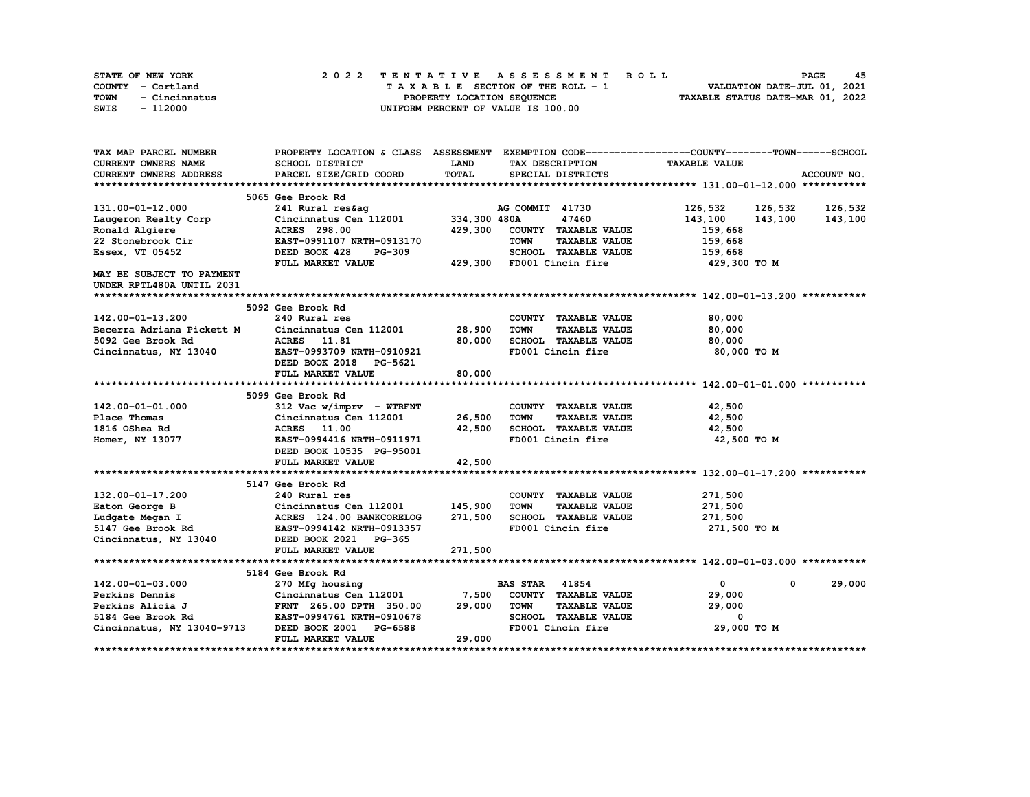| <b>STATE OF NEW YORK</b> | 2022 TENTATIVE ASSESSMENT ROLL     | 45<br><b>PAGE</b>                |
|--------------------------|------------------------------------|----------------------------------|
| COUNTY - Cortland        | TAXABLE SECTION OF THE ROLL - 1    | VALUATION DATE-JUL 01, 2021      |
| TOWN<br>- Cincinnatus    | PROPERTY LOCATION SEQUENCE         | TAXABLE STATUS DATE-MAR 01, 2022 |
| - 112000<br>SWIS         | UNIFORM PERCENT OF VALUE IS 100.00 |                                  |

| TAX MAP PARCEL NUMBER         |                                 |              |                                     | PROPERTY LOCATION & CLASS ASSESSMENT EXEMPTION CODE----------------COUNTY-------TOWN-----SCHOOL |             |
|-------------------------------|---------------------------------|--------------|-------------------------------------|-------------------------------------------------------------------------------------------------|-------------|
| <b>CURRENT OWNERS NAME</b>    | SCHOOL DISTRICT                 | <b>LAND</b>  | TAX DESCRIPTION                     | <b>TAXABLE VALUE</b>                                                                            |             |
| <b>CURRENT OWNERS ADDRESS</b> | PARCEL SIZE/GRID COORD          | TOTAL        | SPECIAL DISTRICTS                   |                                                                                                 | ACCOUNT NO. |
|                               |                                 |              |                                     |                                                                                                 |             |
|                               | 5065 Gee Brook Rd               |              |                                     |                                                                                                 |             |
| 131.00-01-12.000              | 241 Rural res&ag                |              | AG COMMIT 41730                     | 126,532 126,532                                                                                 | 126,532     |
| Laugeron Realty Corp          | Cincinnatus Cen 112001          | 334,300 480A | 47460                               | 143,100<br>143,100                                                                              | 143,100     |
| Ronald Algiere                | <b>ACRES</b> 298.00             | 429,300      | COUNTY TAXABLE VALUE                | 159,668                                                                                         |             |
| 22 Stonebrook Cir             | EAST-0991107 NRTH-0913170       |              | <b>TOWN</b><br><b>TAXABLE VALUE</b> | 159,668                                                                                         |             |
| Essex, VT 05452               | DEED BOOK 428<br><b>PG-309</b>  |              | SCHOOL TAXABLE VALUE                | 159,668                                                                                         |             |
|                               | FULL MARKET VALUE               | 429,300      | FD001 Cincin fire                   | 429,300 то м                                                                                    |             |
| MAY BE SUBJECT TO PAYMENT     |                                 |              |                                     |                                                                                                 |             |
| UNDER RPTL480A UNTIL 2031     |                                 |              |                                     |                                                                                                 |             |
|                               |                                 |              |                                     |                                                                                                 |             |
|                               | 5092 Gee Brook Rd               |              |                                     |                                                                                                 |             |
| 142.00-01-13.200              | 240 Rural res                   |              | COUNTY TAXABLE VALUE                | 80,000                                                                                          |             |
| Becerra Adriana Pickett M     | Cincinnatus Cen 112001          | 28,900       | <b>TOWN</b><br><b>TAXABLE VALUE</b> | 80,000                                                                                          |             |
| 5092 Gee Brook Rd             | ACRES 11.81                     | 80,000       | SCHOOL TAXABLE VALUE                | 80,000                                                                                          |             |
|                               | EAST-0993709 NRTH-0910921       |              | FD001 Cincin fire                   | 80,000 TO M                                                                                     |             |
| Cincinnatus, NY 13040         |                                 |              |                                     |                                                                                                 |             |
|                               | DEED BOOK 2018 PG-5621          |              |                                     |                                                                                                 |             |
|                               | FULL MARKET VALUE               | 80,000       |                                     |                                                                                                 |             |
|                               |                                 |              |                                     |                                                                                                 |             |
|                               | 5099 Gee Brook Rd               |              |                                     |                                                                                                 |             |
| 142.00-01-01.000              | 312 Vac w/imprv - WTRFNT        |              | COUNTY TAXABLE VALUE                | 42,500                                                                                          |             |
| Place Thomas                  | Cincinnatus Cen 112001          | 26,500       | <b>TOWN</b><br><b>TAXABLE VALUE</b> | 42,500                                                                                          |             |
| 1816 OShea Rd                 | ACRES 11.00                     | 42,500       | SCHOOL TAXABLE VALUE                | 42,500                                                                                          |             |
| Homer, NY 13077               | EAST-0994416 NRTH-0911971       |              | FD001 Cincin fire                   | 42,500 TO M                                                                                     |             |
|                               | DEED BOOK 10535 PG-95001        |              |                                     |                                                                                                 |             |
|                               | FULL MARKET VALUE               | 42,500       |                                     |                                                                                                 |             |
|                               |                                 |              |                                     |                                                                                                 |             |
|                               | 5147 Gee Brook Rd               |              |                                     |                                                                                                 |             |
| 132.00-01-17.200              | 240 Rural res                   |              | COUNTY TAXABLE VALUE                | 271,500                                                                                         |             |
| Eaton George B                | Cincinnatus Cen 112001          | 145,900      | <b>TOWN</b><br><b>TAXABLE VALUE</b> | 271,500                                                                                         |             |
| Ludgate Megan I               | ACRES 124.00 BANKCORELOG        | 271,500      | SCHOOL TAXABLE VALUE                | 271,500                                                                                         |             |
| 5147 Gee Brook Rd             | EAST-0994142 NRTH-0913357       |              | FD001 Cincin fire                   | 271,500 TO M                                                                                    |             |
| Cincinnatus, NY 13040         | DEED BOOK 2021<br><b>PG-365</b> |              |                                     |                                                                                                 |             |
|                               | FULL MARKET VALUE               | 271,500      |                                     |                                                                                                 |             |
|                               |                                 |              |                                     |                                                                                                 |             |
|                               | 5184 Gee Brook Rd               |              |                                     |                                                                                                 |             |
| 142.00-01-03.000              | 270 Mfg housing                 |              | <b>BAS STAR 41854</b>               | $\overline{0}$<br>$\mathbf{0}$                                                                  | 29,000      |
| Perkins Dennis                | Cincinnatus Cen 112001          | 7,500        | COUNTY TAXABLE VALUE                | 29,000                                                                                          |             |
| Perkins Alicia J              | FRNT 265.00 DPTH 350.00         | 29,000       | <b>TOWN</b><br><b>TAXABLE VALUE</b> | 29,000                                                                                          |             |
| 5184 Gee Brook Rd             | EAST-0994761 NRTH-0910678       |              | SCHOOL TAXABLE VALUE                | $\mathbf{o}$                                                                                    |             |
| Cincinnatus, NY 13040-9713    | DEED BOOK 2001 PG-6588          |              | FD001 Cincin fire                   | 29,000 TO M                                                                                     |             |
|                               | FULL MARKET VALUE               | 29,000       |                                     |                                                                                                 |             |
|                               |                                 |              |                                     |                                                                                                 |             |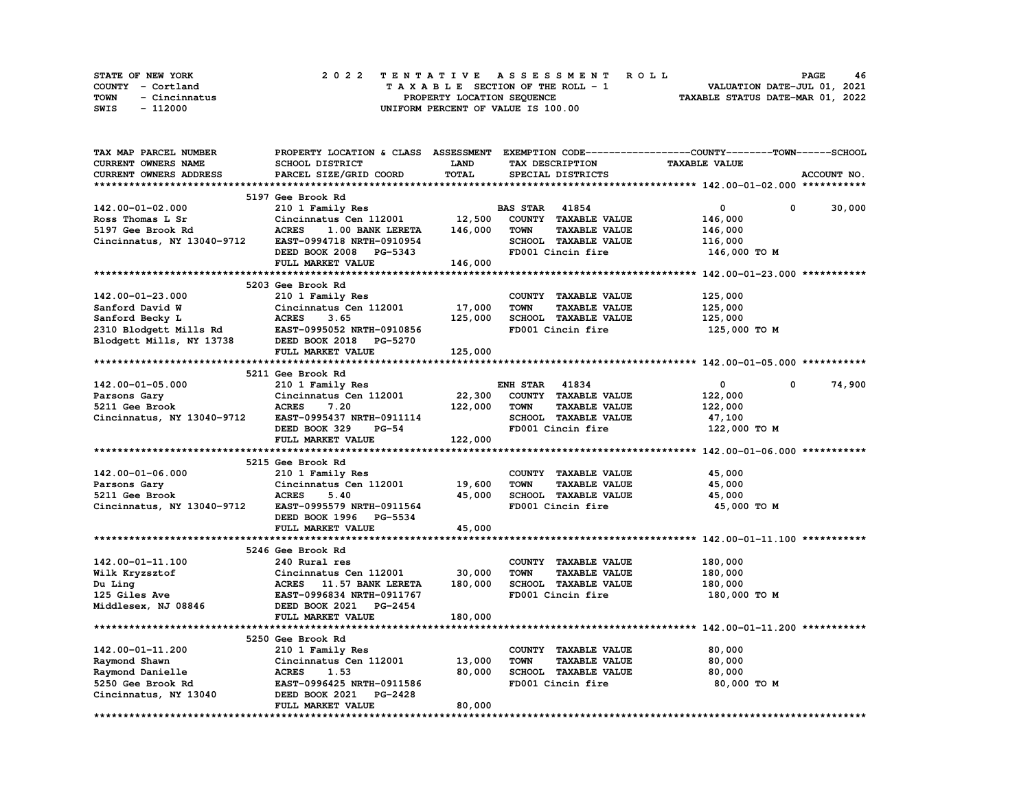| STATE OF NEW YORK     | 2022 TENTATIVE ASSESSMENT ROLL     | 46<br><b>PAGE</b>                |
|-----------------------|------------------------------------|----------------------------------|
| COUNTY - Cortland     | TAXABLE SECTION OF THE ROLL - 1    | VALUATION DATE-JUL 01, 2021      |
| TOWN<br>- Cincinnatus | PROPERTY LOCATION SEQUENCE         | TAXABLE STATUS DATE-MAR 01, 2022 |
| SWIS<br>- 112000      | UNIFORM PERCENT OF VALUE IS 100.00 |                                  |

| TAX MAP PARCEL NUMBER                            |                                                |             |                                     | PROPERTY LOCATION & CLASS ASSESSMENT EXEMPTION CODE----------------COUNTY-------TOWN-----SCHOOL |             |
|--------------------------------------------------|------------------------------------------------|-------------|-------------------------------------|-------------------------------------------------------------------------------------------------|-------------|
| <b>CURRENT OWNERS NAME</b>                       | SCHOOL DISTRICT                                | <b>LAND</b> | TAX DESCRIPTION                     | <b>TAXABLE VALUE</b>                                                                            |             |
| CURRENT OWNERS ADDRESS                           | PARCEL SIZE/GRID COORD                         | TOTAL       | SPECIAL DISTRICTS                   |                                                                                                 | ACCOUNT NO. |
|                                                  |                                                |             |                                     |                                                                                                 |             |
|                                                  | 5197 Gee Brook Rd                              |             |                                     |                                                                                                 |             |
| 142.00-01-02.000                                 | 210 1 Family Res                               |             | <b>BAS STAR 41854</b>               | $\mathbf{0}$<br>$\mathbf 0$                                                                     | 30,000      |
| Ross Thomas L Sr                                 | Cincinnatus Cen 112001                         | 12,500      | COUNTY TAXABLE VALUE                | 146,000                                                                                         |             |
| 5197 Gee Brook Rd                                | <b>ACRES</b><br>1.00 BANK LERETA               | 146,000     | <b>TOWN</b><br><b>TAXABLE VALUE</b> | 146,000                                                                                         |             |
| Cincinnatus, NY 13040-9712                       | EAST-0994718 NRTH-0910954                      |             | SCHOOL TAXABLE VALUE                | 116,000                                                                                         |             |
|                                                  | DEED BOOK 2008 PG-5343                         |             | FD001 Cincin fire                   | 146,000 TO M                                                                                    |             |
|                                                  | FULL MARKET VALUE                              | 146,000     |                                     |                                                                                                 |             |
|                                                  |                                                |             |                                     |                                                                                                 |             |
|                                                  | 5203 Gee Brook Rd                              |             |                                     |                                                                                                 |             |
| 142.00-01-23.000                                 | 210 1 Family Res                               |             | COUNTY TAXABLE VALUE                | 125,000                                                                                         |             |
| Sanford David W                                  | Cincinnatus Cen 112001                         | 17,000      | <b>TOWN</b><br><b>TAXABLE VALUE</b> | 125,000                                                                                         |             |
| Sanford Becky L                                  | <b>ACRES</b><br>3.65                           | 125,000     | SCHOOL TAXABLE VALUE                | 125,000                                                                                         |             |
| 3200 Blodgett Mills Rd EAST-0995052 NRTH-0910856 |                                                |             | FD001 Cincin fire                   | 125,000 TO M                                                                                    |             |
| Blodgett Mills, NY 13738                         | DEED BOOK 2018 PG-5270                         |             |                                     |                                                                                                 |             |
|                                                  | FULL MARKET VALUE                              | 125,000     |                                     |                                                                                                 |             |
|                                                  |                                                |             |                                     |                                                                                                 |             |
|                                                  | 5211 Gee Brook Rd                              |             |                                     |                                                                                                 |             |
|                                                  |                                                |             | <b>ENH STAR 41834</b>               | $\mathbf 0$<br>$^{\circ}$                                                                       | 74,900      |
| $142.00 - 01 - 05.000$                           | 210 1 Family Res                               | 22,300      | COUNTY TAXABLE VALUE                | 122,000                                                                                         |             |
| Parsons Gary<br>5211 Gee Brook                   | Cincinnatus Cen 112001<br><b>ACRES</b><br>7.20 | 122,000     | <b>TOWN</b><br><b>TAXABLE VALUE</b> |                                                                                                 |             |
|                                                  |                                                |             |                                     | 122,000                                                                                         |             |
| Cincinnatus, NY 13040-9712                       | EAST-0995437 NRTH-0911114                      |             | SCHOOL TAXABLE VALUE                | 47,100                                                                                          |             |
|                                                  | DEED BOOK 329<br><b>PG-54</b>                  |             | FD001 Cincin fire                   | 122,000 TO M                                                                                    |             |
|                                                  | FULL MARKET VALUE                              | 122,000     |                                     |                                                                                                 |             |
|                                                  |                                                |             |                                     |                                                                                                 |             |
|                                                  | 5215 Gee Brook Rd                              |             |                                     |                                                                                                 |             |
| 142.00-01-06.000                                 | 210 1 Family Res                               |             | COUNTY TAXABLE VALUE                | 45,000                                                                                          |             |
| Parsons Gary                                     | Cincinnatus Cen 112001                         | 19,600      | <b>TOWN</b><br><b>TAXABLE VALUE</b> | 45,000                                                                                          |             |
| 5211 Gee Brook                                   | <b>ACRES</b><br>5.40                           | 45,000      | SCHOOL TAXABLE VALUE                | 45,000                                                                                          |             |
| Cincinnatus, NY 13040-9712                       | EAST-0995579 NRTH-0911564                      |             | FD001 Cincin fire                   | 45,000 TO M                                                                                     |             |
|                                                  | DEED BOOK 1996 PG-5534                         |             |                                     |                                                                                                 |             |
|                                                  | FULL MARKET VALUE                              | 45,000      |                                     |                                                                                                 |             |
|                                                  |                                                |             |                                     |                                                                                                 |             |
|                                                  | 5246 Gee Brook Rd                              |             |                                     |                                                                                                 |             |
| 142.00-01-11.100                                 | 240 Rural res                                  |             | COUNTY TAXABLE VALUE                | 180,000                                                                                         |             |
| Wilk Kryzsztof                                   | Cincinnatus Cen 112001                         | 30,000      | <b>TOWN</b><br><b>TAXABLE VALUE</b> | 180,000                                                                                         |             |
| Du Ling                                          | ACRES 11.57 BANK LERETA                        | 180,000     | SCHOOL TAXABLE VALUE                | 180,000                                                                                         |             |
| 125 Giles Ave                                    | EAST-0996834 NRTH-0911767                      |             | FD001 Cincin fire                   | 180,000 TO M                                                                                    |             |
| Middlesex, NJ 08846                              | DEED BOOK 2021 PG-2454                         |             |                                     |                                                                                                 |             |
|                                                  | FULL MARKET VALUE                              | 180,000     |                                     |                                                                                                 |             |
|                                                  |                                                |             |                                     |                                                                                                 |             |
|                                                  | 5250 Gee Brook Rd                              |             |                                     |                                                                                                 |             |
| 142.00-01-11.200                                 | 210 1 Family Res                               |             | COUNTY TAXABLE VALUE                | 80,000                                                                                          |             |
| Raymond Shawn                                    | Cincinnatus Cen 112001 13,000                  |             | <b>TOWN</b><br><b>TAXABLE VALUE</b> | 80,000                                                                                          |             |
| Raymond Danielle                                 | <b>ACRES</b><br>1.53                           | 80,000      | SCHOOL TAXABLE VALUE                | 80,000                                                                                          |             |
| 5250 Gee Brook Rd                                | EAST-0996425 NRTH-0911586                      |             | FD001 Cincin fire                   | 80,000 TO M                                                                                     |             |
| Cincinnatus, NY 13040                            | DEED BOOK 2021 PG-2428                         |             |                                     |                                                                                                 |             |
|                                                  | FULL MARKET VALUE                              | 80,000      |                                     |                                                                                                 |             |
|                                                  |                                                |             |                                     |                                                                                                 |             |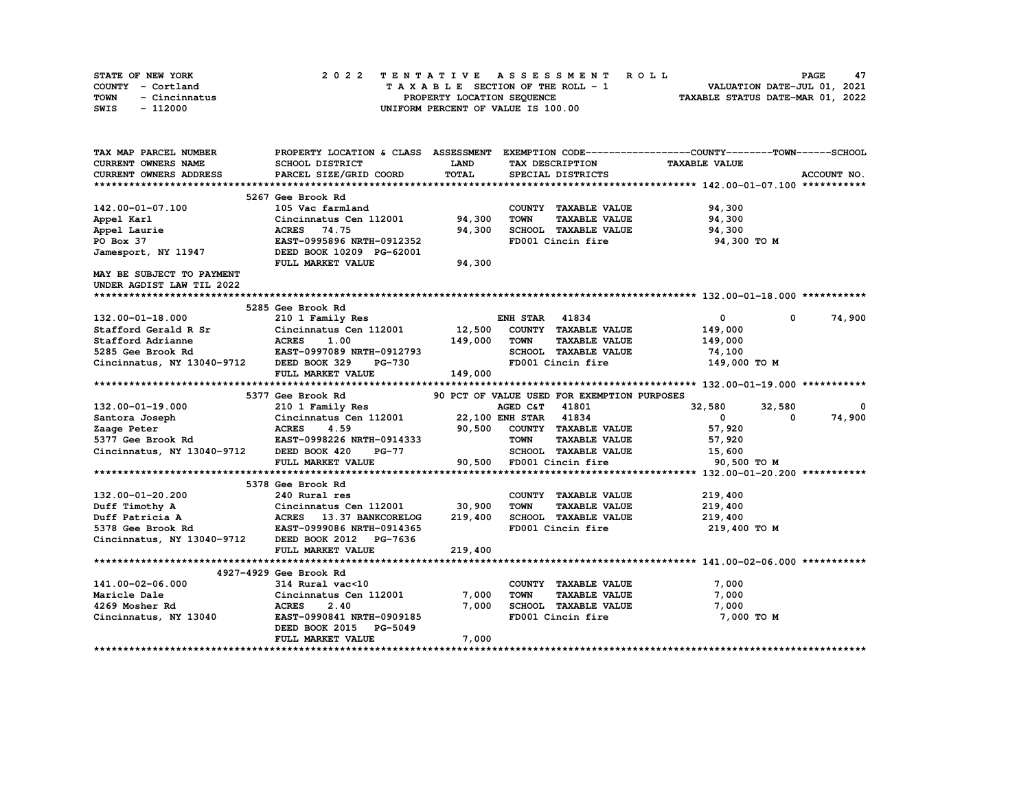| STATE OF NEW YORK     | 2022 TENTATIVE ASSESSMENT ROLL     | 47<br><b>PAGE</b>                |
|-----------------------|------------------------------------|----------------------------------|
| COUNTY - Cortland     | TAXABLE SECTION OF THE ROLL - 1    | VALUATION DATE-JUL 01, 2021      |
| TOWN<br>- Cincinnatus | PROPERTY LOCATION SEOUENCE         | TAXABLE STATUS DATE-MAR 01, 2022 |
| - 112000<br>SWIS      | UNIFORM PERCENT OF VALUE IS 100.00 |                                  |

| TAX MAP PARCEL NUMBER                              |                                                   |                   |                                                                                     | PROPERTY LOCATION & CLASS ASSESSMENT EXEMPTION CODE----------------COUNTY-------TOWN-----SCHOOL |             |
|----------------------------------------------------|---------------------------------------------------|-------------------|-------------------------------------------------------------------------------------|-------------------------------------------------------------------------------------------------|-------------|
| CURRENT OWNERS NAME                                | SCHOOL DISTRICT                                   | <b>LAND</b>       | TAX DESCRIPTION                                                                     | <b>TAXABLE VALUE</b>                                                                            |             |
| <b>CURRENT OWNERS ADDRESS</b>                      | PARCEL SIZE/GRID COORD                            | TOTAL             | SPECIAL DISTRICTS                                                                   |                                                                                                 | ACCOUNT NO. |
|                                                    |                                                   |                   |                                                                                     |                                                                                                 |             |
|                                                    | 5267 Gee Brook Rd                                 |                   |                                                                                     |                                                                                                 |             |
| 142.00-01-07.100                                   | 105 Vac farmland                                  |                   | COUNTY TAXABLE VALUE                                                                | 94,300                                                                                          |             |
| Appel Karl                                         | Cincinnatus Cen 112001                            | 94,300            | <b>TOWN</b><br><b>TAXABLE VALUE</b>                                                 | 94,300                                                                                          |             |
| Appel Laurie                                       | ACRES 74.75                                       | 94,300            | SCHOOL TAXABLE VALUE                                                                | 94,300                                                                                          |             |
| PO Box 37                                          | EAST-0995896 NRTH-0912352                         |                   | FD001 Cincin fire                                                                   | 94,300 TO M                                                                                     |             |
| Jamesport, NY 11947                                | DEED BOOK 10209 PG-62001                          |                   |                                                                                     |                                                                                                 |             |
|                                                    | FULL MARKET VALUE                                 | 94,300            |                                                                                     |                                                                                                 |             |
| MAY BE SUBJECT TO PAYMENT                          |                                                   |                   |                                                                                     |                                                                                                 |             |
| UNDER AGDIST LAW TIL 2022                          |                                                   |                   |                                                                                     |                                                                                                 |             |
|                                                    |                                                   |                   |                                                                                     |                                                                                                 |             |
|                                                    | 5285 Gee Brook Rd                                 |                   |                                                                                     |                                                                                                 |             |
| 132.00-01-18.000                                   | 210 1 Family Res                                  |                   | <b>ENH STAR 41834</b>                                                               | $\mathbf{0}$<br>$^{\circ}$                                                                      | 74,900      |
| Stafford Gerald R Sr<br>- Command Marianne         | Cincinnatus Cen 112001                            |                   | COUNTY TAXABLE VALUE                                                                | 149,000                                                                                         |             |
|                                                    | Cincir<br>ACRES<br>1.00                           | 12,500<br>149,000 | TOWN<br><b>TAXABLE VALUE</b>                                                        | 149,000                                                                                         |             |
| 5285 Gee Brook Rd                                  | EAST-0997089 NRTH-0912793                         |                   | SCHOOL TAXABLE VALUE                                                                | 74,100                                                                                          |             |
| Cincinnatus, NY 13040-9712                         | DEED BOOK 329<br>PG-730                           |                   | FD001 Cincin fire                                                                   | 149,000 TO M                                                                                    |             |
|                                                    | FULL MARKET VALUE                                 | 149,000           |                                                                                     |                                                                                                 |             |
|                                                    |                                                   |                   |                                                                                     |                                                                                                 |             |
|                                                    | 5377 Gee Brook Rd                                 |                   | 90 PCT OF VALUE USED FOR EXEMPTION PURPOSES                                         |                                                                                                 |             |
| 132.00-01-19.000                                   | 210 1 Family Res                                  |                   | 41801<br>AGED C&T                                                                   | 32,580<br>32,580                                                                                | 0           |
| Santora Joseph                                     | Cincinnatus Cen 112001                            |                   | 22,100 ENH STAR 41834                                                               | $\mathbf{0}$<br>$^{\circ}$                                                                      | 74,900      |
| Zaage Peter                                        | <b>ACRES</b><br>4.59                              |                   | 90,500 COUNTY TAXABLE VALUE                                                         | 57,920                                                                                          |             |
| 5377 Gee Brook Rd <b>EAST-0998226 NRTH-0914333</b> |                                                   |                   | <b>TAXABLE VALUE</b><br><b>TOWN</b>                                                 | 57,920                                                                                          |             |
| Cincinnatus, NY 13040-9712                         | DEED BOOK 420<br><b>PG-77</b>                     |                   |                                                                                     |                                                                                                 |             |
|                                                    | FULL MARKET VALUE                                 |                   | SCHOOL TAXABLE VALUE 15,600<br>FD001 Cincin fire 90,500<br>90,500 FD001 Cincin fire | 90,500 TO M                                                                                     |             |
|                                                    |                                                   |                   |                                                                                     |                                                                                                 |             |
|                                                    | 5378 Gee Brook Rd                                 |                   |                                                                                     |                                                                                                 |             |
| 132.00-01-20.200                                   | 240 Rural res                                     |                   | COUNTY TAXABLE VALUE                                                                | 219,400                                                                                         |             |
| Duff Timothy A                                     |                                                   | 30,900            | <b>TOWN</b><br><b>TAXABLE VALUE</b>                                                 | 219,400                                                                                         |             |
| Duff Patricia A                                    | Cincinnatus Cen 112001<br>ACRES 13.37 BANKCORELOG | 219,400           | SCHOOL TAXABLE VALUE                                                                | 219,400                                                                                         |             |
| 5378 Gee Brook Rd                                  | EAST-0999086 NRTH-0914365                         |                   | FD001 Cincin fire                                                                   | 219,400 то м                                                                                    |             |
| Cincinnatus, NY 13040-9712 DEED BOOK 2012 PG-7636  |                                                   |                   |                                                                                     |                                                                                                 |             |
|                                                    | FULL MARKET VALUE                                 | 219,400           |                                                                                     |                                                                                                 |             |
|                                                    |                                                   |                   |                                                                                     |                                                                                                 |             |
|                                                    | 4927-4929 Gee Brook Rd                            |                   |                                                                                     |                                                                                                 |             |
| 141.00-02-06.000                                   | 314 Rural vac<10                                  |                   | COUNTY TAXABLE VALUE                                                                | 7,000                                                                                           |             |
| Maricle Dale                                       | Cincinnatus Cen 112001                            | 7,000             | <b>TOWN</b><br><b>TAXABLE VALUE</b>                                                 | 7,000                                                                                           |             |
| 4269 Mosher Rd                                     | <b>ACRES</b><br>2.40                              | 7,000             | SCHOOL TAXABLE VALUE                                                                | 7,000                                                                                           |             |
| Cincinnatus, NY 13040                              | EAST-0990841 NRTH-0909185                         |                   | FD001 Cincin fire                                                                   | 7,000 TO M                                                                                      |             |
|                                                    | DEED BOOK 2015<br><b>PG-5049</b>                  |                   |                                                                                     |                                                                                                 |             |
|                                                    | FULL MARKET VALUE                                 | 7,000             |                                                                                     |                                                                                                 |             |
|                                                    |                                                   |                   |                                                                                     |                                                                                                 |             |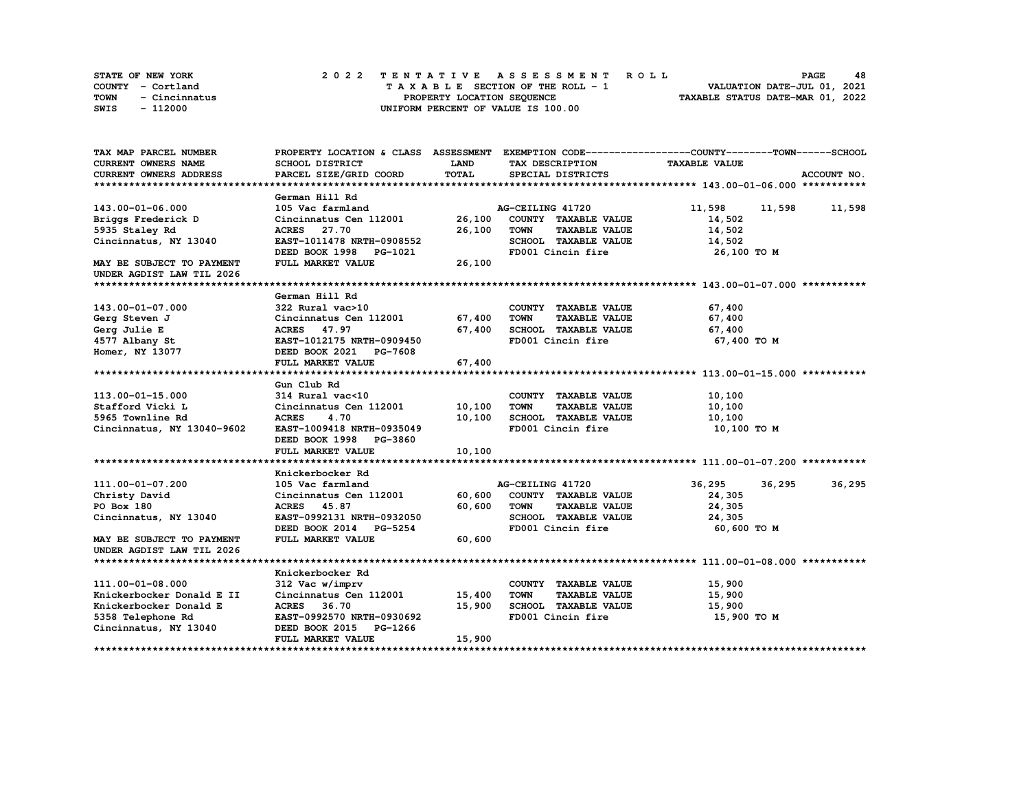| <b>STATE OF NEW YORK</b> | 2022 TENTATIVE ASSESSMENT ROLL     | 48<br><b>PAGE</b>                |
|--------------------------|------------------------------------|----------------------------------|
| COUNTY - Cortland        | TAXABLE SECTION OF THE ROLL - 1    | VALUATION DATE-JUL 01, 2021      |
| TOWN<br>- Cincinnatus    | PROPERTY LOCATION SEQUENCE         | TAXABLE STATUS DATE-MAR 01, 2022 |
| - 112000<br>SWIS         | UNIFORM PERCENT OF VALUE IS 100.00 |                                  |

| TAX MAP PARCEL NUMBER         |                               |              |                                     | PROPERTY LOCATION & CLASS ASSESSMENT EXEMPTION CODE----------------COUNTY-------TOWN------SCHOOL |               |
|-------------------------------|-------------------------------|--------------|-------------------------------------|--------------------------------------------------------------------------------------------------|---------------|
| CURRENT OWNERS NAME           | <b>SCHOOL DISTRICT</b>        | <b>LAND</b>  | TAX DESCRIPTION                     | <b>TAXABLE VALUE</b>                                                                             |               |
| <b>CURRENT OWNERS ADDRESS</b> | PARCEL SIZE/GRID COORD        | <b>TOTAL</b> | SPECIAL DISTRICTS                   |                                                                                                  | ACCOUNT NO.   |
|                               |                               |              |                                     |                                                                                                  |               |
|                               | German Hill Rd                |              |                                     |                                                                                                  |               |
| 143.00-01-06.000              | 105 Vac farmland              |              | AG-CEILING 41720                    | 11,598                                                                                           | 11,598 11,598 |
| Briggs Frederick D            | Cincinnatus Cen 112001        | 26,100       | COUNTY TAXABLE VALUE                | 14,502                                                                                           |               |
| 5935 Staley Rd                | ACRES 27.70                   | 26,100       | <b>TOWN</b><br><b>TAXABLE VALUE</b> | 14,502                                                                                           |               |
| Cincinnatus, NY 13040         | EAST-1011478 NRTH-0908552     |              | SCHOOL TAXABLE VALUE                | 14,502                                                                                           |               |
|                               | DEED BOOK 1998 PG-1021        |              | FD001 Cincin fire                   | 26,100 то м                                                                                      |               |
| MAY BE SUBJECT TO PAYMENT     | FULL MARKET VALUE             | 26,100       |                                     |                                                                                                  |               |
| UNDER AGDIST LAW TIL 2026     |                               |              |                                     |                                                                                                  |               |
|                               |                               |              |                                     |                                                                                                  |               |
|                               | German Hill Rd                |              |                                     |                                                                                                  |               |
| 143.00-01-07.000              | 322 Rural vac>10              |              | COUNTY TAXABLE VALUE                | 67,400                                                                                           |               |
| Gerg Steven J                 | Cincinnatus Cen 112001 67,400 |              | <b>TAXABLE VALUE</b><br><b>TOWN</b> | 67,400                                                                                           |               |
| Gerg Julie E                  | ACRES 47.97                   | 67,400       | SCHOOL TAXABLE VALUE                | 67,400                                                                                           |               |
| 4577 Albany St                | EAST-1012175 NRTH-0909450     |              | FD001 Cincin fire                   | 67,400 TO M                                                                                      |               |
| Homer, NY 13077               | DEED BOOK 2021 PG-7608        |              |                                     |                                                                                                  |               |
|                               | FULL MARKET VALUE             | 67,400       |                                     |                                                                                                  |               |
|                               |                               |              |                                     |                                                                                                  |               |
|                               | Gun Club Rd                   |              |                                     |                                                                                                  |               |
| 113.00-01-15.000              | 314 Rural vac<10              |              | COUNTY TAXABLE VALUE                | 10,100                                                                                           |               |
| Stafford Vicki L              | Cincinnatus Cen 112001 10,100 |              | <b>TOWN</b><br><b>TAXABLE VALUE</b> | 10,100                                                                                           |               |
| 5965 Townline Rd              | <b>ACRES</b><br>4.70          | 10,100       | SCHOOL TAXABLE VALUE                | 10,100                                                                                           |               |
| Cincinnatus, NY 13040-9602    | EAST-1009418 NRTH-0935049     |              | FD001 Cincin fire                   | 10,100 то м                                                                                      |               |
|                               | DEED BOOK 1998 PG-3860        |              |                                     |                                                                                                  |               |
|                               | FULL MARKET VALUE             | 10,100       |                                     |                                                                                                  |               |
|                               |                               |              |                                     |                                                                                                  |               |
|                               | Knickerbocker Rd              |              |                                     |                                                                                                  |               |
| 111.00-01-07.200              | 105 Vac farmland              |              | AG-CEILING 41720                    | 36,295<br>36,295                                                                                 | 36,295        |
| Christy David                 | Cincinnatus Cen 112001        | 60,600       | COUNTY TAXABLE VALUE                | 24,305                                                                                           |               |
| PO Box 180                    | ACRES 45.87                   | 60,600       | <b>TOWN</b><br><b>TAXABLE VALUE</b> | 24,305                                                                                           |               |
| Cincinnatus, NY 13040         | EAST-0992131 NRTH-0932050     |              | SCHOOL TAXABLE VALUE                | 24,305                                                                                           |               |
|                               | DEED BOOK 2014 PG-5254        |              | FD001 Cincin fire                   | 60,600 то м                                                                                      |               |
| MAY BE SUBJECT TO PAYMENT     | FULL MARKET VALUE             | 60,600       |                                     |                                                                                                  |               |
| UNDER AGDIST LAW TIL 2026     |                               |              |                                     |                                                                                                  |               |
|                               |                               |              |                                     |                                                                                                  |               |
|                               | Knickerbocker Rd              |              |                                     |                                                                                                  |               |
| 111.00-01-08.000              | 312 Vac w/imprv               |              | COUNTY TAXABLE VALUE                | 15,900                                                                                           |               |
| Knickerbocker Donald E II     | Cincinnatus Cen 112001        | 15,400       | <b>TOWN</b><br><b>TAXABLE VALUE</b> | 15,900                                                                                           |               |
| Knickerbocker Donald E        | ACRES 36.70                   | 15,900       | SCHOOL TAXABLE VALUE                | 15,900                                                                                           |               |
| 5358 Telephone Rd             | EAST-0992570 NRTH-0930692     |              | FD001 Cincin fire                   | 15,900 TO M                                                                                      |               |
| Cincinnatus, NY 13040         | DEED BOOK 2015 PG-1266        |              |                                     |                                                                                                  |               |
|                               | FULL MARKET VALUE             | 15,900       |                                     |                                                                                                  |               |
|                               |                               |              |                                     |                                                                                                  |               |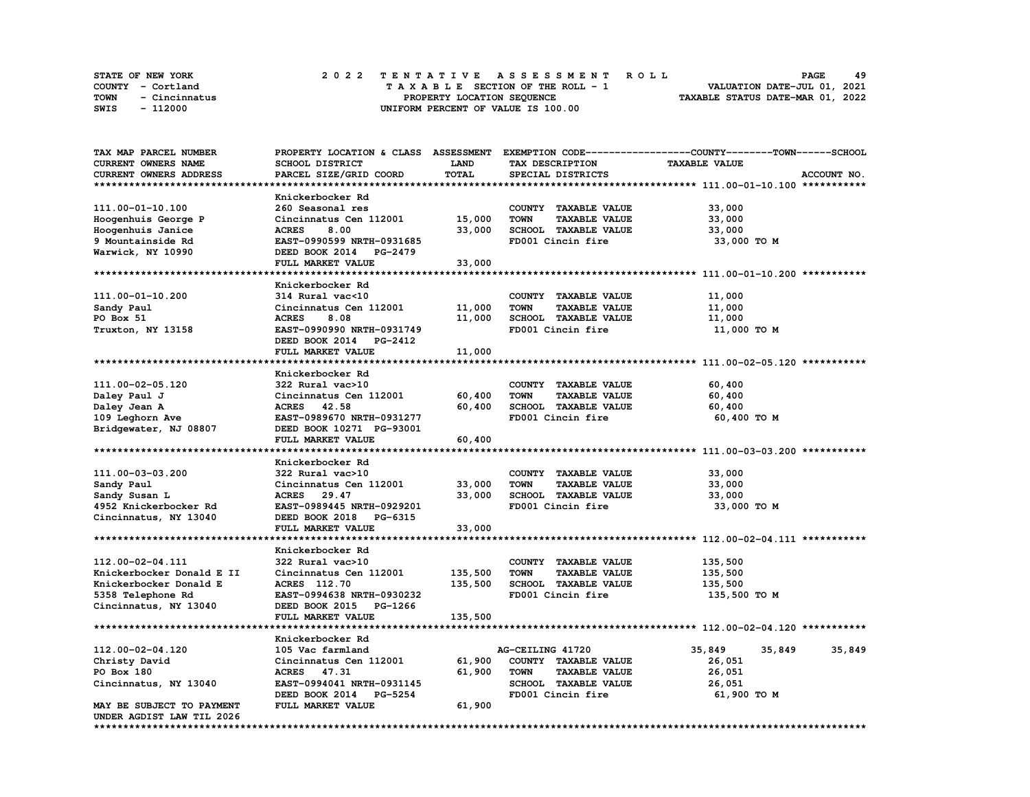| <b>STATE OF NEW YORK</b> |               |  | 2022 TENTATIVE ASSESSMENT ROLL |  |  |  |                                    |  |  |  |  |  |  |                                  | <b>PAGE</b>                 | 49 |  |
|--------------------------|---------------|--|--------------------------------|--|--|--|------------------------------------|--|--|--|--|--|--|----------------------------------|-----------------------------|----|--|
| COUNTY - Cortland        |               |  |                                |  |  |  | TAXABLE SECTION OF THE ROLL - 1    |  |  |  |  |  |  |                                  | VALUATION DATE-JUL 01, 2021 |    |  |
| TOWN                     | - Cincinnatus |  |                                |  |  |  | PROPERTY LOCATION SEQUENCE         |  |  |  |  |  |  | TAXABLE STATUS DATE-MAR 01, 2022 |                             |    |  |
| SWIS                     | - 112000      |  |                                |  |  |  | UNIFORM PERCENT OF VALUE IS 100.00 |  |  |  |  |  |  |                                  |                             |    |  |

| <b>TAX MAP PARCEL NUMBER</b> | PROPERTY LOCATION & CLASS        | <b>ASSESSMENT</b> |                                     | EXEMPTION CODE-----------------COUNTY-------TOWN------SCHOOL |             |
|------------------------------|----------------------------------|-------------------|-------------------------------------|--------------------------------------------------------------|-------------|
| CURRENT OWNERS NAME          | <b>SCHOOL DISTRICT</b>           | LAND              | TAX DESCRIPTION                     | <b>TAXABLE VALUE</b>                                         |             |
| CURRENT OWNERS ADDRESS       | PARCEL SIZE/GRID COORD           | <b>TOTAL</b>      | SPECIAL DISTRICTS                   |                                                              | ACCOUNT NO. |
|                              |                                  |                   |                                     |                                                              |             |
|                              | Knickerbocker Rd                 |                   |                                     |                                                              |             |
| 111.00-01-10.100             | 260 Seasonal res                 |                   | COUNTY TAXABLE VALUE                | 33,000                                                       |             |
|                              |                                  |                   |                                     |                                                              |             |
| Hoogenhuis George P          | Cincinnatus Cen 112001           | 15,000            | <b>TOWN</b><br><b>TAXABLE VALUE</b> | 33,000                                                       |             |
| Hoogenhuis Janice            | <b>ACRES</b><br>8.00             | 33,000            | SCHOOL TAXABLE VALUE                | 33,000                                                       |             |
| 9 Mountainside Rd            | EAST-0990599 NRTH-0931685        |                   | FD001 Cincin fire                   | 33,000 TO M                                                  |             |
| Warwick, NY 10990            | DEED BOOK 2014 PG-2479           |                   |                                     |                                                              |             |
|                              | FULL MARKET VALUE                | 33,000            |                                     |                                                              |             |
|                              |                                  |                   |                                     |                                                              |             |
|                              | Knickerbocker Rd                 |                   |                                     |                                                              |             |
| 111.00-01-10.200             | 314 Rural vac<10                 |                   | COUNTY TAXABLE VALUE                | 11,000                                                       |             |
| Sandy Paul                   | Cincinnatus Cen 112001           | 11,000            | <b>TOWN</b><br><b>TAXABLE VALUE</b> | 11,000                                                       |             |
| PO Box 51                    | <b>ACRES</b><br>8.08             | 11,000            | SCHOOL TAXABLE VALUE                | 11,000                                                       |             |
| Truxton, NY 13158            | EAST-0990990 NRTH-0931749        |                   | FD001 Cincin fire                   | 11,000 TO M                                                  |             |
|                              | DEED BOOK 2014<br><b>PG-2412</b> |                   |                                     |                                                              |             |
|                              | FULL MARKET VALUE                | 11,000            |                                     |                                                              |             |
|                              |                                  |                   |                                     |                                                              |             |
|                              | Knickerbocker Rd                 |                   |                                     |                                                              |             |
|                              |                                  |                   |                                     |                                                              |             |
| 111.00-02-05.120             | 322 Rural vac>10                 |                   | COUNTY TAXABLE VALUE                | 60,400                                                       |             |
| Daley Paul J                 | Cincinnatus Cen 112001           | 60,400            | <b>TOWN</b><br><b>TAXABLE VALUE</b> | 60,400                                                       |             |
| Daley Jean A                 | ACRES 42.58                      | 60,400            | SCHOOL TAXABLE VALUE                | 60,400                                                       |             |
| 109 Leghorn Ave              | EAST-0989670 NRTH-0931277        |                   | FD001 Cincin fire                   | 60,400 TO M                                                  |             |
| Bridgewater, NJ 08807        | DEED BOOK 10271 PG-93001         |                   |                                     |                                                              |             |
|                              | FULL MARKET VALUE                | 60,400            |                                     |                                                              |             |
|                              |                                  |                   |                                     |                                                              |             |
|                              | Knickerbocker Rd                 |                   |                                     |                                                              |             |
| 111.00-03-03.200             | 322 Rural vac>10                 |                   | COUNTY TAXABLE VALUE                | 33,000                                                       |             |
| Sandy Paul                   | Cincinnatus Cen 112001           | 33,000            | <b>TOWN</b><br><b>TAXABLE VALUE</b> | 33,000                                                       |             |
| Sandy Susan L                | <b>ACRES</b><br>29.47            | 33,000            | SCHOOL TAXABLE VALUE                | 33,000                                                       |             |
| 4952 Knickerbocker Rd        | EAST-0989445 NRTH-0929201        |                   | FD001 Cincin fire                   | 33,000 TO M                                                  |             |
| Cincinnatus, NY 13040        | DEED BOOK 2018<br>PG-6315        |                   |                                     |                                                              |             |
|                              | FULL MARKET VALUE                | 33,000            |                                     |                                                              |             |
|                              |                                  |                   |                                     |                                                              |             |
|                              |                                  |                   |                                     |                                                              |             |
|                              | Knickerbocker Rd                 |                   |                                     |                                                              |             |
| 112.00-02-04.111             | 322 Rural vac>10                 |                   | COUNTY TAXABLE VALUE                | 135,500                                                      |             |
| Knickerbocker Donald E II    | Cincinnatus Cen 112001           | 135,500           | <b>TOWN</b><br><b>TAXABLE VALUE</b> | 135,500                                                      |             |
| Knickerbocker Donald E       | <b>ACRES</b> 112.70              | 135,500           | SCHOOL TAXABLE VALUE                | 135,500                                                      |             |
| 5358 Telephone Rd            | EAST-0994638 NRTH-0930232        |                   | FD001 Cincin fire                   | 135,500 TO M                                                 |             |
| Cincinnatus, NY 13040        | DEED BOOK 2015 PG-1266           |                   |                                     |                                                              |             |
|                              | FULL MARKET VALUE                | 135,500           |                                     |                                                              |             |
|                              |                                  |                   |                                     |                                                              |             |
|                              | Knickerbocker Rd                 |                   |                                     |                                                              |             |
| 112.00-02-04.120             | 105 Vac farmland                 |                   | AG-CEILING 41720                    | 35,849<br>35,849                                             | 35,849      |
| Christy David                | Cincinnatus Cen 112001           | 61,900            | COUNTY TAXABLE VALUE                | 26,051                                                       |             |
| PO Box 180                   | ACRES 47.31                      | 61,900            | <b>TOWN</b><br><b>TAXABLE VALUE</b> | 26,051                                                       |             |
|                              | EAST-0994041 NRTH-0931145        |                   | SCHOOL TAXABLE VALUE                | 26,051                                                       |             |
| Cincinnatus, NY 13040        | DEED BOOK 2014                   |                   | FD001 Cincin fire                   |                                                              |             |
|                              | <b>PG-5254</b>                   |                   |                                     | 61,900 TO M                                                  |             |
| MAY BE SUBJECT TO PAYMENT    | FULL MARKET VALUE                | 61,900            |                                     |                                                              |             |
| UNDER AGDIST LAW TIL 2026    |                                  |                   |                                     |                                                              |             |
|                              |                                  |                   |                                     |                                                              |             |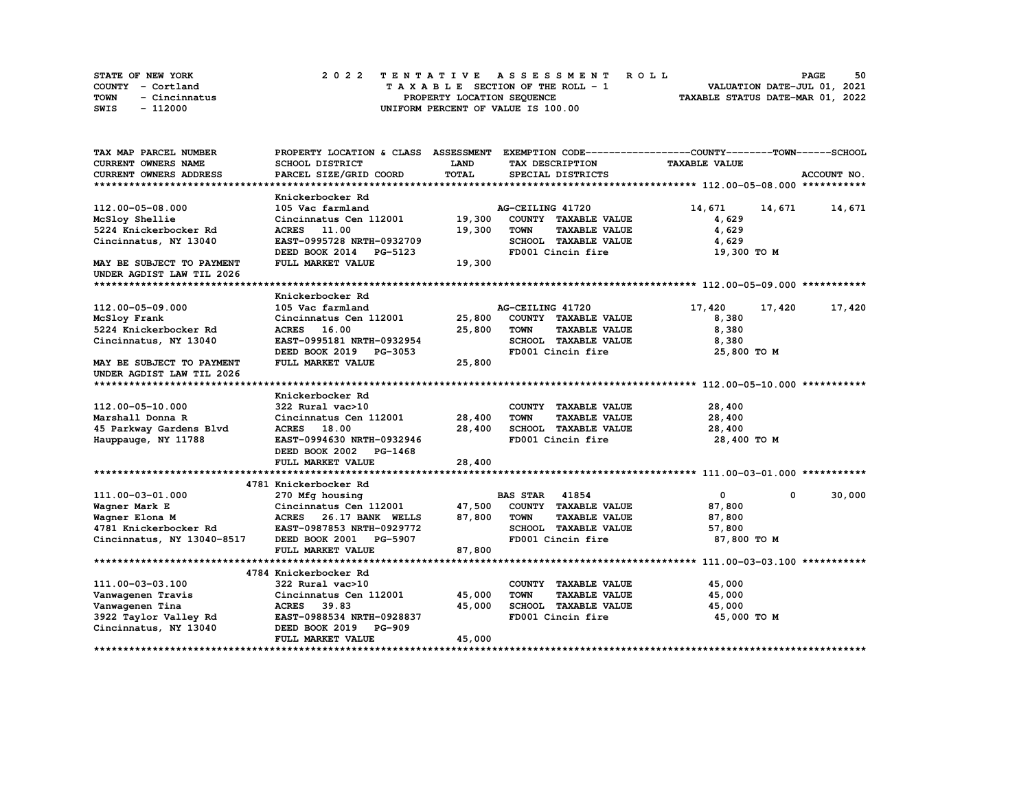|      | STATE OF NEW YORK |  | 2022 TENTATIVE ASSESSMENT ROLL |  |  |  |                                    |  |  |  |  |  |  |                                  | <b>PAGE</b>                 | 50 |
|------|-------------------|--|--------------------------------|--|--|--|------------------------------------|--|--|--|--|--|--|----------------------------------|-----------------------------|----|
|      | COUNTY - Cortland |  |                                |  |  |  | TAXABLE SECTION OF THE ROLL - 1    |  |  |  |  |  |  |                                  | VALUATION DATE-JUL 01, 2021 |    |
| TOWN | - Cincinnatus     |  |                                |  |  |  | PROPERTY LOCATION SEQUENCE         |  |  |  |  |  |  | TAXABLE STATUS DATE-MAR 01, 2022 |                             |    |
| SWIS | - 112000          |  |                                |  |  |  | UNIFORM PERCENT OF VALUE IS 100.00 |  |  |  |  |  |  |                                  |                             |    |

| TAX MAP PARCEL NUMBER         |                           |             | PROPERTY LOCATION & CLASS ASSESSMENT EXEMPTION CODE----------------COUNTY-------TOWN------SCHOOL |                            |               |
|-------------------------------|---------------------------|-------------|--------------------------------------------------------------------------------------------------|----------------------------|---------------|
| <b>CURRENT OWNERS NAME</b>    | SCHOOL DISTRICT           | <b>LAND</b> | TAX DESCRIPTION                                                                                  | <b>TAXABLE VALUE</b>       |               |
| <b>CURRENT OWNERS ADDRESS</b> | PARCEL SIZE/GRID COORD    | TOTAL       | SPECIAL DISTRICTS                                                                                |                            | ACCOUNT NO.   |
|                               |                           |             |                                                                                                  |                            |               |
|                               | Knickerbocker Rd          |             |                                                                                                  |                            |               |
| 112.00-05-08.000              | 105 Vac farmland          |             | AG-CEILING 41720                                                                                 | 14,671                     | 14,671 14,671 |
| McSloy Shellie                | Cincinnatus Cen 112001    | 19,300      | COUNTY TAXABLE VALUE                                                                             | 4,629                      |               |
| 5224 Knickerbocker Rd         | <b>ACRES</b> 11.00        | 19,300      | <b>TOWN</b><br><b>TAXABLE VALUE</b>                                                              | 4,629                      |               |
| Cincinnatus, NY 13040         | EAST-0995728 NRTH-0932709 |             | SCHOOL TAXABLE VALUE                                                                             | 4,629                      |               |
|                               | DEED BOOK 2014 PG-5123    |             | FD001 Cincin fire                                                                                | 19,300 TO M                |               |
| MAY BE SUBJECT TO PAYMENT     | FULL MARKET VALUE         | 19,300      |                                                                                                  |                            |               |
| UNDER AGDIST LAW TIL 2026     |                           |             |                                                                                                  |                            |               |
|                               |                           |             |                                                                                                  |                            |               |
|                               | Knickerbocker Rd          |             |                                                                                                  |                            |               |
| 112.00-05-09.000              | 105 Vac farmland          |             | AG-CEILING 41720                                                                                 | 17,420<br>17,420           | 17,420        |
| McSloy Frank                  | Cincinnatus Cen 112001    | 25,800      | COUNTY TAXABLE VALUE                                                                             | 8,380                      |               |
| 5224 Knickerbocker Rd         | ACRES 16.00               | 25,800      | <b>TAXABLE VALUE</b><br><b>TOWN</b>                                                              | 8,380                      |               |
| Cincinnatus, NY 13040         | EAST-0995181 NRTH-0932954 |             | SCHOOL TAXABLE VALUE                                                                             | 8,380                      |               |
|                               | DEED BOOK 2019 PG-3053    |             | FD001 Cincin fire                                                                                |                            |               |
|                               |                           |             |                                                                                                  | 25,800 TO M                |               |
| MAY BE SUBJECT TO PAYMENT     | FULL MARKET VALUE         | 25,800      |                                                                                                  |                            |               |
| UNDER AGDIST LAW TIL 2026     |                           |             |                                                                                                  |                            |               |
|                               |                           |             |                                                                                                  |                            |               |
|                               | Knickerbocker Rd          |             |                                                                                                  |                            |               |
| 112.00-05-10.000              | 322 Rural vac>10          |             | COUNTY TAXABLE VALUE                                                                             | 28,400                     |               |
| Marshall Donna R              | Cincinnatus Cen 112001    | 28,400      | <b>TOWN</b><br><b>TAXABLE VALUE</b>                                                              | 28,400                     |               |
| 45 Parkway Gardens Blvd       | ACRES 18.00               | 28,400      | SCHOOL TAXABLE VALUE                                                                             | 28,400                     |               |
| Hauppauge, NY 11788           | EAST-0994630 NRTH-0932946 |             | FD001 Cincin fire                                                                                | 28,400 TO M                |               |
|                               | DEED BOOK 2002 PG-1468    |             |                                                                                                  |                            |               |
|                               | FULL MARKET VALUE         | 28,400      |                                                                                                  |                            |               |
|                               |                           |             |                                                                                                  |                            |               |
|                               | 4781 Knickerbocker Rd     |             |                                                                                                  |                            |               |
| 111.00-03-01.000              | 270 Mfg housing           |             | <b>BAS STAR 41854</b>                                                                            | $\mathbf{0}$<br>$^{\circ}$ | 30,000        |
| Wagner Mark E                 | Cincinnatus Cen 112001    | 47,500      | COUNTY TAXABLE VALUE                                                                             | 87,800                     |               |
| Wagner Elona M                | ACRES 26.17 BANK WELLS    | 87,800      | <b>TOWN</b><br><b>TAXABLE VALUE</b>                                                              | 87,800                     |               |
| 4781 Knickerbocker Rd         | EAST-0987853 NRTH-0929772 |             | SCHOOL TAXABLE VALUE                                                                             | 57,800                     |               |
| Cincinnatus, NY 13040-8517    | DEED BOOK 2001 PG-5907    |             | FD001 Cincin fire                                                                                | 87,800 TO M                |               |
|                               | FULL MARKET VALUE         | 87,800      |                                                                                                  |                            |               |
|                               |                           |             |                                                                                                  |                            |               |
|                               | 4784 Knickerbocker Rd     |             |                                                                                                  |                            |               |
| 111.00-03-03.100              | 322 Rural vac>10          |             | COUNTY TAXABLE VALUE                                                                             | 45,000                     |               |
| Vanwagenen Travis             | Cincinnatus Cen 112001    | 45,000      | <b>TOWN</b><br><b>TAXABLE VALUE</b>                                                              | 45,000                     |               |
| Vanwagenen Tina               | ACRES 39.83               | 45,000      | SCHOOL TAXABLE VALUE                                                                             | 45,000                     |               |
| 3922 Taylor Valley Rd         | EAST-0988534 NRTH-0928837 |             | FD001 Cincin fire                                                                                | 45,000 TO M                |               |
| Cincinnatus, NY 13040         | DEED BOOK 2019 PG-909     |             |                                                                                                  |                            |               |
|                               | FULL MARKET VALUE         | 45,000      |                                                                                                  |                            |               |
|                               |                           |             |                                                                                                  |                            |               |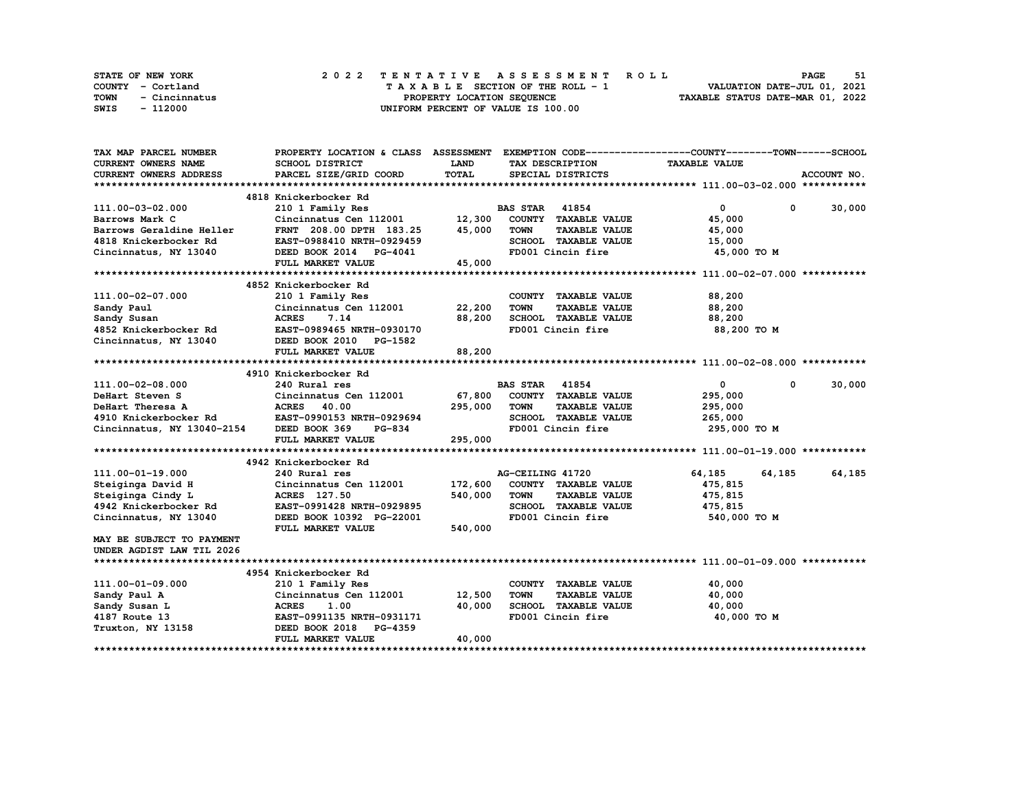| STATE OF NEW YORK     | 2022 TENTATIVE ASSESSMENT ROLL     | 51<br>PAGE                       |
|-----------------------|------------------------------------|----------------------------------|
| COUNTY - Cortland     | TAXABLE SECTION OF THE ROLL - 1    | VALUATION DATE-JUL 01, 2021      |
| TOWN<br>- Cincinnatus | PROPERTY LOCATION SEOUENCE         | TAXABLE STATUS DATE-MAR 01, 2022 |
| SWIS<br>- 112000      | UNIFORM PERCENT OF VALUE IS 100.00 |                                  |

| TAX MAP PARCEL NUMBER                                                            | PROPERTY LOCATION & CLASS ASSESSMENT EXEMPTION CODE----------------COUNTY-------TOWN-----SCHOOL |             |                       |                      |                      |            |             |
|----------------------------------------------------------------------------------|-------------------------------------------------------------------------------------------------|-------------|-----------------------|----------------------|----------------------|------------|-------------|
| <b>CURRENT OWNERS NAME</b>                                                       | SCHOOL DISTRICT                                                                                 | <b>LAND</b> |                       | TAX DESCRIPTION      | <b>TAXABLE VALUE</b> |            |             |
| <b>CURRENT OWNERS ADDRESS</b>                                                    | PARCEL SIZE/GRID COORD                                                                          | TOTAL       |                       | SPECIAL DISTRICTS    |                      |            | ACCOUNT NO. |
|                                                                                  |                                                                                                 |             |                       |                      |                      |            |             |
|                                                                                  | 4818 Knickerbocker Rd                                                                           |             |                       |                      |                      |            |             |
| 111.00-03-02.000                                                                 | 210 1 Family Res                                                                                |             | <b>BAS STAR</b> 41854 |                      | $\mathbf{0}$         | $^{\circ}$ | 30,000      |
| Barrows Mark C                                                                   | Cincinnatus Cen 112001 12,300                                                                   |             |                       | COUNTY TAXABLE VALUE | 45,000               |            |             |
| Barrows Geraldine Heller                                                         | FRNT 208.00 DPTH 183.25 45,000                                                                  |             | <b>TOWN</b>           | <b>TAXABLE VALUE</b> | 45,000               |            |             |
| 4818 Knickerbocker Rd                                                            | EAST-0988410 NRTH-0929459                                                                       |             |                       | SCHOOL TAXABLE VALUE | 15,000               |            |             |
| Cincinnatus, NY 13040                                                            | DEED BOOK 2014 PG-4041                                                                          |             |                       | FD001 Cincin fire    | 45,000 TO M          |            |             |
|                                                                                  | FULL MARKET VALUE                                                                               | 45,000      |                       |                      |                      |            |             |
|                                                                                  |                                                                                                 |             |                       |                      |                      |            |             |
|                                                                                  | 4852 Knickerbocker Rd                                                                           |             |                       |                      |                      |            |             |
| 111.00-02-07.000                                                                 | 210 1 Family Res                                                                                |             |                       | COUNTY TAXABLE VALUE | 88,200               |            |             |
| Sandy Paul                                                                       | Cincinnatus Cen 112001                                                                          | 22,200      | <b>TOWN</b>           | <b>TAXABLE VALUE</b> | 88,200               |            |             |
| Sandy Susan                                                                      | <b>ACRES</b><br>7.14                                                                            | 88,200      |                       | SCHOOL TAXABLE VALUE | 88,200               |            |             |
| 4852 Knickerbocker Rd                                                            | EAST-0989465 NRTH-0930170                                                                       |             |                       | FD001 Cincin fire    | 88,200 TO M          |            |             |
| Cincinnatus, NY 13040                                                            | DEED BOOK 2010 PG-1582                                                                          |             |                       |                      |                      |            |             |
|                                                                                  |                                                                                                 | 88,200      |                       |                      |                      |            |             |
|                                                                                  | FULL MARKET VALUE                                                                               |             |                       |                      |                      |            |             |
|                                                                                  |                                                                                                 |             |                       |                      |                      |            |             |
|                                                                                  | 4910 Knickerbocker Rd                                                                           |             |                       |                      |                      |            |             |
| 111.00-02-08.000                                                                 | 240 Rural res                                                                                   |             | <b>BAS STAR 41854</b> |                      | $\mathbf{0}$         | $^{\circ}$ | 30,000      |
| DeHart Steven S                                                                  | Cincinnatus Cen 112001                                                                          | 67,800      |                       | COUNTY TAXABLE VALUE | 295,000              |            |             |
| DeHart Theresa A                                                                 | <b>ACRES</b> 40.00                                                                              | 295,000     | TOWN                  | <b>TAXABLE VALUE</b> | 295,000              |            |             |
| 4910 Knickerbocker Rd EAST-0990153 N<br>Cincinnatus, NY 13040-2154 DEED BOOK 369 | EAST-0990153 NRTH-0929694                                                                       |             |                       | SCHOOL TAXABLE VALUE | 265,000              |            |             |
|                                                                                  | PG-834                                                                                          |             |                       | FD001 Cincin fire    | 295,000 TO M         |            |             |
|                                                                                  | FULL MARKET VALUE                                                                               | 295,000     |                       |                      |                      |            |             |
|                                                                                  |                                                                                                 |             |                       |                      |                      |            |             |
|                                                                                  | 4942 Knickerbocker Rd                                                                           |             |                       |                      |                      |            |             |
| 111.00-01-19.000                                                                 | 240 Rural res                                                                                   |             | AG-CEILING 41720      |                      | 64,185               | 64,185     | 64,185      |
| Steiginga David H                                                                | Cincinnatus Cen 112001                                                                          | 172,600     |                       | COUNTY TAXABLE VALUE | 475,815              |            |             |
| Steiginga Cindy L                                                                | ACRES 127.50                                                                                    | 540,000     | <b>TOWN</b>           | <b>TAXABLE VALUE</b> | 475,815              |            |             |
| 4942 Knickerbocker Rd                                                            | EAST-0991428 NRTH-0929895                                                                       |             |                       | SCHOOL TAXABLE VALUE | 475,815              |            |             |
| Cincinnatus, NY 13040                                                            | DEED BOOK 10392 PG-22001                                                                        |             |                       | FD001 Cincin fire    | 540,000 TO M         |            |             |
|                                                                                  | FULL MARKET VALUE                                                                               | 540,000     |                       |                      |                      |            |             |
| MAY BE SUBJECT TO PAYMENT                                                        |                                                                                                 |             |                       |                      |                      |            |             |
| UNDER AGDIST LAW TIL 2026                                                        |                                                                                                 |             |                       |                      |                      |            |             |
|                                                                                  |                                                                                                 |             |                       |                      |                      |            |             |
|                                                                                  | 4954 Knickerbocker Rd                                                                           |             |                       |                      |                      |            |             |
| 111.00-01-09.000                                                                 | 210 1 Family Res                                                                                |             |                       | COUNTY TAXABLE VALUE | 40,000               |            |             |
| Sandy Paul A                                                                     | Cincinnatus Cen 112001                                                                          | 12,500      | <b>TOWN</b>           | <b>TAXABLE VALUE</b> | 40,000               |            |             |
| Sandy Susan L                                                                    | 1.00<br><b>ACRES</b>                                                                            | 40,000      |                       | SCHOOL TAXABLE VALUE | 40,000               |            |             |
| 4187 Route 13                                                                    | EAST-0991135 NRTH-0931171                                                                       |             |                       | FD001 Cincin fire    | 40,000 TO M          |            |             |
| Truxton, NY 13158                                                                | DEED BOOK 2018 PG-4359                                                                          |             |                       |                      |                      |            |             |
|                                                                                  | FULL MARKET VALUE                                                                               | 40,000      |                       |                      |                      |            |             |
|                                                                                  |                                                                                                 |             |                       |                      |                      |            |             |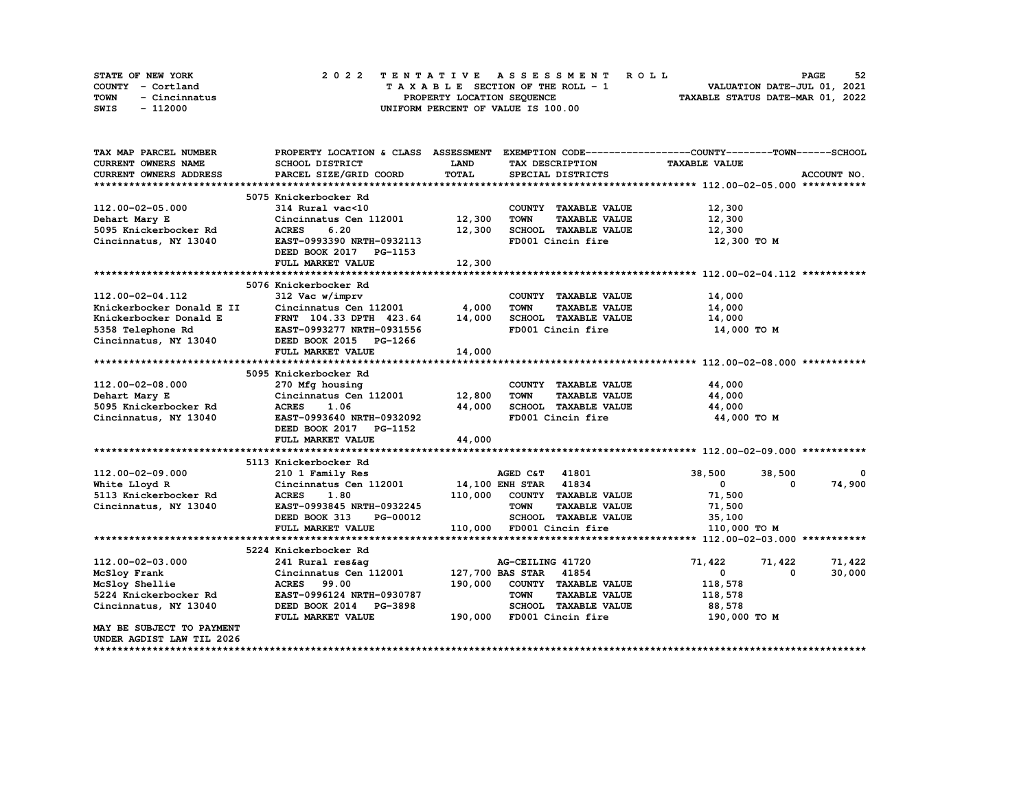| STATE OF NEW YORK     | 2022 TENTATIVE ASSESSMENT ROLL     | 52<br><b>PAGE</b>                |
|-----------------------|------------------------------------|----------------------------------|
| COUNTY - Cortland     | TAXABLE SECTION OF THE ROLL - 1    | VALUATION DATE-JUL 01, 2021      |
| TOWN<br>- Cincinnatus | PROPERTY LOCATION SEQUENCE         | TAXABLE STATUS DATE-MAR 01, 2022 |
| SWIS<br>- 112000      | UNIFORM PERCENT OF VALUE IS 100.00 |                                  |

| TAX MAP PARCEL NUMBER                                                                                                                        |                               |             |                                     | PROPERTY LOCATION & CLASS ASSESSMENT EXEMPTION CODE----------------COUNTY-------TOWN------SCHOOL |
|----------------------------------------------------------------------------------------------------------------------------------------------|-------------------------------|-------------|-------------------------------------|--------------------------------------------------------------------------------------------------|
| <b>CURRENT OWNERS NAME</b>                                                                                                                   | SCHOOL DISTRICT               | <b>LAND</b> | TAX DESCRIPTION                     | <b>TAXABLE VALUE</b>                                                                             |
| CURRENT OWNERS ADDRESS                                                                                                                       | PARCEL SIZE/GRID COORD        | TOTAL       | SPECIAL DISTRICTS                   | ACCOUNT NO.                                                                                      |
|                                                                                                                                              |                               |             |                                     |                                                                                                  |
|                                                                                                                                              | 5075 Knickerbocker Rd         |             |                                     |                                                                                                  |
| 112.00-02-05.000                                                                                                                             | 314 Rural vac<10              |             | COUNTY TAXABLE VALUE                | 12,300                                                                                           |
| Dehart Mary E                                                                                                                                | Cincinnatus Cen 112001 12,300 |             | <b>TOWN</b><br><b>TAXABLE VALUE</b> | 12,300                                                                                           |
| 5095 Knickerbocker Rd                                                                                                                        | 6.20<br><b>ACRES</b>          | 12,300      | SCHOOL TAXABLE VALUE                | 12,300                                                                                           |
| Cincinnatus, NY 13040                                                                                                                        | EAST-0993390 NRTH-0932113     |             | FD001 Cincin fire                   | 12,300 TO M                                                                                      |
|                                                                                                                                              | DEED BOOK 2017 PG-1153        |             |                                     |                                                                                                  |
|                                                                                                                                              | FULL MARKET VALUE             | 12,300      |                                     |                                                                                                  |
|                                                                                                                                              |                               |             |                                     |                                                                                                  |
|                                                                                                                                              | 5076 Knickerbocker Rd         |             |                                     |                                                                                                  |
| 112.00-02-04.112                                                                                                                             | 312 Vac w/imprv               |             | COUNTY TAXABLE VALUE                | 14,000                                                                                           |
| Example 2011 Cincinnatus Cen 112001                                                                                                          |                               | 4,000       | <b>TOWN</b><br><b>TAXABLE VALUE</b> | 14,000                                                                                           |
|                                                                                                                                              |                               | 14,000      | SCHOOL TAXABLE VALUE                | 14,000                                                                                           |
| EXPIDENT 104.33 DPTH 423.64<br>5358 Telephone Rd 5358 Telephone Rd EAST-0993277 NRTH-0931556<br>Cincinnatus, NY 13040 DEED BOOK 2015 PG-1266 |                               |             | FD001 Cincin fire                   | 14,000 TO M                                                                                      |
|                                                                                                                                              |                               |             |                                     |                                                                                                  |
|                                                                                                                                              | FULL MARKET VALUE             | 14,000      |                                     |                                                                                                  |
|                                                                                                                                              |                               |             |                                     |                                                                                                  |
|                                                                                                                                              | 5095 Knickerbocker Rd         |             |                                     |                                                                                                  |
| 112.00-02-08.000                                                                                                                             | 270 Mfg housing               |             | COUNTY TAXABLE VALUE                | 44,000                                                                                           |
| Dehart Mary E                                                                                                                                | Cincinnatus Cen 112001        | 12,800      | <b>TAXABLE VALUE</b><br>TOWN        | 44,000                                                                                           |
| 5095 Knickerbocker Rd                                                                                                                        | <b>ACRES</b><br>1.06          | 44,000      | SCHOOL TAXABLE VALUE                | 44,000                                                                                           |
| Cincinnatus, NY 13040                                                                                                                        | EAST-0993640 NRTH-0932092     |             | FD001 Cincin fire                   | 44,000 TO M                                                                                      |
|                                                                                                                                              | DEED BOOK 2017 PG-1152        |             |                                     |                                                                                                  |
|                                                                                                                                              | FULL MARKET VALUE             | 44,000      |                                     |                                                                                                  |
|                                                                                                                                              |                               |             |                                     |                                                                                                  |
|                                                                                                                                              | 5113 Knickerbocker Rd         |             |                                     |                                                                                                  |
| 112.00-02-09.000                                                                                                                             | 210 1 Family Res              |             | AGED C&T 41801                      | 38,500<br>38,500<br>0                                                                            |
| White Lloyd R                                                                                                                                | Cincinnatus Cen 112001        |             | 14,100 ENH STAR 41834               | 74,900<br>$\mathbf{0}$<br>0                                                                      |
| 5113 Knickerbocker Rd                                                                                                                        | 1.80<br><b>ACRES</b>          |             | 110,000 COUNTY TAXABLE VALUE        | 71,500                                                                                           |
| Cincinnatus, NY 13040                                                                                                                        | EAST-0993845 NRTH-0932245     |             | <b>TAXABLE VALUE</b><br><b>TOWN</b> | 71,500                                                                                           |
|                                                                                                                                              | DEED BOOK 313<br>PG-00012     |             | SCHOOL TAXABLE VALUE                | 35,100                                                                                           |
|                                                                                                                                              | FULL MARKET VALUE             |             | 110,000 FD001 Cincin fire           | 110,000 TO M                                                                                     |
|                                                                                                                                              |                               |             |                                     |                                                                                                  |
|                                                                                                                                              | 5224 Knickerbocker Rd         |             |                                     |                                                                                                  |
| 112.00-02-03.000                                                                                                                             | 241 Rural res&aq              |             | AG-CEILING 41720                    | 71,422<br>71,422<br>71,422                                                                       |
| McSloy Frank                                                                                                                                 | Cincinnatus Cen 112001        |             | 127,700 BAS STAR 41854              | 30,000<br>$\mathbf{0}$<br>$^{\circ}$                                                             |
| McSloy Shellie                                                                                                                               | <b>ACRES</b><br>99.00         | 190,000     | COUNTY TAXABLE VALUE                | 118,578                                                                                          |
| 5224 Knickerbocker Rd                                                                                                                        | EAST-0996124 NRTH-0930787     |             | <b>TOWN</b><br><b>TAXABLE VALUE</b> | 118,578                                                                                          |
| Cincinnatus, NY 13040                                                                                                                        | DEED BOOK 2014 PG-3898        |             | SCHOOL TAXABLE VALUE                | 88,578                                                                                           |
|                                                                                                                                              | FULL MARKET VALUE             |             | 190,000 FD001 Cincin fire           | 190,000 TO M                                                                                     |
| MAY BE SUBJECT TO PAYMENT                                                                                                                    |                               |             |                                     |                                                                                                  |
| UNDER AGDIST LAW TIL 2026                                                                                                                    |                               |             |                                     |                                                                                                  |
|                                                                                                                                              |                               |             |                                     |                                                                                                  |
|                                                                                                                                              |                               |             |                                     |                                                                                                  |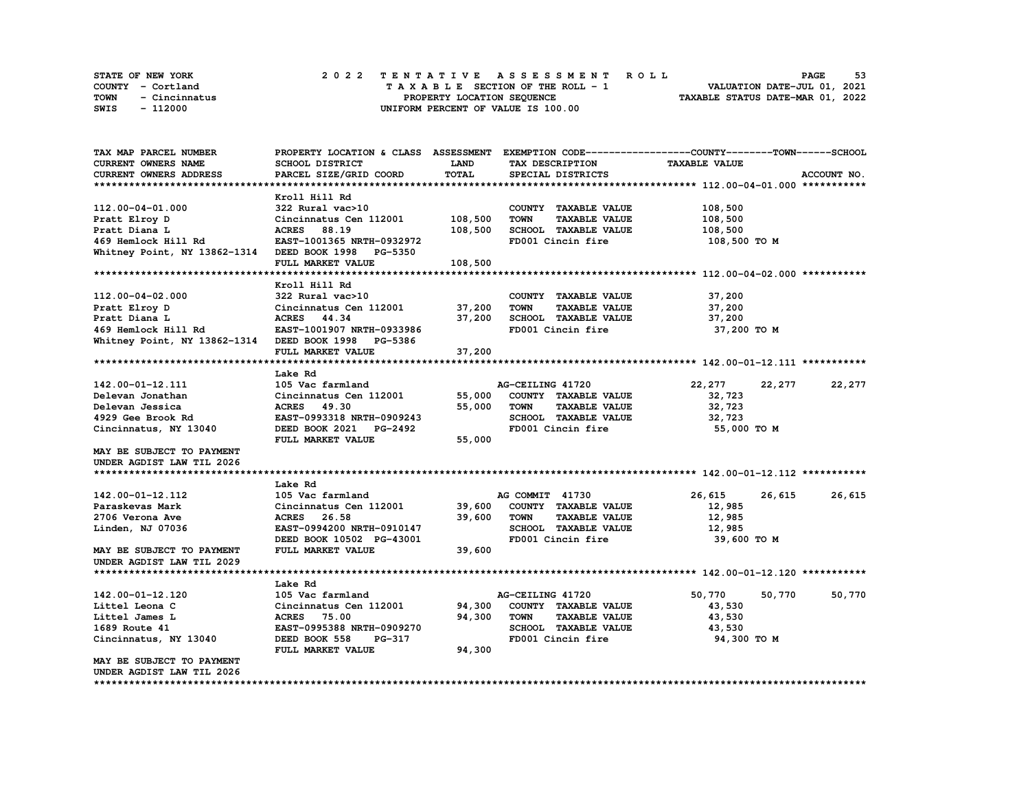| STATE OF NEW YORK     | 2022 TENTATIVE ASSESSMENT ROLL     | 53<br><b>PAGE</b>                |
|-----------------------|------------------------------------|----------------------------------|
| COUNTY - Cortland     | TAXABLE SECTION OF THE ROLL - 1    | VALUATION DATE-JUL 01, 2021      |
| TOWN<br>- Cincinnatus | PROPERTY LOCATION SEQUENCE         | TAXABLE STATUS DATE-MAR 01, 2022 |
| SWIS<br>- 112000      | UNIFORM PERCENT OF VALUE IS 100.00 |                                  |

| TAX MAP PARCEL NUMBER                               | PROPERTY LOCATION & CLASS ASSESSMENT |         |                  |                             | EXEMPTION CODE-----------------COUNTY-------TOWN-----SCHOOL |             |             |
|-----------------------------------------------------|--------------------------------------|---------|------------------|-----------------------------|-------------------------------------------------------------|-------------|-------------|
| <b>CURRENT OWNERS NAME</b>                          | SCHOOL DISTRICT                      | LAND    |                  | TAX DESCRIPTION             | <b>TAXABLE VALUE</b>                                        |             |             |
| CURRENT OWNERS ADDRESS                              | PARCEL SIZE/GRID COORD               | TOTAL   |                  | SPECIAL DISTRICTS           |                                                             |             | ACCOUNT NO. |
|                                                     |                                      |         |                  |                             |                                                             |             |             |
|                                                     | Kroll Hill Rd                        |         |                  |                             |                                                             |             |             |
| 112.00-04-01.000                                    | 322 Rural vac>10                     |         |                  | COUNTY TAXABLE VALUE        | 108,500                                                     |             |             |
| Pratt Elroy D                                       | Cincinnatus Cen 112001               | 108,500 | <b>TOWN</b>      | <b>TAXABLE VALUE</b>        | 108,500                                                     |             |             |
| Pratt Diana L                                       | ACRES 88.19                          | 108,500 |                  | <b>SCHOOL TAXABLE VALUE</b> | 108,500                                                     |             |             |
| 469 Hemlock Hill Rd                                 | EAST-1001365 NRTH-0932972            |         |                  | FD001 Cincin fire           | 108,500 TO M                                                |             |             |
| Whitney Point, NY 13862-1314 DEED BOOK 1998         | <b>PG-5350</b>                       |         |                  |                             |                                                             |             |             |
|                                                     | FULL MARKET VALUE                    | 108,500 |                  |                             |                                                             |             |             |
|                                                     |                                      |         |                  |                             |                                                             |             |             |
|                                                     | Kroll Hill Rd                        |         |                  |                             |                                                             |             |             |
| 112.00-04-02.000                                    | 322 Rural vac>10                     |         |                  | COUNTY TAXABLE VALUE        | 37,200                                                      |             |             |
| Pratt Elroy D                                       | Cincinnatus Cen 112001               | 37,200  | <b>TOWN</b>      | <b>TAXABLE VALUE</b>        | 37,200                                                      |             |             |
| Pratt Diana L                                       | ACRES 44.34                          | 37,200  |                  | SCHOOL TAXABLE VALUE        | 37,200                                                      |             |             |
| 469 Hemlock Hill Rd                                 | EAST-1001907 NRTH-0933986            |         |                  | FD001 Cincin fire           |                                                             | 37,200 TO M |             |
| Whitney Point, NY 13862-1314 DEED BOOK 1998 PG-5386 |                                      |         |                  |                             |                                                             |             |             |
|                                                     | FULL MARKET VALUE                    | 37,200  |                  |                             |                                                             |             |             |
|                                                     |                                      |         |                  |                             |                                                             |             |             |
|                                                     | Lake Rd                              |         |                  |                             |                                                             |             |             |
| 142.00-01-12.111                                    | 105 Vac farmland                     |         | AG-CEILING 41720 |                             | 22,277                                                      | 22,277      | 22, 277     |
| Delevan Jonathan                                    | Cincinnatus Cen 112001               | 55,000  |                  | COUNTY TAXABLE VALUE        | 32,723                                                      |             |             |
| Delevan Jessica                                     | ACRES 49.30                          | 55,000  | TOWN             | <b>TAXABLE VALUE</b>        | 32,723                                                      |             |             |
| 4929 Gee Brook Rd                                   | EAST-0993318 NRTH-0909243            |         |                  | SCHOOL TAXABLE VALUE        | 32,723                                                      |             |             |
| Cincinnatus, NY 13040                               | DEED BOOK 2021 PG-2492               |         |                  | FD001 Cincin fire           |                                                             | 55,000 TO M |             |
|                                                     | FULL MARKET VALUE                    | 55,000  |                  |                             |                                                             |             |             |
| MAY BE SUBJECT TO PAYMENT                           |                                      |         |                  |                             |                                                             |             |             |
| UNDER AGDIST LAW TIL 2026                           |                                      |         |                  |                             |                                                             |             |             |
|                                                     |                                      |         |                  |                             |                                                             |             |             |
|                                                     | Lake Rd                              |         |                  |                             |                                                             |             |             |
| 142.00-01-12.112                                    | 105 Vac farmland                     |         | AG COMMIT 41730  |                             | 26,615                                                      | 26,615      | 26,615      |
| Paraskevas Mark                                     | Cincinnatus Cen 112001               | 39,600  |                  | COUNTY TAXABLE VALUE        | 12,985                                                      |             |             |
| 2706 Verona Ave                                     | ACRES 26.58                          | 39,600  | <b>TOWN</b>      | <b>TAXABLE VALUE</b>        | 12,985                                                      |             |             |
| Linden, NJ 07036                                    | EAST-0994200 NRTH-0910147            |         |                  | SCHOOL TAXABLE VALUE        | 12,985                                                      |             |             |
|                                                     | DEED BOOK 10502 PG-43001             |         |                  | FD001 Cincin fire           |                                                             | 39,600 TO M |             |
| MAY BE SUBJECT TO PAYMENT                           | FULL MARKET VALUE                    | 39,600  |                  |                             |                                                             |             |             |
| UNDER AGDIST LAW TIL 2029                           |                                      |         |                  |                             |                                                             |             |             |
|                                                     |                                      |         |                  |                             |                                                             |             |             |
|                                                     | Lake Rd                              |         |                  |                             |                                                             |             |             |
| 142.00-01-12.120                                    | 105 Vac farmland                     |         | AG-CEILING 41720 |                             | 50,770                                                      | 50,770      | 50,770      |
| Littel Leona C                                      | Cincinnatus Cen 112001               | 94,300  |                  | COUNTY TAXABLE VALUE        | 43,530                                                      |             |             |
| Littel James L                                      | <b>ACRES</b> 75.00                   | 94,300  | <b>TOWN</b>      | <b>TAXABLE VALUE</b>        | 43,530                                                      |             |             |
| 1689 Route 41                                       | EAST-0995388 NRTH-0909270            |         |                  | SCHOOL TAXABLE VALUE        | 43,530                                                      |             |             |
| Cincinnatus, NY 13040                               | DEED BOOK 558<br><b>PG-317</b>       |         |                  | FD001 Cincin fire           |                                                             | 94,300 TO M |             |
|                                                     | FULL MARKET VALUE                    | 94,300  |                  |                             |                                                             |             |             |
| MAY BE SUBJECT TO PAYMENT                           |                                      |         |                  |                             |                                                             |             |             |
| UNDER AGDIST LAW TIL 2026                           |                                      |         |                  |                             |                                                             |             |             |
|                                                     |                                      |         |                  |                             |                                                             |             |             |
|                                                     |                                      |         |                  |                             |                                                             |             |             |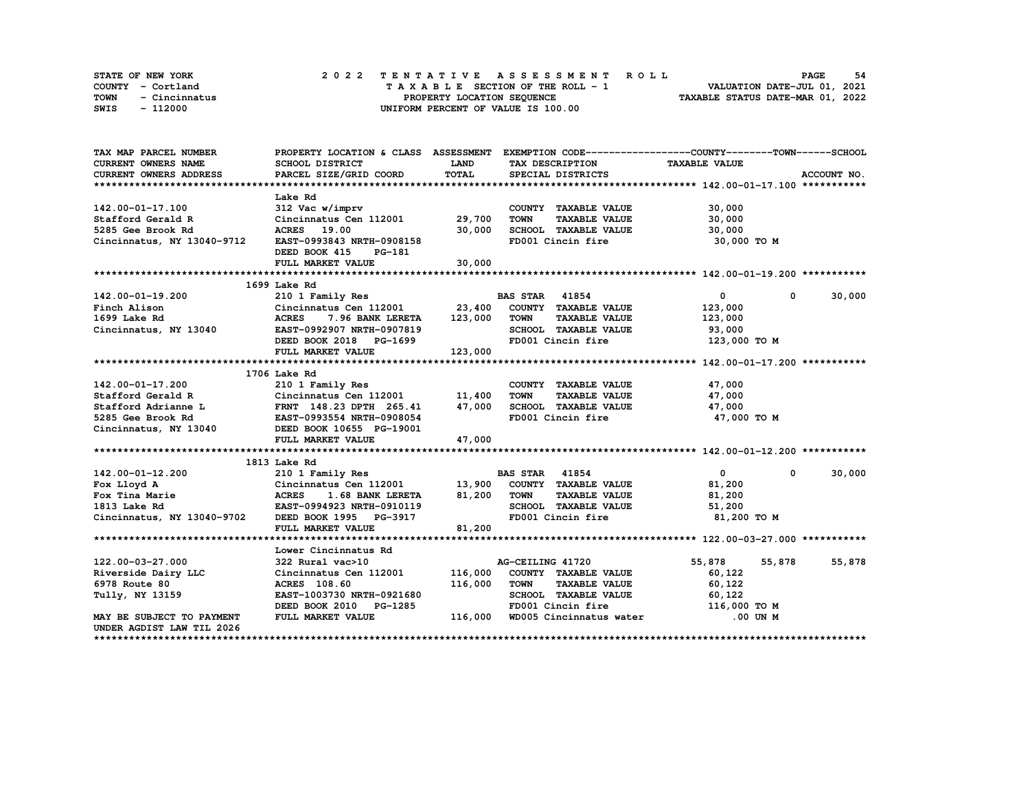|      | STATE OF NEW YORK |  | 2022 TENTATIVE ASSESSMENT ROLL |  |  |  |                                    |  |  |  |  |  |  |                                  |  |  | <b>PAGE</b>                 | - 54 |
|------|-------------------|--|--------------------------------|--|--|--|------------------------------------|--|--|--|--|--|--|----------------------------------|--|--|-----------------------------|------|
|      | COUNTY - Cortland |  |                                |  |  |  | TAXABLE SECTION OF THE ROLL - 1    |  |  |  |  |  |  |                                  |  |  | VALUATION DATE-JUL 01, 2021 |      |
| TOWN | - Cincinnatus     |  |                                |  |  |  | PROPERTY LOCATION SEQUENCE         |  |  |  |  |  |  | TAXABLE STATUS DATE-MAR 01, 2022 |  |  |                             |      |
| SWIS | - 112000          |  |                                |  |  |  | UNIFORM PERCENT OF VALUE IS 100.00 |  |  |  |  |  |  |                                  |  |  |                             |      |

| TAX MAP PARCEL NUMBER                                                  | PROPERTY LOCATION & CLASS ASSESSMENT EXEMPTION CODE-----------------COUNTY-------TOWN-----SCHOOL |         |                                     |                              |             |
|------------------------------------------------------------------------|--------------------------------------------------------------------------------------------------|---------|-------------------------------------|------------------------------|-------------|
| CURRENT OWNERS NAME                                                    | SCHOOL DISTRICT                                                                                  | LAND    | TAX DESCRIPTION                     | <b>TAXABLE VALUE</b>         |             |
| CURRENT OWNERS ADDRESS                                                 | PARCEL SIZE/GRID COORD                                                                           | TOTAL   | SPECIAL DISTRICTS                   |                              | ACCOUNT NO. |
|                                                                        |                                                                                                  |         |                                     |                              |             |
|                                                                        | Lake Rd                                                                                          |         |                                     |                              |             |
| 142.00-01-17.100                                                       | 312 Vac w/imprv                                                                                  |         | COUNTY TAXABLE VALUE                | 30,000                       |             |
| Stafford Gerald R                                                      | Cincinnatus Cen 112001                                                                           | 29,700  | <b>TOWN</b><br><b>TAXABLE VALUE</b> | 30,000                       |             |
| 5285 Gee Brook Rd                                                      | ACRES 19.00                                                                                      | 30,000  | SCHOOL TAXABLE VALUE                | 30,000                       |             |
| Cincinnatus, NY 13040-9712                                             | EAST-0993843 NRTH-0908158                                                                        |         | FD001 Cincin fire                   | 30,000 TO M                  |             |
|                                                                        | DEED BOOK 415<br>PG-181                                                                          |         |                                     |                              |             |
|                                                                        | FULL MARKET VALUE                                                                                | 30,000  |                                     |                              |             |
|                                                                        |                                                                                                  |         |                                     |                              |             |
|                                                                        | 1699 Lake Rd                                                                                     |         |                                     |                              |             |
| 142.00-01-19.200                                                       | 210 1 Family Res                                                                                 |         | <b>BAS STAR 41854</b>               | $\overline{0}$<br>$^{\circ}$ | 30,000      |
| Finch Alison                                                           | Cincinnatus Cen 112001 23,400                                                                    |         | COUNTY TAXABLE VALUE                | 123,000                      |             |
| 1699 Lake Rd                                                           | <b>ACRES</b><br>7.96 BANK LERETA                                                                 | 123,000 | TOWN<br><b>TAXABLE VALUE</b>        | 123,000                      |             |
| Cincinnatus, NY 13040                                                  | EAST-0992907 NRTH-0907819                                                                        |         | SCHOOL TAXABLE VALUE                | 93,000                       |             |
|                                                                        | DEED BOOK 2018 PG-1699                                                                           |         | FD001 Cincin fire                   | 123,000 TO M                 |             |
|                                                                        | FULL MARKET VALUE                                                                                | 123,000 |                                     |                              |             |
|                                                                        |                                                                                                  |         |                                     |                              |             |
|                                                                        | 1706 Lake Rd                                                                                     |         |                                     |                              |             |
| 142.00-01-17.200                                                       | 210 1 Family Res                                                                                 |         | COUNTY TAXABLE VALUE                | 47,000                       |             |
| Stafford Gerald R                                                      | Cincinnatus Cen 112001                                                                           | 11,400  | <b>TOWN</b><br><b>TAXABLE VALUE</b> | 47,000                       |             |
| Stafford Adrianne L FRNT 148.23 DPTH 265.41                            |                                                                                                  | 47,000  | SCHOOL TAXABLE VALUE                | 47,000                       |             |
|                                                                        |                                                                                                  |         | FD001 Cincin fire                   | 47,000 TO M                  |             |
| 5285 Gee Brook Rd<br>Cincinnatus, NY 13040 BEED BOOK 10655 PG-19008054 |                                                                                                  |         |                                     |                              |             |
|                                                                        | FULL MARKET VALUE                                                                                | 47,000  |                                     |                              |             |
|                                                                        |                                                                                                  |         |                                     |                              |             |
|                                                                        | 1813 Lake Rd                                                                                     |         |                                     |                              |             |
| 142.00-01-12.200                                                       | 210 1 Family Res                                                                                 |         | <b>BAS STAR</b> 41854               | $\mathbf{0}$<br>$^{\circ}$   | 30,000      |
| Fox Lloyd A                                                            |                                                                                                  |         | COUNTY TAXABLE VALUE                | 81,200                       |             |
| Fox Tina Marie                                                         | Cincinnatus Cen 112001 13,900<br>ACRES 1.68 BANK LERETA 81,200<br>EAST-0994923 NRTH-0910119      |         | <b>TOWN</b><br><b>TAXABLE VALUE</b> | 81,200                       |             |
| 1813 Lake Rd                                                           |                                                                                                  |         | SCHOOL TAXABLE VALUE                | 51,200                       |             |
| Cincinnatus, NY 13040-9702 DEED BOOK 1995 PG-3917                      |                                                                                                  |         | FD001 Cincin fire                   | 81,200 TO M                  |             |
|                                                                        | FULL MARKET VALUE                                                                                | 81,200  |                                     |                              |             |
|                                                                        |                                                                                                  |         |                                     |                              |             |
|                                                                        | Lower Cincinnatus Rd                                                                             |         |                                     |                              |             |
| 122.00-03-27.000                                                       | 322 Rural vac>10                                                                                 |         | AG-CEILING 41720                    | 55,878<br>55,878             | 55,878      |
| Riverside Dairy LLC                                                    | Cincinnatus Cen 112001                                                                           | 116,000 | COUNTY TAXABLE VALUE                | 60,122                       |             |
| 6978 Route 80                                                          | ACRES 108.60                                                                                     | 116,000 | <b>TOWN</b><br><b>TAXABLE VALUE</b> | 60,122                       |             |
| Tully, NY 13159                                                        | EAST-1003730 NRTH-0921680                                                                        |         | SCHOOL TAXABLE VALUE                | 60,122                       |             |
|                                                                        | DEED BOOK 2010 PG-1285                                                                           |         | FD001 Cincin fire                   | 116,000 TO M                 |             |
| MAY BE SUBJECT TO PAYMENT                                              | FULL MARKET VALUE                                                                                | 116,000 | WD005 Cincinnatus water             | .00 UN M                     |             |
| UNDER AGDIST LAW TIL 2026                                              |                                                                                                  |         |                                     |                              |             |
|                                                                        |                                                                                                  |         |                                     |                              |             |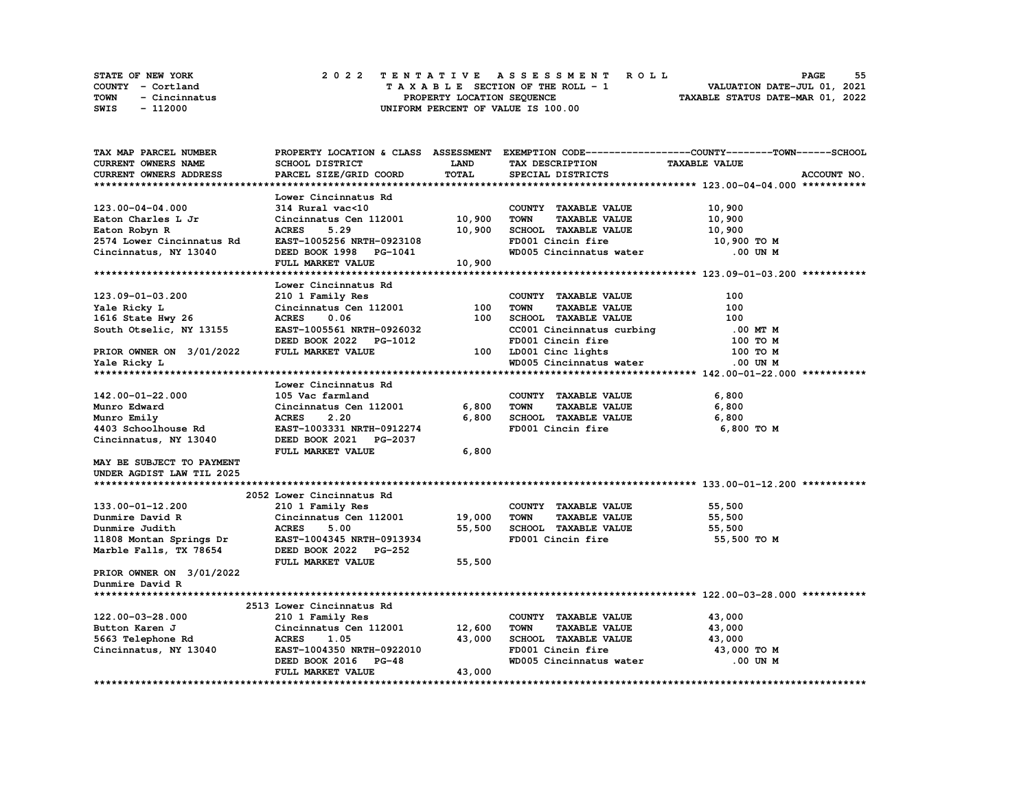|             | <b>STATE OF NEW YORK</b> |  | 2022 TENTATIVE ASSESSMENT ROLL                                 | <b>PAGE</b>                 | 55 |
|-------------|--------------------------|--|----------------------------------------------------------------|-----------------------------|----|
|             | COUNTY - Cortland        |  | TAXABLE SECTION OF THE ROLL - 1                                | VALUATION DATE-JUL 01, 2021 |    |
| <b>TOWN</b> | - Cincinnatus            |  | TAXABLE STATUS DATE-MAR 01, 2022<br>PROPERTY LOCATION SEOUENCE |                             |    |
| SWIS        | - 112000                 |  | UNIFORM PERCENT OF VALUE IS 100.00                             |                             |    |

| TAX MAP PARCEL NUMBER      | PROPERTY LOCATION & CLASS ASSESSMENT EXEMPTION CODE-----------------COUNTY-------TOWN------SCHOOL |              |             |                           |                      |             |
|----------------------------|---------------------------------------------------------------------------------------------------|--------------|-------------|---------------------------|----------------------|-------------|
| <b>CURRENT OWNERS NAME</b> | <b>SCHOOL DISTRICT</b>                                                                            | LAND         |             | TAX DESCRIPTION           | <b>TAXABLE VALUE</b> |             |
| CURRENT OWNERS ADDRESS     | PARCEL SIZE/GRID COORD                                                                            | <b>TOTAL</b> |             | SPECIAL DISTRICTS         |                      | ACCOUNT NO. |
|                            |                                                                                                   |              |             |                           |                      |             |
|                            | Lower Cincinnatus Rd                                                                              |              |             |                           |                      |             |
| 123.00-04-04.000           | 314 Rural vac<10                                                                                  |              |             | COUNTY TAXABLE VALUE      | 10,900               |             |
| Eaton Charles L Jr         | Cincinnatus Cen 112001                                                                            | 10,900       | <b>TOWN</b> | <b>TAXABLE VALUE</b>      | 10,900               |             |
| Eaton Robyn R              | <b>ACRES</b><br>5.29                                                                              | 10,900       |             | SCHOOL TAXABLE VALUE      | 10,900               |             |
| 2574 Lower Cincinnatus Rd  | EAST-1005256 NRTH-0923108                                                                         |              |             | FD001 Cincin fire         | 10,900 TO M          |             |
| Cincinnatus, NY 13040      | DEED BOOK 1998 PG-1041                                                                            |              |             | WD005 Cincinnatus water   | .00 UN M             |             |
|                            | FULL MARKET VALUE                                                                                 | 10,900       |             |                           |                      |             |
|                            |                                                                                                   |              |             |                           |                      |             |
|                            | Lower Cincinnatus Rd                                                                              |              |             |                           |                      |             |
| 123.09-01-03.200           | 210 1 Family Res                                                                                  |              |             | COUNTY TAXABLE VALUE      | 100                  |             |
| Yale Ricky L               | Cincinnatus Cen 112001                                                                            | 100          | <b>TOWN</b> | <b>TAXABLE VALUE</b>      | 100                  |             |
| 1616 State Hwy 26          | <b>ACRES</b><br>0.06                                                                              | 100          |             | SCHOOL TAXABLE VALUE      | 100                  |             |
| South Otselic, NY 13155    | EAST-1005561 NRTH-0926032                                                                         |              |             | CC001 Cincinnatus curbing | .00 MT M             |             |
|                            | DEED BOOK 2022 PG-1012                                                                            |              |             | FD001 Cincin fire         | 100 то м             |             |
| PRIOR OWNER ON 3/01/2022   | FULL MARKET VALUE                                                                                 | 100          |             | LD001 Cinc lights         | 100 TO M             |             |
|                            |                                                                                                   |              |             | WD005 Cincinnatus water   | $.00$ UN $M$         |             |
| Yale Ricky L               |                                                                                                   |              |             |                           |                      |             |
|                            |                                                                                                   |              |             |                           |                      |             |
|                            | Lower Cincinnatus Rd                                                                              |              |             |                           |                      |             |
| 142.00-01-22.000           | 105 Vac farmland                                                                                  |              |             | COUNTY TAXABLE VALUE      | 6,800                |             |
| Munro Edward               | Cincinnatus Cen 112001                                                                            | 6,800        | <b>TOWN</b> | <b>TAXABLE VALUE</b>      | 6,800                |             |
| Munro Emily                | 2.20<br><b>ACRES</b>                                                                              | 6,800        |             | SCHOOL TAXABLE VALUE      | 6,800                |             |
| 4403 Schoolhouse Rd        | EAST-1003331 NRTH-0912274                                                                         |              |             | FD001 Cincin fire         | 6,800 TO M           |             |
| Cincinnatus, NY 13040      | DEED BOOK 2021 PG-2037                                                                            |              |             |                           |                      |             |
|                            | FULL MARKET VALUE                                                                                 | 6,800        |             |                           |                      |             |
| MAY BE SUBJECT TO PAYMENT  |                                                                                                   |              |             |                           |                      |             |
| UNDER AGDIST LAW TIL 2025  |                                                                                                   |              |             |                           |                      |             |
|                            |                                                                                                   |              |             |                           |                      |             |
|                            | 2052 Lower Cincinnatus Rd                                                                         |              |             |                           |                      |             |
| 133.00-01-12.200           | 210 1 Family Res                                                                                  |              |             | COUNTY TAXABLE VALUE      | 55,500               |             |
| Dunmire David R            | Cincinnatus Cen 112001                                                                            | 19,000       | <b>TOWN</b> | <b>TAXABLE VALUE</b>      | 55,500               |             |
| Dunmire Judith             | <b>ACRES</b><br>5.00                                                                              | 55,500       |             | SCHOOL TAXABLE VALUE      | 55,500               |             |
| 11808 Montan Springs Dr    | EAST-1004345 NRTH-0913934                                                                         |              |             | FD001 Cincin fire         | 55,500 TO M          |             |
| Marble Falls, TX 78654     | DEED BOOK 2022 PG-252                                                                             |              |             |                           |                      |             |
|                            | FULL MARKET VALUE                                                                                 | 55,500       |             |                           |                      |             |
| PRIOR OWNER ON 3/01/2022   |                                                                                                   |              |             |                           |                      |             |
| Dunmire David R            |                                                                                                   |              |             |                           |                      |             |
|                            |                                                                                                   |              |             |                           |                      |             |
|                            | 2513 Lower Cincinnatus Rd                                                                         |              |             |                           |                      |             |
| 122.00-03-28.000           | 210 1 Family Res                                                                                  |              |             | COUNTY TAXABLE VALUE      | 43,000               |             |
| Button Karen J             | Cincinnatus Cen 112001                                                                            | 12,600       | <b>TOWN</b> | <b>TAXABLE VALUE</b>      | 43,000               |             |
| 5663 Telephone Rd          | <b>ACRES</b><br>1.05                                                                              | 43,000       |             | SCHOOL TAXABLE VALUE      | 43,000               |             |
| Cincinnatus, NY 13040      | EAST-1004350 NRTH-0922010                                                                         |              |             | FD001 Cincin fire         | 43,000 TO M          |             |
|                            | DEED BOOK 2016 PG-48                                                                              |              |             | WD005 Cincinnatus water   | .00 UN M             |             |
|                            | FULL MARKET VALUE                                                                                 | 43,000       |             |                           |                      |             |
|                            |                                                                                                   |              |             |                           |                      |             |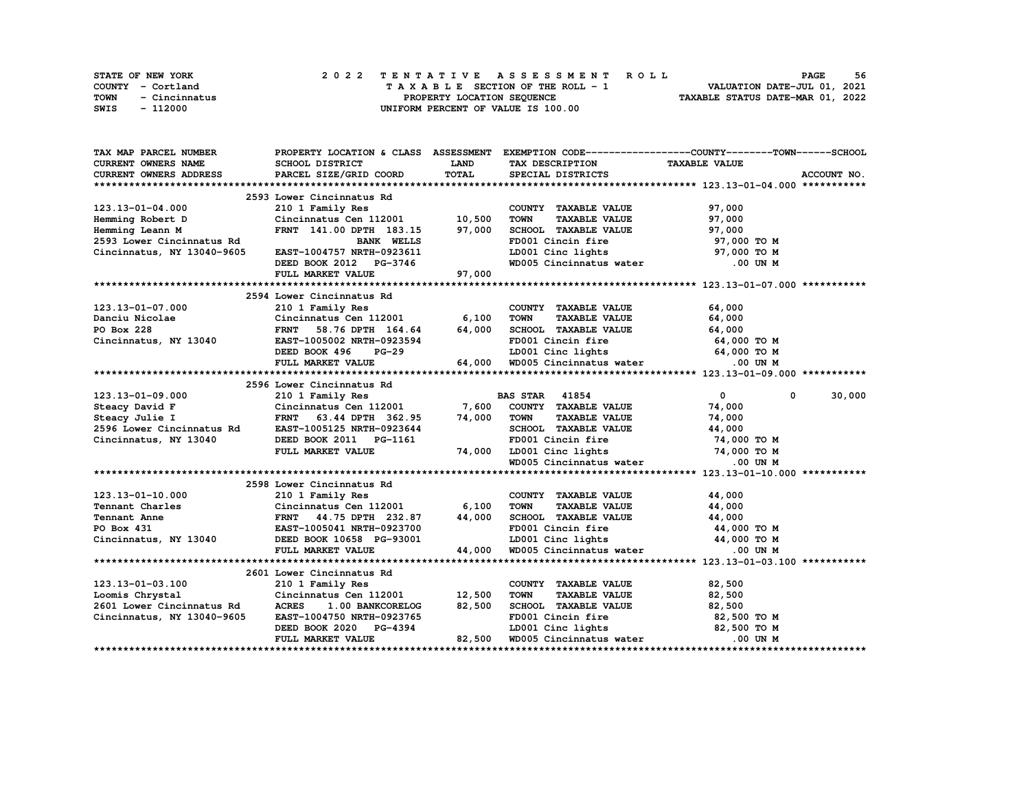| <b>STATE OF NEW YORK</b> | 2022 TENTATIVE ASSESSMENT ROLL     | 56<br><b>PAGE</b>                |
|--------------------------|------------------------------------|----------------------------------|
| COUNTY - Cortland        | TAXABLE SECTION OF THE ROLL - 1    | VALUATION DATE-JUL 01, 2021      |
| TOWN<br>- Cincinnatus    | PROPERTY LOCATION SEOUENCE         | TAXABLE STATUS DATE-MAR 01, 2022 |
| SWIS<br>- 112000         | UNIFORM PERCENT OF VALUE IS 100.00 |                                  |

| TAX MAP PARCEL NUMBER                                                                                                                                   |                                                                                              |                  |                                                                                       | PROPERTY LOCATION & CLASS ASSESSMENT EXEMPTION CODE-----------------COUNTY-------TOWN-----SCHOOL |
|---------------------------------------------------------------------------------------------------------------------------------------------------------|----------------------------------------------------------------------------------------------|------------------|---------------------------------------------------------------------------------------|--------------------------------------------------------------------------------------------------|
| <b>CURRENT OWNERS NAME</b>                                                                                                                              | SCHOOL DISTRICT                                                                              | <b>LAND</b>      | TAX DESCRIPTION TAXABLE VALUE                                                         |                                                                                                  |
| CURRENT OWNERS ADDRESS                                                                                                                                  | PARCEL SIZE/GRID COORD                                                                       | <b>TOTAL</b>     | SPECIAL DISTRICTS                                                                     | ACCOUNT NO.                                                                                      |
|                                                                                                                                                         |                                                                                              |                  |                                                                                       |                                                                                                  |
|                                                                                                                                                         | 2593 Lower Cincinnatus Rd<br>210 1 Family Res<br>Cincinnatus Cen 112001 10,500               |                  |                                                                                       |                                                                                                  |
| 123.13-01-04.000                                                                                                                                        |                                                                                              |                  | COUNTY TAXABLE VALUE                                                                  | 97,000                                                                                           |
| Hemming Robert D                                                                                                                                        |                                                                                              |                  | TAXABLE VALUE<br><b>TOWN</b>                                                          | 97,000                                                                                           |
| Hemming Leann M                                                                                                                                         | FRNT 141.00 DPTH 183.15 97,000                                                               |                  | SCHOOL TAXABLE VALUE                                                                  | 97,000                                                                                           |
| 2593 Lower Cincinnatus Rd                                                                                                                               | <b>BANK WELLS</b>                                                                            |                  | FD001 Cincin fire                                                                     | 97,000 TO M                                                                                      |
| Cincinnatus, NY 13040-9605                                                                                                                              | EAST-1004757 NRTH-0923611                                                                    |                  | LD001 Cinc lights 97,000 TO M                                                         |                                                                                                  |
|                                                                                                                                                         | DEED BOOK 2012 PG-3746                                                                       |                  | WD005 Cincinnatus water .00 UN M                                                      |                                                                                                  |
|                                                                                                                                                         | FULL MARKET VALUE                                                                            | G−3746<br>97,000 |                                                                                       |                                                                                                  |
|                                                                                                                                                         |                                                                                              |                  |                                                                                       |                                                                                                  |
|                                                                                                                                                         | 2594 Lower Cincinnatus Rd                                                                    |                  |                                                                                       |                                                                                                  |
|                                                                                                                                                         | 210 1 Family Res                                                                             |                  | COUNTY TAXABLE VALUE                                                                  | 64,000                                                                                           |
|                                                                                                                                                         | $Cincin n$ Cincinnatus Cen 112001 6,100                                                      |                  | <b>TOWN</b><br>TAXABLE VALUE 64,000                                                   |                                                                                                  |
| 123.13-01-07.000<br>Danciu Nicolae                                                                                                                      |                                                                                              |                  |                                                                                       |                                                                                                  |
| Cincinnatus, NY 13040                                                                                                                                   | FRNT 58.76 DPTH $164.64$ 64,000<br>EAST-1005002 NRTH-0923594                                 |                  | SCHOOL TAXABLE VALUE 64,000<br>FD001 Cincin fire 64,000 TO M                          |                                                                                                  |
|                                                                                                                                                         | DEED BOOK 496                                                                                | $PG-29$          |                                                                                       |                                                                                                  |
|                                                                                                                                                         | FULL MARKET VALUE                                                                            |                  | −29 LD001 Cinc lights 64,000 TO M<br>64,000 WD005 Cincinnatus water 0.00 UN M         |                                                                                                  |
|                                                                                                                                                         |                                                                                              |                  |                                                                                       |                                                                                                  |
|                                                                                                                                                         |                                                                                              |                  |                                                                                       |                                                                                                  |
| 123.13-01-09.000                                                                                                                                        | 2596 Lower Cincinnatus Rd<br>210 1 Family Res<br>Cincinnatus Cen 112001 7,600 COUNTY TAXABLE |                  |                                                                                       | $\overline{\mathbf{0}}$<br>30,000<br>$\mathbf{0}$                                                |
|                                                                                                                                                         |                                                                                              |                  | COUNTY TAXABLE VALUE                                                                  | 74,000                                                                                           |
| Steacy David F<br>Steacy Julie I Cincinnatus Cen 112001<br>Steacy Julie I FRNT 63.44 DPTH 362.95<br>2596 Lower Cincinnatus Rd EAST-1005125 NRTH-0923644 |                                                                                              | 74,000           | <b>TOWN</b>                                                                           | 74,000                                                                                           |
|                                                                                                                                                         | FRNT 63.44 DPTH 362.95                                                                       |                  | TAXABLE VALUE<br>SCHOOL TAXABLE VALUE                                                 | 44,000                                                                                           |
| Cincinnatus, NY 13040                                                                                                                                   | DEED BOOK 2011 PG-1161                                                                       |                  | FD001 Cincin fire<br>74,000 TO M                                                      |                                                                                                  |
|                                                                                                                                                         | FULL MARKET VALUE                                                                            |                  |                                                                                       |                                                                                                  |
|                                                                                                                                                         |                                                                                              |                  | 74,000 LD001 Cinc lights 74,000 TO M<br>WD005 Cincinnatus water 0.00 UN M             |                                                                                                  |
|                                                                                                                                                         |                                                                                              |                  |                                                                                       |                                                                                                  |
|                                                                                                                                                         | 2598 Lower Cincinnatus Rd                                                                    |                  |                                                                                       |                                                                                                  |
| 123.13-01-10.000                                                                                                                                        | 210 1 Family Res                                                                             |                  | COUNTY TAXABLE VALUE                                                                  | 44,000                                                                                           |
|                                                                                                                                                         | Cincinnatus Cen 112001 6,100                                                                 |                  | <b>TOWN</b>                                                                           |                                                                                                  |
|                                                                                                                                                         |                                                                                              |                  | TAXABLE VALUE 44,000                                                                  |                                                                                                  |
|                                                                                                                                                         | FRNT 44.75 DPTH 232.87 44,000                                                                |                  | SCHOOL TAXABLE VALUE 44,000<br>FD001 Cincin fire 44,000 TO M                          |                                                                                                  |
|                                                                                                                                                         |                                                                                              |                  |                                                                                       |                                                                                                  |
| Cincinnatus, NY 13040<br>Cincinnatus, NY 13040<br>EED BOOK 10658 PG-93001                                                                               |                                                                                              |                  | $3-93001$ LD001 Cinc lights $44,000$ TO M<br>44,000 WD005 Cincinnatus water 0.00 UN M |                                                                                                  |
|                                                                                                                                                         |                                                                                              |                  |                                                                                       |                                                                                                  |
|                                                                                                                                                         | 2601 Lower Cincinnatus Rd                                                                    |                  |                                                                                       |                                                                                                  |
|                                                                                                                                                         |                                                                                              |                  |                                                                                       |                                                                                                  |
| 123.13-01-03.100<br>Loomis Chrystal                                                                                                                     | 210 1 Family Res<br>Cincinnatus Cen $112001$ 12,500                                          |                  | COUNTY TAXABLE VALUE<br><b>TOWN</b><br><b>TAXABLE VALUE</b>                           | 82,500<br>82,500                                                                                 |
| 2601 Lower Cincinnatus Rd                                                                                                                               | ACRES 1.00 BANKCORELOG                                                                       | 82,500           |                                                                                       |                                                                                                  |
|                                                                                                                                                         |                                                                                              |                  | SCHOOL TAXABLE VALUE $82,500$                                                         |                                                                                                  |
| Cincinnatus, NY 13040-9605                                                                                                                              | EAST-1004750 NRTH-0923765                                                                    |                  | FD001 Cincin fire<br>$10001$ Cinc lights 82,500 TO M                                  | 82,500 TO M                                                                                      |
|                                                                                                                                                         | DEED BOOK 2020 PG-4394                                                                       |                  |                                                                                       |                                                                                                  |
|                                                                                                                                                         | FULL MARKET VALUE                                                                            |                  | 82,500 WD005 Cincinnatus water                                                        | .00 UN M                                                                                         |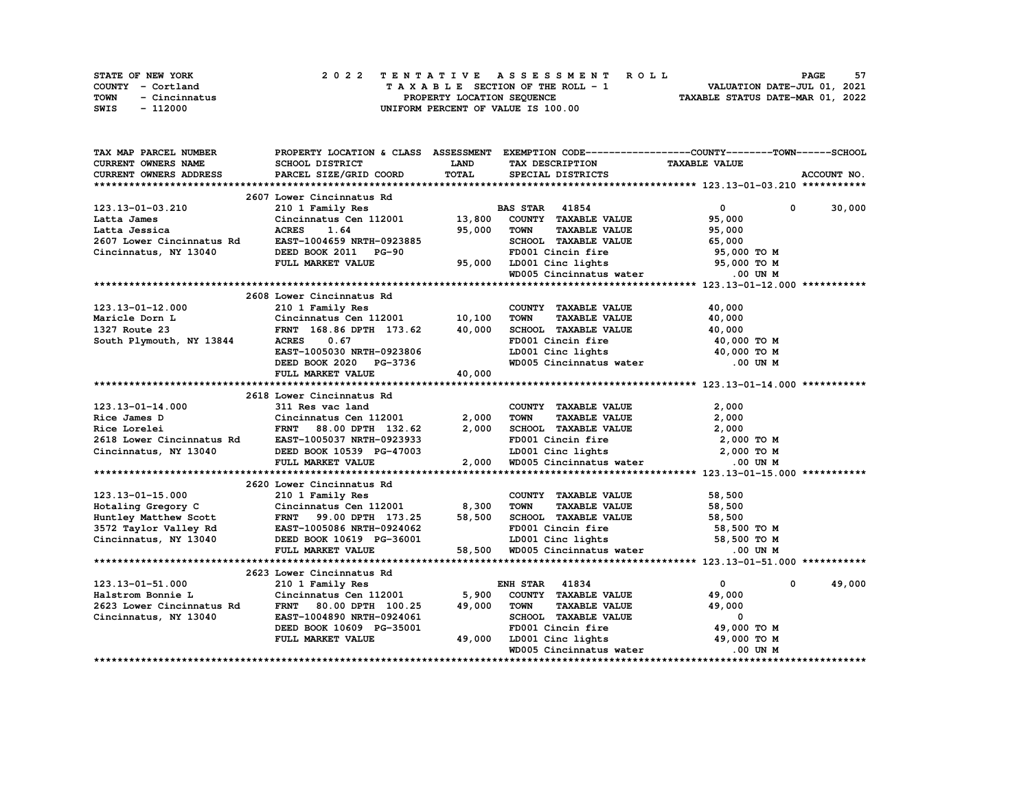|      | STATE OF NEW YORK |  |  |  |  |  | 2022 TENTATIVE ASSESSMENT ROLL     |  |  |  |  |  |  |                                  | <b>PAGE</b> | 57 |
|------|-------------------|--|--|--|--|--|------------------------------------|--|--|--|--|--|--|----------------------------------|-------------|----|
|      | COUNTY - Cortland |  |  |  |  |  | TAXABLE SECTION OF THE ROLL - 1    |  |  |  |  |  |  | VALUATION DATE-JUL 01, 2021      |             |    |
| TOWN | - Cincinnatus     |  |  |  |  |  | PROPERTY LOCATION SEQUENCE         |  |  |  |  |  |  | TAXABLE STATUS DATE-MAR 01, 2022 |             |    |
| SWIS | - 112000          |  |  |  |  |  | UNIFORM PERCENT OF VALUE IS 100.00 |  |  |  |  |  |  |                                  |             |    |

| TAX MAP PARCEL NUMBER                               |                                            |             | PROPERTY LOCATION & CLASS ASSESSMENT EXEMPTION CODE----------------COUNTY-------TOWN------SCHOOL |                                |             |
|-----------------------------------------------------|--------------------------------------------|-------------|--------------------------------------------------------------------------------------------------|--------------------------------|-------------|
| <b>CURRENT OWNERS NAME</b>                          | SCHOOL DISTRICT                            | <b>LAND</b> | TAX DESCRIPTION                                                                                  | <b>TAXABLE VALUE</b>           |             |
| <b>CURRENT OWNERS ADDRESS</b>                       | PARCEL SIZE/GRID COORD                     | TOTAL       | SPECIAL DISTRICTS                                                                                |                                | ACCOUNT NO. |
|                                                     |                                            |             |                                                                                                  |                                |             |
|                                                     | 2607 Lower Cincinnatus Rd                  |             |                                                                                                  |                                |             |
| 123.13-01-03.210                                    | 210 1 Family Res                           |             | <b>BAS STAR</b> 41854                                                                            | $\overline{0}$<br>$\mathbf{0}$ | 30,000      |
| Latta James                                         | Cincinnatus Cen 112001 13,800              |             | COUNTY TAXABLE VALUE                                                                             | 95,000                         |             |
| Latta Jessica                                       | <b>ACRES</b><br>1.64                       | 95,000      | <b>TOWN</b><br><b>TAXABLE VALUE</b>                                                              | 95,000                         |             |
| 2607 Lower Cincinnatus Rd                           | EAST-1004659 NRTH-0923885                  |             | SCHOOL TAXABLE VALUE                                                                             | 65,000                         |             |
| Cincinnatus, NY 13040                               | DEED BOOK 2011 PG-90                       |             | FD001 Cincin fire                                                                                | 95,000 TO M                    |             |
|                                                     | FULL MARKET VALUE                          | 95,000      | LD001 Cinc lights                                                                                | 95,000 TO M                    |             |
|                                                     |                                            |             | WD005 Cincinnatus water                                                                          | .00 UN M                       |             |
|                                                     |                                            |             |                                                                                                  |                                |             |
|                                                     | 2608 Lower Cincinnatus Rd                  |             |                                                                                                  |                                |             |
| 123.13-01-12.000                                    | 210 1 Family Res                           |             | COUNTY TAXABLE VALUE                                                                             | 40,000                         |             |
| Maricle Dorn L                                      | Cincinnatus Cen 112001 10,100              |             | <b>TOWN</b><br><b>TAXABLE VALUE</b>                                                              | 40,000                         |             |
| 1327 Route 23                                       | FRNT 168.86 DPTH 173.62                    | 40,000      | SCHOOL TAXABLE VALUE                                                                             | 40,000                         |             |
| South Plymouth, NY 13844                            | <b>ACRES</b><br>0.67                       |             |                                                                                                  | 40,000 TO M                    |             |
|                                                     | EAST-1005030 NRTH-0923806                  |             | FD001 Cincin fire<br>LD001 Cinc lights                                                           | 40,000 TO M                    |             |
|                                                     | DEED BOOK 2020 PG-3736                     |             | WD005 Cincinnatus water .00 UN M                                                                 |                                |             |
|                                                     | FULL MARKET VALUE                          | 40,000      |                                                                                                  |                                |             |
|                                                     |                                            |             |                                                                                                  |                                |             |
|                                                     | 2618 Lower Cincinnatus Rd                  |             |                                                                                                  |                                |             |
| $123.13 - 01 - 14.000$                              | 311 Res vac land                           |             | COUNTY TAXABLE VALUE                                                                             | 2,000                          |             |
| Rice James D                                        | Cincinnatus Cen 112001                     | 2,000       | <b>TOWN</b><br><b>TAXABLE VALUE</b>                                                              | 2,000                          |             |
| Rice Lorelei                                        | FRNT 88.00 DPTH 132.62                     | 2,000       | SCHOOL TAXABLE VALUE                                                                             | 2,000                          |             |
| 2618 Lower Cincinnatus Rd EAST-1005037 NRTH-0923933 |                                            |             | FD001 Cincin fire                                                                                | 2,000 TO M                     |             |
| Cincinnatus, NY 13040                               | DEED BOOK 10539 PG-47003                   |             |                                                                                                  |                                |             |
|                                                     | FULL MARKET VALUE                          | 2,000       | LD001 Cinc lights 2,000 TO M<br>WD005 Cincinnatus water                                          | .00 UN M                       |             |
|                                                     |                                            |             |                                                                                                  |                                |             |
|                                                     | 2620 Lower Cincinnatus Rd                  |             |                                                                                                  |                                |             |
| 123.13-01-15.000                                    | 210 1 Family Res                           |             | COUNTY TAXABLE VALUE                                                                             | 58,500                         |             |
| Hotaling Gregory C                                  | Cincinnatus Cen $112001$ 8,300             |             | <b>TOWN</b><br><b>TAXABLE VALUE</b>                                                              | 58,500                         |             |
| Huntley Matthew Scott                               | FRNT 99.00 DPTH 173.25                     | 58,500      | SCHOOL TAXABLE VALUE                                                                             | 58,500                         |             |
| 3572 Taylor Valley Rd EAST-1005086 NRTH-0924062     |                                            |             | FD001 Cincin fire                                                                                | 58,500 TO M                    |             |
| Cincinnatus, NY 13040                               | DEED BOOK 10619 PG-36001                   |             |                                                                                                  |                                |             |
|                                                     | FULL MARKET VALUE                          |             | LD001 Cinc lights 58,500 TO M<br>58,500 WD005 Cincinnatus water 68,500 WD005 Cincinnatus water   |                                |             |
|                                                     |                                            |             |                                                                                                  |                                |             |
|                                                     | 2623 Lower Cincinnatus Rd                  |             |                                                                                                  |                                |             |
|                                                     |                                            |             |                                                                                                  | $\mathbf{0}$<br>$\mathbf 0$    | 49,000      |
| 123.13-01-51.000<br>Halstrom Bonnie L               | 210 1 Family Res<br>Cincinnatus Cen 112001 | 5,900       | <b>ENH STAR 41834</b><br>COUNTY TAXABLE VALUE                                                    | 49,000                         |             |
| 2623 Lower Cincinnatus Rd                           | <b>FRNT</b><br>80.00 DPTH 100.25           | 49,000      | <b>TOWN</b><br><b>TAXABLE VALUE</b>                                                              | 49,000                         |             |
|                                                     | EAST-1004890 NRTH-0924061                  |             | SCHOOL TAXABLE VALUE                                                                             | 0                              |             |
| Cincinnatus, NY 13040                               | DEED BOOK 10609 PG-35001                   |             | FD001 Cincin fire                                                                                | 49,000 TO M                    |             |
|                                                     | FULL MARKET VALUE                          | 49,000      | LD001 Cinc lights                                                                                | 49,000 TO M                    |             |
|                                                     |                                            |             |                                                                                                  |                                |             |
|                                                     |                                            |             | WD005 Cincinnatus water                                                                          | .00 UN M                       |             |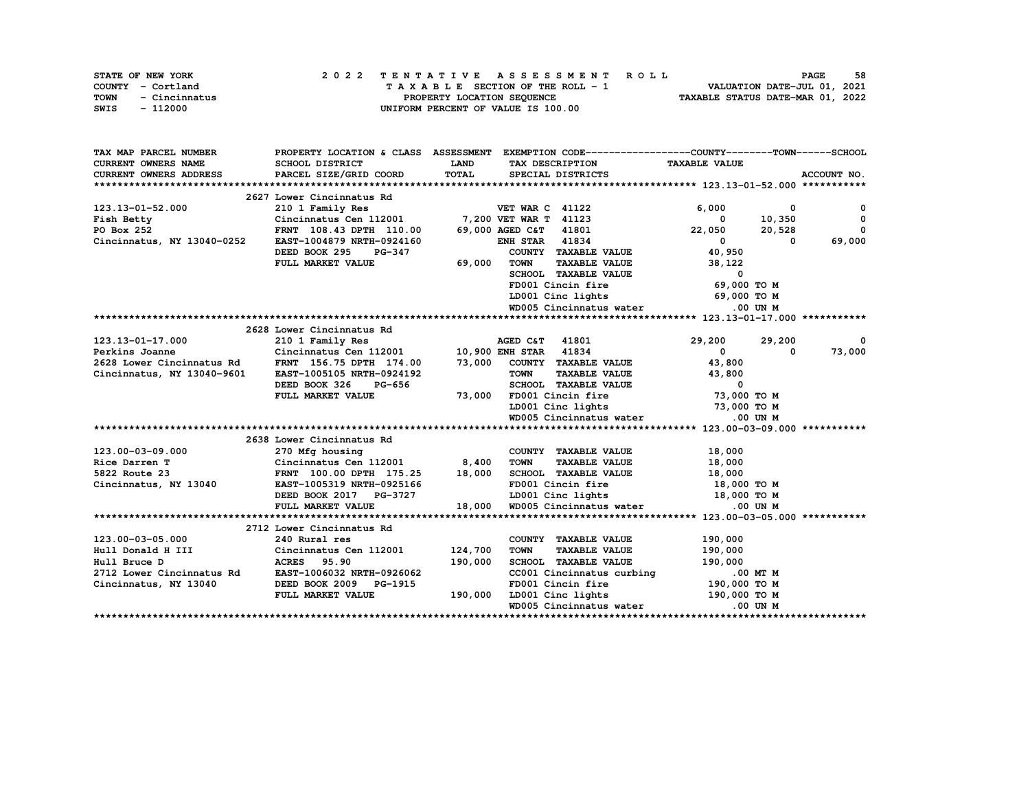|      | STATE OF NEW YORK |  |  |  |  |  | 2022 TENTATIVE ASSESSMENT ROLL     |  |  |  |  |  |  |  |                                  |                             |  | <b>PAGE</b> |  | 58 |
|------|-------------------|--|--|--|--|--|------------------------------------|--|--|--|--|--|--|--|----------------------------------|-----------------------------|--|-------------|--|----|
|      | COUNTY - Cortland |  |  |  |  |  | TAXABLE SECTION OF THE ROLL - 1    |  |  |  |  |  |  |  |                                  | VALUATION DATE-JUL 01, 2021 |  |             |  |    |
| TOWN | - Cincinnatus     |  |  |  |  |  | PROPERTY LOCATION SEQUENCE         |  |  |  |  |  |  |  | TAXABLE STATUS DATE-MAR 01, 2022 |                             |  |             |  |    |
| SWIS | - 112000          |  |  |  |  |  | UNIFORM PERCENT OF VALUE IS 100.00 |  |  |  |  |  |  |  |                                  |                             |  |             |  |    |

| TAX MAP PARCEL NUMBER                               |                                                                |             | PROPERTY LOCATION & CLASS ASSESSMENT EXEMPTION CODE----------------COUNTY-------TOWN-----SCHOOL |                                          |                          |
|-----------------------------------------------------|----------------------------------------------------------------|-------------|-------------------------------------------------------------------------------------------------|------------------------------------------|--------------------------|
| <b>CURRENT OWNERS NAME</b>                          | SCHOOL DISTRICT                                                | <b>LAND</b> | TAX DESCRIPTION TAXABLE VALUE                                                                   |                                          |                          |
| <b>CURRENT OWNERS ADDRESS</b>                       | PARCEL SIZE/GRID COORD                                         | TOTAL       | SPECIAL DISTRICTS                                                                               |                                          | ACCOUNT NO.              |
|                                                     |                                                                |             |                                                                                                 |                                          |                          |
|                                                     | 2627 Lower Cincinnatus Rd                                      |             |                                                                                                 |                                          |                          |
| 123.13-01-52.000                                    | 210 1 Family Res                                               |             | <b>VET WAR C 41122</b>                                                                          | 6,000<br>0                               | 0                        |
| Fish Betty                                          | Cincinnatus Cen 112001 7,200 VET WAR T 41123                   |             |                                                                                                 | 10,350<br>$\sim$ 0                       | $\mathbf{0}$             |
| PO Box 252                                          | FRNT 108.43 DPTH 110.00                                        |             | 69,000 AGED C&T 41801                                                                           | 22,050<br>20,528                         | $\mathbf{o}$             |
| Cincinnatus, NY 13040-0252                          | EAST-1004879 NRTH-0924160                                      |             | <b>ENH STAR 41834</b>                                                                           | $\mathbf{0}$<br>$\overline{\phantom{0}}$ | 69,000                   |
|                                                     | DEED BOOK 295<br><b>PG-347</b>                                 |             | COUNTY TAXABLE VALUE                                                                            | 40,950                                   |                          |
|                                                     | FULL MARKET VALUE                                              | 69,000      | <b>TOWN</b><br><b>TAXABLE VALUE</b>                                                             | 38,122                                   |                          |
|                                                     |                                                                |             | SCHOOL TAXABLE VALUE                                                                            | 0                                        |                          |
|                                                     |                                                                |             | FD001 Cincin fire                                                                               | 69,000 TO M                              |                          |
|                                                     |                                                                |             | LD001 Cinc lights                                                                               | 69,000 TO M                              |                          |
|                                                     |                                                                |             | WD005 Cincinnatus water                                                                         | $.00$ UN M                               |                          |
|                                                     |                                                                |             |                                                                                                 |                                          |                          |
|                                                     | 2628 Lower Cincinnatus Rd                                      |             |                                                                                                 |                                          |                          |
| 123.13-01-17.000                                    | 210 1 Family Res                                               |             | AGED C&T 41801                                                                                  | 29,200<br>29,200                         | $\overline{\phantom{a}}$ |
| Perkins Joanne                                      | Cincinnatus Cen 112001 10,900 ENH STAR 41834                   |             |                                                                                                 | $\overline{0}$<br>0                      | 73,000                   |
| 2628 Lower Cincinnatus Rd                           | FRNT 156.75 DPTH 174.00                                        |             | 73,000 COUNTY TAXABLE VALUE                                                                     | 43,800                                   |                          |
| Cincinnatus, NY 13040-9601                          | EAST-1005105 NRTH-0924192                                      |             | <b>TOWN</b><br>TAXABLE VALUE                                                                    | 43,800                                   |                          |
|                                                     | DEED BOOK 326<br><b>PG-656</b>                                 |             | SCHOOL TAXABLE VALUE                                                                            | $\overline{\phantom{0}}$                 |                          |
|                                                     | FULL MARKET VALUE                                              | 73,000      | FD001 Cincin fire 73,000 TO M                                                                   |                                          |                          |
|                                                     |                                                                |             | LD001 Cinc lights 73,000 TO M                                                                   |                                          |                          |
|                                                     |                                                                |             | WD005 Cincinnatus water                                                                         | .00 UN M                                 |                          |
|                                                     |                                                                |             |                                                                                                 |                                          |                          |
|                                                     | 2638 Lower Cincinnatus Rd                                      |             |                                                                                                 |                                          |                          |
| 123.00-03-09.000                                    | 270 Mfg housing                                                |             | COUNTY TAXABLE VALUE                                                                            | 18,000                                   |                          |
| Rice Darren T                                       | Cincinnatus Cen 112001 8,400<br>FRNT 100.00 DPTH 175.25 18,000 |             | <b>TOWN</b><br><b>TAXABLE VALUE</b>                                                             | 18,000                                   |                          |
| 5822 Route 23                                       |                                                                |             | SCHOOL TAXABLE VALUE                                                                            | 18,000                                   |                          |
| Cincinnatus, NY 13040                               | EAST-1005319 NRTH-0925166                                      |             | FD001 Cincin fire                                                                               | 18,000 TO M                              |                          |
|                                                     | DEED BOOK 2017 PG-3727                                         |             | LD001 Cinc lights 18,000 TO M                                                                   |                                          |                          |
|                                                     | FULL MARKET VALUE                                              | 18,000      | WD005 Cincinnatus water                                                                         | .00 UN M                                 |                          |
|                                                     |                                                                |             |                                                                                                 |                                          |                          |
|                                                     | 2712 Lower Cincinnatus Rd                                      |             |                                                                                                 |                                          |                          |
| 123.00-03-05.000                                    | 240 Rural res                                                  |             | COUNTY TAXABLE VALUE                                                                            | 190,000                                  |                          |
| Hull Donald H III                                   | Cincinnatus Cen 112001<br>ACRES 95.90                          | 124,700     | <b>TOWN</b><br><b>TAXABLE VALUE</b>                                                             | 190,000                                  |                          |
| Hull Bruce D                                        | <b>ACRES</b> 95.90                                             | 190,000     | SCHOOL TAXABLE VALUE                                                                            | 190,000                                  |                          |
| 2712 Lower Cincinnatus Rd EAST-1006032 NRTH-0926062 |                                                                |             | CC001 Cincinnatus curbing                                                                       | $.00$ MT M                               |                          |
| Cincinnatus, NY 13040                               | DEED BOOK 2009 PG-1915                                         |             | FD001 Cincin fire 190,000 TO M                                                                  |                                          |                          |
|                                                     | FULL MARKET VALUE                                              | 190,000     | LD001 Cinc lights 190,000 TO M                                                                  |                                          |                          |
|                                                     |                                                                |             | WD005 Cincinnatus water                                                                         | .00 UN M                                 |                          |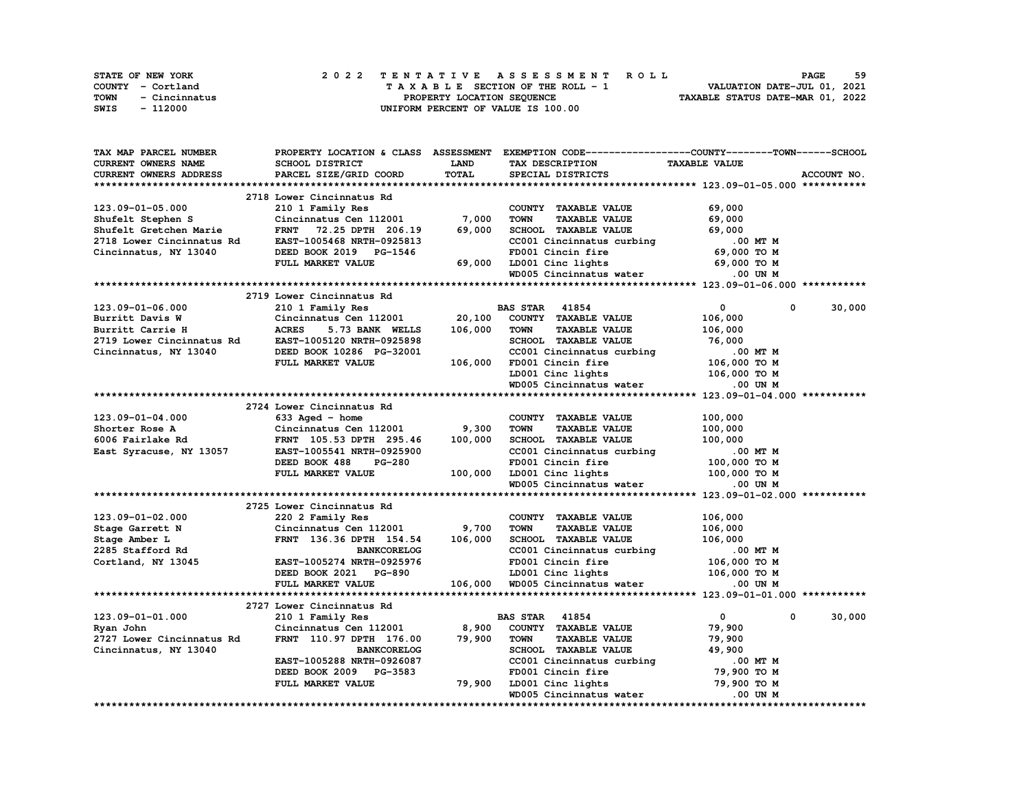| <b>STATE OF NEW YORK</b> | 2022 TENTATIVE ASSESSMENT ROLL     | 59<br><b>PAGE</b>                |
|--------------------------|------------------------------------|----------------------------------|
| COUNTY - Cortland        | TAXABLE SECTION OF THE ROLL - 1    | VALUATION DATE-JUL 01, 2021      |
| TOWN<br>- Cincinnatus    | PROPERTY LOCATION SEOUENCE         | TAXABLE STATUS DATE-MAR 01, 2022 |
| SWIS<br>- 112000         | UNIFORM PERCENT OF VALUE IS 100.00 |                                  |

| TAX MAP PARCEL NUMBER     |                                           |             | PROPERTY LOCATION & CLASS ASSESSMENT EXEMPTION CODE----------------COUNTY-------TOWN-----SCHOOL |                              |             |
|---------------------------|-------------------------------------------|-------------|-------------------------------------------------------------------------------------------------|------------------------------|-------------|
| CURRENT OWNERS NAME       | <b>SCHOOL DISTRICT</b>                    | <b>LAND</b> | TAX DESCRIPTION                                                                                 | <b>TAXABLE VALUE</b>         |             |
| CURRENT OWNERS ADDRESS    | PARCEL SIZE/GRID COORD                    | TOTAL       | SPECIAL DISTRICTS                                                                               |                              | ACCOUNT NO. |
|                           |                                           |             |                                                                                                 |                              |             |
|                           | 2718 Lower Cincinnatus Rd                 |             |                                                                                                 |                              |             |
| 123.09-01-05.000          | 210 1 Family Res                          |             | COUNTY TAXABLE VALUE                                                                            | 69,000                       |             |
| Shufelt Stephen S         | Cincinnatus Cen 112001 $\overline{7,000}$ |             | <b>TOWN</b><br><b>TAXABLE VALUE</b>                                                             | 69,000                       |             |
| Shufelt Gretchen Marie    | FRNT 72.25 DPTH 206.19                    | 69,000      | SCHOOL TAXABLE VALUE                                                                            | 69,000                       |             |
| 2718 Lower Cincinnatus Rd | EAST-1005468 NRTH-0925813                 |             | SCHOOL TAXABLE value.<br>CC001 Cincinnatus curbing .00 MT M<br>69,000 TO M                      |                              |             |
|                           |                                           |             |                                                                                                 |                              |             |
| Cincinnatus, NY 13040     | DEED BOOK 2019 PG-1546                    |             |                                                                                                 |                              |             |
|                           | FULL MARKET VALUE                         | 69,000      | LD001 Cinc lights 69,000 TO M<br>WD005 Cincinnatus water 0.00 UN M                              |                              |             |
|                           |                                           |             |                                                                                                 |                              |             |
|                           |                                           |             |                                                                                                 |                              |             |
|                           | 2719 Lower Cincinnatus Rd                 |             |                                                                                                 |                              |             |
| 123.09-01-06.000          | 210 1 Family Res                          |             | <b>BAS STAR 41854</b>                                                                           | $\overline{0}$<br>$^{\circ}$ | 30,000      |
| Burritt Davis W           | Cincinnatus Cen 112001                    | 20,100      | COUNTY TAXABLE VALUE                                                                            | 106,000                      |             |
| Burritt Carrie H          | <b>ACRES</b><br>5.73 BANK WELLS           | 106,000     | <b>TAXABLE VALUE</b><br><b>TOWN</b>                                                             | 106,000                      |             |
| 2719 Lower Cincinnatus Rd | EAST-1005120 NRTH-0925898                 |             | SCHOOL TAXABLE VALUE                                                                            | 76,000                       |             |
| Cincinnatus, NY 13040     | DEED BOOK 10286 PG-32001                  |             | CC001 Cincinnatus curbing                                                                       | .00 MT M                     |             |
|                           | FULL MARKET VALUE                         | 106,000     | FD001 Cincin fire                                                                               | 106,000 то м                 |             |
|                           |                                           |             | LD001 Cinc lights                                                                               | 106,000 TO M                 |             |
|                           |                                           |             | WD005 Cincinnatus water                                                                         | .00 UN M                     |             |
|                           |                                           |             |                                                                                                 |                              |             |
|                           | 2724 Lower Cincinnatus Rd                 |             |                                                                                                 |                              |             |
|                           |                                           |             |                                                                                                 |                              |             |
| 123.09-01-04.000          | $633$ Aged - home                         |             | COUNTY TAXABLE VALUE                                                                            | 100,000                      |             |
| Shorter Rose A            | Cincinnatus Cen 112001 9,300              |             | <b>TOWN</b><br><b>TAXABLE VALUE</b>                                                             | 100,000                      |             |
| 6006 Fairlake Rd          | FRNT 105.53 DPTH 295.46                   | 100,000     | SCHOOL TAXABLE VALUE                                                                            | 100,000                      |             |
| East Syracuse, NY 13057   | EAST-1005541 NRTH-0925900                 |             | CC001 Cincinnatus curbing                                                                       | $.00$ MT $M$                 |             |
|                           | DEED BOOK 488<br><b>PG-280</b>            |             | FD001 Cincin fire                                                                               | 100,000 TO M                 |             |
|                           | FULL MARKET VALUE                         | 100,000     |                                                                                                 |                              |             |
|                           |                                           |             | LD001 Cinc lights 100,000 TO M<br>WD005 Cincinnatus water 0.00 UN M                             |                              |             |
|                           |                                           |             |                                                                                                 |                              |             |
|                           | 2725 Lower Cincinnatus Rd                 |             |                                                                                                 |                              |             |
| 123.09-01-02.000          | 220 2 Family Res                          |             | COUNTY TAXABLE VALUE                                                                            | 106,000                      |             |
| Stage Garrett N           | Cincinnatus Cen 112001 9,700              |             | <b>TAXABLE VALUE</b><br><b>TOWN</b>                                                             | 106,000                      |             |
| Stage Amber L             | FRNT 136.36 DPTH 154.54                   | 106,000     | SCHOOL TAXABLE VALUE                                                                            | 106,000                      |             |
| 2285 Stafford Rd          | <b>BANKCORELOG</b>                        |             | CC001 Cincinnatus curbing                                                                       | .00 MT M                     |             |
| Cortland, NY 13045        | EAST-1005274 NRTH-0925976                 |             |                                                                                                 | 106,000 TO M                 |             |
|                           | DEED BOOK 2021 PG-890                     |             | FD001 Cincin fire<br>LD001 Cinc lights                                                          | 106,000 то м                 |             |
|                           | FULL MARKET VALUE                         | 106,000     | WD005 Cincinnatus water                                                                         | .00 UN M                     |             |
|                           |                                           |             |                                                                                                 |                              |             |
|                           |                                           |             |                                                                                                 |                              |             |
|                           | 2727 Lower Cincinnatus Rd                 |             |                                                                                                 |                              |             |
| 123.09-01-01.000          | 210 1 Family Res                          |             | <b>BAS STAR 41854</b>                                                                           | $\mathbf{0}$<br>$\mathbf{0}$ | 30,000      |
| Ryan John                 | Cincinnatus Cen 112001                    | 8,900       | COUNTY TAXABLE VALUE                                                                            | 79,900                       |             |
| 2727 Lower Cincinnatus Rd | FRNT 110.97 DPTH 176.00                   | 79,900      | <b>TOWN</b><br><b>TAXABLE VALUE</b>                                                             | 79,900                       |             |
| Cincinnatus, NY 13040     | <b>BANKCORELOG</b>                        |             | SCHOOL TAXABLE VALUE                                                                            | 49,900                       |             |
|                           | EAST-1005288 NRTH-0926087                 |             | CC001 Cincinnatus curbing                                                                       | $.00$ MT M                   |             |
|                           | DEED BOOK 2009 PG-3583                    |             | FD001 Cincin fire                                                                               | 79,900 то м                  |             |
|                           | FULL MARKET VALUE                         | 79,900      | LD001 Cinc lights                                                                               | 79,900 TO M                  |             |
|                           |                                           |             | WD005 Cincinnatus water                                                                         | .00 UN M                     |             |
|                           |                                           |             |                                                                                                 |                              |             |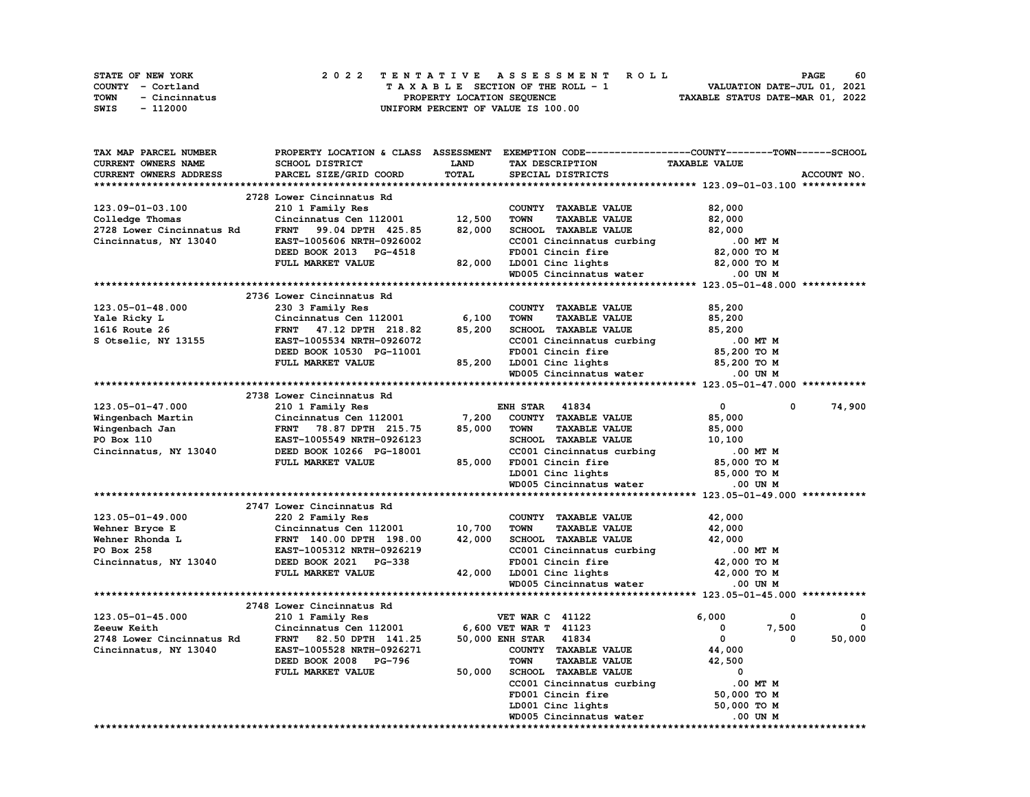| STATE OF NEW YORK |               |  |  |  |  |                                    |  |  |  | 2022 TENTATIVE ASSESSMENT ROLL |                                  | <b>PAGE</b>                 | 60 |
|-------------------|---------------|--|--|--|--|------------------------------------|--|--|--|--------------------------------|----------------------------------|-----------------------------|----|
| COUNTY - Cortland |               |  |  |  |  | TAXABLE SECTION OF THE ROLL - 1    |  |  |  |                                |                                  | VALUATION DATE-JUL 01, 2021 |    |
| TOWN              | - Cincinnatus |  |  |  |  | PROPERTY LOCATION SEQUENCE         |  |  |  |                                | TAXABLE STATUS DATE-MAR 01, 2022 |                             |    |
| SWIS              | - 112000      |  |  |  |  | UNIFORM PERCENT OF VALUE IS 100.00 |  |  |  |                                |                                  |                             |    |

| TAX MAP PARCEL NUMBER     | PROPERTY LOCATION & CLASS ASSESSMENT |             | EXEMPTION CODE-----------------COUNTY-------TOWN-----SCHOOL |                          |             |
|---------------------------|--------------------------------------|-------------|-------------------------------------------------------------|--------------------------|-------------|
| CURRENT OWNERS NAME       | SCHOOL DISTRICT                      | <b>LAND</b> | TAX DESCRIPTION                                             | <b>TAXABLE VALUE</b>     |             |
| CURRENT OWNERS ADDRESS    | PARCEL SIZE/GRID COORD               | TOTAL       | SPECIAL DISTRICTS                                           |                          | ACCOUNT NO. |
|                           |                                      |             |                                                             |                          |             |
|                           | 2728 Lower Cincinnatus Rd            |             |                                                             |                          |             |
| 123.09-01-03.100          | 210 1 Family Res                     |             | COUNTY TAXABLE VALUE                                        | 82,000                   |             |
| Colledge Thomas           | Cincinnatus Cen 112001               | 12,500      | <b>TAXABLE VALUE</b><br><b>TOWN</b>                         | 82,000                   |             |
| 2728 Lower Cincinnatus Rd | 99.04 DPTH 425.85<br><b>FRNT</b>     | 82,000      | SCHOOL TAXABLE VALUE                                        | 82,000                   |             |
| Cincinnatus, NY 13040     | EAST-1005606 NRTH-0926002            |             | CC001 Cincinnatus curbing                                   | .00 MT M                 |             |
|                           | DEED BOOK 2013 PG-4518               |             | FD001 Cincin fire                                           | 82,000 TO M              |             |
|                           |                                      |             |                                                             |                          |             |
|                           | FULL MARKET VALUE                    | 82,000      | LD001 Cinc lights                                           | 82,000 TO M              |             |
|                           |                                      |             | WD005 Cincinnatus water                                     | .00 UN M                 |             |
|                           |                                      |             |                                                             |                          |             |
|                           | 2736 Lower Cincinnatus Rd            |             |                                                             |                          |             |
| 123.05-01-48.000          | 230 3 Family Res                     |             | COUNTY TAXABLE VALUE                                        | 85,200                   |             |
| Yale Ricky L              | Cincinnatus Cen 112001               | 6,100       | <b>TOWN</b><br><b>TAXABLE VALUE</b>                         | 85,200                   |             |
| 1616 Route 26             | <b>FRNT</b><br>47.12 DPTH 218.82     | 85,200      | SCHOOL TAXABLE VALUE                                        | 85,200                   |             |
| S Otselic, NY 13155       | EAST-1005534 NRTH-0926072            |             | CC001 Cincinnatus curbing                                   | .00 MT M                 |             |
|                           | DEED BOOK 10530 PG-11001             |             | FD001 Cincin fire                                           | 85,200 TO M              |             |
|                           | FULL MARKET VALUE                    | 85,200      | LD001 Cinc lights                                           | 85,200 TO M              |             |
|                           |                                      |             | WD005 Cincinnatus water                                     | .00 UN M                 |             |
|                           |                                      |             |                                                             |                          |             |
|                           | 2738 Lower Cincinnatus Rd            |             |                                                             |                          |             |
| 123.05-01-47.000          |                                      |             | <b>ENH STAR 41834</b>                                       | $\mathbf{0}$<br>0        | 74,900      |
|                           | 210 1 Family Res                     |             |                                                             |                          |             |
| Wingenbach Martin         | Cincinnatus Cen 112001               | 7,200       | COUNTY TAXABLE VALUE                                        | 85,000                   |             |
| Wingenbach Jan            | FRNT 78.87 DPTH 215.75               | 85,000      | <b>TOWN</b><br><b>TAXABLE VALUE</b>                         | 85,000                   |             |
| PO Box 110                | EAST-1005549 NRTH-0926123            |             | SCHOOL TAXABLE VALUE                                        | 10,100                   |             |
| Cincinnatus, NY 13040     | DEED BOOK 10266 PG-18001             |             | CC001 Cincinnatus curbing                                   | .00 MT M                 |             |
|                           | FULL MARKET VALUE                    | 85,000      | FD001 Cincin fire                                           | 85,000 TO M              |             |
|                           |                                      |             | LD001 Cinc lights                                           | 85,000 TO M              |             |
|                           |                                      |             | WD005 Cincinnatus water                                     | .00 UN M                 |             |
|                           |                                      |             |                                                             |                          |             |
|                           | 2747 Lower Cincinnatus Rd            |             |                                                             |                          |             |
| 123.05-01-49.000          | 220 2 Family Res                     |             | COUNTY TAXABLE VALUE                                        | 42,000                   |             |
| Wehner Bryce E            | Cincinnatus Cen 112001               | 10,700      | <b>TAXABLE VALUE</b><br><b>TOWN</b>                         | 42,000                   |             |
| Wehner Rhonda L           | FRNT 140.00 DPTH 198.00              | 42,000      | SCHOOL TAXABLE VALUE                                        | 42,000                   |             |
| PO Box 258                | EAST-1005312 NRTH-0926219            |             | CC001 Cincinnatus curbing                                   | .00 MT M                 |             |
| Cincinnatus, NY 13040     | DEED BOOK 2021 PG-338                |             |                                                             | 42,000 TO M              |             |
|                           | FULL MARKET VALUE                    | 42,000      | FD001 Cincin fire<br>LD001 Cinc lights                      | 42,000 TO M              |             |
|                           |                                      |             |                                                             |                          |             |
|                           |                                      |             | WD005 Cincinnatus water                                     | .00 UN M                 |             |
|                           |                                      |             |                                                             |                          |             |
|                           | 2748 Lower Cincinnatus Rd            |             |                                                             |                          |             |
| 123.05-01-45.000          | 210 1 Family Res                     |             | <b>VET WAR C 41122</b>                                      | 6,000<br>0               | 0           |
| Zeeuw Keith               | Cincinnatus Cen 112001               |             | 6,600 VET WAR T 41123                                       | 0<br>7,500               | 0           |
| 2748 Lower Cincinnatus Rd | FRNT 82.50 DPTH 141.25               |             | 50,000 ENH STAR 41834                                       | $\mathbf{0}$<br>$\Omega$ | 50,000      |
| Cincinnatus, NY 13040     | EAST-1005528 NRTH-0926271            |             | COUNTY TAXABLE VALUE                                        | 44,000                   |             |
|                           | DEED BOOK 2008 PG-796                |             | <b>TOWN</b><br><b>TAXABLE VALUE</b>                         | 42,500                   |             |
|                           | FULL MARKET VALUE                    | 50,000      | SCHOOL TAXABLE VALUE                                        | 0                        |             |
|                           |                                      |             | CC001 Cincinnatus curbing                                   | .00 MT M                 |             |
|                           |                                      |             | FD001 Cincin fire                                           | 50,000 TO M              |             |
|                           |                                      |             | LD001 Cinc lights                                           | 50,000 TO M              |             |
|                           |                                      |             | WD005 Cincinnatus water                                     | .00 UN M                 |             |
|                           |                                      |             |                                                             |                          |             |
|                           |                                      |             |                                                             |                          |             |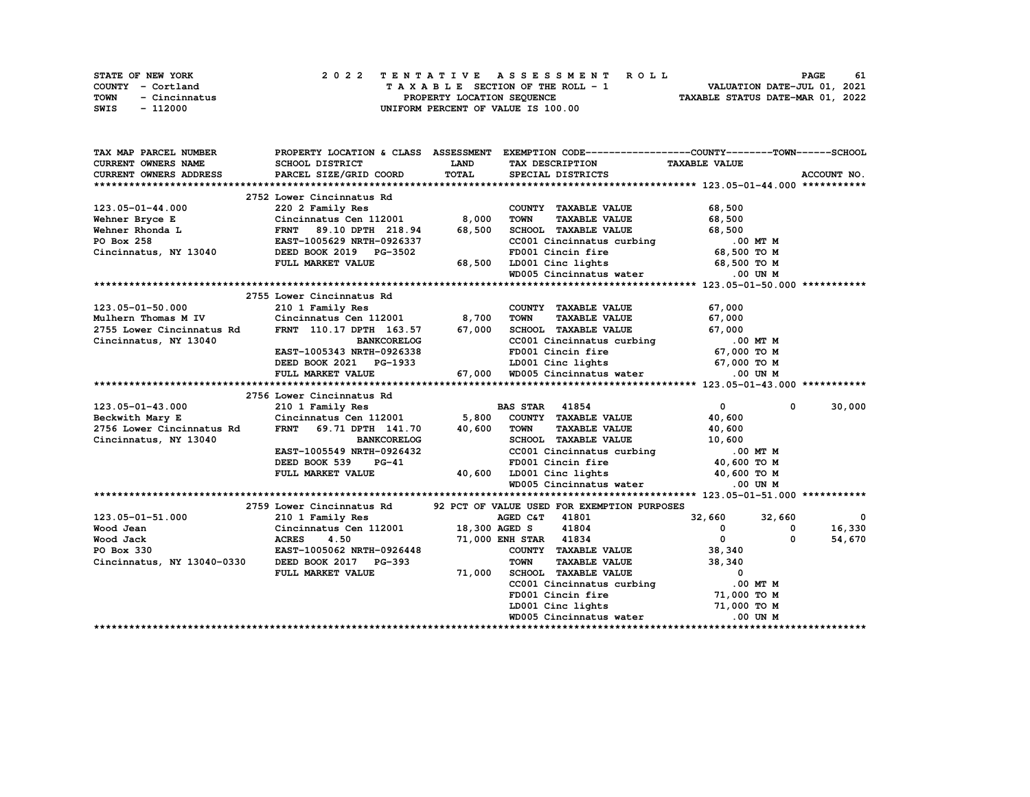| <b>STATE OF NEW YORK</b> | 2022 TENTATIVE ASSESSMENT ROLL     | 61<br>PAGE                       |
|--------------------------|------------------------------------|----------------------------------|
| COUNTY - Cortland        | TAXABLE SECTION OF THE ROLL - 1    | VALUATION DATE-JUL 01, 2021      |
| TOWN<br>- Cincinnatus    | PROPERTY LOCATION SEOUENCE         | TAXABLE STATUS DATE-MAR 01, 2022 |
| SWIS<br>- 112000         | UNIFORM PERCENT OF VALUE IS 100.00 |                                  |

| TAX MAP PARCEL NUMBER                                          | PROPERTY LOCATION & CLASS ASSESSMENT |             | EXEMPTION CODE-----------------COUNTY-------TOWN------SCHOOL             |                            |             |
|----------------------------------------------------------------|--------------------------------------|-------------|--------------------------------------------------------------------------|----------------------------|-------------|
| CURRENT OWNERS NAME                                            | SCHOOL DISTRICT                      | <b>LAND</b> | TAX DESCRIPTION                                                          | <b>TAXABLE VALUE</b>       |             |
| CURRENT OWNERS ADDRESS                                         | PARCEL SIZE/GRID COORD               | TOTAL       | SPECIAL DISTRICTS                                                        |                            | ACCOUNT NO. |
|                                                                |                                      |             |                                                                          |                            |             |
|                                                                | 2752 Lower Cincinnatus Rd            |             |                                                                          |                            |             |
| 123.05-01-44.000                                               | 220 2 Family Res                     |             | COUNTY TAXABLE VALUE                                                     | 68,500                     |             |
| Wehner Bryce E                                                 | Cincinnatus Cen 112001 8,000         |             | <b>TAXABLE VALUE</b><br><b>TOWN</b>                                      | 68,500                     |             |
| Wehner Rhonda L                                                | FRNT 89.10 DPTH 218.94               | 68,500      | SCHOOL TAXABLE VALUE                                                     | 68,500                     |             |
| PO Box 258                                                     | EAST-1005629 NRTH-0926337            |             | CC001 Cincinnatus curbing .00 MT M                                       |                            |             |
| Cincinnatus, NY 13040                                          | DEED BOOK 2019 PG-3502               |             | FD001 Cincin fire                                                        | 68,500 TO M                |             |
|                                                                | FULL MARKET VALUE                    | 68,500      | LD001 Cinc lights                                                        | 68,500 TO M                |             |
|                                                                |                                      |             | WD005 Cincinnatus water                                                  | .00 UN M                   |             |
|                                                                |                                      |             |                                                                          |                            |             |
|                                                                | 2755 Lower Cincinnatus Rd            |             |                                                                          |                            |             |
| 123.05-01-50.000                                               | 210 1 Family Res                     |             | COUNTY TAXABLE VALUE                                                     | 67,000                     |             |
| Mulhern Thomas M IV                                            | Cincinnatus Cen 112001 8,700         |             | <b>TOWN</b><br><b>TAXABLE VALUE</b>                                      | 67,000                     |             |
| 2755 Lower Cincinnatus Rd                                      | FRNT 110.17 DPTH 163.57 67,000       |             | SCHOOL TAXABLE VALUE                                                     | 67,000                     |             |
| Cincinnatus, NY 13040                                          | <b>BANKCORELOG</b>                   |             | CC001 Cincinnatus curbing                                                | .00 MT M                   |             |
|                                                                | EAST-1005343 NRTH-0926338            |             | FD001 Cincin fire 67,000 TO M                                            |                            |             |
|                                                                | DEED BOOK 2021 PG-1933               |             |                                                                          |                            |             |
|                                                                | FULL MARKET VALUE                    |             | ED001 Cinc lights 67,000 TO M<br>67,000 WD005 Cincinnatus water .00 UN M |                            |             |
|                                                                |                                      |             |                                                                          |                            |             |
|                                                                | 2756 Lower Cincinnatus Rd            |             |                                                                          |                            |             |
| 123.05-01-43.000                                               | 210 1 Family Res                     |             | <b>BAS STAR</b> 41854                                                    | $\mathbf{0}$<br>$^{\circ}$ | 30,000      |
| Beckwith Mary E                                                | Cincinnatus Cen 112001               | 5,800       | COUNTY TAXABLE VALUE                                                     | 40,600                     |             |
| 2756 Lower Cincinnatus Rd                                      | <b>FRNT</b><br>69.71 DPTH 141.70     | 40,600      | <b>TOWN</b><br><b>TAXABLE VALUE</b>                                      | 40,600                     |             |
| Cincinnatus, NY 13040                                          | <b>BANKCORELOG</b>                   |             | SCHOOL TAXABLE VALUE                                                     | 10,600                     |             |
|                                                                | EAST-1005549 NRTH-0926432            |             | CC001 Cincinnatus curbing                                                | .00 MT M                   |             |
|                                                                | DEED BOOK 539<br>$PG-41$             |             | FD001 Cincin fire                                                        | 40,600 TO M                |             |
|                                                                | FULL MARKET VALUE                    |             | 40,600 LD001 Cinc lights 40,600 TO M                                     |                            |             |
|                                                                |                                      |             | WD005 Cincinnatus water                                                  | .00 UN M                   |             |
|                                                                |                                      |             |                                                                          |                            |             |
|                                                                | 2759 Lower Cincinnatus Rd            |             | 92 PCT OF VALUE USED FOR EXEMPTION PURPOSES                              |                            |             |
| 123.05-01-51.000                                               | 210 1 Family Res                     |             | AGED C&T 41801                                                           | 32,660<br>32,660           | 0           |
| Wood Jean                                                      | Cincinnatus Cen 112001 18,300 AGED S |             | 41804                                                                    | $^{\circ}$<br>0            | 16,330      |
| Wood Jack                                                      | 4.50<br><b>ACRES</b>                 |             | 71,000 ENH STAR 41834                                                    | $^{\circ}$<br>$\Omega$     | 54,670      |
|                                                                |                                      |             | COUNTY TAXABLE VALUE                                                     |                            |             |
| PO Box 330<br>Cincinnatus, NY 13040-0330 DEED BOOK 2017 PG-393 | EAST-1005062 NRTH-0926448            |             | <b>TOWN</b><br><b>TAXABLE VALUE</b>                                      | 38,340<br>38,340           |             |
|                                                                |                                      |             |                                                                          | $\overline{0}$             |             |
|                                                                | FULL MARKET VALUE                    | 71,000      | SCHOOL TAXABLE VALUE                                                     |                            |             |
|                                                                |                                      |             | CC001 Cincinnatus curbing<br>FD001 Cincin fire                           | .00 MT M<br>71,000 TO M    |             |
|                                                                |                                      |             | LD001 Cinc lights                                                        |                            |             |
|                                                                |                                      |             |                                                                          | 71,000 TO M                |             |
|                                                                |                                      |             | WD005 Cincinnatus water                                                  | $.00$ UN M                 |             |
|                                                                |                                      |             |                                                                          |                            |             |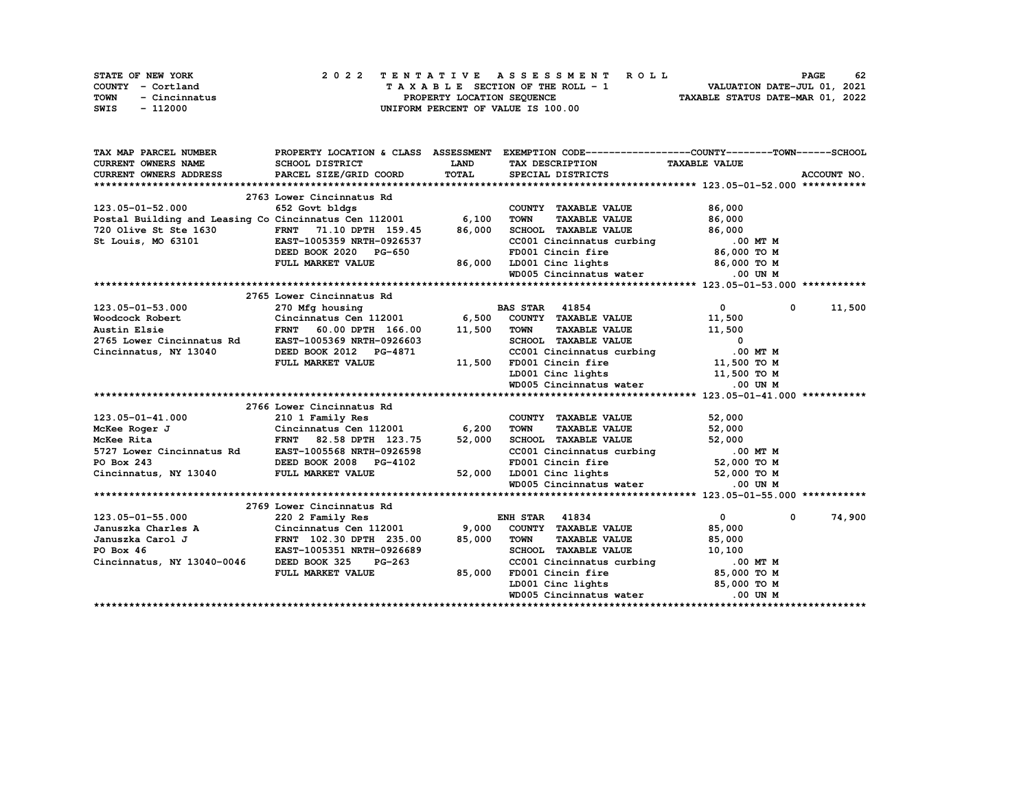| STATE OF NEW YORK     | 2022 TENTATIVE ASSESSMENT ROLL     | 62<br><b>PAGE</b>                |
|-----------------------|------------------------------------|----------------------------------|
| COUNTY - Cortland     | TAXABLE SECTION OF THE ROLL - 1    | VALUATION DATE-JUL 01, 2021      |
| TOWN<br>- Cincinnatus | PROPERTY LOCATION SEQUENCE         | TAXABLE STATUS DATE-MAR 01, 2022 |
| - 112000<br>SWIS      | UNIFORM PERCENT OF VALUE IS 100.00 |                                  |

| TAX MAP PARCEL NUMBER                                                                        |                                                      |              | PROPERTY LOCATION & CLASS ASSESSMENT EXEMPTION CODE-----------------COUNTY-------TOWN------SCHOOL   |                              |             |
|----------------------------------------------------------------------------------------------|------------------------------------------------------|--------------|-----------------------------------------------------------------------------------------------------|------------------------------|-------------|
| CURRENT OWNERS NAME                                                                          | SCHOOL DISTRICT                                      | <b>LAND</b>  | TAX DESCRIPTION TAXABLE VALUE                                                                       |                              |             |
| CURRENT OWNERS ADDRESS                                                                       | PARCEL SIZE/GRID COORD                               | <b>TOTAL</b> | SPECIAL DISTRICTS                                                                                   |                              | ACCOUNT NO. |
|                                                                                              |                                                      |              |                                                                                                     |                              |             |
|                                                                                              | 2763 Lower Cincinnatus Rd                            |              |                                                                                                     |                              |             |
| 123.05-01-52.000                                                                             | 652 Govt bldgs                                       |              | COUNTY TAXABLE VALUE                                                                                | 86,000                       |             |
| Postal Building and Leasing Co Cincinnatus Cen 112001 6,100                                  |                                                      |              | <b>TOWN</b><br>TAXABLE VALUE                                                                        | 86,000                       |             |
|                                                                                              |                                                      | 86,000       | SCHOOL TAXABLE VALUE                                                                                | 86,000                       |             |
| 720 Olive St Ste 1630 FRNT 71.10 DPTH 159.45<br>St Louis, MO 63101 EAST-1005359 NRTH-0926537 |                                                      |              | CC001 Cincinnatus curbing 0.00 MT M<br>FD001 Cincin fire 86,000 TO M                                |                              |             |
|                                                                                              | DEED BOOK 2020 PG-650                                |              |                                                                                                     |                              |             |
|                                                                                              | FULL MARKET VALUE                                    | 86,000       |                                                                                                     |                              |             |
|                                                                                              |                                                      |              | FD001 Cincin fire 86,000 TO M<br>LD001 Cinc lights 86,000 TO M<br>WD005 Cincinnatus water 0.00 UN M |                              |             |
|                                                                                              |                                                      |              |                                                                                                     |                              |             |
|                                                                                              | 2765 Lower Cincinnatus Rd                            |              |                                                                                                     |                              |             |
| 123.05-01-53.000                                                                             | 270 Mfg housing                                      |              | <b>BAS STAR 41854</b>                                                                               | $\overline{0}$<br>$^{\circ}$ | 11,500      |
| Woodcock Robert                                                                              |                                                      |              | Cincinnatus Cen 112001 6,500 COUNTY TAXABLE VALUE                                                   | 11,500                       |             |
| Austin Elsie                                                                                 | 60.00 DPTH 166.00<br><b>FRNT</b>                     | 11,500       | <b>TOWN</b><br>TAXABLE VALUE                                                                        | 11,500                       |             |
| 2765 Lower Cincinnatus Rd                                                                    | EAST-1005369 NRTH-0926603                            |              | SCHOOL TAXABLE VALUE                                                                                | $\overline{\mathbf{0}}$      |             |
| Cincinnatus, NY 13040                                                                        | DEED BOOK 2012 PG-4871                               |              | CC001 Cincinnatus curbing                                                                           | .00 MT M                     |             |
|                                                                                              | FULL MARKET VALUE                                    | 11,500       | FD001 Cincin fire                                                                                   | 11,500 TO M                  |             |
|                                                                                              |                                                      |              | LD001 Cinc lights $11,500$ TO M                                                                     |                              |             |
|                                                                                              |                                                      |              | WD005 Cincinnatus water                                                                             | .00 UN M                     |             |
|                                                                                              |                                                      |              |                                                                                                     |                              |             |
|                                                                                              | 2766 Lower Cincinnatus Rd                            |              |                                                                                                     |                              |             |
| 123.05-01-41.000                                                                             | 210 1 Family Res                                     |              | COUNTY TAXABLE VALUE                                                                                | 52,000                       |             |
| McKee Roger J                                                                                | Cincinnatus Cen 112001 6,200                         |              | <b>TOWN</b><br><b>TAXABLE VALUE</b>                                                                 | 52,000                       |             |
| McKee Rita<br>McKee Rita<br>5727 Lower Cincinnatus Rd<br>PO Box 243                          | FRNT 82.58 DPTH 123.75                               | 52,000       | SCHOOL TAXABLE VALUE                                                                                | 52,000                       |             |
|                                                                                              | EAST-1005568 NRTH-0926598                            |              | CCOO1 Cincinnatus curbing 0.00 MT M<br>FD001 Cincin fire 52,000 TO M                                |                              |             |
|                                                                                              | DEED BOOK 2008 PG-4102                               |              | FD001 Cincin fire 52,000 TO M<br>LD001 Cinc lights 52,000 TO M<br>WD005 Cincinnatus water 0.00 UN M |                              |             |
| Cincinnatus, NY 13040                                                                        | FULL MARKET VALUE                                    | 52,000       |                                                                                                     |                              |             |
|                                                                                              |                                                      |              |                                                                                                     |                              |             |
|                                                                                              |                                                      |              |                                                                                                     |                              |             |
|                                                                                              | 2769 Lower Cincinnatus Rd                            |              |                                                                                                     |                              |             |
| 123.05-01-55.000                                                                             | 220 2 Family Res                                     |              | <b>ENH STAR 41834</b>                                                                               | $\overline{0}$<br>0          | 74,900      |
| Januszka Charles A                                                                           | Cincinnatus Cen 112001                               | 9,000        | COUNTY TAXABLE VALUE                                                                                | 85,000                       |             |
| Januszka Carol J                                                                             | FRNT 102.30 DPTH 235.00<br>EAST-1005351 NRTH-0926689 | 85,000       | <b>TOWN</b><br><b>TAXABLE VALUE</b>                                                                 | 85,000                       |             |
| PO Box 46                                                                                    |                                                      |              | SCHOOL TAXABLE VALUE                                                                                | 10,100                       |             |
| Cincinnatus, NY 13040-0046 DEED BOOK 325                                                     | <b>PG-263</b>                                        |              | FORM CONTINUE VALUE<br>CC001 Cincinnatus curbing<br>FD001 Cincinnatus curbing                       | .00 MT M                     |             |
|                                                                                              | FULL MARKET VALUE                                    | 85,000       | FD001 Cincin fire                                                                                   | 85,000 TO M                  |             |
|                                                                                              |                                                      |              | LD001 Cinc lights 65,000 TO M                                                                       |                              |             |
|                                                                                              |                                                      |              | WD005 Cincinnatus water                                                                             | .00 UN M                     |             |
|                                                                                              |                                                      |              |                                                                                                     |                              |             |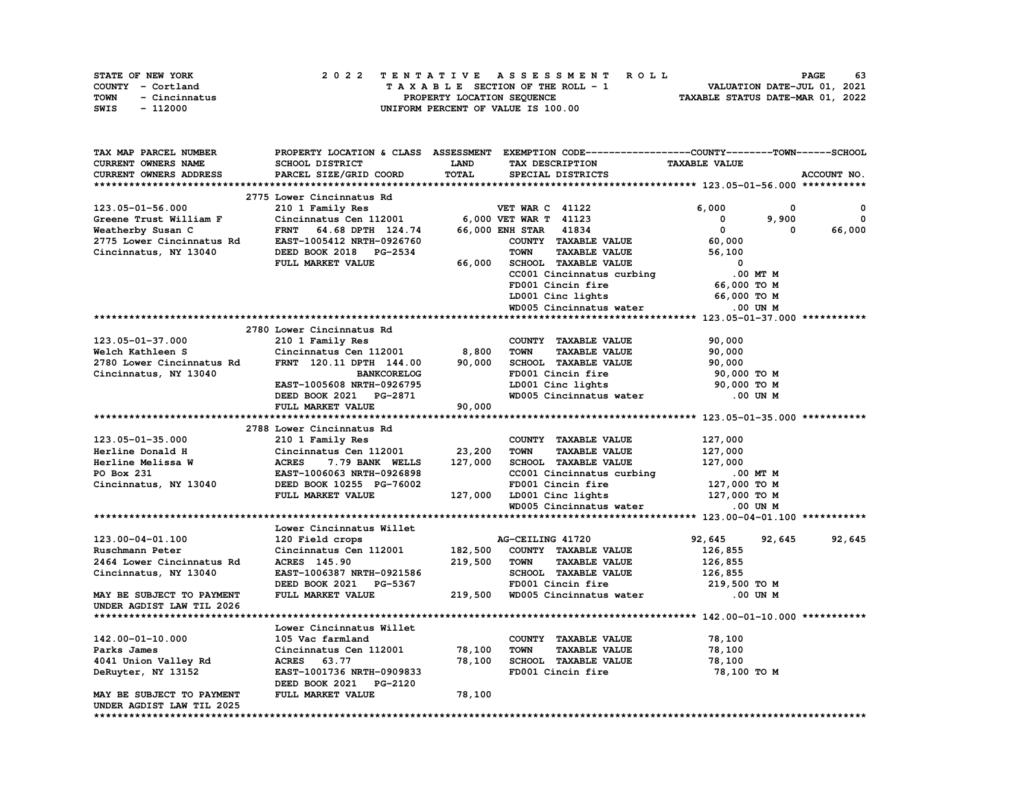| STATE OF NEW YORK     | 2022 TENTATIVE ASSESSMENT ROLL     | - 63<br><b>PAGE</b>              |
|-----------------------|------------------------------------|----------------------------------|
| COUNTY - Cortland     | TAXABLE SECTION OF THE ROLL - 1    | VALUATION DATE-JUL 01, 2021      |
| TOWN<br>- Cincinnatus | PROPERTY LOCATION SEQUENCE         | TAXABLE STATUS DATE-MAR 01, 2022 |
| - 112000<br>SWIS      | UNIFORM PERCENT OF VALUE IS 100.00 |                                  |

| TAX MAP PARCEL NUMBER                                                       |                                             |             | PROPERTY LOCATION & CLASS ASSESSMENT EXEMPTION CODE-----------------COUNTY-------TOWN------SCHOOL |                          |             |
|-----------------------------------------------------------------------------|---------------------------------------------|-------------|---------------------------------------------------------------------------------------------------|--------------------------|-------------|
| <b>CURRENT OWNERS NAME</b>                                                  | SCHOOL DISTRICT                             | <b>LAND</b> | TAX DESCRIPTION                                                                                   | <b>TAXABLE VALUE</b>     |             |
| <b>CURRENT OWNERS ADDRESS</b>                                               | PARCEL SIZE/GRID COORD                      | TOTAL       | SPECIAL DISTRICTS                                                                                 |                          | ACCOUNT NO. |
|                                                                             |                                             |             |                                                                                                   |                          |             |
|                                                                             | 2775 Lower Cincinnatus Rd                   |             |                                                                                                   |                          |             |
| 123.05-01-56.000                                                            | 210 1 Family Res                            |             | <b>VET WAR C 41122</b>                                                                            | 6,000<br>0               | 0           |
| Greene Trust William F                                                      | Cincinnatus Cen 112001                      |             | 6,000 VET WAR T 41123                                                                             | $\mathbf 0$<br>9,900     | $\mathbf 0$ |
| Weatherby Susan C                                                           | <b>FRNT</b><br>64.68 DPTH 124.74            |             | 66,000 ENH STAR 41834                                                                             | $\mathbf{0}$<br>0        | 66,000      |
|                                                                             | EAST-1005412 NRTH-0926760                   |             | COUNTY TAXABLE VALUE                                                                              | 60,000                   |             |
| 2775 Lower Cincinnatus Rd<br>Cincinnatus, NY 13040<br>Cincinnatus, NY 13040 | DEED BOOK 2018 PG-2534                      |             | <b>TOWN</b><br><b>TAXABLE VALUE</b>                                                               | 56,100                   |             |
|                                                                             | FULL MARKET VALUE                           | 66,000      | SCHOOL TAXABLE VALUE                                                                              | $\Omega$                 |             |
|                                                                             |                                             |             |                                                                                                   | .00 MT M                 |             |
|                                                                             |                                             |             | CC001 Cincinnatus curbing                                                                         |                          |             |
|                                                                             |                                             |             | FD001 Cincin fire                                                                                 | 66,000 TO M              |             |
|                                                                             |                                             |             | LD001 Cinc lights                                                                                 | 66,000 TO M              |             |
|                                                                             |                                             |             | WD005 Cincinnatus water                                                                           | .00 UN M                 |             |
|                                                                             |                                             |             |                                                                                                   |                          |             |
|                                                                             | 2780 Lower Cincinnatus Rd                   |             |                                                                                                   |                          |             |
| 123.05-01-37.000                                                            | 210 1 Family Res                            |             | COUNTY TAXABLE VALUE                                                                              | 90,000                   |             |
| Welch Kathleen S                                                            | Cincinnatus Cen 112001 8,800                |             | <b>TOWN</b><br><b>TAXABLE VALUE</b>                                                               | 90,000                   |             |
| 2780 Lower Cincinnatus Rd                                                   | FRNT 120.11 DPTH 144.00                     | 90,000      | SCHOOL TAXABLE VALUE                                                                              | 90,000                   |             |
| Cincinnatus, NY 13040                                                       | <b>BANKCORELOG</b>                          |             | FD001 Cincin fire                                                                                 | 90,000 TO M              |             |
|                                                                             | EAST-1005608 NRTH-0926795                   |             | LD001 Cinc lights                                                                                 | 90,000 TO M              |             |
|                                                                             | DEED BOOK 2021 PG-2871                      |             | WD005 Cincinnatus water                                                                           | .00 UN M                 |             |
|                                                                             | FULL MARKET VALUE                           | 90,000      |                                                                                                   |                          |             |
|                                                                             |                                             |             |                                                                                                   |                          |             |
|                                                                             | 2788 Lower Cincinnatus Rd                   |             |                                                                                                   |                          |             |
| 123.05-01-35.000                                                            | 210 1 Family Res                            |             | COUNTY TAXABLE VALUE                                                                              | 127,000                  |             |
| Herline Donald H                                                            | Cincinnatus Cen 112001                      | 23,200      | <b>TOWN</b><br><b>TAXABLE VALUE</b>                                                               | 127,000                  |             |
| Herline Melissa W                                                           | <b>ACRES</b><br>7.79 BANK WELLS             | 127,000     | SCHOOL TAXABLE VALUE                                                                              | 127,000                  |             |
| PO Box 231                                                                  | EAST-1006063 NRTH-0926898                   |             | CC001 Cincinnatus curbing                                                                         | $.00$ MT M               |             |
| Cincinnatus, NY 13040                                                       | DEED BOOK 10255 PG-76002                    |             | FD001 Cincin fire                                                                                 | 127,000 TO M             |             |
|                                                                             | FULL MARKET VALUE                           |             | 127,000 LD001 Cinc lights                                                                         | 127,000 TO M             |             |
|                                                                             |                                             |             | WD005 Cincinnatus water                                                                           | .00 UN M                 |             |
|                                                                             |                                             |             |                                                                                                   |                          |             |
|                                                                             | Lower Cincinnatus Willet                    |             |                                                                                                   |                          |             |
| 123.00-04-01.100                                                            | 120 Field crops                             |             | AG-CEILING 41720                                                                                  | 92,645<br>92,645         | 92,645      |
| Ruschmann Peter                                                             | Cincinnatus Cen 112001                      | 182,500     | COUNTY TAXABLE VALUE                                                                              | 126,855                  |             |
| 2464 Lower Cincinnatus Rd                                                   | <b>ACRES</b> 145.90                         | 219,500     | <b>TOWN</b><br><b>TAXABLE VALUE</b>                                                               | 126,855                  |             |
|                                                                             | EAST-1006387 NRTH-0921586                   |             | SCHOOL TAXABLE VALUE                                                                              | 126,855                  |             |
| Cincinnatus, NY 13040                                                       |                                             |             | FD001 Cincin fire                                                                                 |                          |             |
|                                                                             | DEED BOOK 2021 PG-5367<br>FULL MARKET VALUE | 219,500     | FD001 Cincin fire<br>WD005 Cincinnatus water                                                      | 219,500 то м<br>.00 UN M |             |
| MAY BE SUBJECT TO PAYMENT                                                   |                                             |             |                                                                                                   |                          |             |
| UNDER AGDIST LAW TIL 2026                                                   |                                             |             |                                                                                                   |                          |             |
|                                                                             |                                             |             |                                                                                                   |                          |             |
|                                                                             | Lower Cincinnatus Willet                    |             |                                                                                                   |                          |             |
| 142.00-01-10.000                                                            | 105 Vac farmland                            |             | COUNTY TAXABLE VALUE                                                                              | 78,100                   |             |
| Parks James                                                                 | Cincinnatus Cen 112001                      | 78,100      | <b>TOWN</b><br><b>TAXABLE VALUE</b>                                                               | 78,100                   |             |
| 4041 Union Valley Rd                                                        | ACRES 63.77                                 | 78,100      | SCHOOL TAXABLE VALUE                                                                              | 78,100                   |             |
| DeRuyter, NY 13152                                                          | EAST-1001736 NRTH-0909833                   |             | FD001 Cincin fire                                                                                 | 78,100 TO M              |             |
|                                                                             | DEED BOOK 2021 PG-2120                      |             |                                                                                                   |                          |             |
| MAY BE SUBJECT TO PAYMENT                                                   | FULL MARKET VALUE                           | 78,100      |                                                                                                   |                          |             |
| UNDER AGDIST LAW TIL 2025                                                   |                                             |             |                                                                                                   |                          |             |
| *********************                                                       |                                             |             |                                                                                                   |                          |             |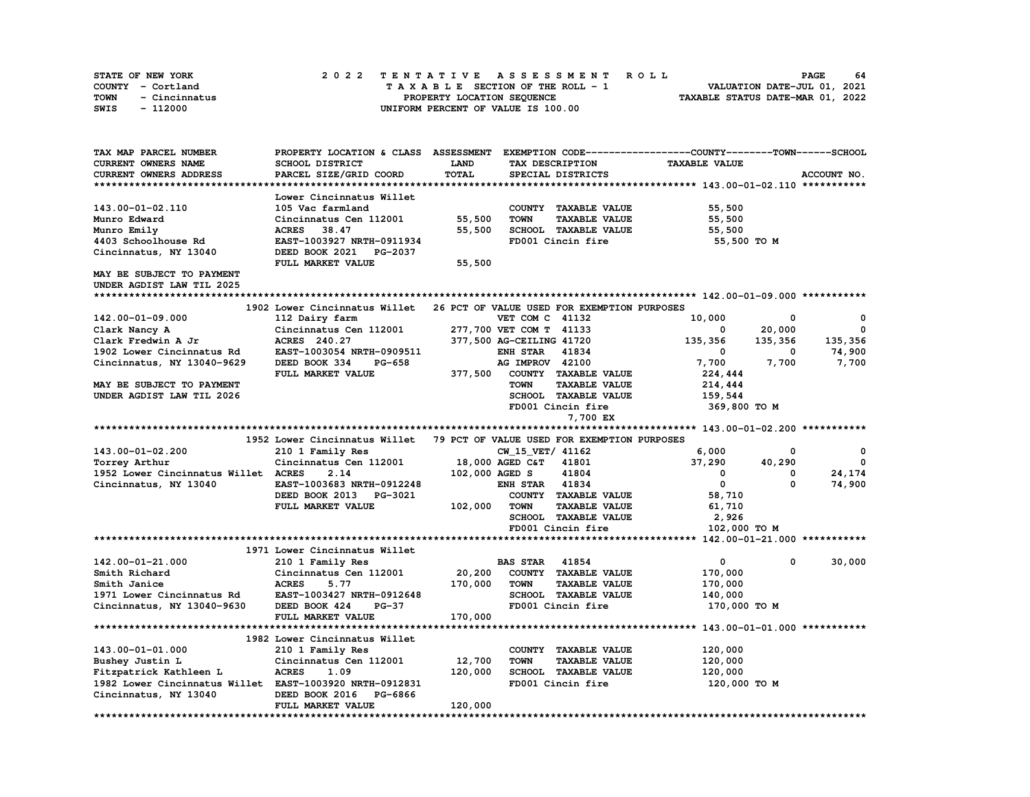| STATE OF NEW YORK     | 2022 TENTATIVE ASSESSMENT ROLL     | - 64<br><b>PAGE</b>              |
|-----------------------|------------------------------------|----------------------------------|
| COUNTY - Cortland     | TAXABLE SECTION OF THE ROLL - 1    | VALUATION DATE-JUL 01, 2021      |
| TOWN<br>- Cincinnatus | PROPERTY LOCATION SEOUENCE         | TAXABLE STATUS DATE-MAR 01, 2022 |
| SWIS<br>- 112000      | UNIFORM PERCENT OF VALUE IS 100.00 |                                  |

| TAX MAP PARCEL NUMBER                                   | PROPERTY LOCATION & CLASS ASSESSMENT EXEMPTION CODE-----------------COUNTY-------TOWN------SCHOOL |         |                          |                                             |                      |         |             |
|---------------------------------------------------------|---------------------------------------------------------------------------------------------------|---------|--------------------------|---------------------------------------------|----------------------|---------|-------------|
| CURRENT OWNERS NAME                                     | <b>SCHOOL DISTRICT</b>                                                                            | LAND    |                          | TAX DESCRIPTION                             | <b>TAXABLE VALUE</b> |         |             |
| <b>CURRENT OWNERS ADDRESS</b>                           | PARCEL SIZE/GRID COORD                                                                            | TOTAL   |                          | SPECIAL DISTRICTS                           |                      |         | ACCOUNT NO. |
|                                                         |                                                                                                   |         |                          |                                             |                      |         |             |
|                                                         | Lower Cincinnatus Willet                                                                          |         |                          |                                             |                      |         |             |
| 143.00-01-02.110                                        | 105 Vac farmland                                                                                  |         |                          | COUNTY TAXABLE VALUE                        | 55,500               |         |             |
| Munro Edward                                            | Cincinnatus Cen 112001                                                                            | 55,500  | <b>TOWN</b>              | <b>TAXABLE VALUE</b>                        | 55,500               |         |             |
| Munro Emily                                             | 38.47<br><b>ACRES</b>                                                                             | 55,500  |                          | SCHOOL TAXABLE VALUE                        | 55,500               |         |             |
| 4403 Schoolhouse Rd                                     | EAST-1003927 NRTH-0911934                                                                         |         |                          | FD001 Cincin fire                           | 55,500 TO M          |         |             |
| Cincinnatus, NY 13040                                   | DEED BOOK 2021 PG-2037                                                                            |         |                          |                                             |                      |         |             |
|                                                         | FULL MARKET VALUE                                                                                 | 55,500  |                          |                                             |                      |         |             |
| MAY BE SUBJECT TO PAYMENT                               |                                                                                                   |         |                          |                                             |                      |         |             |
| UNDER AGDIST LAW TIL 2025                               |                                                                                                   |         |                          |                                             |                      |         |             |
|                                                         |                                                                                                   |         |                          |                                             |                      |         |             |
|                                                         | 1902 Lower Cincinnatus Willet                                                                     |         |                          | 26 PCT OF VALUE USED FOR EXEMPTION PURPOSES |                      |         |             |
| 142.00-01-09.000                                        | 112 Dairy farm                                                                                    |         | VET COM C 41132          |                                             | 10,000               | 0       | 0           |
| Clark Nancy A                                           | Cincinnatus Cen 112001                                                                            |         | 277,700 VET COM T 41133  |                                             | 0                    | 20,000  | 0           |
| Clark Fredwin A Jr                                      | ACRES 240.27                                                                                      |         | 377,500 AG-CEILING 41720 |                                             | 135,356              | 135,356 | 135,356     |
| 1902 Lower Cincinnatus Rd                               | EAST-1003054 NRTH-0909511                                                                         |         | <b>ENH STAR</b>          | 41834                                       | $\mathbf 0$          | 0       | 74,900      |
| Cincinnatus, NY 13040-9629                              | DEED BOOK 334<br><b>PG-658</b>                                                                    |         | AG IMPROV 42100          |                                             | 7,700                | 7,700   | 7,700       |
|                                                         | FULL MARKET VALUE                                                                                 | 377,500 |                          | COUNTY TAXABLE VALUE                        | 224,444              |         |             |
| MAY BE SUBJECT TO PAYMENT                               |                                                                                                   |         | <b>TOWN</b>              | <b>TAXABLE VALUE</b>                        | 214,444              |         |             |
| UNDER AGDIST LAW TIL 2026                               |                                                                                                   |         |                          | <b>SCHOOL TAXABLE VALUE</b>                 | 159,544              |         |             |
|                                                         |                                                                                                   |         |                          | FD001 Cincin fire                           |                      |         |             |
|                                                         |                                                                                                   |         |                          |                                             | 369,800 TO M         |         |             |
|                                                         |                                                                                                   |         |                          | 7,700 EX                                    |                      |         |             |
|                                                         |                                                                                                   |         |                          |                                             |                      |         |             |
|                                                         | 1952 Lower Cincinnatus Willet                                                                     |         |                          | 79 PCT OF VALUE USED FOR EXEMPTION PURPOSES |                      |         |             |
| 143.00-01-02.200                                        | 210 1 Family Res                                                                                  |         | CW 15 VET/ 41162         |                                             | 6,000                | 0       | 0           |
| Torrey Arthur                                           | Cincinnatus Cen 112001                                                                            |         | 18,000 AGED C&T          | 41801                                       | 37,290               | 40,290  | $\mathbf 0$ |
| 1952 Lower Cincinnatus Willet ACRES                     | 2.14                                                                                              |         | 102,000 AGED S           | 41804                                       | $^{\circ}$           | 0       | 24,174      |
| Cincinnatus, NY 13040                                   | EAST-1003683 NRTH-0912248                                                                         |         | <b>ENH STAR 41834</b>    |                                             | $\mathbf 0$          | 0       | 74,900      |
|                                                         | DEED BOOK 2013 PG-3021                                                                            |         |                          | COUNTY TAXABLE VALUE                        | 58,710               |         |             |
|                                                         | FULL MARKET VALUE                                                                                 | 102,000 | <b>TOWN</b>              | <b>TAXABLE VALUE</b>                        | 61,710               |         |             |
|                                                         |                                                                                                   |         |                          | SCHOOL TAXABLE VALUE                        | 2,926                |         |             |
|                                                         |                                                                                                   |         |                          | FD001 Cincin fire                           | 102,000 TO M         |         |             |
|                                                         |                                                                                                   |         |                          |                                             |                      |         |             |
|                                                         | 1971 Lower Cincinnatus Willet                                                                     |         |                          |                                             |                      |         |             |
| 142.00-01-21.000                                        | 210 1 Family Res                                                                                  |         | <b>BAS STAR</b>          | 41854                                       | $\mathbf 0$          | 0       | 30,000      |
| Smith Richard                                           | Cincinnatus Cen 112001                                                                            | 20,200  |                          | COUNTY TAXABLE VALUE                        | 170,000              |         |             |
| Smith Janice                                            | <b>ACRES</b><br>5.77                                                                              | 170,000 | <b>TOWN</b>              | <b>TAXABLE VALUE</b>                        | 170,000              |         |             |
| 1971 Lower Cincinnatus Rd                               | EAST-1003427 NRTH-0912648                                                                         |         |                          | SCHOOL TAXABLE VALUE                        | 140,000              |         |             |
| Cincinnatus, NY 13040-9630                              | DEED BOOK 424<br><b>PG-37</b>                                                                     |         |                          | FD001 Cincin fire                           | 170,000 TO M         |         |             |
|                                                         | FULL MARKET VALUE                                                                                 | 170,000 |                          |                                             |                      |         |             |
|                                                         |                                                                                                   |         |                          |                                             |                      |         |             |
|                                                         | 1982 Lower Cincinnatus Willet                                                                     |         |                          |                                             |                      |         |             |
| 143.00-01-01.000                                        | 210 1 Family Res                                                                                  |         |                          | COUNTY TAXABLE VALUE                        | 120,000              |         |             |
| Bushey Justin L                                         | Cincinnatus Cen 112001                                                                            | 12,700  | <b>TOWN</b>              | <b>TAXABLE VALUE</b>                        | 120,000              |         |             |
| Fitzpatrick Kathleen L                                  | <b>ACRES</b><br>1.09                                                                              | 120,000 |                          | <b>SCHOOL TAXABLE VALUE</b>                 | 120,000              |         |             |
| 1982 Lower Cincinnatus Willet EAST-1003920 NRTH-0912831 |                                                                                                   |         |                          | FD001 Cincin fire                           | 120,000 TO M         |         |             |
| Cincinnatus, NY 13040                                   | DEED BOOK 2016<br>PG-6866                                                                         |         |                          |                                             |                      |         |             |
|                                                         | FULL MARKET VALUE                                                                                 | 120,000 |                          |                                             |                      |         |             |
| ***********************************                     | *******************                                                                               |         |                          |                                             |                      |         |             |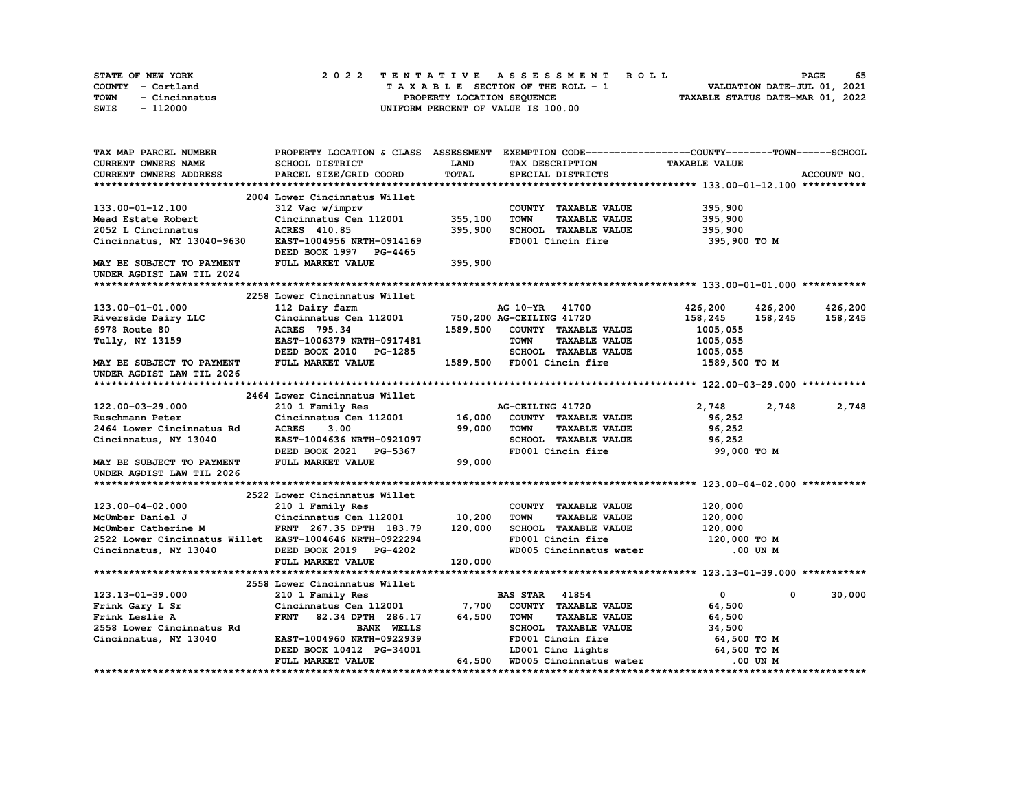| STATE OF NEW YORK     | 2022 TENTATIVE ASSESSMENT ROLL                                 |  |  | 65<br><b>PAGE</b>           |  |  |  |  |
|-----------------------|----------------------------------------------------------------|--|--|-----------------------------|--|--|--|--|
| COUNTY - Cortland     | TAXABLE SECTION OF THE ROLL - 1                                |  |  | VALUATION DATE-JUL 01, 2021 |  |  |  |  |
| TOWN<br>- Cincinnatus | TAXABLE STATUS DATE-MAR 01, 2022<br>PROPERTY LOCATION SEOUENCE |  |  |                             |  |  |  |  |
| SWIS<br>- 112000      | UNIFORM PERCENT OF VALUE IS 100.00                             |  |  |                             |  |  |  |  |

| TAX MAP PARCEL NUMBER                                   |                                                  |             | PROPERTY LOCATION & CLASS ASSESSMENT EXEMPTION CODE----------------COUNTY-------TOWN-----SCHOOL |                      |             |
|---------------------------------------------------------|--------------------------------------------------|-------------|-------------------------------------------------------------------------------------------------|----------------------|-------------|
| CURRENT OWNERS NAME                                     | SCHOOL DISTRICT                                  | <b>LAND</b> | TAX DESCRIPTION                                                                                 | <b>TAXABLE VALUE</b> |             |
| <b>CURRENT OWNERS ADDRESS</b>                           | PARCEL SIZE/GRID COORD                           | TOTAL       | SPECIAL DISTRICTS                                                                               |                      | ACCOUNT NO. |
|                                                         |                                                  |             |                                                                                                 |                      |             |
|                                                         | 2004 Lower Cincinnatus Willet                    |             |                                                                                                 |                      |             |
| 133.00-01-12.100                                        | 312 Vac w/imprv                                  |             | COUNTY TAXABLE VALUE                                                                            | 395,900              |             |
| Mead Estate Robert                                      | Cincinnatus Cen 112001                           | 355,100     | <b>TOWN</b><br><b>TAXABLE VALUE</b>                                                             | 395,900              |             |
| 2052 L Cincinnatus                                      | ACRES 410.85                                     | 395,900     | SCHOOL TAXABLE VALUE                                                                            | 395,900              |             |
| Cincinnatus, NY 13040-9630                              | EAST-1004956 NRTH-0914169                        |             | FD001 Cincin fire                                                                               | 395,900 то м         |             |
|                                                         | DEED BOOK 1997 PG-4465                           |             |                                                                                                 |                      |             |
| MAY BE SUBJECT TO PAYMENT                               | FULL MARKET VALUE                                | 395,900     |                                                                                                 |                      |             |
| UNDER AGDIST LAW TIL 2024                               |                                                  |             |                                                                                                 |                      |             |
|                                                         |                                                  |             |                                                                                                 |                      |             |
|                                                         | 2258 Lower Cincinnatus Willet                    |             |                                                                                                 |                      |             |
| 133.00-01-01.000                                        | 112 Dairy farm                                   |             | AG 10-YR 41700                                                                                  | 426,200 426,200      | 426,200     |
| Riverside Dairy LLC                                     | Cincinnatus Cen 112001 750, 200 AG-CEILING 41720 |             |                                                                                                 | 158,245<br>158,245   | 158,245     |
| 6978 Route 80                                           | ACRES 795.34                                     |             | 1589,500 COUNTY TAXABLE VALUE                                                                   | 1005,055             |             |
|                                                         |                                                  |             | <b>TOWN</b><br><b>TAXABLE VALUE</b>                                                             |                      |             |
| Tully, NY 13159                                         | EAST-1006379 NRTH-0917481                        |             |                                                                                                 | 1005,055             |             |
|                                                         | DEED BOOK 2010 PG-1285                           |             | SCHOOL TAXABLE VALUE                                                                            | 1005,055             |             |
| MAY BE SUBJECT TO PAYMENT                               | FULL MARKET VALUE                                |             | 1589,500 FD001 Cincin fire                                                                      | 1589,500 TO M        |             |
| UNDER AGDIST LAW TIL 2026                               |                                                  |             |                                                                                                 |                      |             |
|                                                         |                                                  |             |                                                                                                 |                      |             |
|                                                         | 2464 Lower Cincinnatus Willet                    |             |                                                                                                 |                      |             |
| 122.00-03-29.000                                        | 210 1 Family Res                                 |             | AG-CEILING 41720                                                                                | 2,748<br>2,748       | 2,748       |
| Ruschmann Peter                                         | Cincinnatus Cen 112001 16,000                    |             | COUNTY TAXABLE VALUE                                                                            | 96,252               |             |
| 2464 Lower Cincinnatus Rd                               | <b>ACRES</b><br>3.00                             | 99,000      | TOWN<br><b>TAXABLE VALUE</b>                                                                    | 96,252               |             |
| Cincinnatus, NY 13040                                   | EAST-1004636 NRTH-0921097                        |             | SCHOOL TAXABLE VALUE                                                                            | 96,252               |             |
|                                                         | DEED BOOK 2021 PG-5367                           |             | FD001 Cincin fire                                                                               | 99,000 TO M          |             |
| MAY BE SUBJECT TO PAYMENT                               | FULL MARKET VALUE                                | 99,000      |                                                                                                 |                      |             |
| UNDER AGDIST LAW TIL 2026                               |                                                  |             |                                                                                                 |                      |             |
|                                                         |                                                  |             |                                                                                                 |                      |             |
|                                                         | 2522 Lower Cincinnatus Willet                    |             |                                                                                                 |                      |             |
| 123.00-04-02.000                                        | 210 1 Family Res                                 |             | COUNTY TAXABLE VALUE                                                                            | 120,000              |             |
| McUmber Daniel J                                        | Cincinnatus Cen 112001                           | 10, 200     | <b>TOWN</b><br><b>TAXABLE VALUE</b>                                                             | 120,000              |             |
| McUmber Catherine M                                     | FRNT 267.35 DPTH 183.79                          | 120,000     | SCHOOL TAXABLE VALUE                                                                            | 120,000              |             |
| 2522 Lower Cincinnatus Willet EAST-1004646 NRTH-0922294 |                                                  |             | FD001 Cincin fire                                                                               | 120,000 TO M         |             |
| Cincinnatus, NY 13040                                   | DEED BOOK 2019 PG-4202                           |             | WD005 Cincinnatus water                                                                         | .00 UN M             |             |
|                                                         | FULL MARKET VALUE                                | 120,000     |                                                                                                 |                      |             |
|                                                         |                                                  |             |                                                                                                 |                      |             |
|                                                         | 2558 Lower Cincinnatus Willet                    |             |                                                                                                 |                      |             |
| 123.13-01-39.000                                        | 210 1 Family Res                                 |             | <b>BAS STAR</b> 41854                                                                           | $\mathbf{0}$<br>0    | 30,000      |
| Frink Gary L Sr                                         | Cincinnatus Cen 112001                           | 7,700       | COUNTY TAXABLE VALUE                                                                            | 64,500               |             |
| Frink Leslie A                                          | FRNT 82.34 DPTH 286.17                           | 64,500      | <b>TOWN</b><br><b>TAXABLE VALUE</b>                                                             | 64,500               |             |
| 2558 Lower Cincinnatus Rd                               | <b>BANK WELLS</b>                                |             | SCHOOL TAXABLE VALUE                                                                            | 34,500               |             |
| Cincinnatus, NY 13040                                   | EAST-1004960 NRTH-0922939                        |             | FD001 Cincin fire                                                                               | 64,500 TO M          |             |
|                                                         | DEED BOOK 10412 PG-34001                         |             | LD001 Cinc lights                                                                               | 64,500 TO M          |             |
|                                                         | FULL MARKET VALUE                                | 64,500      | WD005 Cincinnatus water                                                                         | .00 UN M             |             |
|                                                         |                                                  |             |                                                                                                 |                      |             |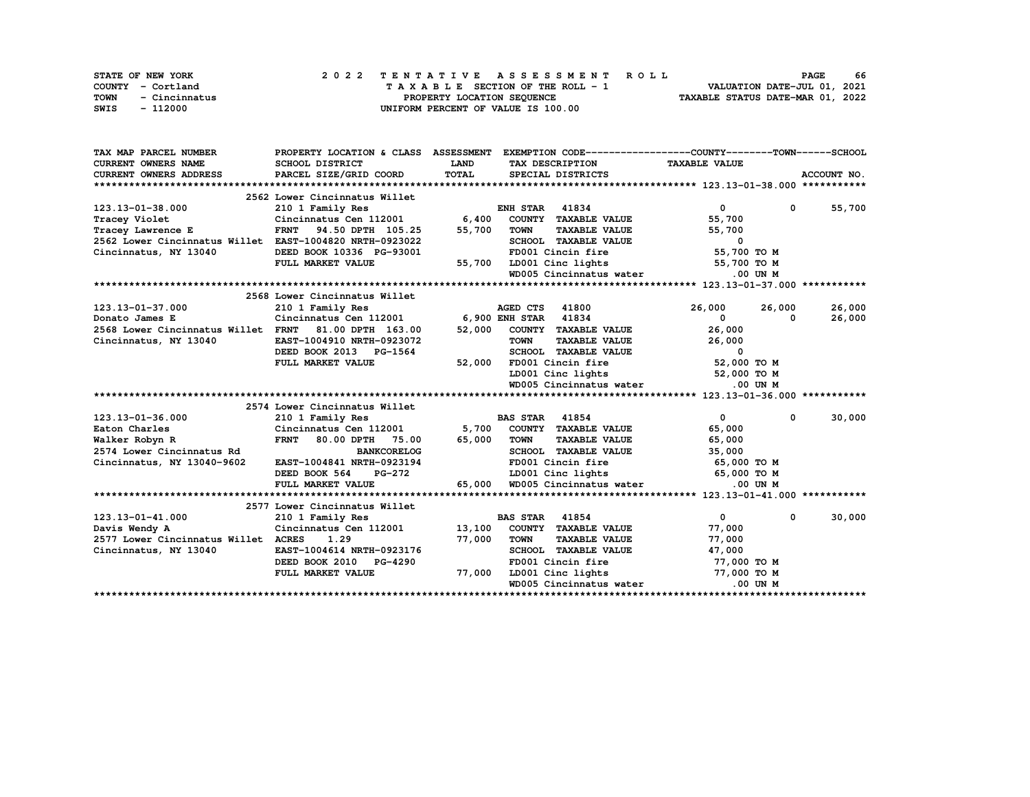|      | STATE OF NEW YORK |                            |  | 2022 TENTATIVE ASSESSMENT ROLL |  |  |  |  |  |                                    |  |  |  |  |  |  |  |  |  |  | <b>PAGE</b>                 | 66 |
|------|-------------------|----------------------------|--|--------------------------------|--|--|--|--|--|------------------------------------|--|--|--|--|--|--|--|--|--|--|-----------------------------|----|
|      | COUNTY - Cortland |                            |  |                                |  |  |  |  |  | TAXABLE SECTION OF THE ROLL - 1    |  |  |  |  |  |  |  |  |  |  | VALUATION DATE-JUL 01, 2021 |    |
| TOWN | - Cincinnatus     | PROPERTY LOCATION SEQUENCE |  |                                |  |  |  |  |  | TAXABLE STATUS DATE-MAR 01, 2022   |  |  |  |  |  |  |  |  |  |  |                             |    |
| SWIS | - 112000          |                            |  |                                |  |  |  |  |  | UNIFORM PERCENT OF VALUE IS 100.00 |  |  |  |  |  |  |  |  |  |  |                             |    |

| TAX MAP PARCEL NUMBER                                   |                                             |              | PROPERTY LOCATION & CLASS ASSESSMENT EXEMPTION CODE----------------COUNTY-------TOWN-----SCHOOL |                                |                      |
|---------------------------------------------------------|---------------------------------------------|--------------|-------------------------------------------------------------------------------------------------|--------------------------------|----------------------|
| <b>CURRENT OWNERS NAME</b>                              | SCHOOL DISTRICT                             | <b>LAND</b>  | TAX DESCRIPTION TAXABLE VALUE                                                                   |                                |                      |
| CURRENT OWNERS ADDRESS                                  | PARCEL SIZE/GRID COORD                      | <b>TOTAL</b> | SPECIAL DISTRICTS                                                                               |                                | ACCOUNT NO.          |
|                                                         |                                             |              |                                                                                                 |                                |                      |
|                                                         | 2562 Lower Cincinnatus Willet               |              |                                                                                                 |                                |                      |
| 123.13-01-38.000                                        | 210 1 Family Res                            |              | <b>ENH STAR 41834</b>                                                                           | $\overline{0}$<br>$\mathbf{0}$ | 55,700               |
| Tracey Violet                                           |                                             |              | Cincinnatus Cen 112001 6,400 COUNTY TAXABLE VALUE                                               | 55,700                         |                      |
| Tracey Lawrence E                                       | 94.50 DPTH 105.25<br><b>FRNT</b>            | 55,700       | <b>TOWN</b><br><b>TAXABLE VALUE</b>                                                             | 55,700                         |                      |
| 2562 Lower Cincinnatus Willet EAST-1004820 NRTH-0923022 |                                             |              | SCHOOL TAXABLE VALUE                                                                            | 0                              |                      |
| Cincinnatus, NY 13040                                   | DEED BOOK 10336 PG-93001                    |              | FD001 Cincin fire                                                                               | 55,700 TO M                    |                      |
|                                                         | FULL MARKET VALUE                           | 55,700       | LD001 Cinc lights 55,700 TO M                                                                   |                                |                      |
|                                                         |                                             |              | WD005 Cincinnatus water                                                                         | .00 UN M                       |                      |
|                                                         |                                             |              |                                                                                                 |                                |                      |
|                                                         | 2568 Lower Cincinnatus Willet               |              |                                                                                                 |                                |                      |
| 123.13-01-37.000                                        | 210 1 Family Res                            |              | AGED CTS 41800                                                                                  | 26,000<br>26,000               | 26,000               |
| Donato James E                                          | Cincinnatus Cen 112001 6,900 ENH STAR 41834 |              |                                                                                                 | $\mathbf{0}$<br>$\Omega$       | 26,000               |
| 2568 Lower Cincinnatus Willet FRNT                      | 81.00 DPTH 163.00                           | 52,000       | COUNTY TAXABLE VALUE                                                                            | 26,000                         |                      |
| Cincinnatus, NY 13040                                   | EAST-1004910 NRTH-0923072                   |              | <b>TOWN</b><br>TAXABLE VALUE                                                                    | 26,000                         |                      |
|                                                         | DEED BOOK 2013 PG-1564                      |              | SCHOOL TAXABLE VALUE                                                                            | 0                              |                      |
|                                                         | FULL MARKET VALUE                           | 52,000       | FD001 Cincin fire                                                                               | 52,000 TO M                    |                      |
|                                                         |                                             |              | LD001 Cinc lights                                                                               | 52,000 TO M                    |                      |
|                                                         |                                             |              | WD005 Cincinnatus water                                                                         | $.00$ UN $M$                   |                      |
|                                                         |                                             |              |                                                                                                 |                                |                      |
|                                                         | 2574 Lower Cincinnatus Willet               |              |                                                                                                 |                                |                      |
| 123.13-01-36.000                                        | 210 1 Family Res                            |              | <b>BAS STAR</b> 41854                                                                           | $\mathbf{0}$                   | 30,000<br>$^{\circ}$ |
| Eaton Charles                                           | Cincinnatus Cen 112001                      |              | 5,700 COUNTY TAXABLE VALUE                                                                      | 65,000                         |                      |
| Walker Robyn R                                          | FRNT 80.00 DPTH 75.00                       | 65,000       | <b>TOWN</b><br><b>TAXABLE VALUE</b>                                                             | 65,000                         |                      |
| 2574 Lower Cincinnatus Rd                               | <b>BANKCORELOG</b>                          |              | SCHOOL TAXABLE VALUE                                                                            | 35,000                         |                      |
| Cincinnatus, NY 13040-9602                              | EAST-1004841 NRTH-0923194                   |              | FD001 Cincin fire 65,000 TO M                                                                   |                                |                      |
|                                                         | DEED BOOK 564<br>PG-272                     |              | LD001 Cinc lights 65,000 TO M                                                                   |                                |                      |
|                                                         | FULL MARKET VALUE                           | 65,000       | WD005 Cincinnatus water                                                                         | $.00$ UN M                     |                      |
|                                                         |                                             |              |                                                                                                 |                                |                      |
|                                                         | 2577 Lower Cincinnatus Willet               |              |                                                                                                 |                                |                      |
| 123.13-01-41.000                                        | 210 1 Family Res                            |              | <b>BAS STAR 41854</b>                                                                           | $\overline{0}$<br>$\mathbf 0$  | 30,000               |
| Davis Wendy A                                           | Cincinnatus Cen 112001 13,100               |              | COUNTY TAXABLE VALUE                                                                            | 77,000                         |                      |
| 2577 Lower Cincinnatus Willet ACRES                     | 1.29                                        | 77,000       | <b>TOWN</b><br><b>TAXABLE VALUE</b>                                                             | 77,000                         |                      |
| Cincinnatus, NY 13040                                   | EAST-1004614 NRTH-0923176                   |              | SCHOOL TAXABLE VALUE                                                                            | 47,000                         |                      |
|                                                         | DEED BOOK 2010 PG-4290                      |              | FD001 Cincin fire                                                                               | 77,000 TO M                    |                      |
|                                                         | FULL MARKET VALUE                           | 77,000       | LD001 Cinc lights                                                                               | 77,000 TO M                    |                      |
|                                                         |                                             |              | WD005 Cincinnatus water                                                                         | $.00$ UN M                     |                      |
|                                                         |                                             |              |                                                                                                 |                                |                      |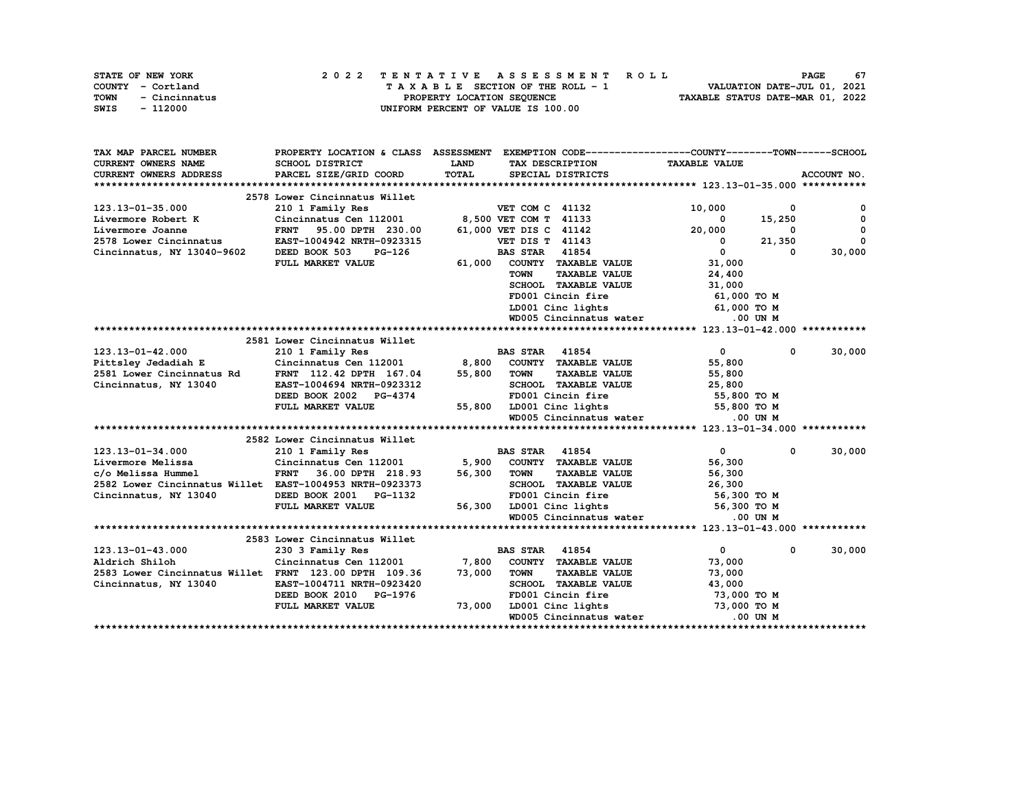| STATE OF NEW YORK     | 2022 TENTATIVE ASSESSMENT ROLL     | 67<br><b>PAGE</b>                |
|-----------------------|------------------------------------|----------------------------------|
| COUNTY - Cortland     | TAXABLE SECTION OF THE ROLL - 1    | VALUATION DATE-JUL 01, 2021      |
| TOWN<br>- Cincinnatus | PROPERTY LOCATION SEQUENCE         | TAXABLE STATUS DATE-MAR 01, 2022 |
| SWIS<br>- 112000      | UNIFORM PERCENT OF VALUE IS 100.00 |                                  |

| TAX MAP PARCEL NUMBER                                   | PROPERTY LOCATION & CLASS ASSESSMENT         |             | EXEMPTION CODE-----------------COUNTY-------TOWN------SCHOOL |                                |              |
|---------------------------------------------------------|----------------------------------------------|-------------|--------------------------------------------------------------|--------------------------------|--------------|
| <b>CURRENT OWNERS NAME</b>                              | SCHOOL DISTRICT                              | <b>LAND</b> | TAX DESCRIPTION                                              | <b>TAXABLE VALUE</b>           |              |
| <b>CURRENT OWNERS ADDRESS</b>                           | PARCEL SIZE/GRID COORD                       | TOTAL       | SPECIAL DISTRICTS                                            |                                | ACCOUNT NO.  |
|                                                         |                                              |             |                                                              |                                |              |
|                                                         | 2578 Lower Cincinnatus Willet                |             |                                                              |                                |              |
| 123.13-01-35.000                                        | 210 1 Family Res                             |             | VET COM C 41132                                              | 10,000<br>0                    | 0            |
| Livermore Robert K                                      | Cincinnatus Cen 112001 8,500 VET COM T 41133 |             |                                                              | 15,250<br>$^{\circ}$           | $\mathbf{0}$ |
| Livermore Joanne                                        | FRNT 95.00 DPTH 230.00                       |             | 61,000 VET DIS C 41142                                       | 20,000<br>$^{\circ}$           | $\Omega$     |
| 2578 Lower Cincinnatus                                  | EAST-1004942 NRTH-0923315                    |             | <b>VET DIS T 41143</b>                                       | 21,350<br>$\mathbf 0$          | $\Omega$     |
| Cincinnatus, NY 13040-9602                              | DEED BOOK 503<br>PG-126                      |             | <b>BAS STAR 41854</b>                                        | $\mathbf{0}$<br>0              | 30,000       |
|                                                         | FULL MARKET VALUE                            | 61,000      | COUNTY TAXABLE VALUE                                         | 31,000                         |              |
|                                                         |                                              |             | <b>TAXABLE VALUE</b><br><b>TOWN</b>                          | 24,400                         |              |
|                                                         |                                              |             | SCHOOL TAXABLE VALUE                                         | 31,000                         |              |
|                                                         |                                              |             | FD001 Cincin fire                                            | 61,000 TO M                    |              |
|                                                         |                                              |             | LD001 Cinc lights                                            | 61,000 TO M                    |              |
|                                                         |                                              |             | WD005 Cincinnatus water                                      | .00 UN M                       |              |
|                                                         |                                              |             |                                                              |                                |              |
|                                                         | 2581 Lower Cincinnatus Willet                |             |                                                              |                                |              |
| 123.13-01-42.000                                        | 210 1 Family Res                             |             | <b>BAS STAR 41854</b>                                        | $\mathbf{0}$<br>$^{\circ}$     | 30,000       |
| Pittsley Jedadiah E                                     | Cincinnatus Cen 112001                       | 8,800       | COUNTY TAXABLE VALUE                                         | 55,800                         |              |
| 2581 Lower Cincinnatus Rd                               | FRNT 112.42 DPTH 167.04                      | 55,800      | <b>TOWN</b><br><b>TAXABLE VALUE</b>                          | 55,800                         |              |
| Cincinnatus, NY 13040                                   | EAST-1004694 NRTH-0923312                    |             | SCHOOL TAXABLE VALUE                                         | 25,800                         |              |
|                                                         | DEED BOOK 2002 PG-4374                       |             | FD001 Cincin fire                                            | 55,800 TO M                    |              |
|                                                         | FULL MARKET VALUE                            |             | 55,800 LD001 Cinc lights                                     | 55,800 TO M                    |              |
|                                                         |                                              |             | WD005 Cincinnatus water                                      | .00 UN M                       |              |
|                                                         |                                              |             |                                                              |                                |              |
|                                                         | 2582 Lower Cincinnatus Willet                |             |                                                              |                                |              |
| 123.13-01-34.000                                        | 210 1 Family Res                             |             | <b>BAS STAR</b> 41854                                        | $\overline{0}$<br>$\mathbf{0}$ | 30,000       |
| Livermore Melissa                                       | Cincinnatus Cen 112001                       |             | 5,900 COUNTY TAXABLE VALUE                                   | 56,300                         |              |
| c/o Melissa Hummel                                      | FRNT 36.00 DPTH 218.93                       | 56,300      | <b>TAXABLE VALUE</b><br><b>TOWN</b>                          | 56,300                         |              |
| 2582 Lower Cincinnatus Willet EAST-1004953 NRTH-0923373 |                                              |             | SCHOOL TAXABLE VALUE                                         | 26,300                         |              |
| Cincinnatus, NY 13040                                   | DEED BOOK 2001 PG-1132                       |             | FD001 Cincin fire                                            | 56,300 то м                    |              |
|                                                         | FULL MARKET VALUE                            | 56,300      | LD001 Cinc lights                                            | 56,300 TO M                    |              |
|                                                         |                                              |             | WD005 Cincinnatus water                                      | $.00$ UN M                     |              |
|                                                         |                                              |             |                                                              |                                |              |
|                                                         | 2583 Lower Cincinnatus Willet                |             |                                                              |                                |              |
| 123.13-01-43.000                                        | 230 3 Family Res                             |             | <b>BAS STAR 41854</b>                                        | $\overline{0}$<br>$^{\circ}$   | 30,000       |
| Aldrich Shiloh                                          | Cincinnatus Cen 112001                       | 7,800       | COUNTY TAXABLE VALUE                                         | 73,000                         |              |
| 2583 Lower Cincinnatus Willet FRNT 123.00 DPTH 109.36   |                                              | 73,000      | <b>TOWN</b><br><b>TAXABLE VALUE</b>                          | 73,000                         |              |
| Cincinnatus, NY 13040                                   | EAST-1004711 NRTH-0923420                    |             | SCHOOL TAXABLE VALUE                                         | 43,000                         |              |
|                                                         | DEED BOOK 2010 PG-1976                       |             | FD001 Cincin fire                                            | 73,000 TO M                    |              |
|                                                         | FULL MARKET VALUE                            | 73,000      | LD001 Cinc lights                                            | 73,000 TO M                    |              |
|                                                         |                                              |             | WD005 Cincinnatus water                                      | .00 UN M                       |              |
|                                                         |                                              |             |                                                              |                                |              |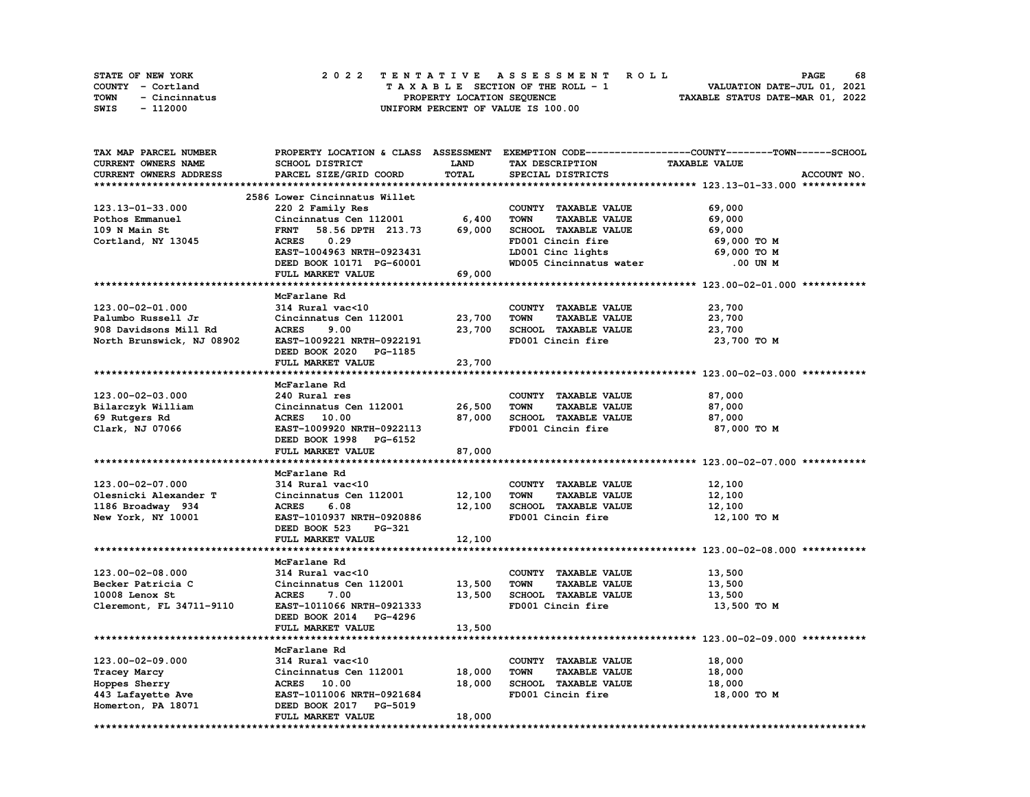|      | STATE OF NEW YORK | 2022 TENTATIVE ASSESSMENT ROLL     | 68<br><b>PAGE</b>                |
|------|-------------------|------------------------------------|----------------------------------|
|      | COUNTY - Cortland | TAXABLE SECTION OF THE ROLL - 1    | VALUATION DATE-JUL 01, 2021      |
| TOWN | - Cincinnatus     | PROPERTY LOCATION SEQUENCE         | TAXABLE STATUS DATE-MAR 01, 2022 |
| SWIS | - 112000          | UNIFORM PERCENT OF VALUE IS 100.00 |                                  |

| TAX MAP PARCEL NUMBER      |                                  |             |                                     | PROPERTY LOCATION & CLASS ASSESSMENT EXEMPTION CODE----------------COUNTY-------TOWN-----SCHOOL |
|----------------------------|----------------------------------|-------------|-------------------------------------|-------------------------------------------------------------------------------------------------|
| <b>CURRENT OWNERS NAME</b> | SCHOOL DISTRICT                  | <b>LAND</b> | TAX DESCRIPTION                     | <b>TAXABLE VALUE</b>                                                                            |
| CURRENT OWNERS ADDRESS     | PARCEL SIZE/GRID COORD           | TOTAL       | SPECIAL DISTRICTS                   | ACCOUNT NO.                                                                                     |
|                            |                                  |             |                                     |                                                                                                 |
|                            | 2586 Lower Cincinnatus Willet    |             |                                     |                                                                                                 |
| 123.13-01-33.000           | 220 2 Family Res                 |             | COUNTY TAXABLE VALUE                | 69,000                                                                                          |
| Pothos Emmanuel            | Cincinnatus Cen 112001           | 6,400       | <b>TOWN</b><br><b>TAXABLE VALUE</b> | 69,000                                                                                          |
| 109 N Main St              | 58.56 DPTH 213.73<br><b>FRNT</b> | 69,000      | SCHOOL TAXABLE VALUE                | 69,000                                                                                          |
| Cortland, NY 13045         | <b>ACRES</b><br>0.29             |             | FD001 Cincin fire                   | 69,000 TO M                                                                                     |
|                            | EAST-1004963 NRTH-0923431        |             | LD001 Cinc lights                   | 69,000 то м                                                                                     |
|                            | DEED BOOK 10171 PG-60001         |             | WD005 Cincinnatus water             | .00 UN M                                                                                        |
|                            | FULL MARKET VALUE                | 69,000      |                                     |                                                                                                 |
|                            |                                  |             |                                     |                                                                                                 |
|                            | McFarlane Rd                     |             |                                     |                                                                                                 |
| 123.00-02-01.000           | 314 Rural vac<10                 |             | COUNTY TAXABLE VALUE                | 23,700                                                                                          |
| Palumbo Russell Jr         | Cincinnatus Cen 112001           | 23,700      | <b>TOWN</b><br><b>TAXABLE VALUE</b> | 23,700                                                                                          |
| 908 Davidsons Mill Rd      | <b>ACRES</b><br>9.00             | 23,700      | SCHOOL TAXABLE VALUE                | 23,700                                                                                          |
|                            |                                  |             | FD001 Cincin fire                   |                                                                                                 |
| North Brunswick, NJ 08902  | EAST-1009221 NRTH-0922191        |             |                                     | 23,700 TO M                                                                                     |
|                            | DEED BOOK 2020 PG-1185           |             |                                     |                                                                                                 |
|                            | FULL MARKET VALUE                | 23,700      |                                     |                                                                                                 |
|                            |                                  |             |                                     |                                                                                                 |
|                            | McFarlane Rd                     |             |                                     |                                                                                                 |
| 123.00-02-03.000           | 240 Rural res                    |             | COUNTY TAXABLE VALUE                | 87,000                                                                                          |
| Bilarczyk William          | Cincinnatus Cen 112001           | 26,500      | <b>TOWN</b><br><b>TAXABLE VALUE</b> | 87,000                                                                                          |
| 69 Rutgers Rd              | <b>ACRES</b> 10.00               | 87,000      | SCHOOL TAXABLE VALUE                | 87,000                                                                                          |
| Clark, NJ 07066            | EAST-1009920 NRTH-0922113        |             | FD001 Cincin fire                   | 87,000 TO M                                                                                     |
|                            | DEED BOOK 1998 PG-6152           |             |                                     |                                                                                                 |
|                            | FULL MARKET VALUE                | 87,000      |                                     |                                                                                                 |
|                            |                                  |             |                                     |                                                                                                 |
|                            | McFarlane Rd                     |             |                                     |                                                                                                 |
| 123.00-02-07.000           | 314 Rural vac<10                 |             | COUNTY TAXABLE VALUE                | 12,100                                                                                          |
| Olesnicki Alexander T      | Cincinnatus Cen 112001           | 12,100      | <b>TOWN</b><br><b>TAXABLE VALUE</b> | 12,100                                                                                          |
| 1186 Broadway 934          | <b>ACRES</b><br>6.08             | 12,100      | SCHOOL TAXABLE VALUE                | 12,100                                                                                          |
| New York, NY 10001         | EAST-1010937 NRTH-0920886        |             | FD001 Cincin fire                   | 12,100 TO M                                                                                     |
|                            | DEED BOOK 523<br>PG-321          |             |                                     |                                                                                                 |
|                            | FULL MARKET VALUE                | 12,100      |                                     |                                                                                                 |
|                            |                                  |             |                                     |                                                                                                 |
|                            | McFarlane Rd                     |             |                                     |                                                                                                 |
| 123.00-02-08.000           | 314 Rural vac<10                 |             | COUNTY TAXABLE VALUE                | 13,500                                                                                          |
| Becker Patricia C          | Cincinnatus Cen 112001           | 13,500      | <b>TOWN</b><br><b>TAXABLE VALUE</b> | 13,500                                                                                          |
| 10008 Lenox St             | <b>ACRES</b><br>7.00             | 13,500      | SCHOOL TAXABLE VALUE                | 13,500                                                                                          |
| Cleremont, FL 34711-9110   | EAST-1011066 NRTH-0921333        |             | FD001 Cincin fire                   | 13,500 TO M                                                                                     |
|                            | DEED BOOK 2014 PG-4296           |             |                                     |                                                                                                 |
|                            | FULL MARKET VALUE                | 13,500      |                                     |                                                                                                 |
|                            |                                  |             |                                     |                                                                                                 |
|                            | McFarlane Rd                     |             |                                     |                                                                                                 |
| $123.00 - 02 - 09.000$     | 314 Rural vac<10                 |             | COUNTY TAXABLE VALUE                | 18,000                                                                                          |
| Tracey Marcy               | Cincinnatus Cen 112001           | 18,000      | <b>TOWN</b><br><b>TAXABLE VALUE</b> | 18,000                                                                                          |
| Hoppes Sherry              | ACRES 10.00                      | 18,000      | SCHOOL TAXABLE VALUE                | 18,000                                                                                          |
| 443 Lafayette Ave          | EAST-1011006 NRTH-0921684        |             | FD001 Cincin fire                   | 18,000 TO M                                                                                     |
| Homerton, PA 18071         | DEED BOOK 2017 PG-5019           |             |                                     |                                                                                                 |
|                            | FULL MARKET VALUE                | 18,000      |                                     |                                                                                                 |
|                            |                                  |             |                                     |                                                                                                 |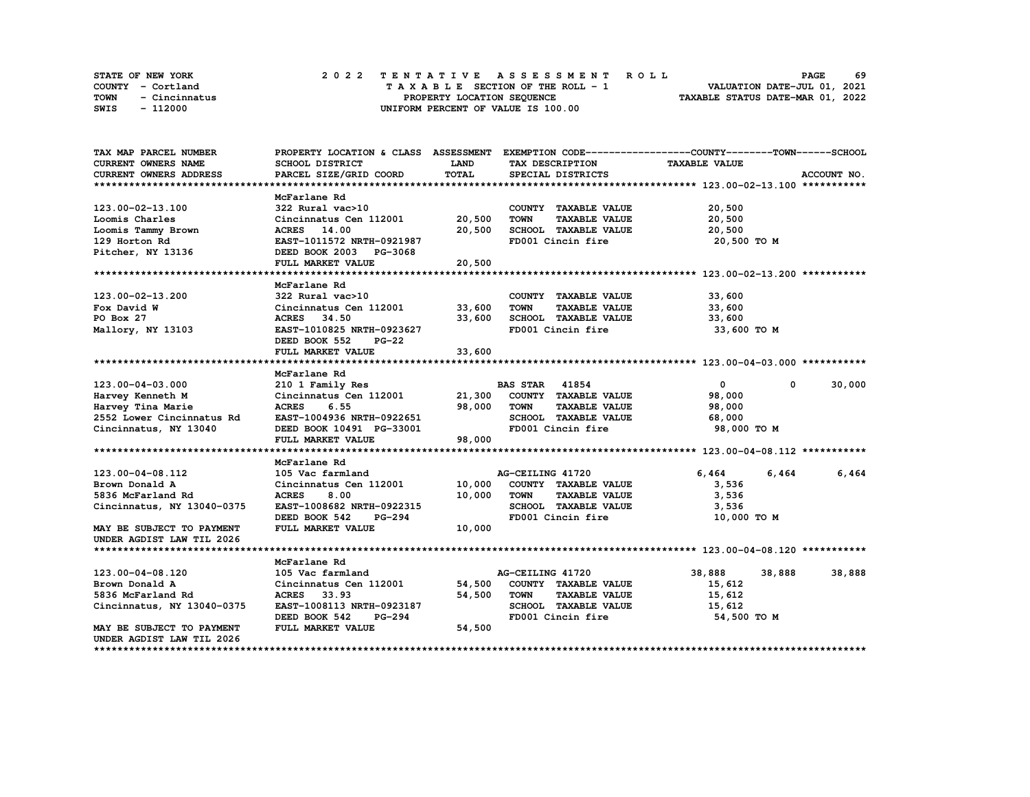| <b>STATE OF NEW YORK</b> | 2022 TENTATIVE ASSESSMENT ROLL     | 69<br><b>PAGE</b>                |
|--------------------------|------------------------------------|----------------------------------|
| COUNTY - Cortland        | TAXABLE SECTION OF THE ROLL - 1    | VALUATION DATE-JUL 01, 2021      |
| TOWN<br>- Cincinnatus    | PROPERTY LOCATION SEOUENCE         | TAXABLE STATUS DATE-MAR 01, 2022 |
| SWIS<br>- 112000         | UNIFORM PERCENT OF VALUE IS 100.00 |                                  |

| <b>CURRENT OWNERS NAME</b><br><b>LAND</b><br><b>TAXABLE VALUE</b><br><b>SCHOOL DISTRICT</b><br>TAX DESCRIPTION<br><b>TOTAL</b><br><b>CURRENT OWNERS ADDRESS</b><br>PARCEL SIZE/GRID COORD<br>SPECIAL DISTRICTS<br>ACCOUNT NO.<br>McFarlane Rd<br>123.00-02-13.100<br>322 Rural vac>10<br>COUNTY TAXABLE VALUE<br>20,500<br>Cincinnatus Cen 112001<br>20,500<br><b>TOWN</b><br><b>TAXABLE VALUE</b><br>20,500<br>Loomis Charles<br>20,500<br>SCHOOL TAXABLE VALUE<br>20,500<br>Loomis Tammy Brown<br>ACRES 14.00<br>EAST-1011572 NRTH-0921987<br>FD001 Cincin fire<br>20,500 TO M<br>129 Horton Rd<br>Pitcher, NY 13136<br>DEED BOOK 2003 PG-3068<br>20,500<br>FULL MARKET VALUE<br>McFarlane Rd<br>33,600<br>123.00-02-13.200<br>322 Rural vac>10<br>COUNTY TAXABLE VALUE<br>Cincinnatus Cen 112001 33,600<br>Fox David W<br>TOWN<br><b>TAXABLE VALUE</b><br>33,600<br>33,600<br>SCHOOL TAXABLE VALUE<br><b>ACRES</b><br>34.50<br>33,600<br>PO Box 27<br>FD001 Cincin fire<br>EAST-1010825 NRTH-0923627<br>33,600 TO M<br>Mallory, NY 13103<br>DEED BOOK 552<br>$PG-22$<br>33,600<br>FULL MARKET VALUE<br>McFarlane Rd<br>123.00-04-03.000<br>210 1 Family Res<br><b>BAS STAR 41854</b><br>$\mathbf{0}$<br>0<br>Cincinnatus Cen 112001 21,300 COUNTY TAXABLE VALUE<br>98,000<br>Harvey Kenneth M<br>Harvey Tina Marie<br><b>ACRES</b><br>6.55<br>98,000<br>TOWN<br><b>TAXABLE VALUE</b><br>98,000 |        |        |        |  | PROPERTY LOCATION & CLASS ASSESSMENT EXEMPTION CODE----------------COUNTY-------TOWN-----SCHOOL | TAX MAP PARCEL NUMBER |
|---------------------------------------------------------------------------------------------------------------------------------------------------------------------------------------------------------------------------------------------------------------------------------------------------------------------------------------------------------------------------------------------------------------------------------------------------------------------------------------------------------------------------------------------------------------------------------------------------------------------------------------------------------------------------------------------------------------------------------------------------------------------------------------------------------------------------------------------------------------------------------------------------------------------------------------------------------------------------------------------------------------------------------------------------------------------------------------------------------------------------------------------------------------------------------------------------------------------------------------------------------------------------------------------------------------------------------------------------------------------------------------------------|--------|--------|--------|--|-------------------------------------------------------------------------------------------------|-----------------------|
|                                                                                                                                                                                                                                                                                                                                                                                                                                                                                                                                                                                                                                                                                                                                                                                                                                                                                                                                                                                                                                                                                                                                                                                                                                                                                                                                                                                                   |        |        |        |  |                                                                                                 |                       |
|                                                                                                                                                                                                                                                                                                                                                                                                                                                                                                                                                                                                                                                                                                                                                                                                                                                                                                                                                                                                                                                                                                                                                                                                                                                                                                                                                                                                   |        |        |        |  |                                                                                                 |                       |
|                                                                                                                                                                                                                                                                                                                                                                                                                                                                                                                                                                                                                                                                                                                                                                                                                                                                                                                                                                                                                                                                                                                                                                                                                                                                                                                                                                                                   |        |        |        |  |                                                                                                 |                       |
|                                                                                                                                                                                                                                                                                                                                                                                                                                                                                                                                                                                                                                                                                                                                                                                                                                                                                                                                                                                                                                                                                                                                                                                                                                                                                                                                                                                                   |        |        |        |  |                                                                                                 |                       |
|                                                                                                                                                                                                                                                                                                                                                                                                                                                                                                                                                                                                                                                                                                                                                                                                                                                                                                                                                                                                                                                                                                                                                                                                                                                                                                                                                                                                   |        |        |        |  |                                                                                                 |                       |
|                                                                                                                                                                                                                                                                                                                                                                                                                                                                                                                                                                                                                                                                                                                                                                                                                                                                                                                                                                                                                                                                                                                                                                                                                                                                                                                                                                                                   |        |        |        |  |                                                                                                 |                       |
|                                                                                                                                                                                                                                                                                                                                                                                                                                                                                                                                                                                                                                                                                                                                                                                                                                                                                                                                                                                                                                                                                                                                                                                                                                                                                                                                                                                                   |        |        |        |  |                                                                                                 |                       |
|                                                                                                                                                                                                                                                                                                                                                                                                                                                                                                                                                                                                                                                                                                                                                                                                                                                                                                                                                                                                                                                                                                                                                                                                                                                                                                                                                                                                   |        |        |        |  |                                                                                                 |                       |
|                                                                                                                                                                                                                                                                                                                                                                                                                                                                                                                                                                                                                                                                                                                                                                                                                                                                                                                                                                                                                                                                                                                                                                                                                                                                                                                                                                                                   |        |        |        |  |                                                                                                 |                       |
|                                                                                                                                                                                                                                                                                                                                                                                                                                                                                                                                                                                                                                                                                                                                                                                                                                                                                                                                                                                                                                                                                                                                                                                                                                                                                                                                                                                                   |        |        |        |  |                                                                                                 |                       |
|                                                                                                                                                                                                                                                                                                                                                                                                                                                                                                                                                                                                                                                                                                                                                                                                                                                                                                                                                                                                                                                                                                                                                                                                                                                                                                                                                                                                   |        |        |        |  |                                                                                                 |                       |
|                                                                                                                                                                                                                                                                                                                                                                                                                                                                                                                                                                                                                                                                                                                                                                                                                                                                                                                                                                                                                                                                                                                                                                                                                                                                                                                                                                                                   |        |        |        |  |                                                                                                 |                       |
|                                                                                                                                                                                                                                                                                                                                                                                                                                                                                                                                                                                                                                                                                                                                                                                                                                                                                                                                                                                                                                                                                                                                                                                                                                                                                                                                                                                                   |        |        |        |  |                                                                                                 |                       |
|                                                                                                                                                                                                                                                                                                                                                                                                                                                                                                                                                                                                                                                                                                                                                                                                                                                                                                                                                                                                                                                                                                                                                                                                                                                                                                                                                                                                   |        |        |        |  |                                                                                                 |                       |
|                                                                                                                                                                                                                                                                                                                                                                                                                                                                                                                                                                                                                                                                                                                                                                                                                                                                                                                                                                                                                                                                                                                                                                                                                                                                                                                                                                                                   |        |        |        |  |                                                                                                 |                       |
|                                                                                                                                                                                                                                                                                                                                                                                                                                                                                                                                                                                                                                                                                                                                                                                                                                                                                                                                                                                                                                                                                                                                                                                                                                                                                                                                                                                                   |        |        |        |  |                                                                                                 |                       |
|                                                                                                                                                                                                                                                                                                                                                                                                                                                                                                                                                                                                                                                                                                                                                                                                                                                                                                                                                                                                                                                                                                                                                                                                                                                                                                                                                                                                   |        |        |        |  |                                                                                                 |                       |
|                                                                                                                                                                                                                                                                                                                                                                                                                                                                                                                                                                                                                                                                                                                                                                                                                                                                                                                                                                                                                                                                                                                                                                                                                                                                                                                                                                                                   |        |        |        |  |                                                                                                 |                       |
|                                                                                                                                                                                                                                                                                                                                                                                                                                                                                                                                                                                                                                                                                                                                                                                                                                                                                                                                                                                                                                                                                                                                                                                                                                                                                                                                                                                                   |        |        |        |  |                                                                                                 |                       |
|                                                                                                                                                                                                                                                                                                                                                                                                                                                                                                                                                                                                                                                                                                                                                                                                                                                                                                                                                                                                                                                                                                                                                                                                                                                                                                                                                                                                   |        |        |        |  |                                                                                                 |                       |
|                                                                                                                                                                                                                                                                                                                                                                                                                                                                                                                                                                                                                                                                                                                                                                                                                                                                                                                                                                                                                                                                                                                                                                                                                                                                                                                                                                                                   | 30,000 |        |        |  |                                                                                                 |                       |
|                                                                                                                                                                                                                                                                                                                                                                                                                                                                                                                                                                                                                                                                                                                                                                                                                                                                                                                                                                                                                                                                                                                                                                                                                                                                                                                                                                                                   |        |        |        |  |                                                                                                 |                       |
|                                                                                                                                                                                                                                                                                                                                                                                                                                                                                                                                                                                                                                                                                                                                                                                                                                                                                                                                                                                                                                                                                                                                                                                                                                                                                                                                                                                                   |        |        |        |  |                                                                                                 |                       |
| 2552 Lower Cincinnatus Rd<br>EAST-1004936 NRTH-0922651<br>SCHOOL TAXABLE VALUE<br>68,000                                                                                                                                                                                                                                                                                                                                                                                                                                                                                                                                                                                                                                                                                                                                                                                                                                                                                                                                                                                                                                                                                                                                                                                                                                                                                                          |        |        |        |  |                                                                                                 |                       |
| FD001 Cincin fire<br>98,000 TO M<br>Cincinnatus, NY 13040<br>DEED BOOK 10491 PG-33001                                                                                                                                                                                                                                                                                                                                                                                                                                                                                                                                                                                                                                                                                                                                                                                                                                                                                                                                                                                                                                                                                                                                                                                                                                                                                                             |        |        |        |  |                                                                                                 |                       |
| 98,000<br>FULL MARKET VALUE                                                                                                                                                                                                                                                                                                                                                                                                                                                                                                                                                                                                                                                                                                                                                                                                                                                                                                                                                                                                                                                                                                                                                                                                                                                                                                                                                                       |        |        |        |  |                                                                                                 |                       |
|                                                                                                                                                                                                                                                                                                                                                                                                                                                                                                                                                                                                                                                                                                                                                                                                                                                                                                                                                                                                                                                                                                                                                                                                                                                                                                                                                                                                   |        |        |        |  |                                                                                                 |                       |
| McFarlane Rd                                                                                                                                                                                                                                                                                                                                                                                                                                                                                                                                                                                                                                                                                                                                                                                                                                                                                                                                                                                                                                                                                                                                                                                                                                                                                                                                                                                      |        |        |        |  |                                                                                                 |                       |
| 6,464<br>AG-CEILING 41720<br>6,464<br>123.00-04-08.112<br>105 Vac farmland                                                                                                                                                                                                                                                                                                                                                                                                                                                                                                                                                                                                                                                                                                                                                                                                                                                                                                                                                                                                                                                                                                                                                                                                                                                                                                                        | 6,464  |        |        |  |                                                                                                 |                       |
| 10,000<br>Cincinnatus Cen 112001<br>COUNTY TAXABLE VALUE<br>Brown Donald A<br>3,536                                                                                                                                                                                                                                                                                                                                                                                                                                                                                                                                                                                                                                                                                                                                                                                                                                                                                                                                                                                                                                                                                                                                                                                                                                                                                                               |        |        |        |  |                                                                                                 |                       |
| <b>ACRES</b><br>8.00<br>10,000<br><b>TAXABLE VALUE</b><br>3,536<br>5836 McFarland Rd<br><b>TOWN</b>                                                                                                                                                                                                                                                                                                                                                                                                                                                                                                                                                                                                                                                                                                                                                                                                                                                                                                                                                                                                                                                                                                                                                                                                                                                                                               |        |        |        |  |                                                                                                 |                       |
| SCHOOL TAXABLE VALUE<br>Cincinnatus, NY 13040-0375<br>EAST-1008682 NRTH-0922315<br>3,536                                                                                                                                                                                                                                                                                                                                                                                                                                                                                                                                                                                                                                                                                                                                                                                                                                                                                                                                                                                                                                                                                                                                                                                                                                                                                                          |        |        |        |  |                                                                                                 |                       |
| DEED BOOK 542<br>FD001 Cincin fire<br><b>PG-294</b><br>10,000 TO M                                                                                                                                                                                                                                                                                                                                                                                                                                                                                                                                                                                                                                                                                                                                                                                                                                                                                                                                                                                                                                                                                                                                                                                                                                                                                                                                |        |        |        |  |                                                                                                 |                       |
| FULL MARKET VALUE<br>10,000<br>MAY BE SUBJECT TO PAYMENT                                                                                                                                                                                                                                                                                                                                                                                                                                                                                                                                                                                                                                                                                                                                                                                                                                                                                                                                                                                                                                                                                                                                                                                                                                                                                                                                          |        |        |        |  |                                                                                                 |                       |
| UNDER AGDIST LAW TIL 2026                                                                                                                                                                                                                                                                                                                                                                                                                                                                                                                                                                                                                                                                                                                                                                                                                                                                                                                                                                                                                                                                                                                                                                                                                                                                                                                                                                         |        |        |        |  |                                                                                                 |                       |
|                                                                                                                                                                                                                                                                                                                                                                                                                                                                                                                                                                                                                                                                                                                                                                                                                                                                                                                                                                                                                                                                                                                                                                                                                                                                                                                                                                                                   |        |        |        |  |                                                                                                 |                       |
| McFarlane Rd                                                                                                                                                                                                                                                                                                                                                                                                                                                                                                                                                                                                                                                                                                                                                                                                                                                                                                                                                                                                                                                                                                                                                                                                                                                                                                                                                                                      |        |        |        |  |                                                                                                 |                       |
| AG-CEILING 41720                                                                                                                                                                                                                                                                                                                                                                                                                                                                                                                                                                                                                                                                                                                                                                                                                                                                                                                                                                                                                                                                                                                                                                                                                                                                                                                                                                                  |        |        |        |  |                                                                                                 |                       |
|                                                                                                                                                                                                                                                                                                                                                                                                                                                                                                                                                                                                                                                                                                                                                                                                                                                                                                                                                                                                                                                                                                                                                                                                                                                                                                                                                                                                   |        |        |        |  |                                                                                                 |                       |
|                                                                                                                                                                                                                                                                                                                                                                                                                                                                                                                                                                                                                                                                                                                                                                                                                                                                                                                                                                                                                                                                                                                                                                                                                                                                                                                                                                                                   | 38,888 | 38,888 | 38,888 |  | 105 Vac farmland                                                                                | 123.00-04-08.120      |
| 54,500<br>COUNTY TAXABLE VALUE<br>15,612<br>Brown Donald A<br>Cincinnatus Cen 112001                                                                                                                                                                                                                                                                                                                                                                                                                                                                                                                                                                                                                                                                                                                                                                                                                                                                                                                                                                                                                                                                                                                                                                                                                                                                                                              |        |        |        |  |                                                                                                 |                       |
| <b>ACRES</b><br>33.93<br>54,500<br><b>TOWN</b><br><b>TAXABLE VALUE</b><br>15,612<br>5836 McFarland Rd                                                                                                                                                                                                                                                                                                                                                                                                                                                                                                                                                                                                                                                                                                                                                                                                                                                                                                                                                                                                                                                                                                                                                                                                                                                                                             |        |        |        |  |                                                                                                 |                       |
| Cincinnatus, NY 13040-0375<br>EAST-1008113 NRTH-0923187<br>SCHOOL TAXABLE VALUE<br>15,612                                                                                                                                                                                                                                                                                                                                                                                                                                                                                                                                                                                                                                                                                                                                                                                                                                                                                                                                                                                                                                                                                                                                                                                                                                                                                                         |        |        |        |  |                                                                                                 |                       |
| DEED BOOK 542<br>FD001 Cincin fire<br>54,500 TO M<br>PG-294                                                                                                                                                                                                                                                                                                                                                                                                                                                                                                                                                                                                                                                                                                                                                                                                                                                                                                                                                                                                                                                                                                                                                                                                                                                                                                                                       |        |        |        |  |                                                                                                 |                       |
| FULL MARKET VALUE<br>54,500<br>MAY BE SUBJECT TO PAYMENT<br>UNDER AGDIST LAW TIL 2026                                                                                                                                                                                                                                                                                                                                                                                                                                                                                                                                                                                                                                                                                                                                                                                                                                                                                                                                                                                                                                                                                                                                                                                                                                                                                                             |        |        |        |  |                                                                                                 |                       |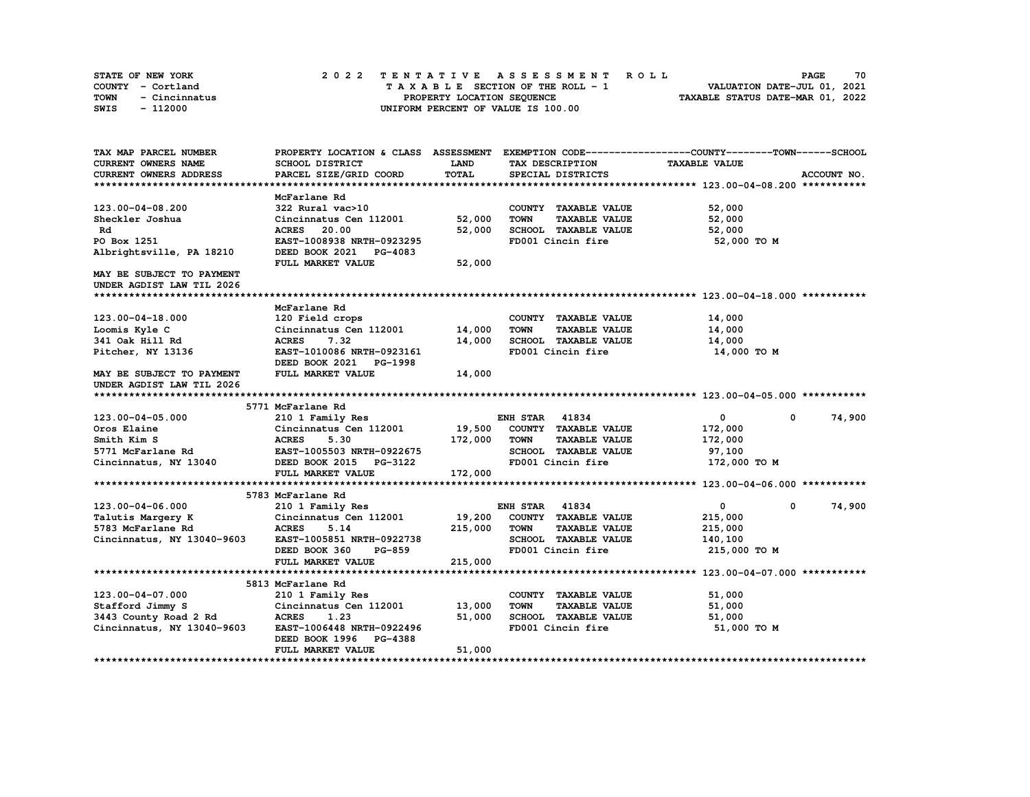| <b>STATE OF NEW YORK</b> | 2022 TENTATIVE ASSESSMENT ROLL     | 70<br><b>PAGE</b>                |
|--------------------------|------------------------------------|----------------------------------|
| COUNTY - Cortland        | TAXABLE SECTION OF THE ROLL - 1    | VALUATION DATE-JUL 01, 2021      |
| TOWN<br>- Cincinnatus    | PROPERTY LOCATION SEOUENCE         | TAXABLE STATUS DATE-MAR 01, 2022 |
| SWIS<br>- 112000         | UNIFORM PERCENT OF VALUE IS 100.00 |                                  |

| TAX MAP PARCEL NUMBER            |                                                     |              |                                              | PROPERTY LOCATION & CLASS ASSESSMENT EXEMPTION CODE------------------COUNTY-------TOWN------SCHOOL |             |
|----------------------------------|-----------------------------------------------------|--------------|----------------------------------------------|----------------------------------------------------------------------------------------------------|-------------|
| CURRENT OWNERS NAME              | SCHOOL DISTRICT                                     | LAND         | TAX DESCRIPTION                              | <b>TAXABLE VALUE</b>                                                                               |             |
| CURRENT OWNERS ADDRESS           | PARCEL SIZE/GRID COORD                              | <b>TOTAL</b> | SPECIAL DISTRICTS                            |                                                                                                    | ACCOUNT NO. |
|                                  |                                                     |              |                                              |                                                                                                    |             |
|                                  | McFarlane Rd                                        |              |                                              |                                                                                                    |             |
| 123.00-04-08.200                 | 322 Rural vac>10                                    |              | COUNTY TAXABLE VALUE                         | 52,000                                                                                             |             |
| Sheckler Joshua                  | Cincinnatus Cen 112001                              | 52,000       | <b>TOWN</b><br><b>TAXABLE VALUE</b>          | 52,000                                                                                             |             |
| Rd                               | <b>ACRES</b> 20.00                                  | 52,000       | <b>SCHOOL TAXABLE VALUE</b>                  | 52,000                                                                                             |             |
| PO Box 1251                      | EAST-1008938 NRTH-0923295                           |              | FD001 Cincin fire                            | 52,000 TO M                                                                                        |             |
| Albrightsville, PA 18210         | DEED BOOK 2021 PG-4083                              |              |                                              |                                                                                                    |             |
|                                  | FULL MARKET VALUE                                   | 52,000       |                                              |                                                                                                    |             |
| MAY BE SUBJECT TO PAYMENT        |                                                     |              |                                              |                                                                                                    |             |
| UNDER AGDIST LAW TIL 2026        |                                                     |              |                                              |                                                                                                    |             |
|                                  | McFarlane Rd                                        |              |                                              |                                                                                                    |             |
| 123.00-04-18.000                 |                                                     |              | COUNTY TAXABLE VALUE                         |                                                                                                    |             |
|                                  | 120 Field crops<br>Cincinnatus Cen 112001           | 14,000       | <b>TOWN</b>                                  | 14,000                                                                                             |             |
| Loomis Kyle C<br>341 Oak Hill Rd | <b>ACRES</b><br>7.32                                | 14,000       | <b>TAXABLE VALUE</b><br>SCHOOL TAXABLE VALUE | 14,000                                                                                             |             |
|                                  |                                                     |              |                                              | 14,000                                                                                             |             |
| Pitcher, NY 13136                | EAST-1010086 NRTH-0923161<br>DEED BOOK 2021 PG-1998 |              | FD001 Cincin fire                            | 14,000 TO M                                                                                        |             |
| MAY BE SUBJECT TO PAYMENT        | FULL MARKET VALUE                                   | 14,000       |                                              |                                                                                                    |             |
| UNDER AGDIST LAW TIL 2026        |                                                     |              |                                              |                                                                                                    |             |
|                                  |                                                     |              |                                              |                                                                                                    |             |
|                                  | 5771 McFarlane Rd                                   |              |                                              |                                                                                                    |             |
| 123.00-04-05.000                 | 210 1 Family Res                                    |              | <b>ENH STAR</b><br>41834                     | $\mathbf 0$<br>$^{\circ}$                                                                          | 74,900      |
| Oros Elaine                      | Cincinnatus Cen 112001                              | 19,500       | COUNTY TAXABLE VALUE                         | 172,000                                                                                            |             |
| Smith Kim S                      | <b>ACRES</b><br>5.30                                | 172,000      | TOWN<br><b>TAXABLE VALUE</b>                 | 172,000                                                                                            |             |
| 5771 McFarlane Rd                | EAST-1005503 NRTH-0922675                           |              | SCHOOL TAXABLE VALUE                         | 97,100                                                                                             |             |
| Cincinnatus, NY 13040            | DEED BOOK 2015 PG-3122                              |              | FD001 Cincin fire                            | 172,000 TO M                                                                                       |             |
|                                  | FULL MARKET VALUE                                   | 172,000      |                                              |                                                                                                    |             |
|                                  |                                                     |              |                                              |                                                                                                    |             |
|                                  | 5783 McFarlane Rd                                   |              |                                              |                                                                                                    |             |
| 123.00-04-06.000                 | 210 1 Family Res                                    |              | <b>ENH STAR 41834</b>                        | 0<br>$^{\circ}$                                                                                    | 74,900      |
| Talutis Margery K                | Cincinnatus Cen 112001                              | 19,200       | COUNTY TAXABLE VALUE                         | 215,000                                                                                            |             |
| 5783 McFarlane Rd                | <b>ACRES</b><br>5.14                                | 215,000      | <b>TAXABLE VALUE</b><br><b>TOWN</b>          | 215,000                                                                                            |             |
| Cincinnatus, NY 13040-9603       | EAST-1005851 NRTH-0922738                           |              | SCHOOL TAXABLE VALUE                         | 140,100                                                                                            |             |
|                                  | DEED BOOK 360<br><b>PG-859</b>                      |              | FD001 Cincin fire                            | 215,000 TO M                                                                                       |             |
|                                  | FULL MARKET VALUE                                   | 215,000      |                                              |                                                                                                    |             |
|                                  |                                                     |              |                                              |                                                                                                    |             |
|                                  | 5813 McFarlane Rd                                   |              |                                              |                                                                                                    |             |
| 123.00-04-07.000                 | 210 1 Family Res                                    |              | COUNTY TAXABLE VALUE                         | 51,000                                                                                             |             |
| Stafford Jimmy S                 | Cincinnatus Cen 112001                              | 13,000       | <b>TOWN</b><br><b>TAXABLE VALUE</b>          | 51,000                                                                                             |             |
| 3443 County Road 2 Rd            | <b>ACRES</b><br>1.23                                | 51,000       | SCHOOL TAXABLE VALUE                         | 51,000                                                                                             |             |
| Cincinnatus, NY 13040-9603       | EAST-1006448 NRTH-0922496                           |              | FD001 Cincin fire                            | 51,000 TO M                                                                                        |             |
|                                  | DEED BOOK 1996 PG-4388                              |              |                                              |                                                                                                    |             |
|                                  | FULL MARKET VALUE                                   | 51,000       |                                              |                                                                                                    |             |
|                                  |                                                     |              |                                              |                                                                                                    |             |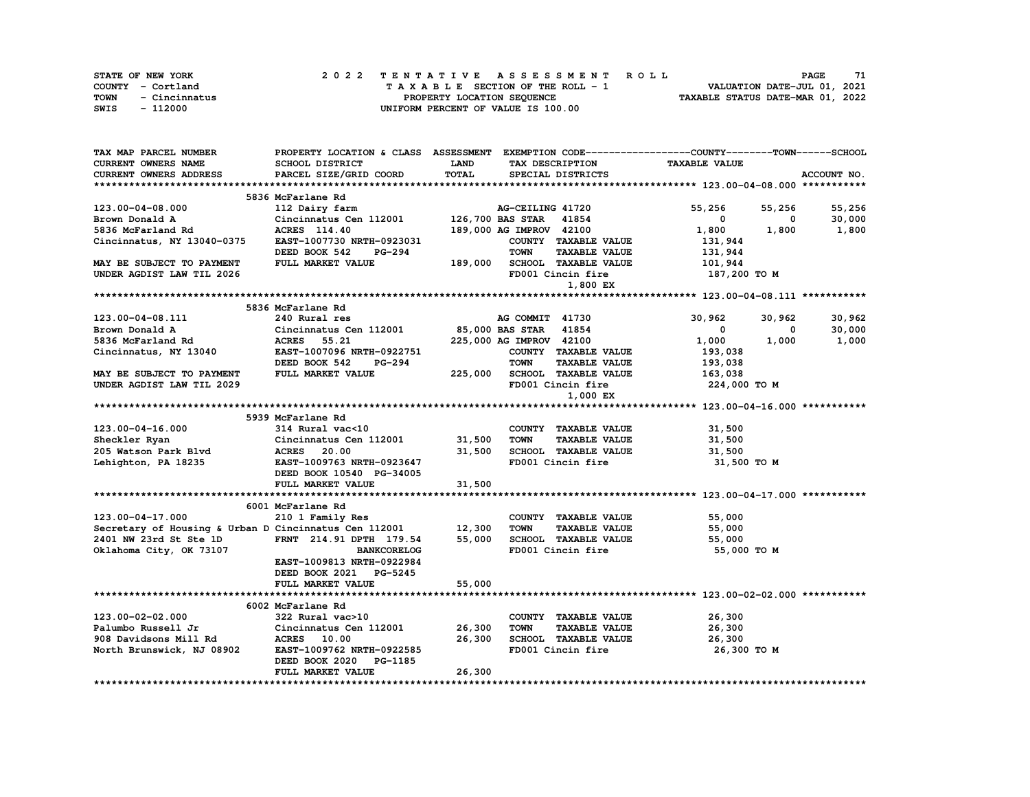| STATE OF NEW YORK     | 2022 TENTATIVE ASSESSMENT ROLL     | 71<br><b>PAGE</b>                |
|-----------------------|------------------------------------|----------------------------------|
| COUNTY - Cortland     | TAXABLE SECTION OF THE ROLL - 1    | VALUATION DATE-JUL 01, 2021      |
| TOWN<br>- Cincinnatus | PROPERTY LOCATION SEQUENCE         | TAXABLE STATUS DATE-MAR 01, 2022 |
| - 112000<br>SWIS      | UNIFORM PERCENT OF VALUE IS 100.00 |                                  |

| TAX MAP PARCEL NUMBER                                        |                                                                                     |              |                                            | PROPERTY LOCATION & CLASS ASSESSMENT EXEMPTION CODE----------------COUNTY-------TOWN------SCHOOL |             |
|--------------------------------------------------------------|-------------------------------------------------------------------------------------|--------------|--------------------------------------------|--------------------------------------------------------------------------------------------------|-------------|
| <b>CURRENT OWNERS NAME</b>                                   | SCHOOL DISTRICT                                                                     | <b>LAND</b>  | TAX DESCRIPTION                            | <b>TAXABLE VALUE</b>                                                                             |             |
| <b>CURRENT OWNERS ADDRESS</b>                                | PARCEL SIZE/GRID COORD                                                              | <b>TOTAL</b> | SPECIAL DISTRICTS                          |                                                                                                  | ACCOUNT NO. |
|                                                              |                                                                                     |              |                                            |                                                                                                  |             |
|                                                              | 5836 McFarlane Rd                                                                   |              |                                            |                                                                                                  |             |
| 123.00-04-08.000                                             | 112 Dairy farm                                                                      |              | AG-CEILING 41720                           | 55,256<br>55,256                                                                                 | 55,256      |
| Brown Donald A                                               | Cincinnatus Cen 112001                                                              |              | 126,700 BAS STAR 41854                     | $\mathbf 0$<br>$\mathbf{0}$                                                                      | 30,000      |
| 5836 McFarland Rd                                            | ACRES 114.40                                                                        |              | 189,000 AG IMPROV 42100                    | 1,800                                                                                            | 1,800 1,800 |
| Cincinnatus, NY 13040-0375                                   | EAST-1007730 NRTH-0923031                                                           |              | COUNTY TAXABLE VALUE                       | 131,944                                                                                          |             |
|                                                              | <b>PG-294</b><br>DEED BOOK 542                                                      |              | <b>TOWN</b><br><b>TAXABLE VALUE</b>        | 131,944                                                                                          |             |
| MAY BE SUBJECT TO PAYMENT                                    | FULL MARKET VALUE                                                                   |              | 189,000 SCHOOL TAXABLE VALUE               | 101,944                                                                                          |             |
| UNDER AGDIST LAW TIL 2026                                    |                                                                                     |              | FD001 Cincin fire                          | 187,200 TO M                                                                                     |             |
|                                                              |                                                                                     |              | 1,800 EX                                   |                                                                                                  |             |
|                                                              |                                                                                     |              |                                            |                                                                                                  |             |
|                                                              | 5836 McFarlane Rd                                                                   |              |                                            |                                                                                                  |             |
| 123.00-04-08.111                                             | 240 Rural res                                                                       |              | AG COMMIT 41730                            | 30,962<br>30,962                                                                                 | 30,962      |
| Brown Donald A                                               | Cincinnatus Cen 112001 85,000 BAS STAR 41854<br>ACRES 55.21 225,000 AG IMPROV 42100 |              |                                            | $\mathbf 0$<br>$\mathbf{0}$                                                                      | 30,000      |
| 5836 McFarland Rd                                            |                                                                                     |              | 225,000 AG IMPROV 42100                    | 1,000<br>1,000                                                                                   | 1,000       |
| Cincinnatus, NY 13040                                        | EAST-1007096 NRTH-0922751                                                           |              | COUNTY TAXABLE VALUE                       | 193,038                                                                                          |             |
|                                                              | DEED BOOK 542<br><b>PG-294</b>                                                      |              | <b>TOWN</b><br><b>TAXABLE VALUE</b>        | 193,038                                                                                          |             |
| MAY BE SUBJECT TO PAYMENT                                    | FULL MARKET VALUE                                                                   |              | 225,000 SCHOOL TAXABLE VALUE               | 163,038                                                                                          |             |
| UNDER AGDIST LAW TIL 2029                                    |                                                                                     |              | FD001 Cincin fire                          | 224,000 TO M                                                                                     |             |
|                                                              |                                                                                     |              | 1,000 EX                                   |                                                                                                  |             |
|                                                              |                                                                                     |              |                                            |                                                                                                  |             |
|                                                              | 5939 McFarlane Rd                                                                   |              |                                            |                                                                                                  |             |
| 123.00-04-16.000                                             | 314 Rural vac<10                                                                    |              | COUNTY TAXABLE VALUE                       | 31,500                                                                                           |             |
| Sheckler Ryan                                                | Cincinnatus Cen 112001 31,500                                                       |              | <b>TOWN</b><br><b>TAXABLE VALUE</b>        | 31,500                                                                                           |             |
| 205 Watson Park Blvd                                         | <b>ACRES</b> 20.00                                                                  | 31,500       |                                            | 31,500                                                                                           |             |
| Lehighton, PA 18235                                          | EAST-1009763 NRTH-0923647                                                           |              | TOWN LOWELLY VALUE<br>SCHOOL TAXABLE VALUE | 31,500 TO M                                                                                      |             |
|                                                              | DEED BOOK 10540 PG-34005                                                            |              |                                            |                                                                                                  |             |
|                                                              | FULL MARKET VALUE                                                                   | 31,500       |                                            |                                                                                                  |             |
|                                                              |                                                                                     |              |                                            |                                                                                                  |             |
|                                                              | 6001 McFarlane Rd                                                                   |              |                                            |                                                                                                  |             |
| 123.00-04-17.000                                             | 210 1 Family Res                                                                    |              | COUNTY TAXABLE VALUE                       | 55,000                                                                                           |             |
| Secretary of Housing & Urban D Cincinnatus Cen 112001 12,300 |                                                                                     |              | <b>TOWN</b><br><b>TAXABLE VALUE</b>        | 55,000                                                                                           |             |
| 2401 NW 23rd St Ste 1D                                       | FRNT 214.91 DPTH 179.54                                                             | 55,000       | SCHOOL TAXABLE VALUE                       | 55,000                                                                                           |             |
| Oklahoma City, OK 73107                                      | <b>BANKCORELOG</b>                                                                  |              | FD001 Cincin fire                          | 55,000 TO M                                                                                      |             |
|                                                              | EAST-1009813 NRTH-0922984                                                           |              |                                            |                                                                                                  |             |
|                                                              | DEED BOOK 2021 PG-5245                                                              |              |                                            |                                                                                                  |             |
|                                                              | FULL MARKET VALUE                                                                   | 55,000       |                                            |                                                                                                  |             |
|                                                              |                                                                                     |              |                                            |                                                                                                  |             |
|                                                              | 6002 McFarlane Rd                                                                   |              |                                            |                                                                                                  |             |
| 123.00-02-02.000                                             | 322 Rural vac>10                                                                    |              | COUNTY TAXABLE VALUE                       | 26,300                                                                                           |             |
| Palumbo Russell Jr                                           | Cincinnatus Cen 112001                                                              | 26,300       | <b>TOWN</b><br><b>TAXABLE VALUE</b>        | 26,300                                                                                           |             |
| 908 Davidsons Mill Rd                                        | <b>ACRES</b> 10.00                                                                  | 26,300       | SCHOOL TAXABLE VALUE 26,300                |                                                                                                  |             |
| North Brunswick, NJ 08902                                    | EAST-1009762 NRTH-0922585                                                           |              | FD001 Cincin fire                          | 26,300 то м                                                                                      |             |
|                                                              | DEED BOOK 2020 PG-1185                                                              |              |                                            |                                                                                                  |             |
|                                                              | FULL MARKET VALUE                                                                   | 26,300       |                                            |                                                                                                  |             |
|                                                              |                                                                                     |              |                                            |                                                                                                  |             |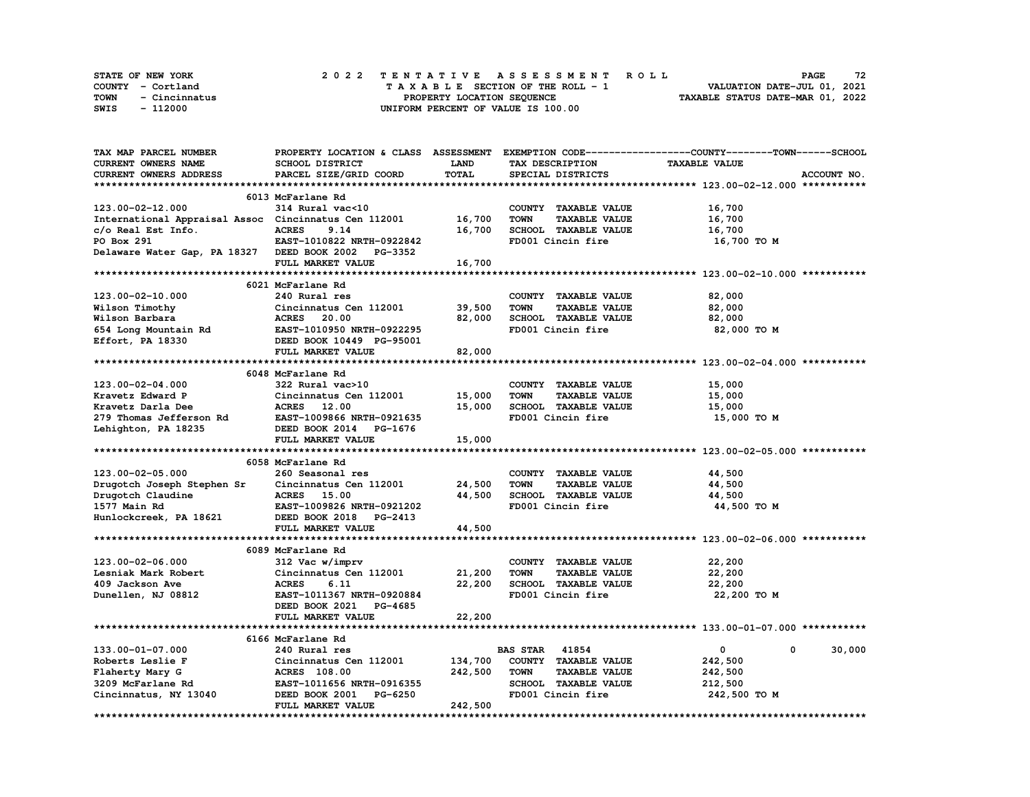|      | STATE OF NEW YORK | 2022 TENTATIVE ASSESSMENT ROLL     | 72<br><b>PAGE</b>                |
|------|-------------------|------------------------------------|----------------------------------|
|      | COUNTY - Cortland | TAXABLE SECTION OF THE ROLL - 1    | VALUATION DATE-JUL 01, 2021      |
| TOWN | - Cincinnatus     | PROPERTY LOCATION SEQUENCE         | TAXABLE STATUS DATE-MAR 01, 2022 |
| SWIS | - 112000          | UNIFORM PERCENT OF VALUE IS 100.00 |                                  |

| <b>TAX MAP PARCEL NUMBER</b>                                                           |                           |              |                                     | PROPERTY LOCATION & CLASS ASSESSMENT EXEMPTION CODE----------------COUNTY-------TOWN-----SCHOOL |
|----------------------------------------------------------------------------------------|---------------------------|--------------|-------------------------------------|-------------------------------------------------------------------------------------------------|
| <b>CURRENT OWNERS NAME</b>                                                             | <b>SCHOOL DISTRICT</b>    | <b>LAND</b>  | TAX DESCRIPTION                     | <b>TAXABLE VALUE</b>                                                                            |
| CURRENT OWNERS ADDRESS                                                                 | PARCEL SIZE/GRID COORD    | <b>TOTAL</b> | SPECIAL DISTRICTS                   | ACCOUNT NO.                                                                                     |
|                                                                                        |                           |              |                                     |                                                                                                 |
|                                                                                        | 6013 McFarlane Rd         |              |                                     |                                                                                                 |
| 123.00-02-12.000                                                                       | 314 Rural vac<10          |              | COUNTY TAXABLE VALUE                | 16,700                                                                                          |
| International Appraisal Assoc Cincinnatus Cen 112001                                   |                           | 16,700       | <b>TOWN</b><br><b>TAXABLE VALUE</b> | 16,700                                                                                          |
|                                                                                        | <b>ACRES</b><br>9.14      | 16,700       | SCHOOL TAXABLE VALUE                | 16,700                                                                                          |
| c/o Real Est Info.<br>PO Box 291<br>PO Box 291                                         | EAST-1010822 NRTH-0922842 |              | FD001 Cincin fire                   | 16,700 TO M                                                                                     |
| Delaware Water Gap, PA 18327 DEED BOOK 2002 PG-3352                                    |                           |              |                                     |                                                                                                 |
|                                                                                        | FULL MARKET VALUE         | 16,700       |                                     |                                                                                                 |
|                                                                                        |                           |              |                                     |                                                                                                 |
|                                                                                        | 6021 McFarlane Rd         |              |                                     |                                                                                                 |
|                                                                                        |                           |              |                                     |                                                                                                 |
| 123.00-02-10.000                                                                       | 240 Rural res             |              | COUNTY TAXABLE VALUE                | 82,000                                                                                          |
| Wilson Timothy                                                                         | Cincinnatus Cen 112001    | 39,500       | <b>TOWN</b><br><b>TAXABLE VALUE</b> | 82,000                                                                                          |
| <b>Wilson Barbara<br/>Wilson Barbara<br/>654 Long Mountain Rd<br/>Effort, PA 18330</b> | <b>ACRES</b> 20.00        | 82,000       | SCHOOL TAXABLE VALUE                | 82,000                                                                                          |
|                                                                                        | EAST-1010950 NRTH-0922295 |              | FD001 Cincin fire                   | 82,000 TO M                                                                                     |
|                                                                                        | DEED BOOK 10449 PG-95001  |              |                                     |                                                                                                 |
|                                                                                        | FULL MARKET VALUE         | 82,000       |                                     |                                                                                                 |
|                                                                                        |                           |              |                                     |                                                                                                 |
|                                                                                        | 6048 McFarlane Rd         |              |                                     |                                                                                                 |
| 123.00-02-04.000                                                                       | 322 Rural vac>10          |              | COUNTY TAXABLE VALUE                | 15,000                                                                                          |
| Kravetz Edward P                                                                       | Cincinnatus Cen 112001    | 15,000       | <b>TOWN</b><br><b>TAXABLE VALUE</b> | 15,000                                                                                          |
| Kravetz Darla Dee                                                                      | ACRES 12.00               | 15,000       | SCHOOL TAXABLE VALUE                | 15,000                                                                                          |
| 279 Thomas Jefferson Rd                                                                | EAST-1009866 NRTH-0921635 |              | FD001 Cincin fire                   | 15,000 TO M                                                                                     |
| Lehighton, PA 18235                                                                    | DEED BOOK 2014 PG-1676    |              |                                     |                                                                                                 |
|                                                                                        | FULL MARKET VALUE         | 15,000       |                                     |                                                                                                 |
|                                                                                        |                           |              |                                     |                                                                                                 |
|                                                                                        | 6058 McFarlane Rd         |              |                                     |                                                                                                 |
| 123.00-02-05.000                                                                       | 260 Seasonal res          |              | COUNTY TAXABLE VALUE                | 44,500                                                                                          |
| Drugotch Joseph Stephen Sr                                                             | Cincinnatus Cen 112001    | 24,500       | <b>TOWN</b><br><b>TAXABLE VALUE</b> | 44,500                                                                                          |
| Drugotch Claudine                                                                      | <b>ACRES</b> 15.00        | 44,500       | SCHOOL TAXABLE VALUE                | 44,500                                                                                          |
| 1577 Main Rd                                                                           | EAST-1009826 NRTH-0921202 |              | FD001 Cincin fire                   | 44,500 TO M                                                                                     |
| Hunlockcreek, PA 18621                                                                 | DEED BOOK 2018 PG-2413    |              |                                     |                                                                                                 |
|                                                                                        | FULL MARKET VALUE         | 44,500       |                                     |                                                                                                 |
|                                                                                        |                           |              |                                     |                                                                                                 |
|                                                                                        |                           |              |                                     |                                                                                                 |
|                                                                                        | 6089 McFarlane Rd         |              |                                     |                                                                                                 |
| 123.00-02-06.000                                                                       | 312 Vac w/imprv           |              | COUNTY TAXABLE VALUE                | 22,200                                                                                          |
| Lesniak Mark Robert                                                                    | Cincinnatus Cen 112001    | 21,200       | <b>TOWN</b><br><b>TAXABLE VALUE</b> | 22,200                                                                                          |
| 409 Jackson Ave                                                                        | <b>ACRES</b><br>6.11      | 22,200       | SCHOOL TAXABLE VALUE                | 22,200                                                                                          |
| Dunellen, NJ 08812                                                                     | EAST-1011367 NRTH-0920884 |              | FD001 Cincin fire                   | 22,200 TO M                                                                                     |
|                                                                                        | DEED BOOK 2021 PG-4685    |              |                                     |                                                                                                 |
|                                                                                        | FULL MARKET VALUE         | 22,200       |                                     |                                                                                                 |
|                                                                                        |                           |              |                                     |                                                                                                 |
|                                                                                        | 6166 McFarlane Rd         |              |                                     |                                                                                                 |
| 133.00-01-07.000                                                                       | 240 Rural res             |              | <b>BAS STAR</b> 41854               | $\mathbf 0$<br>$\Omega$<br>30,000                                                               |
| Roberts Leslie F                                                                       | Cincinnatus Cen 112001    | 134,700      | COUNTY TAXABLE VALUE                | 242,500                                                                                         |
| Flaherty Mary G                                                                        | <b>ACRES</b> 108.00       | 242,500      | <b>TOWN</b><br><b>TAXABLE VALUE</b> | 242,500                                                                                         |
| 3209 McFarlane Rd                                                                      | EAST-1011656 NRTH-0916355 |              | SCHOOL TAXABLE VALUE                | 212,500                                                                                         |
| Cincinnatus, NY 13040                                                                  | DEED BOOK 2001 PG-6250    |              | FD001 Cincin fire                   | 242,500 TO M                                                                                    |
|                                                                                        | FULL MARKET VALUE         | 242,500      |                                     |                                                                                                 |
|                                                                                        |                           |              |                                     |                                                                                                 |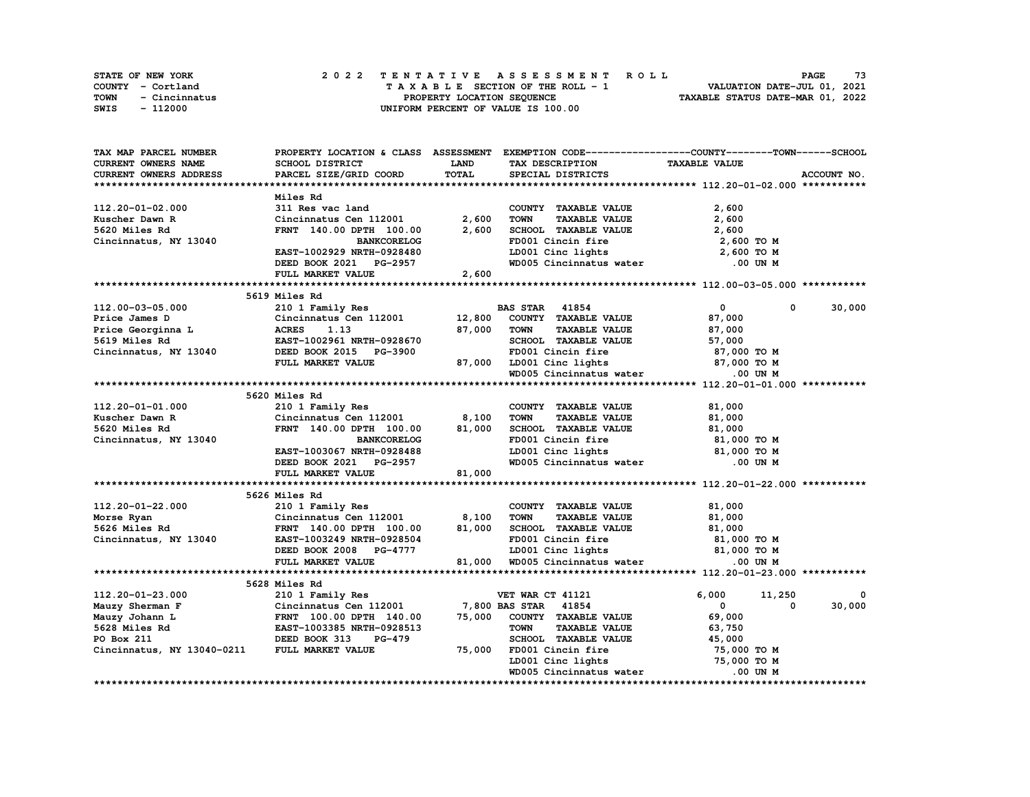| <b>STATE OF NEW YORK</b> | 2022 TENTATIVE ASSESSMENT ROLL     | 73<br>PAGE                       |
|--------------------------|------------------------------------|----------------------------------|
| COUNTY - Cortland        | TAXABLE SECTION OF THE ROLL - 1    | VALUATION DATE-JUL 01, 2021      |
| TOWN<br>- Cincinnatus    | PROPERTY LOCATION SEOUENCE         | TAXABLE STATUS DATE-MAR 01, 2022 |
| SWIS<br>- 112000         | UNIFORM PERCENT OF VALUE IS 100.00 |                                  |

| TAX MAP PARCEL NUMBER      |                                                                                   |             | PROPERTY LOCATION & CLASS ASSESSMENT EXEMPTION CODE----------------COUNTY-------TOWN------SCHOOL |                              |             |
|----------------------------|-----------------------------------------------------------------------------------|-------------|--------------------------------------------------------------------------------------------------|------------------------------|-------------|
| CURRENT OWNERS NAME        | SCHOOL DISTRICT                                                                   | <b>LAND</b> | TAX DESCRIPTION                                                                                  | <b>TAXABLE VALUE</b>         |             |
| CURRENT OWNERS ADDRESS     | PARCEL SIZE/GRID COORD                                                            | TOTAL       | SPECIAL DISTRICTS                                                                                |                              | ACCOUNT NO. |
|                            |                                                                                   |             |                                                                                                  |                              |             |
|                            | Miles Rd                                                                          |             |                                                                                                  |                              |             |
| 112.20-01-02.000           | 311 Res vac land                                                                  |             | COUNTY TAXABLE VALUE                                                                             | 2,600                        |             |
| Kuscher Dawn R             | Cincinnatus Cen 112001                                                            | 2,600       | <b>TOWN</b><br><b>TAXABLE VALUE</b>                                                              | 2,600                        |             |
| 5620 Miles Rd              | FRNT 140.00 DPTH 100.00                                                           | 2,600       | SCHOOL TAXABLE VALUE                                                                             | 2,600                        |             |
| Cincinnatus, NY 13040      | <b>BANKCORELOG</b>                                                                |             | FD001 Cincin fire                                                                                | 2,600 TO M                   |             |
|                            | EAST-1002929 NRTH-0928480                                                         |             | LD001 Cinc lights                                                                                | 2,600 TO M                   |             |
|                            | DEED BOOK 2021 PG-2957                                                            |             | WD005 Cincinnatus water                                                                          | .00 UN M                     |             |
|                            | FULL MARKET VALUE                                                                 | 2,600       |                                                                                                  |                              |             |
|                            |                                                                                   |             |                                                                                                  |                              |             |
|                            |                                                                                   |             |                                                                                                  |                              |             |
|                            | 5619 Miles Rd                                                                     |             |                                                                                                  |                              |             |
| 112.00-03-05.000           | 210 1 Family Res                                                                  |             | <b>BAS STAR 41854</b>                                                                            | $\mathbf{0}$<br>0            | 30,000      |
| Price James D              | Cincinnatus Cen 112001                                                            | 12,800      | COUNTY TAXABLE VALUE                                                                             | 87,000                       |             |
| Price Georginna L          | <b>ACRES</b><br>1.13                                                              | 87,000      | <b>TAXABLE VALUE</b><br><b>TOWN</b>                                                              | 87,000                       |             |
| 5619 Miles Rd              | EAST-1002961 NRTH-0928670                                                         |             | SCHOOL TAXABLE VALUE                                                                             | 57,000                       |             |
| Cincinnatus, NY 13040      | DEED BOOK 2015 PG-3900                                                            |             | FD001 Cincin fire                                                                                | 87,000 TO M                  |             |
|                            | FULL MARKET VALUE                                                                 | 87,000      |                                                                                                  | 87,000 TO M                  |             |
|                            |                                                                                   |             | LD001 Cinc lights<br>WD005 Cincinnatus water                                                     | .00 UN M                     |             |
|                            |                                                                                   |             |                                                                                                  |                              |             |
|                            | 5620 Miles Rd                                                                     |             |                                                                                                  |                              |             |
| 112.20-01-01.000           | 210 1 Family Res                                                                  |             | COUNTY TAXABLE VALUE                                                                             | 81,000                       |             |
| Kuscher Dawn R             | Cincinnatus Cen 112001                                                            | 8,100       | <b>TOWN</b><br><b>TAXABLE VALUE</b>                                                              | 81,000                       |             |
| 5620 Miles Rd              | FRNT 140.00 DPTH 100.00                                                           | 81,000      | SCHOOL TAXABLE VALUE                                                                             | 81,000                       |             |
| Cincinnatus, NY 13040      | <b>BANKCORELOG</b>                                                                |             | FD001 Cincin fire                                                                                | 81,000 TO M                  |             |
|                            | EAST-1003067 NRTH-0928488                                                         |             | LD001 Cinc lights                                                                                | 81,000 TO M                  |             |
|                            | DEED BOOK 2021 PG-2957                                                            |             | WD005 Cincinnatus water                                                                          | .00 UN M                     |             |
|                            | FULL MARKET VALUE                                                                 | 81,000      |                                                                                                  |                              |             |
|                            |                                                                                   |             |                                                                                                  |                              |             |
|                            |                                                                                   |             |                                                                                                  |                              |             |
|                            | 5626 Miles Rd                                                                     |             |                                                                                                  |                              |             |
| 112.20-01-22.000           | 210 1 Family Res                                                                  |             | COUNTY TAXABLE VALUE                                                                             | 81,000                       |             |
| Morse Ryan                 | Cincinnatus Cen 112001                                                            | 8,100       | TOWN<br><b>TAXABLE VALUE</b>                                                                     | 81,000                       |             |
| 5626 Miles Rd              | FRNT 140.00 DPTH 100.00                                                           | 81,000      | SCHOOL TAXABLE VALUE                                                                             | 81,000                       |             |
| Cincinnatus, NY 13040      | EAST-1003249 NRTH-0928504                                                         |             | FD001 Cincin fire                                                                                | 81,000 TO M                  |             |
|                            | DEED BOOK 2008 PG-4777                                                            |             | LD001 Cinc lights                                                                                | 81,000 TO M                  |             |
|                            | FULL MARKET VALUE                                                                 |             | 81,000 WD005 Cincinnatus water                                                                   | .00 UN M                     |             |
|                            |                                                                                   |             |                                                                                                  |                              |             |
|                            | 5628 Miles Rd                                                                     |             |                                                                                                  |                              |             |
| 112.20-01-23.000           | 210 1 Family Res                                                                  |             | VET WAR CT 41121                                                                                 | 6,000<br>11,250              | 0           |
| Mauzy Sherman F            | Cincinnatus Cen 112001                                                            |             | 7,800 BAS STAR 41854                                                                             | $\mathbf{0}$<br>$\mathbf{0}$ | 30,000      |
| Mauzy Johann L             | L<br>ERNT 100.00 DPTH 140.00<br>ERST-1003385 NRTH-0928513<br>DEED BOOK 313 PG-479 | 75,000      | COUNTY TAXABLE VALUE                                                                             | 69,000                       |             |
| 5628 Miles Rd              |                                                                                   |             | <b>TOWN</b><br><b>TAXABLE VALUE</b>                                                              | 63,750                       |             |
| PO Box 211                 |                                                                                   |             | <b>SCHOOL TAXABLE VALUE</b>                                                                      | 45,000                       |             |
| Cincinnatus, NY 13040-0211 | FULL MARKET VALUE                                                                 | 75,000      | FD001 Cincin fire                                                                                | 75,000 TO M                  |             |
|                            |                                                                                   |             | LD001 Cinc lights                                                                                | 75,000 TO M                  |             |
|                            |                                                                                   |             | WD005 Cincinnatus water                                                                          | .00 UN M                     |             |
|                            |                                                                                   |             |                                                                                                  |                              |             |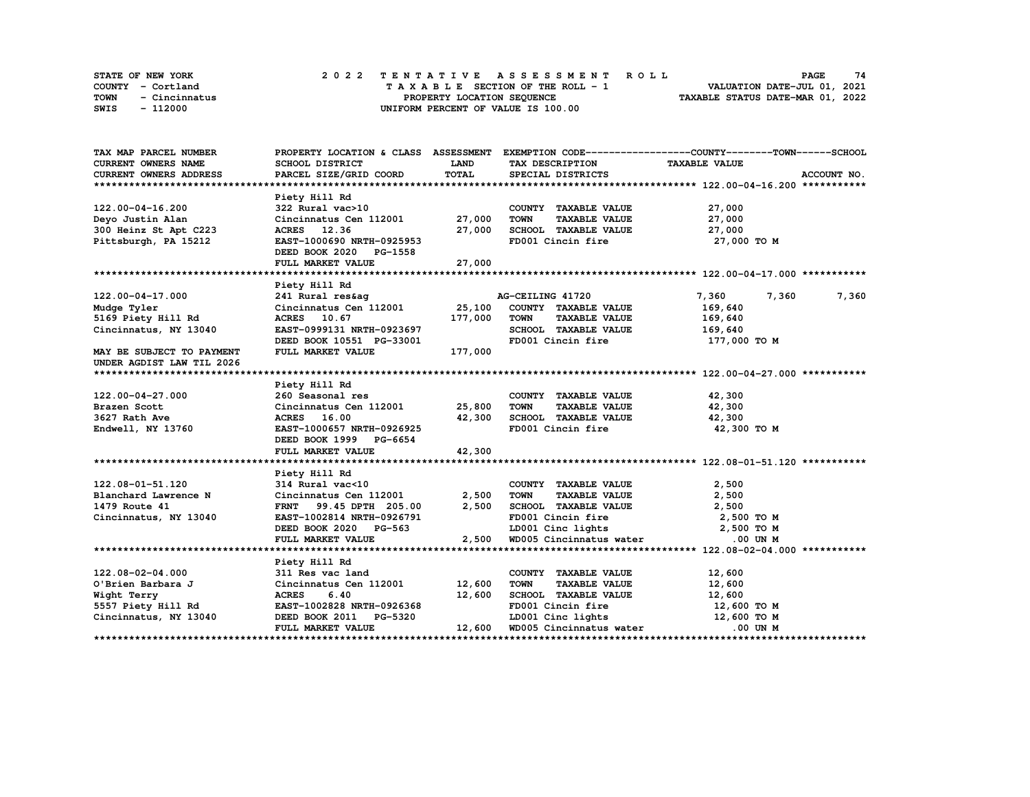| <b>STATE OF NEW YORK</b> | 2022 TENTATIVE ASSESSMENT ROLL     | 74<br>PAGE                       |
|--------------------------|------------------------------------|----------------------------------|
| COUNTY - Cortland        | TAXABLE SECTION OF THE ROLL - 1    | VALUATION DATE-JUL 01, 2021      |
| TOWN<br>- Cincinnatus    | PROPERTY LOCATION SEOUENCE         | TAXABLE STATUS DATE-MAR 01, 2022 |
| SWIS<br>- 112000         | UNIFORM PERCENT OF VALUE IS 100.00 |                                  |

| TAX MAP PARCEL NUMBER     |                               |         |                                     | PROPERTY LOCATION & CLASS ASSESSMENT EXEMPTION CODE-----------------COUNTY-------TOWN-----SCHOOL |
|---------------------------|-------------------------------|---------|-------------------------------------|--------------------------------------------------------------------------------------------------|
| CURRENT OWNERS NAME       | <b>SCHOOL DISTRICT</b>        | LAND    | TAX DESCRIPTION                     | <b>TAXABLE VALUE</b>                                                                             |
| CURRENT OWNERS ADDRESS    | PARCEL SIZE/GRID COORD        | TOTAL   | SPECIAL DISTRICTS                   | ACCOUNT NO.                                                                                      |
|                           |                               |         |                                     |                                                                                                  |
|                           | Piety Hill Rd                 |         |                                     |                                                                                                  |
| 122.00-04-16.200          | 322 Rural vac>10              |         | COUNTY TAXABLE VALUE                | 27,000                                                                                           |
| Deyo Justin Alan          | Cincinnatus Cen 112001        | 27,000  | <b>TAXABLE VALUE</b><br><b>TOWN</b> | 27,000                                                                                           |
| 300 Heinz St Apt C223     | ACRES 12.36                   | 27,000  | SCHOOL TAXABLE VALUE                | 27,000                                                                                           |
| Pittsburgh, PA 15212      | EAST-1000690 NRTH-0925953     |         | FD001 Cincin fire                   | 27,000 TO M                                                                                      |
|                           | DEED BOOK 2020 PG-1558        |         |                                     |                                                                                                  |
|                           | FULL MARKET VALUE             | 27,000  |                                     |                                                                                                  |
|                           |                               |         |                                     |                                                                                                  |
|                           | Piety Hill Rd                 |         |                                     |                                                                                                  |
| 122.00-04-17.000          | 241 Rural res&ag              |         | AG-CEILING 41720                    | 7,360<br>7,360<br>7,360                                                                          |
| Mudge Tyler               | Cincinnatus Cen 112001 25,100 |         | COUNTY TAXABLE VALUE                | 169,640                                                                                          |
| 5169 Piety Hill Rd        | ACRES 10.67                   | 177,000 | <b>TOWN</b><br><b>TAXABLE VALUE</b> | 169,640                                                                                          |
| Cincinnatus, NY 13040     | EAST-0999131 NRTH-0923697     |         | SCHOOL TAXABLE VALUE                | 169,640                                                                                          |
|                           | DEED BOOK 10551 PG-33001      |         | FD001 Cincin fire                   | 177,000 TO M                                                                                     |
| MAY BE SUBJECT TO PAYMENT | FULL MARKET VALUE             | 177,000 |                                     |                                                                                                  |
| UNDER AGDIST LAW TIL 2026 |                               |         |                                     |                                                                                                  |
|                           |                               |         |                                     |                                                                                                  |
|                           | Piety Hill Rd                 |         |                                     |                                                                                                  |
| 122.00-04-27.000          | 260 Seasonal res              |         | COUNTY TAXABLE VALUE                | 42,300                                                                                           |
| Brazen Scott              | Cincinnatus Cen 112001 25,800 |         | <b>TOWN</b><br><b>TAXABLE VALUE</b> | 42,300                                                                                           |
| 3627 Rath Ave             | ACRES 16.00                   | 42,300  | SCHOOL TAXABLE VALUE                | 42,300                                                                                           |
| Endwell, NY 13760         | EAST-1000657 NRTH-0926925     |         | FD001 Cincin fire                   | 42,300 TO M                                                                                      |
|                           | DEED BOOK 1999 PG-6654        |         |                                     |                                                                                                  |
|                           | FULL MARKET VALUE             | 42,300  |                                     |                                                                                                  |
|                           |                               |         |                                     |                                                                                                  |
|                           | Piety Hill Rd                 |         |                                     |                                                                                                  |
| 122.08-01-51.120          | 314 Rural vac<10              |         | COUNTY TAXABLE VALUE                | 2,500                                                                                            |
| Blanchard Lawrence N      | Cincinnatus Cen 112001        | 2,500   | <b>TOWN</b><br><b>TAXABLE VALUE</b> | 2,500                                                                                            |
| 1479 Route 41             | FRNT 99.45 DPTH 205.00        | 2,500   | SCHOOL TAXABLE VALUE                | 2,500                                                                                            |
| Cincinnatus, NY 13040     | EAST-1002814 NRTH-0926791     |         | FD001 Cincin fire                   | 2,500 TO M                                                                                       |
|                           | DEED BOOK 2020 PG-563         |         | LD001 Cinc lights                   | 2,500 TO M                                                                                       |
|                           | FULL MARKET VALUE             | 2,500   | WD005 Cincinnatus water             | .00 UN M                                                                                         |
|                           |                               |         |                                     |                                                                                                  |
|                           | Piety Hill Rd                 |         |                                     |                                                                                                  |
| 122.08-02-04.000          | 311 Res vac land              |         | COUNTY TAXABLE VALUE                | 12,600                                                                                           |
| O'Brien Barbara J         | Cincinnatus Cen 112001        | 12,600  | <b>TOWN</b><br><b>TAXABLE VALUE</b> | 12,600                                                                                           |
| Wight Terry               | <b>ACRES</b><br>6.40          | 12,600  | SCHOOL TAXABLE VALUE                | 12,600                                                                                           |
| 5557 Piety Hill Rd        | EAST-1002828 NRTH-0926368     |         | FD001 Cincin fire                   | 12,600 TO M                                                                                      |
| Cincinnatus, NY 13040     | DEED BOOK 2011 PG-5320        |         | LD001 Cinc lights 12,600 TO M       |                                                                                                  |
|                           | FULL MARKET VALUE             |         | 12,600 WD005 Cincinnatus water      | .00 UN M                                                                                         |
|                           |                               |         |                                     |                                                                                                  |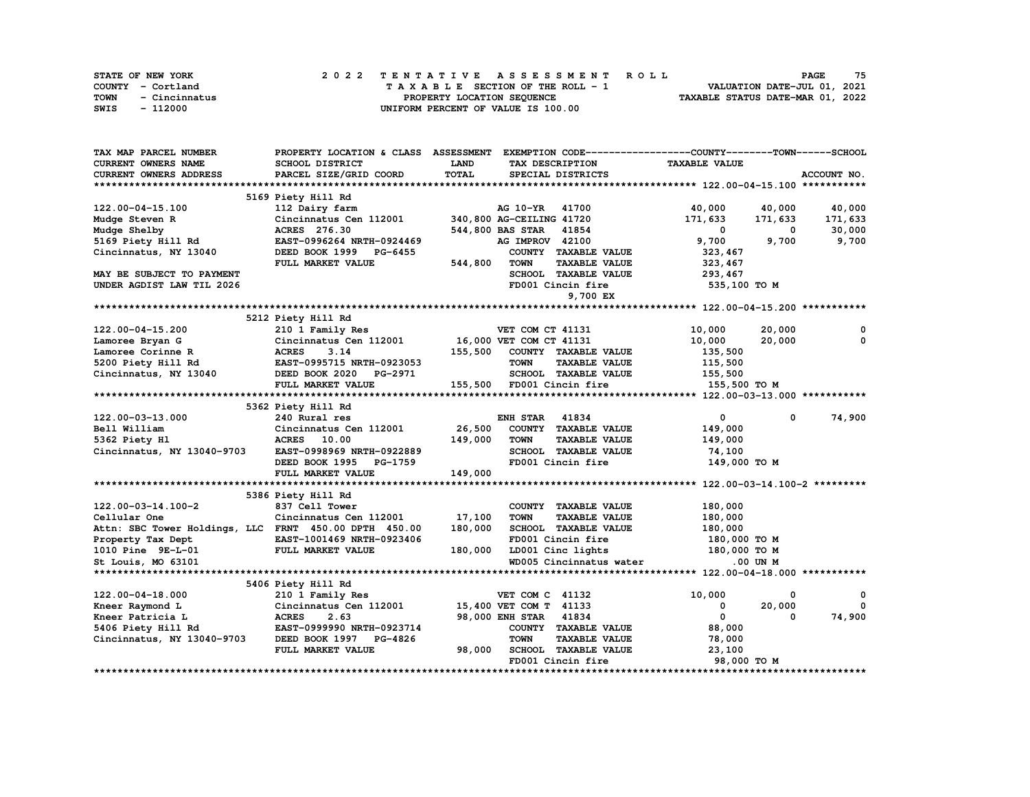|      | <b>STATE OF NEW YORK</b> |  | 2022 TENTATIVE ASSESSMENT ROLL     | PAGE                             | 75 |
|------|--------------------------|--|------------------------------------|----------------------------------|----|
|      | COUNTY - Cortland        |  | TAXABLE SECTION OF THE ROLL - 1    | VALUATION DATE-JUL 01, 2021      |    |
| TOWN | - Cincinnatus            |  | PROPERTY LOCATION SEQUENCE         | TAXABLE STATUS DATE-MAR 01, 2022 |    |
| SWIS | - 112000                 |  | UNIFORM PERCENT OF VALUE IS 100.00 |                                  |    |

| TAX MAP PARCEL NUMBER         |                                                       | PROPERTY LOCATION & CLASS ASSESSMENT EXEMPTION CODE---------------COUNTY-------TOWN------SCHOOL |                                      |
|-------------------------------|-------------------------------------------------------|-------------------------------------------------------------------------------------------------|--------------------------------------|
| CURRENT OWNERS NAME           | SCHOOL DISTRICT                                       | LAND<br>TAX DESCRIPTION                                                                         | <b>TAXABLE VALUE</b>                 |
| <b>CURRENT OWNERS ADDRESS</b> | PARCEL SIZE/GRID COORD                                | <b>TOTAL</b><br>SPECIAL DISTRICTS                                                               | ACCOUNT NO.                          |
|                               |                                                       |                                                                                                 |                                      |
|                               | 5169 Piety Hill Rd                                    |                                                                                                 |                                      |
| 122.00-04-15.100              | 112 Dairy farm                                        | AG 10-YR 41700                                                                                  | 40,000<br>40,000<br>40,000           |
| Mudge Steven R                | Cincinnatus Cen 112001                                | 340,800 AG-CEILING 41720                                                                        | 171,633<br>171,633<br>171,633        |
| Mudge Shelby                  | ACRES 276.30                                          | 544,800 BAS STAR 41854                                                                          | $\mathbf 0$<br>30,000<br>0           |
| 5169 Piety Hill Rd            | EAST-0996264 NRTH-0924469                             | AG IMPROV 42100                                                                                 | 9,700<br>9,700<br>9,700              |
| Cincinnatus, NY 13040         | DEED BOOK 1999 PG-6455                                | COUNTY TAXABLE VALUE                                                                            | 323,467                              |
|                               |                                                       | <b>TOWN</b>                                                                                     |                                      |
|                               | FULL MARKET VALUE                                     | 544,800<br><b>TAXABLE VALUE</b>                                                                 | 323, 467                             |
| MAY BE SUBJECT TO PAYMENT     |                                                       | SCHOOL TAXABLE VALUE                                                                            | 293,467                              |
| UNDER AGDIST LAW TIL 2026     |                                                       | FD001 Cincin fire                                                                               | 535,100 TO M                         |
|                               |                                                       | 9,700 EX                                                                                        |                                      |
|                               |                                                       |                                                                                                 |                                      |
|                               | 5212 Piety Hill Rd                                    |                                                                                                 |                                      |
| 122.00-04-15.200              | 210 1 Family Res                                      | VET COM CT 41131                                                                                | 20,000<br>10,000<br>0                |
| Lamoree Bryan G               | Cincinnatus Cen 112001                                | 16,000 VET COM CT 41131                                                                         | 20,000<br>$\Omega$<br>10,000         |
| Lamoree Corinne R             | <b>ACRES</b><br>3.14                                  | 155,500<br>COUNTY TAXABLE VALUE                                                                 | 135,500                              |
| 5200 Piety Hill Rd            | EAST-0995715 NRTH-0923053                             | <b>TOWN</b><br><b>TAXABLE VALUE</b>                                                             | 115,500                              |
| Cincinnatus, NY 13040         | DEED BOOK 2020 PG-2971                                | SCHOOL TAXABLE VALUE                                                                            | 155,500                              |
|                               | FULL MARKET VALUE                                     | 155,500 FD001 Cincin fire                                                                       | 155,500 TO M                         |
|                               |                                                       |                                                                                                 |                                      |
|                               | 5362 Piety Hill Rd                                    |                                                                                                 |                                      |
| 122.00-03-13.000              | 240 Rural res                                         | 41834<br>ENH STAR                                                                               | 74,900<br>$\mathbf{0}$<br>$^{\circ}$ |
| Bell William                  | Cincinnatus Cen 112001                                | 26,500<br>COUNTY TAXABLE VALUE                                                                  | 149,000                              |
| 5362 Piety Hl                 | <b>ACRES</b> 10.00                                    | 149,000<br><b>TOWN</b><br><b>TAXABLE VALUE</b>                                                  | 149,000                              |
| Cincinnatus, NY 13040-9703    | EAST-0998969 NRTH-0922889                             | SCHOOL TAXABLE VALUE                                                                            | 74,100                               |
|                               | DEED BOOK 1995 PG-1759                                | FD001 Cincin fire                                                                               | 149,000 TO M                         |
|                               | FULL MARKET VALUE                                     | 149,000                                                                                         |                                      |
|                               |                                                       |                                                                                                 |                                      |
|                               |                                                       |                                                                                                 |                                      |
|                               | 5386 Piety Hill Rd                                    |                                                                                                 |                                      |
| 122.00-03-14.100-2            | 837 Cell Tower                                        | COUNTY TAXABLE VALUE                                                                            | 180,000                              |
| Cellular One                  | Cincinnatus Cen 112001                                | 17,100<br><b>TOWN</b><br><b>TAXABLE VALUE</b>                                                   | 180,000                              |
|                               | Attn: SBC Tower Holdings, LLC FRNT 450.00 DPTH 450.00 | 180,000<br>SCHOOL TAXABLE VALUE                                                                 | 180,000                              |
| Property Tax Dept             | EAST-1001469 NRTH-0923406                             | FD001 Cincin fire                                                                               | 180,000 то м                         |
| 1010 Pine 9E-L-01             | FULL MARKET VALUE                                     | LD001 Cinc lights<br>180,000                                                                    | 180,000 TO M                         |
| St Louis, MO 63101            |                                                       | WD005 Cincinnatus water                                                                         | .00 UN M                             |
|                               |                                                       |                                                                                                 |                                      |
|                               | 5406 Piety Hill Rd                                    |                                                                                                 |                                      |
| 122.00-04-18.000              | 210 1 Family Res                                      | VET COM C 41132                                                                                 | 10,000<br>0<br>0                     |
| Kneer Raymond L               | Cincinnatus Cen 112001                                | 15,400 VET COM T 41133                                                                          | 20,000<br>$\Omega$<br>0              |
| Kneer Patricia L              | <b>ACRES</b><br>2.63                                  | 98,000 ENH STAR 41834                                                                           | $\mathbf 0$<br>74,900<br>0           |
| 5406 Piety Hill Rd            | EAST-0999990 NRTH-0923714                             | COUNTY TAXABLE VALUE                                                                            | 88,000                               |
| Cincinnatus, NY 13040-9703    | DEED BOOK 1997 PG-4826                                | <b>TOWN</b><br><b>TAXABLE VALUE</b>                                                             | 78,000                               |
|                               | FULL MARKET VALUE                                     | 98,000<br>SCHOOL TAXABLE VALUE                                                                  | 23,100                               |
|                               |                                                       | FD001 Cincin fire                                                                               | 98,000 TO M                          |
|                               |                                                       |                                                                                                 |                                      |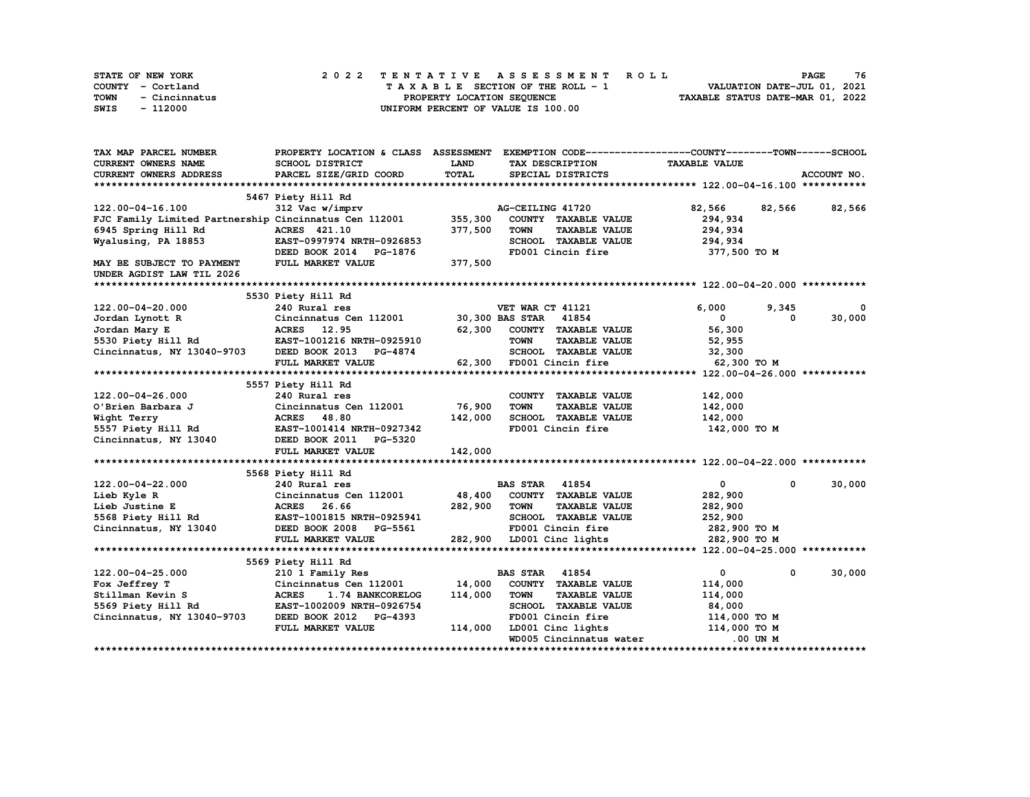| STATE OF NEW YORK     | 2022 TENTATIVE ASSESSMENT ROLL     | 76<br><b>PAGE</b>                |
|-----------------------|------------------------------------|----------------------------------|
| COUNTY - Cortland     | TAXABLE SECTION OF THE ROLL - 1    | VALUATION DATE-JUL 01, 2021      |
| TOWN<br>- Cincinnatus | PROPERTY LOCATION SEQUENCE         | TAXABLE STATUS DATE-MAR 01, 2022 |
| - 112000<br>SWIS      | UNIFORM PERCENT OF VALUE IS 100.00 |                                  |

| TAX MAP PARCEL NUMBER                                                | PROPERTY LOCATION & CLASS ASSESSMENT         |         |                                                             | EXEMPTION CODE-----------------COUNTY-------TOWN------SCHOOL |               |
|----------------------------------------------------------------------|----------------------------------------------|---------|-------------------------------------------------------------|--------------------------------------------------------------|---------------|
| <b>CURRENT OWNERS NAME</b>                                           | SCHOOL DISTRICT                              | LAND    | TAX DESCRIPTION                                             | <b>TAXABLE VALUE</b>                                         |               |
| <b>CURRENT OWNERS ADDRESS</b>                                        | PARCEL SIZE/GRID COORD                       | TOTAL   | SPECIAL DISTRICTS                                           |                                                              | ACCOUNT NO.   |
|                                                                      |                                              |         |                                                             |                                                              |               |
|                                                                      | 5467 Piety Hill Rd                           |         |                                                             |                                                              |               |
| 122.00-04-16.100                                                     | 312 Vac w/imprv                              |         | AG-CEILING 41720                                            | 82,566                                                       | 82,566 82,566 |
| FJC Family Limited Partnership Cincinnatus Cen 112001                |                                              | 355,300 | COUNTY TAXABLE VALUE                                        | 294,934                                                      |               |
| 6945 Spring Hill Rd                                                  | ACRES 421.10                                 | 377,500 | <b>TOWN</b><br><b>TAXABLE VALUE</b>                         | 294,934                                                      |               |
| Wyalusing, PA 18853                                                  | EAST-0997974 NRTH-0926853                    |         | SCHOOL TAXABLE VALUE                                        | 294,934                                                      |               |
|                                                                      | DEED BOOK 2014 PG-1876                       |         | FD001 Cincin fire                                           | 377,500 TO M                                                 |               |
| MAY BE SUBJECT TO PAYMENT                                            | FULL MARKET VALUE                            | 377,500 |                                                             |                                                              |               |
| UNDER AGDIST LAW TIL 2026                                            |                                              |         |                                                             |                                                              |               |
|                                                                      |                                              |         |                                                             |                                                              |               |
|                                                                      | 5530 Piety Hill Rd                           |         |                                                             |                                                              |               |
| 122.00-04-20.000                                                     | 240 Rural res                                |         | VET WAR CT 41121                                            | 6,000<br>9,345                                               | 0             |
| Jordan Lynott R                                                      | Cincinnatus Cen 112001 30,300 BAS STAR 41854 |         |                                                             | $\mathbf{0}$<br>$\Omega$                                     | 30,000        |
| Jordan Mary E                                                        | ACRES 12.95                                  | 62,300  | COUNTY TAXABLE VALUE                                        | 56,300                                                       |               |
| $5530$ Piety Hill Rd<br>$5530$ Piety Hill Rd<br>$2530$ Piety Hill Rd |                                              |         | <b>TOWN</b><br><b>TAXABLE VALUE</b>                         | 52,955                                                       |               |
| Cincinnatus, NY 13040-9703                                           | DEED BOOK 2013<br><b>PG-4874</b>             |         | SCHOOL TAXABLE VALUE                                        | 32,300                                                       |               |
|                                                                      | FULL MARKET VALUE                            |         | 62,300 FD001 Cincin fire                                    | 62,300 TO M                                                  |               |
|                                                                      |                                              |         |                                                             |                                                              |               |
|                                                                      | 5557 Piety Hill Rd                           |         |                                                             |                                                              |               |
|                                                                      | 240 Rural res                                |         |                                                             | 142,000                                                      |               |
| 122.00-04-26.000<br>O'Brien Barbara J                                | Cincinnatus Cen 112001                       | 76,900  | COUNTY TAXABLE VALUE<br><b>TOWN</b><br><b>TAXABLE VALUE</b> |                                                              |               |
|                                                                      |                                              |         |                                                             | 142,000                                                      |               |
| Wight Terry                                                          | ACRES 48.80                                  | 142,000 | SCHOOL TAXABLE VALUE                                        | 142,000                                                      |               |
| 5557 Piety Hill Rd                                                   | EAST-1001414 NRTH-0927342                    |         | FD001 Cincin fire                                           | 142,000 TO M                                                 |               |
| Cincinnatus, NY 13040                                                | DEED BOOK 2011 PG-5320                       |         |                                                             |                                                              |               |
|                                                                      | FULL MARKET VALUE                            | 142,000 |                                                             |                                                              |               |
|                                                                      |                                              |         |                                                             |                                                              |               |
|                                                                      | 5568 Piety Hill Rd                           |         |                                                             |                                                              |               |
| 122.00-04-22.000                                                     | 240 Rural res                                |         | <b>BAS STAR</b> 41854                                       | $\mathbf{0}$<br>$^{\circ}$                                   | 30,000        |
| Lieb Kyle R                                                          | Cincinnatus Cen 112001                       | 48,400  | COUNTY TAXABLE VALUE                                        | 282,900                                                      |               |
| Lieb Justine E                                                       | 26.66<br><b>ACRES</b>                        | 282,900 | <b>TOWN</b><br><b>TAXABLE VALUE</b>                         | 282,900                                                      |               |
| 5568 Piety Hill Rd                                                   | EAST-1001815 NRTH-0925941                    |         | SCHOOL TAXABLE VALUE                                        | 252,900                                                      |               |
| Cincinnatus, NY 13040                                                | DEED BOOK 2008 PG-5561                       |         | FD001 Cincin fire                                           | 282,900 то м                                                 |               |
|                                                                      | FULL MARKET VALUE                            |         | 282,900 LD001 Cinc lights                                   | 282,900 TO M                                                 |               |
|                                                                      |                                              |         |                                                             |                                                              |               |
|                                                                      | 5569 Piety Hill Rd                           |         |                                                             |                                                              |               |
| 122.00-04-25.000                                                     | 210 1 Family Res                             |         | <b>BAS STAR 41854</b>                                       | $\mathbf{0}$<br>0                                            | 30,000        |
| Fox Jeffrey T                                                        | Cincinnatus Cen 112001                       | 14,000  | COUNTY TAXABLE VALUE                                        | 114,000                                                      |               |
| Stillman Kevin S                                                     | <b>ACRES</b><br>1.74 BANKCORELOG             | 114,000 | <b>TOWN</b><br><b>TAXABLE VALUE</b>                         | 114,000                                                      |               |
| 5569 Piety Hill Rd                                                   | EAST-1002009 NRTH-0926754                    |         | SCHOOL TAXABLE VALUE                                        | 84,000                                                       |               |
| Cincinnatus, NY 13040-9703                                           | DEED BOOK 2012 PG-4393                       |         | FD001 Cincin fire                                           | 114,000 TO M                                                 |               |
|                                                                      | FULL MARKET VALUE                            | 114,000 | LD001 Cinc lights                                           | 114,000 TO M                                                 |               |
|                                                                      |                                              |         | WD005 Cincinnatus water                                     | .00 UN M                                                     |               |
|                                                                      |                                              |         |                                                             |                                                              |               |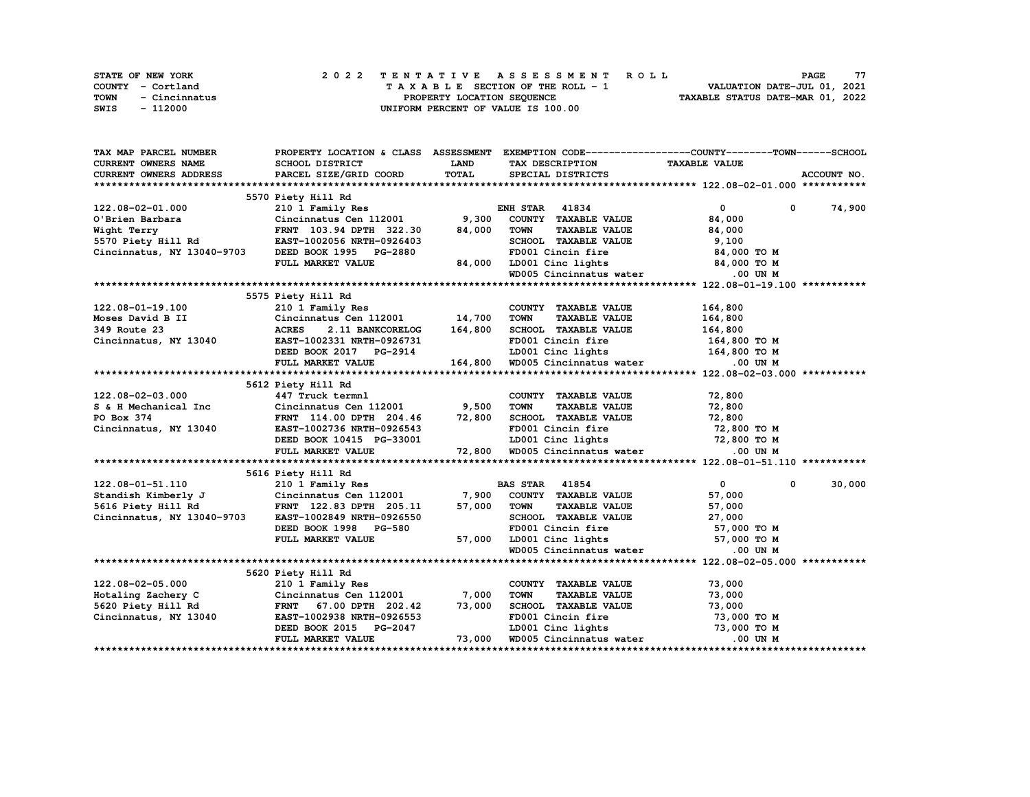| STATE OF NEW YORK     | 2022 TENTATIVE ASSESSMENT ROLL     | 77<br>PAGE                       |
|-----------------------|------------------------------------|----------------------------------|
| COUNTY - Cortland     | TAXABLE SECTION OF THE ROLL - 1    | VALUATION DATE-JUL 01, 2021      |
| TOWN<br>- Cincinnatus | PROPERTY LOCATION SEOUENCE         | TAXABLE STATUS DATE-MAR 01, 2022 |
| SWIS<br>- 112000      | UNIFORM PERCENT OF VALUE IS 100.00 |                                  |

| TAX MAP PARCEL NUMBER                                                                                                                                                                                                                                          |                                                        |         | PROPERTY LOCATION & CLASS ASSESSMENT EXEMPTION CODE----------------COUNTY-------TOWN------SCHOOL |                            |             |
|----------------------------------------------------------------------------------------------------------------------------------------------------------------------------------------------------------------------------------------------------------------|--------------------------------------------------------|---------|--------------------------------------------------------------------------------------------------|----------------------------|-------------|
| CURRENT OWNERS NAME                                                                                                                                                                                                                                            | SCHOOL DISTRICT                                        | LAND    | TAX DESCRIPTION TAXABLE VALUE                                                                    |                            |             |
| CURRENT OWNERS ADDRESS                                                                                                                                                                                                                                         | PARCEL SIZE/GRID COORD                                 | TOTAL   | SPECIAL DISTRICTS                                                                                |                            | ACCOUNT NO. |
|                                                                                                                                                                                                                                                                |                                                        |         |                                                                                                  |                            |             |
|                                                                                                                                                                                                                                                                | 5570 Piety Hill Rd                                     |         |                                                                                                  |                            |             |
| 122.08-02-01.000                                                                                                                                                                                                                                               | 210 1 Family Res<br>210 1 Family Res 60 ENH STAR 41834 |         |                                                                                                  | 0 0 74,900                 |             |
|                                                                                                                                                                                                                                                                | $Cincinnatus$ Cen 112001 9,300                         |         | COUNTY TAXABLE VALUE                                                                             | 84,000                     |             |
|                                                                                                                                                                                                                                                                |                                                        | 84,000  | <b>TOWN</b><br>TAXABLE VALUE                                                                     | 84,000                     |             |
|                                                                                                                                                                                                                                                                |                                                        |         | SCHOOL TAXABLE VALUE                                                                             | 9,100                      |             |
| Cincinnatus, NY 13040-9703 DEED BOOK 1995 PG-2880                                                                                                                                                                                                              |                                                        |         | FD001 Cincin fire 34,000 TO M                                                                    |                            |             |
|                                                                                                                                                                                                                                                                | FULL MARKET VALUE                                      | 84,000  |                                                                                                  |                            |             |
|                                                                                                                                                                                                                                                                |                                                        |         | LD001 Cinc lights 84,000 TO M<br>WD005 Cincinnatus water 0.00 UN M                               |                            |             |
|                                                                                                                                                                                                                                                                |                                                        |         |                                                                                                  |                            |             |
|                                                                                                                                                                                                                                                                | 5575 Piety Hill Rd                                     |         |                                                                                                  |                            |             |
|                                                                                                                                                                                                                                                                |                                                        |         | COUNTY TAXABLE VALUE                                                                             | 164,800                    |             |
|                                                                                                                                                                                                                                                                |                                                        |         | <b>TAXABLE VALUE</b><br><b>TOWN</b>                                                              | 164,800                    |             |
|                                                                                                                                                                                                                                                                |                                                        |         |                                                                                                  |                            |             |
| Moses David B II<br>349 Route 23<br>Cincinnatus Cen 112001<br>349 Route 23<br>Cincinnatus, NY 13040<br>EAST-1002331 NRTH-0926721                                                                                                                               |                                                        |         | SCHOOL TAXABLE VALUE 164,800<br>FD001 Cincin fire 164,800 TO M                                   |                            |             |
|                                                                                                                                                                                                                                                                |                                                        |         | LD001 Cinc lights 164,800 TO M                                                                   |                            |             |
|                                                                                                                                                                                                                                                                | DEED BOOK 2017 PG-2914                                 |         |                                                                                                  |                            |             |
|                                                                                                                                                                                                                                                                | FULL MARKET VALUE                                      | 164,800 | WD005 Cincinnatus water .00 UN M                                                                 |                            |             |
|                                                                                                                                                                                                                                                                |                                                        |         |                                                                                                  |                            |             |
|                                                                                                                                                                                                                                                                | 5612 Piety Hill Rd<br>447 Truck termnl                 |         |                                                                                                  |                            |             |
| 122.08-02-03.000<br>S & H Mechanical Inc                                                                                                                                                                                                                       | Cincinnatus Cen 112001 9,500                           |         | COUNTY TAXABLE VALUE                                                                             | 72,800                     |             |
|                                                                                                                                                                                                                                                                |                                                        |         | TAXABLE VALUE<br><b>TOWN</b>                                                                     | 72,800                     |             |
| PO Box 374                                                                                                                                                                                                                                                     | FRNT 114.00 DPTH 204.46 72,800                         |         | SCHOOL TAXABLE VALUE 72,800                                                                      |                            |             |
| Cincinnatus, NY 13040                                                                                                                                                                                                                                          |                                                        |         | FD001 Cincin fire                                                                                | 72,800 TO M                |             |
|                                                                                                                                                                                                                                                                |                                                        |         |                                                                                                  |                            |             |
|                                                                                                                                                                                                                                                                | FULL MARKET VALUE                                      |         |                                                                                                  |                            |             |
|                                                                                                                                                                                                                                                                |                                                        |         |                                                                                                  |                            |             |
|                                                                                                                                                                                                                                                                | 5616 Piety Hill Rd                                     |         |                                                                                                  |                            |             |
|                                                                                                                                                                                                                                                                |                                                        |         |                                                                                                  | $\mathbf{0}$<br>$^{\circ}$ | 30,000      |
|                                                                                                                                                                                                                                                                |                                                        |         |                                                                                                  | 57,000                     |             |
| $122.08-01-51.110$ 210 I Family Res BAS STAR 41854<br>Standish Kimberly J Cincinnatus Cen 112001 7,900 COUNTY TAXABLE VALUE<br>5616 Piety Hill Rd                                                                                                              |                                                        |         | TAXABLE VALUE                                                                                    | 57,000                     |             |
| Cincinnatus, NY 13040-9703                                                                                                                                                                                                                                     | EAST-1002849 NRTH-0926550                              |         | SCHOOL TAXABLE VALUE $27,000$                                                                    |                            |             |
|                                                                                                                                                                                                                                                                | DEED BOOK 1998 PG-580                                  |         | FD001 Cincin fire                                                                                | 57,000 TO M                |             |
|                                                                                                                                                                                                                                                                | FULL MARKET VALUE                                      |         | 57,000 LD001 Cinc lights 57,000 TO M                                                             |                            |             |
|                                                                                                                                                                                                                                                                |                                                        |         | WD005 Cincinnatus water .00 UN M                                                                 |                            |             |
|                                                                                                                                                                                                                                                                |                                                        |         |                                                                                                  |                            |             |
|                                                                                                                                                                                                                                                                | 5620 Piety Hill Rd                                     |         |                                                                                                  |                            |             |
| 122.08-02-05.000                                                                                                                                                                                                                                               | 210 1 Family Res                                       |         | COUNTY TAXABLE VALUE                                                                             | 73,000                     |             |
| $T = 2$ $T = 3$ $T = 7$ $T = 7$ $T = 7$ $T = 7$ $T = 7$ $T = 7$ $T = 7$ $T = 7$ $T = 7$ $T = 7$ $T = 7$ $T = 7$ $T = 7$ $T = 7$ $T = 7$ $T = 7$ $T = 7$ $T = 7$ $T = 7$ $T = 7$ $T = 7$ $T = 7$ $T = 7$ $T = 7$ $T = 7$ $T = 7$ $T = 7$ $T = 7$ $T = 7$ $T = $ |                                                        |         | <b>TAXABLE VALUE</b><br><b>TOWN</b>                                                              | 73,000                     |             |
| $\sim$ 40<br>5620 Piety Hill Rd                                                                                                                                                                                                                                | FRNT 67.00 DPTH 202.42                                 | 73,000  | SCHOOL TAXABLE VALUE 73,000                                                                      |                            |             |
| Cincinnatus, NY 13040                                                                                                                                                                                                                                          | EAST-1002938 NRTH-0926553                              |         |                                                                                                  |                            |             |
|                                                                                                                                                                                                                                                                | DEED BOOK 2015 PG-2047                                 |         | FD001 Cincin fire 73,000 TO M<br>LD001 Cinc lights 73,000 TO M                                   |                            |             |
|                                                                                                                                                                                                                                                                | FULL MARKET VALUE                                      | 73,000  | WD005 Cincinnatus water .00 UN M                                                                 |                            |             |
|                                                                                                                                                                                                                                                                |                                                        |         |                                                                                                  |                            |             |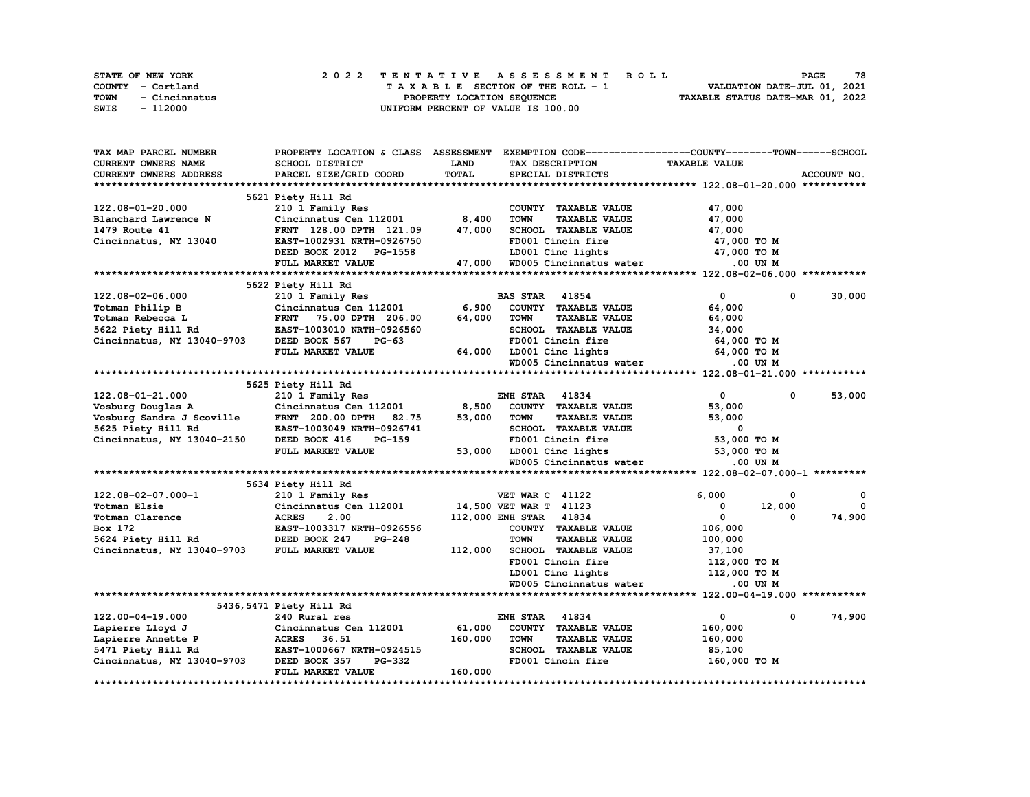| STATE OF NEW YORK     | 2022 TENTATIVE ASSESSMENT ROLL     | 78<br><b>PAGE</b>                |
|-----------------------|------------------------------------|----------------------------------|
| COUNTY - Cortland     | TAXABLE SECTION OF THE ROLL - 1    | VALUATION DATE-JUL 01, 2021      |
| TOWN<br>- Cincinnatus | PROPERTY LOCATION SEQUENCE         | TAXABLE STATUS DATE-MAR 01, 2022 |
| - 112000<br>SWIS      | UNIFORM PERCENT OF VALUE IS 100.00 |                                  |

| TAX MAP PARCEL NUMBER         | PROPERTY LOCATION & CLASS ASSESSMENT |             |                                     | EXEMPTION CODE-----------------COUNTY-------TOWN-----SCHOOL |             |
|-------------------------------|--------------------------------------|-------------|-------------------------------------|-------------------------------------------------------------|-------------|
| CURRENT OWNERS NAME           | SCHOOL DISTRICT                      | <b>LAND</b> | TAX DESCRIPTION                     | <b>TAXABLE VALUE</b>                                        |             |
| <b>CURRENT OWNERS ADDRESS</b> | PARCEL SIZE/GRID COORD               | TOTAL       | SPECIAL DISTRICTS                   |                                                             | ACCOUNT NO. |
|                               |                                      |             |                                     |                                                             |             |
|                               | 5621 Piety Hill Rd                   |             |                                     |                                                             |             |
| 122.08-01-20.000              | 210 1 Family Res                     |             | COUNTY TAXABLE VALUE                | 47,000                                                      |             |
| Blanchard Lawrence N          | Cincinnatus Cen 112001               | 8,400       | <b>TOWN</b><br><b>TAXABLE VALUE</b> | 47,000                                                      |             |
| 1479 Route 41                 | FRNT 128.00 DPTH 121.09              | 47,000      | SCHOOL TAXABLE VALUE                | 47,000                                                      |             |
| Cincinnatus, NY 13040         | EAST-1002931 NRTH-0926750            |             | FD001 Cincin fire                   | 47,000 TO M                                                 |             |
|                               | DEED BOOK 2012 PG-1558               |             | LD001 Cinc lights                   | 47,000 TO M                                                 |             |
|                               | FULL MARKET VALUE                    | 47,000      | WD005 Cincinnatus water             | .00 UN M                                                    |             |
|                               |                                      |             |                                     |                                                             |             |
|                               | 5622 Piety Hill Rd                   |             |                                     |                                                             |             |
| 122.08-02-06.000              | 210 1 Family Res                     |             | 41854<br><b>BAS STAR</b>            | $\mathbf{0}$<br>$\mathbf 0$                                 | 30,000      |
| Totman Philip B               | Cincinnatus Cen 112001               | 6,900       | COUNTY TAXABLE VALUE                | 64,000                                                      |             |
| Totman Rebecca L              | <b>FRNT</b><br>75.00 DPTH 206.00     | 64,000      | <b>TOWN</b><br><b>TAXABLE VALUE</b> | 64,000                                                      |             |
|                               |                                      |             |                                     |                                                             |             |
| 5622 Piety Hill Rd            | EAST-1003010 NRTH-0926560            |             | SCHOOL TAXABLE VALUE                | 34,000                                                      |             |
| Cincinnatus, NY 13040-9703    | DEED BOOK 567<br>$PG-63$             |             | FD001 Cincin fire                   | 64,000 TO M                                                 |             |
|                               | FULL MARKET VALUE                    | 64,000      | LD001 Cinc lights                   | 64,000 TO M                                                 |             |
|                               |                                      |             | WD005 Cincinnatus water             | .00 UN M                                                    |             |
|                               |                                      |             |                                     |                                                             |             |
|                               | 5625 Piety Hill Rd                   |             |                                     |                                                             |             |
| 122.08-01-21.000              | 210 1 Family Res                     |             | <b>ENH STAR</b><br>41834            | $\mathbf{0}$<br>$\mathbf{0}$                                | 53,000      |
| Vosburg Douglas A             | Cincinnatus Cen 112001               | 8,500       | COUNTY TAXABLE VALUE                | 53,000                                                      |             |
| Vosburg Sandra J Scoville     | <b>FRNT</b> 200.00 DPTH<br>82.75     | 53,000      | <b>TOWN</b><br><b>TAXABLE VALUE</b> | 53,000                                                      |             |
| 5625 Piety Hill Rd            | EAST-1003049 NRTH-0926741            |             | SCHOOL TAXABLE VALUE                | 0                                                           |             |
| Cincinnatus, NY 13040-2150    | DEED BOOK 416<br><b>PG-159</b>       |             | FD001 Cincin fire                   | 53,000 TO M                                                 |             |
|                               | FULL MARKET VALUE                    |             | 53,000 LD001 Cinc lights            | 53,000 TO M                                                 |             |
|                               |                                      |             | WD005 Cincinnatus water             | $.00$ UN $M$                                                |             |
|                               |                                      |             |                                     |                                                             |             |
|                               | 5634 Piety Hill Rd                   |             |                                     |                                                             |             |
| 122.08-02-07.000-1            | 210 1 Family Res                     |             | <b>VET WAR C 41122</b>              | 6,000<br>0                                                  | 0           |
| Totman Elsie                  | Cincinnatus Cen 112001               |             | 14,500 VET WAR T 41123              | 0<br>12,000                                                 | 0           |
| Totman Clarence               | <b>ACRES</b><br>2.00                 |             | 41834<br><b>112,000 ENH STAR</b>    | 0<br>$\Omega$                                               | 74,900      |
| Box 172                       | EAST-1003317 NRTH-0926556            |             | COUNTY TAXABLE VALUE                | 106,000                                                     |             |
| 5624 Piety Hill Rd            | DEED BOOK 247<br>PG-248              |             | <b>TOWN</b><br><b>TAXABLE VALUE</b> | 100,000                                                     |             |
| Cincinnatus, NY 13040-9703    | FULL MARKET VALUE                    | 112,000     | SCHOOL TAXABLE VALUE                | 37,100                                                      |             |
|                               |                                      |             | FD001 Cincin fire                   | 112,000 TO M                                                |             |
|                               |                                      |             | LD001 Cinc lights                   | 112,000 TO M                                                |             |
|                               |                                      |             | WD005 Cincinnatus water             | .00 UN M                                                    |             |
|                               |                                      |             |                                     |                                                             |             |
|                               | 5436, 5471 Piety Hill Rd             |             |                                     |                                                             |             |
| 122.00-04-19.000              | 240 Rural res                        |             | ENH STAR<br>41834                   | 0<br>0                                                      | 74,900      |
|                               | Cincinnatus Cen 112001               | 61,000      | COUNTY TAXABLE VALUE                | 160,000                                                     |             |
| Lapierre Lloyd J              |                                      |             | <b>TOWN</b><br><b>TAXABLE VALUE</b> |                                                             |             |
| Lapierre Annette P            | ACRES 36.51                          | 160,000     |                                     | 160,000                                                     |             |
| 5471 Piety Hill Rd            | EAST-1000667 NRTH-0924515            |             | SCHOOL TAXABLE VALUE                | 85,100                                                      |             |
| Cincinnatus, NY 13040-9703    | DEED BOOK 357<br>PG-332              |             | FD001 Cincin fire                   | 160,000 TO M                                                |             |
|                               | FULL MARKET VALUE                    | 160,000     |                                     |                                                             |             |
|                               |                                      |             |                                     |                                                             |             |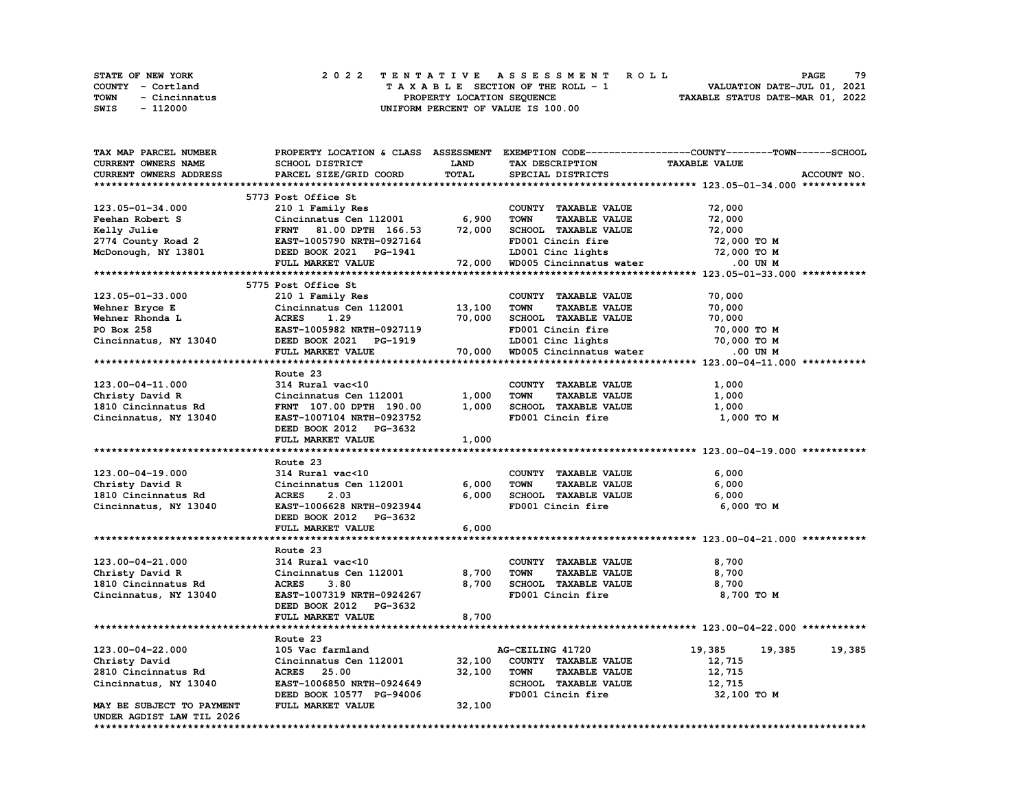|      | <b>STATE OF NEW YORK</b> | 2022 TENTATIVE ASSESSMENT ROLL     | 79<br>PAGE                       |
|------|--------------------------|------------------------------------|----------------------------------|
|      | COUNTY - Cortland        | TAXABLE SECTION OF THE ROLL - 1    | VALUATION DATE-JUL 01, 2021      |
| TOWN | - Cincinnatus            | PROPERTY LOCATION SEQUENCE         | TAXABLE STATUS DATE-MAR 01, 2022 |
| SWIS | - 112000                 | UNIFORM PERCENT OF VALUE IS 100.00 |                                  |

| <b>TAX MAP PARCEL NUMBER</b> |                           |        | PROPERTY LOCATION & CLASS ASSESSMENT EXEMPTION CODE----------------COUNTY-------TOWN------SCHOOL |                      |             |
|------------------------------|---------------------------|--------|--------------------------------------------------------------------------------------------------|----------------------|-------------|
| CURRENT OWNERS NAME          | SCHOOL DISTRICT           | LAND   | TAX DESCRIPTION                                                                                  | <b>TAXABLE VALUE</b> |             |
| CURRENT OWNERS ADDRESS       | PARCEL SIZE/GRID COORD    | TOTAL  | SPECIAL DISTRICTS                                                                                |                      | ACCOUNT NO. |
|                              |                           |        |                                                                                                  |                      |             |
|                              | 5773 Post Office St       |        |                                                                                                  |                      |             |
| 123.05-01-34.000             | 210 1 Family Res          |        | COUNTY TAXABLE VALUE                                                                             | 72,000               |             |
| Feehan Robert S              | Cincinnatus Cen 112001    | 6,900  | <b>TAXABLE VALUE</b><br><b>TOWN</b>                                                              | 72,000               |             |
|                              |                           |        |                                                                                                  |                      |             |
| Kelly Julie                  | FRNT 81.00 DPTH 166.53    | 72,000 | SCHOOL TAXABLE VALUE                                                                             | 72,000               |             |
| 2774 County Road 2           | EAST-1005790 NRTH-0927164 |        | FD001 Cincin fire                                                                                | 72,000 TO M          |             |
| McDonough, NY 13801          | DEED BOOK 2021 PG-1941    |        | LD001 Cinc lights<br>www.cincingts<br>WD005 Cincinnatus water                                    | 72,000 TO M          |             |
|                              | FULL MARKET VALUE         | 72,000 |                                                                                                  | .00 UN M             |             |
|                              |                           |        |                                                                                                  |                      |             |
|                              | 5775 Post Office St       |        |                                                                                                  |                      |             |
| 123.05-01-33.000             | 210 1 Family Res          |        | COUNTY TAXABLE VALUE                                                                             | 70,000               |             |
| Wehner Bryce E               | Cincinnatus Cen 112001    | 13,100 | <b>TAXABLE VALUE</b><br><b>TOWN</b>                                                              | 70,000               |             |
| Wehner Rhonda L              | <b>ACRES</b><br>1.29      | 70,000 | SCHOOL TAXABLE VALUE                                                                             | 70,000               |             |
| PO Box 258                   | EAST-1005982 NRTH-0927119 |        | FD001 Cincin fire                                                                                | 70,000 TO M          |             |
| Cincinnatus, NY 13040        | DEED BOOK 2021 PG-1919    |        | LD001 Cinc lights                                                                                | 70,000 TO M          |             |
|                              | FULL MARKET VALUE         | 70,000 | WD005 Cincinnatus water                                                                          | .00 UN M             |             |
|                              |                           |        |                                                                                                  |                      |             |
|                              |                           |        |                                                                                                  |                      |             |
|                              | Route 23                  |        |                                                                                                  |                      |             |
| 123.00-04-11.000             | 314 Rural vac<10          |        | COUNTY TAXABLE VALUE                                                                             | 1,000                |             |
| Christy David R              | Cincinnatus Cen 112001    | 1,000  | <b>TOWN</b><br><b>TAXABLE VALUE</b>                                                              | 1,000                |             |
| 1810 Cincinnatus Rd          | FRNT 107.00 DPTH 190.00   | 1,000  | SCHOOL TAXABLE VALUE                                                                             | 1,000                |             |
| Cincinnatus, NY 13040        | EAST-1007104 NRTH-0923752 |        | FD001 Cincin fire                                                                                | 1,000 TO M           |             |
|                              | DEED BOOK 2012 PG-3632    |        |                                                                                                  |                      |             |
|                              | FULL MARKET VALUE         | 1,000  |                                                                                                  |                      |             |
|                              |                           |        |                                                                                                  |                      |             |
|                              | Route 23                  |        |                                                                                                  |                      |             |
| $123.00 - 04 - 19.000$       | 314 Rural vac<10          |        | COUNTY TAXABLE VALUE                                                                             | 6,000                |             |
| Christy David R              | Cincinnatus Cen 112001    | 6,000  | <b>TOWN</b><br><b>TAXABLE VALUE</b>                                                              | 6,000                |             |
|                              | <b>ACRES</b><br>2.03      | 6.000  |                                                                                                  | 6,000                |             |
| 1810 Cincinnatus Rd          |                           |        | SCHOOL TAXABLE VALUE                                                                             |                      |             |
| Cincinnatus, NY 13040        | EAST-1006628 NRTH-0923944 |        | FD001 Cincin fire                                                                                | 6,000 TO M           |             |
|                              | DEED BOOK 2012 PG-3632    |        |                                                                                                  |                      |             |
|                              | FULL MARKET VALUE         | 6,000  |                                                                                                  |                      |             |
|                              |                           |        |                                                                                                  |                      |             |
|                              | Route 23                  |        |                                                                                                  |                      |             |
| 123.00-04-21.000             | 314 Rural vac<10          |        | COUNTY TAXABLE VALUE                                                                             | 8,700                |             |
| Christy David R              | Cincinnatus Cen 112001    | 8,700  | <b>TOWN</b><br><b>TAXABLE VALUE</b>                                                              | 8,700                |             |
| 1810 Cincinnatus Rd          | <b>ACRES</b><br>3.80      | 8,700  | SCHOOL TAXABLE VALUE                                                                             | 8,700                |             |
| Cincinnatus, NY 13040        | EAST-1007319 NRTH-0924267 |        | FD001 Cincin fire                                                                                | 8,700 TO M           |             |
|                              | DEED BOOK 2012 PG-3632    |        |                                                                                                  |                      |             |
|                              |                           |        |                                                                                                  |                      |             |
|                              | FULL MARKET VALUE         | 8,700  |                                                                                                  |                      |             |
|                              |                           |        |                                                                                                  |                      |             |
|                              | Route 23                  |        |                                                                                                  |                      |             |
| 123.00-04-22.000             | 105 Vac farmland          |        | AG-CEILING 41720                                                                                 | 19,385<br>19,385     | 19,385      |
| Christy David                | Cincinnatus Cen 112001    | 32,100 | COUNTY TAXABLE VALUE                                                                             | 12,715               |             |
| 2810 Cincinnatus Rd          | <b>ACRES</b><br>25.00     | 32,100 | <b>TOWN</b><br><b>TAXABLE VALUE</b>                                                              | 12,715               |             |
| Cincinnatus, NY 13040        | EAST-1006850 NRTH-0924649 |        | SCHOOL TAXABLE VALUE                                                                             | 12,715               |             |
|                              | DEED BOOK 10577 PG-94006  |        | FD001 Cincin fire                                                                                | 32,100 TO M          |             |
| MAY BE SUBJECT TO PAYMENT    | FULL MARKET VALUE         | 32,100 |                                                                                                  |                      |             |
| UNDER AGDIST LAW TIL 2026    |                           |        |                                                                                                  |                      |             |
|                              |                           |        |                                                                                                  |                      |             |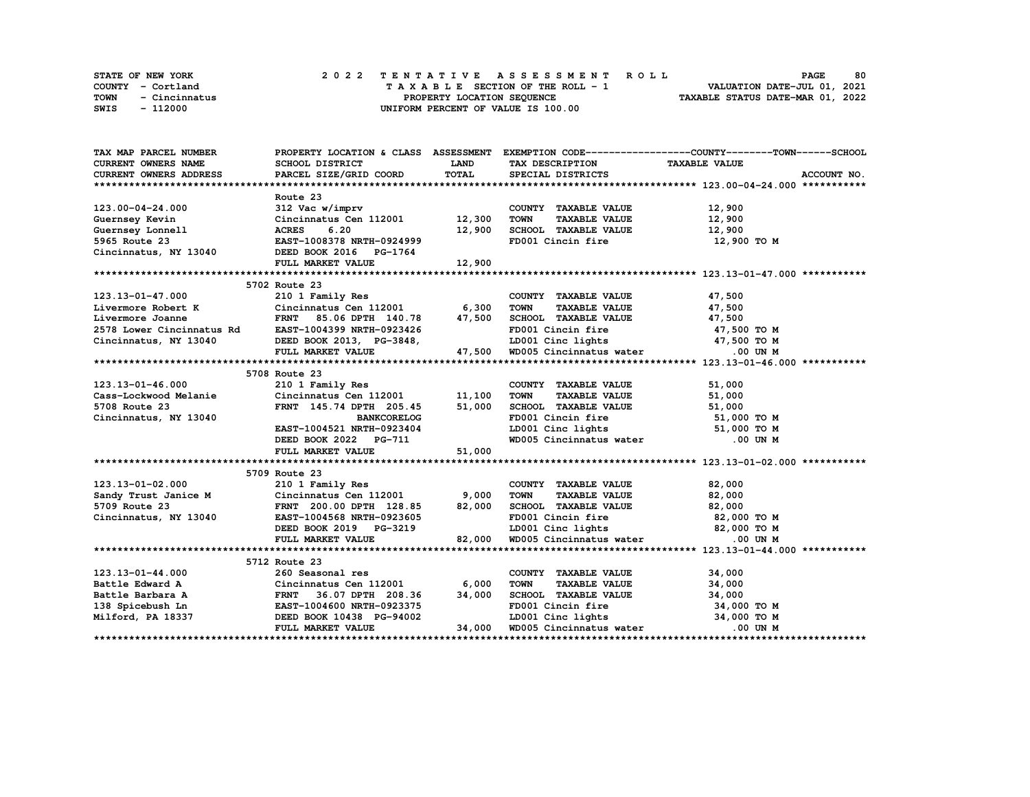|      | STATE OF NEW YORK | 2022 TENTATIVE ASSESSMENT ROLL     | 80<br><b>PAGE</b>                |
|------|-------------------|------------------------------------|----------------------------------|
|      | COUNTY - Cortland | TAXABLE SECTION OF THE ROLL - 1    | VALUATION DATE-JUL 01, 2021      |
| TOWN | - Cincinnatus     | PROPERTY LOCATION SEOUENCE         | TAXABLE STATUS DATE-MAR 01, 2022 |
| SWIS | - 112000          | UNIFORM PERCENT OF VALUE IS 100.00 |                                  |

| TAX MAP PARCEL NUMBER                                                                                                                                                                                                          |                                                       |              |                                                                                                     | PROPERTY LOCATION & CLASS ASSESSMENT EXEMPTION CODE-----------------COUNTY-------TOWN-----SCHOOL |
|--------------------------------------------------------------------------------------------------------------------------------------------------------------------------------------------------------------------------------|-------------------------------------------------------|--------------|-----------------------------------------------------------------------------------------------------|--------------------------------------------------------------------------------------------------|
| CURRENT OWNERS NAME                                                                                                                                                                                                            | SCHOOL DISTRICT                                       | LAND         | TAX DESCRIPTION TAXABLE VALUE                                                                       |                                                                                                  |
| CURRENT OWNERS ADDRESS                                                                                                                                                                                                         | PARCEL SIZE/GRID COORD                                | <b>TOTAL</b> | SPECIAL DISTRICTS                                                                                   | ACCOUNT NO.                                                                                      |
|                                                                                                                                                                                                                                |                                                       |              |                                                                                                     |                                                                                                  |
|                                                                                                                                                                                                                                | Route 23                                              |              |                                                                                                     |                                                                                                  |
| 123.00-04-24.000                                                                                                                                                                                                               | 312 Vac w/imprv                                       |              | COUNTY TAXABLE VALUE                                                                                |                                                                                                  |
| Guernsey Kevin                                                                                                                                                                                                                 | $Cincinnatus$ Cen 112001 12,300                       |              | <b>TOWN</b><br><b>TAXABLE VALUE</b>                                                                 | 12,900<br>12,900                                                                                 |
| Guernsey Lonnell                                                                                                                                                                                                               | 6.20<br><b>ACRES</b>                                  | 12,900       | SCHOOL TAXABLE VALUE 12,900                                                                         |                                                                                                  |
|                                                                                                                                                                                                                                |                                                       |              | FD001 Cincin fire                                                                                   | 12,900 TO M                                                                                      |
| 5965 Route 23 EAST-1008378 NRTH-0924999<br>Cincinnatus, NY 13040 DEED BOOK 2016 PG-1764                                                                                                                                        |                                                       |              |                                                                                                     |                                                                                                  |
|                                                                                                                                                                                                                                | FULL MARKET VALUE                                     | 12,900       |                                                                                                     |                                                                                                  |
|                                                                                                                                                                                                                                |                                                       |              |                                                                                                     |                                                                                                  |
|                                                                                                                                                                                                                                | 5702 Route 23                                         |              |                                                                                                     |                                                                                                  |
| 123.13-01-47.000                                                                                                                                                                                                               | 210 1 Family Res                                      |              | COUNTY TAXABLE VALUE 47,500                                                                         |                                                                                                  |
|                                                                                                                                                                                                                                | Cincinnatus Cen 112001 6,300                          |              | <b>TOWN</b><br><b>TAXABLE VALUE</b>                                                                 | 47,500                                                                                           |
| Livermore Robert K Cincinnatus Cen 112001 6,300<br>Livermore Joanne FRNT 85.06 DPTH 140.78 47,500<br>2578 Lower Cincinnatus Rd EAST-1004399 NRTH-0923426                                                                       |                                                       |              |                                                                                                     | 47,500                                                                                           |
|                                                                                                                                                                                                                                |                                                       |              | SCHOOL TAXABLE VALUE<br>FD001 Cincin fire                                                           | 47,500 TO M                                                                                      |
|                                                                                                                                                                                                                                |                                                       |              |                                                                                                     |                                                                                                  |
| 2578 Lower Cincinnatus Rd EAST-1004399 NRTH-0923426 FD001 Cincin fire 47,500 TO M<br>Cincinnatus, NY 13040 DEED BOOK 2013, PG-3848, LD001 Cinc lights 47,500 TO M<br>FULL MARKET VALUE 47,500 WD005 Cincinnatus water .00 UN M |                                                       |              |                                                                                                     |                                                                                                  |
|                                                                                                                                                                                                                                |                                                       |              |                                                                                                     |                                                                                                  |
|                                                                                                                                                                                                                                | 5708 Route 23                                         |              |                                                                                                     |                                                                                                  |
|                                                                                                                                                                                                                                |                                                       |              | COUNTY TAXABLE VALUE                                                                                | 51,000                                                                                           |
| Cass-Lockwood Melanie<br>5708 Route 23                                                                                                                                                                                         | 210 1 Family Res<br>Cincinnatus Cen 112001     11,100 |              | <b>TOWN</b><br><b>TAXABLE VALUE</b>                                                                 | 51,000                                                                                           |
| 5708 Route 23                                                                                                                                                                                                                  | FRNT 145.74 DPTH 205.45                               | 51,000       | SCHOOL TAXABLE VALUE                                                                                | 51,000                                                                                           |
| Cincinnatus, NY 13040                                                                                                                                                                                                          | <b>BANKCORELOG</b>                                    |              |                                                                                                     |                                                                                                  |
|                                                                                                                                                                                                                                | EAST-1004521 NRTH-0923404                             |              |                                                                                                     |                                                                                                  |
|                                                                                                                                                                                                                                | DEED BOOK 2022 PG-711                                 |              | FD001 Cincin fire 51,000 TO M<br>LD001 Cinc lights 51,000 TO M<br>WD005 Cincinnatus water 0.00 UN M |                                                                                                  |
|                                                                                                                                                                                                                                | FULL MARKET VALUE                                     | 51,000       |                                                                                                     |                                                                                                  |
|                                                                                                                                                                                                                                |                                                       |              |                                                                                                     |                                                                                                  |
|                                                                                                                                                                                                                                | 5709 Route 23                                         |              |                                                                                                     |                                                                                                  |
|                                                                                                                                                                                                                                | 210 1 Family Res                                      |              | COUNTY TAXABLE VALUE                                                                                | 82,000                                                                                           |
|                                                                                                                                                                                                                                | Cincinnatus Cen $112001$ 9,000                        |              | TOWN<br><b>TAXABLE VALUE</b>                                                                        | 82,000                                                                                           |
| 123.13-01-02.000<br>Sandy Trust Janice M<br>5709 Route 23                                                                                                                                                                      | FRNT 200.00 DPTH 128.85                               | 82,000       | SCHOOL TAXABLE VALUE 82,000                                                                         |                                                                                                  |
| Cincinnatus, NY 13040                                                                                                                                                                                                          | EAST-1004568 NRTH-0923605                             |              | FD001 Cincin fire 32,000 TO M<br>LD001 Cinc lights 32,000 TO M                                      |                                                                                                  |
|                                                                                                                                                                                                                                | DEED BOOK 2019 PG-3219                                |              |                                                                                                     |                                                                                                  |
|                                                                                                                                                                                                                                | FULL MARKET VALUE                                     | 82,000       | LD001 Cinc lights<br>WD005 Cincinnatus water                                                        | .00 UN M                                                                                         |
|                                                                                                                                                                                                                                |                                                       |              |                                                                                                     |                                                                                                  |
|                                                                                                                                                                                                                                | 5712 Route 23                                         |              |                                                                                                     |                                                                                                  |
| 123.13-01-44.000                                                                                                                                                                                                               | 260 Seasonal res                                      |              | COUNTY TAXABLE VALUE                                                                                | 34,000                                                                                           |
|                                                                                                                                                                                                                                |                                                       |              | <b>TOWN</b><br><b>TAXABLE VALUE</b>                                                                 | 34,000                                                                                           |
|                                                                                                                                                                                                                                |                                                       |              | SCHOOL TAXABLE VALUE                                                                                | 34,000                                                                                           |
|                                                                                                                                                                                                                                |                                                       |              | FD001 Cincin fire                                                                                   | 34,000 TO M                                                                                      |
| Milford, PA 18337                                                                                                                                                                                                              | DEED BOOK 10438 PG-94002                              |              | LD001 Cinc lights $34,000$ TO M                                                                     |                                                                                                  |
|                                                                                                                                                                                                                                | FULL MARKET VALUE                                     |              | 34,000 WD005 Cincinnatus water                                                                      | .00 UN M                                                                                         |
|                                                                                                                                                                                                                                |                                                       |              |                                                                                                     |                                                                                                  |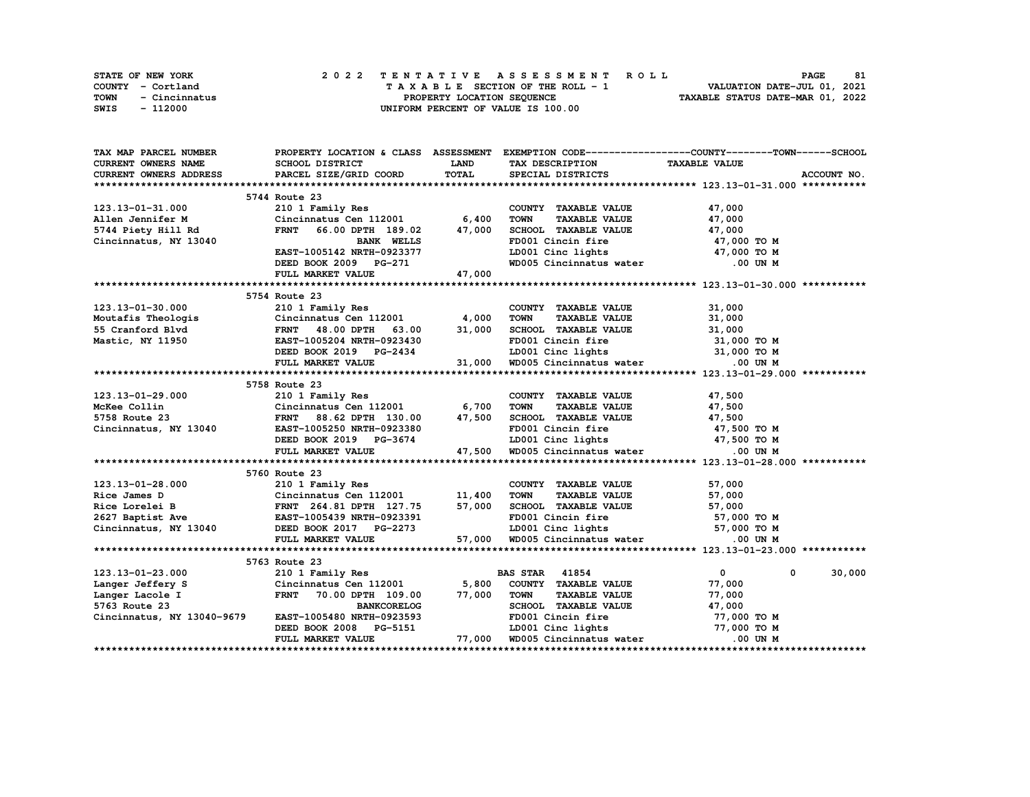| STATE OF NEW YORK     | 2022 TENTATIVE ASSESSMENT ROLL     | 81<br><b>PAGE</b>                |
|-----------------------|------------------------------------|----------------------------------|
| COUNTY - Cortland     | TAXABLE SECTION OF THE ROLL - 1    | VALUATION DATE-JUL 01, 2021      |
| TOWN<br>- Cincinnatus | PROPERTY LOCATION SEOUENCE         | TAXABLE STATUS DATE-MAR 01, 2022 |
| SWIS<br>- 112000      | UNIFORM PERCENT OF VALUE IS 100.00 |                                  |

| TAX MAP PARCEL NUMBER                                                                                                                                                                                                                    |                                                   |              |                                                                                                                                                                        | PROPERTY LOCATION & CLASS ASSESSMENT EXEMPTION CODE-----------------COUNTY-------TOWN-----SCHOOL |
|------------------------------------------------------------------------------------------------------------------------------------------------------------------------------------------------------------------------------------------|---------------------------------------------------|--------------|------------------------------------------------------------------------------------------------------------------------------------------------------------------------|--------------------------------------------------------------------------------------------------|
| <b>CURRENT OWNERS NAME</b>                                                                                                                                                                                                               | SCHOOL DISTRICT                                   | <b>LAND</b>  | TAX DESCRIPTION TAXABLE VALUE                                                                                                                                          |                                                                                                  |
| <b>CURRENT OWNERS ADDRESS</b>                                                                                                                                                                                                            | PARCEL SIZE/GRID COORD                            | <b>TOTAL</b> | SPECIAL DISTRICTS                                                                                                                                                      | ACCOUNT NO.                                                                                      |
|                                                                                                                                                                                                                                          |                                                   |              |                                                                                                                                                                        |                                                                                                  |
|                                                                                                                                                                                                                                          | 5744 Route 23                                     |              |                                                                                                                                                                        |                                                                                                  |
| 123.13-01-31.000                                                                                                                                                                                                                         | 210 1 Family Res<br>Cincinnatus Cen 112001 6,400  |              | COUNTY TAXABLE VALUE                                                                                                                                                   | 47,000                                                                                           |
| Allen Jennifer M                                                                                                                                                                                                                         |                                                   |              | TAXABLE VALUE 47,000<br><b>TOWN</b>                                                                                                                                    |                                                                                                  |
| 5744 Piety Hill Rd                                                                                                                                                                                                                       | FRNT 66.00 DPTH 189.02 47,000                     |              | SCHOOL TAXABLE VALUE 47,000                                                                                                                                            |                                                                                                  |
| Cincinnatus, NY 13040                                                                                                                                                                                                                    | <b>BANK WELLS</b>                                 |              | FD001 Cincin fire                                                                                                                                                      | 47,000 TO M                                                                                      |
|                                                                                                                                                                                                                                          | EAST-1005142 NRTH-0923377                         |              | LD001 Cinc lights 47,000 TO M                                                                                                                                          |                                                                                                  |
|                                                                                                                                                                                                                                          |                                                   |              | WD005 Cincinnatus water .00 UN M                                                                                                                                       |                                                                                                  |
|                                                                                                                                                                                                                                          | DEED BOOK 2009 PG-271<br>FULL MARKET VALUE 47,000 |              |                                                                                                                                                                        |                                                                                                  |
|                                                                                                                                                                                                                                          |                                                   |              |                                                                                                                                                                        |                                                                                                  |
|                                                                                                                                                                                                                                          | 5754 Route 23                                     |              |                                                                                                                                                                        |                                                                                                  |
| 123.13-01-30.000                                                                                                                                                                                                                         | 210 1 Family Res                                  |              | COUNTY TAXABLE VALUE                                                                                                                                                   | 31,000                                                                                           |
|                                                                                                                                                                                                                                          |                                                   |              |                                                                                                                                                                        |                                                                                                  |
|                                                                                                                                                                                                                                          |                                                   |              |                                                                                                                                                                        |                                                                                                  |
|                                                                                                                                                                                                                                          |                                                   |              |                                                                                                                                                                        |                                                                                                  |
| Moutafis Theologis Cincinnatus Cen 112001 4,000 TOWN TAXABLE VALUE 31,000<br>Mastic, NY 11950 EAST-1005204 NRTH-0923430 FD001 Cincin fire 31,000 TOWN SCHOOL TAXABLE VALUE<br>Mastic, NY 11950 EAST-1005204 NRTH-0923430 FD001 Cin       |                                                   |              |                                                                                                                                                                        |                                                                                                  |
|                                                                                                                                                                                                                                          |                                                   |              |                                                                                                                                                                        |                                                                                                  |
|                                                                                                                                                                                                                                          |                                                   |              |                                                                                                                                                                        |                                                                                                  |
|                                                                                                                                                                                                                                          |                                                   |              |                                                                                                                                                                        |                                                                                                  |
| 123.13-01-29.000<br>McKee Collin Cincinnatus Cen 112001 6,700<br>5758 Route 23 FRNT 88.62 DPTH 130.00 47,500<br>Cincinnatus, NY 13040 EAST-1005250 NRTH-0923380<br>DEED BOOK 2019 PG-3674<br>THE 131.00 CENTER SOURCED BOOK 2019 PG-3674 | 5758 Route 23                                     |              |                                                                                                                                                                        |                                                                                                  |
|                                                                                                                                                                                                                                          |                                                   |              | COUNTY TAXABLE VALUE 47,500<br>TAXABLE VALUE 47,500                                                                                                                    |                                                                                                  |
|                                                                                                                                                                                                                                          |                                                   |              | TOWN                                                                                                                                                                   |                                                                                                  |
|                                                                                                                                                                                                                                          |                                                   |              |                                                                                                                                                                        |                                                                                                  |
|                                                                                                                                                                                                                                          |                                                   |              |                                                                                                                                                                        |                                                                                                  |
|                                                                                                                                                                                                                                          |                                                   |              |                                                                                                                                                                        |                                                                                                  |
|                                                                                                                                                                                                                                          | FULL MARKET VALUE                                 |              | 130.00 17,500 SCHOOL TAXABLE VALUE 47,500<br>-0923380 FD001 Cincin fire 47,500 TO M<br>2G-3674 LD001 Cinc lights 47,500 TO M<br>47,500 MD005 Cincinnatus water 00 UN M |                                                                                                  |
|                                                                                                                                                                                                                                          |                                                   |              |                                                                                                                                                                        |                                                                                                  |
|                                                                                                                                                                                                                                          | 5760 Route 23                                     |              |                                                                                                                                                                        |                                                                                                  |
|                                                                                                                                                                                                                                          |                                                   |              | COUNTY TAXABLE VALUE 57,000<br>TOWN TAXABLE VALUE 57,000                                                                                                               |                                                                                                  |
|                                                                                                                                                                                                                                          |                                                   |              |                                                                                                                                                                        |                                                                                                  |
|                                                                                                                                                                                                                                          |                                                   |              | SCHOOL TAXABLE VALUE 57,000                                                                                                                                            |                                                                                                  |
|                                                                                                                                                                                                                                          |                                                   |              |                                                                                                                                                                        |                                                                                                  |
| 123.13-01-28.000 210 1 Family Res<br>Rice James D Cincinnatus Cen 112001 11,400<br>Rice Lorelei B FRNT 264.81 DPTH 127.75 57,000<br>2627 Baptist Ave EAST-1005439 NRTH-0923391<br>Cincinnatus, NY 13040 DEED BOOK 2017 PG-2273           |                                                   |              |                                                                                                                                                                        |                                                                                                  |
|                                                                                                                                                                                                                                          | FULL MARKET VALUE                                 |              | 0923391 FD001 Cincin fire 57,000 TO M<br>RG-2273 ID001 Cinc lights 57,000 TO M<br>57,000 WD005 Cincinnatus water 0.00 UN M                                             |                                                                                                  |
|                                                                                                                                                                                                                                          |                                                   |              |                                                                                                                                                                        |                                                                                                  |
|                                                                                                                                                                                                                                          |                                                   |              |                                                                                                                                                                        |                                                                                                  |
| 123.13-01-23.000 210 1 Family Res<br>Langer Jeffery S Cincinnatus Cen 112001 5,800 COUNTY TAXABLE VALUE<br>Langer Lacole I FRNT 70.00 DPTH 109.00 77,000 TOWN TAXABLE VALUE<br>5763 Route 23 BANKCORELOG SCHOOL SCHOOL SCHOOL SCHOO      |                                                   |              |                                                                                                                                                                        | $\overline{\mathbf{0}}$<br>30,000<br>$\mathbf{0}$                                                |
|                                                                                                                                                                                                                                          |                                                   |              |                                                                                                                                                                        | 77,000                                                                                           |
|                                                                                                                                                                                                                                          |                                                   |              | <b>TAXABLE VALUE</b>                                                                                                                                                   | 77,000                                                                                           |
| 5763 Route 23 BANKCORELOG<br>Cincinnatus, NY 13040-9679 EAST-1005480 NRTH-0923593                                                                                                                                                        |                                                   |              | SCHOOL TAXABLE VALUE 47,000<br>FD001 Cincin fire 77,000 TO M                                                                                                           |                                                                                                  |
|                                                                                                                                                                                                                                          |                                                   |              |                                                                                                                                                                        |                                                                                                  |
|                                                                                                                                                                                                                                          | DEED BOOK 2008 PG-5151                            |              |                                                                                                                                                                        |                                                                                                  |
|                                                                                                                                                                                                                                          | FULL MARKET VALUE                                 |              | 77,000 WD005 Cincinnatus water                                                                                                                                         |                                                                                                  |
|                                                                                                                                                                                                                                          |                                                   |              |                                                                                                                                                                        |                                                                                                  |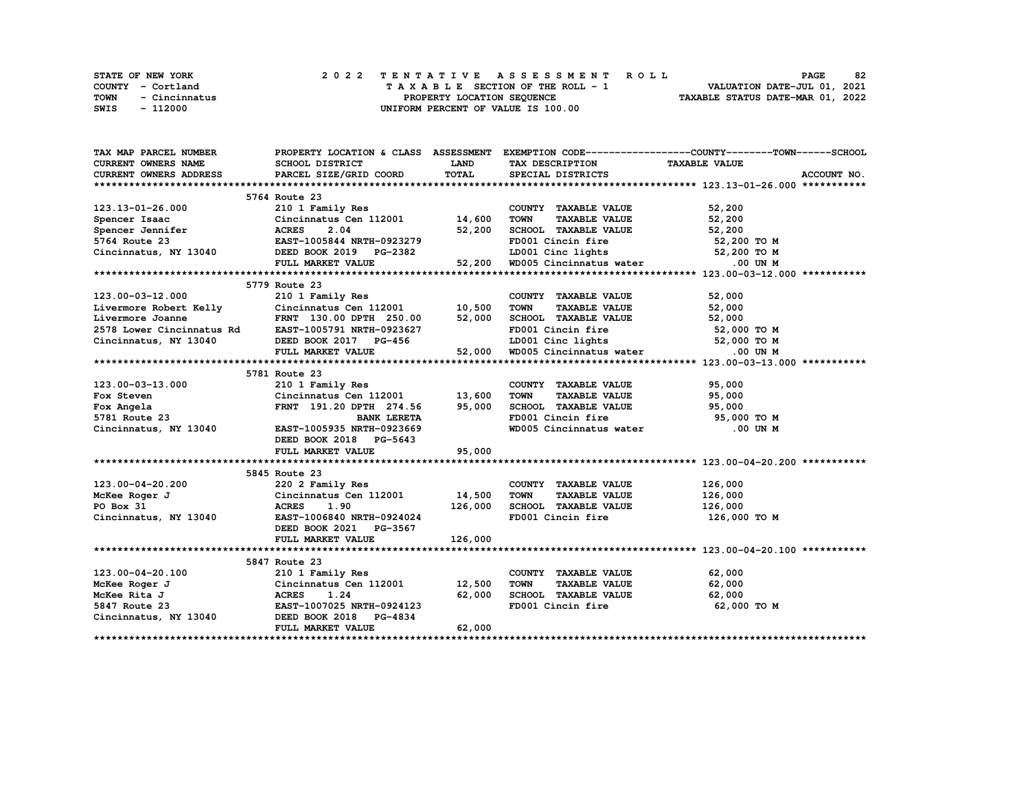|      | STATE OF NEW YORK |  |  |  |  |  | 2022 TENTATIVE ASSESSMENT ROLL     |  |  |  |  |  |  |  |                                  |  | <b>PAGE</b> | 82 |
|------|-------------------|--|--|--|--|--|------------------------------------|--|--|--|--|--|--|--|----------------------------------|--|-------------|----|
|      | COUNTY - Cortland |  |  |  |  |  | TAXABLE SECTION OF THE ROLL - 1    |  |  |  |  |  |  |  | VALUATION DATE-JUL 01, 2021      |  |             |    |
| TOWN | - Cincinnatus     |  |  |  |  |  | PROPERTY LOCATION SEOUENCE         |  |  |  |  |  |  |  | TAXABLE STATUS DATE-MAR 01, 2022 |  |             |    |
| SWIS | - 112000          |  |  |  |  |  | UNIFORM PERCENT OF VALUE IS 100.00 |  |  |  |  |  |  |  |                                  |  |             |    |

| TAX MAP PARCEL NUMBER      |                                                                                                                              |              |                                              | PROPERTY LOCATION & CLASS ASSESSMENT EXEMPTION CODE----------------COUNTY-------TOWN-----SCHOOL |
|----------------------------|------------------------------------------------------------------------------------------------------------------------------|--------------|----------------------------------------------|-------------------------------------------------------------------------------------------------|
| <b>CURRENT OWNERS NAME</b> | SCHOOL DISTRICT                                                                                                              | LAND         | TAX DESCRIPTION                              | <b>TAXABLE VALUE</b>                                                                            |
| CURRENT OWNERS ADDRESS     | PARCEL SIZE/GRID COORD                                                                                                       | <b>TOTAL</b> | SPECIAL DISTRICTS                            | ACCOUNT NO.                                                                                     |
|                            |                                                                                                                              |              |                                              |                                                                                                 |
|                            | 5764 Route 23                                                                                                                |              |                                              |                                                                                                 |
| 123.13-01-26.000           | 210 1 Family Res                                                                                                             |              | COUNTY TAXABLE VALUE                         | 52,200                                                                                          |
| Spencer Isaac              | Cincinnatus Cen 112001 14,600                                                                                                |              | <b>TOWN</b><br><b>TAXABLE VALUE</b>          | 52,200                                                                                          |
| .<br>Spencer Jennifer      | 2.<br>Cincl<br>ACRES<br>EAST<br>DE <sup>T</sup><br>2.04                                                                      | 52,200       | SCHOOL TAXABLE VALUE                         | 52,200                                                                                          |
|                            | 5764 Route 23 EAST-1005844 NRTH-0923279<br>Cincinnatus, NY 13040 DEED BOOK 2019 PG-2382                                      |              | FD001 Cincin fire                            | 52,200 TO M                                                                                     |
|                            |                                                                                                                              |              | LD001 Cinc lights<br>WD005 Cincinnatus water | 52,200 TO M                                                                                     |
|                            | FULL MARKET VALUE                                                                                                            | 52,200       |                                              | .00 UN M                                                                                        |
|                            |                                                                                                                              |              |                                              |                                                                                                 |
|                            | 5779 Route 23                                                                                                                |              |                                              |                                                                                                 |
| 123.00-03-12.000           | 210 1 Family Res                                                                                                             |              | COUNTY TAXABLE VALUE                         | 52,000                                                                                          |
| Livermore Robert Kelly     | Cincinnatus Cen $112001$ 10,500                                                                                              |              | <b>TOWN</b><br><b>TAXABLE VALUE</b>          | 52,000                                                                                          |
|                            | FRNT 130.00 DPTH 250.00<br>Livermore Joanne 6 FRNT 130.00 DPTH 250.00<br>2578 Lower Cincinnatus Rd EAST-1005791 NRTH-0923627 | 52,000       | SCHOOL TAXABLE VALUE                         | 52,000                                                                                          |
|                            |                                                                                                                              |              | FD001 Cincin fire                            | 52,000 TO M                                                                                     |
|                            | Cincinnatus, NY 13040 DEED BOOK 2017 PG-456                                                                                  |              | LD001 Cinc lights 52,000 TO M                |                                                                                                 |
|                            | FULL MARKET VALUE                                                                                                            |              | 52,000 WD005 Cincinnatus water .00 UN M      |                                                                                                 |
|                            |                                                                                                                              |              |                                              |                                                                                                 |
|                            | 5781 Route 23                                                                                                                |              |                                              |                                                                                                 |
| 123.00-03-13.000           | 210 1 Family Res                                                                                                             |              | COUNTY TAXABLE VALUE                         | 95,000                                                                                          |
| Fox Steven                 | Cincinnatus Cen $112001$ 13,600                                                                                              |              | <b>TOWN</b><br><b>TAXABLE VALUE</b>          | 95,000                                                                                          |
| Fox Angela                 | FRNT 191.20 DPTH 274.56 95,000                                                                                               |              | SCHOOL TAXABLE VALUE 95,000                  |                                                                                                 |
| 5781 Route 23              | <b>BANK LERETA</b>                                                                                                           |              | FD001 Cincin fire                            | 95,000 TO M                                                                                     |
| Cincinnatus, NY 13040      | EAST-1005935 NRTH-0923669                                                                                                    |              | WD005 Cincinnatus water                      | .00 UN M                                                                                        |
|                            | DEED BOOK 2018 PG-5643                                                                                                       |              |                                              |                                                                                                 |
|                            | FULL MARKET VALUE                                                                                                            | 95,000       |                                              |                                                                                                 |
|                            |                                                                                                                              |              |                                              |                                                                                                 |
|                            | 5845 Route 23                                                                                                                |              |                                              |                                                                                                 |
| 123.00-04-20.200           |                                                                                                                              |              | COUNTY TAXABLE VALUE                         | 126,000                                                                                         |
| McKee Roger J              |                                                                                                                              |              | TOWN<br><b>TAXABLE VALUE</b>                 | 126,000                                                                                         |
| PO Box 31                  | <b>ACRES</b><br>1.90                                                                                                         | 126,000      | SCHOOL TAXABLE VALUE                         | 126,000                                                                                         |
| Cincinnatus, NY 13040      | EAST-1006840 NRTH-0924024                                                                                                    |              | FD001 Cincin fire                            | 126,000 то м                                                                                    |
|                            | DEED BOOK 2021 PG-3567                                                                                                       |              |                                              |                                                                                                 |
|                            | FULL MARKET VALUE                                                                                                            | 126,000      |                                              |                                                                                                 |
|                            |                                                                                                                              |              |                                              |                                                                                                 |
|                            | 5847 Route 23                                                                                                                |              |                                              |                                                                                                 |
| 123.00-04-20.100           | 210 1 Family Res                                                                                                             |              | COUNTY TAXABLE VALUE                         | 62,000                                                                                          |
| McKee Roger J              | Cincinnatus Cen 112001 12,500                                                                                                |              | <b>TOWN</b><br>TAXABLE VALUE                 | 62,000                                                                                          |
| McKee Rita J               | <b>ACRES</b><br>1.24                                                                                                         | 62,000       | SCHOOL TAXABLE VALUE                         | 62,000                                                                                          |
| 5847 Route 23              | EAST-1007025 NRTH-0924123                                                                                                    |              | FD001 Cincin fire                            | 62,000 TO M                                                                                     |
| Cincinnatus, NY 13040      | DEED BOOK 2018 PG-4834                                                                                                       |              |                                              |                                                                                                 |
|                            | FULL MARKET VALUE                                                                                                            | 62,000       |                                              |                                                                                                 |
|                            |                                                                                                                              |              |                                              |                                                                                                 |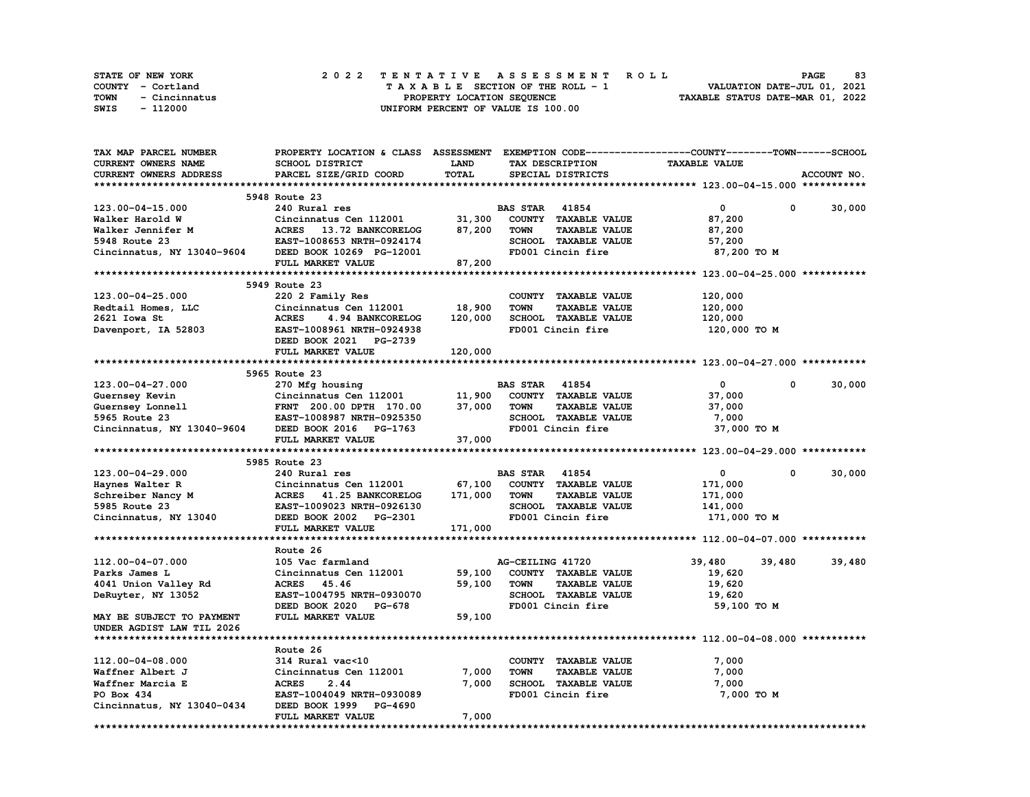| STATE OF NEW YORK     | 2022 TENTATIVE ASSESSMENT ROLL     | 83<br><b>PAGE</b>                |
|-----------------------|------------------------------------|----------------------------------|
| COUNTY - Cortland     | TAXABLE SECTION OF THE ROLL - 1    | VALUATION DATE-JUL 01, 2021      |
| TOWN<br>- Cincinnatus | PROPERTY LOCATION SEQUENCE         | TAXABLE STATUS DATE-MAR 01, 2022 |
| - 112000<br>SWIS      | UNIFORM PERCENT OF VALUE IS 100.00 |                                  |

| TAX MAP PARCEL NUMBER      | PROPERTY LOCATION & CLASS ASSESSMENT EXEMPTION CODE----------------COUNTY-------TOWN-----SCHOOL |             |                       |                                           |                      |              |             |
|----------------------------|-------------------------------------------------------------------------------------------------|-------------|-----------------------|-------------------------------------------|----------------------|--------------|-------------|
| CURRENT OWNERS NAME        | SCHOOL DISTRICT                                                                                 | <b>LAND</b> |                       | TAX DESCRIPTION                           | <b>TAXABLE VALUE</b> |              |             |
| CURRENT OWNERS ADDRESS     | PARCEL SIZE/GRID COORD                                                                          | TOTAL       |                       | SPECIAL DISTRICTS                         |                      |              | ACCOUNT NO. |
|                            |                                                                                                 |             |                       |                                           |                      |              |             |
|                            | 5948 Route 23                                                                                   |             |                       |                                           |                      |              |             |
| 123.00-04-15.000           | 240 Rural res                                                                                   |             | <b>BAS STAR 41854</b> |                                           | 0                    | 0            | 30,000      |
| Walker Harold W            | Cincinnatus Cen 112001                                                                          | 31,300      |                       | COUNTY TAXABLE VALUE                      | 87,200               |              |             |
| Walker Jennifer M          | <b>ACRES</b><br>13.72 BANKCORELOG                                                               | 87,200      | <b>TOWN</b>           | <b>TAXABLE VALUE</b>                      | 87,200               |              |             |
| 5948 Route 23              | EAST-1008653 NRTH-0924174                                                                       |             |                       | SCHOOL TAXABLE VALUE                      | 57,200               |              |             |
| Cincinnatus, NY 13040-9604 | DEED BOOK 10269 PG-12001                                                                        |             |                       | FD001 Cincin fire                         | 87,200 TO M          |              |             |
|                            | FULL MARKET VALUE                                                                               | 87,200      |                       |                                           |                      |              |             |
|                            |                                                                                                 |             |                       |                                           |                      |              |             |
|                            | 5949 Route 23                                                                                   |             |                       |                                           |                      |              |             |
| 123.00-04-25.000           | 220 2 Family Res                                                                                |             |                       | COUNTY TAXABLE VALUE                      | 120,000              |              |             |
| Redtail Homes, LLC         | Cincinnatus Cen 112001                                                                          | 18,900      | <b>TOWN</b>           | <b>TAXABLE VALUE</b>                      | 120,000              |              |             |
| 2621 Iowa St               | <b>ACRES</b><br>4.94 BANKCORELOG                                                                | 120,000     |                       | SCHOOL TAXABLE VALUE                      | 120,000              |              |             |
| Davenport, IA 52803        | EAST-1008961 NRTH-0924938                                                                       |             |                       | FD001 Cincin fire                         | 120,000 TO M         |              |             |
|                            | DEED BOOK 2021 PG-2739                                                                          |             |                       |                                           |                      |              |             |
|                            | FULL MARKET VALUE                                                                               | 120,000     |                       |                                           |                      |              |             |
|                            |                                                                                                 |             |                       |                                           |                      |              |             |
|                            | 5965 Route 23                                                                                   |             |                       |                                           |                      |              |             |
| 123.00-04-27.000           | 270 Mfg housing                                                                                 |             | <b>BAS STAR 41854</b> |                                           | $\mathbf 0$          | 0            | 30,000      |
| Guernsey Kevin             | Cincinnatus Cen 112001                                                                          | 11,900      |                       | COUNTY TAXABLE VALUE                      | 37,000               |              |             |
| Guernsey Lonnell           |                                                                                                 | 37,000      | <b>TOWN</b>           | <b>TAXABLE VALUE</b>                      | 37,000               |              |             |
|                            | FRNT 200.00 DPTH 170.00<br>EAST-1008987 NRTH-0925350<br>-- 1763                                 |             |                       |                                           |                      |              |             |
| 5965 Route 23              |                                                                                                 |             |                       | SCHOOL TAXABLE VALUE<br>FD001 Cincin fire | 7,000                |              |             |
| Cincinnatus, NY 13040-9604 | DEED BOOK 2016 PG-1763                                                                          | 37,000      |                       |                                           | 37,000 TO M          |              |             |
|                            | FULL MARKET VALUE                                                                               |             |                       |                                           |                      |              |             |
|                            |                                                                                                 |             |                       |                                           |                      |              |             |
| 123.00-04-29.000           | 5985 Route 23                                                                                   |             | <b>BAS STAR</b> 41854 |                                           | 0                    | $\mathbf{0}$ |             |
|                            | 240 Rural res                                                                                   |             |                       |                                           |                      |              | 30,000      |
| Haynes Walter R            | Cincinnatus Cen 112001                                                                          | 67,100      |                       | COUNTY TAXABLE VALUE                      | 171,000              |              |             |
| Schreiber Nancy M          | <b>ACRES</b><br>41.25 BANKCORELOG                                                               | 171,000     | <b>TOWN</b>           | <b>TAXABLE VALUE</b>                      | 171,000              |              |             |
| 5985 Route 23              | EAST-1009023 NRTH-0926130                                                                       |             |                       | <b>SCHOOL TAXABLE VALUE</b>               | 141,000              |              |             |
| Cincinnatus, NY 13040      | DEED BOOK 2002 PG-2301                                                                          |             |                       | FD001 Cincin fire                         | 171,000 TO M         |              |             |
|                            | FULL MARKET VALUE                                                                               | 171,000     |                       |                                           |                      |              |             |
|                            |                                                                                                 |             |                       |                                           |                      |              |             |
|                            | Route 26                                                                                        |             |                       |                                           |                      |              |             |
| 112.00-04-07.000           | 105 Vac farmland                                                                                |             | AG-CEILING 41720      |                                           | 39,480               | 39,480       | 39,480      |
| Parks James L              | Cincinnatus Cen 112001                                                                          | 59,100      |                       | COUNTY TAXABLE VALUE                      | 19,620               |              |             |
| 4041 Union Valley Rd       | ACRES 45.46                                                                                     | 59,100      | <b>TOWN</b>           | <b>TAXABLE VALUE</b>                      | 19,620               |              |             |
| DeRuyter, NY 13052         | EAST-1004795 NRTH-0930070                                                                       |             |                       | SCHOOL TAXABLE VALUE                      | 19,620               |              |             |
|                            | DEED BOOK 2020 PG-678                                                                           |             |                       | FD001 Cincin fire                         | 59,100 TO M          |              |             |
| MAY BE SUBJECT TO PAYMENT  | FULL MARKET VALUE                                                                               | 59,100      |                       |                                           |                      |              |             |
| UNDER AGDIST LAW TIL 2026  |                                                                                                 |             |                       |                                           |                      |              |             |
|                            |                                                                                                 |             |                       |                                           |                      |              |             |
|                            | Route 26                                                                                        |             |                       |                                           |                      |              |             |
| 112.00-04-08.000           | 314 Rural vac<10                                                                                |             |                       | COUNTY TAXABLE VALUE                      | 7,000                |              |             |
| Waffner Albert J           | Cincinnatus Cen 112001                                                                          | 7,000       | <b>TOWN</b>           | <b>TAXABLE VALUE</b>                      | 7,000                |              |             |
| Waffner Marcia E           | <b>ACRES</b><br>2.44                                                                            | 7,000       |                       | SCHOOL TAXABLE VALUE                      | 7,000                |              |             |
| PO Box 434                 | EAST-1004049 NRTH-0930089                                                                       |             |                       | FD001 Cincin fire                         | 7,000 TO M           |              |             |
| Cincinnatus, NY 13040-0434 | DEED BOOK 1999 PG-4690                                                                          |             |                       |                                           |                      |              |             |
|                            | FULL MARKET VALUE                                                                               | 7,000       |                       |                                           |                      |              |             |
|                            |                                                                                                 |             |                       |                                           |                      |              |             |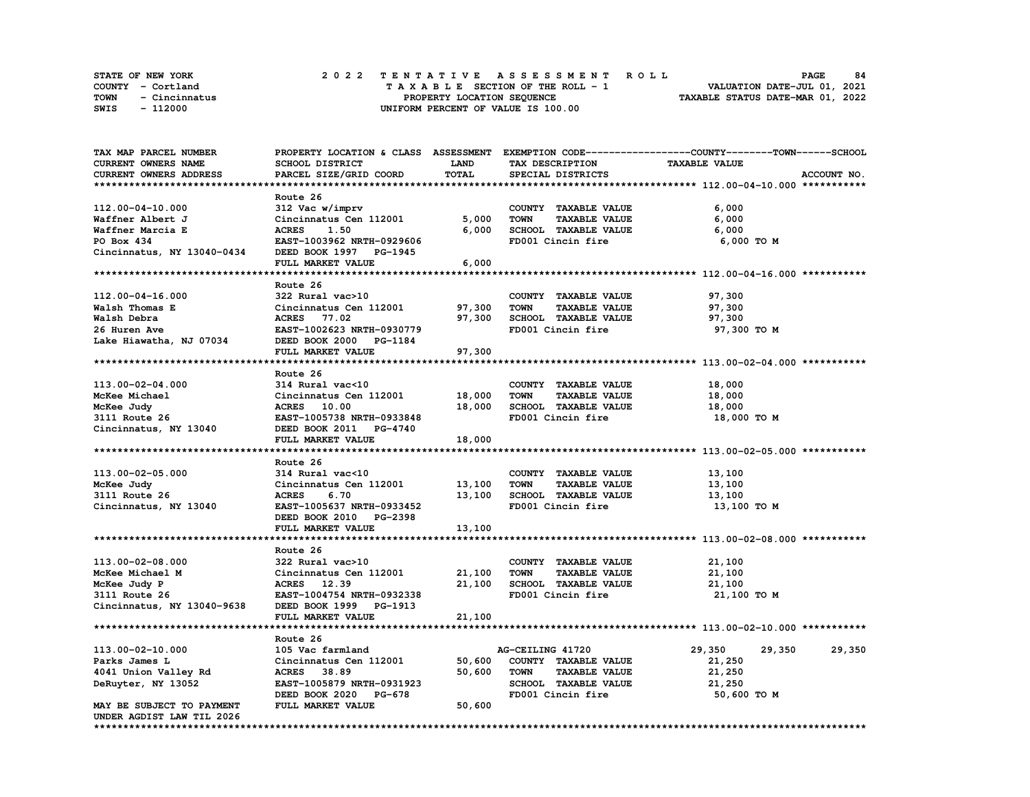| STATE OF NEW YORK     | 2022 TENTATIVE ASSESSMENT ROLL     | 84<br><b>PAGE</b>                |
|-----------------------|------------------------------------|----------------------------------|
| COUNTY - Cortland     | TAXABLE SECTION OF THE ROLL - 1    | VALUATION DATE-JUL 01, 2021      |
| TOWN<br>- Cincinnatus | PROPERTY LOCATION SEQUENCE         | TAXABLE STATUS DATE-MAR 01, 2022 |
| - 112000<br>SWIS      | UNIFORM PERCENT OF VALUE IS 100.00 |                                  |

| TAX MAP PARCEL NUMBER      |                           |        |                                     | PROPERTY LOCATION & CLASS ASSESSMENT EXEMPTION CODE----------------COUNTY-------TOWN-----SCHOOL |             |
|----------------------------|---------------------------|--------|-------------------------------------|-------------------------------------------------------------------------------------------------|-------------|
| CURRENT OWNERS NAME        | SCHOOL DISTRICT           | LAND   | TAX DESCRIPTION                     | <b>TAXABLE VALUE</b>                                                                            |             |
| CURRENT OWNERS ADDRESS     | PARCEL SIZE/GRID COORD    | TOTAL  | SPECIAL DISTRICTS                   |                                                                                                 | ACCOUNT NO. |
|                            |                           |        |                                     |                                                                                                 |             |
|                            | Route 26                  |        |                                     |                                                                                                 |             |
| 112.00-04-10.000           | 312 Vac w/imprv           |        | COUNTY TAXABLE VALUE                | 6,000                                                                                           |             |
| Waffner Albert J           | Cincinnatus Cen 112001    | 5,000  | <b>TAXABLE VALUE</b><br><b>TOWN</b> | 6,000                                                                                           |             |
| Waffner Marcia E           | <b>ACRES</b><br>1.50      | 6,000  | SCHOOL TAXABLE VALUE                | 6,000                                                                                           |             |
| PO Box 434                 | EAST-1003962 NRTH-0929606 |        | FD001 Cincin fire                   | 6,000 TO M                                                                                      |             |
| Cincinnatus, NY 13040-0434 | DEED BOOK 1997 PG-1945    |        |                                     |                                                                                                 |             |
|                            | FULL MARKET VALUE         | 6,000  |                                     |                                                                                                 |             |
|                            |                           |        |                                     |                                                                                                 |             |
|                            | Route 26                  |        |                                     |                                                                                                 |             |
| 112.00-04-16.000           | 322 Rural vac>10          |        | COUNTY TAXABLE VALUE                | 97,300                                                                                          |             |
| Walsh Thomas E             | Cincinnatus Cen 112001    | 97,300 | TOWN<br><b>TAXABLE VALUE</b>        | 97,300                                                                                          |             |
| Walsh Debra                | <b>ACRES</b> 77.02        | 97,300 | SCHOOL TAXABLE VALUE                | 97,300                                                                                          |             |
| 26 Huren Ave               | EAST-1002623 NRTH-0930779 |        | FD001 Cincin fire                   | 97,300 TO M                                                                                     |             |
| Lake Hiawatha, NJ 07034    | DEED BOOK 2000 PG-1184    |        |                                     |                                                                                                 |             |
|                            | FULL MARKET VALUE         | 97,300 |                                     |                                                                                                 |             |
|                            |                           |        |                                     |                                                                                                 |             |
|                            | Route 26                  |        |                                     |                                                                                                 |             |
| 113.00-02-04.000           | 314 Rural vac<10          |        | COUNTY TAXABLE VALUE                | 18,000                                                                                          |             |
| McKee Michael              | Cincinnatus Cen 112001    | 18,000 | <b>TOWN</b><br><b>TAXABLE VALUE</b> | 18,000                                                                                          |             |
|                            | <b>ACRES</b> 10.00        | 18,000 | SCHOOL TAXABLE VALUE                |                                                                                                 |             |
| McKee Judy                 |                           |        |                                     | 18,000                                                                                          |             |
| 3111 Route 26              | EAST-1005738 NRTH-0933848 |        | FD001 Cincin fire                   | 18,000 TO M                                                                                     |             |
| Cincinnatus, NY 13040      | DEED BOOK 2011 PG-4740    |        |                                     |                                                                                                 |             |
|                            | FULL MARKET VALUE         | 18,000 |                                     |                                                                                                 |             |
|                            |                           |        |                                     |                                                                                                 |             |
|                            | Route 26                  |        |                                     |                                                                                                 |             |
| 113.00-02-05.000           | 314 Rural vac<10          |        | COUNTY TAXABLE VALUE                | 13,100                                                                                          |             |
| McKee Judy                 | Cincinnatus Cen 112001    | 13,100 | <b>TOWN</b><br><b>TAXABLE VALUE</b> | 13,100                                                                                          |             |
| 3111 Route 26              | <b>ACRES</b><br>6.70      | 13,100 | SCHOOL TAXABLE VALUE                | 13,100                                                                                          |             |
| Cincinnatus, NY 13040      | EAST-1005637 NRTH-0933452 |        | FD001 Cincin fire                   | 13,100 TO M                                                                                     |             |
|                            | DEED BOOK 2010 PG-2398    |        |                                     |                                                                                                 |             |
|                            | FULL MARKET VALUE         | 13,100 |                                     |                                                                                                 |             |
|                            |                           |        |                                     |                                                                                                 |             |
|                            | Route 26                  |        |                                     |                                                                                                 |             |
| 113.00-02-08.000           | 322 Rural vac>10          |        | COUNTY TAXABLE VALUE                | 21,100                                                                                          |             |
| McKee Michael M            | Cincinnatus Cen 112001    | 21,100 | <b>TOWN</b><br><b>TAXABLE VALUE</b> | 21,100                                                                                          |             |
| McKee Judy P               | ACRES 12.39               | 21,100 | SCHOOL TAXABLE VALUE                | 21,100                                                                                          |             |
| 3111 Route 26              | EAST-1004754 NRTH-0932338 |        | FD001 Cincin fire                   | 21,100 TO M                                                                                     |             |
| Cincinnatus, NY 13040-9638 | DEED BOOK 1999 PG-1913    |        |                                     |                                                                                                 |             |
|                            | FULL MARKET VALUE         | 21,100 |                                     |                                                                                                 |             |
|                            |                           |        |                                     |                                                                                                 |             |
|                            | Route 26                  |        |                                     |                                                                                                 |             |
| 113.00-02-10.000           | 105 Vac farmland          |        | AG-CEILING 41720                    | 29,350<br>29,350                                                                                | 29,350      |
| Parks James L              | Cincinnatus Cen 112001    | 50,600 | COUNTY TAXABLE VALUE                | 21,250                                                                                          |             |
| 4041 Union Valley Rd       | <b>ACRES</b><br>38.89     | 50,600 | <b>TOWN</b><br><b>TAXABLE VALUE</b> | 21,250                                                                                          |             |
| DeRuyter, NY 13052         | EAST-1005879 NRTH-0931923 |        | SCHOOL TAXABLE VALUE                | 21,250                                                                                          |             |
|                            | DEED BOOK 2020 PG-678     |        | FD001 Cincin fire                   | 50,600 TO M                                                                                     |             |
| MAY BE SUBJECT TO PAYMENT  | FULL MARKET VALUE         | 50,600 |                                     |                                                                                                 |             |
| UNDER AGDIST LAW TIL 2026  |                           |        |                                     |                                                                                                 |             |
|                            |                           |        |                                     |                                                                                                 |             |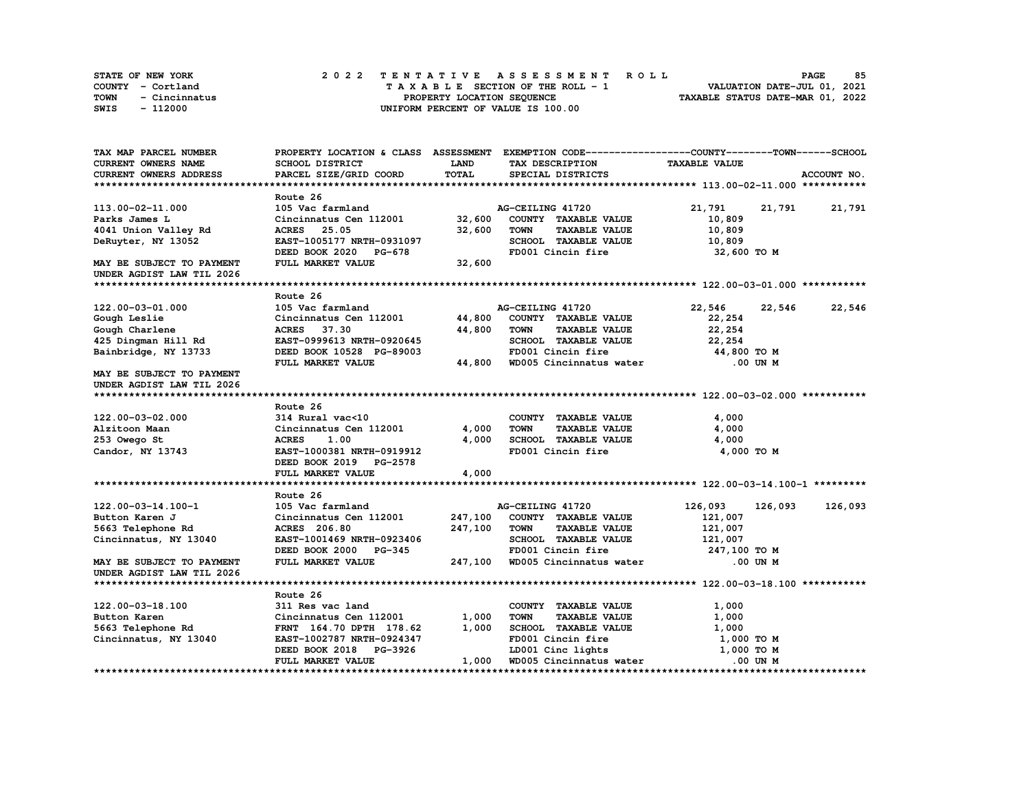| STATE OF NEW YORK     |  | 2022 TENTATIVE ASSESSMENT ROLL     |  | <b>PAGE</b>                      | 85 |
|-----------------------|--|------------------------------------|--|----------------------------------|----|
| COUNTY - Cortland     |  | TAXABLE SECTION OF THE ROLL - 1    |  | VALUATION DATE-JUL 01, 2021      |    |
| TOWN<br>- Cincinnatus |  | PROPERTY LOCATION SEQUENCE         |  | TAXABLE STATUS DATE-MAR 01, 2022 |    |
| - 112000<br>SWIS      |  | UNIFORM PERCENT OF VALUE IS 100.00 |  |                                  |    |

| TAX MAP PARCEL NUMBER         |                                 |         | PROPERTY LOCATION & CLASS ASSESSMENT EXEMPTION CODE-----------------COUNTY-------TOWN-----SCHOOL |                      |             |
|-------------------------------|---------------------------------|---------|--------------------------------------------------------------------------------------------------|----------------------|-------------|
| CURRENT OWNERS NAME           | SCHOOL DISTRICT                 | LAND    | TAX DESCRIPTION                                                                                  | <b>TAXABLE VALUE</b> |             |
| <b>CURRENT OWNERS ADDRESS</b> | PARCEL SIZE/GRID COORD          | TOTAL   | SPECIAL DISTRICTS                                                                                |                      | ACCOUNT NO. |
|                               |                                 |         |                                                                                                  |                      |             |
|                               | Route 26                        |         |                                                                                                  |                      |             |
| 113.00-02-11.000              | 105 Vac farmland                |         | AG-CEILING 41720                                                                                 | 21,791<br>21,791     | 21,791      |
| Parks James L                 | Cincinnatus Cen 112001          | 32,600  | COUNTY TAXABLE VALUE                                                                             | 10,809               |             |
| 4041 Union Valley Rd          | <b>ACRES</b> 25.05              | 32,600  | <b>TOWN</b><br><b>TAXABLE VALUE</b>                                                              | 10,809               |             |
| DeRuyter, NY 13052            | EAST-1005177 NRTH-0931097       |         | SCHOOL TAXABLE VALUE                                                                             | 10,809               |             |
|                               | DEED BOOK 2020<br><b>PG-678</b> |         | FD001 Cincin fire                                                                                | 32,600 TO M          |             |
|                               |                                 |         |                                                                                                  |                      |             |
| MAY BE SUBJECT TO PAYMENT     | FULL MARKET VALUE               | 32,600  |                                                                                                  |                      |             |
| UNDER AGDIST LAW TIL 2026     |                                 |         |                                                                                                  |                      |             |
|                               |                                 |         |                                                                                                  |                      |             |
|                               | Route 26                        |         |                                                                                                  |                      |             |
| 122.00-03-01.000              | 105 Vac farmland                |         | AG-CEILING 41720                                                                                 | 22,546<br>22,546     | 22,546      |
| Gough Leslie                  | Cincinnatus Cen 112001 44,800   |         | COUNTY TAXABLE VALUE                                                                             | 22,254               |             |
| Gough Charlene                | <b>ACRES</b> 37.30              | 44,800  | <b>TOWN</b><br><b>TAXABLE VALUE</b>                                                              | 22,254               |             |
| 425 Dingman Hill Rd           | EAST-0999613 NRTH-0920645       |         | SCHOOL TAXABLE VALUE                                                                             | 22,254               |             |
| Bainbridge, NY 13733          | DEED BOOK 10528 PG-89003        |         | FD001 Cincin fire                                                                                | 44,800 TO M          |             |
|                               | FULL MARKET VALUE               | 44,800  | FD001 Cincin fire<br>WD005 Cincinnatus water                                                     | .00 UN M             |             |
| MAY BE SUBJECT TO PAYMENT     |                                 |         |                                                                                                  |                      |             |
| UNDER AGDIST LAW TIL 2026     |                                 |         |                                                                                                  |                      |             |
|                               |                                 |         |                                                                                                  |                      |             |
|                               | Route 26                        |         |                                                                                                  |                      |             |
| 122.00-03-02.000              | 314 Rural vac<10                |         | COUNTY TAXABLE VALUE                                                                             | 4,000                |             |
| Alzitoon Maan                 | Cincinnatus Cen 112001          | 4,000   | TOWN<br><b>TAXABLE VALUE</b>                                                                     | 4,000                |             |
| 253 Owego St                  | <b>ACRES</b><br>1.00            | 4,000   | SCHOOL TAXABLE VALUE                                                                             | 4,000                |             |
|                               |                                 |         | FD001 Cincin fire                                                                                | 4,000 TO M           |             |
| Candor, NY 13743              | EAST-1000381 NRTH-0919912       |         |                                                                                                  |                      |             |
|                               | DEED BOOK 2019 PG-2578          |         |                                                                                                  |                      |             |
|                               | FULL MARKET VALUE               | 4,000   |                                                                                                  |                      |             |
|                               |                                 |         |                                                                                                  |                      |             |
|                               | Route 26                        |         |                                                                                                  |                      |             |
| 122.00-03-14.100-1            | 105 Vac farmland                |         | AG-CEILING 41720                                                                                 | 126,093<br>126,093   | 126,093     |
| Button Karen J                | Cincinnatus Cen 112001          | 247,100 | COUNTY TAXABLE VALUE                                                                             | 121,007              |             |
| 5663 Telephone Rd             | <b>ACRES</b> 206.80             | 247,100 | TOWN<br><b>TAXABLE VALUE</b>                                                                     | 121,007              |             |
| Cincinnatus, NY 13040         | EAST-1001469 NRTH-0923406       |         | SCHOOL TAXABLE VALUE                                                                             | 121,007              |             |
|                               | DEED BOOK 2000 PG-345           |         | FD001 Cincin fire                                                                                | 247,100 TO M         |             |
| MAY BE SUBJECT TO PAYMENT     | FULL MARKET VALUE               |         | 247,100 WD005 Cincinnatus water                                                                  | .00 UN M             |             |
| UNDER AGDIST LAW TIL 2026     |                                 |         |                                                                                                  |                      |             |
|                               |                                 |         |                                                                                                  |                      |             |
|                               | Route 26                        |         |                                                                                                  |                      |             |
| 122.00-03-18.100              | 311 Res vac land                |         | COUNTY TAXABLE VALUE                                                                             | 1,000                |             |
| Button Karen                  | Cincinnatus Cen 112001          | 1,000   | <b>TOWN</b><br><b>TAXABLE VALUE</b>                                                              | 1,000                |             |
| 5663 Telephone Rd             | FRNT 164.70 DPTH 178.62         | 1,000   | SCHOOL TAXABLE VALUE                                                                             | 1,000                |             |
| Cincinnatus, NY 13040         | EAST-1002787 NRTH-0924347       |         | FD001 Cincin fire                                                                                | 1,000 TO M           |             |
|                               | DEED BOOK 2018 PG-3926          |         | LD001 Cinc lights                                                                                | 1,000 TO M           |             |
|                               | FULL MARKET VALUE               | 1,000   | WD005 Cincinnatus water                                                                          | .00 UN M             |             |
|                               |                                 |         |                                                                                                  |                      |             |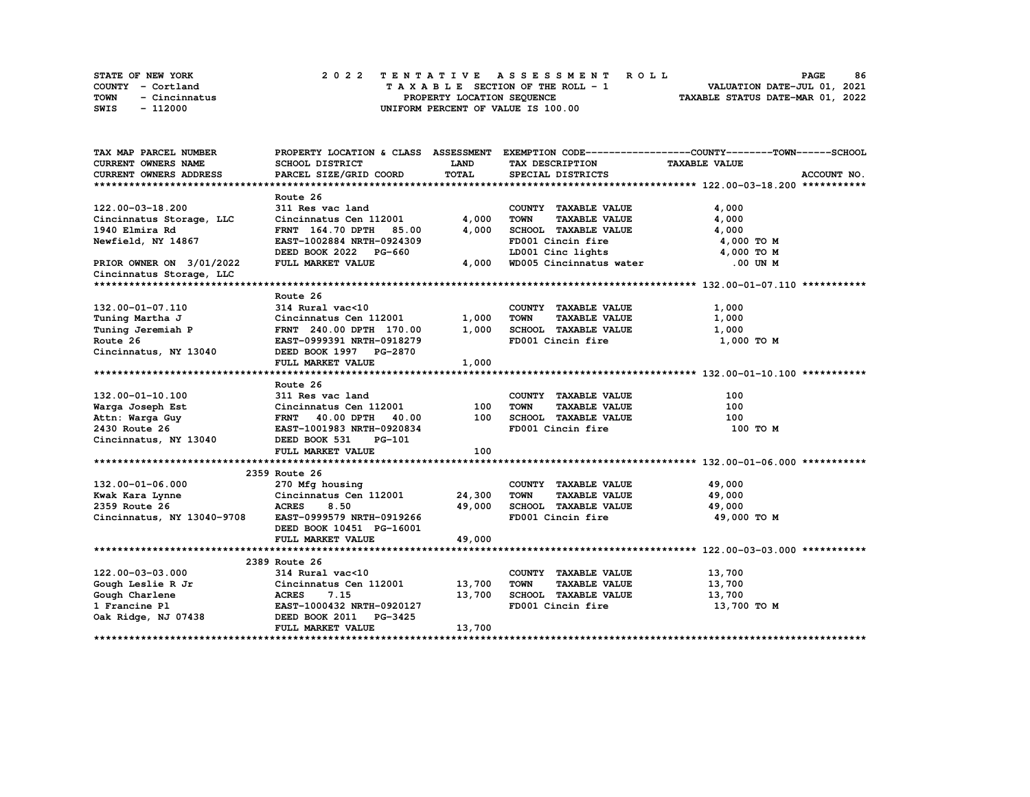|             | STATE OF NEW YORK | 2022 TENTATIVE ASSESSMENT ROLL |  |  |  |                                    |  |  |  |  |  |  |                                  | <b>PAGE</b>                 | 86 |
|-------------|-------------------|--------------------------------|--|--|--|------------------------------------|--|--|--|--|--|--|----------------------------------|-----------------------------|----|
|             | COUNTY - Cortland |                                |  |  |  | TAXABLE SECTION OF THE ROLL - 1    |  |  |  |  |  |  |                                  | VALUATION DATE-JUL 01, 2021 |    |
| <b>TOWN</b> | - Cincinnatus     |                                |  |  |  | PROPERTY LOCATION SEQUENCE         |  |  |  |  |  |  | TAXABLE STATUS DATE-MAR 01, 2022 |                             |    |
| SWIS        | - 112000          |                                |  |  |  | UNIFORM PERCENT OF VALUE IS 100.00 |  |  |  |  |  |  |                                  |                             |    |

| TAX MAP PARCEL NUMBER                            |                                                                     |             |                                                             | PROPERTY LOCATION & CLASS ASSESSMENT EXEMPTION CODE-----------------COUNTY-------TOWN------SCHOOL |
|--------------------------------------------------|---------------------------------------------------------------------|-------------|-------------------------------------------------------------|---------------------------------------------------------------------------------------------------|
| <b>CURRENT OWNERS NAME</b>                       | <b>SCHOOL DISTRICT</b>                                              | <b>LAND</b> | TAX DESCRIPTION                                             | <b>TAXABLE VALUE</b>                                                                              |
| CURRENT OWNERS ADDRESS                           | PARCEL SIZE/GRID COORD                                              | TOTAL       | SPECIAL DISTRICTS                                           | ACCOUNT NO.                                                                                       |
|                                                  |                                                                     |             |                                                             |                                                                                                   |
|                                                  | Route 26                                                            |             |                                                             |                                                                                                   |
| 122.00-03-18.200                                 | 311 Res vac land                                                    |             | COUNTY TAXABLE VALUE                                        | 4,000                                                                                             |
| Cincinnatus Storage, LLC                         | Cincinnatus Cen 112001                                              | 4,000       | <b>TOWN</b><br><b>TAXABLE VALUE</b>                         | 4,000                                                                                             |
| 1940 Elmira Rd                                   | <b>FRNT</b> 164.70 DPTH<br>85.00                                    | 4,000       | SCHOOL TAXABLE VALUE                                        | 4,000                                                                                             |
| Newfield, NY 14867                               | EAST-1002884 NRTH-0924309                                           |             | FD001 Cincin fire                                           | 4,000 TO M                                                                                        |
|                                                  | DEED BOOK 2022 PG-660                                               |             | LD001 Cinc lights                                           | 4,000 TO M                                                                                        |
| PRIOR OWNER ON 3/01/2022                         | FULL MARKET VALUE                                                   | 4,000       | WD005 Cincinnatus water                                     | .00 UN M                                                                                          |
| Cincinnatus Storage, LLC                         |                                                                     |             |                                                             |                                                                                                   |
|                                                  |                                                                     |             |                                                             |                                                                                                   |
|                                                  | Route 26                                                            |             |                                                             |                                                                                                   |
| 132.00-01-07.110                                 | 314 Rural vac<10                                                    |             | COUNTY TAXABLE VALUE                                        | 1,000                                                                                             |
| Tuning Martha J                                  | Cincinnatus Cen 112001                                              | 1,000       | TOWN<br><b>TAXABLE VALUE</b>                                | 1,000                                                                                             |
| Tuning Jeremiah P                                | FRNT 240.00 DPTH 170.00                                             | 1,000       | SCHOOL TAXABLE VALUE                                        | 1,000                                                                                             |
| Route 26                                         | EAST-0999391 NRTH-0918279                                           |             | FD001 Cincin fire                                           | 1,000 TO M                                                                                        |
| Cincinnatus, NY 13040                            | DEED BOOK 1997 PG-2870                                              |             |                                                             |                                                                                                   |
|                                                  | FULL MARKET VALUE                                                   | 1,000       |                                                             |                                                                                                   |
|                                                  |                                                                     |             |                                                             |                                                                                                   |
|                                                  | Route 26                                                            |             |                                                             |                                                                                                   |
| 132.00-01-10.100                                 | 311 Res vac land                                                    |             | COUNTY TAXABLE VALUE                                        | 100                                                                                               |
| Warga Joseph Est                                 | Cincinnatus Cen 112001                                              | 100         | <b>TAXABLE VALUE</b><br><b>TOWN</b>                         | 100                                                                                               |
| Attn: Warga Guy                                  | FRNT 40.00 DPTH 40.00                                               | 100         | SCHOOL TAXABLE VALUE                                        | 100                                                                                               |
| 2430 Route 26                                    | EAST-1001983 NRTH-0920834                                           |             | FD001 Cincin fire                                           | 100 TO M                                                                                          |
| Cincinnatus, NY 13040                            | DEED BOOK 531<br><b>PG-101</b>                                      |             |                                                             |                                                                                                   |
|                                                  | FULL MARKET VALUE                                                   | 100         |                                                             |                                                                                                   |
|                                                  |                                                                     |             |                                                             |                                                                                                   |
|                                                  | 2359 Route 26                                                       |             |                                                             |                                                                                                   |
| 132.00-01-06.000                                 | 270 Mfg housing<br>270 Mfg housing<br>Cincinnatus Cen 112001 24,300 |             | COUNTY TAXABLE VALUE                                        | 49,000                                                                                            |
| Kwak Kara Lynne<br><b>ACRES</b><br>2359 Route 26 | 8.50                                                                | 49,000      | <b>TOWN</b><br><b>TAXABLE VALUE</b><br>SCHOOL TAXABLE VALUE | 49,000                                                                                            |
|                                                  |                                                                     |             | FD001 Cincin fire                                           | 49,000                                                                                            |
| Cincinnatus, NY 13040-9708                       | EAST-0999579 NRTH-0919266                                           |             |                                                             | 49,000 TO M                                                                                       |
|                                                  | DEED BOOK 10451 PG-16001<br>FULL MARKET VALUE                       | 49,000      |                                                             |                                                                                                   |
|                                                  |                                                                     |             |                                                             |                                                                                                   |
|                                                  | 2389 Route 26                                                       |             |                                                             |                                                                                                   |
| 122.00-03-03.000                                 | 314 Rural vac<10                                                    |             | COUNTY TAXABLE VALUE                                        |                                                                                                   |
|                                                  | Cincinnatus Cen 112001                                              | 13,700      | <b>TOWN</b><br><b>TAXABLE VALUE</b>                         | 13,700<br>13,700                                                                                  |
| Gough Leslie R Jr<br>Gough Charlene              | <b>ACRES</b><br>7.15                                                | 13,700      | SCHOOL TAXABLE VALUE                                        | 13,700                                                                                            |
| 1 Francine Pl                                    | EAST-1000432 NRTH-0920127                                           |             | FD001 Cincin fire                                           | 13,700 TO M                                                                                       |
| Oak Ridge, NJ 07438                              | DEED BOOK 2011 PG-3425                                              |             |                                                             |                                                                                                   |
|                                                  | FULL MARKET VALUE                                                   | 13,700      |                                                             |                                                                                                   |
|                                                  |                                                                     |             |                                                             |                                                                                                   |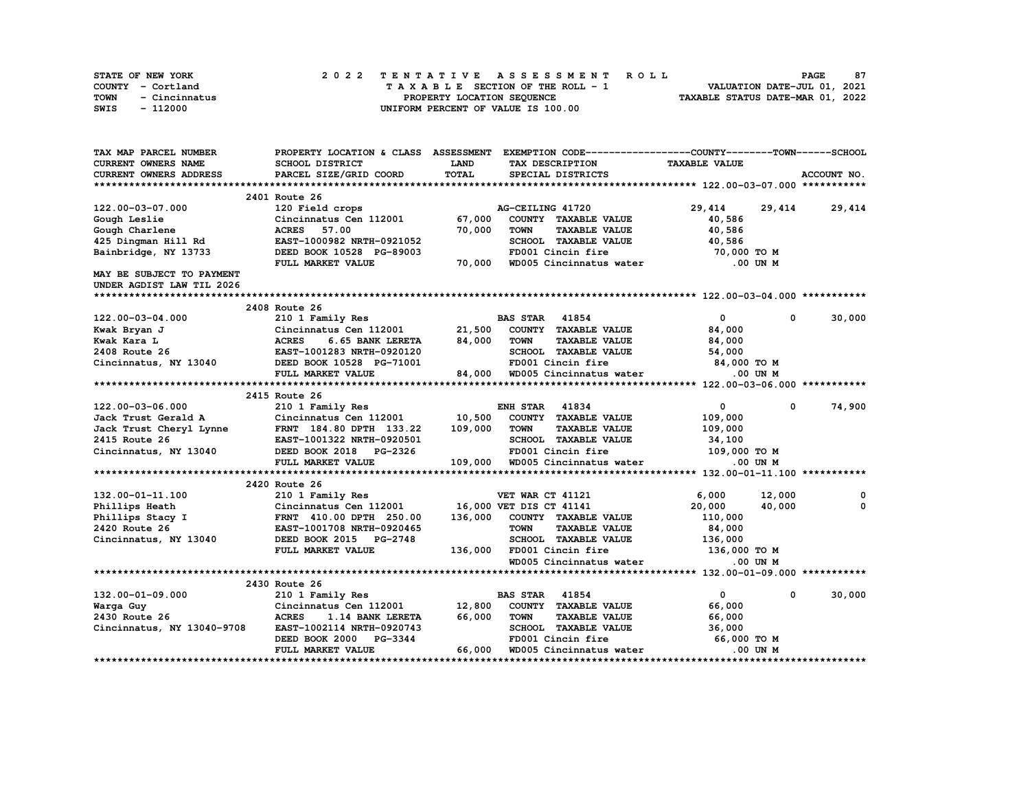| STATE OF NEW YORK     | 2022 TENTATIVE ASSESSMENT ROLL     | 87<br><b>PAGE</b>                |
|-----------------------|------------------------------------|----------------------------------|
| COUNTY - Cortland     | TAXABLE SECTION OF THE ROLL - 1    | VALUATION DATE-JUL 01, 2021      |
| TOWN<br>- Cincinnatus | PROPERTY LOCATION SEOUENCE         | TAXABLE STATUS DATE-MAR 01, 2022 |
| SWIS<br>- 112000      | UNIFORM PERCENT OF VALUE IS 100.00 |                                  |

| TAX MAP PARCEL NUMBER                                                                                                                                                       |                                                                                                         |         | PROPERTY LOCATION & CLASS ASSESSMENT EXEMPTION CODE-----------------COUNTY-------TOWN-----SCHOOL    |                      |                             |
|-----------------------------------------------------------------------------------------------------------------------------------------------------------------------------|---------------------------------------------------------------------------------------------------------|---------|-----------------------------------------------------------------------------------------------------|----------------------|-----------------------------|
| <b>CURRENT OWNERS NAME</b>                                                                                                                                                  | SCHOOL DISTRICT                                                                                         | LAND    | TAX DESCRIPTION                                                                                     | <b>TAXABLE VALUE</b> |                             |
| <b>CURRENT OWNERS ADDRESS</b>                                                                                                                                               | PARCEL SIZE/GRID COORD                                                                                  | TOTAL   | SPECIAL DISTRICTS                                                                                   |                      | ACCOUNT NO.                 |
|                                                                                                                                                                             |                                                                                                         |         |                                                                                                     |                      |                             |
|                                                                                                                                                                             | 2401 Route 26                                                                                           |         |                                                                                                     |                      |                             |
| 122.00-03-07.000                                                                                                                                                            | 120 Field crops and the state of the state of                                                           |         | AG-CEILING 41720                                                                                    | 29,414               | 29,414 29,414               |
| Gough Leslie                                                                                                                                                                | Cincinnatus Cen 112001                                                                                  | 67,000  | COUNTY TAXABLE VALUE                                                                                | 40,586               |                             |
| Gough Charlene                                                                                                                                                              | <b>ACRES</b> 57.00                                                                                      | 70,000  | <b>TOWN</b><br><b>TAXABLE VALUE</b>                                                                 | 40,586               |                             |
| 425 Dingman Hill Rd                                                                                                                                                         | EAST-1000982 NRTH-0921052                                                                               |         | SCHOOL TAXABLE VALUE                                                                                | 40,586               |                             |
| Bainbridge, NY 13733                                                                                                                                                        | DEED BOOK 10528 PG-89003                                                                                |         | FD001 Cincin fire                                                                                   | 70,000 TO M          |                             |
|                                                                                                                                                                             | FULL MARKET VALUE                                                                                       | 70,000  | WD005 Cincinnatus water                                                                             | .00 UN M             |                             |
| MAY BE SUBJECT TO PAYMENT                                                                                                                                                   |                                                                                                         |         |                                                                                                     |                      |                             |
| UNDER AGDIST LAW TIL 2026                                                                                                                                                   |                                                                                                         |         |                                                                                                     |                      |                             |
|                                                                                                                                                                             |                                                                                                         |         |                                                                                                     |                      |                             |
|                                                                                                                                                                             | 2408 Route 26                                                                                           |         |                                                                                                     |                      |                             |
| 122.00-03-04.000                                                                                                                                                            | 210 1 Family Res                                                                                        |         | <b>BAS STAR</b> 41854                                                                               | $\mathbf{0}$         | 30,000<br>$\mathbf 0$       |
| Kwak Bryan J                                                                                                                                                                | Cincinnatus Cen 112001<br>Cincinnatus Cen 112001<br>ACRES 6.65 BANK LERETA<br>EAST-1001283 NRTH-0920120 | 21,500  | COUNTY TAXABLE VALUE                                                                                | 84,000               |                             |
| Kwak Kara L                                                                                                                                                                 | 6.65 BANK LERETA 84,000                                                                                 |         | <b>TOWN</b><br><b>TAXABLE VALUE</b>                                                                 | 84,000               |                             |
| 2408 Route 26                                                                                                                                                               |                                                                                                         |         | SCHOOL TAXABLE VALUE 54,000                                                                         |                      |                             |
| Cincinnatus, NY 13040 DEED BOOK 10528 PG-71001                                                                                                                              |                                                                                                         |         |                                                                                                     |                      |                             |
|                                                                                                                                                                             | FULL MARKET VALUE                                                                                       |         |                                                                                                     |                      |                             |
|                                                                                                                                                                             |                                                                                                         |         |                                                                                                     |                      |                             |
|                                                                                                                                                                             | 2415 Route 26                                                                                           |         |                                                                                                     |                      |                             |
|                                                                                                                                                                             |                                                                                                         |         | <b>ENH STAR 41834</b>                                                                               | $\mathbf{0}$         | 74,900<br>$^{\circ}$        |
|                                                                                                                                                                             |                                                                                                         |         | COUNTY TAXABLE VALUE                                                                                | 109,000              |                             |
|                                                                                                                                                                             |                                                                                                         | 109,000 | <b>TOWN</b><br><b>TAXABLE VALUE</b>                                                                 | 109,000              |                             |
| 122.00-03-06.000<br>Jack Trust Gerald A Cincinnatus Cen 112001 10,500<br>Jack Trust Cheryl Lynne FRNT 184.80 DPTH 133.22 109,000<br>2415 Route 26 EAST-1001322 NRTH-0920501 |                                                                                                         |         | SCHOOL TAXABLE VALUE                                                                                | 34,100               |                             |
| Cincinnatus, NY 13040 DEED BOOK 2018 PG-2326 FD001 Cincin fire 109,000 TO M<br>FULL MARKET VALUE 109,000 WD005 Cincinnatus water 0.00 UN M                                  |                                                                                                         |         |                                                                                                     |                      |                             |
|                                                                                                                                                                             |                                                                                                         |         |                                                                                                     |                      |                             |
|                                                                                                                                                                             |                                                                                                         |         |                                                                                                     |                      |                             |
|                                                                                                                                                                             | 2420 Route 26                                                                                           |         |                                                                                                     |                      |                             |
| 132.00-01-11.100                                                                                                                                                            | 210 1 Family Res                                                                                        |         | VET WAR CT 41121                                                                                    | 6,000                | 12,000<br>0<br>$\mathbf{o}$ |
| Phillips Heath                                                                                                                                                              | Cincinnatus Cen 112001 16,000 VET DIS CT 41141                                                          |         |                                                                                                     | 20,000               | 40,000                      |
| $\mathbf{r}$<br>Phillips Stacy I                                                                                                                                            | FRNT 410.00 DPTH 250.00                                                                                 |         | 136,000 COUNTY TAXABLE VALUE                                                                        | 110,000              |                             |
| 2420 Route 26                                                                                                                                                               | EAST-1001708 NRTH-0920465                                                                               |         | <b>TOWN</b><br><b>TAXABLE VALUE</b>                                                                 | 84,000               |                             |
| Cincinnatus, NY 13040                                                                                                                                                       | DEED BOOK 2015 PG-2748                                                                                  |         | 136,000 FD001 Cincin fire                                                                           |                      |                             |
|                                                                                                                                                                             | FULL MARKET VALUE                                                                                       |         | SCHOOL TAXABLE VALUE 136,000<br>FD001 Cincin fire 136,000 TO M<br>WD005 Cincinnatus water 0.00 UN M |                      |                             |
|                                                                                                                                                                             |                                                                                                         |         |                                                                                                     |                      |                             |
|                                                                                                                                                                             | 2430 Route 26                                                                                           |         |                                                                                                     |                      |                             |
| 132.00-01-09.000                                                                                                                                                            | 210 1 Family Res                                                                                        |         | <b>BAS STAR</b> 41854                                                                               | $\mathbf{0}$         | 30,000<br>$\mathbf 0$       |
| Warga Guy                                                                                                                                                                   | Cincinnatus Cen 112001 12,800                                                                           |         | COUNTY TAXABLE VALUE                                                                                | 66,000               |                             |
| 2430 Route 26                                                                                                                                                               | <b>ACRES</b><br><b>1.14 BANK LERETA</b>                                                                 | 66,000  | <b>TOWN</b><br><b>TAXABLE VALUE</b>                                                                 | 66,000               |                             |
| Cincinnatus, NY 13040-9708                                                                                                                                                  | EAST-1002114 NRTH-0920743                                                                               |         |                                                                                                     |                      |                             |
|                                                                                                                                                                             | DEED BOOK 2000 PG-3344                                                                                  |         |                                                                                                     |                      |                             |
|                                                                                                                                                                             | FULL MARKET VALUE                                                                                       | 66,000  | WD005 Cincinnatus water                                                                             | .00 UN M             |                             |
|                                                                                                                                                                             |                                                                                                         |         |                                                                                                     |                      |                             |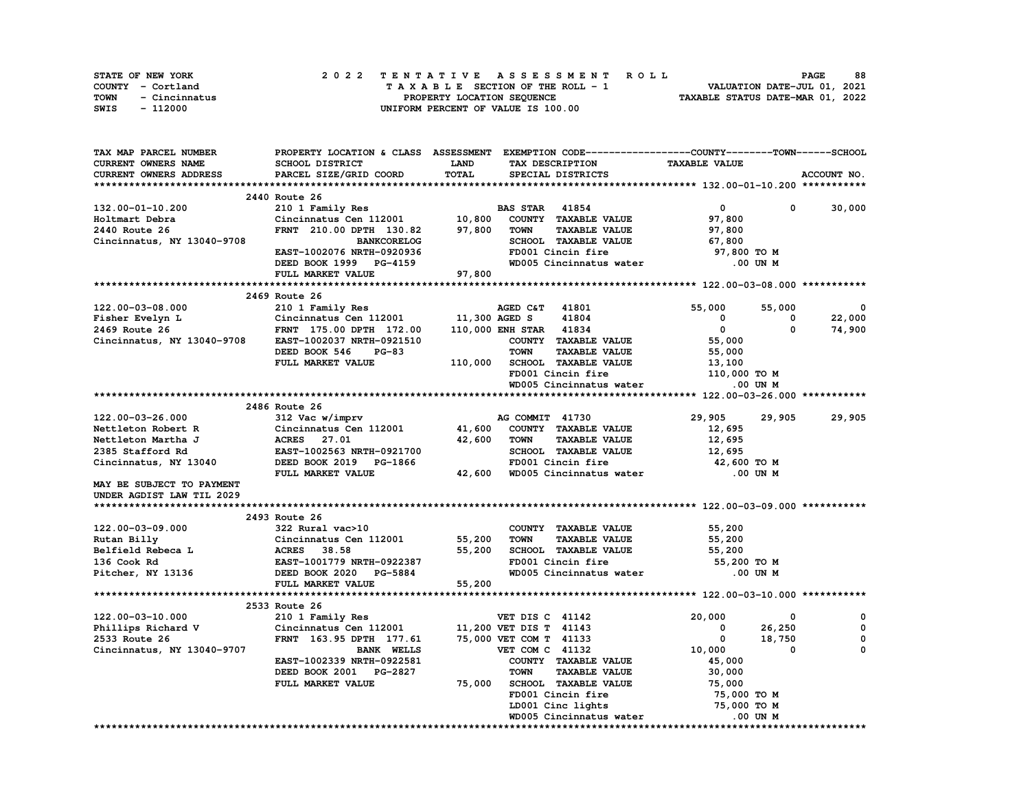| STATE OF NEW YORK     | 2022 TENTATIVE ASSESSMENT ROLL     | 88<br><b>PAGE</b>                |
|-----------------------|------------------------------------|----------------------------------|
| COUNTY - Cortland     | TAXABLE SECTION OF THE ROLL - 1    | VALUATION DATE-JUL 01, 2021      |
| TOWN<br>- Cincinnatus | PROPERTY LOCATION SEQUENCE         | TAXABLE STATUS DATE-MAR 01, 2022 |
| - 112000<br>SWIS      | UNIFORM PERCENT OF VALUE IS 100.00 |                                  |

| TAX MAP PARCEL NUMBER      | PROPERTY LOCATION & CLASS ASSESSMENT EXEMPTION CODE-----------------COUNTY-------TOWN-----SCHOOL |             |                        |                             |                      |              |             |
|----------------------------|--------------------------------------------------------------------------------------------------|-------------|------------------------|-----------------------------|----------------------|--------------|-------------|
| CURRENT OWNERS NAME        | SCHOOL DISTRICT                                                                                  | <b>LAND</b> |                        | TAX DESCRIPTION             | <b>TAXABLE VALUE</b> |              |             |
| CURRENT OWNERS ADDRESS     | PARCEL SIZE/GRID COORD                                                                           | TOTAL       |                        | SPECIAL DISTRICTS           |                      |              | ACCOUNT NO. |
|                            |                                                                                                  |             |                        |                             |                      |              |             |
|                            | 2440 Route 26                                                                                    |             |                        |                             |                      |              |             |
| 132.00-01-10.200           | 210 1 Family Res                                                                                 |             | <b>BAS STAR 41854</b>  |                             | $\mathbf{0}$         | $\mathbf{0}$ | 30,000      |
| Holtmart Debra             | Cincinnatus Cen 112001                                                                           | 10,800      |                        | COUNTY TAXABLE VALUE        | 97,800               |              |             |
| 2440 Route 26              | FRNT 210.00 DPTH 130.82                                                                          | 97,800      | <b>TOWN</b>            | <b>TAXABLE VALUE</b>        | 97,800               |              |             |
|                            |                                                                                                  |             |                        | SCHOOL TAXABLE VALUE        |                      |              |             |
| Cincinnatus, NY 13040-9708 | <b>BANKCORELOG</b>                                                                               |             |                        |                             | 67,800               |              |             |
|                            | EAST-1002076 NRTH-0920936                                                                        |             |                        | FD001 Cincin fire           | 97,800 TO M          |              |             |
|                            | DEED BOOK 1999 PG-4159                                                                           |             |                        | WD005 Cincinnatus water     | .00 UN M             |              |             |
|                            | FULL MARKET VALUE                                                                                | 97,800      |                        |                             |                      |              |             |
|                            |                                                                                                  |             |                        |                             |                      |              |             |
|                            | 2469 Route 26                                                                                    |             |                        |                             |                      |              |             |
| 122.00-03-08.000           | 210 1 Family Res                                                                                 |             | AGED C&T               | 41801                       | 55,000               | 55,000       | $\Omega$    |
| Fisher Evelyn L            | Cincinnatus Cen 112001                                                                           |             | 11,300 AGED S          | 41804                       | 0                    | 0            | 22,000      |
| 2469 Route 26              | FRNT 175.00 DPTH 172.00                                                                          |             | 110,000 ENH STAR 41834 |                             | $\mathbf 0$          | 0            | 74,900      |
| Cincinnatus, NY 13040-9708 | EAST-1002037 NRTH-0921510                                                                        |             |                        | COUNTY TAXABLE VALUE        | 55,000               |              |             |
|                            | DEED BOOK 546<br>$PG-83$                                                                         |             | <b>TOWN</b>            | TAXABLE VALUE               | 55,000               |              |             |
|                            | FULL MARKET VALUE                                                                                | 110,000     |                        | SCHOOL TAXABLE VALUE        | 13,100               |              |             |
|                            |                                                                                                  |             |                        | FD001 Cincin fire           | 110,000 TO M         |              |             |
|                            |                                                                                                  |             |                        | WD005 Cincinnatus water     |                      | .00 UN M     |             |
|                            |                                                                                                  |             |                        |                             |                      |              |             |
|                            | 2486 Route 26                                                                                    |             |                        |                             |                      |              |             |
| 122.00-03-26.000           | 312 Vac w/imprv                                                                                  |             | AG COMMIT 41730        |                             | 29,905               | 29,905       | 29,905      |
| Nettleton Robert R         | Cincinnatus Cen 112001                                                                           |             |                        | 41,600 COUNTY TAXABLE VALUE |                      |              |             |
|                            |                                                                                                  |             |                        |                             | 12,695               |              |             |
| Nettleton Martha J         | <b>ACRES</b><br>27.01                                                                            | 42,600      | TOWN                   | <b>TAXABLE VALUE</b>        | 12,695               |              |             |
| 2385 Stafford Rd           | EAST-1002563 NRTH-0921700                                                                        |             |                        | SCHOOL TAXABLE VALUE        | 12,695               |              |             |
| Cincinnatus, NY 13040      | DEED BOOK 2019 PG-1866                                                                           |             |                        | FD001 Cincin fire           | 42,600 TO M          |              |             |
|                            | FULL MARKET VALUE                                                                                | 42,600      |                        | WD005 Cincinnatus water     | .00 UN M             |              |             |
| MAY BE SUBJECT TO PAYMENT  |                                                                                                  |             |                        |                             |                      |              |             |
| UNDER AGDIST LAW TIL 2029  |                                                                                                  |             |                        |                             |                      |              |             |
|                            |                                                                                                  |             |                        |                             |                      |              |             |
|                            | 2493 Route 26                                                                                    |             |                        |                             |                      |              |             |
| 122.00-03-09.000           | 322 Rural vac>10                                                                                 |             |                        | COUNTY TAXABLE VALUE        | 55,200               |              |             |
| Rutan Billy                | Cincinnatus Cen 112001                                                                           | 55,200      | <b>TOWN</b>            | <b>TAXABLE VALUE</b>        | 55,200               |              |             |
| Belfield Rebeca L          | <b>ACRES</b> 38.58                                                                               | 55,200      |                        | SCHOOL TAXABLE VALUE        | 55,200               |              |             |
| 136 Cook Rd                | EAST-1001779 NRTH-0922387                                                                        |             |                        | FD001 Cincin fire           | 55,200 TO M          |              |             |
| Pitcher, NY 13136          | DEED BOOK 2020 PG-5884                                                                           |             |                        | WD005 Cincinnatus water     |                      | .00 UN M     |             |
|                            | FULL MARKET VALUE                                                                                | 55,200      |                        |                             |                      |              |             |
|                            |                                                                                                  |             |                        |                             |                      |              |             |
|                            | 2533 Route 26                                                                                    |             |                        |                             |                      |              |             |
| 122.00-03-10.000           |                                                                                                  |             |                        |                             | 20,000               | 0            | 0           |
|                            | 210 1 Family Res                                                                                 |             | VET DIS C 41142        |                             |                      |              | 0           |
| Phillips Richard V         | Cincinnatus Cen 112001                                                                           |             | 11,200 VET DIS T 41143 |                             | 0                    | 26,250       |             |
| 2533 Route 26              | FRNT 163.95 DPTH 177.61                                                                          |             | 75,000 VET COM T 41133 |                             | $\mathbf 0$          | 18,750       | 0           |
| Cincinnatus, NY 13040-9707 | <b>BANK WELLS</b>                                                                                |             | VET COM C 41132        |                             | 10,000               | $\Omega$     | 0           |
|                            | EAST-1002339 NRTH-0922581                                                                        |             |                        | COUNTY TAXABLE VALUE        | 45,000               |              |             |
|                            | DEED BOOK 2001 PG-2827                                                                           |             | TOWN                   | <b>TAXABLE VALUE</b>        | 30,000               |              |             |
|                            | FULL MARKET VALUE                                                                                | 75,000      |                        | <b>SCHOOL TAXABLE VALUE</b> | 75,000               |              |             |
|                            |                                                                                                  |             |                        | FD001 Cincin fire           | 75,000 TO M          |              |             |
|                            |                                                                                                  |             |                        | LD001 Cinc lights           | 75,000 TO M          |              |             |
|                            |                                                                                                  |             |                        | WD005 Cincinnatus water     |                      | .00 UN M     |             |
|                            |                                                                                                  |             |                        |                             |                      |              |             |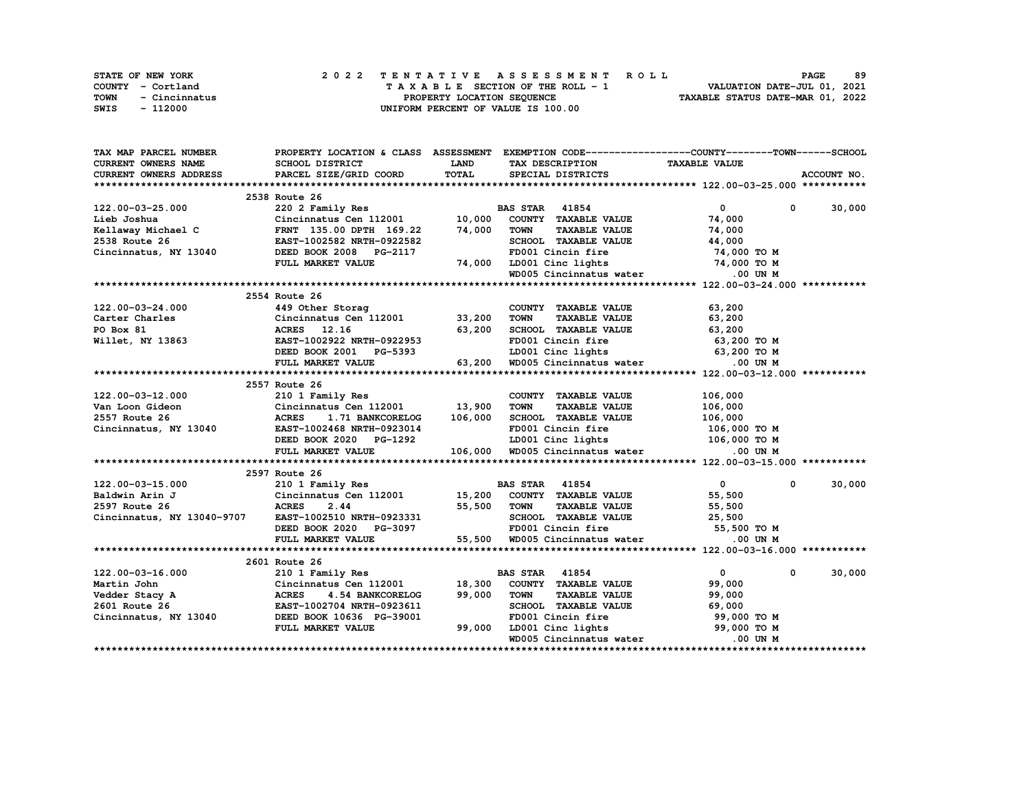| STATE OF NEW YORK     | 2022 TENTATIVE ASSESSMENT ROLL     | 89<br><b>PAGE</b>                |
|-----------------------|------------------------------------|----------------------------------|
| COUNTY - Cortland     | TAXABLE SECTION OF THE ROLL - 1    | VALUATION DATE-JUL 01, 2021      |
| TOWN<br>- Cincinnatus | PROPERTY LOCATION SEOUENCE         | TAXABLE STATUS DATE-MAR 01, 2022 |
| SWIS<br>- 112000      | UNIFORM PERCENT OF VALUE IS 100.00 |                                  |

| TAX MAP PARCEL NUMBER                                                                                                                 |                                                     |              | PROPERTY LOCATION & CLASS ASSESSMENT EXEMPTION CODE-----------------COUNTY-------TOWN------SCHOOL |                             |               |  |  |  |  |  |
|---------------------------------------------------------------------------------------------------------------------------------------|-----------------------------------------------------|--------------|---------------------------------------------------------------------------------------------------|-----------------------------|---------------|--|--|--|--|--|
| CURRENT OWNERS NAME                                                                                                                   | SCHOOL DISTRICT                                     | <b>LAND</b>  | TAX DESCRIPTION                                                                                   | <b>TAXABLE VALUE</b>        |               |  |  |  |  |  |
| CURRENT OWNERS ADDRESS                                                                                                                | PARCEL SIZE/GRID COORD                              | <b>TOTAL</b> | SPECIAL DISTRICTS                                                                                 |                             | ACCOUNT NO.   |  |  |  |  |  |
|                                                                                                                                       |                                                     |              |                                                                                                   |                             |               |  |  |  |  |  |
|                                                                                                                                       | 2538 Route 26                                       |              |                                                                                                   |                             |               |  |  |  |  |  |
| 122.00-03-25.000                                                                                                                      | 220 2 Family Res                                    |              | <b>BAS STAR</b> 41854                                                                             | $\bullet$ $\bullet$         | $0 \t 30,000$ |  |  |  |  |  |
| Lieb Joshua                                                                                                                           | Cincinnatus Cen 112001                              | 10,000       | COUNTY TAXABLE VALUE                                                                              | 74,000                      |               |  |  |  |  |  |
| Kellaway Michael C                                                                                                                    | FRNT 135.00 DPTH 169.22                             | 74,000       | <b>TOWN</b><br><b>TAXABLE VALUE</b>                                                               | 74,000                      |               |  |  |  |  |  |
| 2538 Route 26                                                                                                                         | EAST-1002582 NRTH-0922582                           |              | SCHOOL TAXABLE VALUE                                                                              | 44,000                      |               |  |  |  |  |  |
| Cincinnatus, NY 13040                                                                                                                 | DEED BOOK 2008 PG-2117                              |              | FD001 Cincin fire                                                                                 | 74,000 TO M                 |               |  |  |  |  |  |
|                                                                                                                                       | FULL MARKET VALUE                                   |              |                                                                                                   |                             |               |  |  |  |  |  |
|                                                                                                                                       |                                                     |              | 74,000 LD001 Cinc lights 74,000 TO M<br>WD005 Cincinnatus water 0.00 UN M                         |                             |               |  |  |  |  |  |
|                                                                                                                                       |                                                     |              |                                                                                                   |                             |               |  |  |  |  |  |
| 2554 Route 26                                                                                                                         |                                                     |              |                                                                                                   |                             |               |  |  |  |  |  |
| 122.00-03-24.000                                                                                                                      | 449 Other Storag                                    |              | COUNTY TAXABLE VALUE                                                                              | 63,200                      |               |  |  |  |  |  |
|                                                                                                                                       |                                                     |              | <b>TOWN</b><br><b>TAXABLE VALUE</b>                                                               | 63,200                      |               |  |  |  |  |  |
|                                                                                                                                       |                                                     |              | SCHOOL TAXABLE VALUE                                                                              | 63,200                      |               |  |  |  |  |  |
| Carter Charles<br>PO Box 81<br>Willet, NY 13863<br>Willet, NY 13863<br>CRES<br>CAST-1002922 NRTH-0922953<br>CAST-1002922 NRTH-0922953 |                                                     |              | FD001 Cincin fire                                                                                 | 63,200 то м                 |               |  |  |  |  |  |
|                                                                                                                                       | DEED BOOK 2001 PG-5393                              |              |                                                                                                   |                             |               |  |  |  |  |  |
|                                                                                                                                       |                                                     | 63,200       | LD001 Cinc lights 63,200 TO M<br>WD005 Cincinnatus water                                          | .00 UN M                    |               |  |  |  |  |  |
|                                                                                                                                       | FULL MARKET VALUE                                   |              |                                                                                                   |                             |               |  |  |  |  |  |
|                                                                                                                                       |                                                     |              |                                                                                                   |                             |               |  |  |  |  |  |
|                                                                                                                                       | 2557 Route 26                                       |              |                                                                                                   |                             |               |  |  |  |  |  |
| 122.00-03-12.000                                                                                                                      | 210 1 Family Res<br>Cincinnatus Cen $112001$ 13,900 |              | COUNTY TAXABLE VALUE                                                                              | 106,000                     |               |  |  |  |  |  |
| Van Loon Gideon                                                                                                                       |                                                     |              | TOWN<br><b>TAXABLE VALUE</b>                                                                      | 106,000                     |               |  |  |  |  |  |
| 13040<br>2557 Route 26                                                                                                                | <b>ACRES</b><br><b>1.71 BANKCORELOG</b>             | 106,000      | SCHOOL TAXABLE VALUE                                                                              | 106,000                     |               |  |  |  |  |  |
| Cincinnatus, NY 13040                                                                                                                 | EAST-1002468 NRTH-0923014                           |              | FD001 Cincin fire                                                                                 | 106,000 то м                |               |  |  |  |  |  |
|                                                                                                                                       | DEED BOOK 2020 PG-1292                              |              | LD001 Cinc lights 106,000 TO M                                                                    |                             |               |  |  |  |  |  |
|                                                                                                                                       | FULL MARKET VALUE                                   |              | 106,000 WD005 Cincinnatus water                                                                   | $.00$ UN M                  |               |  |  |  |  |  |
|                                                                                                                                       |                                                     |              |                                                                                                   |                             |               |  |  |  |  |  |
|                                                                                                                                       | 2597 Route 26                                       |              |                                                                                                   |                             |               |  |  |  |  |  |
| 122.00-03-15.000                                                                                                                      | 210 1 Family Res                                    |              | <b>BAS STAR 41854</b>                                                                             | $\mathbf{0}$<br>$^{\circ}$  | 30,000        |  |  |  |  |  |
| Baldwin Arin J                                                                                                                        | Cincinnatus Cen 112001 15,200 COUNTY TAXABLE VALUE  |              |                                                                                                   | 55,500                      |               |  |  |  |  |  |
| 2597 Route 26                                                                                                                         | <b>ACRES</b><br>2.44                                | 55,500       | <b>TAXABLE VALUE</b><br>TOWN                                                                      | 55,500                      |               |  |  |  |  |  |
| Cincinnatus, NY 13040-9707                                                                                                            | EAST-1002510 NRTH-0923331                           |              | SCHOOL TAXABLE VALUE 25,500<br>FD001 Cincin fire 55,500                                           |                             |               |  |  |  |  |  |
|                                                                                                                                       | DEED BOOK 2020 PG-3097                              |              |                                                                                                   | 55,500 TO M                 |               |  |  |  |  |  |
|                                                                                                                                       | FULL MARKET VALUE                                   | 55,500       | WD005 Cincinnatus water .00 UN M                                                                  |                             |               |  |  |  |  |  |
|                                                                                                                                       |                                                     |              |                                                                                                   |                             |               |  |  |  |  |  |
|                                                                                                                                       | 2601 Route 26                                       |              |                                                                                                   |                             |               |  |  |  |  |  |
| 122.00-03-16.000<br>Martin John<br>Vedder Stacy A                                                                                     | 210 1 Family Res                                    |              | <b>BAS STAR 41854</b>                                                                             | $\mathbf{0}$<br>$\mathbf 0$ | 30,000        |  |  |  |  |  |
|                                                                                                                                       | Cincinnatus Cen 112001                              | 18,300       | COUNTY TAXABLE VALUE                                                                              | 99,000                      |               |  |  |  |  |  |
|                                                                                                                                       | <b>ACRES</b><br>4.54 BANKCORELOG                    | 99,000       | <b>TOWN</b><br><b>TAXABLE VALUE</b>                                                               | 99,000                      |               |  |  |  |  |  |
| 2601 Route 26                                                                                                                         | EAST-1002704 NRTH-0923611                           |              | SCHOOL TAXABLE VALUE                                                                              | 69,000                      |               |  |  |  |  |  |
| Cincinnatus, NY 13040                                                                                                                 | DEED BOOK 10636 PG-39001                            |              | FD001 Cincin fire                                                                                 | 99,000 TO M                 |               |  |  |  |  |  |
|                                                                                                                                       | FULL MARKET VALUE                                   | 99,000       | LD001 Cinc lights 99,000 TO M                                                                     |                             |               |  |  |  |  |  |
|                                                                                                                                       |                                                     |              | WD005 Cincinnatus water                                                                           | .00 UN M                    |               |  |  |  |  |  |
|                                                                                                                                       |                                                     |              |                                                                                                   |                             |               |  |  |  |  |  |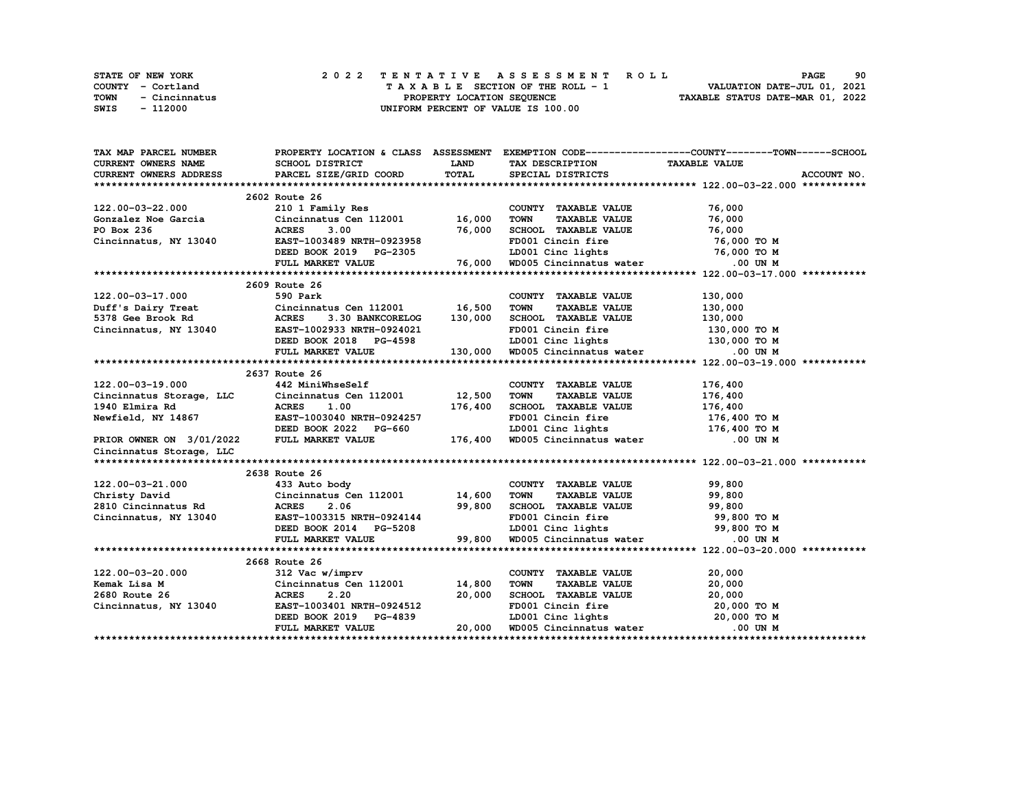|      | <b>STATE OF NEW YORK</b> |  | 2022 TENTATIVE ASSESSMENT ROLL                                 | <b>PAGE</b>                 | 90 |
|------|--------------------------|--|----------------------------------------------------------------|-----------------------------|----|
|      | COUNTY - Cortland        |  | TAXABLE SECTION OF THE ROLL - 1                                | VALUATION DATE-JUL 01, 2021 |    |
| TOWN | - Cincinnatus            |  | TAXABLE STATUS DATE-MAR 01, 2022<br>PROPERTY LOCATION SEQUENCE |                             |    |
| SWIS | - 112000                 |  | UNIFORM PERCENT OF VALUE IS 100.00                             |                             |    |

| <b>TAXABLE VALUE</b><br><b>CURRENT OWNERS NAME</b><br>SCHOOL DISTRICT<br>LAND<br>TAX DESCRIPTION<br><b>TOTAL</b><br>CURRENT OWNERS ADDRESS<br>PARCEL SIZE/GRID COORD<br>SPECIAL DISTRICTS<br>ACCOUNT NO.<br>2602 Route 26<br>122.00-03-22.000<br>COUNTY TAXABLE VALUE<br>76,000<br>210 1 Family Res |  |
|-----------------------------------------------------------------------------------------------------------------------------------------------------------------------------------------------------------------------------------------------------------------------------------------------------|--|
|                                                                                                                                                                                                                                                                                                     |  |
|                                                                                                                                                                                                                                                                                                     |  |
|                                                                                                                                                                                                                                                                                                     |  |
|                                                                                                                                                                                                                                                                                                     |  |
|                                                                                                                                                                                                                                                                                                     |  |
| Cincinnatus Cen 112001 16,000<br>Gonzalez Noe Garcia<br>PO Box 236<br><b>TOWN</b><br><b>TAXABLE VALUE</b><br>76,000                                                                                                                                                                                 |  |
| 76,000<br>PO Box 236<br><b>ACRES</b><br>3.00<br>SCHOOL TAXABLE VALUE<br>76,000                                                                                                                                                                                                                      |  |
| Cincinnatus, NY 13040<br>EAST-1003489 NRTH-0923958<br>FD001 Cincin fire<br>76,000 то м                                                                                                                                                                                                              |  |
| LD001 Cinc lights 76,000 TO M<br>WD005 Cincinnatus water 0.00 UN M<br>DEED BOOK 2019 PG-2305                                                                                                                                                                                                        |  |
| FULL MARKET VALUE<br>76,000                                                                                                                                                                                                                                                                         |  |
|                                                                                                                                                                                                                                                                                                     |  |
| 2609 Route 26                                                                                                                                                                                                                                                                                       |  |
| 122.00-03-17.000<br>590 Park<br>COUNTY TAXABLE VALUE<br>130,000                                                                                                                                                                                                                                     |  |
| Duff's Dairy Treat<br>Cincinnatus Cen 112001 16,500<br><b>TOWN</b><br><b>TAXABLE VALUE</b><br>130,000                                                                                                                                                                                               |  |
| 130,000<br>SCHOOL TAXABLE VALUE<br>130,000                                                                                                                                                                                                                                                          |  |
| FD001 Cincin fire<br>130,000 то м                                                                                                                                                                                                                                                                   |  |
| DEED BOOK 2018 PG-4598 LD001 Cinc lights 130,000 TO M<br>FULL MARKET VALUE 130,000 WD005 Cincinnatus water 0.00 UN M                                                                                                                                                                                |  |
|                                                                                                                                                                                                                                                                                                     |  |
|                                                                                                                                                                                                                                                                                                     |  |
| 2637 Route 26                                                                                                                                                                                                                                                                                       |  |
| 122.00-03-19.000<br>COUNTY TAXABLE VALUE<br>176,400<br>442 MiniWhseSelf<br>Cincinnatus Cen 112001 12,500                                                                                                                                                                                            |  |
| Cincinnatus Storage, LLC<br>1940 Elmira Rd<br><b>TOWN</b><br><b>TAXABLE VALUE</b><br>176,400                                                                                                                                                                                                        |  |
| SCHOOL TAXABLE VALUE<br>176,400<br><b>ACRES</b><br>1.00<br>176,400                                                                                                                                                                                                                                  |  |
| Newfield, NY 14867<br>Newfield, NY 14867<br>DEED BOOK 2022 PG-660<br>FD001 Cincin fire<br>LD001 Cinc lights<br>176,400 то м                                                                                                                                                                         |  |
| 176,400 то м                                                                                                                                                                                                                                                                                        |  |
| WD005 Cincinnatus water .00 UN M<br>176,400<br>PRIOR OWNER ON 3/01/2022<br>FULL MARKET VALUE                                                                                                                                                                                                        |  |
| Cincinnatus Storage, LLC                                                                                                                                                                                                                                                                            |  |
|                                                                                                                                                                                                                                                                                                     |  |
| 2638 Route 26                                                                                                                                                                                                                                                                                       |  |
| 122.00-03-21.000<br>Christy David Cincinnatus Cen 112001 14,600<br>Christy David Cincinnatus Cen 112001 14,600<br>COUNTY TAXABLE VALUE<br>99,800                                                                                                                                                    |  |
| TOWN<br><b>TAXABLE VALUE</b><br>99,800                                                                                                                                                                                                                                                              |  |
| 2810 Cincinnatus Rd ACRES<br>SCHOOL TAXABLE VALUE 99,800<br>99,800<br>2.06                                                                                                                                                                                                                          |  |
| FD001 Cincin fire<br>Cincinnatus, NY 13040 EAST-1003315 NRTH-0924144<br>99,800 то м<br>99,800 то м                                                                                                                                                                                                  |  |
| LD001 Cinc lights<br>WD005 Cincinnatus water<br>DEED BOOK 2014 PG-5208                                                                                                                                                                                                                              |  |
| 99,800<br>FULL MARKET VALUE<br>.00 UN M                                                                                                                                                                                                                                                             |  |
|                                                                                                                                                                                                                                                                                                     |  |
| 2668 Route 26                                                                                                                                                                                                                                                                                       |  |
| 122.00-03-20.000<br>312 Vac w/imprv<br>COUNTY TAXABLE VALUE<br>20,000                                                                                                                                                                                                                               |  |
| Cincinnatus Cen 112001 14,800<br><b>TOWN</b><br>Kemak Lisa M<br>TAXABLE VALUE<br>20,000                                                                                                                                                                                                             |  |
| 20,000<br>SCHOOL TAXABLE VALUE<br>2680 Route 26<br><b>ACRES</b><br>2.20<br>20,000                                                                                                                                                                                                                   |  |
| FD001 Cincin fire<br>Cincinnatus, NY 13040<br>EAST-1003401 NRTH-0924512<br>20,000 TO M                                                                                                                                                                                                              |  |
| LD001 Cinc lights 20,000 TO M<br>DEED BOOK 2019 PG-4839                                                                                                                                                                                                                                             |  |
| FULL MARKET VALUE<br>20,000<br>WD005 Cincinnatus water<br>.00 UN M                                                                                                                                                                                                                                  |  |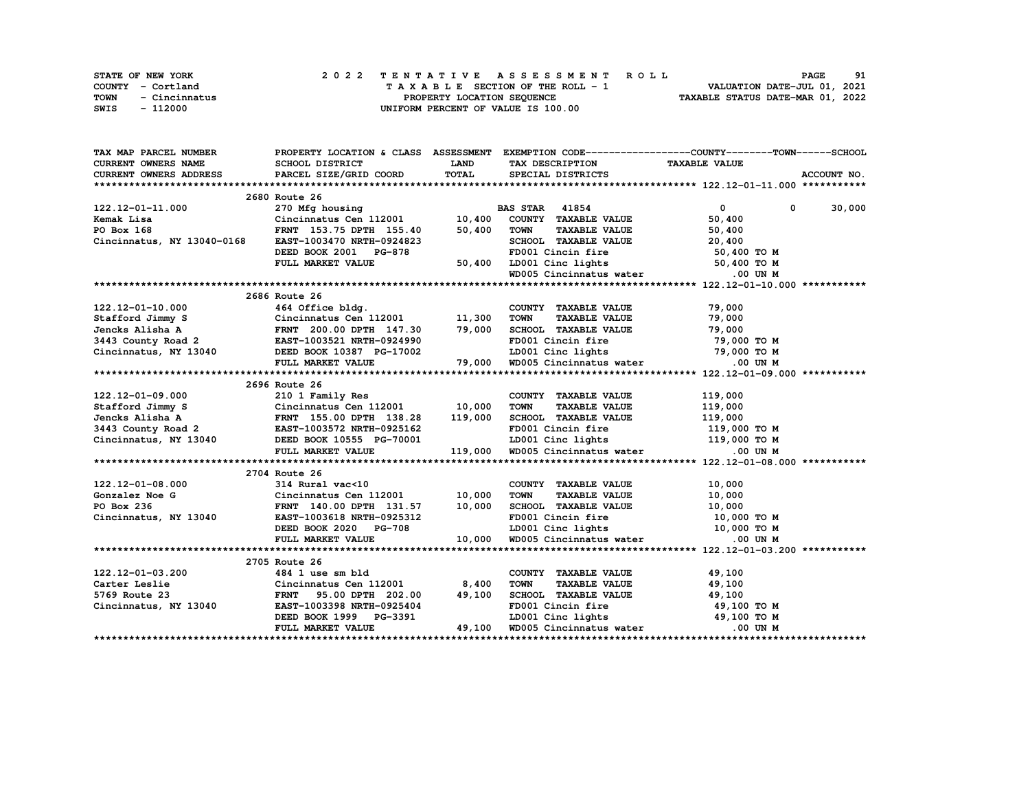| <b>STATE OF NEW YORK</b> | 2022 TENTATIVE ASSESSMENT ROLL     | 91<br><b>PAGE</b>                |
|--------------------------|------------------------------------|----------------------------------|
| COUNTY - Cortland        | TAXABLE SECTION OF THE ROLL - 1    | VALUATION DATE-JUL 01, 2021      |
| TOWN<br>- Cincinnatus    | PROPERTY LOCATION SEOUENCE         | TAXABLE STATUS DATE-MAR 01, 2022 |
| SWIS<br>- 112000         | UNIFORM PERCENT OF VALUE IS 100.00 |                                  |

| TAX MAP PARCEL NUMBER                                                                                                                                                                                                                  |                                                                                           |              |                                                                                                            | PROPERTY LOCATION & CLASS ASSESSMENT EXEMPTION CODE----------------COUNTY-------TOWN------SCHOOL                                                                                                                                                                                                                                                                                                      |               |
|----------------------------------------------------------------------------------------------------------------------------------------------------------------------------------------------------------------------------------------|-------------------------------------------------------------------------------------------|--------------|------------------------------------------------------------------------------------------------------------|-------------------------------------------------------------------------------------------------------------------------------------------------------------------------------------------------------------------------------------------------------------------------------------------------------------------------------------------------------------------------------------------------------|---------------|
| <b>CURRENT OWNERS NAME</b>                                                                                                                                                                                                             | SCHOOL DISTRICT                                                                           | <b>LAND</b>  | TAX DESCRIPTION TAXABLE VALUE                                                                              |                                                                                                                                                                                                                                                                                                                                                                                                       |               |
| CURRENT OWNERS ADDRESS                                                                                                                                                                                                                 | PARCEL SIZE/GRID COORD                                                                    | <b>TOTAL</b> | SPECIAL DISTRICTS                                                                                          |                                                                                                                                                                                                                                                                                                                                                                                                       | ACCOUNT NO.   |
|                                                                                                                                                                                                                                        |                                                                                           |              |                                                                                                            |                                                                                                                                                                                                                                                                                                                                                                                                       |               |
|                                                                                                                                                                                                                                        | 2680 Route 26                                                                             |              |                                                                                                            |                                                                                                                                                                                                                                                                                                                                                                                                       |               |
| 122.12-01-11.000                                                                                                                                                                                                                       | 270 Mfg housing B2<br>Cincinnatus Cen 112001 10,400                                       |              | <b>BAS STAR</b> 41854                                                                                      | $\overline{\mathbf{0}}$ and $\overline{\mathbf{0}}$ and $\overline{\mathbf{0}}$ and $\overline{\mathbf{0}}$ and $\overline{\mathbf{0}}$ and $\overline{\mathbf{0}}$ and $\overline{\mathbf{0}}$ and $\overline{\mathbf{0}}$ and $\overline{\mathbf{0}}$ and $\overline{\mathbf{0}}$ and $\overline{\mathbf{0}}$ and $\overline{\mathbf{0}}$ and $\overline{\mathbf{0}}$ and $\overline{\mathbf{0}}$ a | $0 \t 30,000$ |
| Kemak Lisa                                                                                                                                                                                                                             |                                                                                           |              | COUNTY TAXABLE VALUE                                                                                       | 50,400                                                                                                                                                                                                                                                                                                                                                                                                |               |
| PO Box 168                                                                                                                                                                                                                             |                                                                                           | 50,400       | TAXABLE VALUE<br>TOWN                                                                                      | 50,400                                                                                                                                                                                                                                                                                                                                                                                                |               |
| Cincinnatus, NY 13040-0168                                                                                                                                                                                                             | EAST-1003470 NRTH-0924823                                                                 |              | SCHOOL TAXABLE VALUE 20,400                                                                                |                                                                                                                                                                                                                                                                                                                                                                                                       |               |
|                                                                                                                                                                                                                                        | DEED BOOK 2001 PG-878                                                                     |              | FD001 Cincin fire                                                                                          | 50,400 TO M                                                                                                                                                                                                                                                                                                                                                                                           |               |
|                                                                                                                                                                                                                                        | FULL MARKET VALUE                                                                         | 50,400       | 2001 Cinc lights<br>WD005 Cincinnatus water 50,400 TO M<br>WD005 Cincinnatus water 00 UN M                 |                                                                                                                                                                                                                                                                                                                                                                                                       |               |
|                                                                                                                                                                                                                                        |                                                                                           |              |                                                                                                            |                                                                                                                                                                                                                                                                                                                                                                                                       |               |
|                                                                                                                                                                                                                                        |                                                                                           |              |                                                                                                            |                                                                                                                                                                                                                                                                                                                                                                                                       |               |
|                                                                                                                                                                                                                                        | 2686 Route 26                                                                             |              |                                                                                                            |                                                                                                                                                                                                                                                                                                                                                                                                       |               |
|                                                                                                                                                                                                                                        |                                                                                           |              |                                                                                                            |                                                                                                                                                                                                                                                                                                                                                                                                       |               |
|                                                                                                                                                                                                                                        |                                                                                           |              |                                                                                                            |                                                                                                                                                                                                                                                                                                                                                                                                       |               |
|                                                                                                                                                                                                                                        |                                                                                           |              |                                                                                                            |                                                                                                                                                                                                                                                                                                                                                                                                       |               |
|                                                                                                                                                                                                                                        |                                                                                           |              |                                                                                                            |                                                                                                                                                                                                                                                                                                                                                                                                       |               |
|                                                                                                                                                                                                                                        |                                                                                           |              |                                                                                                            |                                                                                                                                                                                                                                                                                                                                                                                                       |               |
|                                                                                                                                                                                                                                        |                                                                                           |              |                                                                                                            |                                                                                                                                                                                                                                                                                                                                                                                                       |               |
|                                                                                                                                                                                                                                        |                                                                                           |              |                                                                                                            |                                                                                                                                                                                                                                                                                                                                                                                                       |               |
|                                                                                                                                                                                                                                        | 2696 Route 26                                                                             |              |                                                                                                            |                                                                                                                                                                                                                                                                                                                                                                                                       |               |
| 122.12-01-09.000 210 1 Family Res<br>Stafford Jimmy S Cincinnatus Cen 112001 10,000<br>Jencks Alisha A FRNT 155.00 DPTH 138.28 119,000<br>3443 County Road 2 EAST-1003572 NRTH-0925162<br>Cincinnatus, NY 13040 DEED BOOK 10555 PG-700 |                                                                                           |              | COUNTY TAXABLE VALUE                                                                                       | 119,000                                                                                                                                                                                                                                                                                                                                                                                               |               |
|                                                                                                                                                                                                                                        |                                                                                           |              | <b>TOWN</b><br><b>TAXABLE VALUE</b>                                                                        | 119,000                                                                                                                                                                                                                                                                                                                                                                                               |               |
|                                                                                                                                                                                                                                        |                                                                                           |              | SCHOOL TAXABLE VALUE 119,000<br>FD001 Cincin fire 119,000 TO M                                             |                                                                                                                                                                                                                                                                                                                                                                                                       |               |
|                                                                                                                                                                                                                                        |                                                                                           |              |                                                                                                            |                                                                                                                                                                                                                                                                                                                                                                                                       |               |
|                                                                                                                                                                                                                                        |                                                                                           |              | LD001 Cinc lights $119,000$ TO M                                                                           |                                                                                                                                                                                                                                                                                                                                                                                                       |               |
|                                                                                                                                                                                                                                        | FULL MARKET VALUE                                                                         |              | 119,000 WD005 Cincinnatus water .00 UN M                                                                   |                                                                                                                                                                                                                                                                                                                                                                                                       |               |
|                                                                                                                                                                                                                                        |                                                                                           |              |                                                                                                            |                                                                                                                                                                                                                                                                                                                                                                                                       |               |
|                                                                                                                                                                                                                                        | 2704 Route 26                                                                             |              |                                                                                                            |                                                                                                                                                                                                                                                                                                                                                                                                       |               |
|                                                                                                                                                                                                                                        |                                                                                           |              | COUNTY TAXABLE VALUE                                                                                       | 10,000<br>10,000                                                                                                                                                                                                                                                                                                                                                                                      |               |
|                                                                                                                                                                                                                                        |                                                                                           |              | TOWN<br><b>TAXABLE VALUE</b>                                                                               | 10,000                                                                                                                                                                                                                                                                                                                                                                                                |               |
| 122.12-01-08.000 314 Rural vac<10<br>Gonzalez Noe G Cincinnatus Cen 112001 10,000<br>PO Box 236 FRNT 140.00 DPTH 131.57 10,000                                                                                                         |                                                                                           |              | SCHOOL TAXABLE VALUE 10,000                                                                                |                                                                                                                                                                                                                                                                                                                                                                                                       |               |
| Cincinnatus, NY 13040                                                                                                                                                                                                                  | EAST-1003618 NRTH-0925312                                                                 |              | ED001 Cincin fire 10,000 TO M<br>LD001 Cinc lights 10,000 TO M<br>10,000 WD005 Cincinnatus water 0.00 UN M |                                                                                                                                                                                                                                                                                                                                                                                                       |               |
|                                                                                                                                                                                                                                        | DEED BOOK 2020 PG-708                                                                     |              |                                                                                                            |                                                                                                                                                                                                                                                                                                                                                                                                       |               |
|                                                                                                                                                                                                                                        | FULL MARKET VALUE                                                                         |              |                                                                                                            |                                                                                                                                                                                                                                                                                                                                                                                                       |               |
|                                                                                                                                                                                                                                        |                                                                                           |              |                                                                                                            |                                                                                                                                                                                                                                                                                                                                                                                                       |               |
|                                                                                                                                                                                                                                        | 2705 Route 26                                                                             |              |                                                                                                            |                                                                                                                                                                                                                                                                                                                                                                                                       |               |
| 122.12-01-03.200                                                                                                                                                                                                                       | 484 1 use sm bld                                                                          |              | COUNTY TAXABLE VALUE 49,100                                                                                |                                                                                                                                                                                                                                                                                                                                                                                                       |               |
| Carter Leslie                                                                                                                                                                                                                          | Cincinnatus Cen 112001              8,400<br>FRNT      95.00 DPTH   202.00         49,100 |              | <b>TOWN</b><br>TAXABLE VALUE 49,100                                                                        |                                                                                                                                                                                                                                                                                                                                                                                                       |               |
| 5769 Route 23 FRNT 95.00 DPTH 202.00<br>Cincinnatus, NY 13040 EAST-1003398 NRTH-0925404                                                                                                                                                | FRNT 95.00 DPTH 202.00 49,100                                                             |              | SCHOOL TAXABLE VALUE<br>FD001 Cincin fire                                                                  | 49,100                                                                                                                                                                                                                                                                                                                                                                                                |               |
|                                                                                                                                                                                                                                        |                                                                                           |              |                                                                                                            | 49,100 TO M                                                                                                                                                                                                                                                                                                                                                                                           |               |
|                                                                                                                                                                                                                                        | DEED BOOK 1999 PG-3391                                                                    |              | LD001 Cinc lights 49,100 TO M                                                                              |                                                                                                                                                                                                                                                                                                                                                                                                       |               |
|                                                                                                                                                                                                                                        | FULL MARKET VALUE                                                                         |              | 49,100 WD005 Cincinnatus water                                                                             | .00 UN M                                                                                                                                                                                                                                                                                                                                                                                              |               |
|                                                                                                                                                                                                                                        |                                                                                           |              |                                                                                                            |                                                                                                                                                                                                                                                                                                                                                                                                       |               |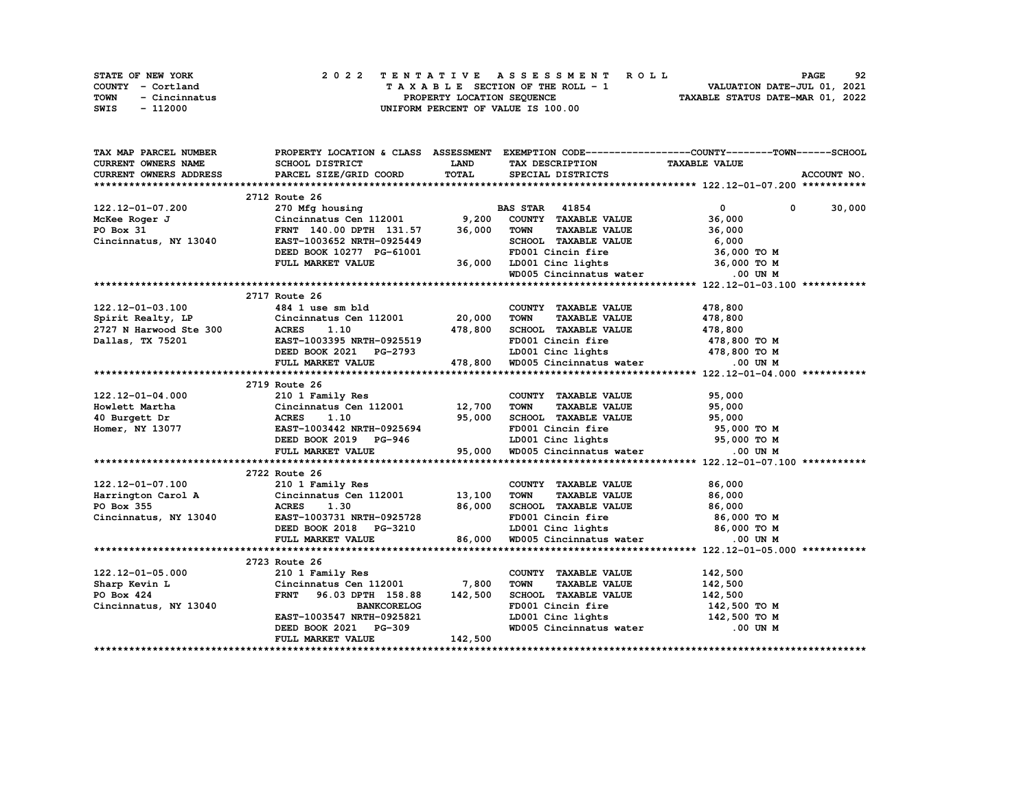| <b>STATE OF NEW YORK</b> | 2022 TENTATIVE ASSESSMENT ROLL     | 92<br><b>PAGE</b>                |
|--------------------------|------------------------------------|----------------------------------|
| COUNTY - Cortland        | TAXABLE SECTION OF THE ROLL - 1    | VALUATION DATE-JUL 01, 2021      |
| TOWN<br>- Cincinnatus    | PROPERTY LOCATION SEOUENCE         | TAXABLE STATUS DATE-MAR 01, 2022 |
| SWIS<br>- 112000         | UNIFORM PERCENT OF VALUE IS 100.00 |                                  |

| TAX MAP PARCEL NUMBER       |                                                                                                                                                                                                                                                    |              |                                                                                                                                               | PROPERTY LOCATION & CLASS ASSESSMENT EXEMPTION CODE----------------COUNTY-------TOWN-----SCHOOL |  |
|-----------------------------|----------------------------------------------------------------------------------------------------------------------------------------------------------------------------------------------------------------------------------------------------|--------------|-----------------------------------------------------------------------------------------------------------------------------------------------|-------------------------------------------------------------------------------------------------|--|
| CURRENT OWNERS NAME         | <b>SCHOOL DISTRICT</b>                                                                                                                                                                                                                             | <b>LAND</b>  | TAX DESCRIPTION TAXABLE VALUE                                                                                                                 |                                                                                                 |  |
| CURRENT OWNERS ADDRESS      | PARCEL SIZE/GRID COORD                                                                                                                                                                                                                             | <b>TOTAL</b> | SPECIAL DISTRICTS                                                                                                                             | ACCOUNT NO.                                                                                     |  |
|                             |                                                                                                                                                                                                                                                    |              |                                                                                                                                               |                                                                                                 |  |
|                             | 2712 Route 26                                                                                                                                                                                                                                      |              |                                                                                                                                               |                                                                                                 |  |
| 122.12-01-07.200            | 270 Mfg housing BZ<br>Cincinnatus Cen 112001 9,200                                                                                                                                                                                                 |              | <b>BAS STAR</b> 41854                                                                                                                         | $\overline{0}$<br>$0 \t 30,000$                                                                 |  |
| McKee Roger J               |                                                                                                                                                                                                                                                    |              | COUNTY TAXABLE VALUE                                                                                                                          | 36,000                                                                                          |  |
| PO Box 31                   | FRNT 140.00 DPTH 131.57 36,000                                                                                                                                                                                                                     |              | <b>TOWN</b><br>TAXABLE VALUE                                                                                                                  | 36,000                                                                                          |  |
| Cincinnatus, NY 13040       | EAST-1003652 NRTH-0925449                                                                                                                                                                                                                          |              |                                                                                                                                               |                                                                                                 |  |
|                             | DEED BOOK 10277 PG-61001                                                                                                                                                                                                                           |              | SCHOOL TAXABLE VALUE 6,000<br>FD001 Cincin fire 36,000 TO M                                                                                   |                                                                                                 |  |
|                             | FULL MARKET VALUE                                                                                                                                                                                                                                  |              | 36,000 LD001 Cinc lights 36,000 TO M<br>WD005 Cincinnatus water 0.00 UN M                                                                     |                                                                                                 |  |
|                             |                                                                                                                                                                                                                                                    |              |                                                                                                                                               |                                                                                                 |  |
|                             |                                                                                                                                                                                                                                                    |              |                                                                                                                                               |                                                                                                 |  |
|                             | 2717 Route 26                                                                                                                                                                                                                                      |              |                                                                                                                                               |                                                                                                 |  |
| 122.12-01-03.100            | 484 1 use sm bld                                                                                                                                                                                                                                   |              | COUNTY TAXABLE VALUE                                                                                                                          | 478,800                                                                                         |  |
| Spirit Realty, LP           | Cincinnatus Cen 112001 20,000                                                                                                                                                                                                                      |              | <b>TOWN</b><br>TAXABLE VALUE                                                                                                                  | 478,800                                                                                         |  |
|                             |                                                                                                                                                                                                                                                    | 478,800      | SCHOOL TAXABLE VALUE 478,800                                                                                                                  |                                                                                                 |  |
|                             | 2727 N Harwood Ste 300 ACRES 1.10<br>Dallas, TX 75201 EAST-1003395 NRTH-0925519                                                                                                                                                                    |              | FD001 Cincin fire                                                                                                                             | 478,800 TO M                                                                                    |  |
|                             | DEED BOOK 2021 PG-2793 LD001 Cinc lights 478,800 TO M<br>FULL MARKET VALUE 478,800 WD005 Cincinnatus water 0.00 UN M                                                                                                                               |              |                                                                                                                                               |                                                                                                 |  |
|                             |                                                                                                                                                                                                                                                    |              |                                                                                                                                               |                                                                                                 |  |
|                             |                                                                                                                                                                                                                                                    |              |                                                                                                                                               |                                                                                                 |  |
|                             | 2719 Route 26                                                                                                                                                                                                                                      |              |                                                                                                                                               |                                                                                                 |  |
|                             |                                                                                                                                                                                                                                                    |              | COUNTY TAXABLE VALUE                                                                                                                          | 95,000                                                                                          |  |
|                             |                                                                                                                                                                                                                                                    |              | <b>TAXABLE VALUE</b><br>TOWN                                                                                                                  | 95,000                                                                                          |  |
|                             |                                                                                                                                                                                                                                                    |              | SCHOOL TAXABLE VALUE 95,000                                                                                                                   |                                                                                                 |  |
|                             |                                                                                                                                                                                                                                                    |              | FD001 Cincin fire                                                                                                                             |                                                                                                 |  |
|                             |                                                                                                                                                                                                                                                    |              |                                                                                                                                               |                                                                                                 |  |
|                             | 122.12-01-04.000<br>Howlett Martha Cincinnatus Cen 112001 12,700<br>40 Burgett Dr ACRES 1.10 95,000<br>Homer, NY 13077 EAST-1003442 NRTH-0925694<br>DEED BOOK 2019 PG-946<br>12,700<br>25,000<br>2019 PG-946<br>25,000<br>FULL MARKET VALUE        |              | %5,000 TO M FD001 Cincin fire = 95,000 TO M = 95,000 TO M = 95,000 TO M = 1D001 Cincin fire<br>PG-946 55,000 MD005 Cincinnatus water .00 UN M |                                                                                                 |  |
|                             |                                                                                                                                                                                                                                                    |              |                                                                                                                                               |                                                                                                 |  |
|                             | 2722 Route 26                                                                                                                                                                                                                                      |              |                                                                                                                                               |                                                                                                 |  |
|                             |                                                                                                                                                                                                                                                    |              |                                                                                                                                               |                                                                                                 |  |
|                             |                                                                                                                                                                                                                                                    |              | COUNTY TAXABLE VALUE $86,000$<br>TOWN TAXABLE VALUE $86,000$                                                                                  |                                                                                                 |  |
|                             |                                                                                                                                                                                                                                                    |              | SCHOOL TAXABLE VALUE 86,000                                                                                                                   |                                                                                                 |  |
|                             | 122.12-01-07.100<br>Harrington Carol A<br>Po Box 355<br>Cincinnatus Cen 112001<br>210 1 Family Res<br>Cincinnatus Cen 112001<br>210 1 Family Res<br>210 1 13,100<br>210<br>210 1 21201<br>213,100<br>26,000<br>26,000<br>26,000<br>26,000<br>25728 |              | FD001 Cincin fire 86,000 TO M<br>LD001 Cinc lights 86,000 TO M<br>WD005 Cincinnatus water 0.00 UN M                                           |                                                                                                 |  |
|                             | 025728 ELED BOOK 2018 PG-3210                                                                                                                                                                                                                      |              |                                                                                                                                               |                                                                                                 |  |
|                             | FULL MARKET VALUE                                                                                                                                                                                                                                  | 86,000       |                                                                                                                                               |                                                                                                 |  |
|                             |                                                                                                                                                                                                                                                    |              |                                                                                                                                               |                                                                                                 |  |
|                             | 2723 Route 26                                                                                                                                                                                                                                      |              |                                                                                                                                               |                                                                                                 |  |
| 122.12-01-05.000            | 210 1 Family Res                                                                                                                                                                                                                                   |              | COUNTY TAXABLE VALUE                                                                                                                          | 142,500                                                                                         |  |
| Sharp Kevin L<br>PO Box 424 | Cincinnatus Cen 112001 7,800                                                                                                                                                                                                                       |              | <b>TAXABLE VALUE</b><br><b>TOWN</b>                                                                                                           | 142,500                                                                                         |  |
| PO Box 424                  | FRNT 96.03 DPTH 158.88                                                                                                                                                                                                                             | 142,500      | SCHOOL TAXABLE VALUE 142,500                                                                                                                  |                                                                                                 |  |
| Cincinnatus, NY 13040       | <b>BANKCORELOG</b>                                                                                                                                                                                                                                 |              | FD001 Cincin fire                                                                                                                             | 142,500 TO M                                                                                    |  |
|                             | EAST-1003547 NRTH-0925821                                                                                                                                                                                                                          |              | LD001 Cinc lights 142,500 TO M<br>WD005 Cincinnatus water .00 UN M                                                                            |                                                                                                 |  |
|                             | DEED BOOK 2021 PG-309                                                                                                                                                                                                                              |              |                                                                                                                                               |                                                                                                 |  |
|                             | FULL MARKET VALUE                                                                                                                                                                                                                                  | 142,500      |                                                                                                                                               |                                                                                                 |  |
|                             |                                                                                                                                                                                                                                                    |              |                                                                                                                                               |                                                                                                 |  |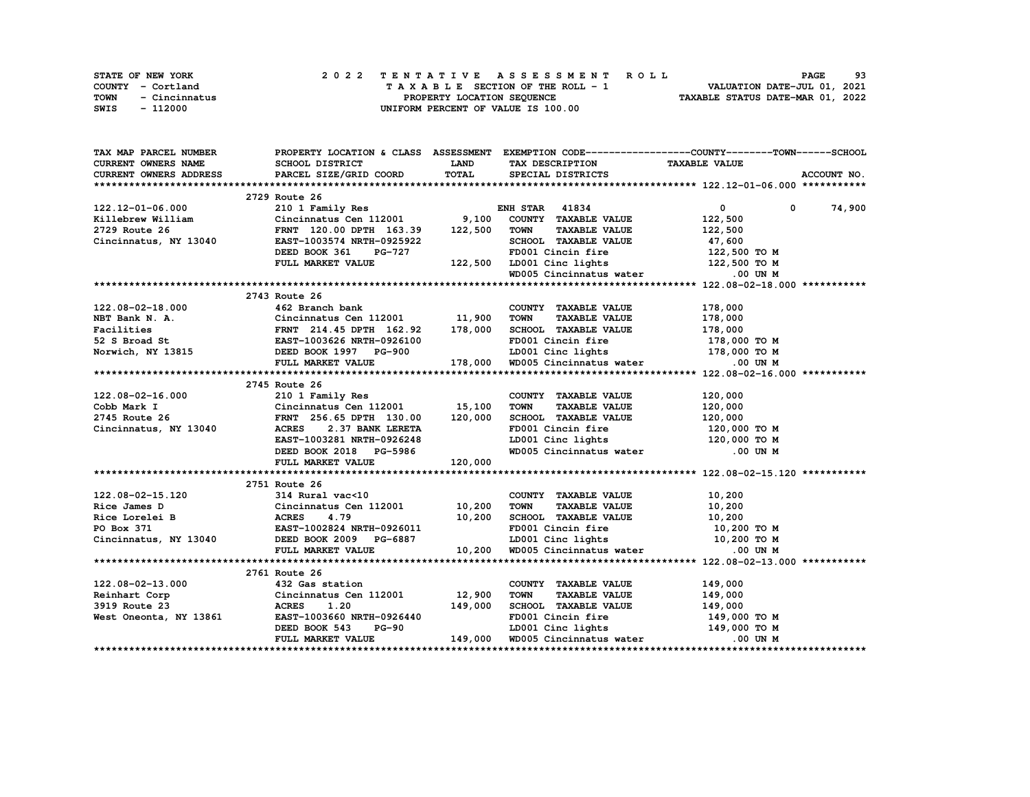| STATE OF NEW YORK     | 2022 TENTATIVE ASSESSMENT ROLL     | 93<br><b>PAGE</b>                |
|-----------------------|------------------------------------|----------------------------------|
| COUNTY - Cortland     | TAXABLE SECTION OF THE ROLL - 1    | VALUATION DATE-JUL 01, 2021      |
| TOWN<br>- Cincinnatus | PROPERTY LOCATION SEOUENCE         | TAXABLE STATUS DATE-MAR 01, 2022 |
| - 112000<br>SWIS      | UNIFORM PERCENT OF VALUE IS 100.00 |                                  |

| TAX MAP PARCEL NUMBER      |                                                                                                                                                                                                                                          |              |                                                                    | PROPERTY LOCATION & CLASS ASSESSMENT EXEMPTION CODE-----------------COUNTY-------TOWN------SCHOOL |
|----------------------------|------------------------------------------------------------------------------------------------------------------------------------------------------------------------------------------------------------------------------------------|--------------|--------------------------------------------------------------------|---------------------------------------------------------------------------------------------------|
| <b>CURRENT OWNERS NAME</b> | SCHOOL DISTRICT                                                                                                                                                                                                                          | <b>LAND</b>  | TAX DESCRIPTION TAXABLE VALUE                                      |                                                                                                   |
| CURRENT OWNERS ADDRESS     | PARCEL SIZE/GRID COORD                                                                                                                                                                                                                   | <b>TOTAL</b> | SPECIAL DISTRICTS                                                  | ACCOUNT NO.                                                                                       |
|                            |                                                                                                                                                                                                                                          |              |                                                                    |                                                                                                   |
|                            | 2729 Route 26                                                                                                                                                                                                                            |              |                                                                    |                                                                                                   |
|                            | ENH STAR 41834<br>210 1 Family Res ENH STAR 41834<br>Cincinnatus Cen 112001 9,100 COUNTY TAXABLE VALUE                                                                                                                                   |              |                                                                    | 0 0 74,900                                                                                        |
|                            |                                                                                                                                                                                                                                          |              |                                                                    |                                                                                                   |
|                            |                                                                                                                                                                                                                                          |              |                                                                    |                                                                                                   |
|                            |                                                                                                                                                                                                                                          |              |                                                                    |                                                                                                   |
|                            |                                                                                                                                                                                                                                          |              |                                                                    |                                                                                                   |
|                            |                                                                                                                                                                                                                                          |              |                                                                    |                                                                                                   |
|                            |                                                                                                                                                                                                                                          |              |                                                                    |                                                                                                   |
|                            | 122.12-01-06.000<br>EXPERIME SUBANTILE CONTRAINS CONTRAINS ON TAXABLE VALUE 122,500<br>2729 Route 26 FRNT 120.00 DPTH 163.39 122,500 TOWN TAXABLE VALUE 122,500<br>Cincinnatus, NY 13040 EAST-1003574 NRTH-0925922 SCHOOL TAXABLE        |              |                                                                    |                                                                                                   |
|                            | 2743 Route 26                                                                                                                                                                                                                            |              |                                                                    |                                                                                                   |
| 122.08-02-18.000           | 462 Branch bank                                                                                                                                                                                                                          |              | COUNTY TAXABLE VALUE                                               | 178,000                                                                                           |
|                            |                                                                                                                                                                                                                                          |              |                                                                    |                                                                                                   |
|                            |                                                                                                                                                                                                                                          |              |                                                                    |                                                                                                   |
|                            |                                                                                                                                                                                                                                          |              |                                                                    |                                                                                                   |
|                            |                                                                                                                                                                                                                                          |              |                                                                    |                                                                                                   |
|                            | NET Bank N. A.<br>NET Bank N. A.<br>Cincinnatus Cen 112001 11,900 TOWN TAXABLE VALUE<br>Facilities FRNT 214.45 DPTH 162.92 178,000 SCHOOL TAXABLE VALUE<br>52 S Broad St EAST-1003626 NRTH-0926100 FD001 Cincin fire 178,000 TO M<br>Nor |              |                                                                    |                                                                                                   |
|                            |                                                                                                                                                                                                                                          |              |                                                                    |                                                                                                   |
|                            | 2745 Route 26                                                                                                                                                                                                                            |              |                                                                    |                                                                                                   |
| 122.08-02-16.000           | 210 1 Family Res                                                                                                                                                                                                                         |              | COUNTY TAXABLE VALUE                                               | 120,000                                                                                           |
|                            |                                                                                                                                                                                                                                          |              | <b>TAXABLE VALUE</b><br>TOWN                                       | 120,000                                                                                           |
|                            | Cobb Mark I Cincinnatus Cen 112001 15,100<br>2745 Route 26 FRNT 256.65 DPTH 130.00 120,000<br>Cincinnatus, NY 13040 ACRES 2.37 BANK LERETA                                                                                               |              |                                                                    |                                                                                                   |
|                            |                                                                                                                                                                                                                                          |              | SCHOOL TAXABLE VALUE 120,000<br>FD001 Cincin fire 120,000 TO M     |                                                                                                   |
|                            |                                                                                                                                                                                                                                          |              |                                                                    |                                                                                                   |
|                            |                                                                                                                                                                                                                                          |              | LD001 Cinc lights 120,000 TO M<br>WD005 Cincinnatus water .00 UN M |                                                                                                   |
|                            | EAST-1003281 NRTH-0926248<br>DEED BOOK 2018 PG-5986<br>FULL MARKET VALUE 120,000                                                                                                                                                         |              |                                                                    |                                                                                                   |
|                            |                                                                                                                                                                                                                                          |              |                                                                    |                                                                                                   |
|                            | 2751 Route 26                                                                                                                                                                                                                            |              |                                                                    |                                                                                                   |
|                            |                                                                                                                                                                                                                                          |              |                                                                    |                                                                                                   |
|                            |                                                                                                                                                                                                                                          |              |                                                                    |                                                                                                   |
|                            |                                                                                                                                                                                                                                          |              |                                                                    |                                                                                                   |
|                            |                                                                                                                                                                                                                                          |              |                                                                    |                                                                                                   |
|                            |                                                                                                                                                                                                                                          |              |                                                                    |                                                                                                   |
|                            |                                                                                                                                                                                                                                          |              |                                                                    |                                                                                                   |
|                            | 122.08-02-15.120<br>Rice James D Cincinnatus Cen 112001<br>Rice Lorelei B ACRES 4.79 10,200 TOWN TAXABLE VALUE<br>PO Box 371 EAST-1002824 NRTH-0926011<br>Cincinnatus, NY 13040 DEED BOOK 2009 PG-6887 10,200 WD005 Cincinnatus water    |              |                                                                    |                                                                                                   |
|                            | 2761 Route 26                                                                                                                                                                                                                            |              |                                                                    |                                                                                                   |
|                            |                                                                                                                                                                                                                                          |              |                                                                    |                                                                                                   |
|                            |                                                                                                                                                                                                                                          |              |                                                                    |                                                                                                   |
|                            |                                                                                                                                                                                                                                          |              |                                                                    |                                                                                                   |
|                            |                                                                                                                                                                                                                                          |              |                                                                    |                                                                                                   |
|                            |                                                                                                                                                                                                                                          |              |                                                                    |                                                                                                   |
|                            | 122.08-02-13.000<br>Reinhart Corp Cincinnatus Cen 112001 12,900 TOWN TAXABLE VALUE<br>3919 Route 23 ACRES 1.20 149,000 SCHOOL TAXABLE VALUE<br>West Oneonta, NY 13861 EAST-1003660 NRTH-0926440 FD001 Cincin fire 149,000 TO M<br>DEE    |              |                                                                    |                                                                                                   |
|                            |                                                                                                                                                                                                                                          |              |                                                                    |                                                                                                   |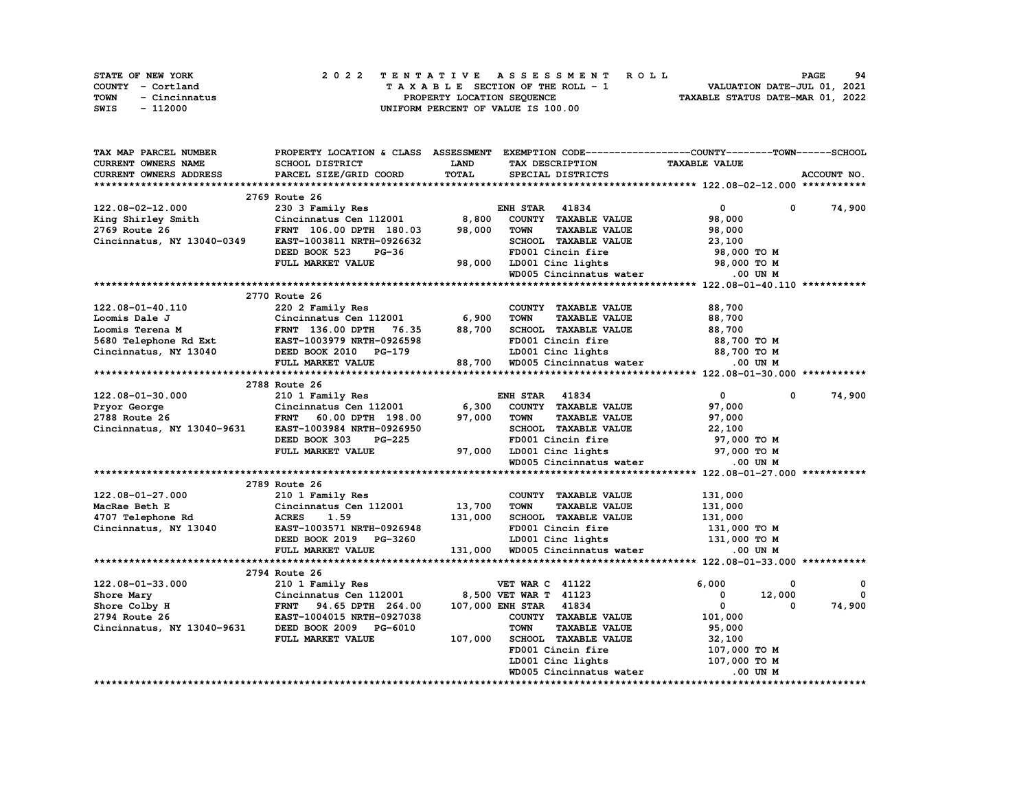| <b>STATE OF NEW YORK</b>     | 2022 TENTATIVE ASSESSMENT ROLL     | 94<br>PAGE                       |
|------------------------------|------------------------------------|----------------------------------|
| COUNTY - Cortland            | TAXABLE SECTION OF THE ROLL - 1    | VALUATION DATE-JUL 01, 2021      |
| <b>TOWN</b><br>- Cincinnatus | PROPERTY LOCATION SEOUENCE         | TAXABLE STATUS DATE-MAR 01, 2022 |
| SWIS<br>- 112000             | UNIFORM PERCENT OF VALUE IS 100.00 |                                  |

| TAX MAP PARCEL NUMBER      | PROPERTY LOCATION & CLASS ASSESSMENT |             |                                     | EXEMPTION CODE-----------------COUNTY-------TOWN-----SCHOOL |              |
|----------------------------|--------------------------------------|-------------|-------------------------------------|-------------------------------------------------------------|--------------|
| CURRENT OWNERS NAME        | SCHOOL DISTRICT                      | <b>LAND</b> | TAX DESCRIPTION                     | <b>TAXABLE VALUE</b>                                        |              |
| CURRENT OWNERS ADDRESS     | PARCEL SIZE/GRID COORD               | TOTAL       | SPECIAL DISTRICTS                   |                                                             | ACCOUNT NO.  |
|                            |                                      |             |                                     |                                                             |              |
|                            | 2769 Route 26                        |             |                                     |                                                             |              |
| 122.08-02-12.000           | 230 3 Family Res                     |             | <b>ENH STAR</b><br>41834            | $\mathbf 0$<br>0                                            | 74,900       |
| King Shirley Smith         | Cincinnatus Cen 112001               | 8,800       | COUNTY TAXABLE VALUE                | 98,000                                                      |              |
| 2769 Route 26              | FRNT 106.00 DPTH 180.03              | 98,000      | <b>TOWN</b><br><b>TAXABLE VALUE</b> | 98,000                                                      |              |
| Cincinnatus, NY 13040-0349 | EAST-1003811 NRTH-0926632            |             | SCHOOL TAXABLE VALUE                | 23,100                                                      |              |
|                            | DEED BOOK 523<br>$PG-36$             |             | FD001 Cincin fire                   | 98,000 TO M                                                 |              |
|                            | FULL MARKET VALUE                    | 98,000      | LD001 Cinc lights                   | 98,000 TO M                                                 |              |
|                            |                                      |             | WD005 Cincinnatus water             | .00 UN M                                                    |              |
|                            |                                      |             |                                     |                                                             |              |
|                            | 2770 Route 26                        |             |                                     |                                                             |              |
| 122.08-01-40.110           | 220 2 Family Res                     |             | COUNTY TAXABLE VALUE                | 88,700                                                      |              |
| Loomis Dale J              | Cincinnatus Cen 112001               | 6,900       | <b>TOWN</b><br><b>TAXABLE VALUE</b> | 88,700                                                      |              |
| Loomis Terena M            | FRNT 136.00 DPTH 76.35               | 88,700      | SCHOOL TAXABLE VALUE                | 88,700                                                      |              |
| 5680 Telephone Rd Ext      | EAST-1003979 NRTH-0926598            |             | FD001 Cincin fire                   | 88,700 то м                                                 |              |
| Cincinnatus, NY 13040      | DEED BOOK 2010 PG-179                |             | LD001 Cinc lights                   | 88,700 TO M                                                 |              |
|                            | FULL MARKET VALUE                    |             | 88,700 WD005 Cincinnatus water      | $.00$ UN M                                                  |              |
|                            |                                      |             |                                     |                                                             |              |
|                            | 2788 Route 26                        |             |                                     |                                                             |              |
| 122.08-01-30.000           | 210 1 Family Res                     |             | 41834<br><b>ENH STAR</b>            | $\mathbf{0}$<br>$\Omega$                                    | 74,900       |
| Pryor George               | Cincinnatus Cen 112001               | 6,300       | COUNTY TAXABLE VALUE                | 97,000                                                      |              |
| 2788 Route 26              | <b>FRNT</b><br>60.00 DPTH 198.00     | 97,000      | <b>TOWN</b><br><b>TAXABLE VALUE</b> | 97,000                                                      |              |
| Cincinnatus, NY 13040-9631 | EAST-1003984 NRTH-0926950            |             | SCHOOL TAXABLE VALUE                | 22,100                                                      |              |
|                            | DEED BOOK 303<br>PG-225              |             | FD001 Cincin fire                   | 97,000 TO M                                                 |              |
|                            | FULL MARKET VALUE                    | 97,000      | LD001 Cinc lights                   | 97,000 TO M                                                 |              |
|                            |                                      |             | WD005 Cincinnatus water             | .00 UN M                                                    |              |
|                            |                                      |             |                                     |                                                             |              |
|                            | 2789 Route 26                        |             |                                     |                                                             |              |
| 122.08-01-27.000           | 210 1 Family Res                     |             | COUNTY TAXABLE VALUE                | 131,000                                                     |              |
| MacRae Beth E              | Cincinnatus Cen 112001               | 13,700      | <b>TOWN</b><br><b>TAXABLE VALUE</b> | 131,000                                                     |              |
| 4707 Telephone Rd          | <b>ACRES</b><br>1.59                 | 131,000     | SCHOOL TAXABLE VALUE                | 131,000                                                     |              |
| Cincinnatus, NY 13040      | EAST-1003571 NRTH-0926948            |             | FD001 Cincin fire                   | 131,000 TO M                                                |              |
|                            | DEED BOOK 2019 PG-3260               |             | LD001 Cinc lights                   | 131,000 TO M                                                |              |
|                            | FULL MARKET VALUE                    | 131,000     | WD005 Cincinnatus water             | .00 UN M                                                    |              |
|                            |                                      |             |                                     |                                                             |              |
|                            | 2794 Route 26                        |             |                                     |                                                             |              |
| 122.08-01-33.000           | 210 1 Family Res                     |             | <b>VET WAR C 41122</b>              | 6,000<br>0                                                  | 0            |
| Shore Mary                 | Cincinnatus Cen 112001               |             | 8,500 VET WAR T 41123               | 12,000<br>0                                                 | $\mathbf{0}$ |
| Shore Colby H              | <b>FRNT</b><br>94.65 DPTH 264.00     |             | 107,000 ENH STAR 41834              | $\mathbf{0}$<br>0                                           | 74,900       |
| 2794 Route 26              | EAST-1004015 NRTH-0927038            |             | COUNTY TAXABLE VALUE                | 101,000                                                     |              |
| Cincinnatus, NY 13040-9631 | DEED BOOK 2009 PG-6010               |             | <b>TOWN</b><br><b>TAXABLE VALUE</b> | 95,000                                                      |              |
|                            | FULL MARKET VALUE                    | 107,000     | <b>SCHOOL TAXABLE VALUE</b>         | 32,100                                                      |              |
|                            |                                      |             | FD001 Cincin fire                   | 107,000 TO M                                                |              |
|                            |                                      |             | LD001 Cinc lights                   | 107,000 TO M                                                |              |
|                            |                                      |             | WD005 Cincinnatus water             | .00 UN M                                                    |              |
|                            |                                      |             |                                     |                                                             |              |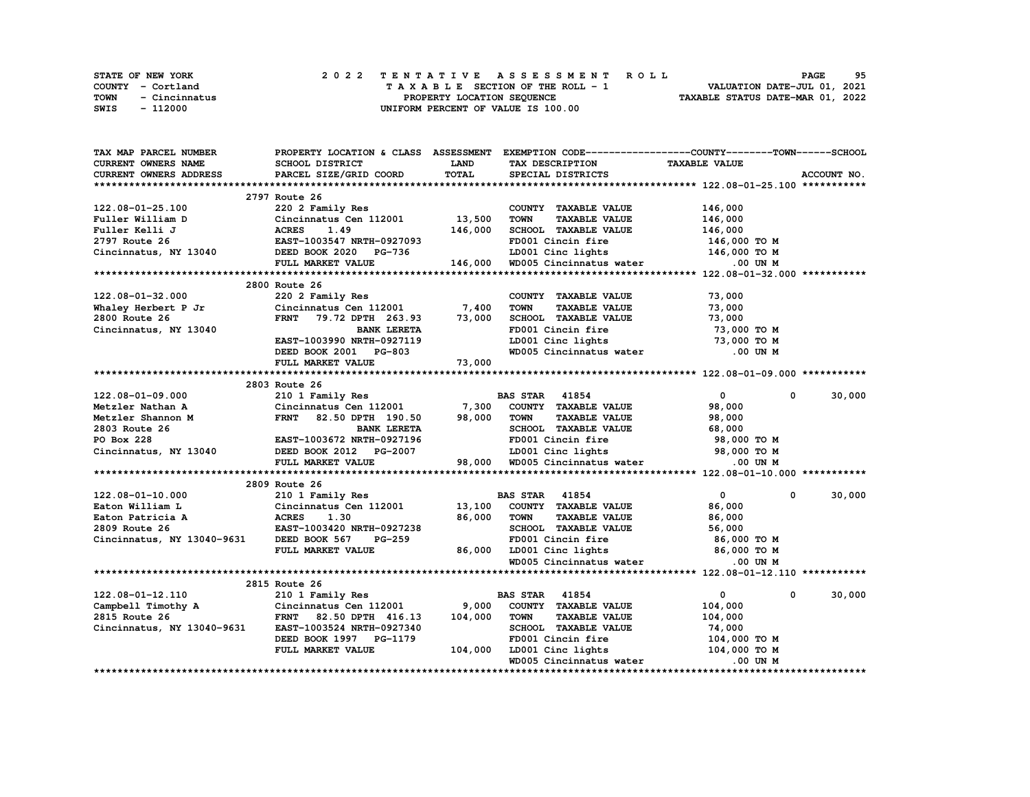|      | <b>STATE OF NEW YORK</b> |  | 2022 TENTATIVE ASSESSMENT ROLL                                 | <b>PAGE</b> | 95 |
|------|--------------------------|--|----------------------------------------------------------------|-------------|----|
|      | COUNTY - Cortland        |  | VALUATION DATE-JUL 01, 2021<br>TAXABLE SECTION OF THE ROLL - 1 |             |    |
| TOWN | - Cincinnatus            |  | TAXABLE STATUS DATE-MAR 01, 2022<br>PROPERTY LOCATION SEQUENCE |             |    |
| SWIS | - 112000                 |  | UNIFORM PERCENT OF VALUE IS 100.00                             |             |    |

| TAX MAP PARCEL NUMBER                                     |                                                                                   |              | PROPERTY LOCATION & CLASS ASSESSMENT EXEMPTION CODE---------------COUNTY-------TOWN------SCHOOL                    |                      |                       |
|-----------------------------------------------------------|-----------------------------------------------------------------------------------|--------------|--------------------------------------------------------------------------------------------------------------------|----------------------|-----------------------|
| <b>CURRENT OWNERS NAME</b>                                | SCHOOL DISTRICT                                                                   | LAND         | TAX DESCRIPTION                                                                                                    | <b>TAXABLE VALUE</b> |                       |
| CURRENT OWNERS ADDRESS                                    | PARCEL SIZE/GRID COORD                                                            | <b>TOTAL</b> | SPECIAL DISTRICTS                                                                                                  |                      | ACCOUNT NO.           |
|                                                           |                                                                                   |              |                                                                                                                    |                      |                       |
|                                                           | 2797 Route 26                                                                     |              |                                                                                                                    |                      |                       |
| 122.08-01-25.100                                          | 220 2 Family Res                                                                  |              | COUNTY TAXABLE VALUE                                                                                               | 146,000              |                       |
| Fuller William D                                          | Cincinnatus Cen 112001 13,500                                                     |              | <b>TOWN</b><br><b>TAXABLE VALUE</b>                                                                                | 146,000              |                       |
| Fuller Kelli J                                            | <b>ACRES</b><br>1.49                                                              | 146,000      | SCHOOL TAXABLE VALUE                                                                                               | 146,000              |                       |
| 2797 Route 26                                             | EAST-1003547 NRTH-0927093                                                         |              | FD001 Cincin fire                                                                                                  | 146,000 TO M         |                       |
| Cincinnatus, NY 13040                                     | DEED BOOK 2020 PG-736                                                             |              |                                                                                                                    | 146,000 TO M         |                       |
|                                                           | FULL MARKET VALUE                                                                 |              | LD001 Cinc lights 146,000 TO M<br>146,000 WD005 Cincinnatus water 0.00 UN M                                        |                      |                       |
|                                                           |                                                                                   |              |                                                                                                                    |                      |                       |
|                                                           | 2800 Route 26                                                                     |              |                                                                                                                    |                      |                       |
| 122.08-01-32.000                                          | 220 2 Family Res                                                                  |              | COUNTY TAXABLE VALUE                                                                                               | 73,000               |                       |
| Whaley Herbert P Jr                                       | $Cincinnatus$ Cen 112001 7,400                                                    |              | <b>TOWN</b><br><b>TAXABLE VALUE</b>                                                                                | 73,000               |                       |
| 2800 Route 26                                             | FRNT 79.72 DPTH 263.93 73,000                                                     |              | SCHOOL TAXABLE VALUE                                                                                               | 73,000               |                       |
| Cincinnatus, NY 13040                                     | <b>BANK LERETA</b>                                                                |              | FD001 Cincin fire                                                                                                  | 73,000 TO M          |                       |
|                                                           | EAST-1003990 NRTH-0927119                                                         |              | LD001 Cinc lights                                                                                                  | 73,000 TO M          |                       |
|                                                           | DEED BOOK 2001 PG-803                                                             |              | WD005 Cincinnatus water .00 UN M                                                                                   |                      |                       |
|                                                           |                                                                                   |              |                                                                                                                    |                      |                       |
|                                                           | FULL MARKET VALUE                                                                 | 73,000       |                                                                                                                    |                      |                       |
|                                                           | 2803 Route 26                                                                     |              |                                                                                                                    |                      |                       |
|                                                           |                                                                                   |              |                                                                                                                    | $\mathbf{0}$         | 30,000                |
| 122.08-01-09.000                                          | 210 1 Family Res                                                                  |              | <b>BAS STAR 41854</b>                                                                                              | 0                    |                       |
| 122.08-01-09.000<br>Metzler Nathan A<br>Metzler Shannon M | Cincinnatus Cen 112001 7,300                                                      |              | COUNTY TAXABLE VALUE                                                                                               | 98,000               |                       |
|                                                           | FRNT 82.50 DPTH 190.50                                                            | 98,000       | <b>TOWN</b><br><b>TAXABLE VALUE</b>                                                                                | 98,000               |                       |
| 2803 Route 26                                             | <b>BANK LERETA</b>                                                                |              | SCHOOL TAXABLE VALUE                                                                                               | 68,000               |                       |
| PO Box 228                                                | EAST-1003672 NRTH-0927196                                                         |              | FD001 Cincin fire                                                                                                  | 98,000 TO M          |                       |
| Cincinnatus, NY 13040                                     |                                                                                   |              | DEED BOOK 2012 PG-2007 LD001 Cinc lights 98,000 TO M<br>FULL MARKET VALUE 98,000 WD005 Cincinnatus water 0.00 UN M |                      |                       |
|                                                           |                                                                                   |              |                                                                                                                    |                      |                       |
|                                                           |                                                                                   |              |                                                                                                                    |                      |                       |
|                                                           | 2809 Route 26                                                                     |              |                                                                                                                    |                      |                       |
| 122.08-01-10.000                                          | 210 1 Family Res                                                                  |              | <b>BAS STAR 41854</b>                                                                                              | $\mathbf{0}$         | 30,000<br>$^{\circ}$  |
| Eaton William L                                           |                                                                                   |              | COUNTY TAXABLE VALUE                                                                                               | 86,000               |                       |
| Eaton Patricia A                                          |                                                                                   |              | <b>TOWN</b><br><b>TAXABLE VALUE</b>                                                                                | 86,000               |                       |
| 2809 Route 26                                             | Cincinnatus Cen 112001 13,100<br>A ACRES 1.30 86,000<br>EAST-1003420 NRTH-0927238 |              | SCHOOL TAXABLE VALUE                                                                                               | 56,000               |                       |
| Cincinnatus, NY 13040-9631 DEED BOOK 567 PG-259           |                                                                                   |              | FD001 Cincin fire                                                                                                  | 86,000 то м          |                       |
|                                                           | FULL MARKET VALUE                                                                 | 86,000       | LD001 Cinc lights 86,000 TO M                                                                                      |                      |                       |
|                                                           |                                                                                   |              | WD005 Cincinnatus water                                                                                            | .00 UN M             |                       |
|                                                           |                                                                                   |              |                                                                                                                    |                      |                       |
|                                                           | 2815 Route 26                                                                     |              |                                                                                                                    |                      |                       |
| 122.08-01-12.110                                          | 210 1 Family Res                                                                  |              | <b>BAS STAR 41854</b>                                                                                              | $\mathbf{0}$         | 30,000<br>$\mathbf 0$ |
| Campbell Timothy A Cincinnatus Cen 112001                 |                                                                                   | 9,000        | COUNTY TAXABLE VALUE                                                                                               | 104,000              |                       |
| 2815 Route 26                                             | FRNT 82.50 DPTH 416.13                                                            | 104,000      | <b>TAXABLE VALUE</b><br><b>TOWN</b>                                                                                | 104,000              |                       |
| Cincinnatus, NY 13040-9631 EAST-1003524 NRTH-0927340      |                                                                                   |              | SCHOOL TAXABLE VALUE                                                                                               | 74,000               |                       |
|                                                           | DEED BOOK 1997 PG-1179                                                            |              | FD001 Cincin fire                                                                                                  | 104,000 TO M         |                       |
|                                                           | FULL MARKET VALUE                                                                 | 104,000      | LD001 Cinc lights                                                                                                  | 104,000 TO M         |                       |
|                                                           |                                                                                   |              | WD005 Cincinnatus water                                                                                            | .00 UN M             |                       |
|                                                           |                                                                                   |              |                                                                                                                    |                      |                       |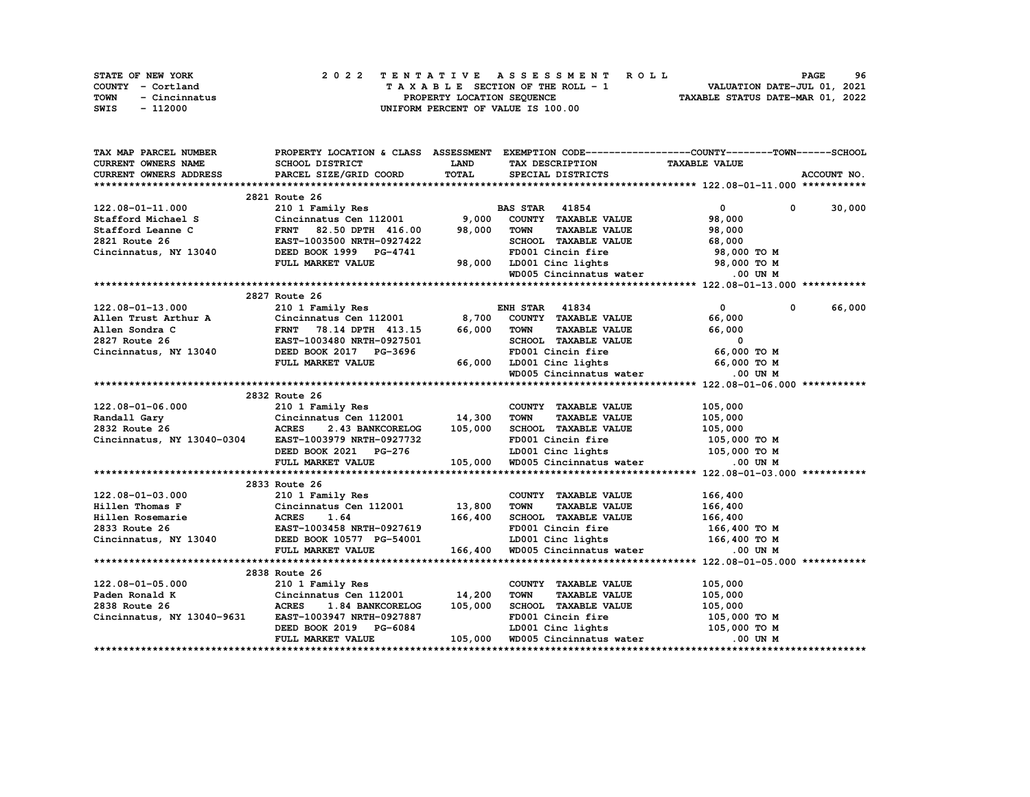| <b>STATE OF NEW YORK</b> | 2022 TENTATIVE ASSESSMENT ROLL     | 96<br><b>PAGE</b>                |
|--------------------------|------------------------------------|----------------------------------|
| COUNTY - Cortland        | TAXABLE SECTION OF THE ROLL - 1    | VALUATION DATE-JUL 01, 2021      |
| TOWN<br>- Cincinnatus    | PROPERTY LOCATION SEOUENCE         | TAXABLE STATUS DATE-MAR 01, 2022 |
| SWIS<br>- 112000         | UNIFORM PERCENT OF VALUE IS 100.00 |                                  |

| TAX MAP PARCEL NUMBER                                                                                                                                                                                                                   |                                                                                                        |             |                                                                                     | PROPERTY LOCATION & CLASS ASSESSMENT EXEMPTION CODE----------------COUNTY-------TOWN-----SCHOOL |               |
|-----------------------------------------------------------------------------------------------------------------------------------------------------------------------------------------------------------------------------------------|--------------------------------------------------------------------------------------------------------|-------------|-------------------------------------------------------------------------------------|-------------------------------------------------------------------------------------------------|---------------|
| CURRENT OWNERS NAME                                                                                                                                                                                                                     | SCHOOL DISTRICT                                                                                        | <b>LAND</b> | TAX DESCRIPTION TAXABLE VALUE                                                       |                                                                                                 |               |
| CURRENT OWNERS ADDRESS                                                                                                                                                                                                                  | PARCEL SIZE/GRID COORD                                                                                 | TOTAL       | SPECIAL DISTRICTS                                                                   |                                                                                                 | ACCOUNT NO.   |
|                                                                                                                                                                                                                                         |                                                                                                        |             |                                                                                     |                                                                                                 |               |
|                                                                                                                                                                                                                                         | 2821 Route 26                                                                                          |             |                                                                                     |                                                                                                 |               |
| 122.08-01-11.000                                                                                                                                                                                                                        | 210 1 Family Res<br>210 1 Family Res<br>Cincinnatus Cen 112001 9,000 COUNTY TAXABLE                    |             |                                                                                     | $\overline{0}$                                                                                  | $0 \t 30,000$ |
|                                                                                                                                                                                                                                         |                                                                                                        |             | COUNTY TAXABLE VALUE                                                                | 98,000                                                                                          |               |
|                                                                                                                                                                                                                                         |                                                                                                        |             | TAXABLE VALUE<br><b>TOWN</b>                                                        | 98,000                                                                                          |               |
|                                                                                                                                                                                                                                         |                                                                                                        |             | SCHOOL TAXABLE VALUE                                                                | 68,000                                                                                          |               |
| 122.00-01-11.000 210 1 Family Res B2<br>Stafford Michael S Cincinnatus Cen 112001 9,000<br>Stafford Leanne C FRNT 82.50 DPTH 416.00 98,000<br>2821 Route 26 EAST-1003500 NRTH-0927422<br>Cincinnatus, NY 13040 DEED BOOK 1999 PG-4741   | DEED BOOK 1999 $PG-4741$                                                                               |             | FD001 Cincin fire                                                                   | 98,000 TO M                                                                                     |               |
|                                                                                                                                                                                                                                         | FULL MARKET VALUE                                                                                      |             |                                                                                     |                                                                                                 |               |
|                                                                                                                                                                                                                                         |                                                                                                        |             | 98,000 LD001 Cinc lights 98,000 TO M<br>WD005 Cincinnatus water .00 UN M            |                                                                                                 |               |
|                                                                                                                                                                                                                                         |                                                                                                        |             |                                                                                     |                                                                                                 |               |
|                                                                                                                                                                                                                                         | 2827 Route 26                                                                                          |             |                                                                                     |                                                                                                 |               |
| 122.08-01-13.000                                                                                                                                                                                                                        | 210 1 Family Res                                                                                       |             | <b>ENH STAR 41834</b>                                                               | $\mathbf{0}$<br>$^{\circ}$                                                                      | 66,000        |
| Allen Trust Arthur A Cincinnatus Cen 112001 8,700                                                                                                                                                                                       |                                                                                                        |             | COUNTY TAXABLE VALUE                                                                | 66,000                                                                                          |               |
| Allen Sondra C                                                                                                                                                                                                                          |                                                                                                        | 66,000      |                                                                                     |                                                                                                 |               |
| Allen Sondra C<br>2827 Route 26 EAST-1003480 NRTH-092/501<br>Cincinnatus, NY 13040 EED BOOK 2017 PG-3696 FD001 Cincin fire 66,000 TO M<br>FULL MARKET VALUE 66,000 LD001 Cinc lights 66,000 TO M MD005 Cincinnatus water 000 M MD005 Ci | FRNT 78.14 DPTH 413.15<br>EAST-1003480 NRTH-0927501                                                    |             | TOWN TAXABLE VALUE<br>SCHOOL TAXABLE VALUE 66,000<br>FD001 Cincin fire 66,000 TO M  |                                                                                                 |               |
|                                                                                                                                                                                                                                         |                                                                                                        |             |                                                                                     |                                                                                                 |               |
|                                                                                                                                                                                                                                         |                                                                                                        |             |                                                                                     |                                                                                                 |               |
|                                                                                                                                                                                                                                         |                                                                                                        |             |                                                                                     |                                                                                                 |               |
|                                                                                                                                                                                                                                         |                                                                                                        |             |                                                                                     |                                                                                                 |               |
|                                                                                                                                                                                                                                         | 2832 Route 26                                                                                          |             |                                                                                     |                                                                                                 |               |
| 122.08-01-06.000                                                                                                                                                                                                                        | 210 1 Family Res                                                                                       |             | COUNTY TAXABLE VALUE                                                                | 105,000                                                                                         |               |
|                                                                                                                                                                                                                                         |                                                                                                        |             | <b>TOWN</b><br>TAXABLE VALUE<br>TAXABLE VALUE 105,000<br>All Contract 105,000       |                                                                                                 |               |
|                                                                                                                                                                                                                                         |                                                                                                        |             | SCHOOL TAXABLE VALUE                                                                |                                                                                                 |               |
|                                                                                                                                                                                                                                         |                                                                                                        |             |                                                                                     |                                                                                                 |               |
|                                                                                                                                                                                                                                         |                                                                                                        |             |                                                                                     |                                                                                                 |               |
|                                                                                                                                                                                                                                         |                                                                                                        |             |                                                                                     |                                                                                                 |               |
| 2832 Route 26<br>Cincinnatus, NY 13040-0304 EAST-1003979 NRTH-0927732 FD001 Cincin fire 105,000 TO M<br>DEED BOOK 2021 PG-276 ID001 Cinc lights 105,000 TO M<br>FULL MARKET VALUE 105,000 WD005 Cincinnatus water 00 UN M               |                                                                                                        |             |                                                                                     |                                                                                                 |               |
|                                                                                                                                                                                                                                         |                                                                                                        |             |                                                                                     |                                                                                                 |               |
|                                                                                                                                                                                                                                         | 2833 Route 26                                                                                          |             |                                                                                     |                                                                                                 |               |
| 122.08-01-03.000                                                                                                                                                                                                                        | 210 1 Family Res                                                                                       |             | COUNTY TAXABLE VALUE                                                                | 166,400                                                                                         |               |
|                                                                                                                                                                                                                                         |                                                                                                        |             | TAXABLE VALUE<br><b>TOWN</b>                                                        | 166,400                                                                                         |               |
|                                                                                                                                                                                                                                         |                                                                                                        |             | SCHOOL TAXABLE VALUE 166,400<br>FD001 Cincin fire 166,400 TO M                      |                                                                                                 |               |
|                                                                                                                                                                                                                                         |                                                                                                        |             |                                                                                     |                                                                                                 |               |
|                                                                                                                                                                                                                                         |                                                                                                        |             | G-54001 LD001 Cinc lights 166,400 TO M<br>166,400 WD005 Cincinnatus water 0.00 UN M |                                                                                                 |               |
|                                                                                                                                                                                                                                         | FULL MARKET VALUE                                                                                      |             |                                                                                     |                                                                                                 |               |
|                                                                                                                                                                                                                                         |                                                                                                        |             |                                                                                     |                                                                                                 |               |
|                                                                                                                                                                                                                                         | 2838 Route 26                                                                                          |             |                                                                                     |                                                                                                 |               |
| 122.08-01-05.000                                                                                                                                                                                                                        | 210 1 Family Res                                                                                       |             | COUNTY TAXABLE VALUE                                                                | 105,000                                                                                         |               |
| Paden Ronald K                                                                                                                                                                                                                          | Concinnatus Cen 112001 14, 200<br>ACRES 1.84 BANKCORELOG 105, 000                                      |             | <b>TOWN</b><br><b>TAXABLE VALUE</b>                                                 | 105,000                                                                                         |               |
| 2838 Route 26                                                                                                                                                                                                                           |                                                                                                        |             | SCHOOL TAXABLE VALUE                                                                | 105,000                                                                                         |               |
| Cincinnatus, NY 13040-9631 EAST-1003947 NRTH-0927887                                                                                                                                                                                    |                                                                                                        |             | FD001 Cincin fire                                                                   | 105,000 TO M                                                                                    |               |
|                                                                                                                                                                                                                                         |                                                                                                        |             | LD001 Cinc lights 105,000 TO M                                                      |                                                                                                 |               |
|                                                                                                                                                                                                                                         | EASI-IVOSS:<br>DEED BOOK 2019 PG-6084 [DEED BOOK 2019 PG-6084 [DEED BOOK 2019 PG-6084 [DEED BOOK 2019] |             |                                                                                     | .00 UN M                                                                                        |               |
|                                                                                                                                                                                                                                         |                                                                                                        |             |                                                                                     |                                                                                                 |               |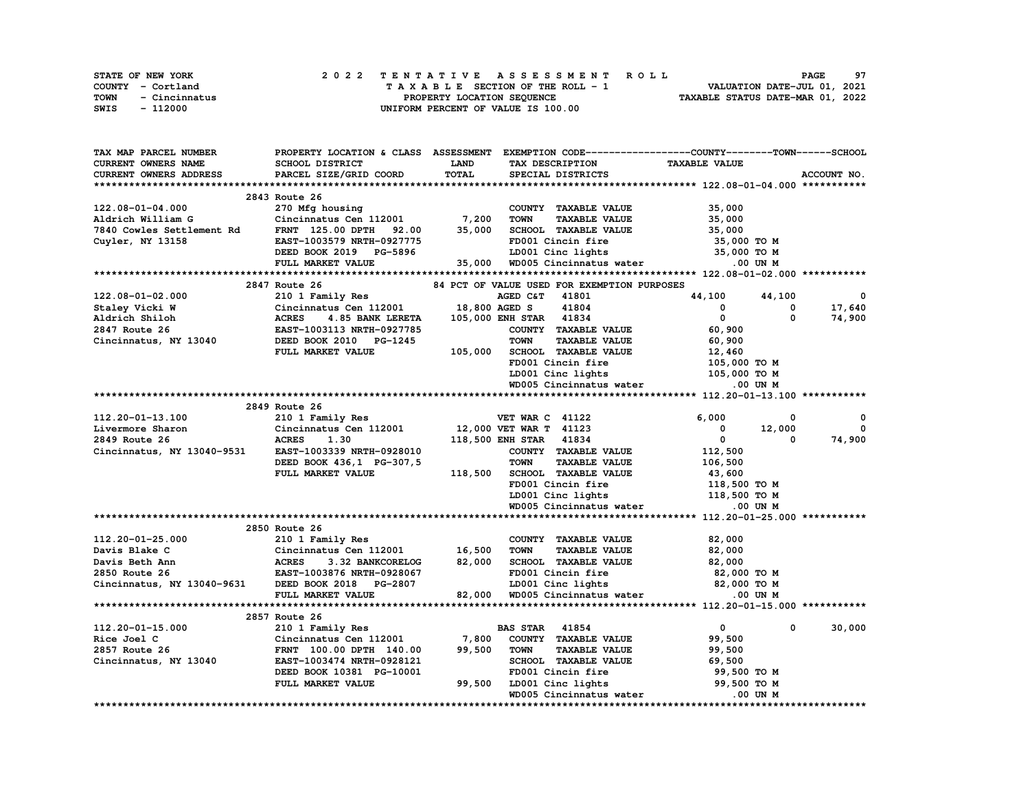| <b>STATE OF NEW YORK</b> | 2022 TENTATIVE ASSESSMENT ROLL     | 97<br><b>PAGE</b>                |
|--------------------------|------------------------------------|----------------------------------|
| COUNTY - Cortland        | TAXABLE SECTION OF THE ROLL - 1    | VALUATION DATE-JUL 01, 2021      |
| TOWN<br>- Cincinnatus    | PROPERTY LOCATION SEOUENCE         | TAXABLE STATUS DATE-MAR 01, 2022 |
| SWIS<br>- 112000         | UNIFORM PERCENT OF VALUE IS 100.00 |                                  |

| TAX MAP PARCEL NUMBER                             | PROPERTY LOCATION & CLASS ASSESSMENT |         |                                             | EXEMPTION CODE------------------COUNTY-------TOWN------SCHOOL |              |
|---------------------------------------------------|--------------------------------------|---------|---------------------------------------------|---------------------------------------------------------------|--------------|
| CURRENT OWNERS NAME                               | SCHOOL DISTRICT                      | LAND    | TAX DESCRIPTION                             | <b>TAXABLE VALUE</b>                                          |              |
| CURRENT OWNERS ADDRESS                            | PARCEL SIZE/GRID COORD               | TOTAL   | SPECIAL DISTRICTS                           |                                                               | ACCOUNT NO.  |
|                                                   |                                      |         |                                             |                                                               |              |
|                                                   | 2843 Route 26                        |         |                                             |                                                               |              |
| 122.08-01-04.000                                  | 270 Mfg housing                      |         | COUNTY TAXABLE VALUE                        | 35,000                                                        |              |
| Aldrich William G                                 | Cincinnatus Cen 112001 7,200         |         | <b>TOWN</b><br><b>TAXABLE VALUE</b>         | 35,000                                                        |              |
| 7840 Cowles Settlement Rd                         | <b>FRNT</b> 125.00 DPTH<br>92.00     | 35,000  | SCHOOL TAXABLE VALUE                        | 35,000                                                        |              |
| Cuyler, NY 13158                                  | EAST-1003579 NRTH-0927775            |         | FD001 Cincin fire                           | 35,000 TO M                                                   |              |
|                                                   | DEED BOOK 2019 PG-5896               |         | LD001 Cinc lights                           | 35,000 TO M                                                   |              |
|                                                   | FULL MARKET VALUE                    |         | 35,000 WD005 Cincinnatus water              | .00 UN M                                                      |              |
|                                                   |                                      |         |                                             |                                                               |              |
|                                                   | 2847 Route 26                        |         | 84 PCT OF VALUE USED FOR EXEMPTION PURPOSES |                                                               |              |
| 122.08-01-02.000                                  | 210 1 Family Res                     |         | AGED C&T 41801                              | 44,100<br>44,100                                              | 0            |
| Staley Vicki W                                    | Cincinnatus Cen 112001               |         | 18,800 AGED S<br>41804                      | $\mathbf{0}$<br>0                                             | 17,640       |
| Aldrich Shiloh                                    | <b>ACRES</b><br>4.85 BANK LERETA     |         | 105,000 ENH STAR 41834                      | $\mathbf{0}$<br>$\mathbf{0}$                                  | 74,900       |
| 2847 Route 26                                     | EAST-1003113 NRTH-0927785            |         | COUNTY TAXABLE VALUE                        | 60,900                                                        |              |
| Cincinnatus, NY 13040                             | DEED BOOK 2010 PG-1245               |         | TOWN<br><b>TAXABLE VALUE</b>                | 60,900                                                        |              |
|                                                   | FULL MARKET VALUE                    | 105,000 | SCHOOL TAXABLE VALUE                        | 12,460                                                        |              |
|                                                   |                                      |         | FD001 Cincin fire                           | 105,000 то м                                                  |              |
|                                                   |                                      |         |                                             | LD001 Cinc lights 105,000 TO M                                |              |
|                                                   |                                      |         | WD005 Cincinnatus water                     | .00 UN M                                                      |              |
|                                                   |                                      |         |                                             |                                                               |              |
|                                                   | 2849 Route 26                        |         |                                             |                                                               |              |
| 112.20-01-13.100                                  | 210 1 Family Res                     |         | <b>VET WAR C 41122</b>                      | 6,000<br>0                                                    | 0            |
| Livermore Sharon                                  | Cincinnatus Cen 112001               |         | 12,000 VET WAR T 41123                      | $\mathbf{0}$<br>12,000                                        | $\mathbf{0}$ |
| 2849 Route 26                                     | <b>ACRES</b><br>1.30                 |         | 118,500 ENH STAR 41834                      | $\mathbf{0}$<br>0                                             | 74,900       |
| Cincinnatus, NY 13040-9531                        | EAST-1003339 NRTH-0928010            |         | COUNTY TAXABLE VALUE                        | 112,500                                                       |              |
|                                                   | DEED BOOK 436,1 PG-307,5             |         | <b>TOWN</b><br><b>TAXABLE VALUE</b>         | 106,500                                                       |              |
|                                                   | FULL MARKET VALUE                    | 118,500 | SCHOOL TAXABLE VALUE                        | 43,600                                                        |              |
|                                                   |                                      |         | FD001 Cincin fire                           | 118,500 TO M                                                  |              |
|                                                   |                                      |         | LD001 Cinc lights                           | 118,500 TO M                                                  |              |
|                                                   |                                      |         | WD005 Cincinnatus water                     | .00 UN M                                                      |              |
|                                                   |                                      |         |                                             |                                                               |              |
|                                                   | 2850 Route 26                        |         |                                             |                                                               |              |
| 112.20-01-25.000                                  | 210 1 Family Res                     |         | COUNTY TAXABLE VALUE                        | 82,000                                                        |              |
| Davis Blake C                                     | Cincinnatus Cen 112001               | 16,500  | <b>TOWN</b><br><b>TAXABLE VALUE</b>         | 82,000                                                        |              |
| Davis Beth Ann                                    | <b>ACRES</b><br>3.32 BANKCORELOG     | 82,000  | SCHOOL TAXABLE VALUE                        | 82,000                                                        |              |
| <b>2850 Route 26</b>                              | EAST-1003876 NRTH-0928067            |         | FD001 Cincin fire                           | 82,000 TO M                                                   |              |
| Cincinnatus, NY 13040-9631 DEED BOOK 2018 PG-2807 |                                      |         | LD001 Cinc lights                           | 82,000 TO M                                                   |              |
|                                                   | FULL MARKET VALUE                    | 82,000  | WD005 Cincinnatus water                     | .00 UN M                                                      |              |
|                                                   |                                      |         |                                             |                                                               |              |
|                                                   | 2857 Route 26                        |         |                                             |                                                               |              |
| 112.20-01-15.000                                  | 210 1 Family Res                     |         | <b>BAS STAR 41854</b>                       | $\bullet$<br>0                                                | 30,000       |
| Rice Joel C                                       | Cincinnatus Cen 112001               | 7,800   | COUNTY TAXABLE VALUE                        | 99,500                                                        |              |
| 2857 Route 26                                     | FRNT 100.00 DPTH 140.00              | 99,500  | <b>TOWN</b><br><b>TAXABLE VALUE</b>         | 99,500                                                        |              |
| Cincinnatus, NY 13040                             | EAST-1003474 NRTH-0928121            |         | SCHOOL TAXABLE VALUE                        | 69,500                                                        |              |
|                                                   | DEED BOOK 10381 PG-10001             |         | FD001 Cincin fire                           | 99,500 TO M                                                   |              |
|                                                   | FULL MARKET VALUE                    | 99,500  | LD001 Cinc lights                           | 99,500 TO M                                                   |              |
|                                                   |                                      |         | WD005 Cincinnatus water                     | .00 UN M                                                      |              |
|                                                   |                                      |         |                                             |                                                               |              |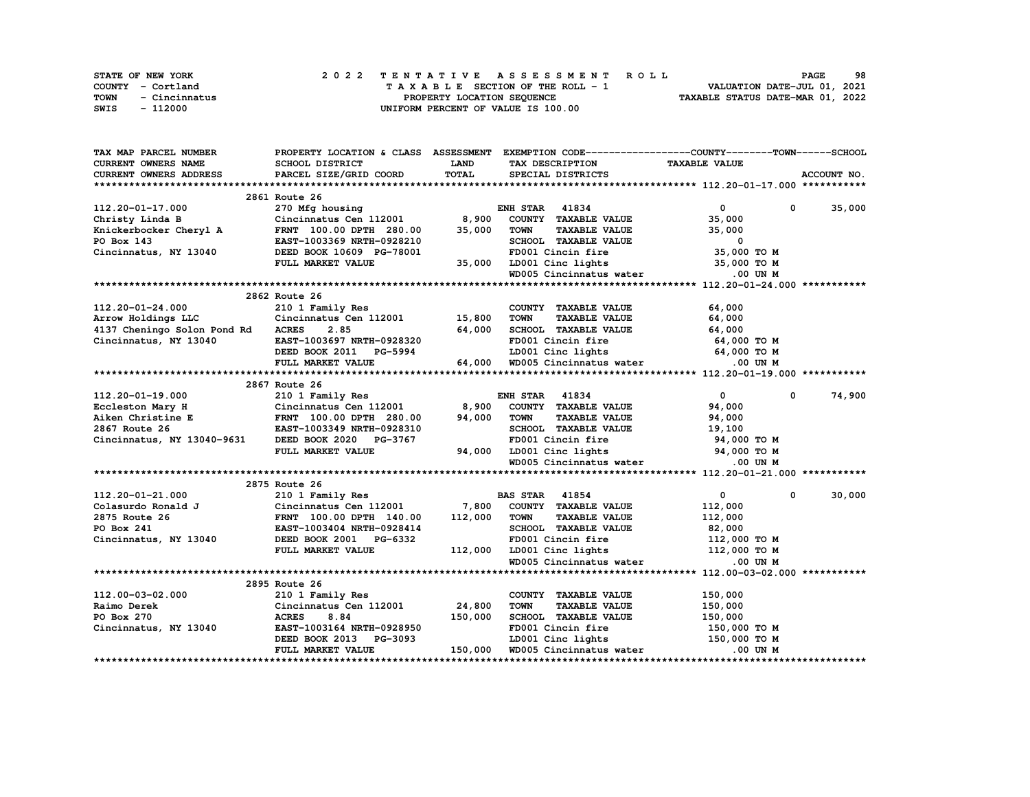| <b>STATE OF NEW YORK</b> | 2022 TENTATIVE ASSESSMENT ROLL     | 98<br><b>PAGE</b>                |
|--------------------------|------------------------------------|----------------------------------|
| COUNTY - Cortland        | TAXABLE SECTION OF THE ROLL - 1    | VALUATION DATE-JUL 01, 2021      |
| TOWN<br>- Cincinnatus    | PROPERTY LOCATION SEOUENCE         | TAXABLE STATUS DATE-MAR 01, 2022 |
| SWIS<br>- 112000         | UNIFORM PERCENT OF VALUE IS 100.00 |                                  |

| TAX MAP PARCEL NUMBER                                            | PROPERTY LOCATION & CLASS ASSESSMENT EXEMPTION CODE-----------------COUNTY-------TOWN------SCHOOL |             |                                                                                     |                             |               |
|------------------------------------------------------------------|---------------------------------------------------------------------------------------------------|-------------|-------------------------------------------------------------------------------------|-----------------------------|---------------|
| CURRENT OWNERS NAME                                              | SCHOOL DISTRICT                                                                                   | <b>LAND</b> | TAX DESCRIPTION                                                                     | <b>TAXABLE VALUE</b>        |               |
| <b>CURRENT OWNERS ADDRESS</b>                                    | PARCEL SIZE/GRID COORD                                                                            | TOTAL       | SPECIAL DISTRICTS                                                                   |                             | ACCOUNT NO.   |
|                                                                  |                                                                                                   |             |                                                                                     |                             |               |
|                                                                  | 2861 Route 26                                                                                     |             |                                                                                     |                             |               |
| 112.20-01-17.000                                                 | 270 Mfg housing                                                                                   |             | <b>ENH STAR 41834</b>                                                               | $\bullet$ $\bullet$         | $0 \t 35,000$ |
| Christy Linda B                                                  | Cincinnatus Cen $112001$ 8,900                                                                    |             | COUNTY TAXABLE VALUE                                                                | 35,000                      |               |
|                                                                  | FRNT 100.00 DPTH 280.00                                                                           | 35,000      | <b>TOWN</b><br>TAXABLE VALUE                                                        | 35,000                      |               |
| ERNT 100.00 DPTH 280.00<br>PO Box 143 EAST-1003369 NRTH-0928210  |                                                                                                   |             | SCHOOL TAXABLE VALUE                                                                | 0                           |               |
| Cincinnatus, NY 13040 DEED BOOK 10609 PG-78001                   |                                                                                                   |             | FD001 Cincin fire                                                                   | $35,000$ TO M               |               |
|                                                                  | FULL MARKET VALUE                                                                                 |             |                                                                                     | 35,000 TO M                 |               |
|                                                                  |                                                                                                   |             | 35,000 LD001 Cinc lights<br>WD005 Cincinnatus water                                 | .00 UN M                    |               |
|                                                                  |                                                                                                   |             |                                                                                     |                             |               |
|                                                                  | 2862 Route 26                                                                                     |             |                                                                                     |                             |               |
| 112.20-01-24.000                                                 | 210 1 Family Res                                                                                  |             | COUNTY TAXABLE VALUE                                                                | 64,000                      |               |
|                                                                  |                                                                                                   |             | <b>TOWN</b><br><b>TAXABLE VALUE</b>                                                 | 64,000                      |               |
| 4137 Cheningo Solon Pond Rd ACRES                                | 2.85                                                                                              | 64,000      | SCHOOL TAXABLE VALUE                                                                | 64,000                      |               |
| Cincinnatus, NY 13040                                            | EAST-1003697 NRTH-0928320                                                                         |             | 28320 FD001 Cincin fire<br>5994 LD001 Cinc lights<br>64,000 WD005 Cincinnatus water | 64,000 TO M                 |               |
|                                                                  | DEED BOOK 2011 PG-5994                                                                            |             |                                                                                     | 64,000 TO M                 |               |
|                                                                  | FULL MARKET VALUE                                                                                 |             |                                                                                     | $.00$ UN $M$                |               |
|                                                                  |                                                                                                   |             |                                                                                     |                             |               |
|                                                                  | 2867 Route 26                                                                                     |             |                                                                                     |                             |               |
|                                                                  |                                                                                                   |             | <b>ENH STAR 41834</b>                                                               | $\mathbf{0}$<br>$\mathbf 0$ | 74,900        |
|                                                                  |                                                                                                   |             | COUNTY TAXABLE VALUE                                                                | 94,000                      |               |
|                                                                  |                                                                                                   |             | <b>TAXABLE VALUE</b><br><b>TOWN</b>                                                 | 94,000                      |               |
|                                                                  |                                                                                                   |             | SCHOOL TAXABLE VALUE                                                                | 19,100                      |               |
| Cincinnatus, NY 13040-9631 DEED BOOK 2020 PG-3767                |                                                                                                   |             | FD001 Cincin fire                                                                   | 94,000 TO M                 |               |
|                                                                  | FULL MARKET VALUE                                                                                 |             | 94,000 LD001 Cinc lights 94,000 TO M                                                |                             |               |
|                                                                  |                                                                                                   |             | WD005 Cincinnatus water                                                             | .00 UN M                    |               |
|                                                                  |                                                                                                   |             |                                                                                     |                             |               |
|                                                                  | 2875 Route 26                                                                                     |             |                                                                                     |                             |               |
| 112.20-01-21.000                                                 | 210 1 Family Res                                                                                  |             | <b>BAS STAR</b> 41854                                                               | $\bullet$<br>$\mathbf 0$    | 30,000        |
| Colasurdo Ronald J                                               | Cincinnatus Cen 112001 7,800 COUNTY TAXABLE VALUE                                                 |             |                                                                                     | 112,000                     |               |
| 2875 Route 26                                                    | FRNT 100.00 DPTH 140.00                                                                           | 112,000     | TOWN<br><b>TAXABLE VALUE</b>                                                        | 112,000                     |               |
| PO Box 241                                                       | EAST-1003404 NRTH-0928414                                                                         |             | SCHOOL TAXABLE VALUE                                                                | 82,000                      |               |
| Cincinnatus, NY 13040                                            | DEED BOOK 2001 PG-6332                                                                            |             | FD001 Cincin fire                                                                   | 112,000 TO M                |               |
|                                                                  | FULL MARKET VALUE                                                                                 |             | 112,000 LD001 Cinc lights 112,000 TO M<br>WD005 Cincinnatus water .00 UN M          |                             |               |
|                                                                  |                                                                                                   |             |                                                                                     |                             |               |
|                                                                  |                                                                                                   |             |                                                                                     |                             |               |
|                                                                  | 2895 Route 26                                                                                     |             |                                                                                     |                             |               |
| 112.00-03-02.000                                                 | 210 1 Family Res                                                                                  |             | COUNTY TAXABLE VALUE                                                                | 150,000                     |               |
| Raimo Derek                                                      | $210 \text{ J}$ $x$ $\text{amu}$ $x \sim$<br>Cincinnatus Cen 112001 24,800                        |             | <b>TOWN</b><br><b>TAXABLE VALUE</b>                                                 | 150,000                     |               |
|                                                                  |                                                                                                   | 150,000     | SCHOOL TAXABLE VALUE                                                                | 150,000                     |               |
| PO Box 270<br>Cincinnatus, NY 13040<br>EAST-1003164 NRTH-0928950 |                                                                                                   |             | FD001 Cincin fire                                                                   | 150,000 TO M                |               |
|                                                                  | DEED BOOK 2013 PG-3093                                                                            |             | LD001 Cinc lights 150,000 TO M                                                      |                             |               |
|                                                                  | FULL MARKET VALUE                                                                                 |             | 150,000 WD005 Cincinnatus water                                                     | .00 UN M                    |               |
|                                                                  |                                                                                                   |             |                                                                                     |                             |               |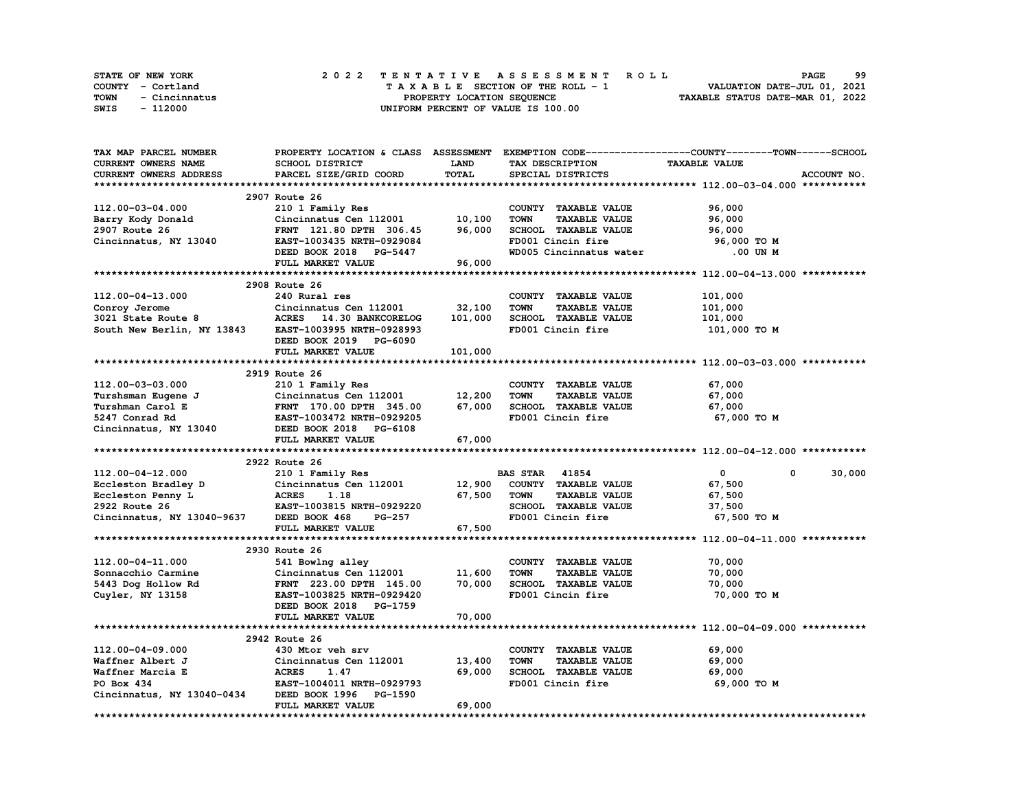| <b>STATE OF NEW YORK</b>     | 2022 TENTATIVE ASSESSMENT ROLL     | 99<br><b>PAGE</b>                |
|------------------------------|------------------------------------|----------------------------------|
| COUNTY - Cortland            | TAXABLE SECTION OF THE ROLL - 1    | VALUATION DATE-JUL 01, 2021      |
| <b>TOWN</b><br>- Cincinnatus | PROPERTY LOCATION SEOUENCE         | TAXABLE STATUS DATE-MAR 01, 2022 |
| SWIS<br>- 112000             | UNIFORM PERCENT OF VALUE IS 100.00 |                                  |

| TAX MAP PARCEL NUMBER                                                                                                              |                               |             |                                     | PROPERTY LOCATION & CLASS ASSESSMENT EXEMPTION CODE-----------------COUNTY-------TOWN-----SCHOOL |
|------------------------------------------------------------------------------------------------------------------------------------|-------------------------------|-------------|-------------------------------------|--------------------------------------------------------------------------------------------------|
| CURRENT OWNERS NAME                                                                                                                | SCHOOL DISTRICT               | <b>LAND</b> | TAX DESCRIPTION                     | <b>TAXABLE VALUE</b>                                                                             |
| <b>CURRENT OWNERS ADDRESS</b>                                                                                                      | PARCEL SIZE/GRID COORD        | TOTAL       | SPECIAL DISTRICTS                   | ACCOUNT NO.                                                                                      |
|                                                                                                                                    |                               |             |                                     |                                                                                                  |
|                                                                                                                                    | 2907 Route 26                 |             |                                     |                                                                                                  |
| 112.00-03-04.000                                                                                                                   | 210 1 Family Res              |             | COUNTY TAXABLE VALUE                | 96,000                                                                                           |
| Barry Kody Donald                                                                                                                  | Cincinnatus Cen 112001        | 10,100      | <b>TAXABLE VALUE</b><br><b>TOWN</b> | 96,000                                                                                           |
| 2907 Route 26                                                                                                                      | FRNT 121.80 DPTH 306.45       | 96,000      | SCHOOL TAXABLE VALUE                | 96,000                                                                                           |
| Cincinnatus, NY 13040                                                                                                              | EAST-1003435 NRTH-0929084     |             | FD001 Cincin fire                   | 96,000 то м                                                                                      |
|                                                                                                                                    | DEED BOOK 2018 PG-5447        |             | WD005 Cincinnatus water             | .00 UN M                                                                                         |
|                                                                                                                                    | FULL MARKET VALUE             | 96,000      |                                     |                                                                                                  |
|                                                                                                                                    |                               |             |                                     |                                                                                                  |
|                                                                                                                                    |                               |             |                                     |                                                                                                  |
|                                                                                                                                    | 2908 Route 26                 |             |                                     |                                                                                                  |
| 112.00-04-13.000                                                                                                                   | 240 Rural res                 |             | COUNTY TAXABLE VALUE                | 101,000                                                                                          |
| Conroy Jerome<br>3021 State Route 8                                                                                                | Cincinnatus Cen 112001        | 32,100      | <b>TOWN</b><br><b>TAXABLE VALUE</b> | 101,000                                                                                          |
|                                                                                                                                    | ACRES 14.30 BANKCORELOG       | 101,000     | SCHOOL TAXABLE VALUE                | 101,000                                                                                          |
| South New Berlin, NY 13843 EAST-1003995 NRTH-0928993                                                                               |                               |             | FD001 Cincin fire                   | 101,000 TO M                                                                                     |
|                                                                                                                                    | DEED BOOK 2019 PG-6090        |             |                                     |                                                                                                  |
|                                                                                                                                    | FULL MARKET VALUE             | 101,000     |                                     |                                                                                                  |
|                                                                                                                                    |                               |             |                                     |                                                                                                  |
|                                                                                                                                    | 2919 Route 26                 |             |                                     |                                                                                                  |
| 112.00-03-03.000                                                                                                                   | 210 1 Family Res              |             | COUNTY TAXABLE VALUE                | 67,000                                                                                           |
|                                                                                                                                    | Cincinnatus Cen 112001 12,200 |             | <b>TOWN</b><br><b>TAXABLE VALUE</b> | 67,000                                                                                           |
|                                                                                                                                    |                               | 67,000      | SCHOOL TAXABLE VALUE                | 67,000                                                                                           |
| Turshsman Eugene J<br>Turshman Carol E<br>5247 Conrad Rd EAST-1003472 NRTH-0929205<br>Cincinnatus, NY 13040 DEED BOOK 2018 PG-6108 |                               |             | FD001 Cincin fire                   | 67,000 TO M                                                                                      |
|                                                                                                                                    |                               |             |                                     |                                                                                                  |
|                                                                                                                                    | FULL MARKET VALUE             | 67,000      |                                     |                                                                                                  |
|                                                                                                                                    |                               |             |                                     |                                                                                                  |
|                                                                                                                                    | 2922 Route 26                 |             |                                     |                                                                                                  |
| 112.00-04-12.000                                                                                                                   | 210 1 Family Res              |             | <b>BAS STAR 41854</b>               | 30,000<br>$\mathbf{0}$<br>$^{\circ}$                                                             |
|                                                                                                                                    | Cincinnatus Cen 112001 12,900 |             | COUNTY TAXABLE VALUE                | 67,500                                                                                           |
| Eccleston Bradley D Cincinnatus Cen 112001<br>Eccleston Penny L ACRES 1.18<br>2922 Route 26 EAST-1003815 NRTH-0929220              |                               | 67,500      | <b>TOWN</b><br><b>TAXABLE VALUE</b> | 67,500                                                                                           |
|                                                                                                                                    |                               |             | SCHOOL TAXABLE VALUE                | 37,500                                                                                           |
| Cincinnatus, NY 13040-9637 DEED BOOK 468                                                                                           | PG-257                        |             | FD001 Cincin fire                   | 67,500 TO M                                                                                      |
|                                                                                                                                    | FULL MARKET VALUE             | 67,500      |                                     |                                                                                                  |
|                                                                                                                                    |                               |             |                                     |                                                                                                  |
|                                                                                                                                    |                               |             |                                     |                                                                                                  |
|                                                                                                                                    | 2930 Route 26                 |             |                                     |                                                                                                  |
| 112.00-04-11.000                                                                                                                   | 541 Bowlng alley              |             | COUNTY TAXABLE VALUE                | 70,000                                                                                           |
| Sonnacchio Carmine                                                                                                                 | Cincinnatus Cen 112001        | 11,600      | <b>TOWN</b><br><b>TAXABLE VALUE</b> | 70,000                                                                                           |
| 5443 Dog Hollow Rd                                                                                                                 | FRNT 223.00 DPTH 145.00       | 70,000      | SCHOOL TAXABLE VALUE                | 70,000                                                                                           |
| Cuyler, NY 13158                                                                                                                   | EAST-1003825 NRTH-0929420     |             | FD001 Cincin fire                   | 70,000 TO M                                                                                      |
|                                                                                                                                    | DEED BOOK 2018 PG-1759        |             |                                     |                                                                                                  |
|                                                                                                                                    | FULL MARKET VALUE             | 70,000      |                                     |                                                                                                  |
|                                                                                                                                    |                               |             |                                     |                                                                                                  |
|                                                                                                                                    | 2942 Route 26                 |             |                                     |                                                                                                  |
| 112.00-04-09.000                                                                                                                   |                               |             | COUNTY TAXABLE VALUE                | 69,000                                                                                           |
|                                                                                                                                    | 430 Mtor veh srv              |             |                                     |                                                                                                  |
| Waffner Albert J                                                                                                                   | Cincinnatus Cen 112001        | 13,400      | <b>TOWN</b><br><b>TAXABLE VALUE</b> | 69,000                                                                                           |
| Waffner Marcia E                                                                                                                   | 1.47                          | 69,000      | SCHOOL TAXABLE VALUE                | 69,000                                                                                           |
| CINCII<br>ACRES<br>EAST-1<br>PO Box 434                                                                                            | EAST-1004011 NRTH-0929793     |             | FD001 Cincin fire                   | 69,000 TO M                                                                                      |
|                                                                                                                                    | DEED BOOK 1996 PG-1590        |             |                                     |                                                                                                  |
| Cincinnatus, NY 13040-0434                                                                                                         | FULL MARKET VALUE             | 69,000      |                                     |                                                                                                  |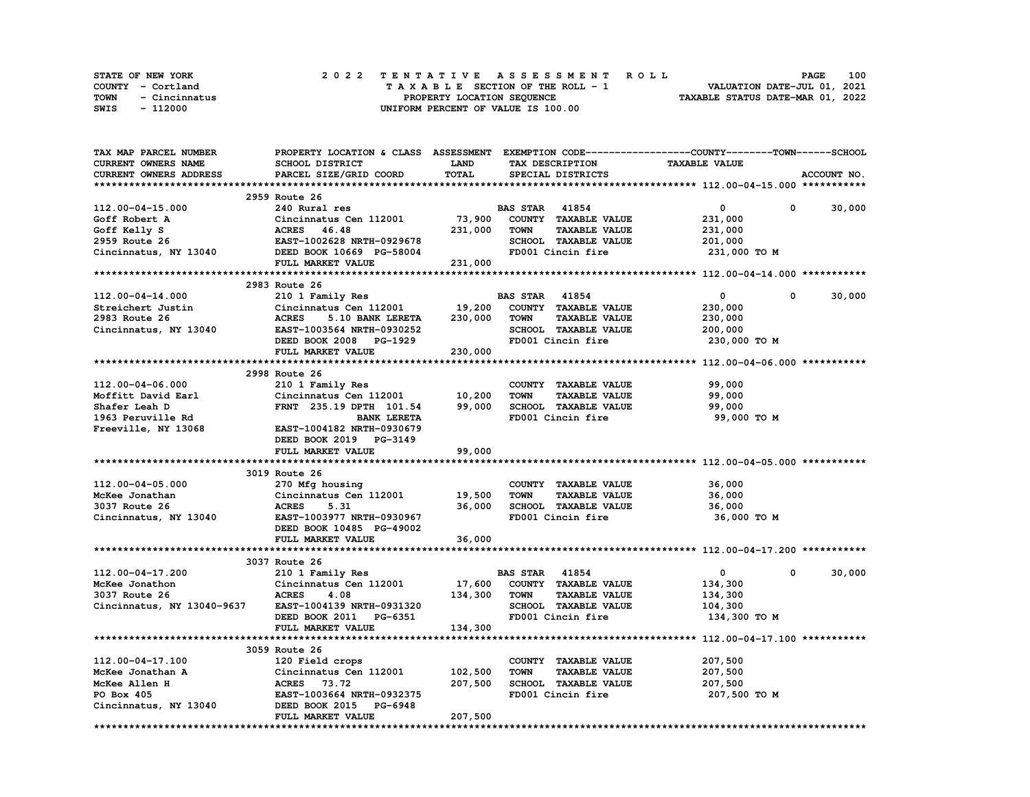| STATE OF NEW YORK     | 2022 TENTATIVE ASSESSMENT ROLL     | 100<br>PAGE                      |
|-----------------------|------------------------------------|----------------------------------|
| COUNTY - Cortland     | TAXABLE SECTION OF THE ROLL - 1    | VALUATION DATE-JUL 01, 2021      |
| TOWN<br>- Cincinnatus | PROPERTY LOCATION SEQUENCE         | TAXABLE STATUS DATE-MAR 01, 2022 |
| - 112000<br>SWIS      | UNIFORM PERCENT OF VALUE IS 100.00 |                                  |

| <b>TAX MAP PARCEL NUMBER</b> | PROPERTY LOCATION & CLASS ASSESSMENT EXEMPTION CODE----------------COUNTY-------TOWN------SCHOOL |         |                       |                      |                                |             |
|------------------------------|--------------------------------------------------------------------------------------------------|---------|-----------------------|----------------------|--------------------------------|-------------|
| CURRENT OWNERS NAME          | SCHOOL DISTRICT                                                                                  | LAND    |                       | TAX DESCRIPTION      | <b>TAXABLE VALUE</b>           |             |
| CURRENT OWNERS ADDRESS       | PARCEL SIZE/GRID COORD                                                                           | TOTAL   |                       | SPECIAL DISTRICTS    |                                | ACCOUNT NO. |
|                              |                                                                                                  |         |                       |                      |                                |             |
|                              | 2959 Route 26                                                                                    |         |                       |                      |                                |             |
| 112.00-04-15.000             | 240 Rural res                                                                                    |         | <b>BAS STAR 41854</b> |                      | 0<br>$\mathbf{o}$              | 30,000      |
| Goff Robert A                | Cincinnatus Cen 112001                                                                           | 73,900  |                       | COUNTY TAXABLE VALUE | 231,000                        |             |
| Goff Kelly S                 | ACRES 46.48                                                                                      | 231,000 | <b>TOWN</b>           | <b>TAXABLE VALUE</b> | 231,000                        |             |
| 2959 Route 26                | EAST-1002628 NRTH-0929678                                                                        |         |                       | SCHOOL TAXABLE VALUE | 201,000                        |             |
| Cincinnatus, NY 13040        | DEED BOOK 10669 PG-58004                                                                         |         |                       | FD001 Cincin fire    | 231,000 TO M                   |             |
|                              | FULL MARKET VALUE                                                                                | 231,000 |                       |                      |                                |             |
|                              |                                                                                                  |         |                       |                      |                                |             |
|                              | 2983 Route 26                                                                                    |         |                       |                      |                                |             |
| 112.00-04-14.000             | 210 1 Family Res                                                                                 |         | <b>BAS STAR 41854</b> |                      | $\mathbf 0$<br>0               | 30,000      |
| Streichert Justin            | Cincinnatus Cen 112001                                                                           | 19,200  |                       | COUNTY TAXABLE VALUE | 230,000                        |             |
| 2983 Route 26                | <b>ACRES</b><br>5.10 BANK LERETA                                                                 | 230,000 | <b>TOWN</b>           | <b>TAXABLE VALUE</b> | 230,000                        |             |
| Cincinnatus, NY 13040        | EAST-1003564 NRTH-0930252                                                                        |         |                       | SCHOOL TAXABLE VALUE | 200,000                        |             |
|                              | DEED BOOK 2008 PG-1929                                                                           |         |                       | FD001 Cincin fire    | 230,000 TO M                   |             |
|                              | FULL MARKET VALUE                                                                                | 230,000 |                       |                      |                                |             |
|                              |                                                                                                  |         |                       |                      |                                |             |
|                              | 2998 Route 26                                                                                    |         |                       |                      |                                |             |
| 112.00-04-06.000             | 210 1 Family Res                                                                                 |         |                       | COUNTY TAXABLE VALUE | 99,000                         |             |
| Moffitt David Earl           | Cincinnatus Cen 112001                                                                           | 10,200  | <b>TOWN</b>           | <b>TAXABLE VALUE</b> | 99,000                         |             |
| Shafer Leah D                | FRNT 235.19 DPTH 101.54                                                                          | 99,000  |                       | SCHOOL TAXABLE VALUE | 99,000                         |             |
| 1963 Peruville Rd            | <b>BANK LERETA</b>                                                                               |         |                       | FD001 Cincin fire    | 99,000 TO M                    |             |
| Freeville, NY 13068          | EAST-1004182 NRTH-0930679                                                                        |         |                       |                      |                                |             |
|                              | DEED BOOK 2019 PG-3149                                                                           |         |                       |                      |                                |             |
|                              | FULL MARKET VALUE                                                                                | 99,000  |                       |                      |                                |             |
|                              |                                                                                                  |         |                       |                      |                                |             |
|                              | 3019 Route 26                                                                                    |         |                       |                      |                                |             |
| 112.00-04-05.000             | 270 Mfg housing                                                                                  |         |                       | COUNTY TAXABLE VALUE | 36,000                         |             |
| McKee Jonathan               | Cincinnatus Cen 112001                                                                           | 19,500  | <b>TOWN</b>           | <b>TAXABLE VALUE</b> | 36,000                         |             |
| 3037 Route 26                | <b>ACRES</b><br>5.31                                                                             | 36,000  |                       | SCHOOL TAXABLE VALUE | 36,000                         |             |
| Cincinnatus, NY 13040        | EAST-1003977 NRTH-0930967                                                                        |         |                       | FD001 Cincin fire    | 36,000 TO M                    |             |
|                              | DEED BOOK 10485 PG-49002                                                                         |         |                       |                      |                                |             |
|                              | FULL MARKET VALUE                                                                                | 36,000  |                       |                      |                                |             |
|                              |                                                                                                  |         |                       |                      |                                |             |
|                              | 3037 Route 26                                                                                    |         |                       |                      |                                |             |
| 112.00-04-17.200             | 210 1 Family Res                                                                                 |         | <b>BAS STAR 41854</b> |                      | $\overline{0}$<br>$\mathbf{0}$ | 30,000      |
| McKee Jonathon               | Cincinnatus Cen 112001                                                                           | 17,600  |                       | COUNTY TAXABLE VALUE | 134,300                        |             |
| 3037 Route 26                | <b>ACRES</b><br>4.08                                                                             | 134,300 | <b>TOWN</b>           | <b>TAXABLE VALUE</b> | 134,300                        |             |
| Cincinnatus, NY 13040-9637   | EAST-1004139 NRTH-0931320                                                                        |         |                       | SCHOOL TAXABLE VALUE | 104,300                        |             |
|                              | DEED BOOK 2011 PG-6351                                                                           |         |                       | FD001 Cincin fire    | 134,300 TO M                   |             |
|                              | FULL MARKET VALUE                                                                                | 134,300 |                       |                      |                                |             |
|                              |                                                                                                  |         |                       |                      |                                |             |
|                              | 3059 Route 26                                                                                    |         |                       |                      |                                |             |
| 112.00-04-17.100             | 120 Field crops                                                                                  |         |                       | COUNTY TAXABLE VALUE | 207,500                        |             |
| McKee Jonathan A             | Cincinnatus Cen 112001                                                                           | 102,500 | <b>TOWN</b>           | <b>TAXABLE VALUE</b> | 207,500                        |             |
| McKee Allen H                | ACRES 73.72                                                                                      | 207,500 |                       | SCHOOL TAXABLE VALUE | 207,500                        |             |
| PO Box 405                   | EAST-1003664 NRTH-0932375                                                                        |         |                       | FD001 Cincin fire    | 207,500 TO M                   |             |
| Cincinnatus, NY 13040        | DEED BOOK 2015 PG-6948                                                                           |         |                       |                      |                                |             |
|                              |                                                                                                  |         |                       |                      |                                |             |
|                              | FULL MARKET VALUE                                                                                | 207,500 |                       |                      |                                |             |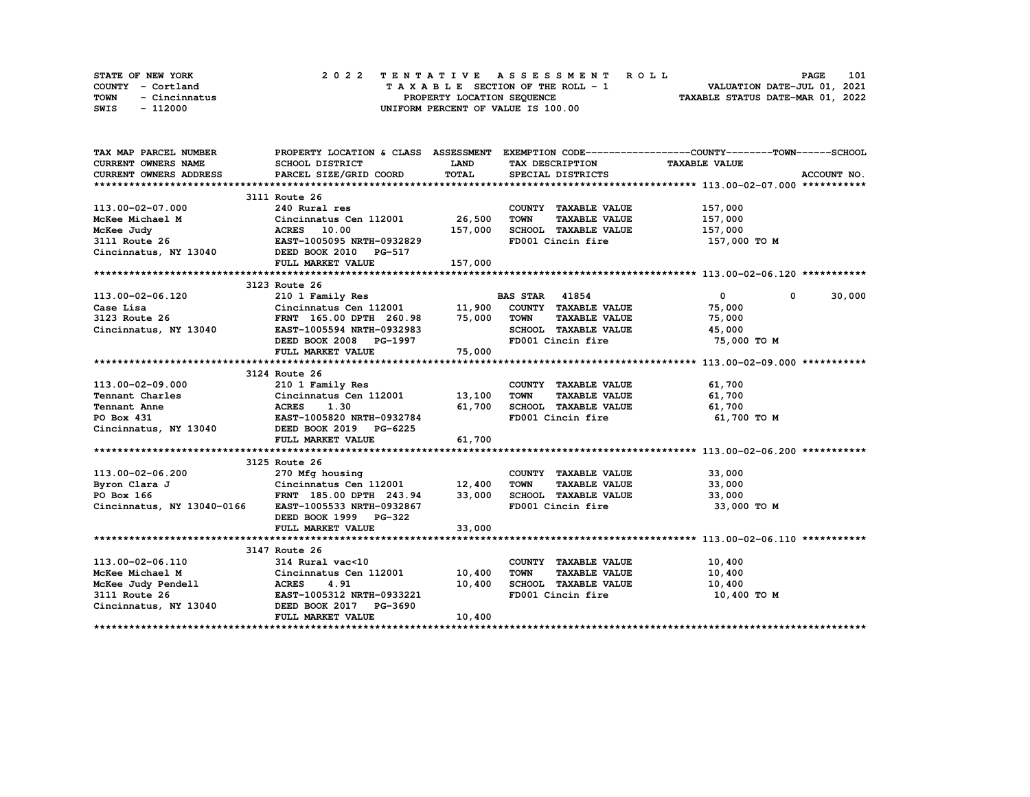|      | STATE OF NEW YORK | 2022 TENTATIVE ASSESSMENT ROLL                                 | <b>PAGE</b>                 | 101 |
|------|-------------------|----------------------------------------------------------------|-----------------------------|-----|
|      | COUNTY - Cortland | TAXABLE SECTION OF THE ROLL - 1                                | VALUATION DATE-JUL 01, 2021 |     |
| TOWN | - Cincinnatus     | TAXABLE STATUS DATE-MAR 01, 2022<br>PROPERTY LOCATION SEQUENCE |                             |     |
| SWIS | - 112000          | UNIFORM PERCENT OF VALUE IS 100.00                             |                             |     |

| TAX MAP PARCEL NUMBER                                                                                     |                                                                                                                      |             |                                           | PROPERTY LOCATION & CLASS ASSESSMENT EXEMPTION CODE----------------COUNTY-------TOWN------SCHOOL |             |
|-----------------------------------------------------------------------------------------------------------|----------------------------------------------------------------------------------------------------------------------|-------------|-------------------------------------------|--------------------------------------------------------------------------------------------------|-------------|
| <b>CURRENT OWNERS NAME</b>                                                                                | <b>SCHOOL DISTRICT</b>                                                                                               | <b>LAND</b> | TAX DESCRIPTION                           | <b>TAXABLE VALUE</b>                                                                             |             |
| CURRENT OWNERS ADDRESS                                                                                    | PARCEL SIZE/GRID COORD                                                                                               | TOTAL       | SPECIAL DISTRICTS                         |                                                                                                  | ACCOUNT NO. |
|                                                                                                           |                                                                                                                      |             |                                           |                                                                                                  |             |
|                                                                                                           | 3111 Route 26                                                                                                        |             |                                           |                                                                                                  |             |
| 113.00-02-07.000                                                                                          | 240 Rural res                                                                                                        |             | COUNTY TAXABLE VALUE                      | 157,000                                                                                          |             |
| McKee Michael M                                                                                           | M Cincinnatus Cen 112001<br>ACRES 10.00<br>EAST-1005095 NRTH-0932829                                                 | 26,500      | TOWN<br><b>TAXABLE VALUE</b>              | 157,000                                                                                          |             |
| McKee Judy                                                                                                |                                                                                                                      | 157,000     | SCHOOL TAXABLE VALUE                      | 157,000                                                                                          |             |
| 3111 Route 26                                                                                             |                                                                                                                      |             | FD001 Cincin fire                         | 157,000 TO M                                                                                     |             |
| Cincinnatus, NY 13040 DEED BOOK 2010 PG-517                                                               |                                                                                                                      |             |                                           |                                                                                                  |             |
|                                                                                                           | FULL MARKET VALUE                                                                                                    | 157,000     |                                           |                                                                                                  |             |
|                                                                                                           |                                                                                                                      |             |                                           |                                                                                                  |             |
|                                                                                                           | 3123 Route 26                                                                                                        |             |                                           |                                                                                                  |             |
| 113.00-02-06.120                                                                                          | 210 1 Family Res                                                                                                     |             | <b>BAS STAR 41854</b>                     | $\overline{0}$<br>$\mathbf{0}$                                                                   | 30,000      |
| Case Lisa                                                                                                 | Cincinnatus Cen 112001 11,900 COUNTY TAXABLE VALUE                                                                   |             |                                           | 75,000                                                                                           |             |
| 3123 Route 26                                                                                             | FRNT 165.00 DPTH 260.98 75,000 TOWN                                                                                  |             | TAXABLE VALUE                             | 75,000                                                                                           |             |
| Cincinnatus, NY 13040 EAST-1005594 NRTH-0932983                                                           |                                                                                                                      |             | SCHOOL TAXABLE VALUE                      | 45,000                                                                                           |             |
|                                                                                                           | DEED BOOK 2008 PG-1997                                                                                               |             | FD001 Cincin fire                         | 75,000 TO M                                                                                      |             |
|                                                                                                           | FULL MARKET VALUE                                                                                                    | 75,000      |                                           |                                                                                                  |             |
|                                                                                                           |                                                                                                                      |             |                                           |                                                                                                  |             |
|                                                                                                           | 3124 Route 26                                                                                                        |             |                                           |                                                                                                  |             |
| 113.00-02-09.000                                                                                          | 210 1 Family Res                                                                                                     |             | COUNTY TAXABLE VALUE                      | 61,700                                                                                           |             |
| <b>Tennant Charles</b>                                                                                    | Cincinnatus Cen 112001 13,100<br>ACRES 1.30 61,700<br>EAST-1005820 NRTH-0932784                                      |             | <b>TOWN</b>                               | TAXABLE VALUE 61,700                                                                             |             |
| Tennant Anne                                                                                              |                                                                                                                      |             | 61,700 SCHOOL TAXABLE VALUE 61,700        |                                                                                                  |             |
|                                                                                                           |                                                                                                                      |             | FD001 Cincin fire                         | 61,700 TO M                                                                                      |             |
|                                                                                                           |                                                                                                                      |             |                                           |                                                                                                  |             |
|                                                                                                           | FULL MARKET VALUE                                                                                                    | 61,700      |                                           |                                                                                                  |             |
|                                                                                                           |                                                                                                                      |             |                                           |                                                                                                  |             |
|                                                                                                           | 3125 Route 26                                                                                                        |             |                                           |                                                                                                  |             |
| 113.00-02-06.200                                                                                          | 270 Mfg housing and the Management of the Management of the Management of the Management of the Management of the Ma |             | COUNTY TAXABLE VALUE                      | 33,000                                                                                           |             |
| Byron Clara J                                                                                             |                                                                                                                      |             | <b>TOWN</b><br>TAXABLE VALUE              | 33,000                                                                                           |             |
| PO Box 166                                                                                                | Cincinnatus Cen 112001 12,400<br>FRNT 185.00 DPTH 243.94 33,000                                                      |             | SCHOOL TAXABLE VALUE<br>FD001 Cincin fire | 33,000                                                                                           |             |
| Cincinnatus, NY 13040-0166 EAST-1005533 NRTH-0932867                                                      |                                                                                                                      |             |                                           | 33,000 TO M                                                                                      |             |
|                                                                                                           | DEED BOOK 1999 PG-322                                                                                                |             |                                           |                                                                                                  |             |
|                                                                                                           | FULL MARKET VALUE                                                                                                    | 33,000      |                                           |                                                                                                  |             |
|                                                                                                           |                                                                                                                      |             |                                           |                                                                                                  |             |
|                                                                                                           | 3147 Route 26                                                                                                        |             |                                           |                                                                                                  |             |
|                                                                                                           |                                                                                                                      |             | COUNTY TAXABLE VALUE                      | 10,400                                                                                           |             |
| 113.00-02-06.110<br>McKee Michael M Cincinnatus Cen 112001 10,400<br>McKee Judy Pendell ACRES 4.91 10,400 |                                                                                                                      |             | <b>TOWN</b><br><b>TAXABLE VALUE</b>       | 10,400                                                                                           |             |
|                                                                                                           |                                                                                                                      |             | SCHOOL TAXABLE VALUE 10,400               |                                                                                                  |             |
| 3111 Route 26                                                                                             | EAST-1005312 NRTH-0933221                                                                                            |             | FD001 Cincin fire 10,400 TO M             |                                                                                                  |             |
| Cincinnatus, NY 13040                                                                                     | DEED BOOK 2017 PG-3690                                                                                               |             |                                           |                                                                                                  |             |
|                                                                                                           | FULL MARKET VALUE                                                                                                    | 10,400      |                                           |                                                                                                  |             |
|                                                                                                           |                                                                                                                      |             |                                           |                                                                                                  |             |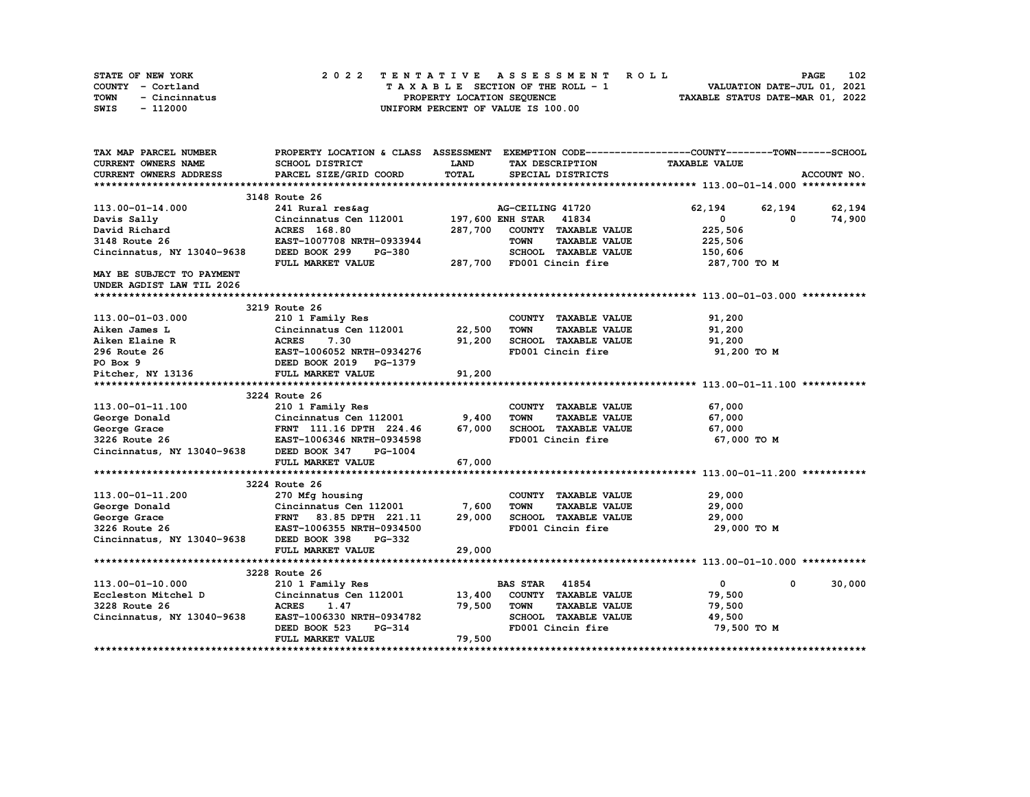|      | STATE OF NEW YORK |  | 2022 TENTATIVE ASSESSMENT ROLL |  |  |  |                                    |  |  |  |  |  |  |                                  |  | <b>PAGE</b> | 102 |
|------|-------------------|--|--------------------------------|--|--|--|------------------------------------|--|--|--|--|--|--|----------------------------------|--|-------------|-----|
|      | COUNTY - Cortland |  |                                |  |  |  | TAXABLE SECTION OF THE ROLL - 1    |  |  |  |  |  |  | VALUATION DATE-JUL 01, 2021      |  |             |     |
| TOWN | - Cincinnatus     |  |                                |  |  |  | PROPERTY LOCATION SEQUENCE         |  |  |  |  |  |  | TAXABLE STATUS DATE-MAR 01, 2022 |  |             |     |
| SWIS | - 112000          |  |                                |  |  |  | UNIFORM PERCENT OF VALUE IS 100.00 |  |  |  |  |  |  |                                  |  |             |     |

| TAX MAP PARCEL NUMBER                                                                            | PROPERTY LOCATION & CLASS ASSESSMENT EXEMPTION CODE----------------COUNTY-------TOWN-----SCHOOL |             |                                     |                             |                 |
|--------------------------------------------------------------------------------------------------|-------------------------------------------------------------------------------------------------|-------------|-------------------------------------|-----------------------------|-----------------|
| CURRENT OWNERS NAME                                                                              | SCHOOL DISTRICT                                                                                 | <b>LAND</b> | TAX DESCRIPTION                     | <b>TAXABLE VALUE</b>        |                 |
| <b>CURRENT OWNERS ADDRESS</b>                                                                    | PARCEL SIZE/GRID COORD                                                                          | TOTAL       | SPECIAL DISTRICTS                   |                             | ACCOUNT NO.     |
|                                                                                                  |                                                                                                 |             |                                     |                             |                 |
|                                                                                                  | 3148 Route 26                                                                                   |             |                                     |                             |                 |
| 113.00-01-14.000                                                                                 | 241 Rural res&ag                                                                                |             | AG-CEILING 41720                    | 62,194                      | 62, 194 62, 194 |
| Davis Sally                                                                                      | Cincinnatus Cen 112001                                                                          |             | 197,600 ENH STAR 41834              | $\mathbf{0}$<br>0           | 74,900          |
| David Richard                                                                                    | <b>ACRES</b> 168.80                                                                             | 287,700     | COUNTY TAXABLE VALUE                | 225,506                     |                 |
| 3148 Route 26                                                                                    | EAST-1007708 NRTH-0933944                                                                       |             | <b>TOWN</b><br><b>TAXABLE VALUE</b> | 225,506                     |                 |
| Cincinnatus, NY 13040-9638                                                                       | DEED BOOK 299<br><b>PG-380</b>                                                                  |             | SCHOOL TAXABLE VALUE                | 150,606                     |                 |
|                                                                                                  | FULL MARKET VALUE                                                                               |             | 287,700 FD001 Cincin fire           | 287,700 TO M                |                 |
| MAY BE SUBJECT TO PAYMENT                                                                        |                                                                                                 |             |                                     |                             |                 |
| UNDER AGDIST LAW TIL 2026                                                                        |                                                                                                 |             |                                     |                             |                 |
|                                                                                                  |                                                                                                 |             |                                     |                             |                 |
|                                                                                                  | 3219 Route 26                                                                                   |             |                                     |                             |                 |
| 113.00-01-03.000                                                                                 | 210 1 Family Res                                                                                |             | COUNTY TAXABLE VALUE                | 91,200                      |                 |
| Aiken James L                                                                                    | Cincinnatus Cen 112001 22,500                                                                   |             | <b>TAXABLE VALUE</b><br>TOWN        | 91,200                      |                 |
| Aiken Elaine R                                                                                   | <b>ACRES</b><br>7.30                                                                            | 91,200      | SCHOOL TAXABLE VALUE                | 91,200                      |                 |
| 296 Route 26                                                                                     |                                                                                                 |             | FD001 Cincin fire                   | 91,200 TO M                 |                 |
| PO Box 9                                                                                         | EAST-1006052 NRTH-0934276<br>DEED BOOK 2019 PG-1379                                             |             |                                     |                             |                 |
| Pitcher, NY 13136                                                                                | FULL MARKET VALUE                                                                               | 91,200      |                                     |                             |                 |
|                                                                                                  |                                                                                                 |             |                                     |                             |                 |
|                                                                                                  | 3224 Route 26                                                                                   |             |                                     |                             |                 |
| 113.00-01-11.100                                                                                 | 210 1 Family Res                                                                                |             | COUNTY TAXABLE VALUE                | 67,000                      |                 |
|                                                                                                  |                                                                                                 |             | <b>TOWN</b><br><b>TAXABLE VALUE</b> | 67,000                      |                 |
| George Donald Cincinnatus Cen 112001 9,400<br>George Grace 67,000 FRNT 111.16 DPTH 224.46 67,000 |                                                                                                 |             | SCHOOL TAXABLE VALUE                | 67,000                      |                 |
| 3226 Route 26                                                                                    | EAST-1006346 NRTH-0934598                                                                       |             | FD001 Cincin fire                   | 67,000 TO M                 |                 |
| Cincinnatus, NY 13040-9638                                                                       | DEED BOOK 347<br>PG-1004                                                                        |             |                                     |                             |                 |
|                                                                                                  | FULL MARKET VALUE                                                                               | 67,000      |                                     |                             |                 |
|                                                                                                  |                                                                                                 |             |                                     |                             |                 |
|                                                                                                  | 3224 Route 26                                                                                   |             |                                     |                             |                 |
| 113.00-01-11.200                                                                                 | 270 Mfg housing                                                                                 |             | COUNTY TAXABLE VALUE                | 29,000                      |                 |
| George Donald                                                                                    |                                                                                                 |             | <b>TOWN</b><br><b>TAXABLE VALUE</b> | 29,000                      |                 |
| George Grace                                                                                     | Cincinnatus Cen 112001 17,600<br>FRNT 83.85 DPTH 221.11 29,000<br>EAST-1006355 NRTH-0934500     |             | SCHOOL TAXABLE VALUE                | 29,000                      |                 |
| 3226 Route 26                                                                                    |                                                                                                 |             | FD001 Cincin fire                   | 29,000 TO M                 |                 |
| Cincinnatus, NY 13040-9638 DEED BOOK 398                                                         | PG-332                                                                                          |             |                                     |                             |                 |
|                                                                                                  | FULL MARKET VALUE                                                                               | 29,000      |                                     |                             |                 |
|                                                                                                  |                                                                                                 |             |                                     |                             |                 |
|                                                                                                  | 3228 Route 26                                                                                   |             |                                     |                             |                 |
| 113.00-01-10.000                                                                                 | 210 1 Family Res                                                                                |             | <b>BAS STAR 41854</b>               | $\mathbf{0}$<br>$\mathbf 0$ | 30,000          |
| Eccleston Mitchel D                                                                              | Cincinnatus Cen 112001 13,400                                                                   |             | COUNTY TAXABLE VALUE                | 79,500                      |                 |
| 3228 Route 26                                                                                    | <b>ACRES</b><br>1.47                                                                            | 79,500      | <b>TOWN</b><br><b>TAXABLE VALUE</b> | 79,500                      |                 |
| Cincinnatus, NY 13040-9638                                                                       | EAST-1006330 NRTH-0934782                                                                       |             | SCHOOL TAXABLE VALUE                | 49,500                      |                 |
|                                                                                                  | DEED BOOK 523<br><b>PG-314</b>                                                                  |             | FD001 Cincin fire                   | 79,500 TO M                 |                 |
|                                                                                                  | FULL MARKET VALUE                                                                               | 79,500      |                                     |                             |                 |
|                                                                                                  |                                                                                                 |             |                                     |                             |                 |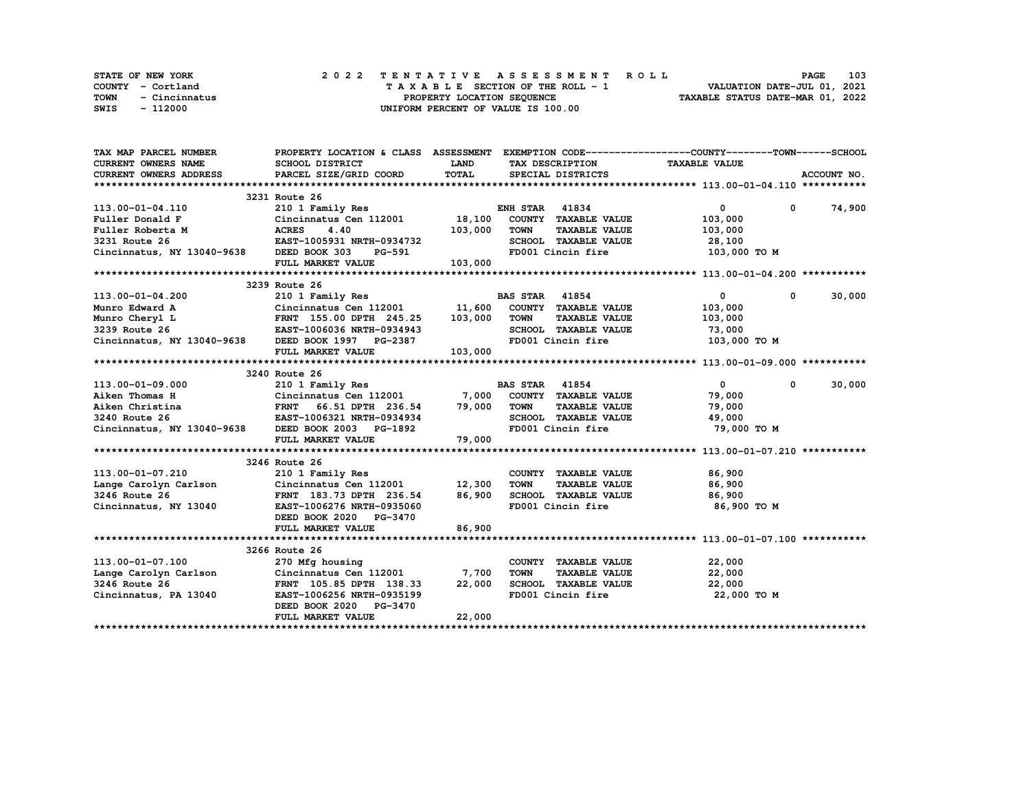| <b>STATE OF NEW YORK</b> |               |  |  |  |  |  | 2022 TENTATIVE ASSESSMENT ROLL     |  |  |  |  |  |  |                                  |  | <b>PAGE</b>                 | 103 |
|--------------------------|---------------|--|--|--|--|--|------------------------------------|--|--|--|--|--|--|----------------------------------|--|-----------------------------|-----|
| COUNTY - Cortland        |               |  |  |  |  |  | TAXABLE SECTION OF THE ROLL - 1    |  |  |  |  |  |  |                                  |  | VALUATION DATE-JUL 01, 2021 |     |
| TOWN                     | - Cincinnatus |  |  |  |  |  | PROPERTY LOCATION SEOUENCE         |  |  |  |  |  |  | TAXABLE STATUS DATE-MAR 01, 2022 |  |                             |     |
| SWIS                     | - 112000      |  |  |  |  |  | UNIFORM PERCENT OF VALUE IS 100.00 |  |  |  |  |  |  |                                  |  |                             |     |

| TAX MAP PARCEL NUMBER                                                                                                                                                                                      | PROPERTY LOCATION & CLASS ASSESSMENT EXEMPTION CODE----------------COUNTY-------TOWN-----SCHOOL |             |                       |                      |                      |                      |
|------------------------------------------------------------------------------------------------------------------------------------------------------------------------------------------------------------|-------------------------------------------------------------------------------------------------|-------------|-----------------------|----------------------|----------------------|----------------------|
| <b>CURRENT OWNERS NAME</b>                                                                                                                                                                                 | SCHOOL DISTRICT                                                                                 | <b>LAND</b> |                       | TAX DESCRIPTION      | <b>TAXABLE VALUE</b> |                      |
| CURRENT OWNERS ADDRESS                                                                                                                                                                                     | PARCEL SIZE/GRID COORD                                                                          | TOTAL       |                       | SPECIAL DISTRICTS    |                      | ACCOUNT NO.          |
|                                                                                                                                                                                                            |                                                                                                 |             |                       |                      |                      |                      |
|                                                                                                                                                                                                            | 3231 Route 26                                                                                   |             |                       |                      |                      |                      |
| 113.00-01-04.110                                                                                                                                                                                           | 210 1 Family Res                                                                                |             | <b>ENH STAR 41834</b> |                      | $\mathbf{0}$         | 74,900<br>$^{\circ}$ |
| <b>Cincin</b><br><b>ACRES</b><br>Fuller Donald F                                                                                                                                                           | Cincinnatus Cen 112001                                                                          | 18,100      |                       | COUNTY TAXABLE VALUE | 103,000              |                      |
| Fuller Roberta M                                                                                                                                                                                           | 4.40                                                                                            | 103,000     | <b>TOWN</b>           | <b>TAXABLE VALUE</b> | 103,000              |                      |
| 3231 Route 26                                                                                                                                                                                              | EAST-1005931 NRTH-0934732                                                                       |             |                       | SCHOOL TAXABLE VALUE | 28,100               |                      |
| Cincinnatus, NY 13040-9638 DEED BOOK 303                                                                                                                                                                   | PG-591                                                                                          |             |                       | FD001 Cincin fire    | 103,000 TO M         |                      |
|                                                                                                                                                                                                            | FULL MARKET VALUE                                                                               | 103,000     |                       |                      |                      |                      |
|                                                                                                                                                                                                            |                                                                                                 |             |                       |                      |                      |                      |
|                                                                                                                                                                                                            | 3239 Route 26                                                                                   |             |                       |                      |                      |                      |
|                                                                                                                                                                                                            |                                                                                                 |             |                       |                      | $\mathbf{0}$         | 30,000<br>$^{\circ}$ |
|                                                                                                                                                                                                            |                                                                                                 |             |                       |                      | 103,000              |                      |
|                                                                                                                                                                                                            |                                                                                                 |             |                       |                      | 103,000              |                      |
|                                                                                                                                                                                                            |                                                                                                 |             |                       | SCHOOL TAXABLE VALUE | 73,000               |                      |
|                                                                                                                                                                                                            |                                                                                                 |             |                       |                      | 103,000 TO M         |                      |
|                                                                                                                                                                                                            | FULL MARKET VALUE                                                                               | 103,000     |                       |                      |                      |                      |
|                                                                                                                                                                                                            |                                                                                                 |             |                       |                      |                      |                      |
|                                                                                                                                                                                                            | 3240 Route 26                                                                                   |             |                       |                      |                      |                      |
| 113.00-01-09.000                                                                                                                                                                                           | 210 1 Family Res                                                                                |             | <b>BAS STAR 41854</b> |                      | $\mathbf{0}$         | 30,000<br>$^{\circ}$ |
| 113.00-01-03.000<br>Aiken Thomas H<br>Aiken Christina (Cincinnatus Christina FRNT 66.51 DPTH 236.54 79,000<br>3240 Route 26 EAST-1006321 NRTH-0934934<br>Cincinnatus, NY 13040-9638 DEED BOOK 2003 PG-1892 |                                                                                                 |             |                       | COUNTY TAXABLE VALUE | 79,000               |                      |
|                                                                                                                                                                                                            |                                                                                                 |             | <b>TOWN</b>           | <b>TAXABLE VALUE</b> | 79,000               |                      |
|                                                                                                                                                                                                            |                                                                                                 |             |                       | SCHOOL TAXABLE VALUE | 49,000               |                      |
|                                                                                                                                                                                                            |                                                                                                 |             |                       | FD001 Cincin fire    | 79,000 TO M          |                      |
|                                                                                                                                                                                                            | FULL MARKET VALUE                                                                               | 79,000      |                       |                      |                      |                      |
|                                                                                                                                                                                                            |                                                                                                 |             |                       |                      |                      |                      |
|                                                                                                                                                                                                            | 3246 Route 26                                                                                   |             |                       |                      |                      |                      |
| 113.00-01-07.210                                                                                                                                                                                           | 210 1 Family Res                                                                                |             |                       | COUNTY TAXABLE VALUE | 86,900               |                      |
| Lange Carolyn Carlson                                                                                                                                                                                      | Cincinnatus Cen 112001 12,300                                                                   |             | <b>TOWN</b>           | <b>TAXABLE VALUE</b> | 86,900               |                      |
| 3246 Route 26                                                                                                                                                                                              | FRNT 183.73 DPTH 236.54 86,900                                                                  |             |                       | SCHOOL TAXABLE VALUE | 86,900               |                      |
| Cincinnatus, NY 13040                                                                                                                                                                                      | EAST-1006276 NRTH-0935060                                                                       |             |                       | FD001 Cincin fire    | 86,900 то м          |                      |
|                                                                                                                                                                                                            | DEED BOOK 2020 PG-3470                                                                          |             |                       |                      |                      |                      |
|                                                                                                                                                                                                            | FULL MARKET VALUE                                                                               | 86,900      |                       |                      |                      |                      |
|                                                                                                                                                                                                            |                                                                                                 |             |                       |                      |                      |                      |
|                                                                                                                                                                                                            | 3266 Route 26                                                                                   |             |                       |                      |                      |                      |
| 113.00-01-07.100                                                                                                                                                                                           | 270 Mfg housing                                                                                 |             |                       | COUNTY TAXABLE VALUE | 22,000               |                      |
| Lange Carolyn Carlson                                                                                                                                                                                      | Cincinnatus Cen 112001                                                                          | 7,700       | <b>TOWN</b>           | <b>TAXABLE VALUE</b> | 22,000               |                      |
| 3246 Route 26                                                                                                                                                                                              | FRNT 105.85 DPTH 138.33                                                                         | 22,000      |                       | SCHOOL TAXABLE VALUE | 22,000               |                      |
| Cincinnatus, PA 13040                                                                                                                                                                                      | EAST-1006256 NRTH-0935199                                                                       |             |                       | FD001 Cincin fire    | 22,000 TO M          |                      |
|                                                                                                                                                                                                            | DEED BOOK 2020 PG-3470                                                                          |             |                       |                      |                      |                      |
|                                                                                                                                                                                                            | FULL MARKET VALUE                                                                               | 22,000      |                       |                      |                      |                      |
|                                                                                                                                                                                                            |                                                                                                 |             |                       |                      |                      |                      |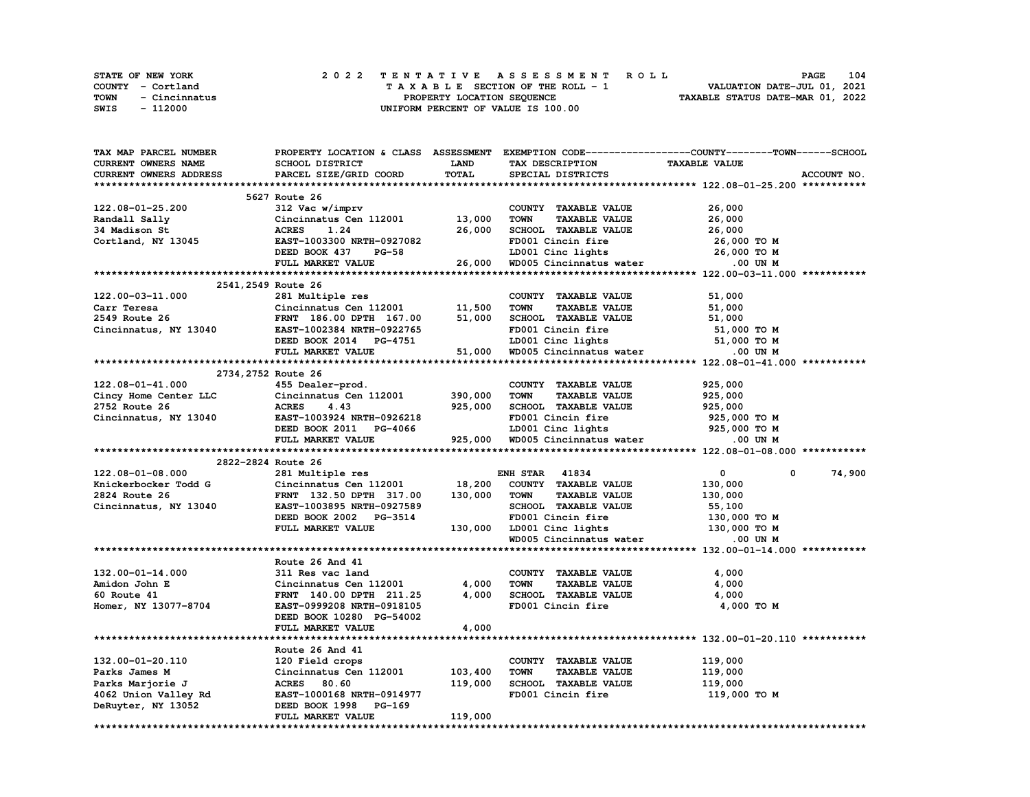|             | STATE OF NEW YORK | 2022 TENTATIVE ASSESSMENT ROLL |  |  |  |                                    |  |  |  |  |  |                                  | <b>PAGE</b> | 104 |
|-------------|-------------------|--------------------------------|--|--|--|------------------------------------|--|--|--|--|--|----------------------------------|-------------|-----|
|             | COUNTY - Cortland |                                |  |  |  | TAXABLE SECTION OF THE ROLL - 1    |  |  |  |  |  | VALUATION DATE-JUL 01, 2021      |             |     |
| <b>TOWN</b> | - Cincinnatus     |                                |  |  |  | PROPERTY LOCATION SEQUENCE         |  |  |  |  |  | TAXABLE STATUS DATE-MAR 01, 2022 |             |     |
| SWIS        | - 112000          |                                |  |  |  | UNIFORM PERCENT OF VALUE IS 100.00 |  |  |  |  |  |                                  |             |     |

| <b>TAX MAP PARCEL NUMBER</b>                       | PROPERTY LOCATION & CLASS ASSESSMENT                                                                                                                                                                         |             |                                                                             | EXEMPTION CODE-----------------COUNTY-------TOWN-----SCHOOL |
|----------------------------------------------------|--------------------------------------------------------------------------------------------------------------------------------------------------------------------------------------------------------------|-------------|-----------------------------------------------------------------------------|-------------------------------------------------------------|
| <b>CURRENT OWNERS NAME</b>                         | SCHOOL DISTRICT                                                                                                                                                                                              | <b>LAND</b> | TAX DESCRIPTION                                                             | TAXABLE VALUE                                               |
| <b>CURRENT OWNERS ADDRESS</b>                      | PARCEL SIZE/GRID COORD                                                                                                                                                                                       | TOTAL       | SPECIAL DISTRICTS                                                           | ACCOUNT NO.                                                 |
|                                                    |                                                                                                                                                                                                              |             |                                                                             |                                                             |
|                                                    | 5627 Route 26                                                                                                                                                                                                |             |                                                                             |                                                             |
| 122.08-01-25.200                                   | 312 Vac w/imprv                                                                                                                                                                                              |             | COUNTY TAXABLE VALUE                                                        | 26,000                                                      |
| Randall Sally                                      | Cincinnatus Cen $112001$ 13,000                                                                                                                                                                              |             | <b>TAXABLE VALUE</b><br><b>TOWN</b>                                         | 26,000                                                      |
| 34 Madison St                                      | <b>ACRES</b><br>1.24                                                                                                                                                                                         | 26,000      | SCHOOL TAXABLE VALUE                                                        | 26,000                                                      |
| Cortland, NY 13045                                 | EAST-1003300 NRTH-0927082                                                                                                                                                                                    |             | FD001 Cincin fire                                                           | 26,000 TO M                                                 |
|                                                    |                                                                                                                                                                                                              |             |                                                                             |                                                             |
|                                                    | DEED BOOK 437 PG-58                                                                                                                                                                                          |             | LD001 Cinc lights 26,000 TO M<br>26,000 WD005 Cincinnatus water 0.00 UN M   |                                                             |
|                                                    | FULL MARKET VALUE                                                                                                                                                                                            |             |                                                                             |                                                             |
|                                                    |                                                                                                                                                                                                              |             |                                                                             |                                                             |
| 2541, 2549 Route 26                                |                                                                                                                                                                                                              |             |                                                                             |                                                             |
| 122.00-03-11.000                                   | 281 Multiple res                                                                                                                                                                                             |             | COUNTY TAXABLE VALUE                                                        | 51,000                                                      |
| Carr Teresa                                        | Cincinnatus Cen 112001 11,500                                                                                                                                                                                |             | <b>TAXABLE VALUE</b><br><b>TOWN</b>                                         | 51,000                                                      |
| 2549 Route 26                                      | FRNT 186.00 DPTH 167.00                                                                                                                                                                                      | 51,000      | SCHOOL TAXABLE VALUE                                                        | 51,000                                                      |
| Cincinnatus, NY 13040 EAST-1002384 NRTH-0922765    |                                                                                                                                                                                                              |             | FD001 Cincin fire                                                           | 51,000 TO M                                                 |
|                                                    | DEED BOOK 2014 PG-4751                                                                                                                                                                                       |             |                                                                             | 51,000 TO M                                                 |
|                                                    | FULL MARKET VALUE                                                                                                                                                                                            | 51,000      | LD001 Cinc lights<br>WD005 Cincinnatus water 5                              | .00 UN M                                                    |
|                                                    |                                                                                                                                                                                                              |             |                                                                             |                                                             |
|                                                    | 2734, 2752 Route 26                                                                                                                                                                                          |             |                                                                             |                                                             |
| 122.08-01-41.000                                   | 455 Dealer-prod.                                                                                                                                                                                             |             | COUNTY TAXABLE VALUE                                                        | 925,000                                                     |
| Cincy Home Center LLC                              | Cincinnatus Cen 112001                                                                                                                                                                                       | 390,000     | <b>TOWN</b><br><b>TAXABLE VALUE</b>                                         | 925,000                                                     |
| 2752 Route 26                                      | <b>ACRES</b><br>4.43                                                                                                                                                                                         | 925,000     | SCHOOL TAXABLE VALUE                                                        | 925,000                                                     |
|                                                    |                                                                                                                                                                                                              |             |                                                                             |                                                             |
| Cincinnatus, NY 13040                              | EAST-1003924 NRTH-0926218<br>EAST-1003924 NRTH-0926218 FD001 Cincin fire 925,000 TO M<br>DEED BOOK 2011 PG-4066 LD001 Cinc lights 925,000 TO M<br>FULL MARKET VALUE 925,000 WD005 Cincinnatus water .00 UN M |             | FD001 Cincin fire                                                           | 925,000 TO M                                                |
|                                                    |                                                                                                                                                                                                              |             |                                                                             |                                                             |
|                                                    |                                                                                                                                                                                                              |             |                                                                             |                                                             |
|                                                    |                                                                                                                                                                                                              |             |                                                                             |                                                             |
| 2822-2824 Route 26                                 |                                                                                                                                                                                                              |             |                                                                             |                                                             |
| 122.08-01-08.000                                   | 281 Multiple res                                                                                                                                                                                             |             | <b>ENH STAR 41834</b>                                                       | $\mathbf{0}$<br>0<br>74,900                                 |
| Knickerbocker Todd G Cincinnatus Cen 112001 18,200 |                                                                                                                                                                                                              |             | COUNTY TAXABLE VALUE                                                        | 130,000                                                     |
| 2824 Route 26                                      | FRNT 132.50 DPTH 317.00                                                                                                                                                                                      | 130,000     | <b>TOWN</b><br><b>TAXABLE VALUE</b>                                         | 130,000                                                     |
| Cincinnatus, NY 13040                              | EAST-1003895 NRTH-0927589                                                                                                                                                                                    |             | SCHOOL TAXABLE VALUE                                                        | 55,100                                                      |
|                                                    | DEED BOOK 2002 PG-3514                                                                                                                                                                                       |             | FD001 Cincin fire                                                           | 130,000 то м                                                |
|                                                    | FULL MARKET VALUE                                                                                                                                                                                            |             |                                                                             |                                                             |
|                                                    |                                                                                                                                                                                                              |             | 130,000 LD001 Cinc lights 130,000 TO M<br>WD005 Cincinnatus water 0.00 UN M |                                                             |
|                                                    |                                                                                                                                                                                                              |             |                                                                             |                                                             |
|                                                    | Route 26 And 41                                                                                                                                                                                              |             |                                                                             |                                                             |
| 132.00-01-14.000                                   | 311 Res vac land                                                                                                                                                                                             |             | COUNTY TAXABLE VALUE                                                        | 4,000                                                       |
|                                                    |                                                                                                                                                                                                              |             |                                                                             |                                                             |
| Amidon John E                                      | Cincinnatus Cen 112001                                                                                                                                                                                       | 4,000       | <b>TAXABLE VALUE</b><br>TOWN                                                | 4,000                                                       |
| 60 Route 41                                        | FRNT 140.00 DPTH 211.25                                                                                                                                                                                      | 4,000       | SCHOOL TAXABLE VALUE                                                        | 4,000                                                       |
| Homer, NY 13077-8704                               | EAST-0999208 NRTH-0918105                                                                                                                                                                                    |             | FD001 Cincin fire                                                           | 4,000 TO M                                                  |
|                                                    | DEED BOOK 10280 PG-54002                                                                                                                                                                                     |             |                                                                             |                                                             |
|                                                    | FULL MARKET VALUE                                                                                                                                                                                            | 4,000       |                                                                             |                                                             |
|                                                    |                                                                                                                                                                                                              |             |                                                                             |                                                             |
|                                                    | Route 26 And 41                                                                                                                                                                                              |             |                                                                             |                                                             |
| 132.00-01-20.110                                   | 120 Field crops                                                                                                                                                                                              |             | COUNTY TAXABLE VALUE                                                        | 119,000                                                     |
| Parks James M                                      | Cincinnatus Cen 112001                                                                                                                                                                                       | 103,400     | <b>TOWN</b><br><b>TAXABLE VALUE</b>                                         | 119,000                                                     |
| Parks Marjorie J                                   | ACRES 80.60                                                                                                                                                                                                  | 119,000     | SCHOOL TAXABLE VALUE                                                        | 119,000                                                     |
| 4062 Union Valley Rd                               | EAST-1000168 NRTH-0914977                                                                                                                                                                                    |             | FD001 Cincin fire                                                           | 119,000 то м                                                |
| DeRuyter, NY 13052                                 | DEED BOOK 1998 PG-169                                                                                                                                                                                        |             |                                                                             |                                                             |
|                                                    | FULL MARKET VALUE                                                                                                                                                                                            | 119,000     |                                                                             |                                                             |
|                                                    |                                                                                                                                                                                                              |             |                                                                             |                                                             |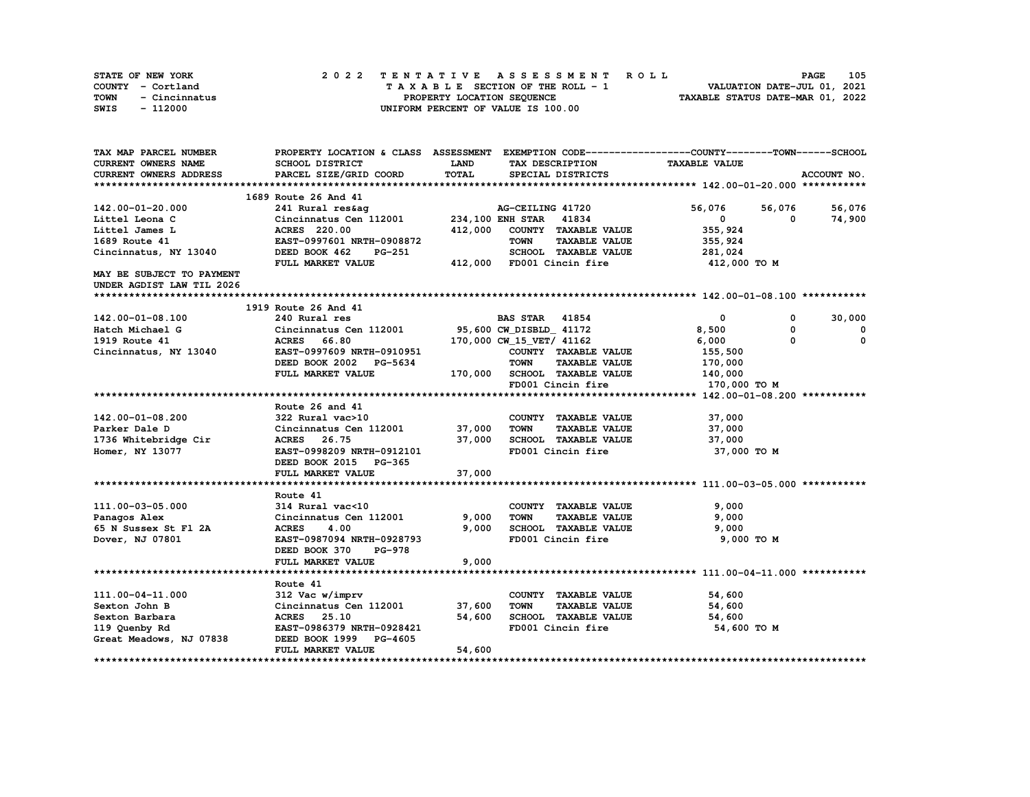| STATE OF NEW YORK     | 2022 TENTATIVE ASSESSMENT ROLL     | 105<br><b>PAGE</b>               |
|-----------------------|------------------------------------|----------------------------------|
| COUNTY - Cortland     | TAXABLE SECTION OF THE ROLL - 1    | VALUATION DATE-JUL 01, 2021      |
| TOWN<br>- Cincinnatus | PROPERTY LOCATION SEQUENCE         | TAXABLE STATUS DATE-MAR 01, 2022 |
| SWIS<br>- 112000      | UNIFORM PERCENT OF VALUE IS 100.00 |                                  |

| CURRENT OWNERS NAME<br>SCHOOL DISTRICT<br><b>LAND</b><br><b>TAXABLE VALUE</b><br>TAX DESCRIPTION<br>TOTAL<br>CURRENT OWNERS ADDRESS<br>PARCEL SIZE/GRID COORD<br>SPECIAL DISTRICTS<br>ACCOUNT NO.<br>1689 Route 26 And 41<br>241 Rural res&ag<br>56,076<br>56,076<br>56,076<br>142.00-01-20.000<br>AG-CEILING 41720<br>Cincinnatus Cen 112001 234, 100 ENH STAR 41834<br>$\mathbf{0}$<br>74,900<br>Littel Leona C<br>$\mathbf{0}$<br>412,000<br>COUNTY TAXABLE VALUE<br><b>ACRES</b> 220.00<br>355,924<br>Littel James L<br>EAST-0997601 NRTH-0908872<br>1689 Route 41<br><b>TOWN</b><br><b>TAXABLE VALUE</b><br>355,924<br>DEED BOOK 462<br>SCHOOL TAXABLE VALUE<br>Cincinnatus, NY 13040<br>PG-251<br>281,024<br>FULL MARKET VALUE<br>412,000 FD001 Cincin fire<br>412,000 TO M<br>MAY BE SUBJECT TO PAYMENT<br>UNDER AGDIST LAW TIL 2026<br>1919 Route 26 And 41<br>30,000<br>142.00-01-08.100<br>240 Rural res<br><b>BAS STAR</b> 41854<br>$\mathbf{0}$<br>$\mathbf 0$<br>Cincinnatus Cen 112001 95,600 CW_DISBLD_ 41172<br>8,500<br>$^{\circ}$<br>Hatch Michael G<br>170,000 CW_15_VET/ 41162<br>$^{\circ}$<br>$\mathbf{0}$<br>1919 Route 41<br>6,000<br>ACRES 66.80<br>Cincinnatus, NY 13040<br>EAST-0997609 NRTH-0910951<br>COUNTY TAXABLE VALUE<br>155,500<br><b>TOWN</b><br>DEED BOOK 2002 PG-5634<br><b>TAXABLE VALUE</b><br>170,000<br>FULL MARKET VALUE<br>170,000 SCHOOL TAXABLE VALUE<br>140,000<br>FD001 Cincin fire<br>170,000 TO M<br>Route 26 and 41<br>142.00-01-08.200<br>322 Rural vac>10<br>COUNTY TAXABLE VALUE<br>37,000<br>Cincinnatus Cen 112001 37,000<br>Parker Dale D<br><b>TOWN</b><br><b>TAXABLE VALUE</b><br>37,000<br>SCHOOL TAXABLE VALUE 37,000<br>1736 Whitebridge Cir<br>37,000<br>ACRES 26.75<br>FD001 Cincin fire<br>Homer, NY 13077<br>EAST-0998209 NRTH-0912101<br>37,000 TO M<br>DEED BOOK 2015 PG-365<br>FULL MARKET VALUE<br>37,000<br>Route 41<br>111.00-03-05.000<br>314 Rural vac<10<br>9,000<br>COUNTY TAXABLE VALUE<br>Cincinnatus Cen 112001<br>Cincinnatus Cen 112001 9<br>9,000<br><b>TOWN</b><br>Panagos Alex<br><b>TAXABLE VALUE</b><br>9,000<br>65 N Sussex St Fl 2A<br>9,000<br>SCHOOL TAXABLE VALUE<br><b>ACRES</b><br>4.00<br>9,000<br>FD001 Cincin fire<br>Dover, NJ 07801<br>EAST-0987094 NRTH-0928793<br>9,000 TO M<br>DEED BOOK 370<br><b>PG-978</b><br>9,000<br>FULL MARKET VALUE<br>Route 41<br>111.00-04-11.000<br>312 Vac w/imprv<br>COUNTY TAXABLE VALUE<br>54,600<br>Cincinnatus Cen 112001<br>37,600<br>Sexton John B<br><b>TOWN</b><br><b>TAXABLE VALUE</b><br>54,600<br>54,600<br>SCHOOL TAXABLE VALUE 54,600<br>Sexton Barbara<br><b>ACRES</b> 25.10<br>EAST-0986379 NRTH-0928421<br>FD001 Cincin fire<br>54,600 TO M<br>119 Quenby Rd<br>Great Meadows, NJ 07838<br>DEED BOOK 1999 PG-4605<br>FULL MARKET VALUE<br>54,600 | TAX MAP PARCEL NUMBER | PROPERTY LOCATION & CLASS ASSESSMENT EXEMPTION CODE----------------COUNTY-------TOWN------SCHOOL |  |  |  |
|----------------------------------------------------------------------------------------------------------------------------------------------------------------------------------------------------------------------------------------------------------------------------------------------------------------------------------------------------------------------------------------------------------------------------------------------------------------------------------------------------------------------------------------------------------------------------------------------------------------------------------------------------------------------------------------------------------------------------------------------------------------------------------------------------------------------------------------------------------------------------------------------------------------------------------------------------------------------------------------------------------------------------------------------------------------------------------------------------------------------------------------------------------------------------------------------------------------------------------------------------------------------------------------------------------------------------------------------------------------------------------------------------------------------------------------------------------------------------------------------------------------------------------------------------------------------------------------------------------------------------------------------------------------------------------------------------------------------------------------------------------------------------------------------------------------------------------------------------------------------------------------------------------------------------------------------------------------------------------------------------------------------------------------------------------------------------------------------------------------------------------------------------------------------------------------------------------------------------------------------------------------------------------------------------------------------------------------------------------------------------------------------------------------------------------------------------------------------------------------------------------------------------------------------------------------------------------------------------------------------------------------------------------------------------------------------------------------------------------------------------------------------------------------------------|-----------------------|--------------------------------------------------------------------------------------------------|--|--|--|
|                                                                                                                                                                                                                                                                                                                                                                                                                                                                                                                                                                                                                                                                                                                                                                                                                                                                                                                                                                                                                                                                                                                                                                                                                                                                                                                                                                                                                                                                                                                                                                                                                                                                                                                                                                                                                                                                                                                                                                                                                                                                                                                                                                                                                                                                                                                                                                                                                                                                                                                                                                                                                                                                                                                                                                                                    |                       |                                                                                                  |  |  |  |
|                                                                                                                                                                                                                                                                                                                                                                                                                                                                                                                                                                                                                                                                                                                                                                                                                                                                                                                                                                                                                                                                                                                                                                                                                                                                                                                                                                                                                                                                                                                                                                                                                                                                                                                                                                                                                                                                                                                                                                                                                                                                                                                                                                                                                                                                                                                                                                                                                                                                                                                                                                                                                                                                                                                                                                                                    |                       |                                                                                                  |  |  |  |
|                                                                                                                                                                                                                                                                                                                                                                                                                                                                                                                                                                                                                                                                                                                                                                                                                                                                                                                                                                                                                                                                                                                                                                                                                                                                                                                                                                                                                                                                                                                                                                                                                                                                                                                                                                                                                                                                                                                                                                                                                                                                                                                                                                                                                                                                                                                                                                                                                                                                                                                                                                                                                                                                                                                                                                                                    |                       |                                                                                                  |  |  |  |
|                                                                                                                                                                                                                                                                                                                                                                                                                                                                                                                                                                                                                                                                                                                                                                                                                                                                                                                                                                                                                                                                                                                                                                                                                                                                                                                                                                                                                                                                                                                                                                                                                                                                                                                                                                                                                                                                                                                                                                                                                                                                                                                                                                                                                                                                                                                                                                                                                                                                                                                                                                                                                                                                                                                                                                                                    |                       |                                                                                                  |  |  |  |
|                                                                                                                                                                                                                                                                                                                                                                                                                                                                                                                                                                                                                                                                                                                                                                                                                                                                                                                                                                                                                                                                                                                                                                                                                                                                                                                                                                                                                                                                                                                                                                                                                                                                                                                                                                                                                                                                                                                                                                                                                                                                                                                                                                                                                                                                                                                                                                                                                                                                                                                                                                                                                                                                                                                                                                                                    |                       |                                                                                                  |  |  |  |
|                                                                                                                                                                                                                                                                                                                                                                                                                                                                                                                                                                                                                                                                                                                                                                                                                                                                                                                                                                                                                                                                                                                                                                                                                                                                                                                                                                                                                                                                                                                                                                                                                                                                                                                                                                                                                                                                                                                                                                                                                                                                                                                                                                                                                                                                                                                                                                                                                                                                                                                                                                                                                                                                                                                                                                                                    |                       |                                                                                                  |  |  |  |
|                                                                                                                                                                                                                                                                                                                                                                                                                                                                                                                                                                                                                                                                                                                                                                                                                                                                                                                                                                                                                                                                                                                                                                                                                                                                                                                                                                                                                                                                                                                                                                                                                                                                                                                                                                                                                                                                                                                                                                                                                                                                                                                                                                                                                                                                                                                                                                                                                                                                                                                                                                                                                                                                                                                                                                                                    |                       |                                                                                                  |  |  |  |
|                                                                                                                                                                                                                                                                                                                                                                                                                                                                                                                                                                                                                                                                                                                                                                                                                                                                                                                                                                                                                                                                                                                                                                                                                                                                                                                                                                                                                                                                                                                                                                                                                                                                                                                                                                                                                                                                                                                                                                                                                                                                                                                                                                                                                                                                                                                                                                                                                                                                                                                                                                                                                                                                                                                                                                                                    |                       |                                                                                                  |  |  |  |
|                                                                                                                                                                                                                                                                                                                                                                                                                                                                                                                                                                                                                                                                                                                                                                                                                                                                                                                                                                                                                                                                                                                                                                                                                                                                                                                                                                                                                                                                                                                                                                                                                                                                                                                                                                                                                                                                                                                                                                                                                                                                                                                                                                                                                                                                                                                                                                                                                                                                                                                                                                                                                                                                                                                                                                                                    |                       |                                                                                                  |  |  |  |
|                                                                                                                                                                                                                                                                                                                                                                                                                                                                                                                                                                                                                                                                                                                                                                                                                                                                                                                                                                                                                                                                                                                                                                                                                                                                                                                                                                                                                                                                                                                                                                                                                                                                                                                                                                                                                                                                                                                                                                                                                                                                                                                                                                                                                                                                                                                                                                                                                                                                                                                                                                                                                                                                                                                                                                                                    |                       |                                                                                                  |  |  |  |
|                                                                                                                                                                                                                                                                                                                                                                                                                                                                                                                                                                                                                                                                                                                                                                                                                                                                                                                                                                                                                                                                                                                                                                                                                                                                                                                                                                                                                                                                                                                                                                                                                                                                                                                                                                                                                                                                                                                                                                                                                                                                                                                                                                                                                                                                                                                                                                                                                                                                                                                                                                                                                                                                                                                                                                                                    |                       |                                                                                                  |  |  |  |
|                                                                                                                                                                                                                                                                                                                                                                                                                                                                                                                                                                                                                                                                                                                                                                                                                                                                                                                                                                                                                                                                                                                                                                                                                                                                                                                                                                                                                                                                                                                                                                                                                                                                                                                                                                                                                                                                                                                                                                                                                                                                                                                                                                                                                                                                                                                                                                                                                                                                                                                                                                                                                                                                                                                                                                                                    |                       |                                                                                                  |  |  |  |
|                                                                                                                                                                                                                                                                                                                                                                                                                                                                                                                                                                                                                                                                                                                                                                                                                                                                                                                                                                                                                                                                                                                                                                                                                                                                                                                                                                                                                                                                                                                                                                                                                                                                                                                                                                                                                                                                                                                                                                                                                                                                                                                                                                                                                                                                                                                                                                                                                                                                                                                                                                                                                                                                                                                                                                                                    |                       |                                                                                                  |  |  |  |
|                                                                                                                                                                                                                                                                                                                                                                                                                                                                                                                                                                                                                                                                                                                                                                                                                                                                                                                                                                                                                                                                                                                                                                                                                                                                                                                                                                                                                                                                                                                                                                                                                                                                                                                                                                                                                                                                                                                                                                                                                                                                                                                                                                                                                                                                                                                                                                                                                                                                                                                                                                                                                                                                                                                                                                                                    |                       |                                                                                                  |  |  |  |
|                                                                                                                                                                                                                                                                                                                                                                                                                                                                                                                                                                                                                                                                                                                                                                                                                                                                                                                                                                                                                                                                                                                                                                                                                                                                                                                                                                                                                                                                                                                                                                                                                                                                                                                                                                                                                                                                                                                                                                                                                                                                                                                                                                                                                                                                                                                                                                                                                                                                                                                                                                                                                                                                                                                                                                                                    |                       |                                                                                                  |  |  |  |
|                                                                                                                                                                                                                                                                                                                                                                                                                                                                                                                                                                                                                                                                                                                                                                                                                                                                                                                                                                                                                                                                                                                                                                                                                                                                                                                                                                                                                                                                                                                                                                                                                                                                                                                                                                                                                                                                                                                                                                                                                                                                                                                                                                                                                                                                                                                                                                                                                                                                                                                                                                                                                                                                                                                                                                                                    |                       |                                                                                                  |  |  |  |
|                                                                                                                                                                                                                                                                                                                                                                                                                                                                                                                                                                                                                                                                                                                                                                                                                                                                                                                                                                                                                                                                                                                                                                                                                                                                                                                                                                                                                                                                                                                                                                                                                                                                                                                                                                                                                                                                                                                                                                                                                                                                                                                                                                                                                                                                                                                                                                                                                                                                                                                                                                                                                                                                                                                                                                                                    |                       |                                                                                                  |  |  |  |
|                                                                                                                                                                                                                                                                                                                                                                                                                                                                                                                                                                                                                                                                                                                                                                                                                                                                                                                                                                                                                                                                                                                                                                                                                                                                                                                                                                                                                                                                                                                                                                                                                                                                                                                                                                                                                                                                                                                                                                                                                                                                                                                                                                                                                                                                                                                                                                                                                                                                                                                                                                                                                                                                                                                                                                                                    |                       |                                                                                                  |  |  |  |
|                                                                                                                                                                                                                                                                                                                                                                                                                                                                                                                                                                                                                                                                                                                                                                                                                                                                                                                                                                                                                                                                                                                                                                                                                                                                                                                                                                                                                                                                                                                                                                                                                                                                                                                                                                                                                                                                                                                                                                                                                                                                                                                                                                                                                                                                                                                                                                                                                                                                                                                                                                                                                                                                                                                                                                                                    |                       |                                                                                                  |  |  |  |
|                                                                                                                                                                                                                                                                                                                                                                                                                                                                                                                                                                                                                                                                                                                                                                                                                                                                                                                                                                                                                                                                                                                                                                                                                                                                                                                                                                                                                                                                                                                                                                                                                                                                                                                                                                                                                                                                                                                                                                                                                                                                                                                                                                                                                                                                                                                                                                                                                                                                                                                                                                                                                                                                                                                                                                                                    |                       |                                                                                                  |  |  |  |
|                                                                                                                                                                                                                                                                                                                                                                                                                                                                                                                                                                                                                                                                                                                                                                                                                                                                                                                                                                                                                                                                                                                                                                                                                                                                                                                                                                                                                                                                                                                                                                                                                                                                                                                                                                                                                                                                                                                                                                                                                                                                                                                                                                                                                                                                                                                                                                                                                                                                                                                                                                                                                                                                                                                                                                                                    |                       |                                                                                                  |  |  |  |
|                                                                                                                                                                                                                                                                                                                                                                                                                                                                                                                                                                                                                                                                                                                                                                                                                                                                                                                                                                                                                                                                                                                                                                                                                                                                                                                                                                                                                                                                                                                                                                                                                                                                                                                                                                                                                                                                                                                                                                                                                                                                                                                                                                                                                                                                                                                                                                                                                                                                                                                                                                                                                                                                                                                                                                                                    |                       |                                                                                                  |  |  |  |
|                                                                                                                                                                                                                                                                                                                                                                                                                                                                                                                                                                                                                                                                                                                                                                                                                                                                                                                                                                                                                                                                                                                                                                                                                                                                                                                                                                                                                                                                                                                                                                                                                                                                                                                                                                                                                                                                                                                                                                                                                                                                                                                                                                                                                                                                                                                                                                                                                                                                                                                                                                                                                                                                                                                                                                                                    |                       |                                                                                                  |  |  |  |
|                                                                                                                                                                                                                                                                                                                                                                                                                                                                                                                                                                                                                                                                                                                                                                                                                                                                                                                                                                                                                                                                                                                                                                                                                                                                                                                                                                                                                                                                                                                                                                                                                                                                                                                                                                                                                                                                                                                                                                                                                                                                                                                                                                                                                                                                                                                                                                                                                                                                                                                                                                                                                                                                                                                                                                                                    |                       |                                                                                                  |  |  |  |
|                                                                                                                                                                                                                                                                                                                                                                                                                                                                                                                                                                                                                                                                                                                                                                                                                                                                                                                                                                                                                                                                                                                                                                                                                                                                                                                                                                                                                                                                                                                                                                                                                                                                                                                                                                                                                                                                                                                                                                                                                                                                                                                                                                                                                                                                                                                                                                                                                                                                                                                                                                                                                                                                                                                                                                                                    |                       |                                                                                                  |  |  |  |
|                                                                                                                                                                                                                                                                                                                                                                                                                                                                                                                                                                                                                                                                                                                                                                                                                                                                                                                                                                                                                                                                                                                                                                                                                                                                                                                                                                                                                                                                                                                                                                                                                                                                                                                                                                                                                                                                                                                                                                                                                                                                                                                                                                                                                                                                                                                                                                                                                                                                                                                                                                                                                                                                                                                                                                                                    |                       |                                                                                                  |  |  |  |
|                                                                                                                                                                                                                                                                                                                                                                                                                                                                                                                                                                                                                                                                                                                                                                                                                                                                                                                                                                                                                                                                                                                                                                                                                                                                                                                                                                                                                                                                                                                                                                                                                                                                                                                                                                                                                                                                                                                                                                                                                                                                                                                                                                                                                                                                                                                                                                                                                                                                                                                                                                                                                                                                                                                                                                                                    |                       |                                                                                                  |  |  |  |
|                                                                                                                                                                                                                                                                                                                                                                                                                                                                                                                                                                                                                                                                                                                                                                                                                                                                                                                                                                                                                                                                                                                                                                                                                                                                                                                                                                                                                                                                                                                                                                                                                                                                                                                                                                                                                                                                                                                                                                                                                                                                                                                                                                                                                                                                                                                                                                                                                                                                                                                                                                                                                                                                                                                                                                                                    |                       |                                                                                                  |  |  |  |
|                                                                                                                                                                                                                                                                                                                                                                                                                                                                                                                                                                                                                                                                                                                                                                                                                                                                                                                                                                                                                                                                                                                                                                                                                                                                                                                                                                                                                                                                                                                                                                                                                                                                                                                                                                                                                                                                                                                                                                                                                                                                                                                                                                                                                                                                                                                                                                                                                                                                                                                                                                                                                                                                                                                                                                                                    |                       |                                                                                                  |  |  |  |
|                                                                                                                                                                                                                                                                                                                                                                                                                                                                                                                                                                                                                                                                                                                                                                                                                                                                                                                                                                                                                                                                                                                                                                                                                                                                                                                                                                                                                                                                                                                                                                                                                                                                                                                                                                                                                                                                                                                                                                                                                                                                                                                                                                                                                                                                                                                                                                                                                                                                                                                                                                                                                                                                                                                                                                                                    |                       |                                                                                                  |  |  |  |
|                                                                                                                                                                                                                                                                                                                                                                                                                                                                                                                                                                                                                                                                                                                                                                                                                                                                                                                                                                                                                                                                                                                                                                                                                                                                                                                                                                                                                                                                                                                                                                                                                                                                                                                                                                                                                                                                                                                                                                                                                                                                                                                                                                                                                                                                                                                                                                                                                                                                                                                                                                                                                                                                                                                                                                                                    |                       |                                                                                                  |  |  |  |
|                                                                                                                                                                                                                                                                                                                                                                                                                                                                                                                                                                                                                                                                                                                                                                                                                                                                                                                                                                                                                                                                                                                                                                                                                                                                                                                                                                                                                                                                                                                                                                                                                                                                                                                                                                                                                                                                                                                                                                                                                                                                                                                                                                                                                                                                                                                                                                                                                                                                                                                                                                                                                                                                                                                                                                                                    |                       |                                                                                                  |  |  |  |
|                                                                                                                                                                                                                                                                                                                                                                                                                                                                                                                                                                                                                                                                                                                                                                                                                                                                                                                                                                                                                                                                                                                                                                                                                                                                                                                                                                                                                                                                                                                                                                                                                                                                                                                                                                                                                                                                                                                                                                                                                                                                                                                                                                                                                                                                                                                                                                                                                                                                                                                                                                                                                                                                                                                                                                                                    |                       |                                                                                                  |  |  |  |
|                                                                                                                                                                                                                                                                                                                                                                                                                                                                                                                                                                                                                                                                                                                                                                                                                                                                                                                                                                                                                                                                                                                                                                                                                                                                                                                                                                                                                                                                                                                                                                                                                                                                                                                                                                                                                                                                                                                                                                                                                                                                                                                                                                                                                                                                                                                                                                                                                                                                                                                                                                                                                                                                                                                                                                                                    |                       |                                                                                                  |  |  |  |
|                                                                                                                                                                                                                                                                                                                                                                                                                                                                                                                                                                                                                                                                                                                                                                                                                                                                                                                                                                                                                                                                                                                                                                                                                                                                                                                                                                                                                                                                                                                                                                                                                                                                                                                                                                                                                                                                                                                                                                                                                                                                                                                                                                                                                                                                                                                                                                                                                                                                                                                                                                                                                                                                                                                                                                                                    |                       |                                                                                                  |  |  |  |
|                                                                                                                                                                                                                                                                                                                                                                                                                                                                                                                                                                                                                                                                                                                                                                                                                                                                                                                                                                                                                                                                                                                                                                                                                                                                                                                                                                                                                                                                                                                                                                                                                                                                                                                                                                                                                                                                                                                                                                                                                                                                                                                                                                                                                                                                                                                                                                                                                                                                                                                                                                                                                                                                                                                                                                                                    |                       |                                                                                                  |  |  |  |
|                                                                                                                                                                                                                                                                                                                                                                                                                                                                                                                                                                                                                                                                                                                                                                                                                                                                                                                                                                                                                                                                                                                                                                                                                                                                                                                                                                                                                                                                                                                                                                                                                                                                                                                                                                                                                                                                                                                                                                                                                                                                                                                                                                                                                                                                                                                                                                                                                                                                                                                                                                                                                                                                                                                                                                                                    |                       |                                                                                                  |  |  |  |
|                                                                                                                                                                                                                                                                                                                                                                                                                                                                                                                                                                                                                                                                                                                                                                                                                                                                                                                                                                                                                                                                                                                                                                                                                                                                                                                                                                                                                                                                                                                                                                                                                                                                                                                                                                                                                                                                                                                                                                                                                                                                                                                                                                                                                                                                                                                                                                                                                                                                                                                                                                                                                                                                                                                                                                                                    |                       |                                                                                                  |  |  |  |
|                                                                                                                                                                                                                                                                                                                                                                                                                                                                                                                                                                                                                                                                                                                                                                                                                                                                                                                                                                                                                                                                                                                                                                                                                                                                                                                                                                                                                                                                                                                                                                                                                                                                                                                                                                                                                                                                                                                                                                                                                                                                                                                                                                                                                                                                                                                                                                                                                                                                                                                                                                                                                                                                                                                                                                                                    |                       |                                                                                                  |  |  |  |
|                                                                                                                                                                                                                                                                                                                                                                                                                                                                                                                                                                                                                                                                                                                                                                                                                                                                                                                                                                                                                                                                                                                                                                                                                                                                                                                                                                                                                                                                                                                                                                                                                                                                                                                                                                                                                                                                                                                                                                                                                                                                                                                                                                                                                                                                                                                                                                                                                                                                                                                                                                                                                                                                                                                                                                                                    |                       |                                                                                                  |  |  |  |
|                                                                                                                                                                                                                                                                                                                                                                                                                                                                                                                                                                                                                                                                                                                                                                                                                                                                                                                                                                                                                                                                                                                                                                                                                                                                                                                                                                                                                                                                                                                                                                                                                                                                                                                                                                                                                                                                                                                                                                                                                                                                                                                                                                                                                                                                                                                                                                                                                                                                                                                                                                                                                                                                                                                                                                                                    |                       |                                                                                                  |  |  |  |
|                                                                                                                                                                                                                                                                                                                                                                                                                                                                                                                                                                                                                                                                                                                                                                                                                                                                                                                                                                                                                                                                                                                                                                                                                                                                                                                                                                                                                                                                                                                                                                                                                                                                                                                                                                                                                                                                                                                                                                                                                                                                                                                                                                                                                                                                                                                                                                                                                                                                                                                                                                                                                                                                                                                                                                                                    |                       |                                                                                                  |  |  |  |
|                                                                                                                                                                                                                                                                                                                                                                                                                                                                                                                                                                                                                                                                                                                                                                                                                                                                                                                                                                                                                                                                                                                                                                                                                                                                                                                                                                                                                                                                                                                                                                                                                                                                                                                                                                                                                                                                                                                                                                                                                                                                                                                                                                                                                                                                                                                                                                                                                                                                                                                                                                                                                                                                                                                                                                                                    |                       |                                                                                                  |  |  |  |
|                                                                                                                                                                                                                                                                                                                                                                                                                                                                                                                                                                                                                                                                                                                                                                                                                                                                                                                                                                                                                                                                                                                                                                                                                                                                                                                                                                                                                                                                                                                                                                                                                                                                                                                                                                                                                                                                                                                                                                                                                                                                                                                                                                                                                                                                                                                                                                                                                                                                                                                                                                                                                                                                                                                                                                                                    |                       |                                                                                                  |  |  |  |
|                                                                                                                                                                                                                                                                                                                                                                                                                                                                                                                                                                                                                                                                                                                                                                                                                                                                                                                                                                                                                                                                                                                                                                                                                                                                                                                                                                                                                                                                                                                                                                                                                                                                                                                                                                                                                                                                                                                                                                                                                                                                                                                                                                                                                                                                                                                                                                                                                                                                                                                                                                                                                                                                                                                                                                                                    |                       |                                                                                                  |  |  |  |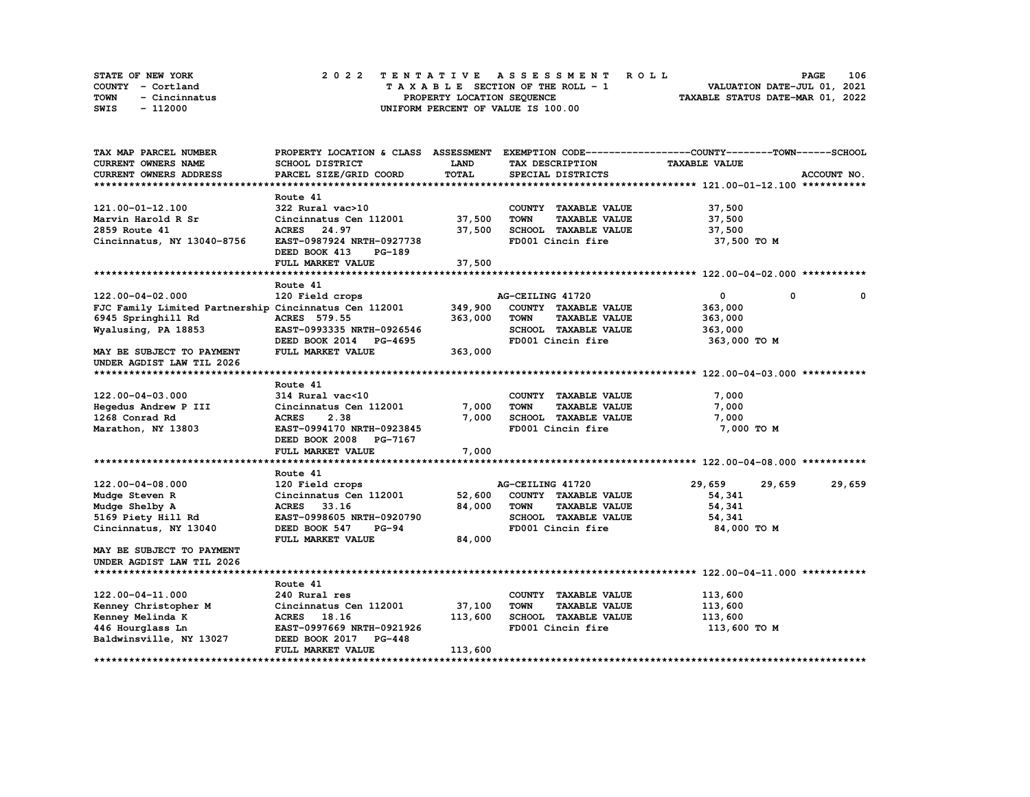| STATE OF NEW YORK     |  | 2022 TENTATIVE ASSESSMENT ROLL     |  | <b>PAGE</b>                      | 106 |
|-----------------------|--|------------------------------------|--|----------------------------------|-----|
| COUNTY - Cortland     |  | TAXABLE SECTION OF THE ROLL - 1    |  | VALUATION DATE-JUL 01, 2021      |     |
| TOWN<br>- Cincinnatus |  | PROPERTY LOCATION SEQUENCE         |  | TAXABLE STATUS DATE-MAR 01, 2022 |     |
| - 112000<br>SWIS      |  | UNIFORM PERCENT OF VALUE IS 100.00 |  |                                  |     |

| TAX MAP PARCEL NUMBER                                 | PROPERTY LOCATION & CLASS ASSESSMENT |         |                                     | EXEMPTION CODE-----------------COUNTY-------TOWN------SCHOOL |             |
|-------------------------------------------------------|--------------------------------------|---------|-------------------------------------|--------------------------------------------------------------|-------------|
| <b>CURRENT OWNERS NAME</b>                            | <b>SCHOOL DISTRICT</b>               | LAND    | TAX DESCRIPTION                     | <b>TAXABLE VALUE</b>                                         |             |
| CURRENT OWNERS ADDRESS                                | PARCEL SIZE/GRID COORD               | TOTAL   | SPECIAL DISTRICTS                   |                                                              | ACCOUNT NO. |
|                                                       |                                      |         |                                     |                                                              |             |
|                                                       | Route 41                             |         |                                     |                                                              |             |
| 121.00-01-12.100                                      | 322 Rural vac>10                     |         | COUNTY TAXABLE VALUE                | 37,500                                                       |             |
| Marvin Harold R Sr                                    | Cincinnatus Cen 112001               | 37,500  | <b>TOWN</b><br><b>TAXABLE VALUE</b> | 37,500                                                       |             |
| 2859 Route 41                                         | ACRES 24.97                          | 37,500  | SCHOOL TAXABLE VALUE                | 37,500                                                       |             |
| Cincinnatus, NY 13040-8756                            | EAST-0987924 NRTH-0927738            |         | FD001 Cincin fire                   | 37,500 TO M                                                  |             |
|                                                       | DEED BOOK 413<br>PG-189              |         |                                     |                                                              |             |
|                                                       | FULL MARKET VALUE                    | 37,500  |                                     |                                                              |             |
|                                                       |                                      |         |                                     |                                                              |             |
|                                                       | Route 41                             |         |                                     |                                                              |             |
| 122.00-04-02.000                                      | 120 Field crops                      |         | AG-CEILING 41720                    | 0<br>0                                                       | 0           |
| FJC Family Limited Partnership Cincinnatus Cen 112001 |                                      | 349,900 | COUNTY TAXABLE VALUE                | 363,000                                                      |             |
| 6945 Springhill Rd                                    | <b>ACRES</b> 579.55                  | 363,000 | <b>TOWN</b><br><b>TAXABLE VALUE</b> | 363,000                                                      |             |
| Wyalusing, PA 18853                                   | EAST-0993335 NRTH-0926546            |         | SCHOOL TAXABLE VALUE                | 363,000                                                      |             |
|                                                       | DEED BOOK 2014 PG-4695               |         | FD001 Cincin fire                   | 363,000 TO M                                                 |             |
| MAY BE SUBJECT TO PAYMENT                             | FULL MARKET VALUE                    | 363,000 |                                     |                                                              |             |
| UNDER AGDIST LAW TIL 2026                             |                                      |         |                                     |                                                              |             |
|                                                       |                                      |         |                                     |                                                              |             |
|                                                       | Route 41                             |         |                                     |                                                              |             |
| 122.00-04-03.000                                      | 314 Rural vac<10                     |         | COUNTY TAXABLE VALUE                | 7,000                                                        |             |
| Hegedus Andrew P III                                  | Cincinnatus Cen 112001               | 7,000   | <b>TOWN</b><br><b>TAXABLE VALUE</b> | 7,000                                                        |             |
| 1268 Conrad Rd                                        | <b>ACRES</b><br>2.38                 | 7,000   | SCHOOL TAXABLE VALUE                | 7,000                                                        |             |
| Marathon, NY 13803                                    | EAST-0994170 NRTH-0923845            |         | FD001 Cincin fire                   | 7,000 TO M                                                   |             |
|                                                       | DEED BOOK 2008 PG-7167               |         |                                     |                                                              |             |
|                                                       | FULL MARKET VALUE                    | 7,000   |                                     |                                                              |             |
|                                                       |                                      |         |                                     |                                                              |             |
|                                                       | Route 41                             |         |                                     |                                                              |             |
| 122.00-04-08.000                                      | 120 Field crops                      |         | AG-CEILING 41720                    | 29,659<br>29,659                                             | 29,659      |
| Mudge Steven R                                        | Cincinnatus Cen 112001               | 52,600  | COUNTY TAXABLE VALUE                | 54,341                                                       |             |
| Mudge Shelby A                                        | ACRES 33.16                          | 84,000  | <b>TOWN</b><br><b>TAXABLE VALUE</b> | 54,341                                                       |             |
| 5169 Piety Hill Rd                                    | EAST-0998605 NRTH-0920790            |         | SCHOOL TAXABLE VALUE                | 54,341                                                       |             |
| Cincinnatus, NY 13040                                 | DEED BOOK 547<br>$PG-94$             |         | FD001 Cincin fire                   | 84,000 TO M                                                  |             |
|                                                       | FULL MARKET VALUE                    | 84,000  |                                     |                                                              |             |
| MAY BE SUBJECT TO PAYMENT                             |                                      |         |                                     |                                                              |             |
| UNDER AGDIST LAW TIL 2026                             |                                      |         |                                     |                                                              |             |
|                                                       |                                      |         |                                     |                                                              |             |
|                                                       | Route 41                             |         |                                     |                                                              |             |
| 122.00-04-11.000                                      | 240 Rural res                        |         | COUNTY TAXABLE VALUE                | 113,600                                                      |             |
| Kenney Christopher M                                  | Cincinnatus Cen 112001               | 37,100  | <b>TOWN</b><br><b>TAXABLE VALUE</b> | 113,600                                                      |             |
| Kenney Melinda K                                      | ACRES 18.16                          | 113,600 | SCHOOL TAXABLE VALUE                | 113,600                                                      |             |
| 446 Hourglass Ln                                      | EAST-0997669 NRTH-0921926            |         | FD001 Cincin fire                   | 113,600 TO M                                                 |             |
| Baldwinsville, NY 13027                               | DEED BOOK 2017<br><b>PG-448</b>      |         |                                     |                                                              |             |
|                                                       | FULL MARKET VALUE                    | 113,600 |                                     |                                                              |             |
|                                                       |                                      |         |                                     |                                                              |             |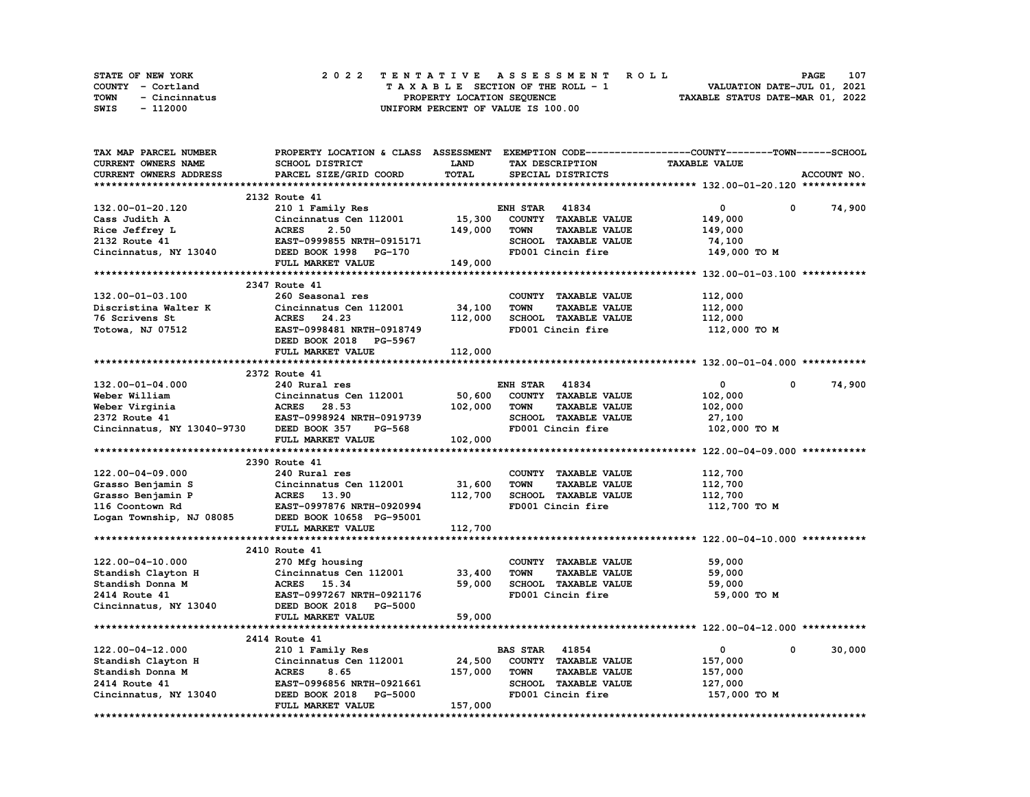| <b>STATE OF NEW YORK</b> | 2022 TENTATIVE ASSESSMENT ROLL     | 107<br><b>PAGE</b>               |
|--------------------------|------------------------------------|----------------------------------|
| COUNTY - Cortland        | TAXABLE SECTION OF THE ROLL - 1    | VALUATION DATE-JUL 01, 2021      |
| TOWN<br>- Cincinnatus    | PROPERTY LOCATION SEOUENCE         | TAXABLE STATUS DATE-MAR 01, 2022 |
| - 112000<br>SWIS         | UNIFORM PERCENT OF VALUE IS 100.00 |                                  |

| TAX MAP PARCEL NUMBER      |                                           |              |                                     | PROPERTY LOCATION & CLASS ASSESSMENT EXEMPTION CODE-----------------COUNTY-------TOWN-----SCHOOL |
|----------------------------|-------------------------------------------|--------------|-------------------------------------|--------------------------------------------------------------------------------------------------|
| CURRENT OWNERS NAME        | <b>SCHOOL DISTRICT</b>                    | LAND         | TAX DESCRIPTION                     | <b>TAXABLE VALUE</b>                                                                             |
| CURRENT OWNERS ADDRESS     | PARCEL SIZE/GRID COORD                    | <b>TOTAL</b> | SPECIAL DISTRICTS                   | ACCOUNT NO.                                                                                      |
|                            |                                           |              |                                     |                                                                                                  |
|                            | 2132 Route 41                             |              |                                     |                                                                                                  |
| 132.00-01-20.120           | 210 1 Family Res                          |              | <b>ENH STAR 41834</b>               | $\mathbf 0$<br>0<br>74,900                                                                       |
| Cass Judith A              | Cincinnatus Cen 112001                    | 15,300       | COUNTY TAXABLE VALUE                | 149,000                                                                                          |
| Rice Jeffrey L             | 2.50<br><b>ACRES</b>                      | 149,000      | <b>TOWN</b><br><b>TAXABLE VALUE</b> | 149,000                                                                                          |
| 2132 Route 41              | EAST-0999855 NRTH-0915171                 |              | SCHOOL TAXABLE VALUE                | 74,100                                                                                           |
| Cincinnatus, NY 13040      | DEED BOOK 1998 PG-170                     |              | FD001 Cincin fire                   | 149,000 TO M                                                                                     |
|                            | FULL MARKET VALUE                         | 149,000      |                                     |                                                                                                  |
|                            |                                           |              |                                     |                                                                                                  |
|                            | 2347 Route 41                             |              |                                     |                                                                                                  |
|                            |                                           |              |                                     |                                                                                                  |
| 132.00-01-03.100           | 260 Seasonal res                          |              | COUNTY TAXABLE VALUE                | 112,000                                                                                          |
| Discristina Walter K       | Cincinnatus Cen 112001                    | 34,100       | <b>TOWN</b><br><b>TAXABLE VALUE</b> | 112,000                                                                                          |
| 76 Scrivens St             | ACRES 24.23                               | 112,000      | <b>SCHOOL TAXABLE VALUE</b>         | 112,000                                                                                          |
| Totowa, NJ 07512           | EAST-0998481 NRTH-0918749                 |              | FD001 Cincin fire                   | 112,000 TO M                                                                                     |
|                            | DEED BOOK 2018 PG-5967                    |              |                                     |                                                                                                  |
|                            | FULL MARKET VALUE                         | 112,000      |                                     |                                                                                                  |
|                            |                                           |              |                                     |                                                                                                  |
|                            | 2372 Route 41                             |              |                                     |                                                                                                  |
| 132.00-01-04.000           | 240 Rural res                             |              | <b>ENH STAR 41834</b>               | $\mathbf 0$<br>$\mathbf{0}$<br>74,900                                                            |
| Weber William              | Cincinnatus Cen 112001                    | 50,600       | COUNTY TAXABLE VALUE                | 102,000                                                                                          |
| Weber Virginia             | ACRES 28.53                               | 102,000      | <b>TOWN</b><br><b>TAXABLE VALUE</b> | 102,000                                                                                          |
| 2372 Route 41              | EAST-0998924 NRTH-0919739                 |              | SCHOOL TAXABLE VALUE                | 27,100                                                                                           |
| Cincinnatus, NY 13040-9730 | DEED BOOK 357<br>PG-568                   |              | FD001 Cincin fire                   | 102,000 TO M                                                                                     |
|                            | FULL MARKET VALUE                         | 102,000      |                                     |                                                                                                  |
|                            |                                           |              |                                     |                                                                                                  |
|                            | 2390 Route 41                             |              |                                     |                                                                                                  |
| 122.00-04-09.000           | 240 Rural res                             |              | COUNTY TAXABLE VALUE                | 112,700                                                                                          |
| Grasso Benjamin S          | Cincinnatus Cen 112001                    | 31,600       | <b>TOWN</b><br><b>TAXABLE VALUE</b> | 112,700                                                                                          |
| Grasso Benjamin P          | <b>ACRES</b> 13.90                        | 112,700      | SCHOOL TAXABLE VALUE                | 112,700                                                                                          |
| 116 Coontown Rd            | EAST-0997876 NRTH-0920994                 |              | FD001 Cincin fire                   | 112,700 TO M                                                                                     |
| Logan Township, NJ 08085   | DEED BOOK 10658 PG-95001                  |              |                                     |                                                                                                  |
|                            | FULL MARKET VALUE                         | 112,700      |                                     |                                                                                                  |
|                            |                                           |              |                                     |                                                                                                  |
|                            |                                           |              |                                     |                                                                                                  |
|                            | 2410 Route 41                             |              |                                     |                                                                                                  |
| 122.00-04-10.000           | 270 Mfg housing                           |              | COUNTY TAXABLE VALUE                | 59,000                                                                                           |
| Standish Clayton H         | Cincinnatus Cen 112001                    | 33,400       | <b>TOWN</b><br><b>TAXABLE VALUE</b> | 59,000                                                                                           |
| Standish Donna M           | ACRES 15.34                               | 59,000       | SCHOOL TAXABLE VALUE                | 59,000                                                                                           |
| 2414 Route 41              | EAST-0997267 NRTH-0921176                 |              | FD001 Cincin fire                   | 59,000 TO M                                                                                      |
| Cincinnatus, NY 13040      | DEED BOOK 2018 PG-5000                    |              |                                     |                                                                                                  |
|                            | FULL MARKET VALUE                         | 59,000       |                                     |                                                                                                  |
|                            |                                           |              |                                     |                                                                                                  |
|                            | 2414 Route 41                             |              |                                     |                                                                                                  |
| 122.00-04-12.000           | 210 1 Family Res                          |              | <b>BAS STAR 41854</b>               | 30,000<br>$\mathbf{0}$<br>$\mathbf{0}$                                                           |
| Standish Clayton H         | Cincinnatus Cen 112001<br>Cincir<br>ACRES | 24,500       | COUNTY TAXABLE VALUE                | 157,000                                                                                          |
| Standish Donna M           | 8.65                                      | 157,000      | <b>TOWN</b><br><b>TAXABLE VALUE</b> | 157,000                                                                                          |
| 2414 Route 41              | EAST-0996856 NRTH-0921661                 |              | SCHOOL TAXABLE VALUE                | 127,000                                                                                          |
| Cincinnatus, NY 13040      | DEED BOOK 2018 PG-5000                    |              | FD001 Cincin fire                   | 157,000 TO M                                                                                     |
|                            | FULL MARKET VALUE                         | 157,000      |                                     |                                                                                                  |
|                            |                                           |              |                                     |                                                                                                  |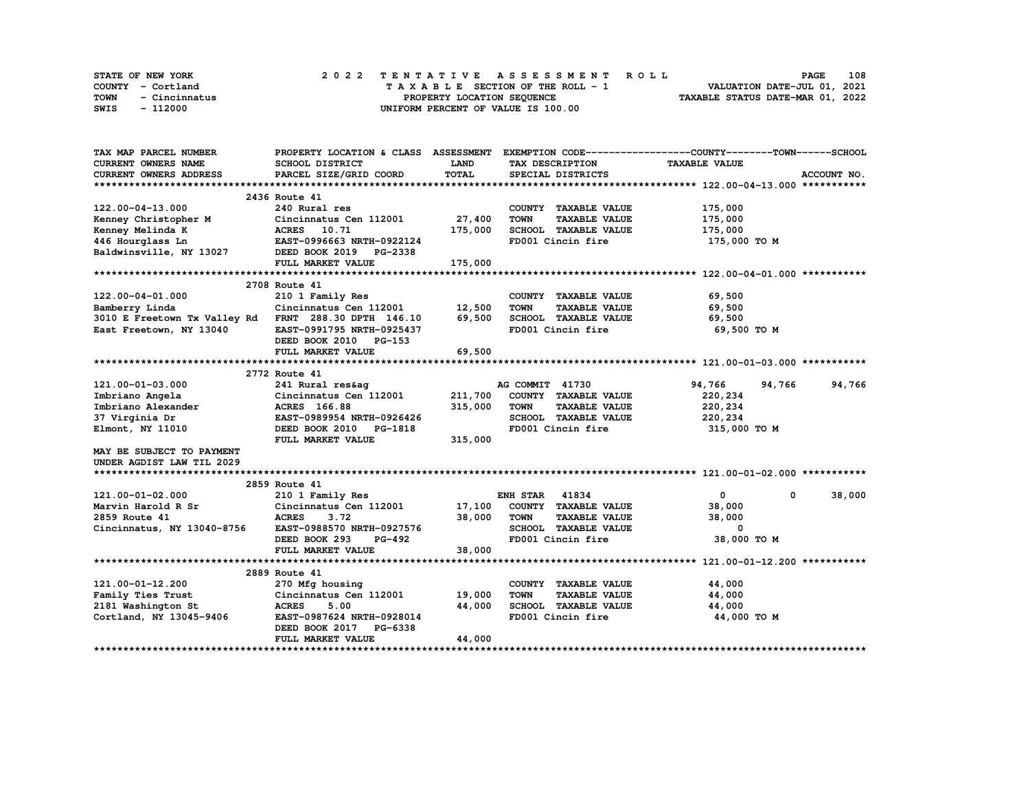|      | STATE OF NEW YORK | 2022 TENTATIVE ASSESSMENT ROLL     | 108<br><b>PAGE</b>               |
|------|-------------------|------------------------------------|----------------------------------|
|      | COUNTY - Cortland | TAXABLE SECTION OF THE ROLL - 1    | VALUATION DATE-JUL 01, 2021      |
| TOWN | - Cincinnatus     | PROPERTY LOCATION SEQUENCE         | TAXABLE STATUS DATE-MAR 01, 2022 |
| SWIS | - 112000          | UNIFORM PERCENT OF VALUE IS 100.00 |                                  |

| TAX MAP PARCEL NUMBER      | PROPERTY LOCATION & CLASS ASSESSMENT                 |             |                                     | EXEMPTION CODE-----------------COUNTY-------TOWN------SCHOOL |             |
|----------------------------|------------------------------------------------------|-------------|-------------------------------------|--------------------------------------------------------------|-------------|
| <b>CURRENT OWNERS NAME</b> | SCHOOL DISTRICT                                      | <b>LAND</b> | TAX DESCRIPTION                     | <b>TAXABLE VALUE</b>                                         |             |
| CURRENT OWNERS ADDRESS     | PARCEL SIZE/GRID COORD                               | TOTAL       | SPECIAL DISTRICTS                   |                                                              | ACCOUNT NO. |
|                            |                                                      |             |                                     |                                                              |             |
|                            | 2436 Route 41                                        |             |                                     |                                                              |             |
| 122.00-04-13.000           | 240 Rural res                                        |             | COUNTY TAXABLE VALUE                | 175,000                                                      |             |
| Kenney Christopher M       | Cincinnatus Cen 112001                               | 27,400      | <b>TOWN</b><br><b>TAXABLE VALUE</b> | 175,000                                                      |             |
| Kenney Melinda K           | ACRES 10.71                                          | 175,000     | SCHOOL TAXABLE VALUE                | 175,000                                                      |             |
| 446 Hourglass Ln           | EAST-0996663 NRTH-0922124                            |             | FD001 Cincin fire                   | 175,000 TO M                                                 |             |
| Baldwinsville, NY 13027    | DEED BOOK 2019 PG-2338                               |             |                                     |                                                              |             |
|                            | FULL MARKET VALUE                                    | 175,000     |                                     |                                                              |             |
|                            |                                                      |             |                                     |                                                              |             |
|                            | 2708 Route 41                                        |             |                                     |                                                              |             |
| 122.00-04-01.000           | 210 1 Family Res                                     |             | COUNTY TAXABLE VALUE                | 69,500                                                       |             |
| Bamberry Linda             | Cincinnatus Cen 112001                               | 12,500      | <b>TOWN</b><br><b>TAXABLE VALUE</b> | 69,500                                                       |             |
|                            | 3010 E Freetown Tx Valley Rd FRNT 288.30 DPTH 146.10 | 69,500      | SCHOOL TAXABLE VALUE                | 69,500                                                       |             |
| East Freetown, NY 13040    | EAST-0991795 NRTH-0925437                            |             | FD001 Cincin fire                   | 69,500 TO M                                                  |             |
|                            | DEED BOOK 2010 PG-153                                |             |                                     |                                                              |             |
|                            | FULL MARKET VALUE                                    | 69,500      |                                     |                                                              |             |
|                            |                                                      |             |                                     |                                                              |             |
|                            | 2772 Route 41                                        |             |                                     |                                                              |             |
| 121.00-01-03.000           | 241 Rural res&ag                                     |             | AG COMMIT 41730                     | 94,766<br>94,766                                             | 94,766      |
| Imbriano Angela            | Cincinnatus Cen 112001                               | 211,700     | COUNTY TAXABLE VALUE                | 220,234                                                      |             |
| Imbriano Alexander         | ACRES 166.88                                         | 315,000     | <b>TAXABLE VALUE</b><br><b>TOWN</b> | 220,234                                                      |             |
| 37 Virginia Dr             | EAST-0989954 NRTH-0926426                            |             | SCHOOL TAXABLE VALUE                | 220,234                                                      |             |
| Elmont, NY 11010           | DEED BOOK 2010 PG-1818                               |             | FD001 Cincin fire                   | 315,000 TO M                                                 |             |
|                            | FULL MARKET VALUE                                    | 315,000     |                                     |                                                              |             |
| MAY BE SUBJECT TO PAYMENT  |                                                      |             |                                     |                                                              |             |
| UNDER AGDIST LAW TIL 2029  |                                                      |             |                                     |                                                              |             |
|                            |                                                      |             |                                     |                                                              |             |
|                            | 2859 Route 41                                        |             |                                     |                                                              |             |
| 121.00-01-02.000           | 210 1 Family Res                                     |             | <b>ENH STAR 41834</b>               | $\mathbf{0}$<br>0                                            | 38,000      |
| Marvin Harold R Sr         | Cincinnatus Cen 112001                               | 17,100      | COUNTY TAXABLE VALUE                | 38,000                                                       |             |
| 2859 Route 41              | <b>ACRES</b><br>3.72                                 | 38,000      | <b>TOWN</b><br><b>TAXABLE VALUE</b> | 38,000                                                       |             |
| Cincinnatus, NY 13040-8756 | EAST-0988570 NRTH-0927576                            |             | SCHOOL TAXABLE VALUE                | 0                                                            |             |
|                            | DEED BOOK 293<br>PG-492                              |             | FD001 Cincin fire                   | 38,000 TO M                                                  |             |
|                            | FULL MARKET VALUE                                    | 38,000      |                                     |                                                              |             |
|                            |                                                      |             |                                     |                                                              |             |
|                            | 2889 Route 41                                        |             |                                     |                                                              |             |
| 121.00-01-12.200           | 270 Mfg housing                                      |             | COUNTY TAXABLE VALUE                | 44,000                                                       |             |
| Family Ties Trust          | Cincinnatus Cen 112001                               | 19,000      | <b>TOWN</b><br><b>TAXABLE VALUE</b> | 44,000                                                       |             |
| 2181 Washington St         | <b>ACRES</b><br>5.00                                 | 44,000      | SCHOOL TAXABLE VALUE                | 44,000                                                       |             |
| Cortland, NY 13045-9406    | EAST-0987624 NRTH-0928014                            |             | FD001 Cincin fire                   | 44,000 TO M                                                  |             |
|                            | DEED BOOK 2017 PG-6338                               |             |                                     |                                                              |             |
|                            | FULL MARKET VALUE                                    | 44,000      |                                     |                                                              |             |
|                            |                                                      |             |                                     |                                                              |             |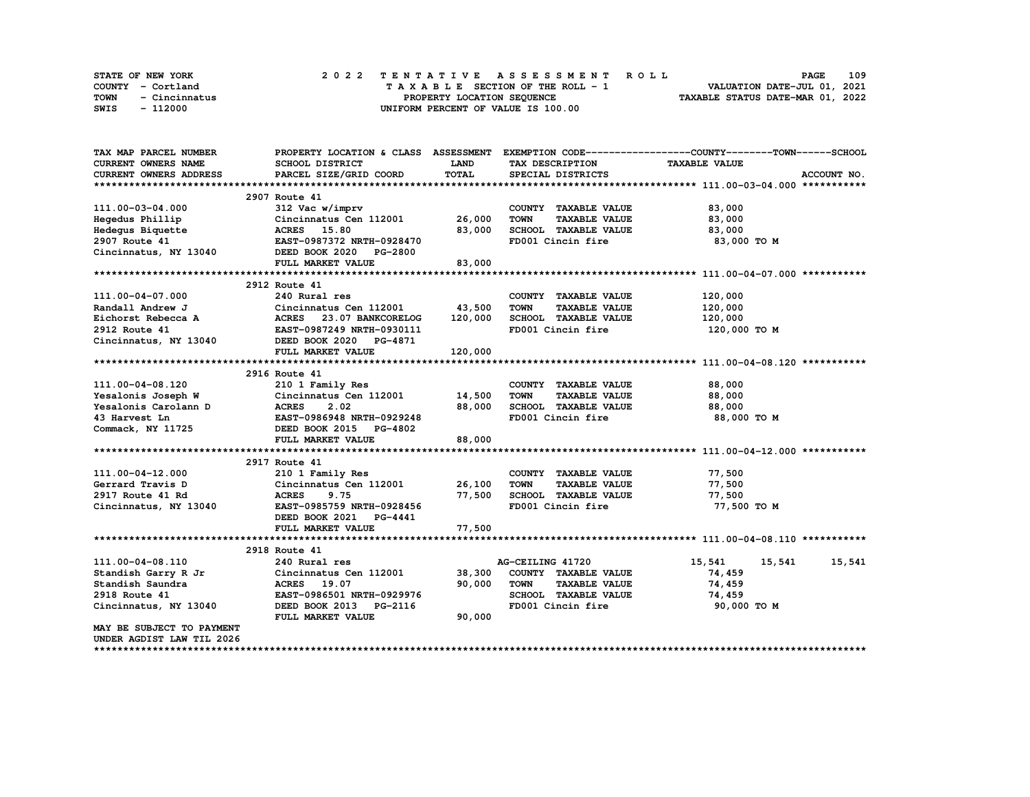| STATE OF NEW YORK     | 2022 TENTATIVE ASSESSMENT ROLL     | 109<br><b>PAGE</b>               |
|-----------------------|------------------------------------|----------------------------------|
| COUNTY - Cortland     | TAXABLE SECTION OF THE ROLL - 1    | VALUATION DATE-JUL 01, 2021      |
| TOWN<br>- Cincinnatus | PROPERTY LOCATION SEOUENCE         | TAXABLE STATUS DATE-MAR 01, 2022 |
| SWIS<br>- 112000      | UNIFORM PERCENT OF VALUE IS 100.00 |                                  |

| TAX MAP PARCEL NUMBER      | PROPERTY LOCATION & CLASS ASSESSMENT                                                               |             |                                     | EXEMPTION CODE-----------------COUNTY-------TOWN------SCHOOL |  |
|----------------------------|----------------------------------------------------------------------------------------------------|-------------|-------------------------------------|--------------------------------------------------------------|--|
| <b>CURRENT OWNERS NAME</b> | SCHOOL DISTRICT                                                                                    | <b>LAND</b> | TAX DESCRIPTION                     | <b>TAXABLE VALUE</b>                                         |  |
| CURRENT OWNERS ADDRESS     | PARCEL SIZE/GRID COORD                                                                             | TOTAL       | SPECIAL DISTRICTS                   | ACCOUNT NO.                                                  |  |
|                            |                                                                                                    |             |                                     |                                                              |  |
|                            | 2907 Route 41                                                                                      |             |                                     |                                                              |  |
| 111.00-03-04.000           | 312 Vac w/imprv                                                                                    |             | COUNTY TAXABLE VALUE                | 83,000                                                       |  |
| Hegedus Phillip            | Cincinnatus Cen 112001 26,000                                                                      |             | <b>TOWN</b><br><b>TAXABLE VALUE</b> | 83,000                                                       |  |
| Hedegus Biquette           | <b>ACRES</b> 15.80                                                                                 | 83,000      | SCHOOL TAXABLE VALUE                | 83,000                                                       |  |
| 2907 Route 41              | EAST-0987372 NRTH-0928470                                                                          |             | FD001 Cincin fire                   | 83,000 TO M                                                  |  |
| Cincinnatus, NY 13040      | DEED BOOK 2020 PG-2800                                                                             |             |                                     |                                                              |  |
|                            | FULL MARKET VALUE                                                                                  | 83,000      |                                     |                                                              |  |
|                            |                                                                                                    |             |                                     |                                                              |  |
|                            | 2912 Route 41                                                                                      |             |                                     |                                                              |  |
| 111.00-04-07.000           | 240 Rural res                                                                                      |             | COUNTY TAXABLE VALUE                | 120,000                                                      |  |
| Randall Andrew J           | Cincinnatus Cen 112001                                                                             | 43,500      | <b>TOWN</b><br><b>TAXABLE VALUE</b> | 120,000                                                      |  |
|                            |                                                                                                    | 120,000     | SCHOOL TAXABLE VALUE                | 120,000                                                      |  |
|                            |                                                                                                    |             | FD001 Cincin fire                   | 120,000 то м                                                 |  |
| Cincinnatus, NY 13040      | DEED BOOK 2020 PG-4871                                                                             |             |                                     |                                                              |  |
|                            | FULL MARKET VALUE                                                                                  | 120,000     |                                     |                                                              |  |
|                            |                                                                                                    |             |                                     |                                                              |  |
|                            | 2916 Route 41                                                                                      |             |                                     |                                                              |  |
| 111.00-04-08.120           | 210 1 Family Res                                                                                   |             | COUNTY TAXABLE VALUE                | 88,000                                                       |  |
|                            | Yesalonis Joseph W Cincinnatus Cen 112001 14,500                                                   |             | <b>TOWN</b><br><b>TAXABLE VALUE</b> | 88,000                                                       |  |
|                            | Xesalonis Carolann D<br>ACRES 2.02<br>43 Harvest Ln<br>Commack, NY 11725<br>DEED BOOK 2015 PG-4802 | 88,000      | SCHOOL TAXABLE VALUE                | 88,000                                                       |  |
|                            | EAST-0986948 NRTH-0929248                                                                          |             | FD001 Cincin fire                   | 88,000 TO M                                                  |  |
|                            |                                                                                                    |             |                                     |                                                              |  |
|                            | FULL MARKET VALUE                                                                                  | 88,000      |                                     |                                                              |  |
|                            |                                                                                                    |             |                                     |                                                              |  |
|                            | 2917 Route 41                                                                                      |             |                                     |                                                              |  |
| 111.00-04-12.000           | 210 1 Family Res                                                                                   |             | COUNTY TAXABLE VALUE                | 77,500                                                       |  |
| Gerrard Travis D           | Cincinnatus Cen $112001$ 26,100                                                                    |             | TOWN<br><b>TAXABLE VALUE</b>        | 77,500                                                       |  |
| 2917 Route 41 Rd           | <b>ACRES</b><br>9.75                                                                               | 77,500      | SCHOOL TAXABLE VALUE                | 77,500                                                       |  |
| Cincinnatus, NY 13040      | EAST-0985759 NRTH-0928456                                                                          |             | FD001 Cincin fire                   | 77,500 TO M                                                  |  |
|                            | DEED BOOK 2021 PG-4441                                                                             |             |                                     |                                                              |  |
|                            | FULL MARKET VALUE                                                                                  | 77,500      |                                     |                                                              |  |
|                            |                                                                                                    |             |                                     |                                                              |  |
|                            | 2918 Route 41                                                                                      |             |                                     |                                                              |  |
| 111.00-04-08.110           | 240 Rural res                                                                                      |             | AG-CEILING 41720                    | 15,541<br>15,541<br>15,541                                   |  |
| Standish Garry R Jr        | Cincinnatus Cen 112001                                                                             | 38,300      | COUNTY TAXABLE VALUE                | 74,459                                                       |  |
| Standish Saundra           | ACRES 19.07                                                                                        | 90,000      | <b>TOWN</b><br><b>TAXABLE VALUE</b> | 74,459                                                       |  |
| 2918 Route 41              | EAST-0986501 NRTH-0929976                                                                          |             | SCHOOL TAXABLE VALUE                | 74,459                                                       |  |
| Cincinnatus, NY 13040      | DEED BOOK 2013 PG-2116                                                                             |             | FD001 Cincin fire                   | 90,000 TO M                                                  |  |
|                            | FULL MARKET VALUE                                                                                  | 90,000      |                                     |                                                              |  |
| MAY BE SUBJECT TO PAYMENT  |                                                                                                    |             |                                     |                                                              |  |
| UNDER AGDIST LAW TIL 2026  |                                                                                                    |             |                                     |                                                              |  |
|                            |                                                                                                    |             |                                     |                                                              |  |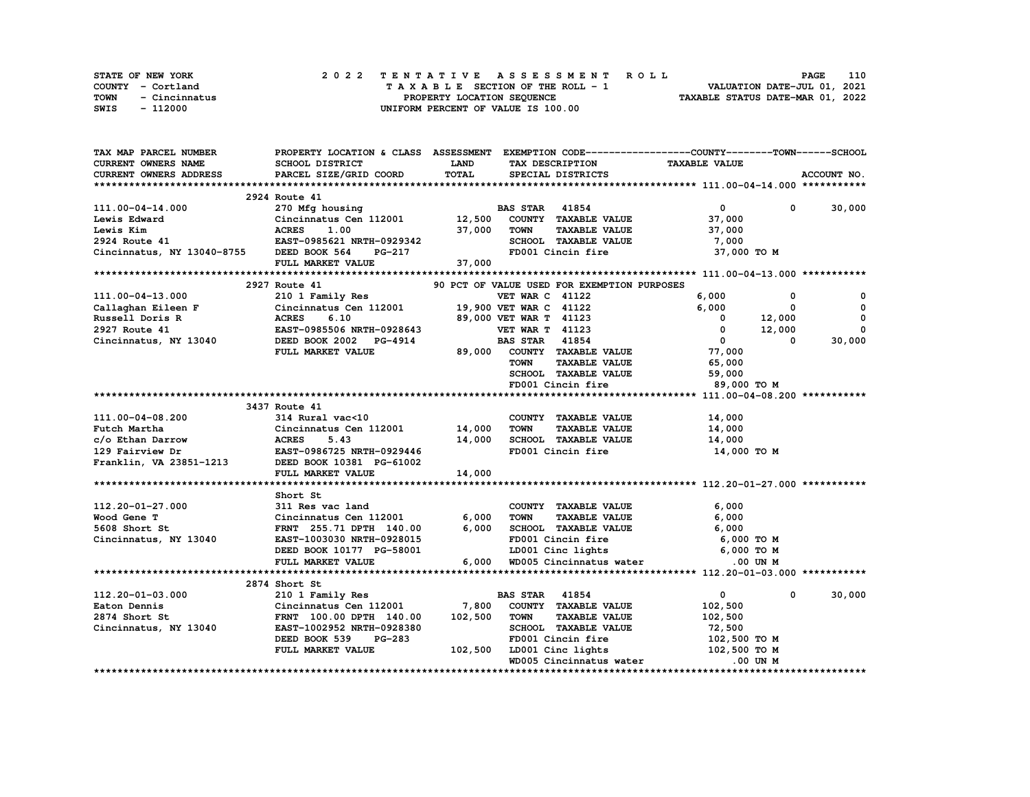|      | STATE OF NEW YORK |  | 2022 TENTATIVE ASSESSMENT ROLL     | 110<br><b>PAGE</b>               |
|------|-------------------|--|------------------------------------|----------------------------------|
|      | COUNTY - Cortland |  | TAXABLE SECTION OF THE ROLL - 1    | VALUATION DATE-JUL 01, 2021      |
| TOWN | - Cincinnatus     |  | PROPERTY LOCATION SEQUENCE         | TAXABLE STATUS DATE-MAR 01, 2022 |
| SWIS | - 112000          |  | UNIFORM PERCENT OF VALUE IS 100.00 |                                  |

| <b>CURRENT OWNERS NAME</b><br>SCHOOL DISTRICT<br><b>LAND</b><br><b>TAXABLE VALUE</b><br>TAX DESCRIPTION<br>TOTAL<br>ACCOUNT NO.<br>CURRENT OWNERS ADDRESS<br>PARCEL SIZE/GRID COORD<br>SPECIAL DISTRICTS<br>2924 Route 41<br>30,000<br>111.00-04-14.000<br><b>BAS STAR 41854</b><br>$\mathbf{0}$<br>270 Mfg housing<br>$^{\circ}$<br>Cincinnatus Cen 112001 12,500<br>COUNTY TAXABLE VALUE<br>Lewis Edward<br>37,000<br>1.00<br><b>ACRES</b><br>37,000<br><b>TOWN</b><br><b>TAXABLE VALUE</b><br>Lewis Kim<br>37,000<br>SCHOOL TAXABLE VALUE<br>2924 Route 41<br>EAST-0985621 NRTH-0929342<br>7,000<br>Cincinnatus, NY 13040-8755<br>DEED BOOK 564<br>FD001 Cincin fire<br>37,000 TO M<br>PG-217<br>FULL MARKET VALUE<br>37,000<br>2927 Route 41<br>90 PCT OF VALUE USED FOR EXEMPTION PURPOSES<br><b>VET WAR C 41122</b><br>111.00-04-13.000<br>210 1 Family Res<br>6,000<br>0<br>0<br>Cincinnatus Cen 112001<br>19,900 VET WAR C 41122<br>6,000<br>$\mathbf{o}$<br>Callaghan Eileen F<br>0<br>$\mathbf 0$<br>Russell Doris R<br>89,000 VET WAR T 41123<br>12,000<br><b>ACRES</b><br>6.10<br>$\mathbf 0$<br>$\mathbf 0$<br>2927 Route 41<br>EAST-0985506 NRTH-0928643<br><b>VET WAR T 41123</b><br>12,000<br>$^{\circ}$<br>41854<br>30,000<br>Cincinnatus, NY 13040<br>DEED BOOK 2002 PG-4914<br><b>BAS STAR</b><br>$\mathbf{0}$<br>0<br>COUNTY TAXABLE VALUE<br>77,000<br>FULL MARKET VALUE<br>89,000<br><b>TOWN</b><br><b>TAXABLE VALUE</b><br>65,000<br>SCHOOL TAXABLE VALUE<br>59,000<br>FD001 Cincin fire<br>89,000 TO M<br>3437 Route 41<br>111.00-04-08.200<br>314 Rural vac<10<br>COUNTY TAXABLE VALUE<br>14,000<br>Futch Martha<br>Cincinnatus Cen 112001 14,000<br><b>TOWN</b><br><b>TAXABLE VALUE</b><br>14,000<br>c/o Ethan Darrow<br><b>ACRES</b><br>5.43<br>14,000<br>SCHOOL TAXABLE VALUE<br>14,000<br>FD001 Cincin fire<br>129 Fairview Dr<br>EAST-0986725 NRTH-0929446<br>14,000 TO M<br>EAST-0986725 NRTH-0929446<br>DEED BOOK 10381 PG-61002<br>Franklin, VA 23851-1213<br>FULL MARKET VALUE<br>14,000<br>Short St<br>112.20-01-27.000<br>311 Res vac land<br>COUNTY TAXABLE VALUE<br>6,000<br>Wood Gene T<br>6,000<br><b>TOWN</b><br><b>TAXABLE VALUE</b><br>6,000<br>Cincinnatus Cen 112001<br>6,000<br>SCHOOL TAXABLE VALUE<br>5608 Short St<br>FRNT 255.71 DPTH 140.00<br>6,000<br>Cincinnatus, NY 13040<br>EAST-1003030 NRTH-0928015<br>FD001 Cincin fire<br>6,000 то м<br>LD001 Cinc lights 6,000 TO M<br>DEED BOOK 10177 PG-58001<br>FULL MARKET VALUE<br>6,000 WD005 Cincinnatus water<br>.00 UN M<br>2874 Short St<br>112.20-01-03.000<br>210 1 Family Res<br><b>BAS STAR 41854</b><br>$\mathbf{0}$<br>30,000<br>$^{\circ}$<br>7,800<br>COUNTY TAXABLE VALUE<br>Eaton Dennis<br>Cincinnatus Cen 112001<br>102,500<br>102,500<br>2874 Short St<br>FRNT 100.00 DPTH 140.00<br><b>TOWN</b><br><b>TAXABLE VALUE</b><br>102,500<br>SCHOOL TAXABLE VALUE<br>Cincinnatus, NY 13040<br>EAST-1002952 NRTH-0928380<br>72,500<br>DEED BOOK 539<br><b>PG-283</b><br>FD001 Cincin fire<br>102,500 TO M<br>LD001 Cinc lights<br>102,500 TO M<br>FULL MARKET VALUE<br>102,500<br>WD005 Cincinnatus water<br>.00 UN M | TAX MAP PARCEL NUMBER |  | PROPERTY LOCATION & CLASS ASSESSMENT EXEMPTION CODE----------------COUNTY-------TOWN-----SCHOOL |  |
|------------------------------------------------------------------------------------------------------------------------------------------------------------------------------------------------------------------------------------------------------------------------------------------------------------------------------------------------------------------------------------------------------------------------------------------------------------------------------------------------------------------------------------------------------------------------------------------------------------------------------------------------------------------------------------------------------------------------------------------------------------------------------------------------------------------------------------------------------------------------------------------------------------------------------------------------------------------------------------------------------------------------------------------------------------------------------------------------------------------------------------------------------------------------------------------------------------------------------------------------------------------------------------------------------------------------------------------------------------------------------------------------------------------------------------------------------------------------------------------------------------------------------------------------------------------------------------------------------------------------------------------------------------------------------------------------------------------------------------------------------------------------------------------------------------------------------------------------------------------------------------------------------------------------------------------------------------------------------------------------------------------------------------------------------------------------------------------------------------------------------------------------------------------------------------------------------------------------------------------------------------------------------------------------------------------------------------------------------------------------------------------------------------------------------------------------------------------------------------------------------------------------------------------------------------------------------------------------------------------------------------------------------------------------------------------------------------------------------------------------------------------------------------------------------------------------------------------------------------------------------------------------------------------------------------------------------------------------------------------------------------------------------------------------------------------------------------------------------------------------------------|-----------------------|--|-------------------------------------------------------------------------------------------------|--|
|                                                                                                                                                                                                                                                                                                                                                                                                                                                                                                                                                                                                                                                                                                                                                                                                                                                                                                                                                                                                                                                                                                                                                                                                                                                                                                                                                                                                                                                                                                                                                                                                                                                                                                                                                                                                                                                                                                                                                                                                                                                                                                                                                                                                                                                                                                                                                                                                                                                                                                                                                                                                                                                                                                                                                                                                                                                                                                                                                                                                                                                                                                                                    |                       |  |                                                                                                 |  |
|                                                                                                                                                                                                                                                                                                                                                                                                                                                                                                                                                                                                                                                                                                                                                                                                                                                                                                                                                                                                                                                                                                                                                                                                                                                                                                                                                                                                                                                                                                                                                                                                                                                                                                                                                                                                                                                                                                                                                                                                                                                                                                                                                                                                                                                                                                                                                                                                                                                                                                                                                                                                                                                                                                                                                                                                                                                                                                                                                                                                                                                                                                                                    |                       |  |                                                                                                 |  |
|                                                                                                                                                                                                                                                                                                                                                                                                                                                                                                                                                                                                                                                                                                                                                                                                                                                                                                                                                                                                                                                                                                                                                                                                                                                                                                                                                                                                                                                                                                                                                                                                                                                                                                                                                                                                                                                                                                                                                                                                                                                                                                                                                                                                                                                                                                                                                                                                                                                                                                                                                                                                                                                                                                                                                                                                                                                                                                                                                                                                                                                                                                                                    |                       |  |                                                                                                 |  |
|                                                                                                                                                                                                                                                                                                                                                                                                                                                                                                                                                                                                                                                                                                                                                                                                                                                                                                                                                                                                                                                                                                                                                                                                                                                                                                                                                                                                                                                                                                                                                                                                                                                                                                                                                                                                                                                                                                                                                                                                                                                                                                                                                                                                                                                                                                                                                                                                                                                                                                                                                                                                                                                                                                                                                                                                                                                                                                                                                                                                                                                                                                                                    |                       |  |                                                                                                 |  |
|                                                                                                                                                                                                                                                                                                                                                                                                                                                                                                                                                                                                                                                                                                                                                                                                                                                                                                                                                                                                                                                                                                                                                                                                                                                                                                                                                                                                                                                                                                                                                                                                                                                                                                                                                                                                                                                                                                                                                                                                                                                                                                                                                                                                                                                                                                                                                                                                                                                                                                                                                                                                                                                                                                                                                                                                                                                                                                                                                                                                                                                                                                                                    |                       |  |                                                                                                 |  |
|                                                                                                                                                                                                                                                                                                                                                                                                                                                                                                                                                                                                                                                                                                                                                                                                                                                                                                                                                                                                                                                                                                                                                                                                                                                                                                                                                                                                                                                                                                                                                                                                                                                                                                                                                                                                                                                                                                                                                                                                                                                                                                                                                                                                                                                                                                                                                                                                                                                                                                                                                                                                                                                                                                                                                                                                                                                                                                                                                                                                                                                                                                                                    |                       |  |                                                                                                 |  |
|                                                                                                                                                                                                                                                                                                                                                                                                                                                                                                                                                                                                                                                                                                                                                                                                                                                                                                                                                                                                                                                                                                                                                                                                                                                                                                                                                                                                                                                                                                                                                                                                                                                                                                                                                                                                                                                                                                                                                                                                                                                                                                                                                                                                                                                                                                                                                                                                                                                                                                                                                                                                                                                                                                                                                                                                                                                                                                                                                                                                                                                                                                                                    |                       |  |                                                                                                 |  |
|                                                                                                                                                                                                                                                                                                                                                                                                                                                                                                                                                                                                                                                                                                                                                                                                                                                                                                                                                                                                                                                                                                                                                                                                                                                                                                                                                                                                                                                                                                                                                                                                                                                                                                                                                                                                                                                                                                                                                                                                                                                                                                                                                                                                                                                                                                                                                                                                                                                                                                                                                                                                                                                                                                                                                                                                                                                                                                                                                                                                                                                                                                                                    |                       |  |                                                                                                 |  |
|                                                                                                                                                                                                                                                                                                                                                                                                                                                                                                                                                                                                                                                                                                                                                                                                                                                                                                                                                                                                                                                                                                                                                                                                                                                                                                                                                                                                                                                                                                                                                                                                                                                                                                                                                                                                                                                                                                                                                                                                                                                                                                                                                                                                                                                                                                                                                                                                                                                                                                                                                                                                                                                                                                                                                                                                                                                                                                                                                                                                                                                                                                                                    |                       |  |                                                                                                 |  |
|                                                                                                                                                                                                                                                                                                                                                                                                                                                                                                                                                                                                                                                                                                                                                                                                                                                                                                                                                                                                                                                                                                                                                                                                                                                                                                                                                                                                                                                                                                                                                                                                                                                                                                                                                                                                                                                                                                                                                                                                                                                                                                                                                                                                                                                                                                                                                                                                                                                                                                                                                                                                                                                                                                                                                                                                                                                                                                                                                                                                                                                                                                                                    |                       |  |                                                                                                 |  |
|                                                                                                                                                                                                                                                                                                                                                                                                                                                                                                                                                                                                                                                                                                                                                                                                                                                                                                                                                                                                                                                                                                                                                                                                                                                                                                                                                                                                                                                                                                                                                                                                                                                                                                                                                                                                                                                                                                                                                                                                                                                                                                                                                                                                                                                                                                                                                                                                                                                                                                                                                                                                                                                                                                                                                                                                                                                                                                                                                                                                                                                                                                                                    |                       |  |                                                                                                 |  |
|                                                                                                                                                                                                                                                                                                                                                                                                                                                                                                                                                                                                                                                                                                                                                                                                                                                                                                                                                                                                                                                                                                                                                                                                                                                                                                                                                                                                                                                                                                                                                                                                                                                                                                                                                                                                                                                                                                                                                                                                                                                                                                                                                                                                                                                                                                                                                                                                                                                                                                                                                                                                                                                                                                                                                                                                                                                                                                                                                                                                                                                                                                                                    |                       |  |                                                                                                 |  |
|                                                                                                                                                                                                                                                                                                                                                                                                                                                                                                                                                                                                                                                                                                                                                                                                                                                                                                                                                                                                                                                                                                                                                                                                                                                                                                                                                                                                                                                                                                                                                                                                                                                                                                                                                                                                                                                                                                                                                                                                                                                                                                                                                                                                                                                                                                                                                                                                                                                                                                                                                                                                                                                                                                                                                                                                                                                                                                                                                                                                                                                                                                                                    |                       |  |                                                                                                 |  |
|                                                                                                                                                                                                                                                                                                                                                                                                                                                                                                                                                                                                                                                                                                                                                                                                                                                                                                                                                                                                                                                                                                                                                                                                                                                                                                                                                                                                                                                                                                                                                                                                                                                                                                                                                                                                                                                                                                                                                                                                                                                                                                                                                                                                                                                                                                                                                                                                                                                                                                                                                                                                                                                                                                                                                                                                                                                                                                                                                                                                                                                                                                                                    |                       |  |                                                                                                 |  |
|                                                                                                                                                                                                                                                                                                                                                                                                                                                                                                                                                                                                                                                                                                                                                                                                                                                                                                                                                                                                                                                                                                                                                                                                                                                                                                                                                                                                                                                                                                                                                                                                                                                                                                                                                                                                                                                                                                                                                                                                                                                                                                                                                                                                                                                                                                                                                                                                                                                                                                                                                                                                                                                                                                                                                                                                                                                                                                                                                                                                                                                                                                                                    |                       |  |                                                                                                 |  |
|                                                                                                                                                                                                                                                                                                                                                                                                                                                                                                                                                                                                                                                                                                                                                                                                                                                                                                                                                                                                                                                                                                                                                                                                                                                                                                                                                                                                                                                                                                                                                                                                                                                                                                                                                                                                                                                                                                                                                                                                                                                                                                                                                                                                                                                                                                                                                                                                                                                                                                                                                                                                                                                                                                                                                                                                                                                                                                                                                                                                                                                                                                                                    |                       |  |                                                                                                 |  |
|                                                                                                                                                                                                                                                                                                                                                                                                                                                                                                                                                                                                                                                                                                                                                                                                                                                                                                                                                                                                                                                                                                                                                                                                                                                                                                                                                                                                                                                                                                                                                                                                                                                                                                                                                                                                                                                                                                                                                                                                                                                                                                                                                                                                                                                                                                                                                                                                                                                                                                                                                                                                                                                                                                                                                                                                                                                                                                                                                                                                                                                                                                                                    |                       |  |                                                                                                 |  |
|                                                                                                                                                                                                                                                                                                                                                                                                                                                                                                                                                                                                                                                                                                                                                                                                                                                                                                                                                                                                                                                                                                                                                                                                                                                                                                                                                                                                                                                                                                                                                                                                                                                                                                                                                                                                                                                                                                                                                                                                                                                                                                                                                                                                                                                                                                                                                                                                                                                                                                                                                                                                                                                                                                                                                                                                                                                                                                                                                                                                                                                                                                                                    |                       |  |                                                                                                 |  |
|                                                                                                                                                                                                                                                                                                                                                                                                                                                                                                                                                                                                                                                                                                                                                                                                                                                                                                                                                                                                                                                                                                                                                                                                                                                                                                                                                                                                                                                                                                                                                                                                                                                                                                                                                                                                                                                                                                                                                                                                                                                                                                                                                                                                                                                                                                                                                                                                                                                                                                                                                                                                                                                                                                                                                                                                                                                                                                                                                                                                                                                                                                                                    |                       |  |                                                                                                 |  |
|                                                                                                                                                                                                                                                                                                                                                                                                                                                                                                                                                                                                                                                                                                                                                                                                                                                                                                                                                                                                                                                                                                                                                                                                                                                                                                                                                                                                                                                                                                                                                                                                                                                                                                                                                                                                                                                                                                                                                                                                                                                                                                                                                                                                                                                                                                                                                                                                                                                                                                                                                                                                                                                                                                                                                                                                                                                                                                                                                                                                                                                                                                                                    |                       |  |                                                                                                 |  |
|                                                                                                                                                                                                                                                                                                                                                                                                                                                                                                                                                                                                                                                                                                                                                                                                                                                                                                                                                                                                                                                                                                                                                                                                                                                                                                                                                                                                                                                                                                                                                                                                                                                                                                                                                                                                                                                                                                                                                                                                                                                                                                                                                                                                                                                                                                                                                                                                                                                                                                                                                                                                                                                                                                                                                                                                                                                                                                                                                                                                                                                                                                                                    |                       |  |                                                                                                 |  |
|                                                                                                                                                                                                                                                                                                                                                                                                                                                                                                                                                                                                                                                                                                                                                                                                                                                                                                                                                                                                                                                                                                                                                                                                                                                                                                                                                                                                                                                                                                                                                                                                                                                                                                                                                                                                                                                                                                                                                                                                                                                                                                                                                                                                                                                                                                                                                                                                                                                                                                                                                                                                                                                                                                                                                                                                                                                                                                                                                                                                                                                                                                                                    |                       |  |                                                                                                 |  |
|                                                                                                                                                                                                                                                                                                                                                                                                                                                                                                                                                                                                                                                                                                                                                                                                                                                                                                                                                                                                                                                                                                                                                                                                                                                                                                                                                                                                                                                                                                                                                                                                                                                                                                                                                                                                                                                                                                                                                                                                                                                                                                                                                                                                                                                                                                                                                                                                                                                                                                                                                                                                                                                                                                                                                                                                                                                                                                                                                                                                                                                                                                                                    |                       |  |                                                                                                 |  |
|                                                                                                                                                                                                                                                                                                                                                                                                                                                                                                                                                                                                                                                                                                                                                                                                                                                                                                                                                                                                                                                                                                                                                                                                                                                                                                                                                                                                                                                                                                                                                                                                                                                                                                                                                                                                                                                                                                                                                                                                                                                                                                                                                                                                                                                                                                                                                                                                                                                                                                                                                                                                                                                                                                                                                                                                                                                                                                                                                                                                                                                                                                                                    |                       |  |                                                                                                 |  |
|                                                                                                                                                                                                                                                                                                                                                                                                                                                                                                                                                                                                                                                                                                                                                                                                                                                                                                                                                                                                                                                                                                                                                                                                                                                                                                                                                                                                                                                                                                                                                                                                                                                                                                                                                                                                                                                                                                                                                                                                                                                                                                                                                                                                                                                                                                                                                                                                                                                                                                                                                                                                                                                                                                                                                                                                                                                                                                                                                                                                                                                                                                                                    |                       |  |                                                                                                 |  |
|                                                                                                                                                                                                                                                                                                                                                                                                                                                                                                                                                                                                                                                                                                                                                                                                                                                                                                                                                                                                                                                                                                                                                                                                                                                                                                                                                                                                                                                                                                                                                                                                                                                                                                                                                                                                                                                                                                                                                                                                                                                                                                                                                                                                                                                                                                                                                                                                                                                                                                                                                                                                                                                                                                                                                                                                                                                                                                                                                                                                                                                                                                                                    |                       |  |                                                                                                 |  |
|                                                                                                                                                                                                                                                                                                                                                                                                                                                                                                                                                                                                                                                                                                                                                                                                                                                                                                                                                                                                                                                                                                                                                                                                                                                                                                                                                                                                                                                                                                                                                                                                                                                                                                                                                                                                                                                                                                                                                                                                                                                                                                                                                                                                                                                                                                                                                                                                                                                                                                                                                                                                                                                                                                                                                                                                                                                                                                                                                                                                                                                                                                                                    |                       |  |                                                                                                 |  |
|                                                                                                                                                                                                                                                                                                                                                                                                                                                                                                                                                                                                                                                                                                                                                                                                                                                                                                                                                                                                                                                                                                                                                                                                                                                                                                                                                                                                                                                                                                                                                                                                                                                                                                                                                                                                                                                                                                                                                                                                                                                                                                                                                                                                                                                                                                                                                                                                                                                                                                                                                                                                                                                                                                                                                                                                                                                                                                                                                                                                                                                                                                                                    |                       |  |                                                                                                 |  |
|                                                                                                                                                                                                                                                                                                                                                                                                                                                                                                                                                                                                                                                                                                                                                                                                                                                                                                                                                                                                                                                                                                                                                                                                                                                                                                                                                                                                                                                                                                                                                                                                                                                                                                                                                                                                                                                                                                                                                                                                                                                                                                                                                                                                                                                                                                                                                                                                                                                                                                                                                                                                                                                                                                                                                                                                                                                                                                                                                                                                                                                                                                                                    |                       |  |                                                                                                 |  |
|                                                                                                                                                                                                                                                                                                                                                                                                                                                                                                                                                                                                                                                                                                                                                                                                                                                                                                                                                                                                                                                                                                                                                                                                                                                                                                                                                                                                                                                                                                                                                                                                                                                                                                                                                                                                                                                                                                                                                                                                                                                                                                                                                                                                                                                                                                                                                                                                                                                                                                                                                                                                                                                                                                                                                                                                                                                                                                                                                                                                                                                                                                                                    |                       |  |                                                                                                 |  |
|                                                                                                                                                                                                                                                                                                                                                                                                                                                                                                                                                                                                                                                                                                                                                                                                                                                                                                                                                                                                                                                                                                                                                                                                                                                                                                                                                                                                                                                                                                                                                                                                                                                                                                                                                                                                                                                                                                                                                                                                                                                                                                                                                                                                                                                                                                                                                                                                                                                                                                                                                                                                                                                                                                                                                                                                                                                                                                                                                                                                                                                                                                                                    |                       |  |                                                                                                 |  |
|                                                                                                                                                                                                                                                                                                                                                                                                                                                                                                                                                                                                                                                                                                                                                                                                                                                                                                                                                                                                                                                                                                                                                                                                                                                                                                                                                                                                                                                                                                                                                                                                                                                                                                                                                                                                                                                                                                                                                                                                                                                                                                                                                                                                                                                                                                                                                                                                                                                                                                                                                                                                                                                                                                                                                                                                                                                                                                                                                                                                                                                                                                                                    |                       |  |                                                                                                 |  |
|                                                                                                                                                                                                                                                                                                                                                                                                                                                                                                                                                                                                                                                                                                                                                                                                                                                                                                                                                                                                                                                                                                                                                                                                                                                                                                                                                                                                                                                                                                                                                                                                                                                                                                                                                                                                                                                                                                                                                                                                                                                                                                                                                                                                                                                                                                                                                                                                                                                                                                                                                                                                                                                                                                                                                                                                                                                                                                                                                                                                                                                                                                                                    |                       |  |                                                                                                 |  |
|                                                                                                                                                                                                                                                                                                                                                                                                                                                                                                                                                                                                                                                                                                                                                                                                                                                                                                                                                                                                                                                                                                                                                                                                                                                                                                                                                                                                                                                                                                                                                                                                                                                                                                                                                                                                                                                                                                                                                                                                                                                                                                                                                                                                                                                                                                                                                                                                                                                                                                                                                                                                                                                                                                                                                                                                                                                                                                                                                                                                                                                                                                                                    |                       |  |                                                                                                 |  |
|                                                                                                                                                                                                                                                                                                                                                                                                                                                                                                                                                                                                                                                                                                                                                                                                                                                                                                                                                                                                                                                                                                                                                                                                                                                                                                                                                                                                                                                                                                                                                                                                                                                                                                                                                                                                                                                                                                                                                                                                                                                                                                                                                                                                                                                                                                                                                                                                                                                                                                                                                                                                                                                                                                                                                                                                                                                                                                                                                                                                                                                                                                                                    |                       |  |                                                                                                 |  |
|                                                                                                                                                                                                                                                                                                                                                                                                                                                                                                                                                                                                                                                                                                                                                                                                                                                                                                                                                                                                                                                                                                                                                                                                                                                                                                                                                                                                                                                                                                                                                                                                                                                                                                                                                                                                                                                                                                                                                                                                                                                                                                                                                                                                                                                                                                                                                                                                                                                                                                                                                                                                                                                                                                                                                                                                                                                                                                                                                                                                                                                                                                                                    |                       |  |                                                                                                 |  |
|                                                                                                                                                                                                                                                                                                                                                                                                                                                                                                                                                                                                                                                                                                                                                                                                                                                                                                                                                                                                                                                                                                                                                                                                                                                                                                                                                                                                                                                                                                                                                                                                                                                                                                                                                                                                                                                                                                                                                                                                                                                                                                                                                                                                                                                                                                                                                                                                                                                                                                                                                                                                                                                                                                                                                                                                                                                                                                                                                                                                                                                                                                                                    |                       |  |                                                                                                 |  |
|                                                                                                                                                                                                                                                                                                                                                                                                                                                                                                                                                                                                                                                                                                                                                                                                                                                                                                                                                                                                                                                                                                                                                                                                                                                                                                                                                                                                                                                                                                                                                                                                                                                                                                                                                                                                                                                                                                                                                                                                                                                                                                                                                                                                                                                                                                                                                                                                                                                                                                                                                                                                                                                                                                                                                                                                                                                                                                                                                                                                                                                                                                                                    |                       |  |                                                                                                 |  |
|                                                                                                                                                                                                                                                                                                                                                                                                                                                                                                                                                                                                                                                                                                                                                                                                                                                                                                                                                                                                                                                                                                                                                                                                                                                                                                                                                                                                                                                                                                                                                                                                                                                                                                                                                                                                                                                                                                                                                                                                                                                                                                                                                                                                                                                                                                                                                                                                                                                                                                                                                                                                                                                                                                                                                                                                                                                                                                                                                                                                                                                                                                                                    |                       |  |                                                                                                 |  |
|                                                                                                                                                                                                                                                                                                                                                                                                                                                                                                                                                                                                                                                                                                                                                                                                                                                                                                                                                                                                                                                                                                                                                                                                                                                                                                                                                                                                                                                                                                                                                                                                                                                                                                                                                                                                                                                                                                                                                                                                                                                                                                                                                                                                                                                                                                                                                                                                                                                                                                                                                                                                                                                                                                                                                                                                                                                                                                                                                                                                                                                                                                                                    |                       |  |                                                                                                 |  |
|                                                                                                                                                                                                                                                                                                                                                                                                                                                                                                                                                                                                                                                                                                                                                                                                                                                                                                                                                                                                                                                                                                                                                                                                                                                                                                                                                                                                                                                                                                                                                                                                                                                                                                                                                                                                                                                                                                                                                                                                                                                                                                                                                                                                                                                                                                                                                                                                                                                                                                                                                                                                                                                                                                                                                                                                                                                                                                                                                                                                                                                                                                                                    |                       |  |                                                                                                 |  |
|                                                                                                                                                                                                                                                                                                                                                                                                                                                                                                                                                                                                                                                                                                                                                                                                                                                                                                                                                                                                                                                                                                                                                                                                                                                                                                                                                                                                                                                                                                                                                                                                                                                                                                                                                                                                                                                                                                                                                                                                                                                                                                                                                                                                                                                                                                                                                                                                                                                                                                                                                                                                                                                                                                                                                                                                                                                                                                                                                                                                                                                                                                                                    |                       |  |                                                                                                 |  |
|                                                                                                                                                                                                                                                                                                                                                                                                                                                                                                                                                                                                                                                                                                                                                                                                                                                                                                                                                                                                                                                                                                                                                                                                                                                                                                                                                                                                                                                                                                                                                                                                                                                                                                                                                                                                                                                                                                                                                                                                                                                                                                                                                                                                                                                                                                                                                                                                                                                                                                                                                                                                                                                                                                                                                                                                                                                                                                                                                                                                                                                                                                                                    |                       |  |                                                                                                 |  |
|                                                                                                                                                                                                                                                                                                                                                                                                                                                                                                                                                                                                                                                                                                                                                                                                                                                                                                                                                                                                                                                                                                                                                                                                                                                                                                                                                                                                                                                                                                                                                                                                                                                                                                                                                                                                                                                                                                                                                                                                                                                                                                                                                                                                                                                                                                                                                                                                                                                                                                                                                                                                                                                                                                                                                                                                                                                                                                                                                                                                                                                                                                                                    |                       |  |                                                                                                 |  |
|                                                                                                                                                                                                                                                                                                                                                                                                                                                                                                                                                                                                                                                                                                                                                                                                                                                                                                                                                                                                                                                                                                                                                                                                                                                                                                                                                                                                                                                                                                                                                                                                                                                                                                                                                                                                                                                                                                                                                                                                                                                                                                                                                                                                                                                                                                                                                                                                                                                                                                                                                                                                                                                                                                                                                                                                                                                                                                                                                                                                                                                                                                                                    |                       |  |                                                                                                 |  |
|                                                                                                                                                                                                                                                                                                                                                                                                                                                                                                                                                                                                                                                                                                                                                                                                                                                                                                                                                                                                                                                                                                                                                                                                                                                                                                                                                                                                                                                                                                                                                                                                                                                                                                                                                                                                                                                                                                                                                                                                                                                                                                                                                                                                                                                                                                                                                                                                                                                                                                                                                                                                                                                                                                                                                                                                                                                                                                                                                                                                                                                                                                                                    |                       |  |                                                                                                 |  |
|                                                                                                                                                                                                                                                                                                                                                                                                                                                                                                                                                                                                                                                                                                                                                                                                                                                                                                                                                                                                                                                                                                                                                                                                                                                                                                                                                                                                                                                                                                                                                                                                                                                                                                                                                                                                                                                                                                                                                                                                                                                                                                                                                                                                                                                                                                                                                                                                                                                                                                                                                                                                                                                                                                                                                                                                                                                                                                                                                                                                                                                                                                                                    |                       |  |                                                                                                 |  |
|                                                                                                                                                                                                                                                                                                                                                                                                                                                                                                                                                                                                                                                                                                                                                                                                                                                                                                                                                                                                                                                                                                                                                                                                                                                                                                                                                                                                                                                                                                                                                                                                                                                                                                                                                                                                                                                                                                                                                                                                                                                                                                                                                                                                                                                                                                                                                                                                                                                                                                                                                                                                                                                                                                                                                                                                                                                                                                                                                                                                                                                                                                                                    |                       |  |                                                                                                 |  |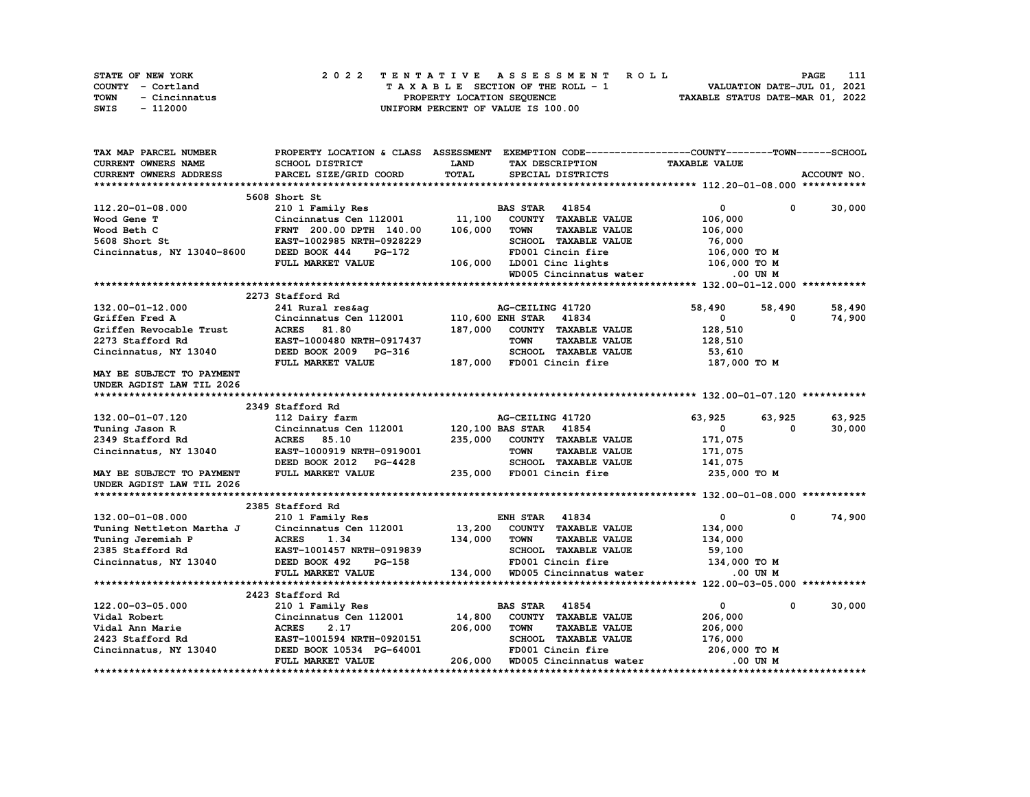| <b>STATE OF NEW YORK</b> |               |  |  |  |  | 2022 TENTATIVE ASSESSMENT ROLL     |  |  |  |  |  |  |                                  | <b>PAGE</b> | 111 |
|--------------------------|---------------|--|--|--|--|------------------------------------|--|--|--|--|--|--|----------------------------------|-------------|-----|
| COUNTY - Cortland        |               |  |  |  |  | TAXABLE SECTION OF THE ROLL - 1    |  |  |  |  |  |  | VALUATION DATE-JUL 01, 2021      |             |     |
| TOWN                     | - Cincinnatus |  |  |  |  | PROPERTY LOCATION SEOUENCE         |  |  |  |  |  |  | TAXABLE STATUS DATE-MAR 01, 2022 |             |     |
| SWIS                     | - 112000      |  |  |  |  | UNIFORM PERCENT OF VALUE IS 100.00 |  |  |  |  |  |  |                                  |             |     |

| TAX MAP PARCEL NUMBER      | PROPERTY LOCATION & CLASS ASSESSMENT |         | EXEMPTION CODE------------------COUNTY-------TOWN------SCHOOL |                      |                        |
|----------------------------|--------------------------------------|---------|---------------------------------------------------------------|----------------------|------------------------|
| CURRENT OWNERS NAME        | SCHOOL DISTRICT                      | LAND    | TAX DESCRIPTION                                               | <b>TAXABLE VALUE</b> |                        |
| CURRENT OWNERS ADDRESS     | PARCEL SIZE/GRID COORD               | TOTAL   | SPECIAL DISTRICTS                                             |                      | ACCOUNT NO.            |
|                            |                                      |         |                                                               |                      |                        |
|                            | 5608 Short St                        |         |                                                               |                      |                        |
| 112.20-01-08.000           | 210 1 Family Res                     |         | <b>BAS STAR</b><br>41854                                      | 0                    | 30,000<br>$\mathbf{0}$ |
| Wood Gene T                | Cincinnatus Cen 112001               | 11,100  | COUNTY TAXABLE VALUE                                          | 106,000              |                        |
| Wood Beth C                | FRNT 200.00 DPTH 140.00              | 106,000 | <b>TOWN</b><br><b>TAXABLE VALUE</b>                           | 106,000              |                        |
| 5608 Short St              | EAST-1002985 NRTH-0928229            |         | SCHOOL TAXABLE VALUE                                          | 76,000               |                        |
| Cincinnatus, NY 13040-8600 | DEED BOOK 444<br>PG-172              |         | FD001 Cincin fire                                             | 106,000 TO M         |                        |
|                            | FULL MARKET VALUE                    | 106,000 | LD001 Cinc lights                                             | 106,000 TO M         |                        |
|                            |                                      |         | WD005 Cincinnatus water                                       | .00 UN M             |                        |
|                            |                                      |         |                                                               |                      |                        |
|                            | 2273 Stafford Rd                     |         |                                                               |                      |                        |
| 132.00-01-12.000           | 241 Rural res&ag                     |         | AG-CEILING 41720                                              | 58,490<br>58,490     | 58,490                 |
| Griffen Fred A             | Cincinnatus Cen 112001               |         | 110,600 ENH STAR<br>41834                                     | 0                    | 74,900<br>0            |
| Griffen Revocable Trust    | <b>ACRES</b><br>81.80                | 187,000 | COUNTY TAXABLE VALUE                                          | 128,510              |                        |
| 2273 Stafford Rd           | EAST-1000480 NRTH-0917437            |         | <b>TOWN</b><br><b>TAXABLE VALUE</b>                           | 128,510              |                        |
| Cincinnatus, NY 13040      | DEED BOOK 2009 PG-316                |         | SCHOOL TAXABLE VALUE                                          | 53,610               |                        |
|                            | FULL MARKET VALUE                    | 187,000 | FD001 Cincin fire                                             |                      |                        |
| MAY BE SUBJECT TO PAYMENT  |                                      |         |                                                               | 187,000 TO M         |                        |
| UNDER AGDIST LAW TIL 2026  |                                      |         |                                                               |                      |                        |
|                            |                                      |         |                                                               |                      |                        |
|                            | 2349 Stafford Rd                     |         |                                                               |                      |                        |
|                            |                                      |         |                                                               |                      |                        |
| 132.00-01-07.120           | 112 Dairy farm                       |         | AG-CEILING 41720                                              | 63,925<br>63,925     | 63,925                 |
| Tuning Jason R             | Cincinnatus Cen 112001               |         | 120,100 BAS STAR 41854                                        | 0                    | 30,000<br>0            |
| 2349 Stafford Rd           | <b>ACRES</b><br>85.10                | 235,000 | COUNTY TAXABLE VALUE                                          | 171,075              |                        |
| Cincinnatus, NY 13040      | EAST-1000919 NRTH-0919001            |         | <b>TOWN</b><br><b>TAXABLE VALUE</b>                           | 171,075              |                        |
|                            | DEED BOOK 2012<br>PG-4428            |         | SCHOOL TAXABLE VALUE                                          | 141,075              |                        |
| MAY BE SUBJECT TO PAYMENT  | FULL MARKET VALUE                    | 235,000 | FD001 Cincin fire                                             | 235,000 TO M         |                        |
| UNDER AGDIST LAW TIL 2026  |                                      |         |                                                               |                      |                        |
|                            |                                      |         |                                                               |                      |                        |
|                            | 2385 Stafford Rd                     |         |                                                               |                      |                        |
| 132.00-01-08.000           | 210 1 Family Res                     |         | 41834<br><b>ENH STAR</b>                                      | 0                    | 74,900<br>$\mathbf{0}$ |
| Tuning Nettleton Martha J  | Cincinnatus Cen 112001               | 13,200  | COUNTY TAXABLE VALUE                                          | 134,000              |                        |
| Tuning Jeremiah P          | <b>ACRES</b><br>1.34                 | 134,000 | <b>TOWN</b><br><b>TAXABLE VALUE</b>                           | 134,000              |                        |
| 2385 Stafford Rd           | EAST-1001457 NRTH-0919839            |         | <b>SCHOOL TAXABLE VALUE</b>                                   | 59,100               |                        |
| Cincinnatus, NY 13040      | DEED BOOK 492<br>$PG-158$            |         | FD001 Cincin fire                                             | 134,000 TO M         |                        |
|                            | FULL MARKET VALUE                    | 134,000 | WD005 Cincinnatus water                                       | .00 UN M             |                        |
|                            |                                      |         |                                                               |                      |                        |
|                            | 2423 Stafford Rd                     |         |                                                               |                      |                        |
| 122.00-03-05.000           | 210 1 Family Res                     |         | <b>BAS STAR 41854</b>                                         | $\mathbf 0$          | 30,000<br>$^{\circ}$   |
| Vidal Robert               | Cincinnatus Cen 112001               | 14,800  | COUNTY TAXABLE VALUE                                          | 206,000              |                        |
| Vidal Ann Marie            | <b>ACRES</b><br>2.17                 | 206,000 | <b>TOWN</b><br><b>TAXABLE VALUE</b>                           | 206,000              |                        |
| 2423 Stafford Rd           | EAST-1001594 NRTH-0920151            |         | SCHOOL TAXABLE VALUE                                          | 176,000              |                        |
| Cincinnatus, NY 13040      | DEED BOOK 10534 PG-64001             |         | FD001 Cincin fire                                             | 206,000 TO M         |                        |
|                            | FULL MARKET VALUE                    | 206,000 | WD005 Cincinnatus water                                       | $.00$ UN M           |                        |
|                            |                                      |         |                                                               |                      |                        |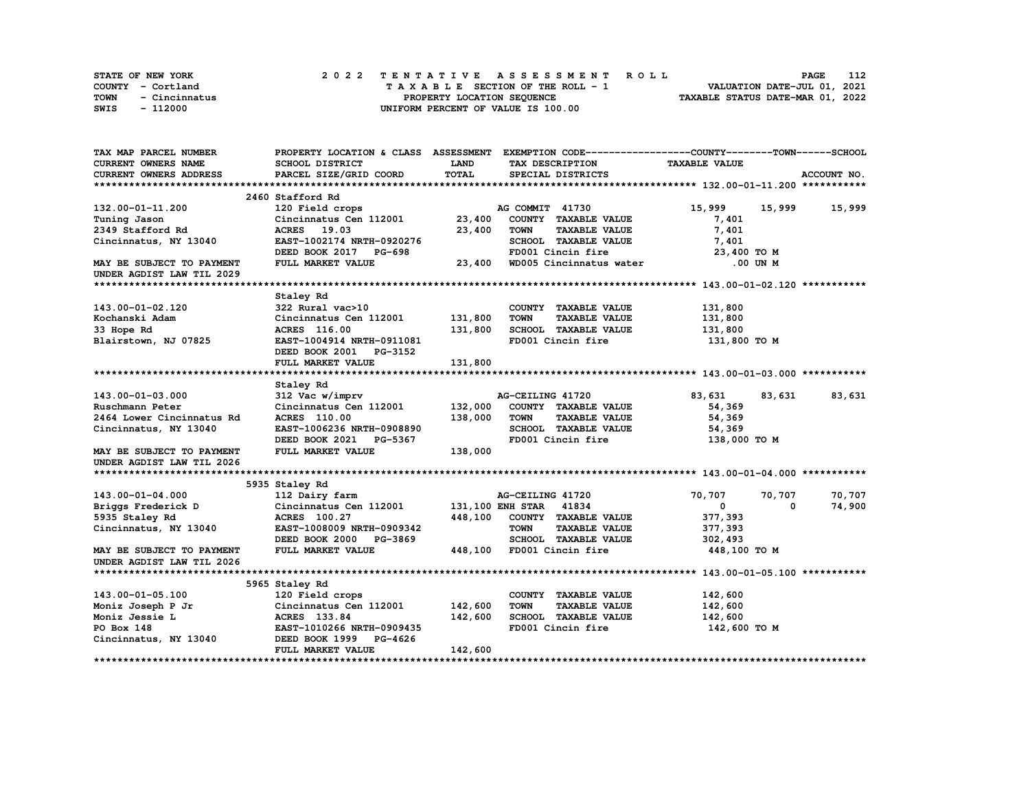| <b>STATE OF NEW YORK</b> | 2022 TENTATIVE ASSESSMENT ROLL     | 112<br><b>PAGE</b>               |
|--------------------------|------------------------------------|----------------------------------|
| COUNTY - Cortland        | TAXABLE SECTION OF THE ROLL - 1    | VALUATION DATE-JUL 01, 2021      |
| TOWN<br>- Cincinnatus    | PROPERTY LOCATION SEOUENCE         | TAXABLE STATUS DATE-MAR 01, 2022 |
| - 112000<br>SWIS         | UNIFORM PERCENT OF VALUE IS 100.00 |                                  |

| TAX MAP PARCEL NUMBER            |                                           |              | PROPERTY LOCATION & CLASS ASSESSMENT EXEMPTION CODE------------------COUNTY-------TOWN------SCHOOL |                      |                  |
|----------------------------------|-------------------------------------------|--------------|----------------------------------------------------------------------------------------------------|----------------------|------------------|
| <b>CURRENT OWNERS NAME</b>       | SCHOOL DISTRICT                           | LAND         | TAX DESCRIPTION                                                                                    | <b>TAXABLE VALUE</b> |                  |
| CURRENT OWNERS ADDRESS           | PARCEL SIZE/GRID COORD                    | <b>TOTAL</b> | SPECIAL DISTRICTS                                                                                  |                      | ACCOUNT NO.      |
|                                  |                                           |              |                                                                                                    |                      |                  |
|                                  | 2460 Stafford Rd                          |              |                                                                                                    |                      |                  |
| 132.00-01-11.200                 | 120 Field crops                           |              | AG COMMIT 41730                                                                                    | 15,999               | 15,999<br>15,999 |
| Tuning Jason                     | Cincinnatus Cen 112001                    | 23,400       | COUNTY TAXABLE VALUE                                                                               | 7,401                |                  |
| 2349 Stafford Rd                 | ACRES 19.03                               | 23,400       | <b>TOWN</b><br><b>TAXABLE VALUE</b>                                                                | 7,401                |                  |
| Cincinnatus, NY 13040            | EAST-1002174 NRTH-0920276                 |              | SCHOOL TAXABLE VALUE                                                                               | 7,401                |                  |
|                                  | DEED BOOK 2017 PG-698                     |              | FD001 Cincin fire                                                                                  | 23,400 TO M          |                  |
| <b>MAY BE SUBJECT TO PAYMENT</b> | FULL MARKET VALUE                         | 23,400       | WD005 Cincinnatus water                                                                            | .00 UN M             |                  |
| UNDER AGDIST LAW TIL 2029        |                                           |              |                                                                                                    |                      |                  |
|                                  |                                           |              |                                                                                                    |                      |                  |
|                                  | Staley Rd                                 |              |                                                                                                    |                      |                  |
| 143.00-01-02.120                 | 322 Rural vac>10                          |              | COUNTY TAXABLE VALUE                                                                               | 131,800              |                  |
| Kochanski Adam                   | Cincinnatus Cen 112001                    | 131,800      | <b>TOWN</b><br><b>TAXABLE VALUE</b>                                                                | 131,800              |                  |
| 33 Hope Rd                       | ACRES 116.00                              | 131,800      | SCHOOL TAXABLE VALUE                                                                               | 131,800              |                  |
| Blairstown, NJ 07825             | EAST-1004914 NRTH-0911081                 |              | FD001 Cincin fire                                                                                  | 131,800 TO M         |                  |
|                                  | DEED BOOK 2001 PG-3152                    |              |                                                                                                    |                      |                  |
|                                  | FULL MARKET VALUE                         | 131,800      |                                                                                                    |                      |                  |
|                                  |                                           |              |                                                                                                    |                      |                  |
|                                  | Staley Rd                                 |              |                                                                                                    |                      |                  |
| 143.00-01-03.000                 | 312 Vac w/imprv                           |              | AG-CEILING 41720                                                                                   | 83,631<br>83,631     | 83,631           |
| Ruschmann Peter                  | Cincinnatus Cen 112001                    | 132,000      | COUNTY TAXABLE VALUE                                                                               | 54,369               |                  |
| 2464 Lower Cincinnatus Rd        | <b>ACRES</b> 110.00                       | 138,000      | <b>TOWN</b><br><b>TAXABLE VALUE</b>                                                                | 54,369               |                  |
| Cincinnatus, NY 13040            | EAST-1006236 NRTH-0908890                 |              | SCHOOL TAXABLE VALUE                                                                               | 54,369               |                  |
|                                  | DEED BOOK 2021 PG-5367                    |              | FD001 Cincin fire                                                                                  | 138,000 TO M         |                  |
| MAY BE SUBJECT TO PAYMENT        | FULL MARKET VALUE                         | 138,000      |                                                                                                    |                      |                  |
| UNDER AGDIST LAW TIL 2026        |                                           |              |                                                                                                    |                      |                  |
|                                  |                                           |              |                                                                                                    |                      |                  |
|                                  | 5935 Staley Rd                            |              |                                                                                                    |                      |                  |
| 143.00-01-04.000                 | 112 Dairy farm                            |              | AG-CEILING 41720                                                                                   | 70,707<br>70,707     | 70,707           |
| Briggs Frederick D               | Cincinnatus Cen 112001                    |              | 131,100 ENH STAR 41834                                                                             | 0                    | 74,900<br>0      |
| 5935 Staley Rd                   | ACRES 100.27                              | 448,100      | COUNTY TAXABLE VALUE                                                                               | 377,393              |                  |
| Cincinnatus, NY 13040            | EAST-1008009 NRTH-0909342                 |              | <b>TOWN</b><br><b>TAXABLE VALUE</b>                                                                | 377,393              |                  |
|                                  | DEED BOOK 2000 PG-3869                    |              | SCHOOL TAXABLE VALUE                                                                               | 302,493              |                  |
| MAY BE SUBJECT TO PAYMENT        | FULL MARKET VALUE                         | 448,100      | FD001 Cincin fire                                                                                  | 448,100 TO M         |                  |
| UNDER AGDIST LAW TIL 2026        |                                           |              |                                                                                                    |                      |                  |
|                                  |                                           |              |                                                                                                    |                      |                  |
| 143.00-01-05.100                 | 5965 Staley Rd                            |              | COUNTY TAXABLE VALUE                                                                               | 142,600              |                  |
| Moniz Joseph P Jr                | 120 Field crops<br>Cincinnatus Cen 112001 | 142,600      | <b>TOWN</b><br><b>TAXABLE VALUE</b>                                                                | 142,600              |                  |
|                                  | ACRES 133.84                              | 142,600      | SCHOOL TAXABLE VALUE                                                                               | 142,600              |                  |
| Moniz Jessie L<br>PO Box 148     | EAST-1010266 NRTH-0909435                 |              | FD001 Cincin fire                                                                                  |                      |                  |
|                                  | DEED BOOK 1999 PG-4626                    |              |                                                                                                    | 142,600 TO M         |                  |
| Cincinnatus, NY 13040            |                                           |              |                                                                                                    |                      |                  |
|                                  | FULL MARKET VALUE                         | 142,600      |                                                                                                    |                      |                  |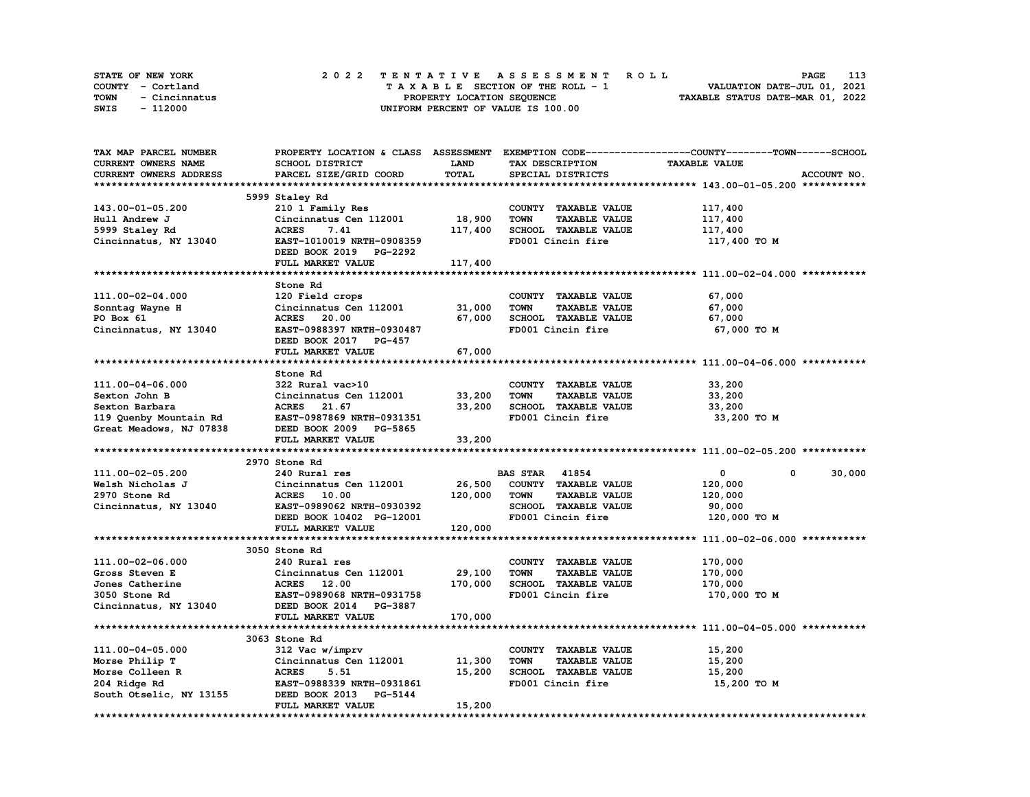| STATE OF NEW YORK     |  | 2022 TENTATIVE ASSESSMENT ROLL     | PAGE                             | 113 |
|-----------------------|--|------------------------------------|----------------------------------|-----|
| COUNTY - Cortland     |  | TAXABLE SECTION OF THE ROLL - 1    | VALUATION DATE-JUL 01, 2021      |     |
| TOWN<br>- Cincinnatus |  | PROPERTY LOCATION SEOUENCE         | TAXABLE STATUS DATE-MAR 01, 2022 |     |
| SWIS<br>- 112000      |  | UNIFORM PERCENT OF VALUE IS 100.00 |                                  |     |

| TAX MAP PARCEL NUMBER      |                           |             |                                     | PROPERTY LOCATION & CLASS ASSESSMENT EXEMPTION CODE----------------COUNTY-------TOWN-----SCHOOL |
|----------------------------|---------------------------|-------------|-------------------------------------|-------------------------------------------------------------------------------------------------|
| <b>CURRENT OWNERS NAME</b> | SCHOOL DISTRICT           | <b>LAND</b> | TAX DESCRIPTION                     | <b>TAXABLE VALUE</b>                                                                            |
| CURRENT OWNERS ADDRESS     | PARCEL SIZE/GRID COORD    | TOTAL       | SPECIAL DISTRICTS                   | ACCOUNT NO.                                                                                     |
|                            |                           |             |                                     |                                                                                                 |
|                            | 5999 Staley Rd            |             |                                     |                                                                                                 |
| 143.00-01-05.200           | 210 1 Family Res          |             | COUNTY TAXABLE VALUE                | 117,400                                                                                         |
| Hull Andrew J              | Cincinnatus Cen 112001    | 18,900      | TAXABLE VALUE<br><b>TOWN</b>        | 117,400                                                                                         |
| 5999 Staley Rd             | 7.41<br><b>ACRES</b>      | 117,400     | SCHOOL TAXABLE VALUE                | 117,400                                                                                         |
| Cincinnatus, NY 13040      | EAST-1010019 NRTH-0908359 |             | FD001 Cincin fire                   | 117,400 TO M                                                                                    |
|                            |                           |             |                                     |                                                                                                 |
|                            | DEED BOOK 2019 PG-2292    |             |                                     |                                                                                                 |
|                            | FULL MARKET VALUE         | 117,400     |                                     |                                                                                                 |
|                            |                           |             |                                     |                                                                                                 |
|                            | Stone Rd                  |             |                                     |                                                                                                 |
| 111.00-02-04.000           | 120 Field crops           |             | COUNTY TAXABLE VALUE                | 67,000                                                                                          |
| Sonntag Wayne H            | Cincinnatus Cen 112001    | 31,000      | <b>TOWN</b><br><b>TAXABLE VALUE</b> | 67,000                                                                                          |
| PO Box 61                  | ACRES 20.00               | 67,000      | SCHOOL TAXABLE VALUE                | 67,000                                                                                          |
| Cincinnatus, NY 13040      | EAST-0988397 NRTH-0930487 |             | FD001 Cincin fire                   | 67,000 TO M                                                                                     |
|                            | DEED BOOK 2017 PG-457     |             |                                     |                                                                                                 |
|                            | FULL MARKET VALUE         | 67,000      |                                     |                                                                                                 |
|                            |                           |             |                                     |                                                                                                 |
|                            | Stone Rd                  |             |                                     |                                                                                                 |
| 111.00-04-06.000           | 322 Rural vac>10          |             | COUNTY TAXABLE VALUE                | 33,200                                                                                          |
| Sexton John B              | Cincinnatus Cen 112001    | 33,200      | <b>TOWN</b><br><b>TAXABLE VALUE</b> | 33,200                                                                                          |
| Sexton Barbara             | ACRES 21.67               | 33,200      | SCHOOL TAXABLE VALUE                | 33,200                                                                                          |
| 119 Quenby Mountain Rd     | EAST-0987869 NRTH-0931351 |             | FD001 Cincin fire                   | 33,200 TO M                                                                                     |
| Great Meadows, NJ 07838    | DEED BOOK 2009 PG-5865    |             |                                     |                                                                                                 |
|                            | FULL MARKET VALUE         | 33,200      |                                     |                                                                                                 |
|                            |                           |             |                                     |                                                                                                 |
|                            | 2970 Stone Rd             |             |                                     |                                                                                                 |
| 111.00-02-05.200           | 240 Rural res             |             | <b>BAS STAR 41854</b>               | 30,000<br>$\mathbf{0}$<br>$^{\circ}$                                                            |
|                            |                           |             |                                     |                                                                                                 |
| Welsh Nicholas J           | Cincinnatus Cen 112001    | 26,500      | COUNTY TAXABLE VALUE                | 120,000                                                                                         |
| 2970 Stone Rd              | <b>ACRES</b> 10.00        | 120,000     | <b>TAXABLE VALUE</b><br>TOWN        | 120,000                                                                                         |
| Cincinnatus, NY 13040      | EAST-0989062 NRTH-0930392 |             | <b>SCHOOL TAXABLE VALUE</b>         | 90,000                                                                                          |
|                            | DEED BOOK 10402 PG-12001  |             | FD001 Cincin fire                   | 120,000 TO M                                                                                    |
|                            | FULL MARKET VALUE         | 120,000     |                                     |                                                                                                 |
|                            |                           |             |                                     |                                                                                                 |
|                            | 3050 Stone Rd             |             |                                     |                                                                                                 |
| 111.00-02-06.000           | 240 Rural res             |             | COUNTY TAXABLE VALUE                | 170,000                                                                                         |
| Gross Steven E             | Cincinnatus Cen 112001    | 29,100      | <b>TOWN</b><br><b>TAXABLE VALUE</b> | 170,000                                                                                         |
| Jones Catherine            | ACRES 12.00               | 170,000     | SCHOOL TAXABLE VALUE                | 170,000                                                                                         |
| 3050 Stone Rd              | EAST-0989068 NRTH-0931758 |             | FD001 Cincin fire                   | 170,000 TO M                                                                                    |
| Cincinnatus, NY 13040      | DEED BOOK 2014 PG-3887    |             |                                     |                                                                                                 |
|                            | FULL MARKET VALUE         | 170,000     |                                     |                                                                                                 |
|                            |                           |             |                                     |                                                                                                 |
|                            | 3063 Stone Rd             |             |                                     |                                                                                                 |
| 111.00-04-05.000           | 312 Vac w/imprv           |             | COUNTY TAXABLE VALUE                | 15,200                                                                                          |
| Morse Philip T             | Cincinnatus Cen 112001    | 11,300      | <b>TOWN</b><br><b>TAXABLE VALUE</b> | 15,200                                                                                          |
| Morse Colleen R            | <b>ACRES</b><br>5.51      | 15,200      | SCHOOL TAXABLE VALUE                | 15,200                                                                                          |
| 204 Ridge Rd               | EAST-0988339 NRTH-0931861 |             | FD001 Cincin fire                   | 15,200 TO M                                                                                     |
| South Otselic, NY 13155    | DEED BOOK 2013<br>PG-5144 |             |                                     |                                                                                                 |
|                            | FULL MARKET VALUE         | 15,200      |                                     |                                                                                                 |
| ********************       |                           |             |                                     |                                                                                                 |
|                            |                           |             |                                     |                                                                                                 |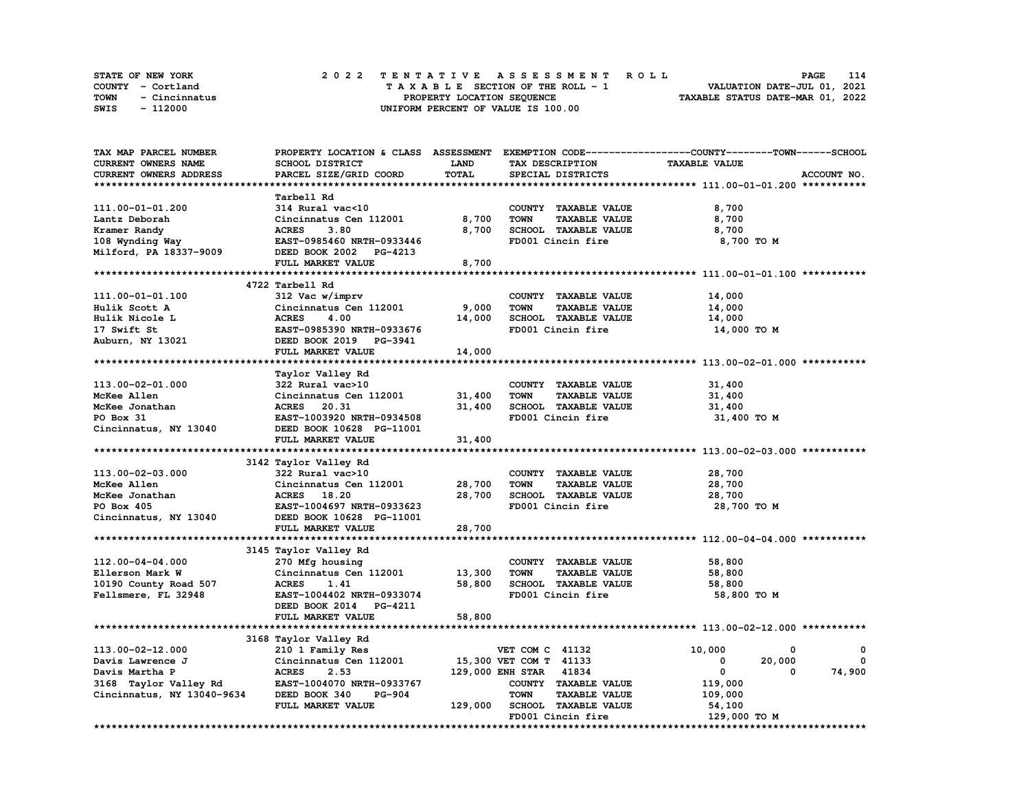| <b>STATE OF NEW YORK</b> | 2022 TENTATIVE ASSESSMENT ROLL     | 114<br>PAGE                      |
|--------------------------|------------------------------------|----------------------------------|
| COUNTY - Cortland        | TAXABLE SECTION OF THE ROLL - 1    | VALUATION DATE-JUL 01, 2021      |
| TOWN<br>- Cincinnatus    | PROPERTY LOCATION SEOUENCE         | TAXABLE STATUS DATE-MAR 01, 2022 |
| SWIS<br>- 112000         | UNIFORM PERCENT OF VALUE IS 100.00 |                                  |

| TAX MAP PARCEL NUMBER                               | PROPERTY LOCATION & CLASS ASSESSMENT EXEMPTION CODE----------------COUNTY-------TOWN-----SCHOOL |         |                                     |                      |             |
|-----------------------------------------------------|-------------------------------------------------------------------------------------------------|---------|-------------------------------------|----------------------|-------------|
| CURRENT OWNERS NAME                                 | SCHOOL DISTRICT                                                                                 | LAND    | TAX DESCRIPTION                     | <b>TAXABLE VALUE</b> |             |
| CURRENT OWNERS ADDRESS                              | PARCEL SIZE/GRID COORD                                                                          | TOTAL   | SPECIAL DISTRICTS                   |                      | ACCOUNT NO. |
|                                                     |                                                                                                 |         |                                     |                      |             |
|                                                     | Tarbell Rd                                                                                      |         |                                     |                      |             |
| 111.00-01-01.200                                    | 314 Rural vac<10                                                                                |         | COUNTY TAXABLE VALUE                | 8,700                |             |
| Lantz Deborah                                       | Cincinnatus Cen 112001                                                                          | 8,700   | <b>TAXABLE VALUE</b><br><b>TOWN</b> | 8,700                |             |
| Kramer Randy                                        | <b>ACRES</b><br>3.80                                                                            | 8,700   | SCHOOL TAXABLE VALUE                | 8,700                |             |
| 108 Wynding Way                                     | EAST-0985460 NRTH-0933446                                                                       |         | FD001 Cincin fire                   | 8,700 TO M           |             |
| Milford, PA 18337-9009                              | DEED BOOK 2002 PG-4213                                                                          |         |                                     |                      |             |
|                                                     | FULL MARKET VALUE                                                                               | 8,700   |                                     |                      |             |
|                                                     |                                                                                                 |         |                                     |                      |             |
|                                                     | 4722 Tarbell Rd                                                                                 |         |                                     |                      |             |
|                                                     |                                                                                                 |         |                                     |                      |             |
| 111.00-01-01.100                                    | 312 Vac w/imprv                                                                                 |         | COUNTY TAXABLE VALUE                | 14,000               |             |
| Hulik Scott A                                       | Cincinnatus Cen 112001                                                                          | 9,000   | <b>TOWN</b><br><b>TAXABLE VALUE</b> | 14,000               |             |
| Hulik Nicole L                                      | <b>ACRES</b><br>4.00                                                                            | 14,000  | SCHOOL TAXABLE VALUE                | 14,000               |             |
| 17 Swift St                                         | EAST-0985390 NRTH-0933676                                                                       |         | FD001 Cincin fire                   | 14,000 TO M          |             |
| Auburn, NY 13021                                    | DEED BOOK 2019 PG-3941                                                                          |         |                                     |                      |             |
|                                                     | FULL MARKET VALUE                                                                               | 14,000  |                                     |                      |             |
|                                                     |                                                                                                 |         |                                     |                      |             |
|                                                     | Taylor Valley Rd                                                                                |         |                                     |                      |             |
| 113.00-02-01.000                                    | 322 Rural vac>10                                                                                |         | COUNTY TAXABLE VALUE                | 31,400               |             |
| McKee Allen                                         | Cincinnatus Cen 112001                                                                          | 31,400  | <b>TOWN</b><br><b>TAXABLE VALUE</b> | 31,400               |             |
| McKee Jonathan                                      | ACRES 20.31                                                                                     | 31,400  | SCHOOL TAXABLE VALUE                | 31,400               |             |
| PO Box 31                                           | EAST-1003920 NRTH-0934508                                                                       |         | FD001 Cincin fire                   | 31,400 TO M          |             |
| Cincinnatus, NY 13040                               | DEED BOOK 10628 PG-11001                                                                        |         |                                     |                      |             |
|                                                     | FULL MARKET VALUE                                                                               | 31,400  |                                     |                      |             |
|                                                     |                                                                                                 |         |                                     |                      |             |
|                                                     | 3142 Taylor Valley Rd                                                                           |         |                                     |                      |             |
| 113.00-02-03.000                                    | 322 Rural vac>10                                                                                |         | COUNTY TAXABLE VALUE                | 28,700               |             |
| McKee Allen                                         | Cincinnatus Cen 112001                                                                          | 28,700  | <b>TOWN</b><br><b>TAXABLE VALUE</b> | 28,700               |             |
| McKee Jonathan                                      | ACRES 18.20                                                                                     | 28,700  | SCHOOL TAXABLE VALUE                | 28,700               |             |
| PO Box 405                                          | EAST-1004697 NRTH-0933623                                                                       |         | FD001 Cincin fire                   | 28,700 TO M          |             |
| Cincinnatus, NY 13040                               | DEED BOOK 10628 PG-11001                                                                        |         |                                     |                      |             |
|                                                     | FULL MARKET VALUE                                                                               | 28,700  |                                     |                      |             |
|                                                     |                                                                                                 |         |                                     |                      |             |
|                                                     | 3145 Taylor Valley Rd                                                                           |         |                                     |                      |             |
| 112.00-04-04.000                                    | 270 Mfg housing                                                                                 |         | COUNTY TAXABLE VALUE                | 58,800               |             |
| Ellerson Mark W                                     | Cincinnatus Cen 112001                                                                          | 13,300  | <b>TOWN</b><br><b>TAXABLE VALUE</b> | 58,800               |             |
| 10190 County Road 507                               | <b>ACRES</b><br>1.41                                                                            | 58,800  | SCHOOL TAXABLE VALUE                | 58,800               |             |
| Fellsmere, FL 32948                                 | EAST-1004402 NRTH-0933074                                                                       |         | FD001 Cincin fire                   | 58,800 TO M          |             |
|                                                     | DEED BOOK 2014 PG-4211                                                                          |         |                                     |                      |             |
|                                                     | FULL MARKET VALUE                                                                               | 58,800  |                                     |                      |             |
|                                                     |                                                                                                 |         |                                     |                      |             |
|                                                     | 3168 Taylor Valley Rd                                                                           |         |                                     |                      |             |
| 113.00-02-12.000                                    | 210 1 Family Res                                                                                |         | <b>VET COM C 41132</b>              | 10,000<br>0          | 0           |
| Davis Lawrence J                                    | Cincinnatus Cen 112001                                                                          |         | 15,300 VET COM T 41133              | 20,000<br>0          | $^{\circ}$  |
| Davis Martha P                                      | <b>ACRES</b><br>2.53                                                                            |         | 129,000 ENH STAR 41834              | $\mathbf{0}$<br>0    | 74,900      |
|                                                     | EAST-1004070 NRTH-0933767                                                                       |         | COUNTY TAXABLE VALUE                | 119,000              |             |
| 3168 Taylor Valley Rd<br>Cincinnatus, NY 13040-9634 | DEED BOOK 340<br>PG-904                                                                         |         | <b>TOWN</b><br><b>TAXABLE VALUE</b> |                      |             |
|                                                     |                                                                                                 |         |                                     | 109,000              |             |
|                                                     | FULL MARKET VALUE                                                                               | 129,000 | SCHOOL TAXABLE VALUE                | 54,100               |             |
|                                                     |                                                                                                 |         | FD001 Cincin fire                   | 129,000 TO M         |             |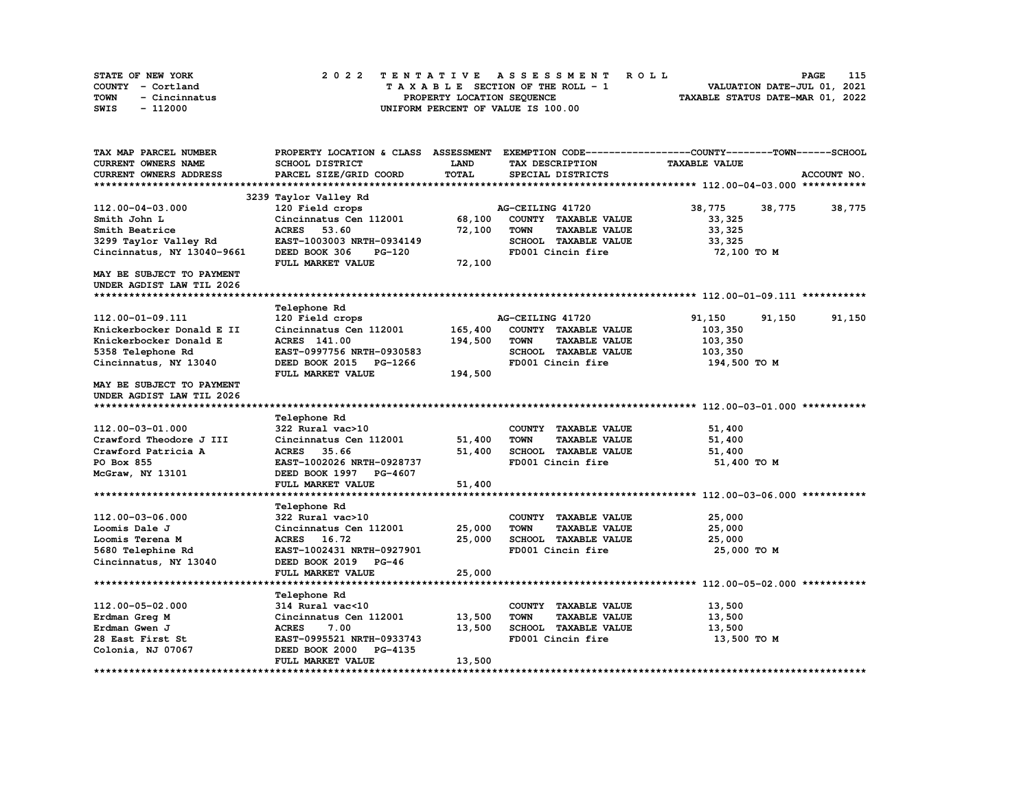|      | STATE OF NEW YORK |  |  |  |  |                                    |  |  |  |  | 2022 TENTATIVE ASSESSMENT ROLL |                                  | PAGE                        | 115 |
|------|-------------------|--|--|--|--|------------------------------------|--|--|--|--|--------------------------------|----------------------------------|-----------------------------|-----|
|      | COUNTY - Cortland |  |  |  |  | TAXABLE SECTION OF THE ROLL - 1    |  |  |  |  |                                |                                  | VALUATION DATE-JUL 01, 2021 |     |
| TOWN | - Cincinnatus     |  |  |  |  | PROPERTY LOCATION SEQUENCE         |  |  |  |  |                                | TAXABLE STATUS DATE-MAR 01, 2022 |                             |     |
| SWIS | - 112000          |  |  |  |  | UNIFORM PERCENT OF VALUE IS 100.00 |  |  |  |  |                                |                                  |                             |     |

| TAX MAP PARCEL NUMBER      | PROPERTY LOCATION & CLASS ASSESSMENT EXEMPTION CODE----------------COUNTY-------TOWN-----SCHOOL |              |                                     |                      |             |
|----------------------------|-------------------------------------------------------------------------------------------------|--------------|-------------------------------------|----------------------|-------------|
| <b>CURRENT OWNERS NAME</b> | SCHOOL DISTRICT                                                                                 | <b>LAND</b>  | TAX DESCRIPTION                     | <b>TAXABLE VALUE</b> |             |
| CURRENT OWNERS ADDRESS     | PARCEL SIZE/GRID COORD                                                                          | <b>TOTAL</b> | SPECIAL DISTRICTS                   |                      | ACCOUNT NO. |
|                            |                                                                                                 |              |                                     |                      |             |
|                            | 3239 Taylor Valley Rd                                                                           |              |                                     |                      |             |
| 112.00-04-03.000           | 120 Field crops                                                                                 |              | AG-CEILING 41720                    | 38,775<br>38,775     | 38,775      |
| Smith John L               | Cincinnatus Cen 112001                                                                          | 68,100       | COUNTY TAXABLE VALUE                | 33,325               |             |
| Smith Beatrice             | 53.60<br><b>ACRES</b>                                                                           | 72,100       | <b>TOWN</b><br><b>TAXABLE VALUE</b> | 33, 325              |             |
| 3299 Taylor Valley Rd      | EAST-1003003 NRTH-0934149                                                                       |              | SCHOOL TAXABLE VALUE                | 33,325               |             |
| Cincinnatus, NY 13040-9661 | DEED BOOK 306<br><b>PG-120</b>                                                                  |              | FD001 Cincin fire                   | 72,100 TO M          |             |
|                            | FULL MARKET VALUE                                                                               | 72,100       |                                     |                      |             |
| MAY BE SUBJECT TO PAYMENT  |                                                                                                 |              |                                     |                      |             |
| UNDER AGDIST LAW TIL 2026  |                                                                                                 |              |                                     |                      |             |
|                            |                                                                                                 |              |                                     |                      |             |
|                            | Telephone Rd                                                                                    |              |                                     |                      |             |
| 112.00-01-09.111           | 120 Field crops                                                                                 |              | AG-CEILING 41720                    | 91,150<br>91,150     | 91,150      |
| Knickerbocker Donald E II  | Cincinnatus Cen 112001                                                                          | 165,400      | COUNTY TAXABLE VALUE                | 103,350              |             |
| Knickerbocker Donald E     | <b>ACRES</b> 141.00                                                                             | 194,500      | <b>TOWN</b><br><b>TAXABLE VALUE</b> | 103,350              |             |
| 5358 Telephone Rd          | EAST-0997756 NRTH-0930583                                                                       |              | SCHOOL TAXABLE VALUE                | 103,350              |             |
| Cincinnatus, NY 13040      | DEED BOOK 2015 PG-1266                                                                          |              | FD001 Cincin fire                   | 194,500 TO M         |             |
|                            | FULL MARKET VALUE                                                                               | 194,500      |                                     |                      |             |
| MAY BE SUBJECT TO PAYMENT  |                                                                                                 |              |                                     |                      |             |
| UNDER AGDIST LAW TIL 2026  |                                                                                                 |              |                                     |                      |             |
|                            |                                                                                                 |              |                                     |                      |             |
|                            | Telephone Rd                                                                                    |              |                                     |                      |             |
| 112.00-03-01.000           | 322 Rural vac>10                                                                                |              | COUNTY TAXABLE VALUE                | 51,400               |             |
| Crawford Theodore J III    | Cincinnatus Cen 112001                                                                          | 51,400       | <b>TOWN</b><br><b>TAXABLE VALUE</b> | 51,400               |             |
| Crawford Patricia A        | ACRES 35.66                                                                                     | 51,400       | SCHOOL TAXABLE VALUE                | 51,400               |             |
| PO Box 855                 | EAST-1002026 NRTH-0928737                                                                       |              | FD001 Cincin fire                   | 51,400 TO M          |             |
| McGraw, NY 13101           | DEED BOOK 1997 PG-4607                                                                          |              |                                     |                      |             |
|                            | FULL MARKET VALUE                                                                               | 51,400       |                                     |                      |             |
|                            |                                                                                                 |              |                                     |                      |             |
|                            | <b>Telephone Rd</b>                                                                             |              |                                     |                      |             |
| 112.00-03-06.000           | 322 Rural vac>10                                                                                |              | COUNTY TAXABLE VALUE                | 25,000               |             |
| Loomis Dale J              | Cincinnatus Cen 112001                                                                          | 25,000       | <b>TOWN</b><br><b>TAXABLE VALUE</b> | 25,000               |             |
| Loomis Terena M            | ACRES 16.72                                                                                     | 25,000       | SCHOOL TAXABLE VALUE                | 25,000               |             |
| 5680 Telephine Rd          | EAST-1002431 NRTH-0927901                                                                       |              | FD001 Cincin fire                   | 25,000 TO M          |             |
| Cincinnatus, NY 13040      | DEED BOOK 2019 PG-46                                                                            |              |                                     |                      |             |
|                            | FULL MARKET VALUE                                                                               | 25,000       |                                     |                      |             |
|                            |                                                                                                 |              |                                     |                      |             |
|                            | Telephone Rd                                                                                    |              |                                     |                      |             |
| 112.00-05-02.000           | 314 Rural vac<10                                                                                |              | COUNTY TAXABLE VALUE                | 13,500               |             |
| Erdman Greg M              | Cincinnatus Cen 112001                                                                          | 13,500       | <b>TOWN</b><br><b>TAXABLE VALUE</b> | 13,500               |             |
| Erdman Gwen J              | <b>ACRES</b><br>7.00                                                                            | 13,500       | SCHOOL TAXABLE VALUE                | 13,500               |             |
| 28 East First St           | EAST-0995521 NRTH-0933743                                                                       |              | FD001 Cincin fire                   | 13,500 TO M          |             |
| Colonia, NJ 07067          | DEED BOOK 2000<br><b>PG-4135</b>                                                                |              |                                     |                      |             |
|                            | FULL MARKET VALUE                                                                               | 13,500       |                                     |                      |             |
|                            |                                                                                                 |              |                                     |                      |             |
|                            |                                                                                                 |              |                                     |                      |             |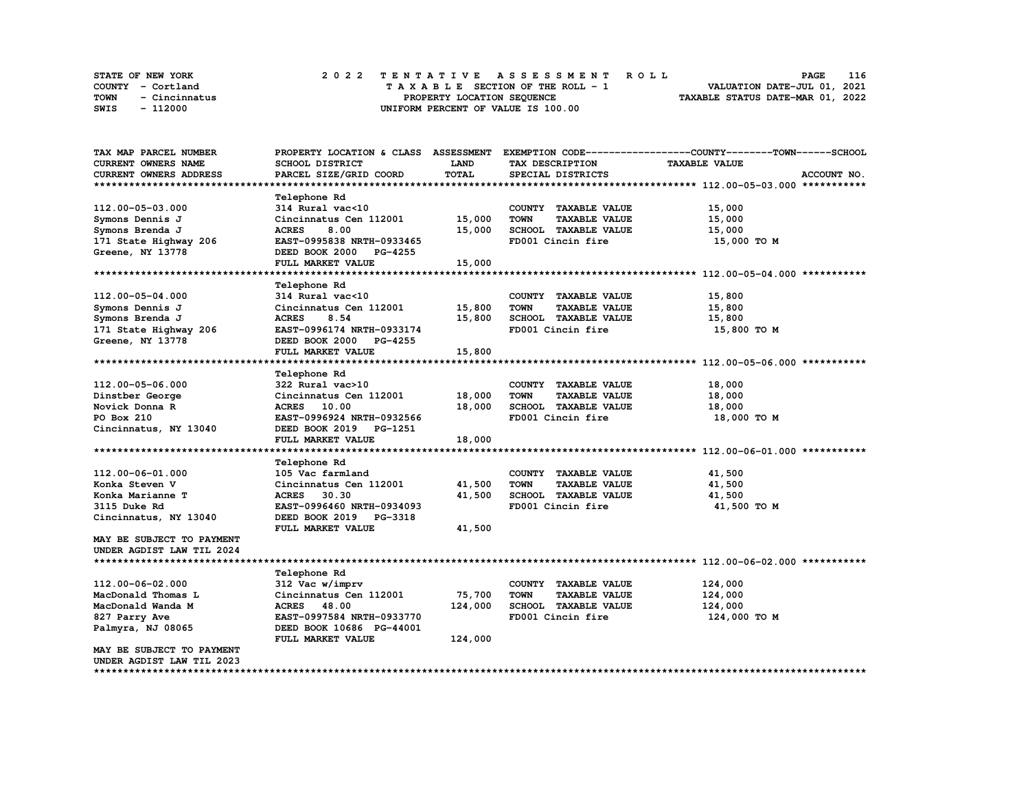| <b>STATE OF NEW YORK</b> | 2022 TENTATIVE ASSESSMENT ROLL     | 116<br><b>PAGE</b>               |
|--------------------------|------------------------------------|----------------------------------|
| COUNTY - Cortland        | TAXABLE SECTION OF THE ROLL - 1    | VALUATION DATE-JUL 01, 2021      |
| TOWN<br>- Cincinnatus    | PROPERTY LOCATION SEOUENCE         | TAXABLE STATUS DATE-MAR 01, 2022 |
| - 112000<br>SWIS         | UNIFORM PERCENT OF VALUE IS 100.00 |                                  |

| TAX MAP PARCEL NUMBER     | PROPERTY LOCATION & CLASS ASSESSMENT |              |                                     | EXEMPTION CODE-----------------COUNTY-------TOWN------SCHOOL |
|---------------------------|--------------------------------------|--------------|-------------------------------------|--------------------------------------------------------------|
| CURRENT OWNERS NAME       | SCHOOL DISTRICT                      | LAND         | TAX DESCRIPTION                     | <b>TAXABLE VALUE</b>                                         |
| CURRENT OWNERS ADDRESS    | PARCEL SIZE/GRID COORD               | <b>TOTAL</b> | SPECIAL DISTRICTS                   | ACCOUNT NO.                                                  |
|                           |                                      |              |                                     |                                                              |
|                           | <b>Telephone Rd</b>                  |              |                                     |                                                              |
| 112.00-05-03.000          | 314 Rural vac<10                     |              | COUNTY TAXABLE VALUE                | 15,000                                                       |
| Symons Dennis J           | Cincinnatus Cen 112001               | 15,000       | <b>TOWN</b><br><b>TAXABLE VALUE</b> | 15,000                                                       |
| Symons Brenda J           | 8.00<br>ACRES                        | 15,000       | SCHOOL TAXABLE VALUE                | 15,000                                                       |
| 171 State Highway 206     | EAST-0995838 NRTH-0933465            |              | FD001 Cincin fire                   | 15,000 TO M                                                  |
| Greene, NY 13778          | DEED BOOK 2000 PG-4255               |              |                                     |                                                              |
|                           |                                      |              |                                     |                                                              |
|                           | FULL MARKET VALUE                    | 15,000       |                                     |                                                              |
|                           |                                      |              |                                     |                                                              |
|                           | Telephone Rd                         |              |                                     |                                                              |
| 112.00-05-04.000          | 314 Rural vac<10                     |              | COUNTY TAXABLE VALUE                | 15,800                                                       |
| Symons Dennis J           | Cincinnatus Cen 112001               | 15,800       | <b>TOWN</b><br><b>TAXABLE VALUE</b> | 15,800                                                       |
| Symons Brenda J           | 8.54<br><b>ACRES</b>                 | 15,800       | SCHOOL TAXABLE VALUE                | 15,800                                                       |
| 171 State Highway 206     | EAST-0996174 NRTH-0933174            |              | FD001 Cincin fire                   | 15,800 TO M                                                  |
| Greene, NY 13778          | DEED BOOK 2000 PG-4255               |              |                                     |                                                              |
|                           | FULL MARKET VALUE                    | 15,800       |                                     |                                                              |
|                           |                                      |              |                                     |                                                              |
|                           | <b>Telephone Rd</b>                  |              |                                     |                                                              |
| 112.00-05-06.000          | 322 Rural vac>10                     |              | COUNTY TAXABLE VALUE                | 18,000                                                       |
| Dinstber George           | Cincinnatus Cen 112001               | 18,000       | <b>TOWN</b><br><b>TAXABLE VALUE</b> | 18,000                                                       |
| Novick Donna R            | <b>ACRES</b> 10.00                   | 18,000       | SCHOOL TAXABLE VALUE                | 18,000                                                       |
| PO Box 210                | EAST-0996924 NRTH-0932566            |              | FD001 Cincin fire                   | 18,000 TO M                                                  |
| Cincinnatus, NY 13040     | DEED BOOK 2019 PG-1251               |              |                                     |                                                              |
|                           | FULL MARKET VALUE                    | 18,000       |                                     |                                                              |
|                           |                                      |              |                                     |                                                              |
|                           |                                      |              |                                     |                                                              |
|                           | <b>Telephone Rd</b>                  |              |                                     |                                                              |
| 112.00-06-01.000          | 105 Vac farmland                     |              | COUNTY TAXABLE VALUE                | 41,500                                                       |
| Konka Steven V            | Cincinnatus Cen 112001               | 41,500       | <b>TOWN</b><br><b>TAXABLE VALUE</b> | 41,500                                                       |
| Konka Marianne T          | <b>ACRES</b><br>30.30                | 41,500       | SCHOOL TAXABLE VALUE                | 41,500                                                       |
| 3115 Duke Rd              | EAST-0996460 NRTH-0934093            |              | FD001 Cincin fire                   | 41,500 TO M                                                  |
| Cincinnatus, NY 13040     | DEED BOOK 2019 PG-3318               |              |                                     |                                                              |
|                           | FULL MARKET VALUE                    | 41,500       |                                     |                                                              |
| MAY BE SUBJECT TO PAYMENT |                                      |              |                                     |                                                              |
| UNDER AGDIST LAW TIL 2024 |                                      |              |                                     |                                                              |
|                           |                                      |              |                                     |                                                              |
|                           | Telephone Rd                         |              |                                     |                                                              |
| 112.00-06-02.000          | 312 Vac w/imprv                      |              | COUNTY TAXABLE VALUE                | 124,000                                                      |
| MacDonald Thomas L        | Cincinnatus Cen 112001               | 75,700       | <b>TOWN</b><br><b>TAXABLE VALUE</b> | 124,000                                                      |
| MacDonald Wanda M         | <b>ACRES</b> 48.00                   | 124,000      | <b>SCHOOL TAXABLE VALUE</b>         | 124,000                                                      |
| 827 Parry Ave             | EAST-0997584 NRTH-0933770            |              | FD001 Cincin fire                   | 124,000 TO M                                                 |
| Palmyra, NJ 08065         | DEED BOOK 10686 PG-44001             |              |                                     |                                                              |
|                           | FULL MARKET VALUE                    | 124,000      |                                     |                                                              |
| MAY BE SUBJECT TO PAYMENT |                                      |              |                                     |                                                              |
| UNDER AGDIST LAW TIL 2023 |                                      |              |                                     |                                                              |
|                           |                                      |              |                                     |                                                              |
|                           |                                      |              |                                     |                                                              |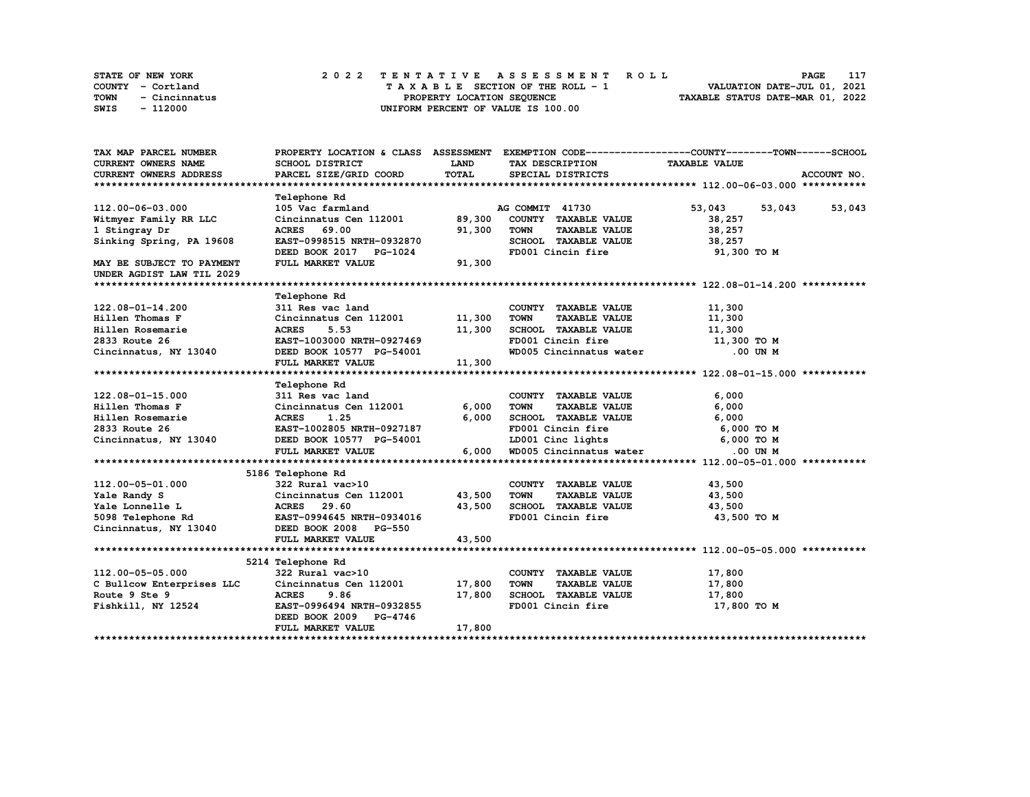|      | STATE OF NEW YORK | 2022 TENTATIVE ASSESSMENT ROLL     | 117<br>PAGE                      |
|------|-------------------|------------------------------------|----------------------------------|
|      | COUNTY - Cortland | TAXABLE SECTION OF THE ROLL - 1    | VALUATION DATE-JUL 01, 2021      |
| TOWN | - Cincinnatus     | PROPERTY LOCATION SEQUENCE         | TAXABLE STATUS DATE-MAR 01, 2022 |
| SWIS | - 112000          | UNIFORM PERCENT OF VALUE IS 100.00 |                                  |

| TAX MAP PARCEL NUMBER                                                                                                                                                                              |                                                                                                                                                                                                                                |        |                                           | PROPERTY LOCATION & CLASS ASSESSMENT EXEMPTION CODE-----------------COUNTY-------TOWN-----SCHOOL |
|----------------------------------------------------------------------------------------------------------------------------------------------------------------------------------------------------|--------------------------------------------------------------------------------------------------------------------------------------------------------------------------------------------------------------------------------|--------|-------------------------------------------|--------------------------------------------------------------------------------------------------|
| CURRENT OWNERS NAME                                                                                                                                                                                | SCHOOL DISTRICT                                                                                                                                                                                                                | LAND   | TAX DESCRIPTION TAXABLE VALUE             |                                                                                                  |
| <b>CURRENT OWNERS ADDRESS</b>                                                                                                                                                                      | PARCEL SIZE/GRID COORD                                                                                                                                                                                                         | TOTAL  | SPECIAL DISTRICTS                         | ACCOUNT NO.                                                                                      |
|                                                                                                                                                                                                    |                                                                                                                                                                                                                                |        |                                           |                                                                                                  |
|                                                                                                                                                                                                    | <b>Telephone Rd</b>                                                                                                                                                                                                            |        |                                           |                                                                                                  |
| 112.00-06-03.000                                                                                                                                                                                   | 105 Vac farmland 105 Vac farmland 12001 105 Vac farmland 12001 105 Vac 105 Vac 105 Vac 105 Vac 105 Vac 105 Vac 105 Vac 105 Vac 105 Vac 105 Vac 105 Vac 105 Vac 105 Vac 105 Vac 105 Vac 105 Vac 105 Vac 105 Vac 105 Vac 105 Vac |        | AG COMMIT 41730                           | 53,043 53,043 53,043                                                                             |
| Witmyer Family RR LLC                                                                                                                                                                              |                                                                                                                                                                                                                                |        | COUNTY TAXABLE VALUE                      | 38,257                                                                                           |
| 1 Stingray Dr                                                                                                                                                                                      | ACRES 69.00                                                                                                                                                                                                                    | 91,300 | <b>TOWN</b><br><b>TAXABLE VALUE</b>       | 38,257                                                                                           |
| Sinking Spring, PA 19608                                                                                                                                                                           | EAST-0998515 NRTH-0932870                                                                                                                                                                                                      |        | SCHOOL TAXABLE VALUE 38, 257              |                                                                                                  |
|                                                                                                                                                                                                    | DEED BOOK 2017 PG-1024                                                                                                                                                                                                         |        | FD001 Cincin fire                         | 91,300 TO M                                                                                      |
| MAY BE SUBJECT TO PAYMENT                                                                                                                                                                          | FULL MARKET VALUE                                                                                                                                                                                                              | 91,300 |                                           |                                                                                                  |
| UNDER AGDIST LAW TIL 2029                                                                                                                                                                          |                                                                                                                                                                                                                                |        |                                           |                                                                                                  |
|                                                                                                                                                                                                    |                                                                                                                                                                                                                                |        |                                           |                                                                                                  |
|                                                                                                                                                                                                    | <b>Telephone Rd</b>                                                                                                                                                                                                            |        |                                           |                                                                                                  |
| 122.08-01-14.200                                                                                                                                                                                   |                                                                                                                                                                                                                                |        | COUNTY TAXABLE VALUE                      | 11,300                                                                                           |
| Hillen Thomas F                                                                                                                                                                                    | 311 Res vac land<br>Cincinnatus Cen 112001 11,300                                                                                                                                                                              |        | <b>TOWN</b><br><b>TAXABLE VALUE</b>       | 11,300                                                                                           |
| Hillen Rosemarie                                                                                                                                                                                   | <b>ACRES</b><br>5.53                                                                                                                                                                                                           | 11,300 | SCHOOL TAXABLE VALUE 11,300               |                                                                                                  |
| 2833 Route 26<br>Cincinnatus, NY 13040<br>DEED BOOK 10577 PG-54001                                                                                                                                 |                                                                                                                                                                                                                                |        | FD001 Cincin fire 11,300 TO M             |                                                                                                  |
|                                                                                                                                                                                                    |                                                                                                                                                                                                                                |        | WD005 Cincinnatus water                   | .00 UN M                                                                                         |
|                                                                                                                                                                                                    | FULL MARKET VALUE                                                                                                                                                                                                              | 11,300 |                                           |                                                                                                  |
|                                                                                                                                                                                                    |                                                                                                                                                                                                                                |        |                                           |                                                                                                  |
|                                                                                                                                                                                                    | Telephone Rd                                                                                                                                                                                                                   |        |                                           |                                                                                                  |
| 122.08-01-15.000<br>Hillen Thomas F Cincinnatus Cen 112001 6,000<br>Hillen Rosemarie ACRES 1.25 6,000<br>2833 Route 26 EAST-1002805 NRTH-0927187<br>Cincinnatus, NY 13040 DEED BOOK 10577 PG-54001 | 311 Res vac land                                                                                                                                                                                                               |        | COUNTY TAXABLE VALUE                      | 6,000                                                                                            |
|                                                                                                                                                                                                    |                                                                                                                                                                                                                                |        | <b>TOWN</b><br>TAXABLE VALUE              | 6,000                                                                                            |
|                                                                                                                                                                                                    |                                                                                                                                                                                                                                |        |                                           |                                                                                                  |
|                                                                                                                                                                                                    |                                                                                                                                                                                                                                |        |                                           |                                                                                                  |
|                                                                                                                                                                                                    |                                                                                                                                                                                                                                |        | LD001 Cinc lights 6,000 TO M              |                                                                                                  |
|                                                                                                                                                                                                    | FULL MARKET VALUE                                                                                                                                                                                                              | 6,000  | WD005 Cincinnatus water                   | .00 UN M                                                                                         |
|                                                                                                                                                                                                    |                                                                                                                                                                                                                                |        |                                           |                                                                                                  |
|                                                                                                                                                                                                    | 5186 Telephone Rd                                                                                                                                                                                                              |        |                                           |                                                                                                  |
|                                                                                                                                                                                                    |                                                                                                                                                                                                                                |        | COUNTY TAXABLE VALUE                      | 43,500                                                                                           |
|                                                                                                                                                                                                    |                                                                                                                                                                                                                                |        | <b>TAXABLE VALUE</b><br><b>TOWN</b>       | 43,500                                                                                           |
|                                                                                                                                                                                                    |                                                                                                                                                                                                                                |        | SCHOOL TAXABLE VALUE 43,500               |                                                                                                  |
| 5098 Telephone Rd<br>EAST-0994645 NRTH-0934016                                                                                                                                                     |                                                                                                                                                                                                                                |        | FD001 Cincin fire                         | 43,500 TO M                                                                                      |
| Cincinnatus, NY 13040                                                                                                                                                                              | DEED BOOK 2008 PG-550                                                                                                                                                                                                          |        |                                           |                                                                                                  |
|                                                                                                                                                                                                    | FULL MARKET VALUE                                                                                                                                                                                                              | 43,500 |                                           |                                                                                                  |
|                                                                                                                                                                                                    |                                                                                                                                                                                                                                |        |                                           |                                                                                                  |
|                                                                                                                                                                                                    | 5214 Telephone Rd                                                                                                                                                                                                              |        |                                           |                                                                                                  |
|                                                                                                                                                                                                    | 322 Rural vac>10                                                                                                                                                                                                               |        | COUNTY TAXABLE VALUE                      | 17,800                                                                                           |
| 112.00-05-05.000<br>C Bullcow Enterprises LLC                                                                                                                                                      | Cincinnatus Cen 112001 17,800                                                                                                                                                                                                  |        | <b>TOWN</b><br>TAXABLE VALUE 17,800       |                                                                                                  |
|                                                                                                                                                                                                    | ACRES 9.86                                                                                                                                                                                                                     | 17,800 |                                           | 17,800                                                                                           |
| Fishkill, NY 12524                                                                                                                                                                                 | EAST-0996494 NRTH-0932855                                                                                                                                                                                                      |        | SCHOOL TAXABLE VALUE<br>FD001 Cincin fire | 17,800 TO M                                                                                      |
|                                                                                                                                                                                                    | DEED BOOK 2009 PG-4746                                                                                                                                                                                                         |        |                                           |                                                                                                  |
|                                                                                                                                                                                                    | FULL MARKET VALUE                                                                                                                                                                                                              | 17,800 |                                           |                                                                                                  |
|                                                                                                                                                                                                    |                                                                                                                                                                                                                                |        |                                           |                                                                                                  |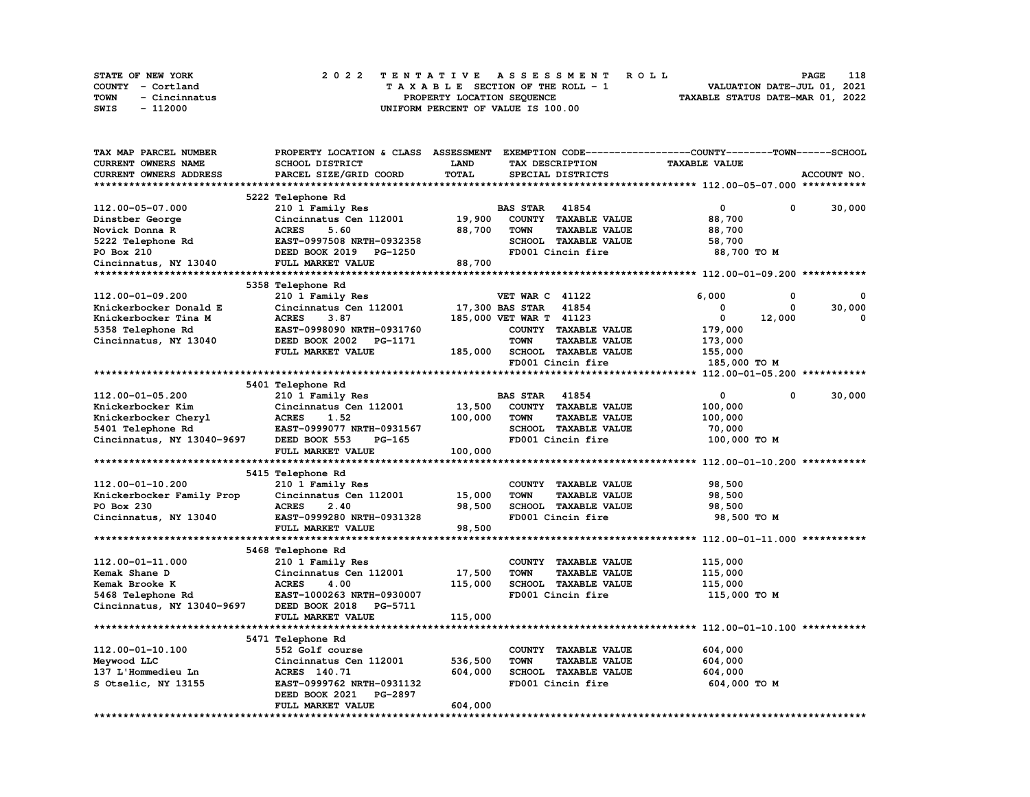| <b>STATE OF NEW YORK</b> | 2022 TENTATIVE ASSESSMENT ROLL     | 118<br>PAGE                      |
|--------------------------|------------------------------------|----------------------------------|
| COUNTY - Cortland        | TAXABLE SECTION OF THE ROLL - 1    | VALUATION DATE-JUL 01, 2021      |
| TOWN<br>- Cincinnatus    | PROPERTY LOCATION SEOUENCE         | TAXABLE STATUS DATE-MAR 01, 2022 |
| SWIS<br>- 112000         | UNIFORM PERCENT OF VALUE IS 100.00 |                                  |

| TAX MAP PARCEL NUMBER      | PROPERTY LOCATION & CLASS ASSESSMENT EXEMPTION CODE----------------COUNTY-------TOWN------SCHOOL |              |                         |                             |                      |        |             |
|----------------------------|--------------------------------------------------------------------------------------------------|--------------|-------------------------|-----------------------------|----------------------|--------|-------------|
| <b>CURRENT OWNERS NAME</b> | SCHOOL DISTRICT                                                                                  | LAND         |                         | TAX DESCRIPTION             | <b>TAXABLE VALUE</b> |        |             |
| CURRENT OWNERS ADDRESS     | PARCEL SIZE/GRID COORD                                                                           | <b>TOTAL</b> |                         | SPECIAL DISTRICTS           |                      |        | ACCOUNT NO. |
|                            |                                                                                                  |              |                         |                             |                      |        |             |
|                            | 5222 Telephone Rd                                                                                |              |                         |                             |                      |        |             |
| 112.00-05-07.000           | 210 1 Family Res                                                                                 |              | <b>BAS STAR 41854</b>   |                             | 0                    | 0      | 30,000      |
| Dinstber George            | Cincinnatus Cen 112001                                                                           | 19,900       |                         | COUNTY TAXABLE VALUE        | 88,700               |        |             |
| Novick Donna R             | 5.60<br><b>ACRES</b>                                                                             | 88,700       | <b>TOWN</b>             | <b>TAXABLE VALUE</b>        | 88,700               |        |             |
| 5222 Telephone Rd          | EAST-0997508 NRTH-0932358                                                                        |              |                         | SCHOOL TAXABLE VALUE        | 58,700               |        |             |
| PO Box 210                 | DEED BOOK 2019 PG-1250                                                                           |              |                         | FD001 Cincin fire           | 88,700 TO M          |        |             |
| Cincinnatus, NY 13040      | FULL MARKET VALUE                                                                                | 88,700       |                         |                             |                      |        |             |
|                            |                                                                                                  |              |                         |                             |                      |        |             |
|                            | 5358 Telephone Rd                                                                                |              |                         |                             |                      |        |             |
| 112.00-01-09.200           | 210 1 Family Res                                                                                 |              | <b>VET WAR C 41122</b>  |                             | 6,000                | 0      |             |
| Knickerbocker Donald E     | Cincinnatus Cen 112001                                                                           |              | 17,300 BAS STAR         | 41854                       | 0                    | 0      | 30,000      |
| Knickerbocker Tina M       | <b>ACRES</b><br>3.87                                                                             |              | 185,000 VET WAR T 41123 |                             | 0                    | 12,000 | 0           |
| 5358 Telephone Rd          | EAST-0998090 NRTH-0931760                                                                        |              |                         | COUNTY TAXABLE VALUE        | 179,000              |        |             |
| Cincinnatus, NY 13040      | DEED BOOK 2002<br>PG-1171                                                                        |              | <b>TOWN</b>             | <b>TAXABLE VALUE</b>        | 173,000              |        |             |
|                            | FULL MARKET VALUE                                                                                | 185,000      |                         | SCHOOL TAXABLE VALUE        | 155,000              |        |             |
|                            |                                                                                                  |              |                         | FD001 Cincin fire           | 185,000 TO M         |        |             |
|                            |                                                                                                  |              |                         |                             |                      |        |             |
|                            | 5401 Telephone Rd                                                                                |              |                         |                             |                      |        |             |
| 112.00-01-05.200           | 210 1 Family Res                                                                                 |              | <b>BAS STAR</b>         | 41854                       | 0                    | 0      | 30,000      |
| Knickerbocker Kim          | Cincinnatus Cen 112001                                                                           | 13,500       |                         | COUNTY TAXABLE VALUE        | 100,000              |        |             |
| Knickerbocker Cheryl       | <b>ACRES</b><br>1.52                                                                             | 100,000      | <b>TOWN</b>             | <b>TAXABLE VALUE</b>        | 100,000              |        |             |
| 5401 Telephone Rd          | EAST-0999077 NRTH-0931567                                                                        |              |                         | SCHOOL TAXABLE VALUE        | 70,000               |        |             |
| Cincinnatus, NY 13040-9697 | DEED BOOK 553<br>PG-165                                                                          |              |                         | FD001 Cincin fire           | 100,000 TO M         |        |             |
|                            | FULL MARKET VALUE                                                                                | 100,000      |                         |                             |                      |        |             |
|                            |                                                                                                  |              |                         |                             |                      |        |             |
|                            | 5415 Telephone Rd                                                                                |              |                         |                             |                      |        |             |
| 112.00-01-10.200           | 210 1 Family Res                                                                                 |              |                         | COUNTY TAXABLE VALUE        | 98,500               |        |             |
| Knickerbocker Family Prop  | Cincinnatus Cen 112001                                                                           | 15,000       | <b>TOWN</b>             | <b>TAXABLE VALUE</b>        | 98,500               |        |             |
| PO Box 230                 | <b>ACRES</b><br>2.40                                                                             | 98,500       |                         | <b>SCHOOL TAXABLE VALUE</b> | 98,500               |        |             |
| Cincinnatus, NY 13040      | EAST-0999280 NRTH-0931328                                                                        |              |                         | FD001 Cincin fire           | 98,500 TO M          |        |             |
|                            | FULL MARKET VALUE                                                                                | 98,500       |                         |                             |                      |        |             |
|                            |                                                                                                  |              |                         |                             |                      |        |             |
| 112.00-01-11.000           | 5468 Telephone Rd                                                                                |              |                         | COUNTY TAXABLE VALUE        | 115,000              |        |             |
| Kemak Shane D              | 210 1 Family Res<br>Cincinnatus Cen 112001                                                       | 17,500       | <b>TOWN</b>             | <b>TAXABLE VALUE</b>        | 115,000              |        |             |
| Kemak Brooke K             | <b>ACRES</b><br>4.00                                                                             | 115,000      |                         | SCHOOL TAXABLE VALUE        | 115,000              |        |             |
|                            | EAST-1000263 NRTH-0930007                                                                        |              |                         | FD001 Cincin fire           |                      |        |             |
| 5468 Telephone Rd          | DEED BOOK 2018<br>PG-5711                                                                        |              |                         |                             | 115,000 TO M         |        |             |
| Cincinnatus, NY 13040-9697 | FULL MARKET VALUE                                                                                | 115,000      |                         |                             |                      |        |             |
|                            |                                                                                                  |              |                         |                             |                      |        |             |
|                            | 5471 Telephone Rd                                                                                |              |                         |                             |                      |        |             |
| 112.00-01-10.100           | 552 Golf course                                                                                  |              |                         | COUNTY TAXABLE VALUE        | 604,000              |        |             |
| Meywood LLC                | Cincinnatus Cen 112001                                                                           | 536,500      | <b>TOWN</b>             | <b>TAXABLE VALUE</b>        | 604,000              |        |             |
| 137 L'Hommedieu Ln         | ACRES 140.71                                                                                     | 604,000      |                         | SCHOOL TAXABLE VALUE        | 604,000              |        |             |
| S Otselic, NY 13155        | EAST-0999762 NRTH-0931132                                                                        |              |                         | FD001 Cincin fire           | 604,000 TO M         |        |             |
|                            | DEED BOOK 2021<br>PG-2897                                                                        |              |                         |                             |                      |        |             |
|                            | FULL MARKET VALUE                                                                                | 604,000      |                         |                             |                      |        |             |
|                            |                                                                                                  |              |                         |                             |                      |        |             |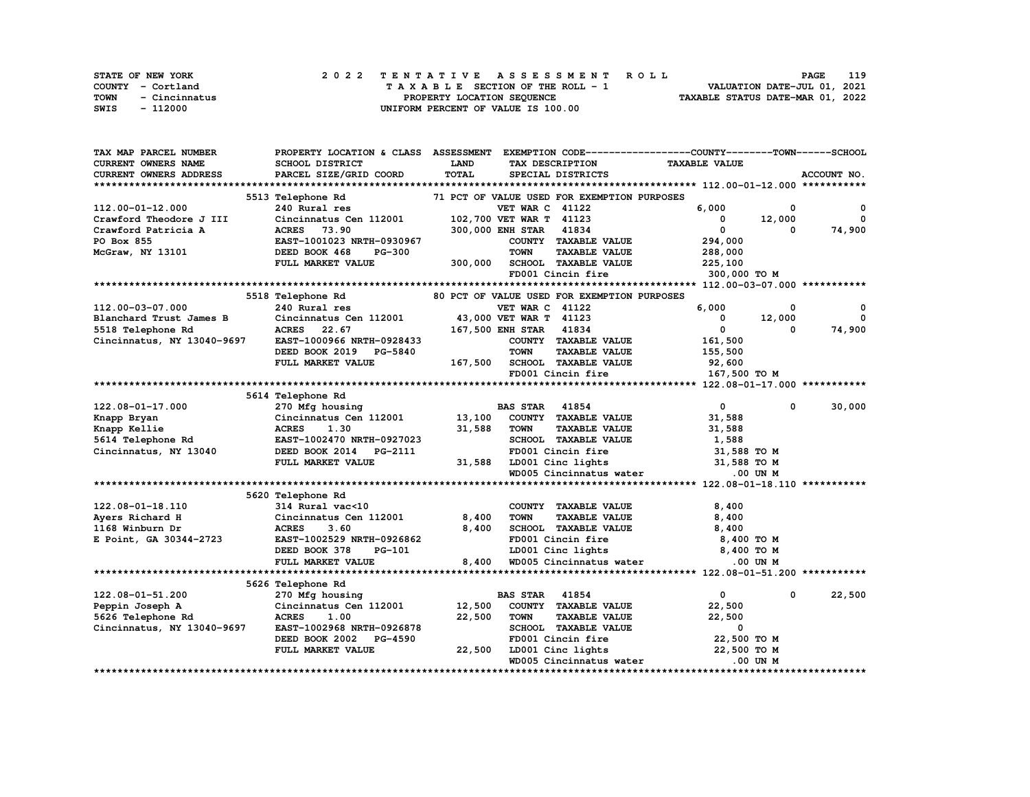| STATE OF NEW YORK |               |  | 2022 TENTATIVE ASSESSMENT ROLL |  |  |  |                                    |  |  |  |  |  |  |                                  |  | PAGE                        | 119 |
|-------------------|---------------|--|--------------------------------|--|--|--|------------------------------------|--|--|--|--|--|--|----------------------------------|--|-----------------------------|-----|
| COUNTY - Cortland |               |  |                                |  |  |  | TAXABLE SECTION OF THE ROLL - 1    |  |  |  |  |  |  |                                  |  | VALUATION DATE-JUL 01, 2021 |     |
| TOWN              | - Cincinnatus |  |                                |  |  |  | PROPERTY LOCATION SEQUENCE         |  |  |  |  |  |  | TAXABLE STATUS DATE-MAR 01, 2022 |  |                             |     |
| SWIS              | - 112000      |  |                                |  |  |  | UNIFORM PERCENT OF VALUE IS 100.00 |  |  |  |  |  |  |                                  |  |                             |     |

| <b>LAND</b><br><b>TAXABLE VALUE</b><br>CURRENT OWNERS NAME<br>SCHOOL DISTRICT<br>TAX DESCRIPTION<br>TOTAL<br>ACCOUNT NO.<br><b>CURRENT OWNERS ADDRESS</b><br>PARCEL SIZE/GRID COORD<br>SPECIAL DISTRICTS<br>71 PCT OF VALUE USED FOR EXEMPTION PURPOSES<br>5513 Telephone Rd<br>6,000<br>112.00-01-12.000<br>240 Rural res<br><b>VET WAR C 41122</b><br>0<br>0<br>$\mathbf{0}$<br>Crawford Theodore J III<br>Cincinnatus Cen 112001<br>102,700 VET WAR T 41123<br>$\mathbf{0}$<br>12,000<br>$\mathbf{0}$<br>74,900<br>73.90<br>300,000 ENH STAR<br>41834<br>Crawford Patricia A<br><b>ACRES</b><br>0<br>EAST-1001023 NRTH-0930967<br>COUNTY TAXABLE VALUE<br>294,000<br>PO Box 855<br><b>TOWN</b><br><b>TAXABLE VALUE</b><br>McGraw, NY 13101<br>DEED BOOK 468<br><b>PG-300</b><br>288,000<br>FULL MARKET VALUE<br>300,000<br>SCHOOL TAXABLE VALUE<br>225,100<br>FD001 Cincin fire<br>300,000 TO M<br>5518 Telephone Rd<br>80 PCT OF VALUE USED FOR EXEMPTION PURPOSES<br>112.00-03-07.000<br>240 Rural res<br><b>VET WAR C 41122</b><br>6,000<br>0<br>$^{\circ}$<br>$\mathbf 0$<br>Blanchard Trust James B<br>Cincinnatus Cen 112001 43,000 VET WAR T 41123<br>12,000<br>$\mathbf 0$<br>ACRES 22.67<br>167,500 ENH STAR 41834<br>$\mathbf 0$<br>74,900<br>5518 Telephone Rd<br>$\Omega$<br>Cincinnatus, NY 13040-9697<br>EAST-1000966 NRTH-0928433<br>COUNTY TAXABLE VALUE<br>161,500<br>DEED BOOK 2019 PG-5840<br><b>TOWN</b><br><b>TAXABLE VALUE</b><br>155,500<br>FULL MARKET VALUE<br>167,500 SCHOOL TAXABLE VALUE<br>92,600<br>FD001 Cincin fire<br>167,500 TO M<br>5614 Telephone Rd<br><b>BAS STAR</b> 41854<br>$\mathbf{0}$<br>30,000<br>122.08-01-17.000<br>270 Mfg housing<br>$^{\circ}$<br>Cincinnatus Cen 112001<br>13,100<br>COUNTY TAXABLE VALUE<br>31,588<br>Knapp Bryan<br>1.30<br>31,588<br><b>TOWN</b><br><b>TAXABLE VALUE</b><br>Knapp Kellie<br><b>ACRES</b><br>31,588<br>EAST-1002470 NRTH-0927023<br>SCHOOL TAXABLE VALUE<br>5614 Telephone Rd<br>1,588<br>Cincinnatus, NY 13040<br>FD001 Cincin fire<br>DEED BOOK 2014 PG-2111<br>31,588 TO M<br>31,588<br>LD001 Cinc lights<br>31,588 TO M<br>FULL MARKET VALUE<br>WD005 Cincinnatus water<br>.00 UN M<br>5620 Telephone Rd<br>122.08-01-18.110<br>314 Rural vac<10<br>COUNTY TAXABLE VALUE<br>8,400<br>Cincinnatus Cen 112001<br>8,400<br><b>TAXABLE VALUE</b><br>Ayers Richard H<br><b>TOWN</b><br>8,400<br>1168 Winburn Dr<br>8,400<br>SCHOOL TAXABLE VALUE<br>8,400<br><b>ACRES</b><br>3.60<br>E Point, GA 30344-2723<br>EAST-1002529 NRTH-0926862<br>FD001 Cincin fire<br>8,400 TO M<br>LD001 Cinc lights $8,400$ TO M<br>DEED BOOK 378<br>PG-101<br>FULL MARKET VALUE<br>8,400 WD005 Cincinnatus water<br>.00 UN M<br>5626 Telephone Rd<br><b>BAS STAR 41854</b><br>122.08-01-51.200<br>270 Mfg housing<br>$\mathbf{0}$<br>0<br>22,500<br>Cincinnatus Cen 112001<br>12,500<br>COUNTY TAXABLE VALUE<br>Peppin Joseph A<br>22,500<br><b>ACRES</b><br>22,500<br>5626 Telephone Rd<br>1.00<br><b>TOWN</b><br><b>TAXABLE VALUE</b><br>22,500<br>Cincinnatus, NY 13040-9697<br>EAST-1002968 NRTH-0926878<br>SCHOOL TAXABLE VALUE<br>0<br>DEED BOOK 2002 PG-4590<br>FD001 Cincin fire<br>22,500 TO M<br>FULL MARKET VALUE<br>22,500<br>22,500 TO M<br>LD001 Cinc lights<br>WD005 Cincinnatus water<br>.00 UN M | TAX MAP PARCEL NUMBER |  | PROPERTY LOCATION & CLASS ASSESSMENT EXEMPTION CODE----------------COUNTY-------TOWN-----SCHOOL |  |
|----------------------------------------------------------------------------------------------------------------------------------------------------------------------------------------------------------------------------------------------------------------------------------------------------------------------------------------------------------------------------------------------------------------------------------------------------------------------------------------------------------------------------------------------------------------------------------------------------------------------------------------------------------------------------------------------------------------------------------------------------------------------------------------------------------------------------------------------------------------------------------------------------------------------------------------------------------------------------------------------------------------------------------------------------------------------------------------------------------------------------------------------------------------------------------------------------------------------------------------------------------------------------------------------------------------------------------------------------------------------------------------------------------------------------------------------------------------------------------------------------------------------------------------------------------------------------------------------------------------------------------------------------------------------------------------------------------------------------------------------------------------------------------------------------------------------------------------------------------------------------------------------------------------------------------------------------------------------------------------------------------------------------------------------------------------------------------------------------------------------------------------------------------------------------------------------------------------------------------------------------------------------------------------------------------------------------------------------------------------------------------------------------------------------------------------------------------------------------------------------------------------------------------------------------------------------------------------------------------------------------------------------------------------------------------------------------------------------------------------------------------------------------------------------------------------------------------------------------------------------------------------------------------------------------------------------------------------------------------------------------------------------------------------------------------------------------------------------------------------------------------------------------------------------------------------------------------------------------------------------------------------------------------------|-----------------------|--|-------------------------------------------------------------------------------------------------|--|
|                                                                                                                                                                                                                                                                                                                                                                                                                                                                                                                                                                                                                                                                                                                                                                                                                                                                                                                                                                                                                                                                                                                                                                                                                                                                                                                                                                                                                                                                                                                                                                                                                                                                                                                                                                                                                                                                                                                                                                                                                                                                                                                                                                                                                                                                                                                                                                                                                                                                                                                                                                                                                                                                                                                                                                                                                                                                                                                                                                                                                                                                                                                                                                                                                                                                                        |                       |  |                                                                                                 |  |
|                                                                                                                                                                                                                                                                                                                                                                                                                                                                                                                                                                                                                                                                                                                                                                                                                                                                                                                                                                                                                                                                                                                                                                                                                                                                                                                                                                                                                                                                                                                                                                                                                                                                                                                                                                                                                                                                                                                                                                                                                                                                                                                                                                                                                                                                                                                                                                                                                                                                                                                                                                                                                                                                                                                                                                                                                                                                                                                                                                                                                                                                                                                                                                                                                                                                                        |                       |  |                                                                                                 |  |
|                                                                                                                                                                                                                                                                                                                                                                                                                                                                                                                                                                                                                                                                                                                                                                                                                                                                                                                                                                                                                                                                                                                                                                                                                                                                                                                                                                                                                                                                                                                                                                                                                                                                                                                                                                                                                                                                                                                                                                                                                                                                                                                                                                                                                                                                                                                                                                                                                                                                                                                                                                                                                                                                                                                                                                                                                                                                                                                                                                                                                                                                                                                                                                                                                                                                                        |                       |  |                                                                                                 |  |
|                                                                                                                                                                                                                                                                                                                                                                                                                                                                                                                                                                                                                                                                                                                                                                                                                                                                                                                                                                                                                                                                                                                                                                                                                                                                                                                                                                                                                                                                                                                                                                                                                                                                                                                                                                                                                                                                                                                                                                                                                                                                                                                                                                                                                                                                                                                                                                                                                                                                                                                                                                                                                                                                                                                                                                                                                                                                                                                                                                                                                                                                                                                                                                                                                                                                                        |                       |  |                                                                                                 |  |
|                                                                                                                                                                                                                                                                                                                                                                                                                                                                                                                                                                                                                                                                                                                                                                                                                                                                                                                                                                                                                                                                                                                                                                                                                                                                                                                                                                                                                                                                                                                                                                                                                                                                                                                                                                                                                                                                                                                                                                                                                                                                                                                                                                                                                                                                                                                                                                                                                                                                                                                                                                                                                                                                                                                                                                                                                                                                                                                                                                                                                                                                                                                                                                                                                                                                                        |                       |  |                                                                                                 |  |
|                                                                                                                                                                                                                                                                                                                                                                                                                                                                                                                                                                                                                                                                                                                                                                                                                                                                                                                                                                                                                                                                                                                                                                                                                                                                                                                                                                                                                                                                                                                                                                                                                                                                                                                                                                                                                                                                                                                                                                                                                                                                                                                                                                                                                                                                                                                                                                                                                                                                                                                                                                                                                                                                                                                                                                                                                                                                                                                                                                                                                                                                                                                                                                                                                                                                                        |                       |  |                                                                                                 |  |
|                                                                                                                                                                                                                                                                                                                                                                                                                                                                                                                                                                                                                                                                                                                                                                                                                                                                                                                                                                                                                                                                                                                                                                                                                                                                                                                                                                                                                                                                                                                                                                                                                                                                                                                                                                                                                                                                                                                                                                                                                                                                                                                                                                                                                                                                                                                                                                                                                                                                                                                                                                                                                                                                                                                                                                                                                                                                                                                                                                                                                                                                                                                                                                                                                                                                                        |                       |  |                                                                                                 |  |
|                                                                                                                                                                                                                                                                                                                                                                                                                                                                                                                                                                                                                                                                                                                                                                                                                                                                                                                                                                                                                                                                                                                                                                                                                                                                                                                                                                                                                                                                                                                                                                                                                                                                                                                                                                                                                                                                                                                                                                                                                                                                                                                                                                                                                                                                                                                                                                                                                                                                                                                                                                                                                                                                                                                                                                                                                                                                                                                                                                                                                                                                                                                                                                                                                                                                                        |                       |  |                                                                                                 |  |
|                                                                                                                                                                                                                                                                                                                                                                                                                                                                                                                                                                                                                                                                                                                                                                                                                                                                                                                                                                                                                                                                                                                                                                                                                                                                                                                                                                                                                                                                                                                                                                                                                                                                                                                                                                                                                                                                                                                                                                                                                                                                                                                                                                                                                                                                                                                                                                                                                                                                                                                                                                                                                                                                                                                                                                                                                                                                                                                                                                                                                                                                                                                                                                                                                                                                                        |                       |  |                                                                                                 |  |
|                                                                                                                                                                                                                                                                                                                                                                                                                                                                                                                                                                                                                                                                                                                                                                                                                                                                                                                                                                                                                                                                                                                                                                                                                                                                                                                                                                                                                                                                                                                                                                                                                                                                                                                                                                                                                                                                                                                                                                                                                                                                                                                                                                                                                                                                                                                                                                                                                                                                                                                                                                                                                                                                                                                                                                                                                                                                                                                                                                                                                                                                                                                                                                                                                                                                                        |                       |  |                                                                                                 |  |
|                                                                                                                                                                                                                                                                                                                                                                                                                                                                                                                                                                                                                                                                                                                                                                                                                                                                                                                                                                                                                                                                                                                                                                                                                                                                                                                                                                                                                                                                                                                                                                                                                                                                                                                                                                                                                                                                                                                                                                                                                                                                                                                                                                                                                                                                                                                                                                                                                                                                                                                                                                                                                                                                                                                                                                                                                                                                                                                                                                                                                                                                                                                                                                                                                                                                                        |                       |  |                                                                                                 |  |
|                                                                                                                                                                                                                                                                                                                                                                                                                                                                                                                                                                                                                                                                                                                                                                                                                                                                                                                                                                                                                                                                                                                                                                                                                                                                                                                                                                                                                                                                                                                                                                                                                                                                                                                                                                                                                                                                                                                                                                                                                                                                                                                                                                                                                                                                                                                                                                                                                                                                                                                                                                                                                                                                                                                                                                                                                                                                                                                                                                                                                                                                                                                                                                                                                                                                                        |                       |  |                                                                                                 |  |
|                                                                                                                                                                                                                                                                                                                                                                                                                                                                                                                                                                                                                                                                                                                                                                                                                                                                                                                                                                                                                                                                                                                                                                                                                                                                                                                                                                                                                                                                                                                                                                                                                                                                                                                                                                                                                                                                                                                                                                                                                                                                                                                                                                                                                                                                                                                                                                                                                                                                                                                                                                                                                                                                                                                                                                                                                                                                                                                                                                                                                                                                                                                                                                                                                                                                                        |                       |  |                                                                                                 |  |
|                                                                                                                                                                                                                                                                                                                                                                                                                                                                                                                                                                                                                                                                                                                                                                                                                                                                                                                                                                                                                                                                                                                                                                                                                                                                                                                                                                                                                                                                                                                                                                                                                                                                                                                                                                                                                                                                                                                                                                                                                                                                                                                                                                                                                                                                                                                                                                                                                                                                                                                                                                                                                                                                                                                                                                                                                                                                                                                                                                                                                                                                                                                                                                                                                                                                                        |                       |  |                                                                                                 |  |
|                                                                                                                                                                                                                                                                                                                                                                                                                                                                                                                                                                                                                                                                                                                                                                                                                                                                                                                                                                                                                                                                                                                                                                                                                                                                                                                                                                                                                                                                                                                                                                                                                                                                                                                                                                                                                                                                                                                                                                                                                                                                                                                                                                                                                                                                                                                                                                                                                                                                                                                                                                                                                                                                                                                                                                                                                                                                                                                                                                                                                                                                                                                                                                                                                                                                                        |                       |  |                                                                                                 |  |
|                                                                                                                                                                                                                                                                                                                                                                                                                                                                                                                                                                                                                                                                                                                                                                                                                                                                                                                                                                                                                                                                                                                                                                                                                                                                                                                                                                                                                                                                                                                                                                                                                                                                                                                                                                                                                                                                                                                                                                                                                                                                                                                                                                                                                                                                                                                                                                                                                                                                                                                                                                                                                                                                                                                                                                                                                                                                                                                                                                                                                                                                                                                                                                                                                                                                                        |                       |  |                                                                                                 |  |
|                                                                                                                                                                                                                                                                                                                                                                                                                                                                                                                                                                                                                                                                                                                                                                                                                                                                                                                                                                                                                                                                                                                                                                                                                                                                                                                                                                                                                                                                                                                                                                                                                                                                                                                                                                                                                                                                                                                                                                                                                                                                                                                                                                                                                                                                                                                                                                                                                                                                                                                                                                                                                                                                                                                                                                                                                                                                                                                                                                                                                                                                                                                                                                                                                                                                                        |                       |  |                                                                                                 |  |
|                                                                                                                                                                                                                                                                                                                                                                                                                                                                                                                                                                                                                                                                                                                                                                                                                                                                                                                                                                                                                                                                                                                                                                                                                                                                                                                                                                                                                                                                                                                                                                                                                                                                                                                                                                                                                                                                                                                                                                                                                                                                                                                                                                                                                                                                                                                                                                                                                                                                                                                                                                                                                                                                                                                                                                                                                                                                                                                                                                                                                                                                                                                                                                                                                                                                                        |                       |  |                                                                                                 |  |
|                                                                                                                                                                                                                                                                                                                                                                                                                                                                                                                                                                                                                                                                                                                                                                                                                                                                                                                                                                                                                                                                                                                                                                                                                                                                                                                                                                                                                                                                                                                                                                                                                                                                                                                                                                                                                                                                                                                                                                                                                                                                                                                                                                                                                                                                                                                                                                                                                                                                                                                                                                                                                                                                                                                                                                                                                                                                                                                                                                                                                                                                                                                                                                                                                                                                                        |                       |  |                                                                                                 |  |
|                                                                                                                                                                                                                                                                                                                                                                                                                                                                                                                                                                                                                                                                                                                                                                                                                                                                                                                                                                                                                                                                                                                                                                                                                                                                                                                                                                                                                                                                                                                                                                                                                                                                                                                                                                                                                                                                                                                                                                                                                                                                                                                                                                                                                                                                                                                                                                                                                                                                                                                                                                                                                                                                                                                                                                                                                                                                                                                                                                                                                                                                                                                                                                                                                                                                                        |                       |  |                                                                                                 |  |
|                                                                                                                                                                                                                                                                                                                                                                                                                                                                                                                                                                                                                                                                                                                                                                                                                                                                                                                                                                                                                                                                                                                                                                                                                                                                                                                                                                                                                                                                                                                                                                                                                                                                                                                                                                                                                                                                                                                                                                                                                                                                                                                                                                                                                                                                                                                                                                                                                                                                                                                                                                                                                                                                                                                                                                                                                                                                                                                                                                                                                                                                                                                                                                                                                                                                                        |                       |  |                                                                                                 |  |
|                                                                                                                                                                                                                                                                                                                                                                                                                                                                                                                                                                                                                                                                                                                                                                                                                                                                                                                                                                                                                                                                                                                                                                                                                                                                                                                                                                                                                                                                                                                                                                                                                                                                                                                                                                                                                                                                                                                                                                                                                                                                                                                                                                                                                                                                                                                                                                                                                                                                                                                                                                                                                                                                                                                                                                                                                                                                                                                                                                                                                                                                                                                                                                                                                                                                                        |                       |  |                                                                                                 |  |
|                                                                                                                                                                                                                                                                                                                                                                                                                                                                                                                                                                                                                                                                                                                                                                                                                                                                                                                                                                                                                                                                                                                                                                                                                                                                                                                                                                                                                                                                                                                                                                                                                                                                                                                                                                                                                                                                                                                                                                                                                                                                                                                                                                                                                                                                                                                                                                                                                                                                                                                                                                                                                                                                                                                                                                                                                                                                                                                                                                                                                                                                                                                                                                                                                                                                                        |                       |  |                                                                                                 |  |
|                                                                                                                                                                                                                                                                                                                                                                                                                                                                                                                                                                                                                                                                                                                                                                                                                                                                                                                                                                                                                                                                                                                                                                                                                                                                                                                                                                                                                                                                                                                                                                                                                                                                                                                                                                                                                                                                                                                                                                                                                                                                                                                                                                                                                                                                                                                                                                                                                                                                                                                                                                                                                                                                                                                                                                                                                                                                                                                                                                                                                                                                                                                                                                                                                                                                                        |                       |  |                                                                                                 |  |
|                                                                                                                                                                                                                                                                                                                                                                                                                                                                                                                                                                                                                                                                                                                                                                                                                                                                                                                                                                                                                                                                                                                                                                                                                                                                                                                                                                                                                                                                                                                                                                                                                                                                                                                                                                                                                                                                                                                                                                                                                                                                                                                                                                                                                                                                                                                                                                                                                                                                                                                                                                                                                                                                                                                                                                                                                                                                                                                                                                                                                                                                                                                                                                                                                                                                                        |                       |  |                                                                                                 |  |
|                                                                                                                                                                                                                                                                                                                                                                                                                                                                                                                                                                                                                                                                                                                                                                                                                                                                                                                                                                                                                                                                                                                                                                                                                                                                                                                                                                                                                                                                                                                                                                                                                                                                                                                                                                                                                                                                                                                                                                                                                                                                                                                                                                                                                                                                                                                                                                                                                                                                                                                                                                                                                                                                                                                                                                                                                                                                                                                                                                                                                                                                                                                                                                                                                                                                                        |                       |  |                                                                                                 |  |
|                                                                                                                                                                                                                                                                                                                                                                                                                                                                                                                                                                                                                                                                                                                                                                                                                                                                                                                                                                                                                                                                                                                                                                                                                                                                                                                                                                                                                                                                                                                                                                                                                                                                                                                                                                                                                                                                                                                                                                                                                                                                                                                                                                                                                                                                                                                                                                                                                                                                                                                                                                                                                                                                                                                                                                                                                                                                                                                                                                                                                                                                                                                                                                                                                                                                                        |                       |  |                                                                                                 |  |
|                                                                                                                                                                                                                                                                                                                                                                                                                                                                                                                                                                                                                                                                                                                                                                                                                                                                                                                                                                                                                                                                                                                                                                                                                                                                                                                                                                                                                                                                                                                                                                                                                                                                                                                                                                                                                                                                                                                                                                                                                                                                                                                                                                                                                                                                                                                                                                                                                                                                                                                                                                                                                                                                                                                                                                                                                                                                                                                                                                                                                                                                                                                                                                                                                                                                                        |                       |  |                                                                                                 |  |
|                                                                                                                                                                                                                                                                                                                                                                                                                                                                                                                                                                                                                                                                                                                                                                                                                                                                                                                                                                                                                                                                                                                                                                                                                                                                                                                                                                                                                                                                                                                                                                                                                                                                                                                                                                                                                                                                                                                                                                                                                                                                                                                                                                                                                                                                                                                                                                                                                                                                                                                                                                                                                                                                                                                                                                                                                                                                                                                                                                                                                                                                                                                                                                                                                                                                                        |                       |  |                                                                                                 |  |
|                                                                                                                                                                                                                                                                                                                                                                                                                                                                                                                                                                                                                                                                                                                                                                                                                                                                                                                                                                                                                                                                                                                                                                                                                                                                                                                                                                                                                                                                                                                                                                                                                                                                                                                                                                                                                                                                                                                                                                                                                                                                                                                                                                                                                                                                                                                                                                                                                                                                                                                                                                                                                                                                                                                                                                                                                                                                                                                                                                                                                                                                                                                                                                                                                                                                                        |                       |  |                                                                                                 |  |
|                                                                                                                                                                                                                                                                                                                                                                                                                                                                                                                                                                                                                                                                                                                                                                                                                                                                                                                                                                                                                                                                                                                                                                                                                                                                                                                                                                                                                                                                                                                                                                                                                                                                                                                                                                                                                                                                                                                                                                                                                                                                                                                                                                                                                                                                                                                                                                                                                                                                                                                                                                                                                                                                                                                                                                                                                                                                                                                                                                                                                                                                                                                                                                                                                                                                                        |                       |  |                                                                                                 |  |
|                                                                                                                                                                                                                                                                                                                                                                                                                                                                                                                                                                                                                                                                                                                                                                                                                                                                                                                                                                                                                                                                                                                                                                                                                                                                                                                                                                                                                                                                                                                                                                                                                                                                                                                                                                                                                                                                                                                                                                                                                                                                                                                                                                                                                                                                                                                                                                                                                                                                                                                                                                                                                                                                                                                                                                                                                                                                                                                                                                                                                                                                                                                                                                                                                                                                                        |                       |  |                                                                                                 |  |
|                                                                                                                                                                                                                                                                                                                                                                                                                                                                                                                                                                                                                                                                                                                                                                                                                                                                                                                                                                                                                                                                                                                                                                                                                                                                                                                                                                                                                                                                                                                                                                                                                                                                                                                                                                                                                                                                                                                                                                                                                                                                                                                                                                                                                                                                                                                                                                                                                                                                                                                                                                                                                                                                                                                                                                                                                                                                                                                                                                                                                                                                                                                                                                                                                                                                                        |                       |  |                                                                                                 |  |
|                                                                                                                                                                                                                                                                                                                                                                                                                                                                                                                                                                                                                                                                                                                                                                                                                                                                                                                                                                                                                                                                                                                                                                                                                                                                                                                                                                                                                                                                                                                                                                                                                                                                                                                                                                                                                                                                                                                                                                                                                                                                                                                                                                                                                                                                                                                                                                                                                                                                                                                                                                                                                                                                                                                                                                                                                                                                                                                                                                                                                                                                                                                                                                                                                                                                                        |                       |  |                                                                                                 |  |
|                                                                                                                                                                                                                                                                                                                                                                                                                                                                                                                                                                                                                                                                                                                                                                                                                                                                                                                                                                                                                                                                                                                                                                                                                                                                                                                                                                                                                                                                                                                                                                                                                                                                                                                                                                                                                                                                                                                                                                                                                                                                                                                                                                                                                                                                                                                                                                                                                                                                                                                                                                                                                                                                                                                                                                                                                                                                                                                                                                                                                                                                                                                                                                                                                                                                                        |                       |  |                                                                                                 |  |
|                                                                                                                                                                                                                                                                                                                                                                                                                                                                                                                                                                                                                                                                                                                                                                                                                                                                                                                                                                                                                                                                                                                                                                                                                                                                                                                                                                                                                                                                                                                                                                                                                                                                                                                                                                                                                                                                                                                                                                                                                                                                                                                                                                                                                                                                                                                                                                                                                                                                                                                                                                                                                                                                                                                                                                                                                                                                                                                                                                                                                                                                                                                                                                                                                                                                                        |                       |  |                                                                                                 |  |
|                                                                                                                                                                                                                                                                                                                                                                                                                                                                                                                                                                                                                                                                                                                                                                                                                                                                                                                                                                                                                                                                                                                                                                                                                                                                                                                                                                                                                                                                                                                                                                                                                                                                                                                                                                                                                                                                                                                                                                                                                                                                                                                                                                                                                                                                                                                                                                                                                                                                                                                                                                                                                                                                                                                                                                                                                                                                                                                                                                                                                                                                                                                                                                                                                                                                                        |                       |  |                                                                                                 |  |
|                                                                                                                                                                                                                                                                                                                                                                                                                                                                                                                                                                                                                                                                                                                                                                                                                                                                                                                                                                                                                                                                                                                                                                                                                                                                                                                                                                                                                                                                                                                                                                                                                                                                                                                                                                                                                                                                                                                                                                                                                                                                                                                                                                                                                                                                                                                                                                                                                                                                                                                                                                                                                                                                                                                                                                                                                                                                                                                                                                                                                                                                                                                                                                                                                                                                                        |                       |  |                                                                                                 |  |
|                                                                                                                                                                                                                                                                                                                                                                                                                                                                                                                                                                                                                                                                                                                                                                                                                                                                                                                                                                                                                                                                                                                                                                                                                                                                                                                                                                                                                                                                                                                                                                                                                                                                                                                                                                                                                                                                                                                                                                                                                                                                                                                                                                                                                                                                                                                                                                                                                                                                                                                                                                                                                                                                                                                                                                                                                                                                                                                                                                                                                                                                                                                                                                                                                                                                                        |                       |  |                                                                                                 |  |
|                                                                                                                                                                                                                                                                                                                                                                                                                                                                                                                                                                                                                                                                                                                                                                                                                                                                                                                                                                                                                                                                                                                                                                                                                                                                                                                                                                                                                                                                                                                                                                                                                                                                                                                                                                                                                                                                                                                                                                                                                                                                                                                                                                                                                                                                                                                                                                                                                                                                                                                                                                                                                                                                                                                                                                                                                                                                                                                                                                                                                                                                                                                                                                                                                                                                                        |                       |  |                                                                                                 |  |
|                                                                                                                                                                                                                                                                                                                                                                                                                                                                                                                                                                                                                                                                                                                                                                                                                                                                                                                                                                                                                                                                                                                                                                                                                                                                                                                                                                                                                                                                                                                                                                                                                                                                                                                                                                                                                                                                                                                                                                                                                                                                                                                                                                                                                                                                                                                                                                                                                                                                                                                                                                                                                                                                                                                                                                                                                                                                                                                                                                                                                                                                                                                                                                                                                                                                                        |                       |  |                                                                                                 |  |
|                                                                                                                                                                                                                                                                                                                                                                                                                                                                                                                                                                                                                                                                                                                                                                                                                                                                                                                                                                                                                                                                                                                                                                                                                                                                                                                                                                                                                                                                                                                                                                                                                                                                                                                                                                                                                                                                                                                                                                                                                                                                                                                                                                                                                                                                                                                                                                                                                                                                                                                                                                                                                                                                                                                                                                                                                                                                                                                                                                                                                                                                                                                                                                                                                                                                                        |                       |  |                                                                                                 |  |
|                                                                                                                                                                                                                                                                                                                                                                                                                                                                                                                                                                                                                                                                                                                                                                                                                                                                                                                                                                                                                                                                                                                                                                                                                                                                                                                                                                                                                                                                                                                                                                                                                                                                                                                                                                                                                                                                                                                                                                                                                                                                                                                                                                                                                                                                                                                                                                                                                                                                                                                                                                                                                                                                                                                                                                                                                                                                                                                                                                                                                                                                                                                                                                                                                                                                                        |                       |  |                                                                                                 |  |
|                                                                                                                                                                                                                                                                                                                                                                                                                                                                                                                                                                                                                                                                                                                                                                                                                                                                                                                                                                                                                                                                                                                                                                                                                                                                                                                                                                                                                                                                                                                                                                                                                                                                                                                                                                                                                                                                                                                                                                                                                                                                                                                                                                                                                                                                                                                                                                                                                                                                                                                                                                                                                                                                                                                                                                                                                                                                                                                                                                                                                                                                                                                                                                                                                                                                                        |                       |  |                                                                                                 |  |
|                                                                                                                                                                                                                                                                                                                                                                                                                                                                                                                                                                                                                                                                                                                                                                                                                                                                                                                                                                                                                                                                                                                                                                                                                                                                                                                                                                                                                                                                                                                                                                                                                                                                                                                                                                                                                                                                                                                                                                                                                                                                                                                                                                                                                                                                                                                                                                                                                                                                                                                                                                                                                                                                                                                                                                                                                                                                                                                                                                                                                                                                                                                                                                                                                                                                                        |                       |  |                                                                                                 |  |
|                                                                                                                                                                                                                                                                                                                                                                                                                                                                                                                                                                                                                                                                                                                                                                                                                                                                                                                                                                                                                                                                                                                                                                                                                                                                                                                                                                                                                                                                                                                                                                                                                                                                                                                                                                                                                                                                                                                                                                                                                                                                                                                                                                                                                                                                                                                                                                                                                                                                                                                                                                                                                                                                                                                                                                                                                                                                                                                                                                                                                                                                                                                                                                                                                                                                                        |                       |  |                                                                                                 |  |
|                                                                                                                                                                                                                                                                                                                                                                                                                                                                                                                                                                                                                                                                                                                                                                                                                                                                                                                                                                                                                                                                                                                                                                                                                                                                                                                                                                                                                                                                                                                                                                                                                                                                                                                                                                                                                                                                                                                                                                                                                                                                                                                                                                                                                                                                                                                                                                                                                                                                                                                                                                                                                                                                                                                                                                                                                                                                                                                                                                                                                                                                                                                                                                                                                                                                                        |                       |  |                                                                                                 |  |
|                                                                                                                                                                                                                                                                                                                                                                                                                                                                                                                                                                                                                                                                                                                                                                                                                                                                                                                                                                                                                                                                                                                                                                                                                                                                                                                                                                                                                                                                                                                                                                                                                                                                                                                                                                                                                                                                                                                                                                                                                                                                                                                                                                                                                                                                                                                                                                                                                                                                                                                                                                                                                                                                                                                                                                                                                                                                                                                                                                                                                                                                                                                                                                                                                                                                                        |                       |  |                                                                                                 |  |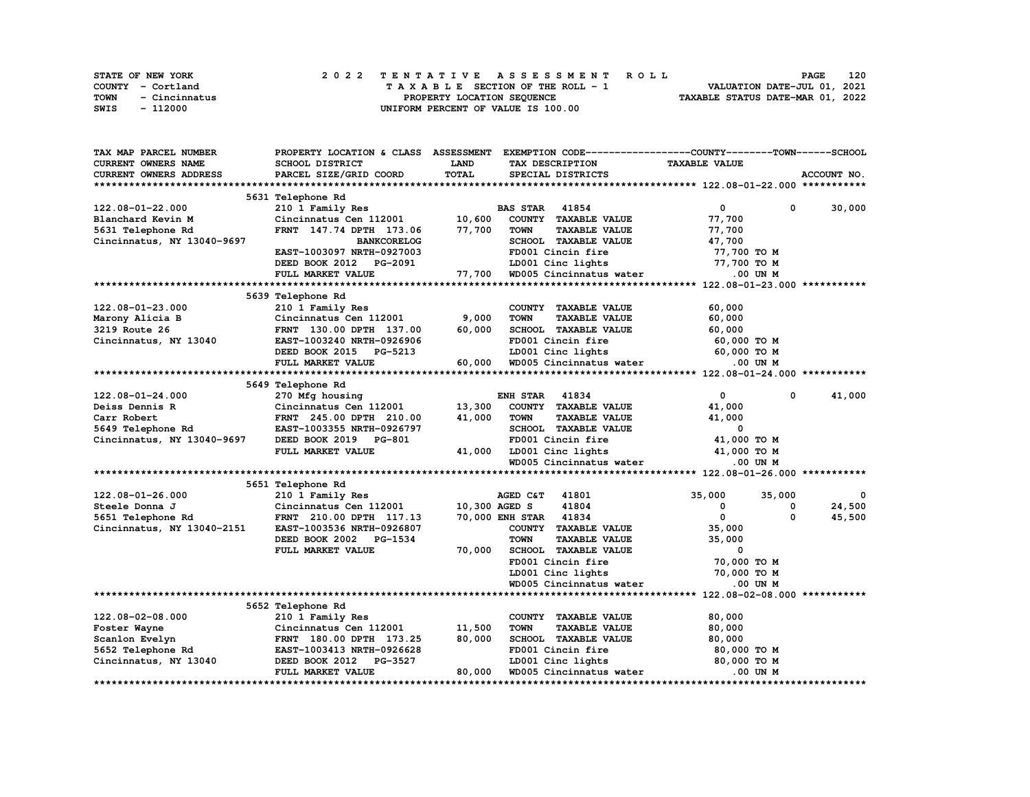| <b>STATE OF NEW YORK</b> | 2022 TENTATIVE ASSESSMENT ROLL     | 120<br><b>PAGE</b>               |
|--------------------------|------------------------------------|----------------------------------|
| COUNTY - Cortland        | TAXABLE SECTION OF THE ROLL - 1    | VALUATION DATE-JUL 01, 2021      |
| TOWN<br>- Cincinnatus    | PROPERTY LOCATION SEOUENCE         | TAXABLE STATUS DATE-MAR 01, 2022 |
| SWIS<br>- 112000         | UNIFORM PERCENT OF VALUE IS 100.00 |                                  |

| CURRENT OWNERS NAME<br><b>SCHOOL DISTRICT</b><br><b>LAND</b><br>TAX DESCRIPTION<br><b>TAXABLE VALUE</b><br>TOTAL<br>ACCOUNT NO.<br><b>CURRENT OWNERS ADDRESS</b><br>PARCEL SIZE/GRID COORD<br>SPECIAL DISTRICTS<br>5631 Telephone Rd<br>122.08-01-22.000<br>210 1 Family Res<br><b>BAS STAR</b><br>41854<br>0<br>0<br>30,000<br>10,600<br>Cincinnatus Cen 112001<br>COUNTY TAXABLE VALUE<br>77,700<br>Blanchard Kevin M<br>5631 Telephone Rd<br>FRNT 147.74 DPTH 173.06<br>77,700<br><b>TOWN</b><br><b>TAXABLE VALUE</b><br>77,700<br>SCHOOL TAXABLE VALUE<br>47,700<br>Cincinnatus, NY 13040-9697<br><b>BANKCORELOG</b><br>EAST-1003097 NRTH-0927003<br>FD001 Cincin fire<br>77,700 TO M<br>LD001 Cinc lights<br>77,700 TO M<br>DEED BOOK 2012 PG-2091<br>FULL MARKET VALUE<br>77,700<br>WD005 Cincinnatus water<br>.00 UN M<br>5639 Telephone Rd<br>122.08-01-23.000<br>210 1 Family Res<br>COUNTY TAXABLE VALUE<br>60,000<br>9,000<br><b>TOWN</b><br><b>TAXABLE VALUE</b><br>60,000<br>Marony Alicia B<br>Cincinnatus Cen 112001<br>3219 Route 26<br>60,000<br>SCHOOL TAXABLE VALUE<br>60,000<br>FRNT 130.00 DPTH 137.00<br>Cincinnatus, NY 13040<br>EAST-1003240 NRTH-0926906<br>FD001 Cincin fire<br>60,000 то м<br>LD001 Cinc lights<br>60,000 TO M<br>DEED BOOK 2015 PG-5213<br>FULL MARKET VALUE<br>60,000<br>WD005 Cincinnatus water<br>.00 UN M<br>5649 Telephone Rd<br>122.08-01-24.000<br>270 Mfg housing<br><b>ENH STAR</b><br>41834<br>$\mathbf{0}$<br>0<br>41,000<br>Cincinnatus Cen 112001<br>13,300<br>COUNTY TAXABLE VALUE<br>41,000<br>Deiss Dennis R<br>FRNT 245.00 DPTH 210.00<br>41,000<br><b>TOWN</b><br><b>TAXABLE VALUE</b><br>41,000<br>Carr Robert<br>SCHOOL TAXABLE VALUE<br>5649 Telephone Rd<br>EAST-1003355 NRTH-0926797<br>0<br>FD001 Cincin fire<br>41,000 TO M<br>Cincinnatus, NY 13040-9697<br>DEED BOOK 2019 PG-801<br>FULL MARKET VALUE<br>41,000<br>LD001 Cinc lights<br>41,000 TO M<br>WD005 Cincinnatus water<br>.00 UN M<br>5651 Telephone Rd<br>122.08-01-26.000<br>AGED C&T<br>41801<br>35,000<br>35,000<br>210 1 Family Res<br>0<br>41804<br>10,300 AGED S<br>0<br>24,500<br>Steele Donna J<br>Cincinnatus Cen 112001<br>0<br>0<br>5651 Telephone Rd<br><b>70,000 ENH STAR</b><br>41834<br>$\Omega$<br>45,500<br>FRNT 210.00 DPTH 117.13<br>Cincinnatus, NY 13040-2151<br>COUNTY TAXABLE VALUE<br>35,000<br>EAST-1003536 NRTH-0926807<br><b>TOWN</b><br>DEED BOOK 2002<br>PG-1534<br><b>TAXABLE VALUE</b><br>35,000<br>SCHOOL TAXABLE VALUE<br>70,000<br>0<br>FULL MARKET VALUE<br>FD001 Cincin fire<br>70,000 TO M<br>LD001 Cinc lights<br>70,000 TO M<br>WD005 Cincinnatus water<br>$.00$ UN $M$<br>5652 Telephone Rd<br>122.08-02-08.000<br>210 1 Family Res<br>COUNTY TAXABLE VALUE<br>80,000<br>Foster Wayne<br>Cincinnatus Cen 112001<br>11,500<br><b>TOWN</b><br><b>TAXABLE VALUE</b><br>80,000<br>Scanlon Evelyn<br>FRNT 180.00 DPTH 173.25<br>80,000<br>SCHOOL TAXABLE VALUE<br>80,000<br>5652 Telephone Rd<br>EAST-1003413 NRTH-0926628<br>FD001 Cincin fire<br>80,000 TO M<br>PG-3527<br>LD001 Cinc lights<br>80,000 TO M<br>Cincinnatus, NY 13040<br>DEED BOOK 2012<br>80,000<br>FULL MARKET VALUE<br>WD005 Cincinnatus water<br>.00 UN M | <b>TAX MAP PARCEL NUMBER</b> | PROPERTY LOCATION & CLASS ASSESSMENT |  | EXEMPTION CODE-----------------COUNTY-------TOWN------SCHOOL |  |
|---------------------------------------------------------------------------------------------------------------------------------------------------------------------------------------------------------------------------------------------------------------------------------------------------------------------------------------------------------------------------------------------------------------------------------------------------------------------------------------------------------------------------------------------------------------------------------------------------------------------------------------------------------------------------------------------------------------------------------------------------------------------------------------------------------------------------------------------------------------------------------------------------------------------------------------------------------------------------------------------------------------------------------------------------------------------------------------------------------------------------------------------------------------------------------------------------------------------------------------------------------------------------------------------------------------------------------------------------------------------------------------------------------------------------------------------------------------------------------------------------------------------------------------------------------------------------------------------------------------------------------------------------------------------------------------------------------------------------------------------------------------------------------------------------------------------------------------------------------------------------------------------------------------------------------------------------------------------------------------------------------------------------------------------------------------------------------------------------------------------------------------------------------------------------------------------------------------------------------------------------------------------------------------------------------------------------------------------------------------------------------------------------------------------------------------------------------------------------------------------------------------------------------------------------------------------------------------------------------------------------------------------------------------------------------------------------------------------------------------------------------------------------------------------------------------------------------------------------------------------------------------------------------------------------------------------------------------------------------------------------------------------------------------------------------------------------------------------------------------------------------------------------------------------------------------------------|------------------------------|--------------------------------------|--|--------------------------------------------------------------|--|
|                                                                                                                                                                                                                                                                                                                                                                                                                                                                                                                                                                                                                                                                                                                                                                                                                                                                                                                                                                                                                                                                                                                                                                                                                                                                                                                                                                                                                                                                                                                                                                                                                                                                                                                                                                                                                                                                                                                                                                                                                                                                                                                                                                                                                                                                                                                                                                                                                                                                                                                                                                                                                                                                                                                                                                                                                                                                                                                                                                                                                                                                                                                                                                                                   |                              |                                      |  |                                                              |  |
|                                                                                                                                                                                                                                                                                                                                                                                                                                                                                                                                                                                                                                                                                                                                                                                                                                                                                                                                                                                                                                                                                                                                                                                                                                                                                                                                                                                                                                                                                                                                                                                                                                                                                                                                                                                                                                                                                                                                                                                                                                                                                                                                                                                                                                                                                                                                                                                                                                                                                                                                                                                                                                                                                                                                                                                                                                                                                                                                                                                                                                                                                                                                                                                                   |                              |                                      |  |                                                              |  |
|                                                                                                                                                                                                                                                                                                                                                                                                                                                                                                                                                                                                                                                                                                                                                                                                                                                                                                                                                                                                                                                                                                                                                                                                                                                                                                                                                                                                                                                                                                                                                                                                                                                                                                                                                                                                                                                                                                                                                                                                                                                                                                                                                                                                                                                                                                                                                                                                                                                                                                                                                                                                                                                                                                                                                                                                                                                                                                                                                                                                                                                                                                                                                                                                   |                              |                                      |  |                                                              |  |
|                                                                                                                                                                                                                                                                                                                                                                                                                                                                                                                                                                                                                                                                                                                                                                                                                                                                                                                                                                                                                                                                                                                                                                                                                                                                                                                                                                                                                                                                                                                                                                                                                                                                                                                                                                                                                                                                                                                                                                                                                                                                                                                                                                                                                                                                                                                                                                                                                                                                                                                                                                                                                                                                                                                                                                                                                                                                                                                                                                                                                                                                                                                                                                                                   |                              |                                      |  |                                                              |  |
|                                                                                                                                                                                                                                                                                                                                                                                                                                                                                                                                                                                                                                                                                                                                                                                                                                                                                                                                                                                                                                                                                                                                                                                                                                                                                                                                                                                                                                                                                                                                                                                                                                                                                                                                                                                                                                                                                                                                                                                                                                                                                                                                                                                                                                                                                                                                                                                                                                                                                                                                                                                                                                                                                                                                                                                                                                                                                                                                                                                                                                                                                                                                                                                                   |                              |                                      |  |                                                              |  |
|                                                                                                                                                                                                                                                                                                                                                                                                                                                                                                                                                                                                                                                                                                                                                                                                                                                                                                                                                                                                                                                                                                                                                                                                                                                                                                                                                                                                                                                                                                                                                                                                                                                                                                                                                                                                                                                                                                                                                                                                                                                                                                                                                                                                                                                                                                                                                                                                                                                                                                                                                                                                                                                                                                                                                                                                                                                                                                                                                                                                                                                                                                                                                                                                   |                              |                                      |  |                                                              |  |
|                                                                                                                                                                                                                                                                                                                                                                                                                                                                                                                                                                                                                                                                                                                                                                                                                                                                                                                                                                                                                                                                                                                                                                                                                                                                                                                                                                                                                                                                                                                                                                                                                                                                                                                                                                                                                                                                                                                                                                                                                                                                                                                                                                                                                                                                                                                                                                                                                                                                                                                                                                                                                                                                                                                                                                                                                                                                                                                                                                                                                                                                                                                                                                                                   |                              |                                      |  |                                                              |  |
|                                                                                                                                                                                                                                                                                                                                                                                                                                                                                                                                                                                                                                                                                                                                                                                                                                                                                                                                                                                                                                                                                                                                                                                                                                                                                                                                                                                                                                                                                                                                                                                                                                                                                                                                                                                                                                                                                                                                                                                                                                                                                                                                                                                                                                                                                                                                                                                                                                                                                                                                                                                                                                                                                                                                                                                                                                                                                                                                                                                                                                                                                                                                                                                                   |                              |                                      |  |                                                              |  |
|                                                                                                                                                                                                                                                                                                                                                                                                                                                                                                                                                                                                                                                                                                                                                                                                                                                                                                                                                                                                                                                                                                                                                                                                                                                                                                                                                                                                                                                                                                                                                                                                                                                                                                                                                                                                                                                                                                                                                                                                                                                                                                                                                                                                                                                                                                                                                                                                                                                                                                                                                                                                                                                                                                                                                                                                                                                                                                                                                                                                                                                                                                                                                                                                   |                              |                                      |  |                                                              |  |
|                                                                                                                                                                                                                                                                                                                                                                                                                                                                                                                                                                                                                                                                                                                                                                                                                                                                                                                                                                                                                                                                                                                                                                                                                                                                                                                                                                                                                                                                                                                                                                                                                                                                                                                                                                                                                                                                                                                                                                                                                                                                                                                                                                                                                                                                                                                                                                                                                                                                                                                                                                                                                                                                                                                                                                                                                                                                                                                                                                                                                                                                                                                                                                                                   |                              |                                      |  |                                                              |  |
|                                                                                                                                                                                                                                                                                                                                                                                                                                                                                                                                                                                                                                                                                                                                                                                                                                                                                                                                                                                                                                                                                                                                                                                                                                                                                                                                                                                                                                                                                                                                                                                                                                                                                                                                                                                                                                                                                                                                                                                                                                                                                                                                                                                                                                                                                                                                                                                                                                                                                                                                                                                                                                                                                                                                                                                                                                                                                                                                                                                                                                                                                                                                                                                                   |                              |                                      |  |                                                              |  |
|                                                                                                                                                                                                                                                                                                                                                                                                                                                                                                                                                                                                                                                                                                                                                                                                                                                                                                                                                                                                                                                                                                                                                                                                                                                                                                                                                                                                                                                                                                                                                                                                                                                                                                                                                                                                                                                                                                                                                                                                                                                                                                                                                                                                                                                                                                                                                                                                                                                                                                                                                                                                                                                                                                                                                                                                                                                                                                                                                                                                                                                                                                                                                                                                   |                              |                                      |  |                                                              |  |
|                                                                                                                                                                                                                                                                                                                                                                                                                                                                                                                                                                                                                                                                                                                                                                                                                                                                                                                                                                                                                                                                                                                                                                                                                                                                                                                                                                                                                                                                                                                                                                                                                                                                                                                                                                                                                                                                                                                                                                                                                                                                                                                                                                                                                                                                                                                                                                                                                                                                                                                                                                                                                                                                                                                                                                                                                                                                                                                                                                                                                                                                                                                                                                                                   |                              |                                      |  |                                                              |  |
|                                                                                                                                                                                                                                                                                                                                                                                                                                                                                                                                                                                                                                                                                                                                                                                                                                                                                                                                                                                                                                                                                                                                                                                                                                                                                                                                                                                                                                                                                                                                                                                                                                                                                                                                                                                                                                                                                                                                                                                                                                                                                                                                                                                                                                                                                                                                                                                                                                                                                                                                                                                                                                                                                                                                                                                                                                                                                                                                                                                                                                                                                                                                                                                                   |                              |                                      |  |                                                              |  |
|                                                                                                                                                                                                                                                                                                                                                                                                                                                                                                                                                                                                                                                                                                                                                                                                                                                                                                                                                                                                                                                                                                                                                                                                                                                                                                                                                                                                                                                                                                                                                                                                                                                                                                                                                                                                                                                                                                                                                                                                                                                                                                                                                                                                                                                                                                                                                                                                                                                                                                                                                                                                                                                                                                                                                                                                                                                                                                                                                                                                                                                                                                                                                                                                   |                              |                                      |  |                                                              |  |
|                                                                                                                                                                                                                                                                                                                                                                                                                                                                                                                                                                                                                                                                                                                                                                                                                                                                                                                                                                                                                                                                                                                                                                                                                                                                                                                                                                                                                                                                                                                                                                                                                                                                                                                                                                                                                                                                                                                                                                                                                                                                                                                                                                                                                                                                                                                                                                                                                                                                                                                                                                                                                                                                                                                                                                                                                                                                                                                                                                                                                                                                                                                                                                                                   |                              |                                      |  |                                                              |  |
|                                                                                                                                                                                                                                                                                                                                                                                                                                                                                                                                                                                                                                                                                                                                                                                                                                                                                                                                                                                                                                                                                                                                                                                                                                                                                                                                                                                                                                                                                                                                                                                                                                                                                                                                                                                                                                                                                                                                                                                                                                                                                                                                                                                                                                                                                                                                                                                                                                                                                                                                                                                                                                                                                                                                                                                                                                                                                                                                                                                                                                                                                                                                                                                                   |                              |                                      |  |                                                              |  |
|                                                                                                                                                                                                                                                                                                                                                                                                                                                                                                                                                                                                                                                                                                                                                                                                                                                                                                                                                                                                                                                                                                                                                                                                                                                                                                                                                                                                                                                                                                                                                                                                                                                                                                                                                                                                                                                                                                                                                                                                                                                                                                                                                                                                                                                                                                                                                                                                                                                                                                                                                                                                                                                                                                                                                                                                                                                                                                                                                                                                                                                                                                                                                                                                   |                              |                                      |  |                                                              |  |
|                                                                                                                                                                                                                                                                                                                                                                                                                                                                                                                                                                                                                                                                                                                                                                                                                                                                                                                                                                                                                                                                                                                                                                                                                                                                                                                                                                                                                                                                                                                                                                                                                                                                                                                                                                                                                                                                                                                                                                                                                                                                                                                                                                                                                                                                                                                                                                                                                                                                                                                                                                                                                                                                                                                                                                                                                                                                                                                                                                                                                                                                                                                                                                                                   |                              |                                      |  |                                                              |  |
|                                                                                                                                                                                                                                                                                                                                                                                                                                                                                                                                                                                                                                                                                                                                                                                                                                                                                                                                                                                                                                                                                                                                                                                                                                                                                                                                                                                                                                                                                                                                                                                                                                                                                                                                                                                                                                                                                                                                                                                                                                                                                                                                                                                                                                                                                                                                                                                                                                                                                                                                                                                                                                                                                                                                                                                                                                                                                                                                                                                                                                                                                                                                                                                                   |                              |                                      |  |                                                              |  |
|                                                                                                                                                                                                                                                                                                                                                                                                                                                                                                                                                                                                                                                                                                                                                                                                                                                                                                                                                                                                                                                                                                                                                                                                                                                                                                                                                                                                                                                                                                                                                                                                                                                                                                                                                                                                                                                                                                                                                                                                                                                                                                                                                                                                                                                                                                                                                                                                                                                                                                                                                                                                                                                                                                                                                                                                                                                                                                                                                                                                                                                                                                                                                                                                   |                              |                                      |  |                                                              |  |
|                                                                                                                                                                                                                                                                                                                                                                                                                                                                                                                                                                                                                                                                                                                                                                                                                                                                                                                                                                                                                                                                                                                                                                                                                                                                                                                                                                                                                                                                                                                                                                                                                                                                                                                                                                                                                                                                                                                                                                                                                                                                                                                                                                                                                                                                                                                                                                                                                                                                                                                                                                                                                                                                                                                                                                                                                                                                                                                                                                                                                                                                                                                                                                                                   |                              |                                      |  |                                                              |  |
|                                                                                                                                                                                                                                                                                                                                                                                                                                                                                                                                                                                                                                                                                                                                                                                                                                                                                                                                                                                                                                                                                                                                                                                                                                                                                                                                                                                                                                                                                                                                                                                                                                                                                                                                                                                                                                                                                                                                                                                                                                                                                                                                                                                                                                                                                                                                                                                                                                                                                                                                                                                                                                                                                                                                                                                                                                                                                                                                                                                                                                                                                                                                                                                                   |                              |                                      |  |                                                              |  |
|                                                                                                                                                                                                                                                                                                                                                                                                                                                                                                                                                                                                                                                                                                                                                                                                                                                                                                                                                                                                                                                                                                                                                                                                                                                                                                                                                                                                                                                                                                                                                                                                                                                                                                                                                                                                                                                                                                                                                                                                                                                                                                                                                                                                                                                                                                                                                                                                                                                                                                                                                                                                                                                                                                                                                                                                                                                                                                                                                                                                                                                                                                                                                                                                   |                              |                                      |  |                                                              |  |
|                                                                                                                                                                                                                                                                                                                                                                                                                                                                                                                                                                                                                                                                                                                                                                                                                                                                                                                                                                                                                                                                                                                                                                                                                                                                                                                                                                                                                                                                                                                                                                                                                                                                                                                                                                                                                                                                                                                                                                                                                                                                                                                                                                                                                                                                                                                                                                                                                                                                                                                                                                                                                                                                                                                                                                                                                                                                                                                                                                                                                                                                                                                                                                                                   |                              |                                      |  |                                                              |  |
|                                                                                                                                                                                                                                                                                                                                                                                                                                                                                                                                                                                                                                                                                                                                                                                                                                                                                                                                                                                                                                                                                                                                                                                                                                                                                                                                                                                                                                                                                                                                                                                                                                                                                                                                                                                                                                                                                                                                                                                                                                                                                                                                                                                                                                                                                                                                                                                                                                                                                                                                                                                                                                                                                                                                                                                                                                                                                                                                                                                                                                                                                                                                                                                                   |                              |                                      |  |                                                              |  |
|                                                                                                                                                                                                                                                                                                                                                                                                                                                                                                                                                                                                                                                                                                                                                                                                                                                                                                                                                                                                                                                                                                                                                                                                                                                                                                                                                                                                                                                                                                                                                                                                                                                                                                                                                                                                                                                                                                                                                                                                                                                                                                                                                                                                                                                                                                                                                                                                                                                                                                                                                                                                                                                                                                                                                                                                                                                                                                                                                                                                                                                                                                                                                                                                   |                              |                                      |  |                                                              |  |
|                                                                                                                                                                                                                                                                                                                                                                                                                                                                                                                                                                                                                                                                                                                                                                                                                                                                                                                                                                                                                                                                                                                                                                                                                                                                                                                                                                                                                                                                                                                                                                                                                                                                                                                                                                                                                                                                                                                                                                                                                                                                                                                                                                                                                                                                                                                                                                                                                                                                                                                                                                                                                                                                                                                                                                                                                                                                                                                                                                                                                                                                                                                                                                                                   |                              |                                      |  |                                                              |  |
|                                                                                                                                                                                                                                                                                                                                                                                                                                                                                                                                                                                                                                                                                                                                                                                                                                                                                                                                                                                                                                                                                                                                                                                                                                                                                                                                                                                                                                                                                                                                                                                                                                                                                                                                                                                                                                                                                                                                                                                                                                                                                                                                                                                                                                                                                                                                                                                                                                                                                                                                                                                                                                                                                                                                                                                                                                                                                                                                                                                                                                                                                                                                                                                                   |                              |                                      |  |                                                              |  |
|                                                                                                                                                                                                                                                                                                                                                                                                                                                                                                                                                                                                                                                                                                                                                                                                                                                                                                                                                                                                                                                                                                                                                                                                                                                                                                                                                                                                                                                                                                                                                                                                                                                                                                                                                                                                                                                                                                                                                                                                                                                                                                                                                                                                                                                                                                                                                                                                                                                                                                                                                                                                                                                                                                                                                                                                                                                                                                                                                                                                                                                                                                                                                                                                   |                              |                                      |  |                                                              |  |
|                                                                                                                                                                                                                                                                                                                                                                                                                                                                                                                                                                                                                                                                                                                                                                                                                                                                                                                                                                                                                                                                                                                                                                                                                                                                                                                                                                                                                                                                                                                                                                                                                                                                                                                                                                                                                                                                                                                                                                                                                                                                                                                                                                                                                                                                                                                                                                                                                                                                                                                                                                                                                                                                                                                                                                                                                                                                                                                                                                                                                                                                                                                                                                                                   |                              |                                      |  |                                                              |  |
|                                                                                                                                                                                                                                                                                                                                                                                                                                                                                                                                                                                                                                                                                                                                                                                                                                                                                                                                                                                                                                                                                                                                                                                                                                                                                                                                                                                                                                                                                                                                                                                                                                                                                                                                                                                                                                                                                                                                                                                                                                                                                                                                                                                                                                                                                                                                                                                                                                                                                                                                                                                                                                                                                                                                                                                                                                                                                                                                                                                                                                                                                                                                                                                                   |                              |                                      |  |                                                              |  |
|                                                                                                                                                                                                                                                                                                                                                                                                                                                                                                                                                                                                                                                                                                                                                                                                                                                                                                                                                                                                                                                                                                                                                                                                                                                                                                                                                                                                                                                                                                                                                                                                                                                                                                                                                                                                                                                                                                                                                                                                                                                                                                                                                                                                                                                                                                                                                                                                                                                                                                                                                                                                                                                                                                                                                                                                                                                                                                                                                                                                                                                                                                                                                                                                   |                              |                                      |  |                                                              |  |
|                                                                                                                                                                                                                                                                                                                                                                                                                                                                                                                                                                                                                                                                                                                                                                                                                                                                                                                                                                                                                                                                                                                                                                                                                                                                                                                                                                                                                                                                                                                                                                                                                                                                                                                                                                                                                                                                                                                                                                                                                                                                                                                                                                                                                                                                                                                                                                                                                                                                                                                                                                                                                                                                                                                                                                                                                                                                                                                                                                                                                                                                                                                                                                                                   |                              |                                      |  |                                                              |  |
|                                                                                                                                                                                                                                                                                                                                                                                                                                                                                                                                                                                                                                                                                                                                                                                                                                                                                                                                                                                                                                                                                                                                                                                                                                                                                                                                                                                                                                                                                                                                                                                                                                                                                                                                                                                                                                                                                                                                                                                                                                                                                                                                                                                                                                                                                                                                                                                                                                                                                                                                                                                                                                                                                                                                                                                                                                                                                                                                                                                                                                                                                                                                                                                                   |                              |                                      |  |                                                              |  |
|                                                                                                                                                                                                                                                                                                                                                                                                                                                                                                                                                                                                                                                                                                                                                                                                                                                                                                                                                                                                                                                                                                                                                                                                                                                                                                                                                                                                                                                                                                                                                                                                                                                                                                                                                                                                                                                                                                                                                                                                                                                                                                                                                                                                                                                                                                                                                                                                                                                                                                                                                                                                                                                                                                                                                                                                                                                                                                                                                                                                                                                                                                                                                                                                   |                              |                                      |  |                                                              |  |
|                                                                                                                                                                                                                                                                                                                                                                                                                                                                                                                                                                                                                                                                                                                                                                                                                                                                                                                                                                                                                                                                                                                                                                                                                                                                                                                                                                                                                                                                                                                                                                                                                                                                                                                                                                                                                                                                                                                                                                                                                                                                                                                                                                                                                                                                                                                                                                                                                                                                                                                                                                                                                                                                                                                                                                                                                                                                                                                                                                                                                                                                                                                                                                                                   |                              |                                      |  |                                                              |  |
|                                                                                                                                                                                                                                                                                                                                                                                                                                                                                                                                                                                                                                                                                                                                                                                                                                                                                                                                                                                                                                                                                                                                                                                                                                                                                                                                                                                                                                                                                                                                                                                                                                                                                                                                                                                                                                                                                                                                                                                                                                                                                                                                                                                                                                                                                                                                                                                                                                                                                                                                                                                                                                                                                                                                                                                                                                                                                                                                                                                                                                                                                                                                                                                                   |                              |                                      |  |                                                              |  |
|                                                                                                                                                                                                                                                                                                                                                                                                                                                                                                                                                                                                                                                                                                                                                                                                                                                                                                                                                                                                                                                                                                                                                                                                                                                                                                                                                                                                                                                                                                                                                                                                                                                                                                                                                                                                                                                                                                                                                                                                                                                                                                                                                                                                                                                                                                                                                                                                                                                                                                                                                                                                                                                                                                                                                                                                                                                                                                                                                                                                                                                                                                                                                                                                   |                              |                                      |  |                                                              |  |
|                                                                                                                                                                                                                                                                                                                                                                                                                                                                                                                                                                                                                                                                                                                                                                                                                                                                                                                                                                                                                                                                                                                                                                                                                                                                                                                                                                                                                                                                                                                                                                                                                                                                                                                                                                                                                                                                                                                                                                                                                                                                                                                                                                                                                                                                                                                                                                                                                                                                                                                                                                                                                                                                                                                                                                                                                                                                                                                                                                                                                                                                                                                                                                                                   |                              |                                      |  |                                                              |  |
|                                                                                                                                                                                                                                                                                                                                                                                                                                                                                                                                                                                                                                                                                                                                                                                                                                                                                                                                                                                                                                                                                                                                                                                                                                                                                                                                                                                                                                                                                                                                                                                                                                                                                                                                                                                                                                                                                                                                                                                                                                                                                                                                                                                                                                                                                                                                                                                                                                                                                                                                                                                                                                                                                                                                                                                                                                                                                                                                                                                                                                                                                                                                                                                                   |                              |                                      |  |                                                              |  |
|                                                                                                                                                                                                                                                                                                                                                                                                                                                                                                                                                                                                                                                                                                                                                                                                                                                                                                                                                                                                                                                                                                                                                                                                                                                                                                                                                                                                                                                                                                                                                                                                                                                                                                                                                                                                                                                                                                                                                                                                                                                                                                                                                                                                                                                                                                                                                                                                                                                                                                                                                                                                                                                                                                                                                                                                                                                                                                                                                                                                                                                                                                                                                                                                   |                              |                                      |  |                                                              |  |
|                                                                                                                                                                                                                                                                                                                                                                                                                                                                                                                                                                                                                                                                                                                                                                                                                                                                                                                                                                                                                                                                                                                                                                                                                                                                                                                                                                                                                                                                                                                                                                                                                                                                                                                                                                                                                                                                                                                                                                                                                                                                                                                                                                                                                                                                                                                                                                                                                                                                                                                                                                                                                                                                                                                                                                                                                                                                                                                                                                                                                                                                                                                                                                                                   |                              |                                      |  |                                                              |  |
|                                                                                                                                                                                                                                                                                                                                                                                                                                                                                                                                                                                                                                                                                                                                                                                                                                                                                                                                                                                                                                                                                                                                                                                                                                                                                                                                                                                                                                                                                                                                                                                                                                                                                                                                                                                                                                                                                                                                                                                                                                                                                                                                                                                                                                                                                                                                                                                                                                                                                                                                                                                                                                                                                                                                                                                                                                                                                                                                                                                                                                                                                                                                                                                                   |                              |                                      |  |                                                              |  |
|                                                                                                                                                                                                                                                                                                                                                                                                                                                                                                                                                                                                                                                                                                                                                                                                                                                                                                                                                                                                                                                                                                                                                                                                                                                                                                                                                                                                                                                                                                                                                                                                                                                                                                                                                                                                                                                                                                                                                                                                                                                                                                                                                                                                                                                                                                                                                                                                                                                                                                                                                                                                                                                                                                                                                                                                                                                                                                                                                                                                                                                                                                                                                                                                   |                              |                                      |  |                                                              |  |
|                                                                                                                                                                                                                                                                                                                                                                                                                                                                                                                                                                                                                                                                                                                                                                                                                                                                                                                                                                                                                                                                                                                                                                                                                                                                                                                                                                                                                                                                                                                                                                                                                                                                                                                                                                                                                                                                                                                                                                                                                                                                                                                                                                                                                                                                                                                                                                                                                                                                                                                                                                                                                                                                                                                                                                                                                                                                                                                                                                                                                                                                                                                                                                                                   |                              |                                      |  |                                                              |  |
|                                                                                                                                                                                                                                                                                                                                                                                                                                                                                                                                                                                                                                                                                                                                                                                                                                                                                                                                                                                                                                                                                                                                                                                                                                                                                                                                                                                                                                                                                                                                                                                                                                                                                                                                                                                                                                                                                                                                                                                                                                                                                                                                                                                                                                                                                                                                                                                                                                                                                                                                                                                                                                                                                                                                                                                                                                                                                                                                                                                                                                                                                                                                                                                                   |                              |                                      |  |                                                              |  |
|                                                                                                                                                                                                                                                                                                                                                                                                                                                                                                                                                                                                                                                                                                                                                                                                                                                                                                                                                                                                                                                                                                                                                                                                                                                                                                                                                                                                                                                                                                                                                                                                                                                                                                                                                                                                                                                                                                                                                                                                                                                                                                                                                                                                                                                                                                                                                                                                                                                                                                                                                                                                                                                                                                                                                                                                                                                                                                                                                                                                                                                                                                                                                                                                   |                              |                                      |  |                                                              |  |
|                                                                                                                                                                                                                                                                                                                                                                                                                                                                                                                                                                                                                                                                                                                                                                                                                                                                                                                                                                                                                                                                                                                                                                                                                                                                                                                                                                                                                                                                                                                                                                                                                                                                                                                                                                                                                                                                                                                                                                                                                                                                                                                                                                                                                                                                                                                                                                                                                                                                                                                                                                                                                                                                                                                                                                                                                                                                                                                                                                                                                                                                                                                                                                                                   |                              |                                      |  |                                                              |  |
|                                                                                                                                                                                                                                                                                                                                                                                                                                                                                                                                                                                                                                                                                                                                                                                                                                                                                                                                                                                                                                                                                                                                                                                                                                                                                                                                                                                                                                                                                                                                                                                                                                                                                                                                                                                                                                                                                                                                                                                                                                                                                                                                                                                                                                                                                                                                                                                                                                                                                                                                                                                                                                                                                                                                                                                                                                                                                                                                                                                                                                                                                                                                                                                                   |                              |                                      |  |                                                              |  |
|                                                                                                                                                                                                                                                                                                                                                                                                                                                                                                                                                                                                                                                                                                                                                                                                                                                                                                                                                                                                                                                                                                                                                                                                                                                                                                                                                                                                                                                                                                                                                                                                                                                                                                                                                                                                                                                                                                                                                                                                                                                                                                                                                                                                                                                                                                                                                                                                                                                                                                                                                                                                                                                                                                                                                                                                                                                                                                                                                                                                                                                                                                                                                                                                   |                              |                                      |  |                                                              |  |
|                                                                                                                                                                                                                                                                                                                                                                                                                                                                                                                                                                                                                                                                                                                                                                                                                                                                                                                                                                                                                                                                                                                                                                                                                                                                                                                                                                                                                                                                                                                                                                                                                                                                                                                                                                                                                                                                                                                                                                                                                                                                                                                                                                                                                                                                                                                                                                                                                                                                                                                                                                                                                                                                                                                                                                                                                                                                                                                                                                                                                                                                                                                                                                                                   |                              |                                      |  |                                                              |  |
|                                                                                                                                                                                                                                                                                                                                                                                                                                                                                                                                                                                                                                                                                                                                                                                                                                                                                                                                                                                                                                                                                                                                                                                                                                                                                                                                                                                                                                                                                                                                                                                                                                                                                                                                                                                                                                                                                                                                                                                                                                                                                                                                                                                                                                                                                                                                                                                                                                                                                                                                                                                                                                                                                                                                                                                                                                                                                                                                                                                                                                                                                                                                                                                                   |                              |                                      |  |                                                              |  |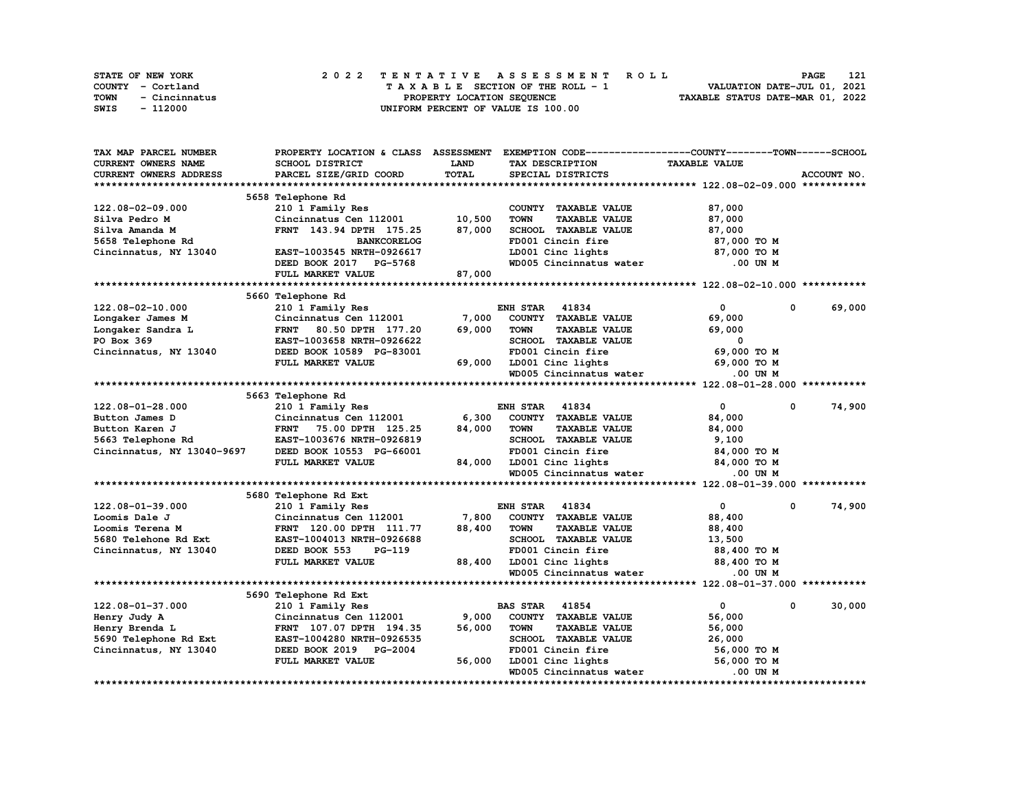| <b>STATE OF NEW YORK</b> | 2022 TENTATIVE ASSESSMENT ROLL     | 121<br>PAGE                      |
|--------------------------|------------------------------------|----------------------------------|
| COUNTY - Cortland        | TAXABLE SECTION OF THE ROLL - 1    | VALUATION DATE-JUL 01, 2021      |
| TOWN<br>- Cincinnatus    | PROPERTY LOCATION SEOUENCE         | TAXABLE STATUS DATE-MAR 01, 2022 |
| SWIS<br>- 112000         | UNIFORM PERCENT OF VALUE IS 100.00 |                                  |

| TAX MAP PARCEL NUMBER         | PROPERTY LOCATION & CLASS ASSESSMENT |             | EXEMPTION CODE-----------------COUNTY-------TOWN-----SCHOOL |                            |             |
|-------------------------------|--------------------------------------|-------------|-------------------------------------------------------------|----------------------------|-------------|
| <b>CURRENT OWNERS NAME</b>    | <b>SCHOOL DISTRICT</b>               | <b>LAND</b> | TAX DESCRIPTION                                             | <b>TAXABLE VALUE</b>       |             |
| <b>CURRENT OWNERS ADDRESS</b> | PARCEL SIZE/GRID COORD               | TOTAL       | SPECIAL DISTRICTS                                           |                            | ACCOUNT NO. |
|                               |                                      |             |                                                             |                            |             |
|                               | 5658 Telephone Rd                    |             |                                                             |                            |             |
| 122.08-02-09.000              | 210 1 Family Res                     |             | COUNTY TAXABLE VALUE                                        | 87,000                     |             |
| Silva Pedro M                 | Cincinnatus Cen 112001               | 10,500      | <b>TAXABLE VALUE</b><br><b>TOWN</b>                         | 87,000                     |             |
| Silva Amanda M                | FRNT 143.94 DPTH 175.25              | 87,000      | SCHOOL TAXABLE VALUE                                        | 87,000                     |             |
| 5658 Telephone Rd             | <b>BANKCORELOG</b>                   |             | FD001 Cincin fire                                           | 87,000 TO M                |             |
| Cincinnatus, NY 13040         | EAST-1003545 NRTH-0926617            |             | LD001 Cinc lights                                           | 87,000 TO M                |             |
|                               | DEED BOOK 2017 PG-5768               |             | WD005 Cincinnatus water                                     | .00 UN M                   |             |
|                               | FULL MARKET VALUE                    | 87,000      |                                                             |                            |             |
|                               |                                      |             |                                                             |                            |             |
|                               | 5660 Telephone Rd                    |             |                                                             |                            |             |
| 122.08-02-10.000              | 210 1 Family Res                     |             | <b>ENH STAR 41834</b>                                       | 0<br>$\mathbf 0$           | 69,000      |
| Longaker James M              | Cincinnatus Cen 112001               | 7,000       | COUNTY TAXABLE VALUE                                        | 69,000                     |             |
| Longaker Sandra L             | <b>FRNT</b><br>80.50 DPTH 177.20     | 69,000      | <b>TAXABLE VALUE</b><br><b>TOWN</b>                         | 69,000                     |             |
| PO Box 369                    | EAST-1003658 NRTH-0926622            |             | SCHOOL TAXABLE VALUE                                        | 0                          |             |
| Cincinnatus, NY 13040         | DEED BOOK 10589 PG-83001             |             | FD001 Cincin fire                                           | 69,000 TO M                |             |
|                               | FULL MARKET VALUE                    | 69,000      | LD001 Cinc lights                                           | 69,000 TO M                |             |
|                               |                                      |             | WD005 Cincinnatus water                                     | $.00$ UN $M$               |             |
|                               |                                      |             |                                                             |                            |             |
|                               | 5663 Telephone Rd                    |             |                                                             |                            |             |
| 122.08-01-28.000              | 210 1 Family Res                     |             | <b>ENH STAR 41834</b>                                       | $\mathbf 0$<br>$\mathbf 0$ | 74,900      |
| Button James D                | Cincinnatus Cen 112001               | 6,300       | COUNTY TAXABLE VALUE                                        | 84,000                     |             |
| Button Karen J                | FRNT 75.00 DPTH 125.25               | 84,000      | <b>TAXABLE VALUE</b><br><b>TOWN</b>                         | 84,000                     |             |
| 5663 Telephone Rd             | EAST-1003676 NRTH-0926819            |             | SCHOOL TAXABLE VALUE                                        | 9,100                      |             |
| Cincinnatus, NY 13040-9697    | DEED BOOK 10553 PG-66001             |             | FD001 Cincin fire                                           | 84,000 TO M                |             |
|                               | FULL MARKET VALUE                    | 84,000      | LD001 Cinc lights                                           | 84,000 TO M                |             |
|                               |                                      |             | WD005 Cincinnatus water                                     | .00 UN M                   |             |
|                               |                                      |             |                                                             |                            |             |
|                               | 5680 Telephone Rd Ext                |             |                                                             |                            |             |
| 122.08-01-39.000              | 210 1 Family Res                     |             | <b>ENH STAR 41834</b>                                       | 0<br>0                     | 74,900      |
| Loomis Dale J                 | Cincinnatus Cen 112001               | 7,800       | COUNTY TAXABLE VALUE                                        | 88,400                     |             |
| Loomis Terena M               | FRNT 120.00 DPTH 111.77              | 88,400      | <b>TAXABLE VALUE</b><br><b>TOWN</b>                         | 88,400                     |             |
| 5680 Telehone Rd Ext          | EAST-1004013 NRTH-0926688            |             | SCHOOL TAXABLE VALUE                                        | 13,500                     |             |
| Cincinnatus, NY 13040         | DEED BOOK 553<br>PG-119              |             | FD001 Cincin fire                                           | 88,400 TO M                |             |
|                               | FULL MARKET VALUE                    | 88,400      | LD001 Cinc lights                                           | 88,400 TO M                |             |
|                               |                                      |             | WD005 Cincinnatus water                                     | .00 UN M                   |             |
|                               |                                      |             |                                                             |                            |             |
|                               | 5690 Telephone Rd Ext                |             |                                                             |                            |             |
| 122.08-01-37.000              | 210 1 Family Res                     |             | <b>BAS STAR</b><br>41854                                    | 0<br>0                     | 30,000      |
| Henry Judy A                  | Cincinnatus Cen 112001               | 9,000       | COUNTY TAXABLE VALUE                                        | 56,000                     |             |
| Henry Brenda L                | FRNT 107.07 DPTH 194.35              | 56,000      | <b>TOWN</b><br><b>TAXABLE VALUE</b>                         | 56,000                     |             |
| 5690 Telephone Rd Ext         | EAST-1004280 NRTH-0926535            |             | SCHOOL TAXABLE VALUE                                        | 26,000                     |             |
| Cincinnatus, NY 13040         | DEED BOOK 2019 PG-2004               |             | FD001 Cincin fire                                           | 56,000 TO M                |             |
|                               | FULL MARKET VALUE                    | 56,000      | LD001 Cinc lights                                           | 56,000 TO M                |             |
|                               |                                      |             | WD005 Cincinnatus water                                     | .00 UN M                   |             |
|                               |                                      |             |                                                             |                            |             |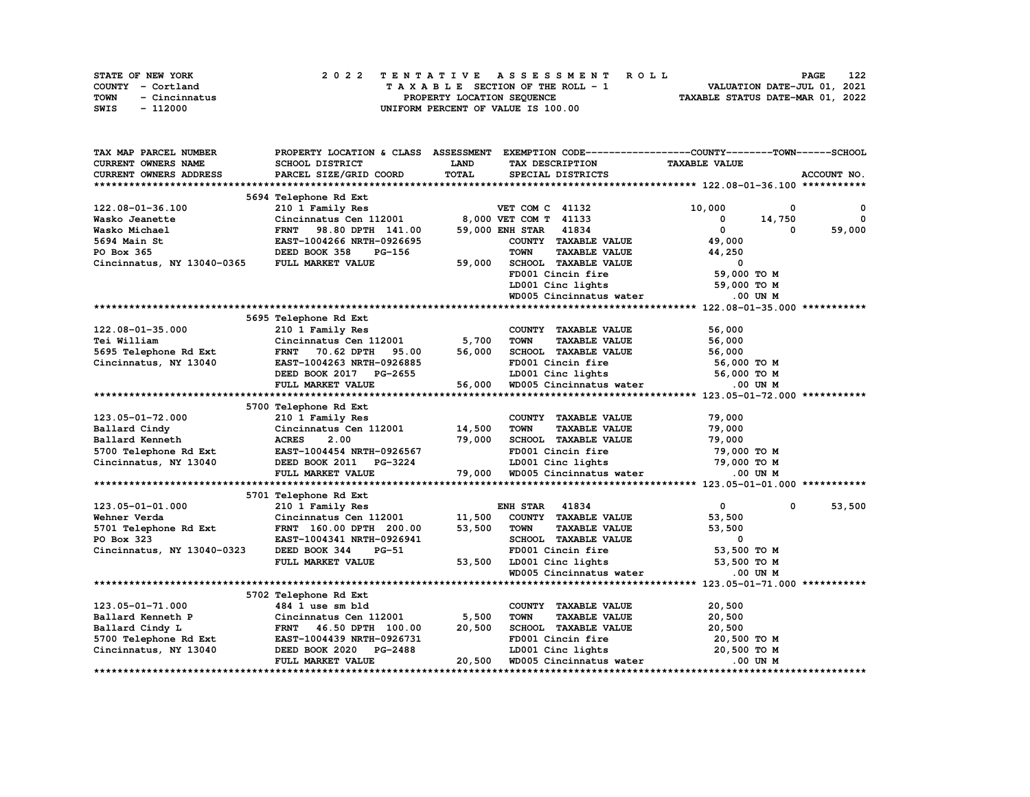|      | <b>STATE OF NEW YORK</b> |  | 2022 TENTATIVE ASSESSMENT ROLL |  |  |  |                                    |  |  |  |  |  |  |                                  |  | <b>PAGE</b> | 122 |
|------|--------------------------|--|--------------------------------|--|--|--|------------------------------------|--|--|--|--|--|--|----------------------------------|--|-------------|-----|
|      | COUNTY - Cortland        |  |                                |  |  |  | TAXABLE SECTION OF THE ROLL - 1    |  |  |  |  |  |  | VALUATION DATE-JUL 01, 2021      |  |             |     |
| TOWN | - Cincinnatus            |  |                                |  |  |  | PROPERTY LOCATION SEOUENCE         |  |  |  |  |  |  | TAXABLE STATUS DATE-MAR 01, 2022 |  |             |     |
| SWIS | - 112000                 |  |                                |  |  |  | UNIFORM PERCENT OF VALUE IS 100.00 |  |  |  |  |  |  |                                  |  |             |     |

| TAX MAP PARCEL NUMBER      | PROPERTY LOCATION & CLASS ASSESSMENT               |             | EXEMPTION CODE-----------------COUNTY-------TOWN------SCHOOL |                            |              |
|----------------------------|----------------------------------------------------|-------------|--------------------------------------------------------------|----------------------------|--------------|
| <b>CURRENT OWNERS NAME</b> | <b>SCHOOL DISTRICT</b>                             | <b>LAND</b> | TAX DESCRIPTION                                              | <b>TAXABLE VALUE</b>       |              |
| CURRENT OWNERS ADDRESS     | PARCEL SIZE/GRID COORD                             | TOTAL       | SPECIAL DISTRICTS                                            |                            | ACCOUNT NO.  |
|                            |                                                    |             |                                                              |                            |              |
|                            | 5694 Telephone Rd Ext                              |             |                                                              |                            |              |
| 122.08-01-36.100           | 210 1 Family Res                                   |             | VET COM C 41132                                              | 10,000<br>0                | $\mathbf{o}$ |
| Wasko Jeanette             | Cincinnatus Cen 112001                             |             | 8,000 VET COM T 41133                                        | $^{\circ}$<br>14,750       | $\Omega$     |
| Wasko Michael              | 98.80 DPTH 141.00<br><b>FRNT</b>                   |             | 59,000 ENH STAR 41834                                        | $\mathbf{0}$<br>$\Omega$   | 59,000       |
| 5694 Main St               | EAST-1004266 NRTH-0926695                          |             | COUNTY TAXABLE VALUE                                         | 49,000                     |              |
| PO Box 365                 | DEED BOOK 358<br><b>PG-156</b>                     |             | <b>TOWN</b><br><b>TAXABLE VALUE</b>                          | 44,250                     |              |
| Cincinnatus, NY 13040-0365 | FULL MARKET VALUE                                  | 59,000      | SCHOOL TAXABLE VALUE                                         | 0                          |              |
|                            |                                                    |             | FD001 Cincin fire                                            | 59,000 TO M                |              |
|                            |                                                    |             | LD001 Cinc lights                                            | 59,000 TO M                |              |
|                            |                                                    |             | WD005 Cincinnatus water                                      | .00 UN M                   |              |
|                            |                                                    |             |                                                              |                            |              |
|                            | 5695 Telephone Rd Ext                              |             |                                                              |                            |              |
| 122.08-01-35.000           |                                                    |             | COUNTY TAXABLE VALUE                                         | 56,000                     |              |
|                            | 210 1 Family Res<br>Cincinnatus Cen $112001$ 5,700 |             |                                                              |                            |              |
| Tei William                |                                                    |             | <b>TAXABLE VALUE</b><br><b>TOWN</b>                          | 56,000                     |              |
| 5695 Telephone Rd Ext      | <b>FRNT</b><br>70.62 DPTH<br>95.00                 | 56,000      | SCHOOL TAXABLE VALUE                                         | 56,000                     |              |
| Cincinnatus, NY 13040      | EAST-1004263 NRTH-0926885                          |             | FD001 Cincin fire                                            | 56,000 TO M                |              |
|                            | DEED BOOK 2017 PG-2655                             |             | LD001 Cinc lights<br>WD005 Cincinnatus water                 | 56,000 TO M                |              |
|                            | FULL MARKET VALUE                                  | 56,000      |                                                              | .00 UN M                   |              |
|                            |                                                    |             |                                                              |                            |              |
|                            | 5700 Telephone Rd Ext                              |             |                                                              |                            |              |
| 123.05-01-72.000           | 210 1 Family Res                                   |             | COUNTY TAXABLE VALUE                                         | 79,000                     |              |
| Ballard Cindy              | Cincinnatus Cen $112001$ 14,500                    |             | <b>TOWN</b><br><b>TAXABLE VALUE</b>                          | 79,000                     |              |
| Ballard Kenneth            | <b>ACRES</b><br>2.00                               | 79,000      | SCHOOL TAXABLE VALUE                                         | 79,000                     |              |
| 5700 Telephone Rd Ext      | EAST-1004454 NRTH-0926567                          |             | FD001 Cincin fire                                            | 79,000 TO M                |              |
| Cincinnatus, NY 13040      | DEED BOOK 2011 PG-3224                             |             | LD001 Cinc lights                                            | 79,000 TO M                |              |
|                            | FULL MARKET VALUE                                  | 79,000      | WD005 Cincinnatus water                                      | .00 UN M                   |              |
|                            |                                                    |             |                                                              |                            |              |
|                            | 5701 Telephone Rd Ext                              |             |                                                              |                            |              |
| 123.05-01-01.000           | 210 1 Family Res                                   |             | <b>ENH STAR 41834</b>                                        | $\mathbf{0}$<br>$^{\circ}$ | 53,500       |
| Wehner Verda               | Cincinnatus Cen 112001                             | 11,500      | COUNTY TAXABLE VALUE                                         | 53,500                     |              |
| 5701 Telephone Rd Ext      | FRNT 160.00 DPTH 200.00                            | 53,500      | <b>TOWN</b><br><b>TAXABLE VALUE</b>                          | 53,500                     |              |
| PO Box 323                 | EAST-1004341 NRTH-0926941                          |             | SCHOOL TAXABLE VALUE                                         | 0                          |              |
| Cincinnatus, NY 13040-0323 | DEED BOOK 344<br>$PG-51$                           |             | FD001 Cincin fire                                            | 53,500 TO M                |              |
|                            | FULL MARKET VALUE                                  | 53,500      | LD001 Cinc lights                                            | 53,500 TO M                |              |
|                            |                                                    |             | WD005 Cincinnatus water                                      | .00 UN M                   |              |
|                            |                                                    |             |                                                              |                            |              |
|                            | 5702 Telephone Rd Ext                              |             |                                                              |                            |              |
| 123.05-01-71.000           | 484 1 use sm bld                                   |             | COUNTY TAXABLE VALUE                                         | 20,500                     |              |
| Ballard Kenneth P          | Cincinnatus Cen 112001                             | 5,500       | <b>TOWN</b><br><b>TAXABLE VALUE</b>                          | 20,500                     |              |
| Ballard Cindy L            | FRNT 46.50 DPTH 100.00                             | 20,500      | SCHOOL TAXABLE VALUE                                         | 20,500                     |              |
| 5700 Telephone Rd Ext      | EAST-1004439 NRTH-0926731                          |             | FD001 Cincin fire                                            | 20,500 TO M                |              |
| Cincinnatus, NY 13040      | DEED BOOK 2020 PG-2488                             |             | LD001 Cinc lights                                            | 20,500 TO M                |              |
|                            | FULL MARKET VALUE                                  | 20,500      | WD005 Cincinnatus water                                      | .00 UN M                   |              |
|                            |                                                    |             |                                                              |                            |              |
|                            |                                                    |             |                                                              |                            |              |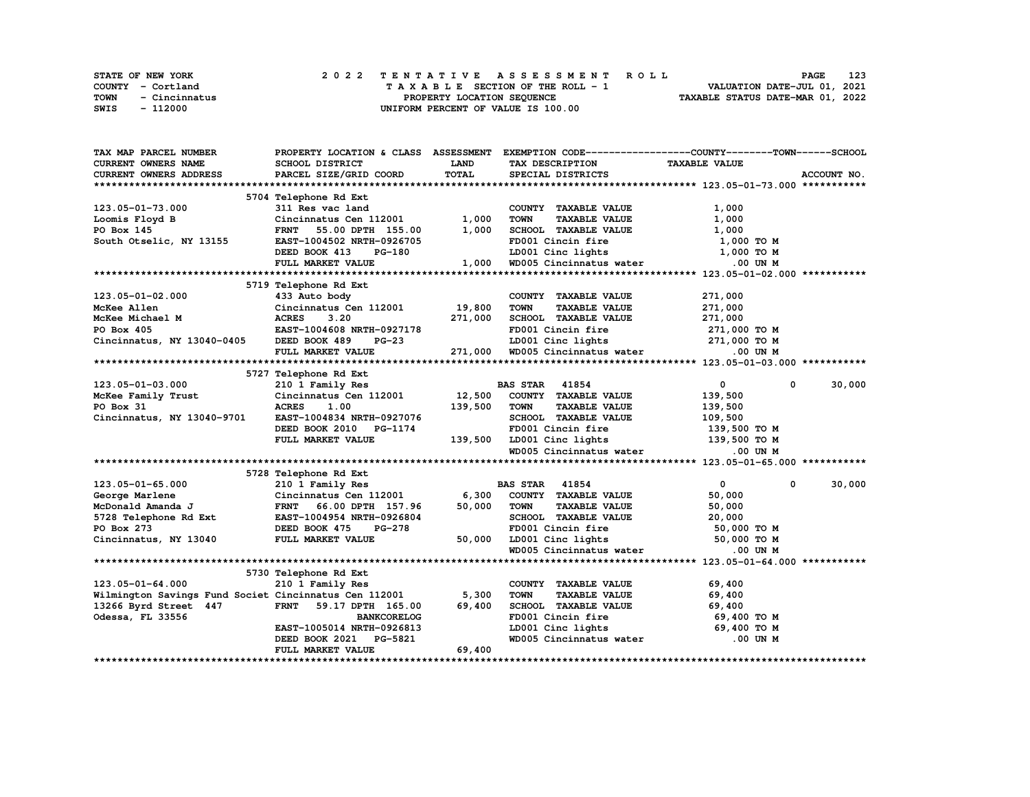|             | <b>STATE OF NEW YORK</b> | 2022 TENTATIVE ASSESSMENT ROLL     | 123<br><b>PAGE</b>               |
|-------------|--------------------------|------------------------------------|----------------------------------|
|             | COUNTY - Cortland        | TAXABLE SECTION OF THE ROLL - 1    | VALUATION DATE-JUL 01, 2021      |
| <b>TOWN</b> | - Cincinnatus            | PROPERTY LOCATION SEQUENCE         | TAXABLE STATUS DATE-MAR 01, 2022 |
| SWIS        | - 112000                 | UNIFORM PERCENT OF VALUE IS 100.00 |                                  |

| TAX MAP PARCEL NUMBER                                                                                                                                                                                                            |                                                    |             | PROPERTY LOCATION & CLASS ASSESSMENT EXEMPTION CODE------------------COUNTY-------TOWN------SCHOOL |                            |             |
|----------------------------------------------------------------------------------------------------------------------------------------------------------------------------------------------------------------------------------|----------------------------------------------------|-------------|----------------------------------------------------------------------------------------------------|----------------------------|-------------|
| CURRENT OWNERS NAME                                                                                                                                                                                                              | SCHOOL DISTRICT                                    | <b>LAND</b> | TAX DESCRIPTION                                                                                    | <b>TAXABLE VALUE</b>       |             |
| <b>CURRENT OWNERS ADDRESS</b>                                                                                                                                                                                                    | PARCEL SIZE/GRID COORD                             | TOTAL       | SPECIAL DISTRICTS                                                                                  |                            | ACCOUNT NO. |
|                                                                                                                                                                                                                                  |                                                    |             |                                                                                                    |                            |             |
|                                                                                                                                                                                                                                  | 5704 Telephone Rd Ext                              |             |                                                                                                    |                            |             |
| 123.05-01-73.000                                                                                                                                                                                                                 | ----phone Kd Ext<br>311 Res vac land               |             | COUNTY TAXABLE VALUE                                                                               | 1,000                      |             |
| Loomis Floyd B                                                                                                                                                                                                                   | Cincinnatus Cen 112001                             | 1,000       | <b>TOWN</b><br><b>TAXABLE VALUE</b>                                                                | 1,000                      |             |
| PO Box 145                                                                                                                                                                                                                       | FRNT 55.00 DPTH 155.00                             | 1,000       | SCHOOL TAXABLE VALUE                                                                               | 1,000                      |             |
| South Otselic, NY 13155                                                                                                                                                                                                          | EAST-1004502 NRTH-0926705                          |             | FD001 Cincin fire                                                                                  | 1,000 TO M                 |             |
|                                                                                                                                                                                                                                  | DEED BOOK 413<br>PG-180                            |             | LD001 Cinc lights                                                                                  | 1,000 TO M                 |             |
|                                                                                                                                                                                                                                  | FULL MARKET VALUE                                  |             | 1,000 WD005 Cincinnatus water                                                                      | .00 UN M                   |             |
|                                                                                                                                                                                                                                  |                                                    |             |                                                                                                    |                            |             |
|                                                                                                                                                                                                                                  | 5719 Telephone Rd Ext                              |             |                                                                                                    |                            |             |
| $123.05 - 01 - 02.000$                                                                                                                                                                                                           | 433 Auto body                                      |             | COUNTY TAXABLE VALUE                                                                               | 271,000                    |             |
| McKee Allen                                                                                                                                                                                                                      | Cincinnatus Cen 112001 19,800                      |             | <b>TOWN</b><br><b>TAXABLE VALUE</b>                                                                | 271,000                    |             |
|                                                                                                                                                                                                                                  |                                                    | 271,000     | SCHOOL TAXABLE VALUE                                                                               | 271,000                    |             |
| MCKee Michael M<br>MCKee Michael M<br>MCKee Michael M<br>MCKee Michael M<br>MCKee Michael M<br>MCKee Michael M<br>MCKee Michael M<br>MCKee Michael M<br>MCKee Michael M<br>MCKee Michael M<br>MCKee Michael M<br>MCKee Michael M |                                                    |             | FD001 Cincin fire                                                                                  | 271,000 TO M               |             |
| Cincinnatus, NY 13040-0405 DEED BOOK 489                                                                                                                                                                                         |                                                    |             |                                                                                                    |                            |             |
|                                                                                                                                                                                                                                  | FULL MARKET VALUE                                  |             | LD001 Cinc lights $271,000$ TO M<br>271,000 WD005 Cincinnatus water $0.00$ UN M                    |                            |             |
|                                                                                                                                                                                                                                  |                                                    |             |                                                                                                    |                            |             |
|                                                                                                                                                                                                                                  | 5727 Telephone Rd Ext                              |             |                                                                                                    |                            |             |
| 123.05-01-03.000                                                                                                                                                                                                                 | 210 1 Family Res                                   |             | <b>BAS STAR</b> 41854                                                                              | $\mathbf{0}$<br>$^{\circ}$ | 30,000      |
|                                                                                                                                                                                                                                  | Cincinnatus Cen 112001 12,500 COUNTY TAXABLE VALUE |             |                                                                                                    | 139,500                    |             |
| McKee Family Trust<br>PO Box 31<br>PO Box 31                                                                                                                                                                                     | <b>ACRES</b><br>1.00                               | 139,500     | TOWN<br><b>TAXABLE VALUE</b>                                                                       | 139,500                    |             |
| Cincinnatus, NY 13040-9701                                                                                                                                                                                                       | EAST-1004834 NRTH-0927076                          |             | SCHOOL TAXABLE VALUE                                                                               | 109,500                    |             |
|                                                                                                                                                                                                                                  | DEED BOOK 2010 PG-1174                             |             | FD001 Cincin fire                                                                                  | 139,500 то м               |             |
|                                                                                                                                                                                                                                  | FULL MARKET VALUE                                  |             | 139,500 LD001 Cinc lights 139,500 TO M                                                             |                            |             |
|                                                                                                                                                                                                                                  |                                                    |             | WD005 Cincinnatus water                                                                            | .00 UN M                   |             |
|                                                                                                                                                                                                                                  |                                                    |             |                                                                                                    |                            |             |
|                                                                                                                                                                                                                                  | 5728 Telephone Rd Ext                              |             |                                                                                                    |                            |             |
| $123.05 - 01 - 65.000$                                                                                                                                                                                                           | 210 1 Family Res                                   |             | <b>BAS STAR 41854</b>                                                                              | $\bullet$<br>$\mathbf 0$   | 30,000      |
| George Marlene                                                                                                                                                                                                                   | Cincinnatus Cen 112001                             | 6,300       | COUNTY TAXABLE VALUE                                                                               | 50,000                     |             |
| McDonald Amanda J                                                                                                                                                                                                                | FRNT 66.00 DPTH 157.96                             | 50,000      | <b>TOWN</b><br><b>TAXABLE VALUE</b>                                                                | 50,000                     |             |
| 5728 Telephone Rd Ext                                                                                                                                                                                                            | EAST-1004954 NRTH-0926804                          |             | SCHOOL TAXABLE VALUE                                                                               | 20,000                     |             |
| PO Box 273                                                                                                                                                                                                                       | DEED BOOK 475<br><b>PG-278</b>                     |             | FD001 Cincin fire                                                                                  | 50,000 TO M                |             |
| Cincinnatus, NY 13040                                                                                                                                                                                                            | FULL MARKET VALUE                                  | 50,000      |                                                                                                    |                            |             |
|                                                                                                                                                                                                                                  |                                                    |             | LD001 Cinc lights 50,000 TO M<br>WD005 Cincinnatus water 0.00 UN M                                 |                            |             |
|                                                                                                                                                                                                                                  |                                                    |             |                                                                                                    |                            |             |
|                                                                                                                                                                                                                                  | 5730 Telephone Rd Ext                              |             |                                                                                                    |                            |             |
| $123.05 - 01 - 64.000$                                                                                                                                                                                                           | 210 1 Family Res                                   |             | COUNTY TAXABLE VALUE                                                                               | 69,400                     |             |
| Wilmington Savings Fund Societ Cincinnatus Cen 112001                                                                                                                                                                            |                                                    | 5,300       | <b>TOWN</b><br><b>TAXABLE VALUE</b>                                                                | 69,400                     |             |
| 13266 Byrd Street 447                                                                                                                                                                                                            | FRNT 59.17 DPTH 165.00                             | 69,400      | SCHOOL TAXABLE VALUE                                                                               | 69,400                     |             |
| Odessa, FL 33556                                                                                                                                                                                                                 | <b>BANKCORELOG</b>                                 |             | FD001 Cincin fire                                                                                  | 69,400 TO M                |             |
|                                                                                                                                                                                                                                  | EAST-1005014 NRTH-0926813                          |             |                                                                                                    | 69,400 TO M                |             |
|                                                                                                                                                                                                                                  | DEED BOOK 2021 PG-5821                             |             | LD001 Cinc lights<br>WD005 Cincinnatus water                                                       | $.00$ UN M                 |             |
|                                                                                                                                                                                                                                  | FULL MARKET VALUE                                  | 69,400      |                                                                                                    |                            |             |
|                                                                                                                                                                                                                                  |                                                    |             |                                                                                                    |                            |             |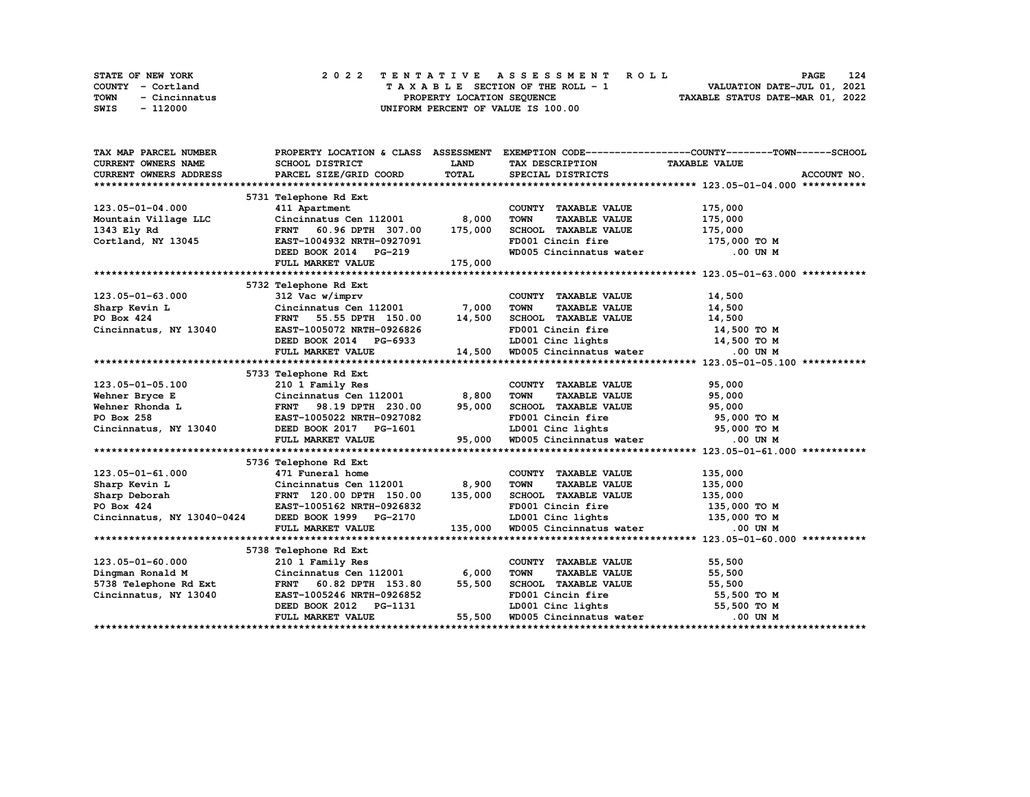| STATE OF NEW YORK     | 2022 TENTATIVE ASSESSMENT ROLL     | 124<br><b>PAGE</b>               |
|-----------------------|------------------------------------|----------------------------------|
| COUNTY - Cortland     | TAXABLE SECTION OF THE ROLL - 1    | VALUATION DATE-JUL 01, 2021      |
| TOWN<br>- Cincinnatus | PROPERTY LOCATION SEQUENCE         | TAXABLE STATUS DATE-MAR 01, 2022 |
| SWIS<br>- 112000      | UNIFORM PERCENT OF VALUE IS 100.00 |                                  |

| TAX MAP PARCEL NUMBER                                                                                                                                                                                                                                                         |                                                                                                                    |              |                                                                                                                             | PROPERTY LOCATION & CLASS ASSESSMENT EXEMPTION CODE-----------------COUNTY-------TOWN-----SCHOOL |
|-------------------------------------------------------------------------------------------------------------------------------------------------------------------------------------------------------------------------------------------------------------------------------|--------------------------------------------------------------------------------------------------------------------|--------------|-----------------------------------------------------------------------------------------------------------------------------|--------------------------------------------------------------------------------------------------|
| <b>CURRENT OWNERS NAME</b>                                                                                                                                                                                                                                                    | SCHOOL DISTRICT                                                                                                    | <b>LAND</b>  | TAX DESCRIPTION TAXABLE VALUE                                                                                               |                                                                                                  |
| CURRENT OWNERS ADDRESS                                                                                                                                                                                                                                                        | PARCEL SIZE/GRID COORD                                                                                             | <b>TOTAL</b> | SPECIAL DISTRICTS                                                                                                           | ACCOUNT NO.                                                                                      |
|                                                                                                                                                                                                                                                                               |                                                                                                                    |              |                                                                                                                             |                                                                                                  |
|                                                                                                                                                                                                                                                                               | 5731 Telephone Rd Ext                                                                                              |              |                                                                                                                             |                                                                                                  |
| 123.05-01-04.000                                                                                                                                                                                                                                                              | 411 Apartment                                                                                                      |              | COUNTY TAXABLE VALUE                                                                                                        | 175,000                                                                                          |
| Mountain Village LLC Cincinnatus Cen 112001 8,000<br>1343 Ely Rd FRNT 60.96 DPTH 307.00 175,000                                                                                                                                                                               |                                                                                                                    |              | <b>TOWN</b><br><b>TAXABLE VALUE</b>                                                                                         |                                                                                                  |
|                                                                                                                                                                                                                                                                               |                                                                                                                    |              | SCHOOL TAXABLE VALUE                                                                                                        | 175,000<br>175,000                                                                               |
| Cortland, NY 13045                                                                                                                                                                                                                                                            | EAST-1004932 NRTH-0927091                                                                                          |              | FD001 Cincin fire 175,000 TO M                                                                                              |                                                                                                  |
|                                                                                                                                                                                                                                                                               | DEED BOOK 2014 PG-219                                                                                              |              | WD005 Cincinnatus water .00 UN M                                                                                            |                                                                                                  |
|                                                                                                                                                                                                                                                                               | FULL MARKET VALUE                                                                                                  | 175,000      |                                                                                                                             |                                                                                                  |
|                                                                                                                                                                                                                                                                               |                                                                                                                    |              |                                                                                                                             |                                                                                                  |
|                                                                                                                                                                                                                                                                               | 5732 Telephone Rd Ext                                                                                              |              |                                                                                                                             |                                                                                                  |
| $123.05 - 01 - 63.000$                                                                                                                                                                                                                                                        |                                                                                                                    |              | COUNTY TAXABLE VALUE                                                                                                        |                                                                                                  |
| Sharp Kevin L                                                                                                                                                                                                                                                                 |                                                                                                                    |              | <b>TOWN</b><br><b>TAXABLE VALUE</b>                                                                                         | 14,500<br>14,500                                                                                 |
| PO Box 424                                                                                                                                                                                                                                                                    |                                                                                                                    |              | SCHOOL TAXABLE VALUE 14,500                                                                                                 |                                                                                                  |
| Cincinnatus, NY 13040                                                                                                                                                                                                                                                         |                                                                                                                    |              |                                                                                                                             |                                                                                                  |
|                                                                                                                                                                                                                                                                               | EAST-1005072 NRTH-0926826<br>DEED BOOK 2014 PG-6933                                                                |              |                                                                                                                             |                                                                                                  |
|                                                                                                                                                                                                                                                                               | FULL MARKET VALUE                                                                                                  |              | 6826 FD001 Cincin fire 14,500 TO M<br>14,500 TO M LD001 Cinc lights 14,500 TO M<br>14,500 WD005 Cincinnatus water 0.00 UN M |                                                                                                  |
|                                                                                                                                                                                                                                                                               |                                                                                                                    |              |                                                                                                                             |                                                                                                  |
|                                                                                                                                                                                                                                                                               | 5733 Telephone Rd Ext                                                                                              |              |                                                                                                                             |                                                                                                  |
| $[5733 \text{ Telephone Rd Ext}$ 123.05-01-05.100<br>Wehner Bryce E<br>Wehner Rhonda L<br>EXEL<br>Cincinnatus Cen 112001<br>EXEL<br>23.00 1201<br>EXEL<br>23.00 95,000<br>PO Box 258<br>EXEL<br>230.00 95,000<br>PO Box 258<br>Cincinnatus, NY 13040<br>DEED BOOK 2017<br>PG- |                                                                                                                    |              | COUNTY TAXABLE VALUE                                                                                                        | 95,000                                                                                           |
|                                                                                                                                                                                                                                                                               |                                                                                                                    |              | TAXABLE VALUE 95,000<br>TOWN                                                                                                |                                                                                                  |
|                                                                                                                                                                                                                                                                               |                                                                                                                    |              |                                                                                                                             | 95,000                                                                                           |
|                                                                                                                                                                                                                                                                               |                                                                                                                    |              | SCHOOL TAXABLE VALUE                                                                                                        | 95,000 TO M                                                                                      |
|                                                                                                                                                                                                                                                                               |                                                                                                                    |              |                                                                                                                             |                                                                                                  |
|                                                                                                                                                                                                                                                                               | FULL MARKET VALUE                                                                                                  |              | 27082 FD001 Cincin fire 55,000 TO M<br>1601 LD001 Cinc lights 95,000 TO M<br>95,000 WD005 Cincinnatus water 0.00 UN M       |                                                                                                  |
|                                                                                                                                                                                                                                                                               |                                                                                                                    |              |                                                                                                                             |                                                                                                  |
|                                                                                                                                                                                                                                                                               |                                                                                                                    |              |                                                                                                                             |                                                                                                  |
| 123.05-01-61.000                                                                                                                                                                                                                                                              | 5736 Telephone Rd Ext<br>471 Funeral home                                                                          |              | COUNTY TAXABLE VALUE                                                                                                        | 135,000                                                                                          |
|                                                                                                                                                                                                                                                                               |                                                                                                                    |              |                                                                                                                             |                                                                                                  |
|                                                                                                                                                                                                                                                                               |                                                                                                                    |              |                                                                                                                             |                                                                                                  |
|                                                                                                                                                                                                                                                                               |                                                                                                                    |              | TOWN TAXABLE VALUE 135,000<br>SCHOOL TAXABLE VALUE 135,000<br>FD001 Cincin fire 135,000 TO M                                |                                                                                                  |
|                                                                                                                                                                                                                                                                               |                                                                                                                    |              |                                                                                                                             |                                                                                                  |
| Cincinnatus, NY 13040-0424 DEED BOOK 1999 PG-2170                                                                                                                                                                                                                             |                                                                                                                    |              | LD001 Cinc lights 135,000 TO M                                                                                              |                                                                                                  |
|                                                                                                                                                                                                                                                                               | FULL MARKET VALUE                                                                                                  |              | 135,000 WD005 Cincinnatus water [135,000 WD005 Cincinnatus water                                                            |                                                                                                  |
|                                                                                                                                                                                                                                                                               |                                                                                                                    |              |                                                                                                                             |                                                                                                  |
|                                                                                                                                                                                                                                                                               | 5738 Telephone Rd Ext                                                                                              |              |                                                                                                                             |                                                                                                  |
|                                                                                                                                                                                                                                                                               |                                                                                                                    |              | COUNTY TAXABLE VALUE                                                                                                        | 55,500                                                                                           |
|                                                                                                                                                                                                                                                                               |                                                                                                                    |              | TOWN TAXABLE VALUE 55,500<br>SCHOOL TAXABLE VALUE 55,500                                                                    |                                                                                                  |
|                                                                                                                                                                                                                                                                               |                                                                                                                    |              |                                                                                                                             |                                                                                                  |
| Cincinnatus, NY 13040                                                                                                                                                                                                                                                         | EAST-1005246 NRTH-0926852                                                                                          |              | FD001 Cincin fire 55,500 TO M                                                                                               |                                                                                                  |
|                                                                                                                                                                                                                                                                               | DEED BOOK 2012 PG-1131 LD001 Cinc lights 55,500 TO M<br>FULL MARKET VALUE 55,500 WD005 Cincinnatus water 0.00 UN M |              |                                                                                                                             |                                                                                                  |
|                                                                                                                                                                                                                                                                               |                                                                                                                    |              |                                                                                                                             |                                                                                                  |
|                                                                                                                                                                                                                                                                               |                                                                                                                    |              |                                                                                                                             |                                                                                                  |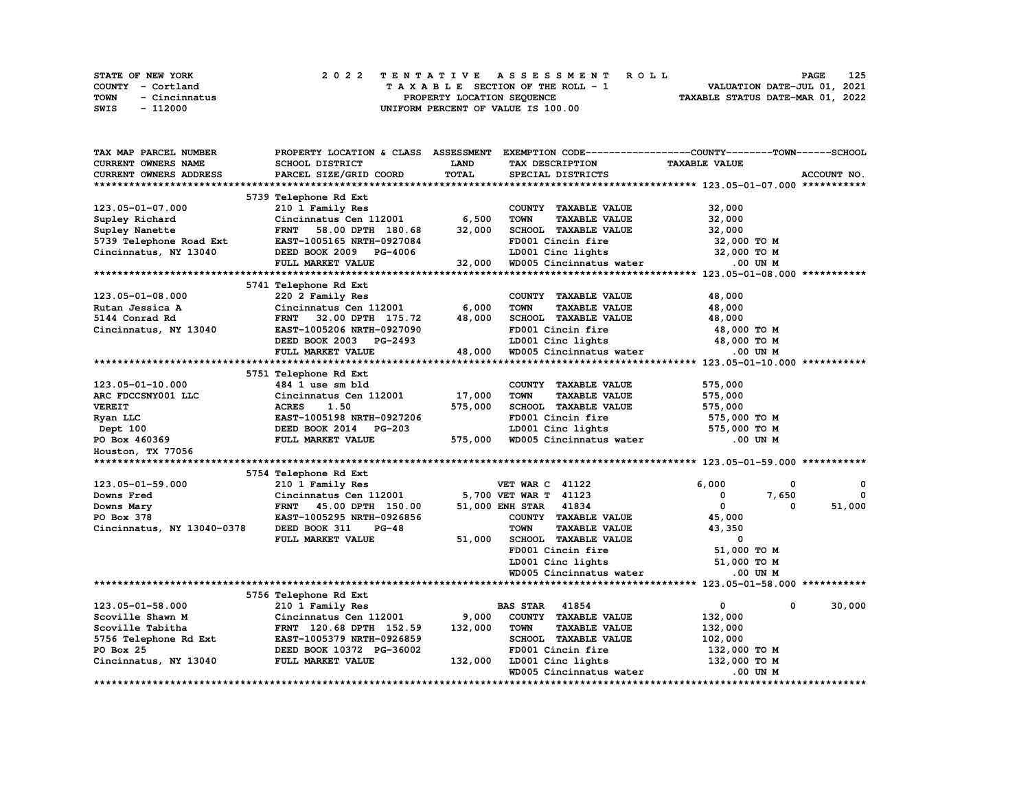|             | STATE OF NEW YORK | 2022 TENTATIVE ASSESSMENT ROLL     | 125<br><b>PAGE</b>               |
|-------------|-------------------|------------------------------------|----------------------------------|
|             | COUNTY - Cortland | TAXABLE SECTION OF THE ROLL - 1    | VALUATION DATE-JUL 01, 2021      |
| <b>TOWN</b> | - Cincinnatus     | PROPERTY LOCATION SEQUENCE         | TAXABLE STATUS DATE-MAR 01, 2022 |
| SWIS        | - 112000          | UNIFORM PERCENT OF VALUE IS 100.00 |                                  |

| TAX MAP PARCEL NUMBER      | PROPERTY LOCATION & CLASS ASSESSMENT |             | EXEMPTION CODE-----------------COUNTY-------TOWN------SCHOOL |                      |             |
|----------------------------|--------------------------------------|-------------|--------------------------------------------------------------|----------------------|-------------|
| CURRENT OWNERS NAME        | SCHOOL DISTRICT                      | <b>LAND</b> | TAX DESCRIPTION                                              | <b>TAXABLE VALUE</b> |             |
| CURRENT OWNERS ADDRESS     | PARCEL SIZE/GRID COORD               | TOTAL       | SPECIAL DISTRICTS                                            |                      | ACCOUNT NO. |
|                            |                                      |             |                                                              |                      |             |
|                            | 5739 Telephone Rd Ext                |             |                                                              |                      |             |
| 123.05-01-07.000           | 210 1 Family Res                     |             | COUNTY TAXABLE VALUE                                         | 32,000               |             |
| Supley Richard             | Cincinnatus Cen 112001               | 6,500       | <b>TOWN</b><br><b>TAXABLE VALUE</b>                          | 32,000               |             |
| Supley Nanette             | <b>FRNT</b><br>58.00 DPTH 180.68     | 32,000      | SCHOOL TAXABLE VALUE                                         | 32,000               |             |
| 5739 Telephone Road Ext    | EAST-1005165 NRTH-0927084            |             | FD001 Cincin fire                                            | 32,000 TO M          |             |
| Cincinnatus, NY 13040      | DEED BOOK 2009<br><b>PG-4006</b>     |             | LD001 Cinc lights                                            | 32,000 TO M          |             |
|                            | FULL MARKET VALUE                    | 32,000      | WD005 Cincinnatus water                                      | $.00$ UN $M$         |             |
|                            |                                      |             |                                                              |                      |             |
|                            |                                      |             |                                                              |                      |             |
|                            | 5741 Telephone Rd Ext                |             |                                                              |                      |             |
| 123.05-01-08.000           | 220 2 Family Res                     |             | COUNTY TAXABLE VALUE                                         | 48,000               |             |
| Rutan Jessica A            | Cincinnatus Cen 112001               | 6,000       | <b>TOWN</b><br><b>TAXABLE VALUE</b>                          | 48,000               |             |
| 5144 Conrad Rd             | 32.00 DPTH 175.72<br><b>FRNT</b>     | 48,000      | SCHOOL TAXABLE VALUE                                         | 48,000               |             |
| Cincinnatus, NY 13040      | EAST-1005206 NRTH-0927090            |             | FD001 Cincin fire                                            | 48,000 TO M          |             |
|                            | DEED BOOK 2003 PG-2493               |             | LD001 Cinc lights                                            | 48,000 TO M          |             |
|                            | FULL MARKET VALUE                    | 48,000      | WD005 Cincinnatus water                                      | .00 UN M             |             |
|                            |                                      |             |                                                              |                      |             |
|                            | 5751 Telephone Rd Ext                |             |                                                              |                      |             |
| 123.05-01-10.000           | 484 1 use sm bld                     |             | COUNTY TAXABLE VALUE                                         | 575,000              |             |
| ARC FDCCSNY001 LLC         | Cincinnatus Cen 112001               | 17,000      | <b>TOWN</b><br><b>TAXABLE VALUE</b>                          | 575,000              |             |
| <b>VEREIT</b>              | <b>ACRES</b><br>1.50                 | 575,000     | SCHOOL TAXABLE VALUE                                         | 575,000              |             |
|                            | EAST-1005198 NRTH-0927206            |             | FD001 Cincin fire                                            | 575,000 TO M         |             |
| Ryan LLC                   |                                      |             |                                                              |                      |             |
| Dept 100                   | DEED BOOK 2014 PG-203                |             | LD001 Cinc lights                                            | 575,000 TO M         |             |
| PO Box 460369              | FULL MARKET VALUE                    | 575,000     | WD005 Cincinnatus water                                      | .00 UN M             |             |
| Houston, TX 77056          |                                      |             |                                                              |                      |             |
|                            |                                      |             |                                                              |                      |             |
|                            | 5754 Telephone Rd Ext                |             |                                                              |                      |             |
| 123.05-01-59.000           | 210 1 Family Res                     |             | <b>VET WAR C 41122</b>                                       | 6,000<br>0           | 0           |
| Downs Fred                 | Cincinnatus Cen 112001               |             | 5,700 VET WAR T 41123                                        | 7,650<br>0           | $\Omega$    |
| Downs Mary                 | FRNT 45.00 DPTH 150.00               |             | 51,000 ENH STAR 41834                                        | 0<br>0               | 51,000      |
| PO Box 378                 | EAST-1005295 NRTH-0926856            |             | COUNTY TAXABLE VALUE                                         | 45,000               |             |
| Cincinnatus, NY 13040-0378 | DEED BOOK 311<br>$PG-48$             |             | <b>TOWN</b><br><b>TAXABLE VALUE</b>                          | 43,350               |             |
|                            | FULL MARKET VALUE                    | 51,000      | SCHOOL TAXABLE VALUE                                         | 0                    |             |
|                            |                                      |             | FD001 Cincin fire                                            | 51,000 TO M          |             |
|                            |                                      |             | LD001 Cinc lights                                            | 51,000 TO M          |             |
|                            |                                      |             | WD005 Cincinnatus water                                      | .00 UN M             |             |
|                            |                                      |             |                                                              |                      |             |
|                            | 5756 Telephone Rd Ext                |             |                                                              |                      |             |
|                            |                                      |             |                                                              | 0                    |             |
| 123.05-01-58.000           | 210 1 Family Res                     |             | 41854<br><b>BAS STAR</b>                                     | 0                    | 30,000      |
| Scoville Shawn M           | Cincinnatus Cen 112001               | 9,000       | COUNTY TAXABLE VALUE                                         | 132,000              |             |
| Scoville Tabitha           | FRNT 120.68 DPTH 152.59              | 132,000     | <b>TOWN</b><br><b>TAXABLE VALUE</b>                          | 132,000              |             |
| 5756 Telephone Rd Ext      | EAST-1005379 NRTH-0926859            |             | <b>SCHOOL TAXABLE VALUE</b>                                  | 102,000              |             |
| PO Box 25                  | DEED BOOK 10372 PG-36002             |             | FD001 Cincin fire                                            | 132,000 TO M         |             |
| Cincinnatus, NY 13040      | FULL MARKET VALUE                    | 132,000     | LD001 Cinc lights                                            | 132,000 TO M         |             |
|                            |                                      |             | WD005 Cincinnatus water                                      | .00 UN M             |             |
|                            |                                      |             |                                                              |                      |             |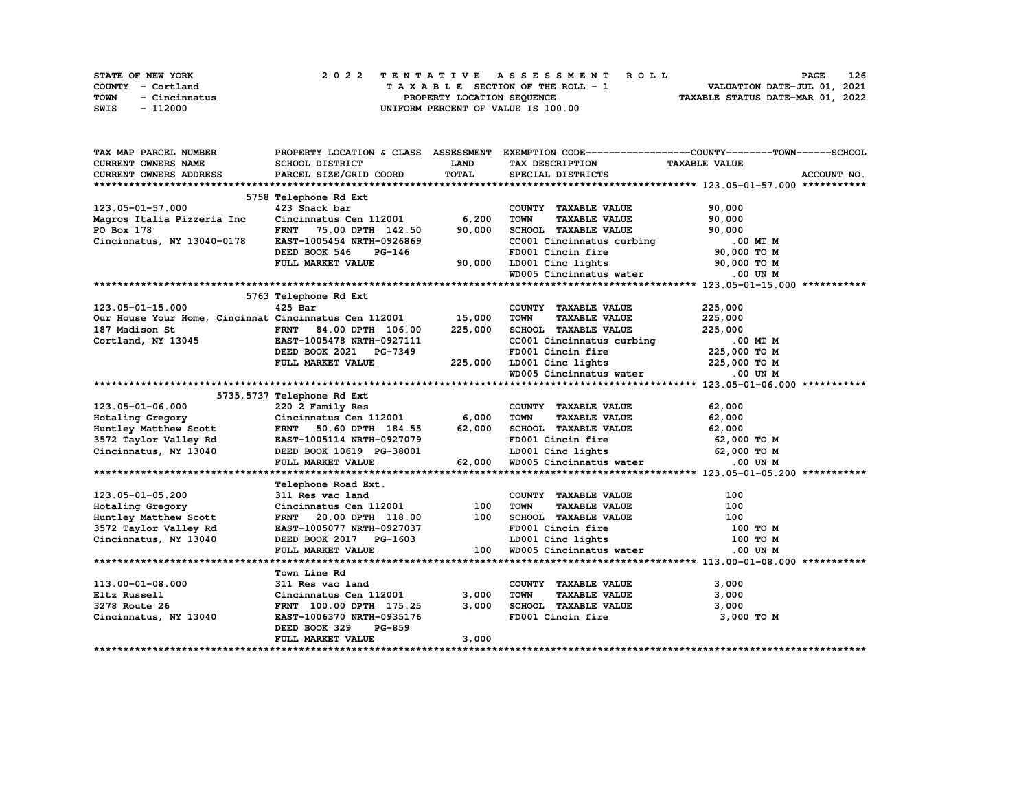| STATE OF NEW YORK |               |  |  |  |  |                                    |  |  |  |  | 2022 TENTATIVE ASSESSMENT ROLL |                                  |  | <b>PAGE</b>                 | 126 |
|-------------------|---------------|--|--|--|--|------------------------------------|--|--|--|--|--------------------------------|----------------------------------|--|-----------------------------|-----|
| COUNTY - Cortland |               |  |  |  |  | TAXABLE SECTION OF THE ROLL - 1    |  |  |  |  |                                |                                  |  | VALUATION DATE-JUL 01, 2021 |     |
| TOWN              | - Cincinnatus |  |  |  |  | PROPERTY LOCATION SEQUENCE         |  |  |  |  |                                | TAXABLE STATUS DATE-MAR 01, 2022 |  |                             |     |
| SWIS              | - 112000      |  |  |  |  | UNIFORM PERCENT OF VALUE IS 100.00 |  |  |  |  |                                |                                  |  |                             |     |

| TAX MAP PARCEL NUMBER                                                                                                                 |                                                  |         |                                                                       | PROPERTY LOCATION & CLASS ASSESSMENT EXEMPTION CODE----------------COUNTY-------TOWN-----SCHOOL |
|---------------------------------------------------------------------------------------------------------------------------------------|--------------------------------------------------|---------|-----------------------------------------------------------------------|-------------------------------------------------------------------------------------------------|
| <b>CURRENT OWNERS NAME</b>                                                                                                            | <b>SCHOOL DISTRICT</b>                           | LAND    | TAX DESCRIPTION                                                       | <b>TAXABLE VALUE</b>                                                                            |
| <b>CURRENT OWNERS ADDRESS</b>                                                                                                         | PARCEL SIZE/GRID COORD                           | TOTAL   | SPECIAL DISTRICTS                                                     | ACCOUNT NO.                                                                                     |
|                                                                                                                                       |                                                  |         |                                                                       |                                                                                                 |
|                                                                                                                                       | 5758 Telephone Rd Ext                            |         |                                                                       |                                                                                                 |
| 123.05-01-57.000                                                                                                                      | 423 Snack bar                                    |         | COUNTY TAXABLE VALUE                                                  | 90,000                                                                                          |
| Magros Italia Pizzeria Inc                                                                                                            | Cincinnatus Cen 112001 6,200                     |         | <b>TOWN</b><br><b>TAXABLE VALUE</b>                                   | 90,000                                                                                          |
| PO Box 178                                                                                                                            | FRNT 75.00 DPTH 142.50                           | 90,000  | SCHOOL TAXABLE VALUE                                                  | 90,000                                                                                          |
| Cincinnatus, NY 13040-0178                                                                                                            | EAST-1005454 NRTH-0926869                        |         |                                                                       |                                                                                                 |
|                                                                                                                                       | DEED BOOK 546<br>PG-146                          |         | CC001 Cincinnatus curbing $100$ MT M<br>FD001 Cincin fire 90,000 TO M |                                                                                                 |
|                                                                                                                                       | FULL MARKET VALUE                                |         |                                                                       |                                                                                                 |
|                                                                                                                                       |                                                  | 90,000  | LD001 Cinc lights<br>WD005 Cincinnatus water 000 UN M                 |                                                                                                 |
|                                                                                                                                       |                                                  |         |                                                                       |                                                                                                 |
|                                                                                                                                       | 5763 Telephone Rd Ext                            |         |                                                                       |                                                                                                 |
| 123.05-01-15.000                                                                                                                      | $425$ Bar                                        |         | COUNTY TAXABLE VALUE                                                  | 225,000                                                                                         |
| Our House Your Home, Cincinnat Cincinnatus Cen 112001 15,000                                                                          |                                                  |         | <b>TAXABLE VALUE</b><br><b>TOWN</b>                                   | 225,000                                                                                         |
|                                                                                                                                       | FRNT 84.00 DPTH 106.00                           | 225,000 | SCHOOL TAXABLE VALUE                                                  | 225,000                                                                                         |
| 187 Madison St                           FRNT     84.00 DPTH   106.00<br>Cortland, NY 13045                 EAST-1005478 NRTH-0927111 |                                                  |         | CCOOl Cincinnatus curbing .00 MT M<br>FD001 Cincin fire 225,000 TO M  |                                                                                                 |
|                                                                                                                                       | DEED BOOK 2021 PG-7349                           |         |                                                                       |                                                                                                 |
|                                                                                                                                       | FULL MARKET VALUE                                | 225,000 |                                                                       | 225,000 TO M                                                                                    |
|                                                                                                                                       |                                                  |         | FD001 Cincin fire<br>LD001 Cinc lights<br>WD005 Cincinnatus water     | $.00$ UN $M$                                                                                    |
|                                                                                                                                       |                                                  |         |                                                                       |                                                                                                 |
|                                                                                                                                       | 5735, 5737 Telephone Rd Ext                      |         |                                                                       |                                                                                                 |
| 123.05-01-06.000                                                                                                                      |                                                  |         | COUNTY TAXABLE VALUE                                                  | 62,000                                                                                          |
|                                                                                                                                       | 220 2 Family Res<br>Cincinnatus Cen 112001 6,000 |         | TOWN<br><b>TAXABLE VALUE</b>                                          | 62,000                                                                                          |
| Hotaling Gregory<br>Huntley Matthew Scott                                                                                             | FRNT 50.60 DPTH 184.55 62,000                    |         | SCHOOL TAXABLE VALUE 62,000                                           |                                                                                                 |
|                                                                                                                                       |                                                  |         | FD001 Cincin fire                                                     | 62,000 TO M                                                                                     |
|                                                                                                                                       |                                                  |         |                                                                       | 62,000 TO M                                                                                     |
|                                                                                                                                       | FULL MARKET VALUE                                | 62,000  | LD001 Cinc lights 62,000 TO M<br>WD005 Cincinnatus water .00 UN M     |                                                                                                 |
|                                                                                                                                       |                                                  |         |                                                                       |                                                                                                 |
|                                                                                                                                       | Telephone Road Ext.                              |         |                                                                       |                                                                                                 |
| 123.05-01-05.200                                                                                                                      | 311 Res vac land                                 |         | COUNTY TAXABLE VALUE                                                  | 100                                                                                             |
| Hotaling Gregory                                                                                                                      | Cincinnatus Cen 112001                           | 100     | <b>TOWN</b><br>TAXABLE VALUE                                          | 100                                                                                             |
| Huntley Matthew Scott                                                                                                                 | FRNT 20.00 DPTH 118.00                           | 100     | SCHOOL TAXABLE VALUE                                                  | 100                                                                                             |
| 3572 Taylor Valley Rd                                                                                                                 | EAST-1005077 NRTH-0927037                        |         | FD001 Cincin fire                                                     | 100 то м                                                                                        |
| Cincinnatus, NY 13040                                                                                                                 | DEED BOOK 2017 PG-1603                           |         |                                                                       | 100 TO M                                                                                        |
|                                                                                                                                       | FULL MARKET VALUE                                | 100     |                                                                       | .00 UN M                                                                                        |
|                                                                                                                                       |                                                  |         |                                                                       |                                                                                                 |
|                                                                                                                                       | Town Line Rd                                     |         |                                                                       |                                                                                                 |
| 113.00-01-08.000                                                                                                                      | 311 Res vac land                                 |         | COUNTY TAXABLE VALUE                                                  | 3,000                                                                                           |
| Eltz Russell                                                                                                                          | Cincinnatus Cen 112001                           | 3,000   | <b>TOWN</b><br>TAXABLE VALUE                                          | 3,000                                                                                           |
| 3278 Route 26                                                                                                                         | FRNT 100.00 DPTH 175.25                          | 3,000   |                                                                       | 3,000                                                                                           |
| Cincinnatus, NY 13040                                                                                                                 | EAST-1006370 NRTH-0935176                        |         | SCHOOL TAXABLE VALUE<br>FD001 Cincin fire                             | 3,000 TO M                                                                                      |
|                                                                                                                                       | DEED BOOK 329<br>PG-859                          |         |                                                                       |                                                                                                 |
|                                                                                                                                       | FULL MARKET VALUE                                | 3,000   |                                                                       |                                                                                                 |
|                                                                                                                                       |                                                  |         |                                                                       |                                                                                                 |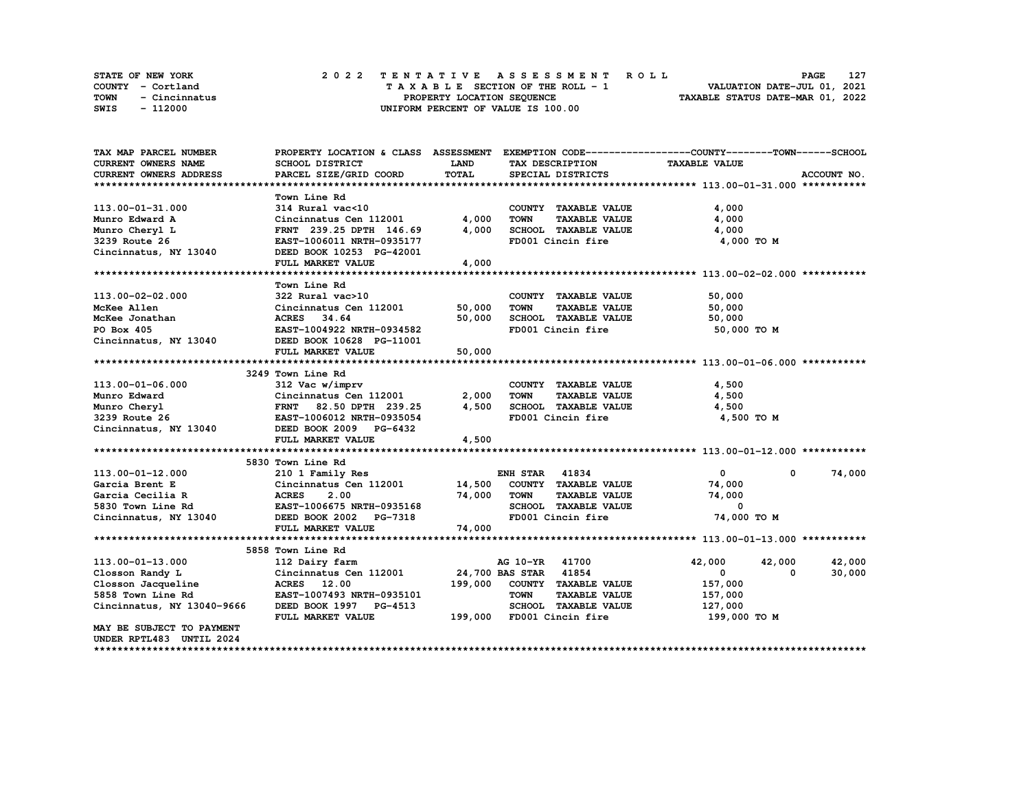| <b>STATE OF NEW YORK</b> | 2022 TENTATIVE ASSESSMENT ROLL     | 127<br>PAGE                      |
|--------------------------|------------------------------------|----------------------------------|
| COUNTY - Cortland        | TAXABLE SECTION OF THE ROLL - 1    | VALUATION DATE-JUL 01, 2021      |
| TOWN<br>- Cincinnatus    | PROPERTY LOCATION SEOUENCE         | TAXABLE STATUS DATE-MAR 01, 2022 |
| SWIS<br>- 112000         | UNIFORM PERCENT OF VALUE IS 100.00 |                                  |

| TAX MAP PARCEL NUMBER                                                                                                                                                                | PROPERTY LOCATION & CLASS ASSESSMENT         |             |                                     | EXEMPTION CODE-----------------COUNTY-------TOWN------SCHOOL |             |
|--------------------------------------------------------------------------------------------------------------------------------------------------------------------------------------|----------------------------------------------|-------------|-------------------------------------|--------------------------------------------------------------|-------------|
| <b>CURRENT OWNERS NAME</b>                                                                                                                                                           | <b>SCHOOL DISTRICT</b>                       | <b>LAND</b> | TAX DESCRIPTION                     | <b>TAXABLE VALUE</b>                                         |             |
| CURRENT OWNERS ADDRESS                                                                                                                                                               | PARCEL SIZE/GRID COORD                       | TOTAL       | SPECIAL DISTRICTS                   |                                                              | ACCOUNT NO. |
|                                                                                                                                                                                      |                                              |             |                                     |                                                              |             |
|                                                                                                                                                                                      | Town Line Rd                                 |             |                                     |                                                              |             |
| 113.00-01-31.000                                                                                                                                                                     | $314$ Rural vac<10                           |             | COUNTY TAXABLE VALUE                | 4,000                                                        |             |
| Munro Edward A                                                                                                                                                                       | Cincinnatus Cen 112001                       | 4,000       | <b>TOWN</b><br><b>TAXABLE VALUE</b> | 4,000                                                        |             |
| Munro Cheryl L                                                                                                                                                                       | FRNT 239.25 DPTH 146.69                      | 4,000       | SCHOOL TAXABLE VALUE                | 4,000                                                        |             |
| 3239 Route 26                                                                                                                                                                        | EAST-1006011 NRTH-0935177                    |             | FD001 Cincin fire                   | 4,000 TO M                                                   |             |
| Cincinnatus, NY 13040                                                                                                                                                                | DEED BOOK 10253 PG-42001                     |             |                                     |                                                              |             |
|                                                                                                                                                                                      | FULL MARKET VALUE                            | 4,000       |                                     |                                                              |             |
|                                                                                                                                                                                      |                                              |             |                                     |                                                              |             |
|                                                                                                                                                                                      | Town Line Rd                                 |             |                                     |                                                              |             |
| 113.00-02-02.000                                                                                                                                                                     | 322 Rural vac>10                             |             | COUNTY TAXABLE VALUE                | 50,000                                                       |             |
| McKee Allen                                                                                                                                                                          | Cincinnatus Cen 112001                       | 50,000      | <b>TOWN</b><br><b>TAXABLE VALUE</b> | 50,000                                                       |             |
| McKee Jonathan                                                                                                                                                                       | ACRES 34.64                                  | 50,000      | SCHOOL TAXABLE VALUE                | 50,000                                                       |             |
| PO Box 405                                                                                                                                                                           | EAST-1004922 NRTH-0934582                    |             | FD001 Cincin fire                   | 50,000 TO M                                                  |             |
| Cincinnatus, NY 13040                                                                                                                                                                | DEED BOOK 10628 PG-11001                     |             |                                     |                                                              |             |
|                                                                                                                                                                                      | FULL MARKET VALUE                            | 50,000      |                                     |                                                              |             |
|                                                                                                                                                                                      |                                              |             |                                     |                                                              |             |
|                                                                                                                                                                                      | 3249 Town Line Rd                            |             |                                     |                                                              |             |
| 113.00-01-06.000                                                                                                                                                                     | 312 Vac w/imprv                              |             | COUNTY TAXABLE VALUE                | 4,500                                                        |             |
| 312 vac W/1mprv<br>Munro Edward Christmatus Center<br>Munro Cheryl ERNT 82.50 DPTH 239.25<br>3239 Route 26 EAST-1006012 NRTH-0935054<br>Cincinnatus, NY 13040 DEED BOOK 2009 PG-6432 | Cincinnatus Cen 112001                       | 2,000       | <b>TOWN</b><br><b>TAXABLE VALUE</b> | 4,500                                                        |             |
|                                                                                                                                                                                      | FRNT 82.50 DPTH 239.25                       | 4,500       | SCHOOL TAXABLE VALUE                | 4,500                                                        |             |
|                                                                                                                                                                                      | EAST-1006012 NRTH-0935054                    |             | FD001 Cincin fire                   | 4,500 TO M                                                   |             |
|                                                                                                                                                                                      |                                              |             |                                     |                                                              |             |
|                                                                                                                                                                                      | FULL MARKET VALUE                            | 4,500       |                                     |                                                              |             |
|                                                                                                                                                                                      |                                              |             |                                     |                                                              |             |
|                                                                                                                                                                                      | 5830 Town Line Rd                            |             |                                     |                                                              |             |
| 113.00-01-12.000                                                                                                                                                                     | 210 1 Family Res                             |             | <b>ENH STAR 41834</b>               | $\mathbf{0}$<br>$^{\circ}$                                   | 74,000      |
| Garcia Brent E                                                                                                                                                                       |                                              |             |                                     | 74,000                                                       |             |
| <b>ACRES</b><br>EAST-1<br>Garcia Cecilia R                                                                                                                                           | 2.00                                         | 74,000      | <b>TOWN</b><br><b>TAXABLE VALUE</b> | 74,000                                                       |             |
|                                                                                                                                                                                      | EAST-1006675 NRTH-0935168                    |             | SCHOOL TAXABLE VALUE                | $\Omega$                                                     |             |
| Cost Town Line Rd<br>Cincinnatus, NY 13040                                                                                                                                           | DEED BOOK 2002 PG-7318                       |             | FD001 Cincin fire                   | 74,000 TO M                                                  |             |
|                                                                                                                                                                                      | FULL MARKET VALUE                            | 74,000      |                                     |                                                              |             |
|                                                                                                                                                                                      |                                              |             |                                     |                                                              |             |
|                                                                                                                                                                                      | 5858 Town Line Rd                            |             |                                     |                                                              |             |
| 113.00-01-13.000                                                                                                                                                                     | 112 Dairy farm                               |             | AG 10-YR 41700                      | 42,000<br>42,000                                             | 42,000      |
| Closson Randy L                                                                                                                                                                      | Cincinnatus Cen 112001 24,700 BAS STAR 41854 |             |                                     | 0<br>0                                                       | 30,000      |
| Closson Jacqueline                                                                                                                                                                   | ACRES 12.00                                  | 199,000     | COUNTY TAXABLE VALUE                | 157,000                                                      |             |
| 5858 Town Line Rd                                                                                                                                                                    | EAST-1007493 NRTH-0935101                    |             | <b>TOWN</b><br><b>TAXABLE VALUE</b> | 157,000                                                      |             |
| Cincinnatus, NY 13040-9666                                                                                                                                                           | DEED BOOK 1997 PG-4513                       |             | SCHOOL TAXABLE VALUE                | 127,000                                                      |             |
|                                                                                                                                                                                      | FULL MARKET VALUE                            |             | 199,000 FD001 Cincin fire           | 199,000 то м                                                 |             |
| MAY BE SUBJECT TO PAYMENT                                                                                                                                                            |                                              |             |                                     |                                                              |             |
| UNDER RPTL483 UNTIL 2024                                                                                                                                                             |                                              |             |                                     |                                                              |             |
|                                                                                                                                                                                      |                                              |             |                                     |                                                              |             |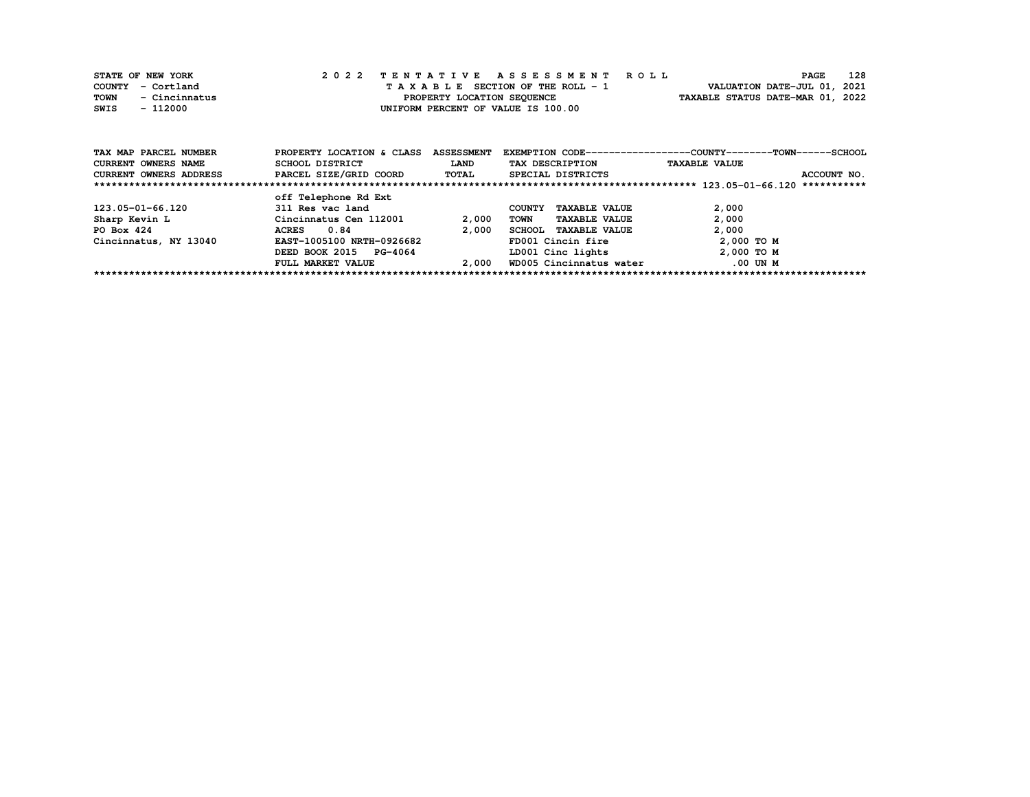| STATE OF NEW YORK     | 2022 TENTATIVE ASSESSMENT ROLL     | 128<br><b>PAGE</b>               |
|-----------------------|------------------------------------|----------------------------------|
| COUNTY - Cortland     | TAXABLE SECTION OF THE ROLL - 1    | VALUATION DATE-JUL 01, 2021      |
| TOWN<br>- Cincinnatus | PROPERTY LOCATION SEOUENCE         | TAXABLE STATUS DATE-MAR 01, 2022 |
| SWIS<br>- 112000      | UNIFORM PERCENT OF VALUE IS 100.00 |                                  |

| TAX MAP PARCEL NUMBER      | PROPERTY LOCATION & CLASS | <b>ASSESSMENT</b> |                                       | EXEMPTION CODE-----------------COUNTY-------TOWN------SCHOOL |
|----------------------------|---------------------------|-------------------|---------------------------------------|--------------------------------------------------------------|
| <b>CURRENT OWNERS NAME</b> | SCHOOL DISTRICT           | <b>LAND</b>       | TAX DESCRIPTION                       | <b>TAXABLE VALUE</b>                                         |
| CURRENT OWNERS ADDRESS     | PARCEL SIZE/GRID COORD    | <b>TOTAL</b>      | SPECIAL DISTRICTS                     | ACCOUNT NO.                                                  |
|                            |                           |                   |                                       | ***********                                                  |
|                            | off Telephone Rd Ext      |                   |                                       |                                                              |
| 123.05-01-66.120           | 311 Res vac land          |                   | <b>TAXABLE VALUE</b><br><b>COUNTY</b> | 2,000                                                        |
| Sharp Kevin L              | Cincinnatus Cen 112001    | 2,000             | TOWN<br><b>TAXABLE VALUE</b>          | 2,000                                                        |
| PO Box 424                 | 0.84<br><b>ACRES</b>      | 2,000             | <b>TAXABLE VALUE</b><br><b>SCHOOL</b> | 2,000                                                        |
| Cincinnatus, NY 13040      | EAST-1005100 NRTH-0926682 |                   | FD001 Cincin fire                     | $2,000$ TO M                                                 |
|                            | DEED BOOK 2015<br>PG-4064 |                   | LD001 Cinc lights                     | $2,000$ TO M                                                 |
|                            | FULL MARKET VALUE         | 2,000             | WD005 Cincinnatus water               | .00 UN M                                                     |
|                            |                           |                   |                                       |                                                              |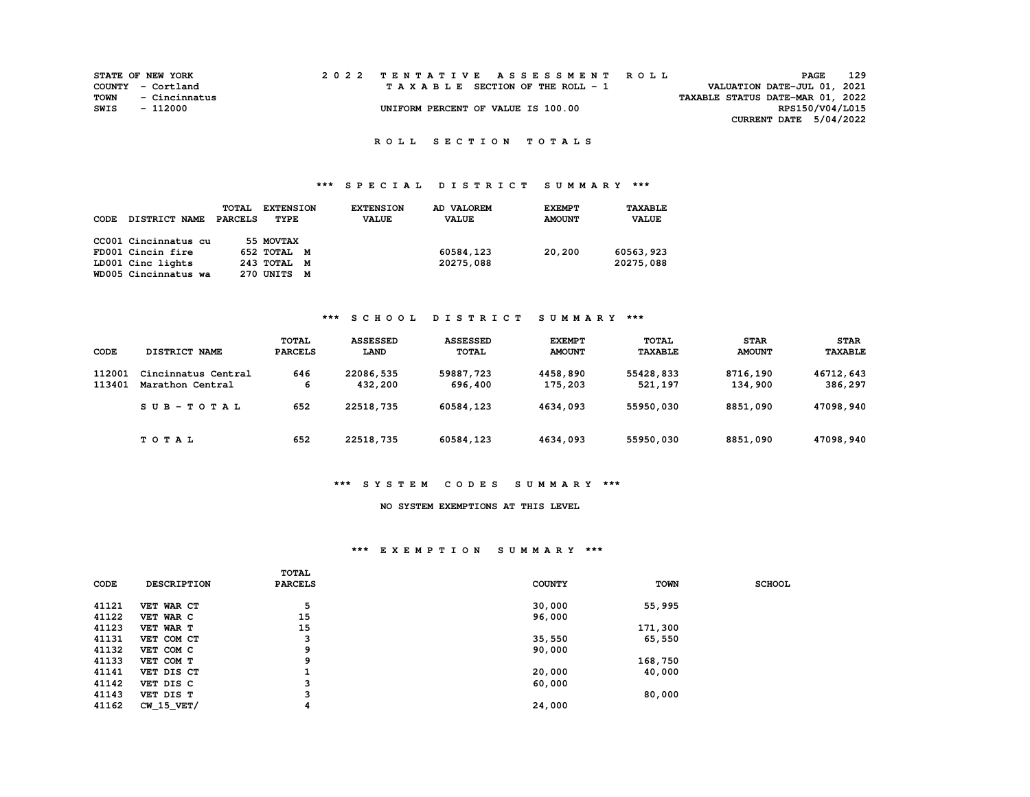|      | <b>STATE OF NEW YORK</b> |  | 2022 TENTATIVE ASSESSMENT ROLL     |                                  | <b>PAGE</b>     | 129 |
|------|--------------------------|--|------------------------------------|----------------------------------|-----------------|-----|
|      | COUNTY - Cortland        |  | TAXABLE SECTION OF THE ROLL - 1    | VALUATION DATE-JUL 01, 2021      |                 |     |
| TOWN | - Cincinnatus            |  |                                    | TAXABLE STATUS DATE-MAR 01, 2022 |                 |     |
| SWIS | - 112000                 |  | UNIFORM PERCENT OF VALUE IS 100.00 |                                  | RPS150/V04/L015 |     |
|      |                          |  |                                    | CURRENT DATE 5/04/2022           |                 |     |

## **\*\*\* S P E C I A L D I S T R I C T S U M M A R Y \*\*\***

| CODE | DISTRICT NAME        | TOTAL<br><b>PARCELS</b> | <b>EXTENSION</b><br>TYPE | <b>EXTENSION</b><br><b>VALUE</b> | AD VALOREM<br><b>VALUE</b> | <b>EXEMPT</b><br><b>AMOUNT</b> | TAXABLE<br><b>VALUE</b> |
|------|----------------------|-------------------------|--------------------------|----------------------------------|----------------------------|--------------------------------|-------------------------|
|      | CC001 Cincinnatus cu |                         | 55 MOVTAX                |                                  |                            |                                |                         |
|      | FD001 Cincin fire    |                         | 652 TOTAL M              |                                  | 60584,123                  | 20,200                         | 60563,923               |
|      | LD001 Cinc lights    |                         | 243 TOTAL M              |                                  | 20275,088                  |                                | 20275,088               |
|      | WD005 Cincinnatus wa |                         | 270 UNITS<br>M           |                                  |                            |                                |                         |

### **\*\*\* S C H O O L D I S T R I C T S U M M A R Y \*\*\***

| CODE             | DISTRICT NAME                           | <b>TOTAL</b><br><b>PARCELS</b> | <b>ASSESSED</b><br>LAND | <b>ASSESSED</b><br><b>TOTAL</b> | <b>EXEMPT</b><br><b>AMOUNT</b> | <b>TOTAL</b><br><b>TAXABLE</b> | <b>STAR</b><br><b>AMOUNT</b> | <b>STAR</b><br><b>TAXABLE</b> |
|------------------|-----------------------------------------|--------------------------------|-------------------------|---------------------------------|--------------------------------|--------------------------------|------------------------------|-------------------------------|
| 112001<br>113401 | Cincinnatus Central<br>Marathon Central | 646<br>6                       | 22086,535<br>432,200    | 59887,723<br>696,400            | 4458,890<br>175,203            | 55428,833<br>521,197           | 8716,190<br>134,900          | 46712,643<br>386,297          |
|                  | $SUB-TOTAL$                             | 652                            | 22518,735               | 60584,123                       | 4634,093                       | 55950,030                      | 8851,090                     | 47098,940                     |
|                  | TOTAL                                   | 652                            | 22518,735               | 60584,123                       | 4634,093                       | 55950,030                      | 8851,090                     | 47098,940                     |

#### **\*\*\* S Y S T E M C O D E S S U M M A R Y \*\*\***

### **NO SYSTEM EXEMPTIONS AT THIS LEVEL**

#### **\*\*\* E X E M P T I O N S U M M A R Y \*\*\***

|       |                    | <b>TOTAL</b>   |               |             |               |
|-------|--------------------|----------------|---------------|-------------|---------------|
| CODE  | <b>DESCRIPTION</b> | <b>PARCELS</b> | <b>COUNTY</b> | <b>TOWN</b> | <b>SCHOOL</b> |
|       |                    |                |               |             |               |
| 41121 | VET WAR CT         | 5              | 30,000        | 55,995      |               |
| 41122 | VET WAR C          | 15             | 96,000        |             |               |
| 41123 | VET WAR T          | 15             |               | 171,300     |               |
| 41131 | VET COM CT         | 3              | 35,550        | 65,550      |               |
| 41132 | VET COM C          | 9              | 90,000        |             |               |
| 41133 | VET COM T          | 9              |               | 168,750     |               |
| 41141 | VET DIS CT         |                | 20,000        | 40,000      |               |
| 41142 | VET DIS C          | 3              | 60,000        |             |               |
| 41143 | VET DIS T          | 3              |               | 80,000      |               |
| 41162 | $CW$ 15 $VET/$     | 4              | 24,000        |             |               |
|       |                    |                |               |             |               |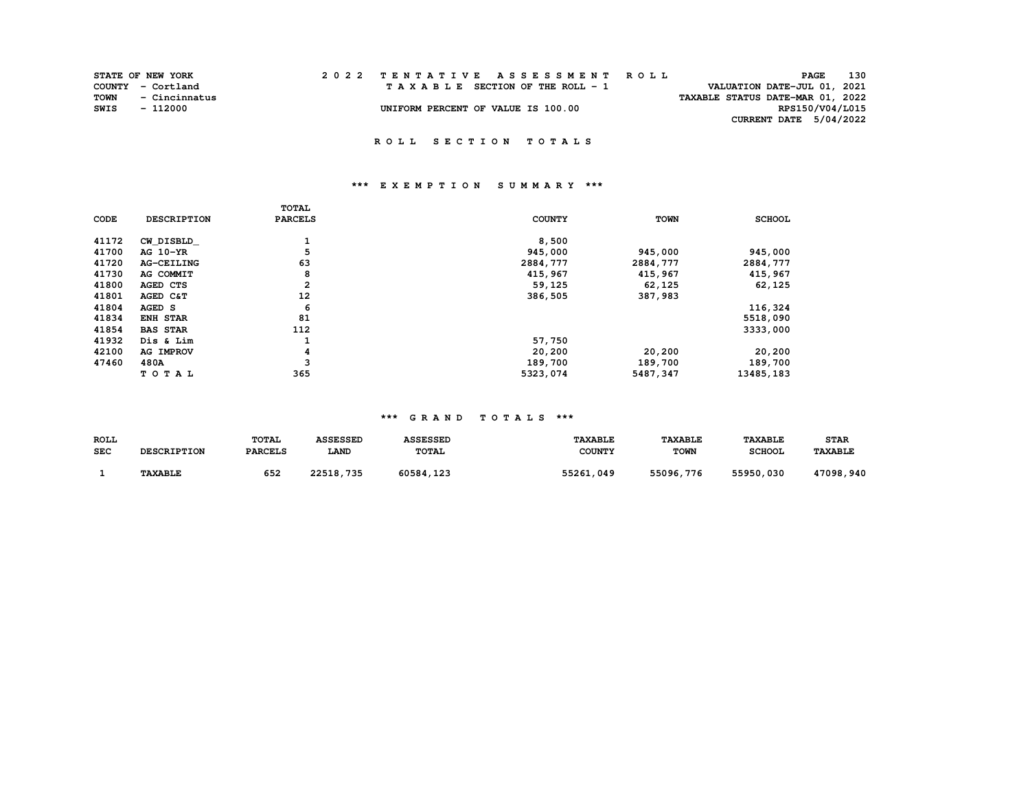|      | <b>STATE OF NEW YORK</b> |  | 2022 TENTATIVE ASSESSMENT ROLL     |                                  | PAGE                   | 130 |
|------|--------------------------|--|------------------------------------|----------------------------------|------------------------|-----|
|      | COUNTY - Cortland        |  | TAXABLE SECTION OF THE ROLL - 1    | VALUATION DATE-JUL 01, 2021      |                        |     |
| TOWN | - Cincinnatus            |  |                                    | TAXABLE STATUS DATE-MAR 01, 2022 |                        |     |
| SWIS | - 112000                 |  | UNIFORM PERCENT OF VALUE IS 100.00 |                                  | RPS150/V04/L015        |     |
|      |                          |  |                                    |                                  | CURRENT DATE 5/04/2022 |     |
|      |                          |  |                                    |                                  |                        |     |

### **\*\*\* E X E M P T I O N S U M M A R Y \*\*\***

| CODE  | <b>DESCRIPTION</b> | TOTAL<br><b>PARCELS</b> | <b>COUNTY</b> | <b>TOWN</b> | <b>SCHOOL</b> |
|-------|--------------------|-------------------------|---------------|-------------|---------------|
| 41172 | CW DISBLD          | <b>L</b>                | 8,500         |             |               |
| 41700 | AG 10-YR           | 5                       | 945,000       | 945,000     | 945,000       |
| 41720 | <b>AG-CEILING</b>  | 63                      | 2884,777      | 2884,777    | 2884,777      |
| 41730 | AG COMMIT          | 8                       | 415,967       | 415,967     | 415,967       |
| 41800 | AGED CTS           | $\overline{\mathbf{2}}$ | 59,125        | 62,125      | 62,125        |
| 41801 | AGED C&T           | 12                      | 386,505       | 387,983     |               |
| 41804 | AGED S             | 6                       |               |             | 116,324       |
| 41834 | <b>ENH STAR</b>    | 81                      |               |             | 5518,090      |
| 41854 | <b>BAS STAR</b>    | 112                     |               |             | 3333,000      |
| 41932 | Dis & Lim          |                         | 57,750        |             |               |
| 42100 | <b>AG IMPROV</b>   | 4                       | 20,200        | 20,200      | 20,200        |
| 47460 | 480A               | 3                       | 189,700       | 189,700     | 189,700       |
|       | TOTAL              | 365                     | 5323,074      | 5487,347    | 13485,183     |

## **\*\*\* G R A N D T O T A L S \*\*\***

| ROLL | <b>DESCRIPTION</b> | TOTAL          | <b>ASSESSED</b> | <b>ASSESSED</b> | <b><i>TAXABLE</i></b> | <b>TAXABLE</b> | <b><i>TAXABLE</i></b> | <b>STAR</b> |
|------|--------------------|----------------|-----------------|-----------------|-----------------------|----------------|-----------------------|-------------|
| SEC  |                    | <b>PARCELS</b> | LAND            | <b>TOTAL</b>    | <b>COUNTY</b>         | <b>TOWN</b>    | <b>SCHOOL</b>         | TAXABLE     |
|      | <b>TAXABLE</b>     | 652            | 22518,735       | 60584,123       | 55261,049             | 55096,776      | 55950,030             | 47098,940   |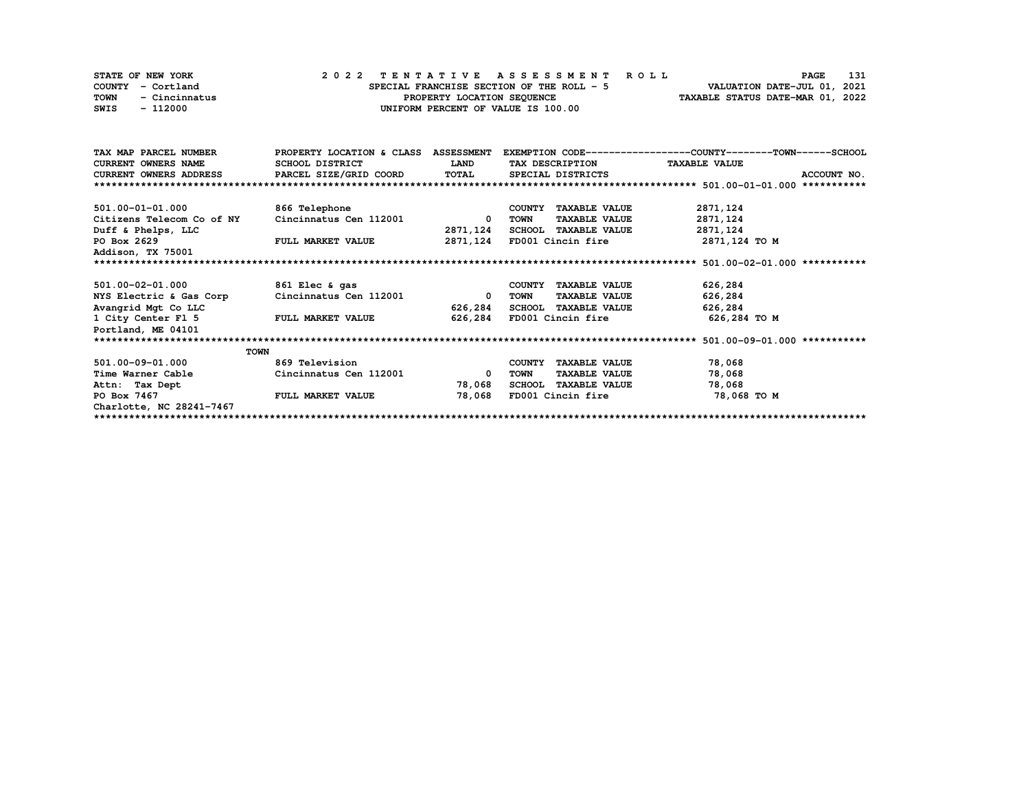| STATE OF NEW YORK     | 2022 TENTATIVE ASSESSMENT ROLL            | 131<br><b>PAGE</b>               |
|-----------------------|-------------------------------------------|----------------------------------|
| COUNTY - Cortland     | SPECIAL FRANCHISE SECTION OF THE ROLL - 5 | VALUATION DATE-JUL 01, 2021      |
| TOWN<br>- Cincinnatus | PROPERTY LOCATION SEQUENCE                | TAXABLE STATUS DATE-MAR 01, 2022 |
| SWIS<br>- 112000      | UNIFORM PERCENT OF VALUE IS 100.00        |                                  |

| TAX MAP PARCEL NUMBER                | PROPERTY LOCATION & CLASS ASSESSMENT |              |                                | EXEMPTION CODE-----------------COUNTY-------TOWN-----SCHOOL |
|--------------------------------------|--------------------------------------|--------------|--------------------------------|-------------------------------------------------------------|
| CURRENT OWNERS NAME                  | SCHOOL DISTRICT                      | <b>LAND</b>  | TAX DESCRIPTION TAXABLE VALUE  |                                                             |
| CURRENT OWNERS ADDRESS               | PARCEL SIZE/GRID COORD               |              | TOTAL SPECIAL DISTRICTS        | ACCOUNT NO.                                                 |
|                                      |                                      |              |                                |                                                             |
|                                      |                                      |              |                                |                                                             |
| 501.00-01-01.000                     | 866 Telephone                        |              | <b>TAXABLE VALUE</b><br>COUNTY | 2871,124                                                    |
| Citizens Telecom Co of NY            | Cincinnatus Cen 112001               | $\mathbf{0}$ | <b>TAXABLE VALUE</b><br>TOWN   | 2871,124                                                    |
| Duff & Phelps, LLC                   |                                      | 2871,124     | SCHOOL TAXABLE VALUE           | 2871,124                                                    |
| PO Box 2629                          | <b>FULL MARKET VALUE</b>             |              | 2871,124 FD001 Cincin fire     | 2871,124 TO M                                               |
| Addison, TX 75001                    |                                      |              |                                |                                                             |
|                                      |                                      |              |                                |                                                             |
| 501.00-02-01.000                     |                                      |              |                                | 626,284                                                     |
|                                      | 861 Elec & gas                       |              | COUNTY TAXABLE VALUE           |                                                             |
| NYS Electric & Gas Corp              | Cincinnatus Cen 112001               | $^{\circ}$   | <b>TAXABLE VALUE</b><br>TOWN   | 626,284                                                     |
| Avangrid Mgt Co LLC                  |                                      | 626,284      | SCHOOL TAXABLE VALUE           | 626,284                                                     |
| 1 City Center F1 5 FULL MARKET VALUE |                                      | 626,284      | FD001 Cincin fire              | 626,284 то м                                                |
| Portland, ME 04101                   |                                      |              |                                |                                                             |
|                                      |                                      |              |                                |                                                             |
| <b>TOWN</b>                          |                                      |              |                                |                                                             |
| 501.00-09-01.000                     | 869 Television                       |              | COUNTY TAXABLE VALUE           | 78,068                                                      |
| Time Warner Cable                    | Cincinnatus Cen 112001               | $\Omega$     | TOWN<br><b>TAXABLE VALUE</b>   | 78,068                                                      |
| Attn: Tax Dept                       |                                      | 78,068       | SCHOOL TAXABLE VALUE           | 78,068                                                      |
| PO Box 7467                          | <b>FULL MARKET VALUE</b>             | 78,068       | FD001 Cincin fire              | 78,068 TO M                                                 |
| Charlotte, NC 28241-7467             |                                      |              |                                |                                                             |
|                                      |                                      |              |                                |                                                             |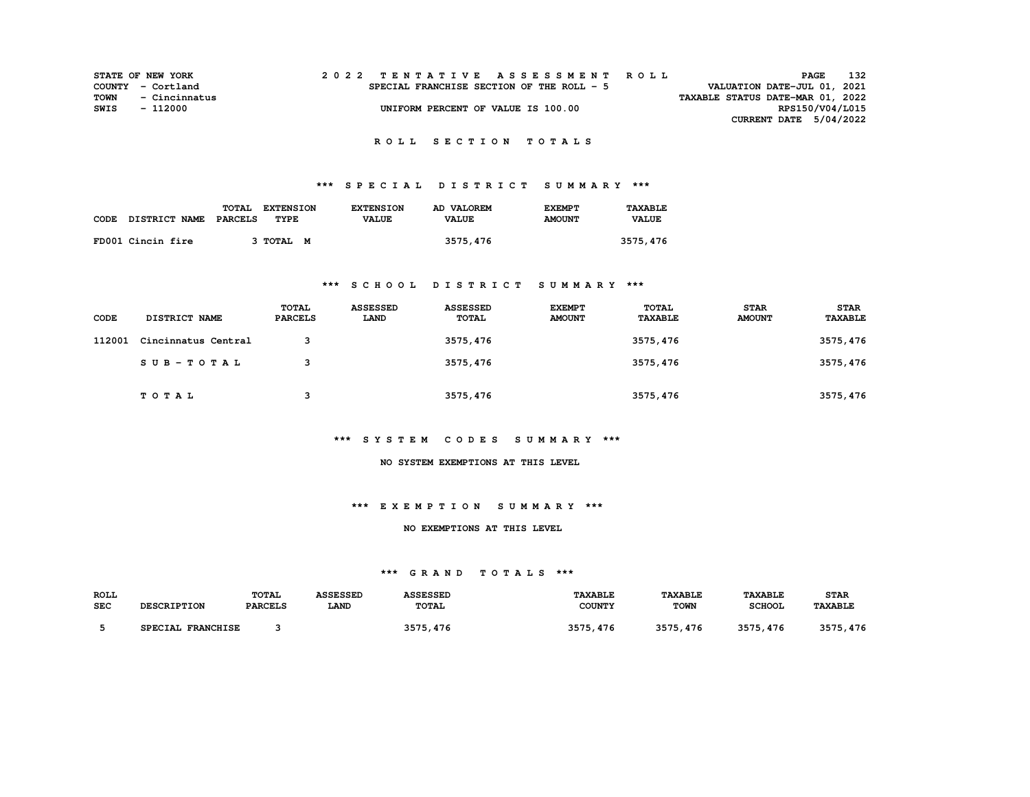|      | <b>STATE OF NEW YORK</b> |  | 2022 TENTATIVE ASSESSMENT ROLL            |                                  | PAGE                        | 132 |
|------|--------------------------|--|-------------------------------------------|----------------------------------|-----------------------------|-----|
|      | COUNTY - Cortland        |  | SPECIAL FRANCHISE SECTION OF THE ROLL - 5 |                                  | VALUATION DATE-JUL 01, 2021 |     |
| TOWN | - Cincinnatus            |  |                                           | TAXABLE STATUS DATE-MAR 01, 2022 |                             |     |
| SWIS | - 112000                 |  | UNIFORM PERCENT OF VALUE IS 100.00        |                                  | RPS150/V04/L015             |     |
|      |                          |  |                                           |                                  | CURRENT DATE 5/04/2022      |     |

# **\*\*\* S P E C I A L D I S T R I C T S U M M A R Y \*\*\***

|                            | TOTAL<br><b>EXTENSION</b> | <b>EXTENSION</b> | AD VALOREM   | <b>EXEMPT</b> | TAXABLE      |
|----------------------------|---------------------------|------------------|--------------|---------------|--------------|
| CODE DISTRICT NAME PARCELS | TYPE                      | <b>VALUE</b>     | <b>VALUE</b> | <b>AMOUNT</b> | <b>VALUE</b> |
|                            |                           |                  |              |               |              |
| FD001 Cincin fire          | 3 TOTAL M                 |                  | 3575,476     |               | 3575,476     |

### **\*\*\* S C H O O L D I S T R I C T S U M M A R Y \*\*\***

| CODE   | <b>DISTRICT NAME</b> | TOTAL<br><b>PARCELS</b> | <b>ASSESSED</b><br>LAND | <b>ASSESSED</b><br><b>TOTAL</b> | <b>EXEMPT</b><br><b>AMOUNT</b> | TOTAL<br><b>TAXABLE</b> | <b>STAR</b><br><b>AMOUNT</b> | <b>STAR</b><br>TAXABLE |
|--------|----------------------|-------------------------|-------------------------|---------------------------------|--------------------------------|-------------------------|------------------------------|------------------------|
| 112001 | Cincinnatus Central  | 3                       |                         | 3575,476                        |                                | 3575,476                |                              | 3575, 476              |
|        | SUB-TOTAL            | 3                       |                         | 3575,476                        |                                | 3575,476                |                              | 3575, 476              |
|        | <b>TOTAL</b>         | 3                       |                         | 3575,476                        |                                | 3575,476                |                              | 3575, 476              |

### **\*\*\* S Y S T E M C O D E S S U M M A R Y \*\*\***

#### **NO SYSTEM EXEMPTIONS AT THIS LEVEL**

### **\*\*\* E X E M P T I O N S U M M A R Y \*\*\***

#### **NO EXEMPTIONS AT THIS LEVEL**

### **\*\*\* G R A N D T O T A L S \*\*\***

| ROLL       | <b>DESCRIPTION</b> | <b>TOTAL</b>   | <b>ASSESSED</b> | <b>ASSESSED</b> | <b>TAXABLE</b> | <b>TAXABLE</b> | <b>TAXABLE</b> | <b>STAR</b>    |
|------------|--------------------|----------------|-----------------|-----------------|----------------|----------------|----------------|----------------|
| <b>SEC</b> |                    | <b>PARCELS</b> | <b>LAND</b>     | TOTAL           | <b>COUNTY</b>  | <b>TOWN</b>    | <b>SCHOOL</b>  | <b>TAXABLE</b> |
|            | SPECIAL FRANCHISE  |                |                 | 3575, 476       | 3575, 476      | 3575, 476      | 3575, 476      | 3575,476       |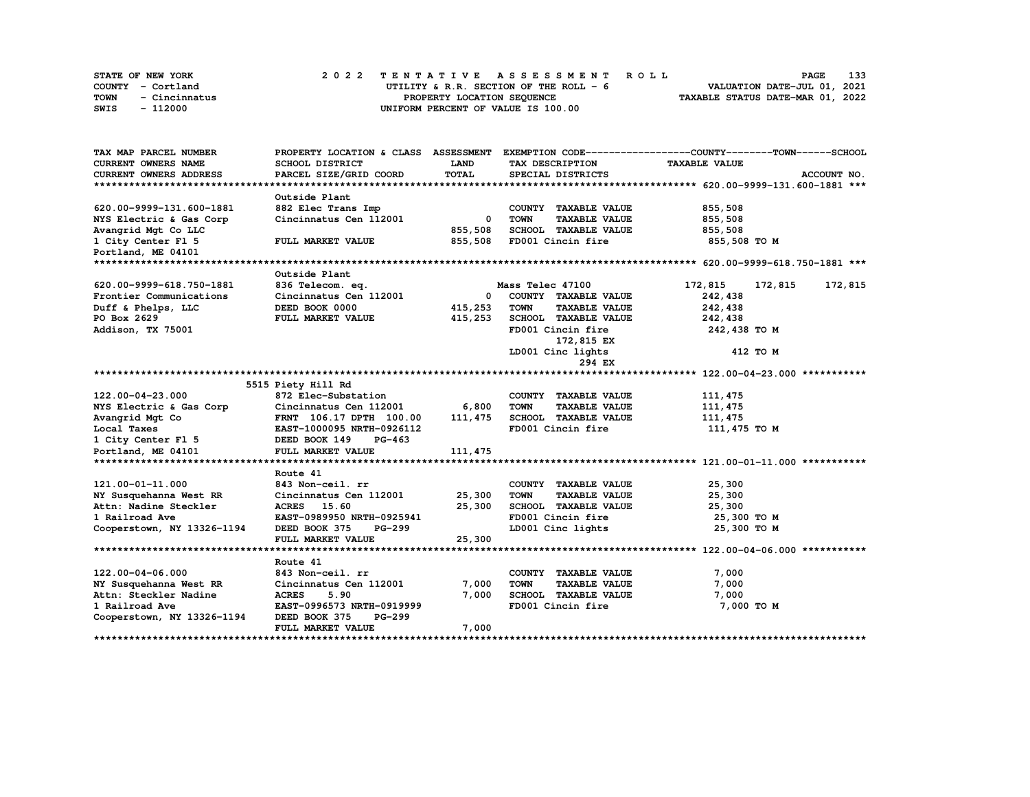|      | STATE OF NEW YORK | 2022 TENTATIVE ASSESSMENT ROLL         | 133<br><b>PAGE</b>               |
|------|-------------------|----------------------------------------|----------------------------------|
|      | COUNTY - Cortland | UTILITY & R.R. SECTION OF THE ROLL - 6 | VALUATION DATE-JUL 01, 2021      |
| TOWN | - Cincinnatus     | PROPERTY LOCATION SEQUENCE             | TAXABLE STATUS DATE-MAR 01, 2022 |
| SWIS | - 112000          | UNIFORM PERCENT OF VALUE IS 100.00     |                                  |

| TAX MAP PARCEL NUMBER         | PROPERTY LOCATION & CLASS ASSESSMENT |            |                                     | EXEMPTION CODE-----------------COUNTY-------TOWN------SCHOOL |
|-------------------------------|--------------------------------------|------------|-------------------------------------|--------------------------------------------------------------|
| <b>CURRENT OWNERS NAME</b>    | SCHOOL DISTRICT                      | LAND       | TAX DESCRIPTION                     | <b>TAXABLE VALUE</b>                                         |
| <b>CURRENT OWNERS ADDRESS</b> | PARCEL SIZE/GRID COORD               | TOTAL      | SPECIAL DISTRICTS                   | ACCOUNT NO.                                                  |
|                               |                                      |            |                                     |                                                              |
|                               | Outside Plant                        |            |                                     |                                                              |
| 620.00-9999-131.600-1881      | 882 Elec Trans Imp                   |            | COUNTY TAXABLE VALUE                | 855,508                                                      |
| NYS Electric & Gas Corp       | Cincinnatus Cen 112001               | $^{\circ}$ | <b>TOWN</b><br><b>TAXABLE VALUE</b> | 855,508                                                      |
| Avangrid Mgt Co LLC           |                                      | 855,508    | SCHOOL TAXABLE VALUE                | 855,508                                                      |
| 1 City Center F1 5            | FULL MARKET VALUE                    | 855,508    | FD001 Cincin fire                   | 855,508 TO M                                                 |
| Portland, ME 04101            |                                      |            |                                     |                                                              |
|                               |                                      |            |                                     |                                                              |
|                               | Outside Plant                        |            |                                     |                                                              |
| 620.00-9999-618.750-1881      | 836 Telecom. eq.                     |            | Mass Telec 47100                    | 172,815<br>172,815<br>172,815                                |
| Frontier Communications       | Cincinnatus Cen 112001               | 0          | COUNTY TAXABLE VALUE                | 242,438                                                      |
| Duff & Phelps, LLC            | DEED BOOK 0000                       | 415,253    | <b>TOWN</b><br><b>TAXABLE VALUE</b> | 242,438                                                      |
| PO Box 2629                   | FULL MARKET VALUE                    | 415,253    | SCHOOL TAXABLE VALUE                | 242,438                                                      |
| Addison, TX 75001             |                                      |            | FD001 Cincin fire                   | 242,438 TO M                                                 |
|                               |                                      |            | 172,815 EX                          |                                                              |
|                               |                                      |            | LD001 Cinc lights                   | 412 TO M                                                     |
|                               |                                      |            | 294 EX                              |                                                              |
|                               |                                      |            |                                     |                                                              |
|                               | 5515 Piety Hill Rd                   |            |                                     |                                                              |
| 122.00-04-23.000              | 872 Elec-Substation                  |            | COUNTY TAXABLE VALUE                | 111,475                                                      |
| NYS Electric & Gas Corp       | Cincinnatus Cen 112001               | 6,800      | <b>TOWN</b><br><b>TAXABLE VALUE</b> | 111,475                                                      |
| Avangrid Mgt Co               | FRNT 106.17 DPTH 100.00              | 111, 475   | SCHOOL TAXABLE VALUE                | 111,475                                                      |
| Local Taxes                   | EAST-1000095 NRTH-0926112            |            | FD001 Cincin fire                   | 111,475 TO M                                                 |
| 1 City Center F1 5            | DEED BOOK 149<br>$PG-463$            |            |                                     |                                                              |
| Portland, ME 04101            | FULL MARKET VALUE                    | 111, 475   |                                     |                                                              |
|                               |                                      |            |                                     |                                                              |
|                               | Route 41                             |            |                                     |                                                              |
| 121.00-01-11.000              | 843 Non-ceil. rr                     |            | COUNTY TAXABLE VALUE                | 25,300                                                       |
| NY Susquehanna West RR        | Cincinnatus Cen 112001               | 25,300     | <b>TAXABLE VALUE</b><br><b>TOWN</b> | 25,300                                                       |
| Attn: Nadine Steckler         | ACRES 15.60                          | 25,300     | SCHOOL TAXABLE VALUE                | 25,300                                                       |
| 1 Railroad Ave                | EAST-0989950 NRTH-0925941            |            | FD001 Cincin fire                   | 25,300 TO M                                                  |
| Cooperstown, NY 13326-1194    | DEED BOOK 375<br>PG-299              |            | LD001 Cinc lights                   | 25,300 TO M                                                  |
|                               | FULL MARKET VALUE                    | 25,300     |                                     |                                                              |
|                               |                                      |            |                                     |                                                              |
|                               | Route 41                             |            |                                     |                                                              |
| 122.00-04-06.000              | 843 Non-ceil. rr                     |            | COUNTY TAXABLE VALUE                | 7,000                                                        |
| NY Susquehanna West RR        | Cincinnatus Cen 112001               | 7,000      | <b>TOWN</b><br><b>TAXABLE VALUE</b> | 7,000                                                        |
| Attn: Steckler Nadine         | <b>ACRES</b><br>5.90                 | 7,000      | SCHOOL TAXABLE VALUE                | 7,000                                                        |
| 1 Railroad Ave                | EAST-0996573 NRTH-0919999            |            | FD001 Cincin fire                   | 7,000 TO M                                                   |
| Cooperstown, NY 13326-1194    | DEED BOOK 375<br>PG-299              |            |                                     |                                                              |
|                               | FULL MARKET VALUE                    | 7,000      |                                     |                                                              |
|                               |                                      |            |                                     |                                                              |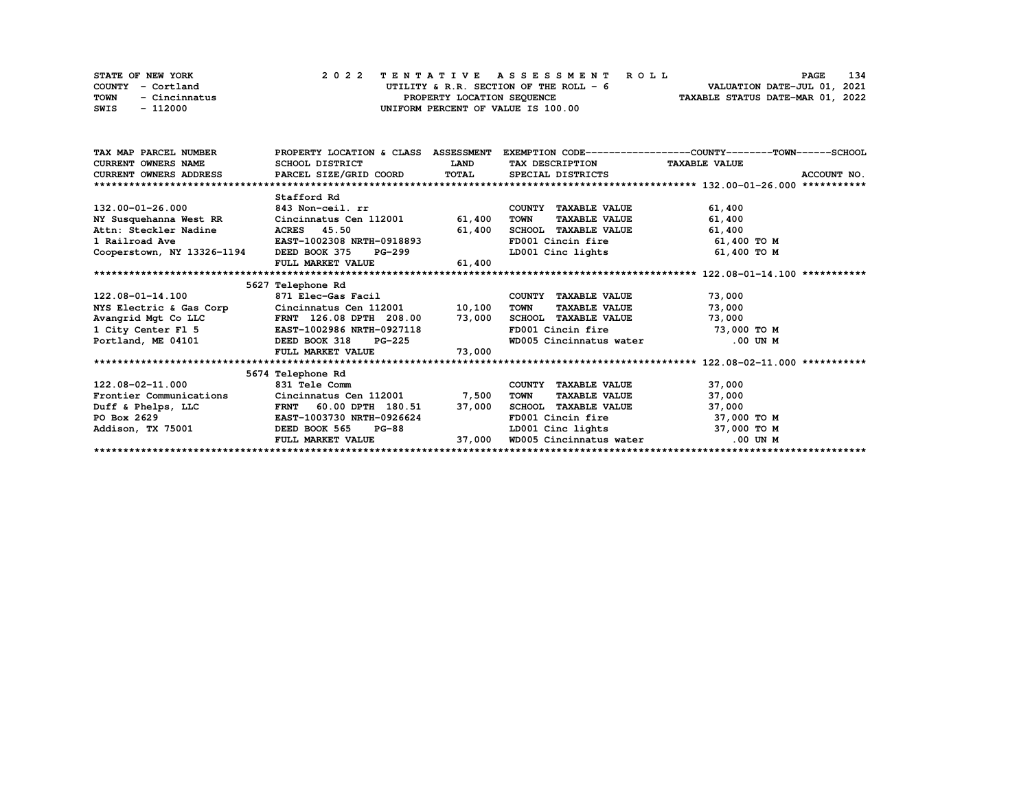|      | STATE OF NEW YORK | 2022 TENTATIVE ASSESSMENT ROLL         | 134<br>PAGE                      |
|------|-------------------|----------------------------------------|----------------------------------|
|      | COUNTY - Cortland | UTILITY & R.R. SECTION OF THE ROLL - 6 | VALUATION DATE-JUL 01, 2021      |
| TOWN | - Cincinnatus     | PROPERTY LOCATION SEQUENCE             | TAXABLE STATUS DATE-MAR 01, 2022 |
| SWIS | - 112000          | UNIFORM PERCENT OF VALUE IS 100.00     |                                  |

| TAX MAP PARCEL NUMBER                                 |                                                                                    |             |                                     | PROPERTY LOCATION & CLASS ASSESSMENT EXEMPTION CODE----------------COUNTY-------TOWN-----SCHOOL |
|-------------------------------------------------------|------------------------------------------------------------------------------------|-------------|-------------------------------------|-------------------------------------------------------------------------------------------------|
| <b>CURRENT OWNERS NAME</b>                            | SCHOOL DISTRICT                                                                    | <b>LAND</b> | TAX DESCRIPTION                     | <b>TAXABLE VALUE</b>                                                                            |
| CURRENT OWNERS ADDRESS PARCEL SIZE/GRID COORD TOTAL   |                                                                                    |             | SPECIAL DISTRICTS                   | ACCOUNT NO.                                                                                     |
|                                                       |                                                                                    |             |                                     |                                                                                                 |
|                                                       | Stafford Rd                                                                        |             |                                     |                                                                                                 |
| $132.00 - 01 - 26.000$                                | 843 Non-ceil. rr                                                                   |             | COUNTY TAXABLE VALUE                | 61,400                                                                                          |
| NY Susquehanna West RR                                | Cincinnatus Cen 112001 61,400                                                      |             | <b>TOWN</b><br><b>TAXABLE VALUE</b> | 61,400                                                                                          |
| Attn: Steckler Nadine                                 | <b>ACRES</b> 45.50                                                                 | 61,400      | SCHOOL TAXABLE VALUE                | 61,400                                                                                          |
| 1 Railroad Ave                                        | EAST-1002308 NRTH-0918893                                                          |             | FD001 Cincin fire                   | 61,400 TO M                                                                                     |
| Cooperstown, NY 13326-1194 DEED BOOK 375 PG-299       |                                                                                    |             | LD001 Cinc lights                   | 61,400 TO M                                                                                     |
|                                                       | FULL MARKET VALUE                                                                  | 61,400      |                                     |                                                                                                 |
|                                                       |                                                                                    |             |                                     |                                                                                                 |
|                                                       | 5627 Telephone Rd                                                                  |             |                                     |                                                                                                 |
| 122.08-01-14.100                                      | 871 Elec-Gas Facil National State of the Second State of the Second State of the S |             | COUNTY TAXABLE VALUE                | 73,000                                                                                          |
| NYS Electric & Gas Corp Cincinnatus Cen 112001 10,100 |                                                                                    |             | TOWN<br><b>TAXABLE VALUE</b>        | 73,000                                                                                          |
| Avangrid Mgt Co LLC FRNT 126.08 DPTH 208.00 73,000    |                                                                                    |             | SCHOOL TAXABLE VALUE                | 73,000                                                                                          |
| 1 City Center F1 5 EAST-1002986 NRTH-0927118          |                                                                                    |             | FD001 Cincin fire                   | 73,000 TO M                                                                                     |
| Portland, ME 04101                                    | DEED BOOK 318 PG-225                                                               |             | WD005 Cincinnatus water             | .00 UN M                                                                                        |
|                                                       | FULL MARKET VALUE                                                                  | 73,000      |                                     |                                                                                                 |
|                                                       |                                                                                    |             |                                     |                                                                                                 |
|                                                       | 5674 Telephone Rd                                                                  |             |                                     |                                                                                                 |
| 122.08-02-11.000                                      | 831 Tele Comm                                                                      |             | COUNTY TAXABLE VALUE                | 37,000                                                                                          |
| Frontier Communications                               | Cincinnatus Cen 112001                                                             | 7,500       | <b>TOWN</b><br><b>TAXABLE VALUE</b> | 37,000                                                                                          |
| Duff & Phelps, LLC                                    | FRNT 60.00 DPTH 180.51                                                             | 37,000      | SCHOOL TAXABLE VALUE                | 37,000                                                                                          |
| PO Box 2629                                           | <b>EAST-1003730 NRTH-0926624</b>                                                   |             | FD001 Cincin fire                   | 37,000 TO M                                                                                     |
| Addison, TX 75001                                     | DEED BOOK 565<br>$PG-88$                                                           |             | LD001 Cinc lights 37,000 TO M       |                                                                                                 |
|                                                       | FULL MARKET VALUE                                                                  | 37,000      | WD005 Cincinnatus water             | $.00$ UN M                                                                                      |
|                                                       |                                                                                    |             |                                     |                                                                                                 |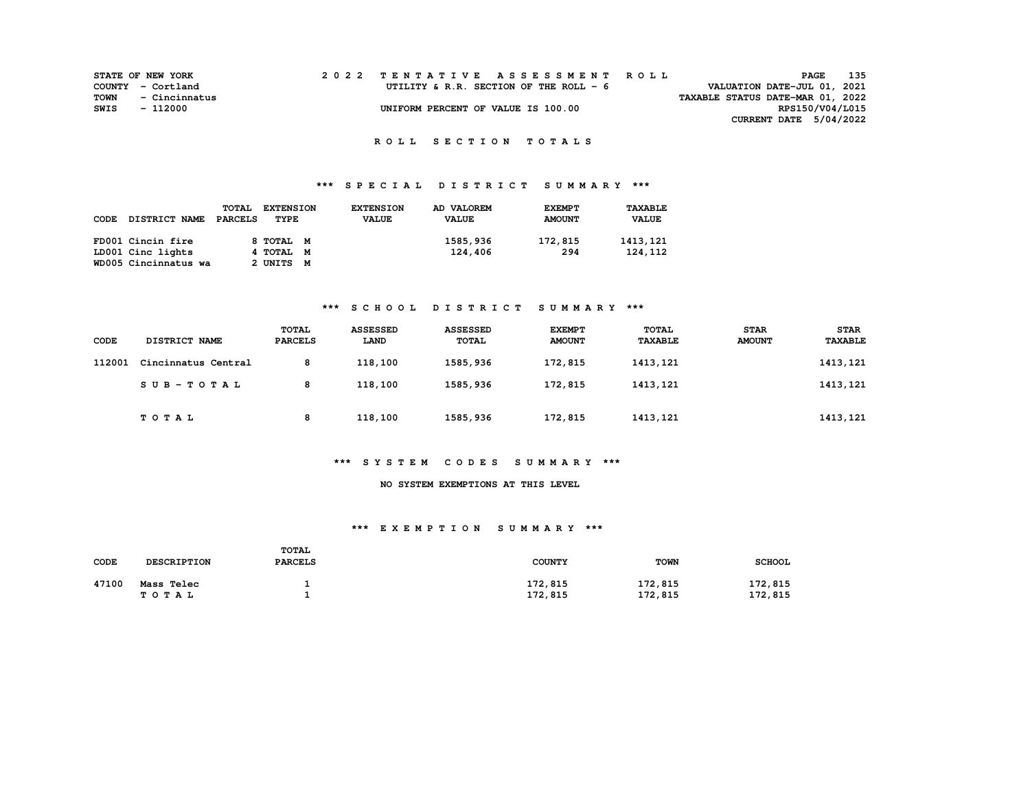|      | <b>STATE OF NEW YORK</b> |  | 2022 TENTATIVE ASSESSMENT ROLL          |                                  | PAGE                        | 135 |
|------|--------------------------|--|-----------------------------------------|----------------------------------|-----------------------------|-----|
|      | COUNTY - Cortland        |  | UTILITY & R.R. SECTION OF THE ROLL $-6$ |                                  | VALUATION DATE-JUL 01, 2021 |     |
| TOWN | - Cincinnatus            |  |                                         | TAXABLE STATUS DATE-MAR 01, 2022 |                             |     |
| SWIS | - 112000                 |  | UNIFORM PERCENT OF VALUE IS 100.00      |                                  | RPS150/V04/L015             |     |
|      |                          |  |                                         |                                  | CURRENT DATE 5/04/2022      |     |

# **\*\*\* S P E C I A L D I S T R I C T S U M M A R Y \*\*\***

| CODE | <b>DISTRICT NAME</b> | TOTAL<br>PARCELS | <b>EXTENSION</b><br>TYPE | <b>EXTENSION</b><br><b>VALUE</b> | AD VALOREM<br><b>VALUE</b> | <b>EXEMPT</b><br><b>AMOUNT</b> | <b>TAXABLE</b><br><b>VALUE</b> |
|------|----------------------|------------------|--------------------------|----------------------------------|----------------------------|--------------------------------|--------------------------------|
|      | FD001 Cincin fire    |                  | 8 тотац м                |                                  | 1585,936                   | 172,815                        | 1413, 121                      |
|      | LD001 Cinc lights    |                  | 4 TOTAL M                |                                  | 124,406                    | 294                            | 124, 112                       |
|      | WD005 Cincinnatus wa |                  | 2 UNITS M                |                                  |                            |                                |                                |

### **\*\*\* S C H O O L D I S T R I C T S U M M A R Y \*\*\***

| <b>CODE</b> | DISTRICT NAME       | <b>TOTAL</b><br><b>PARCELS</b> | <b>ASSESSED</b><br>LAND | <b>ASSESSED</b><br>TOTAL | <b>EXEMPT</b><br><b>AMOUNT</b> | <b>TOTAL</b><br><b>TAXABLE</b> | <b>STAR</b><br><b>AMOUNT</b> | <b>STAR</b><br><b>TAXABLE</b> |
|-------------|---------------------|--------------------------------|-------------------------|--------------------------|--------------------------------|--------------------------------|------------------------------|-------------------------------|
| 112001      | Cincinnatus Central | 8                              | 118,100                 | 1585,936                 | 172,815                        | 1413, 121                      |                              | 1413, 121                     |
|             | SUB-TOTAL           | 8                              | 118,100                 | 1585,936                 | 172,815                        | 1413, 121                      |                              | 1413, 121                     |
|             | <b>TOTAL</b>        | 8                              | 118,100                 | 1585,936                 | 172,815                        | 1413,121                       |                              | 1413, 121                     |

#### **\*\*\* S Y S T E M C O D E S S U M M A R Y \*\*\***

#### **NO SYSTEM EXEMPTIONS AT THIS LEVEL**

#### **\*\*\* E X E M P T I O N S U M M A R Y \*\*\***

| CODE  | <b>DESCRIPTION</b>  | <b>TOTAL</b><br><b>PARCELS</b> | <b>COUNTY</b>      | <b>TOWN</b>        | <b>SCHOOL</b>      |
|-------|---------------------|--------------------------------|--------------------|--------------------|--------------------|
| 47100 | Mass Telec<br>TOTAL |                                | 172,815<br>172,815 | 172,815<br>172,815 | 172,815<br>172,815 |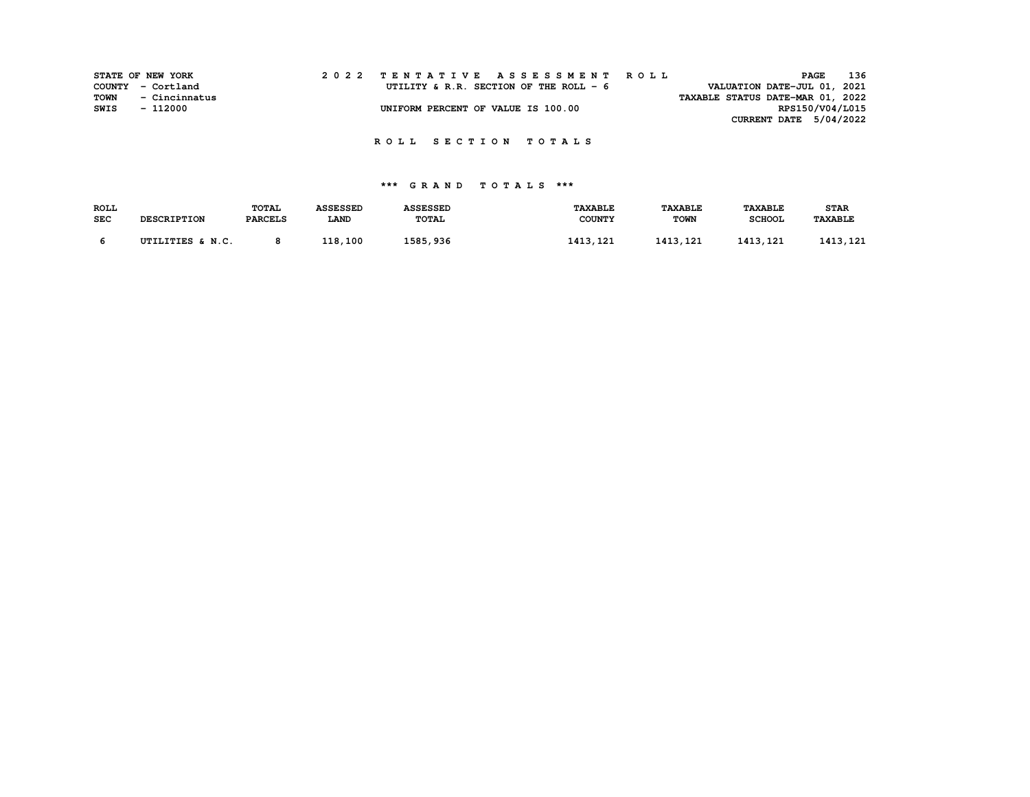|      | STATE OF NEW YORK |  | 2022 TENTATIVE ASSESSMENT ROLL          |  |  |  |                                  |                 | PAGE | 136 |
|------|-------------------|--|-----------------------------------------|--|--|--|----------------------------------|-----------------|------|-----|
|      | COUNTY - Cortland |  | UTILITY & R.R. SECTION OF THE ROLL $-6$ |  |  |  | VALUATION DATE-JUL 01, 2021      |                 |      |     |
| TOWN | - Cincinnatus     |  |                                         |  |  |  | TAXABLE STATUS DATE-MAR 01, 2022 |                 |      |     |
| SWIS | - 112000          |  | UNIFORM PERCENT OF VALUE IS 100.00      |  |  |  |                                  | RPS150/V04/L015 |      |     |
|      |                   |  |                                         |  |  |  | CURRENT DATE 5/04/2022           |                 |      |     |

# **\*\*\* G R A N D T O T A L S \*\*\***

| <b>ROLL</b> |                    | <b>TOTAL</b>   | <b>ASSESSED</b> | <b>ASSESSED</b> | <b>TAXABLE</b> | <b><i>TAXABLE</i></b> | <b>TAXABLE</b> | <b>STAR</b>    |
|-------------|--------------------|----------------|-----------------|-----------------|----------------|-----------------------|----------------|----------------|
| <b>SEC</b>  | <b>DESCRIPTION</b> | <b>PARCELS</b> | <b>LAND</b>     | <b>TOTAL</b>    | <b>COUNTY</b>  | <b>TOWN</b>           | <b>SCHOOL</b>  | <b>TAXABLE</b> |
|             | UTILITIES & N.C.   |                | 118,100         | 1585,936        | 1413,121       | 1413, 121             | 1413, 121      | 1413, 121      |
|             |                    |                |                 |                 |                |                       |                |                |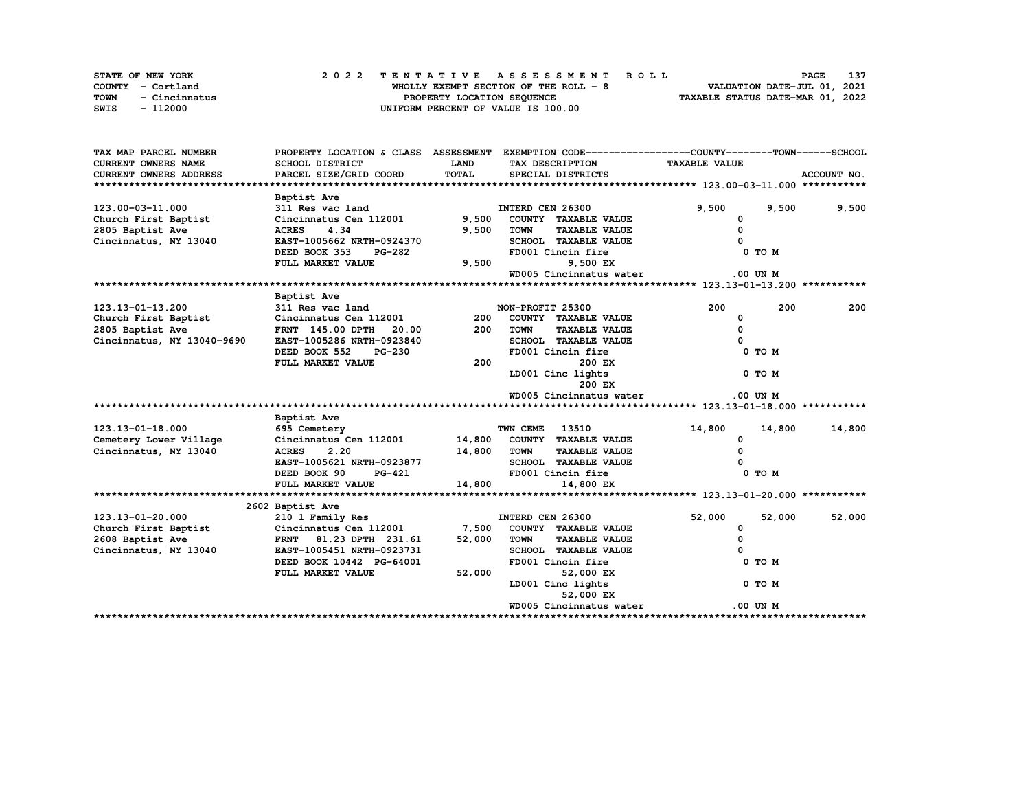|             | <b>STATE OF NEW YORK</b> | 2022 TENTATIVE ASSESSMENT ROLL         | 137<br><b>PAGE</b>               |
|-------------|--------------------------|----------------------------------------|----------------------------------|
|             | COUNTY - Cortland        | WHOLLY EXEMPT SECTION OF THE ROLL $-8$ | VALUATION DATE-JUL 01, 2021      |
| <b>TOWN</b> | - Cincinnatus            | PROPERTY LOCATION SEQUENCE             | TAXABLE STATUS DATE-MAR 01, 2022 |
| SWIS        | - 112000                 | UNIFORM PERCENT OF VALUE IS 100.00     |                                  |

| TAX MAP PARCEL NUMBER      | PROPERTY LOCATION & CLASS ASSESSMENT EXEMPTION CODE----------------COUNTY-------TOWN------SCHOOL |             |                                     |                      |             |
|----------------------------|--------------------------------------------------------------------------------------------------|-------------|-------------------------------------|----------------------|-------------|
| CURRENT OWNERS NAME        | <b>SCHOOL DISTRICT</b>                                                                           | <b>LAND</b> | TAX DESCRIPTION                     | <b>TAXABLE VALUE</b> |             |
| CURRENT OWNERS ADDRESS     | PARCEL SIZE/GRID COORD                                                                           | TOTAL       | SPECIAL DISTRICTS                   |                      | ACCOUNT NO. |
|                            |                                                                                                  |             |                                     |                      |             |
|                            | Baptist Ave                                                                                      |             |                                     |                      |             |
| 123.00-03-11.000           | 311 Res vac land                                                                                 |             | INTERD CEN 26300                    | 9,500<br>9,500       | 9,500       |
| Church First Baptist       | Cincinnatus Cen 112001 9,500                                                                     |             | COUNTY TAXABLE VALUE                | 0                    |             |
| 2805 Baptist Ave           | <b>ACRES</b><br>4.34                                                                             | 9,500       | <b>TOWN</b><br><b>TAXABLE VALUE</b> | $\mathbf{0}$         |             |
| Cincinnatus, NY 13040      | EAST-1005662 NRTH-0924370                                                                        |             | SCHOOL TAXABLE VALUE                |                      |             |
|                            | DEED BOOK 353<br>PG-282                                                                          |             | FD001 Cincin fire                   | 0 TO M               |             |
|                            | FULL MARKET VALUE                                                                                | 9,500       | 9,500 EX                            |                      |             |
|                            |                                                                                                  |             | WD005 Cincinnatus water             | $.00$ UN M           |             |
|                            |                                                                                                  |             |                                     |                      |             |
|                            | Baptist Ave                                                                                      |             |                                     |                      |             |
| 123.13-01-13.200           | 311 Res vac land                                                                                 |             | NON-PROFIT 25300                    | 200<br>200           | 200         |
| Church First Baptist       | Cincinnatus Cen 112001                                                                           | 200         | COUNTY TAXABLE VALUE                | 0                    |             |
| 2805 Baptist Ave           | 20.00<br><b>FRNT 145.00 DPTH</b>                                                                 | 200         | <b>TOWN</b><br><b>TAXABLE VALUE</b> | 0                    |             |
| Cincinnatus, NY 13040-9690 | EAST-1005286 NRTH-0923840                                                                        |             | SCHOOL TAXABLE VALUE                |                      |             |
|                            | DEED BOOK 552<br><b>PG-230</b>                                                                   |             | FD001 Cincin fire                   | 0 TO M               |             |
|                            | FULL MARKET VALUE                                                                                | 200         | 200 EX                              |                      |             |
|                            |                                                                                                  |             | LD001 Cinc lights                   | 0 TO M               |             |
|                            |                                                                                                  |             | 200 EX                              |                      |             |
|                            |                                                                                                  |             | WD005 Cincinnatus water             | $.00$ UN M           |             |
|                            |                                                                                                  |             |                                     |                      |             |
|                            | Baptist Ave                                                                                      |             |                                     |                      |             |
| 123.13-01-18.000           | 695 Cemetery                                                                                     |             | TWN CEME<br>13510                   | 14,800<br>14,800     | 14,800      |
| Cemetery Lower Village     | Cincinnatus Cen 112001                                                                           |             | 14,800 COUNTY TAXABLE VALUE         | 0                    |             |
| Cincinnatus, NY 13040      | <b>ACRES</b><br>2.20                                                                             | 14,800 TOWN | <b>TAXABLE VALUE</b>                | $\Omega$             |             |
|                            | EAST-1005621 NRTH-0923877                                                                        |             | SCHOOL TAXABLE VALUE                |                      |             |
|                            | DEED BOOK 90<br><b>PG-421</b>                                                                    |             | FD001 Cincin fire                   | 0 TO M               |             |
|                            | FULL MARKET VALUE                                                                                | 14,800      | 14,800 EX                           |                      |             |
|                            |                                                                                                  |             |                                     |                      |             |
|                            | 2602 Baptist Ave                                                                                 |             |                                     |                      |             |
| 123.13-01-20.000           | 210 1 Family Res                                                                                 |             | INTERD CEN 26300                    | 52,000<br>52,000     | 52,000      |
| Church First Baptist       | Cincinnatus Cen 112001                                                                           | 7,500       | COUNTY TAXABLE VALUE                | 0                    |             |
| 2608 Baptist Ave           | FRNT 81.23 DPTH 231.61                                                                           | 52,000      | TOWN<br><b>TAXABLE VALUE</b>        | $\Omega$             |             |
| Cincinnatus, NY 13040      | EAST-1005451 NRTH-0923731                                                                        |             | SCHOOL TAXABLE VALUE                |                      |             |
|                            | DEED BOOK 10442 PG-64001                                                                         |             | FD001 Cincin fire                   | 0 TO M               |             |
|                            | FULL MARKET VALUE                                                                                | 52,000      | 52,000 EX                           |                      |             |
|                            |                                                                                                  |             | LD001 Cinc lights                   | 0 TO M               |             |
|                            |                                                                                                  |             | 52,000 EX                           |                      |             |
|                            |                                                                                                  |             | WD005 Cincinnatus water             | .00 UN M             |             |
|                            |                                                                                                  |             |                                     |                      |             |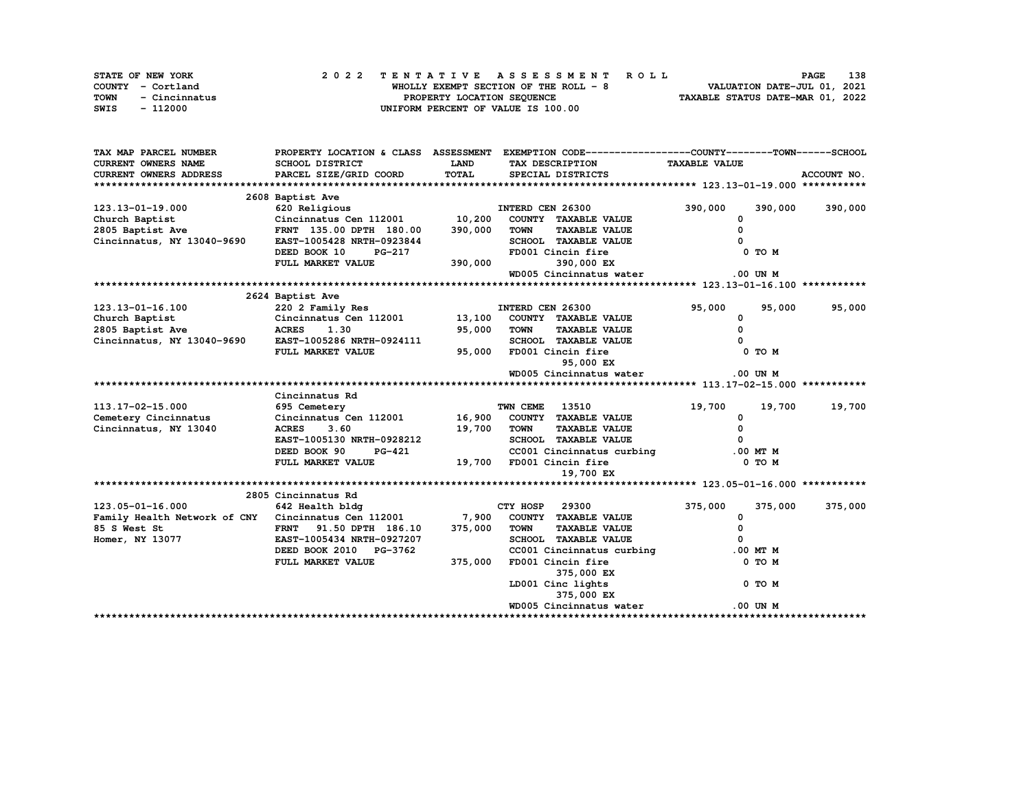|      | STATE OF NEW YORK | 2022 TENTATIVE ASSESSMENT ROLL         | 138<br><b>PAGE</b>               |
|------|-------------------|----------------------------------------|----------------------------------|
|      | COUNTY - Cortland | WHOLLY EXEMPT SECTION OF THE ROLL $-8$ | VALUATION DATE-JUL 01, 2021      |
| TOWN | - Cincinnatus     | PROPERTY LOCATION SEQUENCE             | TAXABLE STATUS DATE-MAR 01, 2022 |
| SWIS | - 112000          | UNIFORM PERCENT OF VALUE IS 100.00     |                                  |

| TAX MAP PARCEL NUMBER                                | PROPERTY LOCATION & CLASS ASSESSMENT EXEMPTION CODE-----------------COUNTY-------TOWN-----SCHOOL |              |                       |                                              |                      |            |             |
|------------------------------------------------------|--------------------------------------------------------------------------------------------------|--------------|-----------------------|----------------------------------------------|----------------------|------------|-------------|
| CURRENT OWNERS NAME                                  | SCHOOL DISTRICT                                                                                  | LAND         |                       | TAX DESCRIPTION                              | <b>TAXABLE VALUE</b> |            |             |
| <b>CURRENT OWNERS ADDRESS</b>                        | PARCEL SIZE/GRID COORD                                                                           | <b>TOTAL</b> |                       | SPECIAL DISTRICTS                            |                      |            | ACCOUNT NO. |
|                                                      |                                                                                                  |              |                       |                                              |                      |            |             |
|                                                      | 2608 Baptist Ave                                                                                 |              |                       |                                              |                      |            |             |
| 123.13-01-19.000                                     | 620 Religious                                                                                    |              | INTERD CEN 26300      |                                              | 390,000              | 390,000    | 390,000     |
| Church Baptist                                       | Cincinnatus Cen 112001 10,200                                                                    |              |                       | COUNTY TAXABLE VALUE                         | 0                    |            |             |
| 2805 Baptist Ave                                     | FRNT 135.00 DPTH 180.00                                                                          | 390,000      | <b>TOWN</b>           | <b>TAXABLE VALUE</b>                         | $\Omega$             |            |             |
| Cincinnatus, NY 13040-9690                           | EAST-1005428 NRTH-0923844                                                                        |              |                       | SCHOOL TAXABLE VALUE                         |                      |            |             |
|                                                      | DEED BOOK 10<br>PG-217                                                                           |              |                       | FD001 Cincin fire                            |                      | 0 TO M     |             |
|                                                      | FULL MARKET VALUE                                                                                | 390,000      |                       | 390,000 EX                                   |                      |            |             |
|                                                      |                                                                                                  |              |                       | WD005 Cincinnatus water                      |                      | $.00$ UN M |             |
|                                                      |                                                                                                  |              |                       |                                              |                      |            |             |
|                                                      | 2624 Baptist Ave                                                                                 |              |                       |                                              |                      |            |             |
| 123.13-01-16.100                                     | 220 2 Family Res                                                                                 |              | INTERD CEN 26300      |                                              | 95,000               | 95,000     | 95,000      |
| Church Baptist                                       |                                                                                                  |              |                       |                                              | 0                    |            |             |
| 2805 Baptist Ave                                     |                                                                                                  |              |                       | <b>TAXABLE VALUE</b>                         | 0                    |            |             |
| Cincinnatus, NY 13040-9690 EAST-1005286 NRTH-0924111 |                                                                                                  |              |                       | SCHOOL TAXABLE VALUE                         |                      |            |             |
|                                                      | FULL MARKET VALUE                                                                                | 95,000       |                       | FD001 Cincin fire                            |                      | 0 TO M     |             |
|                                                      |                                                                                                  |              |                       | 95,000 EX                                    |                      |            |             |
|                                                      |                                                                                                  |              |                       | WD005 Cincinnatus water                      |                      | .00 UN M   |             |
|                                                      |                                                                                                  |              |                       |                                              |                      |            |             |
|                                                      | Cincinnatus Rd                                                                                   |              |                       |                                              |                      |            |             |
| 113.17-02-15.000                                     | 695 Cemetery                                                                                     |              | <b>TWN CEME 13510</b> |                                              | 19,700               | 19,700     | 19,700      |
| Cemetery Cincinnatus                                 | Cincinnatus Cen 112001 16,900 COUNTY TAXABLE VALUE                                               |              |                       |                                              | 0                    |            |             |
| Cincinnatus, NY 13040                                | <b>ACRES</b><br>3.60                                                                             | 19,700       | <b>TOWN</b>           | <b>TAXABLE VALUE</b>                         | $\Omega$             |            |             |
|                                                      | EAST-1005130 NRTH-0928212                                                                        |              |                       | SCHOOL TAXABLE VALUE                         |                      |            |             |
|                                                      | DEED BOOK 90<br>PG-421                                                                           |              |                       | CC001 Cincinnatus curbing                    |                      | .00 MT M   |             |
|                                                      | FULL MARKET VALUE                                                                                |              |                       | 19,700 FD001 Cincin fire                     |                      | 0 TO M     |             |
|                                                      |                                                                                                  |              |                       | 19,700 EX                                    |                      |            |             |
|                                                      |                                                                                                  |              |                       |                                              |                      |            |             |
| 123.05-01-16.000                                     | 2805 Cincinnatus Rd<br>642 Health bldg                                                           |              | CTY HOSP 29300        |                                              | 375,000              |            |             |
| Family Health Network of CNY Cincinnatus Cen 112001  |                                                                                                  | 7,900        |                       | COUNTY TAXABLE VALUE                         |                      | 375,000    | 375,000     |
| 85 S West St                                         |                                                                                                  | 375,000      | <b>TOWN</b>           |                                              | 0<br>0               |            |             |
| Homer, NY 13077                                      | 91.50 DPTH 186.10<br><b>FRNT</b><br>EAST-1005434 NRTH-0927207                                    |              |                       | <b>TAXABLE VALUE</b><br>SCHOOL TAXABLE VALUE | $\Omega$             |            |             |
|                                                      | DEED BOOK 2010 PG-3762                                                                           |              |                       | CC001 Cincinnatus curbing                    |                      | .00 MT M   |             |
|                                                      | FULL MARKET VALUE                                                                                | 375,000      |                       | FD001 Cincin fire                            |                      | 0 TO M     |             |
|                                                      |                                                                                                  |              |                       | 375,000 EX                                   |                      |            |             |
|                                                      |                                                                                                  |              |                       | LD001 Cinc lights                            |                      | 0 TO M     |             |
|                                                      |                                                                                                  |              |                       | 375,000 EX                                   |                      |            |             |
|                                                      |                                                                                                  |              |                       | WD005 Cincinnatus water                      |                      | .00 UN M   |             |
|                                                      |                                                                                                  |              |                       |                                              |                      |            |             |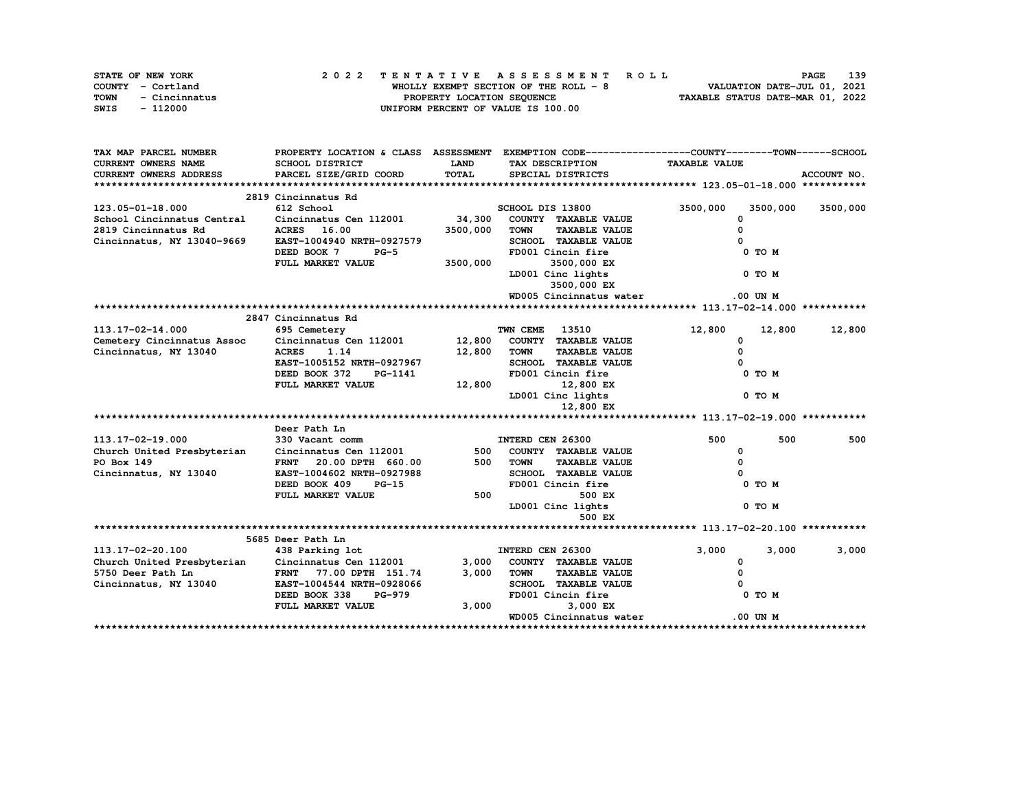|      | STATE OF NEW YORK |  | 2022 TENTATIVE ASSESSMENT ROLL |  |  |  |                                        |  |  |  |  |  |  |                                  |  | <b>PAGE</b>                 | 139 |
|------|-------------------|--|--------------------------------|--|--|--|----------------------------------------|--|--|--|--|--|--|----------------------------------|--|-----------------------------|-----|
|      | COUNTY - Cortland |  |                                |  |  |  | WHOLLY EXEMPT SECTION OF THE ROLL $-8$ |  |  |  |  |  |  |                                  |  | VALUATION DATE-JUL 01, 2021 |     |
| TOWN | - Cincinnatus     |  |                                |  |  |  | PROPERTY LOCATION SEQUENCE             |  |  |  |  |  |  | TAXABLE STATUS DATE-MAR 01, 2022 |  |                             |     |
| SWIS | - 112000          |  |                                |  |  |  | UNIFORM PERCENT OF VALUE IS 100.00     |  |  |  |  |  |  |                                  |  |                             |     |

| TAX MAP PARCEL NUMBER         |                           |              | PROPERTY LOCATION & CLASS ASSESSMENT EXEMPTION CODE----------------COUNTY-------TOWN------SCHOOL |                      |             |
|-------------------------------|---------------------------|--------------|--------------------------------------------------------------------------------------------------|----------------------|-------------|
| <b>CURRENT OWNERS NAME</b>    | SCHOOL DISTRICT           | <b>LAND</b>  | TAX DESCRIPTION                                                                                  | <b>TAXABLE VALUE</b> |             |
| <b>CURRENT OWNERS ADDRESS</b> | PARCEL SIZE/GRID COORD    | <b>TOTAL</b> | SPECIAL DISTRICTS                                                                                |                      | ACCOUNT NO. |
|                               |                           |              |                                                                                                  |                      |             |
|                               | 2819 Cincinnatus Rd       |              |                                                                                                  |                      |             |
| $123.05 - 01 - 18.000$        | 612 School                |              | SCHOOL DIS 13800                                                                                 | 3500,000<br>3500,000 | 3500,000    |
| School Cincinnatus Central    | Cincinnatus Cen 112001    | 34,300       | COUNTY TAXABLE VALUE                                                                             | 0                    |             |
| 2819 Cincinnatus Rd           | ACRES 16.00               | 3500,000     | <b>TAXABLE VALUE</b><br><b>TOWN</b>                                                              | 0                    |             |
| Cincinnatus, NY 13040-9669    | EAST-1004940 NRTH-0927579 |              | SCHOOL TAXABLE VALUE                                                                             |                      |             |
|                               | DEED BOOK 7<br>$PG-5$     |              | FD001 Cincin fire                                                                                | 0 TO M               |             |
|                               | FULL MARKET VALUE         | 3500,000     | 3500,000 EX                                                                                      |                      |             |
|                               |                           |              | LD001 Cinc lights                                                                                | 0 TO M               |             |
|                               |                           |              | 3500,000 EX                                                                                      |                      |             |
|                               |                           |              | WD005 Cincinnatus water                                                                          | $.00$ UN $M$         |             |
|                               |                           |              |                                                                                                  |                      |             |
|                               | 2847 Cincinnatus Rd       |              |                                                                                                  |                      |             |
| 113.17-02-14.000              | 695 Cemetery              |              | TWN CEME<br>13510                                                                                | 12,800<br>12,800     | 12,800      |
| Cemetery Cincinnatus Assoc    | Cincinnatus Cen 112001    | 12,800       | COUNTY TAXABLE VALUE                                                                             | 0                    |             |
| Cincinnatus, NY 13040         | 1.14<br><b>ACRES</b>      | 12,800       | <b>TAXABLE VALUE</b><br><b>TOWN</b>                                                              | $\Omega$             |             |
|                               | EAST-1005152 NRTH-0927967 |              | SCHOOL TAXABLE VALUE                                                                             |                      |             |
|                               | DEED BOOK 372<br>PG-1141  |              | FD001 Cincin fire                                                                                | 0 TO M               |             |
|                               | FULL MARKET VALUE         | 12,800       | 12,800 EX                                                                                        |                      |             |
|                               |                           |              | LD001 Cinc lights                                                                                | 0 TO M               |             |
|                               |                           |              | 12,800 EX                                                                                        |                      |             |
|                               |                           |              |                                                                                                  |                      |             |
|                               | Deer Path Ln              |              |                                                                                                  |                      |             |
| 113.17-02-19.000              | 330 Vacant comm           |              | INTERD CEN 26300                                                                                 | 500<br>500           | 500         |
| Church United Presbyterian    | Cincinnatus Cen 112001    | 500          | COUNTY TAXABLE VALUE                                                                             | 0                    |             |
| PO Box 149                    | FRNT 20.00 DPTH 660.00    | 500          | <b>TAXABLE VALUE</b><br><b>TOWN</b>                                                              | $\Omega$             |             |
| Cincinnatus, NY 13040         | EAST-1004602 NRTH-0927988 |              | SCHOOL TAXABLE VALUE                                                                             |                      |             |
|                               | DEED BOOK 409<br>$PG-15$  |              | FD001 Cincin fire                                                                                | 0 TO M               |             |
|                               | FULL MARKET VALUE         | 500          | 500 EX                                                                                           |                      |             |
|                               |                           |              | LD001 Cinc lights                                                                                | 0 TO M               |             |
|                               |                           |              | 500 EX                                                                                           |                      |             |
|                               |                           |              |                                                                                                  |                      |             |
|                               | 5685 Deer Path Ln         |              |                                                                                                  |                      |             |
| 113.17-02-20.100              | 438 Parking lot           |              | INTERD CEN 26300                                                                                 | 3,000<br>3,000       | 3,000       |
| Church United Presbyterian    | Cincinnatus Cen 112001    | 3,000        | COUNTY TAXABLE VALUE                                                                             | 0                    |             |
| 5750 Deer Path Ln             | FRNT 77.00 DPTH 151.74    | 3,000        | <b>TOWN</b><br><b>TAXABLE VALUE</b>                                                              | 0                    |             |
| Cincinnatus, NY 13040         | EAST-1004544 NRTH-0928066 |              | <b>SCHOOL TAXABLE VALUE</b>                                                                      |                      |             |
|                               | DEED BOOK 338<br>PG-979   |              | FD001 Cincin fire                                                                                | 0 TO M               |             |
|                               | FULL MARKET VALUE         | 3,000        | 3,000 EX                                                                                         |                      |             |
|                               |                           |              | WD005 Cincinnatus water                                                                          | $.00$ UN M           |             |
|                               |                           |              |                                                                                                  |                      |             |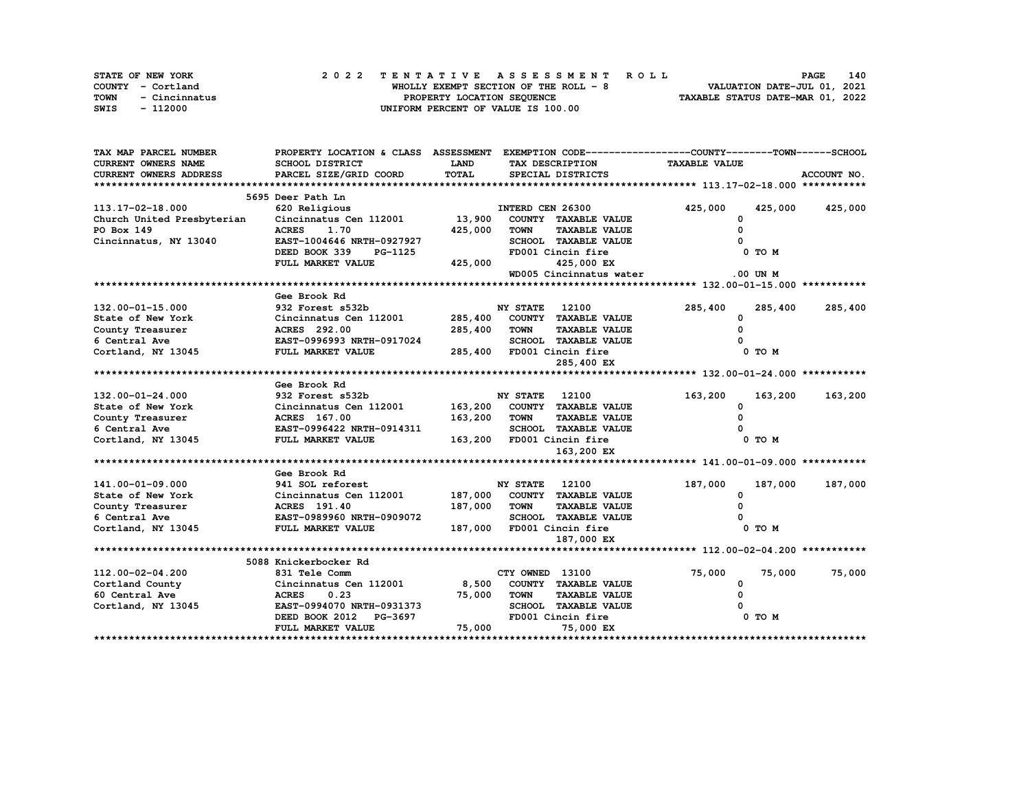|      | STATE OF NEW YORK | 2022 TENTATIVE ASSESSMENT ROLL         | 140<br><b>PAGE</b>               |
|------|-------------------|----------------------------------------|----------------------------------|
|      | COUNTY - Cortland | WHOLLY EXEMPT SECTION OF THE ROLL $-8$ | VALUATION DATE-JUL 01, 2021      |
| TOWN | - Cincinnatus     | PROPERTY LOCATION SEQUENCE             | TAXABLE STATUS DATE-MAR 01, 2022 |
| SWIS | - 112000          | UNIFORM PERCENT OF VALUE IS 100.00     |                                  |

| TAX MAP PARCEL NUMBER         | PROPERTY LOCATION & CLASS ASSESSMENT EXEMPTION CODE----------------COUNTY-------TOWN------SCHOOL |             |                       |                              |                      |              |             |
|-------------------------------|--------------------------------------------------------------------------------------------------|-------------|-----------------------|------------------------------|----------------------|--------------|-------------|
| <b>CURRENT OWNERS NAME</b>    | <b>SCHOOL DISTRICT</b>                                                                           | <b>LAND</b> |                       | TAX DESCRIPTION              | <b>TAXABLE VALUE</b> |              |             |
| <b>CURRENT OWNERS ADDRESS</b> | PARCEL SIZE/GRID COORD                                                                           | TOTAL       |                       | SPECIAL DISTRICTS            |                      |              | ACCOUNT NO. |
|                               |                                                                                                  |             |                       |                              |                      |              |             |
|                               | 5695 Deer Path Ln                                                                                |             |                       |                              |                      |              |             |
| 113.17-02-18.000              | 620 Religious                                                                                    |             | INTERD CEN 26300      |                              | 425,000              | 425,000      | 425,000     |
| Church United Presbyterian    | Cincinnatus Cen 112001                                                                           | 13,900      |                       | COUNTY TAXABLE VALUE         | 0                    |              |             |
| PO Box 149                    | <b>ACRES</b><br>1.70                                                                             | 425,000     | <b>TOWN</b>           | <b>TAXABLE VALUE</b>         | 0                    |              |             |
| Cincinnatus, NY 13040         | EAST-1004646 NRTH-0927927                                                                        |             |                       | <b>SCHOOL TAXABLE VALUE</b>  |                      |              |             |
|                               | DEED BOOK 339<br>PG-1125                                                                         |             |                       | FD001 Cincin fire            |                      | 0 TO M       |             |
|                               | FULL MARKET VALUE                                                                                | 425,000     |                       | 425,000 EX                   |                      |              |             |
|                               |                                                                                                  |             |                       | WD005 Cincinnatus water      |                      | $.00$ UN $M$ |             |
|                               |                                                                                                  |             |                       |                              |                      |              |             |
|                               | Gee Brook Rd                                                                                     |             |                       |                              |                      |              |             |
| 132.00-01-15.000              | 932 Forest s532b                                                                                 |             | <b>NY STATE</b>       | 12100                        | 285,400              | 285,400      | 285,400     |
| State of New York             | Cincinnatus Cen 112001                                                                           |             |                       | 285,400 COUNTY TAXABLE VALUE | 0                    |              |             |
| County Treasurer              | <b>ACRES</b> 292.00                                                                              | 285,400     | <b>TOWN</b>           | <b>TAXABLE VALUE</b>         | $\Omega$             |              |             |
| 6 Central Ave                 | EAST-0996993 NRTH-0917024                                                                        |             |                       | SCHOOL TAXABLE VALUE         |                      |              |             |
| Cortland, NY 13045            | <b>FULL MARKET VALUE</b>                                                                         |             |                       | 285,400 FD001 Cincin fire    |                      | 0 TO M       |             |
|                               |                                                                                                  |             |                       | 285,400 EX                   |                      |              |             |
|                               |                                                                                                  |             |                       |                              |                      |              |             |
|                               | Gee Brook Rd                                                                                     |             |                       |                              |                      |              |             |
| 132.00-01-24.000              | 932 Forest s532b                                                                                 |             | <b>NY STATE</b> 12100 |                              | 163,200              | 163,200      | 163,200     |
| State of New York             | Cincinnatus Cen 112001                                                                           |             |                       | 163,200 COUNTY TAXABLE VALUE | 0                    |              |             |
| County Treasurer              | <b>ACRES</b> 167.00<br>EAST-0996422 NRTH-0914311                                                 | 163,200     | <b>TOWN</b>           | <b>TAXABLE VALUE</b>         | 0                    |              |             |
| 6 Central Ave                 |                                                                                                  |             |                       | SCHOOL TAXABLE VALUE         |                      |              |             |
| Cortland, NY 13045            | FULL MARKET VALUE                                                                                |             |                       | 163,200 FD001 Cincin fire    |                      | 0 TO M       |             |
|                               |                                                                                                  |             |                       | 163,200 EX                   |                      |              |             |
|                               |                                                                                                  |             |                       |                              |                      |              |             |
|                               | Gee Brook Rd                                                                                     |             |                       |                              |                      |              |             |
| 141.00-01-09.000              | 941 SOL reforest                                                                                 |             | <b>NY STATE</b>       | 12100                        | 187,000              | 187,000      | 187,000     |
| State of New York             | Cincinnatus Cen 112001                                                                           |             |                       | 187,000 COUNTY TAXABLE VALUE | $\Omega$             |              |             |
| County Treasurer              | ACRES 191.40                                                                                     | 187,000     | <b>TOWN</b>           | <b>TAXABLE VALUE</b>         | $\Omega$             |              |             |
| 6 Central Ave                 | <b>EAST-0989960 NRTH-0909072</b>                                                                 |             |                       | SCHOOL TAXABLE VALUE         |                      |              |             |
| Cortland, NY 13045            | FULL MARKET VALUE                                                                                |             |                       | 187,000 FD001 Cincin fire    |                      | 0 TO M       |             |
|                               |                                                                                                  |             |                       | 187,000 EX                   |                      |              |             |
|                               |                                                                                                  |             |                       |                              |                      |              |             |
|                               | 5088 Knickerbocker Rd                                                                            |             |                       |                              |                      |              |             |
| 112.00-02-04.200              | 831 Tele Comm                                                                                    |             | CTY OWNED 13100       |                              | 75,000               | 75,000       | 75,000      |
| Cortland County               | Cincinnatus Cen 112001                                                                           | 8,500       |                       | COUNTY TAXABLE VALUE         | 0                    |              |             |
| 60 Central Ave                | <b>ACRES</b><br>0.23                                                                             | 75,000      | TOWN                  | <b>TAXABLE VALUE</b>         |                      |              |             |
| Cortland, NY 13045            | EAST-0994070 NRTH-0931373                                                                        |             |                       | SCHOOL TAXABLE VALUE         |                      |              |             |
|                               | DEED BOOK 2012 PG-3697                                                                           |             |                       | FD001 Cincin fire            |                      | 0 TO M       |             |
|                               | FULL MARKET VALUE                                                                                | 75,000      |                       | 75,000 EX                    |                      |              |             |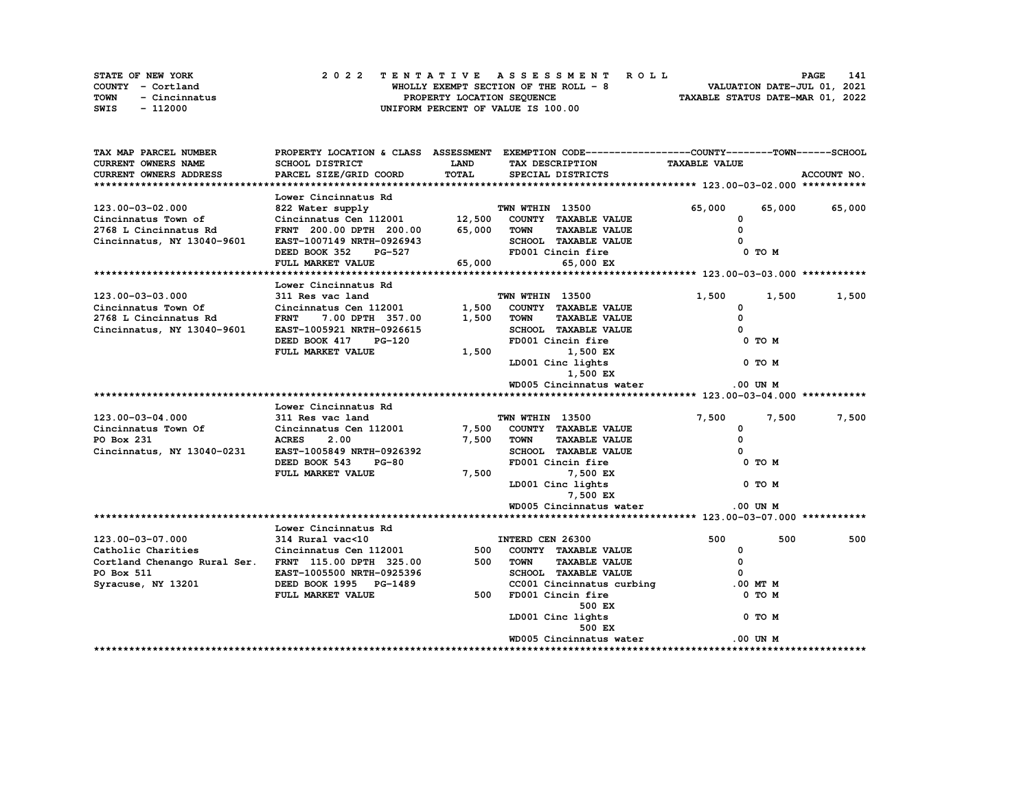| STATE OF NEW YORK |               | 2022 TENTATIVE ASSESSMENT ROLL |  |  |  |                                       |  |  |  |  |  |  |                                  | <b>PAGE</b> | 141 |
|-------------------|---------------|--------------------------------|--|--|--|---------------------------------------|--|--|--|--|--|--|----------------------------------|-------------|-----|
| COUNTY - Cortland |               |                                |  |  |  | WHOLLY EXEMPT SECTION OF THE ROLL - 8 |  |  |  |  |  |  | VALUATION DATE-JUL 01, 2021      |             |     |
| TOWN              | - Cincinnatus |                                |  |  |  | PROPERTY LOCATION SEQUENCE            |  |  |  |  |  |  | TAXABLE STATUS DATE-MAR 01, 2022 |             |     |
| SWIS              | - 112000      |                                |  |  |  | UNIFORM PERCENT OF VALUE IS 100.00    |  |  |  |  |  |  |                                  |             |     |

| TAX MAP PARCEL NUMBER                                                                     |                                                                          |             | PROPERTY LOCATION & CLASS ASSESSMENT EXEMPTION CODE----------------COUNTY-------TOWN-----SCHOOL |                      |               |
|-------------------------------------------------------------------------------------------|--------------------------------------------------------------------------|-------------|-------------------------------------------------------------------------------------------------|----------------------|---------------|
| <b>CURRENT OWNERS NAME</b>                                                                | SCHOOL DISTRICT                                                          | <b>LAND</b> | TAX DESCRIPTION                                                                                 | <b>TAXABLE VALUE</b> |               |
| CURRENT OWNERS ADDRESS                                                                    | PARCEL SIZE/GRID COORD                                                   | TOTAL       | SPECIAL DISTRICTS                                                                               |                      | ACCOUNT NO.   |
|                                                                                           |                                                                          |             |                                                                                                 |                      |               |
|                                                                                           | Lower Cincinnatus Rd                                                     |             |                                                                                                 |                      |               |
| 123.00-03-02.000                                                                          | % 822 Water supply<br>Cincinnatus Cen 112001 12,500 COUNTY TAXABLE VALUE |             |                                                                                                 | 65,000               | 65,000 65,000 |
| Cincinnatus Town of                                                                       |                                                                          |             |                                                                                                 | $\mathbf 0$          |               |
| 2768 L Cincinnatus Rd                                                                     | FRNT 200.00 DPTH 200.00 65,000 TOWN                                      |             | <b>TAXABLE VALUE</b>                                                                            | $\Omega$             |               |
| Cincinnatus, NY 13040-9601                                                                | EAST-1007149 NRTH-0926943                                                |             |                                                                                                 |                      |               |
|                                                                                           | DEED BOOK 352                                                            | $PG-527$    | SCHOOL TAXABLE VALUE (1999)<br>FD001 Cincin fire                                                | 0 TO M               |               |
|                                                                                           | FULL MARKET VALUE                                                        | 65,000      | 65,000 EX                                                                                       |                      |               |
|                                                                                           |                                                                          |             |                                                                                                 |                      |               |
|                                                                                           | Lower Cincinnatus Rd                                                     |             |                                                                                                 |                      |               |
| 123.00-03-03.000                                                                          | 311 Res vac land                                                         |             | TWN WTHIN 13500                                                                                 | 1,500<br>1,500       | 1,500         |
| Cincinnatus Town Of Cincinnatus Cen 112001<br>2768 L Cincinnatus Rd FRNT 7.00 DPTH 357.00 |                                                                          | 1,500       | COUNTY TAXABLE VALUE                                                                            | 0                    |               |
|                                                                                           |                                                                          | 1,500       | <b>TAXABLE VALUE</b><br>TOWN                                                                    | $\mathbf 0$          |               |
| Cincinnatus, NY 13040-9601                                                                | EAST-1005921 NRTH-0926615                                                |             | SCHOOL TAXABLE VALUE                                                                            |                      |               |
|                                                                                           | DEED BOOK 417<br><b>PG-120</b>                                           |             | FD001 Cincin fire                                                                               | 0 TO M               |               |
|                                                                                           | FULL MARKET VALUE                                                        | 1,500       | 1,500 EX                                                                                        |                      |               |
|                                                                                           |                                                                          |             | LD001 Cinc lights                                                                               | 0 TO M               |               |
|                                                                                           |                                                                          |             | 1,500 EX                                                                                        |                      |               |
|                                                                                           |                                                                          |             | WD005 Cincinnatus water                                                                         | .00 UN M             |               |
|                                                                                           |                                                                          |             |                                                                                                 |                      |               |
|                                                                                           | Lower Cincinnatus Rd                                                     |             |                                                                                                 |                      |               |
| 123.00-03-04.000                                                                          | 311 Res vac land                                                         |             | TWN WTHIN 13500                                                                                 | 7,500<br>7,500       | 7,500         |
| Cincinnatus Town Of                                                                       |                                                                          |             | 7,500 COUNTY TAXABLE VALUE                                                                      | 0                    |               |
| PO Box 231                                                                                | Cincinnatus Cen 112001<br>ACRES 2.00                                     | 7,500       | <b>TAXABLE VALUE</b><br><b>TOWN</b>                                                             | 0                    |               |
| Cincinnatus, NY 13040-0231                                                                | EAST-1005849 NRTH-0926392                                                |             | SCHOOL TAXABLE VALUE                                                                            |                      |               |
|                                                                                           | DEED BOOK 543<br><b>PG-80</b>                                            |             | FD001 Cincin fire                                                                               | 0 TO M               |               |
|                                                                                           | FULL MARKET VALUE                                                        | 7,500       | 7,500 EX                                                                                        |                      |               |
|                                                                                           |                                                                          |             | LD001 Cinc lights                                                                               | 0 TO M               |               |
|                                                                                           |                                                                          |             | 7,500 EX                                                                                        |                      |               |
|                                                                                           |                                                                          |             | WD005 Cincinnatus water                                                                         | $.00$ UN $M$         |               |
|                                                                                           |                                                                          |             |                                                                                                 |                      |               |
|                                                                                           | Lower Cincinnatus Rd                                                     |             |                                                                                                 |                      |               |
| 123.00-03-07.000                                                                          | 314 Rural vac<10                                                         |             | INTERD CEN 26300                                                                                | 500<br>500           | 500           |
| Catholic Charities                                                                        | Cincinnatus Cen 112001                                                   |             | 500 COUNTY TAXABLE VALUE                                                                        | $\mathbf 0$          |               |
| Cortland Chenango Rural Ser. FRNT 115.00 DPTH 325.00                                      |                                                                          | 500         | <b>TOWN</b><br><b>TAXABLE VALUE</b>                                                             | 0                    |               |
| PO Box 511                                                                                | EAST-1005500 NRTH-0925396                                                |             | SCHOOL TAXABLE VALUE                                                                            | $\Omega$             |               |
| Syracuse, NY 13201 DEED BOOK 1995 PG-1489                                                 |                                                                          |             | CC001 Cincinnatus curbing .00 MT M                                                              |                      |               |
|                                                                                           | FULL MARKET VALUE                                                        | 500         | FD001 Cincin fire                                                                               | 0 TO M               |               |
|                                                                                           |                                                                          |             | 500 EX                                                                                          |                      |               |
|                                                                                           |                                                                          |             | LD001 Cinc lights                                                                               | 0 TO M               |               |
|                                                                                           |                                                                          |             | 500 EX                                                                                          |                      |               |
|                                                                                           |                                                                          |             | WD005 Cincinnatus water                                                                         | .00 UN M             |               |
|                                                                                           |                                                                          |             |                                                                                                 |                      |               |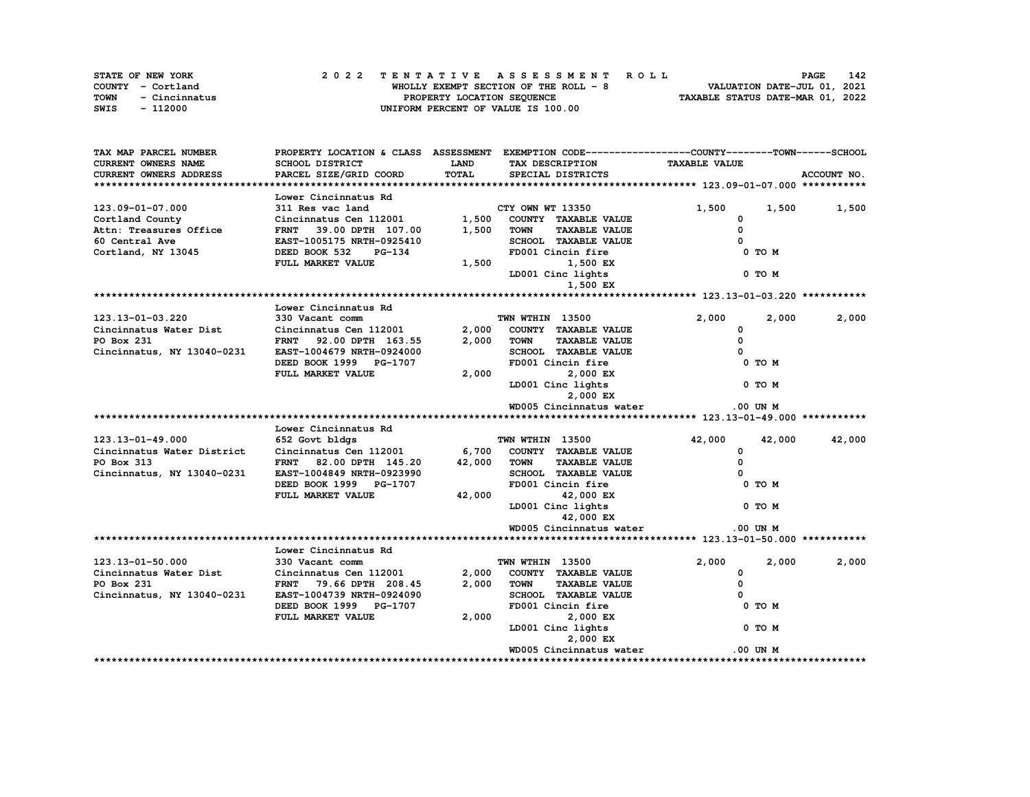| STATE OF NEW YORK |               |  | 2022 TENTATIVE ASSESSMENT ROLL |  |  |  |                                       |  |  |  |  |  |  |                                  | <b>PAGE</b> | 142 |
|-------------------|---------------|--|--------------------------------|--|--|--|---------------------------------------|--|--|--|--|--|--|----------------------------------|-------------|-----|
| COUNTY - Cortland |               |  |                                |  |  |  | WHOLLY EXEMPT SECTION OF THE ROLL - 8 |  |  |  |  |  |  | VALUATION DATE-JUL 01, 2021      |             |     |
| TOWN              | - Cincinnatus |  |                                |  |  |  | PROPERTY LOCATION SEQUENCE            |  |  |  |  |  |  | TAXABLE STATUS DATE-MAR 01, 2022 |             |     |
| SWIS              | - 112000      |  |                                |  |  |  | UNIFORM PERCENT OF VALUE IS 100.00    |  |  |  |  |  |  |                                  |             |     |

| TAX MAP PARCEL NUMBER         |                                |              | PROPERTY LOCATION & CLASS ASSESSMENT EXEMPTION CODE----------------COUNTY-------TOWN-----SCHOOL |                      |                   |
|-------------------------------|--------------------------------|--------------|-------------------------------------------------------------------------------------------------|----------------------|-------------------|
| <b>CURRENT OWNERS NAME</b>    | <b>SCHOOL DISTRICT</b>         | <b>LAND</b>  | TAX DESCRIPTION                                                                                 | <b>TAXABLE VALUE</b> |                   |
| <b>CURRENT OWNERS ADDRESS</b> | PARCEL SIZE/GRID COORD         | <b>TOTAL</b> | SPECIAL DISTRICTS                                                                               |                      | ACCOUNT NO.       |
|                               |                                |              |                                                                                                 |                      |                   |
|                               | Lower Cincinnatus Rd           |              |                                                                                                 |                      |                   |
| 123.09-01-07.000              | 311 Res vac land               |              | CTY OWN WT 13350                                                                                | 1,500                | 1,500<br>1,500    |
| Cortland County               | Cincinnatus Cen 112001         | 1,500        | COUNTY TAXABLE VALUE                                                                            | 0                    |                   |
| Attn: Treasures Office        | FRNT 39.00 DPTH 107.00         | 1,500        | <b>TOWN</b><br><b>TAXABLE VALUE</b>                                                             | $\Omega$             |                   |
| 60 Central Ave                | EAST-1005175 NRTH-0925410      |              | SCHOOL TAXABLE VALUE                                                                            |                      |                   |
| Cortland, NY 13045            | DEED BOOK 532<br><b>PG-134</b> |              | FD001 Cincin fire                                                                               | 0 TO M               |                   |
|                               | FULL MARKET VALUE              | 1,500        | 1,500 EX                                                                                        |                      |                   |
|                               |                                |              | LD001 Cinc lights                                                                               | 0 TO M               |                   |
|                               |                                |              | 1,500 EX                                                                                        |                      |                   |
|                               |                                |              |                                                                                                 |                      |                   |
|                               | Lower Cincinnatus Rd           |              |                                                                                                 |                      |                   |
| 123.13-01-03.220              | 330 Vacant comm                |              | TWN WTHIN 13500                                                                                 | 2,000                | 2,000<br>2,000    |
| Cincinnatus Water Dist        | Cincinnatus Cen 112001         | 2,000        | COUNTY TAXABLE VALUE                                                                            | 0                    |                   |
| PO Box 231                    | FRNT 92.00 DPTH 163.55         | 2,000        | <b>TAXABLE VALUE</b><br><b>TOWN</b>                                                             | $\Omega$             |                   |
| Cincinnatus, NY 13040-0231    | EAST-1004679 NRTH-0924000      |              | SCHOOL TAXABLE VALUE                                                                            | $\Omega$             |                   |
|                               | DEED BOOK 1999 PG-1707         |              | FD001 Cincin fire                                                                               | 0 TO M               |                   |
|                               | FULL MARKET VALUE              | 2,000        | 2,000 EX                                                                                        |                      |                   |
|                               |                                |              | LD001 Cinc lights                                                                               | 0 TO M               |                   |
|                               |                                |              | 2,000 EX                                                                                        |                      |                   |
|                               |                                |              | WD005 Cincinnatus water                                                                         | $.00$ UN $M$         |                   |
|                               |                                |              |                                                                                                 |                      |                   |
|                               | Lower Cincinnatus Rd           |              |                                                                                                 |                      |                   |
|                               |                                |              |                                                                                                 |                      |                   |
| 123.13-01-49.000              | 652 Govt bldgs                 |              | TWN WTHIN 13500                                                                                 | 42,000               | 42,000<br>42,000  |
| Cincinnatus Water District    | Cincinnatus Cen 112001         |              | 6,700 COUNTY TAXABLE VALUE                                                                      | 0                    |                   |
| PO Box 313                    | FRNT 82.00 DPTH 145.20         | 42,000       | <b>TAXABLE VALUE</b><br><b>TOWN</b>                                                             | 0                    |                   |
| Cincinnatus, NY 13040-0231    | EAST-1004849 NRTH-0923990      |              | SCHOOL TAXABLE VALUE                                                                            | $\Omega$             |                   |
|                               | DEED BOOK 1999 PG-1707         |              | FD001 Cincin fire                                                                               | 0 TO M               |                   |
|                               | FULL MARKET VALUE              | 42,000       | 42,000 EX                                                                                       |                      |                   |
|                               |                                |              | LD001 Cinc lights                                                                               | 0 TO M               |                   |
|                               |                                |              | 42,000 EX                                                                                       |                      |                   |
|                               |                                |              | WD005 Cincinnatus water                                                                         | .00 UN M             |                   |
|                               |                                |              |                                                                                                 |                      |                   |
|                               | Lower Cincinnatus Rd           |              |                                                                                                 |                      |                   |
| 123.13-01-50.000              | 330 Vacant comm                |              | TWN WTHIN 13500                                                                                 | 2,000                | 2,000<br>2,000    |
| Cincinnatus Water Dist        | Cincinnatus Cen 112001         | 2,000        | COUNTY TAXABLE VALUE                                                                            | 0                    |                   |
| PO Box 231                    | FRNT 79.66 DPTH 208.45         | 2,000        | <b>TAXABLE VALUE</b><br><b>TOWN</b>                                                             | 0                    |                   |
| Cincinnatus, NY 13040-0231    | EAST-1004739 NRTH-0924090      |              | SCHOOL TAXABLE VALUE                                                                            | $\Omega$             |                   |
|                               | DEED BOOK 1999 PG-1707         |              | FD001 Cincin fire                                                                               | 0 TO M               |                   |
|                               | FULL MARKET VALUE              | 2,000        | 2,000 EX                                                                                        |                      |                   |
|                               |                                |              | LD001 Cinc lights                                                                               | $0$ TO $M$           |                   |
|                               |                                |              | 2,000 EX                                                                                        |                      |                   |
|                               |                                |              | WD005 Cincinnatus water                                                                         | $.00$ UN $M$         |                   |
|                               |                                |              |                                                                                                 |                      | ***************** |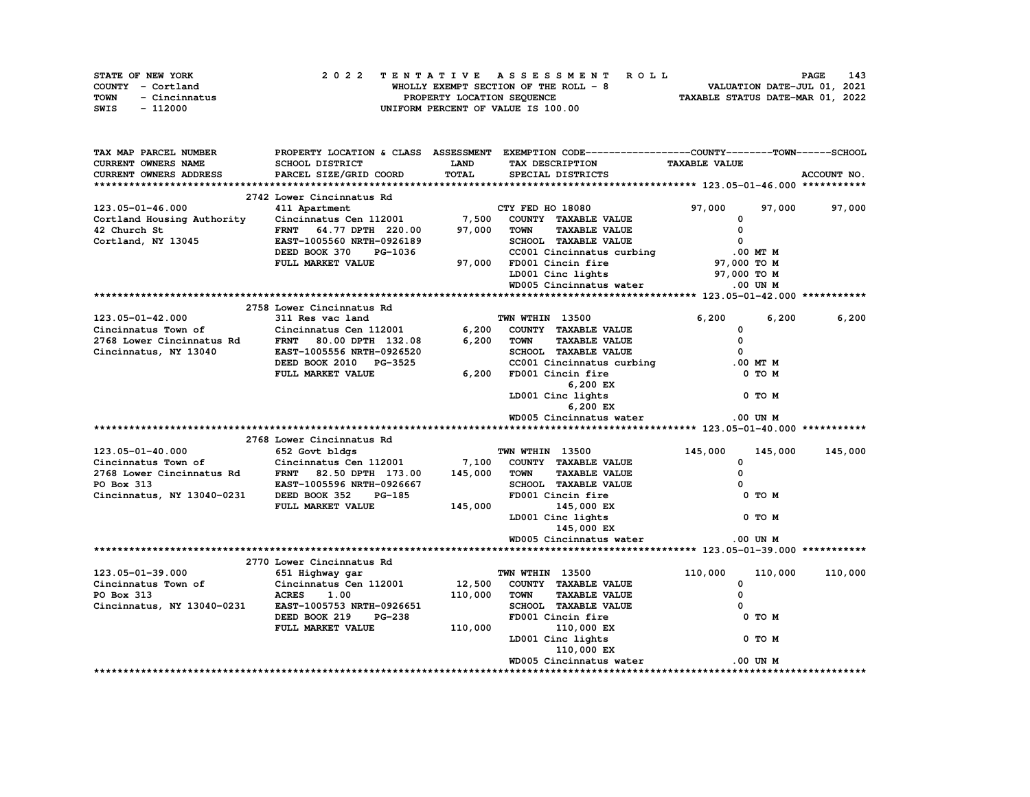|      | STATE OF NEW YORK | 2022 TENTATIVE ASSESSMENT ROLL        | 143<br>PAGE                      |
|------|-------------------|---------------------------------------|----------------------------------|
|      | COUNTY - Cortland | WHOLLY EXEMPT SECTION OF THE ROLL - 8 | VALUATION DATE-JUL 01, 2021      |
| TOWN | - Cincinnatus     | PROPERTY LOCATION SEQUENCE            | TAXABLE STATUS DATE-MAR 01, 2022 |
| SWIS | - 112000          | UNIFORM PERCENT OF VALUE IS 100.00    |                                  |

| TAX MAP PARCEL NUMBER                                                                                                                                                                                                                           |                                                   |              | PROPERTY LOCATION & CLASS ASSESSMENT EXEMPTION CODE----------------COUNTY-------TOWN-----SCHOOL |                         |             |
|-------------------------------------------------------------------------------------------------------------------------------------------------------------------------------------------------------------------------------------------------|---------------------------------------------------|--------------|-------------------------------------------------------------------------------------------------|-------------------------|-------------|
| <b>CURRENT OWNERS NAME</b>                                                                                                                                                                                                                      | SCHOOL DISTRICT                                   | <b>LAND</b>  | TAX DESCRIPTION                                                                                 | <b>TAXABLE VALUE</b>    |             |
| <b>CURRENT OWNERS ADDRESS</b>                                                                                                                                                                                                                   | PARCEL SIZE/GRID COORD                            | <b>TOTAL</b> | SPECIAL DISTRICTS                                                                               |                         | ACCOUNT NO. |
|                                                                                                                                                                                                                                                 |                                                   |              |                                                                                                 |                         |             |
|                                                                                                                                                                                                                                                 | 2742 Lower Cincinnatus Rd                         |              |                                                                                                 |                         |             |
| 123.05-01-46.000                                                                                                                                                                                                                                | 411 Apartment                                     |              | CTY FED HO 18080                                                                                | 97,000<br>97,000        | 97,000      |
| Cortland Housing Authority                                                                                                                                                                                                                      | Cincinnatus Cen 112001 7,500 COUNTY TAXABLE VALUE |              |                                                                                                 | 0                       |             |
| 42 Church St                                                                                                                                                                                                                                    | FRNT 64.77 DPTH 220.00                            | 97,000       | <b>TAXABLE VALUE</b><br><b>TOWN</b>                                                             | $\mathbf 0$             |             |
| Cortland, NY 13045                                                                                                                                                                                                                              | EAST-1005560 NRTH-0926189                         |              | SCHOOL TAXABLE VALUE                                                                            | $\overline{\mathbf{0}}$ |             |
|                                                                                                                                                                                                                                                 | DEED BOOK 370<br>PG-1036                          |              | CC001 Cincinnatus curbing                                                                       | .00 MT M                |             |
|                                                                                                                                                                                                                                                 | FULL MARKET VALUE                                 |              | 97,000 FD001 Cincin fire                                                                        | 97,000 TO M             |             |
|                                                                                                                                                                                                                                                 |                                                   |              | LD001 Cinc lights                                                                               | 97,000 TO M             |             |
|                                                                                                                                                                                                                                                 |                                                   |              | WD005 Cincinnatus water                                                                         | .00 UN M                |             |
|                                                                                                                                                                                                                                                 |                                                   |              |                                                                                                 |                         |             |
|                                                                                                                                                                                                                                                 |                                                   |              |                                                                                                 |                         |             |
|                                                                                                                                                                                                                                                 | 2758 Lower Cincinnatus Rd                         |              |                                                                                                 |                         |             |
| 123.05-01-42.000                                                                                                                                                                                                                                | 311 Res vac land                                  |              | <b>TWN WTHIN 13500</b>                                                                          | 6,200<br>6.200          | 6,200       |
| Cincinnatus Town of                                                                                                                                                                                                                             | Cincinnatus Cen 112001                            | 6,200        | COUNTY TAXABLE VALUE                                                                            | $\mathbf 0$             |             |
| 2768 Lower Cincinnatus Rd<br>Cincinnatus, NY 13040                                                                                                                                                                                              | FRNT 80.00 DPTH 132.08                            | 6,200        | <b>TAXABLE VALUE</b><br><b>TOWN</b>                                                             | 0                       |             |
|                                                                                                                                                                                                                                                 | EAST-1005556 NRTH-0926520                         |              | SCHOOL TAXABLE VALUE                                                                            | $\Omega$                |             |
|                                                                                                                                                                                                                                                 | DEED BOOK 2010 PG-3525                            |              | CC001 Cincinnatus curbing                                                                       | $.00$ MT $M$            |             |
|                                                                                                                                                                                                                                                 | FULL MARKET VALUE                                 | 6,200        | FD001 Cincin fire                                                                               | 0 TO M                  |             |
|                                                                                                                                                                                                                                                 |                                                   |              | 6,200 EX                                                                                        |                         |             |
|                                                                                                                                                                                                                                                 |                                                   |              | LD001 Cinc lights                                                                               | 0 TO M                  |             |
|                                                                                                                                                                                                                                                 |                                                   |              | 6,200 EX                                                                                        |                         |             |
|                                                                                                                                                                                                                                                 |                                                   |              | WD005 Cincinnatus water                                                                         | $.00$ UN M              |             |
|                                                                                                                                                                                                                                                 |                                                   |              |                                                                                                 |                         |             |
|                                                                                                                                                                                                                                                 | 2768 Lower Cincinnatus Rd                         |              |                                                                                                 |                         |             |
| 123.05-01-40.000<br>Cincinnatus Town of Cincinnatus Cen 112001<br>2768 Lower Cincinnatus Rd FRNT 82.50 DPTH 173.00<br>EAST-1005596 NRTH-0926667<br>$\begin{array}{r} \n\text{EAY} \n\end{array}$ 82.50 DPTH 173.00<br>EAST-1005596 NRTH-0926667 |                                                   |              | TWN WTHIN 13500                                                                                 | 145,000<br>145,000      | 145,000     |
|                                                                                                                                                                                                                                                 |                                                   | 7,100        | COUNTY TAXABLE VALUE                                                                            | $\mathbf 0$             |             |
|                                                                                                                                                                                                                                                 |                                                   | 145,000      | TOWN<br><b>TAXABLE VALUE</b>                                                                    | $\Omega$                |             |
|                                                                                                                                                                                                                                                 |                                                   |              | SCHOOL TAXABLE VALUE                                                                            | $\Omega$                |             |
|                                                                                                                                                                                                                                                 |                                                   |              | FD001 Cincin fire                                                                               | $0$ TO $M$              |             |
|                                                                                                                                                                                                                                                 | FULL MARKET VALUE                                 | 145,000      | 145,000 EX                                                                                      |                         |             |
|                                                                                                                                                                                                                                                 |                                                   |              | LD001 Cinc lights                                                                               | 0 TO M                  |             |
|                                                                                                                                                                                                                                                 |                                                   |              | 145,000 EX                                                                                      |                         |             |
|                                                                                                                                                                                                                                                 |                                                   |              |                                                                                                 | $.00$ UN $M$            |             |
|                                                                                                                                                                                                                                                 |                                                   |              | WD005 Cincinnatus water                                                                         |                         |             |
|                                                                                                                                                                                                                                                 |                                                   |              |                                                                                                 |                         |             |
|                                                                                                                                                                                                                                                 | 2770 Lower Cincinnatus Rd                         |              |                                                                                                 |                         |             |
| 123.05-01-39.000                                                                                                                                                                                                                                | 651 Highway gar                                   |              | TWN WTHIN 13500                                                                                 | 110,000<br>110,000      | 110,000     |
| Cincinnatus Town of                                                                                                                                                                                                                             | Cincinnatus Cen 112001                            | 12,500       | COUNTY TAXABLE VALUE                                                                            | $\mathbf 0$             |             |
| PO Box 313                                                                                                                                                                                                                                      | <b>ACRES</b><br>1.00                              | 110,000      | <b>TAXABLE VALUE</b><br><b>TOWN</b>                                                             | 0                       |             |
| Cincinnatus, NY 13040-0231 EAST-1005753 NRTH-0926651                                                                                                                                                                                            |                                                   |              | SCHOOL TAXABLE VALUE                                                                            | $\Omega$                |             |
|                                                                                                                                                                                                                                                 | DEED BOOK 219<br><b>PG-238</b>                    |              | FD001 Cincin fire                                                                               | $0$ TO $M$              |             |
|                                                                                                                                                                                                                                                 | FULL MARKET VALUE                                 | 110,000      | 110,000 EX                                                                                      |                         |             |
|                                                                                                                                                                                                                                                 |                                                   |              | LD001 Cinc lights                                                                               | 0 TO M                  |             |
|                                                                                                                                                                                                                                                 |                                                   |              | 110,000 EX                                                                                      |                         |             |
|                                                                                                                                                                                                                                                 |                                                   |              | WD005 Cincinnatus water                                                                         | $.00$ UN M              |             |
|                                                                                                                                                                                                                                                 |                                                   |              |                                                                                                 |                         |             |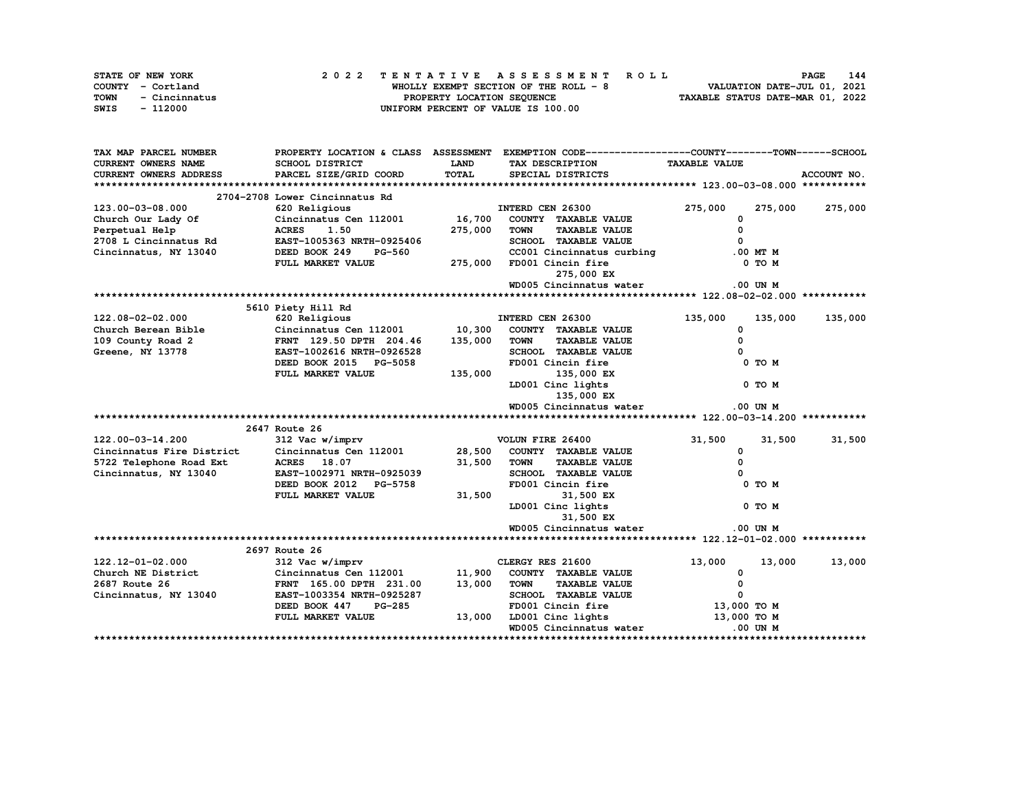|      | STATE OF NEW YORK |  |                            | 2022 TENTATIVE ASSESSMENT ROLL         | <b>PAGE</b>                      | 144 |
|------|-------------------|--|----------------------------|----------------------------------------|----------------------------------|-----|
|      | COUNTY - Cortland |  |                            | WHOLLY EXEMPT SECTION OF THE ROLL $-8$ | VALUATION DATE-JUL 01, 2021      |     |
| TOWN | - Cincinnatus     |  | PROPERTY LOCATION SEQUENCE |                                        | TAXABLE STATUS DATE-MAR 01, 2022 |     |
| SWIS | - 112000          |  |                            | UNIFORM PERCENT OF VALUE IS 100.00     |                                  |     |

| TAX MAP PARCEL NUMBER         |                                |             | PROPERTY LOCATION & CLASS ASSESSMENT EXEMPTION CODE----------------COUNTY-------TOWN-----SCHOOL |                      |             |
|-------------------------------|--------------------------------|-------------|-------------------------------------------------------------------------------------------------|----------------------|-------------|
| <b>CURRENT OWNERS NAME</b>    | <b>SCHOOL DISTRICT</b>         | <b>LAND</b> | TAX DESCRIPTION                                                                                 | <b>TAXABLE VALUE</b> |             |
| <b>CURRENT OWNERS ADDRESS</b> | PARCEL SIZE/GRID COORD         | TOTAL       | SPECIAL DISTRICTS                                                                               |                      | ACCOUNT NO. |
|                               |                                |             |                                                                                                 |                      |             |
|                               | 2704-2708 Lower Cincinnatus Rd |             |                                                                                                 |                      |             |
| 123.00-03-08.000              | 620 Religious                  |             | INTERD CEN 26300                                                                                | 275,000<br>275,000   | 275,000     |
| Church Our Lady Of            | Cincinnatus Cen 112001 16,700  |             | COUNTY TAXABLE VALUE                                                                            | 0                    |             |
| Perpetual Help                | <b>ACRES</b><br>1.50           | 275,000     | <b>TOWN</b><br><b>TAXABLE VALUE</b>                                                             | $\Omega$             |             |
| 2708 L Cincinnatus Rd         | EAST-1005363 NRTH-0925406      |             | SCHOOL TAXABLE VALUE                                                                            |                      |             |
| Cincinnatus, NY 13040         | DEED BOOK 249 PG-560           |             | CC001 Cincinnatus curbing                                                                       | $.00$ MT $M$         |             |
|                               | FULL MARKET VALUE              | 275,000     | FD001 Cincin fire                                                                               | 0 TO M               |             |
|                               |                                |             | 275,000 EX                                                                                      |                      |             |
|                               |                                |             | WD005 Cincinnatus water                                                                         | .00 UN M             |             |
|                               |                                |             |                                                                                                 |                      |             |
|                               | 5610 Piety Hill Rd             |             |                                                                                                 |                      |             |
| 122.08-02-02.000              | 620 Religious                  |             | INTERD CEN 26300                                                                                | 135,000<br>135,000   | 135,000     |
| Church Berean Bible           | Cincinnatus Cen 112001         | 10,300      | COUNTY TAXABLE VALUE                                                                            | 0                    |             |
| 109 County Road 2             | FRNT 129.50 DPTH 204.46        | 135,000     | <b>TOWN</b><br><b>TAXABLE VALUE</b>                                                             | $\mathbf{0}$         |             |
| Greene, NY 13778              | EAST-1002616 NRTH-0926528      |             | SCHOOL TAXABLE VALUE                                                                            |                      |             |
|                               | DEED BOOK 2015 PG-5058         |             | FD001 Cincin fire                                                                               | 0 TO M               |             |
|                               | FULL MARKET VALUE              | 135,000     | 135,000 EX                                                                                      |                      |             |
|                               |                                |             | LD001 Cinc lights                                                                               | 0 TO M               |             |
|                               |                                |             | 135,000 EX                                                                                      |                      |             |
|                               |                                |             | WD005 Cincinnatus water                                                                         | $.00$ UN $M$         |             |
|                               |                                |             |                                                                                                 |                      |             |
|                               | 2647 Route 26                  |             |                                                                                                 |                      |             |
| 122.00-03-14.200              | 312 Vac w/imprv                |             | VOLUN FIRE 26400                                                                                | 31,500<br>31,500     | 31,500      |
| Cincinnatus Fire District     | Cincinnatus Cen 112001         | 28,500      | COUNTY TAXABLE VALUE                                                                            | 0                    |             |
| 5722 Telephone Road Ext       | <b>ACRES</b> 18.07             | 31,500      | <b>TAXABLE VALUE</b><br><b>TOWN</b>                                                             | $\Omega$             |             |
| Cincinnatus, NY 13040         | EAST-1002971 NRTH-0925039      |             | SCHOOL TAXABLE VALUE                                                                            |                      |             |
|                               | DEED BOOK 2012 PG-5758         |             | FD001 Cincin fire                                                                               | 0 TO M               |             |
|                               | FULL MARKET VALUE              | 31,500      | 31,500 EX                                                                                       |                      |             |
|                               |                                |             | LD001 Cinc lights                                                                               | 0 TO M               |             |
|                               |                                |             | 31,500 EX                                                                                       |                      |             |
|                               |                                |             | WD005 Cincinnatus water                                                                         | $.00$ UN M           |             |
|                               |                                |             |                                                                                                 |                      |             |
|                               | 2697 Route 26                  |             |                                                                                                 |                      |             |
| 122.12-01-02.000              | 312 Vac w/imprv                |             | CLERGY RES 21600                                                                                | 13,000<br>13,000     | 13,000      |
| Church NE District            | Cincinnatus Cen 112001         | 11,900      | COUNTY TAXABLE VALUE                                                                            | 0                    |             |
| 2687 Route 26                 | FRNT 165.00 DPTH 231.00        | 13,000      | <b>TOWN</b><br><b>TAXABLE VALUE</b>                                                             | $\mathbf{o}$         |             |
| Cincinnatus, NY 13040         | EAST-1003354 NRTH-0925287      |             | SCHOOL TAXABLE VALUE                                                                            | $\mathbf 0$          |             |
|                               | DEED BOOK 447<br><b>PG-285</b> |             | FD001 Cincin fire                                                                               | 13,000 TO M          |             |
|                               | FULL MARKET VALUE              | 13,000      | LD001 Cinc lights                                                                               | 13,000 TO M          |             |
|                               |                                |             | WD005 Cincinnatus water                                                                         | .00 UN M             |             |
|                               |                                |             |                                                                                                 |                      |             |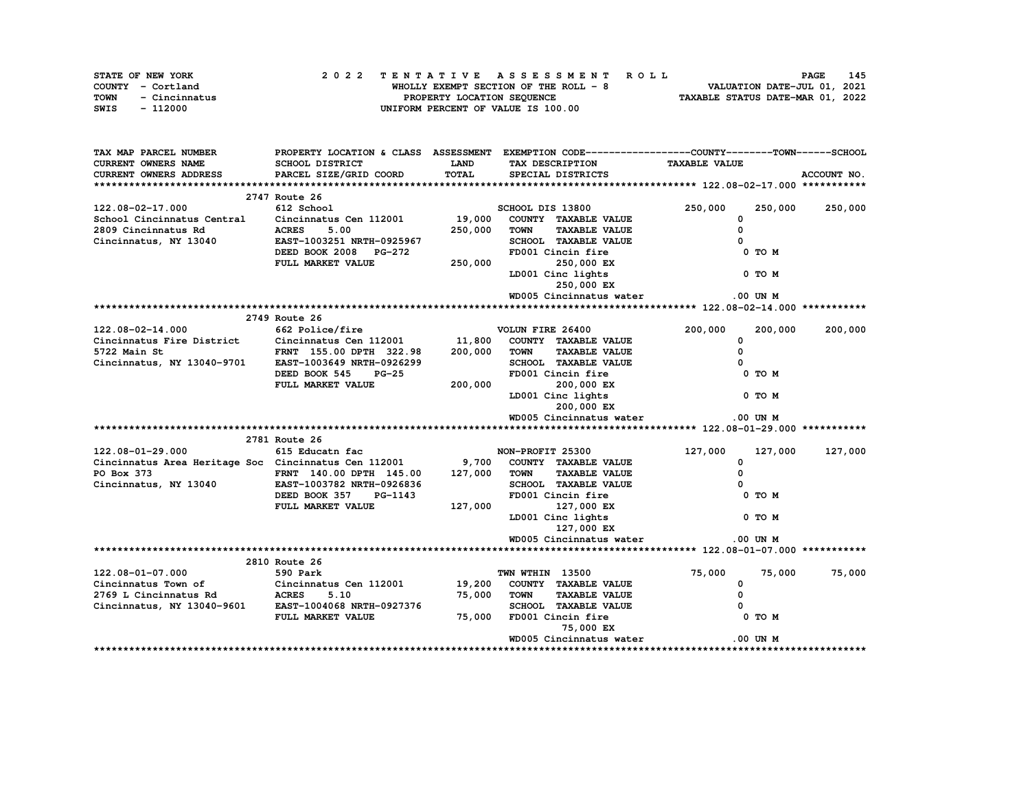| STATE OF NEW YORK     | 2022 TENTATIVE ASSESSMENT ROLL         | 145<br><b>PAGE</b>               |
|-----------------------|----------------------------------------|----------------------------------|
| COUNTY - Cortland     | WHOLLY EXEMPT SECTION OF THE ROLL $-8$ | VALUATION DATE-JUL 01, 2021      |
| TOWN<br>- Cincinnatus | PROPERTY LOCATION SEQUENCE             | TAXABLE STATUS DATE-MAR 01, 2022 |
| - 112000<br>SWIS      | UNIFORM PERCENT OF VALUE IS 100.00     |                                  |

| TAX MAP PARCEL NUMBER                                                                                                                                                                                                                                                                                                                                                                                                                    |                                                       |              | PROPERTY LOCATION & CLASS ASSESSMENT EXEMPTION CODE-----------------COUNTY-------TOWN------SCHOOL |                      |                 |
|------------------------------------------------------------------------------------------------------------------------------------------------------------------------------------------------------------------------------------------------------------------------------------------------------------------------------------------------------------------------------------------------------------------------------------------|-------------------------------------------------------|--------------|---------------------------------------------------------------------------------------------------|----------------------|-----------------|
| CURRENT OWNERS NAME                                                                                                                                                                                                                                                                                                                                                                                                                      | SCHOOL DISTRICT                                       | <b>LAND</b>  | TAX DESCRIPTION                                                                                   | <b>TAXABLE VALUE</b> |                 |
| CURRENT OWNERS ADDRESS                                                                                                                                                                                                                                                                                                                                                                                                                   | PARCEL SIZE/GRID COORD                                | <b>TOTAL</b> | SPECIAL DISTRICTS                                                                                 |                      | ACCOUNT NO.     |
|                                                                                                                                                                                                                                                                                                                                                                                                                                          |                                                       |              |                                                                                                   |                      |                 |
|                                                                                                                                                                                                                                                                                                                                                                                                                                          | 2747 Route 26                                         |              |                                                                                                   |                      |                 |
| 122.08-02-17.000                                                                                                                                                                                                                                                                                                                                                                                                                         | 612 School                                            |              | SCHOOL DIS 13800                                                                                  | 250,000              | 250,000 250,000 |
| School Cincinnatus Central Cincinnatus Cen 112001 19,000                                                                                                                                                                                                                                                                                                                                                                                 |                                                       |              | COUNTY TAXABLE VALUE                                                                              | $\mathbf 0$          |                 |
|                                                                                                                                                                                                                                                                                                                                                                                                                                          |                                                       |              | 250,000 TOWN TAXABLE VALUE                                                                        | $\Omega$             |                 |
| 2809 Cincinnatus Rd                 ACRES       5.00<br>Cincinnatus, NY 13040             EAST-1003251 NRTH-0925967                                                                                                                                                                                                                                                                                                                      |                                                       |              | SCHOOL TAXABLE VALUE                                                                              |                      |                 |
|                                                                                                                                                                                                                                                                                                                                                                                                                                          | DEED BOOK 2008 PG-272<br>FULL MARKET VALUE 250,000    |              | FD001 Cincin fire                                                                                 | 0 TO M               |                 |
|                                                                                                                                                                                                                                                                                                                                                                                                                                          |                                                       |              |                                                                                                   |                      |                 |
|                                                                                                                                                                                                                                                                                                                                                                                                                                          |                                                       |              | 250,000 EX<br>LD001 Cinc lights                                                                   | $0$ TO M             |                 |
|                                                                                                                                                                                                                                                                                                                                                                                                                                          |                                                       |              | 250,000 EX                                                                                        |                      |                 |
|                                                                                                                                                                                                                                                                                                                                                                                                                                          |                                                       |              | WD005 Cincinnatus water                                                                           | .00 UN M             |                 |
|                                                                                                                                                                                                                                                                                                                                                                                                                                          |                                                       |              |                                                                                                   |                      |                 |
|                                                                                                                                                                                                                                                                                                                                                                                                                                          | 2749 Route 26                                         |              |                                                                                                   |                      |                 |
| 122.08-02-14.000                                                                                                                                                                                                                                                                                                                                                                                                                         | 662 Police/fire <b>bluest volumers</b> volumers 26400 |              |                                                                                                   | 200,000              | 200,000 200,000 |
| Cincinnatus Fire District Cincinnatus Cen 112001 11,800 COUNTY TAXABLE VALUE                                                                                                                                                                                                                                                                                                                                                             |                                                       |              |                                                                                                   | $^{\circ}$           |                 |
|                                                                                                                                                                                                                                                                                                                                                                                                                                          |                                                       |              |                                                                                                   | $\Omega$             |                 |
|                                                                                                                                                                                                                                                                                                                                                                                                                                          |                                                       |              | SCHOOL TAXABLE VALUE                                                                              |                      |                 |
|                                                                                                                                                                                                                                                                                                                                                                                                                                          |                                                       |              |                                                                                                   | 0 TO M               |                 |
|                                                                                                                                                                                                                                                                                                                                                                                                                                          | DEED BOOK 545 PG-25<br>FULL MARKET VALUE              | 200,000      |                                                                                                   |                      |                 |
|                                                                                                                                                                                                                                                                                                                                                                                                                                          |                                                       |              | 200,000 EX<br>LD001 Cinc lights                                                                   | $O$ TO M             |                 |
|                                                                                                                                                                                                                                                                                                                                                                                                                                          |                                                       |              | 200,000 EX                                                                                        |                      |                 |
|                                                                                                                                                                                                                                                                                                                                                                                                                                          |                                                       |              | WD005 Cincinnatus water                                                                           | $.00$ UN M           |                 |
|                                                                                                                                                                                                                                                                                                                                                                                                                                          |                                                       |              |                                                                                                   |                      |                 |
|                                                                                                                                                                                                                                                                                                                                                                                                                                          | 2781 Route 26                                         |              |                                                                                                   |                      |                 |
| 122.08-01-29.000                                                                                                                                                                                                                                                                                                                                                                                                                         | 615 Educatn fac MON-PROFIT 25300                      |              |                                                                                                   | 127,000              | 127,000 127,000 |
| Cincinnatus Area Heritage Soc Cincinnatus Cen 112001                                                                                                                                                                                                                                                                                                                                                                                     |                                                       |              | 9,700 COUNTY TAXABLE VALUE                                                                        | $^{\circ}$           |                 |
|                                                                                                                                                                                                                                                                                                                                                                                                                                          |                                                       |              |                                                                                                   | $\Omega$             |                 |
| $\tiny{\texttt{PO Box 373}}\begin{array}{c} \texttt{PNN} \end{array}\begin{array}{c} \texttt{FRN} \end{array}\begin{array}{c} \texttt{IRN} \end{array}\begin{array}{c} \texttt{140.00 DPTH} \end{array}\begin{array}{c} \texttt{145.00} \end{array}\begin{array}{c} \texttt{127,000} \end{array}\begin{array}{c} \texttt{TOWN} \end{array}\begin{array}{c} \texttt{TAXABLE VALUE} \end{array}\begin{array}{c} \texttt{NLUE} \end{array}$ |                                                       |              |                                                                                                   |                      |                 |
|                                                                                                                                                                                                                                                                                                                                                                                                                                          | DEED BOOK 357 PG-1143                                 |              | SCHOOL TAXABLE VALUE<br>Theol Cincin fire<br>FD001 Cincin fire                                    | $0$ TO M             |                 |
|                                                                                                                                                                                                                                                                                                                                                                                                                                          | FULL MARKET VALUE 127,000                             |              | $127,000$ EX                                                                                      |                      |                 |
|                                                                                                                                                                                                                                                                                                                                                                                                                                          |                                                       |              | LD001 Cinc lights                                                                                 | $0$ TO M             |                 |
|                                                                                                                                                                                                                                                                                                                                                                                                                                          |                                                       |              | 127,000 EX                                                                                        |                      |                 |
|                                                                                                                                                                                                                                                                                                                                                                                                                                          |                                                       |              | WD005 Cincinnatus water                                                                           | $.00$ UN M           |                 |
|                                                                                                                                                                                                                                                                                                                                                                                                                                          |                                                       |              |                                                                                                   |                      |                 |
|                                                                                                                                                                                                                                                                                                                                                                                                                                          | 2810 Route 26                                         |              |                                                                                                   |                      |                 |
|                                                                                                                                                                                                                                                                                                                                                                                                                                          | 590 Park                                              |              | TWN WTHIN 13500                                                                                   |                      | 75,000 75,000   |
| 122.08-01-07.000                                                                                                                                                                                                                                                                                                                                                                                                                         |                                                       |              |                                                                                                   | 75,000<br>$^{\circ}$ |                 |
| Cincinnatus Town of Cincinnatus Cen 112001 19, 200 COUNTY TAXABLE VALUE<br>2769 L Cincinnatus Rd aCRES 5.10 75,000 TOWN TAXABLE VALUE<br>Cincinnatus, NY 13040-9601 EAST-1004068 NRTH-0927376 SCHOOL TAXABLE VALUE                                                                                                                                                                                                                       |                                                       |              |                                                                                                   | $^{\circ}$           |                 |
|                                                                                                                                                                                                                                                                                                                                                                                                                                          |                                                       |              | 75,000 TOWN TAXABLE VALUE                                                                         |                      |                 |
|                                                                                                                                                                                                                                                                                                                                                                                                                                          | FULL MARKET VALUE                                     | 75,000       | SCHOOL TAXABLE VALUE<br>FD001 Cincin fire                                                         | $0$ TO $M$           |                 |
|                                                                                                                                                                                                                                                                                                                                                                                                                                          |                                                       |              | 75,000 EX                                                                                         |                      |                 |
|                                                                                                                                                                                                                                                                                                                                                                                                                                          |                                                       |              | WD005 Cincinnatus water                                                                           | .00 UN M             |                 |
|                                                                                                                                                                                                                                                                                                                                                                                                                                          |                                                       |              |                                                                                                   |                      |                 |
|                                                                                                                                                                                                                                                                                                                                                                                                                                          |                                                       |              |                                                                                                   |                      |                 |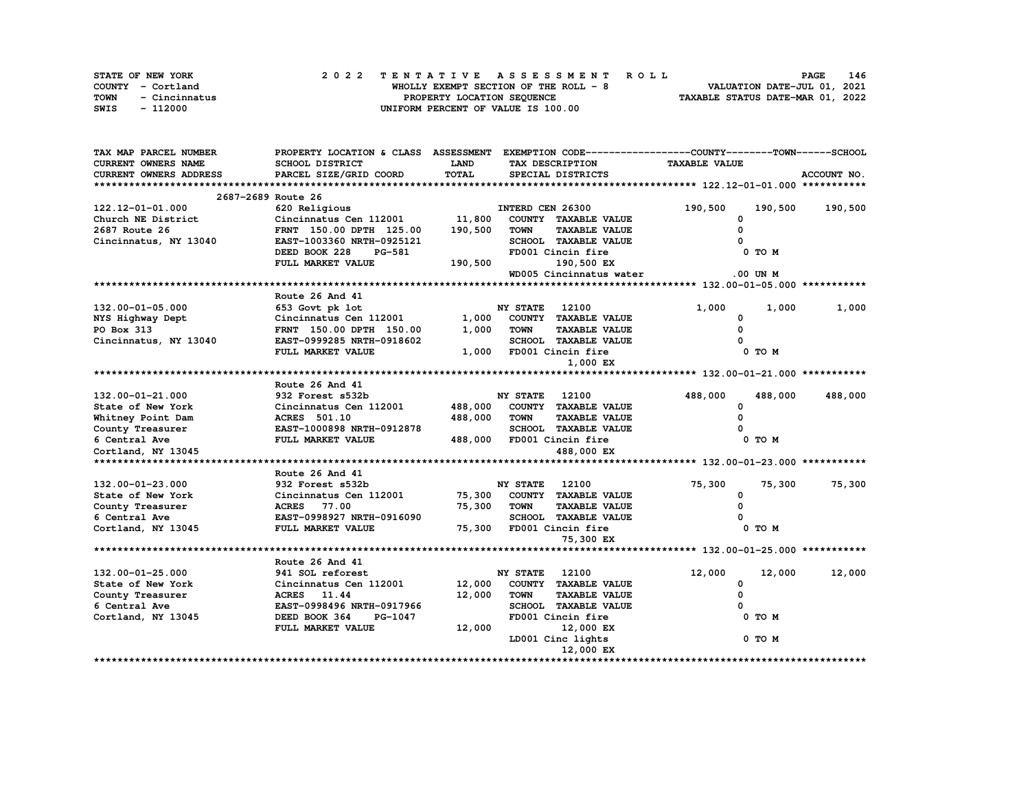| STATE OF NEW YORK     | 2022 TENTATIVE ASSESSMENT ROLL         | 146<br><b>PAGE</b>               |
|-----------------------|----------------------------------------|----------------------------------|
| COUNTY - Cortland     | WHOLLY EXEMPT SECTION OF THE ROLL $-8$ | VALUATION DATE-JUL 01, 2021      |
| TOWN<br>- Cincinnatus | PROPERTY LOCATION SEQUENCE             | TAXABLE STATUS DATE-MAR 01, 2022 |
| SWIS<br>- 112000      | UNIFORM PERCENT OF VALUE IS 100.00     |                                  |

| TAX MAP PARCEL NUMBER  | PROPERTY LOCATION & CLASS ASSESSMENT EXEMPTION CODE----------------COUNTY-------TOWN-----SCHOOL |             |                       |                            |                      |              |             |
|------------------------|-------------------------------------------------------------------------------------------------|-------------|-----------------------|----------------------------|----------------------|--------------|-------------|
| CURRENT OWNERS NAME    | SCHOOL DISTRICT                                                                                 | <b>LAND</b> |                       | TAX DESCRIPTION            | <b>TAXABLE VALUE</b> |              |             |
| CURRENT OWNERS ADDRESS | PARCEL SIZE/GRID COORD                                                                          | TOTAL       |                       | SPECIAL DISTRICTS          |                      |              | ACCOUNT NO. |
|                        |                                                                                                 |             |                       |                            |                      |              |             |
| 2687-2689 Route 26     |                                                                                                 |             |                       |                            |                      |              |             |
| 122.12-01-01.000       | 620 Religious                                                                                   |             | INTERD CEN 26300      |                            | 190,500              | 190,500      | 190,500     |
| Church NE District     | Cincinnatus Cen 112001                                                                          | 11,800      |                       | COUNTY TAXABLE VALUE       | 0                    |              |             |
| 2687 Route 26          | FRNT 150.00 DPTH 125.00                                                                         | 190,500     | <b>TOWN</b>           | <b>TAXABLE VALUE</b>       | 0                    |              |             |
| Cincinnatus, NY 13040  | EAST-1003360 NRTH-0925121                                                                       |             |                       | SCHOOL TAXABLE VALUE       |                      |              |             |
|                        | DEED BOOK 228<br><b>PG-581</b>                                                                  |             |                       | FD001 Cincin fire          |                      | 0 TO M       |             |
|                        | FULL MARKET VALUE                                                                               | 190,500     |                       | 190,500 EX                 |                      |              |             |
|                        |                                                                                                 |             |                       | WD005 Cincinnatus water    |                      | $.00$ UN $M$ |             |
|                        |                                                                                                 |             |                       |                            |                      |              |             |
|                        | Route 26 And 41                                                                                 |             |                       |                            |                      |              |             |
| 132.00-01-05.000       | 653 Govt pk lot                                                                                 |             | <b>NY STATE</b>       | 12100                      | 1,000                | 1,000        | 1,000       |
| NYS Highway Dept       | Cincinnatus Cen 112001                                                                          |             |                       | 1,000 COUNTY TAXABLE VALUE | 0                    |              |             |
| PO Box 313             | FRNT 150.00 DPTH 150.00                                                                         | 1,000       | <b>TOWN</b>           | <b>TAXABLE VALUE</b>       | $\Omega$             |              |             |
| Cincinnatus, NY 13040  | EAST-0999285 NRTH-0918602                                                                       |             |                       | SCHOOL TAXABLE VALUE       |                      |              |             |
|                        | FULL MARKET VALUE                                                                               | 1,000       |                       | FD001 Cincin fire          |                      | 0 TO M       |             |
|                        |                                                                                                 |             |                       | 1,000 EX                   |                      |              |             |
|                        |                                                                                                 |             |                       |                            |                      |              |             |
|                        | Route 26 And 41                                                                                 |             |                       |                            |                      |              |             |
| 132.00-01-21.000       | 932 Forest s532b                                                                                |             | <b>NY STATE</b>       | 12100                      | 488,000              | 488,000      | 488,000     |
| State of New York      | Cincinnatus Cen 112001                                                                          | 488,000     |                       | COUNTY TAXABLE VALUE       | 0                    |              |             |
| Whitney Point Dam      | <b>ACRES</b> 501.10                                                                             | 488,000     | <b>TOWN</b>           | <b>TAXABLE VALUE</b>       | 0                    |              |             |
| County Treasurer       | EAST-1000898 NRTH-0912878                                                                       |             |                       | SCHOOL TAXABLE VALUE       |                      |              |             |
| 6 Central Ave          | FULL MARKET VALUE                                                                               | 488,000     |                       | FD001 Cincin fire          |                      | 0 TO M       |             |
| Cortland, NY 13045     |                                                                                                 |             |                       | 488,000 EX                 |                      |              |             |
|                        |                                                                                                 |             |                       |                            |                      |              |             |
|                        | Route 26 And 41                                                                                 |             |                       |                            |                      |              |             |
| 132.00-01-23.000       | 932 Forest s532b                                                                                |             | <b>NY STATE</b> 12100 |                            | 75,300               | 75,300       | 75,300      |
| State of New York      | Cincinnatus Cen 112001                                                                          | 75,300      |                       | COUNTY TAXABLE VALUE       | 0                    |              |             |
| County Treasurer       | <b>ACRES</b> 77.00                                                                              | 75,300      | <b>TOWN</b>           | <b>TAXABLE VALUE</b>       | $\Omega$             |              |             |
| 6 Central Ave          | EAST-0998927 NRTH-0916090                                                                       |             |                       | SCHOOL TAXABLE VALUE       |                      |              |             |
| Cortland, NY 13045     | FULL MARKET VALUE                                                                               | 75,300      |                       | FD001 Cincin fire          |                      | 0 TO M       |             |
|                        |                                                                                                 |             |                       | 75,300 EX                  |                      |              |             |
|                        |                                                                                                 |             |                       |                            |                      |              |             |
|                        | Route 26 And 41                                                                                 |             |                       |                            |                      |              |             |
| 132.00-01-25.000       | 941 SOL reforest                                                                                |             | <b>NY STATE</b>       | 12100                      | 12,000               | 12,000       | 12,000      |
| State of New York      | Cincinnatus Cen 112001                                                                          | 12,000      |                       | COUNTY TAXABLE VALUE       | 0                    |              |             |
| County Treasurer       | ACRES 11.44                                                                                     | 12,000      | <b>TOWN</b>           | <b>TAXABLE VALUE</b>       | 0                    |              |             |
| 6 Central Ave          | EAST-0998496 NRTH-0917966                                                                       |             |                       | SCHOOL TAXABLE VALUE       |                      |              |             |
| Cortland, NY 13045     | DEED BOOK 364<br>PG-1047                                                                        |             |                       | FD001 Cincin fire          |                      | 0 TO M       |             |
|                        | FULL MARKET VALUE                                                                               | 12,000      |                       | 12,000 EX                  |                      |              |             |
|                        |                                                                                                 |             |                       | LD001 Cinc lights          |                      | 0 TO M       |             |
|                        |                                                                                                 |             |                       | 12,000 EX                  |                      |              |             |
|                        |                                                                                                 |             |                       |                            |                      |              |             |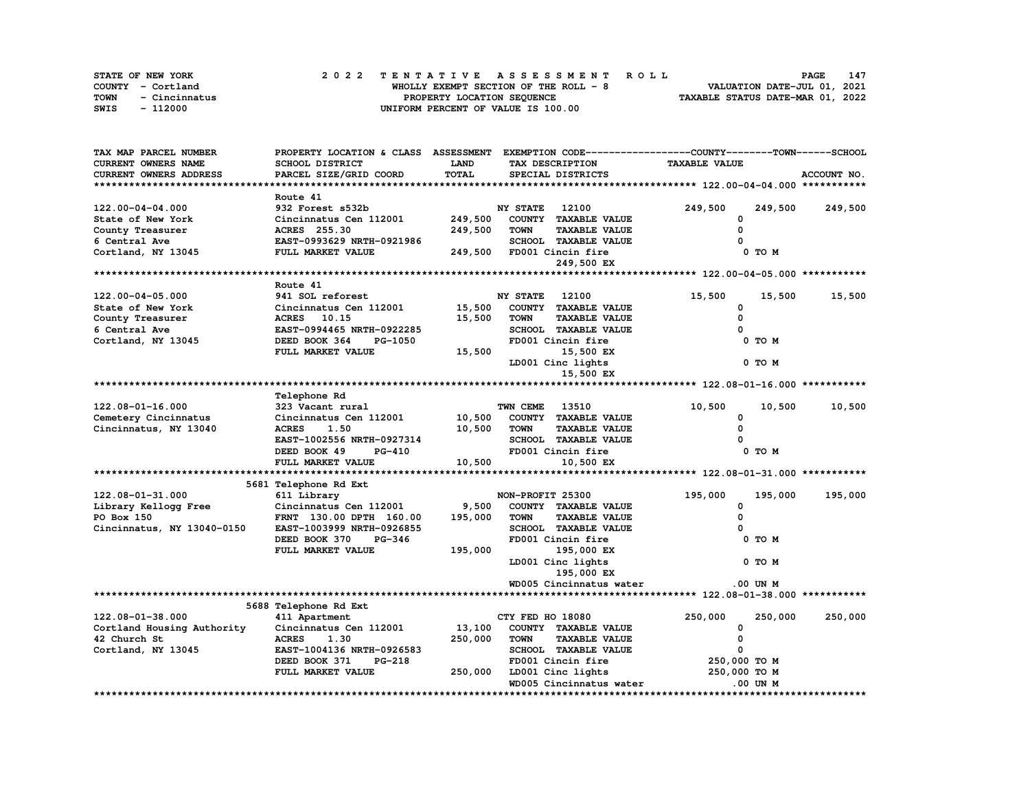|             | STATE OF NEW YORK | 2022 TENTATIVE ASSESSMENT ROLL         | 147<br><b>PAGE</b>               |
|-------------|-------------------|----------------------------------------|----------------------------------|
|             | COUNTY - Cortland | WHOLLY EXEMPT SECTION OF THE ROLL $-8$ | VALUATION DATE-JUL 01, 2021      |
| <b>TOWN</b> | - Cincinnatus     | PROPERTY LOCATION SEQUENCE             | TAXABLE STATUS DATE-MAR 01, 2022 |
| SWIS        | - 112000          | UNIFORM PERCENT OF VALUE IS 100.00     |                                  |

| TAX MAP PARCEL NUMBER      | PROPERTY LOCATION & CLASS ASSESSMENT |             |                  |                             | EXEMPTION CODE-----------------COUNTY-------TOWN-----SCHOOL |              |             |
|----------------------------|--------------------------------------|-------------|------------------|-----------------------------|-------------------------------------------------------------|--------------|-------------|
| CURRENT OWNERS NAME        | <b>SCHOOL DISTRICT</b>               | <b>LAND</b> |                  | TAX DESCRIPTION             | <b>TAXABLE VALUE</b>                                        |              |             |
| CURRENT OWNERS ADDRESS     | PARCEL SIZE/GRID COORD               | TOTAL       |                  | SPECIAL DISTRICTS           |                                                             |              | ACCOUNT NO. |
|                            |                                      |             |                  |                             |                                                             |              |             |
|                            | Route 41                             |             |                  |                             |                                                             |              |             |
| 122.00-04-04.000           | 932 Forest s532b                     |             | NY STATE         | 12100                       | 249,500                                                     | 249,500      | 249,500     |
| State of New York          | Cincinnatus Cen 112001               | 249,500     |                  | COUNTY TAXABLE VALUE        | $\Omega$                                                    |              |             |
| County Treasurer           | <b>ACRES</b> 255.30                  | 249,500     | <b>TOWN</b>      | <b>TAXABLE VALUE</b>        | 0                                                           |              |             |
| 6 Central Ave              | EAST-0993629 NRTH-0921986            |             |                  | SCHOOL TAXABLE VALUE        |                                                             |              |             |
| Cortland, NY 13045         | FULL MARKET VALUE                    | 249,500     |                  | FD001 Cincin fire           |                                                             | 0 TO M       |             |
|                            |                                      |             |                  | 249,500 EX                  |                                                             |              |             |
|                            |                                      |             |                  |                             |                                                             |              |             |
|                            | Route 41                             |             |                  |                             |                                                             |              |             |
| 122.00-04-05.000           | 941 SOL reforest                     |             | <b>NY STATE</b>  | 12100                       | 15,500                                                      | 15,500       | 15,500      |
| State of New York          | Cincinnatus Cen 112001               | 15,500      |                  | COUNTY TAXABLE VALUE        | $\Omega$                                                    |              |             |
| County Treasurer           | ACRES 10.15                          | 15,500      | <b>TOWN</b>      | <b>TAXABLE VALUE</b>        | 0                                                           |              |             |
| 6 Central Ave              | EAST-0994465 NRTH-0922285            |             |                  | SCHOOL TAXABLE VALUE        |                                                             |              |             |
| Cortland, NY 13045         | DEED BOOK 364<br>PG-1050             |             |                  | FD001 Cincin fire           |                                                             | 0 TO M       |             |
|                            | FULL MARKET VALUE                    | 15,500      |                  | 15,500 EX                   |                                                             |              |             |
|                            |                                      |             |                  | LD001 Cinc lights           |                                                             | 0 TO M       |             |
|                            |                                      |             |                  | 15,500 EX                   |                                                             |              |             |
|                            |                                      |             |                  |                             |                                                             |              |             |
|                            | Telephone Rd                         |             |                  |                             |                                                             |              |             |
| 122.08-01-16.000           | 323 Vacant rural                     |             | TWN CEME         | 13510                       | 10,500                                                      | 10,500       | 10,500      |
| Cemetery Cincinnatus       | Cincinnatus Cen 112001               | 10,500      |                  | COUNTY TAXABLE VALUE        | 0                                                           |              |             |
| Cincinnatus, NY 13040      | <b>ACRES</b><br>1.50                 | 10,500      | <b>TOWN</b>      | <b>TAXABLE VALUE</b>        | $\Omega$                                                    |              |             |
|                            | EAST-1002556 NRTH-0927314            |             |                  | SCHOOL TAXABLE VALUE        |                                                             |              |             |
|                            | DEED BOOK 49<br>PG-410               |             |                  | FD001 Cincin fire           |                                                             | 0 TO M       |             |
|                            | FULL MARKET VALUE                    | 10,500      |                  | 10,500 EX                   |                                                             |              |             |
|                            |                                      |             |                  |                             |                                                             |              |             |
|                            | 5681 Telephone Rd Ext                |             |                  |                             |                                                             |              |             |
| 122.08-01-31.000           | 611 Library                          |             | NON-PROFIT 25300 |                             | 195,000                                                     | 195,000      | 195,000     |
| Library Kellogg Free       | Cincinnatus Cen 112001               | 9,500       |                  | COUNTY TAXABLE VALUE        | 0                                                           |              |             |
| PO Box 150                 | FRNT 130.00 DPTH 160.00              | 195,000     | <b>TOWN</b>      | <b>TAXABLE VALUE</b>        | 0                                                           |              |             |
| Cincinnatus, NY 13040-0150 | EAST-1003999 NRTH-0926855            |             |                  | <b>SCHOOL TAXABLE VALUE</b> |                                                             |              |             |
|                            | DEED BOOK 370<br>PG-346              |             |                  | FD001 Cincin fire           |                                                             | 0 TO M       |             |
|                            | FULL MARKET VALUE                    | 195,000     |                  | 195,000 EX                  |                                                             |              |             |
|                            |                                      |             |                  | LD001 Cinc lights           |                                                             | 0 TO M       |             |
|                            |                                      |             |                  | 195,000 EX                  |                                                             |              |             |
|                            |                                      |             |                  | WD005 Cincinnatus water     |                                                             | $.00$ UN $M$ |             |
|                            |                                      |             |                  |                             |                                                             |              |             |
|                            | 5688 Telephone Rd Ext                |             |                  |                             |                                                             |              |             |
| 122.08-01-38.000           | 411 Apartment                        |             | CTY FED HO 18080 |                             | 250,000<br>0                                                | 250,000      | 250,000     |
| Cortland Housing Authority | Cincinnatus Cen 112001               | 13,100      |                  | COUNTY TAXABLE VALUE        | 0                                                           |              |             |
| 42 Church St               | 1.30<br><b>ACRES</b>                 | 250,000     | <b>TOWN</b>      | <b>TAXABLE VALUE</b>        | 0                                                           |              |             |
| Cortland, NY 13045         | EAST-1004136 NRTH-0926583            |             |                  | SCHOOL TAXABLE VALUE        |                                                             |              |             |
|                            | DEED BOOK 371<br>PG-218              | 250,000     |                  | FD001 Cincin fire           | 250,000 TO M                                                |              |             |
|                            | FULL MARKET VALUE                    |             |                  | LD001 Cinc lights           | 250,000 TO M                                                |              |             |
|                            |                                      |             |                  | WD005 Cincinnatus water     |                                                             | .00 UN M     |             |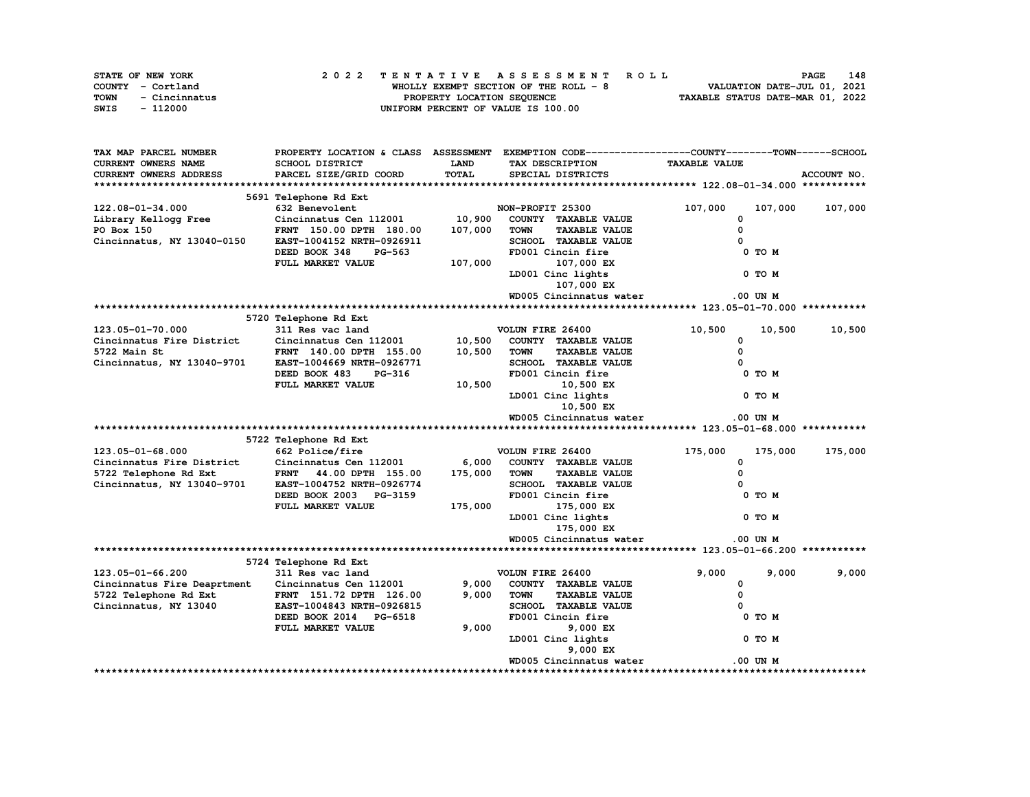|      | STATE OF NEW YORK | 2022 TENTATIVE ASSESSMENT ROLL         | 148<br><b>PAGE</b>               |
|------|-------------------|----------------------------------------|----------------------------------|
|      | COUNTY - Cortland | WHOLLY EXEMPT SECTION OF THE ROLL $-8$ | VALUATION DATE-JUL 01, 2021      |
| TOWN | - Cincinnatus     | PROPERTY LOCATION SEQUENCE             | TAXABLE STATUS DATE-MAR 01, 2022 |
| SWIS | - 112000          | UNIFORM PERCENT OF VALUE IS 100.00     |                                  |

| <b>CURRENT OWNERS NAME</b><br><b>SCHOOL DISTRICT</b><br><b>LAND</b><br><b>TAXABLE VALUE</b><br>TAX DESCRIPTION<br>TOTAL<br>PARCEL SIZE/GRID COORD<br>ACCOUNT NO.<br>CURRENT OWNERS ADDRESS<br>SPECIAL DISTRICTS<br>5691 Telephone Rd Ext<br>122.08-01-34.000<br>632 Benevolent<br>NON-PROFIT 25300<br>107,000<br>107,000<br>107,000<br>10,900<br>COUNTY TAXABLE VALUE<br>Library Kellogg Free<br>Cincinnatus Cen 112001<br>0<br>FRNT 150.00 DPTH 180.00<br>107,000<br><b>TAXABLE VALUE</b><br>0<br>PO Box 150<br><b>TOWN</b><br>SCHOOL TAXABLE VALUE<br>Cincinnatus, NY 13040-0150<br>EAST-1004152 NRTH-0926911<br>$\Omega$<br>PG-563<br>FD001 Cincin fire<br>0 TO M<br>DEED BOOK 348<br>107,000<br>FULL MARKET VALUE<br>107,000 EX<br>LD001 Cinc lights<br>0 TO M<br>107,000 EX<br>WD005 Cincinnatus water<br>.00 UN M<br>5720 Telephone Rd Ext<br>123.05-01-70.000<br>VOLUN FIRE 26400<br>311 Res vac land<br>10,500<br>10,500<br>10,500<br>Cincinnatus Fire District<br>10,500<br>Cincinnatus Cen 112001<br>COUNTY TAXABLE VALUE<br>0<br>$\mathbf 0$<br>5722 Main St<br>10,500<br><b>TOWN</b><br><b>TAXABLE VALUE</b><br>FRNT 140.00 DPTH 155.00<br>Cincinnatus, NY 13040-9701<br>SCHOOL TAXABLE VALUE<br>EAST-1004669 NRTH-0926771<br>DEED BOOK 483<br>FD001 Cincin fire<br>0 TO M<br>PG-316<br>FULL MARKET VALUE<br>10,500<br>10,500 EX<br>LD001 Cinc lights<br>0 TO M<br>10,500 EX<br>WD005 Cincinnatus water<br>.00 UN M<br>5722 Telephone Rd Ext<br>$123.05 - 01 - 68.000$<br>662 Police/fire<br>VOLUN FIRE 26400<br>175,000<br>175,000<br>175,000<br>Cincinnatus Fire District<br>Cincinnatus Cen 112001<br>6,000<br>COUNTY TAXABLE VALUE<br>0<br>175,000<br><b>TAXABLE VALUE</b><br>5722 Telephone Rd Ext<br>FRNT 44.00 DPTH 155.00<br>TOWN<br>$\Omega$<br>Cincinnatus, NY 13040-9701<br>SCHOOL TAXABLE VALUE<br>EAST-1004752 NRTH-0926774<br>FD001 Cincin fire<br>DEED BOOK 2003 PG-3159<br>0 TO M<br>175,000<br>FULL MARKET VALUE<br>175,000 EX<br>LD001 Cinc lights<br>0 TO M<br>175,000 EX<br>WD005 Cincinnatus water<br>.00 UN M<br>5724 Telephone Rd Ext<br>9,000<br>9,000<br>9,000<br>123.05-01-66.200<br>311 Res vac land<br>VOLUN FIRE 26400<br>9,000<br>Cincinnatus Fire Deaprtment<br>COUNTY TAXABLE VALUE<br>0<br>Cincinnatus Cen 112001<br>9,000<br><b>TOWN</b><br><b>TAXABLE VALUE</b><br>0<br>5722 Telephone Rd Ext<br>FRNT 151.72 DPTH 126.00<br><b>SCHOOL TAXABLE VALUE</b><br>Cincinnatus, NY 13040<br>EAST-1004843 NRTH-0926815<br>$\Omega$<br>FD001 Cincin fire<br>0 TO M<br>DEED BOOK 2014 PG-6518<br>9,000<br>FULL MARKET VALUE<br>9,000 EX<br>LD001 Cinc lights<br>0 TO M<br>9,000 EX<br>WD005 Cincinnatus water<br>.00 UN M | TAX MAP PARCEL NUMBER |  | PROPERTY LOCATION & CLASS ASSESSMENT EXEMPTION CODE-----------------COUNTY-------TOWN------SCHOOL |  |
|---------------------------------------------------------------------------------------------------------------------------------------------------------------------------------------------------------------------------------------------------------------------------------------------------------------------------------------------------------------------------------------------------------------------------------------------------------------------------------------------------------------------------------------------------------------------------------------------------------------------------------------------------------------------------------------------------------------------------------------------------------------------------------------------------------------------------------------------------------------------------------------------------------------------------------------------------------------------------------------------------------------------------------------------------------------------------------------------------------------------------------------------------------------------------------------------------------------------------------------------------------------------------------------------------------------------------------------------------------------------------------------------------------------------------------------------------------------------------------------------------------------------------------------------------------------------------------------------------------------------------------------------------------------------------------------------------------------------------------------------------------------------------------------------------------------------------------------------------------------------------------------------------------------------------------------------------------------------------------------------------------------------------------------------------------------------------------------------------------------------------------------------------------------------------------------------------------------------------------------------------------------------------------------------------------------------------------------------------------------------------------------------------------------------------------------------------------------------------------------------------------------------------------------------------------------------------------------------------------------------------------------------------------------|-----------------------|--|---------------------------------------------------------------------------------------------------|--|
|                                                                                                                                                                                                                                                                                                                                                                                                                                                                                                                                                                                                                                                                                                                                                                                                                                                                                                                                                                                                                                                                                                                                                                                                                                                                                                                                                                                                                                                                                                                                                                                                                                                                                                                                                                                                                                                                                                                                                                                                                                                                                                                                                                                                                                                                                                                                                                                                                                                                                                                                                                                                                                                               |                       |  |                                                                                                   |  |
|                                                                                                                                                                                                                                                                                                                                                                                                                                                                                                                                                                                                                                                                                                                                                                                                                                                                                                                                                                                                                                                                                                                                                                                                                                                                                                                                                                                                                                                                                                                                                                                                                                                                                                                                                                                                                                                                                                                                                                                                                                                                                                                                                                                                                                                                                                                                                                                                                                                                                                                                                                                                                                                               |                       |  |                                                                                                   |  |
|                                                                                                                                                                                                                                                                                                                                                                                                                                                                                                                                                                                                                                                                                                                                                                                                                                                                                                                                                                                                                                                                                                                                                                                                                                                                                                                                                                                                                                                                                                                                                                                                                                                                                                                                                                                                                                                                                                                                                                                                                                                                                                                                                                                                                                                                                                                                                                                                                                                                                                                                                                                                                                                               |                       |  |                                                                                                   |  |
|                                                                                                                                                                                                                                                                                                                                                                                                                                                                                                                                                                                                                                                                                                                                                                                                                                                                                                                                                                                                                                                                                                                                                                                                                                                                                                                                                                                                                                                                                                                                                                                                                                                                                                                                                                                                                                                                                                                                                                                                                                                                                                                                                                                                                                                                                                                                                                                                                                                                                                                                                                                                                                                               |                       |  |                                                                                                   |  |
|                                                                                                                                                                                                                                                                                                                                                                                                                                                                                                                                                                                                                                                                                                                                                                                                                                                                                                                                                                                                                                                                                                                                                                                                                                                                                                                                                                                                                                                                                                                                                                                                                                                                                                                                                                                                                                                                                                                                                                                                                                                                                                                                                                                                                                                                                                                                                                                                                                                                                                                                                                                                                                                               |                       |  |                                                                                                   |  |
|                                                                                                                                                                                                                                                                                                                                                                                                                                                                                                                                                                                                                                                                                                                                                                                                                                                                                                                                                                                                                                                                                                                                                                                                                                                                                                                                                                                                                                                                                                                                                                                                                                                                                                                                                                                                                                                                                                                                                                                                                                                                                                                                                                                                                                                                                                                                                                                                                                                                                                                                                                                                                                                               |                       |  |                                                                                                   |  |
|                                                                                                                                                                                                                                                                                                                                                                                                                                                                                                                                                                                                                                                                                                                                                                                                                                                                                                                                                                                                                                                                                                                                                                                                                                                                                                                                                                                                                                                                                                                                                                                                                                                                                                                                                                                                                                                                                                                                                                                                                                                                                                                                                                                                                                                                                                                                                                                                                                                                                                                                                                                                                                                               |                       |  |                                                                                                   |  |
|                                                                                                                                                                                                                                                                                                                                                                                                                                                                                                                                                                                                                                                                                                                                                                                                                                                                                                                                                                                                                                                                                                                                                                                                                                                                                                                                                                                                                                                                                                                                                                                                                                                                                                                                                                                                                                                                                                                                                                                                                                                                                                                                                                                                                                                                                                                                                                                                                                                                                                                                                                                                                                                               |                       |  |                                                                                                   |  |
|                                                                                                                                                                                                                                                                                                                                                                                                                                                                                                                                                                                                                                                                                                                                                                                                                                                                                                                                                                                                                                                                                                                                                                                                                                                                                                                                                                                                                                                                                                                                                                                                                                                                                                                                                                                                                                                                                                                                                                                                                                                                                                                                                                                                                                                                                                                                                                                                                                                                                                                                                                                                                                                               |                       |  |                                                                                                   |  |
|                                                                                                                                                                                                                                                                                                                                                                                                                                                                                                                                                                                                                                                                                                                                                                                                                                                                                                                                                                                                                                                                                                                                                                                                                                                                                                                                                                                                                                                                                                                                                                                                                                                                                                                                                                                                                                                                                                                                                                                                                                                                                                                                                                                                                                                                                                                                                                                                                                                                                                                                                                                                                                                               |                       |  |                                                                                                   |  |
|                                                                                                                                                                                                                                                                                                                                                                                                                                                                                                                                                                                                                                                                                                                                                                                                                                                                                                                                                                                                                                                                                                                                                                                                                                                                                                                                                                                                                                                                                                                                                                                                                                                                                                                                                                                                                                                                                                                                                                                                                                                                                                                                                                                                                                                                                                                                                                                                                                                                                                                                                                                                                                                               |                       |  |                                                                                                   |  |
|                                                                                                                                                                                                                                                                                                                                                                                                                                                                                                                                                                                                                                                                                                                                                                                                                                                                                                                                                                                                                                                                                                                                                                                                                                                                                                                                                                                                                                                                                                                                                                                                                                                                                                                                                                                                                                                                                                                                                                                                                                                                                                                                                                                                                                                                                                                                                                                                                                                                                                                                                                                                                                                               |                       |  |                                                                                                   |  |
|                                                                                                                                                                                                                                                                                                                                                                                                                                                                                                                                                                                                                                                                                                                                                                                                                                                                                                                                                                                                                                                                                                                                                                                                                                                                                                                                                                                                                                                                                                                                                                                                                                                                                                                                                                                                                                                                                                                                                                                                                                                                                                                                                                                                                                                                                                                                                                                                                                                                                                                                                                                                                                                               |                       |  |                                                                                                   |  |
|                                                                                                                                                                                                                                                                                                                                                                                                                                                                                                                                                                                                                                                                                                                                                                                                                                                                                                                                                                                                                                                                                                                                                                                                                                                                                                                                                                                                                                                                                                                                                                                                                                                                                                                                                                                                                                                                                                                                                                                                                                                                                                                                                                                                                                                                                                                                                                                                                                                                                                                                                                                                                                                               |                       |  |                                                                                                   |  |
|                                                                                                                                                                                                                                                                                                                                                                                                                                                                                                                                                                                                                                                                                                                                                                                                                                                                                                                                                                                                                                                                                                                                                                                                                                                                                                                                                                                                                                                                                                                                                                                                                                                                                                                                                                                                                                                                                                                                                                                                                                                                                                                                                                                                                                                                                                                                                                                                                                                                                                                                                                                                                                                               |                       |  |                                                                                                   |  |
|                                                                                                                                                                                                                                                                                                                                                                                                                                                                                                                                                                                                                                                                                                                                                                                                                                                                                                                                                                                                                                                                                                                                                                                                                                                                                                                                                                                                                                                                                                                                                                                                                                                                                                                                                                                                                                                                                                                                                                                                                                                                                                                                                                                                                                                                                                                                                                                                                                                                                                                                                                                                                                                               |                       |  |                                                                                                   |  |
|                                                                                                                                                                                                                                                                                                                                                                                                                                                                                                                                                                                                                                                                                                                                                                                                                                                                                                                                                                                                                                                                                                                                                                                                                                                                                                                                                                                                                                                                                                                                                                                                                                                                                                                                                                                                                                                                                                                                                                                                                                                                                                                                                                                                                                                                                                                                                                                                                                                                                                                                                                                                                                                               |                       |  |                                                                                                   |  |
|                                                                                                                                                                                                                                                                                                                                                                                                                                                                                                                                                                                                                                                                                                                                                                                                                                                                                                                                                                                                                                                                                                                                                                                                                                                                                                                                                                                                                                                                                                                                                                                                                                                                                                                                                                                                                                                                                                                                                                                                                                                                                                                                                                                                                                                                                                                                                                                                                                                                                                                                                                                                                                                               |                       |  |                                                                                                   |  |
|                                                                                                                                                                                                                                                                                                                                                                                                                                                                                                                                                                                                                                                                                                                                                                                                                                                                                                                                                                                                                                                                                                                                                                                                                                                                                                                                                                                                                                                                                                                                                                                                                                                                                                                                                                                                                                                                                                                                                                                                                                                                                                                                                                                                                                                                                                                                                                                                                                                                                                                                                                                                                                                               |                       |  |                                                                                                   |  |
|                                                                                                                                                                                                                                                                                                                                                                                                                                                                                                                                                                                                                                                                                                                                                                                                                                                                                                                                                                                                                                                                                                                                                                                                                                                                                                                                                                                                                                                                                                                                                                                                                                                                                                                                                                                                                                                                                                                                                                                                                                                                                                                                                                                                                                                                                                                                                                                                                                                                                                                                                                                                                                                               |                       |  |                                                                                                   |  |
|                                                                                                                                                                                                                                                                                                                                                                                                                                                                                                                                                                                                                                                                                                                                                                                                                                                                                                                                                                                                                                                                                                                                                                                                                                                                                                                                                                                                                                                                                                                                                                                                                                                                                                                                                                                                                                                                                                                                                                                                                                                                                                                                                                                                                                                                                                                                                                                                                                                                                                                                                                                                                                                               |                       |  |                                                                                                   |  |
|                                                                                                                                                                                                                                                                                                                                                                                                                                                                                                                                                                                                                                                                                                                                                                                                                                                                                                                                                                                                                                                                                                                                                                                                                                                                                                                                                                                                                                                                                                                                                                                                                                                                                                                                                                                                                                                                                                                                                                                                                                                                                                                                                                                                                                                                                                                                                                                                                                                                                                                                                                                                                                                               |                       |  |                                                                                                   |  |
|                                                                                                                                                                                                                                                                                                                                                                                                                                                                                                                                                                                                                                                                                                                                                                                                                                                                                                                                                                                                                                                                                                                                                                                                                                                                                                                                                                                                                                                                                                                                                                                                                                                                                                                                                                                                                                                                                                                                                                                                                                                                                                                                                                                                                                                                                                                                                                                                                                                                                                                                                                                                                                                               |                       |  |                                                                                                   |  |
|                                                                                                                                                                                                                                                                                                                                                                                                                                                                                                                                                                                                                                                                                                                                                                                                                                                                                                                                                                                                                                                                                                                                                                                                                                                                                                                                                                                                                                                                                                                                                                                                                                                                                                                                                                                                                                                                                                                                                                                                                                                                                                                                                                                                                                                                                                                                                                                                                                                                                                                                                                                                                                                               |                       |  |                                                                                                   |  |
|                                                                                                                                                                                                                                                                                                                                                                                                                                                                                                                                                                                                                                                                                                                                                                                                                                                                                                                                                                                                                                                                                                                                                                                                                                                                                                                                                                                                                                                                                                                                                                                                                                                                                                                                                                                                                                                                                                                                                                                                                                                                                                                                                                                                                                                                                                                                                                                                                                                                                                                                                                                                                                                               |                       |  |                                                                                                   |  |
|                                                                                                                                                                                                                                                                                                                                                                                                                                                                                                                                                                                                                                                                                                                                                                                                                                                                                                                                                                                                                                                                                                                                                                                                                                                                                                                                                                                                                                                                                                                                                                                                                                                                                                                                                                                                                                                                                                                                                                                                                                                                                                                                                                                                                                                                                                                                                                                                                                                                                                                                                                                                                                                               |                       |  |                                                                                                   |  |
|                                                                                                                                                                                                                                                                                                                                                                                                                                                                                                                                                                                                                                                                                                                                                                                                                                                                                                                                                                                                                                                                                                                                                                                                                                                                                                                                                                                                                                                                                                                                                                                                                                                                                                                                                                                                                                                                                                                                                                                                                                                                                                                                                                                                                                                                                                                                                                                                                                                                                                                                                                                                                                                               |                       |  |                                                                                                   |  |
|                                                                                                                                                                                                                                                                                                                                                                                                                                                                                                                                                                                                                                                                                                                                                                                                                                                                                                                                                                                                                                                                                                                                                                                                                                                                                                                                                                                                                                                                                                                                                                                                                                                                                                                                                                                                                                                                                                                                                                                                                                                                                                                                                                                                                                                                                                                                                                                                                                                                                                                                                                                                                                                               |                       |  |                                                                                                   |  |
|                                                                                                                                                                                                                                                                                                                                                                                                                                                                                                                                                                                                                                                                                                                                                                                                                                                                                                                                                                                                                                                                                                                                                                                                                                                                                                                                                                                                                                                                                                                                                                                                                                                                                                                                                                                                                                                                                                                                                                                                                                                                                                                                                                                                                                                                                                                                                                                                                                                                                                                                                                                                                                                               |                       |  |                                                                                                   |  |
|                                                                                                                                                                                                                                                                                                                                                                                                                                                                                                                                                                                                                                                                                                                                                                                                                                                                                                                                                                                                                                                                                                                                                                                                                                                                                                                                                                                                                                                                                                                                                                                                                                                                                                                                                                                                                                                                                                                                                                                                                                                                                                                                                                                                                                                                                                                                                                                                                                                                                                                                                                                                                                                               |                       |  |                                                                                                   |  |
|                                                                                                                                                                                                                                                                                                                                                                                                                                                                                                                                                                                                                                                                                                                                                                                                                                                                                                                                                                                                                                                                                                                                                                                                                                                                                                                                                                                                                                                                                                                                                                                                                                                                                                                                                                                                                                                                                                                                                                                                                                                                                                                                                                                                                                                                                                                                                                                                                                                                                                                                                                                                                                                               |                       |  |                                                                                                   |  |
|                                                                                                                                                                                                                                                                                                                                                                                                                                                                                                                                                                                                                                                                                                                                                                                                                                                                                                                                                                                                                                                                                                                                                                                                                                                                                                                                                                                                                                                                                                                                                                                                                                                                                                                                                                                                                                                                                                                                                                                                                                                                                                                                                                                                                                                                                                                                                                                                                                                                                                                                                                                                                                                               |                       |  |                                                                                                   |  |
|                                                                                                                                                                                                                                                                                                                                                                                                                                                                                                                                                                                                                                                                                                                                                                                                                                                                                                                                                                                                                                                                                                                                                                                                                                                                                                                                                                                                                                                                                                                                                                                                                                                                                                                                                                                                                                                                                                                                                                                                                                                                                                                                                                                                                                                                                                                                                                                                                                                                                                                                                                                                                                                               |                       |  |                                                                                                   |  |
|                                                                                                                                                                                                                                                                                                                                                                                                                                                                                                                                                                                                                                                                                                                                                                                                                                                                                                                                                                                                                                                                                                                                                                                                                                                                                                                                                                                                                                                                                                                                                                                                                                                                                                                                                                                                                                                                                                                                                                                                                                                                                                                                                                                                                                                                                                                                                                                                                                                                                                                                                                                                                                                               |                       |  |                                                                                                   |  |
|                                                                                                                                                                                                                                                                                                                                                                                                                                                                                                                                                                                                                                                                                                                                                                                                                                                                                                                                                                                                                                                                                                                                                                                                                                                                                                                                                                                                                                                                                                                                                                                                                                                                                                                                                                                                                                                                                                                                                                                                                                                                                                                                                                                                                                                                                                                                                                                                                                                                                                                                                                                                                                                               |                       |  |                                                                                                   |  |
|                                                                                                                                                                                                                                                                                                                                                                                                                                                                                                                                                                                                                                                                                                                                                                                                                                                                                                                                                                                                                                                                                                                                                                                                                                                                                                                                                                                                                                                                                                                                                                                                                                                                                                                                                                                                                                                                                                                                                                                                                                                                                                                                                                                                                                                                                                                                                                                                                                                                                                                                                                                                                                                               |                       |  |                                                                                                   |  |
|                                                                                                                                                                                                                                                                                                                                                                                                                                                                                                                                                                                                                                                                                                                                                                                                                                                                                                                                                                                                                                                                                                                                                                                                                                                                                                                                                                                                                                                                                                                                                                                                                                                                                                                                                                                                                                                                                                                                                                                                                                                                                                                                                                                                                                                                                                                                                                                                                                                                                                                                                                                                                                                               |                       |  |                                                                                                   |  |
|                                                                                                                                                                                                                                                                                                                                                                                                                                                                                                                                                                                                                                                                                                                                                                                                                                                                                                                                                                                                                                                                                                                                                                                                                                                                                                                                                                                                                                                                                                                                                                                                                                                                                                                                                                                                                                                                                                                                                                                                                                                                                                                                                                                                                                                                                                                                                                                                                                                                                                                                                                                                                                                               |                       |  |                                                                                                   |  |
|                                                                                                                                                                                                                                                                                                                                                                                                                                                                                                                                                                                                                                                                                                                                                                                                                                                                                                                                                                                                                                                                                                                                                                                                                                                                                                                                                                                                                                                                                                                                                                                                                                                                                                                                                                                                                                                                                                                                                                                                                                                                                                                                                                                                                                                                                                                                                                                                                                                                                                                                                                                                                                                               |                       |  |                                                                                                   |  |
|                                                                                                                                                                                                                                                                                                                                                                                                                                                                                                                                                                                                                                                                                                                                                                                                                                                                                                                                                                                                                                                                                                                                                                                                                                                                                                                                                                                                                                                                                                                                                                                                                                                                                                                                                                                                                                                                                                                                                                                                                                                                                                                                                                                                                                                                                                                                                                                                                                                                                                                                                                                                                                                               |                       |  |                                                                                                   |  |
|                                                                                                                                                                                                                                                                                                                                                                                                                                                                                                                                                                                                                                                                                                                                                                                                                                                                                                                                                                                                                                                                                                                                                                                                                                                                                                                                                                                                                                                                                                                                                                                                                                                                                                                                                                                                                                                                                                                                                                                                                                                                                                                                                                                                                                                                                                                                                                                                                                                                                                                                                                                                                                                               |                       |  |                                                                                                   |  |
|                                                                                                                                                                                                                                                                                                                                                                                                                                                                                                                                                                                                                                                                                                                                                                                                                                                                                                                                                                                                                                                                                                                                                                                                                                                                                                                                                                                                                                                                                                                                                                                                                                                                                                                                                                                                                                                                                                                                                                                                                                                                                                                                                                                                                                                                                                                                                                                                                                                                                                                                                                                                                                                               |                       |  |                                                                                                   |  |
|                                                                                                                                                                                                                                                                                                                                                                                                                                                                                                                                                                                                                                                                                                                                                                                                                                                                                                                                                                                                                                                                                                                                                                                                                                                                                                                                                                                                                                                                                                                                                                                                                                                                                                                                                                                                                                                                                                                                                                                                                                                                                                                                                                                                                                                                                                                                                                                                                                                                                                                                                                                                                                                               |                       |  |                                                                                                   |  |
|                                                                                                                                                                                                                                                                                                                                                                                                                                                                                                                                                                                                                                                                                                                                                                                                                                                                                                                                                                                                                                                                                                                                                                                                                                                                                                                                                                                                                                                                                                                                                                                                                                                                                                                                                                                                                                                                                                                                                                                                                                                                                                                                                                                                                                                                                                                                                                                                                                                                                                                                                                                                                                                               |                       |  |                                                                                                   |  |
|                                                                                                                                                                                                                                                                                                                                                                                                                                                                                                                                                                                                                                                                                                                                                                                                                                                                                                                                                                                                                                                                                                                                                                                                                                                                                                                                                                                                                                                                                                                                                                                                                                                                                                                                                                                                                                                                                                                                                                                                                                                                                                                                                                                                                                                                                                                                                                                                                                                                                                                                                                                                                                                               |                       |  |                                                                                                   |  |
|                                                                                                                                                                                                                                                                                                                                                                                                                                                                                                                                                                                                                                                                                                                                                                                                                                                                                                                                                                                                                                                                                                                                                                                                                                                                                                                                                                                                                                                                                                                                                                                                                                                                                                                                                                                                                                                                                                                                                                                                                                                                                                                                                                                                                                                                                                                                                                                                                                                                                                                                                                                                                                                               |                       |  |                                                                                                   |  |
|                                                                                                                                                                                                                                                                                                                                                                                                                                                                                                                                                                                                                                                                                                                                                                                                                                                                                                                                                                                                                                                                                                                                                                                                                                                                                                                                                                                                                                                                                                                                                                                                                                                                                                                                                                                                                                                                                                                                                                                                                                                                                                                                                                                                                                                                                                                                                                                                                                                                                                                                                                                                                                                               |                       |  |                                                                                                   |  |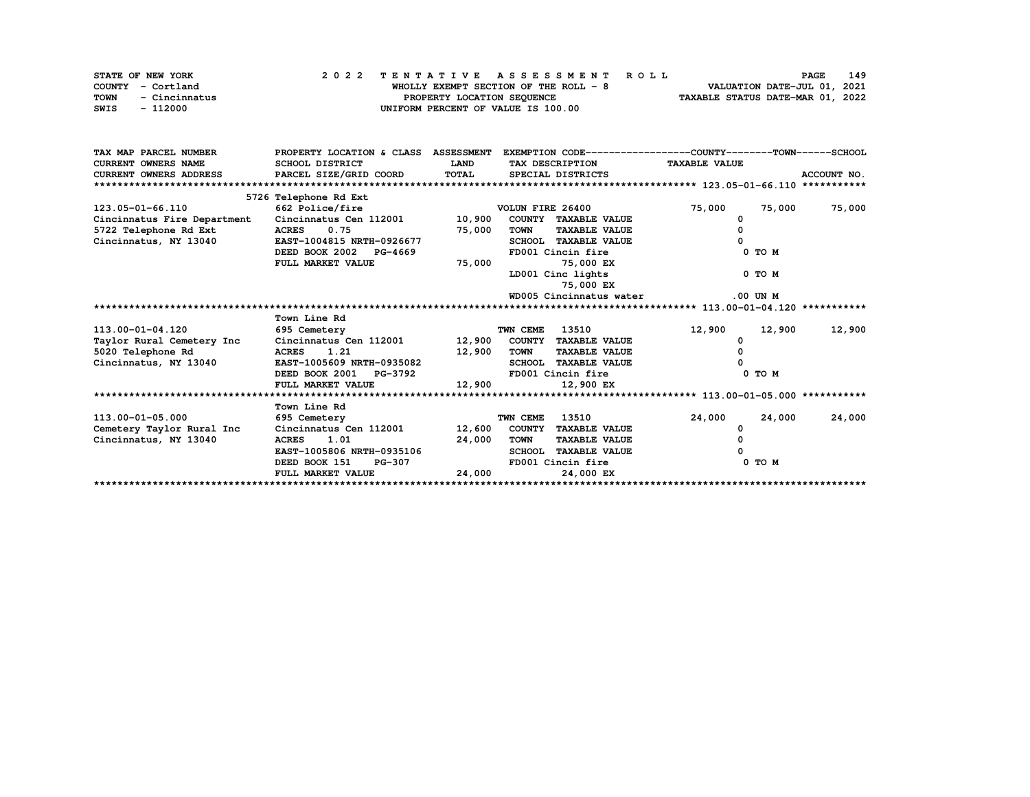|      | STATE OF NEW YORK | 2022 TENTATIVE ASSESSMENT ROLL        | 149<br><b>PAGE</b>               |
|------|-------------------|---------------------------------------|----------------------------------|
|      | COUNTY - Cortland | WHOLLY EXEMPT SECTION OF THE ROLL - 8 | VALUATION DATE-JUL 01, 2021      |
| TOWN | - Cincinnatus     | PROPERTY LOCATION SEQUENCE            | TAXABLE STATUS DATE-MAR 01, 2022 |
| SWIS | - 112000          | UNIFORM PERCENT OF VALUE IS 100.00    |                                  |

| TAX MAP PARCEL NUMBER       | PROPERTY LOCATION & CLASS ASSESSMENT |        | EXEMPTION CODE-----------------COUNTY-------TOWN------SCHOOL |                      |             |
|-----------------------------|--------------------------------------|--------|--------------------------------------------------------------|----------------------|-------------|
| <b>CURRENT OWNERS NAME</b>  | SCHOOL DISTRICT                      | LAND   | TAX DESCRIPTION                                              | <b>TAXABLE VALUE</b> |             |
| CURRENT OWNERS ADDRESS      | PARCEL SIZE/GRID COORD               | TOTAL  | SPECIAL DISTRICTS                                            |                      | ACCOUNT NO. |
|                             |                                      |        |                                                              |                      |             |
|                             | 5726 Telephone Rd Ext                |        |                                                              |                      |             |
| 123.05-01-66.110            | 662 Police/fire                      |        | VOLUN FIRE 26400                                             | 75,000<br>75,000     | 75,000      |
| Cincinnatus Fire Department | Cincinnatus Cen 112001               | 10,900 | COUNTY TAXABLE VALUE                                         |                      |             |
| 5722 Telephone Rd Ext       | 0.75<br><b>ACRES</b>                 | 75,000 | <b>TAXABLE VALUE</b><br>TOWN                                 |                      |             |
| Cincinnatus, NY 13040       | EAST-1004815 NRTH-0926677            |        | SCHOOL TAXABLE VALUE                                         |                      |             |
|                             | DEED BOOK 2002 PG-4669               |        | FD001 Cincin fire                                            | $0$ TO $M$           |             |
|                             | FULL MARKET VALUE                    | 75,000 | 75,000 EX                                                    |                      |             |
|                             |                                      |        | LD001 Cinc lights                                            | $0$ TO $M$           |             |
|                             |                                      |        | 75,000 EX                                                    |                      |             |
|                             |                                      |        | WD005 Cincinnatus water                                      | $.00$ UN M           |             |
|                             |                                      |        |                                                              |                      |             |
|                             | Town Line Rd                         |        |                                                              |                      |             |
| 113.00-01-04.120            | 695 Cemetery                         |        | TWN CEME<br>13510                                            | 12,900<br>12,900     | 12,900      |
| Taylor Rural Cemetery Inc   | Cincinnatus Cen 112001               | 12,900 | COUNTY TAXABLE VALUE                                         |                      |             |
| 5020 Telephone Rd           | ACRES 1.21                           | 12,900 | <b>TOWN</b><br><b>TAXABLE VALUE</b>                          |                      |             |
| Cincinnatus, NY 13040       | EAST-1005609 NRTH-0935082            |        | <b>SCHOOL TAXABLE VALUE</b>                                  |                      |             |
|                             | DEED BOOK 2001 PG-3792               |        | FD001 Cincin fire                                            | 0 TO M               |             |
|                             | FULL MARKET VALUE                    | 12,900 | 12,900 EX                                                    |                      |             |
|                             |                                      |        |                                                              |                      |             |
|                             | Town Line Rd                         |        |                                                              |                      |             |
| 113.00-01-05.000            | 695 Cemetery                         |        | 13510<br>TWN CEME                                            | 24,000<br>24,000     | 24,000      |
| Cemetery Taylor Rural Inc   | Cincinnatus Cen 112001               |        | 12,600 COUNTY TAXABLE VALUE                                  | 0                    |             |
| Cincinnatus, NY 13040       | <b>ACRES</b><br>1.01                 | 24,000 | <b>TOWN</b><br><b>TAXABLE VALUE</b>                          |                      |             |
|                             | EAST-1005806 NRTH-0935106            |        | SCHOOL TAXABLE VALUE                                         |                      |             |
|                             | DEED BOOK 151<br><b>PG-307</b>       |        | FD001 Cincin fire                                            | 0 TO M               |             |
|                             | FULL MARKET VALUE                    | 24,000 | 24,000 EX                                                    |                      |             |
|                             |                                      |        |                                                              |                      |             |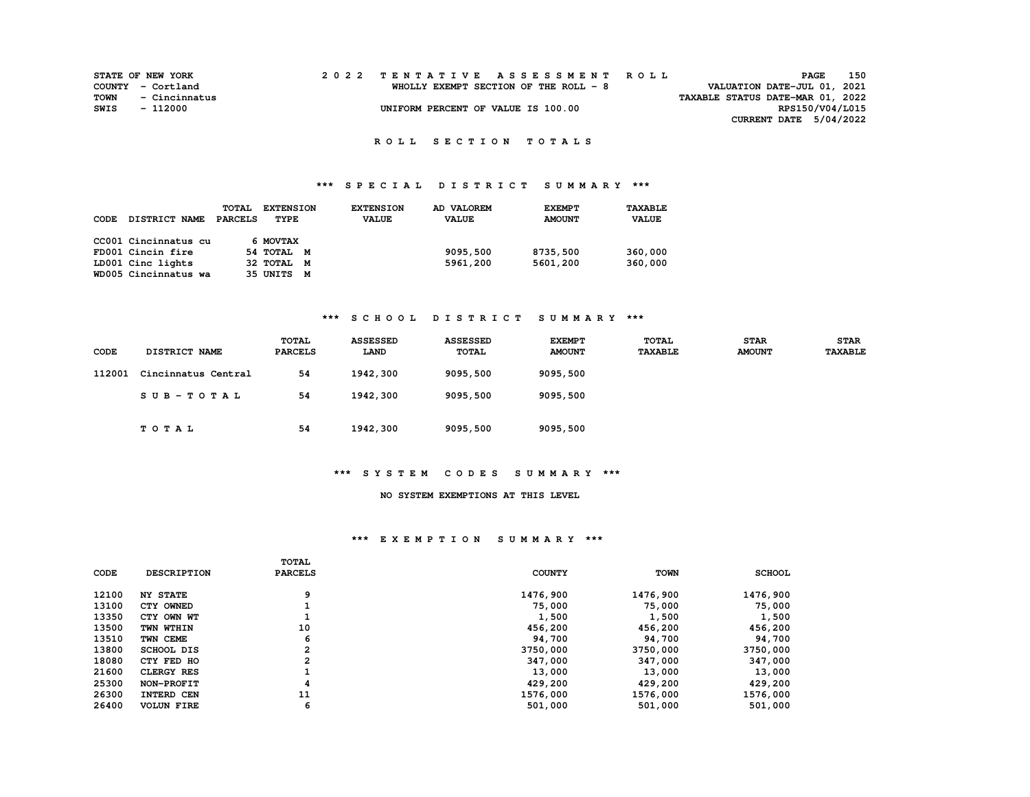|      | <b>STATE OF NEW YORK</b> |  | 2022 TENTATIVE ASSESSMENT ROLL        |                                  | <b>PAGE</b>     | 150 |
|------|--------------------------|--|---------------------------------------|----------------------------------|-----------------|-----|
|      | COUNTY - Cortland        |  | WHOLLY EXEMPT SECTION OF THE ROLL - 8 | VALUATION DATE-JUL 01, 2021      |                 |     |
| TOWN | - Cincinnatus            |  |                                       | TAXABLE STATUS DATE-MAR 01, 2022 |                 |     |
| SWIS | - 112000                 |  | UNIFORM PERCENT OF VALUE IS 100.00    |                                  | RPS150/V04/L015 |     |
|      |                          |  |                                       | CURRENT DATE 5/04/2022           |                 |     |

 **R O L L S E C T I O N T O T A L S** 

# **\*\*\* S P E C I A L D I S T R I C T S U M M A R Y \*\*\***

| CODE | <b>DISTRICT NAME</b> | <b>TOTAL</b><br><b>PARCELS</b> | <b>EXTENSION</b><br>TYPE | <b>EXTENSION</b><br><b>VALUE</b> | AD VALOREM<br><b>VALUE</b> | <b>EXEMPT</b><br><b>AMOUNT</b> | TAXABLE<br><b>VALUE</b> |
|------|----------------------|--------------------------------|--------------------------|----------------------------------|----------------------------|--------------------------------|-------------------------|
|      | CC001 Cincinnatus cu |                                | 6 MOVTAX                 |                                  |                            |                                |                         |
|      | FD001 Cincin fire    |                                | 54 TOTAL M               |                                  | 9095,500                   | 8735,500                       | 360,000                 |
|      | LD001 Cinc lights    |                                | 32 TOTAL M               |                                  | 5961,200                   | 5601,200                       | 360,000                 |
|      | WD005 Cincinnatus wa |                                | 35 UNITS<br>M            |                                  |                            |                                |                         |

# **\*\*\* S C H O O L D I S T R I C T S U M M A R Y \*\*\***

| CODE   | DISTRICT NAME       | TOTAL<br><b>PARCELS</b> | <b>ASSESSED</b><br><b>LAND</b> | <b>ASSESSED</b><br>TOTAL | <b>EXEMPT</b><br><b>AMOUNT</b> | TOTAL<br><b>TAXABLE</b> | <b>STAR</b><br><b>AMOUNT</b> | <b>STAR</b><br><b>TAXABLE</b> |
|--------|---------------------|-------------------------|--------------------------------|--------------------------|--------------------------------|-------------------------|------------------------------|-------------------------------|
| 112001 | Cincinnatus Central | 54                      | 1942,300                       | 9095,500                 | 9095,500                       |                         |                              |                               |
|        | $SUB-TOTAL$         | 54                      | 1942,300                       | 9095,500                 | 9095,500                       |                         |                              |                               |
|        | <b>TOTAL</b>        | 54                      | 1942,300                       | 9095,500                 | 9095,500                       |                         |                              |                               |

### **\*\*\* S Y S T E M C O D E S S U M M A R Y \*\*\***

# **NO SYSTEM EXEMPTIONS AT THIS LEVEL**

|       |                    | TOTAL          |               |             |               |
|-------|--------------------|----------------|---------------|-------------|---------------|
| CODE  | <b>DESCRIPTION</b> | <b>PARCELS</b> | <b>COUNTY</b> | <b>TOWN</b> | <b>SCHOOL</b> |
|       |                    |                |               |             |               |
| 12100 | <b>NY STATE</b>    | 9              | 1476,900      | 1476,900    | 1476,900      |
| 13100 | CTY OWNED          |                | 75,000        | 75,000      | 75,000        |
| 13350 | CTY OWN WT         |                | 1,500         | 1,500       | 1,500         |
| 13500 | TWN WTHIN          | 10             | 456,200       | 456,200     | 456,200       |
| 13510 | TWN CEME           | 6              | 94,700        | 94,700      | 94,700        |
| 13800 | SCHOOL DIS         | 2              | 3750,000      | 3750,000    | 3750,000      |
| 18080 | CTY FED HO         | 2              | 347,000       | 347,000     | 347,000       |
| 21600 | <b>CLERGY RES</b>  |                | 13,000        | 13,000      | 13,000        |
| 25300 | NON-PROFIT         | 4              | 429,200       | 429,200     | 429,200       |
| 26300 | INTERD CEN         | 11             | 1576,000      | 1576,000    | 1576,000      |
| 26400 | <b>VOLUN FIRE</b>  | 6              | 501,000       | 501,000     | 501,000       |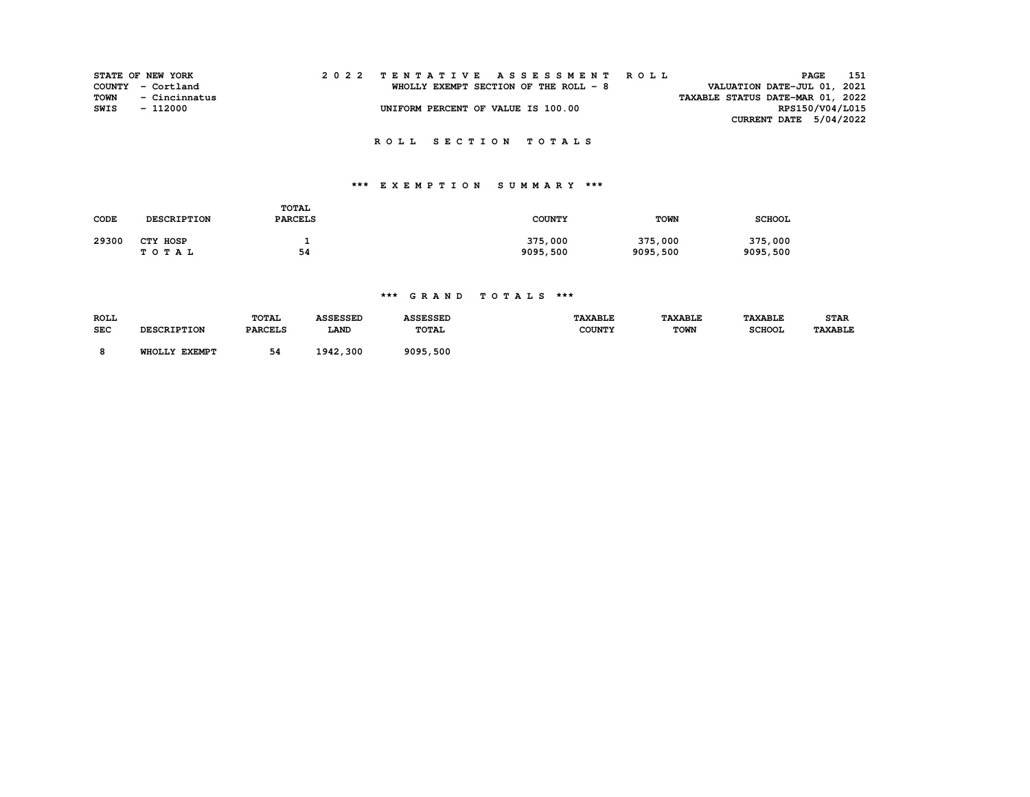|      | <b>STATE OF NEW YORK</b> |  | 2022 TENTATIVE ASSESSMENT ROLL<br>PAGE                                | 151             |
|------|--------------------------|--|-----------------------------------------------------------------------|-----------------|
|      | COUNTY - Cortland        |  | VALUATION DATE-JUL 01, 2021<br>WHOLLY EXEMPT SECTION OF THE ROLL $-8$ |                 |
| TOWN | - Cincinnatus            |  | TAXABLE STATUS DATE-MAR 01, 2022                                      |                 |
| SWIS | $-112000$                |  | UNIFORM PERCENT OF VALUE IS 100.00                                    | RPS150/V04/L015 |
|      |                          |  | CURRENT DATE $5/04/2022$                                              |                 |
|      |                          |  | ROLL SECTION TOTALS                                                   |                 |

# **\*\*\* E X E M P T I O N S U M M A R Y \*\*\***

| CODE  | <b>DESCRIPTION</b> | <b>TOTAL</b><br><b>PARCELS</b> | <b>COUNTY</b> | <b>TOWN</b> | <b>SCHOOL</b> |
|-------|--------------------|--------------------------------|---------------|-------------|---------------|
| 29300 | CTY HOSP           |                                | 375,000       | 375,000     | 375,000       |
|       | TOTAL              | 54                             | 9095,500      | 9095,500    | 9095,500      |

# **\*\*\* G R A N D T O T A L S \*\*\***

| <b>ROLL</b><br><b>SEC</b> | <b>DESCRIPTION</b> | <b>TOTAL</b><br><b>PARCELS</b> | <b>ASSESSED</b><br><b>LAND</b> | <b>ASSESSED</b><br><b>TOTAL</b> | <b>TAXABLE</b><br><b>COUNTY</b> | <b>TAXABLE</b><br><b>TOWN</b> | <b><i>TAXABLE</i></b><br><b>SCHOOL</b> | <b>STAR</b><br><b>TAXABLE</b> |
|---------------------------|--------------------|--------------------------------|--------------------------------|---------------------------------|---------------------------------|-------------------------------|----------------------------------------|-------------------------------|
|                           | WHOLLY EXEMPT      | 54                             | 1942,300                       | 9095,500                        |                                 |                               |                                        |                               |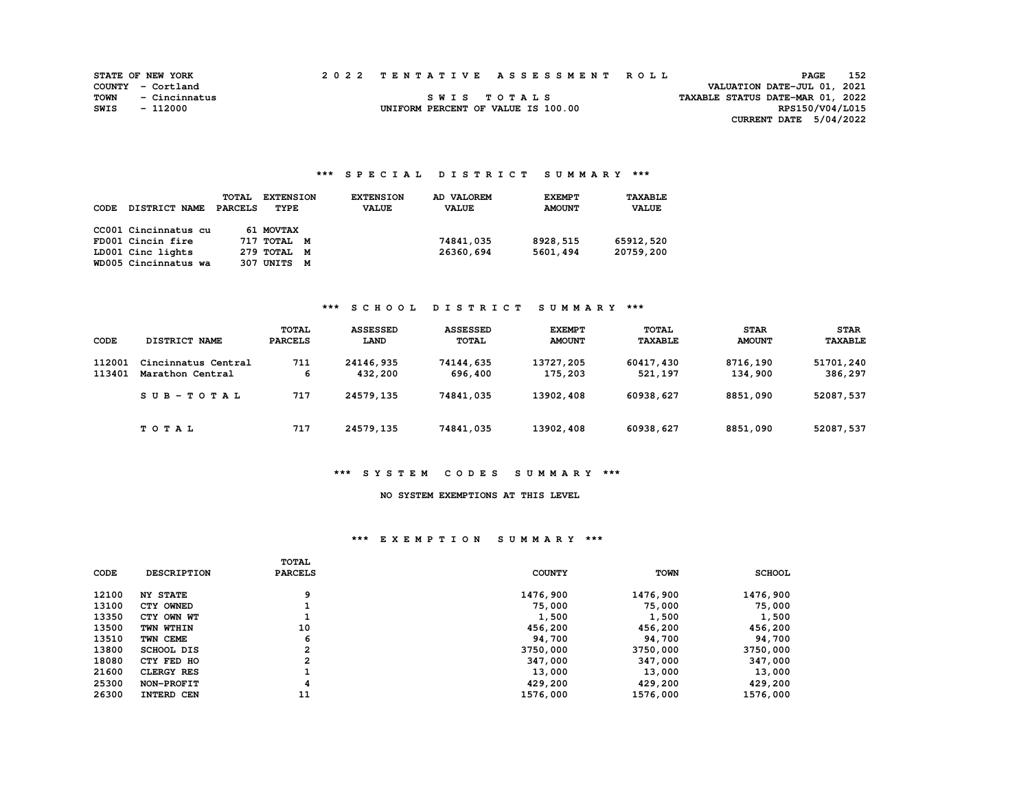|      | <b>STATE OF NEW YORK</b> |  | 2022 TENTATIVE ASSESSMENT ROLL     |                                  | PAGE                        | 152 |
|------|--------------------------|--|------------------------------------|----------------------------------|-----------------------------|-----|
|      | COUNTY - Cortland        |  |                                    |                                  | VALUATION DATE-JUL 01, 2021 |     |
| TOWN | - Cincinnatus            |  | SWIS TOTALS                        | TAXABLE STATUS DATE-MAR 01, 2022 |                             |     |
| SWIS | - 112000                 |  | UNIFORM PERCENT OF VALUE IS 100.00 |                                  | RPS150/V04/L015             |     |
|      |                          |  |                                    |                                  | CURRENT DATE 5/04/2022      |     |

# **\*\*\* S P E C I A L D I S T R I C T S U M M A R Y \*\*\***

| CODE | <b>DISTRICT NAME</b> | <b>TOTAL</b><br>PARCELS | <b>EXTENSION</b><br>TYPE | <b>EXTENSION</b><br><b>VALUE</b> | AD VALOREM<br><b>VALUE</b> | <b>EXEMPT</b><br><b>AMOUNT</b> | TAXABLE<br><b>VALUE</b> |
|------|----------------------|-------------------------|--------------------------|----------------------------------|----------------------------|--------------------------------|-------------------------|
|      | CC001 Cincinnatus cu |                         | 61 MOVTAX                |                                  |                            |                                |                         |
|      | FD001 Cincin fire    |                         | 717 TOTAL M              |                                  | 74841,035                  | 8928,515                       | 65912,520               |
|      | LD001 Cinc lights    |                         | 279 TOTAL M              |                                  | 26360,694                  | 5601,494                       | 20759,200               |
|      | WD005 Cincinnatus wa |                         | 307 UNITS<br>M           |                                  |                            |                                |                         |

# **\*\*\* S C H O O L D I S T R I C T S U M M A R Y \*\*\***

| CODE             | DISTRICT NAME                           | TOTAL<br><b>PARCELS</b> | <b>ASSESSED</b><br><b>LAND</b> | <b>ASSESSED</b><br>TOTAL | <b>EXEMPT</b><br><b>AMOUNT</b> | TOTAL<br><b>TAXABLE</b> | <b>STAR</b><br><b>AMOUNT</b> | <b>STAR</b><br><b>TAXABLE</b> |
|------------------|-----------------------------------------|-------------------------|--------------------------------|--------------------------|--------------------------------|-------------------------|------------------------------|-------------------------------|
| 112001<br>113401 | Cincinnatus Central<br>Marathon Central | 711<br>6                | 24146,935<br>432,200           | 74144,635<br>696,400     | 13727,205<br>175,203           | 60417,430<br>521,197    | 8716,190<br>134,900          | 51701,240<br>386,297          |
|                  | $SUB - TO T AL$                         | 717                     | 24579,135                      | 74841,035                | 13902,408                      | 60938,627               | 8851,090                     | 52087,537                     |
|                  | TOTAL                                   | 717                     | 24579,135                      | 74841,035                | 13902, 408                     | 60938,627               | 8851,090                     | 52087,537                     |

### **\*\*\* S Y S T E M C O D E S S U M M A R Y \*\*\***

# **NO SYSTEM EXEMPTIONS AT THIS LEVEL**

|             |                    | <b>TOTAL</b>   |               |             |               |
|-------------|--------------------|----------------|---------------|-------------|---------------|
| <b>CODE</b> | <b>DESCRIPTION</b> | <b>PARCELS</b> | <b>COUNTY</b> | <b>TOWN</b> | <b>SCHOOL</b> |
| 12100       | <b>NY STATE</b>    | 9              | 1476,900      | 1476,900    | 1476,900      |
| 13100       | CTY OWNED          |                | 75,000        | 75,000      | 75,000        |
| 13350       | CTY OWN WT         |                | 1,500         | 1,500       | 1,500         |
| 13500       | TWN WTHIN          | 10             | 456,200       | 456,200     | 456,200       |
| 13510       | TWN CEME           | 6              | 94,700        | 94,700      | 94,700        |
| 13800       | <b>SCHOOL DIS</b>  | 2              | 3750,000      | 3750,000    | 3750,000      |
| 18080       | CTY FED HO         | 2              | 347,000       | 347,000     | 347,000       |
| 21600       | <b>CLERGY RES</b>  |                | 13,000        | 13,000      | 13,000        |
| 25300       | NON-PROFIT         | 4              | 429,200       | 429,200     | 429,200       |
| 26300       | INTERD CEN         | 11             | 1576,000      | 1576,000    | 1576,000      |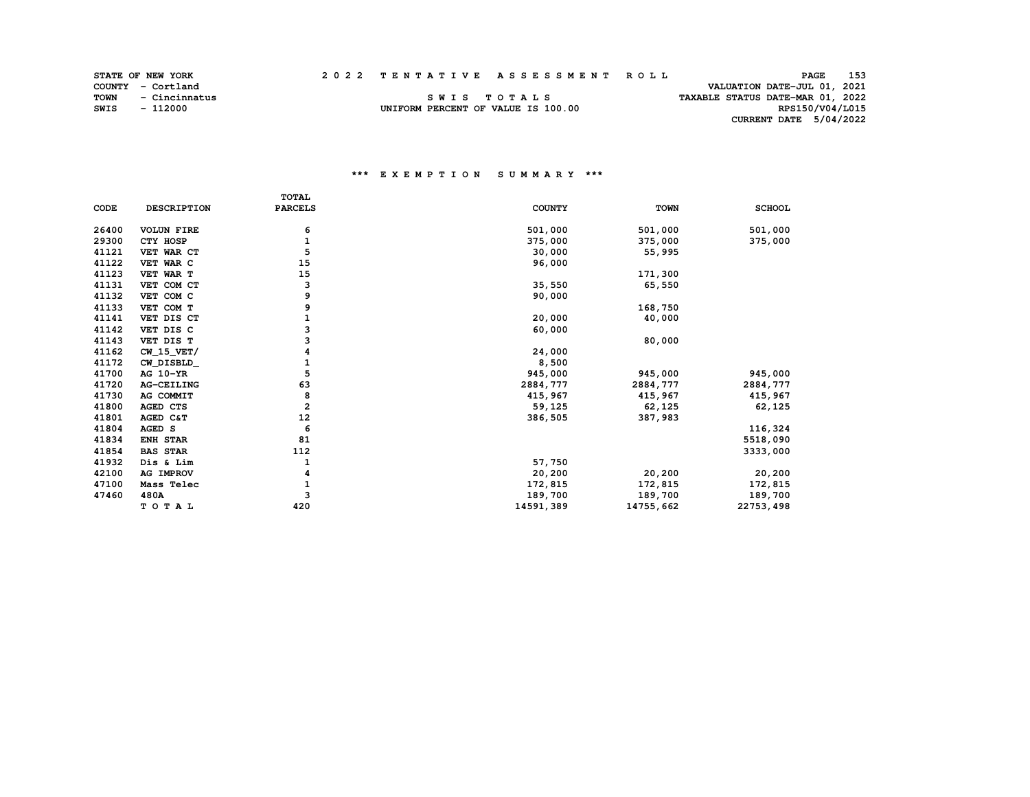VALUATION DATE-JUL 01, 2021

 **TOWN - Cincinnatus S W I S T O T A L S TAXABLE STATUS DATE-MAR 01, 2022 SWIS - 112000 UNIFORM PERCENT OF VALUE IS 100.00 RPS150/V04/L015 CURRENT DATE 5/04/2022** 

|             |                    | <b>TOTAL</b>   |               |             |               |
|-------------|--------------------|----------------|---------------|-------------|---------------|
| <b>CODE</b> | <b>DESCRIPTION</b> | <b>PARCELS</b> | <b>COUNTY</b> | <b>TOWN</b> | <b>SCHOOL</b> |
|             |                    |                |               |             |               |
| 26400       | <b>VOLUN FIRE</b>  | 6              | 501,000       | 501,000     | 501,000       |
| 29300       | CTY HOSP           | 1              | 375,000       | 375,000     | 375,000       |
| 41121       | VET WAR CT         | 5              | 30,000        | 55,995      |               |
| 41122       | VET WAR C          | 15             | 96,000        |             |               |
| 41123       | VET WAR T          | 15             |               | 171,300     |               |
| 41131       | VET COM CT         | 3              | 35,550        | 65,550      |               |
| 41132       | VET COM C          | 9              | 90,000        |             |               |
| 41133       | VET COM T          | 9              |               | 168,750     |               |
| 41141       | VET DIS CT         | 1              | 20,000        | 40,000      |               |
| 41142       | VET DIS C          | 3              | 60,000        |             |               |
| 41143       | VET DIS T          | 3              |               | 80,000      |               |
| 41162       | $CW_15_VET/$       | 4              | 24,000        |             |               |
| 41172       | CW DISBLD          | 1              | 8,500         |             |               |
| 41700       | AG 10-YR           | 5              | 945,000       | 945,000     | 945,000       |
| 41720       | AG-CEILING         | 63             | 2884,777      | 2884,777    | 2884,777      |
| 41730       | AG COMMIT          | 8              | 415,967       | 415,967     | 415,967       |
| 41800       | AGED CTS           | $\overline{a}$ | 59,125        | 62,125      | 62,125        |
| 41801       | AGED C&T           | 12             | 386,505       | 387,983     |               |
| 41804       | AGED S             | 6              |               |             | 116,324       |
| 41834       | <b>ENH STAR</b>    | 81             |               |             | 5518,090      |
| 41854       | <b>BAS STAR</b>    | 112            |               |             | 3333,000      |
| 41932       | Dis & Lim          | 1              | 57,750        |             |               |
| 42100       | AG IMPROV          | 4              | 20,200        | 20,200      | 20,200        |
| 47100       | Mass Telec         | 1              | 172,815       | 172,815     | 172,815       |
| 47460       | 480A               | 3              | 189,700       | 189,700     | 189,700       |
|             | TOTAL              | 420            | 14591,389     | 14755,662   | 22753, 498    |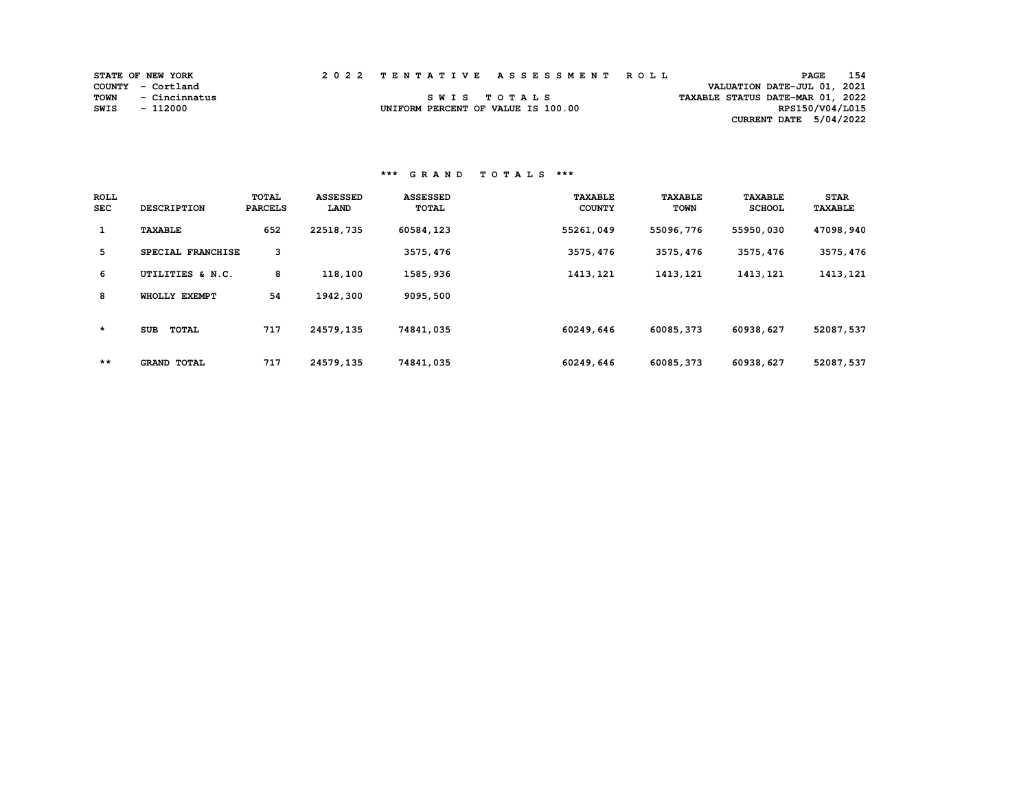|      | <b>STATE OF NEW YORK</b> |  | 2022 TENTATIVE ASSESSMENT ROLL     | PAGE                             | 154             |
|------|--------------------------|--|------------------------------------|----------------------------------|-----------------|
|      | COUNTY - Cortland        |  |                                    | VALUATION DATE-JUL 01, 2021      |                 |
| TOWN | - Cincinnatus            |  | SWIS TOTALS                        | TAXABLE STATUS DATE-MAR 01, 2022 |                 |
| SWIS | - 112000                 |  | UNIFORM PERCENT OF VALUE IS 100.00 |                                  | RPS150/V04/L015 |
|      |                          |  |                                    | CURRENT DATE $5/04/2022$         |                 |

 **\*\*\* G R A N D T O T A L S \*\*\*** 

| <b>ROLL</b><br><b>SEC</b> | <b>DESCRIPTION</b>         | TOTAL<br><b>PARCELS</b> | <b>ASSESSED</b><br>LAND | <b>ASSESSED</b><br>TOTAL | <b>TAXABLE</b><br><b>COUNTY</b> | <b>TAXABLE</b><br><b>TOWN</b> | <b>TAXABLE</b><br><b>SCHOOL</b> | <b>STAR</b><br><b>TAXABLE</b> |
|---------------------------|----------------------------|-------------------------|-------------------------|--------------------------|---------------------------------|-------------------------------|---------------------------------|-------------------------------|
| $\mathbf{1}$              | <b>TAXABLE</b>             | 652                     | 22518,735               | 60584,123                | 55261,049                       | 55096,776                     | 55950,030                       | 47098,940                     |
| 5                         | SPECIAL FRANCHISE          | 3                       |                         | 3575, 476                | 3575, 476                       | 3575, 476                     | 3575,476                        | 3575, 476                     |
| 6                         | UTILITIES & N.C.           | 8                       | 118,100                 | 1585,936                 | 1413, 121                       | 1413, 121                     | 1413, 121                       | 1413, 121                     |
| 8                         | WHOLLY EXEMPT              | 54                      | 1942,300                | 9095,500                 |                                 |                               |                                 |                               |
| $\star$                   | <b>SUB</b><br><b>TOTAL</b> | 717                     | 24579,135               | 74841,035                | 60249,646                       | 60085,373                     | 60938,627                       | 52087,537                     |
| **                        | <b>GRAND TOTAL</b>         | 717                     | 24579,135               | 74841,035                | 60249,646                       | 60085,373                     | 60938,627                       | 52087,537                     |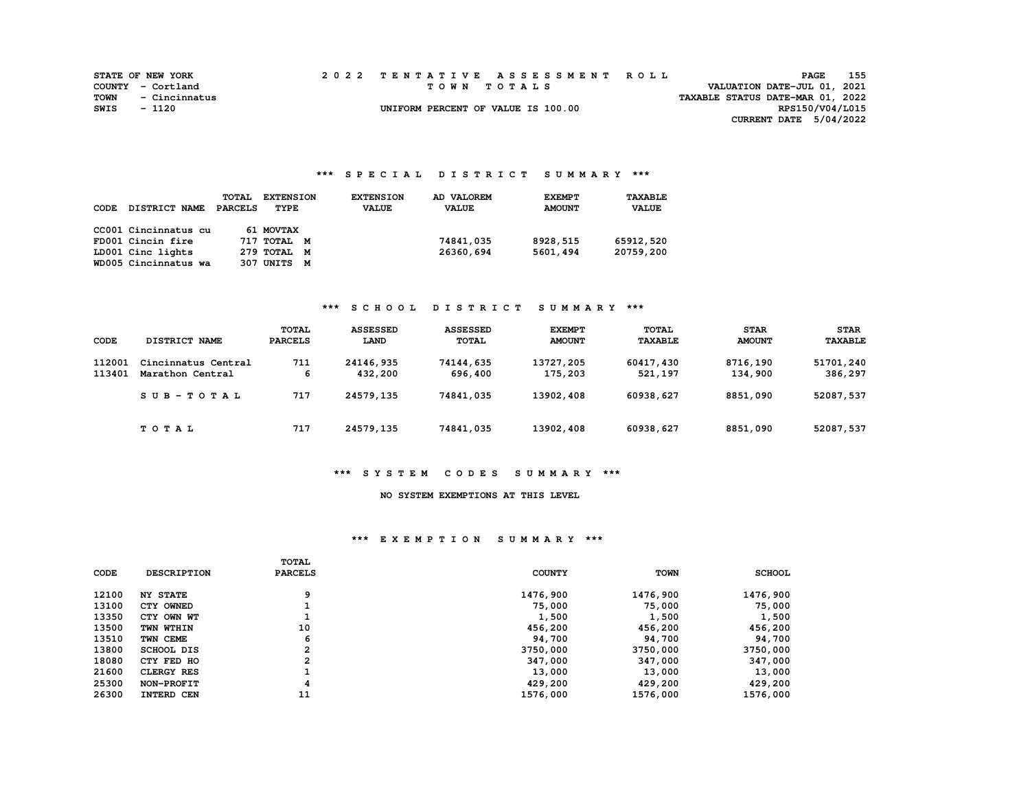|      | <b>STATE OF NEW YORK</b> |  | 2022 TENTATIVE ASSESSMENT ROLL     |                                  | <b>PAGE</b>            | 155 |
|------|--------------------------|--|------------------------------------|----------------------------------|------------------------|-----|
|      | COUNTY - Cortland        |  | TOWN TOTALS                        | VALUATION DATE-JUL 01, 2021      |                        |     |
|      | TOWN - Cincinnatus       |  |                                    | TAXABLE STATUS DATE-MAR 01, 2022 |                        |     |
| SWIS | - 1120                   |  | UNIFORM PERCENT OF VALUE IS 100.00 |                                  | RPS150/V04/L015        |     |
|      |                          |  |                                    |                                  | CURRENT DATE 5/04/2022 |     |

# **\*\*\* S P E C I A L D I S T R I C T S U M M A R Y \*\*\***

| CODE | DISTRICT NAME        | <b>TOTAL</b><br>PARCELS | <b>EXTENSION</b><br>TYPE | <b>EXTENSION</b><br><b>VALUE</b> | AD VALOREM<br><b>VALUE</b> | <b>EXEMPT</b><br><b>AMOUNT</b> | TAXABLE<br><b>VALUE</b> |
|------|----------------------|-------------------------|--------------------------|----------------------------------|----------------------------|--------------------------------|-------------------------|
|      | CC001 Cincinnatus cu |                         | 61 MOVTAX                |                                  |                            |                                |                         |
|      | FD001 Cincin fire    |                         | 717 TOTAL M              |                                  | 74841,035                  | 8928,515                       | 65912,520               |
|      | LD001 Cinc lights    |                         | 279 TOTAL M              |                                  | 26360,694                  | 5601,494                       | 20759,200               |
|      | WD005 Cincinnatus wa |                         | 307 UNITS<br>M           |                                  |                            |                                |                         |

# **\*\*\* S C H O O L D I S T R I C T S U M M A R Y \*\*\***

| CODE             | DISTRICT NAME                           | TOTAL<br><b>PARCELS</b> | <b>ASSESSED</b><br><b>LAND</b> | <b>ASSESSED</b><br>TOTAL | <b>EXEMPT</b><br><b>AMOUNT</b> | TOTAL<br><b>TAXABLE</b> | <b>STAR</b><br><b>AMOUNT</b> | <b>STAR</b><br><b>TAXABLE</b> |
|------------------|-----------------------------------------|-------------------------|--------------------------------|--------------------------|--------------------------------|-------------------------|------------------------------|-------------------------------|
| 112001<br>113401 | Cincinnatus Central<br>Marathon Central | 711<br>6                | 24146,935<br>432,200           | 74144,635<br>696,400     | 13727,205<br>175,203           | 60417,430<br>521,197    | 8716,190<br>134,900          | 51701,240<br>386,297          |
|                  | $SUB - TO T AL$                         | 717                     | 24579,135                      | 74841,035                | 13902,408                      | 60938,627               | 8851,090                     | 52087,537                     |
|                  | TOTAL                                   | 717                     | 24579,135                      | 74841,035                | 13902, 408                     | 60938,627               | 8851,090                     | 52087,537                     |

### **\*\*\* S Y S T E M C O D E S S U M M A R Y \*\*\***

# **NO SYSTEM EXEMPTIONS AT THIS LEVEL**

|             |                    | <b>TOTAL</b>   |               |             |               |
|-------------|--------------------|----------------|---------------|-------------|---------------|
| <b>CODE</b> | <b>DESCRIPTION</b> | <b>PARCELS</b> | <b>COUNTY</b> | <b>TOWN</b> | <b>SCHOOL</b> |
| 12100       | <b>NY STATE</b>    | 9              | 1476,900      | 1476,900    | 1476,900      |
| 13100       | CTY OWNED          |                | 75,000        | 75,000      | 75,000        |
| 13350       | CTY OWN WT         |                | 1,500         | 1,500       | 1,500         |
| 13500       | TWN WTHIN          | 10             | 456,200       | 456,200     | 456,200       |
| 13510       | TWN CEME           | 6              | 94,700        | 94,700      | 94,700        |
| 13800       | <b>SCHOOL DIS</b>  | 2              | 3750,000      | 3750,000    | 3750,000      |
| 18080       | CTY FED HO         | 2              | 347,000       | 347,000     | 347,000       |
| 21600       | <b>CLERGY RES</b>  |                | 13,000        | 13,000      | 13,000        |
| 25300       | NON-PROFIT         | 4              | 429,200       | 429,200     | 429,200       |
| 26300       | INTERD CEN         | 11             | 1576,000      | 1576,000    | 1576,000      |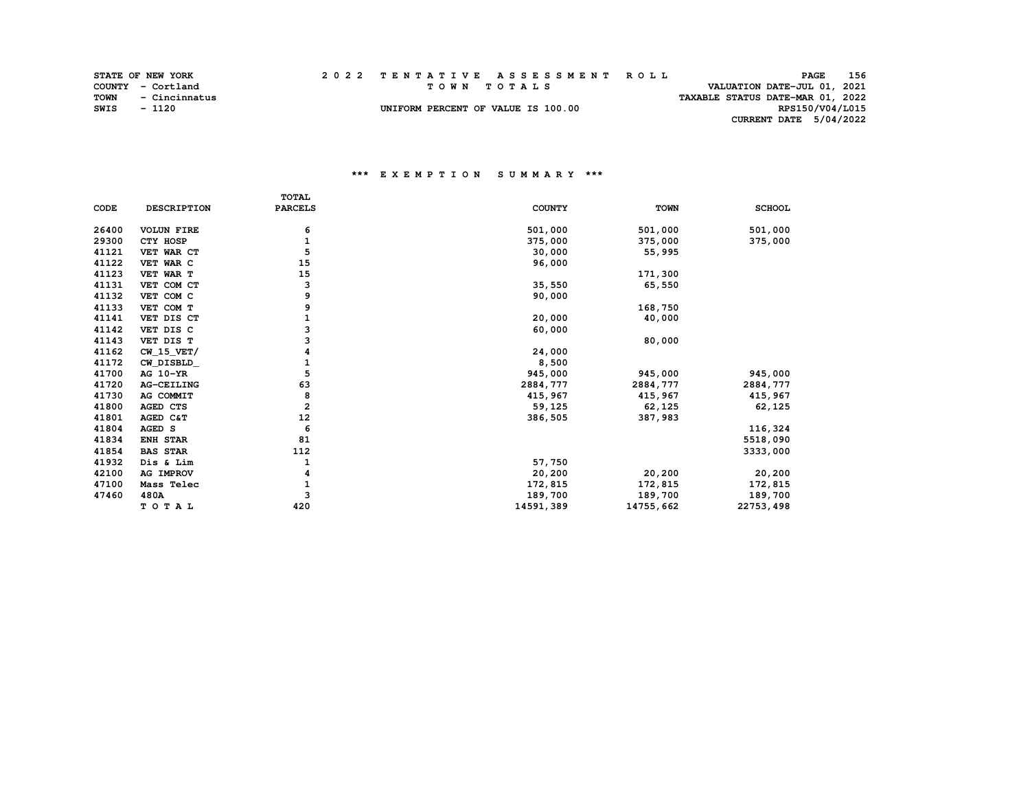|      | <b>STATE OF NEW YORK</b> | 2022 TENTATIVE ASSESSMENT ROLL     | 156<br><b>PAGE</b>               |
|------|--------------------------|------------------------------------|----------------------------------|
|      | COUNTY - Cortland        | TOWN TOTALS                        | VALUATION DATE-JUL 01, 2021      |
| TOWN | - Cincinnatus            |                                    | TAXABLE STATUS DATE-MAR 01, 2022 |
| SWIS | $-1120$                  | UNIFORM PERCENT OF VALUE IS 100.00 | RPS150/V04/L015                  |
|      |                          |                                    | CURRENT DATE 5/04/2022           |

|       |                    | TOTAL          |               |             |               |
|-------|--------------------|----------------|---------------|-------------|---------------|
| CODE  | <b>DESCRIPTION</b> | <b>PARCELS</b> | <b>COUNTY</b> | <b>TOWN</b> | <b>SCHOOL</b> |
| 26400 | <b>VOLUN FIRE</b>  | 6              | 501,000       | 501,000     | 501,000       |
| 29300 | CTY HOSP           | 1              | 375,000       | 375,000     | 375,000       |
| 41121 | VET WAR CT         | 5              | 30,000        | 55,995      |               |
| 41122 | VET WAR C          | 15             | 96,000        |             |               |
| 41123 | VET WAR T          | 15             |               | 171,300     |               |
| 41131 | VET COM CT         | 3              | 35,550        | 65,550      |               |
| 41132 | VET COM C          | 9              | 90,000        |             |               |
| 41133 | VET COM T          | 9              |               | 168,750     |               |
| 41141 | VET DIS CT         |                | 20,000        | 40,000      |               |
| 41142 | VET DIS C          | 3              | 60,000        |             |               |
| 41143 | VET DIS T          | 3              |               | 80,000      |               |
| 41162 | $CW_15_VET/$       | 4              | 24,000        |             |               |
| 41172 | CW DISBLD          |                | 8,500         |             |               |
| 41700 | AG 10-YR           | 5              | 945,000       | 945,000     | 945,000       |
| 41720 | AG-CEILING         | 63             | 2884,777      | 2884,777    | 2884,777      |
| 41730 | AG COMMIT          | 8              | 415,967       | 415,967     | 415,967       |
| 41800 | AGED CTS           | $\overline{a}$ | 59,125        | 62,125      | 62,125        |
| 41801 | AGED C&T           | 12             | 386,505       | 387,983     |               |
| 41804 | AGED S             | 6              |               |             | 116,324       |
| 41834 | <b>ENH STAR</b>    | 81             |               |             | 5518,090      |
| 41854 | <b>BAS STAR</b>    | 112            |               |             | 3333,000      |
| 41932 | Dis & Lim          | 1              | 57,750        |             |               |
| 42100 | <b>AG IMPROV</b>   | 4              | 20,200        | 20,200      | 20,200        |
| 47100 | Mass Telec         |                | 172,815       | 172,815     | 172,815       |
| 47460 | 480A               | 3              | 189,700       | 189,700     | 189,700       |
|       | TOTAL              | 420            | 14591,389     | 14755,662   | 22753, 498    |